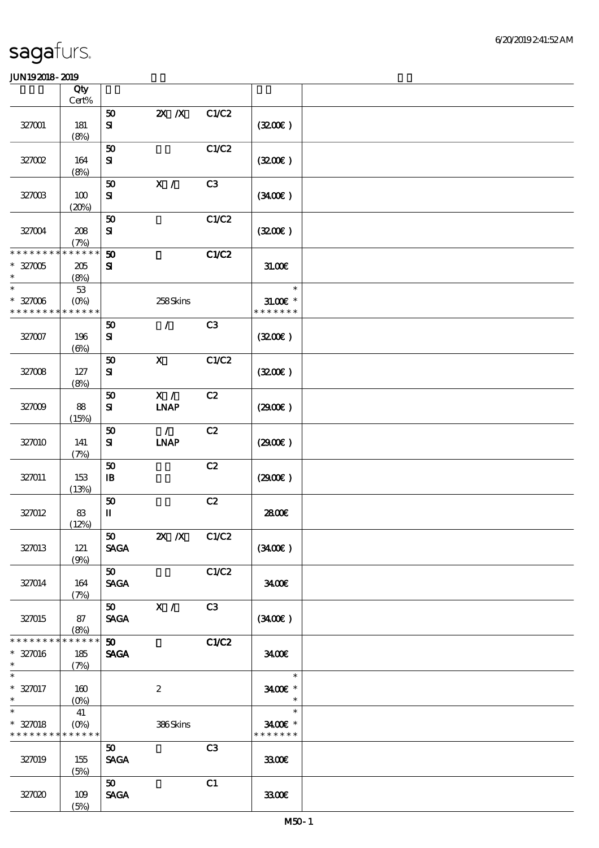|                                                                    | Qty                                |                                                               |                              |                |                                       |  |
|--------------------------------------------------------------------|------------------------------------|---------------------------------------------------------------|------------------------------|----------------|---------------------------------------|--|
|                                                                    | $Cert\%$                           |                                                               |                              |                |                                       |  |
| 327001                                                             | 181<br>(8%)                        | 50<br>${\bf s}$                                               | $X$ $X$                      | C1/C2          | (320)                                 |  |
| 327002                                                             | 164                                | 50<br>${\bf S}$                                               |                              | C1/C2          | (320)                                 |  |
| 327003                                                             | (8%)<br>100<br>(20%)               | 50<br>${\bf S\!I}$                                            | X /                          | C3             | (340)                                 |  |
| 327004                                                             | 208<br>(7%)                        | 50<br>$\mathbf{S}$                                            |                              | C1/C2          | (320)                                 |  |
| * * * * * * * *<br>$* 327005$<br>$\ast$                            | $* * * * * * *$<br>$205\,$<br>(8%) | $\boldsymbol{\mathfrak{D}}$<br>${\bf s}$                      |                              | <b>C1/C2</b>   | 31.00E                                |  |
| $\ast$<br>$* 327006$<br>* * * * * * * * * * * * * *                | $5\!3$<br>$(O\%)$                  |                                                               | 258Skins                     |                | $\ast$<br>$31.005$ *<br>* * * * * * * |  |
| 327007                                                             | 196<br>$(\Theta\% )$               | ${\bf 50}$<br>${\bf s}$                                       | $\mathcal{L}$                | C <sub>3</sub> | (320)                                 |  |
| 327008                                                             | 127<br>(8%)                        | 50<br>${\bf S}$                                               | $\boldsymbol{\mathsf{X}}$    | C1/C2          | (320)                                 |  |
| 327009                                                             | 88<br>(15%)                        | 50<br>${\bf s}$                                               | X /<br><b>LNAP</b>           | C2             | (2900)                                |  |
| 327010                                                             | 141<br>(7%)                        | 50<br>${\bf S}$                                               | $\mathcal{L}$<br><b>INAP</b> | C2             | (2900)                                |  |
| 327011                                                             | 153<br>(13%)                       | 50<br>$\, {\bf I} \! {\bf B} \,$                              |                              | C2             | (2900)                                |  |
| 327012                                                             | 83<br>(12%)                        | ${\bf 50}$<br>$\mathbf{I}$                                    |                              | C2             | 2800E                                 |  |
| 327013                                                             | 121<br>(9%)                        | 50<br><b>SAGA</b>                                             | 2X /X C1/C2                  |                | (3400)                                |  |
| 327014                                                             | 164<br>(7%)                        | 50<br><b>SAGA</b>                                             |                              | C1/C2          | 3400                                  |  |
| 327015                                                             | 87<br>(8%)                         | 50<br><b>SAGA</b>                                             | $\mathbf{x}$ /               | C3             | (340)                                 |  |
| * * * * * * * *<br>* 327016<br>$\ast$                              | * * * * * *<br>185<br>(7%)         | 50 <sub>1</sub><br><b>SAGA</b>                                |                              | <b>C1/C2</b>   | 3400                                  |  |
| $\ast$<br>$* 327017$<br>$\ast$                                     | 160<br>$(O\!/\!\!\delta)$          |                                                               | $\boldsymbol{2}$             |                | $\ast$<br>3400E *<br>$\ast$           |  |
| $\ast$<br>$* 327018$<br>* * * * * * * * <mark>* * * * * *</mark> * | 41<br>$(O\!/\!\!\delta)$           |                                                               | 386Skins                     |                | $\ast$<br>3400€ *<br>* * * * * * *    |  |
| 327019                                                             | 155<br>(5%)                        | 50<br><b>SAGA</b>                                             |                              | C <sub>3</sub> | 3300                                  |  |
| 327020                                                             | 109<br>(5%)                        | $\boldsymbol{\mathfrak{D}}$<br>$\operatorname{\mathsf{SAGA}}$ |                              | C1             | 3300                                  |  |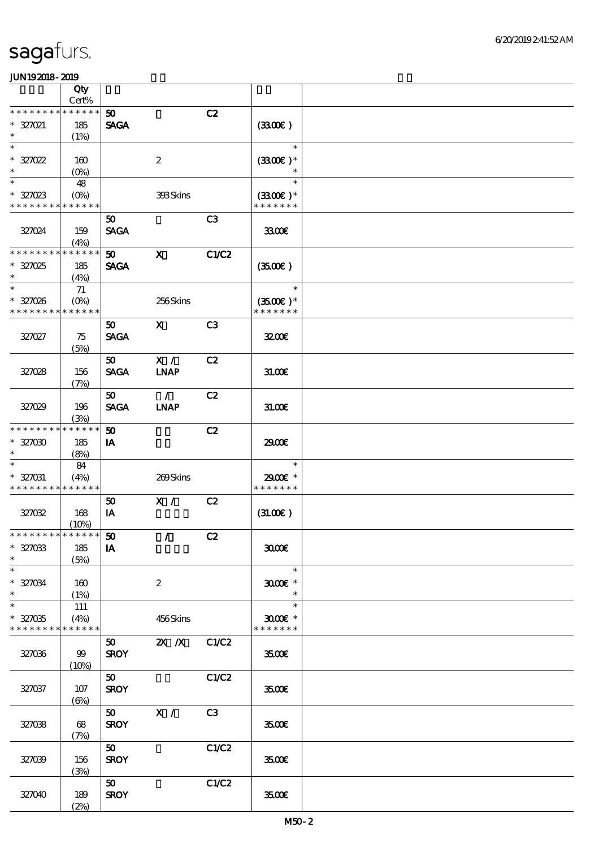|                                       | Qty                        |                                |                  |                |                                    |  |
|---------------------------------------|----------------------------|--------------------------------|------------------|----------------|------------------------------------|--|
|                                       | Cert%                      |                                |                  |                |                                    |  |
| * * * * * * *<br>$* 327021$<br>$\ast$ | * * * * * *<br>185<br>(1%) | 50 <sub>2</sub><br><b>SAGA</b> |                  | C2             | (330)                              |  |
| $\ast$                                |                            |                                |                  |                | $\ast$                             |  |
| $* 327022$<br>$\ast$                  | 160<br>(O <sub>0</sub> )   |                                | $\boldsymbol{2}$ |                | $(3300)$ *<br>$\ast$               |  |
| $\ast$<br>$* 327023$                  | 48<br>$(O\!/\!\!\delta)$   |                                | 393Skins         |                | $\ast$<br>$(3300)$ *               |  |
| * * * * * * * *                       | * * * * * *                |                                |                  |                | * * * * * * *                      |  |
| 327024                                | 159<br>(4%)                | 50<br><b>SAGA</b>              |                  | C3             | 3300E                              |  |
| * * * * * * * *                       | * * * * * *                | $\boldsymbol{\mathfrak{D}}$    | $\mathbf{x}$     | <b>C1/C2</b>   |                                    |  |
| $* 327025$<br>$\ast$                  | 185<br>(4%)                | <b>SAGA</b>                    |                  |                | (3500)                             |  |
| $\ast$                                | 71                         |                                |                  |                | $\ast$                             |  |
| $* 327026$<br>* * * * * * * *         | $(0\%)$<br>* * * * * *     |                                | 256Skins         |                | $(3500\text{E})*$<br>* * * * * * * |  |
| 327027                                | 75<br>(5%)                 | 50<br><b>SAGA</b>              | $\mathbf{X}$     | C <sub>3</sub> | 3200E                              |  |
|                                       |                            | 50                             | X /              | C2             |                                    |  |
| 327028                                | 156<br>(7%)                | <b>SAGA</b>                    | <b>INAP</b>      |                | 31.00E                             |  |
|                                       |                            | 50                             | $\mathcal{L}$    | C2             |                                    |  |
| 327029                                | 196<br>(3%)                | <b>SAGA</b>                    | <b>LNAP</b>      |                | 31.006                             |  |
| * * * * * * * *                       | * * * * * *                | 50                             |                  | C2             |                                    |  |
| $* 327000$<br>$\ast$                  | 185<br>(8%)                | <b>IA</b>                      |                  |                | 2900€                              |  |
| $\ast$                                | 84                         |                                |                  |                | $\ast$                             |  |
| * 327031<br>* * * * * * * *           | (4%)<br>* * * * * *        |                                | 269Skins         |                | 2900€ *<br>* * * * * * *           |  |
|                                       |                            | 50                             | X /              | C2             |                                    |  |
| 327032                                | 168<br>(10%)               | IA                             |                  |                | (31.00)                            |  |
| ************** 50                     |                            |                                | $\mathcal{L}$    | C2             |                                    |  |
| $* 327033$<br>$\ast$                  | 185<br>(5%)                | IA                             |                  |                | 3000                               |  |
| $\ast$                                |                            |                                |                  |                | $\ast$                             |  |
| $* 327034$<br>$\ast$                  | 160<br>(1%)                |                                | $\boldsymbol{2}$ |                | $3000$ $*$<br>$\ast$               |  |
| $\ast$                                | 111                        |                                |                  |                | $\ast$                             |  |
| $* 327035$<br>* * * * * * * *         | (4%)<br>* * * * * *        |                                | 456Skins         |                | $3000$ $*$<br>* * * * * * *        |  |
| 327036                                | 99<br>(10%)                | 50<br><b>SROY</b>              | 2X / X C1/C2     |                | 3500€                              |  |
| 327037                                | $107$<br>$(\Theta)$        | 50<br><b>SROY</b>              |                  | C1/C2          | 3500E                              |  |
| 327038                                | 68<br>(7%)                 | <b>SROY</b>                    | $50$ X /         | C3             | 3500E                              |  |
| 327039                                | 156<br>(3%)                | 50<br><b>SROY</b>              |                  | C1/C2          | 3500E                              |  |
| 327040                                | 189<br>(2%)                | 50<br><b>SROY</b>              |                  | C1/C2          | 3500E                              |  |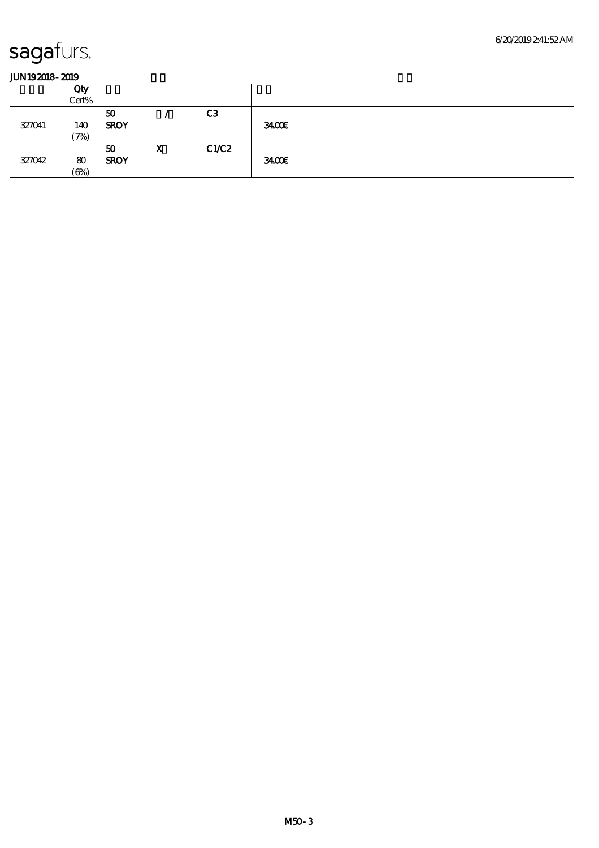|        | Qty<br>Cert%             |                   |   |                |      |  |
|--------|--------------------------|-------------------|---|----------------|------|--|
| 327041 | 140<br>$\mathcal{P}_{0}$ | 50<br><b>SROY</b> |   | C <sub>3</sub> | 3400 |  |
| 327042 | 80<br>$(\Theta\% )$      | 50<br><b>SROY</b> | X | C1/C2          | 3400 |  |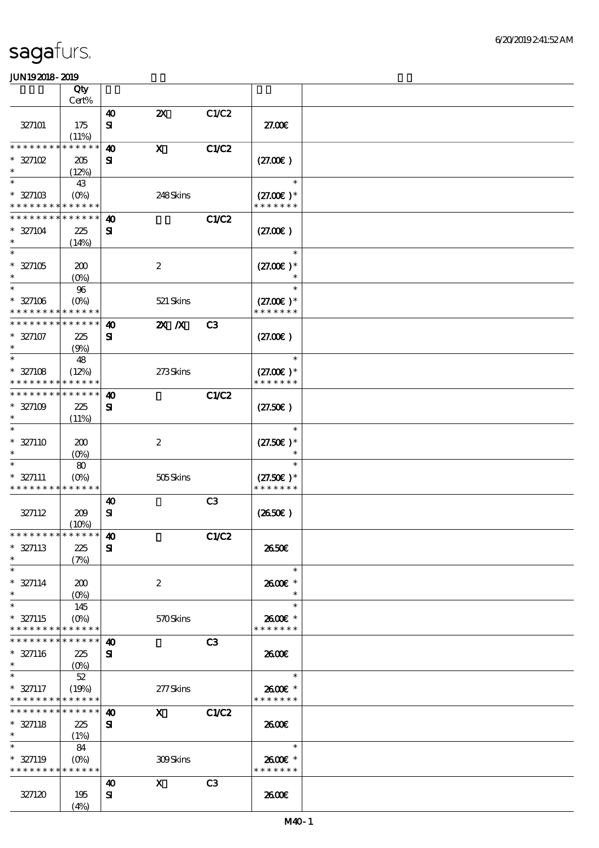|                                                            | Qty                               |                                       |                           |              |                              |  |
|------------------------------------------------------------|-----------------------------------|---------------------------------------|---------------------------|--------------|------------------------------|--|
|                                                            | Cert%                             |                                       | $\boldsymbol{\mathsf{z}}$ |              |                              |  |
| 327101                                                     | 175                               | $\boldsymbol{\omega}$<br>$\mathbf{S}$ |                           | C1/C2        | 27.00E                       |  |
|                                                            | (11%)                             |                                       |                           |              |                              |  |
| * * * * * * *                                              | * * * * * *                       | $\boldsymbol{\omega}$                 | $\mathbf X$               | C1/C2        |                              |  |
| $* 327102$                                                 | 205                               | ${\bf s}$                             |                           |              | (27.00)                      |  |
| $\ast$                                                     | (12%)                             |                                       |                           |              |                              |  |
| $\ast$<br>$* 327103$                                       | 43                                |                                       | 248Skins                  |              | $\ast$<br>$(27.00)$ *        |  |
| * * * * * * * *                                            | $(O\%)$<br>* * * * * *            |                                       |                           |              | * * * * * * *                |  |
| * * * * * * * *                                            | * * * * * *                       | $\boldsymbol{\omega}$                 |                           | <b>C1/C2</b> |                              |  |
| $* 327104$                                                 | 225                               | ${\bf s}$                             |                           |              | (27.00)                      |  |
|                                                            | (14%)                             |                                       |                           |              |                              |  |
| $\ast$                                                     |                                   |                                       |                           |              | $\ast$                       |  |
| $* 327105$<br>$\ast$                                       | 200                               |                                       | $\boldsymbol{2}$          |              | $(27.00)$ *<br>$\ast$        |  |
| $\ast$                                                     | $(O\!/\!o)$<br>$96\,$             |                                       |                           |              | $\ast$                       |  |
| $* 327106$                                                 | $(O\%)$                           |                                       | 521 Skins                 |              | $(27.00)$ *                  |  |
| * * * * * * * *                                            | * * * * * *                       |                                       |                           |              | * * * * * * *                |  |
| * * * * * * * *                                            | * * * * * *                       | $\boldsymbol{\omega}$                 | $2X$ $X$                  | C3           |                              |  |
| $* 327107$                                                 | 225                               | ${\bf s}$                             |                           |              | (27.00)                      |  |
| $\ast$                                                     | (9%)                              |                                       |                           |              |                              |  |
| $\ast$                                                     | 48                                |                                       |                           |              | $\ast$                       |  |
| $* 327108$<br>* * * * * * * *                              | (12%)<br>* * * * * *              |                                       | 273Skins                  |              | $(27.00)$ *<br>* * * * * * * |  |
| * * * * * * * *                                            | * * * * * *                       | $\boldsymbol{\omega}$                 |                           | <b>C1/C2</b> |                              |  |
| $* 327109$                                                 | 225                               | $\mathbf{S}$                          |                           |              | (27.50)                      |  |
| $\ast$                                                     | (11%)                             |                                       |                           |              |                              |  |
| $\ast$                                                     |                                   |                                       |                           |              | $\ast$                       |  |
| $* 327110$                                                 | 200                               |                                       | $\boldsymbol{2}$          |              | $(27.50)$ *                  |  |
| $\ast$                                                     | (O <sub>0</sub> )                 |                                       |                           |              |                              |  |
| $* 327111$                                                 | 80                                |                                       | 505Skins                  |              | $(27.50)$ *                  |  |
| * * * * * * * *                                            | $(O\!/\!\!\delta)$<br>* * * * * * |                                       |                           |              | * * * * * * *                |  |
|                                                            |                                   | $\boldsymbol{\omega}$                 |                           | C3           |                              |  |
| 327112                                                     | 209                               | ${\bf S}$                             |                           |              | (2650)                       |  |
|                                                            | (10%)                             |                                       |                           |              |                              |  |
| *************** <b>10</b>                                  |                                   |                                       |                           | C1/C2        |                              |  |
| $* 327113$<br>$\ast$                                       | 225<br>(7%)                       | ${\bf s}$                             |                           |              | 2650E                        |  |
| $\ast$                                                     |                                   |                                       |                           |              | $\ast$                       |  |
| $* 327114$                                                 | 200                               |                                       | $\boldsymbol{2}$          |              | 2600€ *                      |  |
| $\ast$                                                     | $(O\!/\!\!\delta)$                |                                       |                           |              | $\ast$                       |  |
| $\ast$                                                     | 145                               |                                       |                           |              | $\ast$                       |  |
| $* 327115$                                                 | $(O\%)$                           |                                       | 570Skins                  |              | 2600€ *                      |  |
| * * * * * * * * * * * * * *<br>* * * * * * * * * * * * * * |                                   | 40                                    |                           | C3           | * * * * * * *                |  |
| $* 327116$                                                 | 225                               | ${\bf s}$                             |                           |              | 2600                         |  |
| $\ast$                                                     |                                   |                                       |                           |              |                              |  |
| $\ast$                                                     | $52\,$                            |                                       |                           |              | $\ast$                       |  |
| $* 327117$                                                 | (19%)                             |                                       | 277Skins                  |              | 2600€ *                      |  |
| * * * * * * * * * * * * * *                                |                                   |                                       |                           |              | * * * * * * *                |  |
| * * * * * * * * <mark>* * * * * *</mark>                   |                                   | 40                                    | $\mathbf{x}$              | C1/C2        |                              |  |
| $* 327118$<br>$\ast$                                       | 225<br>(1%)                       | ${\bf s}$                             |                           |              | 2600                         |  |
| $\ast$                                                     | 84                                |                                       |                           |              | $\ast$                       |  |
| $* 327119$                                                 |                                   |                                       | 309Skins                  |              | 2600E *                      |  |
| * * * * * * * * * * * * * *                                |                                   |                                       |                           |              | * * * * * * *                |  |
|                                                            |                                   | 40                                    | $\mathbf{x}$              | C3           |                              |  |
| 327120                                                     | 195                               | ${\bf s}$                             |                           |              | 2600E                        |  |
|                                                            | (4%)                              |                                       |                           |              |                              |  |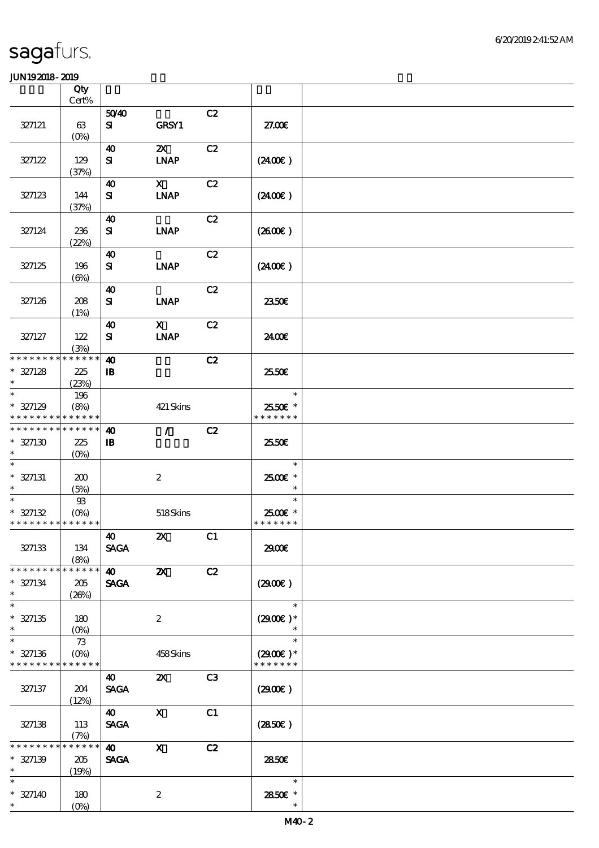|                                                     | Qty<br>Cert%                |                                       |                                          |    |                                       |  |
|-----------------------------------------------------|-----------------------------|---------------------------------------|------------------------------------------|----|---------------------------------------|--|
|                                                     |                             | 5040                                  |                                          | C2 |                                       |  |
| 327121                                              | 63<br>$(O\%)$               | ${\bf s}$                             | <b>GRSY1</b>                             |    | 27.00E                                |  |
| 327122                                              | 129                         | 40<br>${\bf s}$                       | $\boldsymbol{\mathsf{Z}}$<br><b>LNAP</b> | C2 | (240E)                                |  |
| 327123                                              | (37%)<br>144                | 40<br>${\bf s}$                       | $\mathbf{X}$<br><b>INAP</b>              | C2 | (2400)                                |  |
| 327124                                              | (37%)<br>236                | 40<br>${\bf s}$                       | <b>INAP</b>                              | C2 | (2600)                                |  |
| 327125                                              | (22%)<br>196                | 40<br>${\bf s}$                       | <b>LNAP</b>                              | C2 | (240E)                                |  |
| 327126                                              | $(\Theta)$<br>208<br>(1%)   | $\boldsymbol{\omega}$<br>${\bf s}$    | <b>INAP</b>                              | C2 | 2350E                                 |  |
| 327127                                              | 122<br>(3%)                 | $\boldsymbol{\omega}$<br>${\bf s}$    | $\mathbf{X}$<br><b>INAP</b>              | C2 | 24.00€                                |  |
| * * * * * * * * * * * * * *<br>$* 327128$<br>$\ast$ | 225<br>(23%)                | $\boldsymbol{\omega}$<br>$\mathbf{B}$ |                                          | C2 | 25.50E                                |  |
| $\ast$<br>$* 327129$<br>* * * * * * * * * * * * * * | 196<br>(8%)                 |                                       | 421 Skins                                |    | $\ast$<br>2550€ *<br>* * * * * * *    |  |
| * * * * * * * * * * * * * *<br>$* 327130$<br>$\ast$ | 225<br>$(0\%)$              | $\boldsymbol{\omega}$<br>$\mathbf{B}$ | $\mathcal{L}$                            | C2 | 25.50E                                |  |
| $\ast$<br>$* 327131$<br>$\ast$                      | 200<br>(5%)                 |                                       | $\boldsymbol{2}$                         |    | $\ast$<br>2500€ *<br>$\ast$           |  |
| $\ast$<br>$* 327132$<br>* * * * * * * * * * * * * * | $93$<br>$(O\%)$             |                                       | 518Skins                                 |    | $\ast$<br>2500€ *<br>* * * * * * *    |  |
| 327133                                              | 134<br>(8%)                 | 40<br><b>SAGA</b>                     | $\boldsymbol{\mathsf{Z}}$                | C1 | 2900€                                 |  |
| * * * * * * * *<br>$* 327134$<br>$\ast$             | * * * * * *<br>205<br>(20%) | $\boldsymbol{40}$<br><b>SAGA</b>      | $\boldsymbol{\mathsf{X}}$                | C2 | (290E)                                |  |
| $\ast$<br>$* 327135$<br>$\ast$                      | 180<br>$(O\!/\!\!\delta)$   |                                       | $\boldsymbol{2}$                         |    | $\ast$<br>$(2900)$ *                  |  |
| $\ast$<br>$* 327136$<br>* * * * * * * * * * * * * * | 73<br>$(O\%)$               |                                       | 458Skins                                 |    | $\ast$<br>$(2900E)*$<br>* * * * * * * |  |
| 327137                                              | 204<br>(12%)                | $\boldsymbol{\omega}$<br><b>SAGA</b>  | $\boldsymbol{\mathsf{Z}}$                | C3 | (2900)                                |  |
| 327138                                              | 113<br>(7%)                 | $\boldsymbol{\omega}$<br><b>SAGA</b>  | $\mathbf{x}$                             | C1 | (2850)                                |  |
| * * * * * * * *<br>$* 327139$<br>$\ast$             | * * * * * *<br>205<br>(19%) | $\boldsymbol{\omega}$<br><b>SAGA</b>  | $\mathbf{x}$                             | C2 | 2850E                                 |  |
| $\ast$<br>$* 327140$<br>$\ast$                      | 180<br>$(O\%)$              |                                       | $\boldsymbol{2}$                         |    | $\ast$<br>2850E *<br>$\ast$           |  |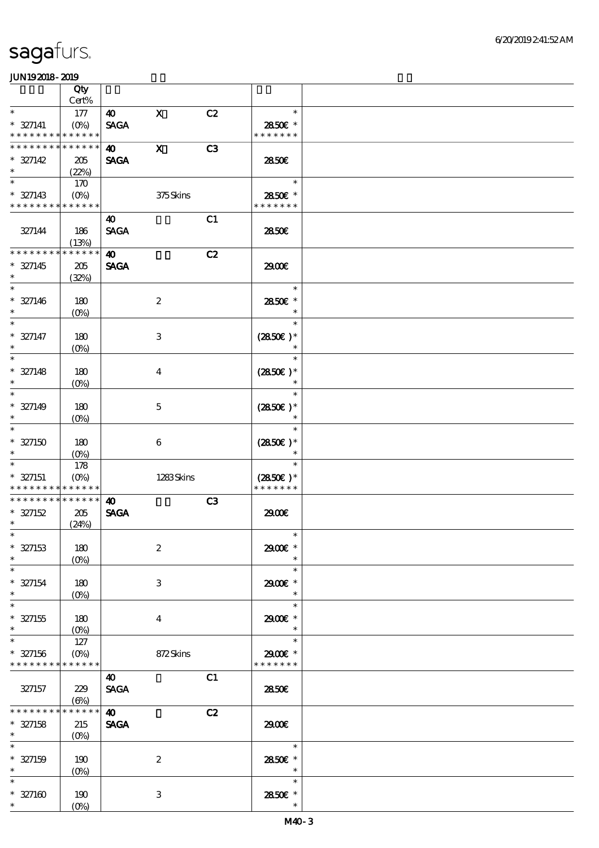|                             | Qty                               |                       |                         |    |                  |  |
|-----------------------------|-----------------------------------|-----------------------|-------------------------|----|------------------|--|
|                             | Cert%                             |                       |                         |    |                  |  |
| $\ast$                      | 177                               | 40                    | $\mathbf X$             | C2 | $\ast$           |  |
| $* 327141$                  | $(O\%)$                           | <b>SAGA</b>           |                         |    | 2850€ *          |  |
| * * * * * * * *             | * * * * * *                       |                       |                         |    | * * * * * * *    |  |
| * * * * * * * *             | * * * * * *                       | $\boldsymbol{\omega}$ | $\mathbf{x}$            | C3 |                  |  |
| $* 327142$<br>$\ast$        | 205<br>(22%)                      | <b>SAGA</b>           |                         |    | 2850E            |  |
| $\ast$                      | 170                               |                       |                         |    | $\ast$           |  |
| $* 327143$                  | $(O\!\!\!\!\!\!/\,\!\!\!\!\!/\,)$ |                       | 375Skins                |    | 2850E *          |  |
| * * * * * * * *             | * * * * * *                       |                       |                         |    | * * * * * * *    |  |
|                             |                                   | 40                    |                         | C1 |                  |  |
| 327144                      | 186                               | <b>SAGA</b>           |                         |    | 2850€            |  |
|                             | (13%)                             |                       |                         |    |                  |  |
| * * * * * * *               | * * * * * *                       | $\boldsymbol{\omega}$ |                         | C2 |                  |  |
| $* 327145$                  | $205\,$                           | <b>SAGA</b>           |                         |    | 2900€            |  |
| $\ast$<br>$\ast$            | (32%)                             |                       |                         |    | $\ast$           |  |
| $* 327146$                  |                                   |                       |                         |    | 2850€ *          |  |
| $\ast$                      | 180<br>(0%)                       |                       | $\boldsymbol{2}$        |    | $\ast$           |  |
| $\ast$                      |                                   |                       |                         |    | $\ast$           |  |
| $* 327147$                  | 180                               |                       | $\,3$                   |    | $(2850)$ *       |  |
| $\ast$                      | $(O\%)$                           |                       |                         |    | $\ast$           |  |
| $\ast$                      |                                   |                       |                         |    | $\ast$           |  |
| $* 327148$                  | 180                               |                       | $\overline{\mathbf{4}}$ |    | $(2850)$ *       |  |
| $\ast$                      | $(0\%)$                           |                       |                         |    | $\ast$           |  |
| $\ast$                      |                                   |                       |                         |    | $\ast$           |  |
| $* 327149$                  | 180                               |                       | $\mathbf{5}$            |    | $(2850)$ *       |  |
| $\ast$<br>$\ast$            | $(O\!\!\!\!\!\!\backslash\rho)$   |                       |                         |    | $\ast$<br>$\ast$ |  |
| $* 327150$                  | 180                               |                       | 6                       |    | $(2850)$ *       |  |
| $\ast$                      | $(O\%)$                           |                       |                         |    | $\ast$           |  |
| $\ast$                      | 178                               |                       |                         |    | $\ast$           |  |
| $* 327151$                  | $(O\%)$                           |                       | 1283Skins               |    | $(2850)$ *       |  |
| * * * * * * * *             | * * * * * *                       |                       |                         |    | * * * * * * *    |  |
| * * * * * * * *             | $******$                          | $\boldsymbol{\omega}$ |                         | C3 |                  |  |
| $* 327152$                  | 205                               | <b>SAGA</b>           |                         |    | 2900€            |  |
| $\ast$<br>$*$               | (24%)                             |                       |                         |    | $*$              |  |
| $* 327153$                  | 180                               |                       | $\boldsymbol{2}$        |    | 2900E *          |  |
| $\ast$                      | $(O\%)$                           |                       |                         |    | $\ast$           |  |
| $\ast$                      |                                   |                       |                         |    | $\ast$           |  |
| $* 327154$                  | 180                               |                       | 3                       |    | 2900€ *          |  |
| $\ast$                      | $(O\%)$                           |                       |                         |    | $\ast$           |  |
| $\ast$                      |                                   |                       |                         |    | $\ast$           |  |
| $* 327155$<br>$\ast$        | 180                               |                       | $\overline{\mathbf{4}}$ |    | 2900 £*          |  |
| $\ast$                      | 127                               |                       |                         |    | $\ast$<br>$\ast$ |  |
| $* 327156$                  | $(O\%)$                           |                       | 872Skins                |    | 2900€ *          |  |
| * * * * * * * * * * * * * * |                                   |                       |                         |    | * * * * * * *    |  |
|                             |                                   | 40                    |                         | C1 |                  |  |
| 327157                      | 229                               | <b>SAGA</b>           |                         |    | 2850E            |  |
|                             | $(\Theta)$                        |                       |                         |    |                  |  |
| * * * * * * * *             | * * * * * *                       | $\boldsymbol{\omega}$ |                         | C2 |                  |  |
| $* 327158$<br>$\ast$        | 215                               | <b>SAGA</b>           |                         |    | 2900             |  |
| $\ast$                      | $(O\!/\!\!\delta)$                |                       |                         |    | $\ast$           |  |
| $* 327159$                  | 190                               |                       | $\boldsymbol{z}$        |    | 2850E *          |  |
| $\ast$                      | $(O\%)$                           |                       |                         |    | $\ast$           |  |
| $\ast$                      |                                   |                       |                         |    | $\ast$           |  |
| $* 327160$                  | 190                               |                       | $\,3$                   |    | 2850E *          |  |
| $\ast$                      | $(O\!/\!o)$                       |                       |                         |    | $\ast$           |  |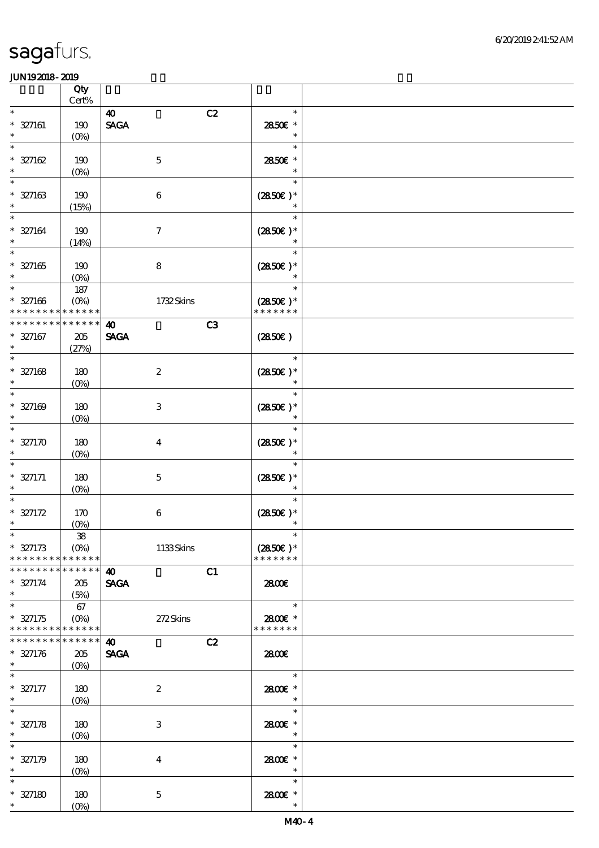|                                                      | Qty                                                  |                                                               |                                       |  |
|------------------------------------------------------|------------------------------------------------------|---------------------------------------------------------------|---------------------------------------|--|
| $\ast$                                               | Cert%                                                |                                                               | $\ast$                                |  |
| $* 327161$                                           | 190                                                  | C2<br>$\boldsymbol{\omega}$<br>$\operatorname{\mathsf{SAGA}}$ | 2850E *                               |  |
| $\ast$                                               | $(O\%)$                                              |                                                               | $\ast$                                |  |
| $\ast$<br>$* 327162$<br>$\ast$                       | 190<br>$(0\%)$                                       | $\mathbf 5$                                                   | $\ast$<br>2850€ *<br>$\ast$           |  |
| $\ast$<br>$* 327163$<br>$\ast$                       | 190<br>(15%)                                         | $\,6$                                                         | $\ast$<br>$(2850)$ *<br>$\ast$        |  |
| $\ast$<br>$* 327164$<br>$\ast$                       | 190<br>(14%)                                         | $\boldsymbol{7}$                                              | $\ast$<br>$(2850)$ *<br>$\ast$        |  |
| $\ast$<br>$* 327165$<br>$\ast$                       | 190<br>$(0\%)$                                       | $\bf 8$                                                       | $\ast$<br>$(2850)$ *                  |  |
| $\ast$<br>$* 327166$<br>* * * * * * * *              | 187<br>$(O\%)$<br>* * * * * *                        | 1732Skins                                                     | $\ast$<br>$(2850)$ *<br>* * * * * * * |  |
| * * * * * * * *<br>$* 327167$<br>$\ast$              | * * * * * *<br>$205\,$<br>(27%)                      | C3<br>$\boldsymbol{\omega}$<br><b>SAGA</b>                    | (2850)                                |  |
| $\ast$<br>$* 327168$<br>$\ast$                       | 180<br>$(0\%)$                                       | $\boldsymbol{2}$                                              | $\ast$<br>$(2850\epsilon)*$<br>$\ast$ |  |
| $\ast$<br>$* 327169$<br>$\ast$                       | 180<br>$(O\!/\!o)$                                   | $\,3$                                                         | $\ast$<br>$(2850)$ *<br>$\ast$        |  |
| $\ast$<br>$* 327170$<br>$\ast$                       | 180<br>$(0\%)$                                       | $\bf{4}$                                                      | $\ast$<br>$(2850)$ *<br>$\ast$        |  |
| $\ast$<br>$* 327171$<br>$\ast$                       | 180<br>$(O\%)$                                       | $\mathbf 5$                                                   | $\ast$<br>$(2850)$ *<br>$\ast$        |  |
| $\ast$<br>$* 327172$<br>$\ast$                       | 170<br>$(0\%)$                                       | $\,6$                                                         | $\ast$<br>$(2850)$ *                  |  |
| $\hat{\mathcal{L}}$<br>$* 327173$<br>* * * * * * * * | $\boldsymbol{\mathcal{B}}$<br>$(O\%)$<br>* * * * * * | 1133Skins                                                     | $(2850)$ *<br>* * * * * * *           |  |
| * * * * * * * *<br>$* 327174$<br>$\ast$              | * * * * * *<br>205<br>(5%)                           | C1<br>$\boldsymbol{\omega}$<br><b>SAGA</b>                    | 2800€                                 |  |
| $\ast$<br>$* 327175$<br>* * * * * * * *              | 67<br>$(O\%)$<br>* * * * * *                         | 272Skins                                                      | $\ast$<br>2800E *<br>* * * * * * *    |  |
| * * * * * * * *<br>$* 327176$<br>$\ast$              | * * * * * *<br>205<br>$(O\%)$                        | $\boldsymbol{\omega}$<br>C2<br><b>SAGA</b>                    | 2800E                                 |  |
| $\ast$<br>$* 327177$<br>$\ast$                       | 180<br>$(O\%)$                                       | $\boldsymbol{2}$                                              | $\ast$<br>2800E *<br>$\ast$           |  |
| $\ast$<br>$* 327178$<br>$\ast$                       | 180<br>$(0\%)$                                       | 3                                                             | $\ast$<br>2800€ *<br>$\ast$           |  |
| $\overline{\phantom{0}}$<br>$* 327179$<br>$\ast$     | 180<br>$(0\%)$                                       | $\bf{4}$                                                      | $\ast$<br>2800 £*<br>$\ast$           |  |
| $\ast$<br>$* 327180$<br>$*$                          | 180<br>$(0\%)$                                       | $\mathbf 5$                                                   | $\ast$<br>2800 £*<br>$\ast$           |  |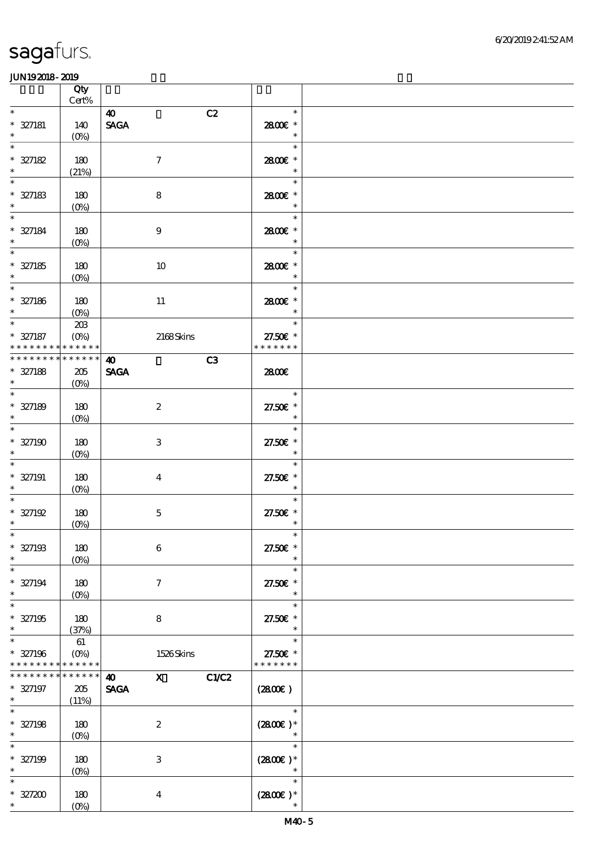|                                                    | Qty<br>$Cert\%$                         |                                                              |                                     |  |
|----------------------------------------------------|-----------------------------------------|--------------------------------------------------------------|-------------------------------------|--|
| $\ast$                                             |                                         |                                                              | $\ast$                              |  |
| $* 327181$<br>$\ast$                               | 140<br>$(O\%)$                          | C2<br>$\boldsymbol{\omega}$<br>$\ensuremath{\mathsf{SAGA}}$  | 2800 £*<br>$\ast$                   |  |
| $\ast$<br>$* 327182$<br>$\ast$                     | 180<br>(21%)                            | $\boldsymbol{7}$                                             | $\ast$<br>2800€ *<br>$\ast$         |  |
| $\ast$<br>$* 327183$<br>$\ast$                     | 180<br>$(O\%)$                          | ${\bf 8}$                                                    | $\ast$<br>2800€ *<br>$\ast$         |  |
| $\ast$<br>$* 327184$<br>$\ast$                     | 180<br>$(0\%)$                          | $\boldsymbol{9}$                                             | $\ast$<br>2800€ *<br>$\ast$         |  |
| $\ast$<br>$* 327185$<br>$\ast$                     | 180<br>$(0\%)$                          | 10                                                           | $\ast$<br>2800€ *<br>$\ast$         |  |
| $\ast$<br>$* 327186$<br>$\ast$                     | 180<br>$(0\%)$                          | $11\,$                                                       | $\ast$<br>2800€ *<br>$\ast$         |  |
| $\overline{\ast}$<br>$* 327187$<br>* * * * * * * * | $203\,$<br>$(O\!/\!\!\delta)$<br>****** | 2168Skins                                                    | $\ast$<br>27.50£ *<br>* * * * * * * |  |
| * * * * * * * * * * * * * *                        |                                         | C3<br>$\boldsymbol{\omega}$                                  |                                     |  |
| $* 327188$<br>$\ast$                               | 205<br>$(0\%)$                          | <b>SAGA</b>                                                  | 2800€                               |  |
| $\ast$<br>$* 327189$<br>$\ast$                     | 180<br>$(O\%)$                          | $\boldsymbol{z}$                                             | $\ast$<br>27.50€ *<br>$\ast$        |  |
| $\overline{\ast}$<br>$* 327190$<br>$\ast$          | 180<br>$(0\%)$                          | $\,3\,$                                                      | $\ast$<br>27.50€ *<br>$\ast$        |  |
| $\ast$<br>$* 327191$<br>$\ast$                     | 180<br>$(O\!/\!o)$                      | $\overline{\mathbf{4}}$                                      | $\ast$<br>27.50€ *<br>$\ast$        |  |
| $\ast$<br>$* 327192$<br>$\ast$                     | 180<br>$(0\%)$                          | $\mathbf 5$                                                  | $\ast$<br>27.50€ *<br>$\ast$        |  |
| $* 327193$<br>$\ast$                               | $180$<br>$(0\%)$                        | $\bf 6$                                                      | 27.50€ *<br>$\ast$                  |  |
| $\ast$<br>$* 327194$<br>$\ast$                     | 180<br>$(0\%)$                          | $\boldsymbol{\tau}$                                          | $\ast$<br>27.50€ *<br>$\ast$        |  |
| $\ast$<br>$* 327195$<br>$\ast$                     | 180<br>(37%)                            | 8                                                            | $\ast$<br>27.50€ *<br>$\ast$        |  |
| $\ast$<br>$* 327196$<br>* * * * * * * *            | 61<br>$(O\%)$<br>* * * * * *            | 1526Skins                                                    | $\ast$<br>27.50€ *<br>* * * * * * * |  |
| * * * * * * *<br>$* 327197$<br>$\ast$              | * * * * * *<br>205<br>(11%)             | C1/C2<br>$\mathbf X$<br>$\boldsymbol{\omega}$<br><b>SAGA</b> | $(2800\varepsilon)$                 |  |
| $\ast$<br>$* 327198$<br>$\ast$                     | 180<br>$(O\%)$                          | $\boldsymbol{2}$                                             | $\ast$<br>$(2800)$ *                |  |
| $\ast$<br>$* 327199$<br>$\ast$                     | 180<br>$(0\%)$                          | $\,3\,$                                                      | $\ast$<br>$(2800)$ *<br>$\ast$      |  |
| $\ast$<br>$* 327200$<br>$\ast$                     | 180<br>$(O\!/\!o)$                      | $\boldsymbol{4}$                                             | $\ast$<br>$(2800)$ *<br>$\ast$      |  |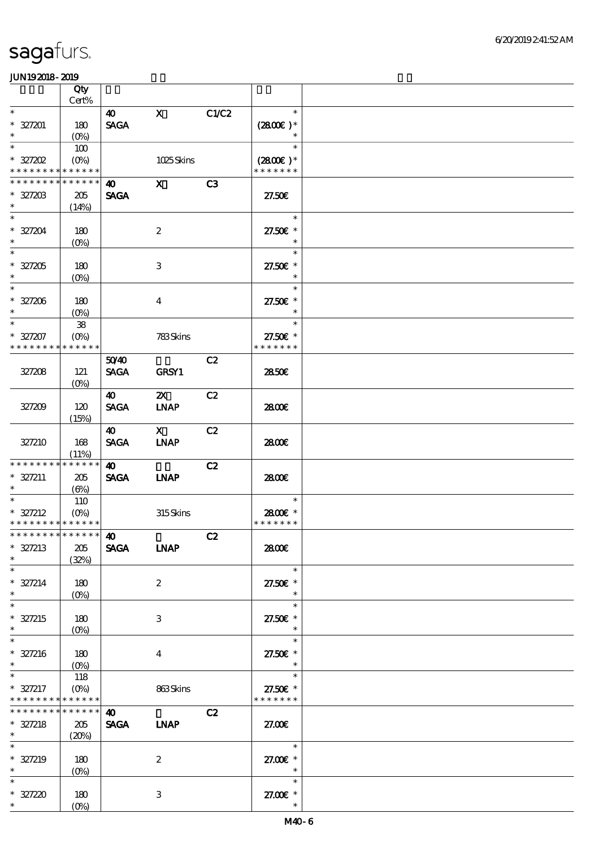|                                                             | Qty                                  |                                      |                             |       |                                                  |  |
|-------------------------------------------------------------|--------------------------------------|--------------------------------------|-----------------------------|-------|--------------------------------------------------|--|
| $\ast$                                                      | $Cert\%$                             |                                      |                             |       | $\ast$                                           |  |
| $* 327201$<br>$\ast$                                        | 180<br>$(O\%)$                       | $\boldsymbol{\omega}$<br><b>SAGA</b> | $\mathbf{x}$                | C1/C2 | $(2800)$ *<br>$\ast$                             |  |
| $\ast$                                                      | 100                                  |                                      |                             |       | $\ast$                                           |  |
| $*$ 327202                                                  | $(O\%)$                              |                                      | 1025Skins                   |       | $(2800)$ *<br>* * * * * * *                      |  |
| * * * * * * * * <mark>* * * * * *</mark><br>* * * * * * * * | * * * * * *                          |                                      |                             |       |                                                  |  |
| * 327203<br>$\ast$                                          | 205<br>(14%)                         | $\boldsymbol{\omega}$<br><b>SAGA</b> | $\mathbf{x}$                | C3    | 27.50E                                           |  |
| $\ast$<br>$* 327204$<br>$\ast$                              | 180<br>$(0\%)$                       |                                      | $\boldsymbol{2}$            |       | $\ast$<br>27.50€ *<br>$\ast$                     |  |
| $\ast$<br>$* 327205$<br>$\ast$                              | 180<br>$(0\%)$                       |                                      | $\,3$                       |       | $\ast$<br>27.50€ *                               |  |
| $\overline{\phantom{0}}$<br>$* 327206$<br>$\ast$            | 180<br>$(0\%)$                       |                                      | $\boldsymbol{4}$            |       | $\ast$<br>27.50€ *<br>$\ast$                     |  |
| $\overline{\ast}$<br>$* 327207$<br>* * * * * * * *          | ${\bf 38}$<br>$(O\%)$<br>* * * * * * |                                      | 783Skins                    |       | $\ast$<br>27.50€ *<br>* * * * * * *              |  |
| 327208                                                      | 121<br>(O <sub>0</sub> )             | 5040<br><b>SAGA</b>                  | GRSY1                       | C2    | 2850E                                            |  |
| 327209                                                      | 120<br>(15%)                         | <b>40</b><br><b>SAGA</b>             | $\mathbf{X}$<br><b>INAP</b> | C2    | 2800E                                            |  |
| 327210                                                      | 168<br>(11%)                         | $\boldsymbol{\omega}$<br><b>SAGA</b> | $\mathbf{X}$<br><b>LNAP</b> | C2    | 2800E                                            |  |
| * * * * * * * *<br>$* 327211$<br>$\ast$                     | * * * * * *<br>205<br>$(\Theta)$     | 40<br><b>SAGA</b>                    | <b>INAP</b>                 | C2    | 2800€                                            |  |
| $\ast$<br>$* 327212$<br>* * * * * * * * * * * * * *         | 110<br>$(O\!\!\!\!\!\!\!/\,\!o)$     |                                      | 315Skins                    |       | $\ast$<br>2800€ *<br>* * * * * * *               |  |
| *************** 10<br>$* 327213$<br>$\ast$                  | 205<br>(32%)                         | <b>SAGA</b>                          | <b>LNAP</b>                 | C2    | 2800€                                            |  |
| $\ast$<br>$* 327214$<br>$\ast$                              | 180<br>$(0\%)$                       |                                      | $\boldsymbol{2}$            |       | $\ast$<br>27.50€ *<br>$\ast$                     |  |
| $\ast$<br>$* 327215$<br>$\ast$                              | 180<br>$(0\%)$                       |                                      | 3                           |       | $\ast$<br>27.50€ *<br>$\ast$                     |  |
| $\ast$<br>$* 327216$<br>$\ast$                              | 180<br>$(O\%)$                       |                                      | $\boldsymbol{4}$            |       | $\ast$<br>27.50€ *<br>$\ast$                     |  |
| $\ast$<br>$* 327217$<br>* * * * * * * *                     | 118<br>$(O\%)$<br>* * * * * *        |                                      | 863Skins                    |       | $\ast$<br>27.50 $\varepsilon$ *<br>* * * * * * * |  |
| * * * * * * * *<br>$* 327218$<br>$*$                        | ******<br>205<br>(20%)               | $\boldsymbol{\omega}$<br><b>SAGA</b> | <b>INAP</b>                 | C2    | 27.00E                                           |  |
| $\overline{\ast}$<br>$* 327219$<br>$\ast$                   | 180<br>$(0\%)$                       |                                      | $\boldsymbol{2}$            |       | $\ast$<br>27.00 £*<br>$\ast$                     |  |
| $\ast$<br>$* 327220$<br>$\ast$                              | 180<br>$(O\!/\!\delta)$              |                                      | $\,3\,$                     |       | $\ast$<br>27.00 £*<br>$\ast$                     |  |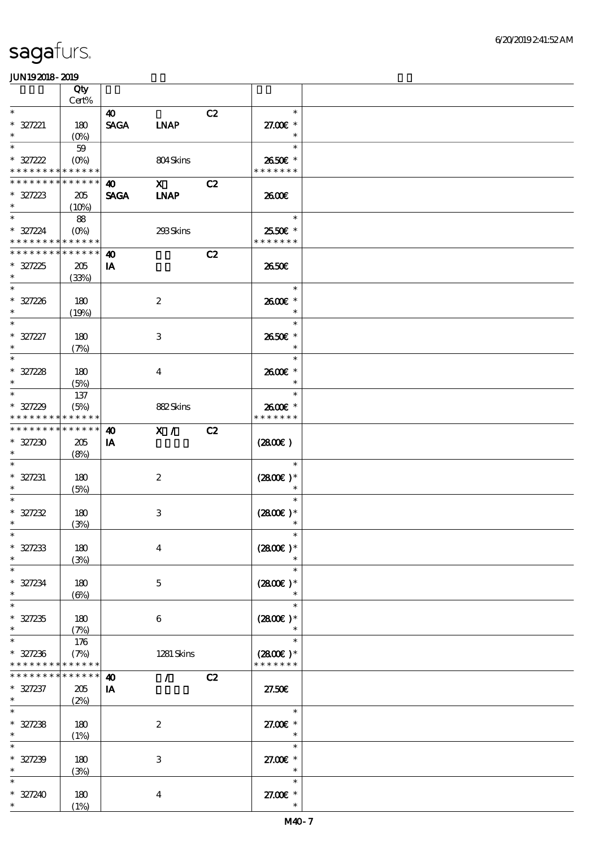|                                                                | Qty                        |                                      |                            |    |                                                      |  |
|----------------------------------------------------------------|----------------------------|--------------------------------------|----------------------------|----|------------------------------------------------------|--|
| $\ast$                                                         | Cert%                      |                                      |                            |    | $\ast$                                               |  |
| $* 327221$<br>$\ast$                                           | 180<br>$(O\%)$             | $\boldsymbol{\omega}$<br><b>SAGA</b> | <b>LNAP</b>                | C2 | 27.00 £*<br>$\ast$                                   |  |
| $\ast$<br>$* 327222$                                           | 59                         |                                      | 804Skins                   |    | $\ast$<br>2650€ *                                    |  |
| * * * * * * * * * * * * * *                                    |                            |                                      |                            |    | * * * * * * *                                        |  |
| * * * * * * * * * * * * * *<br>$* 327223$<br>$\ast$            | 205<br>(10%)               | 40<br><b>SAGA</b>                    | $\mathbf x$<br><b>INAP</b> | C2 | 2600€                                                |  |
| $\overline{\ast}$<br>$* 327224$<br>* * * * * * * * * * * * * * | 88<br>$(O\%)$              |                                      | 293Skins                   |    | $\overline{\phantom{a}}$<br>2550€ *<br>* * * * * * * |  |
| * * * * * * * * * * * * * *                                    |                            | $\boldsymbol{\omega}$                |                            | C2 |                                                      |  |
| $* 327225$<br>$\ast$                                           | 205<br>(33%)               | IA                                   |                            |    | 2650E                                                |  |
| $\overline{\ast}$<br>$* 327226$<br>$\ast$                      | 180<br>(19%)               |                                      | $\boldsymbol{2}$           |    | $\ast$<br>2600€ *<br>$\ast$                          |  |
| $\ast$<br>$* 327227$<br>$\ast$                                 | 180<br>(7%)                |                                      | $\,3$                      |    | $\ast$<br>2650€ *<br>$\ast$                          |  |
| $\ast$<br>$* 327228$<br>$\ast$                                 | 180<br>(5%)                |                                      | $\bf{4}$                   |    | $\ast$<br>2600€ *<br>$\ast$                          |  |
| $\ast$<br>$* 327229$<br>* * * * * * * *                        | 137<br>(5%)<br>* * * * * * |                                      | 882Skins                   |    | $\ast$<br>2600€ *<br>* * * * * * *                   |  |
| ******** <mark>******</mark>                                   |                            | $\boldsymbol{\omega}$                | X /                        | C2 |                                                      |  |
| $* 327230$<br>$\ast$                                           | 205<br>(8%)                | <b>IA</b>                            |                            |    | $(2800\varepsilon)$                                  |  |
| $\ast$<br>$* 327231$<br>$\ast$                                 | 180<br>(5%)                |                                      | $\boldsymbol{z}$           |    | $\ast$<br>$(2800)$ *<br>$\ast$                       |  |
| $\ast$<br>$* 327232$<br>$\ast$                                 | 180<br>(3%)                |                                      | $\,3$                      |    | $\ast$<br>$(2800)$ *<br>$\ast$                       |  |
| $*$<br>$* 327233$<br>$\ast$                                    | 180<br>(3%)                |                                      | $\boldsymbol{4}$           |    | $\ast$<br>$(2800)$ *<br>$\ast$                       |  |
| $\ast$<br>$* 327234$<br>$\ast$                                 | 180<br>$(\Theta)$          |                                      | $\mathbf{5}$               |    | $\ast$<br>$(2800)$ *<br>$\ast$                       |  |
| $\ast$<br>$* 327235$<br>$\ast$                                 | 180<br>(7%)                |                                      | 6                          |    | $\ast$<br>$(2800)$ *                                 |  |
| $\ast$<br>$* 327236$<br>* * * * * * * * * * * * * *            | 176<br>(7%)                |                                      | 1281 Skins                 |    | $\ast$<br>$(2800)$ *<br>* * * * * * *                |  |
| * * * * * * *                                                  | * * * * * *                | $\boldsymbol{\omega}$                | $\mathcal{L}$              | C2 |                                                      |  |
| $* 327237$<br>$\ast$                                           | 205<br>(2%)                | IA                                   |                            |    | 27.50E                                               |  |
| $\ast$<br>$* 327238$<br>$\ast$                                 | 180<br>(1%)                |                                      | $\boldsymbol{2}$           |    | $\ast$<br>27.00€ *<br>$\ast$                         |  |
| $\ast$<br>$* 327239$<br>$\ast$                                 | 180<br>(3%)                |                                      | $\,3$                      |    | $\ast$<br>27.00 £*<br>$\ast$                         |  |
| $\ast$<br>$* 327240$<br>$*$                                    | 180<br>(1%)                |                                      | $\boldsymbol{4}$           |    | $\ast$<br>27.00 £*<br>$\ast$                         |  |
|                                                                |                            |                                      |                            |    |                                                      |  |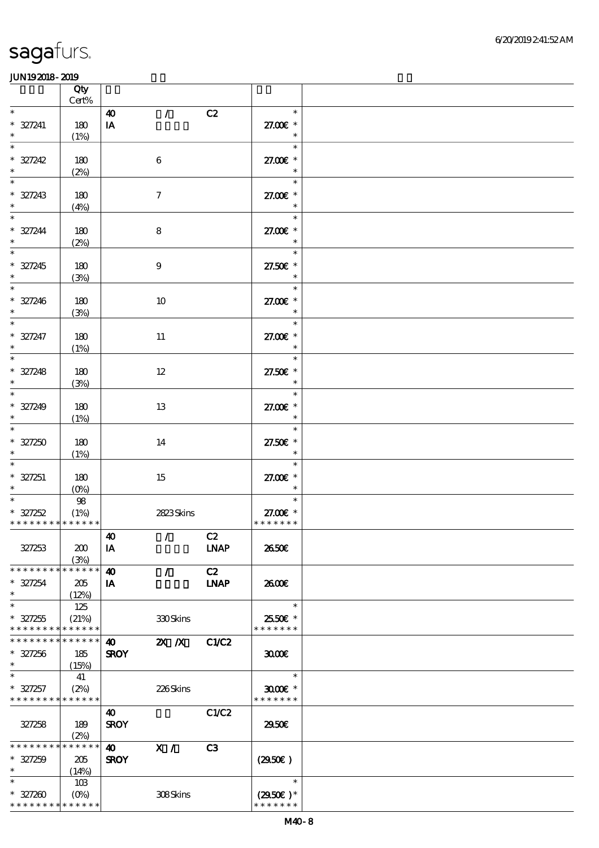|                                    | Qty                 |                             |                  |                |                      |  |
|------------------------------------|---------------------|-----------------------------|------------------|----------------|----------------------|--|
| $\ast$                             | $Cert\%$            |                             |                  |                | $\ast$               |  |
| $* 327241$                         | 180                 | $\boldsymbol{\omega}$<br>IA | $\mathcal{L}$    | C2             | 27.00 £*             |  |
| $\ast$                             | (1%)                |                             |                  |                | $\ast$               |  |
| $\ast$                             |                     |                             |                  |                | $\ast$               |  |
| $* 327242$                         | 180                 |                             | $\,6\,$          |                | 27.00 £*             |  |
| $\ast$                             | (2%)                |                             |                  |                | $\ast$               |  |
| $\ast$                             |                     |                             |                  |                | $\ast$               |  |
| $* 327243$                         | 180                 |                             | $\boldsymbol{7}$ |                | 27.00 £*             |  |
| $\ast$                             | (4%)                |                             |                  |                | $\ast$               |  |
| $\ast$                             |                     |                             |                  |                | $\ast$               |  |
| $* 327244$<br>$\ast$               | 180<br>(2%)         |                             | 8                |                | 27.00€ *<br>$\ast$   |  |
| $\overline{\ast}$                  |                     |                             |                  |                | Tarihin Sa<br>$\ast$ |  |
| $* 327245$                         | 180                 |                             | $\boldsymbol{9}$ |                | 27.50€ *             |  |
| $\ast$                             | (3%)                |                             |                  |                | $\ast$               |  |
|                                    |                     |                             |                  |                | $\ast$               |  |
| $* 327246$<br>$\ast$               | 180                 |                             | $10\,$           |                | 27.00 £*             |  |
| $\overline{\phantom{0}}$           | (3%)                |                             |                  |                | $\ast$<br>$\ast$     |  |
| $* 327247$                         | 180                 |                             | $11\,$           |                | 27.00 £*             |  |
| $\ast$                             | (1%)                |                             |                  |                | $\ast$               |  |
| $\overline{\ast}$                  |                     |                             |                  |                | $\ast$               |  |
| $* 327248$                         | 180                 |                             | $12\,$           |                | 27.50€ *             |  |
| $\ast$<br>$\overline{\phantom{0}}$ | (3%)                |                             |                  |                | $\ast$               |  |
|                                    |                     |                             |                  |                | $\ast$               |  |
| $* 327249$<br>$\ast$               | 180                 |                             | 13               |                | 27.00 £*<br>$\ast$   |  |
| $\ast$                             | (1%)                |                             |                  |                | $\ast$               |  |
| $* 327250$                         | 180                 |                             | 14               |                | 27.50£ *             |  |
| $\ast$                             | (1%)                |                             |                  |                | $\ast$               |  |
| $\ast$                             |                     |                             |                  |                | $\ast$               |  |
| $* 327251$                         | 180                 |                             | 15               |                | 27.00 £*             |  |
| $\ast$                             | (O <sub>0</sub> )   |                             |                  |                | $\ast$<br>$\ast$     |  |
| $* 327252$                         | $98\,$<br>(1%)      |                             | 2823Skins        |                | 27.00€ *             |  |
| * * * * * * * * * * * * * *        |                     |                             |                  |                | * * * * * * *        |  |
|                                    |                     | $\boldsymbol{\Lambda}$      | $\sqrt{C^2}$     |                |                      |  |
| 327253                             | 200                 | IA                          |                  | <b>LNAP</b>    | 2650E                |  |
|                                    | (3%)                |                             |                  |                |                      |  |
| * * * * * * * *                    | * * * * * *         | $\boldsymbol{\omega}$       | $\mathcal{L}$    | C2             |                      |  |
| $* 327254$<br>$\ast$               | 205<br>(12%)        | IA                          |                  | <b>LNAP</b>    | 2600E                |  |
| $\ast$                             | 125                 |                             |                  |                | $\ast$               |  |
| $* 327255$                         | (21%)               |                             | 330Skins         |                | 2550€ *              |  |
| * * * * * * * * * * * * * *        |                     |                             |                  |                | * * * * * * *        |  |
| * * * * * * * * * * * * * *        |                     | $\boldsymbol{\omega}$       | $X$ $N$          | C1/C2          |                      |  |
| $* 327256$<br>$\ast$               | 185                 | <b>SROY</b>                 |                  |                | 3000                 |  |
| $\ast$                             | (15%)<br>41         |                             |                  |                | $\ast$               |  |
| $* 327257$                         | (2%)                |                             | 226Skins         |                | $3000$ $*$           |  |
| * * * * * * * * * * * * * *        |                     |                             |                  |                | * * * * * * *        |  |
|                                    |                     | $\boldsymbol{\omega}$       |                  | C1/C2          |                      |  |
| 327258                             | 189                 | <b>SROY</b>                 |                  |                | 2950E                |  |
| * * * * * * * *                    | (2%)<br>* * * * * * |                             |                  |                |                      |  |
| $* 327259$                         | 205                 | 40<br><b>SROY</b>           | X /              | C <sub>3</sub> | (2950)               |  |
| $\ast$                             | (14%)               |                             |                  |                |                      |  |
| $\ast$                             | 10B                 |                             |                  |                | $\ast$               |  |
| $* 327200$                         |                     |                             | 308Skins         |                | $(2950)$ *           |  |
| * * * * * * * * * * * * * *        |                     |                             |                  |                | * * * * * * *        |  |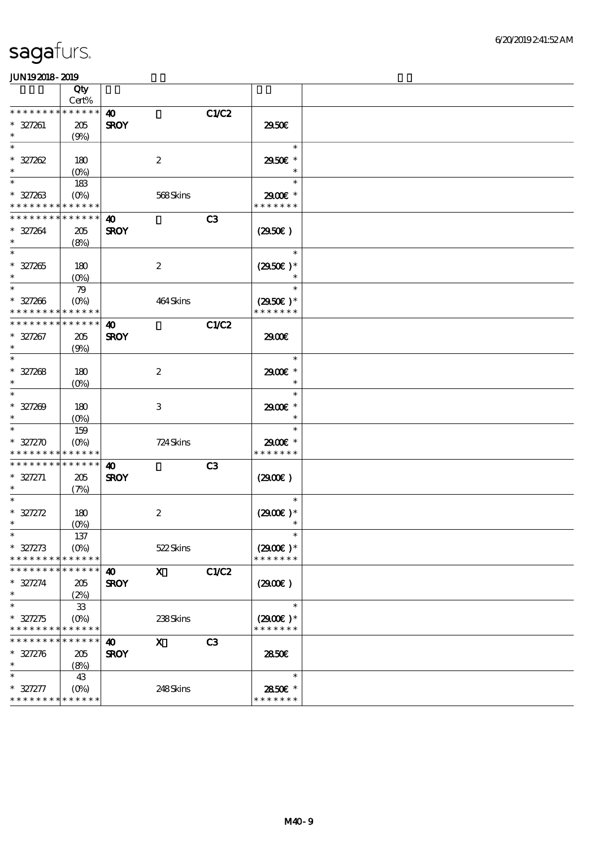|                                            | Qty                |                       |                           |                |                   |  |
|--------------------------------------------|--------------------|-----------------------|---------------------------|----------------|-------------------|--|
|                                            | Cert%              |                       |                           |                |                   |  |
| * * * * * * * * * * * * * *                |                    | $\boldsymbol{\omega}$ |                           | <b>C1/C2</b>   |                   |  |
| $* 327261$                                 | 205                | <b>SROY</b>           |                           |                | 2950€             |  |
| $\ast$                                     | (9%)               |                       |                           |                |                   |  |
| $\ast$                                     |                    |                       |                           |                | $\ast$            |  |
| $* 327262$                                 | 180                |                       | $\boldsymbol{2}$          |                | 2950€ *           |  |
| $\ast$                                     | (O <sub>0</sub> )  |                       |                           |                | $\ast$            |  |
| $\ast$                                     | 183                |                       |                           |                | $\ast$            |  |
| $* 327263$<br>* * * * * * * * * * * * * *  | $(O\%)$            |                       | 568Skins                  |                | 2900€ *           |  |
| * * * * * * * * * * * * * *                |                    |                       |                           |                | * * * * * * *     |  |
|                                            |                    | $\boldsymbol{\omega}$ |                           | C3             |                   |  |
| $* 327264$<br>$\ast$                       | 205                | <b>SROY</b>           |                           |                | (2950)            |  |
| $\ast$                                     | (8%)               |                       |                           |                | $\ast$            |  |
|                                            |                    |                       |                           |                |                   |  |
| $* 327265$<br>$\ast$                       | 180                |                       | $\boldsymbol{2}$          |                | $(2950)$ *        |  |
| $\ast$                                     | $(0\%)$<br>79      |                       |                           |                | $\ast$            |  |
| $* 327206$                                 | $(O\%)$            |                       | 464Skins                  |                | $(2950\epsilon)*$ |  |
| * * * * * * * * * * * * * *                |                    |                       |                           |                | * * * * * * *     |  |
| * * * * * * * * * * * * * *                |                    | $\boldsymbol{\omega}$ |                           | <b>C1/C2</b>   |                   |  |
| $* 327267$                                 | 205                | <b>SROY</b>           |                           |                | 2900€             |  |
| $\ast$                                     | (9%)               |                       |                           |                |                   |  |
| $\ast$                                     |                    |                       |                           |                | $\ast$            |  |
| $* 327268$                                 | 180                |                       | $\boldsymbol{2}$          |                | 2900€ *           |  |
| $\ast$                                     | $(O\!/\!o)$        |                       |                           |                | $\ast$            |  |
| $\ast$                                     |                    |                       |                           |                | $\ast$            |  |
| $* 327209$                                 | 180                |                       | 3                         |                | 2900€ *           |  |
| $\ast$                                     | $(O\% )$           |                       |                           |                | $\ast$            |  |
| $\ast$                                     | 159                |                       |                           |                | $\ast$            |  |
| $* 327270$                                 | $(O\%)$            |                       | 724 Skins                 |                | 2900€ *           |  |
| * * * * * * * * <mark>* * * * * * *</mark> |                    |                       |                           |                | * * * * * * *     |  |
| * * * * * * * * * * * * * *                |                    | 40                    |                           | C <sub>3</sub> |                   |  |
| $* 327271$                                 | 205                | <b>SROY</b>           |                           |                | (2900)            |  |
| $\ast$                                     | (7%)               |                       |                           |                |                   |  |
|                                            |                    |                       |                           |                | $\ast$            |  |
| $* 327272$                                 | 180                |                       | $\boldsymbol{2}$          |                | $(2900)$ *        |  |
| $\ast$                                     | $(O\!/\!\!\delta)$ |                       |                           |                |                   |  |
|                                            | 137                |                       |                           |                |                   |  |
| $* 327273$                                 | (O <sub>0</sub> )  |                       | 522Skins                  |                | $(2900)$ *        |  |
| * * * * * * * *                            | * * * * * *        |                       |                           |                | * * * * * * *     |  |
| * * * * * * * * * * * * * *                |                    | $\boldsymbol{\omega}$ | $\boldsymbol{\mathsf{X}}$ | C1/C2          |                   |  |
| $* 327274$                                 | 205                | <b>SROY</b>           |                           |                | (2900)            |  |
| $\ast$                                     | (2%)               |                       |                           |                |                   |  |
| $\ast$                                     | ${\bf 33}$         |                       |                           |                | $\ast$            |  |
| $* 327275$                                 | $(O\%)$            |                       | 238Skins                  |                | $(2900)$ *        |  |
| * * * * * * * * * * * * * *                |                    |                       |                           |                | * * * * * * *     |  |
| * * * * * * * *                            | * * * * * *        | $\boldsymbol{\omega}$ | $\mathbf{x}$              | C <sub>3</sub> |                   |  |
| $* 327276$                                 | 205                | <b>SROY</b>           |                           |                | 2850E             |  |
| $\ast$                                     | (8%)               |                       |                           |                |                   |  |
| $\ast$                                     | 43                 |                       |                           |                | $\ast$            |  |
| $* 327277$                                 | $(O\%)$            |                       | 248Skins                  |                | 2850€ *           |  |
| * * * * * * * *                            | * * * * * *        |                       |                           |                | * * * * * * *     |  |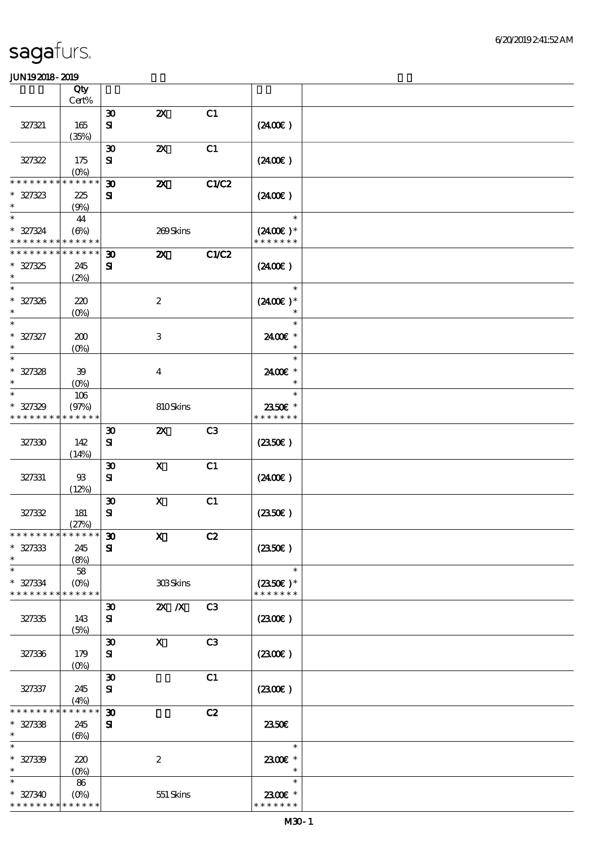|                                                        | Qty                        |                                          |                           |                |                                    |  |
|--------------------------------------------------------|----------------------------|------------------------------------------|---------------------------|----------------|------------------------------------|--|
|                                                        | Cert%                      |                                          | $\boldsymbol{\mathsf{z}}$ | C1             |                                    |  |
| 327321                                                 | 165                        | $\boldsymbol{\mathfrak{D}}$<br>${\bf s}$ |                           |                | (240E)                             |  |
|                                                        | (35%)                      |                                          |                           |                |                                    |  |
| 327322                                                 | 175                        | $\boldsymbol{\mathfrak{D}}$<br>${\bf s}$ | $\boldsymbol{\mathsf{z}}$ | C1             | (240E)                             |  |
| * * * * * * *                                          | $(0\%)$<br>* * * * * *     |                                          |                           |                |                                    |  |
| $* 327323$<br>$\ast$                                   | 225                        | $\boldsymbol{\mathfrak{D}}$<br>${\bf s}$ | $\boldsymbol{\mathsf{X}}$ | C1/C2          | (240E)                             |  |
| $\ast$                                                 | (9%)<br>44                 |                                          |                           |                | $\ast$                             |  |
| $* 327324$<br>* * * * * * * * <mark>* * * * * *</mark> | $(\Theta)$                 |                                          | 269Skins                  |                | $(2400)$ *<br>* * * * * * *        |  |
| * * * * * * * *                                        | * * * * * *                | $\boldsymbol{\mathfrak{D}}$              | $\boldsymbol{\mathsf{X}}$ | C1/C2          |                                    |  |
| $* 327325$<br>$\ast$                                   | 245<br>(2%)                | ${\bf s}$                                |                           |                | (240E)                             |  |
| $\ast$                                                 |                            |                                          |                           |                | $\ast$                             |  |
| $* 327326$<br>$\ast$                                   | 220<br>(0%)                |                                          | $\boldsymbol{2}$          |                | $(2400)$ *<br>$\ast$               |  |
| $\ast$                                                 |                            |                                          |                           |                | $\ast$                             |  |
| $* 327327$<br>$\ast$                                   | 200<br>$(O\!/\!o)$         |                                          | $\,3$                     |                | 2400€ *<br>$\ast$                  |  |
| $\ast$                                                 |                            |                                          |                           |                | $\ast$                             |  |
| $* 327328$<br>$\ast$                                   | 39<br>$(O\%)$              |                                          | $\boldsymbol{4}$          |                | 2400€ *<br>$\ast$                  |  |
| $\ast$                                                 | 106                        |                                          |                           |                | $\ast$                             |  |
| $* 327329$<br>* * * * * * * *                          | (97%)<br>* * * * * *       |                                          | 810Skins                  |                | 2350€ *<br>* * * * * * *           |  |
| 327330                                                 | 142                        | $\boldsymbol{\mathfrak{D}}$<br>${\bf s}$ | $\boldsymbol{\mathsf{z}}$ | C3             | (2350)                             |  |
|                                                        | (14%)                      |                                          |                           |                |                                    |  |
|                                                        |                            | $\boldsymbol{\mathfrak{D}}$              | $\boldsymbol{X}$          | C1             |                                    |  |
| 327331                                                 | 93<br>(12%)                | ${\bf s}$                                |                           |                | (2400)                             |  |
|                                                        |                            | $\boldsymbol{\mathfrak{D}}$              | $\boldsymbol{\mathrm{X}}$ | C1             |                                    |  |
| 327332                                                 | 181                        | ${\bf s}$                                |                           |                | (2350)                             |  |
|                                                        | (27%)                      |                                          |                           |                |                                    |  |
| * * * * * * * * * * * * * * *                          |                            | $\pmb{\mathfrak{D}}$                     | $\mathbf{X}$              | C2             |                                    |  |
| $* 327333$<br>$\ast$                                   | 245<br>(8%)                | ${\bf s}$                                |                           |                | (2350)                             |  |
| $\ast$                                                 | 58                         |                                          |                           |                | $\ast$                             |  |
| $* 327334$<br>* * * * * * * *                          | $(O\!/\!o)$<br>* * * * * * |                                          | 308Skins                  |                | $(2350\text{E})*$<br>* * * * * * * |  |
|                                                        |                            | $\boldsymbol{\mathfrak{D}}$              | $2X$ $X$                  | C <sub>3</sub> |                                    |  |
| 327335                                                 | 143<br>(5%)                | ${\bf s}$                                |                           |                | (230E)                             |  |
|                                                        |                            | $\boldsymbol{\mathfrak{D}}$              | $\mathbf x$               | C <sub>3</sub> |                                    |  |
| 327336                                                 | 179<br>(O <sub>0</sub> )   | ${\bf s}$                                |                           |                | (230)                              |  |
|                                                        |                            | $\boldsymbol{\mathfrak{D}}$              |                           | C1             |                                    |  |
| 327337                                                 | 245<br>(4%)                | ${\bf s}$                                |                           |                | (230E)                             |  |
| * * * * * *                                            | * * * * * *                | $\boldsymbol{\mathfrak{D}}$              |                           | C2             |                                    |  |
| $* 327338$<br>$\ast$                                   | 245<br>$(\Theta\%)$        | ${\bf s}$                                |                           |                | 2350E                              |  |
| $\ast$                                                 |                            |                                          |                           |                | $\ast$                             |  |
| $* 327339$                                             | 220                        |                                          | $\boldsymbol{2}$          |                | 2300€ *                            |  |
| $\ast$                                                 | (O <sub>0</sub> )          |                                          |                           |                | $\ast$                             |  |
| $\ast$                                                 | 86                         |                                          |                           |                | $\ast$                             |  |
| $* 327340$<br>* * * * * * * *                          | $(0\%)$<br>* * * * * *     |                                          | 551 Skins                 |                | 2300E *<br>* * * * * * *           |  |
|                                                        |                            |                                          |                           |                |                                    |  |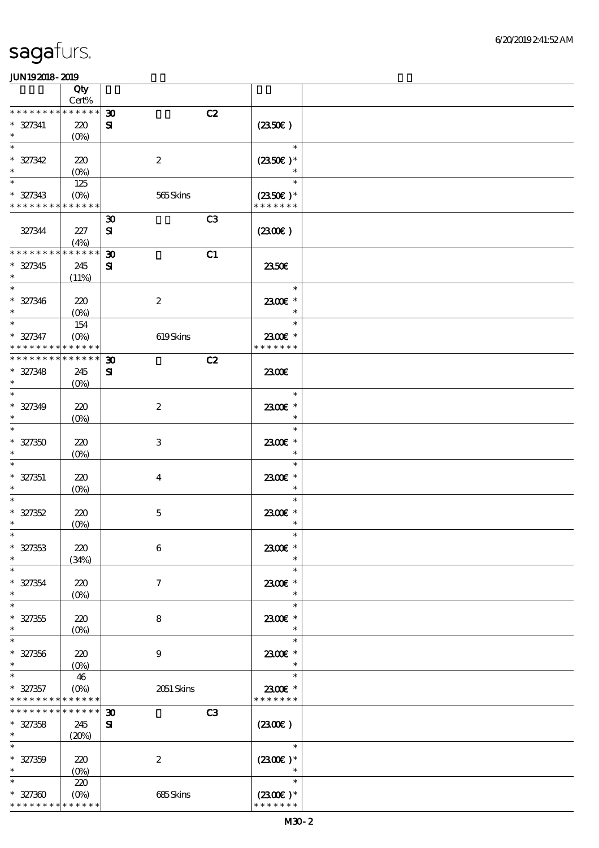|                             | Qty                        |                                   |                   |  |
|-----------------------------|----------------------------|-----------------------------------|-------------------|--|
|                             | Cert%                      |                                   |                   |  |
| * * * * * * * *             | $******$                   | $\boldsymbol{\mathfrak{D}}$<br>C2 |                   |  |
| $* 327341$                  | 220                        | ${\bf s}$                         | $(235E)$          |  |
| $\ast$                      | $(O\!/\!o)$                |                                   |                   |  |
|                             |                            |                                   | $\ast$            |  |
| $* 327342$                  | 220                        | $\boldsymbol{2}$                  | $(2350)$ *        |  |
| $\ast$                      | $(0\%)$                    |                                   | $\ast$            |  |
| $\ast$                      | 125                        |                                   | $\ast$            |  |
| $* 327343$                  | $(O\%)$                    | 565Skins                          | $(2350\epsilon)*$ |  |
| * * * * * * * * * * * * * * |                            |                                   | * * * * * * *     |  |
|                             |                            | C3<br>$\boldsymbol{\mathfrak{D}}$ |                   |  |
| 327344                      | 227                        | $\mathbf{S}$                      | (230E)            |  |
|                             | (4%)                       |                                   |                   |  |
| * * * * * * * *             | * * * * * *                | C1<br>$\boldsymbol{\mathfrak{D}}$ |                   |  |
| $* 327345$                  | 245                        | $\mathbf{S}$                      | 2350E             |  |
| $\ast$                      | (11%)                      |                                   |                   |  |
| $\ast$                      |                            |                                   | $\ast$            |  |
| $* 327346$                  | 220                        | $\boldsymbol{2}$                  | 2300€ *           |  |
| $\ast$                      | $(O\%)$                    |                                   | $\ast$            |  |
| $\ast$                      | 154                        |                                   | $\ast$            |  |
| $* 327347$                  | $(O\%)$                    | 619Skins                          | 2300€ *           |  |
| * * * * * * * *             | * * * * * *<br>* * * * * * |                                   | * * * * * * *     |  |
| * * * * * * * *             |                            | C2<br>$\boldsymbol{\mathfrak{D}}$ |                   |  |
| $* 327348$                  | 245                        | ${\bf s}$                         | 2300E             |  |
| $\ast$                      | (O <sub>0</sub> )          |                                   |                   |  |
| $\ast$                      |                            |                                   | $\ast$            |  |
| $* 327349$                  | 220                        | $\boldsymbol{2}$                  | 2300€ *           |  |
| $\ast$<br>$\ast$            | $(O\%)$                    |                                   | $\ast$            |  |
|                             |                            |                                   | $\ast$            |  |
| $* 327350$                  | 220                        | 3                                 | 2300€ *           |  |
| $\ast$<br>$\ast$            | $(0\%)$                    |                                   | $\ast$<br>$\ast$  |  |
|                             |                            |                                   |                   |  |
| $* 327351$<br>$\ast$        | 220                        | $\bf{4}$                          | 2300E *<br>$\ast$ |  |
| $\ast$                      | $(0\%)$                    |                                   | $\ast$            |  |
|                             |                            |                                   |                   |  |
| $* 327352$<br>$\ast$        | 220                        | $\mathbf 5$                       | 2300 £*<br>$\ast$ |  |
| $*$                         | $(0\%)$                    |                                   | $\ast$            |  |
|                             |                            |                                   |                   |  |
| $* 327353$<br>$\ast$        | 220                        | $\boldsymbol{6}$                  | 2300€ *<br>$\ast$ |  |
| $\ast$                      | (34%)                      |                                   | $\ast$            |  |
|                             |                            |                                   |                   |  |
| $* 327354$<br>$\ast$        | 220                        | $\tau$                            | 2300E *<br>$\ast$ |  |
| $\ast$                      | $(0\%)$                    |                                   | $\ast$            |  |
| $* 327355$                  | 220                        | 8                                 | 2300€ *           |  |
| $\ast$                      | $(O\%)$                    |                                   | $\ast$            |  |
| $\ast$                      |                            |                                   | $\ast$            |  |
| $* 327356$                  | 220                        | $\boldsymbol{9}$                  | 2300E *           |  |
| $\ast$                      | $(O\%)$                    |                                   | $\ast$            |  |
| $\ast$                      | 46                         |                                   | $\ast$            |  |
| $* 327357$                  | $(O\%)$                    | 2051 Skins                        | 2300€ *           |  |
| * * * * * * * * * * * * * * |                            |                                   | * * * * * * *     |  |
| * * * * * * * *             | * * * * * *                | C3<br>$\boldsymbol{\mathfrak{D}}$ |                   |  |
| $* 327358$                  | 245                        | $\mathbf{S}$                      | (2300)            |  |
| $\ast$                      | (20%)                      |                                   |                   |  |
| $\ast$                      |                            |                                   | $\ast$            |  |
| $* 327359$                  | 220                        | $\boldsymbol{2}$                  | $(2300E)*$        |  |
| $\ast$                      | $(0\%)$                    |                                   | $\ast$            |  |
| $\ast$                      | 220                        |                                   | $\ast$            |  |
| $* 327300$                  | $(O\%)$                    | 685Skins                          | $(2300)$ *        |  |
| * * * * * * * *             | * * * * * *                |                                   | * * * * * * *     |  |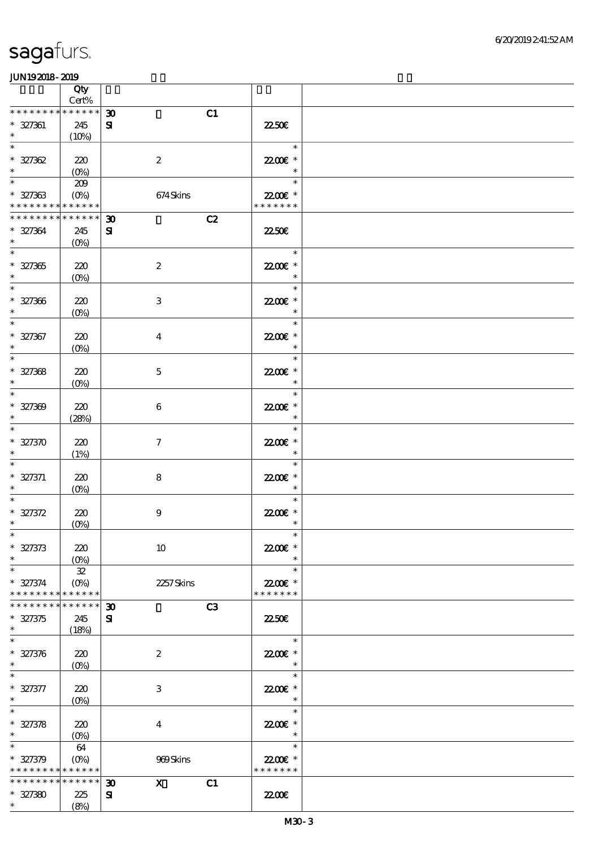|                                                               | Qty             |                                                   |                      |  |
|---------------------------------------------------------------|-----------------|---------------------------------------------------|----------------------|--|
| * * * * * * * * * * * * * *                                   | $\mbox{Cert}\%$ |                                                   |                      |  |
| $* 327361$                                                    | 245             | $\boldsymbol{\mathfrak{D}}$<br>C1<br>${\bf s}$    | <b>2250E</b>         |  |
| $\ast$                                                        | (10%)           |                                                   |                      |  |
| $\ast$                                                        |                 |                                                   | $\ast$               |  |
| $* 327362$                                                    | 220             | $\boldsymbol{2}$                                  | 22.00€ *             |  |
| $\ast$                                                        | $(0\%)$         |                                                   | $\ast$               |  |
| $\ast$                                                        | 209             |                                                   | $\ast$               |  |
| $* 327363$                                                    |                 | 674Skins                                          | 22.00 £*             |  |
| * * * * * * * * <mark>* * * * * * *</mark><br>* * * * * * * * |                 |                                                   | * * * * * * *        |  |
|                                                               | $******$        | C2<br>$\boldsymbol{\mathfrak{D}}$                 | <b>22.50E</b>        |  |
| $* 327364$<br>$\ast$                                          | 245<br>$(O_0)$  | ${\bf s}$                                         |                      |  |
| $\ast$                                                        |                 |                                                   | $\ast$               |  |
| $* 327365$                                                    | 220             | $\boldsymbol{2}$                                  | 22.00€ *             |  |
| $\ast$                                                        | $(0\%)$         |                                                   |                      |  |
| $\overline{\phantom{0}}$                                      |                 |                                                   | $\ast$               |  |
| $* 327366$                                                    | 220             | 3                                                 | 2200 $\varepsilon$ * |  |
| $\ast$                                                        | $(O\!/\!o)$     |                                                   | $\ast$               |  |
| $\overline{\ast}$                                             |                 |                                                   | $\ast$               |  |
| $* 327367$<br>$\ast$                                          | 220             | $\boldsymbol{4}$                                  | 22.00 £*<br>$\ast$   |  |
| $\ast$                                                        | $(O\!/\!o)$     |                                                   | $\ast$               |  |
| $* 327368$                                                    | 220             | $\mathbf 5$                                       | 22.00 £*             |  |
| $\ast$                                                        | $(0\%)$         |                                                   | $\ast$               |  |
| $\ast$                                                        |                 |                                                   | $\ast$               |  |
| $* 327309$                                                    | 220             | 6                                                 | 22.00 £*             |  |
| $\ast$                                                        | (28%)           |                                                   | $\ast$               |  |
| $\ast$                                                        |                 |                                                   | $\ast$               |  |
| $* 327370$                                                    | 220             | $\tau$                                            | 22.00€ *             |  |
| $\ast$<br>$\ast$                                              | (1%)            |                                                   | $\ast$<br>$\ast$     |  |
| $* 327371$                                                    | 220             | $\bf8$                                            | 22.00€ *             |  |
| $\ast$                                                        | $(O\%)$         |                                                   | $\ast$               |  |
|                                                               |                 |                                                   | $\ast$               |  |
| $* 327372$                                                    | 220             | $\boldsymbol{9}$                                  | 22.00 £*             |  |
| $\ast$                                                        | (0%)            |                                                   | $\ast$               |  |
|                                                               |                 |                                                   | $\ast$               |  |
| $* 327373$                                                    | 220             | 10                                                | 22.00€ *<br>$\ast$   |  |
| $\ast$<br>$\ast$                                              | $(O\%)$<br>32   |                                                   | $\ast$               |  |
| $* 327374$                                                    | $(O\%)$         | 2257Skins                                         | 22.00€ *             |  |
| * * * * * * * *                                               | * * * * * *     |                                                   | * * * * * * *        |  |
| * * * * * * *                                                 | * * * * * *     | C3<br>$\boldsymbol{\mathfrak{D}}$                 |                      |  |
| $* 327375$                                                    | 245             | ${\bf s}$                                         | <b>22.50E</b>        |  |
| $\ast$                                                        | (18%)           |                                                   |                      |  |
| $\ast$                                                        |                 |                                                   | $\ast$               |  |
| $* 327376$<br>$\ast$                                          | 220             | $\boldsymbol{2}$                                  | 22.00€ *<br>$\ast$   |  |
| $\ast$                                                        | $(O\%)$         |                                                   | $\ast$               |  |
| $* 327377$                                                    | 220             | 3                                                 | 22.00€ *             |  |
| $\ast$                                                        | $(O\%)$         |                                                   | $\ast$               |  |
| $\ast$                                                        |                 |                                                   | $\ast$               |  |
| $* 327378$                                                    | 220             | $\boldsymbol{4}$                                  | 22.00 £*             |  |
| $\ast$                                                        | $(0\%)$         |                                                   | $\ast$               |  |
| $\ast$                                                        | 64              |                                                   | $\ast$               |  |
| $* 327379$                                                    | $(O\!/\!o)$     | 989Skins                                          | 22.00€ *             |  |
| * * * * * * * * <mark>* * * * * *</mark><br>* * * * * * * *   | * * * * * *     | $\mathbf{x}$<br>C1<br>$\boldsymbol{\mathfrak{D}}$ | * * * * * * *        |  |
| $* 327380$                                                    | 225             | ${\bf s}$                                         | 2200                 |  |
| $\ast$                                                        | (8%)            |                                                   |                      |  |
|                                                               |                 |                                                   |                      |  |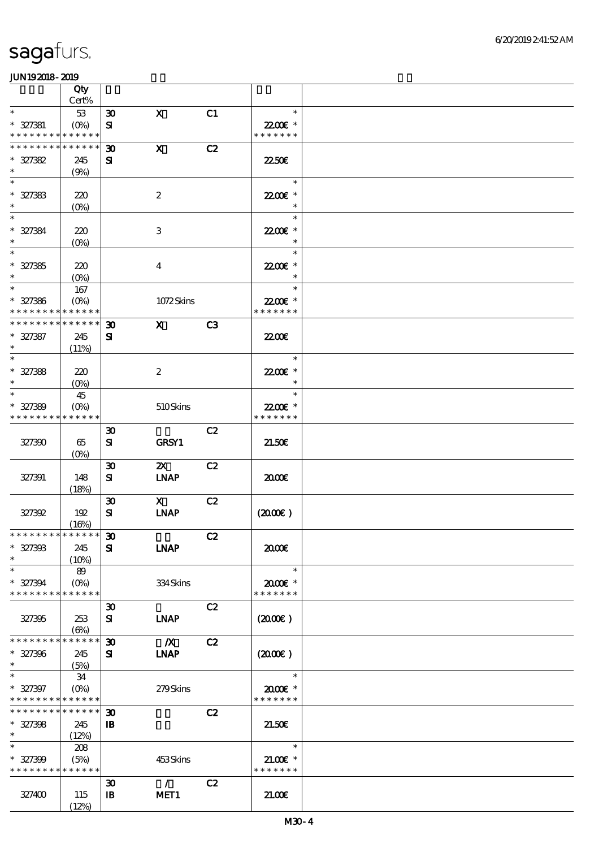|                                                        | Qty               |                             |                              |                |                           |  |
|--------------------------------------------------------|-------------------|-----------------------------|------------------------------|----------------|---------------------------|--|
|                                                        | Cert%             |                             |                              |                |                           |  |
| $\ast$                                                 | 53                | $\boldsymbol{\mathfrak{D}}$ | $\mathbf X$                  | C1             | $\ast$                    |  |
| $* 327381$<br>* * * * * * * * <mark>* * * * * *</mark> | $(0\%)$           | ${\bf s}$                   |                              |                | 22.00€ *<br>* * * * * * * |  |
| * * * * * * * *                                        | * * * * * *       | $\boldsymbol{\mathfrak{D}}$ | $\mathbf X$                  | C2             |                           |  |
| $* 327382$                                             | 245               | ${\bf s}$                   |                              |                | 2250E                     |  |
| $\ast$                                                 | (9%)              |                             |                              |                |                           |  |
| $\ast$                                                 |                   |                             |                              |                | $\ast$                    |  |
| $* 327383$                                             | 220               |                             | $\boldsymbol{2}$             |                | 22.00€ *                  |  |
| $\ast$                                                 | $(0\%)$           |                             |                              |                |                           |  |
| $\ast$                                                 |                   |                             |                              |                | $\ast$                    |  |
| $* 327384$                                             | 220               |                             | $\,3$                        |                | 2200E *                   |  |
| $\ast$                                                 | $(O\!/\!o)$       |                             |                              |                | $\ast$                    |  |
| $\ast$                                                 |                   |                             |                              |                | $\ast$                    |  |
| $* 327385$                                             | 220               |                             | $\boldsymbol{4}$             |                | 22.00€ *                  |  |
| $\ast$                                                 | $(0\%)$           |                             |                              |                | $\ast$                    |  |
| $\ast$                                                 | 167               |                             |                              |                | $\ast$                    |  |
| $* 327386$                                             | $(O\%)$           |                             | 1072Skins                    |                | 22.00€ *                  |  |
| * * * * * * * *                                        | * * * * * *       |                             |                              |                | * * * * * * *             |  |
| * * * * * * * * * * * * * *                            |                   | $\boldsymbol{\mathfrak{D}}$ | $\mathbf{x}$                 | C <sub>3</sub> |                           |  |
| $* 327387$                                             | 245               | ${\bf s}$                   |                              |                | <b>2200</b> €             |  |
| $\ast$                                                 | (11%)             |                             |                              |                |                           |  |
| $\ast$                                                 |                   |                             |                              |                | $\ast$                    |  |
| $* 327388$                                             | 220               |                             | $\boldsymbol{z}$             |                | 22.00€ *                  |  |
| $\ast$                                                 | $(O\%)$           |                             |                              |                | $\ast$                    |  |
| $\ast$                                                 | 45                |                             |                              |                | $\ast$                    |  |
| $* 327389$                                             | (O <sub>0</sub> ) |                             | 510Skins                     |                | 22.00€ *                  |  |
| * * * * * * * *                                        | * * * * * *       |                             |                              |                | * * * * * * *             |  |
|                                                        |                   | $\boldsymbol{\mathfrak{D}}$ |                              | C2             |                           |  |
| 327390                                                 | 65                | ${\bf s}$                   | <b>GRSY1</b>                 |                | 21.50E                    |  |
|                                                        | $(0\%)$           |                             |                              |                |                           |  |
|                                                        |                   | $\boldsymbol{\mathfrak{D}}$ | $\boldsymbol{\mathsf{X}}$    | C2             |                           |  |
| 327391                                                 | 148               | ${\bf s}$                   | <b>INAP</b>                  |                | 2000E                     |  |
|                                                        | (18%)             |                             |                              |                |                           |  |
|                                                        |                   | $\boldsymbol{\mathfrak{D}}$ | $\mathbf{X}$                 | C2             |                           |  |
| 327392                                                 | 192               | ${\bf s}$                   | $\ensuremath{\mathbf{INAP}}$ |                | (200E)                    |  |
| * * * * * * * * * * * * * * *                          | (16%)             |                             |                              |                |                           |  |
|                                                        |                   | $\boldsymbol{\mathfrak{D}}$ |                              | C2             |                           |  |
| $* 327393$<br>$\ast$                                   | 245               | ${\bf s}$                   | <b>INAP</b>                  |                | 2000                      |  |
| $\ast$                                                 | (10%)<br>89       |                             |                              |                | $\ast$                    |  |
| $* 327394$                                             | $(O\%)$           |                             | 334Skins                     |                | 2000E*                    |  |
| * * * * * * * *                                        | * * * * * *       |                             |                              |                | * * * * * * *             |  |
|                                                        |                   | $\boldsymbol{\mathfrak{D}}$ |                              | C2             |                           |  |
| 327395                                                 | 253               | ${\bf s}$                   | <b>INAP</b>                  |                | $(2000\varepsilon)$       |  |
|                                                        | $(\Theta)$        |                             |                              |                |                           |  |
| * * * * * * * * * * * * * *                            |                   | $\boldsymbol{\mathfrak{D}}$ | $\overline{\mathbf{X}}$      | C2             |                           |  |
| $* 327396$                                             | 245               | ${\bf s}$                   | <b>LNAP</b>                  |                | $(2000\varepsilon)$       |  |
| $\ast$                                                 | (5%)              |                             |                              |                |                           |  |
| $\ast$                                                 | 34                |                             |                              |                | $\ast$                    |  |
| $* 327397$                                             | $(O\%)$           |                             | 279Skins                     |                | $2000$ $*$                |  |
| * * * * * * * * * * * * * *                            |                   |                             |                              |                | * * * * * * *             |  |
| * * * * * * * * * * * * * * *                          |                   | $\boldsymbol{\mathfrak{D}}$ |                              | C2             |                           |  |
| $* 327398$                                             | 245               | $\mathbf{B}$                |                              |                | 21.50E                    |  |
| $\ast$                                                 | (12%)             |                             |                              |                |                           |  |
| $\ast$                                                 | 208               |                             |                              |                | $\ast$                    |  |
| $* 327399$                                             | (5%)              |                             | 453Skins                     |                | $21.00E$ *                |  |
| * * * * * * * * * * * * * *                            |                   |                             |                              |                | * * * * * * *             |  |
|                                                        |                   | $\boldsymbol{\mathfrak{D}}$ | $\mathcal{L}$                | C2             |                           |  |
| 327400                                                 | 115               | $\mathbf{B}$                | MET1                         |                | 21.00                     |  |
|                                                        | (12%)             |                             |                              |                |                           |  |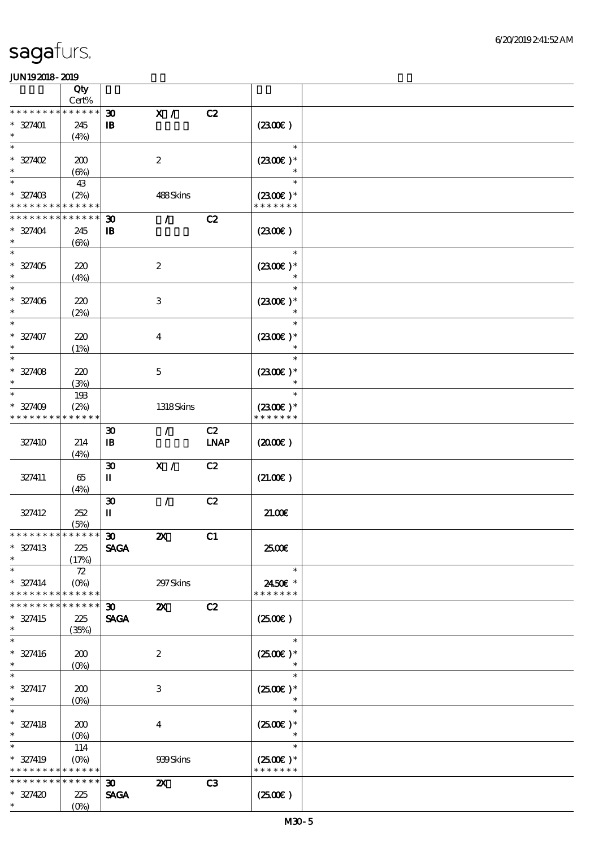|                                  | Qty                     |                                  |                           |             |                      |  |
|----------------------------------|-------------------------|----------------------------------|---------------------------|-------------|----------------------|--|
| * * * * * * * *                  | $Cert\%$<br>* * * * * * |                                  |                           |             |                      |  |
|                                  |                         | $\boldsymbol{\mathfrak{D}}$      | X /                       | C2          |                      |  |
| $* 327401$<br>$\ast$             | 245<br>(4%)             | $\mathbf{B}$                     |                           |             | (2300)               |  |
| $\ast$                           |                         |                                  |                           |             | $\ast$               |  |
| $* 327402$                       | 200                     |                                  | $\boldsymbol{2}$          |             | $(2300)$ *           |  |
|                                  | $(\Theta)$              |                                  |                           |             | $\ast$               |  |
| $\ast$                           | 43                      |                                  |                           |             | $\ast$               |  |
| $* 32740B$                       | (2%)                    |                                  | 488Skins                  |             | $(2300)$ *           |  |
| * * * * * * * *                  | * * * * * *             |                                  |                           |             | * * * * * * *        |  |
| * * * * * * * *                  | * * * * * *             | $\boldsymbol{\mathfrak{D}}$      | $\mathcal{T}$             | C2          |                      |  |
| $* 327404$                       | 245                     | $\, {\bf B}$                     |                           |             | (2300)               |  |
| $\ast$                           | $(\Theta\% )$           |                                  |                           |             |                      |  |
| $\ast$                           |                         |                                  |                           |             | $\ast$               |  |
| $* 327405$                       | 220                     |                                  | $\boldsymbol{2}$          |             | $(2300)$ *           |  |
| $\ast$                           | (4%)                    |                                  |                           |             |                      |  |
|                                  |                         |                                  |                           |             | $\ast$               |  |
| $* 327406$<br>$\ast$             | 220                     |                                  | $\,3\,$                   |             | $(2300)$ *<br>$\ast$ |  |
| $\ast$                           | (2%)                    |                                  |                           |             | $\ast$               |  |
| $* 327407$                       | 220                     |                                  | $\boldsymbol{4}$          |             | $(2300)$ *           |  |
| $\ast$                           | (1%)                    |                                  |                           |             | $\ast$               |  |
| $\ast$                           |                         |                                  |                           |             | $\ast$               |  |
| $* 327408$                       | 220                     |                                  | $\mathbf 5$               |             | $(2300E)*$           |  |
| $\ast$                           | (3%)                    |                                  |                           |             |                      |  |
| $\ast$                           | 193                     |                                  |                           |             | $\ast$               |  |
| $* 327409$                       | (2%)                    |                                  | 1318Skins                 |             | $(2300)$ *           |  |
| * * * * * * * *                  | * * * * * *             |                                  |                           |             | * * * * * * *        |  |
|                                  |                         | $\boldsymbol{\mathfrak{D}}$      | $\mathcal{L}$             | C2          |                      |  |
| 327410                           | 214                     | $\, {\bf I} \! {\bf B} \,$       |                           | <b>LNAP</b> | $(2000\varepsilon)$  |  |
|                                  | (4%)                    |                                  |                           |             |                      |  |
|                                  |                         | $\boldsymbol{\mathfrak{D}}$      | $\mathbf{X}$ /            | C2          |                      |  |
| 327411                           | 65                      | П                                |                           |             | (21.00)              |  |
|                                  | (4%)                    |                                  |                           |             |                      |  |
| 327412                           | 252                     | $\boldsymbol{\mathfrak{D}}$<br>П | $\mathcal{L}$             | C2          | 21.006               |  |
|                                  | (5%)                    |                                  |                           |             |                      |  |
| ******** <mark>*******</mark> 30 |                         |                                  | $\boldsymbol{\mathsf{z}}$ | C1          |                      |  |
| $* 327413$                       | 225                     | <b>SAGA</b>                      |                           |             | 2500€                |  |
| $\ast$                           | (17%)                   |                                  |                           |             |                      |  |
| $\ast$                           | $72\,$                  |                                  |                           |             | $\ast$               |  |
| $* 327414$                       | $(O\%)$                 |                                  | 297 Skins                 |             | 2450€ *              |  |
| * * * * * * * *                  | * * * * * *             |                                  |                           |             | * * * * * * *        |  |
| * * * * * * *                    | * * * * * *             | $\boldsymbol{\mathfrak{D}}$      | $\boldsymbol{\mathsf{z}}$ | C2          |                      |  |
| $* 327415$                       | 225                     | <b>SAGA</b>                      |                           |             | (2500)               |  |
| $\ast$<br>$\ast$                 | (35%)                   |                                  |                           |             |                      |  |
|                                  |                         |                                  |                           |             | $\ast$               |  |
| $* 327416$<br>$\ast$             | 200                     |                                  | $\boldsymbol{2}$          |             | $(2500E)*$           |  |
| $\ast$                           | $(0\%)$                 |                                  |                           |             | $\ast$               |  |
| $* 327417$                       | 200                     |                                  | 3                         |             | $(2500)$ *           |  |
| $\ast$                           | $(0\%)$                 |                                  |                           |             |                      |  |
| $\ast$                           |                         |                                  |                           |             | $\ast$               |  |
| $* 327418$                       | 200                     |                                  | $\boldsymbol{4}$          |             | $(2500)$ *           |  |
| $\ast$                           | $(O\!/\!\delta)$        |                                  |                           |             | $\ast$               |  |
| $\ast$                           | 114                     |                                  |                           |             | $\ast$               |  |
| * 327419                         | $(0\%)$                 |                                  | 939Skins                  |             | $(2500E)*$           |  |
| * * * * * * * *                  | * * * * * *             |                                  |                           |             | * * * * * * *        |  |
| * * * * * * * *                  | * * * * * *             | $\boldsymbol{\mathfrak{D}}$      | $\boldsymbol{\mathsf{X}}$ | C3          |                      |  |
| $* 327420$                       | 225                     | <b>SAGA</b>                      |                           |             | (250)                |  |
| $\ast$                           | $(O\!/\!\!\delta)$      |                                  |                           |             |                      |  |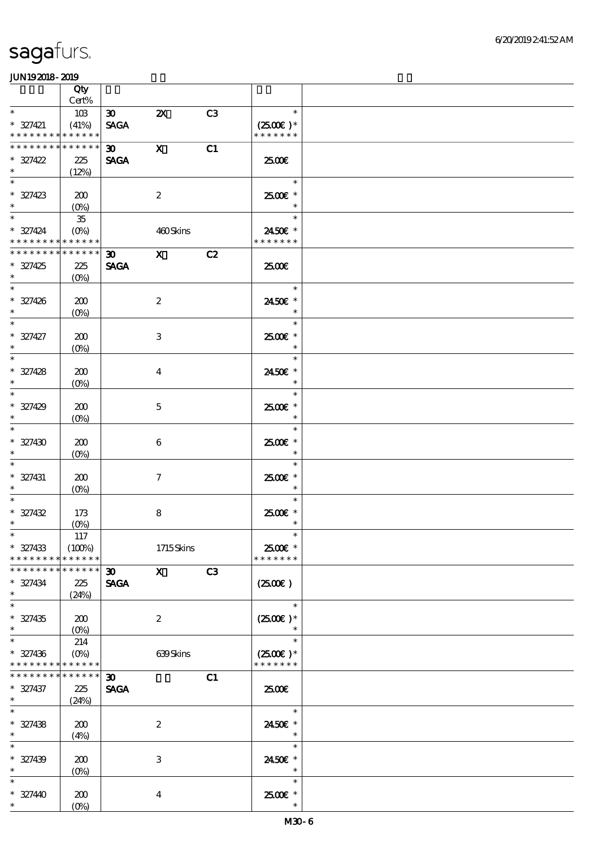|                             | Qty                |                             |                           |                |                      |  |
|-----------------------------|--------------------|-----------------------------|---------------------------|----------------|----------------------|--|
|                             | $\mbox{Cert}\%$    |                             |                           |                |                      |  |
| $\ast$                      | 10 <sup>3</sup>    | $\boldsymbol{\mathfrak{D}}$ | $\boldsymbol{\mathsf{X}}$ | C <sub>3</sub> | $\ast$               |  |
| $* 327421$                  | (41%)              | <b>SAGA</b>                 |                           |                | $(2500)$ *           |  |
| * * * * * * * * * * * * * * |                    |                             |                           |                | * * * * * * *        |  |
| * * * * * * * * * * * * * * |                    | $\boldsymbol{\mathfrak{D}}$ | $\mathbf X$               | C1             |                      |  |
| $* 327422$<br>$\ast$        | 225                | <b>SAGA</b>                 |                           |                | 2500€                |  |
| $\ast$                      | (12%)              |                             |                           |                | $\ast$               |  |
|                             | 200                |                             |                           |                | 2500€ *              |  |
| $* 327423$<br>$\ast$        | $(O_0)$            |                             | $\boldsymbol{2}$          |                | $\ast$               |  |
| $\ast$                      | 35                 |                             |                           |                | $\ast$               |  |
| $* 327424$                  | $(O\%)$            |                             | 460Skins                  |                | 2450€ *              |  |
| * * * * * * * * * * * * * * |                    |                             |                           |                | * * * * * * *        |  |
| * * * * * * * * * * * * * * |                    | 30                          | $\mathbf{X}$              | C2             |                      |  |
| $* 327425$                  | 225                | <b>SAGA</b>                 |                           |                | 2500€                |  |
| $\ast$                      | $(0\%)$            |                             |                           |                |                      |  |
| $\overline{\phantom{0}}$    |                    |                             |                           |                | $\ast$               |  |
| $* 327426$                  | 200                |                             | $\boldsymbol{2}$          |                | 2450€ *              |  |
| $\ast$                      | $(O\%)$            |                             |                           |                | $\ast$               |  |
| $\ast$                      |                    |                             |                           |                | $\ast$               |  |
| $* 327427$                  | 200                |                             | 3                         |                | 2500€ *              |  |
| $\ast$<br>$\overline{\ast}$ | (0%)               |                             |                           |                | $\ast$               |  |
|                             |                    |                             |                           |                | $\ast$               |  |
| $* 327428$                  | 200                |                             | $\overline{\mathbf{4}}$   |                | 2450€ *              |  |
| $\ast$<br>$\ast$            | $(0\%)$            |                             |                           |                | $\ast$<br>$\ast$     |  |
| $* 327429$                  |                    |                             |                           |                | 2500€*               |  |
| $\ast$                      | 200<br>$(O\!/\!o)$ |                             | $\mathbf{5}$              |                | $\ast$               |  |
| $\ast$                      |                    |                             |                           |                | $\ast$               |  |
| $* 327430$                  | 200                |                             | 6                         |                | 2500€ *              |  |
| $\ast$                      | $(0\%)$            |                             |                           |                | $\ast$               |  |
| $\ast$                      |                    |                             |                           |                | $\ast$               |  |
| $* 327431$                  | 200                |                             | $\tau$                    |                | 2500€*               |  |
| $\ast$                      | $(0\%)$            |                             |                           |                | $\ast$               |  |
|                             |                    |                             |                           |                | $\ast$               |  |
| $* 327432$                  | 173                |                             | $\bf 8$                   |                | 2500€*               |  |
| $\ast$                      | $(O\!/\!o)$        |                             |                           |                | $\ast$               |  |
|                             | 117                |                             |                           |                |                      |  |
| $* 327433$                  | (100%)             |                             | 1715Skins                 |                | 2500€ *              |  |
| * * * * * * * *             | * * * * * *        |                             |                           |                | * * * * * * *        |  |
| * * * * * * * *             | $******$           | $\boldsymbol{\mathfrak{D}}$ | $\mathbf{x}$              | C3             |                      |  |
| $* 327434$<br>$\ast$        | 225                | <b>SAGA</b>                 |                           |                | $(2500\varepsilon)$  |  |
| $\ast$                      | (24%)              |                             |                           |                | $\ast$               |  |
| $* 327435$                  | 200                |                             | $\boldsymbol{2}$          |                | $(2500\varepsilon)*$ |  |
| $\ast$                      | $(O\!/\!\!\delta)$ |                             |                           |                | $\ast$               |  |
| $\ast$                      | 214                |                             |                           |                | $\ast$               |  |
| $* 327436$                  | $(O\%)$            |                             | 639Skins                  |                | $(2500\varepsilon)*$ |  |
| * * * * * * * *             | * * * * * *        |                             |                           |                | * * * * * * *        |  |
| * * * * * * * *             | * * * * * *        | 30 <sub>o</sub>             |                           | C1             |                      |  |
| $* 327437$                  | 225                | <b>SAGA</b>                 |                           |                | æœ                   |  |
| $\ast$                      | (24%)              |                             |                           |                |                      |  |
| $\ast$                      |                    |                             |                           |                | $\ast$               |  |
| $* 327438$                  | 200                |                             | $\boldsymbol{2}$          |                | 2450E *              |  |
| $\ast$                      | (4%)               |                             |                           |                | $\ast$               |  |
| $\ast$                      |                    |                             |                           |                | $\ast$               |  |
| $* 327439$                  | 200                |                             | $\ensuremath{\mathbf{3}}$ |                | 2450€ *              |  |
| $\ast$<br>$\ast$            | $(0\%)$            |                             |                           |                | $\ast$               |  |
|                             |                    |                             |                           |                | $\ast$               |  |
| $* 32740$<br>$\ast$         | 200                |                             | $\boldsymbol{4}$          |                | 2500€*<br>$\ast$     |  |
|                             | $(O\!/\!o)$        |                             |                           |                |                      |  |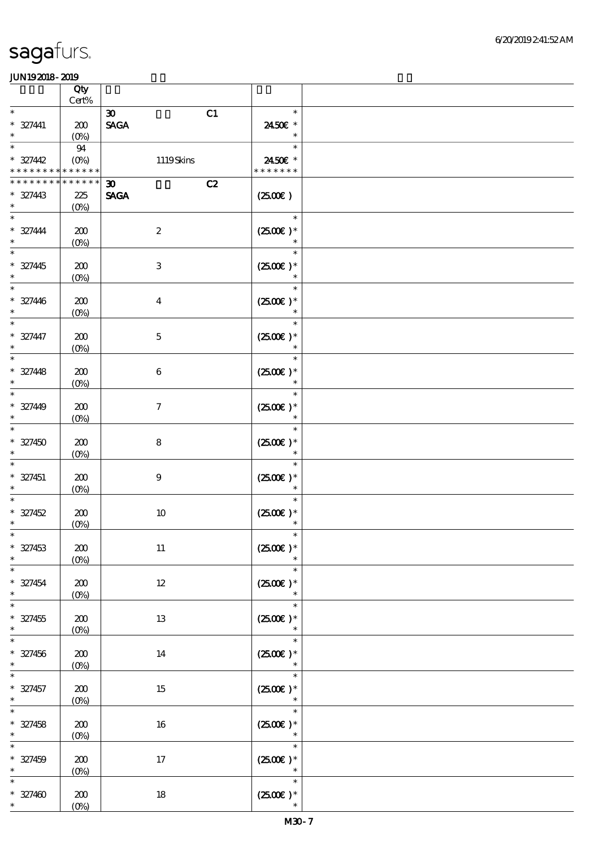|                                         | Qty<br>$Cert\%$                               |                                                  |                                          |  |
|-----------------------------------------|-----------------------------------------------|--------------------------------------------------|------------------------------------------|--|
| $\ast$                                  |                                               |                                                  | $\ast$                                   |  |
| $* 327441$<br>$\ast$                    | ${\bf Z0}$<br>$(O\%)$                         | C1<br>$\boldsymbol{\mathfrak{D}}$<br><b>SAGA</b> | 2450€ *<br>$\ast$                        |  |
| $\ast$<br>$* 327442$<br>* * * * * * * * | $94\,$<br>$(O\!\!\!\!\!\!\!/\,\!o)$<br>****** | 1119Skins                                        | $\ast$<br>2450€ *<br>* * * * * * *       |  |
| * * * * * * *                           | * * * * * *                                   |                                                  |                                          |  |
| $* 327443$<br>$\ast$                    | 225<br>$(0\%)$                                | C2<br>30 <sub>o</sub><br><b>SAGA</b>             | $(2500\varepsilon)$                      |  |
| $\ast$<br>$* 327444$<br>$\ast$          | 200<br>$(0\%)$                                | $\boldsymbol{2}$                                 | $\ast$<br>$(2500)$ *<br>$\ast$           |  |
| $\ast$<br>$* 327445$<br>$\ast$          | 200<br>$(0\%)$                                | $\,3$                                            | $\ast$<br>$(2500)$ *<br>$\ast$           |  |
| $\ast$<br>$* 327446$<br>$\ast$          | 200<br>$(0\%)$                                | $\boldsymbol{4}$                                 | $\ast$<br>$(2500)$ *<br>$\ast$           |  |
| $\ast$<br>$* 327447$<br>$\ast$          | 200<br>$(0\%)$                                | $\mathbf 5$                                      | $\ast$<br>$(2500)$ *<br>$\ast$           |  |
| $\ast$<br>$* 327448$<br>$\ast$          | 200<br>$(0\%)$                                | $\,6\,$                                          | $\ast$<br>$(2500)$ *<br>$\ast$           |  |
| $\ast$<br>$* 32740$<br>$\ast$           | 200<br>$(0\%)$                                | $\boldsymbol{7}$                                 | $\ast$<br>$(2500)$ *<br>$\ast$           |  |
| $\ast$<br>$* 327450$<br>$\ast$          | 200<br>$(0\%)$                                | $\bf 8$                                          | $\ast$<br>$(2500)$ *<br>$\ast$           |  |
| $\ast$<br>$* 327451$<br>$\ast$          | 200<br>$(0\%)$                                | $\boldsymbol{9}$                                 | $\ast$<br>$(2500)$ *<br>$\ast$           |  |
| $\ast$<br>$* 327452$<br>$\ast$          | 200<br>$(0\%)$                                | $10$                                             | $\ast$<br>$(2500)$ *                     |  |
| $* 327453$<br>$\ast$                    | $200\,$<br>$(0\%)$                            | $11\,$                                           | $(2500\epsilon)*$<br>$\ast$              |  |
| $\ast$<br>$* 327454$<br>$\ast$          | 200<br>$(0\%)$                                | $12\,$                                           | $\ast$<br>$(2500\varepsilon)*$<br>$\ast$ |  |
| $\ast$<br>$* 327455$<br>$\ast$          | $200\,$<br>$(0\%)$                            | 13                                               | $\ast$<br>$(2500\text{E})*$<br>$\ast$    |  |
| $\ast$<br>$* 327456$<br>$\ast$          | 200<br>$(0\%)$                                | 14                                               | $\ast$<br>$(2500\varepsilon)*$<br>$\ast$ |  |
| $\ast$<br>$* 327457$<br>$\ast$          | 200<br>$(0\%)$                                | 15                                               | $\ast$<br>$(2500)$ *<br>$\ast$           |  |
| $\ast$<br>$* 327458$<br>$\ast$          | $200\,$<br>$(0\%)$                            | 16                                               | $\ast$<br>$(2500\text{E})*$<br>$\ast$    |  |
| $\ast$<br>$* 327459$<br>$\ast$          | $200\,$<br>(0%)                               | 17                                               | $\ast$<br>$(2500\varepsilon)*$<br>$\ast$ |  |
| $\ast$<br>$* 327400$<br>$*$             | 200<br>(0%)                                   | $18\,$                                           | $\ast$<br>$(2500\varepsilon)*$<br>$\ast$ |  |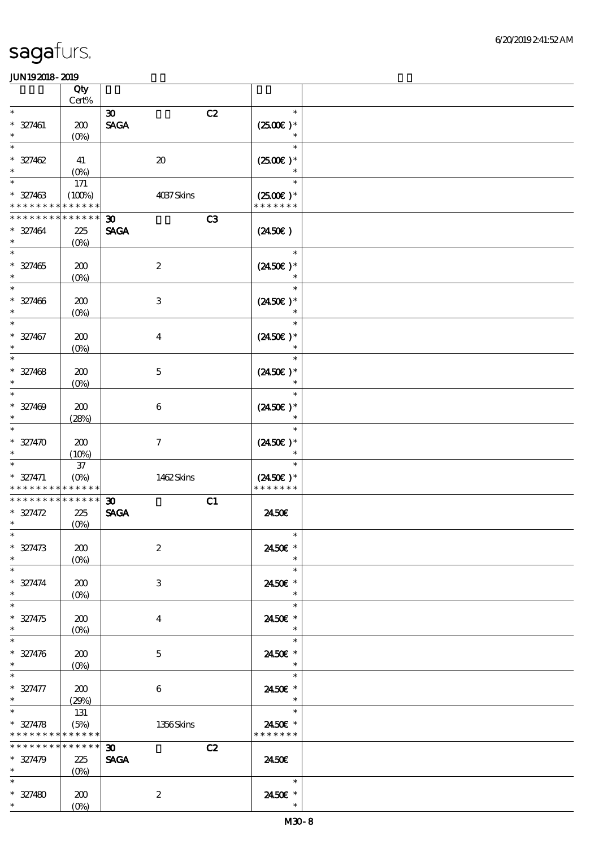|                                                                    | Qty                              |                                                  |                                                 |  |
|--------------------------------------------------------------------|----------------------------------|--------------------------------------------------|-------------------------------------------------|--|
|                                                                    | $Cert\%$                         |                                                  |                                                 |  |
| $\ast$<br>$* 327461$<br>$\ast$                                     | 200<br>$(O\!/\!\!\delta)$        | C2<br>$\boldsymbol{\mathfrak{D}}$<br><b>SAGA</b> | $\ast$<br>$(2500)$ *<br>$\ast$                  |  |
| $\ast$<br>$* 327462$<br>$\ast$                                     | 41<br>$(0\%)$                    | $\pmb{\mathcal{X}}$                              | $\ast$<br>$(2500)$ *<br>$\ast$                  |  |
| $\ast$<br>$* 327463$<br>* * * * * * * *                            | 171<br>(100%)<br>* * * * * *     | 4037Skins                                        | $\ast$<br>$(2500\varepsilon)*$<br>* * * * * * * |  |
| * * * * * * *                                                      | * * * * * *                      | C <sub>3</sub><br>$\boldsymbol{\mathfrak{D}}$    |                                                 |  |
| $* 327464$<br>$\ast$                                               | 225<br>$(O\!/\!\!\delta)$        | <b>SAGA</b>                                      | $(2450\varepsilon)$                             |  |
| $\ast$<br>$* 327465$<br>$\ast$                                     | 200<br>$(0\%)$                   | $\boldsymbol{2}$                                 | $\ast$<br>$(2450\epsilon)^*$                    |  |
| $\ast$<br>$* 327466$<br>$\ast$                                     | 200<br>$(O\!/\!o)$               | $\ensuremath{\mathbf{3}}$                        | $\ast$<br>$(2450\epsilon)^*$<br>$\ast$          |  |
| $\ast$<br>$* 327467$<br>$\ast$                                     | 200<br>(0%)                      | $\boldsymbol{4}$                                 | $\ast$<br>$(2450)$ *<br>$\ast$                  |  |
| $\ast$<br>$* 327468$<br>$\ast$                                     | 200<br>$(0\%)$                   | $\mathbf 5$                                      | $\ast$<br>$(2450\epsilon)$ *<br>$\ast$          |  |
| $\ast$<br>$* 327409$<br>$\ast$                                     | 200<br>(28%)                     | $\,6\,$                                          | $\ast$<br>$(2450\epsilon)^*$<br>$\ast$          |  |
| $\ast$<br>$* 327470$<br>$\ast$                                     | 200<br>(10%)                     | $\boldsymbol{7}$                                 | $\ast$<br>$(2450\epsilon)^*$                    |  |
| $\ast$<br>$* 327471$<br>* * * * * * * *                            | $37\,$<br>$(O\%)$<br>* * * * * * | 1462Skins                                        | $\ast$<br>$(2450\epsilon)^*$<br>* * * * * * *   |  |
| * * * * * * * *                                                    | * * * * * *                      | C1<br>$\boldsymbol{\mathfrak{D}}$                |                                                 |  |
| $* 327472$<br>$\ast$                                               | 225<br>$(0\%)$                   | <b>SAGA</b>                                      | 2450E                                           |  |
| $* 327473$<br>$\ast$                                               | 200<br>$(0\%)$                   | $\boldsymbol{2}$                                 | $*$<br>2450€ *<br>$\ast$                        |  |
| $\ast$<br>$* 327474$<br>$\ast$                                     | 200<br>$(O\%)$                   | $\ensuremath{\mathbf{3}}$                        | $\ast$<br>2450€ *<br>$\ast$                     |  |
| $\ast$<br>$* 327475$<br>$\ast$                                     | 200<br>$(O\%)$                   | $\boldsymbol{4}$                                 | $\ast$<br>2450E *<br>$\ast$                     |  |
| $\ast$<br>$* 327476$<br>$\ast$                                     | 200<br>$(0\%)$                   | $\mathbf{5}$                                     | $\ast$<br>2450E *<br>$\ast$                     |  |
| $\ast$<br>$* 327477$<br>$\ast$                                     | 200<br>(29%)                     | 6                                                | $\ast$<br>2450€ *<br>$\ast$                     |  |
| $\ast$<br>$* 327478$<br>* * * * * * * * <mark>* * * * * *</mark> * | 131<br>(5%)                      | 1356Skins                                        | $\ast$<br>2450€ *<br>* * * * * * *              |  |
| * * * * * * * *<br>$* 327479$<br>$\star$                           | $******$<br>225<br>$(0\%)$       | $\boldsymbol{\mathfrak{D}}$<br>C2<br><b>SAGA</b> | 2450E                                           |  |
| $\ast$<br>$* 327480$<br>$*$                                        | 200<br>$(O\%)$                   | $\boldsymbol{2}$                                 | $\ast$<br>2450€ *<br>$\ast$                     |  |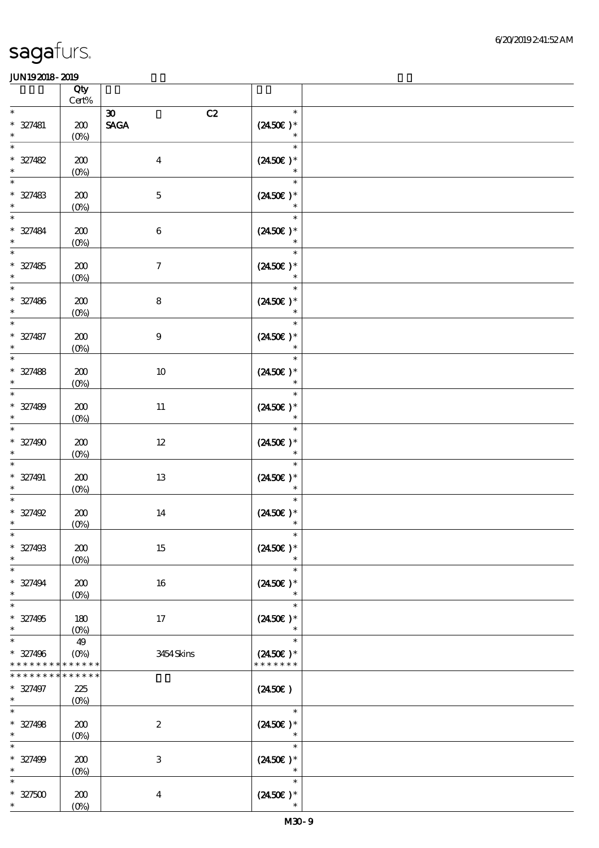|                                                     | Qty<br>$Cert\%$                         |                                                                     |                                              |  |
|-----------------------------------------------------|-----------------------------------------|---------------------------------------------------------------------|----------------------------------------------|--|
| $\ast$                                              |                                         |                                                                     | $\ast$                                       |  |
| $* 327481$<br>$\ast$                                | ${\bf 20}$<br>$(0\%)$                   | C2<br>$\boldsymbol{\mathfrak{D}}$<br>$\operatorname{\mathsf{SAGA}}$ | $(2450)$ *<br>$\ast$                         |  |
| $\ast$<br>$* 327482$<br>$\ast$                      | 200<br>$(0\%)$                          | $\boldsymbol{4}$                                                    | $\ast$<br>$(2450\varepsilon)^*$<br>$\ast$    |  |
| $\ast$<br>$* 327483$<br>$\ast$                      | 200<br>$(0\%)$                          | $\mathbf 5$                                                         | $\ast$<br>$(2450\epsilon)^*$<br>$\ast$       |  |
| $\ast$<br>$* 327484$<br>$\ast$                      | 200<br>$(0\%)$                          | $\,6\,$                                                             | $\ast$<br>$(2450\epsilon)^*$<br>$\ast$       |  |
| $\ast$<br>$* 327485$<br>$\ast$                      | 200<br>$(0\%)$                          | $\boldsymbol{7}$                                                    | $\ast$<br>$(2450\varepsilon)*$<br>$\ast$     |  |
| $\ast$<br>$* 327486$<br>$\ast$                      | 200<br>$(0\%)$                          | $\bf 8$                                                             | $\ast$<br>$(2450\epsilon)^*$<br>$\ast$       |  |
| $\overline{\phantom{1}}$<br>$* 327487$<br>$\ast$    | 200<br>$(0\%)$                          | $\boldsymbol{9}$                                                    | $\ast$<br>$(2450)$ *<br>$\ast$               |  |
| $\ast$<br>$* 327488$<br>$\ast$                      | 200<br>$(0\%)$                          | $10\,$                                                              | $\ast$<br>$(2450\varepsilon)*$<br>$\ast$     |  |
| $\ast$<br>$* 327489$<br>$\ast$                      | 200<br>$(0\%)$                          | $11\,$                                                              | $\ast$<br>$(2450)$ *<br>$\ast$               |  |
| $\overline{\ast}$<br>$* 327490$<br>$\ast$           | 200<br>$(0\%)$                          | $12\,$                                                              | $\ast$<br>$(2450\varepsilon)^*$<br>$\ast$    |  |
| $\ast$<br>$* 327491$<br>$\ast$                      | 200<br>$(0\%)$                          | 13                                                                  | $\ast$<br>$(2450\epsilon)$ *<br>$\ast$       |  |
| $\ast$<br>$* 327492$<br>$\ast$                      | 200<br>$(0\%)$                          | 14                                                                  | $\ast$<br>$(2450\text{E})*$                  |  |
| $* 327498$<br>$\ast$                                | 200<br>$(0\%)$                          | $15\,$                                                              | $(2450)$ *<br>$\ast$                         |  |
| $\ast$<br>$* 327494$<br>$\ast$                      | 200<br>$(0\%)$                          | 16                                                                  | $\ast$<br>$(2450\varepsilon)*$<br>$\ast$     |  |
| $\ast$<br>$* 327495$<br>$\ast$<br>$\overline{\ast}$ | 180<br>$(0\%)$                          | $17\,$                                                              | $\ast$<br>$(2450)$ *<br>$\ast$               |  |
| $* 327496$<br>* * * * * * *                         | 49<br>$(O\!/\!\!\delta)$<br>* * * * * * | 3454Skins                                                           | $\ast$<br>$(2450\text{E})*$<br>* * * * * * * |  |
| * * * * * * *<br>$* 327497$<br>$\ast$               | * * * * * *<br>225<br>$(O\%)$           |                                                                     | $(2450\epsilon)$                             |  |
| $\ast$<br>$* 327498$<br>$\ast$                      | 200<br>$(O\!/\!\delta)$                 | $\boldsymbol{2}$                                                    | $\ast$<br>$(2450\text{E})*$<br>$\ast$        |  |
| $\ast$<br>$* 327499$<br>$\ast$                      | 200<br>$(0\%)$                          | $\,3\,$                                                             | $\ast$<br>$(2450\varepsilon)*$<br>$\ast$     |  |
| $\ast$<br>$* 327500$<br>$\ast$                      | 200<br>$(0\%)$                          | $\boldsymbol{4}$                                                    | $\ast$<br>$(2450\varepsilon)*$<br>$\ast$     |  |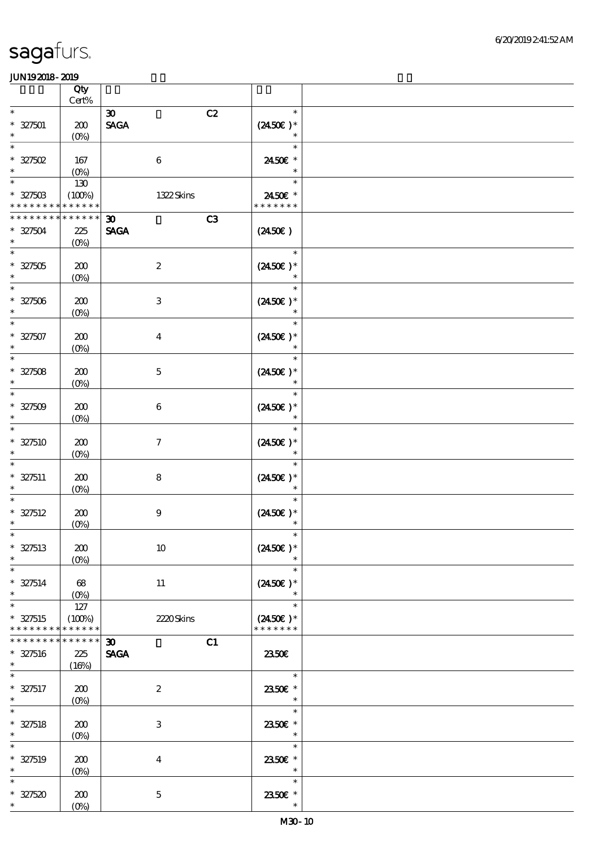|                                         | Qty<br>$Cert\%$                |                                                  |                                              |  |
|-----------------------------------------|--------------------------------|--------------------------------------------------|----------------------------------------------|--|
| $\ast$                                  |                                | C2<br>$\boldsymbol{\mathfrak{D}}$                | $\ast$                                       |  |
| $* 327501$<br>$\ast$                    | 200<br>(O <sub>0</sub> )       | $\ensuremath{\mathsf{SAGA}}$                     | $(2450E)*$                                   |  |
| $\ast$<br>$* 327502$<br>$\ast$          | 167                            | $\,6\,$                                          | $\ast$<br>2450€ *<br>$\ast$                  |  |
| $\ast$<br>$* 327503$                    | $(0\%)$<br>130<br>(100%)       | 1322Skins                                        | $\ast$<br>2450€ *                            |  |
| * * * * * * * *                         | * * * * * *                    |                                                  | * * * * * * *                                |  |
| ********<br>$* 327504$<br>$\ast$        | $******$<br>225<br>$(0\%)$     | C3<br>$\boldsymbol{\mathfrak{D}}$<br><b>SAGA</b> | $(2450\epsilon)$                             |  |
| $\ast$<br>$* 327505$<br>$\ast$          | 200<br>$(0\%)$                 | $\boldsymbol{2}$                                 | $\ast$<br>$(2450\epsilon)^*$                 |  |
| $\ast$<br>$* 327506$                    | 200<br>$(O\!/\!o)$             | $\ensuremath{\mathbf{3}}$                        | $\ast$<br>$(2450\epsilon)^*$                 |  |
| $\ast$<br>$* 327507$                    | 200<br>$(0\%)$                 | $\boldsymbol{4}$                                 | $\ast$<br>$(2450\epsilon)^*$                 |  |
| $\ast$<br>$* 327508$<br>$\ast$          | 200<br>$(0\%)$                 | $\mathbf 5$                                      | $\ast$<br>$(2450)$ *<br>$\ast$               |  |
| $\ast$<br>$* 327509$<br>$\ast$          | 200<br>$(0\%)$                 | $\boldsymbol{6}$                                 | $\ast$<br>$(2450\epsilon)^*$<br>$\ast$       |  |
| $\ast$<br>$* 327510$<br>$\ast$          | 200<br>$(0\%)$                 | $\boldsymbol{7}$                                 | $\ast$<br>$(2450\epsilon)^*$<br>$\ast$       |  |
| $\ast$<br>$* 327511$<br>$\ast$          | 200<br>$(0\%)$                 | 8                                                | $\ast$<br>$(2450\epsilon)$ *<br>$\ast$       |  |
| $* 327512$<br>$\ast$                    | 200<br>$(0\%)$                 | $\boldsymbol{9}$                                 | $\ast$<br>$(2450\epsilon)^*$                 |  |
| $* 327513$<br>$\ast$                    | 200<br>$(0\%)$                 | $10\,$                                           | $(2450E)^*$                                  |  |
| $\ast$<br>$* 327514$<br>$\ast$          | 68<br>$(0\%)$                  | $11\,$                                           | $\ast$<br>$(2450\epsilon)^*$<br>$\ast$       |  |
| $\ast$<br>$* 327515$<br>* * * * * * * * | $127$<br>(100%)<br>* * * * * * | 2220Skins                                        | $\ast$<br>$(2450\text{E})*$<br>* * * * * * * |  |
| * * * * * * *<br>$* 327516$<br>$\ast$   | * * * * * *<br>225<br>(16%)    | $\boldsymbol{\mathfrak{D}}$<br>C1<br><b>SAGA</b> | 2350E                                        |  |
| $\ast$<br>$* 327517$<br>$\ast$          | 200<br>$(O\!/\!\delta)$        | $\boldsymbol{2}$                                 | $\ast$<br>2350E *<br>$\ast$                  |  |
| $\ast$<br>$* 327518$<br>$\ast$          | 200<br>$(O\!/\!o)$             | $\,3$                                            | $\ast$<br>2350E *<br>$\ast$                  |  |
| $\ast$<br>$* 327519$<br>$\ast$          | 200<br>$(0\%)$                 | $\boldsymbol{4}$                                 | $\ast$<br>2350€ *<br>$\ast$                  |  |
| $\ast$<br>$* 327520$<br>$\ast$          | 200<br>$(O\!/\!o)$             | $\mathbf 5$                                      | $\ast$<br>2350E *<br>$\ast$                  |  |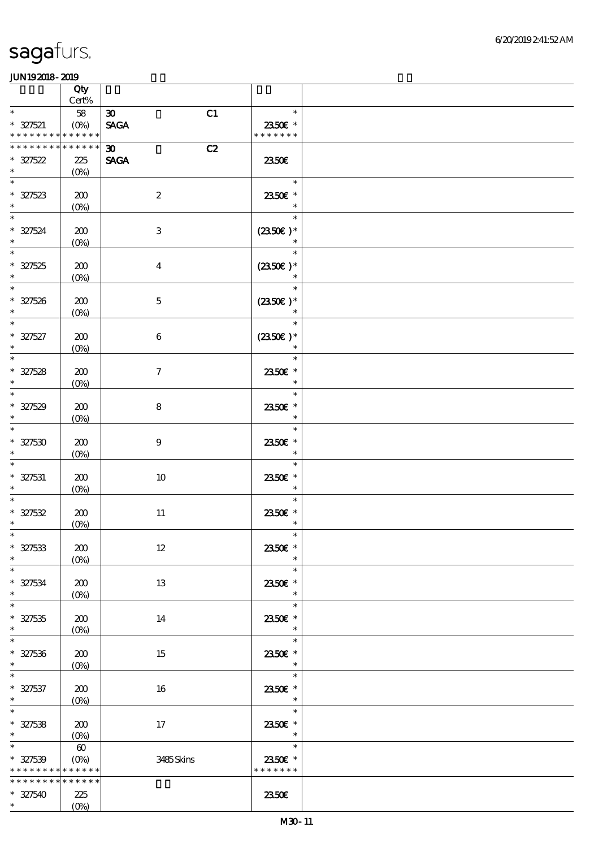|                                                                       | Qty                                                |                                                  |                                       |  |
|-----------------------------------------------------------------------|----------------------------------------------------|--------------------------------------------------|---------------------------------------|--|
| $\ast$                                                                | $Cert\%$                                           |                                                  | $\ast$                                |  |
| $* 327521$<br>* * * * * * * * <mark>* * * * * * *</mark>              | 58<br>$(0\%)$                                      | C1<br>$\boldsymbol{\mathfrak{D}}$<br><b>SAGA</b> | 2350E *<br>* * * * * * *              |  |
| * * * * * * * *                                                       | * * * * * *                                        | C2<br>30 <sub>o</sub>                            |                                       |  |
| $* 327522$                                                            | 225                                                | <b>SAGA</b>                                      | 2350E                                 |  |
| $\ast$                                                                | $(0\%)$                                            |                                                  |                                       |  |
| $\ast$<br>$* 327523$                                                  | 200<br>$(0\%)$                                     | $\boldsymbol{2}$                                 | $\ast$<br>2350€ *<br>$\ast$           |  |
| $\overline{\ast}$<br>$* 327524$<br>$\ast$                             | 200<br>$(0\%)$                                     | $\,3$                                            | $\ast$<br>$(2350\epsilon)*$<br>$\ast$ |  |
| $\ast$<br>$* 327525$<br>$\ast$                                        | 200<br>$(0\%)$                                     | $\boldsymbol{4}$                                 | $\ast$<br>$(2350\epsilon)*$           |  |
| $\overline{\phantom{0}}$<br>$* 327526$<br>$\ast$                      | 200<br>$(0\%)$                                     | $\mathbf 5$                                      | $\ast$<br>$(2350\epsilon)*$<br>$\ast$ |  |
| $\overline{\ast}$<br>$* 327527$<br>$\ast$                             | 200<br>$(0\%)$                                     | $\,6\,$                                          | $\ast$<br>$(2350\epsilon)*$<br>$\ast$ |  |
| $\ast$<br>$* 327528$<br>$\ast$                                        | 200<br>$(0\%)$                                     | $\boldsymbol{7}$                                 | $\ast$<br>2350€ *<br>$\ast$           |  |
| $\ast$<br>$* 327529$<br>$\ast$                                        | 200<br>$(0\%)$                                     | 8                                                | $\ast$<br>2350E *<br>$\ast$           |  |
| $\overline{\ast}$<br>$* 327530$<br>$\ast$                             | 200<br>$(0\%)$                                     | $\boldsymbol{9}$                                 | $\ast$<br>2350€ *<br>$\ast$           |  |
| $\ast$<br>$* 327531$<br>$\ast$                                        | 200<br>$(0\%)$                                     | 10                                               | $\ast$<br>2350€ *<br>$\ast$           |  |
| $* 327532$<br>$\ast$                                                  | 200<br>(0%)                                        | $11\,$                                           | $\ast$<br>2350E *<br>$\ast$           |  |
| $*$<br>$* 327533$<br>$\ast$                                           | 200<br>$(0\%)$                                     | $12\,$                                           | $\ast$<br>2350€ *<br>$\ast$           |  |
| $\ast$<br>$* 327534$<br>$\ast$                                        | 200<br>$(0\%)$                                     | 13                                               | $\ast$<br>2350E *<br>$\ast$           |  |
| $\ast$<br>$* 327535$<br>$\ast$                                        | 200<br>$(O\%)$                                     | 14                                               | $\ast$<br>2350E *<br>$\ast$           |  |
| $\overline{\ast}$<br>$* 327536$<br>$\ast$                             | 200<br>$(O\%)$                                     | 15                                               | $\ast$<br>2350€ *<br>$\ast$           |  |
| $\ast$<br>$* 327537$<br>$\ast$                                        | 200<br>$(O\!/\!o)$                                 | 16                                               | $\ast$<br>2350E *<br>$\ast$           |  |
| $\ast$<br>$* 327538$<br>$\ast$                                        | 200<br>$(0\%)$                                     | 17                                               | $\ast$<br>2350E *<br>$\ast$           |  |
| $\overline{\phantom{0}}$<br>$* 327539$<br>* * * * * * * * * * * * * * | $\boldsymbol{\omega}$<br>$(O\!\!\!\!\!\!\!/\,\!o)$ | 3485Skins                                        | $\ast$<br>2350€ *<br>* * * * * * *    |  |
| * * * * * * * *<br>$* 327540$<br>$\ast$                               | * * * * * *<br>225<br>$(O\%)$                      |                                                  | 2350E                                 |  |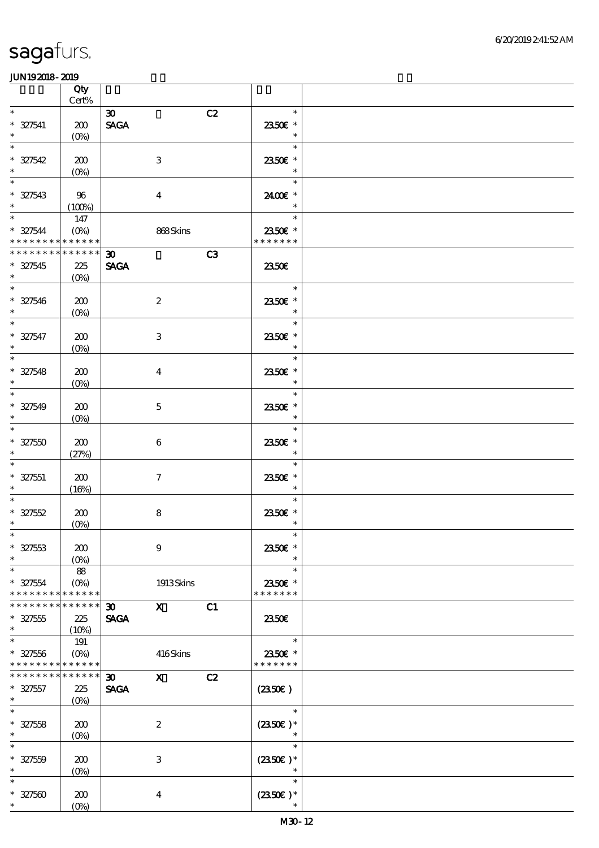|                                    | Qty<br>$\mbox{Cert}\%$     |                             |                     |                |                          |  |
|------------------------------------|----------------------------|-----------------------------|---------------------|----------------|--------------------------|--|
| $\ast$                             |                            | $\boldsymbol{\mathfrak{D}}$ |                     | C2             | $\ast$                   |  |
| $* 327541$                         | 200                        | <b>SAGA</b>                 |                     |                | 2350E *                  |  |
| $\ast$                             | (O <sub>0</sub> )          |                             |                     |                | $\ast$                   |  |
| $\ast$                             |                            |                             |                     |                | $\ast$                   |  |
| $* 327542$                         | 200                        |                             | $\,3$               |                | 2350€ *                  |  |
| $\ast$                             | $(O\%)$                    |                             |                     |                | $\ast$                   |  |
| $\ast$                             |                            |                             |                     |                | $\ast$                   |  |
| $^\ast$ 327543 $^\ast$             | -96                        |                             | $\boldsymbol{4}$    |                | 2400€ *                  |  |
|                                    | (100%)                     |                             |                     |                | $\ast$                   |  |
|                                    | 147                        |                             |                     |                | $\ast$                   |  |
| $* 327544$                         | $(O\%)$                    |                             | 868Skins            |                | 2350€ *                  |  |
| * * * * * * * * * * * * * *        |                            |                             |                     |                | * * * * * * *            |  |
| * * * * * * * * * * * * * * *      |                            | $\boldsymbol{\mathfrak{D}}$ |                     | C <sub>3</sub> |                          |  |
| $* 327545$<br>$\ast$               | 225                        | <b>SAGA</b>                 |                     |                | 2350E                    |  |
| $\overline{\phantom{0}}$           | $(O\% )$                   |                             |                     |                | $\ast$                   |  |
| $* 327546$                         | 200                        |                             | $\boldsymbol{2}$    |                | 2350E *                  |  |
| $\ast$                             | $(O\%)$                    |                             |                     |                | $\ast$                   |  |
| $\overline{\ast}$                  |                            |                             |                     |                | $\ast$                   |  |
| $* 327547$                         | 200                        |                             | 3                   |                | 2350€ *                  |  |
| $\ast$                             | $(O\!/\!o)$                |                             |                     |                | $\ast$                   |  |
| $\ast$                             |                            |                             |                     |                | $\ast$                   |  |
| $* 327548$                         | 200                        |                             | $\boldsymbol{4}$    |                | 2350E *                  |  |
| $\ast$                             | $(O\!/\!o)$                |                             |                     |                | $\ast$                   |  |
| $\overline{\phantom{0}}$           |                            |                             |                     |                | $\ast$                   |  |
| $* 327549$                         | 200                        |                             | $\mathbf 5$         |                | 2350E *                  |  |
| $\ast$<br>$\ast$                   | $(O\%)$                    |                             |                     |                | $\ast$                   |  |
|                                    |                            |                             |                     |                | $\ast$                   |  |
| $* 32750$<br>$\ast$                | 200                        |                             | $\bf 6$             |                | 2350€ *<br>$\ast$        |  |
| $\ast$                             | (27%)                      |                             |                     |                | $\ast$                   |  |
| $* 327551$                         | 200                        |                             | $\boldsymbol{\tau}$ |                | 2350€ *                  |  |
| $\ast$                             | (16%)                      |                             |                     |                | $\ast$                   |  |
|                                    |                            |                             |                     |                | $\ast$                   |  |
| $* 327552$                         | 200                        |                             | ${\bf 8}$           |                | 2350€ *                  |  |
| $\ast$                             | $(0\%)$                    |                             |                     |                | $\ast$                   |  |
| $*$                                |                            |                             |                     |                | $\ast$                   |  |
| $* 327553$                         | 200                        |                             | $\boldsymbol{9}$    |                | 2350€ *                  |  |
| $\ast$                             | $(O\%)$                    |                             |                     |                | $\ast$                   |  |
| $\ast$                             | 88                         |                             |                     |                | $\ast$                   |  |
| $* 327554$                         | $(O\%)$                    |                             | 1913Skins           |                | 2350€ *<br>* * * * * * * |  |
| * * * * * * * *<br>* * * * * * * * | * * * * * *<br>* * * * * * | $\boldsymbol{\mathfrak{D}}$ | $\mathbf{x}$        | C1             |                          |  |
| $* 327555$                         | 225                        | <b>SAGA</b>                 |                     |                | 2350E                    |  |
| $\ast$                             | (10%)                      |                             |                     |                |                          |  |
| $\ast$                             | 191                        |                             |                     |                | $\ast$                   |  |
| $* 327556$                         | $(0\%)$                    |                             | 416Skins            |                | 2350€ *                  |  |
| * * * * * * * *                    | * * * * * *                |                             |                     |                | * * * * * * *            |  |
| * * * * * * * *                    | * * * * * *                | 30 <sub>o</sub>             | $\mathbf{x}$        | C2             |                          |  |
| $* 327557$                         | 225                        | <b>SAGA</b>                 |                     |                | $(2350\epsilon)$         |  |
| $\ast$                             | $(O\%)$                    |                             |                     |                |                          |  |
| $\ast$                             |                            |                             |                     |                | $\ast$                   |  |
| $* 327558$                         | 200                        |                             | $\boldsymbol{2}$    |                | $(2350\epsilon)^*$       |  |
| $\ast$<br>$\ast$                   | $(O\!/\!o)$                |                             |                     |                | ∗<br>$\ast$              |  |
| $* 327559$                         |                            |                             | $\,3$               |                |                          |  |
| $\ast$                             | 200<br>$(0\%)$             |                             |                     |                | $(2350E)*$<br>$\ast$     |  |
| $\ast$                             |                            |                             |                     |                | $\ast$                   |  |
| $* 327500$                         | 200                        |                             | $\boldsymbol{4}$    |                | $(2350)$ *               |  |
| $\ast$                             | $(O\!/\!o)$                |                             |                     |                |                          |  |
|                                    |                            |                             |                     |                |                          |  |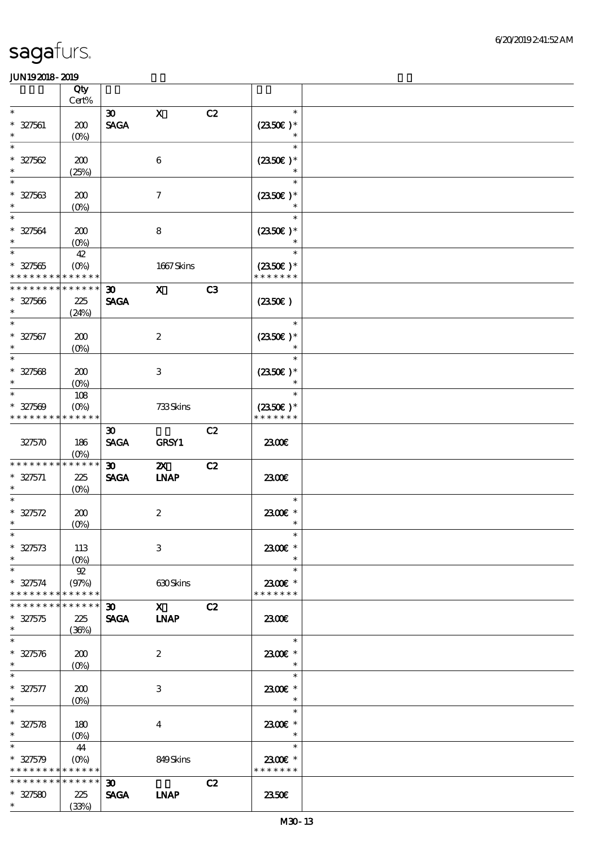|                                                     | Qty                                  |                                            |                                                                                                                                                                                                                                                                                                                                 |    |                                              |  |
|-----------------------------------------------------|--------------------------------------|--------------------------------------------|---------------------------------------------------------------------------------------------------------------------------------------------------------------------------------------------------------------------------------------------------------------------------------------------------------------------------------|----|----------------------------------------------|--|
| $\ast$                                              | Cert%                                |                                            |                                                                                                                                                                                                                                                                                                                                 |    |                                              |  |
| $* 327561$<br>$\ast$                                | 200<br>$(O\!/\!\delta)$              | $\boldsymbol{\mathfrak{D}}$<br><b>SAGA</b> | $\mathbf X$                                                                                                                                                                                                                                                                                                                     | C2 | $\ast$<br>$(2350)$ *<br>$\ast$               |  |
| $\ast$<br>$* 327562$<br>$\ast$                      | 200<br>(25%)                         |                                            | $\boldsymbol{6}$                                                                                                                                                                                                                                                                                                                |    | $\ast$<br>$(2350\epsilon)*$<br>$\ast$        |  |
| $\ast$<br>$* 327563$<br>$\ast$                      | 200<br>(0%)                          |                                            | $\tau$                                                                                                                                                                                                                                                                                                                          |    | $\ast$<br>$(2350\epsilon)*$                  |  |
| $\overline{\ast}$<br>$* 327564$<br>$\ast$           | 200<br>$(O\!/\!\!\delta)$            |                                            | 8                                                                                                                                                                                                                                                                                                                               |    | $\ast$<br>$(2350)$ *                         |  |
| $\ast$<br>$* 327565$<br>* * * * * * * *             | 42<br>$(O\%)$<br>* * * * * *         |                                            | 1667Skins                                                                                                                                                                                                                                                                                                                       |    | $\ast$<br>$(2350)$ *<br>* * * * * * *        |  |
| * * * * * * * *<br>$* 327566$<br>$\ast$             | * * * * * *<br>225<br>(24%)          | 30 <sub>o</sub><br><b>SAGA</b>             | $\mathbf{X}$                                                                                                                                                                                                                                                                                                                    | C3 | $(2350\epsilon)$                             |  |
| $\ast$<br>$* 327567$<br>$\ast$                      | 200<br>$(O\!/\!\delta)$              |                                            | $\boldsymbol{2}$                                                                                                                                                                                                                                                                                                                |    | $\ast$<br>$(2350)$ *<br>$\ast$               |  |
| $\ast$<br>$* 327568$<br>$\ast$                      | 200<br>$(O\%)$                       |                                            | 3                                                                                                                                                                                                                                                                                                                               |    | $\ast$<br>$(2350)$ *<br>$\ast$               |  |
| $\ast$<br>$* 327569$<br>* * * * * * * *             | 108<br>$(O\!/\!o)$<br>* * * * * *    |                                            | 733Skins                                                                                                                                                                                                                                                                                                                        |    | $\ast$<br>$(2350\epsilon)*$<br>* * * * * * * |  |
| 327570                                              | 186<br>$(O\%)$                       | $\boldsymbol{\mathfrak{D}}$<br><b>SAGA</b> | <b>GRSY1</b>                                                                                                                                                                                                                                                                                                                    | C2 | 2300E                                        |  |
| * * * * * * * *<br>$* 327571$<br>$\ast$             | * * * * * *<br>225<br>$(O\%)$        | $\boldsymbol{\mathfrak{D}}$<br><b>SAGA</b> | $\boldsymbol{\mathsf{Z}}$<br><b>INAP</b>                                                                                                                                                                                                                                                                                        | C2 | 2300€                                        |  |
| $\ast$<br>$* 327572$<br>$\ast$                      | 200<br>$(0\%)$                       |                                            | $\boldsymbol{2}$                                                                                                                                                                                                                                                                                                                |    | $\ast$<br>2300€ *<br>$\ast$                  |  |
| $*$<br>$* 327573$<br>$\ast$                         | 113<br>$(O\%)$                       |                                            | $\,3$                                                                                                                                                                                                                                                                                                                           |    | $\ast$<br>2300€ *<br>$\ast$                  |  |
| $\ast$<br>$* 327574$<br>* * * * * * * *             | 92<br>(97%)<br>* * * * * *           |                                            | 630Skins                                                                                                                                                                                                                                                                                                                        |    | $\ast$<br>2300€ *<br>* * * * * * *           |  |
| * * * * * * *<br>$* 327575$<br>$\ast$               | * * * * * *<br>225<br>(36%)          | $30 -$<br>SAGA INAP                        | $\mathbf X$ and $\mathbf X$ and $\mathbf X$ and $\mathbf X$ and $\mathbf X$ and $\mathbf X$ and $\mathbf X$ and $\mathbf X$ and $\mathbf X$ and $\mathbf X$ and $\mathbf X$ and $\mathbf X$ and $\mathbf X$ and $\mathbf X$ and $\mathbf X$ and $\mathbf X$ and $\mathbf X$ and $\mathbf X$ and $\mathbf X$ and $\mathbf X$ and | C2 | 2300E                                        |  |
| $\ast$<br>$* 327576$<br>$\ast$                      | 200<br>$(O\%)$                       |                                            | 2                                                                                                                                                                                                                                                                                                                               |    | $\ast$<br>2300E *<br>$\ast$                  |  |
| $\ast$<br>$* 327577$<br>$\ast$                      | 200<br>$(O\!\!\!\!\!\backslash\rho)$ |                                            | 3                                                                                                                                                                                                                                                                                                                               |    | $\ast$<br>2300E *<br>$\ast$                  |  |
| $\ast$<br>$* 327578$<br>$\ast$                      | 180<br>$(O\%)$                       |                                            | $\overline{\mathbf{4}}$                                                                                                                                                                                                                                                                                                         |    | $\ast$<br>2300€ *<br>$\ast$                  |  |
| $\ast$<br>$* 327579$<br>* * * * * * * * * * * * * * | 44                                   |                                            | 849Skins                                                                                                                                                                                                                                                                                                                        |    | $\ast$<br>2300€ *<br>* * * * * * *           |  |
| * * * * * * * *<br>$* 327580$<br>$*$ $*$            | * * * * * *<br>225<br>(33%)          | 30 <sub>o</sub><br><b>SAGA</b>             | <b>INAP</b>                                                                                                                                                                                                                                                                                                                     | C2 | 2350E                                        |  |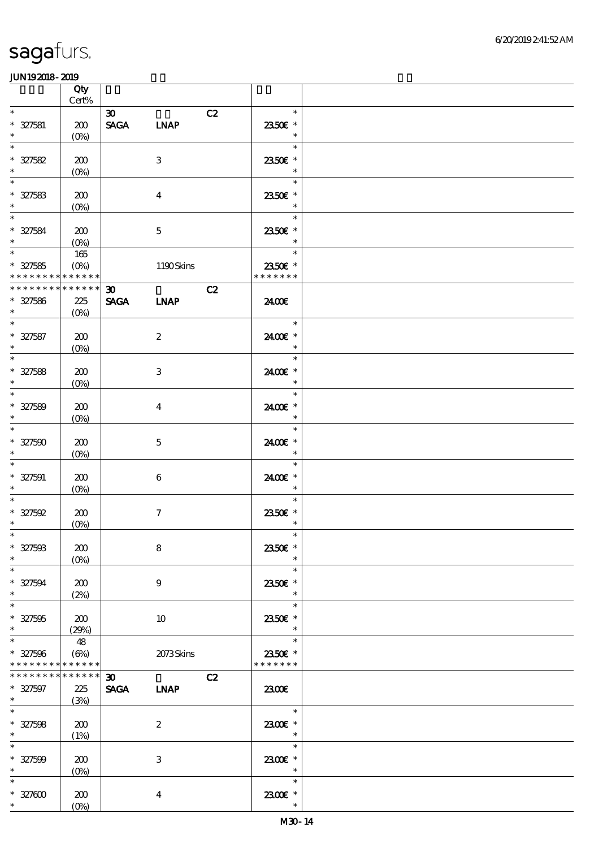|                                                           | Qty<br>Cert%                             |                                            |                         |    |                                               |  |
|-----------------------------------------------------------|------------------------------------------|--------------------------------------------|-------------------------|----|-----------------------------------------------|--|
| $\ast$<br>$* 327581$                                      | 200                                      | $\boldsymbol{\mathfrak{D}}$<br>SAGA LNAP   |                         | C2 | $\ast$<br>2350€ *                             |  |
| $\ast$<br>$\ast$                                          | $(O\!/\!o)$                              |                                            |                         |    | $\ast$<br>$\ast$                              |  |
| $* 327582$<br>$\ast$                                      | 200<br>$(0\%)$                           |                                            | 3                       |    | 2350€ *<br>$\ast$                             |  |
| $\ast$<br>$* 327583$<br>$\ast$                            | 200<br>(0%)                              |                                            | $\overline{4}$          |    | $\ast$<br>2350E *<br>$\ast$                   |  |
| $\overline{\ast}$<br>$* 327584$<br>$\ast$                 | 200<br>$(O_0)$                           |                                            | $\mathbf{5}$            |    | $\ast$<br>2350€ *<br>$\ast$                   |  |
| $\overline{\phantom{0}}$<br>$* 327585$<br>* * * * * * * * | $165\,$<br>$(O\%)$<br>$******$           |                                            | 1190Skins               |    | $\ast$<br>2350€ *<br>* * * * * * *            |  |
| * * * * * * * *<br>$* 327586$<br>$\ast$                   | * * * * * *<br>225<br>$(O\!/\!\!\delta)$ | $\boldsymbol{\mathfrak{D}}$<br><b>SAGA</b> | <b>LNAP</b>             | C2 | 2400E                                         |  |
| $\ast$<br>$* 327587$<br>$\ast$                            | 200<br>$(O\!/\!o)$                       |                                            | $\boldsymbol{2}$        |    | $\ast$<br>2400€ *<br>$\ast$                   |  |
| $\overline{\phantom{0}}$<br>$* 327588$<br>$\ast$          | 200<br>$(0\%)$                           |                                            | 3                       |    | $\ast$<br>2400€ *<br>$\ast$                   |  |
| $\overline{\ast}$<br>$* 327589$<br>$\ast$                 | 200<br>(0%)                              |                                            | $\overline{\mathbf{4}}$ |    | $\ast$<br>2400€ *<br>$\ast$                   |  |
| $\ast$<br>$* 327500$<br>$\ast$                            | 200<br>$(O\%)$                           |                                            | $\mathbf{5}$            |    | $\ast$<br>2400€ *<br>$\ast$                   |  |
| $\ast$<br>$* 327591$<br>$\ast$                            | 200<br>$(O\%)$                           |                                            | 6                       |    | $\ast$<br>2400€ *<br>$\ast$                   |  |
| $\ast$<br>$* 327592$<br>$\ast$                            | 200<br>$(0\%)$                           |                                            | $\boldsymbol{\tau}$     |    | $\ast$<br>2350E *<br>$\ast$                   |  |
| $\ast$<br>$* 327503$<br>$\ast$                            | 200<br>$(O\%)$                           |                                            | 8                       |    | $\ast$<br>2350€ *<br>$\ast$                   |  |
| $\ast$<br>$* 327594$<br>$\ast$                            | 200<br>(2%)                              |                                            | 9                       |    | $\ast$<br>2350 $\varepsilon$ *<br>$\ast$      |  |
| $\ast$<br>$* 327595$<br>$\ast$                            | 200<br>(29%)                             |                                            | 10                      |    | $\ast$<br>2350E *<br>$\ast$                   |  |
| $\ast$<br>$* 327596$<br>* * * * * * * *                   | 48<br>$(\Theta)$<br>* * * * * *          |                                            | 2073Skins               |    | $\ast$<br>2350E *<br>* * * * * * *            |  |
| * * * * * * *<br>$* 327597$<br>$*$                        | * * * * * *<br>225<br>(3%)               | $30-1$<br><b>SAGA</b>                      | <b>INAP</b>             | C2 | 2300                                          |  |
| $\ast$<br>$* 327508$<br>$\ast$                            | 200<br>(1%)                              |                                            | $\boldsymbol{z}$        |    | $\ast$<br>2300€ *<br>$\overline{\phantom{a}}$ |  |
| $\ast$<br>$* 327509$<br>$\ast$                            | 200<br>$(O\%)$                           |                                            | $\,3$                   |    | $\ast$<br>2300€ *<br>$\ast$                   |  |
| $\ast$<br>$* 32700$<br>$*$ $*$                            | 200<br>$(O\%)$                           |                                            | $\bf{4}$                |    | $\ast$<br>2300E *<br>$\ast$                   |  |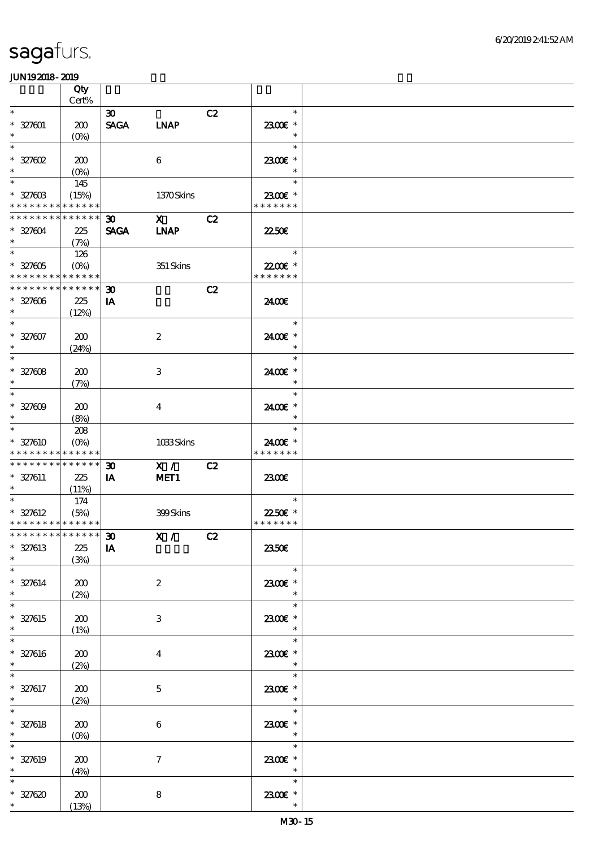|                                           | Qty<br>$\mbox{Cert}\%$                        |                                            |                            |    |                                                           |  |
|-------------------------------------------|-----------------------------------------------|--------------------------------------------|----------------------------|----|-----------------------------------------------------------|--|
| $\ast$                                    |                                               |                                            |                            |    | $\ast$                                                    |  |
| $* 327001$<br>$\ast$                      | 200<br>$(O\%)$                                | $\boldsymbol{\mathfrak{D}}$<br><b>SAGA</b> | <b>LNAP</b>                | C2 | 2300€ *<br>$\ast$                                         |  |
| $\ast$<br>$* 327602$                      | 200                                           |                                            | 6                          |    | $\ast$<br>2300€ *                                         |  |
| $\ast$<br>$\ast$<br>$* 32760B$            | $(O\%)$<br>145<br>(15%)                       |                                            | 1370Skins                  |    | $\ast$<br>$\ast$<br>2300€ *                               |  |
|                                           | * * * * * * * * * * * * * *                   |                                            |                            |    | * * * * * * *                                             |  |
| $* 327004$<br>$\ast$                      | * * * * * * * * * * * * * *<br>225<br>(7%)    | 30 <sub>o</sub><br><b>SAGA</b>             | $\mathbf x$<br><b>INAP</b> | C2 | 2250E                                                     |  |
| $\ast$<br>$* 327605$                      | 126<br>$(O\%)$<br>* * * * * * * * * * * * * * |                                            | 351 Skins                  |    | $\ast$<br>22.00 £*<br>* * * * * * *                       |  |
| * * * * * * * *                           | * * * * * *                                   | $\boldsymbol{\mathfrak{D}}$                |                            | C2 |                                                           |  |
| $* 327006$<br>$\ast$                      | 225<br>(12%)                                  | IA                                         |                            |    | 2400€                                                     |  |
| $\overline{\ast}$<br>$* 327607$<br>$\ast$ | 200<br>(24%)                                  |                                            | $\boldsymbol{2}$           |    | $\ast$<br>2400€ *<br>$\ast$                               |  |
| $\ast$<br>$* 327008$<br>$\ast$            | 200<br>(7%)                                   |                                            | $\ensuremath{\mathbf{3}}$  |    | $\ast$<br>2400€ *<br>$\ast$                               |  |
| $\ast$<br>$* 327009$<br>$\ast$            | 200<br>(8%)                                   |                                            | $\boldsymbol{4}$           |    | $\ast$<br>2400 £*<br>$\ast$                               |  |
| $\ast$<br>* 327610                        | 208<br>$(O\%)$<br>* * * * * * * * * * * * * * |                                            | 1033Skins                  |    | $\ast$<br>2400€ *<br>* * * * * * *                        |  |
|                                           | * * * * * * * * * * * * * *                   |                                            |                            |    |                                                           |  |
| $* 327611$<br>$\ast$                      | 225<br>(11%)                                  | $\boldsymbol{\mathfrak{D}}$<br>IA          | X /<br>MET <sub>1</sub>    | C2 | 2300€                                                     |  |
| $\ast$<br>$* 327612$                      | 174<br>(5%)<br>* * * * * * * * * * * * * *    |                                            | 399Skins                   |    | $\ast$<br>22.50 $\varepsilon$ *<br>* * * * * * *          |  |
|                                           | ***************** 30                          |                                            | X / C2                     |    |                                                           |  |
| $* 327613$<br>$\ast$                      | 225<br>(3%)                                   | IA                                         |                            |    | 2350E                                                     |  |
| $\ast$<br>$* 327614$<br>$\ast$            | 200<br>(2%)                                   |                                            | $\boldsymbol{z}$           |    | $\ast$<br>2300E *<br>$\ast$                               |  |
| $\ast$<br>* 327615<br>$\ast$              | 200<br>(1%)                                   |                                            | 3                          |    | $\ast$<br>2300€ *<br>$\ast$                               |  |
| $\ast$<br>$* 327616$<br>$\ast$            | 200<br>(2%)                                   |                                            | $\overline{4}$             |    | $\ast$<br>2300€ *<br>$\ast$                               |  |
| $\ast$<br>$* 327617$<br>$\ast$            | 200<br>(2%)                                   |                                            | $\mathbf{5}$               |    | $\ast$<br>2300€ *<br>$\ast$                               |  |
| $* 327618$<br>$\ast$                      | 200<br>$(0\%)$                                |                                            | $\boldsymbol{6}$           |    | $\ast$<br>$2300$ $\epsilon$ *<br>$\overline{\phantom{a}}$ |  |
| $\ast$<br>$* 327619$<br>$\ast$            | 200<br>(4%)                                   |                                            | $\tau$                     |    | $\ast$<br>2300E *<br>$\overline{\phantom{a}}$             |  |
| $\ast$<br>$* 327620$                      | 200<br>(13%)                                  |                                            | $\bf 8$                    |    | $\ast$<br>2300€ *<br>$\ast$                               |  |
|                                           |                                               |                                            |                            |    |                                                           |  |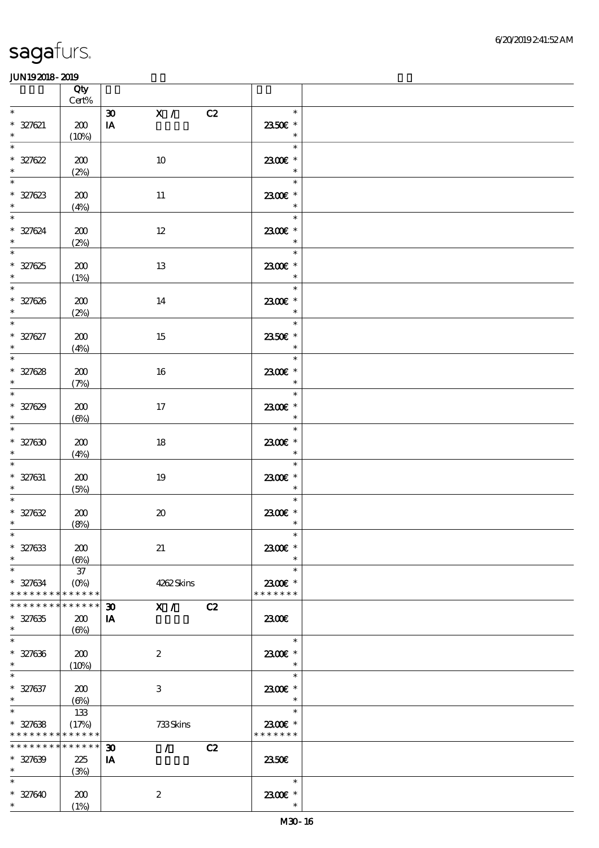|                                                                    | Qty<br>$\mbox{Cert}\%$           |                                                           |                                               |  |
|--------------------------------------------------------------------|----------------------------------|-----------------------------------------------------------|-----------------------------------------------|--|
| $\ast$                                                             |                                  | $\mathbf{X}$ /<br>$\boldsymbol{\mathfrak{D}}$<br>C2       | $\ast$                                        |  |
| $* 327621$<br>$\ast$                                               | 200<br>(10%)                     | IA                                                        | $2350\mathrm{E}$ *<br>$\ast$                  |  |
| $\overline{\ast}$<br>$* 327622$<br>$\ast$                          | 200<br>(2%)                      | 10                                                        | $\ast$<br>2300€ *<br>$\ast$                   |  |
| $\ast$<br>$* 327623$                                               | 200<br>(4%)                      | $11\,$                                                    | $\ast$<br>2300€ *<br>$\ast$                   |  |
| $\overline{\phantom{0}}$<br>$* 327624$                             | 200<br>(2%)                      | $12\,$                                                    | $\ast$<br>2300€ *<br>$\ast$                   |  |
| $\overline{\phantom{0}}$<br>$* 327625$<br>$\ast$                   | 200<br>(1%)                      | 13                                                        | T.<br>$\ast$<br>2300€ *<br>$\ast$             |  |
| $\overline{\phantom{0}}$<br>$* 327626$                             | 200<br>(2%)                      | 14                                                        | $\ast$<br>2300E *<br>$\ast$                   |  |
| $\overline{\phantom{0}}$<br>$* 327627$<br>$\ast$                   | 200<br>(4%)                      | 15                                                        | $\ast$<br>2350E *<br>$\ast$                   |  |
| $\overline{\phantom{0}}$<br>$* 327628$<br>$\ast$                   | 200<br>(7%)                      | 16                                                        | $\ast$<br>2300E *<br>$\overline{\phantom{a}}$ |  |
| $\overline{\phantom{0}}$<br>$* 327629$<br>$\ddot{\mathbf{r}}$      | 200<br>$(\Theta)$                | 17                                                        | $\ast$<br>2300 £*<br>$\ast$                   |  |
| $\overline{\phantom{0}}$<br>$* 327630$<br>$\ast$                   | 200<br>(4%)                      | 18                                                        | $\ast$<br>2300€ *<br>$\ast$                   |  |
| $\overline{\phantom{0}}$<br>$* 327631$<br>$\ast$                   | 200<br>(5%)                      | 19                                                        | $\ast$<br>2300€ *<br>$\ast$                   |  |
| $\ast$<br>$* 327632$<br>$\ast$                                     | 200<br>(8%)                      | $\pmb{\mathcal{X}}$                                       | $\ast$<br>2300E *<br>$\ast$                   |  |
| $*$<br>$* 327633$<br>$\ast$                                        | 200<br>$(\Theta)$                | 21                                                        | 2300€ *                                       |  |
| $\ast$<br>$* 327634$<br>* * * * * * * * <mark>* * * * * * *</mark> | $37\,$<br>$(0\%)$                | 4262Skins                                                 | $\ast$<br>2300€ *<br>* * * * * * *            |  |
| * * * * * * * *<br>$* 327635$<br>$\ast$                            | * * * * * *<br>200<br>$(\Theta)$ | $\mathbf{X}$ /<br>C2<br>$\boldsymbol{\mathfrak{D}}$<br>IA | 2300E                                         |  |
| $\overline{\ast}$<br>$* 327636$<br>$\ast$                          | 200<br>(10%)                     | $\boldsymbol{2}$                                          | $\ast$<br>2300€ *<br>$\ast$                   |  |
| $\ast$<br>$* 327637$<br>$\ast$                                     | 200<br>$(\Theta)$                | 3                                                         | $\ast$<br>2300€ *<br>$\ast$                   |  |
| $\ast$<br>$* 327638$<br>* * * * * * * * <mark>* * * * * *</mark>   | 133<br>(17%)                     | 733Skins                                                  | $\ast$<br>2300€ *<br>* * * * * * *            |  |
| * * * * * * * * * * * * * *<br>$* 327639$<br>$*$                   | 225<br>(3%)                      | $\mathcal{L}$<br>C2<br>$\boldsymbol{\mathfrak{D}}$<br>IA  | 2350E                                         |  |
| $\ast$<br>$* 327640$<br>$\ast$                                     | 200<br>(1%)                      | $\boldsymbol{2}$                                          | $\ast$<br>2300E *<br>$\ast$                   |  |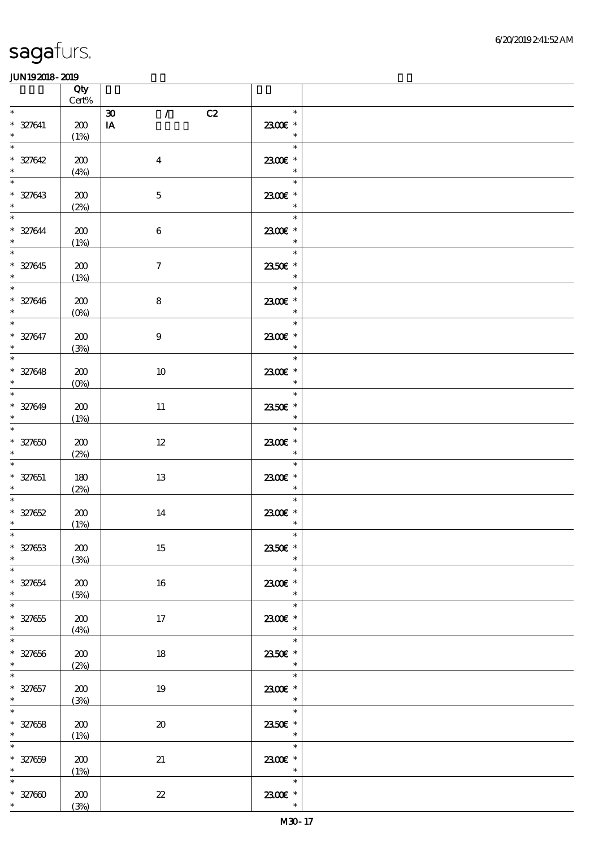|                                                                       | Qty<br>$\mbox{Cert}\%$ |                                             |                                                           |  |
|-----------------------------------------------------------------------|------------------------|---------------------------------------------|-----------------------------------------------------------|--|
| $\ast$                                                                |                        | $\mathcal{T}$<br>$\pmb{\mathfrak{D}}$<br>C2 | $\ast$                                                    |  |
| $* 327641$<br>$\ast$                                                  | 200<br>(1%)            | $\mathbf{I} \mathbf{A}$                     | 2300€ *<br>$\ast$                                         |  |
| $\ast$<br>$* 327642$<br>$\ast$                                        | 200<br>(4%)            | $\boldsymbol{4}$                            | $\ast$<br>2300€ *<br>$\ast$                               |  |
| $\ast$<br>$* 327643$                                                  | 200<br>(2%)            | $\mathbf 5$                                 | $\ast$<br>2300E *<br>$\ast$                               |  |
| $\overline{\ast}$<br>$* 327644$<br>$*$                                | 200<br>(1%)            | $\bf 6$                                     | $\ast$<br>2300€ *<br>$\ast$                               |  |
| $\ast$<br>$* 327645$<br>$\ddot{\phantom{0}}$                          | 200<br>(1%)            | $\boldsymbol{\tau}$                         | $\frac{1}{\sqrt{2}}$<br>$\ast$<br>2350E *<br>$\ast$       |  |
| $\overline{\phantom{0}}$<br>$* 327646$<br>$\ast$                      | 200<br>$(0\%)$         | $\bf 8$                                     | $\ast$<br>$2300$ $\epsilon$ *<br>$\overline{\phantom{a}}$ |  |
| $\overline{\ast}$<br>$* 327647$<br>$\ddot{\mathbf{r}}$                | 200<br>(3%)            | $\boldsymbol{9}$                            | $\ast$<br>2300E *<br>$\ast$                               |  |
| $\overline{\ast}$<br>$* 327648$<br>$\ast$<br>$\overline{\phantom{0}}$ | 200<br>$(0\%)$         | $10\,$                                      | $\ast$<br>2300E *<br>$\ast$                               |  |
| $* 327649$<br>$\ast$                                                  | 200<br>(1%)            | $11\,$                                      | $\ast$<br>2350€ *<br>$\ast$                               |  |
| $\overline{\ast}$<br>$* 327650$<br>$\ast$                             | 200<br>(2%)            | $12\,$                                      | $\ast$<br>2300€ *<br>$\ast$                               |  |
| $\ast$<br>$* 327651$<br>$\ast$                                        | 180<br>(2%)            | 13                                          | $\ast$<br>2300€ *<br>$\ast$                               |  |
| $* 327652$<br>$\ast$                                                  | 200<br>(1%)            | 14                                          | $\ast$<br>$2300$ £ *<br>$\ast$                            |  |
| $*$<br>$* 327653$<br>$\ast$                                           | 200<br>(3%)            | 15                                          | $\ast$<br>2350€ *<br>$\ast$                               |  |
| $\ast$<br>$* 327654$<br>$\ast$                                        | 200<br>(5%)            | 16                                          | $\ast$<br>2300E *<br>$\ast$                               |  |
| $\overline{\phantom{0}}$<br>$* 327655$<br>$\ast$                      | 200<br>(4%)            | 17                                          | $\ast$<br>2300€ *<br>$\ast$                               |  |
| $\overline{\ast}$<br>$* 327656$<br>$\ast$                             | 200<br>(2%)            | 18                                          | $\ast$<br>2350E *<br>$\ast$                               |  |
| $\ast$<br>$* 327657$<br>$\ast$                                        | 200<br>(3%)            | 19                                          | $\frac{1}{\sqrt{2}}$<br>$\ast$<br>2300€ *<br>$\ast$       |  |
| $* 327658$<br>$\ast$                                                  | 200<br>(1%)            | $\boldsymbol{\boldsymbol{\lambda}}$         | an an<br>$\ast$<br>2350€ *<br>$\ast$                      |  |
| $\ast$<br>$* 327659$<br>$\ast$                                        | 200<br>(1%)            | 21                                          | $\ast$<br>2300E *<br>$\overline{\phantom{a}}$             |  |
| $\ast$<br>$* 327600$<br>$*$ $*$                                       | 200<br>(3%)            | $2\!2$                                      | $\ast$<br>2300€ *<br>$\ast$                               |  |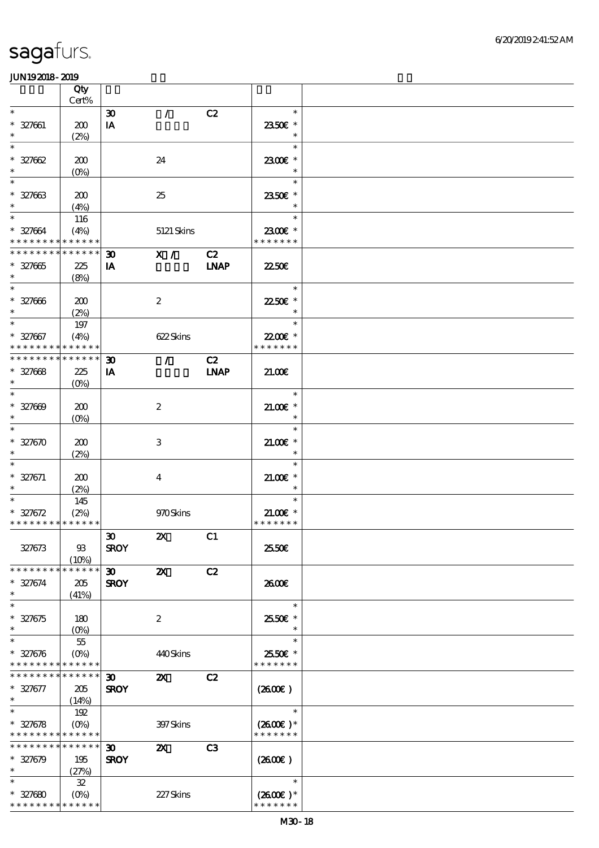|                                                          | Qty                |                                   |                           |                |                             |  |
|----------------------------------------------------------|--------------------|-----------------------------------|---------------------------|----------------|-----------------------------|--|
| $\ast$                                                   | Cert%              |                                   | $\mathcal{L}$             | C2             | $\ast$                      |  |
| $* 327061$                                               | 200                | $\boldsymbol{\mathfrak{D}}$<br>IA |                           |                | 2350€ *                     |  |
| $\ast$                                                   | (2%)               |                                   |                           |                | $\ast$                      |  |
| $\ast$                                                   |                    |                                   |                           |                | $\ast$                      |  |
| $* 327662$                                               | 200                |                                   | 24                        |                | 2300€ *                     |  |
| $\ast$                                                   | $(0\%)$            |                                   |                           |                | $\ast$                      |  |
| $\ast$                                                   |                    |                                   |                           |                | $\ast$                      |  |
| $* 327663$<br>$\ast$                                     | 200                |                                   | 25                        |                | 2350€ *<br>$\ast$           |  |
| $\ast$                                                   | (4%)<br>116        |                                   |                           |                | $\ast$                      |  |
| $* 327664$                                               | (4%)               |                                   | 5121 Skins                |                | 2300€ *                     |  |
| * * * * * * * * * * * * * *                              |                    |                                   |                           |                | * * * * * * *               |  |
| * * * * * * * *                                          | * * * * * *        | $\boldsymbol{\mathfrak{D}}$       | X /                       | C2             |                             |  |
| $* 327665$                                               | 225                | IA                                |                           | <b>LNAP</b>    | 2250E                       |  |
| $\ast$                                                   | (8%)               |                                   |                           |                |                             |  |
| $\ast$                                                   |                    |                                   |                           |                | $\ast$                      |  |
| $* 327006$<br>$\ast$                                     | 200<br>(2%)        |                                   | $\boldsymbol{2}$          |                | 2250€ *<br>$\ast$           |  |
| $\ast$                                                   | $197$              |                                   |                           |                | $\ast$                      |  |
| $* 327067$                                               | (4%)               |                                   | 622Skins                  |                | 22.00 *                     |  |
| * * * * * * * *                                          | * * * * * *        |                                   |                           |                | * * * * * * *               |  |
| * * * * * * * *                                          | * * * * * *        | $\boldsymbol{\mathfrak{D}}$       | $\mathcal{L}$             | C2             |                             |  |
| $* 327668$                                               | 225                | IA                                |                           | <b>INAP</b>    | 21.00                       |  |
| $\ast$                                                   | (O <sub>0</sub> )  |                                   |                           |                |                             |  |
| $\ast$                                                   |                    |                                   |                           |                | $\ast$                      |  |
| $* 327609$<br>$\ast$                                     | 200<br>$(O\!/\!o)$ |                                   | $\boldsymbol{2}$          |                | $21.005*$<br>$\ast$         |  |
| $\ast$                                                   |                    |                                   |                           |                | $\ast$                      |  |
| $* 327670$                                               | 200                |                                   | $\,3$                     |                | $21.005*$                   |  |
| $\ast$                                                   | (2%)               |                                   |                           |                | $\ast$                      |  |
| $\ast$                                                   |                    |                                   |                           |                | $\ast$                      |  |
| $* 327671$                                               | 200                |                                   | $\boldsymbol{4}$          |                | $21.00$ $*$                 |  |
| $\ast$<br>$\ast$                                         | (2%)               |                                   |                           |                | $\ast$<br>$\ast$            |  |
| $* 327672$                                               | 145<br>(2%)        |                                   | 970Skins                  |                | $21.00E$ *                  |  |
| * * * * * * * * * * * * * *                              |                    |                                   |                           |                | * * * * * * *               |  |
|                                                          |                    | $\boldsymbol{\mathfrak{D}}$       | $\boldsymbol{\mathsf{Z}}$ | C1             |                             |  |
| 327673                                                   | $93$               | <b>SROY</b>                       |                           |                | 25.50E                      |  |
|                                                          | (10%)              |                                   |                           |                |                             |  |
| * * * * * * * *                                          | * * * * * *        | 30 <sub>o</sub>                   | $\boldsymbol{\mathsf{z}}$ | C2             |                             |  |
| $* 327674$<br>$\ast$                                     | 205                | <b>SROY</b>                       |                           |                | 2600E                       |  |
| $\ast$                                                   | (41%)              |                                   |                           |                | $\ast$                      |  |
| $* 327675$                                               | 180                |                                   | $\boldsymbol{2}$          |                | 25.50€ *                    |  |
| $\ast$                                                   | $(O\%)$            |                                   |                           |                |                             |  |
| $\ast$                                                   | $5\!$              |                                   |                           |                | $\ast$                      |  |
| $* 327676$                                               | $(O\%)$            |                                   | 440Skins                  |                | 2550€ *                     |  |
| * * * * * * * * * * * * * *                              |                    |                                   |                           |                | * * * * * * *               |  |
| * * * * * * * * <mark>* * * * * *</mark>                 |                    | $\boldsymbol{\mathfrak{D}}$       | $\boldsymbol{\mathsf{z}}$ | C2             |                             |  |
| $* 327677$<br>$\ast$                                     | 205                | <b>SROY</b>                       |                           |                | (2600)                      |  |
| $\overline{\ast}$                                        | (14%)<br>192       |                                   |                           |                | $\ast$                      |  |
| $* 327678$                                               | $(O\%)$            |                                   | 397 Skins                 |                | $(2600)$ *                  |  |
| * * * * * * * * <mark>* * * * * *</mark> *               |                    |                                   |                           |                | * * * * * * *               |  |
| * * * * * * * * * * * * * *                              |                    | $\boldsymbol{\mathfrak{D}}$       | $\boldsymbol{\alpha}$     | C <sub>3</sub> |                             |  |
| $* 327679$                                               | 195                | <b>SROY</b>                       |                           |                | (260E)                      |  |
| $\ast$                                                   | (27%)              |                                   |                           |                |                             |  |
| $\ast$                                                   | ${\bf 3\!}$        |                                   |                           |                | $\ast$                      |  |
| $* 327680$<br>* * * * * * * * <mark>* * * * * *</mark> * | $(O\%)$            |                                   | 227Skins                  |                | $(2600)$ *<br>* * * * * * * |  |
|                                                          |                    |                                   |                           |                |                             |  |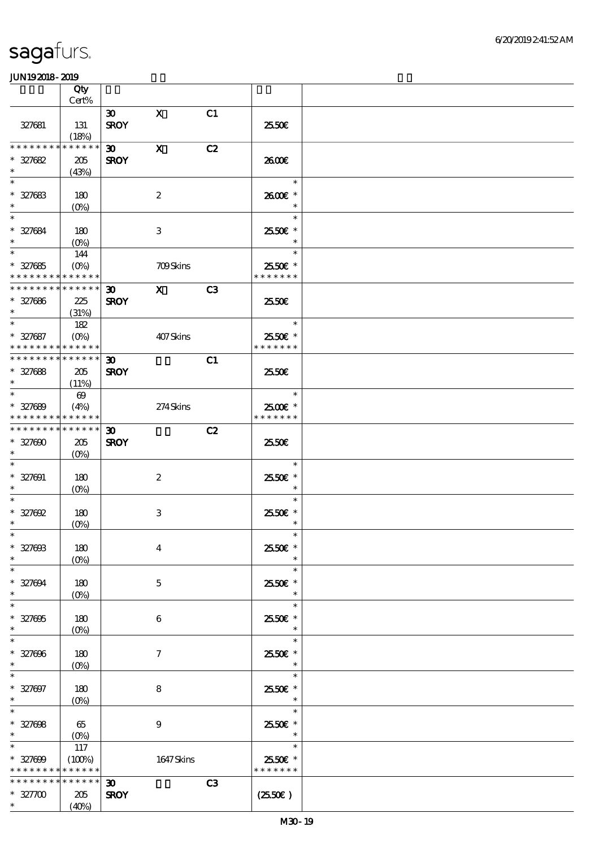|                                                            | Qty                             |                             |                  |                |                          |  |
|------------------------------------------------------------|---------------------------------|-----------------------------|------------------|----------------|--------------------------|--|
|                                                            | Cert%                           |                             |                  |                |                          |  |
| 327681                                                     | 131<br>(18%)                    | $\infty$<br><b>SROY</b>     | $\mathbf{x}$     | C1             | 2550E                    |  |
| * * * * * * * *                                            | * * * * * *                     | $\boldsymbol{\mathfrak{D}}$ | $\mathbf X$      | C2             |                          |  |
| $* 327682$                                                 | 205                             | <b>SROY</b>                 |                  |                | 2600E                    |  |
| $\ast$                                                     | (43%)                           |                             |                  |                |                          |  |
| $\ast$                                                     |                                 |                             |                  |                | $\ast$                   |  |
| $* 327683$                                                 | 180                             |                             | $\boldsymbol{2}$ |                | 2600€ *                  |  |
| $\ast$                                                     | $(O\!\!\!\!\!\!\backslash\rho)$ |                             |                  |                |                          |  |
| $\ast$                                                     |                                 |                             |                  |                | $\ast$                   |  |
| $* 327684$                                                 | 180                             |                             | 3                |                | 25.50€ *                 |  |
| $\ast$                                                     | $(0\%)$                         |                             |                  |                |                          |  |
| $\ast$                                                     | 144                             |                             |                  |                | $\ast$                   |  |
| $* 327685$                                                 | $(O\%)$                         |                             | 709Skins         |                | 25.50€ *                 |  |
| * * * * * * * * * * * * * *                                |                                 |                             |                  |                | * * * * * * *            |  |
| * * * * * * * * * * * * * * *                              |                                 | $\boldsymbol{\mathfrak{D}}$ | $\mathbf{X}$     | C <sub>3</sub> |                          |  |
| $* 327686$                                                 | 225                             | <b>SROY</b>                 |                  |                | 25.50€                   |  |
| $\ast$                                                     | (31%)                           |                             |                  |                |                          |  |
| $\overline{\ast}$                                          | 182                             |                             |                  |                | $\ast$                   |  |
| $* 327687$                                                 | $(O\%)$                         |                             | 407Skins         |                | 25.50€ *                 |  |
| * * * * * * * * * * * * * *<br>* * * * * * * * * * * * * * |                                 |                             |                  |                | * * * * * * *            |  |
|                                                            |                                 | $\boldsymbol{\mathfrak{D}}$ |                  | C1             |                          |  |
| $* 327688$<br>$\ast$                                       | 205                             | <b>SROY</b>                 |                  |                | 25.50€                   |  |
| $\ast$                                                     | (11%)                           |                             |                  |                | $\ast$                   |  |
|                                                            | $\boldsymbol{\omega}$           |                             |                  |                |                          |  |
| $* 327689$<br>* * * * * * * * * * * * * *                  | (4%)                            |                             | 274Skins         |                | 2500€ *<br>* * * * * * * |  |
| * * * * * * * * * * * * * * *                              |                                 | $\boldsymbol{\mathfrak{D}}$ |                  | C2             |                          |  |
| $* 327000$                                                 | 205                             | <b>SROY</b>                 |                  |                | 25.50€                   |  |
| $\ast$                                                     | $(O\%)$                         |                             |                  |                |                          |  |
| $\ast$                                                     |                                 |                             |                  |                | $\ast$                   |  |
| $* 327091$                                                 | 180                             |                             | $\boldsymbol{2}$ |                | 2550E *                  |  |
| $\ast$                                                     | $(O\%)$                         |                             |                  |                | $\ast$                   |  |
| $\ast$                                                     |                                 |                             |                  |                | $\ast$                   |  |
| $* 327002$                                                 | 180                             |                             | $\,3$            |                | 2550€ *                  |  |
| $\ast$                                                     | $(O\!/\!\!\delta)$              |                             |                  |                | $\ast$                   |  |
| $*$                                                        |                                 |                             |                  |                | $\ast$                   |  |
| $* 32700B$                                                 | 180                             |                             | $\boldsymbol{4}$ |                | 2550€ *                  |  |
| $\ast$                                                     | $(0\%)$                         |                             |                  |                | $\ast$                   |  |
| $\ast$                                                     |                                 |                             |                  |                | $\ast$                   |  |
| $* 327004$                                                 | 180                             |                             | $\mathbf 5$      |                | 2550€ *                  |  |
| $\ast$                                                     | $(O\%)$                         |                             |                  |                | $\ast$                   |  |
| $\ast$                                                     |                                 |                             |                  |                | $\ast$                   |  |
| $* 327005$<br>$\ast$                                       | 180                             |                             | 6                |                | 2550€ *                  |  |
| $\ast$                                                     | $(O\!\!\!\!\!\!\backslash\rho)$ |                             |                  |                | $\ast$                   |  |
| $* 327006$                                                 | 180                             |                             | 7                |                | 2550€ *                  |  |
| $\ast$                                                     | $(O\%)$                         |                             |                  |                | $\ast$                   |  |
|                                                            |                                 |                             |                  |                | $\ast$                   |  |
| $* 327007$                                                 | 180                             |                             | 8                |                | 2550€ *                  |  |
| $\ast$                                                     | $(O\%)$                         |                             |                  |                | $\ast$                   |  |
| $\ast$                                                     |                                 |                             |                  |                | $\ast$                   |  |
| $* 327608$                                                 | 65                              |                             | $\boldsymbol{9}$ |                | 25.50€ *                 |  |
| $\ast$                                                     |                                 |                             |                  |                | $\ast$                   |  |
| $\ast$                                                     | 117                             |                             |                  |                | $\ast$                   |  |
| $* 327000$                                                 | (100%)                          |                             | 1647Skins        |                | 2550€ *                  |  |
| * * * * * * * * <mark>* * * * * *</mark>                   |                                 |                             |                  |                | * * * * * * *            |  |
| * * * * * * * *                                            | $******$                        | 30 <sub>o</sub>             |                  | C <sub>3</sub> |                          |  |
| $* 32700$                                                  | 205                             | <b>SROY</b>                 |                  |                | $(2550\varepsilon)$      |  |
| $\ast$                                                     | (40%)                           |                             |                  |                |                          |  |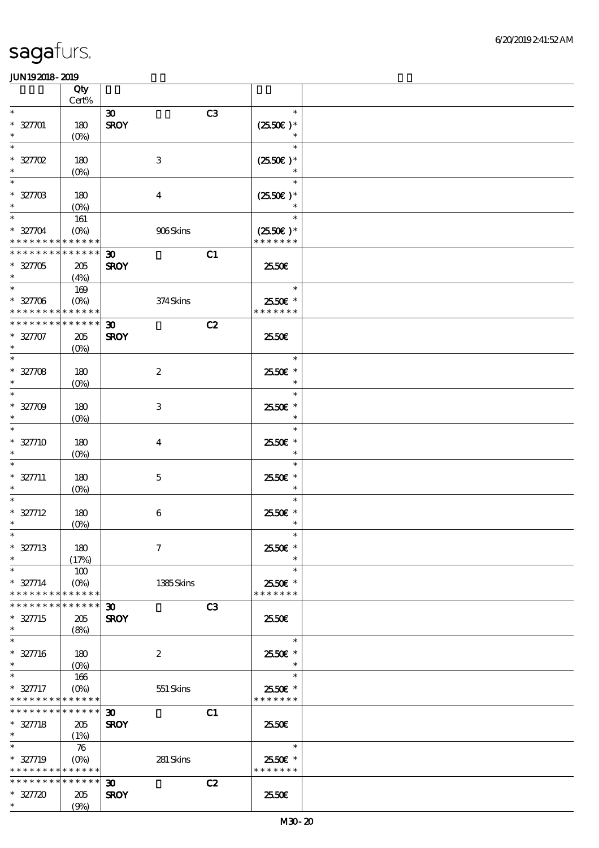|                                            | Qty                       |                             |                |                             |  |
|--------------------------------------------|---------------------------|-----------------------------|----------------|-----------------------------|--|
| $\ast$                                     | $\mbox{Cert}\%$           |                             |                | $\ast$                      |  |
|                                            |                           | $\boldsymbol{\mathfrak{D}}$ | C <sub>3</sub> |                             |  |
| $* 32701$<br>$\ast$                        | 180                       | <b>SROY</b>                 |                | $(2550E)*$<br>$\ast$        |  |
| $\ast$                                     | $(O\%)$                   |                             |                | $\ast$                      |  |
| $* 327702$                                 | 180                       | $\,3$                       |                | $(2550E)^*$                 |  |
| $\ast$                                     |                           |                             |                | $\ast$                      |  |
| $\ast$                                     | $(O\%)$                   |                             |                | $\ast$                      |  |
|                                            |                           |                             |                |                             |  |
| $* 3270B$<br>$\ast$                        | 180                       | $\boldsymbol{4}$            |                | $(2550E)*$<br>$\ast$        |  |
| $\ast$                                     | $(O_0)$                   |                             |                | $\ast$                      |  |
|                                            | 161                       |                             |                |                             |  |
| $* 32704$<br>* * * * * * * * * * * * * *   | $(O\%)$                   | 906Skins                    |                | $(2550E)*$<br>* * * * * * * |  |
|                                            |                           |                             |                |                             |  |
| * * * * * * * * * * * * * *                |                           | $\boldsymbol{\mathfrak{D}}$ | C1             |                             |  |
| $* 327705$<br>$\ast$                       | $205\,$                   | <b>SROY</b>                 |                | 2550€                       |  |
| $\overline{\phantom{0}}$                   | (4%)                      |                             |                |                             |  |
|                                            | 169                       |                             |                | $\ast$                      |  |
| $* 32706$                                  | $(O\%)$                   | 374Skins                    |                | 2550€ *                     |  |
| * * * * * * * * <mark>* * * * * * *</mark> |                           |                             |                | * * * * * * *               |  |
| * * * * * * * * * * * * * *                |                           | $\boldsymbol{\mathfrak{D}}$ | C2             |                             |  |
| $* 327707$                                 | 205                       | <b>SROY</b>                 |                | 2550E                       |  |
| $\ast$                                     | $(O\%)$                   |                             |                |                             |  |
| $\ast$                                     |                           |                             |                | $\ast$                      |  |
| $* 32708$                                  | 180                       | $\boldsymbol{2}$            |                | 2550€ *                     |  |
| $\ast$                                     | $(0\%)$                   |                             |                | $\ast$                      |  |
| $\ast$                                     |                           |                             |                | $\ast$                      |  |
| $* 32709$                                  | 180                       | 3                           |                | 2550€ *                     |  |
| $\ast$                                     | $(O\%)$                   |                             |                | $\ast$                      |  |
| $\ast$                                     |                           |                             |                | $\ast$                      |  |
| $* 327710$                                 | 180                       | $\overline{4}$              |                | 2550€ *                     |  |
| $\ast$                                     | $(0\%)$                   |                             |                | $\ast$                      |  |
| $\ast$                                     |                           |                             |                | $\ast$                      |  |
| $* 327711$                                 | 180                       | $\mathbf 5$                 |                | 2550€ *                     |  |
|                                            | $(O\%)$                   |                             |                | $\ast$                      |  |
|                                            |                           |                             |                | $\ast$                      |  |
| $* 327712$                                 | 180                       | $\boldsymbol{6}$            |                | $2550$ £ *                  |  |
| $\ast$                                     | $(0\%)$                   |                             |                | $\ast$                      |  |
|                                            |                           |                             |                | $\ast$                      |  |
| $* 327713$                                 | 180                       | $\boldsymbol{7}$            |                | 25.50€ *                    |  |
| $\ast$                                     | (17%)                     |                             |                | $\ast$                      |  |
| $\ast$                                     | 100                       |                             |                | $\ast$                      |  |
| $* 327714$                                 | $(O\%)$                   | 1385Skins                   |                | 2550€ *                     |  |
| * * * * * * * * * * * * * *                |                           |                             |                | * * * * * * *               |  |
| * * * * * * * *                            | * * * * * *               | 30 <sub>o</sub>             | C <sub>3</sub> |                             |  |
| $* 327715$                                 | 205                       | <b>SROY</b>                 |                | 2550E                       |  |
| $\ast$<br>$\ast$                           | (8%)                      |                             |                |                             |  |
|                                            |                           |                             |                | $\ast$                      |  |
| $* 327716$                                 | 180                       | $\boldsymbol{2}$            |                | 25.50€ *                    |  |
| $\ast$<br>$\ast$                           | $(O\%)$                   |                             |                |                             |  |
|                                            | 166                       |                             |                | $\ast$                      |  |
| $* 327717$<br>* * * * * * * * * * * * * *  | $(O\%)$                   | 551 Skins                   |                | 2550€ *<br>* * * * * * *    |  |
| * * * * * * * *                            | * * * * * * *             |                             |                |                             |  |
|                                            |                           | $\boldsymbol{\mathfrak{D}}$ | C1             |                             |  |
| $* 327718$<br>$\ast$                       | 205                       | <b>SROY</b>                 |                | 25.50E                      |  |
| $\ast$                                     | (1%)                      |                             |                | $\ast$                      |  |
|                                            | 76                        |                             |                |                             |  |
| $* 327719$                                 | $(O\!\!\!\!\!\!\!/\,\!o)$ | 281 Skins                   |                | 2550€ *                     |  |
| * * * * * * * * * * * * * *                |                           |                             |                | * * * * * * *               |  |
| * * * * * * * * * * * * * * *              |                           | $\boldsymbol{\mathfrak{D}}$ | C2             |                             |  |
| $* 327720$                                 | 205                       | <b>SROY</b>                 |                | 2550E                       |  |
| $\ast$                                     | (9%)                      |                             |                |                             |  |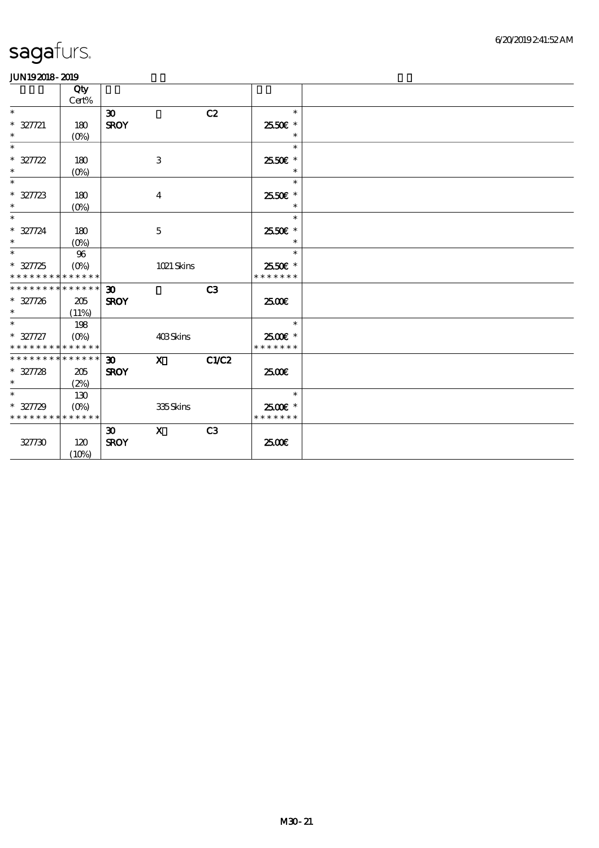|                                          | Qty<br>$\mbox{Cert}\%$ |                             |              |       |                    |  |
|------------------------------------------|------------------------|-----------------------------|--------------|-------|--------------------|--|
| $\ast$                                   |                        | $\boldsymbol{\mathfrak{D}}$ |              | C2    | $\ast$             |  |
| $* 327721$<br>$\ast$                     | 180<br>$(O\%)$         | <b>SROY</b>                 |              |       | 2550€ *<br>$\ast$  |  |
| $\ast$                                   |                        |                             |              |       | $\ast$             |  |
| $* 327722$                               | 180                    |                             | 3            |       | 25.50€ *           |  |
| $\ast$                                   | $(O\%)$                |                             |              |       | $\ast$             |  |
| $\ast$<br>$* 327723$                     | 180                    |                             |              |       | $\ast$<br>2550€ *  |  |
| $\ast$                                   | $(O\%)$                |                             | $\bf{4}$     |       | $\ast$             |  |
| $\overline{\ast}$                        |                        |                             |              |       | $\ast$             |  |
| $* 327724$<br>$\ast$                     | 180                    |                             | $\mathbf 5$  |       | 25.50€ *<br>$\ast$ |  |
| $\ast$                                   | $(O\%)$<br>96          |                             |              |       | $\ast$             |  |
| $* 327725$                               |                        |                             | 1021 Skins   |       | 2550€ *            |  |
| * * * * * * * * <mark>* * * * * *</mark> |                        |                             |              |       | * * * * * * *      |  |
| * * * * * * * * * * * * * * *            |                        | $\boldsymbol{\mathfrak{D}}$ |              | C3    |                    |  |
| $* 327726$<br>$\ast$                     | 205                    | <b>SROY</b>                 |              |       | 2500€              |  |
| $\overline{\ast}$                        | (11%)<br>198           |                             |              |       | $\ast$             |  |
| $* 327727$                               |                        |                             | 403Skins     |       | 2500€ *            |  |
| * * * * * * * * * * * * * *              |                        |                             |              |       | * * * * * * *      |  |
| * * * * * * * * * * * * * *              |                        | $\boldsymbol{\mathfrak{D}}$ | $\mathbf{x}$ | C1/C2 |                    |  |
| $* 327728$<br>$\ast$                     | 205<br>(2%)            | <b>SROY</b>                 |              |       | 2500€              |  |
| $\ast$                                   | 130                    |                             |              |       | $\ast$             |  |
| $* 327729$                               | $(O\% )$               |                             | 335Skins     |       | 2500€ *            |  |
| * * * * * * * * * * * * * *              |                        |                             |              |       | * * * * * * *      |  |
|                                          |                        | $\boldsymbol{\mathfrak{D}}$ | $\mathbf{x}$ | C3    |                    |  |
| 327730                                   | 120<br>(10%)           | <b>SROY</b>                 |              |       | 2500€              |  |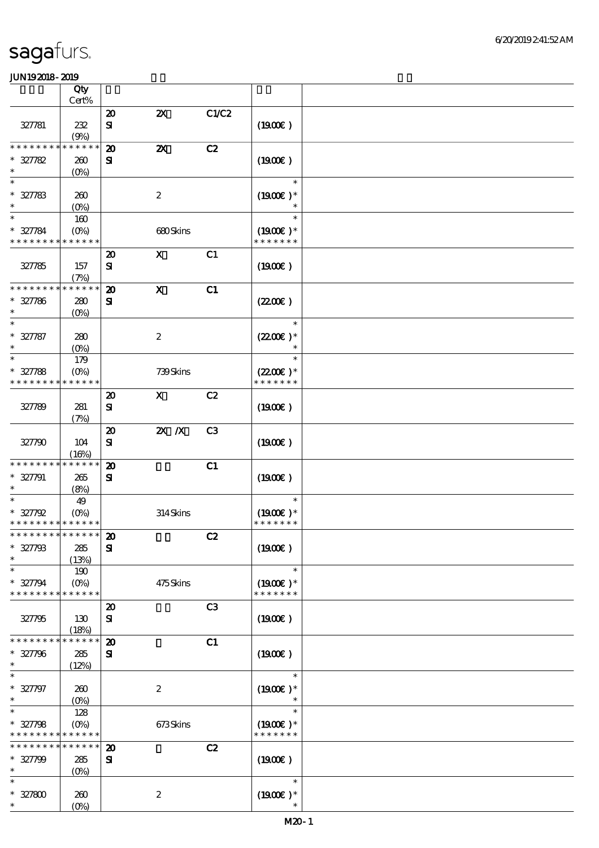|                                                  | Qty                       |                             |                           |                |                      |  |
|--------------------------------------------------|---------------------------|-----------------------------|---------------------------|----------------|----------------------|--|
|                                                  | Cert%                     |                             |                           |                |                      |  |
|                                                  |                           | $\boldsymbol{\mathbf{z}}$   | $\boldsymbol{\mathsf{z}}$ | C1/C2          |                      |  |
| 327781                                           | 232                       | ${\bf s}$                   |                           |                | (1900)               |  |
| * * * * * * * *                                  | (9%)<br>* * * * * *       | $\boldsymbol{\mathfrak{D}}$ | $\boldsymbol{\mathsf{z}}$ | C2             |                      |  |
| $* 327782$                                       | 260                       | ${\bf s}$                   |                           |                | (1900E)              |  |
| $\ast$                                           | $(0\%)$                   |                             |                           |                |                      |  |
| $\ast$                                           |                           |                             |                           |                | $\ast$               |  |
| $* 327783$                                       | 260                       |                             | $\boldsymbol{2}$          |                | $(1900E)*$           |  |
| $\ast$                                           | $(0\%)$                   |                             |                           |                |                      |  |
| $\ast$                                           | 160                       |                             |                           |                | $\ast$               |  |
| * 327784                                         | $(O\%)$                   |                             | 680Skins                  |                | $(1900E)*$           |  |
| * * * * * * * * * * * * * *                      |                           |                             |                           |                | * * * * * * *        |  |
|                                                  |                           | $\boldsymbol{\mathfrak{D}}$ | $\boldsymbol{\mathsf{X}}$ | C1             |                      |  |
| 327785                                           | 157                       | ${\bf s}$                   |                           |                | (1900E)              |  |
|                                                  | (7%)                      |                             |                           |                |                      |  |
| * * * * * * * *                                  | * * * * * *               | $\boldsymbol{\mathbf{z}}$   | $\boldsymbol{\mathsf{X}}$ | C1             |                      |  |
| $* 327786$                                       | 280                       | ${\bf s}$                   |                           |                | (220E)               |  |
| $\ast$                                           | $(O\%)$                   |                             |                           |                |                      |  |
| $\ast$                                           |                           |                             |                           |                | $\ast$               |  |
| $* 327787$                                       | 280                       |                             | $\boldsymbol{2}$          |                | $(2200)$ *           |  |
| $\ast$                                           | $(O\%)$                   |                             |                           |                |                      |  |
| $\ast$                                           | 179                       |                             |                           |                | $\ast$               |  |
| $* 327788$                                       | $(O\!/\!o)$               |                             | 739Skins                  |                | $(2200\varepsilon)*$ |  |
| * * * * * * * * * * * * * *                      |                           |                             |                           |                | * * * * * * *        |  |
|                                                  |                           | $\boldsymbol{\mathbf{z}}$   | $\mathbf{x}$              | C2             |                      |  |
| 327789                                           | 281                       | ${\bf s}$                   |                           |                | (1900E)              |  |
|                                                  | (7%)                      |                             |                           |                |                      |  |
|                                                  |                           | $\boldsymbol{\mathsf{20}}$  | $X$ $X$                   | C <sub>3</sub> |                      |  |
| 327790                                           | 104                       | ${\bf s}$                   |                           |                | (1900E)              |  |
|                                                  | (16%)                     |                             |                           |                |                      |  |
| * * * * * * * *                                  | * * * * * *               | $\boldsymbol{\mathbf{z}}$   |                           | C1             |                      |  |
| $* 327791$                                       | 265                       | ${\bf s}$                   |                           |                | (1900E)              |  |
| $\ast$                                           | (8%)                      |                             |                           |                |                      |  |
| $\ast$                                           | 49                        |                             |                           |                | $\ast$               |  |
| $* 327792$                                       | $(O\%)$                   |                             | 314Skins                  |                | $(1900E)*$           |  |
| * * * * * * * * * * * * * *<br>************** 20 |                           |                             |                           |                | * * * * * * *        |  |
|                                                  |                           |                             |                           | C2             |                      |  |
| $* 327798$<br>$\ast$                             | 285                       | ${\bf s}$                   |                           |                | (1900E)              |  |
| $\ast$                                           | (13%)<br>190              |                             |                           |                | $\ast$               |  |
| $* 327794$                                       | $(O\%)$                   |                             | 475Skins                  |                | $(1900E)*$           |  |
| * * * * * * * * <mark>* * * * * *</mark>         |                           |                             |                           |                | * * * * * * *        |  |
|                                                  |                           | $\boldsymbol{\mathbf{z}}$   |                           | C3             |                      |  |
| 327795                                           | 130                       | ${\bf s}$                   |                           |                | $(1900\epsilon)$     |  |
|                                                  | (18%)                     |                             |                           |                |                      |  |
| * * * * * * * *                                  | * * * * * *               | $\boldsymbol{\mathbf{z}}$   |                           | C1             |                      |  |
| $* 327796$                                       | 285                       | ${\bf s}$                   |                           |                | (1900E)              |  |
| $\ast$                                           | (12%)                     |                             |                           |                |                      |  |
| $\ast$                                           |                           |                             |                           |                | $\ast$               |  |
| $* 327797$                                       | 260                       |                             | $\boldsymbol{2}$          |                | $(1900E)*$           |  |
| $\ast$                                           | $(O\!/\!o)$               |                             |                           |                | $\ast$               |  |
| $\ast$                                           | 128                       |                             |                           |                | $\ast$               |  |
| $* 327798$                                       | $(O\!\!\!\!\!\!\!/\,\!o)$ |                             | 673Skins                  |                | $(1900E)*$           |  |
| * * * * * * * * * * * * * *                      |                           |                             |                           |                | * * * * * * *        |  |
| * * * * * * * *                                  | * * * * * *               | $\boldsymbol{\mathbf{z}}$   |                           | C2             |                      |  |
| $* 327799$                                       | 285                       | ${\bf s}$                   |                           |                | (1900E)              |  |
| $\ast$                                           | (O <sub>0</sub> )         |                             |                           |                |                      |  |
| $\ast$                                           |                           |                             |                           |                | $\ast$               |  |
| $* 327800$                                       | 260                       |                             | $\boldsymbol{2}$          |                | $(1900E)*$           |  |
| $\ast$                                           | $(O\%)$                   |                             |                           |                |                      |  |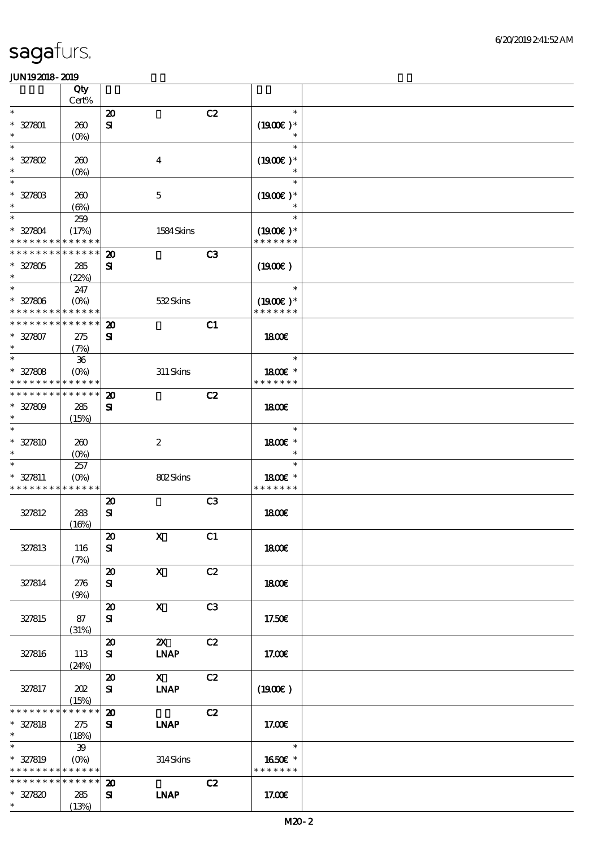|                                                                               | Qty                                      |                                            |                             |                |                                       |  |
|-------------------------------------------------------------------------------|------------------------------------------|--------------------------------------------|-----------------------------|----------------|---------------------------------------|--|
| $\ast$                                                                        | Cert%                                    |                                            |                             | C2             | $\ast$                                |  |
| $* 327801$<br>$\ast$                                                          | 260<br>$(O\!/\!o)$                       | $\boldsymbol{\mathsf{20}}$<br>${\bf s}$    |                             |                | $(1900E)*$<br>$\ast$                  |  |
| $\ast$<br>$* 327802$<br>$\ast$                                                | 260<br>$(0\%)$                           |                                            | $\boldsymbol{4}$            |                | $\ast$<br>$(1900E)*$<br>$\ast$        |  |
| $\ast$<br>$* 327803$<br>$\ast$                                                | 260<br>$(\Theta\% )$                     |                                            | $\mathbf 5$                 |                | $\ast$<br>$(1900E)*$<br>$\ast$        |  |
| $\ast$<br>$* 327804$<br>* * * * * * * *                                       | 259<br>(17%)<br>* * * * * *              |                                            | 1584Skins                   |                | $\ast$<br>$(1900E)*$<br>* * * * * * * |  |
| * * * * * * * *<br>$* 327805$<br>$\ast$                                       | * * * * * *<br>285<br>(22%)              | $\boldsymbol{\mathbf{z}}$<br>${\bf s}$     |                             | C <sub>3</sub> | (1900E)                               |  |
| $\ast$<br>$* 327806$<br>* * * * * * * * <mark>* * * * * *</mark>              | 247<br>$(O\%)$                           |                                            | 532Skins                    |                | $\ast$<br>$(1900E)*$<br>* * * * * * * |  |
| * * * * * * * * * * * * * *<br>$* 327807$<br>$\ast$                           | 275<br>(7%)                              | $\boldsymbol{\mathfrak{D}}$<br>${\bf s}$   |                             | C1             | <b>1800€</b>                          |  |
| $\ast$<br>$* 327808$<br>* * * * * * * *                                       | ${\bf 36}$<br>$(O\!/\!o)$<br>* * * * * * |                                            | $311$ Skins                 |                | $\ast$<br>1800E *<br>* * * * * * *    |  |
| * * * * * * * *<br>$* 327809$<br>$\ast$                                       | * * * * * *<br>285<br>(15%)              | $\boldsymbol{\mathbf{z}}$<br>$\mathbf{S}$  |                             | C2             | 1800E                                 |  |
| $\ast$<br>* 327810<br>$\ast$                                                  | 260<br>$(O\%)$                           |                                            | $\boldsymbol{2}$            |                | $\ast$<br>1800€ *<br>$\ast$           |  |
| $\ast$<br>$* 327811$<br>* * * * * * * * * * * * * *                           | 257<br>$(O\%)$                           |                                            | 802Skins                    |                | $\ast$<br>1800 £*<br>* * * * * * *    |  |
| 327812                                                                        | 283<br>(16%)                             | $\boldsymbol{\mathsf{20}}$<br>$\mathbf{S}$ |                             | C <sub>3</sub> | 1800E                                 |  |
| 327813                                                                        | 116<br>(7%)                              | $\pmb{\mathcal{D}}$<br>${\bf s}$           | $\mathbf X$                 | C1             | 1800E                                 |  |
| 327814                                                                        | 276<br>(9%)                              | $\boldsymbol{\mathfrak{D}}$<br>${\bf s}$   | $\mathbf{x}$                | C2             | 1800E                                 |  |
| 327815                                                                        | 87<br>(31%)                              | $\boldsymbol{\mathbf{z}}$<br>${\bf s}$     | $\mathbf x$                 | C <sub>3</sub> | 17.50€                                |  |
| 327816                                                                        | 113<br>(24%)                             | $\boldsymbol{\mathfrak{D}}$<br>${\bf s}$   | $\mathbf{X}$<br><b>INAP</b> | C2             | 17.00E                                |  |
| 327817                                                                        | 202<br>(15%)                             | $\boldsymbol{\mathsf{20}}$<br>${\bf s}$    | $\mathbf{X}$<br><b>INAP</b> | C2             | (1900E)                               |  |
| * * * * * * * *<br>$* 327818$<br>$\ast$                                       | * * * * * *<br>275<br>(18%)              | $\boldsymbol{\mathfrak{D}}$<br>${\bf s}$   | <b>INAP</b>                 | C2             | 17.00E                                |  |
| $\overline{\ast}$<br>$* 327819$<br>* * * * * * * * <mark>* * * * * * *</mark> | ${\bf 39}$<br>$(0\%)$                    |                                            | 314Skins                    |                | $\ast$<br>1650€ *<br>* * * * * * *    |  |
| * * * * * * * * <mark>* * * * * * *</mark><br>$* 327820$<br>$\ast$            | 285<br>(13%)                             | $\boldsymbol{\mathfrak{D}}$<br>${\bf s}$   | <b>LNAP</b>                 | C2             | 17.00€                                |  |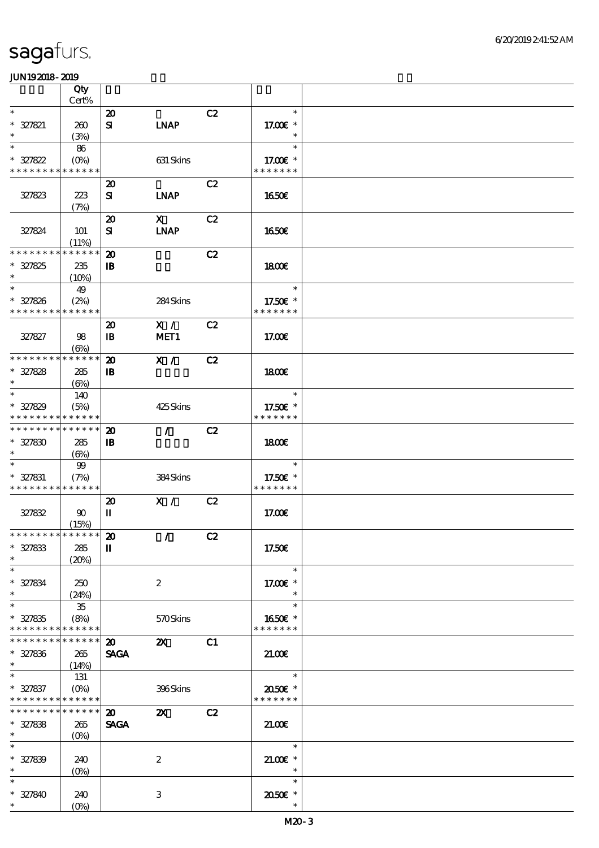|                                           | Qty                  |                             |                             |    |                                 |  |
|-------------------------------------------|----------------------|-----------------------------|-----------------------------|----|---------------------------------|--|
| $\ast$                                    | Cert%                |                             |                             |    | $\ast$                          |  |
|                                           |                      | $\boldsymbol{\mathfrak{D}}$ |                             | C2 |                                 |  |
| $* 327821$<br>$\ast$                      | 260<br>(3%)          | ${\bf s}$                   | <b>INAP</b>                 |    | 17.00 $\varepsilon$ *<br>$\ast$ |  |
| $\ast$                                    | 86                   |                             |                             |    | $\ast$                          |  |
| $* 327822$                                | $(O\!/\!\!\delta)$   |                             | 631 Skins                   |    | 17.00 $\varepsilon$ *           |  |
| * * * * * * * * * * * * * *               |                      |                             |                             |    | * * * * * * *                   |  |
|                                           |                      | $\boldsymbol{\mathfrak{D}}$ |                             | C2 |                                 |  |
| 327823                                    | 223                  | ${\bf s}$                   | <b>INAP</b>                 |    | 1650E                           |  |
|                                           | (7%)                 |                             |                             |    |                                 |  |
|                                           |                      | $\boldsymbol{\mathbf{z}}$   | $\mathbf{X}$                | C2 |                                 |  |
| 327824                                    | 101                  | ${\bf s}$                   | <b>INAP</b>                 |    | 1650E                           |  |
| * * * * * * * *                           | (11%)<br>* * * * * * |                             |                             |    |                                 |  |
|                                           |                      | $\boldsymbol{\mathbf{z}}$   |                             | C2 |                                 |  |
| $* 327825$<br>$\ast$                      | 235                  | $\mathbf{B}$                |                             |    | 1800E                           |  |
| $\ast$                                    | (10%)<br>49          |                             |                             |    | $\ast$                          |  |
| $* 327826$                                | (2%)                 |                             | 284Skins                    |    | 17.50€ *                        |  |
| * * * * * * * *                           | * * * * * *          |                             |                             |    | * * * * * * *                   |  |
|                                           |                      | $\boldsymbol{\mathbf{z}}$   | X /                         | C2 |                                 |  |
| 327827                                    | 98                   | $\mathbf{B}$                | MET1                        |    | 17.00E                          |  |
|                                           | $(\Theta)$           |                             |                             |    |                                 |  |
| * * * * * * * *                           | * * * * * *          | $\boldsymbol{\mathbf{z}}$   | X /                         | C2 |                                 |  |
| $* 327828$                                | 285                  | $\mathbf{B}$                |                             |    | 1800E                           |  |
| $\ast$                                    | $(\Theta)$           |                             |                             |    |                                 |  |
| $\ast$                                    | 140                  |                             |                             |    | $\ast$                          |  |
| $* 327829$                                | (5%)                 |                             | 425Skins                    |    | 17.50€ *                        |  |
| * * * * * * * * * * * * * *               |                      |                             |                             |    | * * * * * * *                   |  |
| * * * * * * * * * * * * * *               |                      | $\boldsymbol{\mathfrak{D}}$ | $\mathcal{L}$               | C2 |                                 |  |
| $* 327830$                                | 285                  | $\mathbf{I}$                |                             |    | 1800                            |  |
| $\ast$<br>$\ast$                          | $(\Theta)$           |                             |                             |    | $\ast$                          |  |
|                                           | 99                   |                             |                             |    |                                 |  |
| $* 327831$<br>* * * * * * * * * * * * * * | (7%)                 |                             | 384Skins                    |    | 17.50€ *<br>* * * * * * *       |  |
|                                           |                      | $\boldsymbol{\mathfrak{D}}$ | X /                         | C2 |                                 |  |
| 327832                                    | $90^{\circ}$         | П                           |                             |    | 17.00E                          |  |
|                                           | (15%)                |                             |                             |    |                                 |  |
| *************** 20                        |                      |                             | $\mathcal{L} = \mathcal{L}$ | C2 |                                 |  |
| $* 327833$                                | 285                  | $\mathbf{I}$                |                             |    | 17.50€                          |  |
| $\ast$                                    | (20%)                |                             |                             |    |                                 |  |
| $\ast$                                    |                      |                             |                             |    | $\ast$                          |  |
| $* 327834$                                | 250                  |                             | $\boldsymbol{z}$            |    | 17.00 £*                        |  |
| $\ast$                                    | (24%)                |                             |                             |    | $\ast$                          |  |
| $\ast$                                    | 35                   |                             |                             |    | $\ast$                          |  |
| $* 327835$<br>* * * * * * * * * * * * * * | (8%)                 |                             | 570Skins                    |    | 1650€ *<br>* * * * * * *        |  |
| * * * * * * * * * * * * * * *             |                      | $\boldsymbol{\mathfrak{D}}$ | $\mathbf{X}$                | C1 |                                 |  |
| $* 327836$                                | 265                  | <b>SAGA</b>                 |                             |    | 21.00                           |  |
| $\ast$                                    | (14%)                |                             |                             |    |                                 |  |
| $\ast$                                    | 131                  |                             |                             |    | $\overline{\phantom{0}}$        |  |
| $* 327837$                                | $(O\%)$              |                             | 396Skins                    |    | 2050E *                         |  |
| * * * * * * * * * * * * * *               |                      |                             |                             |    | * * * * * * *                   |  |
| * * * * * * * * * * * * * * *             |                      | $\boldsymbol{\mathfrak{D}}$ | $\mathbf{z}$                | C2 |                                 |  |
| $* 327838$                                | 265                  | <b>SAGA</b>                 |                             |    | 21.00                           |  |
| $*$                                       | $(O\%)$              |                             |                             |    |                                 |  |
| $\ast$                                    |                      |                             |                             |    | $\ast$                          |  |
| $* 327839$                                | 240                  |                             | $\boldsymbol{2}$            |    | $21.00E$ *                      |  |
| $\ast$                                    | $(O\%)$              |                             |                             |    | $\ast$                          |  |
| $\ast$                                    |                      |                             |                             |    | $\ast$                          |  |
| $* 327840$<br>$\ast$                      | 240                  |                             | 3                           |    | 2050E *                         |  |
|                                           | $(O\%)$              |                             |                             |    | $\ast$                          |  |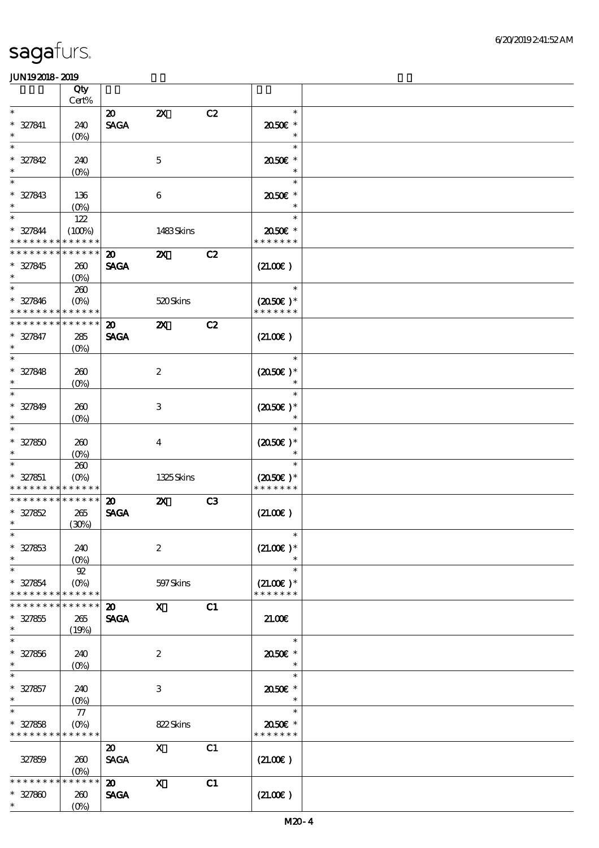|                             | Qty<br>Cert%       |                             |                           |                |                      |  |
|-----------------------------|--------------------|-----------------------------|---------------------------|----------------|----------------------|--|
| $\ast$                      |                    |                             |                           |                | $\ast$               |  |
|                             |                    | $\boldsymbol{\mathsf{20}}$  | $\boldsymbol{\mathsf{z}}$ | C2             |                      |  |
| $* 327841$                  | 240                | <b>SAGA</b>                 |                           |                | 2050E *              |  |
| $\ast$                      | $(O\!/\!\!\delta)$ |                             |                           |                | $\ast$               |  |
| $\ast$                      |                    |                             |                           |                | $\ast$               |  |
| $* 327842$                  | 240                |                             | $\mathbf{5}$              |                | 2050E *              |  |
| $\ast$                      | $(0\%)$            |                             |                           |                | $\ast$               |  |
| $\ast$                      |                    |                             |                           |                | $\ast$               |  |
| $* 327843$                  | 136                |                             | $\boldsymbol{6}$          |                | 2050E *              |  |
| $\ast$                      | $(0\%)$            |                             |                           |                | $\ast$               |  |
| $\ast$                      | 122                |                             |                           |                | $\ast$               |  |
| $* 327844$                  | (100%)             |                             | 1483Skins                 |                | 2050E *              |  |
| * * * * * * * *             | * * * * * *        |                             |                           |                | * * * * * * *        |  |
| * * * * * * * *             | * * * * * *        | $\boldsymbol{\mathfrak{D}}$ | $\boldsymbol{\mathsf{z}}$ | C2             |                      |  |
| $* 327845$                  | 260                | <b>SAGA</b>                 |                           |                | (21.00)              |  |
| $\ast$                      | $(O\%)$            |                             |                           |                |                      |  |
| $\ast$                      | 260                |                             |                           |                | $\ast$               |  |
| $* 327846$                  | $(O\!/\!o)$        |                             | 520Skins                  |                | $(2050\epsilon)*$    |  |
| * * * * * * * * * * * * * * |                    |                             |                           |                | * * * * * * *        |  |
| * * * * * * * *             | * * * * * *        | $\boldsymbol{\mathfrak{D}}$ | $\boldsymbol{\mathsf{z}}$ | C2             |                      |  |
| $* 327847$                  | 285                | <b>SAGA</b>                 |                           |                | (21.00)              |  |
| $\ast$                      |                    |                             |                           |                |                      |  |
| $\ast$                      | $(O\!/\!\!\delta)$ |                             |                           |                | $\ast$               |  |
|                             |                    |                             |                           |                |                      |  |
| $* 327848$<br>$\ast$        | 260                |                             | $\boldsymbol{2}$          |                | $(2050)$ *<br>$\ast$ |  |
| $\ast$                      | $(0\%)$            |                             |                           |                |                      |  |
|                             |                    |                             |                           |                | $\ast$               |  |
| * 327849                    | 260                |                             | $\ensuremath{\mathbf{3}}$ |                | $(2050)$ *           |  |
| $\ast$                      | (0%)               |                             |                           |                | $\ast$               |  |
| $\ast$                      |                    |                             |                           |                | $\ast$               |  |
| $* 327850$                  | 260                |                             | $\overline{4}$            |                | $(2050)$ *           |  |
| $\ast$                      | $(0\%)$            |                             |                           |                |                      |  |
| $\ast$                      | 200                |                             |                           |                | $\ast$               |  |
| $* 327851$                  | $(O\!/\!o)$        |                             | 1325Skins                 |                | $(2050\epsilon)*$    |  |
| * * * * * * * *             | * * * * * *        |                             |                           |                | * * * * * * *        |  |
| * * * * * * * *             | * * * * * *        | $\boldsymbol{\mathfrak{D}}$ | $\boldsymbol{\mathsf{z}}$ | C <sub>3</sub> |                      |  |
| $* 327852$                  | 265                | <b>SAGA</b>                 |                           |                | (21.00)              |  |
| $\ast$                      | (30%)              |                             |                           |                |                      |  |
| $\ast$                      |                    |                             |                           |                | $\ast$               |  |
| $* 327853$                  | 240                |                             | $\boldsymbol{2}$          |                | $(21.00)$ *          |  |
| $\ast$                      | $(O\%)$            |                             |                           |                |                      |  |
| $\ast$                      | ${\mathfrak{A}}$   |                             |                           |                | $\ast$               |  |
| $* 327854$                  | $(O\%)$            |                             | 597 Skins                 |                | $(21.00)$ *          |  |
| * * * * * * * *             | * * * * * *        |                             |                           |                | * * * * * * *        |  |
| * * * * * * *               | * * * * * *        | $\boldsymbol{\mathfrak{D}}$ | $\mathbf{x}$              | C1             |                      |  |
| $* 327855$                  | 265                | <b>SAGA</b>                 |                           |                | 21.00                |  |
| $\ast$                      | (19%)              |                             |                           |                |                      |  |
| $\ast$                      |                    |                             |                           |                | $\ast$               |  |
| $* 327856$                  | 240                |                             | $\boldsymbol{2}$          |                | 2050E *              |  |
| $\ast$                      |                    |                             |                           |                | $\ast$               |  |
| $\ast$                      | $(0\%)$            |                             |                           |                | $\ast$               |  |
|                             |                    |                             |                           |                |                      |  |
| $* 327857$<br>$\ast$        | 240                |                             | 3                         |                | 2050E *<br>$\ast$    |  |
| $\ast$                      | $(O\!/\!\delta)$   |                             |                           |                | $\ast$               |  |
|                             | ${\bf 77}$         |                             |                           |                |                      |  |
| $* 327858$                  | $(O\!/\!o)$        |                             | 822Skins                  |                | 2050E *              |  |
| * * * * * * * *             | * * * * * *        |                             |                           |                | * * * * * * *        |  |
|                             |                    | $\boldsymbol{\mathfrak{D}}$ | $\mathbf{X}$              | C1             |                      |  |
| 327859                      | 260                | <b>SAGA</b>                 |                           |                | (21.00)              |  |
|                             | $(0\%)$            |                             |                           |                |                      |  |
| * * * * * * *               | * * * * * *        | $\boldsymbol{\mathfrak{D}}$ | $\boldsymbol{\mathrm{X}}$ | C1             |                      |  |
| $* 327800$                  | 260                | <b>SAGA</b>                 |                           |                | (21.00)              |  |
| $\ast$                      | $(O\%)$            |                             |                           |                |                      |  |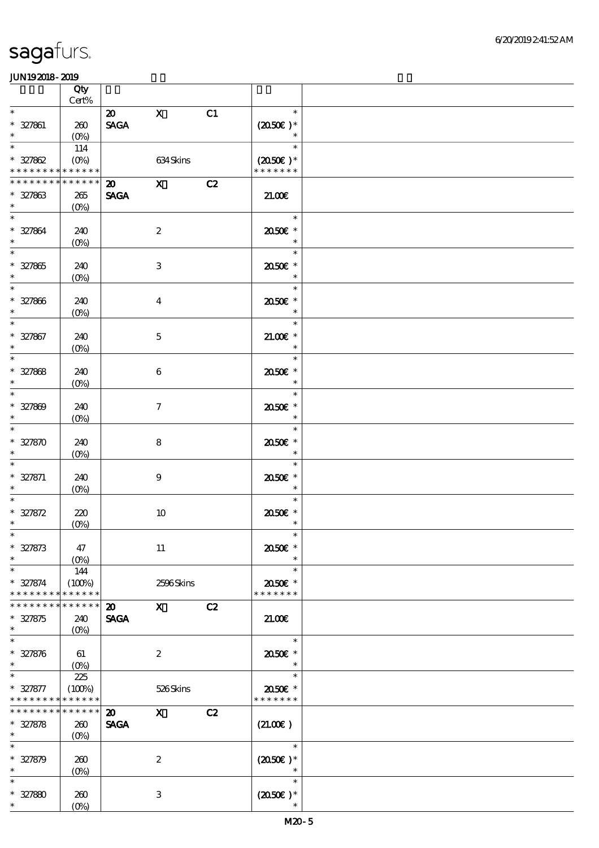|                                                                               | Qty                                   |                                                              |                     |    |                                       |  |
|-------------------------------------------------------------------------------|---------------------------------------|--------------------------------------------------------------|---------------------|----|---------------------------------------|--|
| $\ast$                                                                        | $\mbox{Cert}\%$                       |                                                              |                     |    | $\ast$                                |  |
| $* 327861$<br>$\ast$                                                          | 260<br>$(O\%)$                        | $\boldsymbol{\mathsf{20}}$<br>$\operatorname{\mathsf{SAGA}}$ | $\mathbf{X}$        | C1 | $(2050\text{E})*$<br>$\ast$           |  |
| $\overline{\ast}$<br>$* 327862$<br>* * * * * * * * <mark>* * * * * * *</mark> | 114<br>$(O\!/\!o)$                    |                                                              | 634Skins            |    | $\ast$<br>$(2050)$ *<br>* * * * * * * |  |
| * * * * * * * * * * * * * *                                                   |                                       | 20 X                                                         |                     | C2 |                                       |  |
| $* 327863$<br>$\ast$                                                          | 265<br>$(O\%)$                        | <b>SAGA</b>                                                  |                     |    | 21.00                                 |  |
| $\ast$<br>* 327864<br>$\ast$                                                  | 240<br>$(O\!/\!\delta)$               |                                                              | $\boldsymbol{2}$    |    | $\ast$<br>2050€ *<br>$\ast$           |  |
| $\overline{\ast}$<br>$* 327865$<br>$\ast$                                     | 240<br>$(0\%)$                        |                                                              | $\,3$               |    | $\ast$<br>2050E *<br>$\ast$           |  |
| $\overline{\phantom{0}}$<br>$* 327866$<br>$\ast$                              | 240<br>$(0\%)$                        |                                                              | $\boldsymbol{4}$    |    | $\ast$<br>2050E *<br>$\ast$           |  |
| $\overline{\ast}$<br>$* 327867$<br>$\ast$                                     | 240<br>$(0\%)$                        |                                                              | $\mathbf 5$         |    | $\ast$<br>$21.005*$<br>$\ast$         |  |
| $\overline{\ast}$<br>$* 327868$<br>$\ast$                                     | 240<br>$(O\%)$                        |                                                              | $\boldsymbol{6}$    |    | $\ast$<br>2050E *<br>$\ast$           |  |
| $\ast$<br>$* 327809$<br>$\ast$                                                | 240<br>$(0\%)$                        |                                                              | $\boldsymbol{\tau}$ |    | $\ast$<br>2050E *<br>$\ast$           |  |
| $\ast$<br>$* 327870$<br>$\ast$                                                | 240<br>$(0\%)$                        |                                                              | 8                   |    | $\ast$<br>2050E *<br>$\ast$           |  |
| $\ast$<br>$* 327871$<br>$\ast$                                                | 240<br>$(0\%)$                        |                                                              | $\boldsymbol{9}$    |    | $\ast$<br>2050E *<br>$\ast$           |  |
| $* 327872$<br>$\ast$                                                          | 220<br>(0%)                           |                                                              | $10$                |    | $\ast$<br>2050E *<br>$\ast$           |  |
| $\ast$<br>$* 327873$<br>$\ast$                                                | 47<br>$(0\%)$                         |                                                              | 11                  |    | 2050E *                               |  |
| $\ast$<br>$* 327874$<br>* * * * * * * *                                       | 144<br>(100%)<br>* * * * * *          |                                                              | 2506Skins           |    | $\ast$<br>2050E *<br>* * * * * * *    |  |
| * * * * * * * *<br>$* 327875$<br>$\ast$                                       | * * * * * *<br>240<br>$(O\%)$         | $\boldsymbol{\mathfrak{D}}$<br><b>SAGA</b>                   | $\mathbf{x}$        | C2 | 21.00                                 |  |
| $\overline{\ast}$<br>$* 327876$<br>$\ast$                                     | 61<br>$(O\!\!\!\!\!\!\backslash\rho)$ |                                                              | $\boldsymbol{2}$    |    | $\ast$<br>2050E *<br>$\ast$           |  |
| $\ast$<br>$* 327877$<br>* * * * * * * *                                       | 225<br>(100%)<br>* * * * * *          |                                                              | 526Skins            |    | $\ast$<br>2050E *<br>* * * * * * *    |  |
| * * * * * * * *<br>$* 327878$<br>$*$                                          | * * * * * *<br>260<br>$(O\%)$         | $\boldsymbol{\mathfrak{D}}$<br><b>SAGA</b>                   | $\mathbf{x}$        | C2 | (21.00)                               |  |
| $\overline{\ast}$<br>$* 327879$<br>$\ast$                                     | 260<br>$(0\%)$                        |                                                              | $\boldsymbol{2}$    |    | $\ast$<br>$(2050)$ *                  |  |
| $\ast$<br>$* 327880$<br>$\ast$                                                | 260<br>$(0\%)$                        |                                                              | $\,3$               |    | $\ast$<br>$(2050)$ *<br>$\ast$        |  |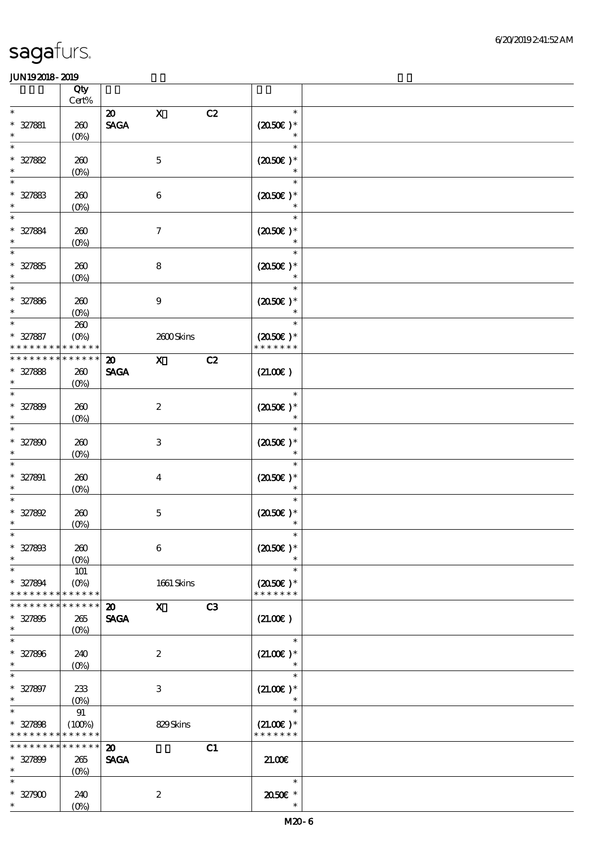|                               | Qty                |                              |                           |    |                                    |  |
|-------------------------------|--------------------|------------------------------|---------------------------|----|------------------------------------|--|
|                               | $Cert\%$           |                              |                           |    |                                    |  |
| $\ast$                        |                    | $\boldsymbol{\mathsf{20}}$   | $\mathbf X$               | C2 | $\ast$                             |  |
| $* 327881$                    | $200$              | $\ensuremath{\mathsf{SAGA}}$ |                           |    | $(2050\epsilon)*$                  |  |
| $\ast$                        | (O <sub>0</sub> )  |                              |                           |    |                                    |  |
| $\ast$                        |                    |                              |                           |    | $\ast$                             |  |
| $* 327882$                    | 260                |                              | $\mathbf 5$               |    | $(2050)$ *                         |  |
| $\ast$                        | $(0\%)$            |                              |                           |    | $\ast$                             |  |
| $\ast$                        |                    |                              |                           |    | $\ast$                             |  |
| $* 327883$                    | 260                |                              | $\,6\,$                   |    | $(2050)$ *                         |  |
| $\ast$                        | $(0\%)$            |                              |                           |    | $\ast$                             |  |
| $\ast$                        |                    |                              |                           |    | $\ast$                             |  |
|                               |                    |                              |                           |    |                                    |  |
| $* 327884$                    | 260                |                              | $\boldsymbol{7}$          |    | $(2050)$ *                         |  |
| $\ast$                        | $(0\%)$            |                              |                           |    |                                    |  |
| $\ast$                        |                    |                              |                           |    | $\ast$                             |  |
| $* 327885$                    | 260                |                              | ${\bf 8}$                 |    | $(2050\epsilon)*$                  |  |
| $\ast$                        | $(0\%)$            |                              |                           |    |                                    |  |
| $\ast$                        |                    |                              |                           |    | $\ast$                             |  |
| $* 327886$                    | 260                |                              | $\boldsymbol{9}$          |    | $(2050)$ *                         |  |
|                               | $(O\!/\!\!\delta)$ |                              |                           |    |                                    |  |
| $\ast$                        | $200$              |                              |                           |    | $\ast$                             |  |
| $* 327887$                    | $(O\%)$            |                              | 2600Skins                 |    | $(2050)$ *                         |  |
|                               | * * * * * *        |                              |                           |    | * * * * * * *                      |  |
| * * * * * * * *               | * * * * * *        | $\boldsymbol{\mathbf{z}}$    | $\boldsymbol{\mathrm{X}}$ | C2 |                                    |  |
| $* 327888$                    | 260                | <b>SAGA</b>                  |                           |    | (21.00)                            |  |
| $\ast$                        |                    |                              |                           |    |                                    |  |
| $\ast$                        | $(O\!/\!o)$        |                              |                           |    | $\ast$                             |  |
|                               |                    |                              |                           |    |                                    |  |
| $* 327889$                    | 260                |                              | $\boldsymbol{2}$          |    | $(2050)$ *                         |  |
| $\ast$                        | $(0\%)$            |                              |                           |    | $\ast$                             |  |
| $\ast$                        |                    |                              |                           |    | $\ast$                             |  |
| $* 327800$                    | 260                |                              | $\,3$                     |    | $(2050)$ *                         |  |
| $\ast$                        | $(0\%)$            |                              |                           |    | $\ast$                             |  |
| $\ast$                        |                    |                              |                           |    | $\ast$                             |  |
| $* 327891$                    | 260                |                              | $\boldsymbol{4}$          |    | $(2050\epsilon)*$                  |  |
| $\ast$                        | $(0\%)$            |                              |                           |    | $\ast$                             |  |
|                               |                    |                              |                           |    | $\ast$                             |  |
| $* 327892$                    | 260                |                              | $\mathbf 5$               |    | $(2050\epsilon)*$                  |  |
| $\ast$                        | $(0\%)$            |                              |                           |    |                                    |  |
|                               |                    |                              |                           |    |                                    |  |
| $* 327808$                    | 260                |                              | $\bf 6$                   |    | $(2050)$ *                         |  |
| $\ast$                        |                    |                              |                           |    |                                    |  |
| $\ast$                        | $(O\%)$            |                              |                           |    | $\ast$                             |  |
|                               | 101                |                              |                           |    |                                    |  |
| $* 327894$<br>* * * * * * * * | $(O\%)$            |                              | $1661$ Skins              |    | $(2050\epsilon)*$<br>* * * * * * * |  |
|                               | * * * * * *        |                              |                           |    |                                    |  |
| * * * * * * *                 | * * * * * *        | $\boldsymbol{\mathbf{z}}$    | $\mathbf{x}$              | C3 |                                    |  |
| $* 327805$                    | 265                | <b>SAGA</b>                  |                           |    | (21.00)                            |  |
| $\ast$                        | $(O\!/\!\!\delta)$ |                              |                           |    |                                    |  |
| $\ast$                        |                    |                              |                           |    | $\ast$                             |  |
| $* 327806$                    | 240                |                              | $\boldsymbol{z}$          |    | $(21.00)$ *                        |  |
| $\ast$                        | $(0\%)$            |                              |                           |    | $\ast$                             |  |
| $\ast$                        |                    |                              |                           |    | $\ast$                             |  |
| $* 327897$                    | 233                |                              | $\,3$                     |    | $(21.00)$ *                        |  |
| $\ast$                        | $(O\!/\!\delta)$   |                              |                           |    |                                    |  |
| $\ast$                        | 91                 |                              |                           |    | $\ast$                             |  |
| $* 327808$                    | (100%)             |                              | 829Skins                  |    | $(21.00)$ *                        |  |
| * * * * * * * *               | * * * * * *        |                              |                           |    | * * * * * * *                      |  |
| * * * * * * *                 | $******$           | $\boldsymbol{\mathfrak{D}}$  |                           | C1 |                                    |  |
| $* 327800$                    | 265                | <b>SAGA</b>                  |                           |    | 21.00                              |  |
| $\ast$                        | $(O\%)$            |                              |                           |    |                                    |  |
| $\ast$                        |                    |                              |                           |    | $\ast$                             |  |
| $* 327900$                    | 240                |                              | $\boldsymbol{2}$          |    | 2050E *                            |  |
| $\ast$                        |                    |                              |                           |    | $\ast$                             |  |
|                               | $(O\!/\!o)$        |                              |                           |    |                                    |  |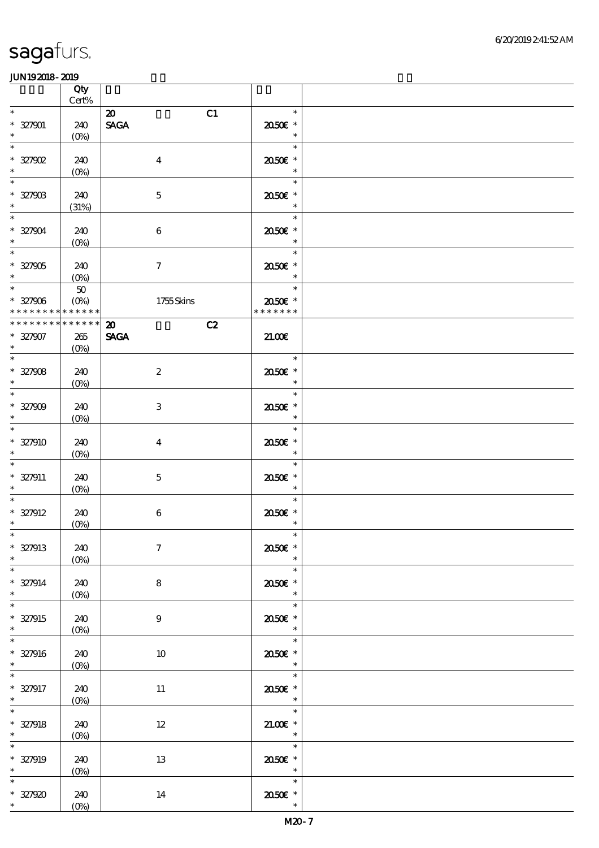|                                                                                      | Qty<br>$\mbox{Cert}\%$     |                                   |                                                                                            |  |
|--------------------------------------------------------------------------------------|----------------------------|-----------------------------------|--------------------------------------------------------------------------------------------|--|
| $\ast$                                                                               |                            | C1<br>$\boldsymbol{\mathfrak{D}}$ | $\ast$                                                                                     |  |
| $* 327901$<br>$\ast$                                                                 | 240<br>$(O\!/\!\delta)$    | <b>SAGA</b>                       | 2050E *<br>$\overline{\phantom{a}}$                                                        |  |
| $\ast$<br>$* 327902$<br>$\ast$                                                       | 240<br>$(0\%)$             | $\boldsymbol{4}$                  | $\ast$<br>2050E *<br>$\ast$                                                                |  |
| $\ast$<br>$* 32790B$<br>$\ast$                                                       | 240<br>(31%)               | $\mathbf 5$                       | $\ast$<br>2050E *<br>$\ast$                                                                |  |
| $\ast$<br>$* 327904$<br>$\ast$                                                       | 240<br>(0%)                | $\boldsymbol{6}$                  | $\ast$<br>2050E *<br>$\ast$                                                                |  |
| $\overline{\ast}$<br>$* 327905$<br>$\ast$                                            | 240<br>$(0\%)$             | $\tau$                            | $\ast$<br>2050E *<br>$\ast$                                                                |  |
| $\overline{\phantom{0}}$<br>$* 327906$<br>* * * * * * * * <mark>* * * * * * *</mark> | $5\!\mathrm{O}$<br>$(O\%)$ | 1755Skins                         | $\ast$<br>2050E *<br>* * * * * * *                                                         |  |
| * * * * * * * *                                                                      | * * * * * *                | C2<br>$\boldsymbol{\mathfrak{D}}$ |                                                                                            |  |
| $* 327907$<br>$\ast$                                                                 | 265<br>(O <sub>0</sub> )   | <b>SAGA</b>                       | 21.00                                                                                      |  |
| $\ast$<br>$* 327908$<br>$\ast$                                                       | 240<br>$(O\%)$             | $\boldsymbol{2}$                  | $\ast$<br>2050E *<br>$\ast$                                                                |  |
| $\frac{1}{\ast}$<br>$* 327909$<br>$\ast$                                             | 240<br>(0%)                | 3                                 | $\ast$<br>2050E *<br>$\ast$                                                                |  |
| $\overline{\phantom{0}}$<br>$* 327910$<br>$\ast$                                     | 240<br>$(0\%)$             | $\overline{\mathbf{4}}$           | $\ast$<br>2050E *<br>$\ast$                                                                |  |
| $\ast$<br>$* 327911$<br>$\ast$                                                       | 240<br>$(O\%)$             | $\mathbf 5$                       | $\ast$<br>2050E *<br>$\ast$                                                                |  |
| $\ast$<br>$* 327912$<br>$\ast$                                                       | 240<br>$(0\%)$             | $\,6$                             | $\ast$<br>2050E *<br>$\ast$                                                                |  |
| $*$<br>$* 327913$<br>$\ast$                                                          | 240<br>$(0\%)$             | $\boldsymbol{\tau}$               | $\ast$<br>2050E *<br>$\ast$                                                                |  |
| $\overline{\ast}$<br>$* 327914$<br>$\ast$                                            | 240<br>$(0\%)$             | 8                                 | $\ast$<br>2050E *<br>$\ast$                                                                |  |
| $\overline{\ast}$<br>$* 327915$<br>$\ast$                                            | 240<br>$(0\%)$             | $\boldsymbol{9}$                  | $\frac{1}{\sqrt{2}}$<br>$\ast$<br>2050E *<br>$\ast$                                        |  |
| $\overline{\phantom{0}}$<br>$* 327916$<br>$\ast$                                     | 240<br>$(0\%)$             | 10                                | $\ast$<br>2050E *<br>$\ast$                                                                |  |
| $\ast$<br>$* 327917$<br>$\ast$                                                       | 240<br>$(O\!/\!\!\delta)$  | 11                                | $\ast$<br>$2050$ $\epsilon$ *<br>$\ast$                                                    |  |
| $\ast$<br>$* 327918$<br>$\ast$                                                       | 240<br>(0%)                | $12\,$                            | $\overline{\phantom{a}}$<br>$\sim$ $\sim$ $\sim$<br>$21.00E$ *<br>$\overline{\phantom{a}}$ |  |
| $\ast$<br>$* 327919$<br>$\ast$                                                       | 240<br>$(0\%)$             | 13                                | $\overline{\ast}$<br>2050E *<br>$\overline{\phantom{a}}$                                   |  |
| $\ast$<br>$* 327920$<br>$*$ $*$                                                      | 240<br>$(0\%)$             | 14                                | $\ast$<br>$2050$ $\epsilon$ *<br>$\ast$                                                    |  |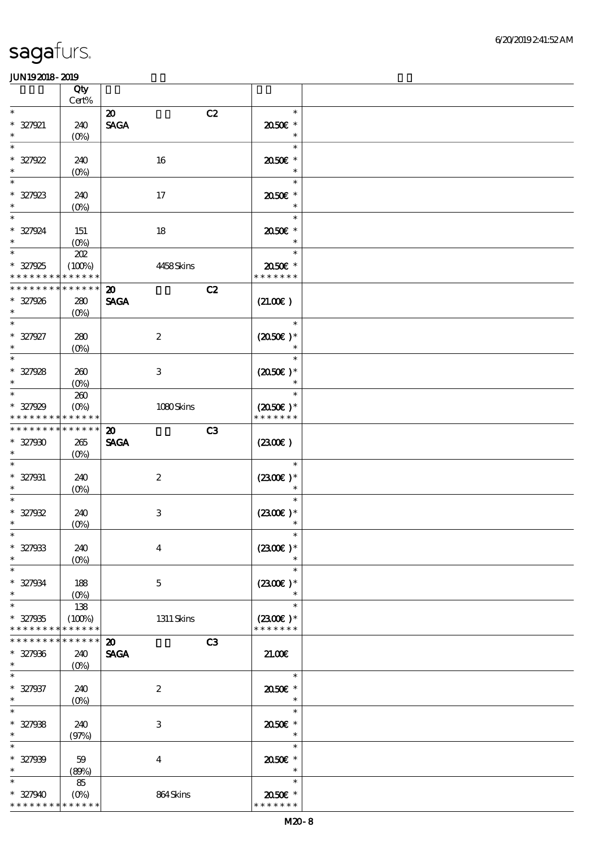| .                             | Qty<br>Cert%          |                                               |                             |  |
|-------------------------------|-----------------------|-----------------------------------------------|-----------------------------|--|
| $\ast$                        |                       | $\boldsymbol{\mathfrak{D}}$<br>C2             | $\ast$                      |  |
|                               |                       |                                               |                             |  |
| $* 327921$<br>$\ast$          | 240                   | <b>SAGA</b>                                   | 2050E *<br>$\ast$           |  |
|                               | $(0\%)$               |                                               |                             |  |
| $\ast$                        |                       |                                               | $\ast$                      |  |
| $* 327922$                    | 240                   | 16                                            | 2050E *                     |  |
| $\ast$                        | $(0\%)$               |                                               | $\ast$                      |  |
| $\ast$                        |                       |                                               | $\ast$                      |  |
| * 327923                      | 240                   | $17$                                          | 2050E *                     |  |
|                               | $(O\!/\!o)$           |                                               | $\ast$                      |  |
| $\ast$                        |                       |                                               | $\ast$                      |  |
| $* 327924$                    | 151                   | 18                                            | $2050$ $*$                  |  |
| $\ast$                        | $(O\%)$               |                                               | $\ast$                      |  |
| $\ast$                        | 202                   |                                               | $\ast$                      |  |
| $* 327925$                    | (100%)                | 4458Skins                                     | 2050E *                     |  |
| * * * * * * * *               | * * * * * *           |                                               | * * * * * * *               |  |
| * * * * * * *                 | * * * * * *           | C2<br>$\boldsymbol{\mathfrak{D}}$             |                             |  |
| $* 327926$                    | 280                   | <b>SAGA</b>                                   | (21.00)                     |  |
| $\ast$                        |                       |                                               |                             |  |
| $\ast$                        | (O <sub>0</sub> )     |                                               | $\ast$                      |  |
|                               |                       |                                               |                             |  |
| $* 327927$<br>$\ast$          | 280                   | $\boldsymbol{2}$                              | $(2050)$ *                  |  |
|                               | $(0\%)$               |                                               |                             |  |
| $\ast$                        |                       |                                               | $\ast$                      |  |
| $* 327928$                    | 260                   | $\ensuremath{\mathbf{3}}$                     | $(2050)$ *                  |  |
| $\ast$                        | (O <sub>0</sub> )     |                                               |                             |  |
| $\ast$                        | 260                   |                                               | $\ast$                      |  |
| $* 327929$                    | $(O\%)$               | 1080Skins                                     | $(2050)$ *                  |  |
| * * * * * * * *               | * * * * * *           |                                               | * * * * * * *               |  |
| * * * * * * * *               | * * * * * *           | C <sub>3</sub><br>$\boldsymbol{\mathfrak{D}}$ |                             |  |
| $* 327900$                    | $265\,$               | <b>SAGA</b>                                   | (2300)                      |  |
| $\ast$                        | $(O\%)$               |                                               |                             |  |
| $\ast$                        |                       |                                               | $\ast$                      |  |
| $* 327931$                    | 240                   | $\boldsymbol{2}$                              | $(2300)$ *                  |  |
| $\ast$                        | $(0\%)$               |                                               | $\ast$                      |  |
| $\ast$                        |                       |                                               | $\ast$                      |  |
| $* 327932$                    | 240                   | $\,3$                                         | $(2300)$ *                  |  |
| $\ast$                        | $(0\%)$               |                                               | $\ast$                      |  |
| $\ast$                        |                       |                                               | $\ast$                      |  |
| $* 327933$                    | 240                   | $\boldsymbol{4}$                              | $(2300)$ *                  |  |
| $\ast$                        | $(0\%)$               |                                               |                             |  |
| $\ast$                        |                       |                                               | $\ast$                      |  |
|                               |                       |                                               | $(2300E)*$                  |  |
| $* 327934$<br>$\ast$          | 188                   | $\mathbf 5$                                   |                             |  |
| $\ast$                        | $(0\%)$               |                                               | $\ast$                      |  |
|                               | 138                   |                                               |                             |  |
| $* 327935$<br>* * * * * * * * | (100%)<br>* * * * * * | $1311$ Skins                                  | $(2300)$ *<br>* * * * * * * |  |
| * * * * * * * *               | * * * * * *           |                                               |                             |  |
|                               |                       | C3<br>$\boldsymbol{\mathfrak{D}}$             |                             |  |
| $* 327936$                    | 240                   | <b>SAGA</b>                                   | 21.00E                      |  |
| $\ast$                        | $(O\%)$               |                                               |                             |  |
| $\ast$                        |                       |                                               | $\ast$                      |  |
| $* 327937$                    | 240                   | $\boldsymbol{2}$                              | 2050E *                     |  |
| $\ast$                        | $(O\!/\!o)$           |                                               | $\ast$                      |  |
| $\ast$                        |                       |                                               | $\ast$                      |  |
| $* 327938$                    | 240                   | $\,3$                                         | 2050E *                     |  |
| $\ast$                        | (97%)                 |                                               | $\ast$                      |  |
| $\ast$                        |                       |                                               | $\ast$                      |  |
| $* 327939$                    | 59                    | $\boldsymbol{4}$                              | 2050E *                     |  |
| $\ast$                        | (80%)                 |                                               | $\ast$                      |  |
| $\ast$                        | 85                    |                                               | $\ast$                      |  |
| $* 327940$                    | $(O\!/\!\delta)$      | 864Skins                                      | 2050E *                     |  |
| * * * * * * * *               | * * * * * *           |                                               | * * * * * * *               |  |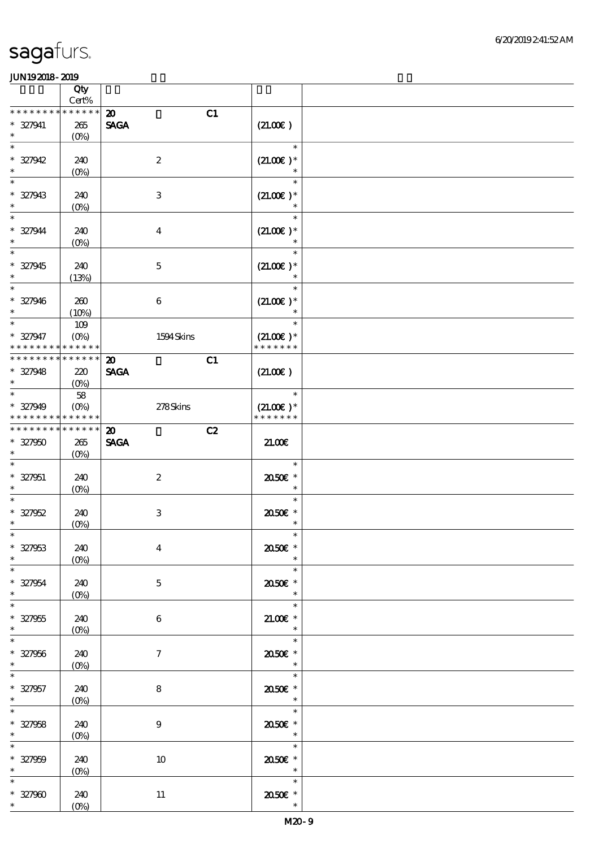|                               | Qty                                      |                                   |                              |  |
|-------------------------------|------------------------------------------|-----------------------------------|------------------------------|--|
|                               | $\mbox{Cert}\%$                          |                                   |                              |  |
| * * * * * * * *               | * * * * * *                              | C1<br>$\boldsymbol{\mathfrak{D}}$ |                              |  |
| $* 327941$                    | $265\,$                                  | <b>SAGA</b>                       | (21.00)                      |  |
| $\ast$                        | $(O\!/\!o)$                              |                                   |                              |  |
| $\ast$                        |                                          |                                   | $\ast$                       |  |
| $* 327942$                    | 240                                      | $\boldsymbol{2}$                  | $(21.00)$ *                  |  |
| $\ast$                        | $(0\%)$                                  |                                   | $\ast$                       |  |
| $\ast$                        |                                          |                                   | $\ast$                       |  |
| $* 327943$                    | 240                                      | $\,3$                             | $(21.00)$ *                  |  |
| $\ast$                        | $(0\%)$                                  |                                   | $\ast$                       |  |
| $\ast$                        |                                          |                                   | $\ast$                       |  |
| $* 327944$                    | 240                                      | $\boldsymbol{4}$                  | $(21.00)$ *                  |  |
| $\ast$                        | $(O\!/\!o)$                              |                                   |                              |  |
| $\ast$                        |                                          |                                   | $\ast$                       |  |
| $* 327945$                    | 240                                      | $\mathbf 5$                       | $(21.00)$ *                  |  |
| $\ast$                        |                                          |                                   |                              |  |
| $\overline{\phantom{0}}$      | (13%)                                    |                                   |                              |  |
|                               |                                          |                                   |                              |  |
| $* 327946$<br>$\ast$          | 260                                      | $\boldsymbol{6}$                  | $(21.00)$ *<br>$\ast$        |  |
| $\overline{\ast}$             | (10%)                                    |                                   | $\ast$                       |  |
|                               | 109                                      |                                   |                              |  |
| $* 327947$<br>* * * * * * * * | $(O\!\!\!\!\!\!\!/\,\!o)$<br>* * * * * * | 1594Skins                         | $(21.00)$ *<br>* * * * * * * |  |
|                               |                                          |                                   |                              |  |
| * * * * * * * *               | * * * * * *                              | C1<br>$\boldsymbol{\mathfrak{D}}$ |                              |  |
| $* 327948$                    | 220                                      | <b>SAGA</b>                       | (21.00)                      |  |
| $\ast$                        | $(O\%)$                                  |                                   |                              |  |
| $\ast$                        | 58                                       |                                   | $\ast$                       |  |
| $* 327949$                    | $(O\!/\!o)$                              | 278Skins                          | $(21.00)$ *                  |  |
| * * * * * * * *               | * * * * * *                              |                                   | * * * * * * *                |  |
| * * * * * * * *               | * * * * * *                              | C2<br>$\boldsymbol{\mathfrak{D}}$ |                              |  |
| $* 327950$                    | 265                                      | <b>SAGA</b>                       | 21.00                        |  |
| $\ast$                        | $(O\%)$                                  |                                   |                              |  |
| $\ast$                        |                                          |                                   | $\ast$                       |  |
|                               |                                          |                                   |                              |  |
| $* 327951$                    | 240                                      | $\boldsymbol{2}$                  | 2050E *                      |  |
| $\ast$                        | $(O\%)$                                  |                                   | $\ast$                       |  |
| $\ast$                        |                                          |                                   | $\ast$                       |  |
| $* 327952$                    | 240                                      | $\,3$                             | 2050E *                      |  |
| $\ast$                        | $(0\%)$                                  |                                   | $\ast$                       |  |
| $*$                           |                                          |                                   | $\ast$                       |  |
| $* 327953$                    | 240                                      | $\boldsymbol{4}$                  | 2050E *                      |  |
| $\ast$                        | $(0\%)$                                  |                                   | $\ast$                       |  |
| $\overline{\ast}$             |                                          |                                   | $\ast$                       |  |
|                               | 240                                      |                                   | 2050E *                      |  |
| $* 327954$<br>$\ast$          |                                          | $\mathbf 5$                       | $\ast$                       |  |
| $\overline{\ast}$             | $(0\%)$                                  |                                   | $\ast$                       |  |
|                               |                                          |                                   |                              |  |
| $* 327955$<br>$\ast$          | 240                                      | $\,6$                             | $21.00E$ *<br>$\ast$         |  |
| $\overline{\ast}$             | $(0\%)$                                  |                                   | $\ast$                       |  |
|                               |                                          |                                   |                              |  |
| $* 327956$<br>$\ast$          | 240                                      | $\mathcal{I}$                     | 2050E *<br>$\ast$            |  |
| $\ast$                        | $(0\%)$                                  |                                   |                              |  |
|                               |                                          |                                   | $\ast$                       |  |
| $* 327957$                    | 240                                      | $\bf 8$                           | $2050$ $^{\circ}$            |  |
| $\ast$                        | $(0\%)$                                  |                                   | $\ast$                       |  |
| $\ast$                        |                                          |                                   | $\ast$                       |  |
| $* 327958$                    | 240                                      | $\boldsymbol{9}$                  | 2050E *                      |  |
| $\ast$                        | $(0\%)$                                  |                                   | $\ast$                       |  |
| $\ast$                        |                                          |                                   | $\ast$                       |  |
| $* 327959$                    | 240                                      | $10\,$                            | 2050E *                      |  |
| $\ast$                        | $(0\%)$                                  |                                   | $\overline{\phantom{a}}$     |  |
| $\ast$                        |                                          |                                   | $\ast$                       |  |
| $* 327900$<br>$*$             | 240<br>$(0\%)$                           | $11\,$                            | 2050E *<br>$\ast$            |  |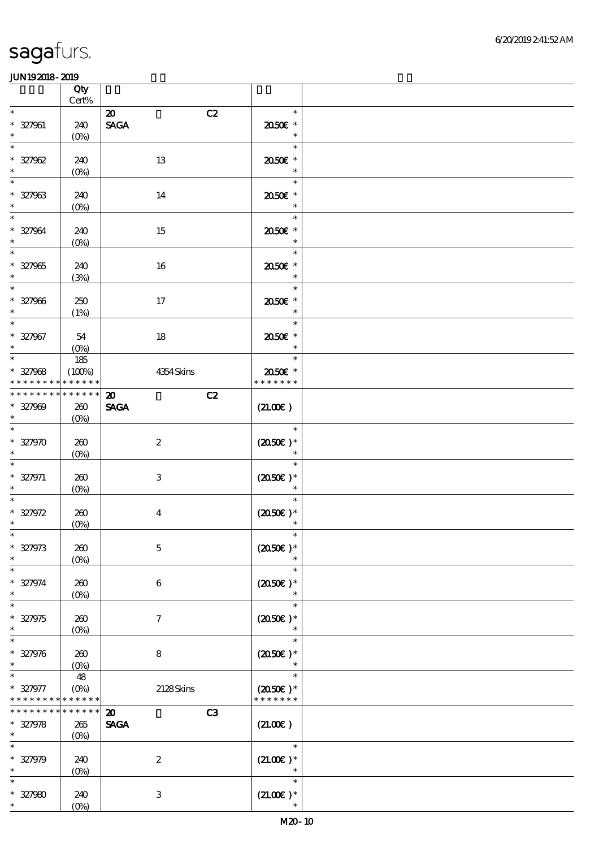|                                           | Qty<br>$Cert\%$                          |                                                  |                                              |  |
|-------------------------------------------|------------------------------------------|--------------------------------------------------|----------------------------------------------|--|
| $\ast$                                    |                                          | C2<br>$\boldsymbol{\omega}$                      | $\ast$                                       |  |
| $* 327961$<br>$\ast$                      | 240<br>$(O\!/\!\!\delta)$                | <b>SAGA</b>                                      | 2050E *<br>$\ast$                            |  |
| $\ast$<br>$* 327962$<br>$\ast$            | 240<br>$(0\%)$                           | 13                                               | $\ast$<br>2050E *<br>$\ast$                  |  |
| $\ast$<br>$* 327963$<br>$\ast$            | 240<br>$(0\%)$                           | 14                                               | $\ast$<br>2050E *<br>$\ast$                  |  |
| $\ast$<br>$* 327964$<br>$\ast$            | 240<br>(0%)                              | 15                                               | $\ast$<br>2050E *<br>$\ast$                  |  |
| $\ast$<br>$* 327965$<br>$\ast$            | 240<br>(3%)                              | 16                                               | $\ast$<br>2050E *<br>$\ast$                  |  |
| $\overline{\ast}$<br>$* 327966$<br>$\ast$ | 250<br>(1%)                              | 17                                               | $\ast$<br>2050E *<br>$\ast$                  |  |
| $\overline{\ast}$<br>$* 327967$<br>$\ast$ | 54<br>$(O\%)$                            | $18\,$                                           | $\ast$<br>2050E *<br>$\ast$                  |  |
| $\ast$<br>$* 327968$<br>* * * * * * * *   | 185<br>(100%)<br>* * * * * *             | 4354 Skins                                       | $\ast$<br>2050E *<br>* * * * * * *           |  |
| * * * * * * * *                           | * * * * * *                              | C2<br>$\boldsymbol{\mathfrak{D}}$                |                                              |  |
| $* 327909$<br>$\ast$                      | 260<br>$(O\%)$                           | <b>SAGA</b>                                      | (21.00)                                      |  |
| $\ast$<br>$* 327970$<br>$\ast$            | 260<br>$(0\%)$                           | $\boldsymbol{2}$                                 | $\ast$<br>$(2050\text{E})*$<br>$\ast$        |  |
| $\ast$<br>$* 327971$<br>$\ast$            | 260<br>$(0\%)$                           | 3                                                | $\ast$<br>$(2050\epsilon)*$                  |  |
| $* 327972$<br>$\ast$                      | 260<br>$(0\%)$                           | $\bf{4}$                                         | $\ast$<br>$(2050)$ *<br>$\ast$               |  |
| $*$<br>$* 327973$<br>$\ast$               | 260<br>$(0\%)$                           | $\mathbf 5$                                      | $\ast$<br>$(2050)$ *                         |  |
| $\ast$<br>* 327974<br>$\ast$              | 260<br>$(0\%)$                           | 6                                                | $\ast$<br>$(2050)$ *<br>$\ast$               |  |
| $\ast$<br>$* 327975$<br>$\ast$            | 260<br>$(O\%)$                           | 7                                                | $\ast$<br>$(2050)$ *<br>$\ast$               |  |
| $\ast$<br>$* 327976$<br>$\ast$            | 260<br>$(O\%)$                           | 8                                                | $\ast$<br>$(2050)$ *                         |  |
| $\ast$<br>$* 327977$<br>* * * * * * * *   | 48<br>$(O\%)$<br>* * * * * *             | 2128Skins                                        | $\ast$<br>$(2050\epsilon)*$<br>* * * * * * * |  |
| * * * * * * *<br>$* 327978$<br>$\ast$     | * * * * * *<br>265<br>$(O\!/\!\!\delta)$ | C3<br>$\boldsymbol{\mathfrak{D}}$<br><b>SAGA</b> | (21.00)                                      |  |
| $\ast$<br>$* 327979$<br>$\ast$            | 240<br>$(O\%)$                           | $\boldsymbol{2}$                                 | $\ast$<br>$(21.00)$ *<br>$\ast$              |  |
| $\ast$<br>$* 327980$<br>$\ast$            | 240<br>$(0\%)$                           | $\,3$                                            | $\ast$<br>$(21.00)$ *<br>$\ast$              |  |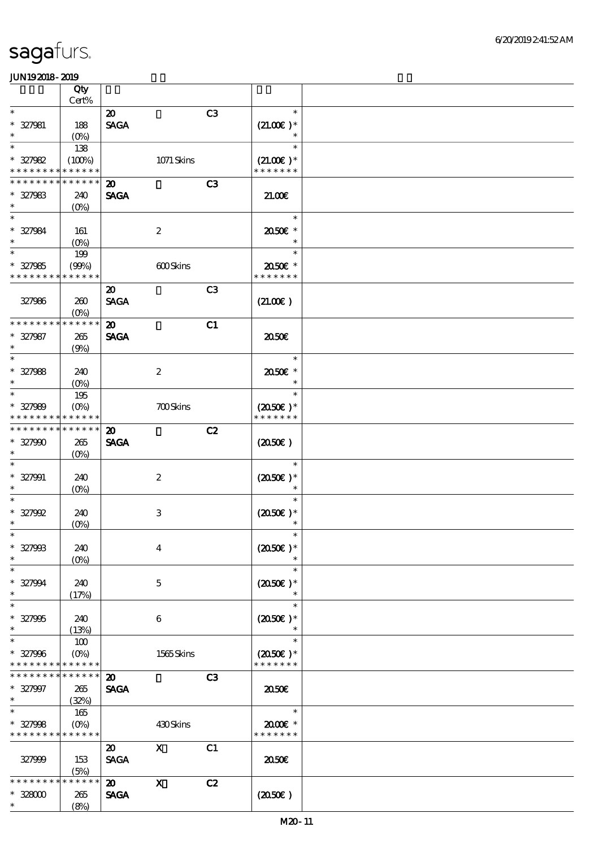|                                | Qty                               |                                            |                           |                |                              |  |
|--------------------------------|-----------------------------------|--------------------------------------------|---------------------------|----------------|------------------------------|--|
| $\ast$                         | Cert%                             |                                            |                           |                | $\ast$                       |  |
| $* 327981$<br>$\ast$           | 188<br>(O <sub>0</sub> )          | $\boldsymbol{\mathfrak{D}}$<br><b>SAGA</b> |                           | C3             | $(21.00)$ *<br>$\ast$        |  |
| $\ast$                         | 138                               |                                            |                           |                | $\ast$                       |  |
| $* 327982$<br>* * * * * * * *  | (100%)<br>* * * * * *             |                                            | 1071 Skins                |                | $(21.00)$ *<br>* * * * * * * |  |
| * * * * * * *                  | * * * * * *                       | $\boldsymbol{\mathfrak{D}}$                |                           | C3             |                              |  |
| $* 327983$<br>$\ast$           | 240<br>$(0\%)$                    | <b>SAGA</b>                                |                           |                | 21.00E                       |  |
| $\ast$<br>$* 327984$<br>$\ast$ | 161<br>$(O\!/\!\!\delta)$         |                                            | $\boldsymbol{2}$          |                | $\ast$<br>2050E *<br>$\ast$  |  |
| $\overline{\ast}$              | 199                               |                                            |                           |                | $\ast$                       |  |
| $* 327985$<br>* * * * * * * *  | (90%)<br>* * * * * *              |                                            | 600Skins                  |                | 2050E *<br>* * * * * * *     |  |
|                                |                                   | $\boldsymbol{\mathfrak{D}}$                |                           | C <sub>3</sub> |                              |  |
| 327986                         | 260<br>$(O\%)$                    | <b>SAGA</b>                                |                           |                | (21.00)                      |  |
| * * * * * * * *                | * * * * * *                       | $\boldsymbol{\mathfrak{D}}$                |                           | C1             |                              |  |
| $* 327987$<br>$\ast$           | 265<br>(9%)                       | <b>SAGA</b>                                |                           |                | ææ                           |  |
| $\ast$                         |                                   |                                            |                           |                | $\ast$                       |  |
| $* 327988$<br>$\ast$           | 240<br>$(O\%)$                    |                                            | $\boldsymbol{2}$          |                | 2050E *<br>$\ast$            |  |
| $\ast$                         | 195                               |                                            |                           |                | $\ast$                       |  |
| $* 327989$<br>* * * * * * * *  | $(O\%)$<br>* * * * * *            |                                            | <b>700Skins</b>           |                | $(2050)$ *<br>* * * * * * *  |  |
| * * * * * * * *                | * * * * * *                       |                                            |                           |                |                              |  |
| $* 327990$<br>$\ast$           | 265<br>$(O\%)$                    | $\boldsymbol{\mathfrak{D}}$<br><b>SAGA</b> |                           | C2             | (2050)                       |  |
| $\ast$                         |                                   |                                            |                           |                | $\ast$                       |  |
| $* 327991$<br>$\ast$           | 240<br>$(O\%)$                    |                                            | $\boldsymbol{2}$          |                | $(2050)$ *<br>$\ast$         |  |
| $\ast$<br>$* 327992$           | 240                               |                                            | $\,3$                     |                | $\ast$<br>$(2050)$ *         |  |
| $\ast$                         | $(O\!/\!o)$                       |                                            |                           |                | $\ast$                       |  |
| $\ast$<br>$* 327908$<br>$\ast$ | 240<br>$(O\%)$                    |                                            | $\bf{4}$                  |                | $\ast$<br>$(2050\text{E})*$  |  |
| $\ast$                         |                                   |                                            |                           |                | $\ast$                       |  |
| $* 327994$<br>$\ast$           | 240<br>(17%)                      |                                            | 5                         |                | $(2050\epsilon)*$<br>$\ast$  |  |
| $\ast$                         |                                   |                                            |                           |                | $\ast$                       |  |
| $* 327905$<br>$\ast$           | 240<br>(13%)                      |                                            | 6                         |                | $(2050)$ *<br>$\ast$         |  |
| $\ast$                         | 100                               |                                            |                           |                | $\ast$                       |  |
| $* 327996$<br>* * * * * * * *  | $(O\%)$<br>* * * * * *            |                                            | 1565Skins                 |                | $(2050)$ *<br>* * * * * * *  |  |
| * * * * * * *                  | * * * * * *                       | $\boldsymbol{\mathfrak{D}}$                |                           | C3             |                              |  |
| $* 327997$<br>$\ast$           | 265<br>(32%)                      | <b>SAGA</b>                                |                           |                | 2050                         |  |
| $\ast$                         | 165                               |                                            |                           |                | $\ast$                       |  |
| $* 327998$<br>* * * * * * * *  | $(O\!/\!\!\delta)$<br>* * * * * * |                                            | 430Skins                  |                | 2000E*<br>* * * * * * *      |  |
|                                |                                   | $\boldsymbol{\mathfrak{D}}$                | $\mathbf{x}$              | C1             |                              |  |
| 327999                         | 153<br>(5%)                       | <b>SAGA</b>                                |                           |                | 2050E                        |  |
| * * * * * * * *                | * * * * * *                       | $\boldsymbol{\mathfrak{D}}$                | $\boldsymbol{\mathrm{X}}$ | C2             |                              |  |
| $*32800$                       | 265                               | <b>SAGA</b>                                |                           |                | (2050)                       |  |
| $\ast$                         | (8%)                              |                                            |                           |                |                              |  |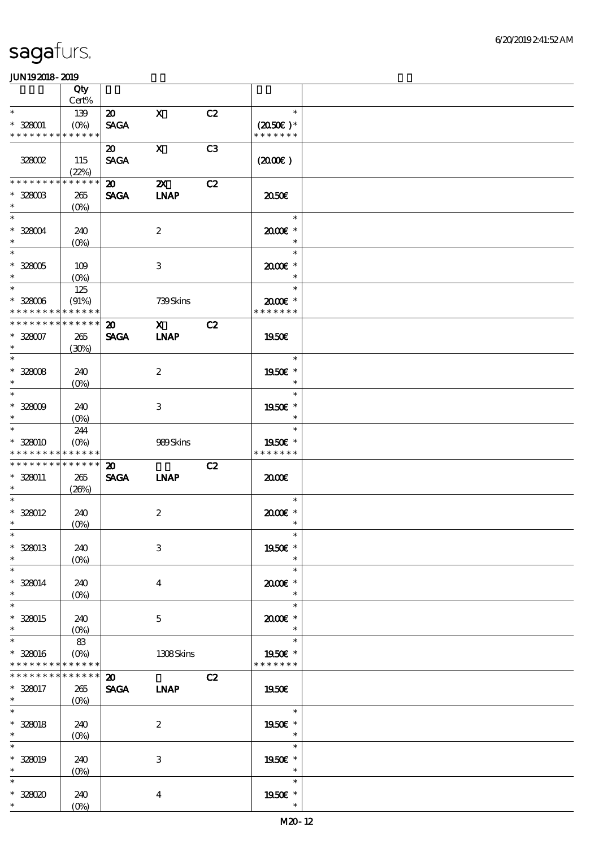|                               | Qty                               |                             |                           |                |                             |  |
|-------------------------------|-----------------------------------|-----------------------------|---------------------------|----------------|-----------------------------|--|
|                               | Cert%                             |                             |                           |                |                             |  |
| $\ast$                        | 139                               | $\boldsymbol{\mathfrak{D}}$ | $\mathbf{X}$              | C2             | $\ast$                      |  |
| $* 328001$<br>* * * * * * * * | $(O\% )$<br>* * * * * *           | <b>SAGA</b>                 |                           |                | $(2050)$ *<br>* * * * * * * |  |
|                               |                                   |                             |                           |                |                             |  |
| 328002                        | 115                               | 20<br><b>SAGA</b>           | $\mathbf{x}$              | C <sub>3</sub> |                             |  |
|                               | (22%)                             |                             |                           |                | (200E)                      |  |
| * * * * * * *                 | * * * * * *                       | $\boldsymbol{\mathfrak{D}}$ | $\boldsymbol{\mathsf{X}}$ | C2             |                             |  |
| $* 328003$                    | 265                               | <b>SAGA</b>                 | <b>INAP</b>               |                | 2050E                       |  |
| $\ast$                        | $(O\%)$                           |                             |                           |                |                             |  |
| $\ast$                        |                                   |                             |                           |                | $\ast$                      |  |
| $* 328004$                    | 240                               |                             | $\boldsymbol{2}$          |                | 2000E*                      |  |
| $\ast$                        | $(O\%)$                           |                             |                           |                | $\ast$                      |  |
| $\overline{\phantom{1}}$      |                                   |                             |                           |                | $\ast$                      |  |
| $* 328005$                    | 109                               |                             | 3                         |                | 2000E *                     |  |
| $\ast$                        | $(O\%)$                           |                             |                           |                | $\ast$                      |  |
| $\ast$                        | 125                               |                             |                           |                | <u>a sa Ba</u><br>$\ast$    |  |
| $* 328006$                    | (91%)                             |                             | 739Skins                  |                | 2000E *                     |  |
| * * * * * * * *               | * * * * * *                       |                             |                           |                | * * * * * * *               |  |
| * * * * * * * *               | * * * * * *                       | $\boldsymbol{\mathfrak{D}}$ | $\overline{\mathbf{x}}$   | C2             |                             |  |
| $* 328007$                    | 265                               | <b>SAGA</b>                 | <b>LNAP</b>               |                | 1950€                       |  |
| $\ast$                        | (30%)                             |                             |                           |                |                             |  |
| $\overline{\ast}$             |                                   |                             |                           |                | $\ast$                      |  |
| $* 328008$                    | 240                               |                             | $\boldsymbol{z}$          |                | 1950E *                     |  |
| $\ast$<br>$\ast$              | $(O\!\!\!\!\!\!\!\backslash\rho)$ |                             |                           |                | $\ast$<br>$\ast$            |  |
|                               |                                   |                             |                           |                |                             |  |
| $* 328009$<br>$\ast$          | 240                               |                             | 3                         |                | 1950E *<br>$\ast$           |  |
| $\ast$                        | $(O\%)$<br>244                    |                             |                           |                | $\ast$                      |  |
| $* 328010$                    | $(O\%)$                           |                             | 989Skins                  |                | 1950E *                     |  |
| * * * * * * * *               | * * * * * *                       |                             |                           |                | * * * * * * *               |  |
| * * * * * * * *               | * * * * * *                       | $\boldsymbol{\mathfrak{D}}$ |                           | C2             |                             |  |
| $* 328011$                    | 265                               | <b>SAGA</b>                 | <b>INAP</b>               |                | 2000                        |  |
| $\ast$                        | (20%)                             |                             |                           |                |                             |  |
| $\ast$                        |                                   |                             |                           |                | $\ast$                      |  |
| $* 328012$                    | 240                               |                             | $\boldsymbol{2}$          |                | 2000E *                     |  |
| $\ast$                        | $(0\%)$                           |                             |                           |                | $\ast$                      |  |
| $*$                           |                                   |                             |                           |                | $\ast$                      |  |
| $* 328013$                    | 240                               |                             | $\,3$                     |                | 1950€ *                     |  |
| $\ast$                        | $(O\%)$                           |                             |                           |                | $\ast$                      |  |
| $\ast$                        |                                   |                             |                           |                | $\ast$                      |  |
| $* 328014$                    | 240                               |                             | $\overline{\mathbf{4}}$   |                | 2000E *                     |  |
| $\ast$<br>$\ast$              | $(O\!\!\!\!\!\!\backslash\rho)$   |                             |                           |                | $\ast$<br>$\ast$            |  |
| * 328015                      | 240                               |                             | $\mathbf{5}$              |                | 2000E*                      |  |
| $\ast$                        | $(O\%)$                           |                             |                           |                | $\ast$                      |  |
| $\ast$                        | 83                                |                             |                           |                | $\ast$                      |  |
| * 328016                      | $(O\%)$                           |                             | 1308Skins                 |                | 1950€ *                     |  |
| * * * * * * * *               | * * * * * *                       |                             |                           |                | * * * * * * *               |  |
| * * * * * * *                 | * * * * * *                       | $\boldsymbol{\mathfrak{D}}$ |                           | C2             |                             |  |
| * 328017                      | 265                               | <b>SAGA</b>                 | <b>INAP</b>               |                | 1950E                       |  |
| $*$                           | $(O\%)$                           |                             |                           |                |                             |  |
| $\ast$                        |                                   |                             |                           |                | $\ast$                      |  |
| $* 328018$                    | 240                               |                             | $\boldsymbol{2}$          |                | 1950E *                     |  |
| $*$ $*$                       | $(O\%)$                           |                             |                           |                | $\ast$                      |  |
| $\ast$                        |                                   |                             |                           |                | $\ast$                      |  |
| * 328019                      | 240                               |                             | $\,3$                     |                | 1950E *                     |  |
| $\ast$<br>$\ast$              | $(O\%)$                           |                             |                           |                | $\ast$<br>$\ast$            |  |
|                               |                                   |                             |                           |                |                             |  |
| $*328020$<br>$*$ $*$          | 240                               |                             | $\bf{4}$                  |                | 1950E *<br>$\ast$           |  |
|                               | $(O\%)$                           |                             |                           |                |                             |  |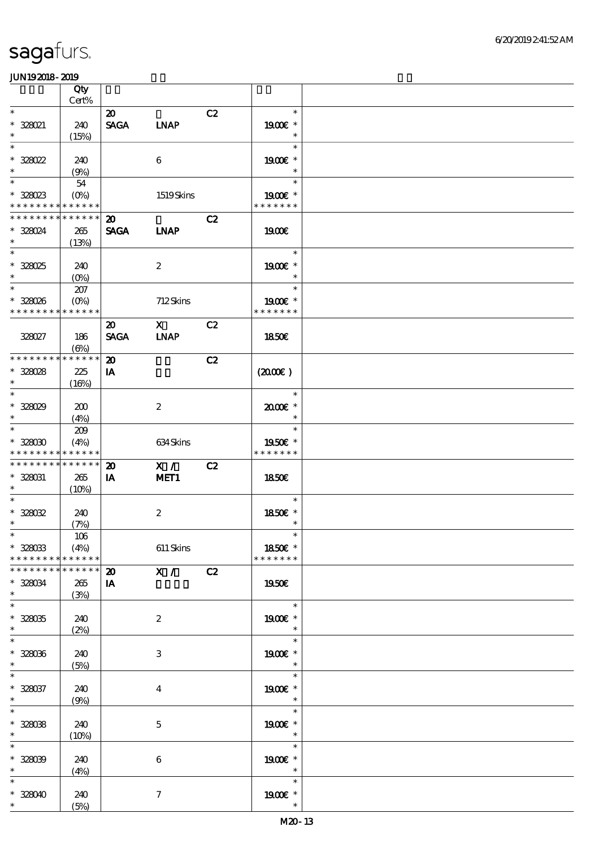|                                                          | Qty<br>$Cert\%$                |                                            |                  |    |                          |  |
|----------------------------------------------------------|--------------------------------|--------------------------------------------|------------------|----|--------------------------|--|
| $\ast$                                                   |                                |                                            |                  |    | $\ast$                   |  |
| $*$ 328021<br>$\ast$                                     | 240<br>(15%)                   | $\boldsymbol{\mathfrak{D}}$<br><b>SAGA</b> | <b>INAP</b>      | C2 | 1900E *<br>$\ast$        |  |
| $\ast$                                                   |                                |                                            |                  |    | $\ast$                   |  |
| $* 328022$<br>$\ast$                                     | 240<br>(9%)                    |                                            | 6                |    | 1900E *<br>$\ast$        |  |
| $\ast$                                                   | 54                             |                                            |                  |    | $\ast$                   |  |
| $* 328023$<br>* * * * * * * * <mark>* * * * * *</mark> * | $(O\% )$                       |                                            | 1519Skins        |    | 1900E *<br>* * * * * * * |  |
| * * * * * * * * <mark>* * * * * *</mark>                 |                                | $\boldsymbol{\mathfrak{D}}$                |                  | C2 |                          |  |
| * 328024<br>$\ast$                                       | 265<br>(13%)                   | <b>SAGA</b>                                | <b>LNAP</b>      |    | 1900E                    |  |
| $\ast$                                                   |                                |                                            |                  |    | $\ast$                   |  |
| $* 328025$<br>$\ast$                                     | 240<br>$(0\%)$                 |                                            | $\boldsymbol{z}$ |    | 1900E *                  |  |
| $\overline{\phantom{0}}$                                 | 207                            |                                            |                  |    | $\ast$                   |  |
| * 328026<br>* * * * * * * *                              | $(O\%)$<br>* * * * * *         |                                            | 712Skins         |    | 1900E *<br>* * * * * * * |  |
|                                                          |                                | $\boldsymbol{\mathsf{20}}$                 | $\mathbf X$      | C2 |                          |  |
| 328027                                                   | 186<br>$(\Theta)$              | <b>SAGA</b>                                | <b>LNAP</b>      |    | 1850E                    |  |
| * * * * * * * *                                          | * * * * * *                    | $\boldsymbol{\mathfrak{D}}$                |                  | C2 |                          |  |
| $* 328028$                                               | 225                            | IA                                         |                  |    | (200E)                   |  |
| $\ast$                                                   | (16%)                          |                                            |                  |    |                          |  |
| $\ast$                                                   |                                |                                            |                  |    | $\ast$                   |  |
| $* 328029$<br>$\ast$                                     | 200<br>(4%)                    |                                            | $\boldsymbol{z}$ |    | 2000E *<br>$\ast$        |  |
| $\ast$                                                   | 209                            |                                            |                  |    | $\ast$                   |  |
| $* 32800$                                                | (4%)                           |                                            | 634Skins         |    | 1950€ *                  |  |
| * * * * * * * *                                          | * * * * * *                    |                                            |                  |    | * * * * * * *            |  |
| * * * * * * * * * * * * * *                              |                                | $\boldsymbol{\mathbf{z}}$                  | X /              | C2 |                          |  |
| * 328031                                                 | 265                            |                                            | MET <sub>1</sub> |    | 1850E                    |  |
| $\ast$                                                   |                                | IA                                         |                  |    |                          |  |
| $\ast$                                                   | (10%)                          |                                            |                  |    | $\ast$                   |  |
| $* 328032$<br>$\ast$                                     | 240                            |                                            | $\boldsymbol{2}$ |    | 1850E *<br>$\ast$        |  |
| $*$                                                      | (7%)                           |                                            |                  |    | $\ast$                   |  |
| $* 328033$<br>* * * * * * * *                            | $106\,$<br>(4%)<br>* * * * * * |                                            | $611$ Skins      |    | 1850€ *<br>* * * * * * * |  |
| * * * * * * * * * * * * * *                              |                                | $\boldsymbol{\mathbf{z}}$                  | $\mathbf{X}$ /   | C2 |                          |  |
| $* 328034$<br>$\ast$                                     | 265<br>(3%)                    | IA                                         |                  |    | 1950E                    |  |
| $\ast$                                                   |                                |                                            |                  |    | $\ast$                   |  |
| $* 328035$<br>$\ast$                                     | 240<br>(2%)                    |                                            | $\boldsymbol{z}$ |    | 1900E *<br>$\ast$        |  |
| $\ast$                                                   |                                |                                            |                  |    | $\ast$                   |  |
| $* 328036$<br>$\ast$                                     | 240<br>(5%)                    |                                            | $\,3$            |    | 1900€ *<br>$\ast$        |  |
| $\ast$                                                   |                                |                                            |                  |    | $\ast$                   |  |
| $* 328037$<br>$\ast$                                     | 240<br>(9%)                    |                                            | $\boldsymbol{4}$ |    | 1900 €*<br>$\ast$        |  |
| $\ast$                                                   |                                |                                            |                  |    | $\ast$                   |  |
| $* 32808$<br>$\ast$                                      | 240<br>(10%)                   |                                            | $\mathbf 5$      |    | 1900€ *<br>$\ast$        |  |
| $\ast$                                                   |                                |                                            |                  |    | $\ast$                   |  |
| $* 32809$                                                | 240                            |                                            | $\,6\,$          |    | 1900E *                  |  |
| $\ast$                                                   | (4%)                           |                                            |                  |    | $\ast$                   |  |
| $\ast$<br>$* 328040$                                     | 240                            |                                            | $\boldsymbol{7}$ |    | $\ast$<br>1900 *         |  |
| $\ast$                                                   | (5%)                           |                                            |                  |    | $\ast$                   |  |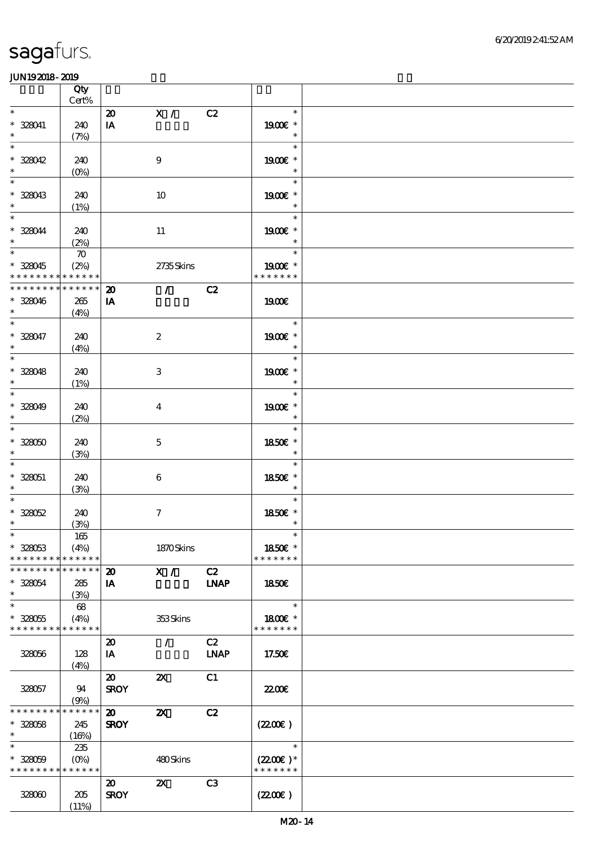|                                           | Qty<br>Cert%       |                             |                                 |                |                          |  |
|-------------------------------------------|--------------------|-----------------------------|---------------------------------|----------------|--------------------------|--|
| $\ast$                                    |                    | $\boldsymbol{\mathbf{z}}$   | $\mathbf{X}$ /                  | C2             | $\ast$                   |  |
| * 328041<br>$\ast$                        | 240<br>(7%)        | IA                          |                                 |                | 1900E *<br>$\ast$        |  |
| $\ast$                                    |                    |                             |                                 |                | $\ast$                   |  |
| $* 328042$<br>$\ast$                      | 240<br>$(0\%)$     |                             | $\boldsymbol{9}$                |                | 1900€ *<br>$\ast$        |  |
| $\ast$                                    |                    |                             |                                 |                | $\ast$                   |  |
| * 328043<br>$\ast$                        | 240<br>(1%)        |                             | $10\,$                          |                | 1900E *<br>$\ast$        |  |
| $\overline{\ast}$                         |                    |                             |                                 |                | $\ast$                   |  |
| * 328044<br>$\ast$                        | 240<br>(2%)        |                             | $11\,$                          |                | 1900E *<br>$\ast$        |  |
| $\overline{\phantom{0}}$                  | $\boldsymbol{\pi}$ |                             |                                 |                | $\ast$                   |  |
| $* 328045$<br>* * * * * * * * * * * * * * | (2%)               |                             | 2735Skins                       |                | 1900E *<br>* * * * * * * |  |
| * * * * * * * *                           | $******$           | $\boldsymbol{\mathbf{z}}$   | $\mathcal{L}$ and $\mathcal{L}$ | C2             |                          |  |
| $* 328046$<br>$\ast$                      | 265<br>(4%)        | IA                          |                                 |                | 1900E                    |  |
| $\overline{\ast}$                         |                    |                             |                                 |                | $\ast$                   |  |
| $* 328047$<br>$\ast$                      | 240<br>(4%)        |                             | $\boldsymbol{z}$                |                | 1900€ *<br>$\ast$        |  |
| $\overline{\phantom{0}}$                  |                    |                             |                                 |                | $\ast$                   |  |
| $* 328048$                                | 240                |                             | $\,3$                           |                | 1900€ *                  |  |
| $\ast$                                    | (1%)               |                             |                                 |                | $\ast$                   |  |
| $\ast$<br>$* 328049$                      | 240                |                             |                                 |                | $\ast$                   |  |
| $\ast$                                    | (2%)               |                             | $\overline{\mathbf{4}}$         |                | 1900E *<br>$\ast$        |  |
| $\ast$                                    |                    |                             |                                 |                | $\ast$                   |  |
| $* 32800$                                 | 240                |                             | $\mathbf 5$                     |                | 1850€ *                  |  |
| $\ast$<br>$\ast$                          | (3%)               |                             |                                 |                | $\ast$                   |  |
| $* 328051$                                | 240                |                             | $\boldsymbol{6}$                |                | $\ast$<br>1850E *        |  |
| $\ast$                                    | (3%)               |                             |                                 |                | $\ast$                   |  |
| $\ast$                                    |                    |                             |                                 |                | $\ast$                   |  |
| $* 328052$<br>$\ast$                      | 240                |                             | $\boldsymbol{\tau}$             |                | 1850E *<br>$\ast$        |  |
| $*$                                       | (3%)<br>$165\,$    |                             |                                 |                | $\ast$                   |  |
| $* 328053$                                | (4%)               |                             | 1870Skins                       |                | 1850€ *                  |  |
| * * * * * * * *                           | ******             |                             |                                 |                | * * * * * * *            |  |
| * * * * * * * * * * * * * *               |                    | $\boldsymbol{\mathbf{z}}$   | X /                             | C2             |                          |  |
| $* 328054$<br>$\ast$                      | 285<br>(3%)        | IA                          |                                 | <b>INAP</b>    | 1850E                    |  |
| $\ast$                                    | 68                 |                             |                                 |                | $\ast$                   |  |
| $* 328055$                                | (4%)               |                             | 353Skins                        |                | 1800E *                  |  |
| * * * * * * * * * * * * * *               |                    | $\boldsymbol{\mathfrak{D}}$ | $\mathcal{L}$                   | C2             | * * * * * * *            |  |
| 328056                                    | 128                | IA                          |                                 | <b>LNAP</b>    | 17.50€                   |  |
|                                           | (4%)               |                             |                                 |                |                          |  |
|                                           |                    | $\boldsymbol{\mathfrak{D}}$ | $\boldsymbol{\mathsf{X}}$       | C1             |                          |  |
| 328057                                    | 94<br>(9%)         | <b>SROY</b>                 |                                 |                | <b>2200E</b>             |  |
| * * * * * * * *                           | ******             | $\boldsymbol{\mathfrak{D}}$ | $\boldsymbol{\mathsf{z}}$       | C2             |                          |  |
| $* 328058$                                | 245                | <b>SROY</b>                 |                                 |                | (220E)                   |  |
| $\ast$<br>$\ast$                          | (16%)              |                             |                                 |                | $\ast$                   |  |
| $* 328059$                                | 235<br>$(O\%)$     |                             | 480Skins                        |                | $(2200\varepsilon)*$     |  |
| * * * * * * * * * * * * * *               |                    |                             |                                 |                | * * * * * * *            |  |
|                                           |                    | $\boldsymbol{\mathfrak{D}}$ | $\boldsymbol{\mathsf{X}}$       | C <sub>3</sub> |                          |  |
| 328000                                    | 205                | <b>SROY</b>                 |                                 |                | (220E)                   |  |
|                                           | (11%)              |                             |                                 |                |                          |  |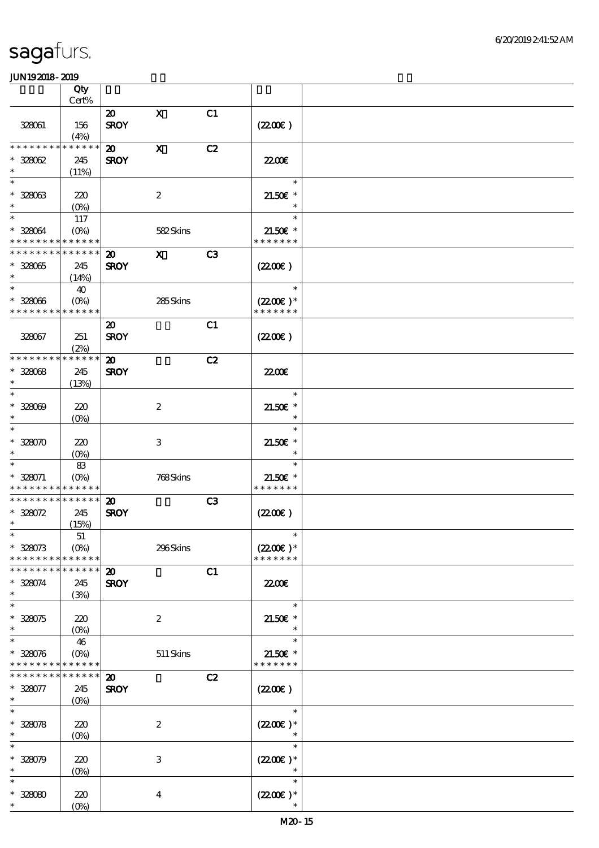|                                            | Qty<br>Cert% |                                            |                  |                |                      |  |
|--------------------------------------------|--------------|--------------------------------------------|------------------|----------------|----------------------|--|
|                                            |              |                                            |                  |                |                      |  |
| 328061                                     | 156          | $\boldsymbol{\mathfrak{D}}$<br><b>SROY</b> | $\mathbf x$      | C1             | (220E)               |  |
|                                            | (4%)         |                                            |                  |                |                      |  |
| * * * * * * * * * * * * * *                |              | $\boldsymbol{\mathfrak{D}}$                | $\mathbf x$      | C2             |                      |  |
| $* 328062$                                 | 245          | <b>SROY</b>                                |                  |                | 22.00 <del>€</del>   |  |
| $\ast$                                     | (11%)        |                                            |                  |                |                      |  |
| $\ast$                                     |              |                                            |                  |                | $\ast$               |  |
|                                            |              |                                            |                  |                |                      |  |
| $* 328063$                                 | 220          |                                            | $\boldsymbol{2}$ |                | $21.50E$ *           |  |
| $\ast$                                     | $(0\%)$      |                                            |                  |                | $\ast$               |  |
| $\ast$                                     | 117          |                                            |                  |                | $\ast$               |  |
| * 328064                                   | $(O\%)$      |                                            | 582Skins         |                | $21.50E$ *           |  |
| * * * * * * * * * * * * * *                |              |                                            |                  |                | * * * * * * *        |  |
| * * * * * * * * * * * * * *                |              | $\boldsymbol{\mathfrak{D}}$                | $\mathbf{x}$     | C <sub>3</sub> |                      |  |
|                                            |              |                                            |                  |                |                      |  |
| $* 328065$                                 | 245          | <b>SROY</b>                                |                  |                | (220E)               |  |
| $\ast$                                     | (14%)        |                                            |                  |                |                      |  |
| $\ast$                                     | 40           |                                            |                  |                | $\ast$               |  |
| $* 328066$                                 | $(O\%)$      |                                            | 285Skins         |                | $(2200\varepsilon)*$ |  |
| * * * * * * * *                            | * * * * * *  |                                            |                  |                | * * * * * * *        |  |
|                                            |              | $\boldsymbol{\mathfrak{D}}$                |                  | C1             |                      |  |
| 328067                                     | 251          | <b>SROY</b>                                |                  |                | (220E)               |  |
|                                            |              |                                            |                  |                |                      |  |
|                                            | (2%)         |                                            |                  |                |                      |  |
| * * * * * * * * * * * * * *                |              | $\boldsymbol{\mathfrak{D}}$                |                  | C2             |                      |  |
| $* 32808$                                  | 245          | <b>SROY</b>                                |                  |                | <b>2200E</b>         |  |
| $\ast$                                     | (13%)        |                                            |                  |                |                      |  |
| $\ast$                                     |              |                                            |                  |                | $\ast$               |  |
| $* 328009$                                 | 220          |                                            | $\boldsymbol{2}$ |                | $21.50E$ *           |  |
| $\ast$                                     |              |                                            |                  |                | $\ast$               |  |
| $\ast$                                     | (0%)         |                                            |                  |                |                      |  |
|                                            |              |                                            |                  |                | $\ast$               |  |
| $* 328070$                                 | 220          |                                            | 3                |                | $21.50E$ *           |  |
| $\ast$                                     | $(0\%)$      |                                            |                  |                |                      |  |
| $\ast$                                     | 83           |                                            |                  |                | $\ast$               |  |
| $* 328071$                                 | $(0\%)$      |                                            | 768Skins         |                | $21.50E$ *           |  |
| * * * * * * * * <mark>* * * * * *</mark> * |              |                                            |                  |                | * * * * * * *        |  |
| * * * * * * * * * * * * * *                |              | $\boldsymbol{\mathfrak{D}}$                |                  | C3             |                      |  |
|                                            |              |                                            |                  |                |                      |  |
| $* 328072$                                 | 245          | <b>SROY</b>                                |                  |                | (220E)               |  |
| $\ast$                                     | (15%)        |                                            |                  |                |                      |  |
| $*$                                        | $51\,$       |                                            |                  |                | $\ast$               |  |
| $* 328073$                                 | $(O\%)$      |                                            | 296Skins         |                | $(220E)^*$           |  |
| * * * * * * * *                            | * * * * * *  |                                            |                  |                | * * * * * * *        |  |
| * * * * * * *                              | * * * * * *  | $\boldsymbol{\mathbf{z}}$                  |                  | C1             |                      |  |
| $* 328074$                                 | 245          | <b>SROY</b>                                |                  |                | 2200                 |  |
| $\ast$                                     |              |                                            |                  |                |                      |  |
| $\ast$                                     | (3%)         |                                            |                  |                | $\ast$               |  |
|                                            |              |                                            |                  |                |                      |  |
| $* 328075$                                 | 220          |                                            | $\boldsymbol{2}$ |                | $21.50E$ *           |  |
| $\ast$                                     | $(0\%)$      |                                            |                  |                | $\ast$               |  |
| $\ast$                                     | 46           |                                            |                  |                | $\ast$               |  |
| $* 328076$                                 | $(O\%)$      |                                            | $511$ Skins      |                | 21.50€ *             |  |
| * * * * * * * * * * * * * *                |              |                                            |                  |                | * * * * * * *        |  |
| * * * * * * *                              | * * * * * *  | $\boldsymbol{\mathbf{z}}$                  |                  | C2             |                      |  |
|                                            |              |                                            |                  |                |                      |  |
| $* 328077$                                 | 245          | <b>SROY</b>                                |                  |                | (220E)               |  |
| $\ast$                                     | $(O\%)$      |                                            |                  |                |                      |  |
| $\ast$                                     |              |                                            |                  |                | $\ast$               |  |
| $* 328078$                                 | 220          |                                            | $\boldsymbol{2}$ |                | $(2200)$ *           |  |
| $\ast$                                     | $(O\!/\!o)$  |                                            |                  |                | $\ast$               |  |
| $\ast$                                     |              |                                            |                  |                | $\ast$               |  |
| $* 328079$                                 | 220          |                                            | $\,3$            |                | $(2200\varepsilon)*$ |  |
| $\ast$                                     |              |                                            |                  |                | $\ast$               |  |
|                                            | $(0\%)$      |                                            |                  |                |                      |  |
| $\ast$                                     |              |                                            |                  |                | $\ast$               |  |
| $* 32800$                                  | 220          |                                            | $\boldsymbol{4}$ |                | $(2200)$ *           |  |
| $\ast$                                     | $(O\%)$      |                                            |                  |                |                      |  |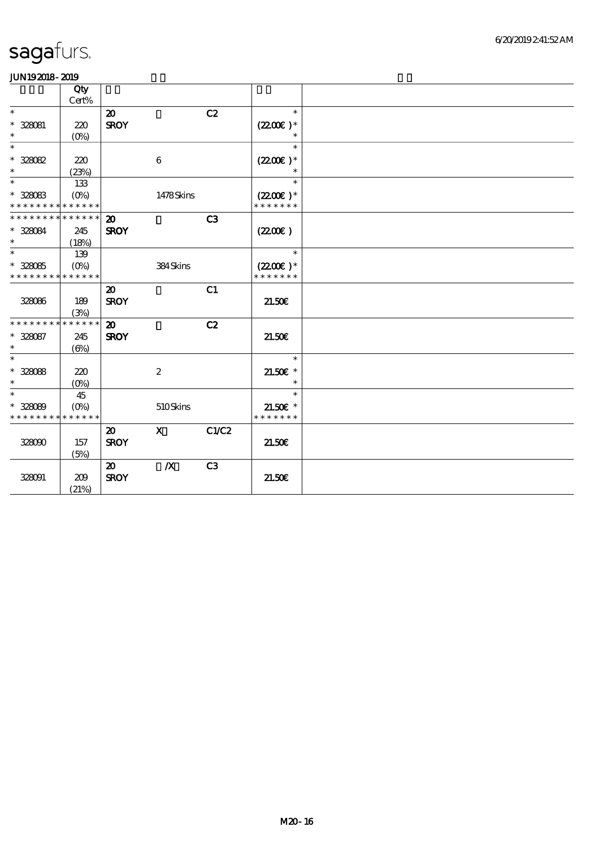|                               | Qty<br>Cert% |                             |                  |                |                      |  |
|-------------------------------|--------------|-----------------------------|------------------|----------------|----------------------|--|
| $\ast$                        |              | $\boldsymbol{\mathbf{z}}$   |                  | C2             | $\ast$               |  |
| * 328081                      | 220          | <b>SROY</b>                 |                  |                | $(2200)$ *           |  |
| $\ast$                        | $(O\%)$      |                             |                  |                |                      |  |
| $\ast$                        |              |                             |                  |                | $\ast$               |  |
| $* 328082$                    | 220          |                             | 6                |                | $(2200)$ *           |  |
| $\ast$                        | (23%)        |                             |                  |                | $\ast$               |  |
| $\ast$                        | 133          |                             |                  |                | $\ast$               |  |
| $* 328083$                    | $(O\%)$      |                             | 1478Skins        |                | $(2200\varepsilon)*$ |  |
| * * * * * * * * * * * * * *   |              |                             |                  |                | * * * * * * *        |  |
| * * * * * * * * * * * * * * * |              | $\boldsymbol{\mathfrak{D}}$ |                  | C3             |                      |  |
| $* 328084$                    | 245          | <b>SROY</b>                 |                  |                | (220E)               |  |
| $\ast$                        | (18%)        |                             |                  |                |                      |  |
| $\ast$                        | 139          |                             |                  |                | $\ast$               |  |
| $^\ast$ 328085                | $(O\%)$      |                             | 384Skins         |                | $(2200)$ *           |  |
| * * * * * * * *               | * * * * * *  |                             |                  |                | * * * * * * *        |  |
|                               |              | $\boldsymbol{\mathbf{z}}$   |                  | C1             |                      |  |
| 328086                        | 189          | <b>SROY</b>                 |                  |                | 21.50E               |  |
|                               | (3%)         |                             |                  |                |                      |  |
| * * * * * * * * * * * * * *   |              | $\boldsymbol{\mathfrak{D}}$ |                  | C2             |                      |  |
| $* 328087$                    | 245          | <b>SROY</b>                 |                  |                | 21.50E               |  |
| $\ast$                        | $(\Theta)$   |                             |                  |                |                      |  |
| $\ast$                        |              |                             |                  |                | $\ast$               |  |
| $* 328088$                    | 220          |                             | $\boldsymbol{2}$ |                | $21.50E$ *           |  |
| $\ast$                        | $(O\%)$      |                             |                  |                | $\ast$               |  |
| $\ast$                        | 45           |                             |                  |                | $\ast$               |  |
| $* 328089$                    | $(O\% )$     |                             | 510Skins         |                | $21.50E$ *           |  |
| * * * * * * * * * * * * * *   |              |                             |                  |                | * * * * * * *        |  |
|                               |              | $\boldsymbol{\mathfrak{D}}$ | $\mathbf{x}$     | C1/C2          |                      |  |
| 328090                        | 157          | <b>SROY</b>                 |                  |                | 21.50E               |  |
|                               | (5%)         |                             |                  |                |                      |  |
|                               |              | $\boldsymbol{\mathfrak{D}}$ | $\boldsymbol{X}$ | C <sub>3</sub> |                      |  |
| 328091                        | 209          | <b>SROY</b>                 |                  |                | 21.50E               |  |
|                               | (21%)        |                             |                  |                |                      |  |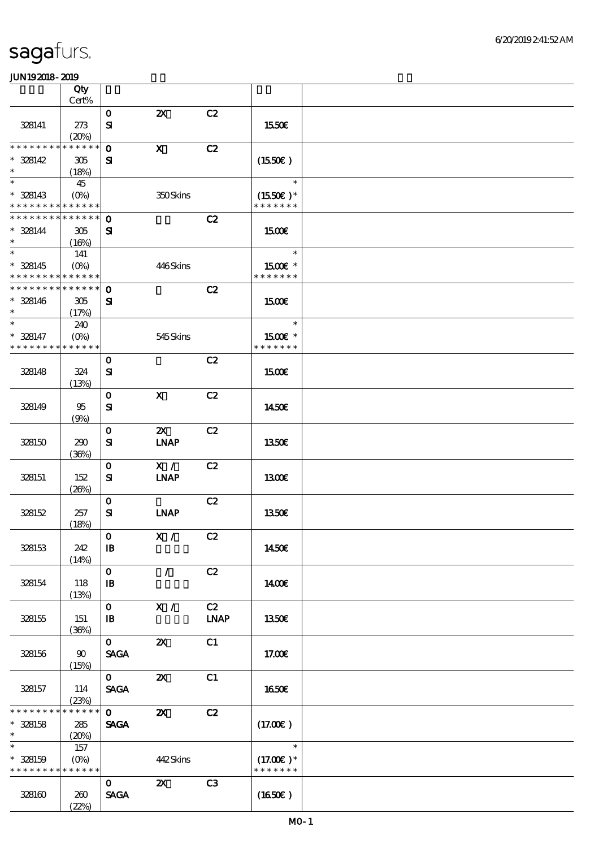|                                           | Qty            |                              |                           |                |                              |  |
|-------------------------------------------|----------------|------------------------------|---------------------------|----------------|------------------------------|--|
|                                           | Cert%          |                              |                           |                |                              |  |
| 328141                                    | 273            | $\mathbf{o}$<br>${\bf s}$    | $\boldsymbol{\mathsf{z}}$ | C2             | 1550€                        |  |
|                                           | (20%)          |                              |                           |                |                              |  |
| * * * * * * * *                           | * * * * * *    | $\mathbf 0$                  | $\mathbf X$               | C2             |                              |  |
| $* 328142$                                | 305            | ${\bf s}$                    |                           |                | (1550E)                      |  |
| $\ast$                                    | (18%)          |                              |                           |                |                              |  |
| $\ast$                                    | 45             |                              |                           |                | $\ast$                       |  |
| $* 328143$<br>* * * * * * * * * * * * * * |                |                              | 350Skins                  |                | $(1550E)*$<br>* * * * * * *  |  |
| * * * * * * * * * * * * * * *             |                | $\mathbf 0$                  |                           | C2             |                              |  |
| $* 328144$                                | 305            | ${\bf s}$                    |                           |                | <b>1500€</b>                 |  |
| $\ast$                                    | (16%)          |                              |                           |                |                              |  |
| $\ast$                                    | 141            |                              |                           |                | $\ast$                       |  |
| $* 328145$                                | $(O\%)$        |                              | 446Skins                  |                | 1500€ *                      |  |
| * * * * * * * * * * * * * *               |                |                              |                           |                | * * * * * * *                |  |
| * * * * * * * * * * * * * *               |                | $\mathbf 0$                  |                           | C2             |                              |  |
| $* 328146$                                | 305            | ${\bf s}$                    |                           |                | 1500€                        |  |
| $\ast$<br>$\ast$                          | (17%)          |                              |                           |                | $\ast$                       |  |
| $* 328147$                                | 240<br>$(O\%)$ |                              | 545Skins                  |                | 1500€ *                      |  |
| * * * * * * * *                           | * * * * * *    |                              |                           |                | * * * * * * *                |  |
|                                           |                | $\mathbf 0$                  |                           | C2             |                              |  |
| 328148                                    | 324            | ${\bf s}$                    |                           |                | <b>1500€</b>                 |  |
|                                           | (13%)          |                              |                           |                |                              |  |
|                                           |                | $\mathbf 0$                  | $\mathbf x$               | C2             |                              |  |
| 328149                                    | 95             | $\mathbf{S}$                 |                           |                | 1450E                        |  |
|                                           | (9%)           |                              |                           |                |                              |  |
|                                           |                | $\mathbf 0$                  | ZX                        | C2             |                              |  |
| 328150                                    | 290            | ${\bf s}$                    | <b>INAP</b>               |                | <b>1350€</b>                 |  |
|                                           | (36%)          | $\mathbf 0$                  | X /                       | C2             |                              |  |
| 328151                                    | 152            | ${\bf s}$                    | <b>INAP</b>               |                | 1300E                        |  |
|                                           | (20%)          |                              |                           |                |                              |  |
|                                           |                | $\mathbf 0$                  |                           | C2             |                              |  |
| 328152                                    | 257            | ${\bf S}$                    | <b>INAP</b>               |                | 1350€                        |  |
|                                           | (18%)          |                              |                           |                |                              |  |
|                                           |                | $\mathbf O$                  | X / C2                    |                |                              |  |
| 328153                                    | 242            | $\mathbf{B}$                 |                           |                | 1450€                        |  |
|                                           | (14%)          | $\mathbf{O}$                 | $\mathcal{L}$             | C2             |                              |  |
| 328154                                    | 118            | $\mathbf{B}$                 |                           |                | 1400E                        |  |
|                                           | (13%)          |                              |                           |                |                              |  |
|                                           |                | $\mathbf{O}$                 | X /                       | C2             |                              |  |
| 328155                                    | 151            | $\mathbf{B}$                 |                           | <b>LNAP</b>    | 1350E                        |  |
|                                           | (36%)          |                              |                           |                |                              |  |
|                                           |                | $\mathbf{O}$                 | $\boldsymbol{\mathsf{X}}$ | C1             |                              |  |
| 328156                                    | $90^{\circ}$   | <b>SAGA</b>                  |                           |                | 17.00E                       |  |
|                                           | (15%)          | $\mathbf{O}$                 | $\boldsymbol{\mathsf{X}}$ | C1             |                              |  |
| 328157                                    | 114            | <b>SAGA</b>                  |                           |                | 1650E                        |  |
|                                           | (23%)          |                              |                           |                |                              |  |
| * * * * * * * *                           | * * * * * *    | $\mathbf{O}$                 | $\boldsymbol{\mathsf{Z}}$ | C2             |                              |  |
| $* 328158$                                | 285            | $\ensuremath{\mathsf{SAGA}}$ |                           |                | (17.00)                      |  |
| $\ast$                                    | (20%)          |                              |                           |                |                              |  |
| $\overline{\ast}$                         | 157            |                              |                           |                | $\ast$                       |  |
| $* 328159$<br>* * * * * * * * * * * * * * |                |                              | 442Skins                  |                | $(17.00)$ *<br>* * * * * * * |  |
|                                           |                | $\mathbf{O}$                 | $\boldsymbol{\mathsf{Z}}$ | C <sub>3</sub> |                              |  |
| 328160                                    | 260            | <b>SAGA</b>                  |                           |                | (1650)                       |  |
|                                           | (22%)          |                              |                           |                |                              |  |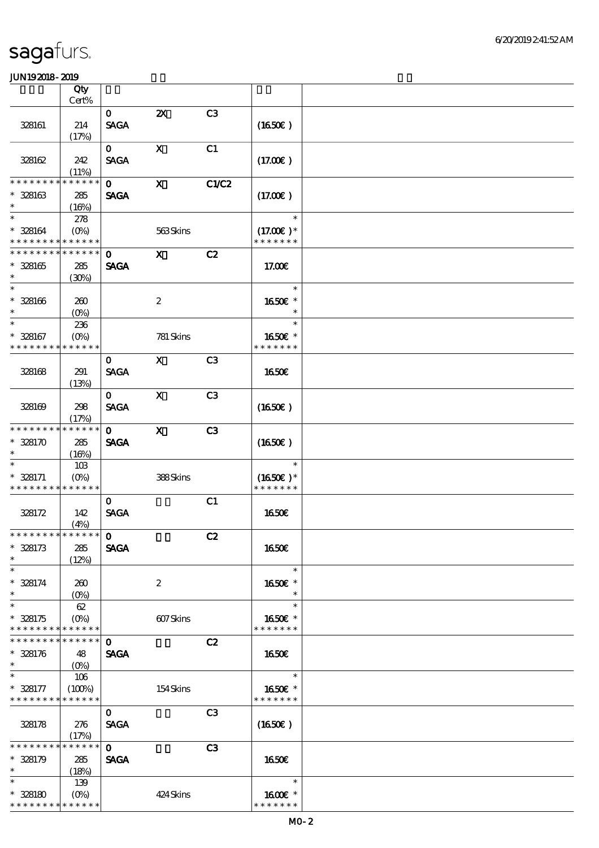|                                                     | Qty                                    |                             |                           |                |                                        |  |
|-----------------------------------------------------|----------------------------------------|-----------------------------|---------------------------|----------------|----------------------------------------|--|
|                                                     | Cert%                                  |                             |                           |                |                                        |  |
| 328161                                              | 214<br>(17%)                           | $\mathbf{O}$<br><b>SAGA</b> | $\boldsymbol{\mathsf{Z}}$ | C <sub>3</sub> | (1650)                                 |  |
| 328162                                              | 242                                    | $\mathbf{0}$<br><b>SAGA</b> | $\mathbf X$               | C1             | (17.00)                                |  |
|                                                     | (11%)                                  |                             |                           |                |                                        |  |
| * * * * * * *<br>$* 328163$                         | * * * * * *<br>285                     | $\mathbf{O}$<br><b>SAGA</b> | $\mathbf{x}$              | C1/C2          | (17.00)                                |  |
| $\ast$                                              | (16%)                                  |                             |                           |                |                                        |  |
| $\ast$<br>$* 328164$<br>* * * * * * * * * * * * * * | 278<br>$(O\%)$                         |                             | 563Skins                  |                | $\ast$<br>$(17.00)$ *<br>* * * * * * * |  |
| * * * * * * * * * * * * * *                         |                                        |                             |                           |                |                                        |  |
| $* 328165$<br>$\ast$                                | 285<br>(30%)                           | $\mathbf{O}$<br><b>SAGA</b> | $\mathbf{X}$              | C2             | 17.00E                                 |  |
| $\ast$<br>$^\ast$ 328166<br>$\ast$                  | 260<br>$(O\%)$                         |                             | $\boldsymbol{2}$          |                | $\ast$<br>1650E *<br>$\ast$            |  |
| $\ast$                                              | 236                                    |                             |                           |                | $\ast$                                 |  |
| $* 328167$<br>* * * * * * * *                       | $(O\%)$<br>* * * * * *                 |                             | 781 Skins                 |                | 1650E *<br>* * * * * * *               |  |
|                                                     |                                        | $\mathbf{O}$                | $\mathbf{X}$              | C3             |                                        |  |
| 328168                                              | 291<br>(13%)                           | <b>SAGA</b>                 |                           |                | 1650E                                  |  |
| 328169                                              | 298<br>(17%)                           | $\mathbf{O}$<br><b>SAGA</b> | $\mathbf x$               | C3             | $(1650\epsilon)$                       |  |
| * * * * * * * *<br>$* 328170$<br>$\ast$             | * * * * * *<br>285<br>(16%)            | $\mathbf{0}$<br><b>SAGA</b> | $\mathbf{X}$              | C3             | $(1650\epsilon)$                       |  |
| $\ast$<br>$* 328171$<br>* * * * * * * * * * * * * * | 10B<br>$(O\!/\!o)$                     |                             | 388Skins                  |                | $\ast$<br>$(1650)$ *<br>* * * * * * *  |  |
| 328172                                              | 142<br>(4%)                            | $\mathbf{O}$<br><b>SAGA</b> |                           | C1             | <b>1650€</b>                           |  |
| ******** <mark>******</mark>                        |                                        | $\mathbf 0$                 |                           | C2             |                                        |  |
| $* 328173$<br>$\ast$                                | 285<br>(12%)                           | <b>SAGA</b>                 |                           |                | 1650€                                  |  |
| $\ast$<br>$* 328174$<br>$\ast$                      | 260<br>$(O\%)$                         |                             | $\boldsymbol{2}$          |                | $\ast$<br>1650E *<br>$\ast$            |  |
| $\ast$<br>$* 328175$<br>* * * * * * * * * * * * * * | 62<br>$(O\%)$                          |                             | 607Skins                  |                | $\ast$<br>1650E *<br>* * * * * * *     |  |
| * * * * * * * * * * * * * *                         |                                        | $\mathbf{o}$                |                           | C2             |                                        |  |
| $* 328176$<br>$\ast$                                | 48<br>$(O\%)$                          | <b>SAGA</b>                 |                           |                | 1650€                                  |  |
| $\ast$                                              | 106                                    |                             |                           |                | $\ast$                                 |  |
| $* 328177$<br>* * * * * * * * * * * * * *           | (100%)                                 |                             | 154Skins                  |                | 1650€ *<br>* * * * * * *               |  |
| 328178                                              | 276<br>(17%)                           | $\mathbf 0$<br><b>SAGA</b>  |                           | C <sub>3</sub> | $(1650\epsilon)$                       |  |
| * * * * * * * *<br>$* 328179$<br>$\ast$             | * * * * * *<br>285<br>(18%)            | $\mathbf 0$<br><b>SAGA</b>  |                           | C <sub>3</sub> | 1650€                                  |  |
| $\ast$<br>$* 328180$<br>* * * * * * * * * * * * * * | 139<br>$(O\!\!\!\!\!\!\backslash\rho)$ |                             | 424 Skins                 |                | $\ast$<br>1600€ *<br>* * * * * * *     |  |
|                                                     |                                        |                             |                           |                |                                        |  |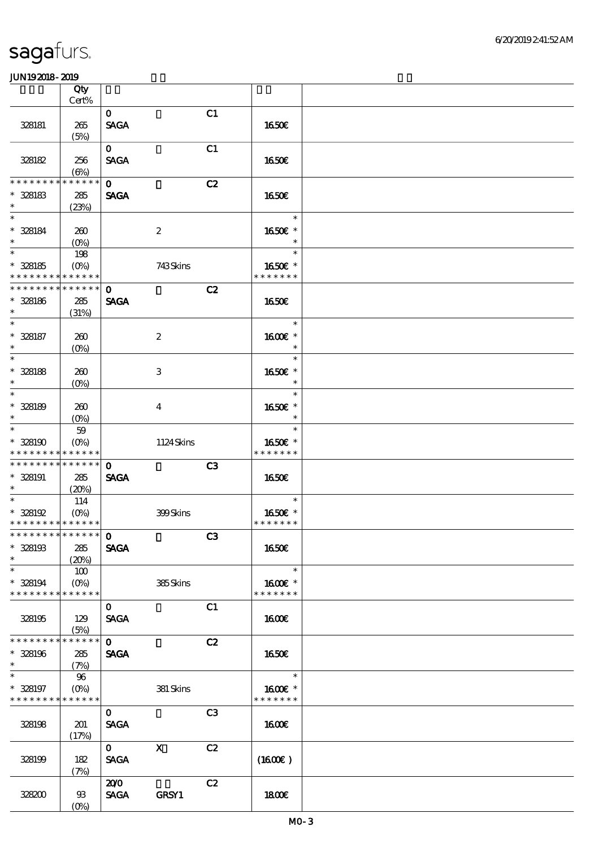|                                           | Qty                       |                             |                           |                |                          |  |
|-------------------------------------------|---------------------------|-----------------------------|---------------------------|----------------|--------------------------|--|
|                                           | $\mbox{Cert}\%$           |                             |                           |                |                          |  |
| 328181                                    | 265                       | $\mathbf{O}$<br><b>SAGA</b> |                           | C1             | 1650E                    |  |
|                                           | (5%)                      |                             |                           |                |                          |  |
|                                           |                           | $\mathbf{o}$                |                           | C1             |                          |  |
| 328182                                    | 256                       | <b>SAGA</b>                 |                           |                | 1650€                    |  |
| * * * * * * * *                           | $(\Theta)$<br>* * * * * * |                             |                           |                |                          |  |
| $* 328183$                                |                           | $\mathbf 0$<br><b>SAGA</b>  |                           | C2             | 1650€                    |  |
| $\ast$                                    | 285<br>(23%)              |                             |                           |                |                          |  |
| $\ast$                                    |                           |                             |                           |                | $\ast$                   |  |
| $* 328184$                                | 260                       |                             | $\boldsymbol{2}$          |                | 1650E *                  |  |
| $\ast$                                    | (O <sub>0</sub> )         |                             |                           |                | $\ast$                   |  |
| $\ast$                                    | 198                       |                             |                           |                | $\ast$                   |  |
| $* 328185$                                | $(O\%)$                   |                             | 743Skins                  |                | 1650€ *                  |  |
| * * * * * * * * * * * * * *               |                           |                             |                           |                | * * * * * * *            |  |
| * * * * * * * * * * * * * *               |                           | $\mathbf 0$                 |                           | C2             |                          |  |
| $* 328186$<br>$\ast$                      | 285                       | <b>SAGA</b>                 |                           |                | <b>1650€</b>             |  |
| $\ast$                                    | (31%)                     |                             |                           |                | $\ast$                   |  |
| $* 328187$                                | 260                       |                             | $\boldsymbol{2}$          |                | 1600€ *                  |  |
| $\ast$                                    | $(O\!/\!o)$               |                             |                           |                | $\ast$                   |  |
| $\ast$                                    |                           |                             |                           |                | $\ast$                   |  |
| $* 328188$                                | 260                       |                             | 3                         |                | 1650€ *                  |  |
| $\ast$                                    | $(0\%)$                   |                             |                           |                | $\ast$                   |  |
| $\ast$                                    |                           |                             |                           |                | $\ast$                   |  |
| $* 328189$                                | 260                       |                             | $\overline{4}$            |                | 1650€ *                  |  |
| $\ast$                                    | $(O\%)$                   |                             |                           |                | $\ast$                   |  |
| $\ast$                                    | $59\,$                    |                             |                           |                | $\ast$                   |  |
| $* 328190$<br>* * * * * * * * * * * * * * | $(O\%)$                   |                             | 1124Skins                 |                | 1650€ *<br>* * * * * * * |  |
| * * * * * * * * * * * * * *               |                           | $\mathbf 0$                 |                           | C3             |                          |  |
| $* 328191$                                | 285                       | <b>SAGA</b>                 |                           |                | 1650E                    |  |
| $*$ and $*$                               | (20%)                     |                             |                           |                |                          |  |
| $\overline{\ast}$                         | 114                       |                             |                           |                | $\ast$                   |  |
| $* 328192$                                | $(O\!\!\!\!\!\!\!/\,\!o)$ |                             | 399Skins                  |                | 1650€ *                  |  |
| * * * * * * * * * * * * * *               |                           |                             |                           |                | * * * * * * *            |  |
| ************** 0                          |                           |                             |                           | C <sub>3</sub> |                          |  |
| $* 328193$                                | 285                       | <b>SAGA</b>                 |                           |                | <b>1650€</b>             |  |
| $\ast$<br>$\ast$                          | (20%)                     |                             |                           |                | $\ast$                   |  |
| $* 328194$                                | 100<br>$(O\%)$            |                             |                           |                | 1600E *                  |  |
| * * * * * * * *                           | * * * * * *               |                             | 385Skins                  |                | * * * * * * *            |  |
|                                           |                           | $\mathbf{o}$                |                           | C1             |                          |  |
| 328195                                    | 129                       | <b>SAGA</b>                 |                           |                | <b>1600€</b>             |  |
|                                           | (5%)                      |                             |                           |                |                          |  |
| * * * * * * * * * * * * * *               |                           | $\mathbf{O}$                |                           | C2             |                          |  |
| $* 328196$                                | 285                       | <b>SAGA</b>                 |                           |                | 1650E                    |  |
| $\ast$                                    | (7%)                      |                             |                           |                |                          |  |
| $\ast$                                    | 96                        |                             |                           |                | $\ast$                   |  |
| $* 328197$<br>* * * * * * * * * * * * * * | $(0\%)$                   |                             | 381 Skins                 |                | 1600€ *<br>* * * * * * * |  |
|                                           |                           | $\mathbf{O}$                |                           | C <sub>3</sub> |                          |  |
| 328198                                    | 201                       | <b>SAGA</b>                 |                           |                | <b>1600€</b>             |  |
|                                           | (17%)                     |                             |                           |                |                          |  |
|                                           |                           | $\mathbf{O}$                | $\boldsymbol{\mathsf{X}}$ | C2             |                          |  |
| 328199                                    | 182                       | <b>SAGA</b>                 |                           |                | $(1600\varepsilon)$      |  |
|                                           | (7%)                      |                             |                           |                |                          |  |
|                                           |                           | 200                         |                           | C2             |                          |  |
| 328200                                    | $93$                      | <b>SAGA</b>                 | GRSY1                     |                | 1800E                    |  |
|                                           | $(O\%)$                   |                             |                           |                |                          |  |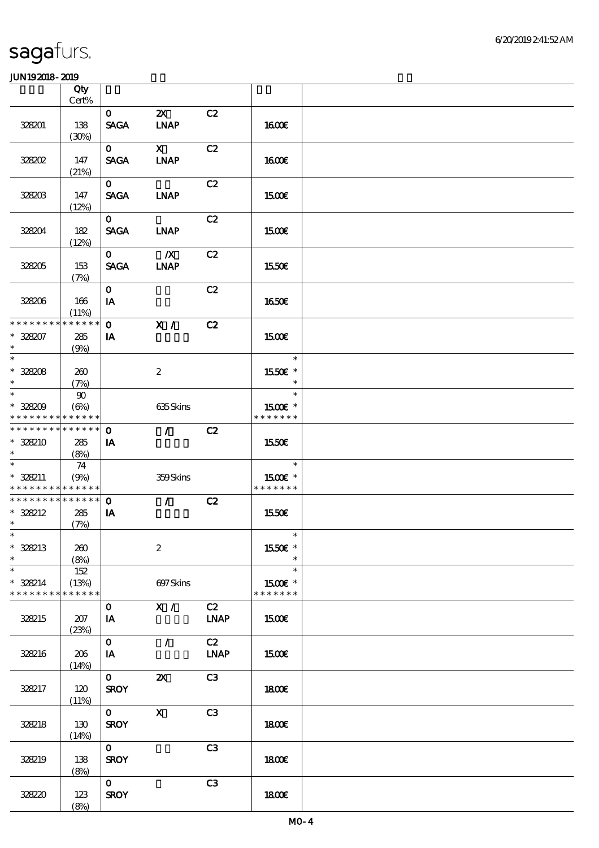|                                            | Qty         |              |                                 |             |               |  |
|--------------------------------------------|-------------|--------------|---------------------------------|-------------|---------------|--|
|                                            | Cert%       |              |                                 |             |               |  |
|                                            |             | $\mathbf{o}$ | $\boldsymbol{\mathsf{Z}}$       | C2          |               |  |
| 328201                                     | 138         | <b>SAGA</b>  | <b>INAP</b>                     |             | 1600E         |  |
|                                            | (30%)       |              |                                 |             |               |  |
|                                            |             | $\mathbf{O}$ | $\mathbf{X}$                    | C2          |               |  |
| 328202                                     | 147         | <b>SAGA</b>  | <b>INAP</b>                     |             | <b>1600€</b>  |  |
|                                            | (21%)       |              |                                 |             |               |  |
|                                            |             | $\mathbf{O}$ |                                 | C2          |               |  |
| 328203                                     | 147         | <b>SAGA</b>  | <b>LNAP</b>                     |             | <b>1500€</b>  |  |
|                                            | (12%)       |              |                                 |             |               |  |
|                                            |             | $\mathbf{O}$ |                                 | C2          |               |  |
| 328204                                     | 182         | <b>SAGA</b>  | <b>INAP</b>                     |             | <b>1500€</b>  |  |
|                                            | (12%)       |              |                                 |             |               |  |
|                                            |             | $\mathbf{O}$ | $\mathbf{X}$                    | C2          |               |  |
| 328205                                     | 153         | <b>SAGA</b>  | <b>INAP</b>                     |             | 1550€         |  |
|                                            | (7%)        |              |                                 |             |               |  |
|                                            |             | $\mathbf{O}$ |                                 | C2          |               |  |
| 328206                                     | 166         | IA           |                                 |             | 1650E         |  |
|                                            | (11%)       |              |                                 |             |               |  |
| * * * * * * * *                            | * * * * * * | $\mathbf{O}$ | $\mathbf{X}$ /                  | C2          |               |  |
| $* 328207$                                 | 285         | IA           |                                 |             | 1500E         |  |
| $\ast$                                     | (9%)        |              |                                 |             |               |  |
| $\overline{\phantom{0}}$                   |             |              |                                 |             | $\ast$        |  |
| $* 328208$                                 | 260         |              | $\boldsymbol{2}$                |             | 1550E *       |  |
| $\ast$                                     | (7%)        |              |                                 |             | $\ast$        |  |
| $\overline{\phantom{a}}$                   | 90          |              |                                 |             | $\ast$        |  |
| $* 328209$                                 | (6%)        |              | 635Skins                        |             | 1500E *       |  |
| * * * * * * * * * * * * * *                |             |              |                                 |             | * * * * * * * |  |
| * * * * * * * * * * * * * * *              |             | $\mathbf 0$  | $\mathcal{L}$                   | C2          |               |  |
| $* 328210$                                 | 285         | IA           |                                 |             | 1550€         |  |
| $\ast$                                     | (8%)        |              |                                 |             |               |  |
| $\overline{\phantom{0}}$                   | 74          |              |                                 |             | $\ast$        |  |
| $* 328211$                                 | (9%)        |              | 359Skins                        |             | 1500E *       |  |
| * * * * * * * * <mark>* * * * * * *</mark> |             |              |                                 |             | * * * * * * * |  |
| * * * * * * * * * * * * * *                |             | $\mathbf{O}$ | $\mathcal{L}$ and $\mathcal{L}$ | C2          |               |  |
| $* 328212$                                 | 285         | IA           |                                 |             | 1550€         |  |
| $\ast$                                     | (7%)        |              |                                 |             |               |  |
| $*$                                        |             |              |                                 |             | $\ast$        |  |
| $* 328213$                                 | 260         |              | $\boldsymbol{2}$                |             | 1550€ *       |  |
| $\ast$                                     | (8%)        |              |                                 |             |               |  |
| $\overline{\phantom{0}}$                   | 152         |              |                                 |             | $\ast$        |  |
| $* 328214$                                 | (13%)       |              | 697Skins                        |             | 1500€ *       |  |
| * * * * * * * * * * * * * *                |             |              |                                 |             | * * * * * * * |  |
|                                            |             | $\mathbf{O}$ | X /                             | C2          |               |  |
| 328215                                     | 207         | IA           |                                 | <b>LNAP</b> | 1500€         |  |
|                                            | (23%)       |              |                                 |             |               |  |
|                                            |             | $\mathbf{O}$ | $\mathcal{L}$                   | C2          |               |  |
| 328216                                     | 206         | IA           |                                 | <b>LNAP</b> | 1500€         |  |
|                                            | (14%)       |              |                                 |             |               |  |
|                                            |             | $\mathbf{O}$ | $\boldsymbol{\mathsf{z}}$       | C3          |               |  |
| 328217                                     | 120         | <b>SROY</b>  |                                 |             | 1800E         |  |
|                                            | (11%)       |              |                                 |             |               |  |
|                                            |             | $\mathbf{O}$ | $\mathbf X$                     | C3          |               |  |
| 328218                                     | 130         | <b>SROY</b>  |                                 |             | 1800E         |  |
|                                            | (14%)       |              |                                 |             |               |  |
|                                            |             | $\mathbf{0}$ |                                 | C3          |               |  |
| 328219                                     | 138         | <b>SROY</b>  |                                 |             | 1800E         |  |
|                                            | (8%)        |              |                                 |             |               |  |
|                                            |             | $\mathbf{0}$ |                                 | C3          |               |  |
| 328220                                     | 123         | <b>SROY</b>  |                                 |             | 1800E         |  |
|                                            | (8%)        |              |                                 |             |               |  |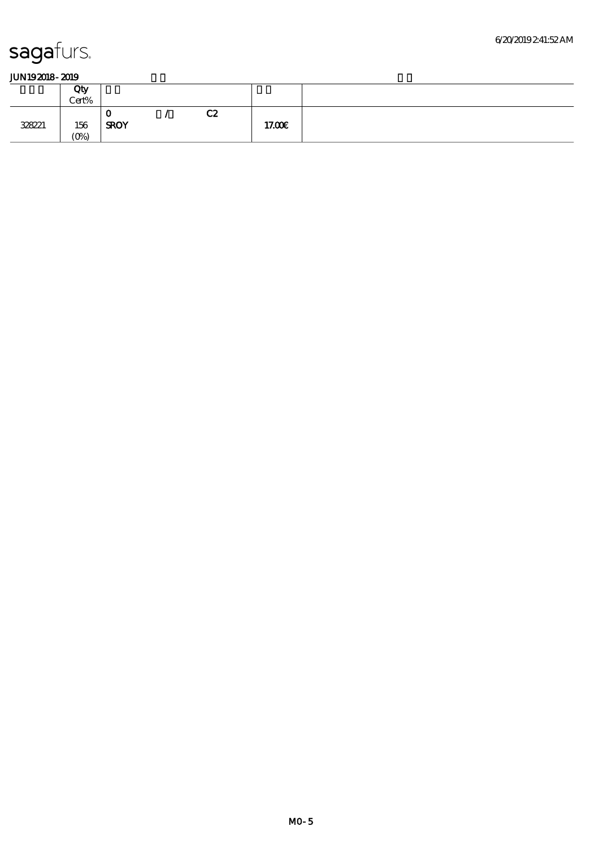|        | Qty<br>Cert% |             |    |        |  |
|--------|--------------|-------------|----|--------|--|
|        |              | u           | C2 |        |  |
| 328221 | 156          | <b>SROY</b> |    | 17.00€ |  |
|        | $(0\%)$      |             |    |        |  |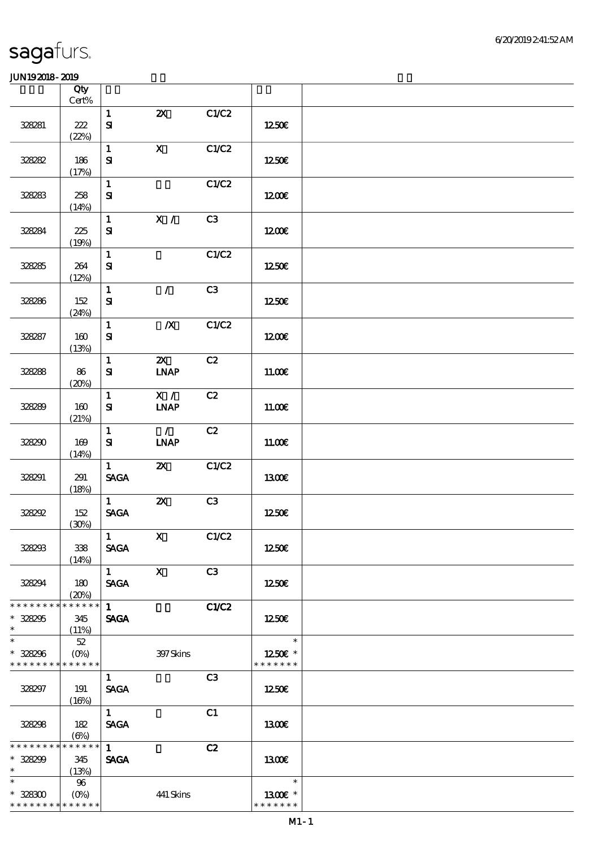|                                                     | Qty<br>$Cert\%$             |                                                |                                      |              |                                    |  |
|-----------------------------------------------------|-----------------------------|------------------------------------------------|--------------------------------------|--------------|------------------------------------|--|
|                                                     |                             | $\mathbf{1}$                                   | $\boldsymbol{\mathsf{Z}}$            | C1/C2        |                                    |  |
| 328281                                              | 222<br>(22%)                | ${\bf S\!I}$                                   |                                      |              | 1250€                              |  |
| 328282                                              | 186                         | $\mathbf{1}$<br>${\bf s}$                      | $\mathbf X$                          | C1/C2        | 1250E                              |  |
|                                                     | (17%)                       |                                                |                                      |              |                                    |  |
| 328283                                              | 258<br>(14%)                | $\mathbf{1}$<br>${\bf S}$                      |                                      | C1/C2        | 1200E                              |  |
| 328284                                              | 225<br>(19%)                | $\mathbf{1}$<br>$\mathbf{S}$                   | X /                                  | C3           | 1200E                              |  |
| 328285                                              | 264<br>(12%)                | $\mathbf{1}$<br>${\bf S}$                      |                                      | C1/C2        | 1250E                              |  |
| 328286                                              | 152<br>(24%)                | $\mathbf{1}$<br>${\bf s}$                      | $\mathcal{L}$                        | C3           | 1250E                              |  |
| 328287                                              | 160<br>(13%)                | $\mathbf{1}$<br>$\mathbf{S}$                   | $\boldsymbol{X}$                     | C1/C2        | 1200E                              |  |
| 328288                                              | 86<br>(20%)                 | $\mathbf{1}$<br>${\bf S}$                      | $\boldsymbol{\alpha}$<br><b>INAP</b> | C2           | 11.00E                             |  |
| 328289                                              | 160<br>(21%)                | $\mathbf{1}$<br>${\bf s}$                      | X /<br><b>LNAP</b>                   | C2           | 11.00E                             |  |
| 328290                                              | 169<br>(14%)                | $\mathbf{1}$<br>${\bf s}$                      | $\mathcal{L}$<br><b>INAP</b>         | C2           | 11.00E                             |  |
| 328291                                              | 291<br>(18%)                | $\mathbf{1}$<br>$\operatorname{\mathsf{SAGA}}$ | $\boldsymbol{\alpha}$                | C1/C2        | 1300E                              |  |
| 328292                                              | 152<br>(30%)                | $\mathbf{1}$<br>$\operatorname{\mathsf{SAGA}}$ | $\boldsymbol{\mathsf{Z}}$            | C3           | 1250E                              |  |
| 328233                                              | $338\,$<br>(14%)            | $\mathbf{u}$<br><b>SAGA</b>                    | $\mathbf{X}$                         | C1/C2        | 1250€                              |  |
| 328294                                              | 180<br>(20%)                | $1 \quad \blacksquare$<br><b>SAGA</b>          | $\mathbf{X}$                         | C3           | 1250E                              |  |
| * * * * * * * *<br>$* 32825$<br>$\ast$              | * * * * * *<br>345<br>(11%) | $\mathbf{1}$<br><b>SAGA</b>                    |                                      | <b>C1/C2</b> | 1250                               |  |
| $\ast$<br>* 328296<br>* * * * * * * * * * * * * *   | $52\,$<br>$(0\%)$           |                                                | 397Skins                             |              | $\ast$<br>1250E *<br>* * * * * * * |  |
| 328297                                              | 191<br>(16%)                | $\mathbf{1}$<br><b>SAGA</b>                    |                                      | C3           | 1250E                              |  |
| 328298                                              | 182<br>$(\Theta)$           | $\mathbf{1}$<br><b>SAGA</b>                    |                                      | C1           | <b>1300€</b>                       |  |
| * * * * * * * *<br>$* 328299$<br>$\ast$             | * * * * * *<br>345<br>(13%) | $\mathbf{1}$<br><b>SAGA</b>                    |                                      | C2           | 1300E                              |  |
| $\ast$<br>$* 328300$<br>* * * * * * * * * * * * * * | 96                          |                                                | 441 Skins                            |              | $\ast$<br>1300E *<br>* * * * * * * |  |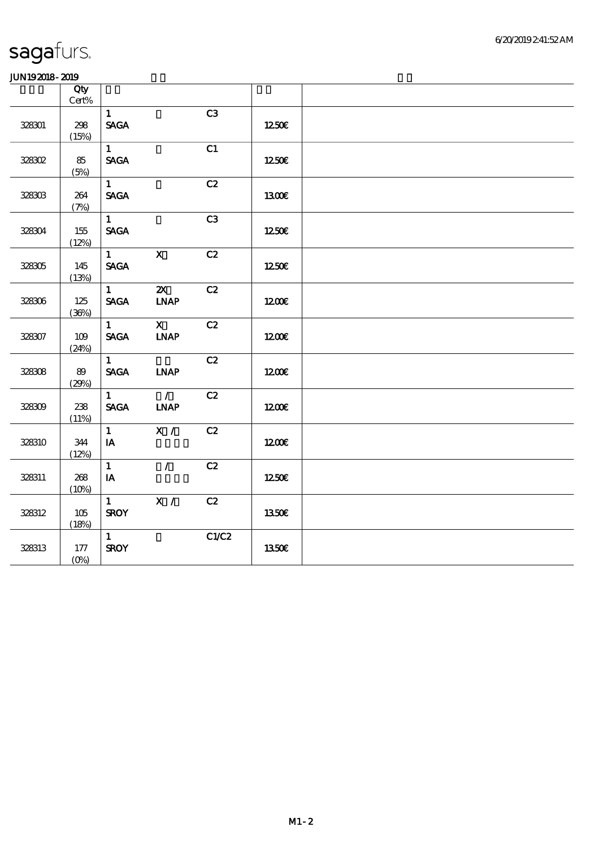|        | Qty<br>Cert% |                   |                              |       |              |  |
|--------|--------------|-------------------|------------------------------|-------|--------------|--|
|        |              | $\mathbf{1}$      |                              | C3    |              |  |
| 328301 | 298          | <b>SAGA</b>       |                              |       | 1250€        |  |
|        | (15%)        |                   |                              |       |              |  |
|        |              | $1 -$             |                              | C1    |              |  |
| 328302 | 85           | <b>SAGA</b>       |                              |       | 1250€        |  |
|        | (5%)         |                   |                              |       |              |  |
|        |              | $\mathbf{1}$      |                              | C2    |              |  |
| 328303 | 264          | <b>SAGA</b>       |                              |       | 1300E        |  |
|        | (7%)         |                   |                              |       |              |  |
|        |              | $\mathbf{1}$      |                              | C3    |              |  |
| 328304 | 155          | <b>SAGA</b>       |                              |       | 1250         |  |
|        | (12%)        |                   |                              |       |              |  |
|        |              | $1 \qquad \qquad$ | $\mathbf{X}$                 | C2    |              |  |
| 328305 | 145          | <b>SAGA</b>       |                              |       | 1250E        |  |
|        | (13%)        |                   |                              |       |              |  |
|        |              | $\mathbf{1}$      | $\boldsymbol{\alpha}$        | C2    |              |  |
| 328306 | 125          | <b>SAGA</b>       | $\ensuremath{\mathbf{INAP}}$ |       | 1200         |  |
|        | (36%)        |                   |                              |       |              |  |
|        |              | $\mathbf{1}$      | $\overline{\mathbf{X}}$      | C2    |              |  |
| 328307 | 109          | <b>SAGA</b>       | <b>INAP</b>                  |       | 1200E        |  |
|        | (24%)        |                   |                              |       |              |  |
|        |              | $\mathbf{1}$      |                              | C2    |              |  |
| 328308 | 89           | <b>SAGA</b>       | <b>INAP</b>                  |       | 1200E        |  |
|        | (29%)        | $\mathbf{1}$      | $\mathcal{L}$                |       |              |  |
|        |              |                   |                              | C2    |              |  |
| 328309 | 238          | <b>SAGA</b>       | <b>LNAP</b>                  |       | 1200E        |  |
|        | (11%)        | $\mathbf{1}$      | X /                          | C2    |              |  |
| 328310 | 344          | IA                |                              |       | 1200         |  |
|        | (12%)        |                   |                              |       |              |  |
|        |              | $\mathbf{1}$      | $\mathcal{L}$                | C2    |              |  |
| 328311 | 268          | $I$ A             |                              |       | 1250€        |  |
|        | (10%)        |                   |                              |       |              |  |
|        |              | $\mathbf{1}$      | X /                          | C2    |              |  |
| 328312 | 105          | <b>SROY</b>       |                              |       | 1350€        |  |
|        | (18%)        |                   |                              |       |              |  |
|        |              | $\mathbf{1}$      |                              | C1/C2 |              |  |
| 328313 | 177          | <b>SROY</b>       |                              |       | <b>1350€</b> |  |
|        | $(O\% )$     |                   |                              |       |              |  |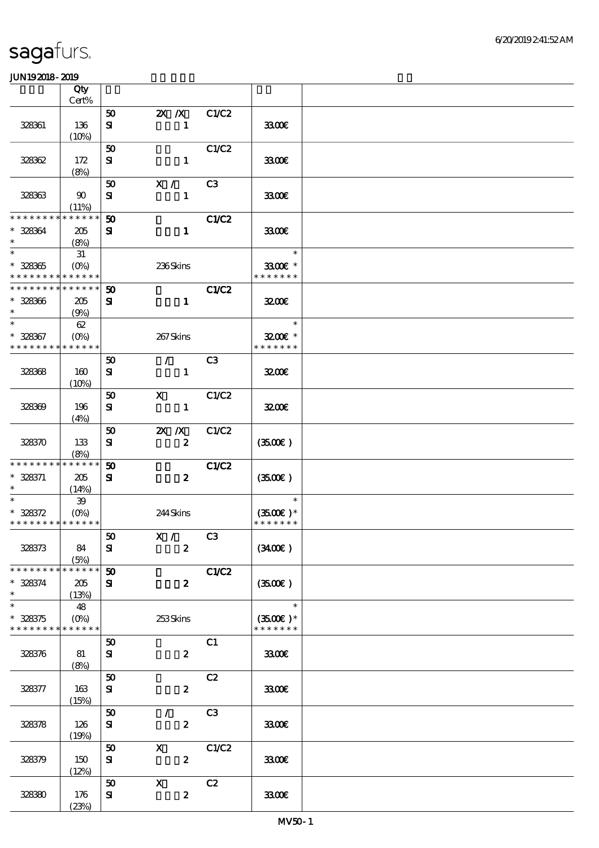|                                           | Qty                    |                             |                                     |                |                                      |  |
|-------------------------------------------|------------------------|-----------------------------|-------------------------------------|----------------|--------------------------------------|--|
|                                           | Cert%                  |                             |                                     |                |                                      |  |
| 328361                                    | 136                    | 50<br>${\bf s}$             | $2X$ $\overline{X}$<br>$\mathbf{1}$ | C1/C2          | 3300E                                |  |
|                                           | (10%)                  |                             |                                     |                |                                      |  |
|                                           |                        | 50                          |                                     | C1/C2          |                                      |  |
| 328362                                    | 172<br>(8%)            | ${\bf s}$                   | $\mathbf{1}$                        |                | 3300                                 |  |
|                                           |                        | 50                          | X /                                 | C <sub>3</sub> |                                      |  |
| 328363                                    | 90<br>(11%)            | ${\bf s}$                   | $\mathbf{1}$                        |                | 3300E                                |  |
| * * * * * * * *                           | * * * * * *            | 50                          |                                     | C1/C2          |                                      |  |
| $* 328364$<br>$\ast$                      | 205<br>(8%)            | ${\bf s}$                   | $\mathbf{1}$                        |                | 3300€                                |  |
| $\overline{\ast}$                         | 31                     |                             |                                     |                | $\ast$                               |  |
| $* 328365$<br>* * * * * * * * * * * * * * | $(0\%)$                |                             | 236Skins                            |                | 3300€ *                              |  |
|                                           |                        |                             |                                     |                | * * * * * * *                        |  |
| * * * * * * * *                           | * * * * * *            | 50                          |                                     | C1/C2          |                                      |  |
| $* 328366$<br>$\ast$                      | 205<br>(9%)            | ${\bf s}$                   | $\mathbf{1}$                        |                | 3200                                 |  |
| $\ast$                                    | 62                     |                             |                                     |                | $\mathcal{L}(\mathcal{L})$<br>$\ast$ |  |
| $* 328367$<br>* * * * * * * *             | $(O\%)$<br>* * * * * * |                             | 267Skins                            |                | 3200E *<br>* * * * * * *             |  |
|                                           |                        | 50                          | $\mathcal{L}$                       | C <sub>3</sub> |                                      |  |
| 328368                                    | 160                    | ${\bf s}$                   | $\mathbf{1}$                        |                | 3200E                                |  |
|                                           | (10%)                  |                             |                                     |                |                                      |  |
|                                           |                        | 50                          | $\mathbf{X}$                        | C1/C2          |                                      |  |
| 328369                                    | 196                    | ${\bf s}$                   | $\mathbf{1}$                        |                | 3200                                 |  |
|                                           | (4%)                   |                             |                                     |                |                                      |  |
|                                           |                        | 50                          | $X \, X$                            | C1/C2          |                                      |  |
| 328370                                    | 133                    | ${\bf s}$                   | $\boldsymbol{z}$                    |                | (3500)                               |  |
|                                           | (8%)                   |                             |                                     |                |                                      |  |
| * * * * * * * *                           | * * * * * *            | $\boldsymbol{\mathfrak{D}}$ |                                     | C1/C2          |                                      |  |
| $* 328371$                                |                        |                             | $\boldsymbol{z}$                    |                |                                      |  |
| $\ast$                                    | 205                    | ${\bf s}$                   |                                     |                | (350)                                |  |
| $\ast$                                    | (14%)<br>$39\,$        |                             |                                     |                | $\ast$                               |  |
| $* 328372$                                | $(O\% )$               |                             | 244Skins                            |                | $(3500)$ *                           |  |
| * * * * * * * * * * * * * *               |                        |                             |                                     |                | * * * * * * *                        |  |
|                                           |                        | $\boldsymbol{\mathfrak{D}}$ |                                     |                |                                      |  |
| 328373                                    | 84                     |                             | X / C3                              |                |                                      |  |
|                                           | (5%)                   | ${\bf s}$                   | $\boldsymbol{z}$                    |                | (340)                                |  |
| * * * * * * * *                           | * * * * * *            | $\boldsymbol{\mathfrak{D}}$ |                                     | C1/C2          |                                      |  |
| $* 328374$                                | 205                    | ${\bf s}$                   | $\boldsymbol{z}$                    |                | (3500)                               |  |
| $\ast$                                    | (13%)                  |                             |                                     |                |                                      |  |
| $\ast$                                    | 48                     |                             |                                     |                | $\ast$                               |  |
| $* 328375$                                | $(O\%)$                |                             | 253Skins                            |                | $(3500)$ *                           |  |
| * * * * * * * * * * * * * *               |                        |                             |                                     |                | * * * * * * *                        |  |
|                                           |                        | 50                          |                                     | C1             |                                      |  |
|                                           |                        |                             | $\boldsymbol{z}$                    |                | 3300€                                |  |
| 328376                                    | 81                     | ${\bf s}$                   |                                     |                |                                      |  |
|                                           | (8%)                   | 50                          |                                     | C2             |                                      |  |
|                                           |                        |                             |                                     |                |                                      |  |
| 328377                                    | 163                    | ${\bf s}$                   | $\boldsymbol{z}$                    |                | 3300€                                |  |
|                                           | (15%)                  |                             | $\mathcal{L}$                       | C3             |                                      |  |
|                                           |                        | 50                          |                                     |                |                                      |  |
| 328378                                    | 126                    | ${\bf s}$                   | $\boldsymbol{z}$                    |                | 3300                                 |  |
|                                           | (19%)                  |                             |                                     |                |                                      |  |
|                                           |                        | 50                          | $\boldsymbol{\mathsf{X}}$           | C1/C2          |                                      |  |
| 328379                                    | 150                    | ${\bf s}$                   | $\boldsymbol{z}$                    |                | 3300E                                |  |
|                                           | (12%)                  |                             |                                     |                |                                      |  |
|                                           |                        | 50                          | $\boldsymbol{\mathrm{X}}$           | C2             |                                      |  |
| 328390                                    | 176                    | ${\bf s}$                   | $\boldsymbol{z}$                    |                | 3300€                                |  |
|                                           | (23%)                  |                             |                                     |                |                                      |  |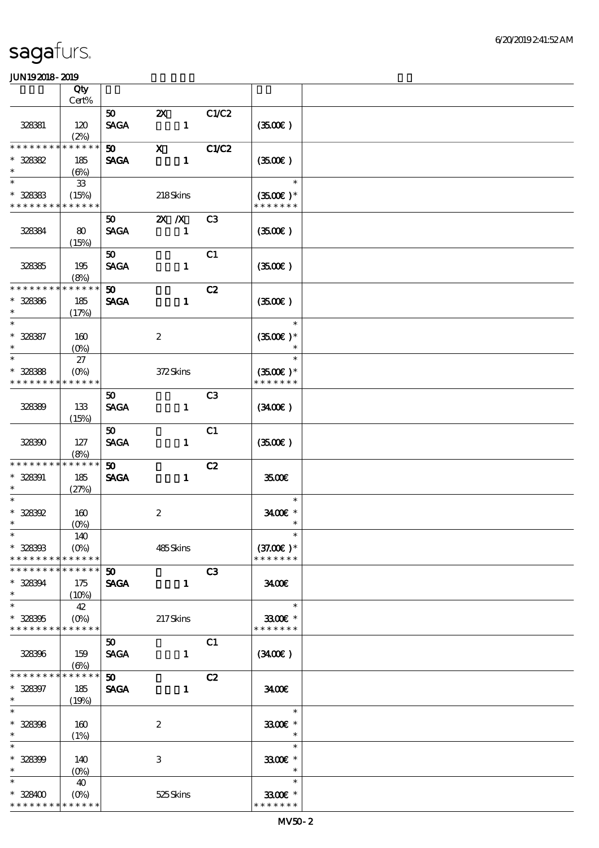|                                          | Qty                |                                            |                                           |                |                             |  |
|------------------------------------------|--------------------|--------------------------------------------|-------------------------------------------|----------------|-----------------------------|--|
|                                          | Cert%              |                                            |                                           |                |                             |  |
| 328381                                   | 120                | 50 <sub>1</sub><br><b>SAGA</b>             | $\boldsymbol{\mathsf{Z}}$<br>$\mathbf{1}$ | C1/C2          | (350)                       |  |
| * * * * * * * * * * * * * *              | (2%)               | 50 <sub>1</sub>                            | $\mathbf x$                               | <b>C1/C2</b>   |                             |  |
| $* 328382$                               | 185                | <b>SAGA</b>                                | $\mathbf{1}$                              |                | (350)                       |  |
| $\ast$                                   | (6%)               |                                            |                                           |                |                             |  |
| $\ast$                                   | ${\bf 33}$         |                                            |                                           |                | $\ast$                      |  |
| $* 328383$                               | (15%)              |                                            | 218Skins                                  |                | $(3500)$ *                  |  |
| * * * * * * * * <mark>* * * * * *</mark> |                    |                                            |                                           |                | * * * * * * *               |  |
|                                          |                    | 50                                         | $X \, X$                                  | C3             |                             |  |
| 328384                                   | 80<br>(15%)        | <b>SAGA</b>                                | $\mathbf{1}$                              |                | (3500)                      |  |
|                                          |                    | 50 <sub>o</sub>                            |                                           | C1             |                             |  |
| 32835                                    | 195                | <b>SAGA</b>                                | $\mathbf{1}$                              |                | (350)                       |  |
|                                          | (8%)               |                                            |                                           |                |                             |  |
| * * * * * * * *                          | * * * * * *        | $\boldsymbol{\mathfrak{w}}$                |                                           | C2             |                             |  |
| $* 32836$                                | 185                | <b>SAGA</b>                                | $\mathbf{1}$                              |                | (350)                       |  |
| $\ast$                                   | (17%)              |                                            |                                           |                |                             |  |
| $\ast$                                   |                    |                                            |                                           |                | $\ast$                      |  |
| $* 328387$<br>$\ast$                     | 160                |                                            | $\boldsymbol{2}$                          |                | $(3500\text{E})*$<br>$\ast$ |  |
| $\ast$                                   | $(O\%)$<br>27      |                                            |                                           |                | $\ast$                      |  |
| $* 328388$                               | $(O\%)$            |                                            | 372Skins                                  |                | $(3500\text{E})*$           |  |
| * * * * * * * *                          | * * * * * *        |                                            |                                           |                | * * * * * * *               |  |
|                                          |                    | $50^{\circ}$                               |                                           | C <sub>3</sub> |                             |  |
| 328399                                   | 133                | <b>SAGA</b>                                | $\mathbf{1}$                              |                | $(3400\varepsilon)$         |  |
|                                          | (15%)              |                                            |                                           |                |                             |  |
|                                          |                    | 50 <sub>o</sub>                            |                                           | C1             |                             |  |
| 328300                                   | 127                | <b>SAGA</b>                                | $\mathbf{1}$                              |                | (350)                       |  |
|                                          | (8%)               |                                            |                                           |                |                             |  |
| * * * * * * * *                          | * * * * * *        | 50 <sub>o</sub>                            |                                           | C2             |                             |  |
| $* 328391$                               | 185                | <b>SAGA</b>                                | $\mathbf{1}$                              |                | 3500€                       |  |
| $\ast$<br>$\ast$                         | (27%)              |                                            |                                           |                |                             |  |
|                                          |                    |                                            |                                           |                | $\ast$                      |  |
| $* 328392$<br>$\ast$                     | 160                |                                            | $\boldsymbol{2}$                          |                | $3400$ $*$<br>$\ast$        |  |
| $\ast$                                   | $(O\%)$<br>140     |                                            |                                           |                | $\ast$                      |  |
| $* 328303$                               | $(O\%)$            |                                            | 485Skins                                  |                | $(37.00)$ *                 |  |
| * * * * * * * * * * * * * *              |                    |                                            |                                           |                | * * * * * * *               |  |
| * * * * * * * * * * * * * *              |                    | 50                                         |                                           | C3             |                             |  |
| $* 328394$                               | 175                | <b>SAGA</b>                                | $\mathbf{1}$                              |                | 3400                        |  |
| $\ast$                                   | $(10\%)$           |                                            |                                           |                |                             |  |
| $\ast$                                   | 42                 |                                            |                                           |                | $\ast$                      |  |
| $* 328305$                               | $(O\%)$            |                                            | 217Skins                                  |                | 3300€ *                     |  |
| * * * * * * * * * * * * * *              |                    |                                            |                                           |                | * * * * * * *               |  |
|                                          |                    | $50^{\circ}$                               |                                           | C1             |                             |  |
| 328396                                   | 159                | <b>SAGA</b>                                | $\mathbf{1}$                              |                | (340)                       |  |
| * * * * * * * * * * * * * *              | (6%)               |                                            |                                           |                |                             |  |
| $* 328397$                               | 185                | $\boldsymbol{\mathfrak{D}}$<br><b>SAGA</b> | $\mathbf{1}$                              | C2             | 3400                        |  |
| $\ast$                                   | (19%)              |                                            |                                           |                |                             |  |
| $\ast$                                   |                    |                                            |                                           |                | $\ast$                      |  |
| $* 328398$                               | 160                |                                            | $\boldsymbol{2}$                          |                | 3300€ *                     |  |
| $\ast$                                   | (1%)               |                                            |                                           |                | $\ast$                      |  |
| $\ast$                                   |                    |                                            |                                           |                | $\ast$                      |  |
| $* 328399$                               | 140                |                                            | $\ensuremath{\mathbf{3}}$                 |                | 3300€ *                     |  |
| $\ast$                                   | $(O\%)$            |                                            |                                           |                | $\ast$                      |  |
| $\ast$                                   | 40                 |                                            |                                           |                | $\ast$                      |  |
| $*328400$                                | $(O\!/\!\!\delta)$ |                                            | 525Skins                                  |                | 3300€ *                     |  |
| * * * * * * * * <mark>* * * * * *</mark> |                    |                                            |                                           |                | * * * * * * *               |  |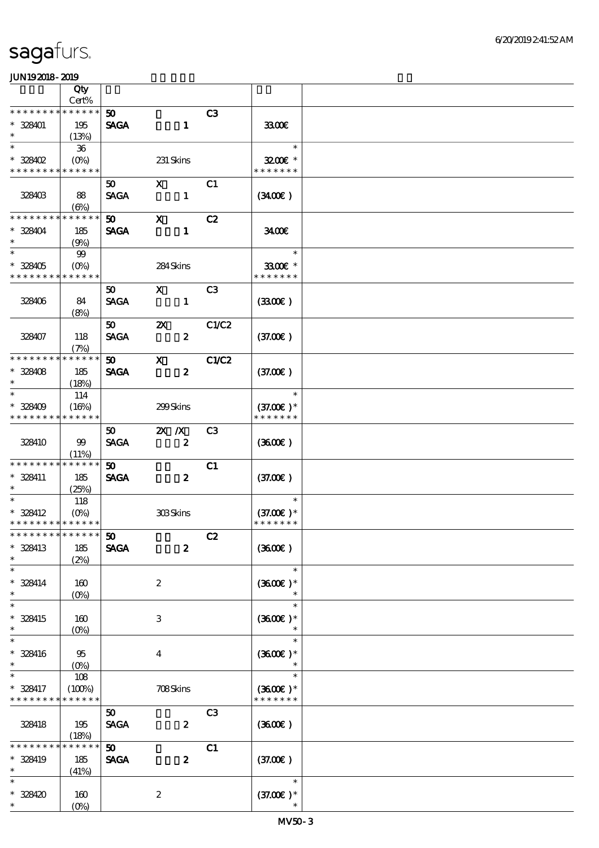|                               | Qty                    |                             |                           |                |                          |  |
|-------------------------------|------------------------|-----------------------------|---------------------------|----------------|--------------------------|--|
|                               | Cert%                  |                             |                           |                |                          |  |
| * * * * * * * *               | * * * * * *            | 50 <sub>o</sub>             |                           | C3             |                          |  |
| $* 328401$                    | 195                    | <b>SAGA</b>                 | $\mathbf{1}$              |                | 3300E                    |  |
| $\ast$                        | (13%)                  |                             |                           |                |                          |  |
| $\ast$                        | 36                     |                             |                           |                | $\ast$                   |  |
| $*328402$                     | $(O\%)$                |                             | 231 Skins                 |                | $3200$ $\epsilon$ *      |  |
| * * * * * * * *               | * * * * * *            |                             |                           |                | * * * * * * *            |  |
|                               |                        | 50                          | $\mathbf{x}$              | C1             |                          |  |
| 328403                        | 88                     | <b>SAGA</b>                 | $\mathbf{1}$              |                | (3400)                   |  |
|                               | $(\Theta)$             |                             |                           |                |                          |  |
| * * * * * * * *               | * * * * * *            | 50                          | $\mathbf{x}$              | C2             |                          |  |
| $* 328404$                    | 185                    | <b>SAGA</b>                 | $\mathbf{1}$              |                | 3400                     |  |
| $\ast$                        | (9%)                   |                             |                           |                |                          |  |
| $\ast$                        | 99                     |                             |                           |                | $\ast$                   |  |
|                               |                        |                             |                           |                |                          |  |
| $* 328405$<br>* * * * * * * * | $(O\%)$<br>* * * * * * |                             | 284Skins                  |                | 3300€ *<br>* * * * * * * |  |
|                               |                        |                             |                           |                |                          |  |
|                               |                        | 50                          | $\mathbf{x}$              | C <sub>3</sub> |                          |  |
| 328406                        | 84                     | <b>SAGA</b>                 | $\mathbf{1}$              |                | (330)                    |  |
|                               | (8%)                   |                             |                           |                |                          |  |
|                               |                        | 50                          | $\boldsymbol{\mathsf{z}}$ | C1/C2          |                          |  |
| 328407                        | 118                    | <b>SAGA</b>                 | $\boldsymbol{z}$          |                | (37.00)                  |  |
|                               | (7%)                   |                             |                           |                |                          |  |
| * * * * * * * *               | * * * * * *            | 50                          | $\mathbf{x}$              | <b>C1/C2</b>   |                          |  |
| $* 328408$                    | 185                    | <b>SAGA</b>                 | $\boldsymbol{z}$          |                | (37.00)                  |  |
| $\ast$                        | (18%)                  |                             |                           |                |                          |  |
| $\ast$                        | 114                    |                             |                           |                | $\ast$                   |  |
| $* 328409$                    | (16%)                  |                             | 299Skins                  |                | $(37.00)$ *              |  |
| * * * * * * * * * * * * * *   |                        |                             |                           |                | * * * * * * *            |  |
|                               |                        | $50^{\circ}$                | $X \, X$                  | C <sub>3</sub> |                          |  |
| 328410                        | 99                     | <b>SAGA</b>                 | $\boldsymbol{z}$          |                | (360)                    |  |
|                               | (11%)                  |                             |                           |                |                          |  |
| * * * * * * * *               | * * * * * *            |                             |                           |                |                          |  |
|                               |                        | $\boldsymbol{\mathfrak{D}}$ |                           | C1             |                          |  |
| * 328411<br>$\ast$            | 185                    | <b>SAGA</b>                 | $\boldsymbol{z}$          |                | (37.00)                  |  |
| $\ast$                        | (25%)                  |                             |                           |                | $\ast$                   |  |
|                               | 118                    |                             |                           |                |                          |  |
| * 328412                      | $(O\% )$               |                             | 308Skins                  |                | $(37.00)$ *              |  |
| * * * * * * * * * * * * * *   |                        |                             |                           |                | * * * * * * *            |  |
| ******** <mark>******</mark>  |                        | $\boldsymbol{\mathfrak{D}}$ |                           | C2             |                          |  |
| * 328413                      | 185                    | <b>SAGA</b>                 | $\boldsymbol{z}$          |                | (360)                    |  |
| $\ast$                        | (2%)                   |                             |                           |                |                          |  |
| $\ast$                        |                        |                             |                           |                | $\ast$                   |  |
| $* 328414$                    | 160                    |                             | $\boldsymbol{2}$          |                | $(3600)$ *               |  |
| $\ast$                        | (0%)                   |                             |                           |                | $\ast$                   |  |
| $\ast$                        |                        |                             |                           |                | $\ast$                   |  |
| * 328415                      | 160                    |                             | 3                         |                | $(3600)$ *               |  |
| $\ast$                        | (0%)                   |                             |                           |                |                          |  |
| $\ast$                        |                        |                             |                           |                | $\ast$                   |  |
| $* 328416$                    | 95                     |                             | $\overline{\mathbf{4}}$   |                | $(3600)$ *               |  |
| $\ast$                        | $(0\%)$                |                             |                           |                |                          |  |
| $\ast$                        | 108                    |                             |                           |                | $\ast$                   |  |
| * 328417                      | (100%)                 |                             | 708Skins                  |                | $(3600)$ *               |  |
| * * * * * * * *               | * * * * * *            |                             |                           |                | * * * * * * *            |  |
|                               |                        | 50                          |                           | C <sub>3</sub> |                          |  |
|                               |                        |                             |                           |                |                          |  |
| 328418                        | 195                    | <b>SAGA</b>                 | $\boldsymbol{z}$          |                | (360)                    |  |
| * * * * * * *                 | (18%)<br>* * * * * *   |                             |                           |                |                          |  |
|                               |                        | 50                          |                           | C1             |                          |  |
| * 328419                      | 185                    | <b>SAGA</b>                 | $\boldsymbol{z}$          |                | (37.00)                  |  |
| $\ast$                        | (41%)                  |                             |                           |                |                          |  |
| $\ast$                        |                        |                             |                           |                | $\ast$                   |  |
| $* 328420$                    | 160                    |                             | $\boldsymbol{2}$          |                | $(37.00)$ *              |  |
| $\ast$                        | $(O\%)$                |                             |                           |                |                          |  |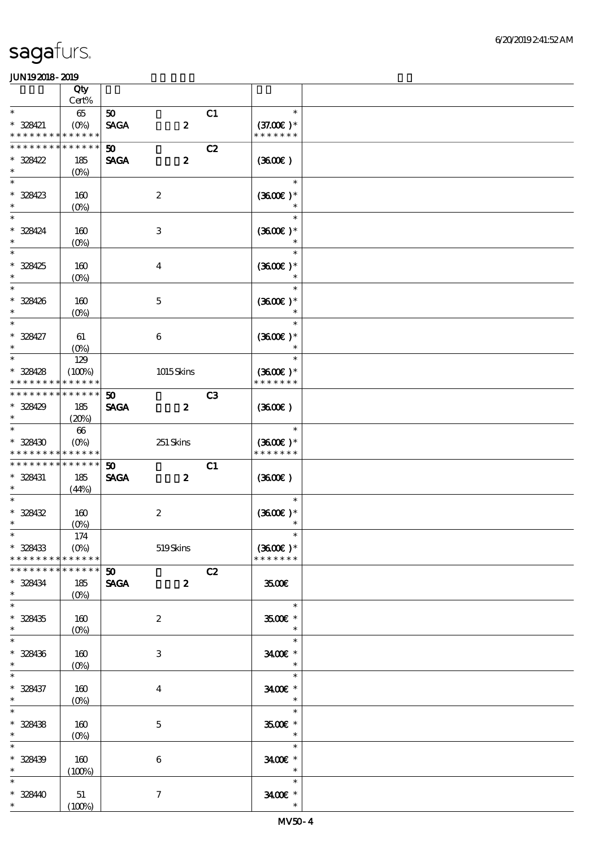|                                           | Qty               |                             |                  |    |                             |  |
|-------------------------------------------|-------------------|-----------------------------|------------------|----|-----------------------------|--|
| $\ast$                                    | Cert%             |                             |                  |    | $\ast$                      |  |
| $* 328421$                                | $65\,$<br>$(O\%)$ | 50<br><b>SAGA</b>           | $\boldsymbol{z}$ | C1 | $(37.00)$ *                 |  |
| * * * * * * * * <mark>* * * * * *</mark>  |                   |                             |                  |    | * * * * * * *               |  |
| * * * * * * *                             | * * * * * *       | 50                          |                  | C2 |                             |  |
| $* 328422$                                | 185               | <b>SAGA</b>                 | $\boldsymbol{z}$ |    | (360)                       |  |
| $\ast$                                    | $(0\%)$           |                             |                  |    |                             |  |
| $\ast$                                    |                   |                             |                  |    | $\ast$                      |  |
| $* 328423$<br>$\ast$                      | 160<br>$(0\%)$    |                             | $\boldsymbol{2}$ |    | $(3600)$ *                  |  |
| $\overline{\ast}$                         |                   |                             |                  |    | $\ast$                      |  |
| * 328424                                  | 160               |                             | $\,3$            |    | $(3600)$ *                  |  |
| $\ast$                                    | $(O\!/\!o)$       |                             |                  |    |                             |  |
| $\ast$                                    |                   |                             |                  |    | $\ast$                      |  |
| $* 328425$<br>$\ast$                      | 160               |                             | $\boldsymbol{4}$ |    | $(3600)$ *                  |  |
| $\overline{\ast}$                         | $(0\%)$           |                             |                  |    |                             |  |
| * 328426                                  | 160               |                             | $\mathbf 5$      |    | $(3600)$ *                  |  |
| $\ast$                                    | $(O\!/\!o)$       |                             |                  |    | $\ast$                      |  |
| $\overline{\ast}$                         |                   |                             |                  |    | $\ast$                      |  |
| $* 328427$                                | 61                |                             | $\,6\,$          |    | $(3600)$ *                  |  |
| $\ast$<br>$\ast$                          | $(O\%)$           |                             |                  |    | $\ast$<br>$\ast$            |  |
| $* 328428$                                | 129<br>(100%)     |                             | 1015Skins        |    | $(3600)$ *                  |  |
| * * * * * * * *                           | * * * * * *       |                             |                  |    | * * * * * * *               |  |
| * * * * * * * * * * * * * *               |                   | 50                          |                  | C3 |                             |  |
| * 328429                                  | 185               | <b>SAGA</b>                 | $\boldsymbol{z}$ |    | (360)                       |  |
| $\ast$                                    | (20%)             |                             |                  |    |                             |  |
| $\ast$                                    | $66\,$            |                             |                  |    | $\ast$                      |  |
| $* 328430$<br>* * * * * * * * * * * * * * | $(O\%)$           |                             | $251$ Skins      |    | $(3600)$ *<br>* * * * * * * |  |
| * * * * * * * *                           | * * * * * *       | $\boldsymbol{\mathfrak{D}}$ |                  | C1 |                             |  |
| * 328431                                  | 185               | <b>SAGA</b>                 | $\boldsymbol{z}$ |    | (360)                       |  |
| $\ast$                                    | (44%)             |                             |                  |    |                             |  |
| $\ast$                                    |                   |                             |                  |    | $\ast$                      |  |
| $* 328432$<br>$\ast$                      | 160<br>$(0\%)$    |                             | $\boldsymbol{2}$ |    | $(3600)$ *                  |  |
| $*$                                       | $174$             |                             |                  |    | $\ast$                      |  |
| $* 328433$                                | $(O\%)$           |                             | $519S$ kins      |    | $(3600)$ *                  |  |
| * * * * * * * *                           | * * * * * *       |                             |                  |    | * * * * * * *               |  |
| * * * * * * * *                           | * * * * * *       | 50 <sub>2</sub>             |                  | C2 |                             |  |
| $* 328434$<br>$\ast$                      | 185               | <b>SAGA</b>                 | $\boldsymbol{z}$ |    | 3500                        |  |
| $\overline{\phantom{0}}$                  | $(0\%)$           |                             |                  |    | $\ast$                      |  |
| $* 328435$                                | 160               |                             | $\boldsymbol{2}$ |    | 3500€ *                     |  |
| $\ast$                                    | $(0\%)$           |                             |                  |    | $\ast$                      |  |
| $\overline{\ast}$                         |                   |                             |                  |    | $\ast$                      |  |
| $* 328436$<br>$\ast$                      | 160               |                             | $\,3$            |    | 3400€ *<br>$\ast$           |  |
| $\ast$                                    | $(0\%)$           |                             |                  |    | $\ast$                      |  |
| * 328437                                  | 160               |                             | $\bf{4}$         |    | 3400€ *                     |  |
| $\ast$                                    | $(O\%)$           |                             |                  |    | $\ast$                      |  |
| $\overline{\phantom{0}}$                  |                   |                             |                  |    | $\ast$                      |  |
| $* 328438$                                | 160               |                             | $\mathbf 5$      |    | 3500€ *                     |  |
| $\ast$<br>$\overline{\ast}$               | $(O_0)$           |                             |                  |    | $\ast$<br>$\ast$            |  |
| $* 328439$                                | 160               |                             | $\,6\,$          |    | 3400€ *                     |  |
| $\ast$                                    | (100%)            |                             |                  |    | $\ast$                      |  |
| $\ast$                                    |                   |                             |                  |    | $\ast$                      |  |
| $* 32840$                                 | 51                |                             | $\boldsymbol{7}$ |    | 3400€ *                     |  |
| $\ast$                                    | (100%)            |                             |                  |    | $\ast$                      |  |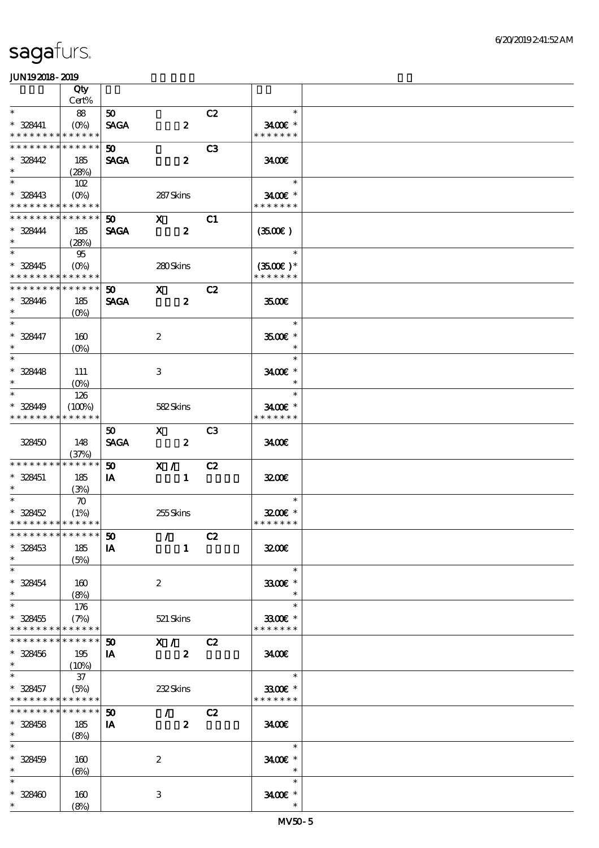|                             | Qty                |              |                                                                                                                                                                                                                                                                                                                                 |                |                          |  |
|-----------------------------|--------------------|--------------|---------------------------------------------------------------------------------------------------------------------------------------------------------------------------------------------------------------------------------------------------------------------------------------------------------------------------------|----------------|--------------------------|--|
|                             | Cert%              |              |                                                                                                                                                                                                                                                                                                                                 |                |                          |  |
| $\ast$                      | - 88               | $50-$        |                                                                                                                                                                                                                                                                                                                                 | C2             | $\ast$                   |  |
| $* 328411$                  | $(O\% )$           | <b>SAGA</b>  | $\boldsymbol{z}$                                                                                                                                                                                                                                                                                                                |                | 3400€ *                  |  |
| * * * * * * * *             | * * * * * *        |              |                                                                                                                                                                                                                                                                                                                                 |                | * * * * * * *            |  |
| * * * * * * * *             | * * * * * *        | $50-$        |                                                                                                                                                                                                                                                                                                                                 | C3             |                          |  |
| $* 328442$                  | 185                | <b>SAGA</b>  | $\boldsymbol{z}$                                                                                                                                                                                                                                                                                                                |                | 3400€                    |  |
| $\ast$                      | (28%)              |              |                                                                                                                                                                                                                                                                                                                                 |                |                          |  |
| $\overline{\phantom{1}}$    | 102                |              |                                                                                                                                                                                                                                                                                                                                 |                | $\ast$                   |  |
| $* 328443$                  |                    |              | 287Skins                                                                                                                                                                                                                                                                                                                        |                | 3400€ *                  |  |
| * * * * * * * * * * * * * * |                    |              |                                                                                                                                                                                                                                                                                                                                 |                | * * * * * * *            |  |
| * * * * * * * *             | * * * * * *        |              | $\mathbf x$ and $\mathbf x$ and $\mathbf x$ and $\mathbf x$ and $\mathbf x$ and $\mathbf x$ and $\mathbf x$ and $\mathbf x$ and $\mathbf x$ and $\mathbf x$ and $\mathbf x$ and $\mathbf x$ and $\mathbf x$ and $\mathbf x$ and $\mathbf x$ and $\mathbf x$ and $\mathbf x$ and $\mathbf x$ and $\mathbf x$ and $\mathbf x$ and |                |                          |  |
|                             |                    | 50           |                                                                                                                                                                                                                                                                                                                                 | C1             |                          |  |
| $* 328444$<br>$\ast$        | 185                | <b>SAGA</b>  | $\overline{\mathbf{z}}$                                                                                                                                                                                                                                                                                                         |                | (3500)                   |  |
| $\ast$                      | (28%)              |              |                                                                                                                                                                                                                                                                                                                                 |                |                          |  |
|                             | 95                 |              |                                                                                                                                                                                                                                                                                                                                 |                | $\ast$                   |  |
| * 328445                    | $(O\%)$            |              | 280Skins                                                                                                                                                                                                                                                                                                                        |                | $(3500\text{E})*$        |  |
| * * * * * * * * * * * * * * |                    |              |                                                                                                                                                                                                                                                                                                                                 |                | * * * * * * *            |  |
| * * * * * * * *             | * * * * * *        | 50           | $\mathbf{x}$                                                                                                                                                                                                                                                                                                                    | C2             |                          |  |
| * 328446                    | 185                | <b>SAGA</b>  | $\boldsymbol{z}$                                                                                                                                                                                                                                                                                                                |                | 3500E                    |  |
| $\ast$                      | $(O\%)$            |              |                                                                                                                                                                                                                                                                                                                                 |                |                          |  |
| $\overline{\ast}$           |                    |              |                                                                                                                                                                                                                                                                                                                                 |                | $\ast$                   |  |
| $* 328447$                  | 160                |              | $\boldsymbol{2}$                                                                                                                                                                                                                                                                                                                |                | 3500€ *                  |  |
| $\ast$                      | $(O\%)$            |              |                                                                                                                                                                                                                                                                                                                                 |                | $\ast$                   |  |
| $\ast$                      |                    |              |                                                                                                                                                                                                                                                                                                                                 |                | $\ast$                   |  |
| $* 328448$                  | 111                |              | 3                                                                                                                                                                                                                                                                                                                               |                | $3400$ $\varepsilon$ *   |  |
| $\ast$                      | $(O\!/\!\!\delta)$ |              |                                                                                                                                                                                                                                                                                                                                 |                | $\ast$                   |  |
| $\ast$                      | 126                |              |                                                                                                                                                                                                                                                                                                                                 |                | $\ast$                   |  |
| * 328449                    | (100%)             |              | 582Skins                                                                                                                                                                                                                                                                                                                        |                | 3400€ *                  |  |
| * * * * * * * *             | * * * * * *        |              |                                                                                                                                                                                                                                                                                                                                 |                | * * * * * * *            |  |
|                             |                    | $50^{\circ}$ | $\mathbf{X}$                                                                                                                                                                                                                                                                                                                    | C <sub>3</sub> |                          |  |
| 328450                      | 148                | <b>SAGA</b>  | $\overline{\mathbf{z}}$                                                                                                                                                                                                                                                                                                         |                | 3400                     |  |
|                             | (37%)              |              |                                                                                                                                                                                                                                                                                                                                 |                |                          |  |
| * * * * * * * *             | * * * * * *        | 50           | X /                                                                                                                                                                                                                                                                                                                             | C2             |                          |  |
| $* 328451$                  | 185                | IA           | $\blacksquare$                                                                                                                                                                                                                                                                                                                  |                | 3200E                    |  |
| $\ast$                      | (3%)               |              |                                                                                                                                                                                                                                                                                                                                 |                |                          |  |
| $\ast$                      | $\infty$           |              |                                                                                                                                                                                                                                                                                                                                 |                | $\ast$                   |  |
| $* 328452$                  | (1%)               |              | 255Skins                                                                                                                                                                                                                                                                                                                        |                | $3200$ $*$               |  |
| * * * * * * * * * * * * * * |                    |              |                                                                                                                                                                                                                                                                                                                                 |                | * * * * * * *            |  |
| *************** 50          |                    |              | $\sqrt{C^2}$                                                                                                                                                                                                                                                                                                                    |                |                          |  |
|                             |                    |              |                                                                                                                                                                                                                                                                                                                                 |                |                          |  |
| $* 328453$                  | 185                | <b>IA</b>    | $\mathbf{1}$                                                                                                                                                                                                                                                                                                                    |                | 3200E                    |  |
| $\ast$<br>$\ast$            | (5%)               |              |                                                                                                                                                                                                                                                                                                                                 |                | $\ast$                   |  |
|                             |                    |              |                                                                                                                                                                                                                                                                                                                                 |                |                          |  |
| $* 328454$                  | 160                |              | $\boldsymbol{2}$                                                                                                                                                                                                                                                                                                                |                | 3300E *                  |  |
| $\ast$<br>$\ast$            | (8%)               |              |                                                                                                                                                                                                                                                                                                                                 |                | $\ast$                   |  |
|                             | 176                |              |                                                                                                                                                                                                                                                                                                                                 |                | $\ast$                   |  |
| $* 328455$                  | (7%)               |              | 521 Skins                                                                                                                                                                                                                                                                                                                       |                | 3300€ *                  |  |
| * * * * * * * *             | * * * * * *        |              |                                                                                                                                                                                                                                                                                                                                 |                | * * * * * * *            |  |
| * * * * * * * *             | $* * * * * * *$    | 50           | X / C2                                                                                                                                                                                                                                                                                                                          |                |                          |  |
| $* 328456$                  | 195                | IA           | $\mathbf{2}$                                                                                                                                                                                                                                                                                                                    |                | 3400                     |  |
| $\ast$                      | (10%)              |              |                                                                                                                                                                                                                                                                                                                                 |                |                          |  |
| $\ast$                      | 37                 |              |                                                                                                                                                                                                                                                                                                                                 |                | $\overline{\phantom{a}}$ |  |
| $* 328457$                  | (5%)               |              | 232Skins                                                                                                                                                                                                                                                                                                                        |                | 3300€ *                  |  |
| * * * * * * * * * * * * * * |                    |              |                                                                                                                                                                                                                                                                                                                                 |                | * * * * * * *            |  |
| ********                    | $* * * * * * *$    | 50           | $\mathcal{L}$                                                                                                                                                                                                                                                                                                                   | C2             |                          |  |
| $* 328458$                  | 185                | IA           | $\boldsymbol{z}$                                                                                                                                                                                                                                                                                                                |                | 3400                     |  |
| $\ast$                      | (8%)               |              |                                                                                                                                                                                                                                                                                                                                 |                |                          |  |
| $\ast$                      |                    |              |                                                                                                                                                                                                                                                                                                                                 |                | $\ast$                   |  |
| $* 328459$                  | 160                |              | $\boldsymbol{z}$                                                                                                                                                                                                                                                                                                                |                | 3400€ *                  |  |
| $\ast$                      | $(\Theta)$         |              |                                                                                                                                                                                                                                                                                                                                 |                | $\overline{\phantom{a}}$ |  |
| $\ast$                      |                    |              |                                                                                                                                                                                                                                                                                                                                 |                | $\ast$                   |  |
| $* 328400$                  | 160                |              | $\ensuremath{\mathbf{3}}$                                                                                                                                                                                                                                                                                                       |                | 3400 £*                  |  |
| $*$ $*$                     | (8%)               |              |                                                                                                                                                                                                                                                                                                                                 |                | $\ast$                   |  |
|                             |                    |              |                                                                                                                                                                                                                                                                                                                                 |                |                          |  |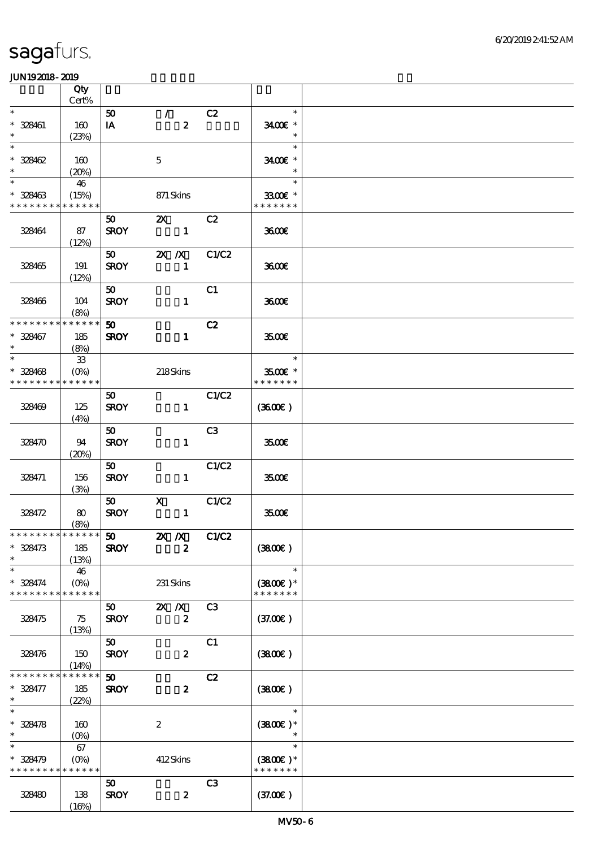|                                         | Qty<br>Cert%                         |                                |                                               |                |                                       |  |
|-----------------------------------------|--------------------------------------|--------------------------------|-----------------------------------------------|----------------|---------------------------------------|--|
| $\ast$                                  |                                      |                                |                                               |                | $\ast$                                |  |
| $* 328461$<br>$\ast$                    | 160<br>(23%)                         | 50<br>IA                       | $\mathcal{T}$<br>$\boldsymbol{z}$             | C2             | 3400€ *<br>$\ast$                     |  |
| $\ast$<br>$* 328462$                    | 160                                  |                                | $\mathbf 5$                                   |                | $\ast$<br>3400€ *                     |  |
| $\ast$<br>$\ast$<br>$* 328463$          | (20%)<br>46<br>(15%)                 |                                | 871 Skins                                     |                | $\ast$<br>$\ast$<br>3300€ *           |  |
| * * * * * * * *                         | * * * * * *                          |                                |                                               |                | * * * * * * *                         |  |
| 328464                                  | 87<br>(12%)                          | 50<br><b>SROY</b>              | $\mathbf{X}$<br>$\blacksquare$                | C2             | 3600                                  |  |
| 328465                                  | 191<br>(12%)                         | <b>SROY</b>                    | $50$ $2X$ $X$<br>$\blacksquare$               | C1/C2          | 3600E                                 |  |
| 328466                                  | 104<br>(8%)                          | 50<br><b>SROY</b>              | $\mathbf{1}$                                  | C1             | 3600E                                 |  |
| * * * * * * * *<br>$* 328467$<br>$\ast$ | * * * * * *<br>185<br>(8%)           | 50<br><b>SROY</b>              | $\mathbf{1}$                                  | C2             | 3500E                                 |  |
| $\ast$<br>$* 328468$<br>* * * * * * * * | ${\bf 33}$<br>$(O\%)$<br>* * * * * * |                                | 218Skins                                      |                | $\ast$<br>3500€ *<br>* * * * * * *    |  |
| 328469                                  | 125<br>(4%)                          | 50 <sub>o</sub><br><b>SROY</b> | $\mathbf{1}$                                  | C1/C2          | (360E)                                |  |
| 328470                                  | 94<br>(20%)                          | 50<br><b>SROY</b>              | $\mathbf{1}$                                  | C3             | 3500E                                 |  |
| 328471                                  | 156<br>(3%)                          | 50<br><b>SROY</b>              | $\mathbf{1}$                                  | C1/C2          | 3500€                                 |  |
| 328472                                  | 80<br>(8%)                           | 50<br><b>SROY</b>              | $\mathbf{X}$<br>$\mathbf{1}$                  | C1/C2          | 3500E                                 |  |
| $* 328473$<br>$\ast$                    | 185<br>(13%)                         | <b>SROY</b>                    | $\mathbf{X}$ $\mathbf{X}$<br>$\boldsymbol{z}$ | C1/C2          | (3800)                                |  |
| $\ast$<br>$* 328474$<br>* * * * * * * * | 46<br>$(O\%)$<br>* * * * * *         |                                | 231 Skins                                     |                | $\ast$<br>$(3800)$ *<br>* * * * * * * |  |
| 328475                                  | 75<br>(13%)                          | $50-$<br><b>SROY</b>           | $X \, X$<br>$\boldsymbol{z}$                  | C <sub>3</sub> | (37.00)                               |  |
| 328476                                  | 150<br>(14%)                         | 50<br><b>SROY</b>              | $\boldsymbol{z}$                              | C1             | (380)                                 |  |
| * * * * * * *<br>* 328477<br>$\ast$     | * * * * * *<br>185<br>(22%)          | 50 <sub>2</sub><br><b>SROY</b> | $\boldsymbol{z}$                              | C2             | (3800)                                |  |
| $\ast$<br>$* 328478$<br>$\ast$          | 160<br>$(O\!/\!\!\delta)$            |                                | $\boldsymbol{2}$                              |                | $\ast$<br>$(3800)$ *                  |  |
| $\ast$<br>$* 328479$<br>* * * * * * * * | 67<br>$(0\%)$<br>* * * * * *         |                                | 412Skins                                      |                | $\ast$<br>$(3800)$ *<br>* * * * * * * |  |
| 328480                                  | 138<br>(16%)                         | 50<br><b>SROY</b>              | $\boldsymbol{z}$                              | C <sub>3</sub> | (37.00)                               |  |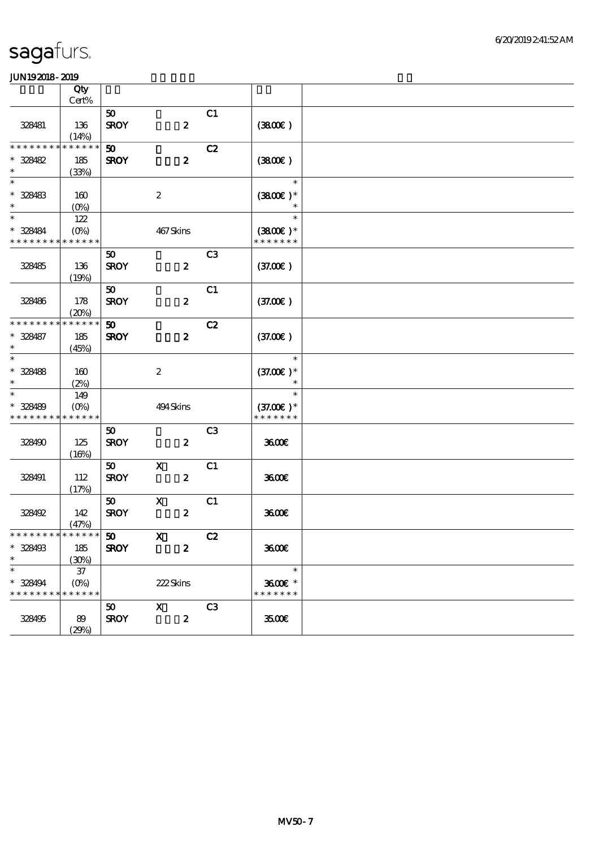|                                          | $\overline{Q}$ ty<br>Cert% |             |                           |                |               |  |
|------------------------------------------|----------------------------|-------------|---------------------------|----------------|---------------|--|
|                                          |                            |             |                           |                |               |  |
|                                          |                            | 50          |                           | C1             |               |  |
| 328481                                   | 136                        | <b>SROY</b> | $\boldsymbol{z}$          |                | (380)         |  |
| * * * * * * * *                          | (14%)<br>* * * * * *       |             |                           |                |               |  |
|                                          |                            | 50          |                           | C2             |               |  |
| $* 328482$                               | 185                        | <b>SROY</b> | $\boldsymbol{z}$          |                | (3800)        |  |
| $\ast$<br>$\ast$                         | (33%)                      |             |                           |                |               |  |
|                                          |                            |             |                           |                | $\ast$        |  |
| $* 328483$                               | 160                        |             | $\boldsymbol{2}$          |                | $(3800)$ *    |  |
| $\ast$<br>$\overline{\phantom{1}}$       | $(O\%)$                    |             |                           |                |               |  |
|                                          | 122                        |             |                           |                | $\ast$        |  |
| $* 328484$                               | $(O\%)$                    |             | 467Skins                  |                | $(3800)$ *    |  |
| * * * * * * * *                          | * * * * * *                |             |                           |                | * * * * * * * |  |
|                                          |                            | 50          |                           | C <sub>3</sub> |               |  |
| 328485                                   | 136                        | <b>SROY</b> | $\pmb{2}$                 |                | (37.00)       |  |
|                                          | (19%)                      |             |                           |                |               |  |
|                                          |                            | 50          |                           | C1             |               |  |
| 328486                                   | 178                        | <b>SROY</b> | $\boldsymbol{z}$          |                | (37.00)       |  |
|                                          | (20%)                      |             |                           |                |               |  |
| * * * * * * * *                          | * * * * * *                | 50          |                           | C2             |               |  |
| $* 328487$                               | 185                        | <b>SROY</b> | $\boldsymbol{z}$          |                | (37.00)       |  |
| $\ast$                                   | (45%)                      |             |                           |                |               |  |
| $\ast$                                   |                            |             |                           |                | $\ast$        |  |
| $* 328488$                               | 160                        |             | $\boldsymbol{2}$          |                | $(37.00)$ *   |  |
| $\ast$                                   | (2%)                       |             |                           |                |               |  |
| $\ast$                                   | 149                        |             |                           |                | $\ast$        |  |
| * 328489                                 | $(O\%)$                    |             | 494 Skins                 |                | $(37.00)$ *   |  |
| * * * * * * * *                          | * * * * * *                |             |                           |                | * * * * * * * |  |
|                                          |                            | 50          |                           | C <sub>3</sub> |               |  |
| 328490                                   | 125                        | <b>SROY</b> | $\boldsymbol{z}$          |                | 3600          |  |
|                                          | (16%)                      |             |                           |                |               |  |
|                                          |                            | 50          | $\boldsymbol{\mathrm{X}}$ | C1             |               |  |
| 328491                                   | 112                        | <b>SROY</b> | $\boldsymbol{z}$          |                | 3600          |  |
|                                          | (17%)                      |             |                           |                |               |  |
|                                          |                            | 50          | $\mathbf x$               | C1             |               |  |
| 328492                                   | 142                        | <b>SROY</b> | $\boldsymbol{z}$          |                | 3600          |  |
|                                          | (47%)                      |             |                           |                |               |  |
| * * * * * * * * <mark>* * * * * *</mark> |                            | 50          | $\mathbf X$               | C2             |               |  |
| * 328493                                 | 185                        | <b>SROY</b> | $\boldsymbol{z}$          |                | 3600          |  |
| $\ast$                                   | (30%)                      |             |                           |                |               |  |
| $\ast$                                   | $37\,$                     |             |                           |                | $\ast$        |  |
| $* 328494$                               | $(O\%)$                    |             | 222Skins                  |                | 3600E *       |  |
| * * * * * * * * * * * * * *              |                            |             |                           |                | * * * * * * * |  |
|                                          |                            | 50          | $\mathbf X$               | C <sub>3</sub> |               |  |
| 328495                                   | 89                         | <b>SROY</b> | $\boldsymbol{z}$          |                | 3500E         |  |
|                                          | (29%)                      |             |                           |                |               |  |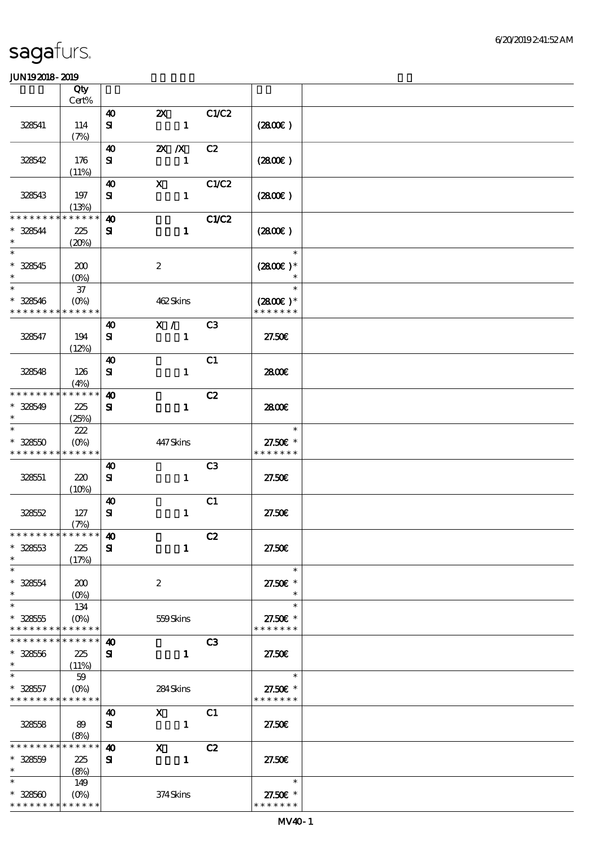|                                          | Qty                  |                       |                       |                |                           |  |
|------------------------------------------|----------------------|-----------------------|-----------------------|----------------|---------------------------|--|
|                                          | Cert%                |                       |                       |                |                           |  |
|                                          |                      | $\boldsymbol{\omega}$ | $\boldsymbol{\alpha}$ | C1/C2          |                           |  |
| 328541                                   | 114<br>(7%)          | ${\bf s}$             | $\mathbf{1}$          |                | (280)                     |  |
|                                          |                      | $\boldsymbol{\omega}$ | $X$ $X$               | C2             |                           |  |
| 328542                                   | 176                  | ${\bf s}$             | $\mathbf{1}$          |                | (2800)                    |  |
|                                          | (11%)                |                       |                       |                |                           |  |
|                                          |                      | 40                    | $\mathbf{X}$          | C1/C2          |                           |  |
| 328543                                   | 197                  | ${\bf s}$             | $\mathbf{1}$          |                | (2800)                    |  |
| * * * * * * * *                          | (13%)<br>* * * * * * | $\boldsymbol{\omega}$ |                       | <b>C1/C2</b>   |                           |  |
| $* 328544$                               | 225                  | ${\bf s}$             | $\mathbf{1}$          |                | (280)                     |  |
| $\ast$                                   | (20%)                |                       |                       |                |                           |  |
| $\ast$                                   |                      |                       |                       |                | $\ast$                    |  |
| $* 328545$                               | 200                  |                       | $\boldsymbol{2}$      |                | $(2800)$ *                |  |
| $\ast$                                   | $(0\%)$              |                       |                       |                |                           |  |
| $\ast$                                   | $37\,$               |                       |                       |                | $\ast$                    |  |
| $* 328546$                               | $(O\%)$              |                       | 462Skins              |                | $(2800)$ *                |  |
| * * * * * * * *                          | * * * * * *          |                       |                       |                | * * * * * * *             |  |
| 328547                                   | 194                  | $\boldsymbol{\omega}$ | X /                   | C <sub>3</sub> | 27.50E                    |  |
|                                          | (12%)                | ${\bf s}$             | $\mathbf{1}$          |                |                           |  |
|                                          |                      | $\boldsymbol{\omega}$ |                       | C1             |                           |  |
| 328548                                   | 126                  | ${\bf s}$             | $\mathbf{1}$          |                | 2800E                     |  |
|                                          | (4%)                 |                       |                       |                |                           |  |
| * * * * * * * *                          | * * * * * *          | $\boldsymbol{\omega}$ |                       | C2             |                           |  |
| $* 328549$                               | 225                  | $\mathbf{S}$          | $\mathbf{1}$          |                | 2800E                     |  |
| $\ast$                                   | (25%)                |                       |                       |                |                           |  |
| $\ast$                                   | 222                  |                       |                       |                | $\ast$                    |  |
| $* 32850$<br>* * * * * * * * * * * * * * | $(O\%)$              |                       | 447Skins              |                | 27.50€ *<br>* * * * * * * |  |
|                                          |                      | $\boldsymbol{\omega}$ |                       | C <sub>3</sub> |                           |  |
| 328551                                   | 220                  | ${\bf s}$             | $\mathbf{1}$          |                | 27.50E                    |  |
|                                          | (10%)                |                       |                       |                |                           |  |
|                                          |                      | $\boldsymbol{\omega}$ |                       | C1             |                           |  |
| 328552                                   | 127                  | $\mathbf{S}$          | $\mathbf{1}$          |                | 27.50E                    |  |
|                                          | (7%)                 |                       |                       |                |                           |  |
| ************** 10                        |                      |                       |                       | C2             |                           |  |
| $* 328553$<br>$\ast$                     | 225                  | ${\bf s}$             | $\mathbf{1}$          |                | 27.50E                    |  |
| $\ast$                                   | (17%)                |                       |                       |                | $\ast$                    |  |
| $* 328554$                               | 200                  |                       | $\boldsymbol{2}$      |                | 27.50€ *                  |  |
| $\ast$                                   | $(O\!/\!\!\delta)$   |                       |                       |                | $\ast$                    |  |
| $\ast$                                   | 134                  |                       |                       |                | $\ast$                    |  |
| $* 328555$                               | $(O\%)$              |                       | 559Skins              |                | 27.50€ *                  |  |
| * * * * * * * *                          | * * * * * *          |                       |                       |                | * * * * * * *             |  |
| * * * * * * * * * * * * * *              |                      | $\boldsymbol{\omega}$ |                       | C <sub>3</sub> |                           |  |
| $* 328556$<br>$\ast$                     | 225                  | ${\bf s}$             | $\mathbf{1}$          |                | 27.50E                    |  |
| $\ast$                                   | (11%)<br>59          |                       |                       |                | $\ast$                    |  |
| $* 328557$                               | $(O\%)$              |                       | 284Skins              |                | 27.50€ *                  |  |
| * * * * * * * * * * * * * *              |                      |                       |                       |                | * * * * * * *             |  |
|                                          |                      | 40                    | $\mathbf{X}$          | C1             |                           |  |
| 32858                                    | 89                   | ${\bf s}$             | $\mathbf{1}$          |                | 27.50E                    |  |
|                                          | (8%)                 |                       |                       |                |                           |  |
| * * * * * * * *                          | * * * * * *          | $\boldsymbol{\omega}$ | $\mathbf{x}$          | C2             |                           |  |
| $* 32850$                                | 225                  | ${\bf s}$             | $\blacksquare$        |                | 27.50E                    |  |
| $\ast$<br>$\ast$                         | (8%)                 |                       |                       |                | $\ast$                    |  |
| $* 328500$                               | 149                  |                       | 374Skins              |                | 27.50€ *                  |  |
| * * * * * * * * * * * * * *              |                      |                       |                       |                | * * * * * * *             |  |
|                                          |                      |                       |                       |                |                           |  |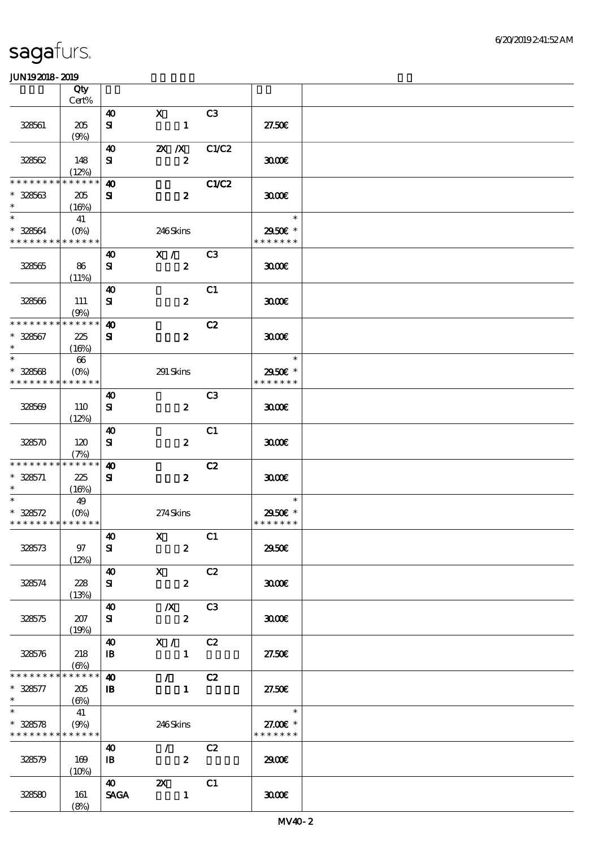|                                                     | Qty<br>Cert%                      |                                    |                                                            |                |                                                       |  |
|-----------------------------------------------------|-----------------------------------|------------------------------------|------------------------------------------------------------|----------------|-------------------------------------------------------|--|
|                                                     |                                   |                                    | $\mathbf{x}$                                               | C3             |                                                       |  |
| 328561                                              | 205<br>(9%)                       | 40<br>${\bf s}$                    | $\mathbf{1}$                                               |                | 27.50E                                                |  |
| 328562                                              | 148                               | 40<br>${\bf s}$                    | $X$ $X$<br>$\boldsymbol{z}$                                | C1/C2          | 3000                                                  |  |
| * * * * * * *<br>$* 328563$                         | (12%)<br>* * * * * *<br>205       | $\boldsymbol{\omega}$<br>${\bf s}$ | $\boldsymbol{z}$                                           | <b>C1/C2</b>   | 3000                                                  |  |
| $\ast$<br>$\ast$                                    | (16%)<br>41                       |                                    |                                                            |                | $\ast$                                                |  |
| $* 328564$<br>* * * * * * * * * * * * * *           | $(O\%)$                           |                                    | 246Skins                                                   |                | 2950€ *<br>* * * * * * *                              |  |
| 328565                                              | 86<br>(11%)                       | 40<br>${\bf s}$                    | X /<br>$\boldsymbol{z}$                                    | C3             | 3000                                                  |  |
| 328566                                              | 111<br>(9%)                       | $\boldsymbol{\omega}$<br>${\bf s}$ | $\boldsymbol{z}$                                           | C1             | 3000                                                  |  |
| * * * * * * * *                                     | * * * * * *                       | $\boldsymbol{\omega}$              |                                                            | C2             |                                                       |  |
| $* 328567$<br>$\ast$                                | 225<br>(16%)                      | ${\bf s}$                          | $\boldsymbol{z}$                                           |                | 3000                                                  |  |
| $\ast$<br>$* 328568$                                | 66<br>$(O\%)$                     |                                    | 291 Skins                                                  |                | $\ast$<br>2950E *                                     |  |
| * * * * * * * * * * * * * *                         |                                   |                                    |                                                            |                | * * * * * * *                                         |  |
| 328569                                              | 110<br>(12%)                      | 40<br>${\bf s}$                    | $\boldsymbol{z}$                                           | C <sub>3</sub> | 3000                                                  |  |
| 328570                                              | 120<br>(7%)                       | 40<br>${\bf s}$                    | $\boldsymbol{z}$                                           | C1             | 3000                                                  |  |
| * * * * * * * *                                     | * * * * * *                       | $\boldsymbol{\omega}$              |                                                            | C2             |                                                       |  |
| $* 328571$<br>$\ast$                                | 225<br>(16%)                      | ${\bf s}$                          | $\boldsymbol{z}$                                           |                | 3000                                                  |  |
| $\ast$                                              | 49                                |                                    |                                                            |                | $\ast$                                                |  |
| $* 328572$<br>* * * * * * * * * * * * * *           | $(O\% )$                          |                                    | 274Skins                                                   |                | 2950€ *<br>* * * * * * *                              |  |
| 328573                                              | 97<br>(12%)                       | $\boldsymbol{\omega}$<br>${\bf s}$ | $X$ C1<br>$\boldsymbol{z}$                                 |                | 2950€                                                 |  |
| 328574                                              | 228<br>(13%)                      | 40 X<br>${\bf s}$                  | $\mathbf{2}$                                               | C2             | 3000                                                  |  |
| 328575                                              | 207<br>(19%)                      | ${\bf s}$                          | 40 		 X 	 C3<br>$\mathbf{2}$                               |                | 3000                                                  |  |
| 328576                                              | 218<br>$(\Theta_0)$               | $\mathbf{B}$                       | 40 X / C2<br>$\blacksquare$                                |                | 27.50E                                                |  |
| * * * * * * * *                                     | $******$                          | $\boldsymbol{\omega}$              | $\sqrt{C^2}$                                               |                |                                                       |  |
| $* 328577$<br>$\ast$                                | 205<br>$\left(\bigoplus_{\alpha}$ | $\mathbf{B}$                       | $\mathbf{1}$                                               |                | 27.50E                                                |  |
| $\ast$<br>$* 328578$<br>* * * * * * * * * * * * * * | 41<br>(9%)                        |                                    | 246Skins                                                   |                | $\overline{\phantom{0}}$<br>27.00€ *<br>* * * * * * * |  |
| 328579                                              | 169<br>(10%)                      | 40<br>$\mathbf{B}$                 | $\mathcal{L}$ and $\mathcal{L}$<br>$\overline{\mathbf{2}}$ | C2             | 2900                                                  |  |
| 328580                                              | 161<br>(8%)                       | $\boldsymbol{40}$<br><b>SAGA</b>   | $\mathbf{z}$<br>$\overline{1}$                             | C1             | 3000                                                  |  |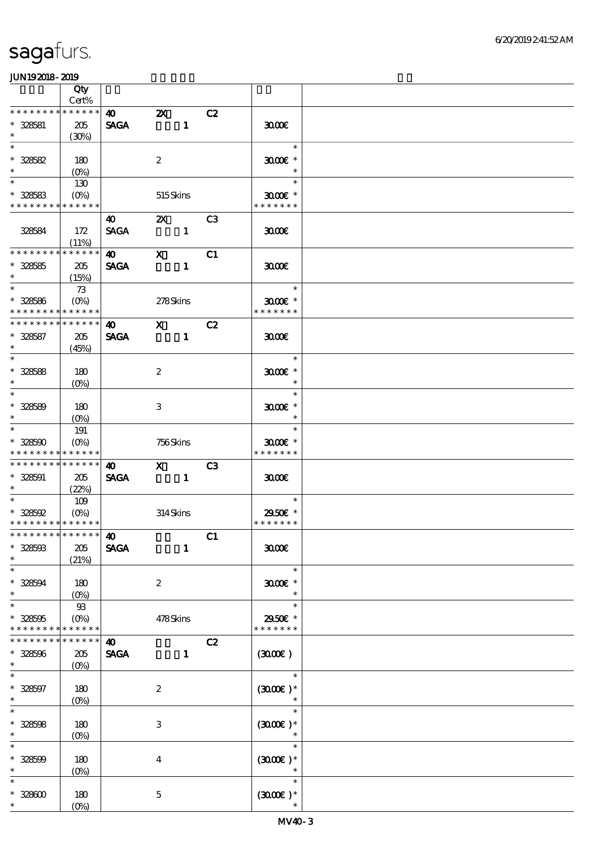|                               | Qty                                |                       |                                        |              |    |                             |  |
|-------------------------------|------------------------------------|-----------------------|----------------------------------------|--------------|----|-----------------------------|--|
|                               | Cert%                              |                       |                                        |              |    |                             |  |
| * * * * * * * *               | * * * * * *                        | $\boldsymbol{\omega}$ | $\boldsymbol{\alpha}$                  |              | C2 |                             |  |
| $* 328581$                    | 205                                | <b>SAGA</b>           |                                        |              |    | 3000                        |  |
| $\ast$                        | (30%)                              |                       |                                        |              |    |                             |  |
| $\ast$                        |                                    |                       |                                        |              |    | $\ast$                      |  |
| $* 328582$                    | 180                                |                       | $\boldsymbol{z}$                       |              |    | $3000$ $*$                  |  |
| $\ast$                        | $(O\%)$                            |                       |                                        |              |    | $\ast$                      |  |
| $\ast$                        | 130                                |                       |                                        |              |    | $\ast$                      |  |
| $* 328583$                    | $(O\%)$                            |                       | 515 Skins                              |              |    | $3000$ $*$                  |  |
| * * * * * * * *               | * * * * * *                        |                       |                                        |              |    | * * * * * * *               |  |
|                               |                                    | 40                    | <b>2X</b> C3                           |              |    |                             |  |
| 328584                        | 172                                | <b>SAGA</b>           |                                        |              |    | 3000                        |  |
| * * * * * * * *               | (11%)<br>* * * * * *               |                       |                                        |              |    |                             |  |
|                               |                                    | $\boldsymbol{\omega}$ | $\mathbf{x}$                           |              | C1 |                             |  |
| $* 328585$<br>$\ast$          | 205                                | <b>SAGA</b>           |                                        | $\mathbf{1}$ |    | 3000                        |  |
| $\overline{\ast}$             | (15%)                              |                       |                                        |              |    | $\ast$                      |  |
|                               | 73                                 |                       |                                        |              |    |                             |  |
| $* 328586$<br>* * * * * * * * | $(O\%)$<br>* * * * * *             |                       | 278Skins                               |              |    | $3000$ $*$<br>* * * * * * * |  |
| * * * * * * * *               | * * * * * *                        | $\bullet$ $\bullet$   |                                        |              |    |                             |  |
|                               |                                    |                       | $\overline{\mathbf{X}}$ C <sub>2</sub> |              |    |                             |  |
| $* 328587$<br>$\ast$          | 205                                | <b>SAGA</b>           |                                        |              |    | 3000                        |  |
| $\ast$                        | (45%)                              |                       |                                        |              |    | $\ast$                      |  |
| $* 328588$                    |                                    |                       | $\boldsymbol{2}$                       |              |    | $3000$ $*$                  |  |
| $\ast$                        | 180<br>$(O\%)$                     |                       |                                        |              |    | $\overline{\phantom{a}}$    |  |
| $\overline{\ast}$             |                                    |                       |                                        |              |    | $\ast$                      |  |
| $* 328589$                    | 180                                |                       | 3                                      |              |    | $3000$ $*$                  |  |
| $\ast$                        | $(O\%)$                            |                       |                                        |              |    | $\ast$                      |  |
| $\ast$                        | 191                                |                       |                                        |              |    | $\ast$                      |  |
| $* 328500$                    | $(O\%)$                            |                       | 756Skins                               |              |    | $3000$ $\epsilon$ *         |  |
| * * * * * * * *               | * * * * * *                        |                       |                                        |              |    | * * * * * * *               |  |
| * * * * * * * *               | * * * * * *                        | $\boldsymbol{\omega}$ | $\boldsymbol{\mathrm{X}}$              |              | C3 |                             |  |
| $* 328591$                    | 205                                | <b>SAGA</b>           | $\sim$ $\sim$ $\sim$ 1                 |              |    | 3000                        |  |
| $\ast$                        | (22%)                              |                       |                                        |              |    |                             |  |
| $\overline{\ast}$             | 109                                |                       |                                        |              |    | $\ast$                      |  |
| $* 328592$                    | $(O\!\!\!\!\!\!/\,\!\!\!\!\!/\,0)$ |                       | 314Skins                               |              |    | 2950€ *                     |  |
| * * * * * * * * * * * * * *   |                                    |                       |                                        |              |    | * * * * * * *               |  |
| *************** <b>140</b>    |                                    |                       |                                        |              | C1 |                             |  |
| $* 328503$                    | 205                                | <b>SAGA</b>           |                                        | $\mathbf{1}$ |    | 3000                        |  |
| $\ast$                        | (21%)                              |                       |                                        |              |    |                             |  |
| $\ast$                        |                                    |                       |                                        |              |    | $\ast$                      |  |
| $* 328594$                    | 180                                |                       | $\boldsymbol{2}$                       |              |    | $3000$ $*$                  |  |
| $\ast$                        | $(O\%)$                            |                       |                                        |              |    | $\ast$                      |  |
| $\ast$                        | $93$                               |                       |                                        |              |    | $\ast$                      |  |
| $* 328505$                    | $(O\%)$                            |                       | 478Skins                               |              |    | 2950€ *                     |  |
| * * * * * * * *               | * * * * * *                        |                       |                                        |              |    | * * * * * * *               |  |
| * * * * * * *                 | * * * * * *                        | $\boldsymbol{\omega}$ |                                        |              | C2 |                             |  |
| $* 328596$                    | 205                                | <b>SAGA</b>           |                                        | $\mathbf{1}$ |    | (300)                       |  |
| $\ast$                        | $(0\%)$                            |                       |                                        |              |    |                             |  |
| $\ast$                        |                                    |                       |                                        |              |    | $\ast$                      |  |
| $* 328597$                    | 180                                |                       | $\boldsymbol{z}$                       |              |    | $(300E)*$                   |  |
| $\ast$                        | $(0\%)$                            |                       |                                        |              |    |                             |  |
| $\overline{\ast}$             |                                    |                       |                                        |              |    | $\ast$                      |  |
| $* 328508$                    | 180                                |                       | 3                                      |              |    | $(300E)*$                   |  |
| $\ast$                        | $(0\%)$                            |                       |                                        |              |    | $\ast$                      |  |
| $\ast$                        |                                    |                       |                                        |              |    | $\ast$                      |  |
| $* 328509$                    | 180                                |                       | $\bf{4}$                               |              |    | $(3000\varepsilon)*$        |  |
| $\ast$                        | $(0\%)$                            |                       |                                        |              |    | $\ast$                      |  |
| $\ast$                        |                                    |                       |                                        |              |    | $\ast$                      |  |
| $* 32800$                     | 180                                |                       | $\mathbf 5$                            |              |    | $(300E)*$                   |  |
| $\ast$                        | $(O\!/\!o)$                        |                       |                                        |              |    | $\ast$                      |  |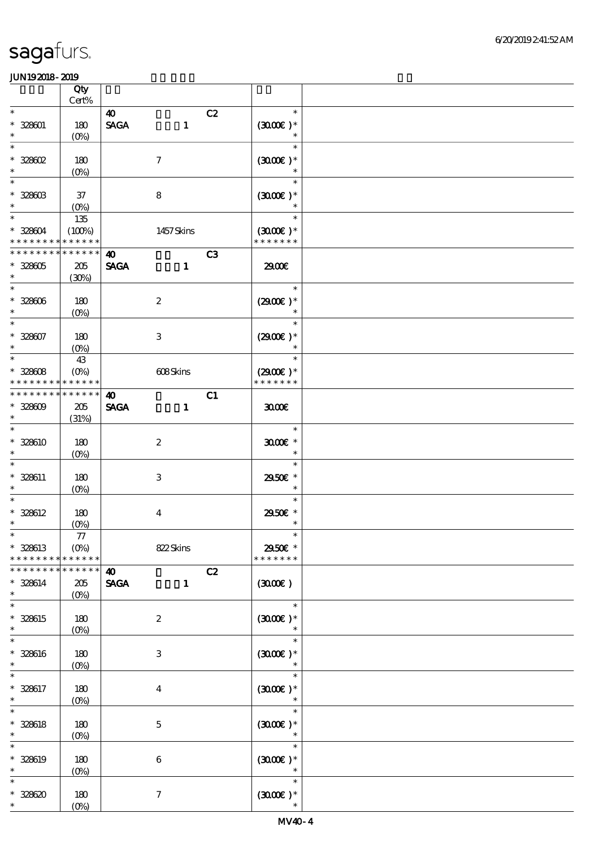|                                                    | Qty<br>Cert%                            |                                      |                           |    |                                               |  |
|----------------------------------------------------|-----------------------------------------|--------------------------------------|---------------------------|----|-----------------------------------------------|--|
| $\ast$                                             |                                         | $\boldsymbol{\omega}$                |                           | C2 | $\ast$                                        |  |
| $* 328001$<br>$\ast$                               | 180<br>$(O\!/\!\!\delta)$               | $\operatorname{\mathsf{SAGA}}$       | $\mathbf{1}$              |    | $(300E)*$<br>$\ast$                           |  |
| $\ast$<br>$* 328602$<br>$\ast$                     | 180<br>$(0\%)$                          |                                      | $\boldsymbol{\tau}$       |    | $\ast$<br>$(300E)*$<br>$\ast$                 |  |
| $\ast$<br>$* 328003$<br>$\ast$                     | $37\,$<br>$(O\%)$                       |                                      | ${\bf 8}$                 |    | $\ast$<br>$(300E)*$                           |  |
| $\overline{\ast}$<br>$* 328004$<br>* * * * * * * * | 135<br>(100%)<br>* * * * * *            |                                      | 1457Skins                 |    | $\ast$<br>$(3000\text{E})$ *<br>* * * * * * * |  |
| * * * * * * * *<br>$* 328005$<br>$\ast$            | * * * * * *<br>$205\,$<br>(30%)         | $\boldsymbol{\omega}$<br><b>SAGA</b> | $\mathbf{1}$              | C3 | 2900€                                         |  |
| $\ast$<br>$* 328006$<br>$\ast$                     | 180<br>$(O\%)$                          |                                      | $\boldsymbol{2}$          |    | $\ast$<br>$(2900)$ *<br>$\ast$                |  |
| $\overline{\ast}$<br>$* 328007$<br>$\ast$          | 180<br>$(O_0)$                          |                                      | $\ensuremath{\mathsf{3}}$ |    | $\ast$<br>$(2900)$ *<br>$\ast$                |  |
| $\ast$<br>$* 32808$<br>* * * * * * * *             | 43<br>$(O\%)$<br>* * * * * *            |                                      | 608Skins                  |    | $\ast$<br>$(2900E)*$<br>* * * * * * *         |  |
| * * * * * * * *<br>$* 32800$<br>$\ast$             | * * * * * *<br>205<br>(31%)             | $\boldsymbol{\omega}$<br><b>SAGA</b> | $\mathbf{1}$              | C1 | 3000                                          |  |
| $\ast$<br>$* 328610$<br>$\ast$                     | 180<br>$(O\%)$                          |                                      | $\boldsymbol{2}$          |    | $\ast$<br>$3000$ $*$<br>$\ast$                |  |
| $\ast$<br>* 328611<br>$\ast$                       | 180<br>$(O\%)$                          |                                      | $\ensuremath{\mathsf{3}}$ |    | $\ast$<br>2950E *<br>$\ast$                   |  |
| $\ast$<br>$* 328612$<br>$\ast$                     | 180<br>$(O\!/\!o)$                      |                                      | $\boldsymbol{4}$          |    | $\ast$<br>29506 *<br>$\ast$                   |  |
| $*$<br>* 328613<br>* * * * * * * *                 | ${\bf 77}$<br>$(O\%)$<br>* * * * * *    |                                      | 822Skins                  |    | $\ast$<br>2950€ *<br>* * * * * * *            |  |
| * * * * * * *<br>* 328614<br>$\ast$                | * * * * * *<br>205<br>(O <sub>0</sub> ) | $\boldsymbol{\omega}$<br><b>SAGA</b> | $\mathbf{1}$              | C2 | (300)                                         |  |
| $\ast$<br>* 328615<br>$\ast$                       | 180<br>$(0\%)$                          |                                      | $\boldsymbol{2}$          |    | $\ast$<br>$(3000)$ *                          |  |
| $\ast$<br>* 328616<br>$\ast$                       | 180<br>$(0\%)$                          |                                      | 3                         |    | $\ast$<br>$(3000\varepsilon)*$<br>$\ast$      |  |
| $\ast$<br>* 328617<br>$\ast$                       | 180<br>$(0\%)$                          |                                      | $\boldsymbol{4}$          |    | $\ast$<br>$(300E)*$<br>$\ast$                 |  |
| $\ast$<br>$* 328618$<br>$\ast$                     | 180<br>$(0\%)$                          |                                      | $\mathbf 5$               |    | $\ast$<br>$(3000)$ *<br>$\ast$                |  |
| $\ast$<br>$* 328619$<br>$\ast$                     | 180<br>$(0\%)$                          |                                      | 6                         |    | $\ast$<br>$(3000\varepsilon)*$<br>$\ast$      |  |
| $\ast$<br>$* 328620$<br>$\ast$                     | 180<br>$(O\!/\!o)$                      |                                      | $\boldsymbol{7}$          |    | $\ast$<br>$(300E)*$<br>$\ast$                 |  |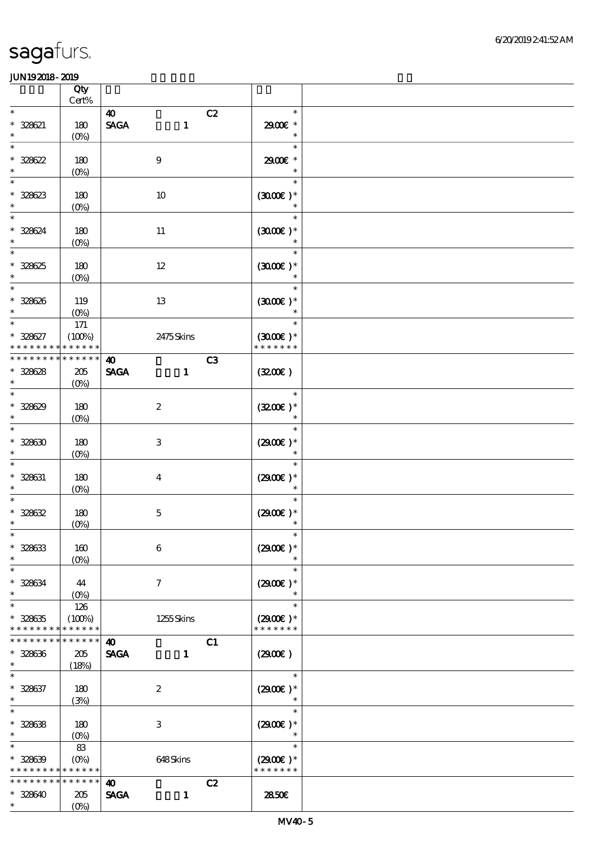|                                                                  | Qty                                   |                                                      |              |                                       |  |
|------------------------------------------------------------------|---------------------------------------|------------------------------------------------------|--------------|---------------------------------------|--|
| $\ast$                                                           | $\mbox{Cert}\%$                       | $\boldsymbol{\omega}$                                | C2           | $\ast$                                |  |
| $* 328621$<br>$\ast$                                             | 180<br>$(O\!/\!o)$                    | $\ensuremath{\mathsf{SAGA}}$<br>$\mathbf{1}$         |              | 2900€ *<br>$\ast$                     |  |
| $\ast$<br>$* 328622$<br>$\ast$                                   | 180<br>$(0\%)$                        | $9$                                                  |              | $\ast$<br>2900€ *<br>$\ast$           |  |
| $\ast$<br>$* 328623$<br>$\ast$                                   | 180<br>$(0\%)$                        | $10\,$                                               |              | $\ast$<br>$(300E)*$<br>$\ast$         |  |
| $\ast$<br>* 328624<br>$\ast$                                     | 180<br>$(0\%)$                        | $11\,$                                               |              | $\ast$<br>$(3000)$ *                  |  |
| $\ast$<br>$* 328625$<br>$\ast$                                   | 180<br>$(0\%)$                        | $12\,$                                               |              | $\ast$<br>$(300E)*$                   |  |
| $\ast$<br>$* 328626$<br>$\ast$                                   | 119<br>$(O\%)$                        | 13                                                   |              | $\ast$<br>$(300E)*$<br>$\ast$         |  |
| $\ast$<br>$* 328627$                                             | $171\,$<br>(100%)<br>* * * * * *      | 2475Skins                                            |              | $\ast$<br>$(3000)$ *<br>* * * * * * * |  |
| * * * * * * * *                                                  | $******$                              | $\boldsymbol{\omega}$                                | C3           |                                       |  |
| $* 328628$<br>$\ast$                                             | 205<br>$(O\%)$                        | <b>SAGA</b><br>$\mathbf{1}$                          | (320)        |                                       |  |
| $\ast$<br>$* 328629$<br>$\ast$                                   | 180<br>$(O\!/\!o)$                    | $\boldsymbol{2}$                                     |              | $\ast$<br>$(3200)$ *<br>$\ast$        |  |
| $\ast$<br>$* 328630$<br>$\ast$                                   | 180<br>$(0\%)$                        | $\ensuremath{\mathbf{3}}$                            |              | $\ast$<br>$(2900)$ *<br>$\ast$        |  |
| $\ast$<br>$* 328631$<br>$\ast$                                   | 180<br>$(0\%)$                        | $\boldsymbol{4}$                                     |              | $\ast$<br>$(2900)$ *<br>$\ast$        |  |
| $* 328632$<br>$\ast$                                             | 180<br>$(0\%)$                        | $\mathbf 5$                                          |              | $\ast$<br>$(2900)$ *<br>$\ast$        |  |
| $* 328633$<br>$\ast$                                             | 160<br>$(0\%)$                        | $\,6\,$                                              |              | $(2900)$ *                            |  |
| $\ast$<br>$* 328634$<br>$\ast$                                   | 44<br>$(O_0)$                         | $\tau$                                               |              | $\ast$<br>$(2900)$ *<br>$\ast$        |  |
| $\ast$<br>$^\ast$ 328635<br>* * * * * * * *                      | 126<br>(100%)<br>* * * * * *          | 1255Skins                                            |              | $\ast$<br>$(2900)$ *<br>* * * * * * * |  |
| * * * * * * * *<br>$* 328636$<br>$\ast$                          | * * * * * *<br>205<br>(18%)           | $\boldsymbol{\omega}$<br><b>SAGA</b><br>$\mathbf{1}$ | C1<br>(2900) |                                       |  |
| $\ast$<br>$* 328637$<br>$\ast$                                   | 180<br>(3%)                           | $\boldsymbol{2}$                                     |              | $\ast$<br>$(2900)$ *                  |  |
| $\ast$<br>$* 328638$<br>$\ast$                                   | 180<br>$(O\%)$                        | $\ensuremath{\mathbf{3}}$                            |              | $\ast$<br>$(2900)$ *<br>$\ast$        |  |
| $\ast$<br>$* 328639$<br>* * * * * * * * <mark>* * * * * *</mark> | 83<br>$(O\%)$                         | 648Skins                                             |              | $\ast$<br>$(2900)$ *<br>* * * * * * * |  |
| * * * * * * * *<br>$* 328640$<br>$\ast$                          | $******$<br>205<br>$(O\!/\!\!\delta)$ | $\boldsymbol{\omega}$<br><b>SAGA</b><br>$\mathbf{1}$ | C2           | 2850E                                 |  |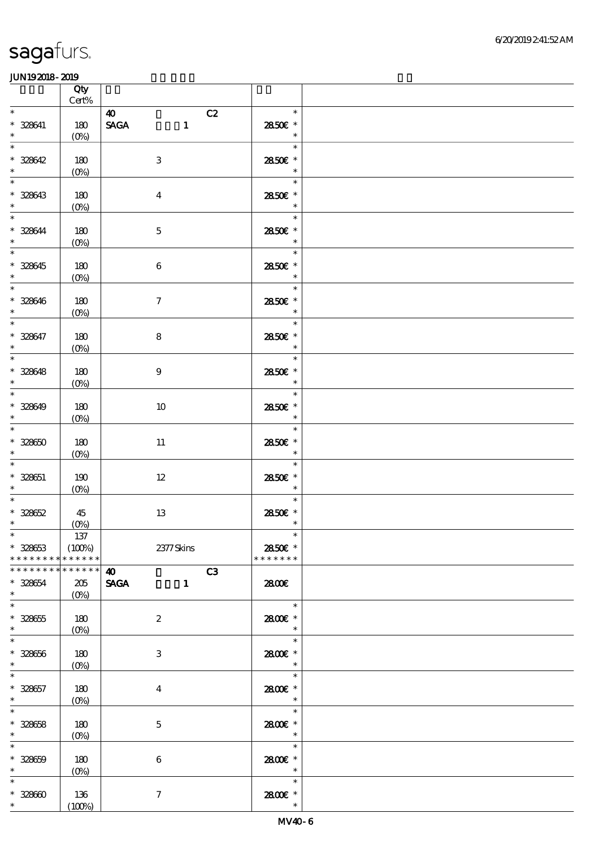|                                                                | Qty<br>$\mbox{Cert}\%$                 |                                                            |                                                 |  |
|----------------------------------------------------------------|----------------------------------------|------------------------------------------------------------|-------------------------------------------------|--|
| $\ast$                                                         |                                        | 40<br>C2                                                   | $\ast$                                          |  |
| $* 328641$<br>$\ast$                                           | 180<br>$(0\%)$                         | <b>SAGA</b><br>$\mathbf{1}$                                | 2850€ *<br>$\ast$                               |  |
| $\overline{\ast}$<br>$* 328642$<br>$\ast$                      | 180<br>$(0\%)$                         | $\,3$                                                      | <u>e de la p</u><br>$\ast$<br>2850€ *<br>$\ast$ |  |
| $\ast$<br>$* 328643$<br>$\ast$                                 | 180<br>$(0\%)$                         | $\boldsymbol{4}$                                           | $\ast$<br>2850€ *<br>$\ast$                     |  |
| $\ast$<br>$* 328644$<br>$\ast$                                 | 180<br>$(0\%)$                         | $\mathbf 5$                                                | $\ast$<br>2850€ *<br>$\ast$                     |  |
| $\overline{\phantom{0}}$<br>$* 328645$<br>$\ast$               | 180<br>$(0\%)$                         | $\boldsymbol{6}$                                           | $\ast$<br>2850€ *<br>$\ast$                     |  |
| $\overline{\phantom{0}}$<br>$* 328646$<br>$\ast$               | 180<br>$(0\%)$                         | $\boldsymbol{7}$                                           | $\ast$<br>2850 £*<br>$\ast$                     |  |
| $\overline{\ast}$<br>$* 328647$<br>$\ast$                      | 180<br>(0%)                            | 8                                                          | $\ast$<br>2850E *<br>$\ast$                     |  |
| $\overline{\phantom{a}^*}$<br>$* 328648$<br>$*$                | 180<br>$(0\%)$                         | $\boldsymbol{9}$                                           | $\ast$<br>2850€ *<br>$\ast$                     |  |
| $\overline{\phantom{0}}$<br>$* 328649$<br>$\ddot{\phantom{0}}$ | 180<br>$(0\%)$                         | 10                                                         | $\ast$<br>2850E *<br>$\ast$                     |  |
| $\overline{\phantom{a}^*}$<br>$* 32860$<br>$\ast$              | 180<br>$(0\%)$                         | $11\,$                                                     | $\ast$<br>2850€ *<br>$\ast$                     |  |
| $\overline{\phantom{0}}$<br>$* 328651$<br>$\ast$               | 190<br>$(0\%)$                         | $12\,$                                                     | $\ast$<br>2850E *<br>$\ast$                     |  |
| $\ast$<br>$* 328652$<br>$\ast$                                 | 45<br>(0%)                             | 13                                                         | $\ast$<br>2850 £*<br>$\ast$                     |  |
| $*$<br>$* 328653$<br>* * * * * * * *                           | 137<br>(100%)<br>* * * * * *           | 2377 Skins                                                 | 2850€ *<br>* * * * * * *                        |  |
| * * * * * * * *<br>$* 328654$                                  | --<br>* * * * * *<br>205               | C3<br>$\boldsymbol{\omega}$<br><b>SAGA</b><br>$\mathbf{1}$ | 2800€                                           |  |
| $\ast$                                                         | $(O\%)$                                |                                                            |                                                 |  |
| $\ast$<br>$* 328655$<br>$\ast$                                 | 180<br>$(O\!\!\!\!\!\!\backslash\rho)$ | $\boldsymbol{2}$                                           | $\ast$<br>2800€ *<br>$\ast$                     |  |
| $\ast$<br>$* 328656$<br>$\ast$                                 | 180<br>$(O\% )$                        | 3                                                          | $\ast$<br>2800€ *<br>$\ast$                     |  |
| $\ast$<br>$* 328657$<br>$\ast$                                 | 180<br>$(0\%)$                         | $\overline{\mathbf{4}}$                                    | $\ast$<br>2800 £*<br>$\ast$                     |  |
| $\ast$<br>$* 328658$<br>$\ast$                                 | 180<br>(0%)                            | $\mathbf 5$                                                | $\ast$<br>2800 £*<br>$\ast$                     |  |
| $\ast$<br>$* 32860$<br>$\ast$                                  | 180<br>$(0\%)$                         | $\bf 6$                                                    | $\ast$<br>2800 £*<br>$\ast$                     |  |
| $\ast$<br>$* 32860$<br>$\ast$                                  | 136<br>$(100\%)$                       | $\boldsymbol{\tau}$                                        | $\ast$<br>2800 £*<br>$\ast$                     |  |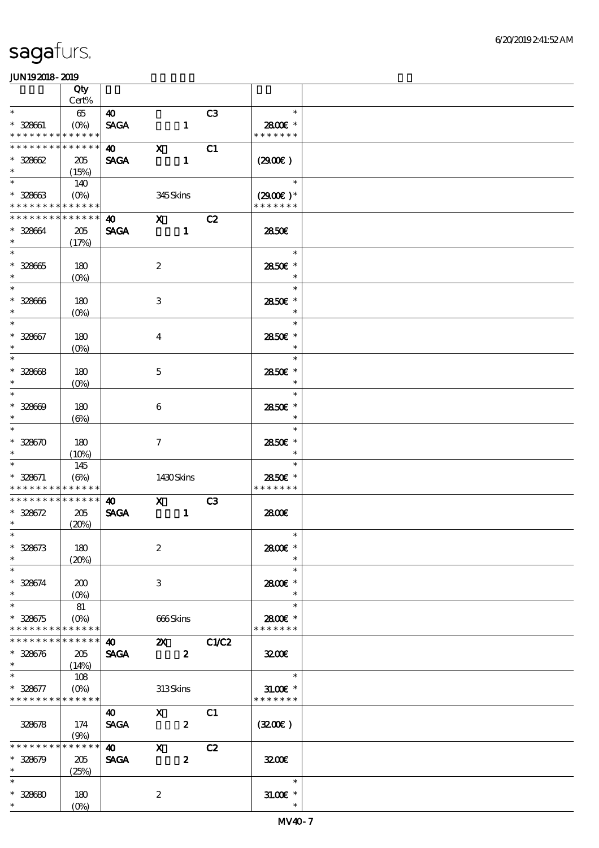|                                            | Qty                        |                                    |                         |                  |                 |                          |  |
|--------------------------------------------|----------------------------|------------------------------------|-------------------------|------------------|-----------------|--------------------------|--|
|                                            | Cert%                      |                                    |                         |                  |                 |                          |  |
| $\ast$                                     | 65                         | $\boldsymbol{\omega}$              |                         |                  | C <sub>3</sub>  | $\ast$                   |  |
| $* 328661$<br>* * * * * * * * * * * * * *  | $(O\%)$                    | <b>SAGA</b>                        |                         | $\mathbf{1}$     |                 | 2800€ *<br>* * * * * * * |  |
| * * * * * * * *                            | * * * * * *                | $\boldsymbol{\omega}$              | $\mathbf x$             |                  | C1              |                          |  |
| $* 32862$                                  | 205                        | <b>SAGA</b>                        |                         | $\mathbf{1}$     |                 | (2900)                   |  |
| $\ast$                                     | (15%)                      |                                    |                         |                  |                 |                          |  |
| $\ast$                                     | 140                        |                                    |                         |                  |                 | $\ast$                   |  |
| $* 32863$                                  | $(O\% )$                   |                                    | 345Skins                |                  |                 | $(2900)$ *               |  |
| * * * * * * * * * * * * * *                |                            |                                    |                         |                  |                 | * * * * * * *            |  |
| * * * * * * * *                            | * * * * * *                | $\bullet$ $\bullet$                | $\mathbf{X}$            |                  | C2              |                          |  |
| * 328664                                   | 205                        | <b>SAGA</b>                        |                         | $\mathbf{1}$     |                 | 2850E                    |  |
| $\ast$<br>$\ast$                           | (17%)                      |                                    |                         |                  |                 | $\ast$                   |  |
|                                            |                            |                                    |                         |                  |                 | 2850E *                  |  |
| $* 32865$<br>$\ast$                        | 180<br>$(0\%)$             |                                    | $\boldsymbol{2}$        |                  |                 | $\ast$                   |  |
| $\overline{\phantom{0}}$                   |                            |                                    |                         |                  |                 | $\ast$                   |  |
| $* 328666$                                 | 180                        |                                    | 3                       |                  |                 | 2850 €*                  |  |
| $\ast$                                     | $(O\%)$                    |                                    |                         |                  |                 | $\ast$                   |  |
| $\overline{\ast}$                          |                            |                                    |                         |                  |                 | $\ast$                   |  |
| $* 328667$                                 | 180                        |                                    | $\overline{4}$          |                  |                 | 2850€ *                  |  |
| $\ast$                                     | $(O\%)$                    |                                    |                         |                  |                 | $\ast$                   |  |
| $\ast$                                     |                            |                                    |                         |                  |                 | $\ast$                   |  |
| $* 32868$                                  | 180                        |                                    | $\mathbf 5$             |                  |                 | 2850E *                  |  |
| $\ast$<br>$\ast$                           | $(O\%)$                    |                                    |                         |                  |                 | $\ast$<br>$\ast$         |  |
| $* 328609$                                 |                            |                                    |                         |                  |                 |                          |  |
| $\ast$                                     | 180<br>$(\Theta)$          |                                    | 6                       |                  |                 | 2850E *<br>$\ast$        |  |
| $\ast$                                     |                            |                                    |                         |                  |                 | $\ast$                   |  |
| $* 328670$                                 | 180                        |                                    | $\tau$                  |                  |                 | 2850€ *                  |  |
| $\ast$                                     | (10%)                      |                                    |                         |                  |                 | $\ast$                   |  |
| $\ast$                                     | 145                        |                                    |                         |                  |                 | $\ast$                   |  |
| * 328671                                   | $(\Theta)$                 |                                    | 1430Skins               |                  |                 | 2850E *                  |  |
| * * * * * * * * <mark>* * * * * *</mark> * |                            |                                    |                         |                  |                 | * * * * * * *            |  |
| * * * * * * * *                            | $* * * * * * *$            | $\boldsymbol{\omega}$              | X                       |                  | C3              |                          |  |
| $* 328672$<br>$\ast$                       | 205                        | <b>SAGA</b>                        |                         | $\mathbf{1}$     |                 | 2800E                    |  |
| $*$                                        | (20%)                      |                                    |                         |                  |                 | $\overline{\phantom{a}}$ |  |
| $* 328673$                                 | 180                        |                                    | $\boldsymbol{2}$        |                  |                 | 2800€ *                  |  |
| $\ast$                                     | (20%)                      |                                    |                         |                  |                 | $\ast$                   |  |
| $\ast$                                     |                            |                                    |                         |                  |                 | $\ast$                   |  |
| * 328674                                   | 200                        |                                    | 3                       |                  |                 | 2800E *                  |  |
| $\ast$                                     | $(O\%)$                    |                                    |                         |                  |                 | $\ast$                   |  |
| $\ast$                                     | 81                         |                                    |                         |                  |                 | $\ast$                   |  |
| $* 328675$                                 | $(O\%)$                    |                                    | 666Skins                |                  |                 | 2800€ *                  |  |
| * * * * * * * *<br>* * * * * * * *         | * * * * * *<br>* * * * * * |                                    |                         |                  |                 | * * * * * * *            |  |
| $* 328676$                                 | 205                        | $\bullet$ $\bullet$<br><b>SAGA</b> |                         | $\boldsymbol{2}$ | <b>2X</b> C1/C2 | 3200                     |  |
| $\ast$                                     | (14%)                      |                                    |                         |                  |                 |                          |  |
| $\ast$                                     | 108                        |                                    |                         |                  |                 | $\overline{\phantom{a}}$ |  |
| $* 328677$                                 | $(O\!/\!o)$                |                                    | 313Skins                |                  |                 | $31.00E$ *               |  |
| * * * * * * * * * * * * * *                |                            |                                    |                         |                  |                 | * * * * * * *            |  |
|                                            |                            | $\boldsymbol{\omega}$              | $\mathbf X$             |                  | C1              |                          |  |
| 328678                                     | 174                        | <b>SACA</b>                        | $\overline{\mathbf{2}}$ |                  |                 | (320)                    |  |
|                                            | (9%)                       |                                    |                         |                  |                 |                          |  |
| * * * * * * * *                            | * * * * * *                | $\boldsymbol{\omega}$              | $\mathbf{X}$            |                  | C2              |                          |  |
| $* 328679$<br>$\ast$                       | 205                        | <b>SAGA</b>                        |                         | $\boldsymbol{z}$ |                 | 3200                     |  |
| $\ast$                                     | (25%)                      |                                    |                         |                  |                 | $\ast$                   |  |
| $* 328680$                                 | 180                        |                                    | $\boldsymbol{2}$        |                  |                 | $31.005*$                |  |
| $*$                                        | $(O\%)$                    |                                    |                         |                  |                 | $\ast$                   |  |
|                                            |                            |                                    |                         |                  |                 |                          |  |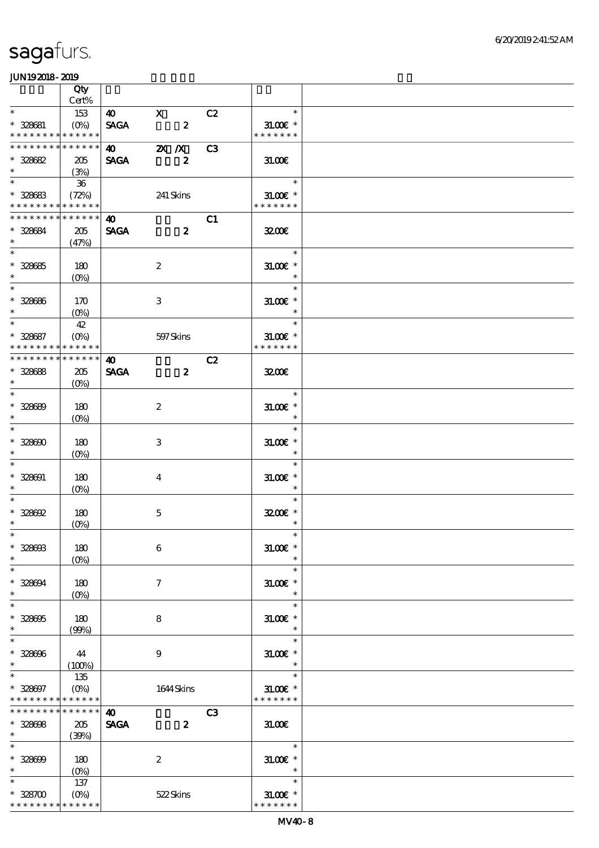|                                           | Qty            |                       |                         |                |                             |  |
|-------------------------------------------|----------------|-----------------------|-------------------------|----------------|-----------------------------|--|
|                                           | Cert%          |                       |                         |                |                             |  |
| $\ast$                                    | 153            | $\boldsymbol{40}$     | $\mathbf{X}$            | C2             | $\ast$                      |  |
| $* 328681$<br>* * * * * * * * * * * * * * | $(O\%)$        | <b>SAGA</b>           | $\overline{\mathbf{c}}$ |                | $31.00E$ *<br>* * * * * * * |  |
| * * * * * * * * * * * * * *               |                | $\boldsymbol{\omega}$ | $2X$ /X                 | C <sub>3</sub> |                             |  |
| $* 328682$                                | 205            | <b>SAGA</b>           | $\boldsymbol{z}$        |                | 31.00E                      |  |
| $\ast$                                    | (3%)           |                       |                         |                |                             |  |
| $\ast$                                    | $-36$          |                       |                         |                | $\ast$                      |  |
| $* 328683$                                | (72%)          |                       | 241 Skins               |                | $31.005*$                   |  |
| * * * * * * * * * * * * * *               |                |                       |                         |                | * * * * * * *               |  |
| * * * * * * * * * * * * * *               |                | 40                    |                         | C1             |                             |  |
| * 328684                                  | 205            | <b>SAGA</b>           | $\boldsymbol{z}$        |                | 3200                        |  |
| $\ast$                                    | (47%)          |                       |                         |                |                             |  |
| $\overline{\phantom{0}}$                  |                |                       |                         |                | $\ast$                      |  |
| $* 328685$                                | 180            |                       | $\boldsymbol{2}$        |                | $3L00E$ *                   |  |
| $\ast$                                    | $(O\%)$        |                       |                         |                | $\ast$                      |  |
| $\overline{\ast}$                         |                |                       |                         |                | $\ast$                      |  |
| $* 328686$<br>$\ast$                      | 170            |                       | 3                       |                | $31.005$ *<br>$\ast$        |  |
|                                           | $(O\% )$<br>42 |                       |                         |                | $\ast$                      |  |
| $* 328687$                                | $(O\%)$        |                       | 597Skins                |                | $31.00E$ *                  |  |
| * * * * * * * * * * * * * *               |                |                       |                         |                | * * * * * * *               |  |
| * * * * * * * *                           | * * * * * *    | $\boldsymbol{\omega}$ |                         | C2             |                             |  |
| $* 328688$                                | 205            | <b>SAGA</b>           | $\mathbf{z}$            |                | 3200                        |  |
| $\ast$                                    | $(O\%)$        |                       |                         |                |                             |  |
| $\ast$                                    |                |                       |                         |                | $\ast$                      |  |
| $* 328689$                                | 180            |                       | $\boldsymbol{2}$        |                | $31.005$ *                  |  |
| $\ast$                                    | $(O\%)$        |                       |                         |                | $\ast$                      |  |
| $\ast$                                    |                |                       |                         |                | $\ast$                      |  |
| $* 32800$                                 | 180            |                       | 3                       |                | $31.005$ *                  |  |
| $\ast$<br>$\ast$                          | $(O\%)$        |                       |                         |                | $\ast$                      |  |
| $* 328001$                                |                |                       |                         |                | $\ast$                      |  |
| $\ast$                                    | 180<br>$(O\%)$ |                       | $\overline{4}$          |                | $31.005*$<br>$\ast$         |  |
| $\ast$                                    |                |                       |                         |                | $\ast$                      |  |
| $* 328692$                                | 180            |                       | $\mathbf{5}$            |                | 3200E *                     |  |
| $\ast$                                    | $(O\%)$        |                       |                         |                | $\ast$                      |  |
| $*$                                       |                |                       |                         |                | $\ast$                      |  |
| $* 328003$                                | 180            |                       | $\boldsymbol{6}$        |                | $31.00E$ *                  |  |
| $\ast$                                    | $(O\%)$        |                       |                         |                | $\ast$                      |  |
| $\ast$                                    |                |                       |                         |                | $\ast$                      |  |
| $* 328094$                                | 180            |                       | $\tau$                  |                | $31.005*$                   |  |
| $\ast$                                    | $(0\%)$        |                       |                         |                | $\ast$                      |  |
| $\ast$                                    |                |                       |                         |                | $\ast$                      |  |
| $* 328005$<br>$\ast$                      | 180<br>(90%)   |                       | 8                       |                | $31.005*$<br>$\ast$         |  |
| $\ast$                                    |                |                       |                         |                | $\ast$                      |  |
| $* 328006$                                | 44             |                       | 9                       |                | $31.00$ $*$                 |  |
| $\ast$                                    | $(100\%)$      |                       |                         |                | $\ast$                      |  |
| $\ast$                                    | 135            |                       |                         |                | $\ast$                      |  |
| $* 328007$                                | $(O\%)$        |                       | 1644 Skins              |                | $31.005*$                   |  |
| * * * * * * * *                           | * * * * * *    |                       |                         |                | * * * * * * *               |  |
| * * * * * * * *                           | * * * * * *    | $\boldsymbol{\omega}$ |                         | C <sub>3</sub> |                             |  |
| $* 328008$                                | $205\,$        | <b>SAGA</b>           | $\boldsymbol{z}$        |                | 31.00                       |  |
| $*$ and $*$                               | (39%)          |                       |                         |                |                             |  |
| $\ast$                                    |                |                       |                         |                | $\ast$                      |  |
| $* 328009$<br>$\ast$                      | 180            |                       | $\boldsymbol{2}$        |                | $31.00E$ *<br>$\ast$        |  |
| $\ast$                                    | $(O\%)$        |                       |                         |                | $\ast$                      |  |
| $* 328700$                                | 137<br>$(O\%)$ |                       | 522Skins                |                | $31.005*$                   |  |
| * * * * * * * *                           | * * * * * *    |                       |                         |                | * * * * * * *               |  |
|                                           |                |                       |                         |                |                             |  |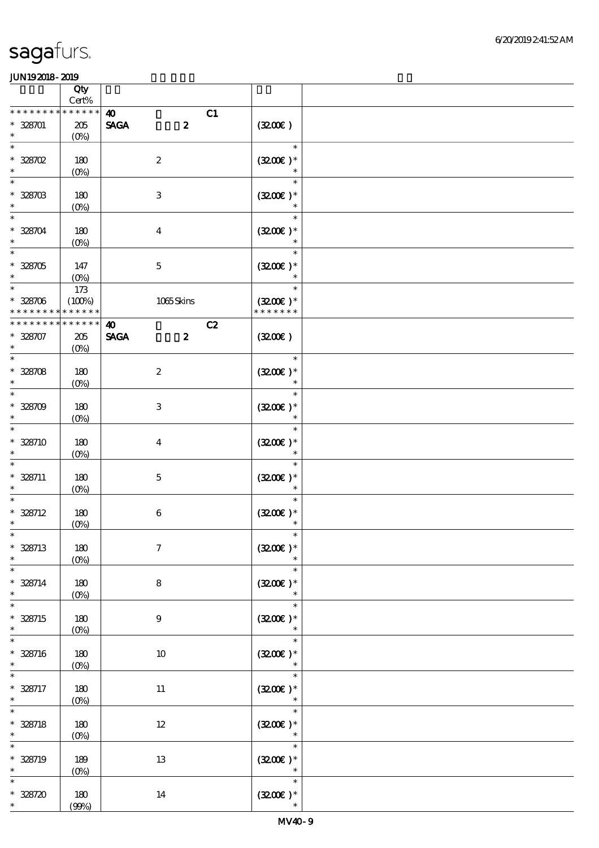|                                                           | Qty<br>$\mbox{Cert}\%$            |                                                                |                                       |  |
|-----------------------------------------------------------|-----------------------------------|----------------------------------------------------------------|---------------------------------------|--|
| * * * * *                                                 | * * * * * *                       |                                                                |                                       |  |
| $* 328701$<br>$\ast$                                      | 205<br>$(0\%)$                    | $\boldsymbol{\omega}$<br>C1<br>$\boldsymbol{z}$<br><b>SAGA</b> | (320)                                 |  |
| $\ast$<br>$* 328702$<br>$\ast$                            | 180<br>$(0\%)$                    | $\boldsymbol{2}$                                               | $\ast$<br>$(3200)$ *<br>$\ast$        |  |
| $\ast$<br>$^\ast$ 328703 $^\ast$                          | 180<br>$(0\%)$                    | $\,3$                                                          | $\ast$<br>$(3200)$ *<br>$\ast$        |  |
| $\ast$<br>$* 328704$<br>$\ast$                            | 180<br>$(0\%)$                    | $\boldsymbol{4}$                                               | $\ast$<br>$(3200)$ *<br>$\ast$        |  |
| $\ast$<br>$* 328705$<br>$\ast$                            | 147<br>$(0\%)$                    | $\mathbf 5$                                                    | $\ast$<br>$(3200)$ *                  |  |
| $\overline{\phantom{0}}$<br>$* 328706$<br>* * * * * * * * | $173\,$<br>(100%)<br>* * * * * *  | 1065Skins                                                      | $\ast$<br>$(3200)$ *<br>* * * * * * * |  |
|                                                           |                                   |                                                                |                                       |  |
| ********<br>* 328707<br>$\ast$                            | * * * * * *<br>$205\,$<br>$(O\%)$ | C2<br>$\boldsymbol{\omega}$<br><b>SAGA</b><br>$\boldsymbol{z}$ | (320)                                 |  |
| $\ast$<br>$* 328708$<br>$\ast$                            | 180<br>$(0\%)$                    | $\boldsymbol{2}$                                               | $\ast$<br>$(3200)$ *<br>$\ast$        |  |
| $\ast$<br>$* 328709$<br>$\ast$                            | 180<br>$(0\%)$                    | $\,3$                                                          | $\ast$<br>$(3200)$ *<br>$\ast$        |  |
| $\ast$<br>$* 328710$<br>$\ast$                            | 180<br>$(0\%)$                    | $\boldsymbol{4}$                                               | $\ast$<br>$(3200)$ *<br>$\ast$        |  |
| $\ast$<br>$* 328711$<br>$\ast$                            | 180<br>$(O\%)$                    | $\mathbf 5$                                                    | $\ast$<br>$(3200)$ *                  |  |
| $\ast$<br>$* 328712$<br>$\ast$                            | 180<br>(0%)                       | $\,6\,$                                                        | $(3200)$ *<br>$\ast$                  |  |
| $*$<br>$* 328713$<br>$\ast$                               | 180<br>$(0\%)$                    | $\boldsymbol{7}$                                               | $\ast$<br>$(3200)$ *<br>$\ast$        |  |
| $\ast$<br>$* 328714$<br>$\ast$                            | 180<br>$(0\%)$                    | $\bf 8$                                                        | $\ast$<br>$(3200)$ *<br>$\ast$        |  |
| $\ast$<br>$* 328715$<br>$\ast$                            | 180<br>$(0\%)$                    | $\boldsymbol{9}$                                               | $\ast$<br>$(3200)$ *<br>$\ast$        |  |
| $\ast$<br>$* 328716$<br>$\ast$                            | 180<br>$(0\%)$                    | 10                                                             | $\ast$<br>$(3200)$ *<br>$\ast$        |  |
| $\ast$<br>$* 328717$<br>$\ast$                            | $180\,$<br>(0%)                   | $11\,$                                                         | $\ast$<br>$(3200)$ *                  |  |
| $\ast$<br>$* 328718$<br>$\ast$                            | $180\,$<br>$(0\%)$                | $12\,$                                                         | $\ast$<br>$(320)$ *<br>$\ast$         |  |
| $\ast$<br>$* 328719$<br>$\ast$                            | 189<br>$(0\%)$                    | $13\,$                                                         | $\ast$<br>$(320)$ *<br>$\ast$         |  |
| $\ast$<br>$* 328720$<br>$\ast$                            | 180<br>(90%)                      | 14                                                             | $\ast$<br>$(3200)$ *<br>$\ast$        |  |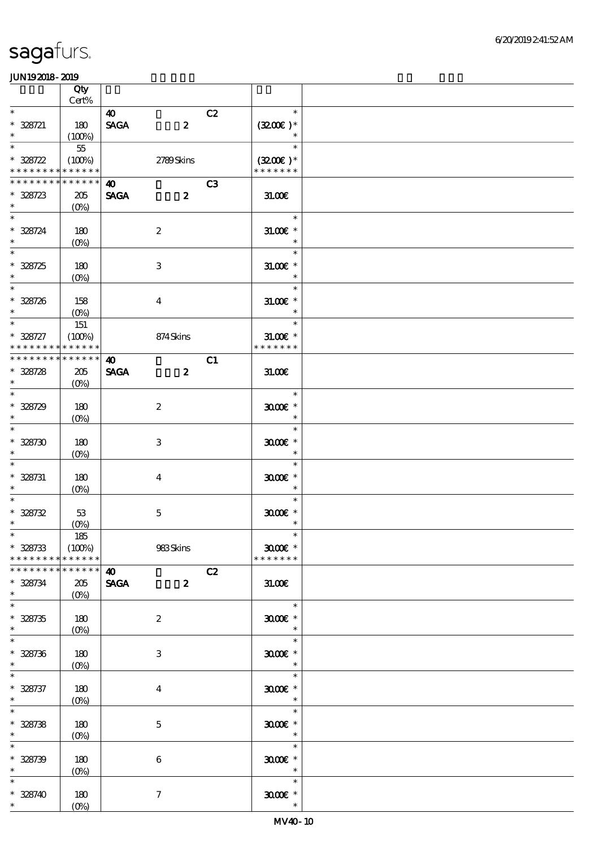|                                                    | Qty<br>$\mbox{Cert}\%$ |                                      |                  |    |                                 |  |
|----------------------------------------------------|------------------------|--------------------------------------|------------------|----|---------------------------------|--|
| $\ast$                                             |                        |                                      |                  |    | $\ast$                          |  |
| $* 328721$<br>$\ast$                               | 180<br>(100%)          | $\boldsymbol{\omega}$<br><b>SAGA</b> | $\boldsymbol{z}$ | C2 | $(3200)$ *<br>$\ast$            |  |
| $\ast$                                             | $55\,$                 |                                      |                  |    | $\ast$                          |  |
| $* 328722$<br>* * * * * * * * * * * * * *          | (100%)                 |                                      | 2789Skins        |    | $(3200)$ *<br>* * * * * * *     |  |
| * * * * * * * * * * * * * *                        |                        |                                      |                  | C3 |                                 |  |
| $* 328723$<br>$\ast$                               | 205<br>$(O\%)$         | 40<br><b>SAGA</b>                    | $\boldsymbol{z}$ |    | 31.00                           |  |
| $\overline{\phantom{0}}$<br>$^\ast$ 328724 $^\ast$ | 180<br>$(O\%)$         |                                      | $\boldsymbol{2}$ |    | $\ast$<br>$31.00$ $*$<br>$\ast$ |  |
| $\overline{\ast}$<br>$* 328725$<br>$\ast$          | 180<br>$(0\%)$         |                                      | $\,3$            |    | $\ast$<br>$31.00E$ *<br>$\ast$  |  |
| $\overline{\phantom{0}}$<br>$* 328726$<br>$\ast$   | 158<br>$(O\%)$         |                                      | $\boldsymbol{4}$ |    | $\ast$<br>$31.00E$ *<br>$\ast$  |  |
| $\overline{\phantom{0}}$                           | 151                    |                                      |                  |    | $\ast$                          |  |
| $* 328727$<br>* * * * * * * *                      | (100%)<br>* * * * * *  |                                      | 874Skins         |    | $31.00$ $*$<br>* * * * * * *    |  |
| * * * * * * * *                                    | * * * * * *            | $\boldsymbol{\omega}$                |                  | C1 |                                 |  |
| $* 328728$<br>$\ast$                               | 205<br>$(O\%)$         | <b>SAGA</b>                          | $\boldsymbol{z}$ |    | 31.00E                          |  |
| $\overline{\ast}$<br>$* 328729$                    | 180                    |                                      | $\boldsymbol{2}$ |    | $\ast$<br>$3000$ $*$            |  |
| $\ast$                                             | $(0\%)$                |                                      |                  |    | $\ast$                          |  |
| $\overline{\phantom{0}}$                           |                        |                                      |                  |    | $\ast$                          |  |
| $* 328730$<br>$\ast$                               | 180<br>$(0\%)$         |                                      | $\,3\,$          |    | $3000$ $*$<br>$\ast$            |  |
| $\ast$                                             |                        |                                      |                  |    | $\ast$                          |  |
| $* 328731$<br>$\ast$                               | 180<br>$(0\%)$         |                                      | $\boldsymbol{4}$ |    | $3000$ $*$<br>$\ast$            |  |
| $\ast$                                             |                        |                                      |                  |    | $\ast$                          |  |
| $* 328732$<br>$\ast$                               | $53\,$<br>$(0\%)$      |                                      | $\mathbf 5$      |    | $3000$ $*$<br>$\ast$            |  |
| $*$                                                | $185\,$                |                                      |                  |    | $\ast$                          |  |
| $* 328733$<br>* * * * * * * *                      | (100%)<br>* * * * * *  |                                      | 983Skins         |    | $3000$ $*$<br>* * * * * * *     |  |
| * * * * * * * *                                    | * * * * * *            | $\boldsymbol{\omega}$                |                  | C2 |                                 |  |
| $* 328734$<br>$\ast$                               | 205<br>$(0\%)$         | <b>SAGA</b>                          | $\boldsymbol{z}$ |    | 31.00E                          |  |
| $\overline{\phantom{0}}$                           |                        |                                      |                  |    | $\ast$                          |  |
| $* 328735$<br>$\ast$                               | 180<br>$(0\%)$         |                                      | $\boldsymbol{2}$ |    | $3000$ $*$<br>$\ast$            |  |
| $\overline{\ast}$                                  |                        |                                      |                  |    | $\ast$                          |  |
| $* 328736$<br>$\ast$                               | 180<br>$(O\!/\!o)$     |                                      | $\,3$            |    | $3000$ $*$<br>$\ast$            |  |
| $\ast$                                             |                        |                                      |                  |    | $\ast$                          |  |
| $* 328737$<br>$\ast$<br>$\overline{\ast}$          | 180<br>$(O_0)$         |                                      | $\boldsymbol{4}$ |    | $3000$ $*$<br>$\ast$<br>$\ast$  |  |
| $* 328738$<br>$\ast$                               | 180<br>$(0\%)$         |                                      | $\mathbf 5$      |    | $3000$ $*$<br>$\ast$            |  |
| $\overline{\ast}$                                  |                        |                                      |                  |    | $\ast$                          |  |
| $* 328739$<br>$\ast$                               | 180<br>$(0\%)$         |                                      | $\,6\,$          |    | $3000$ $*$<br>$\ast$            |  |
| $\ast$                                             |                        |                                      |                  |    | $\ast$                          |  |
| $* 328740$<br>$*$                                  | 180<br>$(O_0)$         |                                      | $\boldsymbol{7}$ |    | $3000$ $*$<br>$\ast$            |  |
|                                                    |                        |                                      |                  |    |                                 |  |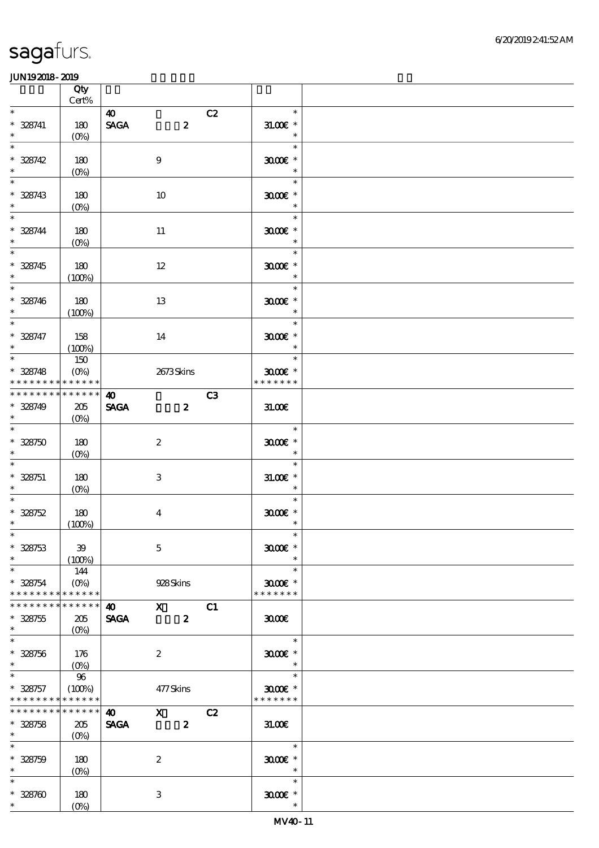|                                                     | Qty<br>$\mbox{Cert}\%$                                   |                                      |                           |                  |    |                                       |  |
|-----------------------------------------------------|----------------------------------------------------------|--------------------------------------|---------------------------|------------------|----|---------------------------------------|--|
| $\ast$                                              |                                                          | $\boldsymbol{\omega}$                |                           |                  | C2 | $\ast$                                |  |
| $* 328741$<br>$\ast$                                | 180<br>(O <sub>0</sub> )                                 | <b>SAGA</b>                          |                           | $\boldsymbol{z}$ |    | $31.005$ *<br>$\ast$                  |  |
| $\ast$<br>$* 328742$<br>$\ast$                      | 180<br>$(0\%)$                                           |                                      | $9$                       |                  |    | $\ast$<br>$3000$ $*$<br>$\ast$        |  |
| $\ast$<br>$* 328743$<br>$\ast$                      | 180<br>$(0\%)$                                           |                                      | 10                        |                  |    | $\ast$<br>$3000$ $*$<br>$\ast$        |  |
| $\ast$<br>$* 328744$<br>$\ast$                      | 180<br>$(O\%)$                                           |                                      | 11                        |                  |    | $\ast$<br>$3000$ $*$<br>$\ast$        |  |
| $\ast$<br>$* 328745$<br>$\ast$                      | 180<br>(100%)                                            |                                      | $12\,$                    |                  |    | $\ast$<br>$3000$ $*$<br>$\ast$        |  |
| $\overline{\phantom{0}}$<br>$* 328746$<br>$\ast$    | 180<br>(100%)                                            |                                      | 13                        |                  |    | $\ast$<br>$3000$ $^{\circ}$<br>$\ast$ |  |
| $\overline{\phantom{0}}$<br>$* 328747$<br>$\ast$    | 158<br>(100%)                                            |                                      | 14                        |                  |    | $\ast$<br>$3000$ $*$<br>$\ast$        |  |
| $\ast$<br>$* 328748$<br>* * * * * * * * * * * * * * | 150<br>$(O\%)$                                           |                                      | 2673Skins                 |                  |    | $\ast$<br>$3000$ $*$<br>* * * * * * * |  |
| * * * * * * * *<br>$* 328749$<br>$\ast$             | * * * * * *<br>205<br>$(O\%)$                            | $\boldsymbol{\omega}$<br><b>SAGA</b> |                           | $\boldsymbol{z}$ | C3 | 31.00E                                |  |
| $\overline{\ast}$<br>$* 328750$<br>$\ast$           | 180<br>$(0\%)$                                           |                                      | $\boldsymbol{2}$          |                  |    | $\ast$<br>$3000$ $^{\circ}$<br>$\ast$ |  |
| $\ast$<br>$* 328751$<br>$\ast$                      | 180<br>$(O\%)$                                           |                                      | $\ensuremath{\mathbf{3}}$ |                  |    | $\ast$<br>$31.005$ *<br>$\ast$        |  |
| $\ast$<br>$* 328752$<br>$\ast$                      | 180<br>(100%)                                            |                                      | $\boldsymbol{4}$          |                  |    | $\ast$<br>$3000$ $^{\circ}$<br>$\ast$ |  |
| $*$<br>$* 328753$<br>$\ast$                         | 39<br>(100%)                                             |                                      | $\mathbf 5$               |                  |    | $\ast$<br>$3000$ $*$<br>$\ast$        |  |
| $\ast$<br>$* 328754$<br>* * * * * * * *             | 144<br>$(O\%)$<br>* * * * * *                            |                                      | 928Skins                  |                  |    | $\ast$<br>$3000$ $*$<br>* * * * * * * |  |
| * * * * * * * *<br>$* 328755$<br>$\ast$             | * * * * * *<br>205<br>$(O\%)$                            | 40 X C1<br><b>SAGA</b>               |                           | $\boldsymbol{z}$ |    | 3000                                  |  |
| $\ast$<br>$* 328756$<br>$\ast$                      | 176<br>$(O\!\!\!\!\!\!\!\backslash \!\!\!\!\!\backslash$ |                                      | $\boldsymbol{2}$          |                  |    | $\ast$<br>$3000$ $*$                  |  |
| $\ast$<br>$* 328757$<br>* * * * * * * * * * * * * * | 96<br>(100%)                                             |                                      | 477Skins                  |                  |    | $\ast$<br>$3000$ $*$<br>* * * * * * * |  |
| * * * * * * * *<br>$* 328758$<br>$\ast$             | * * * * * *<br>205<br>$(0\%)$                            | $\boldsymbol{\omega}$<br><b>SAGA</b> | $X$ C <sub>2</sub>        | $\boldsymbol{z}$ |    | 31.00                                 |  |
| $\ast$<br>$* 328759$<br>$\ast$                      | 180<br>$(0\%)$                                           |                                      | $\boldsymbol{2}$          |                  |    | $\ast$<br>$3000$ $*$<br>$\ast$        |  |
| $\ast$<br>$* 328700$<br>$\ast$                      | 180<br>$(O\!/\!o)$                                       |                                      | $\ensuremath{\mathbf{3}}$ |                  |    | $\ast$<br>$3000$ $*$<br>$\ast$        |  |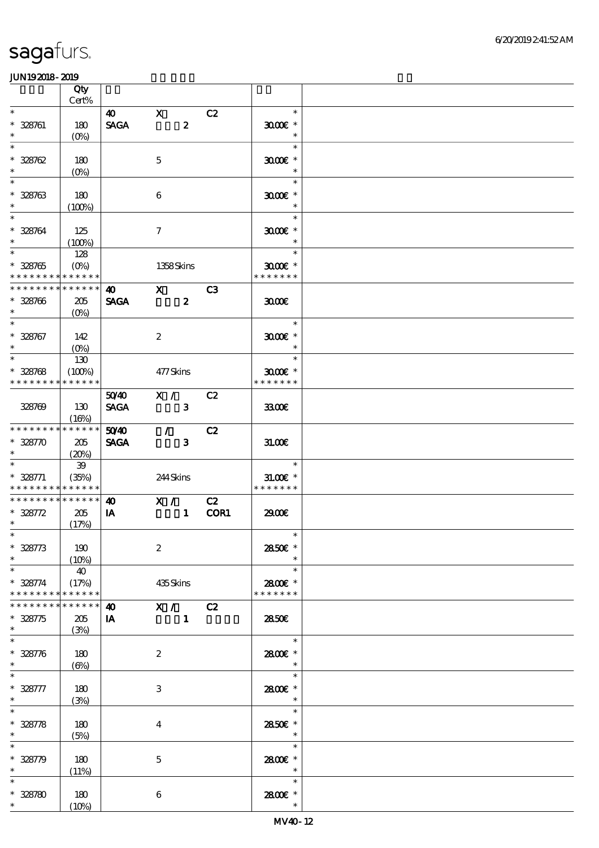|                                                    | Qty<br>Cert%                    |                                      |                                  |      |                                              |  |
|----------------------------------------------------|---------------------------------|--------------------------------------|----------------------------------|------|----------------------------------------------|--|
| $\ast$                                             |                                 |                                      |                                  |      | $\ast$                                       |  |
| $* 328761$<br>$\ast$                               | 180<br>$(O\%)$                  | $\boldsymbol{\omega}$<br><b>SAGA</b> | $\mathbf{X}$<br>$\boldsymbol{z}$ | C2   | $3000$ $*$<br>$\ast$                         |  |
| $\ast$<br>$* 328762$<br>$\ast$                     | 180<br>$(O\%)$                  |                                      | $\mathbf 5$                      |      | $\ast$<br>$3000$ $*$<br>$\ast$               |  |
| $\ast$<br>$* 328763$<br>$\ast$                     | 180<br>(100%)                   |                                      | $\boldsymbol{6}$                 |      | $\ast$<br>$3000$ $*$<br>$\ast$               |  |
| $\ast$<br>$* 328764$<br>$\ast$                     | 125<br>(100%)                   |                                      | $\tau$                           |      | $\ast$<br>$3000$ $*$<br>$\ast$               |  |
| $\overline{\ast}$<br>$* 328765$<br>* * * * * * * * | 128<br>$(O\%)$<br>* * * * * *   |                                      | 1358Skins                        |      | $\ast$<br>$3000$ $*$<br>* * * * * * *        |  |
| * * * * * * * *<br>$* 328706$<br>$\ast$            | * * * * * *<br>205<br>$(O\%)$   | 40<br><b>SAGA</b>                    | $\mathbf X$<br>$\boldsymbol{z}$  | C3   | 3000                                         |  |
| $\overline{\ast}$<br>$* 328767$<br>$\ast$          | 142<br>$(O\%)$                  |                                      | $\boldsymbol{2}$                 |      | $\ast$<br>$3000$ $*$<br>$\ast$               |  |
| $\ast$<br>$* 328768$<br>* * * * * * * *            | 130<br>(100%)<br>* * * * * *    |                                      | 477Skins                         |      | $\ast$<br>$3000$ $*$<br>* * * * * * *        |  |
| 328709                                             | 130<br>(16%)                    | 5040<br><b>SAGA</b>                  | X /<br>$\overline{\mathbf{3}}$   | C2   | 3300€                                        |  |
| * * * * * * * *<br>$* 32870$<br>$\ast$             | * * * * * *<br>205<br>(20%)     | 5040<br><b>SAGA</b>                  | $\mathcal{L}$<br>$\mathbf{3}$    | C2   | 31.00E                                       |  |
| $\ast$<br>$* 328771$<br>* * * * * * * *            | $39\,$<br>(35%)<br>* * * * * *  |                                      | 244Skins                         |      | $\ast$<br>$31.005*$<br>* * * * * * *         |  |
| * * * * * * * *<br>$* 328772$<br>$\ast$            | $* * * * * * *$<br>205<br>(17%) | $\boldsymbol{\omega}$<br>IA          | X / C2<br>$\mathbf{1}$           | COR1 | 2900€                                        |  |
| $*$<br>$* 328773$                                  | 190<br>(10%)                    |                                      | $\boldsymbol{2}$                 |      | $\overline{\mathbf{r}}$<br>2850€ *<br>$\ast$ |  |
| $\ast$<br>$* 328774$<br>* * * * * * * *            | 40<br>(17%)<br>* * * * * *      |                                      | 435Skins                         |      | $\ast$<br>2800E *<br>* * * * * * *           |  |
| * * * * * * *<br>$* 328775$<br>$\ast$              | * * * * * *<br>205<br>(3%)      | $\boldsymbol{\omega}$<br>IA          | X / C2<br>$\mathbf{1}$           |      | 2850E                                        |  |
| $\ast$<br>$* 328776$<br>$\ast$                     | 180<br>$(\Theta)$               |                                      | $\boldsymbol{2}$                 |      | $\ast$<br>2800€ *                            |  |
| $\ast$<br>$* 328777$<br>$\ast$                     | 180<br>(3%)                     |                                      | 3                                |      | $\ast$<br>2800 £*<br>$\ast$                  |  |
| $* 328778$<br>$\ast$                               | 180<br>(5%)                     |                                      | $\bf{4}$                         |      | $\ast$<br>2850E *<br>$\ast$                  |  |
| $* 328779$<br>$\ast$                               | 180<br>(11%)                    |                                      | $\mathbf 5$                      |      | $\ast$<br>2800€ *<br>$\ast$                  |  |
| $\ast$<br>$* 328780$<br>$\ast$                     | 180<br>(10%)                    |                                      | $\bf 6$                          |      | $\ast$<br>2800€ *<br>$\ast$                  |  |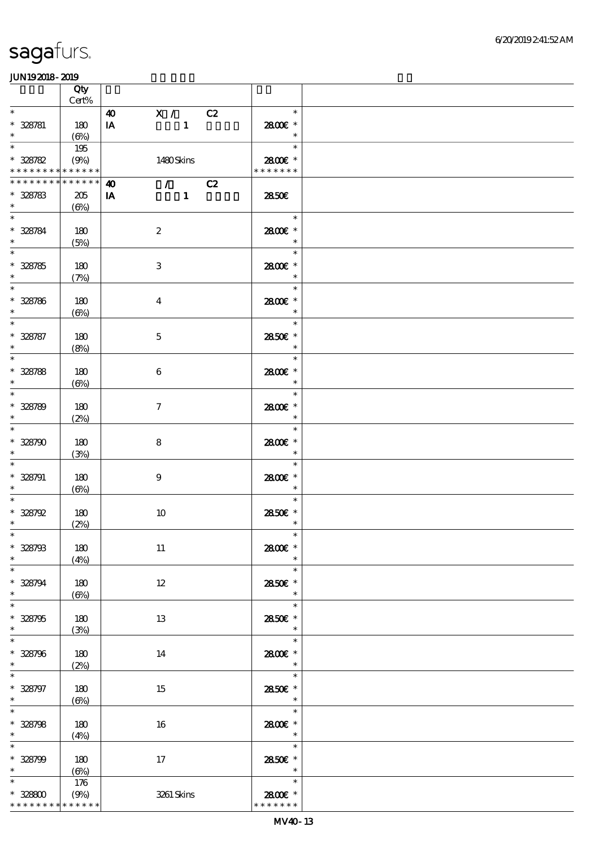|                                                       | Qty                        |                                                             |                                    |  |
|-------------------------------------------------------|----------------------------|-------------------------------------------------------------|------------------------------------|--|
| $\ast$                                                | $Cert\%$                   |                                                             | $\ast$                             |  |
| $* 328781$<br>$\ast$                                  | 180<br>$(\Theta)$          | X / C2<br>$\boldsymbol{\omega}$<br>$\mathbf{1}$<br>IA       | 2800€ *<br>$\ast$                  |  |
| $\ast$<br>$* 328782$                                  | 195<br>(9%)                | 1480Skins                                                   | $\ast$<br>2800 £*                  |  |
| * * * * * * * * * * * * * *                           |                            |                                                             | * * * * * * *                      |  |
| * * * * * * * * * * * * * * *<br>$* 328783$<br>$\ast$ | 205<br>$(\Theta)$          | $\sqrt{C^2}$<br>$\boldsymbol{\omega}$<br>IA<br>$\mathbf{1}$ | 2850E                              |  |
| $\ast$<br>$* 328784$<br>$\ast$                        | 180<br>(5%)                | $\boldsymbol{2}$                                            | $\ast$<br>2800€ *<br>$\ast$        |  |
| $\overline{\phantom{0}}$<br>$* 328785$<br>$\ast$      | 180<br>(7%)                | 3                                                           | $\ast$<br>2800€ *<br>$\ast$        |  |
| $\ast$<br>$* 328786$<br>$\ast$                        | 180<br>$(\Theta\%)$        | $\boldsymbol{4}$                                            | $\ast$<br>2800€ *<br>$\ast$        |  |
| $\overline{\ast}$<br>$* 328787$<br>$\ast$             | 180<br>(8%)                | $\mathbf 5$                                                 | $\ast$<br>2850€ *<br>$\ast$        |  |
| $\overline{\ast}$<br>$* 328788$<br>$\ast$             | 180<br>$(\Theta)$          | $\boldsymbol{6}$                                            | $\ast$<br>2800E *<br>$\ast$        |  |
| $\ast$<br>$* 328789$<br>$\ast$                        | 180<br>(2%)                | $\tau$                                                      | $\ast$<br>2800E *<br>$\ast$        |  |
| $\ast$<br>$* 328790$<br>$\ast$                        | 180<br>(3%)                | 8                                                           | $\ast$<br>2800€ *<br>$\ast$        |  |
| $\ast$<br>$* 328791$<br>$\ast$                        | 180<br>$(\Theta_0)$        | $\boldsymbol{9}$                                            | $\ast$<br>2800€ *<br>$\ast$        |  |
| $\ast$<br>$* 328792$<br>$\ast$                        | 180<br>(2%)                | $10\,$                                                      | $\ast$<br>2850€ *<br>$\ast$        |  |
| $*$<br>$* 328793$<br>$\ast$                           | 180<br>(4%)                | 11                                                          | $\ast$<br>2800€ *<br>$\ast$        |  |
| $\ast$<br>$* 328794$<br>$\ast$                        | 180<br>$(\Theta)$          | $12\,$                                                      | $\ast$<br>2850E *<br>$\ast$        |  |
| $\ast$<br>$* 328795$<br>$\ast$                        | 180<br>(3%)                | 13                                                          | $\ast$<br>2850E *<br>$\ast$        |  |
| $\ast$<br>$* 328796$<br>$\ast$                        | 180<br>(2%)                | 14                                                          | $\ast$<br>2800€ *<br>$\ast$        |  |
| $\ast$<br>$* 328797$<br>$\ast$                        | 180<br>$(\Theta\% )$       | 15                                                          | $\ast$<br>2850E *<br>$\ast$        |  |
| $\ast$<br>$* 328798$<br>$\ast$                        | 180<br>(4%)                | 16                                                          | $\ast$<br>2800€ *<br>$\ast$        |  |
| $\ast$<br>$* 328799$<br>$\ast$                        | 180<br>$(\Theta)$          | 17                                                          | $\ast$<br>2850E *<br>$\ast$        |  |
| $\ast$<br>$* 32800$<br>* * * * * * * *                | 176<br>(9%)<br>* * * * * * | 3261 Skins                                                  | $\ast$<br>2800€ *<br>* * * * * * * |  |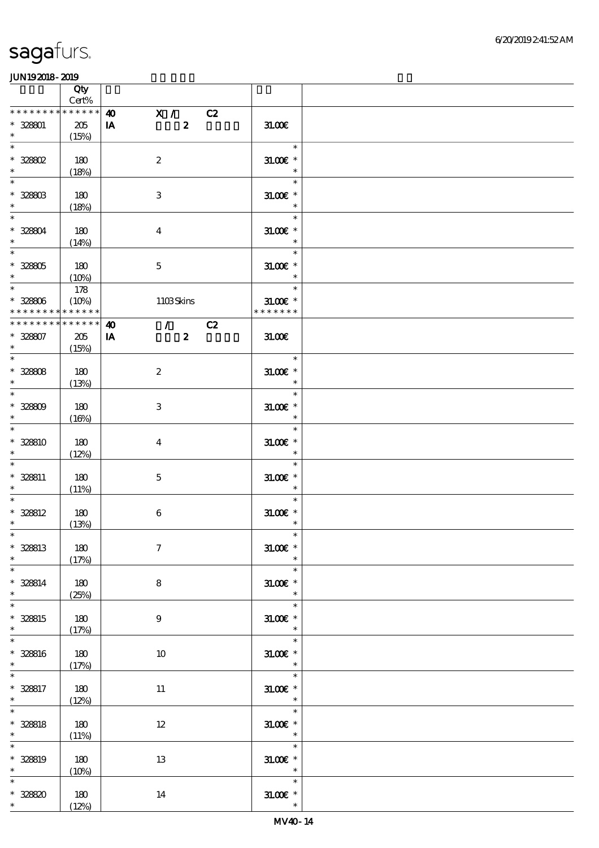|                                                   | Qty<br>$Cert\%$             |                                                                                      |                                        |  |
|---------------------------------------------------|-----------------------------|--------------------------------------------------------------------------------------|----------------------------------------|--|
| * * * * * * * * * * * * * *                       |                             |                                                                                      |                                        |  |
| $* 32801$<br>$\ast$                               | 205<br>(15%)                | X / C2<br>$\boldsymbol{\omega}$<br>$\boldsymbol{z}$<br>IA                            | 31.00E                                 |  |
| $\ast$<br>$^*$ 328802<br>$\ast$                   | 180<br>(18%)                | $\boldsymbol{2}$                                                                     | $\ast$<br>$31.005$ *<br>$\ast$         |  |
| $\ast$<br>$* 32880B$<br>$\ast$                    | 180                         | $\,3$                                                                                | $\ast$<br>$31.005$ *<br>$\ast$         |  |
| $\ast$<br>$* 32804$<br>$\ast$                     | (18%)<br>180                | $\boldsymbol{4}$                                                                     | $\ast$<br>$31.005$ *<br>$\ast$         |  |
| $\overline{\phantom{a}}$<br>$* 32805$<br>$\ast$   | (14%)<br>180                | $\mathbf 5$                                                                          | $\ast$<br>$31.00E$ *<br>$\ast$         |  |
| $\overline{\ast}$<br>$* 32800$<br>* * * * * * * * | (10%)<br>178<br>(10%)       | 1103Skins                                                                            | $\ast$<br>$31.00E$ *<br>* * * * * * *  |  |
|                                                   | $******$                    |                                                                                      |                                        |  |
| ********<br>$* 328807$<br>$\ast$                  | * * * * * *<br>205<br>(15%) | $\mathcal{L} = \mathcal{L}$<br>C2<br>$\boldsymbol{\omega}$<br>$\boldsymbol{z}$<br>IA | 31.00E                                 |  |
| $\overline{\ast}$<br>$* 32808$<br>$\ast$          | 180<br>(13%)                | $\boldsymbol{2}$                                                                     | $\ast$<br>$31.00E$ *<br>$\ast$         |  |
| $\overline{\ast}$<br>$* 32800$<br>$\ast$          | 180<br>(16%)                | 3                                                                                    | $\ast$<br>$31.005$ *<br>$\ast$         |  |
| $\ast$<br>$* 328810$<br>$\ast$                    | 180<br>(12%)                | $\overline{4}$                                                                       | $\ast$<br>$31.005*$<br>$\ast$          |  |
| $\ast$<br>$* 328811$<br>$\ast$                    | 180<br>(11%)                | $\mathbf{5}$                                                                         | $\ast$<br>$31.005$ *<br>$\ast$         |  |
| $\ast$<br>$* 328812$<br>$\ast$                    | 180<br>(13%)                | $\boldsymbol{6}$                                                                     | $\ast$<br>$31.005$ $^{\ast}$<br>$\ast$ |  |
| $*$<br>$* 328813$<br>$\ast$                       | 180<br>(17%)                | $\boldsymbol{7}$                                                                     | $\ast$<br>$31.00E$ *<br>$\ast$         |  |
| $\ast$<br>$* 328814$<br>$\ast$                    | 180<br>(25%)                | 8                                                                                    | $\ast$<br>$31.005$ *<br>$\ast$         |  |
| $\overline{\ast}$<br>* 328815<br>$\ast$           | 180<br>(17%)                | $\boldsymbol{9}$                                                                     | $\ast$<br>$31.005$ *<br>$\ast$         |  |
| $\ast$<br>* 328816<br>$\ast$                      | 180<br>(17%)                | 10                                                                                   | $\ast$<br>$31.00E$ *<br>$\ast$         |  |
| $\ast$<br>* 328817<br>$\ast$                      | 180<br>(12%)                | $11\,$                                                                               | $\ast$<br>$31.005$ *<br>$\ast$         |  |
| $\ast$<br>$* 328818$<br>$\ast$                    | 180<br>(11%)                | $12\,$                                                                               | $\ast$<br>$31.00E$ *<br>$\ast$         |  |
| $\ast$<br>$* 328819$<br>$\ast$                    | 180<br>(10%)                | 13                                                                                   | $\ast$<br>$31.005$ *<br>$\ast$         |  |
| $\ast$<br>$* 32880$<br>$*$ $*$                    | 180<br>(12%)                | 14                                                                                   | $\ast$<br>$31.00E$ *<br>$\ast$         |  |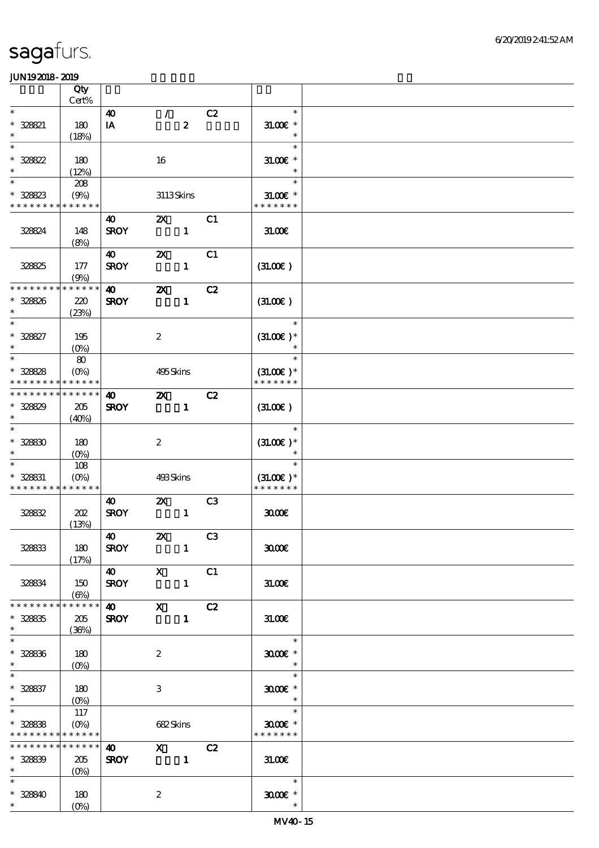|                                                                                        | Qty                                      |                                                  |                           |                  |                |                                        |  |
|----------------------------------------------------------------------------------------|------------------------------------------|--------------------------------------------------|---------------------------|------------------|----------------|----------------------------------------|--|
|                                                                                        | Cert%                                    |                                                  |                           |                  |                |                                        |  |
| $\ast$<br>* 328821<br>$\ast$                                                           | 180<br>(18%)                             | $\boldsymbol{\omega}$<br>$\mathbf{I} \mathbf{A}$ | $\mathcal{L}$             | $\boldsymbol{z}$ | C2             | $\ast$<br>$31.00E$ *<br>$\ast$         |  |
| $\ast$<br>$* 328822$                                                                   | 180                                      |                                                  | 16                        |                  |                | $\ast$<br>$31.00E$ *                   |  |
| $\ast$<br>$\ast$                                                                       | (12%)<br>208                             |                                                  |                           |                  |                | $\ast$<br>$\ast$                       |  |
| * 328823<br>* * * * * * * *                                                            | (9%)<br>* * * * * *                      |                                                  | 3113Skins                 |                  |                | $31.00E$ *<br>* * * * * * *            |  |
| 328824                                                                                 | 148<br>(8%)                              | $\boldsymbol{\omega}$<br><b>SROY</b>             | $\boldsymbol{\mathsf{Z}}$ | $\mathbf{1}$     | C1             | 31.006                                 |  |
| 32825                                                                                  | 177<br>(9%)                              | 40<br><b>SROY</b>                                | $\boldsymbol{\mathsf{z}}$ | $\mathbf{1}$     | C1             | (31.00)                                |  |
| * * * * * * *<br>* 328826<br>$\ast$                                                    | * * * * * *<br>220<br>(23%)              | $\boldsymbol{\omega}$<br><b>SROY</b>             | $\boldsymbol{\mathsf{z}}$ | $\mathbf{1}$     | C2             | (31.00)                                |  |
| $\ast$<br>$* 328827$<br>$\ast$                                                         | 195<br>$(O\%)$                           |                                                  | $\boldsymbol{2}$          |                  |                | $\ast$<br>$(31.00)$ *                  |  |
| $\ast$<br>$* 328828$<br>* * * * * * *                                                  | 80<br>$(O\!/\!\delta)$<br>* * * * * *    |                                                  | 495Skins                  |                  |                | $\ast$<br>$(31.00)$ *<br>* * * * * * * |  |
| * * * * * * *<br>* 328829<br>$\ast$                                                    | * * * * * *<br>205<br>(40%)              | $\boldsymbol{\omega}$<br><b>SROY</b>             | $\boldsymbol{\alpha}$     | $\mathbf{1}$     | C2             | (31.00)                                |  |
| $\ast$<br>$* 32830$<br>$\ast$                                                          | 180<br>$(O\%)$                           |                                                  | $\boldsymbol{2}$          |                  |                | $\ast$<br>$(31.00)$ *                  |  |
| $\ast$<br>* 328831<br>* * * * * * * *                                                  | 108<br>$(O\!/\!\!\delta)$<br>* * * * * * |                                                  | 493Skins                  |                  |                | $\ast$<br>$(31.00)$ *<br>* * * * * * * |  |
| 328832                                                                                 | 202<br>(13%)                             | 40<br><b>SROY</b>                                | $\boldsymbol{\mathsf{Z}}$ | $\mathbf{1}$     | C <sub>3</sub> | 3000                                   |  |
| 328833                                                                                 | 180<br>(17%)                             | 40<br><b>SROY</b>                                | $\mathbb{Z}$              | $\mathbf{1}$     | C3             | 3000                                   |  |
| 328834                                                                                 | 150<br>$(\Theta)$                        | 40 X<br><b>SROY</b>                              |                           | $\mathbf{1}$     | C1             | 31.00E                                 |  |
| * * * * * * *<br>$* 328835$<br>$\ast$                                                  | * * * * * *<br>205<br>(36%)              | <b>SROY</b>                                      | $\overline{40}$ X         | $\mathbf{1}$     | C2             | 31.00E                                 |  |
| $\ast$<br>$* 32836$<br>$\ast$                                                          | 180                                      |                                                  | $\boldsymbol{2}$          |                  |                | $\ast$<br>$3000$ $*$<br>$\ast$         |  |
| $\overline{\phantom{0}}$<br>$* 328837$<br>$\ast$                                       | 180                                      |                                                  | 3                         |                  |                | $\ast$<br>$3000$ $*$<br>$\ast$         |  |
| $\overline{\phantom{a}^*}$<br>$* 328838$<br>* * * * * * * * <mark>* * * * * *</mark> * | 117<br>$(O\%)$                           |                                                  | 682Skins                  |                  |                | $\ast$<br>$3000$ $*$<br>* * * * * * *  |  |
| * * * * * * * *<br>$* 328839$<br>$*$                                                   | $******$<br>205<br>$(0\%)$               | $\boldsymbol{\omega}$<br><b>SROY</b>             | $X$ C <sub>2</sub>        |                  |                | 31.00E                                 |  |
| $\ast$<br>$* 328840$<br>$*$ $*$                                                        | 180<br>$(O\!/\!\delta)$                  |                                                  | $\boldsymbol{2}$          |                  |                | $\ast$<br>$3000$ $^{\circ}$<br>$\ast$  |  |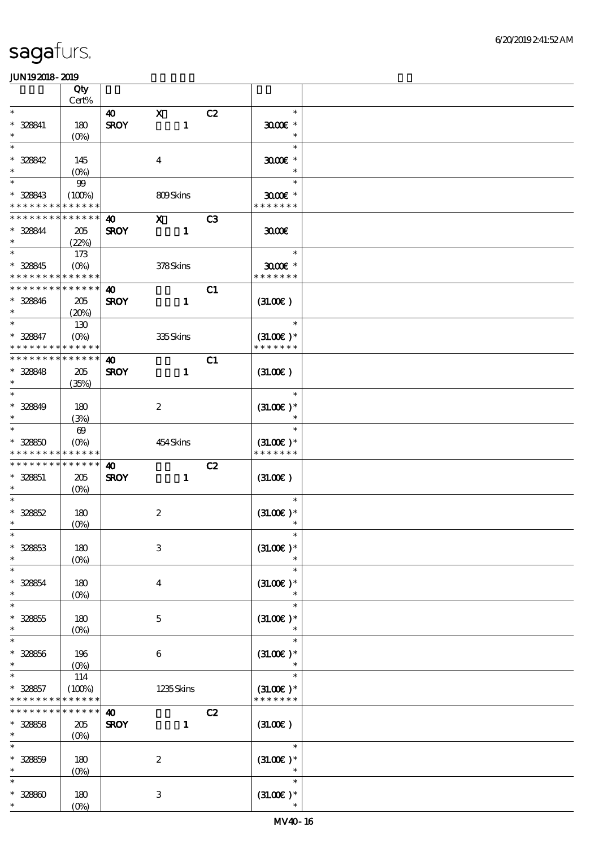|                                                                   | Qty                               |                                      |                              |                |                                                |  |
|-------------------------------------------------------------------|-----------------------------------|--------------------------------------|------------------------------|----------------|------------------------------------------------|--|
| $\ast$                                                            | $Cert\%$                          |                                      |                              |                | $\ast$                                         |  |
| $* 328841$<br>$\ast$                                              | 180<br>$(O\!/\!o)$                | $\boldsymbol{\omega}$<br><b>SROY</b> | $\mathbf{x}$<br>$\mathbf{1}$ | C2             | $3000$ $*$<br>$\ast$                           |  |
| $\ast$<br>$* 328842$<br>$\ast$                                    | 145<br>$(0\%)$                    |                                      | $\boldsymbol{4}$             |                | $\ast$<br>$3000$ $*$<br>$\ast$                 |  |
| $\ast$<br>* 328843<br>* * * * * * * * <mark>* * * * * *</mark>    | $99$<br>(100%)                    |                                      | 809Skins                     |                | $\ast$<br>$3000$ $*$<br>* * * * * * *          |  |
| * * * * * * * *                                                   | * * * * * *                       | $\boldsymbol{\omega}$                | $\mathbf{x}$                 |                |                                                |  |
| * 328844<br>$\ast$                                                | 205<br>(22%)                      | <b>SROY</b>                          | $\mathbf{1}$                 | C <sub>3</sub> | 3000                                           |  |
| $\overline{\ast}$<br>* 328845<br>* * * * * * * * * * * * * *      | 173<br>$(O\%)$                    |                                      | 378Skins                     |                | $\ast$<br>$3000$ $\epsilon$ *<br>* * * * * * * |  |
| * * * * * * * * * * * * * *<br>* 328846<br>$\ast$                 | 205<br>(20%)                      | $\boldsymbol{\omega}$<br><b>SROY</b> | $\mathbf{1}$                 | C1             | (31.00)                                        |  |
| $\ast$<br>* 328847<br>* * * * * * * *                             | 130<br>$(O\%)$<br>* * * * * *     |                                      | 335Skins                     |                | $\ast$<br>$(31.00)$ *<br>* * * * * * *         |  |
| * * * * * * * * * * * * * *                                       |                                   | $\boldsymbol{\omega}$                |                              | C1             |                                                |  |
| $* 328848$<br>$\ast$<br>$\ast$                                    | 205<br>(35%)                      | <b>SROY</b>                          | $\mathbf{1}$                 |                | (31.00)                                        |  |
| $* 328849$<br>$\ast$                                              | 180<br>(3%)                       |                                      | $\boldsymbol{2}$             |                | $\ast$<br>$(31.00)$ *<br>$\ast$                |  |
| $\ast$<br>$* 32850$<br>* * * * * * * * <mark>* * * * * *</mark> * | $\boldsymbol{\omega}$<br>$(O\%)$  |                                      | 454Skins                     |                | $\ast$<br>$(31.00)$ *<br>* * * * * * *         |  |
| * * * * * * * *                                                   | * * * * * *                       | $\boldsymbol{\omega}$                |                              | C2             |                                                |  |
| * 328851<br>$\ast$                                                | 205<br>(O <sub>0</sub> )          | <b>SROY</b>                          | $\mathbf{1}$                 |                | (31.00)                                        |  |
| $* 32862$<br>$\ast$                                               | 180<br>$(O_0)$                    |                                      | $\boldsymbol{2}$             |                | $\ast$<br>$(31.00)$ *                          |  |
| $* 32863$                                                         | 180<br>$(0\%)$                    |                                      | $\,3$                        |                | $(31.00)$ *                                    |  |
| $\ast$<br>$* 32864$<br>$\ast$                                     | 180<br>$(0\%)$                    |                                      | $\boldsymbol{4}$             |                | $\ast$<br>$(31.00)$ *<br>$\ast$                |  |
| $\ast$<br>$* 328855$<br>$\ast$                                    | 180<br>(0%)                       |                                      | $\mathbf 5$                  |                | $\ast$<br>$(31.00)$ *<br>$\ast$                |  |
| $\ast$<br>$* 32856$<br>$\ast$                                     | 196<br>$(0\%)$                    |                                      | $\boldsymbol{6}$             |                | $\ast$<br>$(31.00)$ *<br>$\ast$                |  |
| $\ast$<br>$* 328857$<br>* * * * * * * *                           | 114<br>(100%)<br>* * * * * *      |                                      | 1235Skins                    |                | $\ast$<br>$(31.00)$ *<br>* * * * * * *         |  |
| * * * * * * *<br>$* 32868$<br>$\ast$                              | * * * * * *<br>$205\,$<br>$(O\%)$ | $\boldsymbol{\omega}$<br><b>SROY</b> | $\mathbf{1}$                 | C2             | (31.00)                                        |  |
| $\ast$<br>$* 32859$<br>$\ast$                                     | 180<br>$(0\%)$                    |                                      | $\boldsymbol{2}$             |                | $\ast$<br>$(31.00)$ *<br>$\ast$                |  |
| $\ast$<br>$* 32880$<br>$\ast$                                     | 180<br>$(O\!/\!o)$                |                                      | $\ensuremath{\mathbf{3}}$    |                | $\ast$<br>$(3L0E)$ *<br>$\ast$                 |  |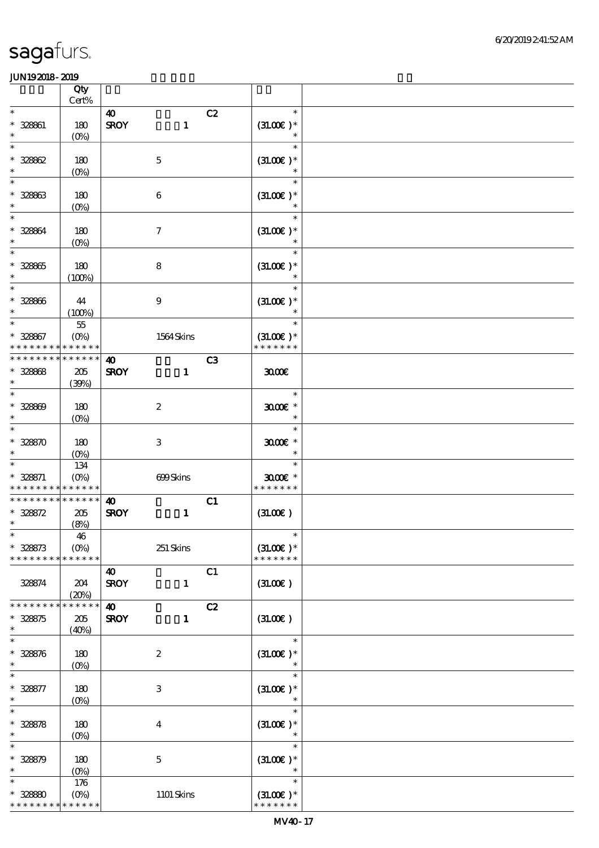|                                           | Qty<br>$\mbox{Cert}\%$            |                                                            |                                        |  |
|-------------------------------------------|-----------------------------------|------------------------------------------------------------|----------------------------------------|--|
| $\ast$                                    |                                   |                                                            | $\ast$                                 |  |
| * 328861<br>$\ast$                        | 180<br>(O <sub>0</sub> )          | C2<br>$\boldsymbol{\omega}$<br><b>SROY</b><br>$\mathbf{1}$ | $(31.00)$ *<br>$\ast$                  |  |
| $\ast$<br>$* 32862$<br>$\ast$             | 180<br>$(0\%)$                    | $\mathbf 5$                                                | $\ast$<br>$(31.00)$ *<br>$\ast$        |  |
| $\ast$<br>$* 32863$<br>$\ast$             | 180<br>$(0\%)$                    | $\boldsymbol{6}$                                           | $\ast$<br>$(31.00)$ *<br>$\ast$        |  |
| $\ast$<br>* 328864<br>$\ast$              | 180<br>$(O\!/\!o)$                | $\boldsymbol{7}$                                           | $\ast$<br>$(31.00)$ *                  |  |
| $\overline{\ast}$<br>$* 328865$<br>$\ast$ | 180<br>(100%)                     | $\bf 8$                                                    | $\ast$<br>$(3L00E)*$<br>$\ast$         |  |
| $\ast$<br>$* 328866$<br>$\ast$            | 44<br>(100%)                      | $\boldsymbol{9}$                                           | $\ast$<br>$(31.00)$ *<br>$\ast$        |  |
| $\ast$<br>$* 328867$<br>* * * * * * *     | $5\!5$<br>$(O\%)$<br>* * * * * *  | 1564Skins                                                  | $\ast$<br>$(31.00)$ *<br>* * * * * * * |  |
| * * * * * * *                             | * * * * * *                       | C3<br>$\boldsymbol{\omega}$                                |                                        |  |
| $* 328868$<br>$\ast$                      | 205<br>(39%)                      | <b>SROY</b><br>$\blacksquare$                              | 3000                                   |  |
| $\ast$<br>$* 328809$<br>$\ast$            | 180<br>$(0\%)$                    | $\boldsymbol{2}$                                           | $\ast$<br>$3000$ $*$<br>$\ast$         |  |
| $\ast$<br>$* 32850$<br>$\ast$             | 180<br>$(O\%)$                    | $\,3$                                                      | $\ast$<br>$3000$ $*$<br>$\ast$         |  |
| $\ast$<br>$* 328871$<br>* * * *           | 134<br>$(0\%)$<br>* * * * * *     | 699Skins                                                   | $\ast$<br>$3000$ $*$<br>* * * * * * *  |  |
| * * * * * * *                             | * * * * * *                       | C1<br>$\boldsymbol{\omega}$                                |                                        |  |
| $* 328872$<br>$\ast$<br>$\ast$            | 205<br>(8%)                       | <b>SROY</b><br>$\mathbf{1}$                                | (31.00)<br>$\ast$                      |  |
| $* 328873$<br>* * * * * * * *             | 46<br>$(O\%)$<br>* * * * * *      | $251$ Skins                                                | $(31.00)$ *<br>* * * * * * *           |  |
| 328874                                    | 204<br>(20%)                      | C1<br>40<br><b>SROY</b><br>$\mathbf{1}$                    | (3L00)                                 |  |
| * * * * * * *<br>$* 328875$               | * * * * * *<br>205                | C2<br>$\boldsymbol{\omega}$<br><b>SROY</b><br>$\mathbf{1}$ | (3L0E)                                 |  |
| $\ast$                                    | (40%)                             |                                                            |                                        |  |
| $\ast$<br>$* 328576$<br>$\ast$            | 180<br>$(0\%)$                    | $\boldsymbol{2}$                                           | $\ast$<br>$(3L00E)*$<br>$\ast$         |  |
| $\ast$<br>$* 328877$<br>$\ast$            | 180<br>$(0\%)$                    | $\ensuremath{\mathbf{3}}$                                  | $\ast$<br>$(31.00)$ *<br>$\ast$        |  |
| $\ast$<br>$* 328878$<br>$\ast$            | 180<br>$(O\!/\!o)$                | $\bf{4}$                                                   | $\ast$<br>$(31.00)$ *<br>$\ast$        |  |
| $\ast$<br>$* 328579$<br>$\ast$            | 180<br>$(0\%)$                    | $\mathbf 5$                                                | $\ast$<br>$(31.00)$ *<br>$\ast$        |  |
| $\ast$<br>$* 32880$<br>* * * * * * * *    | 176<br>$(O\!/\!o)$<br>* * * * * * | $1101$ Skins                                               | $\ast$<br>$(31.00)$ *<br>* * * * * * * |  |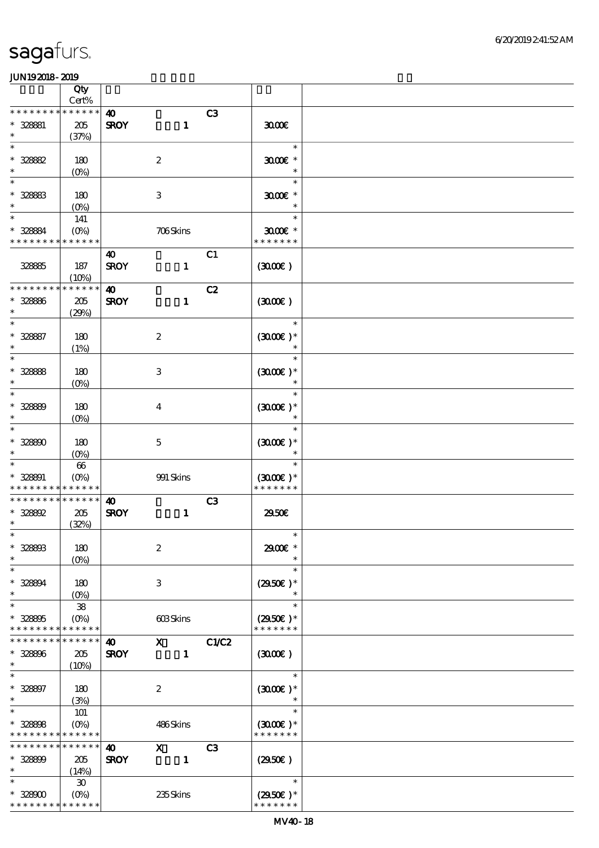|                                                      | Qty                            |                                      |                                                                                                                                                                                                                                                                                                                                 |              |                |                             |  |
|------------------------------------------------------|--------------------------------|--------------------------------------|---------------------------------------------------------------------------------------------------------------------------------------------------------------------------------------------------------------------------------------------------------------------------------------------------------------------------------|--------------|----------------|-----------------------------|--|
| * * * * * * * *                                      | Cert%<br>* * * * * *           |                                      |                                                                                                                                                                                                                                                                                                                                 |              |                |                             |  |
| * 328881                                             | $205\,$                        | $\boldsymbol{\omega}$<br><b>SROY</b> |                                                                                                                                                                                                                                                                                                                                 | $\mathbf{1}$ | C3             | 3000                        |  |
| $\ast$                                               | (37%)                          |                                      |                                                                                                                                                                                                                                                                                                                                 |              |                |                             |  |
| $\ast$                                               |                                |                                      |                                                                                                                                                                                                                                                                                                                                 |              |                | $\ast$                      |  |
| $* 32882$                                            | 180                            |                                      | $\boldsymbol{2}$                                                                                                                                                                                                                                                                                                                |              |                | $3000$ $*$                  |  |
| $\ast$                                               | (O <sub>0</sub> )              |                                      |                                                                                                                                                                                                                                                                                                                                 |              |                | $\ast$                      |  |
| $\ast$                                               |                                |                                      |                                                                                                                                                                                                                                                                                                                                 |              |                | $\ast$                      |  |
| $* 328883$                                           | 180                            |                                      | $\,3$                                                                                                                                                                                                                                                                                                                           |              |                | $3000$ $*$                  |  |
| $\ast$                                               | $(0\%)$                        |                                      |                                                                                                                                                                                                                                                                                                                                 |              |                | $\ast$<br>$\ast$            |  |
| $\ast$                                               | 141                            |                                      |                                                                                                                                                                                                                                                                                                                                 |              |                |                             |  |
| * 328884<br>* * * * * * * * <mark>* * * * * *</mark> | (O <sub>0</sub> )              |                                      | 706Skins                                                                                                                                                                                                                                                                                                                        |              |                | $3000$ $*$<br>* * * * * * * |  |
|                                                      |                                | 40                                   |                                                                                                                                                                                                                                                                                                                                 |              | C1             |                             |  |
| 32885                                                | 187                            | <b>SROY</b>                          |                                                                                                                                                                                                                                                                                                                                 | $\mathbf{1}$ |                | (300)                       |  |
|                                                      | (10%)                          |                                      |                                                                                                                                                                                                                                                                                                                                 |              |                |                             |  |
| * * * * * * * *                                      | * * * * * *                    | $\boldsymbol{\omega}$                |                                                                                                                                                                                                                                                                                                                                 |              | C2             |                             |  |
| * 328886                                             | $205\,$                        | <b>SROY</b>                          |                                                                                                                                                                                                                                                                                                                                 | $\mathbf{1}$ |                | (300)                       |  |
| $\ast$                                               | (29%)                          |                                      |                                                                                                                                                                                                                                                                                                                                 |              |                |                             |  |
| $\ast$                                               |                                |                                      |                                                                                                                                                                                                                                                                                                                                 |              |                | $\ast$                      |  |
| $* 328887$<br>$\ast$                                 | 180<br>(1%)                    |                                      | $\boldsymbol{2}$                                                                                                                                                                                                                                                                                                                |              |                | $(3000)$ *<br>$\ast$        |  |
| $\ast$                                               |                                |                                      |                                                                                                                                                                                                                                                                                                                                 |              |                | $\ast$                      |  |
| $* 32888$                                            | 180                            |                                      | $\,3$                                                                                                                                                                                                                                                                                                                           |              |                | $(300E)*$                   |  |
| $\ast$                                               | (O <sub>0</sub> )              |                                      |                                                                                                                                                                                                                                                                                                                                 |              |                | $\ast$                      |  |
| $\ast$                                               |                                |                                      |                                                                                                                                                                                                                                                                                                                                 |              |                | $\ast$                      |  |
| $* 32889$                                            | 180                            |                                      | $\bf{4}$                                                                                                                                                                                                                                                                                                                        |              |                | $(3000)$ *                  |  |
| $\ast$                                               | $(0\%)$                        |                                      |                                                                                                                                                                                                                                                                                                                                 |              |                | $\ast$                      |  |
| $\ast$                                               |                                |                                      |                                                                                                                                                                                                                                                                                                                                 |              |                | $\ast$                      |  |
| $* 328800$<br>$\ast$                                 | 180                            |                                      | $\mathbf 5$                                                                                                                                                                                                                                                                                                                     |              |                | $(3000)$ *<br>$\ast$        |  |
| $\ast$                                               | (O <sub>0</sub> )<br>$66\,$    |                                      |                                                                                                                                                                                                                                                                                                                                 |              |                | $\ast$                      |  |
| * 328891                                             | $(O\%)$                        |                                      | 991 Skins                                                                                                                                                                                                                                                                                                                       |              |                | $(3000)$ *                  |  |
| * * * * * * * *                                      | * * * * * *                    |                                      |                                                                                                                                                                                                                                                                                                                                 |              |                | * * * * * * *               |  |
| * * * * * * * *                                      | * * * * * *                    | $\boldsymbol{\omega}$                |                                                                                                                                                                                                                                                                                                                                 |              | C3             |                             |  |
| $* 328892$                                           | $205\,$                        | <b>SROY</b>                          |                                                                                                                                                                                                                                                                                                                                 | $\mathbf{1}$ |                | 2950E                       |  |
| $\ast$                                               | (32%)                          |                                      |                                                                                                                                                                                                                                                                                                                                 |              |                |                             |  |
| $*$                                                  |                                |                                      |                                                                                                                                                                                                                                                                                                                                 |              |                | $\ast$                      |  |
| $* 328803$<br>$\ast$                                 | 180                            |                                      | $\boldsymbol{2}$                                                                                                                                                                                                                                                                                                                |              |                | 2900E *<br>$\ast$           |  |
| $\ast$                                               | $(O\%)$                        |                                      |                                                                                                                                                                                                                                                                                                                                 |              |                | $\ast$                      |  |
| $* 328894$                                           | 180                            |                                      | $\ensuremath{\mathbf{3}}$                                                                                                                                                                                                                                                                                                       |              |                | $(2950)$ *                  |  |
| $\ast$                                               | $(O\%)$                        |                                      |                                                                                                                                                                                                                                                                                                                                 |              |                | $\ast$                      |  |
| $\ast$                                               | ${\bf 38}$                     |                                      |                                                                                                                                                                                                                                                                                                                                 |              |                | $\ast$                      |  |
| $* 328805$                                           | (O <sub>0</sub> )              |                                      | 603Skins                                                                                                                                                                                                                                                                                                                        |              |                | $(2950)$ *                  |  |
| * * * * * * * *                                      | * * * * * *                    |                                      |                                                                                                                                                                                                                                                                                                                                 |              |                | * * * * * * *               |  |
| * * * * * * *                                        | * * * * * *                    | $\boldsymbol{\omega}$                | $\mathbf x$ and $\mathbf x$ and $\mathbf x$ and $\mathbf x$ and $\mathbf x$ and $\mathbf x$ and $\mathbf x$ and $\mathbf x$ and $\mathbf x$ and $\mathbf x$ and $\mathbf x$ and $\mathbf x$ and $\mathbf x$ and $\mathbf x$ and $\mathbf x$ and $\mathbf x$ and $\mathbf x$ and $\mathbf x$ and $\mathbf x$ and $\mathbf x$ and |              | C1/C2          |                             |  |
| * 328896<br>$\ast$                                   | 205                            | <b>SROY</b>                          |                                                                                                                                                                                                                                                                                                                                 | $\mathbf{1}$ |                | (300)                       |  |
| $\ast$                                               | $(10\%)$                       |                                      |                                                                                                                                                                                                                                                                                                                                 |              |                | $\ast$                      |  |
| $* 328897$                                           | 180                            |                                      | $\boldsymbol{2}$                                                                                                                                                                                                                                                                                                                |              |                | $(300E)*$                   |  |
| $\ast$                                               | (3%)                           |                                      |                                                                                                                                                                                                                                                                                                                                 |              |                | $\ast$                      |  |
| $\ast$                                               | 101                            |                                      |                                                                                                                                                                                                                                                                                                                                 |              |                | $\ast$                      |  |
| $* 328808$                                           | $(O\!/\!o)$                    |                                      | 486Skins                                                                                                                                                                                                                                                                                                                        |              |                | $(3000)$ *                  |  |
| * * * *                                              | * * * * * *                    |                                      |                                                                                                                                                                                                                                                                                                                                 |              |                | * * * * * * *               |  |
| * * * * * * *                                        | * * * * * *                    | $\boldsymbol{\omega}$                | $\mathbf{x}$                                                                                                                                                                                                                                                                                                                    |              | C <sub>3</sub> |                             |  |
| * 328899                                             | 205                            | <b>SROY</b>                          |                                                                                                                                                                                                                                                                                                                                 | $\mathbf{1}$ |                | (2950)                      |  |
| $\ast$<br>$\ast$                                     | (14%)                          |                                      |                                                                                                                                                                                                                                                                                                                                 |              |                | $\ast$                      |  |
| $*32800$                                             | $\pmb{\mathcal{X}}$<br>$(O\%)$ |                                      | 235Skins                                                                                                                                                                                                                                                                                                                        |              |                | $(2950)$ *                  |  |
| * * * * * * * *                                      | * * * * * *                    |                                      |                                                                                                                                                                                                                                                                                                                                 |              |                | * * * * * * *               |  |
|                                                      |                                |                                      |                                                                                                                                                                                                                                                                                                                                 |              |                |                             |  |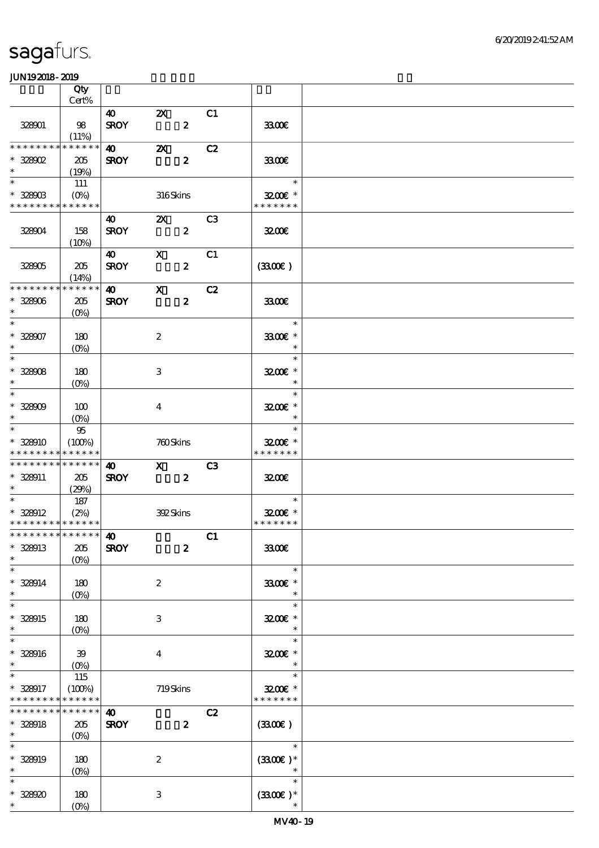|                                                            | Qty                                    |                                      |                                                      |                  |                |                                      |  |
|------------------------------------------------------------|----------------------------------------|--------------------------------------|------------------------------------------------------|------------------|----------------|--------------------------------------|--|
|                                                            | Cert%                                  |                                      |                                                      |                  |                |                                      |  |
| 328901                                                     | 98<br>(11%)                            | $\boldsymbol{40}$<br><b>SROY</b>     | $\boldsymbol{\mathsf{z}}$                            | $\boldsymbol{z}$ | C1             | 3300E                                |  |
| * * * * * * * *                                            | * * * * * *                            | $\boldsymbol{40}$                    | $\boldsymbol{\mathsf{Z}}$                            |                  | C2             |                                      |  |
| $*328002$<br>$\ast$                                        | 205<br>(19%)                           | <b>SROY</b>                          |                                                      | $\boldsymbol{z}$ |                | 3300                                 |  |
| $\overline{\phantom{0}}$                                   | 111                                    |                                      |                                                      |                  |                | $\ast$                               |  |
| $* 328003$<br>* * * * * * * * * * * * * *                  | $(O\%)$                                |                                      | 316Skins                                             |                  |                | $3200$ $\epsilon$ *<br>* * * * * * * |  |
| 328004                                                     | 158                                    | <b>40</b><br><b>SROY</b>             | $\mathbf{X}$                                         | $\boldsymbol{z}$ | C <sub>3</sub> | 3200                                 |  |
|                                                            | (10%)                                  |                                      |                                                      |                  |                |                                      |  |
| 328005                                                     | 205<br>(14%)                           | $\boldsymbol{\omega}$<br><b>SROY</b> | $\mathbf x$                                          | $\boldsymbol{2}$ | C1             | (330)                                |  |
| * * * * * * * *                                            | * * * * * *                            | $\boldsymbol{\omega}$                | $\mathbf{x}$                                         |                  | C2             |                                      |  |
| $* 328006$<br>$\ast$                                       | 205<br>$(O\%)$                         | <b>SROY</b>                          |                                                      | $\boldsymbol{z}$ |                | 3300€                                |  |
| $\overline{\ast}$                                          |                                        |                                      |                                                      |                  |                | $\ast$                               |  |
| $* 328007$<br>$\ast$<br>$\ast$                             | 180<br>$(O\%)$                         |                                      | $\boldsymbol{2}$                                     |                  |                | 3300€ *<br>$\ast$<br>$\ast$          |  |
| $* 32808$                                                  | 180                                    |                                      |                                                      |                  |                | 3200E *                              |  |
| $\ast$                                                     | $(O\%)$                                |                                      | 3                                                    |                  |                | $\ast$                               |  |
| $\ast$                                                     |                                        |                                      |                                                      |                  |                | $\ast$                               |  |
| $* 32800$<br>$\ast$                                        | 100<br>$(O\%)$                         |                                      | $\bf{4}$                                             |                  |                | 3200E *<br>$\ast$                    |  |
| $\overline{\phantom{1}}$                                   | $9\!5$                                 |                                      |                                                      |                  |                | $\ast$                               |  |
| * 328910                                                   | (100%)                                 |                                      | 760Skins                                             |                  |                | 3200E *                              |  |
| * * * * * * * * * * * * * *<br>* * * * * * * * * * * * * * |                                        | $\boldsymbol{\omega}$                |                                                      |                  | C3             | * * * * * * *                        |  |
| $* 328011$                                                 | 205                                    | <b>SROY</b>                          | $\boldsymbol{\mathrm{X}}$<br>$\overline{\mathbf{z}}$ |                  |                | 3200                                 |  |
| $\ast$<br>$\ast$                                           | (29%)                                  |                                      |                                                      |                  |                |                                      |  |
| $*328912$                                                  | 187<br>(2%)                            |                                      | 392Skins                                             |                  |                | $\ast$<br>$3200$ $*$                 |  |
| * * * * * * * * * * * * * *                                |                                        |                                      |                                                      |                  |                | * * * * * * *                        |  |
| *************** <b>40</b>                                  |                                        |                                      |                                                      |                  | C1             |                                      |  |
| $* 328013$                                                 | 205                                    | <b>SROY</b>                          |                                                      | $\boldsymbol{z}$ |                | 3300                                 |  |
| $\ast$                                                     | $(O\%)$                                |                                      |                                                      |                  |                |                                      |  |
| $\overline{\ast}$<br>$* 328014$<br>$\ast$                  | 180<br>$(O\!\!\!\!\!\!\backslash\rho)$ |                                      | $\boldsymbol{2}$                                     |                  |                | $\ast$<br>3300€ *<br>$\ast$          |  |
| $\ast$                                                     |                                        |                                      |                                                      |                  |                | $\ast$                               |  |
| * 328915<br>$\ast$                                         | 180<br>$(0\%)$                         |                                      | 3                                                    |                  |                | 3200E *<br>$\ast$                    |  |
| $\ast$                                                     |                                        |                                      |                                                      |                  |                | $\ast$                               |  |
| $* 328916$<br>$\ast$                                       | 39<br>$(O\!\!\!\!\!\!\backslash\rho)$  |                                      | $\bf{4}$                                             |                  |                | 3200E *<br>$\ast$                    |  |
| $\ast$                                                     | 115                                    |                                      |                                                      |                  |                | $\ast$                               |  |
| $* 328917$<br>* * * * * * * *                              | (100%)<br>* * * * * *                  |                                      | 719Skins                                             |                  |                | $3200$ $\epsilon$ *<br>* * * * * * * |  |
| * * * * * * * * * * * * * *                                |                                        | $\boldsymbol{\omega}$                |                                                      |                  | C2             |                                      |  |
| $* 328918$<br>$\ast$                                       | 205<br>$(O\!/\!o)$                     | <b>SROY</b>                          |                                                      | $\boldsymbol{z}$ |                | (330)                                |  |
| $\ast$                                                     |                                        |                                      |                                                      |                  |                | $\ast$                               |  |
| * 328919<br>$\ast$                                         | 180                                    |                                      | $\boldsymbol{2}$                                     |                  |                | $(330E)*$<br>$\ast$                  |  |
| $\ast$                                                     | $(0\%)$                                |                                      |                                                      |                  |                | $\ast$                               |  |
| $* 32890$                                                  | 180                                    |                                      | 3                                                    |                  |                | $(330)$ *                            |  |
| $*$                                                        | $(0\%)$                                |                                      |                                                      |                  |                | $\ast$                               |  |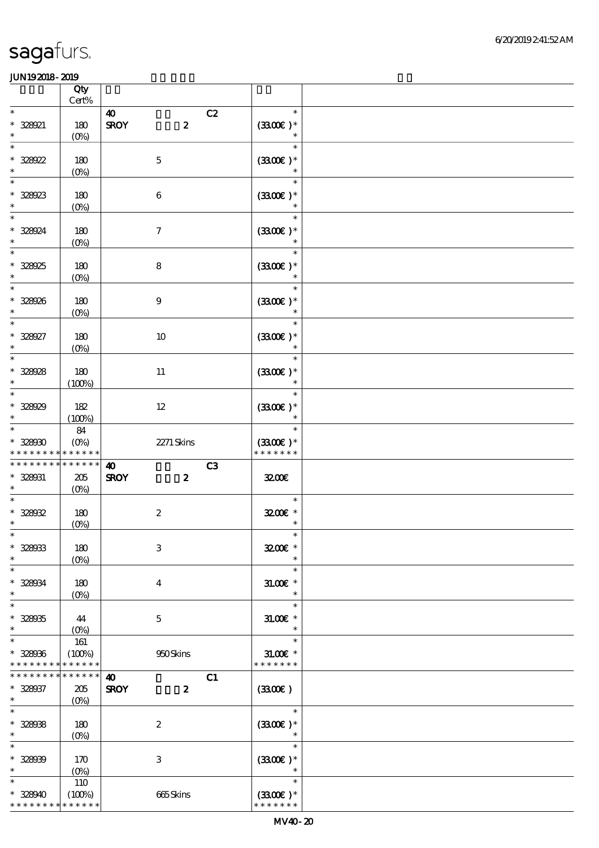|                                         | Qty<br>Cert%                 |                                 |                                          |  |
|-----------------------------------------|------------------------------|---------------------------------|------------------------------------------|--|
| $\ast$                                  |                              | $\boldsymbol{\omega}$           | $\ast$<br>C2                             |  |
| $* 328021$<br>$\ast$                    | 180<br>$(O\%)$               | $\boldsymbol{2}$<br><b>SROY</b> | $(3300)$ *<br>$\ast$                     |  |
| $\ast$<br>$* 328022$<br>$\ast$          | 180<br>$(0\%)$               | $\mathbf 5$                     | $\ast$<br>$(3300)$ *<br>$\ast$           |  |
| $\ast$<br>$* 328923$<br>$\ast$          | 180<br>$(0\%)$               | $\bf 6$                         | $\ast$<br>$(3300)$ *<br>$\ast$           |  |
| $\ast$<br>* 328924<br>$\ast$            | 180<br>$(O\!/\!o)$           | $\boldsymbol{\tau}$             | $\ast$<br>$(3300)$ *                     |  |
| $\ast$<br>* 328925<br>$\ast$            | 180<br>$(0\%)$               | ${\bf 8}$                       | $\ast$<br>$(3300)$ *                     |  |
| $\ast$<br>$* 328926$<br>$\ast$          | 180<br>$(0\%)$               | $\boldsymbol{9}$                | $\ast$<br>$(3300)$ *<br>$\ast$           |  |
| $\ast$<br>* 328927<br>$\ast$            | 180<br>$(O\%)$               | 10                              | $\ast$<br>$(3300)$ *<br>$\ast$           |  |
| $\ast$<br>$* 328928$<br>$\ast$          | 180<br>(100%)                | $11\,$                          | $\ast$<br>$(3300)$ *<br>$\ast$           |  |
| $\ast$<br>$* 328029$<br>$\ast$          | 182<br>(100%)                | $12\,$                          | $\ast$<br>$(3300)$ *<br>$\ast$           |  |
| $\ast$<br>$* 32800$<br>* * * * * * *    | 84<br>$(O_0)$<br>* * * * * * | 2271 Skins                      | $\ast$<br>$(3300)$ *<br>* * * * * * *    |  |
|                                         |                              |                                 |                                          |  |
| * * * * * * * * * * * * * *             |                              | $\boldsymbol{\omega}$           | C <sub>3</sub>                           |  |
| * 328031<br>$\ast$                      | $205\,$                      | <b>SROY</b><br>$\boldsymbol{z}$ | 3200E                                    |  |
| $\ast$<br>$* 32802$<br>$\ast$           | $(O\%)$<br>180<br>$(0\%)$    | $\boldsymbol{2}$                | $\ast$<br>3200E *<br>$\ast$              |  |
| $*$<br>$* 328033$<br>$\ast$             | 180<br>$(0\%)$               | $\,3$                           | $\ast$<br>3200E *<br>$\ast$              |  |
| $\ast$<br>$* 328034$<br>$\ast$          | 180<br>$(O\%)$               | $\bf{4}$                        | $\ast$<br>$31.005*$<br>$\ast$            |  |
| $\ast$<br>$* 32805$<br>$\ast$           | 44<br>$(O\%)$                | $\mathbf 5$                     | $\ast$<br>$31.005*$<br>$\ast$            |  |
| $\ast$<br>$* 328036$<br>* * * * * * * * | 161<br>(100%)<br>* * * * * * | 950Skins                        | $\ast$<br>$31.00E$ *<br>* * * * * * *    |  |
| * * * * * * * *                         | * * * * * *                  | $\boldsymbol{\omega}$           | C1                                       |  |
| * 328937<br>$\ast$                      | $205\,$                      | <b>SROY</b><br>$\boldsymbol{z}$ | (3300)                                   |  |
| $\ast$<br>$* 32808$<br>$\ast$           | $(O_0)$<br>180<br>$(0\%)$    | $\boldsymbol{2}$                | $\ast$<br>$(3300)$ *<br>$\ast$           |  |
| $\ast$<br>$* 32800$<br>$\ast$<br>$\ast$ | 170<br>$(0\%)$<br><b>110</b> | $\,3$                           | $\ast$<br>$(3300)$ *<br>$\ast$<br>$\ast$ |  |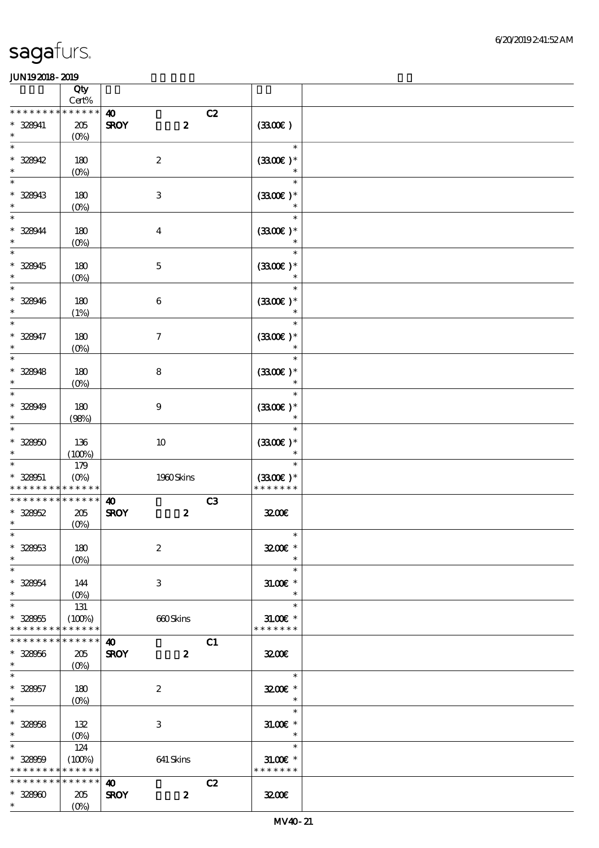|                                                                    | Qty                           |                                                          |                                               |  |
|--------------------------------------------------------------------|-------------------------------|----------------------------------------------------------|-----------------------------------------------|--|
|                                                                    | $Cert\%$                      |                                                          |                                               |  |
| * * * * * * * * * * * * * *<br>* 328941<br>$\ast$                  | $205\,$<br>$(O\!/\!o)$        | $\boldsymbol{\omega}$<br>$\boldsymbol{z}$<br><b>SROY</b> | C2<br>(330)                                   |  |
| $\ast$<br>$* 328942$<br>$\ast$                                     | 180<br>$(0\%)$                | $\boldsymbol{2}$                                         | $\ast$<br>$(330)$ *<br>$\ast$                 |  |
| $\ast$<br>$* 328943$<br>$\ast$                                     | 180<br>$(0\%)$                | $\,3$                                                    | $\ast$<br>$(3300)$ *<br>$\ast$                |  |
| $\ast$<br>* 328944<br>$\ast$                                       | 180<br>$(0\%)$                | $\boldsymbol{4}$                                         | $\ast$<br>$(3300)$ *                          |  |
| $\ast$<br>* 328945<br>$\ast$                                       | 180<br>$(0\%)$                | $\mathbf 5$                                              | $\ast$<br>$(3300)$ *                          |  |
| $\ast$<br>$* 328946$<br>$\ast$                                     | 180<br>(1%)                   | $\,6\,$                                                  | $\ast$<br>$(3300\text{E})*$<br>$\ast$         |  |
| $\ast$<br>$* 328947$<br>$\ast$                                     | 180<br>$(0\%)$                | $\boldsymbol{7}$                                         | $\ast$<br>$(3300)$ *<br>$\ast$                |  |
| $\ast$<br>$* 328948$<br>$\ast$                                     | 180<br>$(0\%)$                | $\bf 8$                                                  | $\ast$<br>$(3300\text{E})*$<br>$\ast$         |  |
| $\ast$<br>$* 328949$<br>$\ast$                                     | 180<br>(98%)                  | $\boldsymbol{9}$                                         | $\ast$<br>$(3300)$ *<br>$\ast$                |  |
| $\ast$<br>$* 328050$<br>$\ast$                                     | 136<br>(100%)                 | $10\,$                                                   | $\ast$<br>$(3300)$ *<br>$\ast$                |  |
| $\ast$<br>$* 328051$<br>* * * * * * * * <mark>* * * * * *</mark>   | 179<br>$(O\%)$                | 1980Skins                                                | $\ast$<br>$(3300)$ *<br>* * * * * * *         |  |
| * * * * * * * *<br>$* 328052$<br>$\ast$                            | * * * * * *<br>205<br>(0%)    | $\boldsymbol{\omega}$<br><b>SROY</b><br>$\boldsymbol{z}$ | C <sub>3</sub><br>3200                        |  |
| $* 328053$<br>$\ast$                                               | 180<br>$(0\%)$                | $\boldsymbol{2}$                                         | $\overline{\phantom{a}}$<br>3200E *<br>$\ast$ |  |
| $\ast$<br>$* 328054$<br>$\ast$                                     | 144<br>$(0\%)$                | 3                                                        | $\ast$<br>$31.005*$<br>$\ast$                 |  |
| $\ast$<br>$* 328055$<br>* * * * * * * *                            | 131<br>(100%)<br>* * * * * *  | 660Skins                                                 | $\ast$<br>$31.005$ *<br>* * * * * * *         |  |
| * * * * * * * *<br>$* 328056$<br>$\ast$                            | * * * * * *<br>205<br>$(O\%)$ | $\boldsymbol{\omega}$<br><b>SROY</b><br>$\boldsymbol{z}$ | C1<br>3200                                    |  |
| $\ast$<br>$* 328057$<br>$\ast$                                     | 180<br>$(O\!/\!\delta)$       | $\boldsymbol{2}$                                         | $\ast$<br>3200E *<br>$\ast$                   |  |
| $\ast$<br>$* 328058$<br>$\ast$                                     | 132                           | 3                                                        | $\ast$<br>$31.00E$ *<br>$\ast$                |  |
| $\ast$<br>$* 328059$<br>* * * * * * * * <mark>* * * * * * *</mark> | 124<br>(100%)                 | 641 Skins                                                | $\ast$<br>$31.00E$ *<br>* * * * * * *         |  |
| * * * * * * * *<br>$* 32800$<br>$*$                                | $******$<br>205<br>$(O\%)$    | $\boldsymbol{\omega}$<br>$\pmb{2}$<br><b>SROY</b>        | C2<br>3200                                    |  |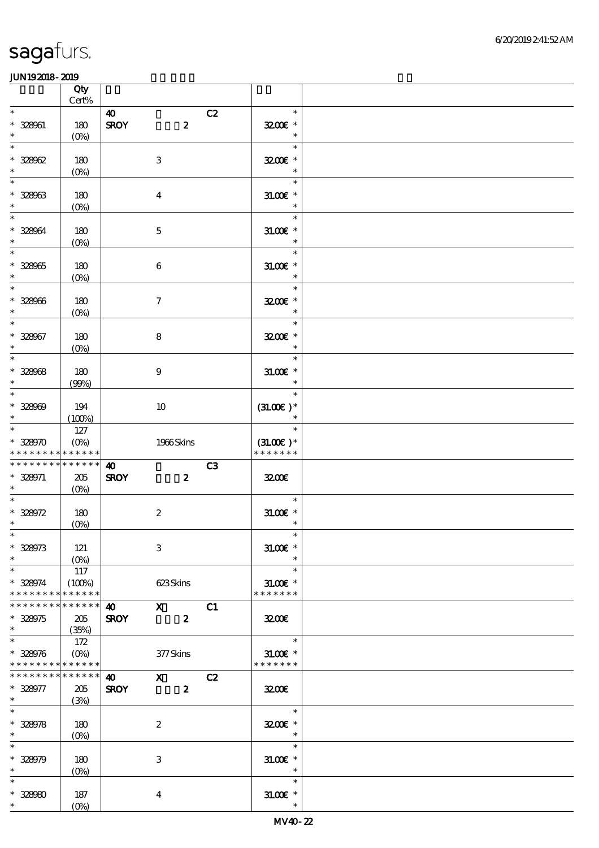|                                                                       | Qty                           |                                                                                                                                                                                      |    |                                               |  |
|-----------------------------------------------------------------------|-------------------------------|--------------------------------------------------------------------------------------------------------------------------------------------------------------------------------------|----|-----------------------------------------------|--|
| $\ast$                                                                | $Cert\%$                      | 40                                                                                                                                                                                   | C2 | $\ast$                                        |  |
| $* 328001$<br>$\ast$                                                  | 180<br>(O <sub>0</sub> )      | <b>SROY</b><br>$\boldsymbol{z}$                                                                                                                                                      |    | 3200E *<br>$\ast$                             |  |
| $\ast$<br>$* 328002$<br>$\ast$                                        | 180<br>$(0\%)$                | $\,3$                                                                                                                                                                                |    | $\ast$<br>3200E *<br>$\ast$                   |  |
| $\ast$<br>$* 32803$<br>$\ast$                                         | 180<br>(0%)                   | $\bf{4}$                                                                                                                                                                             |    | $\ast$<br>$31.005*$<br>$\ast$                 |  |
| $\ast$<br>* 328964<br>$\ast$                                          | 180<br>$(O\%)$                | $\mathbf 5$                                                                                                                                                                          |    | $\ast$<br>$31.005$ *<br>$\ast$                |  |
| $\ast$<br>$* 328065$<br>$\ast$                                        | 180<br>$(0\%)$                | $\boldsymbol{6}$                                                                                                                                                                     |    | $\ast$<br>$31.00E$ *<br>$\ast$                |  |
| $\overline{\phantom{0}}$<br>$* 328066$<br>$\ast$                      | 180<br>$(O_0)$                | $\boldsymbol{\tau}$                                                                                                                                                                  |    | $\ast$<br>3200E *<br>$\ast$                   |  |
| $\overline{\ast}$<br>$* 328067$<br>$\ast$                             | 180<br>$(O\!/\!o)$            | 8                                                                                                                                                                                    |    | $\ast$<br>3200E *<br>$\overline{\phantom{a}}$ |  |
| $\ast$<br>$* 32808$<br>$\ast$                                         | 180<br>(90%)                  | $\boldsymbol{9}$                                                                                                                                                                     |    | $\ast$<br>$31.00E$ *<br>$\ast$                |  |
| $\overline{\phantom{a}^*}$<br>$* 32800$<br>$\ast$                     | 194<br>(100%)                 | 10                                                                                                                                                                                   |    | $\ast$<br>$(31.00)$ *<br>$\ast$               |  |
| $\overline{\ast}$<br>$* 328970$<br>* * * * * * * *                    | 127<br>$(O\%)$<br>* * * * * * | 1966Skins                                                                                                                                                                            |    | $\ast$<br>$(31.00)$ *<br>* * * * * * *        |  |
| * * * * * * * *<br>* 328971<br>$\ast$                                 | * * * * * *<br>205<br>$(O\%)$ | $\boldsymbol{\omega}$<br><b>SROY</b><br>$\boldsymbol{z}$                                                                                                                             | C3 | 3200E                                         |  |
| $\ast$<br>$* 328972$<br>$\ast$                                        | 180<br>$(0\%)$                | $\boldsymbol{2}$                                                                                                                                                                     |    | $\ast$<br>$31.00E$ *<br>$\ast$                |  |
| $*$<br>$* 328973$<br>$\ast$                                           | 121<br>$(O\%)$                | $\,3$                                                                                                                                                                                |    | $\ast$<br>$31.00E$ *<br>$\ast$                |  |
| $\ast$<br>$* 328974$<br>* * * * * * * *                               | 117<br>(100%)<br>* * * * * *  | 623Skins                                                                                                                                                                             |    | $\ast$<br>$31.00E$ *<br>* * * * * * *         |  |
| * * * * * * * *<br>$* 328975$<br>$\ast$                               | * * * * * *<br>205<br>(35%)   | $\boldsymbol{\mathrm{X}}$ and $\boldsymbol{\mathrm{X}}$ and $\boldsymbol{\mathrm{X}}$ and $\boldsymbol{\mathrm{X}}$<br>$\bullet$ $\bullet$<br><b>SROY</b><br>$\overline{\mathbf{2}}$ | C1 | 3200                                          |  |
| $\overline{\phantom{0}}$<br>$* 328976$<br>* * * * * * * * * * * * * * | 172<br>$(O\% )$               | 377Skins                                                                                                                                                                             |    | $\ast$<br>$31.00E$ *<br>* * * * * * *         |  |
| * * * * * * * *<br>$* 328977$<br>$\ast$                               | * * * * * *<br>205<br>(3%)    | $\mathbf{X}$<br><b>40</b><br><b>SROY</b><br>$\boldsymbol{z}$                                                                                                                         | C2 | 3200                                          |  |
| $\ast$<br>$* 328978$<br>$\ast$                                        | 180<br>(0%)                   | $\boldsymbol{2}$                                                                                                                                                                     |    | $\ast$<br>3200E *<br>$\ast$                   |  |
| $\ast$<br>$* 328979$<br>$\ast$                                        | 180<br>$(O\%)$                | 3                                                                                                                                                                                    |    | $\ast$<br>$31.00E$ *<br>$\ast$                |  |
| $\ast$<br>$* 328080$<br>$*$                                           | 187<br>$(O\%)$                | $\boldsymbol{4}$                                                                                                                                                                     |    | $\ast$<br>$31.005$ *<br>$\ast$                |  |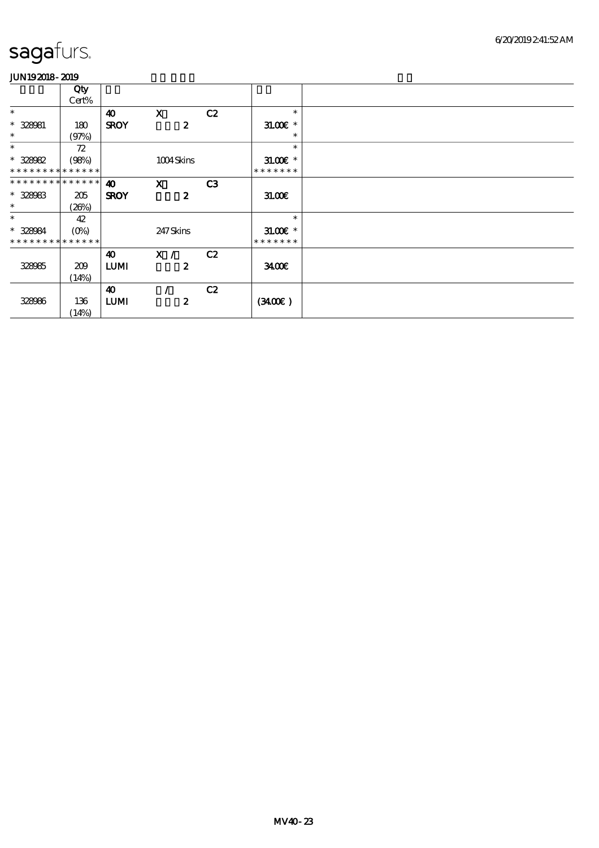|                             | Qty         |                       |                  |    |               |  |
|-----------------------------|-------------|-----------------------|------------------|----|---------------|--|
|                             | Cert%       |                       |                  |    |               |  |
| $\ast$                      |             | $\boldsymbol{\omega}$ | $\mathbf{x}$     | C2 | $\ast$        |  |
| $* 328081$                  | 180         | <b>SROY</b>           | $\boldsymbol{z}$ |    | $31.00E$ *    |  |
| $\ast$                      | (97%)       |                       |                  |    | $\ast$        |  |
| $\ast$                      | 72          |                       |                  |    | $\ast$        |  |
| * 328082                    | (98%)       |                       | 1004Skins        |    | $31.00E$ *    |  |
| * * * * * * * * * * * * * * |             |                       |                  |    | * * * * * * * |  |
| * * * * * * * * * * * * * * |             | $\boldsymbol{\omega}$ | $\mathbf{X}$     | C3 |               |  |
| $* 328083$                  | 205         | <b>SROY</b>           | $\boldsymbol{z}$ |    | 31.00         |  |
| $\ast$                      | (20%)       |                       |                  |    |               |  |
| $\ast$                      | 42          |                       |                  |    | $\ast$        |  |
| * 328984                    | $(O\!/\!o)$ |                       | 247Skins         |    | $31.00E$ *    |  |
| * * * * * * * * * * * * * * |             |                       |                  |    | * * * * * * * |  |
|                             |             | 40                    | X /              | C2 |               |  |
| 328985                      | 209         | <b>LUMI</b>           | $\boldsymbol{z}$ |    | 3400          |  |
|                             | (14%)       |                       |                  |    |               |  |
|                             |             | 40                    |                  | C2 |               |  |
| 328986                      | 136         | <b>LUMI</b>           | $\boldsymbol{z}$ |    | (340)         |  |
|                             | (14%)       |                       |                  |    |               |  |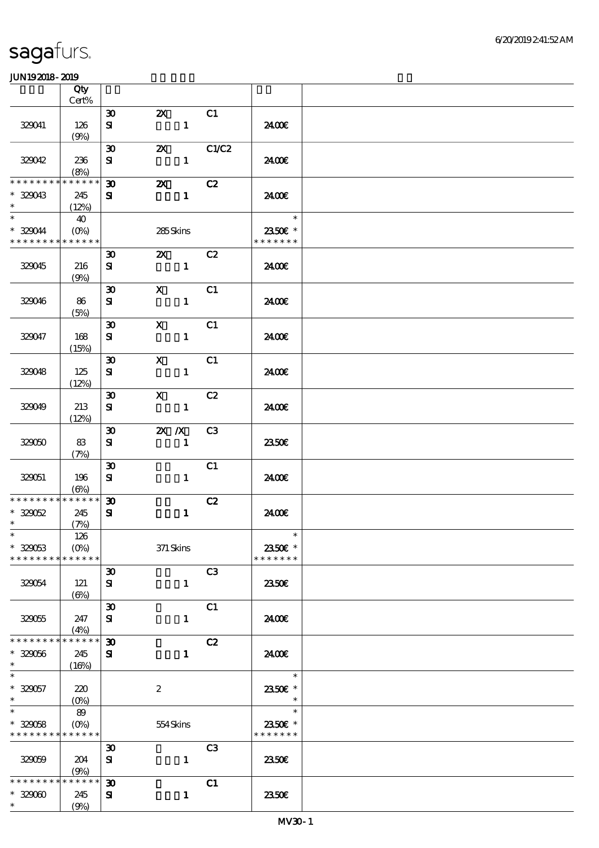|                                         | Qty                           |                                          |                           |              |                |                                    |  |
|-----------------------------------------|-------------------------------|------------------------------------------|---------------------------|--------------|----------------|------------------------------------|--|
|                                         | Cert%                         |                                          |                           |              | C1             |                                    |  |
| 329041                                  | 126<br>(9%)                   | $\boldsymbol{\mathfrak{D}}$<br>${\bf s}$ | $\boldsymbol{\mathsf{Z}}$ | $\mathbf{1}$ |                | 2400€                              |  |
| 329042                                  | 236                           | $\boldsymbol{\mathfrak{D}}$<br>${\bf s}$ | $\boldsymbol{\mathsf{Z}}$ | $\mathbf{1}$ | C1/C2          | 2400€                              |  |
|                                         | (8%)                          |                                          |                           |              |                |                                    |  |
| * * * * * * *<br>$*329043$<br>$\ast$    | * * * * * *<br>245<br>(12%)   | $\boldsymbol{\mathfrak{D}}$<br>${\bf s}$ | $\boldsymbol{\mathsf{Z}}$ | $\mathbf{1}$ | C2             | 2400€                              |  |
| $\ast$<br>* 329044<br>* * * * * * * *   | 40<br>$(O\%)$<br>* * * * * *  |                                          | 285Skins                  |              |                | $\ast$<br>2350€ *<br>* * * * * * * |  |
| 329045                                  | 216<br>(9%)                   | $\boldsymbol{\mathfrak{D}}$<br>${\bf s}$ | <b>2X</b> C <sub>2</sub>  | $\mathbf{1}$ |                | 2400€                              |  |
| 329046                                  | 86<br>(5%)                    | $\boldsymbol{\mathfrak{D}}$<br>${\bf s}$ | $\mathbf{X}$              | $\mathbf{1}$ | C1             | 2400€                              |  |
| 329047                                  | 168                           | $\boldsymbol{\mathfrak{D}}$<br>${\bf s}$ | $\mathbf{x}$              | $\mathbf{1}$ | C1             | 2400E                              |  |
|                                         | (15%)                         | $\boldsymbol{\mathfrak{D}}$              |                           |              |                |                                    |  |
| 320048                                  | 125<br>(12%)                  | ${\bf s}$                                | $\mathbf{X}$              | $\mathbf{1}$ | C1             | 2400E                              |  |
| 329049                                  | 213<br>(12%)                  | $\boldsymbol{\mathfrak{D}}$<br>${\bf s}$ | $\mathbf{X}$              | $\mathbf{1}$ | C2             | 2400E                              |  |
| 32000                                   | 83<br>(7%)                    | $\boldsymbol{\mathfrak{D}}$<br>${\bf s}$ | $X$ $N$                   | $\mathbf{1}$ | C3             | 2350E                              |  |
| 320051                                  | 196<br>$(\Theta)$             | $\boldsymbol{\mathfrak{D}}$<br>${\bf s}$ |                           | $\mathbf{1}$ | C1             | 2400€                              |  |
| * * * * * * * *                         | $******$                      | $\boldsymbol{\mathfrak{D}}$              |                           |              | C2             |                                    |  |
| $* 320052$<br>$\ast$                    | 245<br>(7%)                   | ${\bf s}$                                |                           | $\mathbf{1}$ |                | 2400€                              |  |
| $\ast$<br>$* 329053$<br>* * * * * * * * | 126<br>$(O\%)$<br>* * * * * * |                                          | $371$ Skins               |              |                | $\ast$<br>2350E *<br>* * * * * * * |  |
| 320054                                  | 121                           | $\boldsymbol{\mathfrak{D}}$<br>${\bf s}$ |                           | $\mathbf{1}$ | C3             | 2350E                              |  |
| 329055                                  | $(\Theta)$<br>247             | $\boldsymbol{\mathfrak{D}}$<br>${\bf s}$ |                           | $\mathbf{1}$ | C1             | 2400E                              |  |
| * * * * * * * *                         | (4%)<br>* * * * * *           | $\boldsymbol{\mathfrak{D}}$              |                           |              | C2             |                                    |  |
| $* 329056$<br>$\ast$                    | 245<br>(16%)                  | ${\bf s}$                                |                           | $\mathbf{1}$ |                | 2400E                              |  |
| $\ast$<br>$* 320057$<br>$\ast$          | 220<br>$(O\%)$                |                                          | $\boldsymbol{2}$          |              |                | $\ast$<br>2350€ *<br>$\ast$        |  |
| $\ast$<br>$* 329058$<br>* * * * * * * * | 89<br>$(O\%)$<br>* * * * * *  |                                          | 554Skins                  |              |                | $\ast$<br>2350€ *<br>* * * * * * * |  |
| 329059                                  | 204<br>(9%)                   | $\boldsymbol{\mathfrak{D}}$<br>${\bf s}$ |                           | $\mathbf{1}$ | C <sub>3</sub> | 2350E                              |  |
| * * * * * * * *<br>$* 32900$<br>$\ast$  | * * * * * *<br>245<br>(9%)    | $\boldsymbol{\mathfrak{D}}$<br>${\bf s}$ |                           | $\mathbf{1}$ | C1             | 2350E                              |  |
|                                         |                               |                                          |                           |              |                |                                    |  |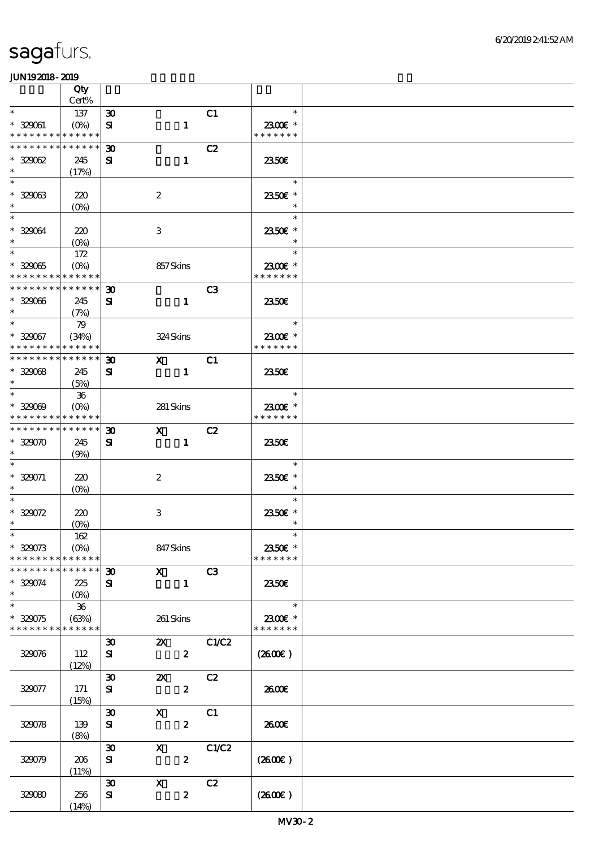|                                                        | Qty                          |                                          |                           |                  |       |                          |  |
|--------------------------------------------------------|------------------------------|------------------------------------------|---------------------------|------------------|-------|--------------------------|--|
|                                                        | Cert%                        |                                          |                           |                  |       |                          |  |
| $\ast$                                                 | 137                          | $\boldsymbol{\mathfrak{D}}$              |                           |                  | C1    | $\ast$                   |  |
| $* 320001$<br>* * * * * * * * <mark>* * * * * *</mark> | $(O\%)$                      | ${\bf s}$                                |                           | $\mathbf{1}$     |       | 2300€ *<br>* * * * * * * |  |
| * * * * * * * * * * * * * *                            |                              | $\boldsymbol{\mathfrak{D}}$              |                           |                  | C2    |                          |  |
| $* 329062$                                             | 245                          | ${\bf s}$                                |                           | $\mathbf{1}$     |       | 2350E                    |  |
| $\ast$                                                 | (17%)                        |                                          |                           |                  |       |                          |  |
| $\ast$                                                 |                              |                                          |                           |                  |       | $\ast$                   |  |
| $* 32903$                                              | 220                          |                                          | $\boldsymbol{z}$          |                  |       | 2350€ *                  |  |
| $\ast$<br>$\ast$                                       | $(0\%)$                      |                                          |                           |                  |       |                          |  |
| * 329064                                               |                              |                                          |                           |                  |       | $\ast$                   |  |
| $\ast$                                                 | 220<br>$(O\%)$               |                                          | $\,3$                     |                  |       | 2350€ *                  |  |
| $\overline{\phantom{0}}$                               | 172                          |                                          |                           |                  |       | $\ast$                   |  |
| $* 32005$                                              | $(O\%)$                      |                                          | 857Skins                  |                  |       | 2300€ *                  |  |
| * * * * * * * * <mark>* * * * * *</mark>               |                              |                                          |                           |                  |       | * * * * * * *            |  |
| * * * * * * * * * * * * * *                            |                              | $\boldsymbol{\mathfrak{D}}$              |                           |                  | C3    |                          |  |
| $* 329066$                                             | 245                          | ${\bf s}$                                |                           | $\mathbf{1}$     |       | 2350€                    |  |
| $\ast$<br>$\ast$                                       | (7%)                         |                                          |                           |                  |       | $\ast$                   |  |
| $* 329067$                                             | 79<br>(34%)                  |                                          | 324Skins                  |                  |       | 2300€ *                  |  |
| * * * * * * * * * * * * * *                            |                              |                                          |                           |                  |       | * * * * * * *            |  |
| * * * * * * * * * * * * * *                            |                              | $\boldsymbol{\mathfrak{D}}$              | $\mathbf{x}$              |                  | C1    |                          |  |
| $* 32008$                                              | 245                          | ${\bf s}$                                |                           | $\mathbf{1}$     |       | 2350E                    |  |
| $\ast$                                                 | (5%)                         |                                          |                           |                  |       |                          |  |
| $\overline{\ast}$                                      | ${\bf 36}$                   |                                          |                           |                  |       | $\ast$                   |  |
| $* 329009$<br>* * * * * * * * * * * * * *              | $(O\%)$                      |                                          | 281 Skins                 |                  |       | 2300€ *<br>* * * * * * * |  |
| * * * * * * * * * * * * * *                            |                              | $\boldsymbol{\mathfrak{D}}$              | $\mathbf{x}$              |                  | C2    |                          |  |
| $* 329070$                                             | 245                          | ${\bf s}$                                |                           | $\mathbf{1}$     |       | 2350E                    |  |
| $\ast$                                                 | (9%)                         |                                          |                           |                  |       |                          |  |
| $\ast$                                                 |                              |                                          |                           |                  |       | $\ast$                   |  |
| $* 329071$                                             | 220                          |                                          | $\boldsymbol{2}$          |                  |       | 2350€ *                  |  |
| $\ast$<br>$\ast$                                       | $(O\%)$                      |                                          |                           |                  |       | $\ast$                   |  |
| $* 329072$                                             |                              |                                          |                           |                  |       | $\ast$                   |  |
| $\ast$                                                 | 220<br>$(O\!/\!o)$           |                                          | $\,3$                     |                  |       | 2350E *<br>$\ast$        |  |
| $*$                                                    | $162\,$                      |                                          |                           |                  |       | $\ast$                   |  |
| $* 329073$                                             |                              |                                          | 847Skins                  |                  |       | 2350€ *                  |  |
| * * * * * * * * <mark>* * * * * * *</mark>             |                              |                                          |                           |                  |       | * * * * * * *            |  |
| * * * * * * * * * * * * * *                            |                              | $\boldsymbol{\mathfrak{D}}$              | $\mathbf X$               |                  | C3    |                          |  |
| $* 329074$<br>$\ast$                                   | 225                          | ${\bf s}$                                |                           | $\mathbf{1}$     |       | 2350E                    |  |
| $\ast$                                                 | $(O\!/\!\!\delta)$<br>$36\,$ |                                          |                           |                  |       | $\ast$                   |  |
| $* 320075$                                             | (63%)                        |                                          | 261 Skins                 |                  |       | 2300€ *                  |  |
| * * * * * * * * * * * * * *                            |                              |                                          |                           |                  |       | * * * * * * *            |  |
|                                                        |                              | $\boldsymbol{\mathfrak{D}}$              | $\mathbf{x}$              |                  | C1/C2 |                          |  |
| 329076                                                 | 112                          | ${\bf s}$                                |                           | $\boldsymbol{2}$ |       | (2600)                   |  |
|                                                        | (12%)                        |                                          |                           |                  |       |                          |  |
|                                                        |                              | $\boldsymbol{\mathfrak{D}}$              | $\boldsymbol{\mathsf{Z}}$ |                  | C2    |                          |  |
| 329077                                                 | 171<br>(15%)                 | ${\bf s}$                                |                           | $\boldsymbol{z}$ |       | 2600E                    |  |
|                                                        |                              | $\boldsymbol{\mathfrak{D}}$              | $\mathbf{x}$              |                  | C1    |                          |  |
| 329078                                                 | 139                          | ${\bf s}$                                |                           | $\boldsymbol{z}$ |       | 2600E                    |  |
|                                                        | (8%)                         |                                          |                           |                  |       |                          |  |
|                                                        |                              | $\boldsymbol{\mathfrak{D}}$              | $\mathbf{x}$              |                  | C1/C2 |                          |  |
| 329079                                                 | 206                          | ${\bf s}$                                |                           | $\boldsymbol{z}$ |       | $(2600\varepsilon)$      |  |
|                                                        | (11%)                        |                                          |                           |                  |       |                          |  |
| 32080                                                  | 256                          | $\boldsymbol{\mathfrak{D}}$<br>${\bf s}$ | $\mathbf{x}$              | $\boldsymbol{z}$ | C2    | (2600E)                  |  |
|                                                        | (14%)                        |                                          |                           |                  |       |                          |  |
|                                                        |                              |                                          |                           |                  |       |                          |  |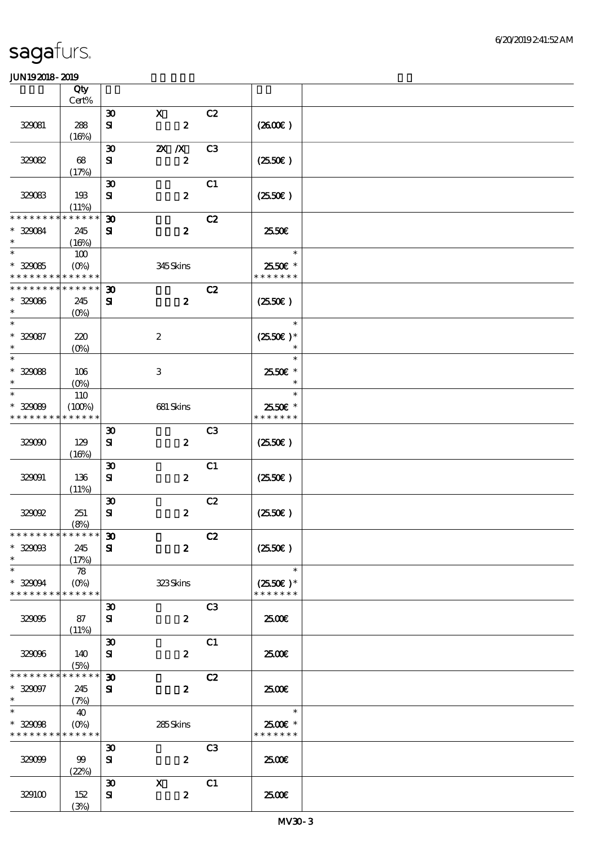|                                                                | Qty<br>Cert%                          |                                             |                                  |                |                                                 |  |
|----------------------------------------------------------------|---------------------------------------|---------------------------------------------|----------------------------------|----------------|-------------------------------------------------|--|
|                                                                |                                       |                                             | $\mathbf{x}$                     |                |                                                 |  |
| 329081                                                         | 288<br>(16%)                          | $\boldsymbol{\mathfrak{D}}$<br>${\bf s}$    | $\boldsymbol{z}$                 | C2             | (260E)                                          |  |
| 32002                                                          | 68                                    | $\boldsymbol{\mathfrak{D}}$<br>${\bf s}$    | $X$ $N$<br>$\boldsymbol{z}$      | C <sub>3</sub> | $(2550\varepsilon)$                             |  |
| 329083                                                         | (17%)<br>193                          | $\boldsymbol{\mathfrak{D}}$<br>${\bf s}$    | $\boldsymbol{z}$                 | C1             | (2550)                                          |  |
| * * * * * * * *<br>$* 329084$                                  | (11%)<br>* * * * * *<br>245           | $\boldsymbol{\mathfrak{D}}$<br>${\bf s}$    | $\boldsymbol{z}$                 | C2             | 2550€                                           |  |
| $\ast$<br>$\overline{\ast}$<br>$* 32005$                       | (16%)<br>100<br>$(O\%)$               |                                             | 345Skins                         |                | $\ast$<br>2550€ *                               |  |
| * * * * * * * * * * * * * *                                    |                                       |                                             |                                  |                | * * * * * * *                                   |  |
| * * * * * * * * * * * * * *<br>$* 329086$<br>$\ast$            | 245<br>$(O\%)$                        | $\boldsymbol{\mathfrak{D}}$<br>${\bf s}$    | $\boldsymbol{z}$                 | C2             | (2550)                                          |  |
| $\ast$<br>$* 329087$<br>$\ast$                                 | 220<br>$(O\!/\!o)$                    |                                             | $\boldsymbol{2}$                 |                | $\ast$<br>$(2550E)*$<br>$\ast$                  |  |
| $\overline{\ast}$<br>$* 32008$<br>$\ast$                       | 106<br>$(O\%)$                        |                                             | 3                                |                | $\ast$<br>2550€ *<br>$\ast$                     |  |
| $\ast$<br>$* 329089$<br>* * * * * * * *                        | 110<br>(100%)<br>* * * * * *          |                                             | 681 Skins                        |                | $\ast$<br>2550€ *<br>* * * * * * *              |  |
| 32000                                                          | 129<br>(16%)                          | $\boldsymbol{\mathfrak{D}}$<br>${\bf s}$    | $\boldsymbol{z}$                 | C <sub>3</sub> | $(2550\varepsilon)$                             |  |
| 320001                                                         | 136<br>(11%)                          | $\boldsymbol{\mathfrak{D}}$<br>${\bf s}$    | $\boldsymbol{2}$                 | C1             | $(2550\varepsilon)$                             |  |
| 32002                                                          | 251<br>(8%)                           | $\boldsymbol{\mathfrak{D}}$<br>$\mathbf{S}$ | $\boldsymbol{2}$                 | C2             | (2550)                                          |  |
| * * * * * * * * * * * * * * *<br>$* 32908$<br>$\ast$           | 245<br>(17%)                          | $\pmb{\mathfrak{D}}$<br>${\bf s}$           | $\boldsymbol{z}$                 | C2             | $(2550\varepsilon)$                             |  |
| $\ast$<br>$* 32004$<br>* * * * * * * *                         | 78<br>$(O\!/\!\delta)$<br>* * * * * * |                                             | 323Skins                         |                | $\ast$<br>$(2550\varepsilon)*$<br>* * * * * * * |  |
| 32005                                                          | 87<br>(11%)                           | $\boldsymbol{\mathfrak{D}}$<br>${\bf s}$    | $\boldsymbol{z}$                 | C <sub>3</sub> | 2500E                                           |  |
| 32006                                                          | 140<br>(5%)                           | $\boldsymbol{\mathfrak{D}}$<br>${\bf s}$    | $\boldsymbol{z}$                 | C1             | 2500€                                           |  |
| * * * * * * * *<br>$* 329097$<br>$\ast$                        | * * * * * *<br>245<br>(7%)            | $\boldsymbol{\mathfrak{D}}$<br>${\bf s}$    | $\boldsymbol{z}$                 | C2             | 2500                                            |  |
| $\overline{\ast}$<br>$* 329098$<br>* * * * * * * * * * * * * * | 40<br>$(O\!/\!\!\delta)$              |                                             | 285Skins                         |                | $\ast$<br>2500€ *<br>* * * * * * *              |  |
| 32009                                                          | 99<br>(22%)                           | $\boldsymbol{\mathfrak{D}}$<br>${\bf s}$    | $\boldsymbol{z}$                 | C <sub>3</sub> | 2500€                                           |  |
| 329100                                                         | 152<br>(3%)                           | $\boldsymbol{\mathfrak{D}}$<br>${\bf s}$    | $\mathbf{X}$<br>$\boldsymbol{z}$ | C1             | 2500€                                           |  |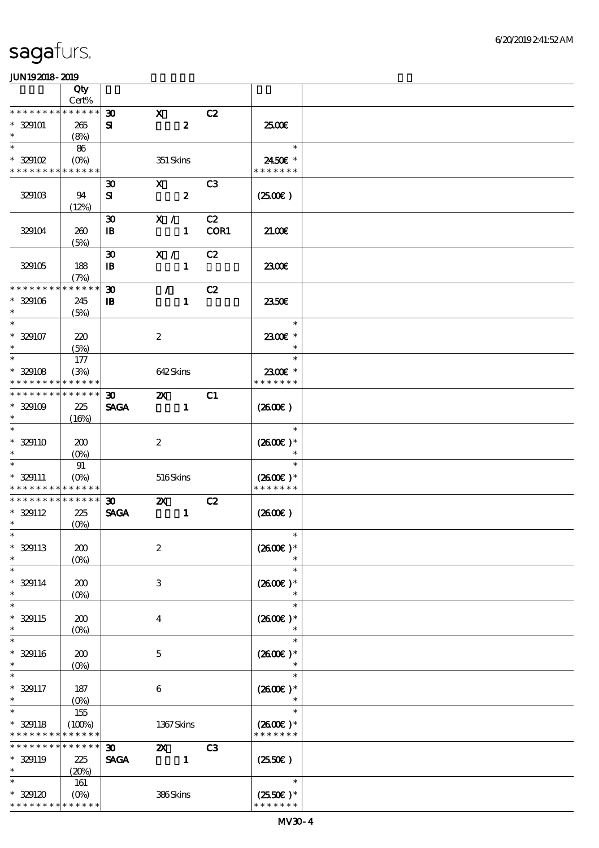|                             | Qty              |                             |                           |                  |                |                     |  |
|-----------------------------|------------------|-----------------------------|---------------------------|------------------|----------------|---------------------|--|
| * * * * * * *               | Cert%            |                             |                           |                  |                |                     |  |
|                             | * * * * * *      | $\boldsymbol{\mathfrak{D}}$ | $\mathbf{x}$              |                  | C2             |                     |  |
| $*329101$<br>$\ast$         | 265              | ${\bf s}$                   |                           | $\boldsymbol{z}$ |                | 2500E               |  |
| $\ast$                      | (8%)             |                             |                           |                  |                | $\ast$              |  |
|                             | 86               |                             |                           |                  |                |                     |  |
| $*329102$                   | $(O\%)$          |                             | 351 Skins                 |                  |                | 2450€ *             |  |
| * * * * * * * * * * * * * * |                  |                             |                           |                  |                | * * * * * * *       |  |
|                             |                  | $\boldsymbol{\mathfrak{D}}$ | $\mathbf{x}$              |                  | C <sub>3</sub> |                     |  |
| 329103                      | 94               | ${\bf s}$                   |                           | $\boldsymbol{2}$ |                | (250)               |  |
|                             | (12%)            |                             |                           |                  |                |                     |  |
|                             |                  | $\boldsymbol{\mathfrak{D}}$ | X /                       |                  | C2             |                     |  |
| 329104                      | 260              | $\, {\bf I} \! {\bf B} \,$  |                           | $\mathbf{1}$     | COR1           | 21.00               |  |
|                             | (5%)             |                             |                           |                  |                |                     |  |
|                             |                  | $\boldsymbol{\mathfrak{D}}$ | X /                       |                  | C2             |                     |  |
| 329105                      | 188              | $\mathbf{B}$                |                           | $\mathbf{1}$     |                | 2300E               |  |
|                             | (7%)             |                             |                           |                  |                |                     |  |
| * * * * * * * *             | * * * * * *      | $\boldsymbol{\mathfrak{D}}$ | $\mathcal{L}$             |                  | C2             |                     |  |
| $* 329106$                  | 245              | $\mathbf{B}$                |                           | $\mathbf{1}$     |                | 2350E               |  |
| $\ast$                      | (5%)             |                             |                           |                  |                |                     |  |
| $\ast$                      |                  |                             |                           |                  |                | $\ast$              |  |
| $* 329107$                  | 220              |                             | $\boldsymbol{2}$          |                  |                | 2300€ *             |  |
| $\ast$                      | (5%)             |                             |                           |                  |                | $\ast$              |  |
| $\ast$                      | 177              |                             |                           |                  |                | $\ast$              |  |
| $* 329108$                  | (3%)             |                             | 642Skins                  |                  |                | 2300€ *             |  |
| * * * * * * * *             | * * * * * *      |                             |                           |                  |                | * * * * * * *       |  |
| * * * * * * * *             | * * * * * *      | 30 <sub>o</sub>             | $\boldsymbol{\mathsf{X}}$ |                  | C1             |                     |  |
| $*329109$                   | 225              | <b>SAGA</b>                 |                           | $\mathbf{1}$     |                | $(2600\varepsilon)$ |  |
| $\ast$                      | (16%)            |                             |                           |                  |                |                     |  |
| $\ast$                      |                  |                             |                           |                  |                | $\ast$              |  |
| $* 329110$                  | 200              |                             | $\boldsymbol{2}$          |                  |                | $(2600)$ *          |  |
|                             | $(O\%)$          |                             |                           |                  |                |                     |  |
| $\ast$                      | 91               |                             |                           |                  |                | $\ast$              |  |
| $* 329111$                  | $(O\%)$          |                             | 516Skins                  |                  |                | $(2600E)*$          |  |
| * * * * * * * *             | * * * * * *      |                             |                           |                  |                | * * * * * * *       |  |
| * * * * * * * *             | * * * * * *      | $\boldsymbol{\mathfrak{D}}$ | $\boldsymbol{\mathsf{z}}$ |                  | C2             |                     |  |
| $* 329112$                  | 225              | <b>SAGA</b>                 |                           | $\mathbf{1}$     |                | $(2600\varepsilon)$ |  |
| $\ast$                      | $(O\%)$          |                             |                           |                  |                |                     |  |
| $*$                         |                  |                             |                           |                  |                | $\ast$              |  |
| $* 329113$                  | 200              |                             | $\boldsymbol{2}$          |                  |                | $(2600)$ *          |  |
| $\ast$                      | $(0\%)$          |                             |                           |                  |                |                     |  |
| $\ast$                      |                  |                             |                           |                  |                | $\ast$              |  |
| $* 329114$                  | 200              |                             | 3                         |                  |                | $(2600E)*$          |  |
| $\ast$                      | $(0\%)$          |                             |                           |                  |                | $\ast$              |  |
| $\ast$                      |                  |                             |                           |                  |                | $\ast$              |  |
| $* 329115$                  | 200              |                             | $\overline{4}$            |                  |                | $(2600)$ *          |  |
| $\ast$                      | (0%)             |                             |                           |                  |                | $\ast$              |  |
| $\ast$                      |                  |                             |                           |                  |                | $\ast$              |  |
| $* 329116$                  | 200              |                             | $\mathbf 5$               |                  |                | $(2600E)*$          |  |
| $\ast$                      | $(0\%)$          |                             |                           |                  |                |                     |  |
|                             |                  |                             |                           |                  |                | $\ast$              |  |
| $* 329117$                  | 187              |                             | $\boldsymbol{6}$          |                  |                | $(2600E)*$          |  |
| $\ast$                      | $(O\!/\!\delta)$ |                             |                           |                  |                | $\ast$              |  |
| $\ast$                      | 155              |                             |                           |                  |                | $\ast$              |  |
| $* 329118$                  | (100%)           |                             | 1367Skins                 |                  |                | $(2600)$ *          |  |
| * * * * * * * *             | * * * * * *      |                             |                           |                  |                | * * * * * * *       |  |
| * * * * * * *               | * * * * * *      | $\boldsymbol{\mathfrak{D}}$ | $\boldsymbol{\mathsf{z}}$ |                  | C <sub>3</sub> |                     |  |
| $* 329119$                  | 225              | <b>SAGA</b>                 |                           | $\mathbf{1}$     |                | $(2550\varepsilon)$ |  |
| $\ast$                      | (20%)            |                             |                           |                  |                |                     |  |
| $\ast$                      | 161              |                             |                           |                  |                | $\ast$              |  |
| $*329120$                   | $(O\%)$          |                             | 386Skins                  |                  |                | $(2550E)*$          |  |
| * * * * * * * *             | * * * * * *      |                             |                           |                  |                | * * * * * * *       |  |
|                             |                  |                             |                           |                  |                |                     |  |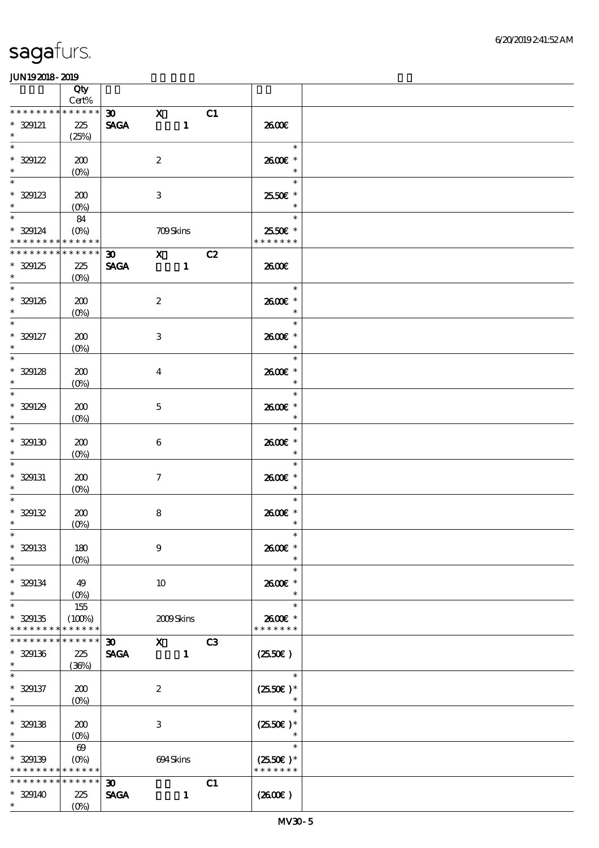|                                          | Qty<br>Cert%          |                             |                                                                                                                                                                                                                                                                                                                                 |              |    |                          |  |
|------------------------------------------|-----------------------|-----------------------------|---------------------------------------------------------------------------------------------------------------------------------------------------------------------------------------------------------------------------------------------------------------------------------------------------------------------------------|--------------|----|--------------------------|--|
| * * * * * * * *                          | * * * * * *           | 30 <sub>o</sub>             | $\mathbf{x}$                                                                                                                                                                                                                                                                                                                    |              | C1 |                          |  |
| $* 329121$<br>$\ast$                     | 225<br>(25%)          | <b>SAGA</b>                 | $\sim$ $\sim$ 1                                                                                                                                                                                                                                                                                                                 |              |    | 2600E                    |  |
| $\overline{\phantom{a}^*}$               |                       |                             |                                                                                                                                                                                                                                                                                                                                 |              |    | $\ast$                   |  |
| $* 329122$                               | 200                   |                             | $\boldsymbol{2}$                                                                                                                                                                                                                                                                                                                |              |    | 2600€ *                  |  |
| $\ast$                                   | $(0\%)$               |                             |                                                                                                                                                                                                                                                                                                                                 |              |    | $\ast$                   |  |
| $\ast$                                   |                       |                             |                                                                                                                                                                                                                                                                                                                                 |              |    | $\ast$                   |  |
|                                          |                       |                             |                                                                                                                                                                                                                                                                                                                                 |              |    |                          |  |
| $* 329123$                               | 200                   |                             | $\,3$                                                                                                                                                                                                                                                                                                                           |              |    | 2550€ *                  |  |
| $\ast$                                   | $(0\%)$               |                             |                                                                                                                                                                                                                                                                                                                                 |              |    |                          |  |
|                                          | 84                    |                             |                                                                                                                                                                                                                                                                                                                                 |              |    | $\ast$                   |  |
| $* 329124$                               | $(0\%)$               |                             | <b>709Skins</b>                                                                                                                                                                                                                                                                                                                 |              |    | 25.50€ *                 |  |
| * * * * * * * * * * * * * *              |                       |                             |                                                                                                                                                                                                                                                                                                                                 |              |    | * * * * * * *            |  |
| * * * * * * * *                          | $* * * * * * *$       | $\boldsymbol{\mathfrak{D}}$ | $X$ $C2$                                                                                                                                                                                                                                                                                                                        |              |    |                          |  |
| $* 329125$                               | 225                   | <b>SAGA</b>                 |                                                                                                                                                                                                                                                                                                                                 |              |    | 2600€                    |  |
| $\ast$                                   | $(O\%)$               |                             |                                                                                                                                                                                                                                                                                                                                 |              |    |                          |  |
| $\overline{\ast}$                        |                       |                             |                                                                                                                                                                                                                                                                                                                                 |              |    | $\ast$                   |  |
|                                          |                       |                             |                                                                                                                                                                                                                                                                                                                                 |              |    |                          |  |
| $* 329126$                               | 200                   |                             | $\boldsymbol{2}$                                                                                                                                                                                                                                                                                                                |              |    | 2600€ *                  |  |
| $\ast$                                   | $(O\!/\!o)$           |                             |                                                                                                                                                                                                                                                                                                                                 |              |    | $\ast$                   |  |
| $\overline{\ast}$                        |                       |                             |                                                                                                                                                                                                                                                                                                                                 |              |    | $\ast$                   |  |
| $* 329127$                               | 200                   |                             | $\,3\,$                                                                                                                                                                                                                                                                                                                         |              |    | 2600E *                  |  |
| $\ast$                                   | $(O\!/\!o)$           |                             |                                                                                                                                                                                                                                                                                                                                 |              |    | $\ast$                   |  |
| $\overline{\phantom{0}}$                 |                       |                             |                                                                                                                                                                                                                                                                                                                                 |              |    | $\ast$                   |  |
| $* 329128$                               | 200                   |                             | $\overline{\mathbf{4}}$                                                                                                                                                                                                                                                                                                         |              |    | 2600€ *                  |  |
| $\ast$                                   | $(0\%)$               |                             |                                                                                                                                                                                                                                                                                                                                 |              |    | $\ast$                   |  |
| $\ast$                                   |                       |                             |                                                                                                                                                                                                                                                                                                                                 |              |    | $\ast$                   |  |
| $* 329129$                               | 200                   |                             | $\mathbf{5}$                                                                                                                                                                                                                                                                                                                    |              |    | 2600€ *                  |  |
| $\ast$                                   |                       |                             |                                                                                                                                                                                                                                                                                                                                 |              |    | $\ast$                   |  |
| $\ast$                                   | $(O\!/\!\delta)$      |                             |                                                                                                                                                                                                                                                                                                                                 |              |    | $\ast$                   |  |
|                                          |                       |                             |                                                                                                                                                                                                                                                                                                                                 |              |    |                          |  |
| $* 329130$                               | 200                   |                             | $\boldsymbol{6}$                                                                                                                                                                                                                                                                                                                |              |    | 2600E *                  |  |
| $\ast$                                   | $(0\%)$               |                             |                                                                                                                                                                                                                                                                                                                                 |              |    | $\ast$                   |  |
| $\ast$                                   |                       |                             |                                                                                                                                                                                                                                                                                                                                 |              |    | $\ast$                   |  |
| $*$ 329131                               | 200                   |                             | $\tau$                                                                                                                                                                                                                                                                                                                          |              |    | 2600€ *                  |  |
| $\ast$                                   | $(O\%)$               |                             |                                                                                                                                                                                                                                                                                                                                 |              |    | $\ast$                   |  |
| $\ast$                                   |                       |                             |                                                                                                                                                                                                                                                                                                                                 |              |    | $\ast$                   |  |
| $* 329132$                               | 200                   |                             | $\bf8$                                                                                                                                                                                                                                                                                                                          |              |    | 2600€ *                  |  |
| $\ast$                                   | $(\underline{O\%})$   |                             |                                                                                                                                                                                                                                                                                                                                 |              |    | $\ast$                   |  |
| $*$                                      |                       |                             |                                                                                                                                                                                                                                                                                                                                 |              |    | $\ast$                   |  |
| $* 329133$                               | 180                   |                             | $\boldsymbol{9}$                                                                                                                                                                                                                                                                                                                |              |    | 2600€ *                  |  |
| $\ast$                                   | $(O\%)$               |                             |                                                                                                                                                                                                                                                                                                                                 |              |    | $\ast$                   |  |
| $\ast$                                   |                       |                             |                                                                                                                                                                                                                                                                                                                                 |              |    | $\ast$                   |  |
| $* 329134$                               | 49                    |                             | 10                                                                                                                                                                                                                                                                                                                              |              |    | 2600€ *                  |  |
| $\ast$                                   | $(O\% )$              |                             |                                                                                                                                                                                                                                                                                                                                 |              |    | $\ast$                   |  |
| $\ast$                                   | 155                   |                             |                                                                                                                                                                                                                                                                                                                                 |              |    | $\ast$                   |  |
|                                          |                       |                             |                                                                                                                                                                                                                                                                                                                                 |              |    |                          |  |
| $* 329135$<br>* * * * * * * *            | (100%)<br>* * * * * * |                             | 2009Skins                                                                                                                                                                                                                                                                                                                       |              |    | 2600E *<br>* * * * * * * |  |
| * * * * * * * *                          | * * * * * *           |                             |                                                                                                                                                                                                                                                                                                                                 |              |    |                          |  |
|                                          |                       | $\boldsymbol{\mathfrak{D}}$ | $\mathbf x$ and $\mathbf x$ and $\mathbf x$ and $\mathbf x$ and $\mathbf x$ and $\mathbf x$ and $\mathbf x$ and $\mathbf x$ and $\mathbf x$ and $\mathbf x$ and $\mathbf x$ and $\mathbf x$ and $\mathbf x$ and $\mathbf x$ and $\mathbf x$ and $\mathbf x$ and $\mathbf x$ and $\mathbf x$ and $\mathbf x$ and $\mathbf x$ and |              | C3 |                          |  |
| $* 329136$                               | 225                   | <b>SAGA</b>                 |                                                                                                                                                                                                                                                                                                                                 | $\mathbf{1}$ |    | $(2550\varepsilon)$      |  |
| $\ast$                                   | (36%)                 |                             |                                                                                                                                                                                                                                                                                                                                 |              |    |                          |  |
| $\ast$                                   |                       |                             |                                                                                                                                                                                                                                                                                                                                 |              |    | $\ast$                   |  |
| $* 329137$                               | 200                   |                             | $\boldsymbol{2}$                                                                                                                                                                                                                                                                                                                |              |    | $(2550\varepsilon)*$     |  |
| $\ast$                                   | $(O\%)$               |                             |                                                                                                                                                                                                                                                                                                                                 |              |    |                          |  |
| $\ast$                                   |                       |                             |                                                                                                                                                                                                                                                                                                                                 |              |    | $\ast$                   |  |
| $* 329138$                               | 200                   |                             | $\,3\,$                                                                                                                                                                                                                                                                                                                         |              |    | $(2550E)*$               |  |
| $\ast$                                   | $(O\% )$              |                             |                                                                                                                                                                                                                                                                                                                                 |              |    |                          |  |
| $\ast$                                   | $\boldsymbol{\omega}$ |                             |                                                                                                                                                                                                                                                                                                                                 |              |    | $\ast$                   |  |
| $* 329139$                               |                       |                             | 694Skins                                                                                                                                                                                                                                                                                                                        |              |    | $(2550E)*$               |  |
| * * * * * * * * <mark>* * * * * *</mark> |                       |                             |                                                                                                                                                                                                                                                                                                                                 |              |    | * * * * * * *            |  |
| * * * * * * * *                          | * * * * * *           | 30 <sub>o</sub>             |                                                                                                                                                                                                                                                                                                                                 |              | C1 |                          |  |
|                                          |                       |                             |                                                                                                                                                                                                                                                                                                                                 |              |    |                          |  |
| $* 329140$<br>$*$                        | 225                   | <b>SAGA</b>                 |                                                                                                                                                                                                                                                                                                                                 | $\mathbf{1}$ |    | (260E)                   |  |
|                                          | $(O\%)$               |                             |                                                                                                                                                                                                                                                                                                                                 |              |    |                          |  |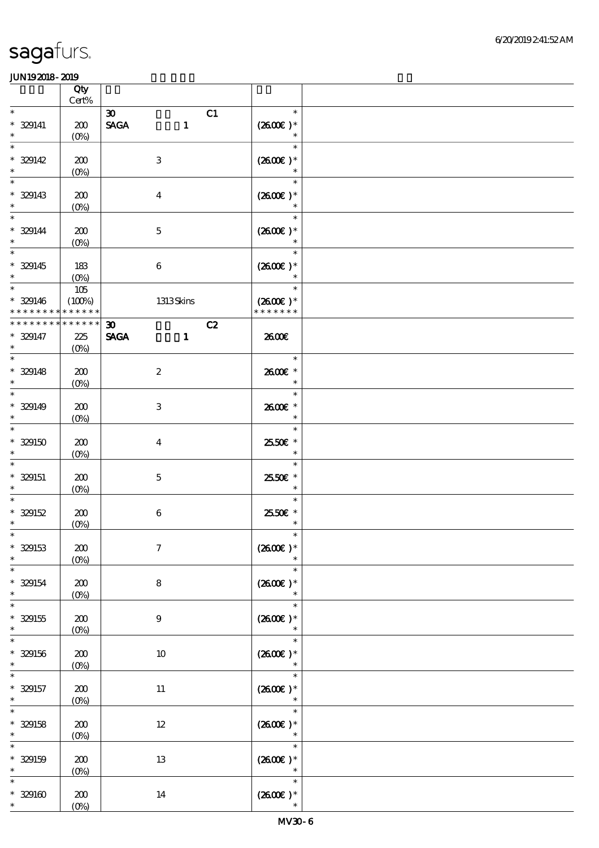|                                                                       | Qty<br>$\mbox{Cert}\%$ |                                                            |    |                                       |  |
|-----------------------------------------------------------------------|------------------------|------------------------------------------------------------|----|---------------------------------------|--|
| $\ast$                                                                |                        | $\boldsymbol{\mathfrak{D}}$                                | C1 | $\ast$                                |  |
| $* 329141$<br>$\ast$                                                  | 200<br>$(O\!/\!o)$     | $\ensuremath{\mathsf{SAGA}}$<br>$\mathbf{1}$               |    | $(2600)$ *<br>$\ast$                  |  |
| $\overline{\ast}$<br>$* 329142$<br>$\ast$                             | 200<br>$(0\%)$         | $\ensuremath{\mathbf{3}}$                                  |    | $\ast$<br>$(2600E)*$<br>$\ast$        |  |
| $\ast$<br>$*$ 329143                                                  | 200<br>$(0\%)$         | $\boldsymbol{4}$                                           |    | $\ast$<br>$(2600E)*$<br>$\ast$        |  |
| $\ast$<br>$* 329144$<br>$\ast$                                        | 200<br>$(0\%)$         | $\mathbf 5$                                                |    | $\ast$<br>$(2600E)*$                  |  |
| $\overline{\ast}$<br>$* 329145$<br>$\ast$                             | 183<br>$(O\%)$         | $\boldsymbol{6}$                                           |    | $\ast$<br>$(2600E)*$                  |  |
| $\overline{\phantom{0}}$<br>$* 329146$<br>* * * * * * * * * * * * * * | $105$<br>(100%)        | 1313Skins                                                  |    | $\ast$<br>$(2600E)*$<br>* * * * * * * |  |
| * * * * * * * * * * * * * *                                           |                        |                                                            | C2 |                                       |  |
| $* 329147$<br>$\ast$                                                  | 225<br>$(0\%)$         | $\boldsymbol{\mathfrak{D}}$<br><b>SAGA</b><br>$\mathbf{1}$ |    | 2600€                                 |  |
| $\overline{\ast}$<br>$* 329148$<br>$\ast$                             | 200<br>$(0\%)$         | $\boldsymbol{2}$                                           |    | $\ast$<br>2600€ *<br>$\ast$           |  |
| $\overline{\phantom{0}}$<br>$* 329149$<br>$\ast$                      | 200<br>$(O\!/\!o)$     | $\,3$                                                      |    | $\ast$<br>2600E *<br>$\ast$           |  |
| $\ast$<br>$* 329150$<br>$\ast$                                        | 200<br>$(0\%)$         | $\bf{4}$                                                   |    | $\ast$<br>2550€ *<br>$\ast$           |  |
| $\ast$<br>$*$ 329151<br>$\ast$                                        | 200<br>$(0\%)$         | $\mathbf 5$                                                |    | $\ast$<br>2550€ *<br>$\ast$           |  |
| $* 329152$<br>$\ast$                                                  | 200<br>$(0\%)$         | $\,6\,$                                                    |    | $\ast$<br>2550€ *<br>$\ast$           |  |
| $*$<br>$*$ 329153<br>$\ast$                                           | 200<br>$(0\%)$         | $\boldsymbol{7}$                                           |    | $(2600E)*$<br>$\ast$                  |  |
| $\ast$<br>$* 329154$<br>$\ast$                                        | 200<br>$(0\%)$         | ${\bf 8}$                                                  |    | $\ast$<br>$(2600)$ *<br>$\ast$        |  |
| $\ast$<br>$* 329155$<br>$\ast$                                        | 200<br>$(0\%)$         | $\boldsymbol{9}$                                           |    | $\ast$<br>$(2600)$ *<br>$\ast$        |  |
| $\ast$<br>$* 329156$<br>$\ast$                                        | 200<br>$(0\%)$         | $10\,$                                                     |    | $\ast$<br>$(2600E)*$<br>$\ast$        |  |
| $\ast$<br>$* 329157$<br>$\ast$                                        | 200<br>$(0\%)$         | $11\,$                                                     |    | $\ast$<br>$(2600)$ *<br>$\ast$        |  |
| $* 329158$<br>$\ast$                                                  | 200<br>$(0\%)$         | $12\,$                                                     |    | $\ast$<br>$(260E)^*$<br>$\ast$        |  |
| $\ast$<br>$* 329159$<br>$\ast$                                        | 200<br>$(0\%)$         | $13\,$                                                     |    | $\ast$<br>$(260E)*$<br>$\ast$         |  |
| $\ast$<br>$* 329160$<br>$\ast$                                        | 200<br>$(0\%)$         | $14\,$                                                     |    | $\ast$<br>$(2600\text{E})*$<br>$\ast$ |  |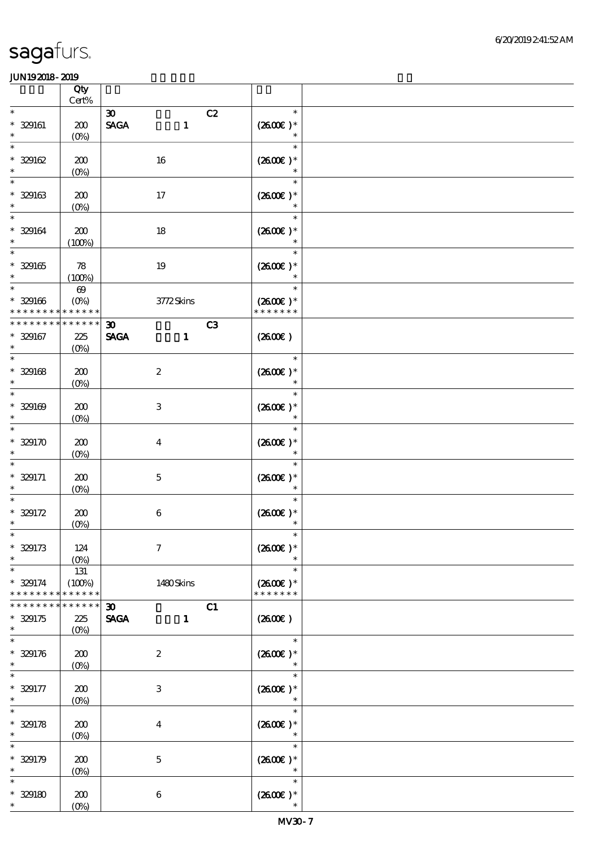|                 | Qty<br>Cert%          |                                |              |                |                      |  |
|-----------------|-----------------------|--------------------------------|--------------|----------------|----------------------|--|
| $\ast$          |                       |                                |              |                | $\ast$               |  |
|                 |                       | $\boldsymbol{\mathfrak{D}}$    |              | C2             |                      |  |
| $* 329161$      | 200                   | $\operatorname{\mathsf{SAGA}}$ | $\mathbf{1}$ |                | $(2600)$ *           |  |
| $\ast$          | $(0\%)$               |                                |              |                | $\ast$               |  |
| $\ast$          |                       |                                |              |                | $\ast$               |  |
| $* 329162$      | 200                   | 16                             |              |                | $(2600E)*$           |  |
| $\ast$          | $(0\%)$               |                                |              |                | $\ast$               |  |
| $\ast$          |                       |                                |              |                | $\ast$               |  |
|                 |                       |                                |              |                |                      |  |
| $* 329163$      | 200                   | 17                             |              |                | $(2600E)*$           |  |
| $\ast$          | $(0\%)$               |                                |              |                | $\ast$               |  |
| $\ast$          |                       |                                |              |                | $\ast$               |  |
| $* 329164$      | 200                   | $18\,$                         |              |                | $(2600E)*$           |  |
| $\ast$          | (100%)                |                                |              |                |                      |  |
| $\ast$          |                       |                                |              |                | $\ast$               |  |
| $* 329165$      |                       |                                |              |                | $(260E)*$            |  |
|                 | 78                    | $19\,$                         |              |                |                      |  |
| $\ast$          | (100%)                |                                |              |                | $\ast$               |  |
| $\ast$          | $\boldsymbol{\omega}$ |                                |              |                | $\ast$               |  |
| $* 329166$      | $(O\%)$               |                                | 3772Skins    |                | $(2600E)*$           |  |
| * * * * * * * * | * * * * * *           |                                |              |                | * * * * * * *        |  |
| * * * * * * *   | * * * * * *           | $\boldsymbol{\mathfrak{D}}$    |              | C <sub>3</sub> |                      |  |
| $* 329167$      | 225                   | <b>SAGA</b>                    | $\mathbf{1}$ |                | (260E)               |  |
| $\ast$          | $(O\!/\!\!\delta)$    |                                |              |                |                      |  |
| $\ast$          |                       |                                |              |                | $\ast$               |  |
|                 |                       |                                |              |                |                      |  |
| $* 329168$      | 200                   | $\boldsymbol{2}$               |              |                | $(2600)$ *           |  |
| $\ast$          | $(0\%)$               |                                |              |                | $\ast$               |  |
| $\ast$          |                       |                                |              |                | $\ast$               |  |
| $* 329169$      | 200                   | $\ensuremath{\mathbf{3}}$      |              |                | $(2600E)*$           |  |
| $\ast$          | $(O\!/\!o)$           |                                |              |                | $\ast$               |  |
| $\ast$          |                       |                                |              |                | $\ast$               |  |
| $* 329170$      | 200                   | $\boldsymbol{4}$               |              |                | $(2600E)*$           |  |
|                 |                       |                                |              |                |                      |  |
|                 | $(0\%)$               |                                |              |                |                      |  |
|                 |                       |                                |              |                | $\ast$               |  |
| $* 329171$      | 200                   | $\mathbf 5$                    |              |                | $(2600)$ *           |  |
| $\ast$          | $(0\%)$               |                                |              |                | $\ast$               |  |
| $\ast$          |                       |                                |              |                | $\ast$               |  |
| $* 329172$      | 200                   | $\,6\,$                        |              |                | $(2600)$ *           |  |
| $\ast$          | $(0\%)$               |                                |              |                | $\ast$               |  |
| $\ast$          |                       |                                |              |                | $\ast$               |  |
|                 |                       |                                |              |                |                      |  |
| $* 329173$      | 124                   | $\boldsymbol{7}$               |              |                | $(2600E)*$           |  |
| $\ast$          | (O <sub>0</sub> )     |                                |              |                |                      |  |
| $\ast$          | 131                   |                                |              |                | $\ast$               |  |
| $* 329174$      | (100%)                |                                | 1480Skins    |                | $(2600)$ *           |  |
| * * * * * * * * | * * * * * *           |                                |              |                | * * * * * * *        |  |
| * * * * * * *   | * * * * * *           | $\boldsymbol{\mathfrak{D}}$    |              | C1             |                      |  |
| $* 329175$      | 225                   | <b>SAGA</b>                    | $\mathbf{1}$ |                | (2600E)              |  |
| $\ast$          | $(0\%)$               |                                |              |                |                      |  |
| $\ast$          |                       |                                |              |                | $\ast$               |  |
|                 |                       |                                |              |                |                      |  |
| $* 329176$      | 200                   | $\boldsymbol{2}$               |              |                | $(2600E)*$           |  |
| $\ast$          | $(0\%)$               |                                |              |                |                      |  |
|                 |                       |                                |              |                | $\ast$               |  |
| $* 329177$      | 200                   | $\ensuremath{\mathbf{3}}$      |              |                | $(2600E)*$           |  |
| $\ast$          | $(0\%)$               |                                |              |                | $\ast$               |  |
| $\ast$          |                       |                                |              |                | $\ast$               |  |
| $* 329178$      | 200                   | $\overline{\mathbf{4}}$        |              |                | $(2600)$ *           |  |
| $\ast$          | (0%)                  |                                |              |                | $\ast$               |  |
| $\ast$          |                       |                                |              |                | $\ast$               |  |
|                 |                       |                                |              |                |                      |  |
| $* 329179$      | 200                   | $\mathbf 5$                    |              |                | $(2600E)*$           |  |
| $\ast$          | $(0\%)$               |                                |              |                | $\ast$               |  |
| $\ast$          |                       |                                |              |                | $\ast$               |  |
| $* 329180$      | 200                   | $\boldsymbol{6}$               |              |                | $(2600\varepsilon)*$ |  |
| $\ast$          | $(O\!/\!\!\delta)$    |                                |              |                | $\ast$               |  |
|                 |                       |                                |              |                |                      |  |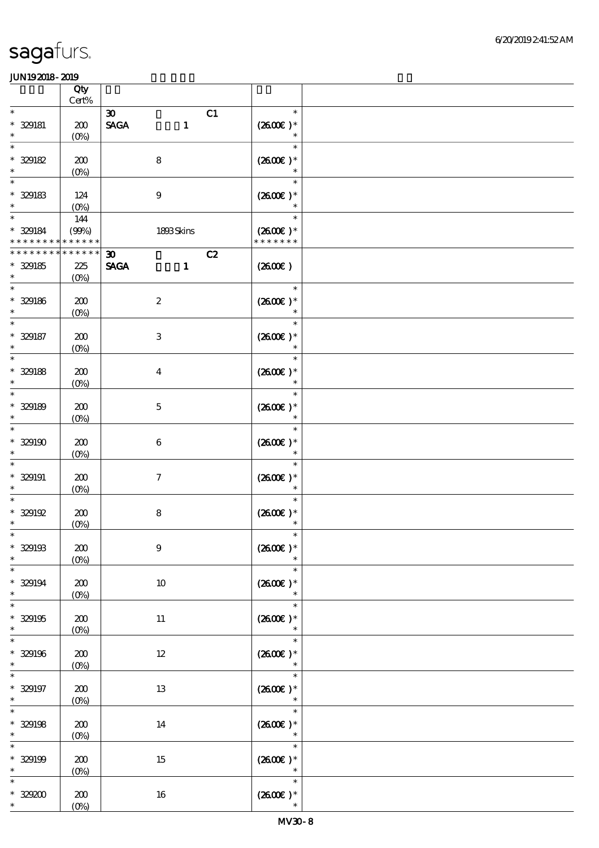|                                           | Qty<br>Cert%                  |                                                                               |                                       |  |
|-------------------------------------------|-------------------------------|-------------------------------------------------------------------------------|---------------------------------------|--|
| $\ast$<br>$* 329181$<br>$\ast$            | 200<br>$(O\%)$                | C1<br>$\boldsymbol{\infty}$<br>$\operatorname{\mathsf{SAGA}}$<br>$\mathbf{1}$ | $\ast$<br>$(2600E)*$<br>$\ast$        |  |
| $\ast$<br>$* 329182$<br>$\ast$            | 200<br>$(0\%)$                | $\bf 8$                                                                       | $\ast$<br>$(2600E)*$<br>$\ast$        |  |
| $\ast$<br>$*$ 329183<br>$\ast$            | 124<br>$(0\%)$                | $\boldsymbol{9}$                                                              | $\ast$<br>$(2600E)*$                  |  |
| $\ast$<br>$* 329184$<br>* * * * * * * *   | 144<br>(90%)<br>* * * * * *   | 1893Skins                                                                     | $\ast$<br>$(2600E)*$<br>* * * * * * * |  |
| * * * * * * *<br>$* 329185$<br>$\ast$     | * * * * * *<br>225<br>$(0\%)$ | C2<br>$\boldsymbol{\mathfrak{D}}$<br><b>SAGA</b><br>$\mathbf{1}$              | (260E)                                |  |
| $\ast$<br>$*$ 329186<br>$\ast$            | 200<br>$(O\!/\!o)$            | $\boldsymbol{2}$                                                              | $\ast$<br>$(2600)$ *<br>$\ast$        |  |
| $\ast$<br>$* 329187$<br>$\ast$            | 200<br>$(0\%)$                | $\,3$                                                                         | $\ast$<br>$(2600E)*$<br>$\ast$        |  |
| $\ast$<br>$* 329188$<br>$\ast$            | 200<br>$(0\%)$                | $\boldsymbol{4}$                                                              | $\ast$<br>$(2600E)*$<br>$\ast$        |  |
| $\ast$<br>$* 329189$<br>$\ast$            | 200<br>$(0\%)$                | $\mathbf 5$                                                                   | $\ast$<br>$(2600\text{E})*$<br>$\ast$ |  |
| $\ast$<br>$* 329190$<br>$\ast$            | 200<br>$(0\%)$                | $\boldsymbol{6}$                                                              | $\ast$<br>$(2600E)*$<br>$\ast$        |  |
| $\ast$<br>$* 329191$<br>$\ast$            | 200<br>$(O\%)$                | $\boldsymbol{7}$                                                              | $\ast$<br>$(260E)*$<br>$\ast$         |  |
| $\ast$<br>$* 329192$<br>$\ast$            | 200<br>$(0\%)$                | $\bf 8$                                                                       | $\ast$<br>$(2600)$ *<br>$\ast$        |  |
| $*$<br>$* 329193$<br>$\ast$               | 200<br>$(O\%)$                | $\boldsymbol{9}$                                                              | $\ast$<br>$(2600\text{E})*$<br>$\ast$ |  |
| $\overline{\ast}$<br>$* 329194$<br>$\ast$ | 200<br>$(0\%)$                | $10\,$                                                                        | $\ast$<br>$(2600)$ *<br>$\ast$        |  |
| $\ast$<br>$* 329195$<br>$\ast$            | 200<br>$(0\%)$                | $11\,$                                                                        | $\ast$<br>$(2600E)*$<br>$\ast$        |  |
| $\overline{\ast}$<br>$* 329196$<br>$\ast$ | 200<br>$(0\%)$                | 12                                                                            | $\ast$<br>$(2600\text{E})*$<br>$\ast$ |  |
| $\ast$<br>$* 329197$<br>$\ast$            | 200<br>$(0\%)$                | 13                                                                            | $\ast$<br>$(260E)*$<br>$\ast$         |  |
| $\ast$<br>$* 329198$<br>$\ast$            | 200<br>(0%)                   | $14\,$                                                                        | $\ast$<br>$(260E)*$<br>$\ast$         |  |
| $\ast$<br>$* 329199$<br>$\ast$            | 200<br>$(0\%)$                | 15                                                                            | $\ast$<br>$(2600E)*$<br>$\ast$        |  |
| $\ast$<br>$^*$ 329200 $\,$<br>$\ast$      | 200<br>$(O\!/\!o)$            | $16\,$                                                                        | $\ast$<br>$(260E)*$<br>$\ast$         |  |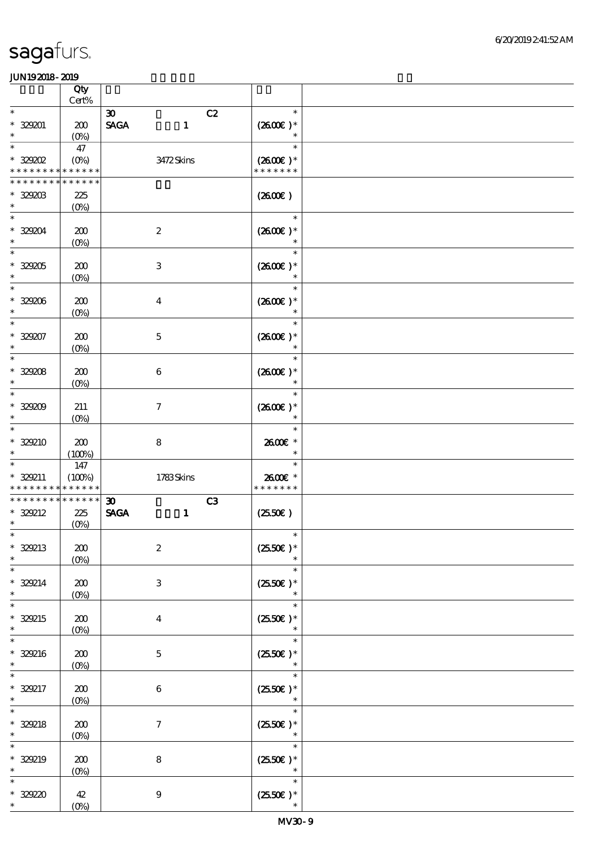|                                          | Qty<br>$Cert\%$               |                                                                               |                                                 |  |
|------------------------------------------|-------------------------------|-------------------------------------------------------------------------------|-------------------------------------------------|--|
| $\ast$<br>$* 329001$<br>$\ast$           | 200<br>$(O_0)$                | $\boldsymbol{\mathfrak{D}}$<br>$\operatorname{\mathsf{SAGA}}$<br>$\mathbf{1}$ | C2<br>$\ast$<br>$(2600E)*$<br>$\ast$            |  |
| $\ast$<br>$*32902$<br>* * * * * * * *    | 47<br>$(0\%)$<br>* * * * * *  | 3472Skins                                                                     | $\ast$<br>$(2600\varepsilon)*$<br>* * * * * * * |  |
| * * * * * * * *<br>$*$ 329203<br>$\ast$  | * * * * * *<br>225<br>$(0\%)$ |                                                                               | (260E)                                          |  |
| $\ast$<br>$*329204$<br>$\ast$            | 200<br>$(0\%)$                | $\boldsymbol{2}$                                                              | $\ast$<br>$(2600E)*$                            |  |
| $\ast$<br>$^*$ 329205 $\,$<br>$\ast$     | 200<br>$(0\%)$                | $\ensuremath{\mathbf{3}}$                                                     | $\ast$<br>$(260E)*$<br>$\ast$                   |  |
| $\ast$<br>$* 329206$<br>$\ast$           | 200<br>$(0\%)$                | $\boldsymbol{4}$                                                              | $\ast$<br>$(2600)$ *<br>$\ast$                  |  |
| $\ast$<br>$* 329207$<br>$\ast$           | 200<br>$(0\%)$                | $\mathbf 5$                                                                   | $\ast$<br>$(2600)$ *<br>$\ast$                  |  |
| $\ast$<br>$* 329208$<br>$\ast$           | 200<br>$(0\%)$                | $\boldsymbol{6}$                                                              | $\ast$<br>$(2600E)*$<br>$\ast$                  |  |
| $\ast$<br>$* 329209$<br>$\ast$<br>$\ast$ | 211<br>$(O\!/\!o)$            | $\boldsymbol{7}$                                                              | $\ast$<br>$(2600)$ *                            |  |
| * 329210<br>$\ast$<br>$\ast$             | 200<br>(100%)                 | ${\bf 8}$                                                                     | $\ast$<br>2600E *<br>$\ast$                     |  |
| * 329211<br>* * * * * * * *              | 147<br>(100%)<br>* * * * * *  | 1783Skins                                                                     | $\ast$<br>2600€ *<br>* * * * * * *              |  |
| * * * * * * * *<br>$*329212$<br>$\ast$   | * * * * * *<br>225<br>$(0\%)$ | $\boldsymbol{\mathfrak{D}}$<br><b>SAGA</b><br>$\mathbf{1}$                    | C3<br>$(2550\varepsilon)$                       |  |
| $\ast$<br>* 329213<br>$\ast$<br>$\ast$   | 200<br>$(0\%)$                | $\boldsymbol{2}$                                                              | $\ast$<br>$(2550)$ *<br>$\ast$                  |  |
| $* 329214$<br>$\ast$                     | 200<br>$(0\%)$                | 3                                                                             | $\ast$<br>$(2550E)*$<br>$\ast$                  |  |
| $\ast$<br>* 329215<br>$\ast$<br>$\ast$   | 200<br>$(O\%)$                | $\overline{\mathbf{4}}$                                                       | $\ast$<br>$(2550E)*$                            |  |
| * 329216<br>$\ast$                       | 200<br>$(0\%)$                | $\mathbf{5}$                                                                  | $\ast$<br>$(2550)$ *<br>$\ast$                  |  |
| * 329217<br>$\ast$                       | 200<br>$(O\!/\!\delta)$       | $\,6\,$                                                                       | $\ast$<br>$(2550E)*$<br>$\ast$                  |  |
| $\ast$<br>$* 329218$<br>$\ast$           | 200<br>$(0\%)$                | $\boldsymbol{\tau}$                                                           | $\ast$<br>$(2550)$ *<br>$\ast$                  |  |
| $\ast$<br>* 329219<br>$\ast$             | 200<br>$(0\%)$                | $\bf 8$                                                                       | $\ast$<br>$(2550\varepsilon)*$<br>$\ast$        |  |
| $\ast$<br>$* 32920$<br>$\ast$            | 42<br>(O <sub>0</sub> )       | $9$                                                                           | $\ast$<br>$(2550\varepsilon)*$<br>$\ast$        |  |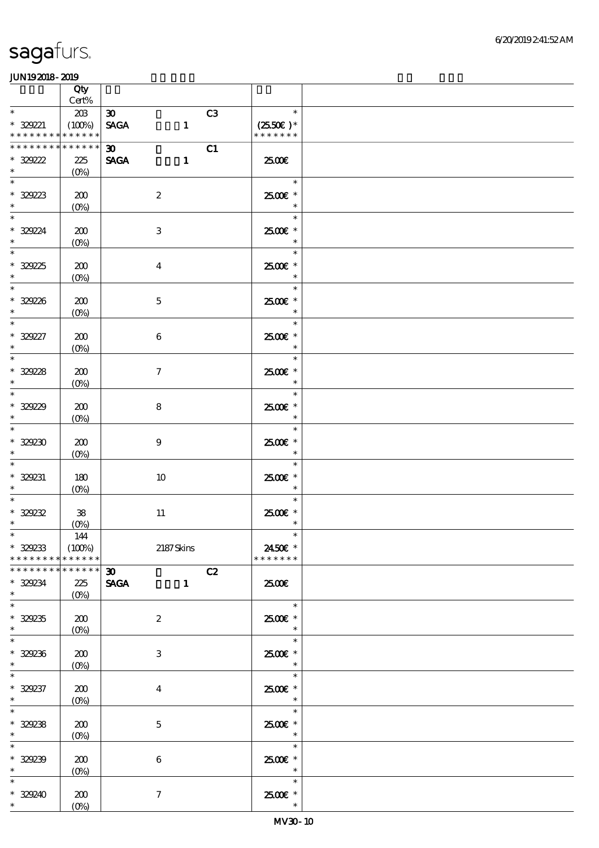|                                                                              | Qty                          |                                            |              |    |                                                   |  |
|------------------------------------------------------------------------------|------------------------------|--------------------------------------------|--------------|----|---------------------------------------------------|--|
| $\ast$                                                                       | $\mbox{Cert\%}$              |                                            |              |    | $\ast$                                            |  |
| $* 329221$<br>* * * * * * * * * * * * * *                                    | 203<br>(100%)                | $\boldsymbol{\mathfrak{D}}$<br><b>SAGA</b> | $\mathbf{1}$ | C3 | $(2550\varepsilon)^*$<br>* * * * * * *            |  |
| ********<br>$*329222$                                                        | ******<br>225                | $\infty$<br><b>SAGA</b>                    | $\mathbf{1}$ | C1 | 2500€                                             |  |
| $\ast$<br>$\ast$<br>* 32923                                                  | $(0\%)$<br>200               | $\boldsymbol{2}$                           |              |    | $\ast$<br>$2500$ $\epsilon$ *                     |  |
| $\overline{\ast}$<br>$* 32924$                                               | $(0\%)$<br>200               | $\,3$                                      |              |    | $\ast$<br>$\ast$<br>2500€ *<br>$\ast$             |  |
| $* 32925$<br>$*$                                                             | $(0\%)$<br>200<br>$(0\%)$    | $\boldsymbol{4}$                           |              |    | $\ast$<br>2500€ *<br>$\ast$                       |  |
| $\overline{\phantom{0}}$<br>$* 32928$                                        | 200<br>$(0\%)$               | $\mathbf 5$                                |              |    | $\ast$<br>$2500$ $\epsilon$ *<br>$\ast$           |  |
| $\overline{\ast}$<br>$* 329227$<br>$\ast$                                    | 200<br>(0%)                  | $\,6\,$                                    |              |    | $\ast$<br>2500€ *<br>$\ast$                       |  |
| $\overline{\phantom{0}}$<br>$* 32928$<br>$*$                                 | 200<br>$(0\%)$               | $\boldsymbol{7}$                           |              |    | $\ast$<br>2500€ *<br>$\ast$                       |  |
| $\overline{\phantom{0}}$<br>$* 32929$<br>$*$                                 | 200<br>$(0\%)$               | $\bf 8$                                    |              |    | $\ast$<br>$2500$ $\epsilon$ *<br>$\ast$           |  |
| $\overline{\ast}$<br>$* 329230$<br>$\ast$                                    | 200<br>$(0\%)$               | $\boldsymbol{9}$                           |              |    | $\ast$<br>2500€ *<br>$\ast$                       |  |
| $\ast$<br>$* 329231$<br>$\ast$                                               | 180<br>$(0\%)$               | 10                                         |              |    | $\ast$<br>2500€ *<br>$\ast$                       |  |
| $* 329232$<br>$\ast$                                                         | ${\bf 38}$<br>(0%)           | $11\,$                                     |              |    | $\ast$<br>$2500$ $\epsilon$ *<br>$\ast$           |  |
| $*$<br>$* 329233$<br>* * * * * * * *                                         | 144<br>(100%)<br>* * * * * * |                                            | 2187Skins    |    | 2450€ *<br>* * * * * * *                          |  |
| * * * * * * * * * * * * * *<br>$* 329234$<br>$\ast$                          | 225<br>$(O\%)$               | $\infty$<br><b>SAGA</b>                    | $\mathbf{1}$ | C2 | 2500€                                             |  |
| $\overline{\phantom{a}^*}$<br>$* 329235$<br>$\ast$                           | 200<br>$(0\%)$               | $\boldsymbol{2}$                           |              |    | $\ast$<br>2500€ *<br>$\ast$                       |  |
| $\overline{\phantom{0}}$<br>$* 329236$<br>$\ast$<br>$\overline{\phantom{0}}$ | ${\bf Z0}$<br>$(O\!/\!o)$    | 3                                          |              |    | $\ast$<br>2500€ *<br>$\ast$                       |  |
| $* 329237$<br>$\ast$<br>$\overline{\ast}$                                    | 200<br>$(0\%)$               | $\bf{4}$                                   |              |    | $\ast$<br>$2500$ $\epsilon$ *<br>$\ast$           |  |
| $* 329238$<br>$\ast$<br>$\overline{\ast}$                                    | 200<br>$(0\%)$               | $\mathbf 5$                                |              |    | $\ast$<br>2500 £*<br>$\ast$                       |  |
| $* 329239$<br>$\ast$<br>$\ast$                                               | 200<br>$(0\%)$               | $\,6\,$                                    |              |    | $\ast$<br>$2500$ $\epsilon$ *<br>$\ast$<br>$\ast$ |  |
| $* 329240$<br>$\ast$                                                         | 200<br>$(0\%)$               | $\boldsymbol{7}$                           |              |    | $2500$ $\epsilon$ *<br>$\ast$                     |  |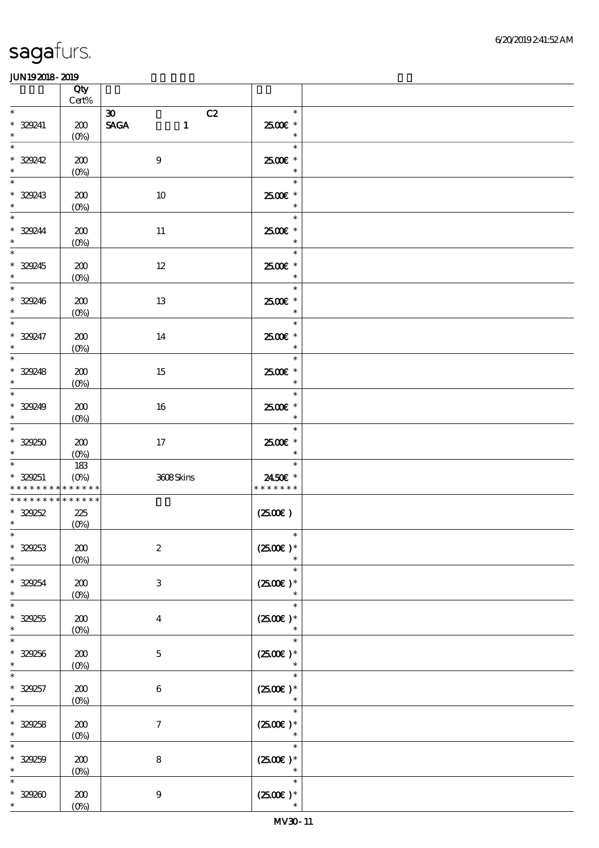|                                                                       | Qty<br>Cert%                  |                                                                                   |                                          |  |
|-----------------------------------------------------------------------|-------------------------------|-----------------------------------------------------------------------------------|------------------------------------------|--|
| $\ast$<br>* 329241<br>$\ast$                                          | 200<br>$(O\%)$                | C2<br>$\boldsymbol{\mathfrak{D}}$<br>$\ensuremath{\mathsf{SAGA}}$<br>$\mathbf{1}$ | $\ast$<br>2500€ *<br>$\ast$              |  |
| $\ast$<br>$* 329242$<br>$\ast$                                        | 200<br>$(0\%)$                | $\boldsymbol{9}$                                                                  | an T<br>$\ast$<br>2500€ *<br>$\ast$      |  |
| $\overline{\phantom{a}^*}$<br>* 329243<br>$\ast$                      | 200<br>$(0\%)$                | $10\,$                                                                            | $\ast$<br>2500€ *<br>$\ast$              |  |
| $\overline{\phantom{0}}$<br>$*329244$<br>$\ast$                       | 200<br>$(0\%)$                | $11\,$                                                                            | $\ast$<br>2500€ *<br>$\ast$              |  |
| $\overline{\phantom{0}}$<br>$* 329245$<br>$\ast$                      | 200<br>$(0\%)$                | $12\,$                                                                            | $\ast$<br>$2500$ $*$<br>$\ast$           |  |
| $\overline{\phantom{0}}$<br>$* 329246$<br>$\ast$                      | 200<br>$(0\%)$                | $13\,$                                                                            | $\ast$<br>2500€ *<br>$\ast$              |  |
| $\overline{\ast}$<br>$* 329247$<br>$\ast$<br>$\overline{\phantom{0}}$ | 200<br>$(0\%)$                | 14                                                                                | $\ast$<br>2500€ *<br>$\ast$              |  |
| $* 329248$<br>$\ast$<br>$\overline{\phantom{0}}$                      | 200<br>$(0\%)$                | 15                                                                                | $\ast$<br>2500€ *<br>$\ast$              |  |
| $* 329249$<br>$\ast$<br>$\overline{\phantom{a}^*}$                    | 200<br>$(0\%)$                | 16                                                                                | $\ast$<br>2500€ *<br>$\ast$              |  |
| $* 329250$<br>$\ast$                                                  | 200<br>(O <sub>0</sub> )      | $17\,$                                                                            | $\ast$<br>2500€ *<br>$\ast$              |  |
| $\ast$<br>* 329251<br>* * * * * * * *                                 | 183<br>$(O\%)$<br>* * * * * * | 3608Skins                                                                         | $\ast$<br>2450€ *<br>* * * * * * *       |  |
| * * * * * * * *<br>$* 329252$<br>$\ast$                               | * * * * * *<br>225<br>$(0\%)$ |                                                                                   | $(2500\varepsilon)$                      |  |
| $*$<br>$* 329253$<br>$\ast$                                           | 200<br>$(O\%)$                | $\boldsymbol{2}$                                                                  | $*$<br>$(2500E)*$<br>$\ast$              |  |
| $\ast$<br>$*329254$<br>$\ast$                                         | 200<br>$(0\%)$                | 3                                                                                 | $\ast$<br>$(2500)$ *<br>$\ast$           |  |
| $\ast$<br>$* 329255$<br>$\ast$                                        | 200<br>$(0\%)$                | $\overline{\mathbf{4}}$                                                           | $\ast$<br>$(2500)$ *<br>$\ast$           |  |
| $\ast$<br>$* 329256$<br>$\ast$                                        | 200<br>$(0\%)$                | $\mathbf{5}$                                                                      | $\ast$<br>$(2500\varepsilon)*$<br>$\ast$ |  |
| $\ast$<br>$* 329257$<br>$\ast$                                        | 200<br>$(0\%)$                | $\boldsymbol{6}$                                                                  | $\ast$<br>$(2500)$ *<br>$\ast$           |  |
| $\ast$<br>$* 329258$<br>$\ast$                                        | 200<br>(0%)                   | $\boldsymbol{\tau}$                                                               | $\ast$<br>$(2500\varepsilon)*$<br>$\ast$ |  |
| $\ast$<br>$* 329259$<br>$\ast$                                        | 200<br>$(0\%)$                | $\bf 8$                                                                           | $\ast$<br>$(2500)$ *<br>$\ast$           |  |
| $\ast$<br>$* 329200$<br>$*$                                           | 200<br>$(O\!/\!\!\delta)$     | $\boldsymbol{9}$                                                                  | $\ast$<br>$(2500\varepsilon)*$<br>$\ast$ |  |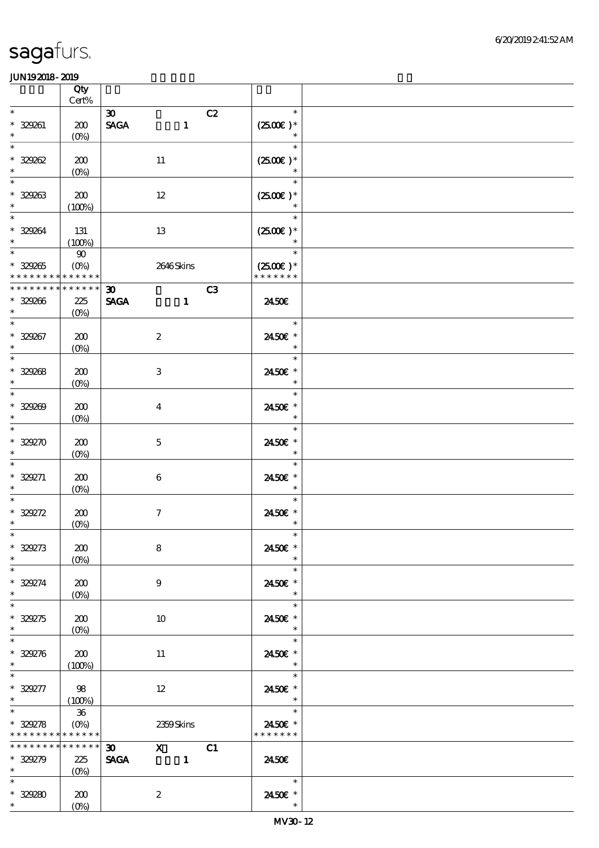|                                                                 | Qty                       |                                |                                                     |    |                                       |  |
|-----------------------------------------------------------------|---------------------------|--------------------------------|-----------------------------------------------------|----|---------------------------------------|--|
| $\ast$                                                          | $Cert\%$                  | $\boldsymbol{\mathfrak{D}}$    |                                                     | C2 | $\ast$                                |  |
| * 329261<br>$\ast$                                              | 200                       | $\operatorname{\mathsf{SAGA}}$ | $\mathbf{1}$                                        |    | $(2500)$ *<br>$\ast$                  |  |
| $\ast$                                                          | $(O\%)$                   |                                |                                                     |    | $\ast$                                |  |
| $* 32982$<br>$\ast$                                             | 200<br>$(0\%)$            |                                | 11                                                  |    | $(2500E)*$<br>$\ast$                  |  |
| $\ast$                                                          |                           |                                |                                                     |    | $\ast$                                |  |
| $* 329263$<br>$\ast$                                            | 200<br>(100%)             |                                | 12                                                  |    | $(2500)$ *                            |  |
| $\overline{\ast}$<br>* 329264                                   | 131                       |                                | 13                                                  |    | $\ast$<br>$(2500)$ *                  |  |
| $\ast$<br>$\overline{\ast}$                                     | (100%)                    |                                |                                                     |    |                                       |  |
| $* 329265$                                                      | $\pmb{90}$<br>$(O\%)$     |                                | 2646Skins                                           |    | $\ast$<br>$(2500E)*$<br>* * * * * * * |  |
| * * * * * * * * <mark>* * * * * * *</mark><br>* * * * * * * * * | $******$                  | $\boldsymbol{\mathfrak{D}}$    |                                                     | C3 |                                       |  |
| $* 329266$<br>$\ast$                                            | 225<br>$(O\%)$            | <b>SAGA</b>                    | $\mathbf{1}$                                        |    | 2450E                                 |  |
| $\overline{\ast}$                                               |                           |                                |                                                     |    | $\ast$                                |  |
| $* 329267$<br>$\ast$                                            | 200<br>$(O\%)$            |                                | $\boldsymbol{2}$                                    |    | 2450€ *<br>$\ast$                     |  |
| $_{*}^{-}$                                                      |                           |                                |                                                     |    | $\ast$                                |  |
| $* 329268$<br>$\ast$                                            | 200<br>$(0\%)$            |                                | 3                                                   |    | 2450E *<br>$\ast$                     |  |
| $\ast$                                                          |                           |                                |                                                     |    | $\ast$                                |  |
| $* 329200$<br>$\ast$                                            | 200<br>$(0\%)$            |                                | $\bf{4}$                                            |    | 2450€ *<br>$\ast$                     |  |
| $\overline{\ast}$                                               |                           |                                |                                                     |    | $\ast$                                |  |
| $* 329270$                                                      | 200                       |                                | $\mathbf 5$                                         |    | 2450€ *                               |  |
| $\ast$<br>$\ast$                                                | $(O\%)$                   |                                |                                                     |    | $\ast$<br>$\ast$                      |  |
| $* 329271$                                                      | 200                       |                                | $\boldsymbol{6}$                                    |    | 2450E *                               |  |
| $\ast$                                                          | $(0\%)$                   |                                |                                                     |    | $\ast$                                |  |
| $\ast$                                                          |                           |                                |                                                     |    | $\ast$                                |  |
| $* 329272$<br>$\ast$                                            | 200                       |                                | $\tau$                                              |    | 2450€ *<br>$\ast$                     |  |
| $*$                                                             | $(0\%)$                   |                                |                                                     |    | $\ast$                                |  |
| $* 329273$                                                      | 200                       |                                | 8                                                   |    | 2450€ *                               |  |
| $\ast$<br>$\overline{\phantom{0}}$                              | $(0\%)$                   |                                |                                                     |    | $\ast$                                |  |
| $* 329274$                                                      | 200                       |                                | 9                                                   |    | $\ast$<br>2450E *                     |  |
| $\ast$                                                          | $(O\%)$                   |                                |                                                     |    | $\ast$                                |  |
| $\ast$                                                          |                           |                                |                                                     |    | $\ast$                                |  |
| $* 329275$<br>$\ast$                                            | 200                       |                                | 10                                                  |    | 2450E *<br>$\ast$                     |  |
| $\overline{\phantom{0}}$                                        | $(O\%)$                   |                                |                                                     |    | $\ast$                                |  |
| $* 329276$                                                      | 200                       |                                | 11                                                  |    | 2450E *                               |  |
| $\ast$                                                          | (100%)                    |                                |                                                     |    | $\overline{\phantom{a}}$              |  |
| $\overline{\phantom{a}^*}$<br>$* 329277$                        |                           |                                |                                                     |    | $\ast$<br>2450€ *                     |  |
| $\ast$                                                          | 98<br>(100%)              |                                | $12 \,$                                             |    | $\ast$                                |  |
| $\ast$                                                          | $36\,$                    |                                |                                                     |    | $\ast$                                |  |
| $* 329278$                                                      | $(O\!\!\!\!\!\!\!/\,\!o)$ |                                | 2359Skins                                           |    | 2450€ *                               |  |
| * * * * * * * * * * * * * *<br>* * * * * * * * * * * * * *      |                           | 30                             |                                                     |    | * * * * * * *                         |  |
| $* 329279$                                                      | 225                       | <b>SAGA</b>                    | $\begin{array}{c c}\n\hline\nX & 1\n\end{array}$ C1 |    | 2450E                                 |  |
| $\ddot{\bullet}$                                                | $(O\%)$                   |                                |                                                     |    |                                       |  |
| $\ast$                                                          |                           |                                |                                                     |    | $\ast$                                |  |
| $* 32920$<br>$\ast$                                             | 200<br>$(O\%)$            |                                | $\boldsymbol{2}$                                    |    | 2450€ *<br>$\ast$                     |  |
|                                                                 |                           |                                |                                                     |    |                                       |  |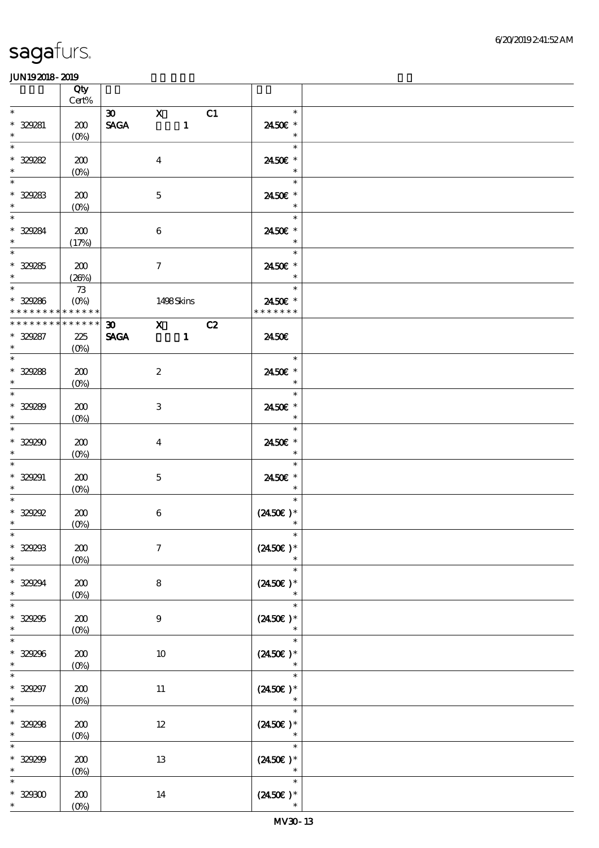|                                      |                                    | Qty<br>Cert%            |             |                  |    |                                          |  |
|--------------------------------------|------------------------------------|-------------------------|-------------|------------------|----|------------------------------------------|--|
| $\ast$                               |                                    |                         | $\infty$ X  |                  | C1 | $\ast$                                   |  |
| $\ast$                               | * 329281                           | 200<br>$(O\%)$          | <b>SAGA</b> |                  |    | 2450€ *<br>$\ast$                        |  |
| $\ast$<br>$\ast$                     | $* 329282$                         | 200                     |             | $\boldsymbol{4}$ |    | $\ast$<br>2450€ *<br>$\ast$              |  |
| $\overline{\phantom{0}}$             | * 329283                           | $(0\%)$<br>200          |             | $\mathbf 5$      |    | $\ast$<br>2450€ *                        |  |
| $\ast$<br>$\overline{\phantom{a}^*}$ |                                    | $(0\%)$                 |             |                  |    | $\ast$<br>$\ast$                         |  |
|                                      | $* 329284$<br>$\ddot{\phantom{0}}$ | 200<br>(17%)            |             | $\bf 6$          |    | 2450€ *<br>$\ast$                        |  |
| $\ast$                               | $* 329285$                         | 200<br>(20%)            |             | $\tau$           |    | $\ast$<br>2450€ *<br>$\ast$              |  |
| $\overline{\ast}$                    |                                    | $73\,$                  |             |                  |    | $\ast$                                   |  |
|                                      | $* 329286$<br>* * * * * * * *      | $(0\%)$<br>* * * * * *  |             | 1498Skins        |    | 2450€ *<br>* * * * * * *                 |  |
|                                      | * * * * * * * *                    | * * * * * *             | 30 X C2     |                  |    |                                          |  |
| $\ast$<br>$\overline{\phantom{0}}$   | $* 329287$                         | 225<br>$(O\%)$          |             |                  |    | 2450E<br>$\ast$                          |  |
|                                      | $* 329288$                         | 200                     |             | $\boldsymbol{2}$ |    | 2450E *                                  |  |
| $\overline{\phantom{0}}$             | $\ast$                             | $(0\%)$                 |             |                  |    | $\ast$<br>$\ast$                         |  |
| $\ast$<br>$\overline{\phantom{0}}$   | $* 329289$                         | 200<br>(0%)             |             | 3                |    | 2450€ *<br>$\ast$                        |  |
| $\ast$                               | $* 329290$                         | 200<br>$(0\%)$          |             | $\overline{4}$   |    | $\ast$<br>2450€ *<br>$\ast$              |  |
| $\ast$<br>$\ast$                     | $* 329291$                         | 200<br>$(0\%)$          |             | $\mathbf{5}$     |    | $\ast$<br>2450€ *<br>$\ast$              |  |
| $\ast$<br>$\ast$                     | $*$ 329292                         | 200<br>$(0\%)$          |             | $\bf 6$          |    | $\ast$<br>$(2450\text{E})*$<br>$\ast$    |  |
| $\ast$                               | $*$ $*$<br>$* 329293$              | 200<br>$(O\%)$          |             | $\boldsymbol{7}$ |    | $\ast$<br>$(2450)$ *<br>$\ast$           |  |
| $\ast$<br>$\ast$                     | $* 329294$                         | 200<br>$(0\%)$          |             | 8                |    | $\ast$<br>$(2450\varepsilon)*$<br>$\ast$ |  |
| $\ast$<br>$\ast$                     | $* 329295$                         | 200<br>(0%)             |             | $\boldsymbol{9}$ |    | $\ast$<br>$(2450\epsilon)^*$<br>$\ast$   |  |
| $\ast$<br>$\ast$                     | $* 329296$                         | 200<br>$(0\%)$          |             | 10               |    | $\ast$<br>$(2450\epsilon)$ *<br>$\ast$   |  |
| $\ast$<br>$\ast$                     | $* 329297$                         | 200<br>$(0\%)$          |             | 11               |    | $\ast$<br>$(2450\varepsilon)*$<br>$\ast$ |  |
| $\ast$<br>$\ast$                     | $* 329298$                         | 200<br>(0%)             |             | $12\,$           |    | $\ast$<br>$(2450)$ *<br>$\ast$           |  |
| $\ast$<br>$\ast$                     | $* 329299$                         | 200<br>$(0\%)$          |             | 13               |    | $\ast$<br>$(2450\varepsilon)*$<br>$\ast$ |  |
| $\ast$                               | $^\ast$ 329300<br>$\ast$           | 200<br>$(O\!/\!\delta)$ |             | 14               |    | $\ast$<br>$(2450\epsilon)$ *<br>$\ast$   |  |
|                                      |                                    |                         |             |                  |    |                                          |  |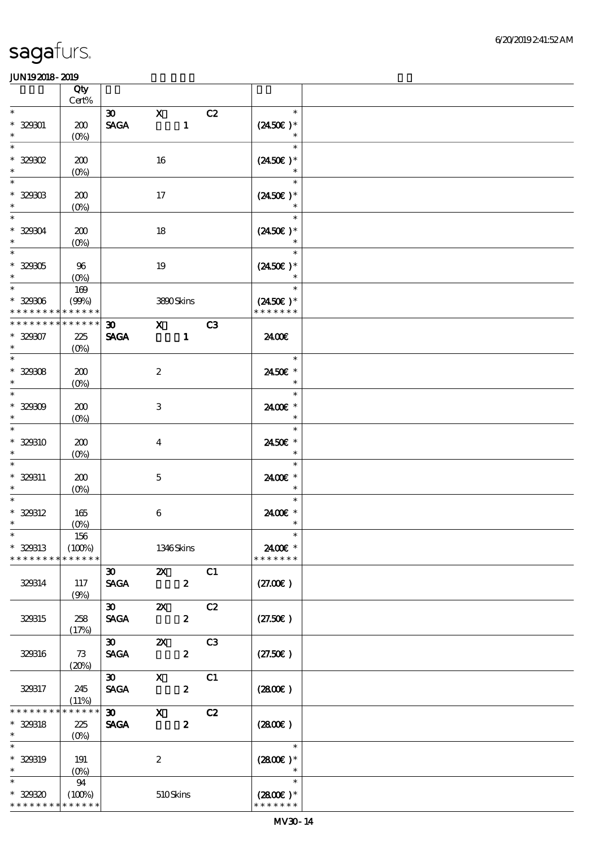|                                                      | Qty<br>Cert%                  |                                                             |                           |                                                                                                                                                                                                                                                                                                                                 |    |                                                                          |  |
|------------------------------------------------------|-------------------------------|-------------------------------------------------------------|---------------------------|---------------------------------------------------------------------------------------------------------------------------------------------------------------------------------------------------------------------------------------------------------------------------------------------------------------------------------|----|--------------------------------------------------------------------------|--|
| $\ast$                                               |                               | $\boldsymbol{\mathfrak{D}}$                                 | $\mathbf{X}$              |                                                                                                                                                                                                                                                                                                                                 | C2 | $\ast$                                                                   |  |
| $* 329001$<br>$\ast$                                 | 200<br>$(O\!/\!\!\delta)$     | $\operatorname{\mathsf{SAGA}}$                              |                           | $\mathbf{1}$                                                                                                                                                                                                                                                                                                                    |    | $(2450\epsilon)^*$<br>$\ast$                                             |  |
| $\ast$<br>$*$ 329302<br>$\ast$                       | 200<br>$(0\%)$                |                                                             | 16                        |                                                                                                                                                                                                                                                                                                                                 |    | $\ast$<br>$(2450\text{E})*$<br>$\ast$                                    |  |
| $\ast$<br>$* 329003$<br>$\ast$                       | 200<br>$(0\%)$                |                                                             | 17                        |                                                                                                                                                                                                                                                                                                                                 |    | $\ast$<br>$(2450\text{E})*$<br>$\ast$                                    |  |
| $\overline{\ast}$<br>* 32904<br>$\ast$               | 200<br>(0%)                   |                                                             | 18                        |                                                                                                                                                                                                                                                                                                                                 |    | $\ast$<br>$(2450\text{E})*$                                              |  |
| $\overline{\phantom{0}}$<br>$^\ast$ 329305<br>$\ast$ | 96<br>$(O\%)$                 |                                                             | 19                        |                                                                                                                                                                                                                                                                                                                                 |    | $\ast$<br>$(2450\text{E})*$<br>$\ast$                                    |  |
| $\overline{\ast}$<br>$* 329006$<br>* * * * * * * *   | $169$<br>(90%)<br>* * * * * * |                                                             | 3800Skins                 |                                                                                                                                                                                                                                                                                                                                 |    | $\overline{\phantom{a}}$<br>$\ast$<br>$(2450\text{E})*$<br>* * * * * * * |  |
| * * * * * * * *                                      | * * * * * *                   | $\infty$ and $\infty$                                       |                           | $\mathbf x$ and $\mathbf x$ and $\mathbf x$ and $\mathbf x$ and $\mathbf x$ and $\mathbf x$ and $\mathbf x$ and $\mathbf x$ and $\mathbf x$ and $\mathbf x$ and $\mathbf x$ and $\mathbf x$ and $\mathbf x$ and $\mathbf x$ and $\mathbf x$ and $\mathbf x$ and $\mathbf x$ and $\mathbf x$ and $\mathbf x$ and $\mathbf x$ and | C3 |                                                                          |  |
| $* 32907$<br>$\ast$<br>$\overline{\phantom{0}}$      | 225<br>(O <sub>0</sub> )      | <b>SAGA</b>                                                 |                           | $\blacksquare$                                                                                                                                                                                                                                                                                                                  |    | 2400€                                                                    |  |
| $* 32908$<br>$\ast$                                  | 200<br>$(0\%)$                |                                                             | $\boldsymbol{2}$          |                                                                                                                                                                                                                                                                                                                                 |    | $\ast$<br>2450€ *<br>$\ast$                                              |  |
| $\overline{\phantom{0}}$<br>$* 329009$<br>$\ast$     | 200<br>(0%)                   |                                                             | $\,3\,$                   |                                                                                                                                                                                                                                                                                                                                 |    | $\ast$<br>2400€ *<br>$\ast$                                              |  |
| $\ast$<br>* 329310<br>$\ast$                         | 200<br>$(O\%)$                |                                                             | $\boldsymbol{4}$          |                                                                                                                                                                                                                                                                                                                                 |    | $\ast$<br>2450€ *<br>$\ast$                                              |  |
| $\ast$<br>$* 329311$<br>$\ast$                       | 200<br>$(O\%)$                |                                                             | $\mathbf 5$               |                                                                                                                                                                                                                                                                                                                                 |    | $\ast$<br>2400€ *<br>$\ast$                                              |  |
| $\ast$<br>$* 329312$<br>$\ast$                       | 165<br>$(O\!/\!\!\delta)$     |                                                             | $\bf 6$                   |                                                                                                                                                                                                                                                                                                                                 |    | $\ast$<br>2400€ *<br>$\ast$                                              |  |
| $\ast$<br>* 329313<br>* * * * * * * *                | 156<br>(100%)<br>* * * * * *  |                                                             | 1346Skins                 |                                                                                                                                                                                                                                                                                                                                 |    | $\ast$<br>2400€ *<br>* * * * * * *                                       |  |
| 329314                                               | 117<br>(9%)                   | $\boldsymbol{\mathfrak{D}}$<br><b>SAGA</b>                  | $\boldsymbol{\alpha}$     | $\boldsymbol{z}$                                                                                                                                                                                                                                                                                                                | C1 | (27.00)                                                                  |  |
| 329315                                               | 258<br>(17%)                  | $\infty$<br><b>SAGA</b>                                     | $\boldsymbol{\mathsf{Z}}$ | $\boldsymbol{z}$                                                                                                                                                                                                                                                                                                                | C2 | (27.50)                                                                  |  |
| 329316                                               | 73<br>(20%)                   | $\boldsymbol{\mathfrak{D}}$<br>$\ensuremath{\mathsf{SAGA}}$ | $\boldsymbol{\mathsf{z}}$ | $\boldsymbol{z}$                                                                                                                                                                                                                                                                                                                | C3 | (27.50)                                                                  |  |
| 329317                                               | 245<br>(11%)                  | $\infty$<br><b>SAGA</b>                                     | $\boldsymbol{\mathrm{X}}$ | $\boldsymbol{z}$                                                                                                                                                                                                                                                                                                                | C1 | (2800)                                                                   |  |
| * * * * * * *<br>* 329318<br>$\ast$                  | * * * * * *<br>225<br>$(O\%)$ | $\boldsymbol{\mathfrak{D}}$<br><b>SAGA</b>                  | $\mathbf x$               | $\boldsymbol{z}$                                                                                                                                                                                                                                                                                                                | C2 | (280)                                                                    |  |
| $\ast$<br>* 329319<br>$\ast$                         | 191<br>$(0\%)$                |                                                             | $\boldsymbol{z}$          |                                                                                                                                                                                                                                                                                                                                 |    | $\ast$<br>$(2800)$ *<br>$\ast$                                           |  |
| $\ast$<br>$* 32930$<br>* * * * * * * *               | 94<br>(100%)<br>* * * * * *   |                                                             | 510Skins                  |                                                                                                                                                                                                                                                                                                                                 |    | $\ast$<br>$(2800)$ *<br>* * * * * * *                                    |  |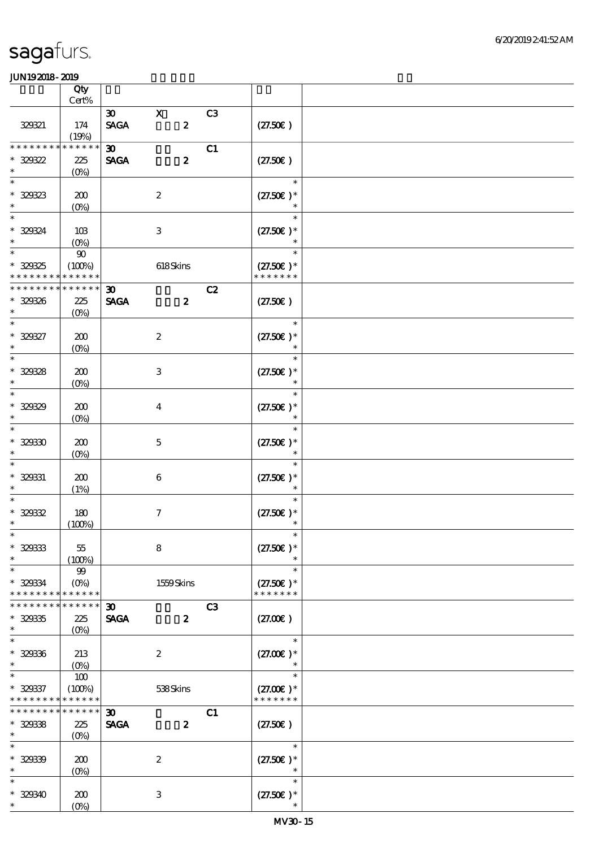|                                                   | Qty<br>Cert%                              |                                            |                  |                |                                        |  |
|---------------------------------------------------|-------------------------------------------|--------------------------------------------|------------------|----------------|----------------------------------------|--|
|                                                   |                                           | $\boldsymbol{\mathfrak{D}}$                | $\mathbf X$      | C <sub>3</sub> |                                        |  |
| 329321                                            | 174<br>(19%)                              | <b>SAGA</b>                                | $\boldsymbol{z}$ |                | (27.50)                                |  |
| * * * * * * *<br>$* 329322$<br>$\ast$             | * * * * * *<br>225                        | $\boldsymbol{\mathfrak{D}}$<br><b>SAGA</b> | $\boldsymbol{z}$ | C1             | (27.50)                                |  |
| $\ast$<br>$* 329323$<br>$\ast$                    | $(0\%)$<br>200                            |                                            | $\boldsymbol{2}$ |                | $\ast$<br>$(27.50)$ *                  |  |
| $\ast$<br>* 329324<br>$\ast$                      | $(0\%)$<br>10B                            |                                            | 3                |                | $\ast$<br>$(27.50)$ *                  |  |
| $\ast$<br>* 329325<br>* * * * * * * * * * * * * * | (O <sub>0</sub> )<br>${\bf 90}$<br>(100%) |                                            | 618Skins         |                | $\ast$<br>$(27.50)$ *<br>* * * * * * * |  |
| * * * * * * * *<br>$* 329336$<br>$\ast$           | * * * * * *<br>225<br>$(O\%)$             | 30 <sub>o</sub><br><b>SAGA</b>             | $\boldsymbol{z}$ | C2             | (27.50)                                |  |
| $\ast$<br>$* 329327$<br>$\ast$                    | 200<br>$(O\!/\!o)$                        |                                            | $\boldsymbol{2}$ |                | $\ast$<br>$(27.50)$ *<br>$\ast$        |  |
| $\ast$<br>$* 329328$<br>$\ast$                    | 200<br>$(0\%)$                            |                                            | 3                |                | $\ast$<br>$(27.50)$ *<br>$\ast$        |  |
| $\ast$<br>$* 329329$<br>$\ast$                    | 200<br>$(O\!/\!o)$                        |                                            | $\boldsymbol{4}$ |                | $\ast$<br>$(27.50)$ *                  |  |
| $\ast$<br>$* 32930$<br>$\ast$                     | 200<br>$(0\%)$                            |                                            | $\mathbf 5$      |                | $\ast$<br>$(27.50)$ *<br>$\ast$        |  |
| $\ast$<br>$* 329331$<br>$\ast$                    | 200<br>(1%)                               |                                            | $\boldsymbol{6}$ |                | $\ast$<br>$(27.50)$ *<br>$\ast$        |  |
| $\ast$<br>$* 32932$<br>$\ast$                     | 180<br>(100%)                             |                                            | $\boldsymbol{7}$ |                | $\ast$<br>$(27.50)$ *<br>$\ast$        |  |
| $*$<br>$* 329333$<br>$\ast$                       | 55<br>(100%)                              |                                            | 8                |                | $\ast$<br>$(27.50)$ *<br>$\ast$        |  |
| $\ast$<br>$* 329334$<br>* * * * * * * *           | $99\,$<br>$(O\%)$<br>* * * * * *          |                                            | 1559Skins        |                | $\ast$<br>$(27.50)$ *<br>* * * * * * * |  |
| * * * * * * *<br>$* 329335$<br>$\ast$             | * * * * * *<br>225<br>$(O\%)$             | $\boldsymbol{\mathfrak{D}}$<br><b>SAGA</b> | $\boldsymbol{z}$ | C <sub>3</sub> | (27.00)                                |  |
| $\ast$<br>$* 329336$<br>$\ast$                    | 213<br>$(0\%)$                            |                                            | $\boldsymbol{2}$ |                | $\ast$<br>$(27.00)$ *                  |  |
| $\ast$<br>$* 329337$<br>* * * * * * * *           | 100<br>(100%)<br>* * * * * *              |                                            | 538Skins         |                | $\ast$<br>$(27.00)$ *<br>* * * * * * * |  |
| * * * * * * * *<br>$* 329338$<br>$\ast$           | * * * * * *<br>225<br>$(O\%)$             | $\boldsymbol{\mathfrak{D}}$<br><b>SAGA</b> | $\boldsymbol{z}$ | C1             | (27.50)                                |  |
| $\ast$<br>* 329339<br>$\ast$                      | 200<br>$(0\%)$                            |                                            | $\boldsymbol{2}$ |                | $\ast$<br>$(27.50)$ *<br>$\ast$        |  |
| $\ast$<br>$* 329340$<br>$\ast$                    | 200<br>$(O\%)$                            |                                            | 3                |                | $\ast$<br>$(27.50)$ *<br>$\ast$        |  |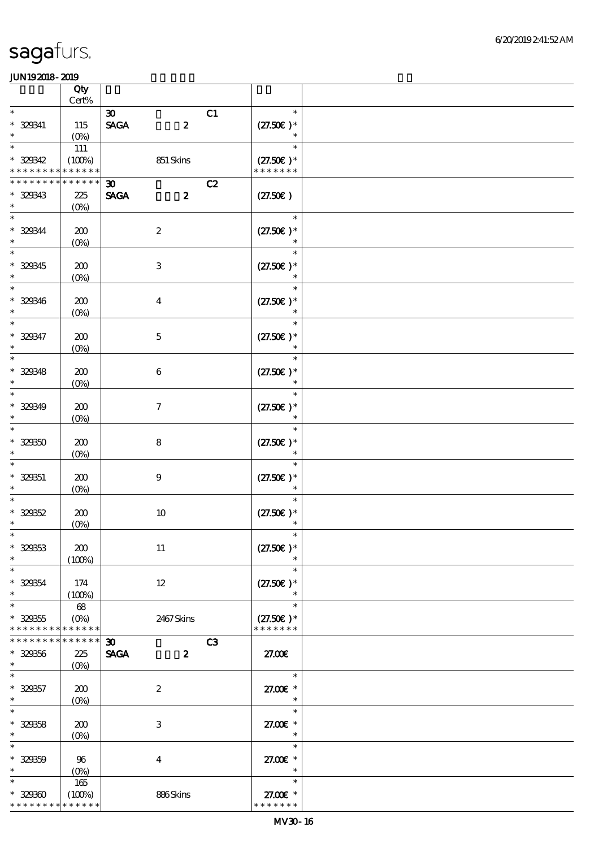|                                         | Qty                           |                                                                                   |                                        |  |
|-----------------------------------------|-------------------------------|-----------------------------------------------------------------------------------|----------------------------------------|--|
| $\ast$                                  | Cert%                         | C1                                                                                | $\ast$                                 |  |
| $* 329341$<br>$\ast$                    | 115<br>$(O_0)$                | $\boldsymbol{\mathfrak{D}}$<br>$\operatorname{\mathsf{SAGA}}$<br>$\boldsymbol{z}$ | $(27.50)$ *<br>$\ast$                  |  |
| $\ast$<br>$* 329342$<br>* * * * * * * * | 111<br>(100%)<br>* * * * * *  | 851 Skins                                                                         | $\ast$<br>$(27.50)$ *<br>* * * * * * * |  |
| * * * * * * * *                         | * * * * * *                   | C2<br>$\boldsymbol{\mathfrak{D}}$                                                 |                                        |  |
| $* 329343$<br>$\ast$                    | 225<br>$(O\!/\!o)$            | <b>SAGA</b><br>$\boldsymbol{z}$                                                   | (27.50)                                |  |
| $\ast$<br>$* 329344$<br>$\ast$          | 200<br>$(0\%)$                | $\boldsymbol{2}$                                                                  | $\ast$<br>$(27.50)$ *                  |  |
| $\ast$<br>$* 329345$<br>$\ast$          | 200<br>$(0\%)$                | $\ensuremath{\mathbf{3}}$                                                         | $\ast$<br>$(27.50)$ *<br>$\ast$        |  |
| $\ast$<br>$* 329346$<br>$\ast$          | 200<br>$(O\!/\!o)$            | $\boldsymbol{4}$                                                                  | $\ast$<br>$(27.50)$ *<br>$\ast$        |  |
| $\ast$<br>$* 329347$<br>$\ast$          | 200<br>$(0\%)$                | $\mathbf 5$                                                                       | $\ast$<br>$(27.50)$ *<br>$\ast$        |  |
| $\ast$<br>$* 329348$<br>$\ast$          | 200<br>$(0\%)$                | $\boldsymbol{6}$                                                                  | $\ast$<br>$(27.50)$ *<br>$\ast$        |  |
| $\ast$<br>$* 320349$<br>$\ast$          | 200<br>$(O\!/\!o)$            | $\boldsymbol{\tau}$                                                               | $\ast$<br>$(27.50)$ *                  |  |
| $\ast$<br>$* 32930$<br>$\ast$           | 200<br>$(0\%)$                | ${\bf 8}$                                                                         | $\ast$<br>$(27.50)$ *<br>$\ast$        |  |
| $* 329351$<br>$\ast$                    | 200<br>$(0\%)$                | $\boldsymbol{9}$                                                                  | $\ast$<br>$(27.50)$ *<br>$\ast$        |  |
| $\ast$<br>$* 32952$<br>$\ast$           | 200<br>$(0\%)$                | $10\,$                                                                            | $\ast$<br>$(27.50)$ *<br>$\ast$        |  |
| $\ast$<br>$* 329333$<br>$\ast$          | 200<br>(100%)                 | $11\,$                                                                            | $\ast$<br>$(27.50)$ *<br>$\ast$        |  |
| $\ast$<br>$* 329354$<br>$\ast$          | 174<br>(100%)                 | $12 \,$                                                                           | $\ast$<br>$(27.50)$ *<br>$\ast$        |  |
| $\ast$<br>$* 329355$<br>* * * * * * * * | 68<br>$(O\%)$<br>* * * * * *  | 2467Skins                                                                         | $\ast$<br>$(27.50)$ *<br>* * * * * * * |  |
| * * * * * * * *<br>$* 329356$<br>$\ast$ | * * * * * *<br>225<br>$(O\%)$ | C <sub>3</sub><br>$\boldsymbol{\mathfrak{D}}$<br><b>SAGA</b><br>$\boldsymbol{z}$  | 27.00E                                 |  |
| $\ast$<br>$* 329357$<br>$\ast$          | 200<br>$(O\%)$                | $\boldsymbol{2}$                                                                  | $\ast$<br>27.00 £*<br>$\ast$           |  |
| $\ast$<br>$* 329358$<br>$\ast$          | 200<br>$(O\%)$                | $\,3$                                                                             | $\ast$<br>27.00 £*<br>$\ast$           |  |
| $\ast$<br>$* 329359$<br>$\ast$          | 96<br>$(0\%)$                 | $\boldsymbol{4}$                                                                  | $\ast$<br>27.00€ *<br>$\ast$           |  |
| $\ast$<br>$* 32930$<br>* * * * * * * *  | 165<br>(100%)<br>* * * * * *  | 886Skins                                                                          | $\ast$<br>27.00 £*<br>* * * * * * *    |  |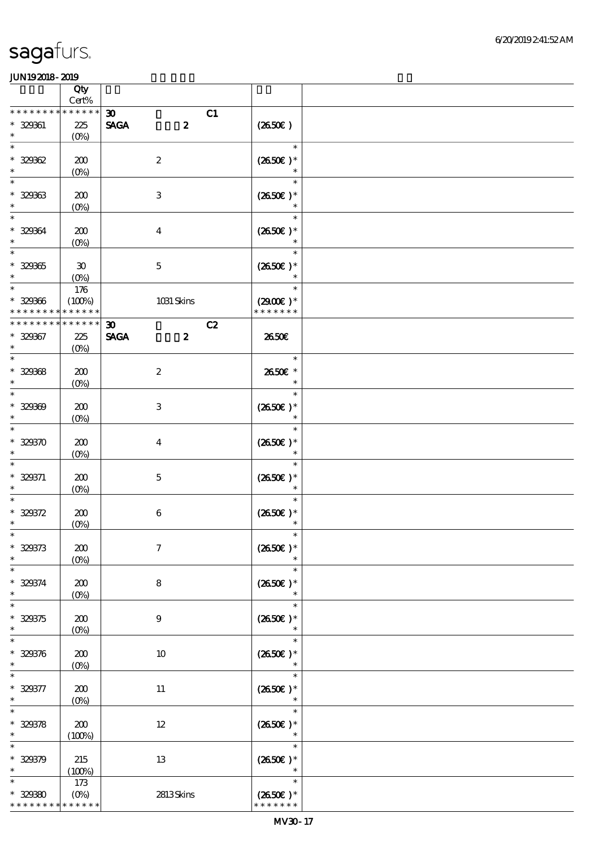|                                           | Qty<br>$Cert\%$                          |                                                                |                                               |  |
|-------------------------------------------|------------------------------------------|----------------------------------------------------------------|-----------------------------------------------|--|
| * * * * * * *                             | * * * * * *                              |                                                                |                                               |  |
| $* 32961$<br>$\ast$                       | 225<br>$(O\%)$                           | $\boldsymbol{\mathfrak{D}}$<br><b>SAGA</b><br>$\boldsymbol{z}$ | C1<br>$(2650\epsilon)$                        |  |
| $\ast$<br>$* 32962$<br>$\ast$             | 200<br>$(0\%)$                           | $\boldsymbol{2}$                                               | $\ast$<br>$(2650E)*$<br>$\ast$                |  |
| $\ast$<br>$* 32963$<br>$\ast$             | 200<br>$(0\%)$                           | $\,3$                                                          | $\ast$<br>$(2650\epsilon)*$<br>$\ast$         |  |
| $\ast$<br>* 329364<br>$\ast$              | 200<br>$(0\%)$                           | $\boldsymbol{4}$                                               | $\ast$<br>$(2650E)*$                          |  |
| $\overline{\ast}$<br>$* 329365$<br>$\ast$ | $\boldsymbol{\mathfrak{D}}$<br>$(O\%)$   | $\mathbf 5$                                                    | $\ast$<br>$(2650)$ *<br>$\ast$                |  |
| $\ast$<br>$* 329366$<br>* * * * * * * *   | $176$<br>(100%)<br>* * * * * *           | 1031 Skins                                                     | $\ast$<br>$(2900)$ *<br>* * * * * * *         |  |
|                                           |                                          |                                                                |                                               |  |
| * * * * * * * *<br>$* 329367$<br>$\ast$   | * * * * * *<br>225<br>$(O\!/\!\!\delta)$ | $\boldsymbol{\mathfrak{D}}$<br><b>SAGA</b><br>$\boldsymbol{2}$ | C2<br>2650E                                   |  |
| $\ast$<br>$* 329368$<br>$\ast$            | 200<br>$(0\%)$                           | $\boldsymbol{2}$                                               | $\ast$<br>2650€ *<br>$\ast$                   |  |
| $\ast$<br>$* 329309$<br>$\ast$            | 200<br>$(O\!/\!o)$                       | $\ensuremath{\mathbf{3}}$                                      | $\ast$<br>$(2650E)*$<br>$\ast$                |  |
| $\ast$<br>$* 329370$<br>$\ast$            | 200<br>$(0\%)$                           | $\boldsymbol{4}$                                               | $\ast$<br>$(2650E)*$                          |  |
| $\ast$<br>$* 329371$<br>$\ast$            | 200<br>$(0\%)$                           | $\mathbf{5}$                                                   | $\ast$<br>$(2650)$ *<br>$\ast$                |  |
| $\ast$<br>$* 329372$<br>$\ast$            | 200<br>$(0\%)$                           | $\,6\,$                                                        | $\ast$<br>$(2650E)*$<br>$\ast$                |  |
| $\ast$<br>$* 329373$<br>$\ast$            | 200<br>$(0\%)$                           | $\boldsymbol{7}$                                               | $\ast$<br>$(2650E)*$<br>$\ast$                |  |
| $\ast$<br>$* 329374$<br>$\ast$            | 200<br>$(0\%)$                           | 8                                                              | $\ast$<br>$(2650E)*$<br>$\ast$                |  |
| $\ast$<br>$* 329375$<br>$\ast$            | 200<br>(0%)                              | $\boldsymbol{9}$                                               | $\ast$<br>$(2650E)*$<br>$\ast$                |  |
| $\ast$<br>$* 329376$<br>$\ast$            | 200<br>$(0\%)$                           | 10                                                             | $\ast$<br>$(2650E)*$<br>$\ast$                |  |
| $* 329377$<br>$\ast$                      | 200<br>$(0\%)$                           | $11\,$                                                         | $\ast$<br>$(2650)$ *<br>$\ast$                |  |
| $\ast$<br>$* 329378$<br>$\ast$            | 200<br>(100%)                            | $12\,$                                                         | $\ast$<br>$(2650E)*$<br>$\ast$                |  |
| $\ast$<br>$* 329379$<br>$\ast$            | 215<br>(100%)                            | 13                                                             | $\ast$<br>$(2650E)*$<br>$\ast$                |  |
| $\ast$<br>$* 32930$<br>* * * * * * * *    | $173$<br>$(O\!/\!\delta)$<br>* * * * * * | 2813Skins                                                      | $\ast$<br>$(2650\epsilon)^*$<br>* * * * * * * |  |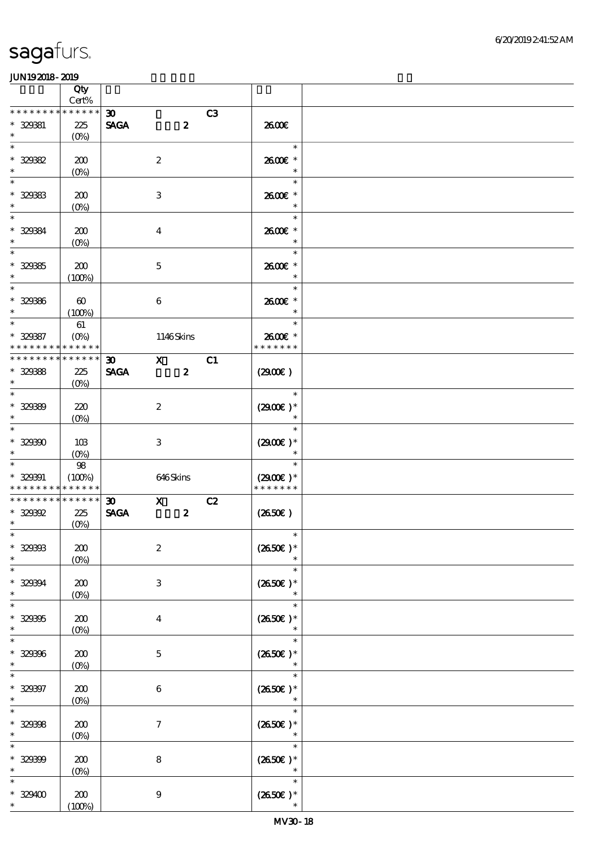|                                                 | Qty<br>Cert%                    |                                            |                                             |    |                                |  |
|-------------------------------------------------|---------------------------------|--------------------------------------------|---------------------------------------------|----|--------------------------------|--|
| * * * * * * * *<br>$* 329331$                   | * * * * * *<br>225              | $\boldsymbol{\mathfrak{D}}$<br><b>SAGA</b> | $\boldsymbol{z}$                            | C3 | 2600E                          |  |
| $\ast$<br>$\ast$                                | $(O\!/\!\!\delta)$              |                                            |                                             |    | $\ast$                         |  |
| $* 32982$                                       | 200                             |                                            | $\boldsymbol{2}$                            |    | 2600E *                        |  |
| $\ast$<br>$\ast$                                | $(0\%)$                         |                                            |                                             |    | $\ast$<br>$\ast$               |  |
| $* 329333$<br>$\ast$                            | 200<br>$(0\%)$                  |                                            | 3                                           |    | 2600E *<br>$\ast$              |  |
| $\ast$<br>$* 329384$<br>$\ast$                  | 200                             |                                            | $\boldsymbol{4}$                            |    | $\ast$<br>2600€ *<br>$\ast$    |  |
| $\overline{\phantom{1}}$                        | $(O\!/\!o)$                     |                                            |                                             |    | $\ast$                         |  |
| $* 32935$<br>$\ast$                             | 200<br>(100%)                   |                                            | $\mathbf 5$                                 |    | 2600€ *<br>$\ast$              |  |
| $\overline{\phantom{0}}$<br>$* 32936$<br>$\ast$ | $\boldsymbol{\omega}$<br>(100%) |                                            | $\boldsymbol{6}$                            |    | $\ast$<br>2600E *<br>$\ast$    |  |
| $\ast$<br>$* 329387$                            | 61<br>$(O\%)$                   |                                            | 1146Skins                                   |    | $\ast$<br>2600€ *              |  |
| * * * * * * * *<br>* * * * * * * *              | * * * * * *<br>* * * * * *      | $\boldsymbol{\mathfrak{D}}$                | $\mathbf{X}$                                | C1 | * * * * * * *                  |  |
| $* 329388$<br>$\ast$                            | 225<br>$(O\%)$                  | <b>SAGA</b>                                | $\boldsymbol{z}$                            |    | (2900)                         |  |
| $\ast$<br>$* 32989$<br>$\ast$                   | 220<br>$(O\!/\!o)$              |                                            | $\boldsymbol{2}$                            |    | $\ast$<br>$(2900)$ *<br>$\ast$ |  |
| $\ast$<br>$* 329300$                            | 10B                             |                                            | 3                                           |    | $\ast$<br>$(2900)$ *           |  |
| $\ast$<br>$\ast$                                | $(0\%)$<br>${\bf 98}$           |                                            |                                             |    | $\ast$                         |  |
| $* 320001$<br>* * * * * * * *                   | (100%)<br>* * * * * *           |                                            | 646Skins                                    |    | $(2900)$ *<br>* * * * * * *    |  |
| * * * * * * * * * * * * * *<br>$* 329392$       | 225                             | $\boldsymbol{\mathfrak{D}}$<br><b>SAGA</b> | $\overline{\mathbf{x}}$<br>$\boldsymbol{z}$ | C2 | $(2650\epsilon)$               |  |
| $\ast$<br>$\ast$                                | $(0\%)$                         |                                            |                                             |    | $\ast$                         |  |
| $* 329393$<br>$\ast$                            | 200<br>$(0\%)$                  |                                            | $\boldsymbol{2}$                            |    | $(2650E)*$                     |  |
| $\ast$<br>$* 329394$<br>$\ast$                  | 200<br>$(0\%)$                  |                                            | 3                                           |    | $\ast$<br>$(2650E)*$<br>$\ast$ |  |
| $\ast$<br>$* 329305$<br>$\ast$                  | 200                             |                                            | $\boldsymbol{4}$                            |    | $\ast$<br>$(2650E)*$<br>$\ast$ |  |
| $\ast$<br>$* 329306$                            | (0%)<br>200                     |                                            | $\mathbf{5}$                                |    | $\ast$<br>$(2650E)*$           |  |
| $\ast$                                          | $(0\%)$                         |                                            |                                             |    | $\ast$                         |  |
| $* 329997$<br>$\ast$                            | 200<br>$(0\%)$                  |                                            | $\,6\,$                                     |    | $(2650)$ *<br>$\ast$           |  |
| $\ast$<br>$* 329398$<br>$\ast$                  | 200<br>$(0\%)$                  |                                            | $\boldsymbol{\tau}$                         |    | $\ast$<br>$(2650)$ *<br>$\ast$ |  |
| $\ast$<br>$* 329399$<br>$\ast$                  | 200<br>$(0\%)$                  |                                            | $\bf 8$                                     |    | $\ast$<br>$(2650E)*$<br>$\ast$ |  |
| $* 329400$<br>$*$                               | 200<br>(100%)                   |                                            | $\boldsymbol{9}$                            |    | $\ast$<br>$(2650\epsilon)^*$   |  |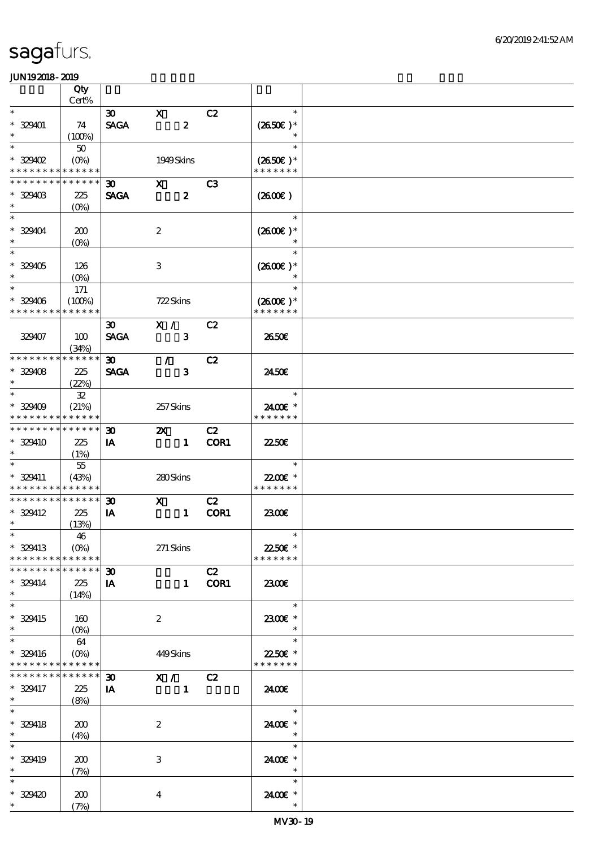|                                                        | Qty          |                             |                           |                  |      |                           |  |
|--------------------------------------------------------|--------------|-----------------------------|---------------------------|------------------|------|---------------------------|--|
|                                                        | Cert%        |                             |                           |                  |      |                           |  |
| $\ast$                                                 |              | $\boldsymbol{\mathfrak{D}}$ | $\mathbf{x}$              |                  | C2   | $\ast$                    |  |
| $* 329401$<br>$\ast$                                   | 74           | <b>SAGA</b>                 |                           | $\boldsymbol{z}$ |      | $(2650E)*$<br>$\ast$      |  |
| $\ast$                                                 | (100%)<br>50 |                             |                           |                  |      | $\ast$                    |  |
| $*329402$                                              | $(O\%)$      |                             | 1949Skins                 |                  |      | $(2650\epsilon)^*$        |  |
| * * * * * * * *                                        | * * * * * *  |                             |                           |                  |      | * * * * * * *             |  |
| * * * * * * * *                                        | * * * * * *  | 30                          | $\mathbf{x}$              |                  | C3   |                           |  |
| $*329403$                                              | 225          | <b>SAGA</b>                 |                           | $\boldsymbol{z}$ |      | $(2600\varepsilon)$       |  |
| $\ast$                                                 | $(0\%)$      |                             |                           |                  |      |                           |  |
| $\overline{\ast}$                                      |              |                             |                           |                  |      | $\ast$                    |  |
| * 329404                                               | 200          |                             | $\boldsymbol{2}$          |                  |      | $(2600)$ *                |  |
| $\ast$                                                 | $(0\%)$      |                             |                           |                  |      |                           |  |
| $\overline{\ast}$                                      |              |                             |                           |                  |      | $\ast$                    |  |
| $* 329405$                                             | 126          |                             | $\,3$                     |                  |      | $(2600E)*$                |  |
| $\ast$                                                 | $(0\%)$      |                             |                           |                  |      |                           |  |
| $\overline{\phantom{0}}$                               | $171$        |                             |                           |                  |      | $\ast$                    |  |
| $* 329406$                                             | (100%)       |                             | 722Skins                  |                  |      | $(2600)$ *                |  |
| * * * * * * * *                                        | * * * * * *  |                             |                           |                  |      | * * * * * * *             |  |
|                                                        |              | $\boldsymbol{\mathfrak{D}}$ | X /                       |                  | C2   |                           |  |
| 329407                                                 | 100          | <b>SAGA</b>                 |                           | 3                |      | 2650E                     |  |
|                                                        | (34%)        |                             |                           |                  |      |                           |  |
| * * * * * * * *                                        | * * * * * *  | 30 <sub>o</sub>             | $\mathcal{T}$             |                  | C2   |                           |  |
| $* 329408$                                             | 225          | <b>SAGA</b>                 |                           | $\mathbf{3}$     |      | 2450E                     |  |
| $\ast$                                                 | (22%)        |                             |                           |                  |      |                           |  |
| $\ast$                                                 | ${\bf 3\!2}$ |                             |                           |                  |      | $\ast$                    |  |
| $*329409$                                              | (21%)        |                             | 257Skins                  |                  |      | 2400E *                   |  |
| * * * * * * * *                                        | * * * * * *  |                             |                           |                  |      | * * * * * * *             |  |
| * * * * * * * * * * * * * *                            |              | $\boldsymbol{\mathfrak{D}}$ | $\boldsymbol{\mathsf{Z}}$ |                  | C2   |                           |  |
| * 329410                                               | 225          | IA                          |                           | $\mathbf{1}$     | COR1 | 2250E                     |  |
| $\ast$<br>$\ast$                                       | (1%)         |                             |                           |                  |      |                           |  |
|                                                        | $5\!$        |                             |                           |                  |      | $\ast$                    |  |
| * 329411<br>* * * * * * * * <mark>* * * * * *</mark> * | (43%)        |                             | 280Skins                  |                  |      | 22.00€ *<br>* * * * * * * |  |
| * * * * * * * *                                        | * * * * * *  | $\boldsymbol{\mathfrak{D}}$ | $\mathbf{x}$              |                  | C2   |                           |  |
| $* 329412$                                             | 225          | IA                          |                           | $\mathbf{1}$     | COR1 | 2300                      |  |
| $\ast$                                                 | (13%)        |                             |                           |                  |      |                           |  |
| $*$                                                    | 46           |                             |                           |                  |      | $\ast$                    |  |
| * 329413                                               | $(O\%)$      |                             | 271 Skins                 |                  |      | 2250€ *                   |  |
| * * * * * * * *                                        | * * * * * *  |                             |                           |                  |      | * * * * * * *             |  |
| * * * * * * * *                                        | * * * * * *  | $\boldsymbol{\mathfrak{D}}$ |                           |                  | C2   |                           |  |
| $* 329414$                                             | 225          | IA                          |                           | $\mathbf{1}$     | COR1 | 2300E                     |  |
| $\ast$                                                 | (14%)        |                             |                           |                  |      |                           |  |
| $\ast$                                                 |              |                             |                           |                  |      | $\ast$                    |  |
| * 329415                                               | 160          |                             | $\boldsymbol{2}$          |                  |      | 2300E *                   |  |
| $\ast$                                                 | $(O\%)$      |                             |                           |                  |      | $\ast$                    |  |
| $\ast$                                                 | 64           |                             |                           |                  |      | $\ast$                    |  |
| * 329416                                               | $(O\%)$      |                             | 449Skins                  |                  |      | 22.50€ *                  |  |
| * * * * * * * *                                        | * * * * * *  |                             |                           |                  |      | * * * * * * *             |  |
| * * * * * * * *                                        | * * * * * *  | $\boldsymbol{\mathfrak{D}}$ | X /                       |                  | C2   |                           |  |
| * 329417                                               | 225          | IA                          |                           | $\mathbf{1}$     |      | 24.00E                    |  |
| $\ast$                                                 | (8%)         |                             |                           |                  |      |                           |  |
| $\ast$                                                 |              |                             |                           |                  |      | $\ast$                    |  |
| $* 329418$                                             | 200          |                             | $\boldsymbol{2}$          |                  |      | 2400 £*                   |  |
| $\ast$                                                 | (4%)         |                             |                           |                  |      | $\ast$                    |  |
| $\overline{\ast}$                                      |              |                             |                           |                  |      | $\ast$                    |  |
| $* 329419$                                             | 200          |                             | $\ensuremath{\mathbf{3}}$ |                  |      | 2400E *                   |  |
| $\ast$                                                 | (7%)         |                             |                           |                  |      | $\ast$                    |  |
| $\ast$                                                 |              |                             |                           |                  |      | $\ast$                    |  |
| * 329420                                               | 200          |                             | $\boldsymbol{4}$          |                  |      | 2400 £*                   |  |
| $\ast$                                                 | (7%)         |                             |                           |                  |      | $\ast$                    |  |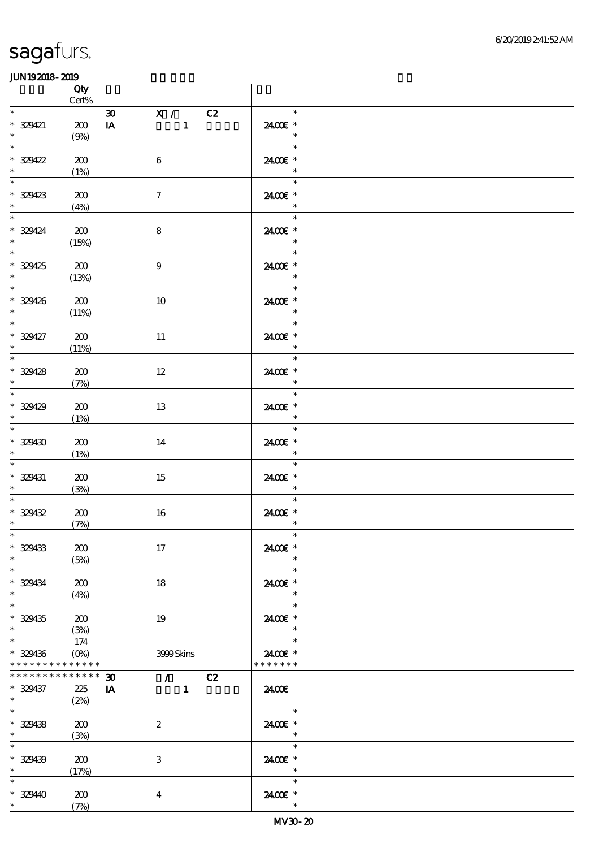|                                                      | Qty<br>$\mbox{Cert}\%$     |                                                                     |                                                                 |  |
|------------------------------------------------------|----------------------------|---------------------------------------------------------------------|-----------------------------------------------------------------|--|
| $\ast$                                               |                            | X / C2<br>$\boldsymbol{\mathfrak{D}}$                               | $\ast$                                                          |  |
| $* 329421$<br>$\ast$                                 | 200<br>(9%)                | $\mathbf{1}$<br>IA                                                  | 2400€ *<br>$\ast$                                               |  |
| $\ast$<br>$* 329422$<br>$\ast$                       | 200<br>(1%)                | $\,6\,$                                                             | $\frac{1}{\sqrt{1-\frac{1}{2}}}$<br>$\ast$<br>2400€ *<br>$\ast$ |  |
| $\overline{\phantom{0}}$<br>$* 329423$<br>$*$        | 200<br>(4%)                | $\boldsymbol{7}$                                                    | $\ast$<br>2400€ *<br>$\ast$                                     |  |
| $* 329424$<br>$\overline{\phantom{a}}$               | 200<br>(15%)               | ${\bf 8}$                                                           | $\overline{\phantom{a}}$<br>$\ast$<br>2400€ *<br>$\ast$         |  |
| $* 329425$<br>$\ast$                                 | 200<br>(13%)               | $\boldsymbol{9}$                                                    | $\ast$<br>2400€ *<br>$\ast$                                     |  |
| $\overline{\phantom{0}}$<br>$* 329426$<br>$*$        | 200<br>(11%)               | $10\,$                                                              | $\overline{\ast}$<br>2400€ *<br>$\ast$                          |  |
| $\overline{\phantom{0}}$<br>$* 329427$<br>$*$        | 200<br>(11%)               | $11\,$                                                              | $\ast$<br>2400€ *<br>$\ast$                                     |  |
| $\overline{\phantom{0}}$<br>$* 329428$<br>$\ddot{x}$ | 200<br>(7%)                | 12                                                                  | $\ast$<br>2400€ *<br>$\ast$                                     |  |
| $* 329429$<br>$\ast$                                 | 200<br>(1%)                | 13                                                                  | $\ast$<br>2400€ *<br>$\ast$                                     |  |
| $\overline{\ast}$<br>$* 329430$<br>$\ast$            | 200<br>(1%)                | 14                                                                  | $\ast$<br>2400€ *<br>$\ast$                                     |  |
| $\ast$<br>$* 329431$<br>$\ast$                       | 200<br>(3%)                | 15                                                                  | $\ast$<br>2400€ *<br>$\ast$                                     |  |
| $\ast$<br>$* 329432$<br>$\ast$                       | 200<br>(7%)                | 16                                                                  | $\ast$<br>2400€ *<br>$\ast$                                     |  |
| $*$ $*$<br>$* 329433$<br>$\ast$                      | 200<br>(5%)                | 17                                                                  | $\ast$<br>2400€ *<br>$\ast$                                     |  |
| $\ast$<br>$* 329434$<br>$\ast$                       | 200<br>(4%)                | 18                                                                  | $\ast$<br>2400 £*<br>$\ast$                                     |  |
| $\ast$<br>$* 329435$<br>$\ast$                       | 200<br>(3%)                | 19                                                                  | $\ast$<br>2400€ *                                               |  |
| $\ast$<br>$* 329436$<br>* * * * * * * * * * * * * *  | 174<br>$(O\%)$             | 3999Skins                                                           | $\ast$<br>2400€ *<br>* * * * * * *                              |  |
| * * * * * * * *<br>$* 329437$<br>$\ast$              | * * * * * *<br>225<br>(2%) | $\sqrt{C^2}$<br>$\boldsymbol{\mathfrak{D}}$<br>IA<br>$\blacksquare$ | 24.00€                                                          |  |
| $\ast$<br>$* 329438$<br>$*$                          | 200<br>(3%)                | $\boldsymbol{2}$                                                    | $\ast$<br>2400€ *<br>$\ast$                                     |  |
| $\ast$<br>$* 329439$<br>$\ast$                       | 200<br>(17%)               | 3                                                                   | $\ast$<br>2400€ *<br>$\ast$                                     |  |
| $\ast$<br>$* 32940$<br>$*$                           | 200<br>(7%)                | $\boldsymbol{4}$                                                    | $\ast$<br>2400 £*<br>$\ast$                                     |  |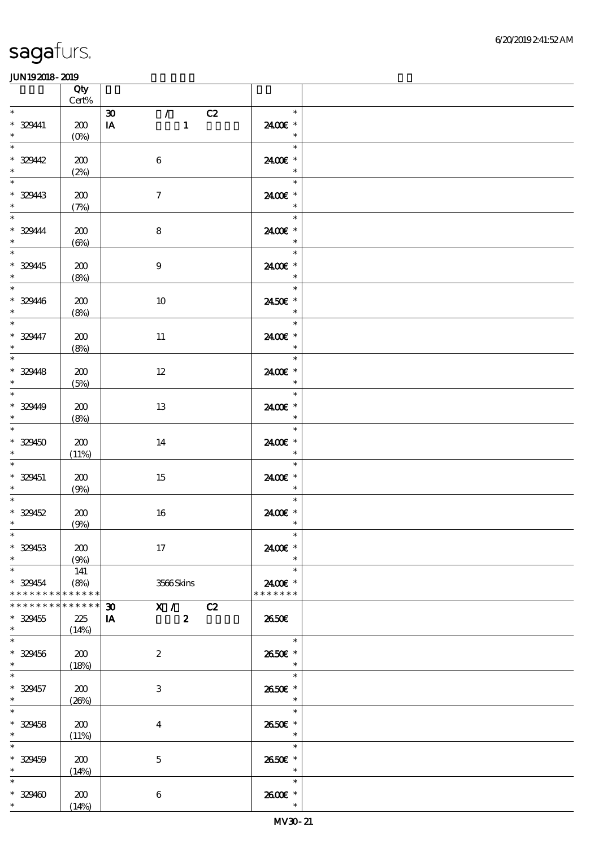|                                                               | Qty<br>$\mbox{Cert}\%$      |                                                                                      |                                       |  |
|---------------------------------------------------------------|-----------------------------|--------------------------------------------------------------------------------------|---------------------------------------|--|
| $\ast$                                                        |                             | $\mathcal{T}$<br>$\pmb{\mathfrak{D}}$<br>C2                                          | $\ast$                                |  |
| $* 32941$<br>$\ast$                                           | $200\,$<br>$(0\%)$          | $\mathbf{1}$<br>IA                                                                   | 2400€ *<br>$\ast$                     |  |
| $\overline{\ast}$<br>$* 32942$<br>$\ast$                      | 200<br>(2%)                 | $\,6\,$                                                                              | $\ast$<br>2400€ *<br>$\ast$           |  |
| $\overline{\phantom{0}}$<br>$* 32943$                         | 200<br>(7%)                 | $\boldsymbol{\tau}$                                                                  | an T<br>$\ast$<br>2400€ *<br>$\ast$   |  |
| $\overline{\phantom{0}}$<br>$* 329444$<br>$\ast$              | 200<br>$(\Theta)$           | $\bf 8$                                                                              | $\ast$<br>2400€ *<br>$\ast$           |  |
| $\overline{\phantom{0}}$<br>$* 32945$<br>$\ast$               | 200<br>(8%)                 | $\boldsymbol{9}$                                                                     | $\ast$<br>2400€ *<br>$\ast$           |  |
| $\overline{\phantom{0}}$<br>$* 329446$<br>$\ast$              | 200<br>(8%)                 | 10                                                                                   | $\ast$<br>$2450E$ $^{\ast}$<br>$\ast$ |  |
| $\overline{\ast}$<br>$* 329447$<br>$\ast$                     | 200<br>(8%)                 | $11\,$                                                                               | $\ast$<br>2400 £*<br>$\ast$           |  |
| $\overline{\ast}$<br>$* 32948$<br>$\ast$                      | 200<br>(5%)                 | $12\,$                                                                               | $\ast$<br>2400€ *<br>$\ast$           |  |
| $\overline{\phantom{0}}$<br>$* 32949$<br>$\ddot{\phantom{0}}$ | 200<br>(8%)                 | 13                                                                                   | $\ast$<br>2400 £*<br>$\ast$           |  |
| $\overline{\ast}$<br>$* 329450$<br>$\ast$                     | 200<br>(11%)                | 14                                                                                   | $\ast$<br>2400€ *<br>$\ast$           |  |
| $\overline{\phantom{0}}$<br>$* 329451$<br>$\ast$              | 200<br>(9%)                 | 15                                                                                   | $\ast$<br>2400€ *<br>$\ast$           |  |
| $\ast$<br>$* 329452$<br>$\ast$                                | 200<br>(9%)                 | $16\,$                                                                               | $\ast$<br>2400€ *<br>$\ast$           |  |
| $\ast$<br>$* 329453$<br>$\ast$                                | 200<br>(9%)                 | $17$                                                                                 | 2400€ *                               |  |
| $\ast$<br>$* 329454$<br>* * * * * * * *                       | 141<br>(8%)<br>******       | 3566Skins                                                                            | $\ast$<br>2400€ *<br>* * * * * * *    |  |
| * * * * * * * *<br>$* 329455$<br>$\ast$                       | * * * * * *<br>225<br>(14%) | X / C2<br>$\boldsymbol{\mathfrak{D}}$<br>$\mathbf{I} \mathbf{A}$<br>$\boldsymbol{z}$ | 2650E                                 |  |
| $\overline{\phantom{0}}$<br>$* 329456$<br>$\ast$              | 200<br>(18%)                | $\boldsymbol{2}$                                                                     | $\ast$<br>2650€ *<br>$\ast$           |  |
| $\ast$<br>$* 329457$<br>$\ast$                                | 200<br>(20%)                | 3                                                                                    | $\ast$<br>2650E *<br>$\ast$           |  |
| $\ast$<br>$* 329458$<br>$\ast$                                | 200<br>(11%)                | $\boldsymbol{4}$                                                                     | $\ast$<br>2650E *<br>$\ast$           |  |
| $\overline{\ast}$<br>$* 329459$<br>$\ast$                     | 200<br>(14%)                | $\mathbf 5$                                                                          | $\ast$<br>2650E *<br>$\ast$           |  |
| $\ast$<br>$* 329400$<br>$*$                                   | 200<br>(14%)                | $\,6$                                                                                | $\ast$<br>2600€ *<br>$\ast$           |  |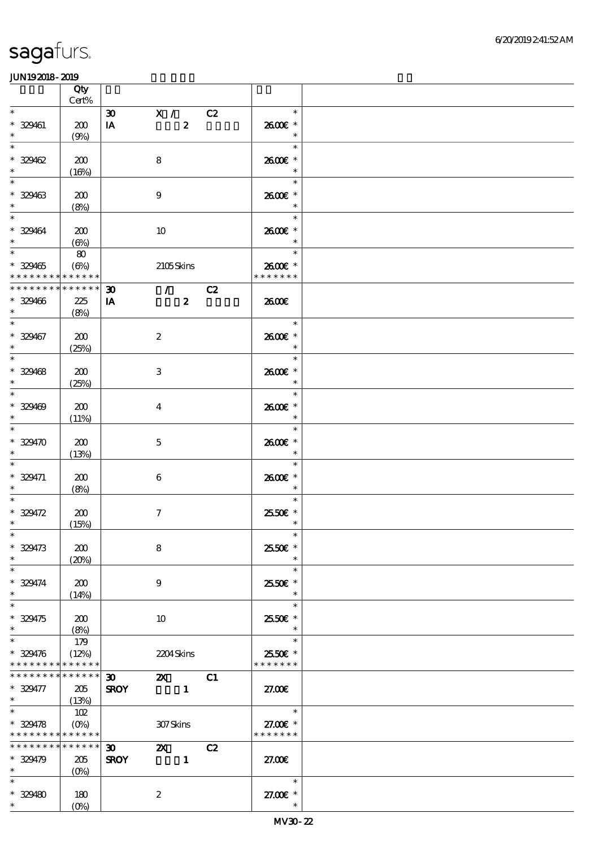|                               | Qty<br>Cert%              |                                       |                  |    |                                    |  |
|-------------------------------|---------------------------|---------------------------------------|------------------|----|------------------------------------|--|
| $\ast$                        |                           |                                       |                  |    | $\ast$                             |  |
|                               |                           | X / C2<br>$\boldsymbol{\mathfrak{D}}$ |                  |    |                                    |  |
| $* 329461$                    | 200                       | IA                                    | $\boldsymbol{z}$ |    | 2600€ *                            |  |
| $\ast$                        | (9%)                      |                                       |                  |    | $\ast$                             |  |
| $\ast$                        |                           |                                       |                  |    | $\ast$                             |  |
| $* 329462$                    | 200                       | $\bf8$                                |                  |    | 2600€ *                            |  |
| $\ast$                        | (16%)                     |                                       |                  |    | $\ast$                             |  |
| $\ast$                        |                           |                                       |                  |    | $\ast$                             |  |
| $* 329463$                    | 200                       | $\boldsymbol{9}$                      |                  |    | 2600E *                            |  |
| $\ast$                        | (8%)                      |                                       |                  |    | $\ast$                             |  |
| $\ast$                        |                           |                                       |                  |    | $\ast$                             |  |
| $* 329464$                    | 200                       | 10                                    |                  |    | 2600€ *                            |  |
| $\ast$                        |                           |                                       |                  |    | $\ast$                             |  |
| $\overline{\phantom{0}}$      | $(\Theta)$                |                                       |                  |    | $\ast$                             |  |
|                               | 80                        |                                       |                  |    |                                    |  |
| $* 329465$                    | $(\Theta)$                |                                       | 2105Skins        |    | 2600€ *                            |  |
| * * * * * * * * * * * * * *   |                           |                                       |                  |    | * * * * * * *                      |  |
| * * * * * * * * * * * * * * * |                           | $\boldsymbol{\mathfrak{D}}$           | $\sqrt{C^2}$     |    |                                    |  |
| $* 329466$                    | 225                       | IA                                    | $\boldsymbol{z}$ |    | 2600E                              |  |
| $\ast$                        | (8%)                      |                                       |                  |    |                                    |  |
| $\ast$                        |                           |                                       |                  |    | $\ast$                             |  |
| $* 329467$                    | 200                       | $\boldsymbol{2}$                      |                  |    | 2600€ *                            |  |
| $\ast$                        | (25%)                     |                                       |                  |    | $\ast$                             |  |
| $\overline{\phantom{0}}$      |                           |                                       |                  |    | $\ast$                             |  |
| $* 329468$                    | 200                       | 3                                     |                  |    | 2600€ *                            |  |
| $\ast$                        | (25%)                     |                                       |                  |    | $\ast$                             |  |
| $\overline{\ast}$             |                           |                                       |                  |    | $\ast$                             |  |
|                               |                           |                                       |                  |    |                                    |  |
| $* 329409$<br>$\ast$          | 200                       | $\overline{4}$                        |                  |    | 2600E *                            |  |
|                               | (11%)                     |                                       |                  |    | $\ast$                             |  |
| $\ast$                        |                           |                                       |                  |    | $\ast$                             |  |
| $* 329470$                    | 200                       | $\mathbf{5}$                          |                  |    | 2600€ *                            |  |
|                               | (13%)                     |                                       |                  |    | $\ast$                             |  |
|                               |                           |                                       |                  |    | $\ast$                             |  |
| $* 329471$                    | 200                       | $\boldsymbol{6}$                      |                  |    | 2600€ *                            |  |
| $\ast$                        | (8%)                      |                                       |                  |    | $\ast$                             |  |
| $\ast$                        |                           |                                       |                  |    | $\ast$                             |  |
| $* 329472$                    | 200                       | $\boldsymbol{7}$                      |                  |    | 2550€ *                            |  |
| $\ast$                        | (15%)                     |                                       |                  |    | $\ast$                             |  |
| $*$                           |                           |                                       |                  |    | $\ast$                             |  |
| $* 329473$                    | 200                       | 8                                     |                  |    | 25.50€ *                           |  |
| $\ast$                        |                           |                                       |                  |    | $\ast$                             |  |
| $\ast$                        | (20%)                     |                                       |                  |    | $\ast$                             |  |
|                               |                           |                                       |                  |    |                                    |  |
| $* 329474$                    | 200                       | 9                                     |                  |    | 2550€*                             |  |
| $\ast$<br>$\ast$              | (14%)                     |                                       |                  |    | $\ast$                             |  |
|                               |                           |                                       |                  |    | $\ast$                             |  |
| $*329475$                     | 200                       | 10                                    |                  |    | 25.50€ *                           |  |
| $\ast$                        | (8%)                      |                                       |                  |    | $\ast$                             |  |
| $\ast$                        | 179                       |                                       |                  |    | $\ast$                             |  |
| $* 329476$                    | (12%)                     |                                       | 2204Skins        |    | 2550€ *                            |  |
| * * * * * * * * * * * * * *   |                           |                                       |                  |    | * * * * * * *                      |  |
| * * * * * * * *               | ******                    | $\infty$                              | <b>2X</b> C1     |    |                                    |  |
| $* 329477$                    | 205                       | <b>SROY</b>                           | $\sim$ 1         |    | 27.00                              |  |
| $*$ and $*$                   | (13%)                     |                                       |                  |    |                                    |  |
| $\ast$                        | 102                       |                                       |                  |    | $\overline{\phantom{a}}$<br>$\ast$ |  |
| $* 329478$                    | $(O\!\!\!\!\!\!\!/\,\!o)$ |                                       | 307Skins         |    | 27.00 £*                           |  |
| * * * * * * * * * * * * * *   |                           |                                       |                  |    | * * * * * * *                      |  |
| * * * * * * * * * * * * * *   |                           | $\boldsymbol{\mathfrak{D}}$           | $\mathbf{x}$     | C2 |                                    |  |
| $* 329479$                    | 205                       | <b>SROY</b>                           | $\mathbf{1}$     |    | 27.00E                             |  |
| $\ast$                        |                           |                                       |                  |    |                                    |  |
|                               | $(0\%)$                   |                                       |                  |    |                                    |  |
| $\ast$                        |                           |                                       |                  |    | $\ast$                             |  |
| $* 329480$                    | 180                       | $\boldsymbol{2}$                      |                  |    | 27.00 £*                           |  |
| $\ast$                        | $(O\%)$                   |                                       |                  |    | $\ast$                             |  |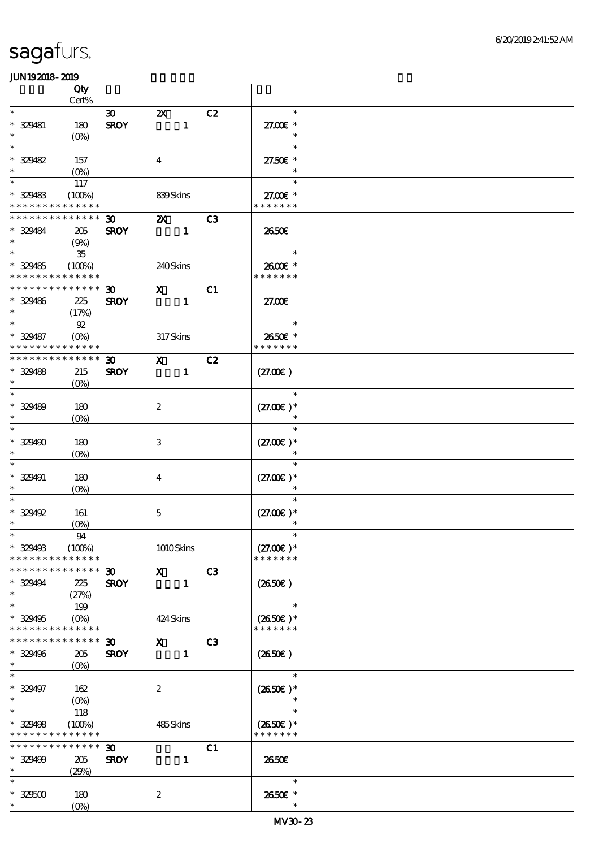|                     | Qty                                        |                             |                               |              |    |                          |  |
|---------------------|--------------------------------------------|-----------------------------|-------------------------------|--------------|----|--------------------------|--|
| $\ast$              | Cert%                                      |                             |                               |              |    | $\ast$                   |  |
|                     |                                            | $\boldsymbol{\mathfrak{D}}$ | $\boldsymbol{\mathsf{Z}}$     |              | C2 |                          |  |
| * 329481<br>$\ast$  | 180                                        | <b>SROY</b>                 |                               | $\mathbf{1}$ |    | 27.00€ *<br>$\ast$       |  |
| $\ast$              | $(O\!/\!\!\delta)$                         |                             |                               |              |    | $\ast$                   |  |
|                     |                                            |                             |                               |              |    |                          |  |
| * 329482            | 157                                        |                             | $\boldsymbol{4}$              |              |    | 27.50€ *                 |  |
| $\ast$              | $(0\%)$                                    |                             |                               |              |    | $\ast$                   |  |
| $\ast$              | 117                                        |                             |                               |              |    | $\ast$                   |  |
| $* 329483$          | (100%)                                     |                             | 839Skins                      |              |    | 27.00€ *                 |  |
| * * * * * * * *     | * * * * * *                                |                             |                               |              |    | * * * * * * *            |  |
|                     | * * * * * * * * <mark>* * * * * * *</mark> | 30 <sub>o</sub>             | $\boldsymbol{\mathsf{Z}}$     |              | C3 |                          |  |
| * 329484            | 205                                        | <b>SROY</b>                 |                               | $\mathbf{1}$ |    | 2650E                    |  |
| $\ast$              | (9%)                                       |                             |                               |              |    |                          |  |
| $\ast$              | $35\,$                                     |                             |                               |              |    | $\ast$                   |  |
| $* 329485$          | (100%)                                     |                             | 240Skins                      |              |    | 2600E *                  |  |
|                     | * * * * * * * * * * * * * *                |                             |                               |              |    | * * * * * * *            |  |
| * * * * * * * *     | * * * * * *                                | $\boldsymbol{\mathfrak{D}}$ | $\mathbf{x}$                  |              | C1 |                          |  |
| * 329486            | 225                                        | <b>SROY</b>                 |                               | $\mathbf{1}$ |    | 27.00E                   |  |
| $\ast$              | (17%)                                      |                             |                               |              |    |                          |  |
| $\overline{\ast}$   | $92\,$                                     |                             |                               |              |    | $\overline{a}$<br>$\ast$ |  |
| * 329487            | $(O\%)$                                    |                             | 317Skins                      |              |    | 2650€ *                  |  |
|                     | * * * * * * * * * * * * * *                |                             |                               |              |    | * * * * * * *            |  |
| * * * * * * * *     | * * * * * *                                | $\boldsymbol{\mathfrak{D}}$ | $\mathbf{x}$                  |              | C2 |                          |  |
| * 329488            | 215                                        | <b>SROY</b>                 |                               | $\mathbf{1}$ |    | (27.00)                  |  |
| $\ast$              | $(O\%)$                                    |                             |                               |              |    |                          |  |
| $\ast$              |                                            |                             |                               |              |    | $\ast$                   |  |
| $* 329489$          | 180                                        |                             | $\boldsymbol{2}$              |              |    | $(27.00)$ *              |  |
| $\ast$              | $(0\%)$                                    |                             |                               |              |    | $\ast$                   |  |
| $\ast$              |                                            |                             |                               |              |    | $\ast$                   |  |
| * 329490            | 180                                        |                             | 3                             |              |    | $(27.00)$ *              |  |
| $\ast$              |                                            |                             |                               |              |    |                          |  |
| $\ast$              | $(O\%)$                                    |                             |                               |              |    | $\ast$                   |  |
|                     |                                            |                             |                               |              |    | $(27.00)$ *              |  |
| * 329491<br>$\ast$  | 180                                        |                             | $\overline{4}$                |              |    |                          |  |
|                     | $(O\%)$                                    |                             |                               |              |    |                          |  |
|                     |                                            |                             |                               |              |    |                          |  |
| $*329492$<br>$\ast$ | 161                                        |                             | $\mathbf 5$                   |              |    | $(27.00)$ *              |  |
|                     | $(0\%)$                                    |                             |                               |              |    | $\ast$                   |  |
|                     | 94                                         |                             |                               |              |    |                          |  |
| $* 329493$          | (100%)                                     |                             | 1010Skins                     |              |    | $(27.00)$ *              |  |
| * * * * * * * *     | * * * * * *                                |                             |                               |              |    | * * * * * * *            |  |
|                     | * * * * * * * * * * * * * *                | 30 <sub>o</sub>             | $\mathbf{X}$                  |              | C3 |                          |  |
| $* 329494$          | 225                                        | <b>SROY</b>                 |                               | $\mathbf{1}$ |    | $(2650\epsilon)$         |  |
| $\ast$              | (27%)                                      |                             |                               |              |    |                          |  |
| $\ast$              | 199                                        |                             |                               |              |    | $\ast$                   |  |
| $* 329495$          | $(O\%)$                                    |                             | 424 Skins                     |              |    | $(2650E)*$               |  |
|                     | * * * * * * * * * * * * * *                |                             |                               |              |    | * * * * * * *            |  |
|                     | * * * * * * * * * * * * * *                | $\boldsymbol{\mathfrak{D}}$ | $\mathbf{x}$ and $\mathbf{x}$ |              | C3 |                          |  |
| * 329496            | 205                                        | <b>SROY</b>                 |                               | $\mathbf{1}$ |    | $(2650\epsilon)$         |  |
| $\ast$              | $(O\%)$                                    |                             |                               |              |    |                          |  |
| $\ast$              |                                            |                             |                               |              |    | $\ast$                   |  |
| * 329497            | 162                                        |                             | $\boldsymbol{2}$              |              |    | $(2650\epsilon)*$        |  |
| $\ast$              | $(0\%)$                                    |                             |                               |              |    |                          |  |
| $\ast$              | 118                                        |                             |                               |              |    | $\ast$                   |  |
| $* 329498$          | (100%)                                     |                             | 485Skins                      |              |    | $(2650E)*$               |  |
|                     | * * * * * * * * <mark>* * * * * *</mark>   |                             |                               |              |    | * * * * * * *            |  |
|                     | * * * * * * * * * * * * * *                | $\boldsymbol{\mathfrak{D}}$ |                               |              | C1 |                          |  |
| * 329499            | 205                                        | <b>SROY</b>                 |                               | $\mathbf{1}$ |    | 2650E                    |  |
| $\ast$              | (29%)                                      |                             |                               |              |    |                          |  |
| $\ast$              |                                            |                             |                               |              |    | $\ast$                   |  |
| $* 329500$          | 180                                        |                             | $\boldsymbol{2}$              |              |    | 2650E *                  |  |
| $\ast$              | $(O\!/\!o)$                                |                             |                               |              |    | $\ast$                   |  |
|                     |                                            |                             |                               |              |    |                          |  |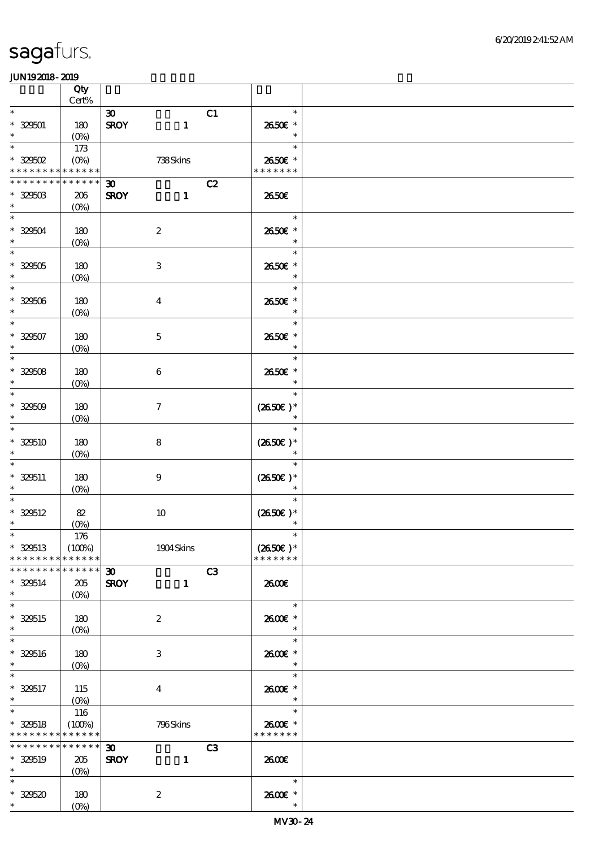|                                                     | Qty                                    |                                                                  |                                    |  |
|-----------------------------------------------------|----------------------------------------|------------------------------------------------------------------|------------------------------------|--|
| $\ast$                                              | $Cert\%$                               |                                                                  | $\ast$                             |  |
| $* 329501$<br>$\ast$                                | 180<br>(0%)                            | $\boldsymbol{\mathfrak{D}}$<br>C1<br><b>SROY</b><br>$\mathbf{1}$ | 2650€ *<br>$\ast$                  |  |
| $\ast$<br>$^*$ 329502 $\,$                          | 173<br>$(O\!\!\!\!\!\!/\,\!o)$         | 738Skins                                                         | $\ast$<br>2650€ *                  |  |
| * * * * * * * * <mark>* * * * * * *</mark>          |                                        |                                                                  | * * * * * * *                      |  |
| * * * * * * * * * * * * * *<br>$* 329503$<br>$\ast$ | 206<br>$(0\%)$                         | C2<br>$\boldsymbol{\mathfrak{D}}$<br><b>SROY</b><br>$\mathbf{1}$ | 2650€                              |  |
| $\ast$<br>$* 329504$<br>$\ast$                      | 180<br>$(0\%)$                         | $\boldsymbol{2}$                                                 | $\ast$<br>2650€ *<br>$\ast$        |  |
| $\ast$<br>$* 329505$<br>$\ast$                      | 180<br>$(0\%)$                         | $\,3$                                                            | $\ast$<br>2650€ *<br>$\ast$        |  |
| $\ast$<br>$* 32506$<br>$\ast$                       | 180<br>$(0\%)$                         | $\boldsymbol{4}$                                                 | $\ast$<br>2650€ *<br>$\ast$        |  |
| $\overline{\ast}$<br>$* 329507$<br>$\ast$           | 180<br>$(O_0)$                         | $\mathbf 5$                                                      | $\ast$<br>2650€ *<br>$\ast$        |  |
| $\ast$<br>$* 32508$<br>$\ast$                       | 180<br>$(0\%)$                         | $\,6\,$                                                          | $\ast$<br>2650€ *<br>$\ast$        |  |
| $\ast$<br>$* 32509$<br>$\ast$                       | 180<br>$(O\%)$                         | $\boldsymbol{7}$                                                 | $\ast$<br>$(2650E)*$<br>$\ast$     |  |
| $\ast$<br>$* 32510$<br>$\ast$                       | 180<br>$(0\%)$                         | $\bf 8$                                                          | $\ast$<br>$(2650E)*$<br>$\ast$     |  |
| $\ast$<br>$* 329511$<br>$\ast$                      | 180<br>$(0\%)$                         | $\boldsymbol{9}$                                                 | $\ast$<br>$(2650E)*$<br>$\ast$     |  |
| $\ast$<br>$* 320512$<br>$\ast$                      | 82<br>(0%)                             | $10$                                                             | $\ast$<br>$(2650E)*$               |  |
| $\ast$<br>$* 320513$<br>* * * * * * * * * * * * * * | 176<br>(100%)                          | 1904 Skins                                                       | $(2650E)*$<br>* * * * * * *        |  |
| * * * * * * * * * * * * * *                         |                                        | C3<br>$\boldsymbol{\mathfrak{D}}$                                |                                    |  |
| $* 329514$<br>$\ast$                                | 205<br>$(O\%)$                         | <b>SROY</b><br>$\mathbf{1}$                                      | 2600E                              |  |
| $\ast$<br>$* 320515$<br>$\ast$                      | 180<br>$(O\!/\!o)$                     | $\boldsymbol{2}$                                                 | $\ast$<br>2600E *<br>$\ast$        |  |
| $\overline{\ast}$<br>$* 329516$<br>$\ast$           | 180<br>$(O\!\!\!\!\!\!\backslash\rho)$ | $\,3$                                                            | $\ast$<br>2600€ *<br>$\ast$        |  |
| $\overline{\phantom{0}}$<br>* 329517<br>$\ast$      | 115<br>$(O\%)$                         | $\boldsymbol{4}$                                                 | $\ast$<br>2600E *<br>$\ast$        |  |
| $\ast$<br>$* 320518$<br>* * * * * * * * * * * * * * | 116<br>(100%)                          | 796Skins                                                         | $\ast$<br>2600€ *<br>* * * * * * * |  |
| * * * * * * * * * * * * * *<br>$* 320519$<br>$*$    | 205<br>$(0\%)$                         | C3<br>$\boldsymbol{\mathfrak{D}}$<br><b>SROY</b><br>$\mathbf{1}$ | 2600E                              |  |
| $*$<br>$* 32520$<br>$\ast$                          | 180<br>$(0\%)$                         | $\boldsymbol{2}$                                                 | $\ast$<br>2600E *<br>$\ast$        |  |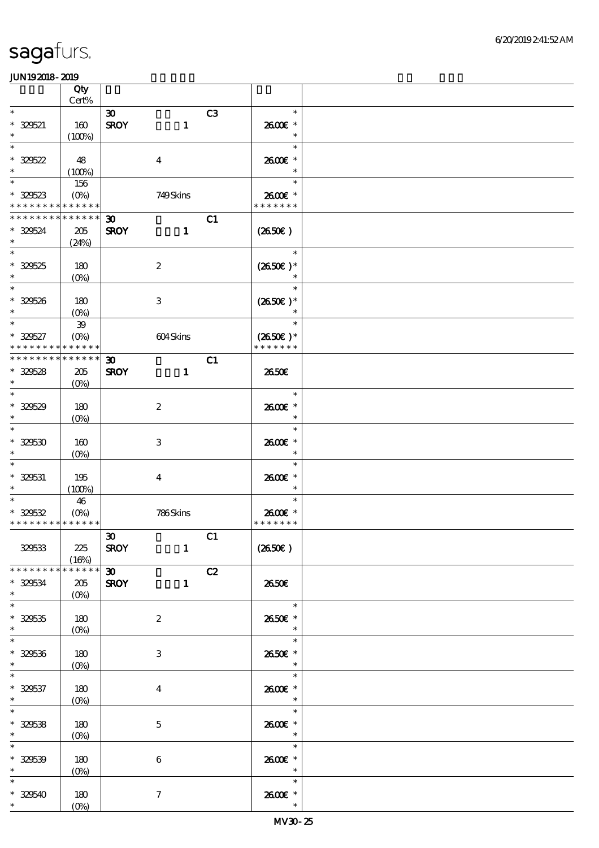|                                            | Qty                             |                             |                         |                |                  |  |
|--------------------------------------------|---------------------------------|-----------------------------|-------------------------|----------------|------------------|--|
| $\ast$                                     | Cert%                           |                             |                         |                |                  |  |
|                                            |                                 | $\boldsymbol{\mathfrak{D}}$ |                         | C <sub>3</sub> | $\ast$           |  |
| $* 32521$                                  | 160                             | <b>SROY</b>                 | $\mathbf{1}$            |                | 2600€ *          |  |
| $\ast$                                     | (100%)                          |                             |                         |                | $\ast$           |  |
| $\ast$                                     |                                 |                             |                         |                | $\ast$           |  |
| $* 325622$                                 | 48                              |                             | $\boldsymbol{4}$        |                | 2600€ *          |  |
| $\ast$                                     | (100%)                          |                             |                         |                | $\ast$           |  |
| $\ast$                                     | 156                             |                             |                         |                | $\ast$           |  |
| $* 329523$                                 | $(O\!\!\!\!\!\!\backslash\rho)$ |                             | 749Skins                |                | 2600€ *          |  |
| * * * * * * * * * * * * * *                |                                 |                             |                         |                | * * * * * * *    |  |
| * * * * * * * * * * * * * *                |                                 | $\boldsymbol{\mathfrak{D}}$ |                         | C1             |                  |  |
| $* 329524$                                 | 205                             | <b>SROY</b>                 | $\mathbf{1}$            |                | $(2650\epsilon)$ |  |
| $\ast$                                     | (24%)                           |                             |                         |                |                  |  |
| $\ast$                                     |                                 |                             |                         |                | $\ast$           |  |
| $* 329525$                                 | 180                             |                             | $\boldsymbol{2}$        |                | $(2650E)*$       |  |
| $\ast$                                     | $(O\%)$                         |                             |                         |                |                  |  |
| $\ast$                                     |                                 |                             |                         |                | $\ast$           |  |
| $* 329526$                                 | 180                             |                             | $\,3$                   |                | $(2650E)*$       |  |
| $\ast$                                     |                                 |                             |                         |                |                  |  |
| $\overline{\ast}$                          | $(O\%)$                         |                             |                         |                | $\ast$           |  |
|                                            | ${\bf 39}$                      |                             |                         |                |                  |  |
| $* 329527$                                 | $(O\!/\!o)$                     |                             | 604Skins                |                | $(2650E)*$       |  |
| * * * * * * * * <mark>* * * * * *</mark> * |                                 |                             |                         |                | * * * * * * *    |  |
| * * * * * * * * * * * * * *                |                                 | $\boldsymbol{\mathfrak{D}}$ |                         | C1             |                  |  |
| $* 329528$                                 | 205                             | <b>SROY</b>                 | $\mathbf{1}$            |                | 2650E            |  |
| $\ast$                                     | $(O\%)$                         |                             |                         |                |                  |  |
| $\ast$                                     |                                 |                             |                         |                | $\ast$           |  |
| $* 329529$                                 | 180                             |                             | $\boldsymbol{2}$        |                | 2600€ *          |  |
| $\ast$                                     | $(O\!/\!o)$                     |                             |                         |                | $\ast$           |  |
| $\ast$                                     |                                 |                             |                         |                | $\ast$           |  |
| $* 32530$                                  | 160                             |                             | 3                       |                | 2600€ *          |  |
| $\ast$                                     | $(O\%)$                         |                             |                         |                | $\ast$           |  |
| $\ast$                                     |                                 |                             |                         |                | $\ast$           |  |
| $* 329531$                                 | 195                             |                             | $\overline{\mathbf{4}}$ |                | 2600€ *          |  |
| $\ast$                                     | (100%)                          |                             |                         |                | $\ast$           |  |
| $\ast$                                     | 46                              |                             |                         |                | $\ast$           |  |
| $* 325532$                                 | $(O\%)$                         |                             |                         |                | 2600€ *          |  |
| * * * * * * * * * * * * * * *              |                                 |                             | 786Skins                |                | * * * * * * *    |  |
|                                            |                                 |                             |                         |                |                  |  |
|                                            |                                 | $\vert x$                   | $\overline{\text{c}}$ 1 |                |                  |  |
| 329533                                     | 225                             | <b>SROY</b>                 | $\mathbf{1}$            |                | (2650E)          |  |
|                                            | (16%)                           |                             |                         |                |                  |  |
| * * * * * * * *                            | $******$                        | $\overline{\mathbf{w}}$     |                         | C2             |                  |  |
| $* 329534$                                 | 205                             | <b>SROY</b>                 | $\mathbf{1}$            |                | 2650E            |  |
| $\ast$                                     | $(0\%)$                         |                             |                         |                |                  |  |
| $\ast$                                     |                                 |                             |                         |                | $\ast$           |  |
| $* 329535$                                 | 180                             |                             | $\boldsymbol{z}$        |                | 2650E *          |  |
| $\ast$                                     | $(0\%)$                         |                             |                         |                | $\ast$           |  |
| $\overline{\phantom{a}^*}$                 |                                 |                             |                         |                | $\ast$           |  |
| $* 32536$                                  | 180                             |                             | 3                       |                | 2650€ *          |  |
| $\ast$                                     | $(0\%)$                         |                             |                         |                | $\ast$           |  |
| $\overline{\phantom{0}}$                   |                                 |                             |                         |                | $\ast$           |  |
| $* 329537$                                 | 180                             |                             | $\overline{\mathbf{4}}$ |                | 2600E *          |  |
| $\ast$                                     |                                 |                             |                         |                | $\ast$           |  |
| $\ast$                                     | $(O\!\!\!\!\!\!\backslash\rho)$ |                             |                         |                | $\ast$           |  |
|                                            |                                 |                             |                         |                |                  |  |
| $* 329538$                                 | 180                             |                             | $\mathbf{5}$            |                | 2600E *          |  |
| $\ast$                                     | $(O\%)$                         |                             |                         |                | $\ast$           |  |
| $\ast$                                     |                                 |                             |                         |                | $\ast$           |  |
| $* 32539$                                  | 180                             |                             | $\boldsymbol{6}$        |                | 2600€ *          |  |
| $\ast$                                     | $(0\%)$                         |                             |                         |                | $\ast$           |  |
| $\ast$                                     |                                 |                             |                         |                | $\ast$           |  |
| $* 329540$                                 | 180                             |                             | $\boldsymbol{7}$        |                | 2600€ *          |  |
| $*$                                        | $(0\%)$                         |                             |                         |                | $\ast$           |  |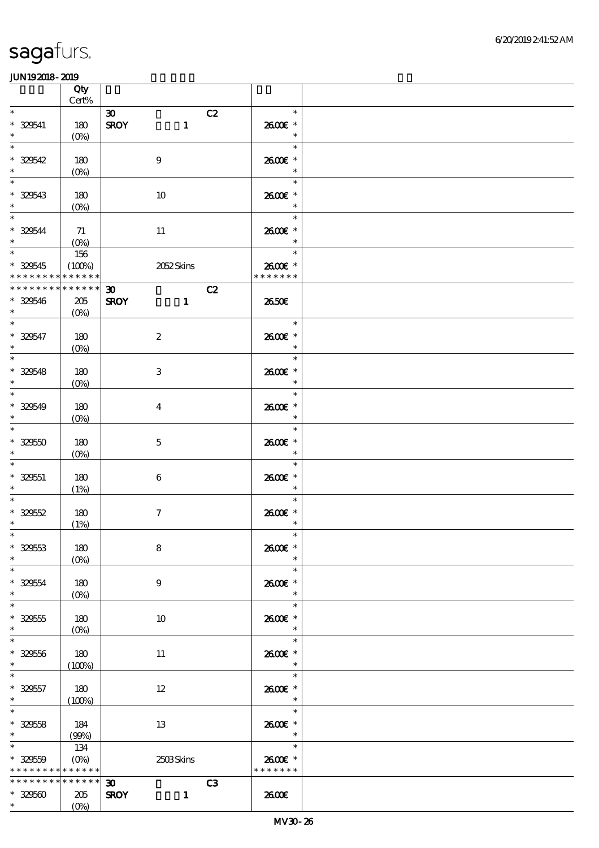|                                                          | Qty<br>Cert%                                          |                                                                  |                                            |  |
|----------------------------------------------------------|-------------------------------------------------------|------------------------------------------------------------------|--------------------------------------------|--|
| $\ast$<br>$* 329541$                                     | 180                                                   | $\boldsymbol{\mathfrak{D}}$<br>C2<br><b>SROY</b><br>$\mathbf{1}$ | $\ast$<br>2600€ *                          |  |
| $\ast$<br>$\ast$                                         | $(O\!/\!\delta)$                                      |                                                                  | $\ast$<br>$\ast$                           |  |
| $* 329542$<br>$\ast$<br>$\overline{\phantom{0}}$         | 180<br>$(0\%)$                                        | $\boldsymbol{9}$                                                 | 2600€ *<br>$\ast$                          |  |
| $* 329543$<br>$\ast$<br>$\overline{\phantom{a}^*}$       | 180<br>$(O\%)$                                        | 10                                                               | $\ast$<br>2600E *<br>$\ast$                |  |
| $* 32544$<br>$\ast$                                      | 71<br>$(O_0)$                                         | $11\,$                                                           | $\ast$<br>2600€ *<br>$\ast$                |  |
| $\overline{\phantom{0}}$<br>$*329545$<br>* * * * * * * * | 156<br>(100%)<br>* * * * * *                          | 2052 Skins                                                       | $\ast$<br>an T<br>2600€ *<br>* * * * * * * |  |
| * * * * * * * *<br>$* 329546$<br>$\ast$                  | * * * * * *<br>205<br>$(O\!/\!\!\delta)$              | C2<br>$\boldsymbol{\mathfrak{D}}$<br><b>SROY</b><br>$\mathbf{1}$ | 2650E                                      |  |
| $\overline{\ast}$<br>$* 329547$<br>$\ast$                | 180<br>$(O\!/\!\delta)$                               | $\boldsymbol{2}$                                                 | $\ast$<br>2600E *<br>$\ast$                |  |
| $\overline{\phantom{a}}$<br>$* 329548$<br>$\ast$         | 180<br>$(0\%)$                                        | 3                                                                | $\ast$<br>2600E *<br>$\ast$                |  |
| $\overline{\phantom{0}}$<br>$* 329549$<br>$\ast$         | 180<br>$(O\%)$                                        | $\boldsymbol{4}$                                                 | $\ast$<br>2600E *<br>$\ast$                |  |
| $\ast$<br>$* 32950$<br>$\ast$                            | 180<br>$(O\%)$                                        | $\mathbf 5$                                                      | $\ast$<br>2600€ *<br>$\ast$                |  |
| $\ast$<br>$* 329551$<br>$\ast$                           | 180<br>(1%)                                           | $\bf 6$                                                          | $\ast$<br>2600E *<br>$\ast$                |  |
| $\ast$<br>$* 32952$<br>$\ast$                            | 180<br>(1%)                                           | $\boldsymbol{\tau}$                                              | $\ast$<br>2600€ *<br>$\ast$                |  |
| $\ast$<br>$* 329553$<br>$\ast$                           | 180<br>(O <sub>0</sub> )                              | 8                                                                | $\ast$<br>2600€ *<br>$\ast$                |  |
| $\ast$<br>$* 329554$<br>$\ast$                           | 180<br>$(O\%)$                                        | $\boldsymbol{9}$                                                 | $\ast$<br>2600€ *<br>$\ast$                |  |
| $\ast$<br>$* 329555$<br>$\ast$                           | 180<br>$(O\%)$                                        | 10                                                               | $\ast$<br>2600€ *<br>$\ast$                |  |
| $\ast$<br>$* 329556$<br>$\ast$                           | 180<br>(100%)                                         | 11                                                               | $\ast$<br>2600E *<br>$\ast$                |  |
| $\ast$<br>$* 329557$<br>$\ast$                           | 180<br>(100%)                                         | $12\,$                                                           | $\ast$<br>2600E *<br>$\ast$                |  |
| $\ast$<br>$* 32958$<br>$\ast$                            | 184<br>(90%)                                          | 13                                                               | $\ast$<br>2600E *<br>$\ast$                |  |
| $\ast$<br>$* 329559$<br>* * * * * * * *                  | 134<br>$(O\!\!\!\!\!\!\backslash\rho)$<br>* * * * * * | 2503Skins                                                        | $\ast$<br>2600E *<br>* * * * * * *         |  |
| __<br>* * * * * * * *<br>$* 329500$                      | * * * * * *                                           | C3<br>$\boldsymbol{\mathfrak{D}}$                                |                                            |  |
| $*$ $*$                                                  | 205<br>$(O\%)$                                        | <b>SROY</b><br>$\mathbf{1}$                                      | 2600E                                      |  |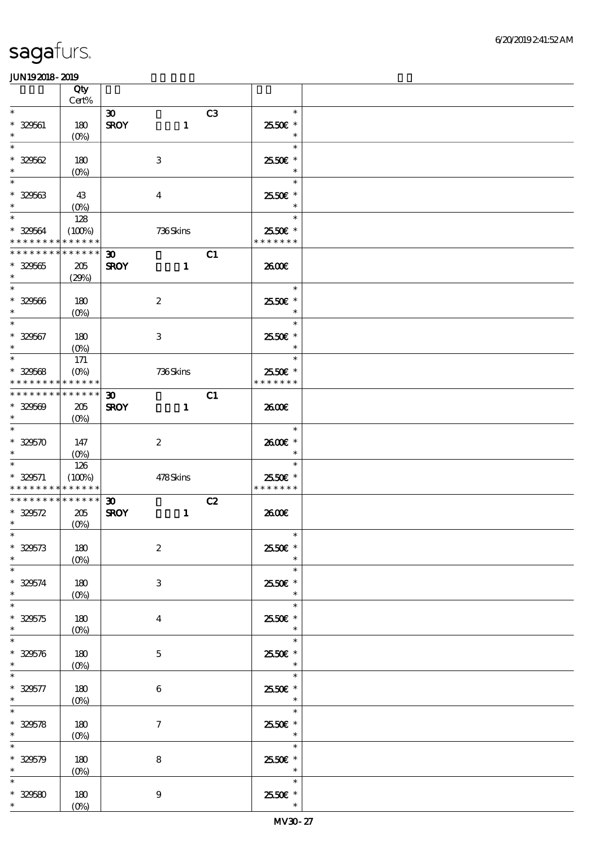|                                                  | Qty<br>Cert%                          |                                            |                  |    |                                    |  |
|--------------------------------------------------|---------------------------------------|--------------------------------------------|------------------|----|------------------------------------|--|
| $\ast$                                           |                                       | $\boldsymbol{\mathfrak{D}}$                |                  | C3 | $\ast$                             |  |
| $* 329561$<br>$\ast$                             | 180<br>$(O\!/\!\!\delta)$             | <b>SROY</b>                                | $\mathbf{1}$     |    | 25.50€ *<br>$\ast$                 |  |
| $\ast$<br>$* 329562$<br>$\ast$                   | 180<br>$(0\%)$                        |                                            | $\,3$            |    | $\ast$<br>2550€ *<br>$\ast$        |  |
| $\ast$<br>$* 329563$<br>$\ast$                   | 43<br>$(O\%)$                         |                                            | $\boldsymbol{4}$ |    | $\ast$<br>2550€ *<br>$\ast$        |  |
| $\overline{\ast}$<br>* 329564<br>* * * * * * * * | 128<br>(100%)<br>* * * * * *          |                                            | 736Skins         |    | $\ast$<br>2550€ *<br>* * * * * * * |  |
| * * * * * * * *<br>$* 329565$<br>$\ast$          | * * * * * *<br>205<br>(29%)           | $\boldsymbol{\mathfrak{D}}$<br><b>SROY</b> | $\mathbf{1}$     | C1 | 2600E                              |  |
| $\overline{\ast}$<br>$* 329566$<br>$\ast$        | 180<br>$(O\%)$                        |                                            | $\boldsymbol{2}$ |    | $\ast$<br>2550€ *<br>$\ast$        |  |
| $\overline{\ast}$<br>$* 329567$<br>$\ast$        | 180<br>$(O_0)$                        |                                            | $\,3\,$          |    | $\ast$<br>2550€ *<br>$\ast$        |  |
| $\ast$<br>$* 329568$<br>* * * * * * * *          | 171<br>$(O\%)$<br>* * * * * *         |                                            | 736Skins         |    | $\ast$<br>2550€ *<br>* * * * * * * |  |
| * * * * * * * *<br>$* 329569$<br>$\ast$          | * * * * * *<br>205<br>$(O\%)$         | $\boldsymbol{\mathfrak{D}}$<br><b>SROY</b> | $\mathbf{1}$     | C1 | 2600E                              |  |
| $\ast$<br>$* 329570$<br>$\ast$                   | 147<br>$(0\%)$                        |                                            | $\boldsymbol{2}$ |    | $\ast$<br>2600€ *<br>$\ast$        |  |
| $\ast$<br>$* 329571$<br>* * * * * * * *          | 126<br>(100%)<br>* * * * * *          |                                            | 478Skins         |    | $\ast$<br>2550€ *<br>* * * * * * * |  |
| * * * * * * * *<br>$* 329572$<br>$\ast$          | $******$<br>205<br>$(O\!/\!\!\delta)$ | $\boldsymbol{\mathfrak{D}}$<br><b>SROY</b> | $\mathbf{1}$     | C2 | 2600E                              |  |
| $*$<br>$* 329573$<br>$\ast$                      | 180<br>$(0\%)$                        |                                            | $\boldsymbol{2}$ |    | $\ast$<br>2550€ *<br>$\ast$        |  |
| $\overline{\phantom{0}}$<br>$* 329574$<br>$\ast$ | 180<br>(O <sub>0</sub> )              |                                            | 3                |    | $\ast$<br>2550€ *<br>$\ast$        |  |
| $\ast$<br>$* 329575$<br>$\ast$                   | 180<br>$(O\%)$                        |                                            | $\boldsymbol{4}$ |    | $\ast$<br>2550€ *<br>$\ast$        |  |
| $\ast$<br>$* 329576$<br>$\ast$                   | 180<br>$(O\%)$                        |                                            | $\mathbf{5}$     |    | $\ast$<br>2550€ *<br>$\ast$        |  |
| $* 329577$<br>$\ast$                             | 180<br>$(0\%)$                        |                                            | $\,6$            |    | $\ast$<br>25.50€ *<br>$\ast$       |  |
| $\ast$<br>$* 329578$<br>$\ast$                   | 180<br>(0%)                           |                                            | $\tau$           |    | $\ast$<br>2550E *<br>$\ast$        |  |
| $\ast$<br>$* 329579$<br>$\ast$                   | 180<br>$(0\%)$                        |                                            | $\bf 8$          |    | $\ast$<br>2550€ *<br>$\ast$        |  |
| $\ast$<br>$* 32550$<br>$\ast$                    | 180<br>$(O\!/\!o)$                    |                                            | $\boldsymbol{9}$ |    | $\ast$<br>25.50€ *<br>$\ast$       |  |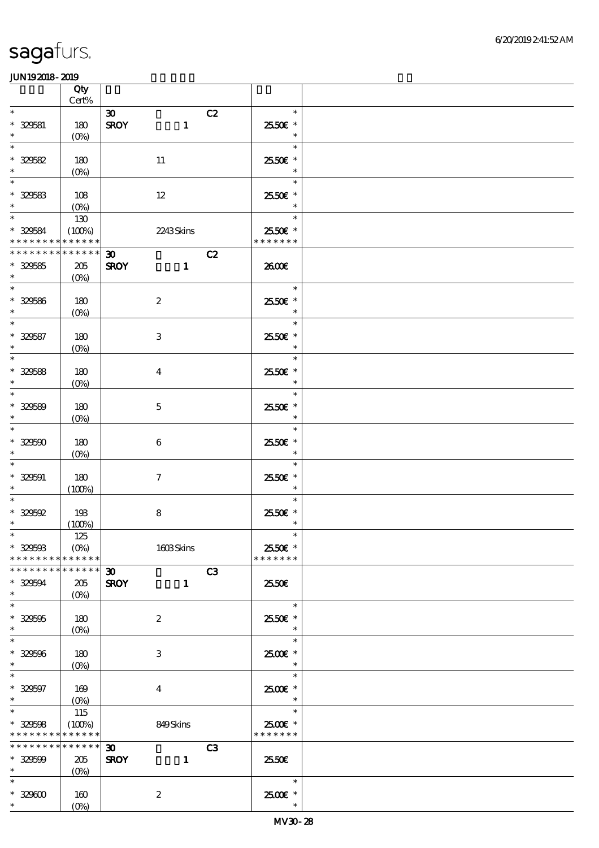|                                    | Qty<br>$Cert\%$            |                             |              |    |                          |  |
|------------------------------------|----------------------------|-----------------------------|--------------|----|--------------------------|--|
| $\ast$                             |                            | $\boldsymbol{\mathfrak{D}}$ |              | C2 | $\ast$                   |  |
| $* 329581$<br>$\ast$               | 180                        | <b>SROY</b>                 | $\mathbf{1}$ |    | 2550€ *<br>$\ast$        |  |
| $\ast$                             | $(O\!/\!\!\delta)$         |                             |              |    | $\ast$                   |  |
| $* 32562$                          | 180                        | 11                          |              |    | 25.50€ *                 |  |
| $\ast$                             | $(0\%)$                    |                             |              |    | $\ast$                   |  |
| $\ast$                             |                            |                             |              |    | $\ast$                   |  |
| $* 325683$                         | 108                        | $12\,$                      |              |    | 2550€ *                  |  |
| $\ast$                             | $(O\!/\!\!\delta)$         |                             |              |    | $\ast$                   |  |
| $\overline{\ast}$                  | 130                        |                             |              |    | $\ast$                   |  |
| $* 329584$                         | (100%)                     |                             | 2243Skins    |    | 2550€ *                  |  |
| * * * * * * * *                    | * * * * * *                |                             |              |    | * * * * * * *            |  |
| * * * * * * * *                    | * * * * * *                | $\boldsymbol{\mathfrak{D}}$ |              | C2 |                          |  |
| $* 329585$                         | $205\,$                    | <b>SROY</b>                 | $\mathbf{1}$ |    | 2600E                    |  |
| $\ast$                             | $(O\%)$                    |                             |              |    |                          |  |
| $\overline{\phantom{0}}$           |                            |                             |              |    | $\ast$                   |  |
| $* 329586$                         | 180                        | $\boldsymbol{2}$            |              |    | 2550€ *                  |  |
| $\ast$                             | $(0\%)$                    |                             |              |    | $\ast$                   |  |
| $\overline{\ast}$                  |                            |                             |              |    | $\ast$                   |  |
| $* 329587$                         | 180                        | $\,3\,$                     |              |    | 2550€ *                  |  |
| $\ast$                             | $(O\!/\!o)$                |                             |              |    | $\ast$                   |  |
| $\overline{\phantom{0}}$           |                            |                             |              |    | $\ast$                   |  |
| $* 329588$                         | 180                        | $\boldsymbol{4}$            |              |    | 2550€ *                  |  |
| $\ast$                             | $(0\%)$                    |                             |              |    | $\ast$                   |  |
| $\overline{\phantom{0}}$           |                            |                             |              |    | $\ast$                   |  |
| $* 329589$                         | 180                        | $\mathbf 5$                 |              |    | 2550€ *                  |  |
| $\ast$                             | $(0\%)$                    |                             |              |    | $\ast$                   |  |
| $\ast$                             |                            |                             |              |    | $\ast$                   |  |
| $* 320500$                         | 180                        | $\boldsymbol{6}$            |              |    | 2550€ *                  |  |
| $\ast$                             | $(O\%)$                    |                             |              |    | $\ast$                   |  |
| $\ast$                             |                            |                             |              |    | $\ast$                   |  |
| $* 329591$                         | 180                        | $\boldsymbol{\tau}$         |              |    | 2550€ *                  |  |
| $\ast$                             | (100%)                     |                             |              |    | $\ast$                   |  |
| $\ast$                             |                            |                             |              |    | $\ast$                   |  |
| $*329592$                          | 193                        | $\bf 8$                     |              |    | 25.50€ *                 |  |
| $\ast$                             | (100%)                     |                             |              |    | $\ast$                   |  |
| $*$                                | 125                        |                             |              |    | $\ast$                   |  |
| $* 32950B$                         | $(O\%)$                    |                             | 1603Skins    |    | 2550€ *<br>* * * * * * * |  |
| * * * * * * * *<br>* * * * * * * * | * * * * * *<br>* * * * * * |                             |              |    |                          |  |
|                                    |                            | $30-1$                      |              | C3 | 2550€                    |  |
| $* 329594$<br>$\ast$               | 205<br>(O <sub>0</sub> )   | <b>SROY</b>                 | $\mathbf{1}$ |    |                          |  |
| $\ast$                             |                            |                             |              |    | $\ast$                   |  |
| $* 329595$                         | 180                        | $\boldsymbol{2}$            |              |    | 2550€ *                  |  |
| $\ast$                             | $(O\%)$                    |                             |              |    | $\ast$                   |  |
| $\ast$                             |                            |                             |              |    | $\ast$                   |  |
| $* 329596$                         | 180                        | 3                           |              |    | 2500€*                   |  |
| $\ast$                             | $(O\%)$                    |                             |              |    | $\ast$                   |  |
| $\ast$                             |                            |                             |              |    | $\ast$                   |  |
| $* 329597$                         | 169                        | $\bf{4}$                    |              |    | 2500€*                   |  |
| $\ast$                             | $(O\!/\!\!\delta)$         |                             |              |    | $\ast$                   |  |
| $\overline{\ast}$                  | 115                        |                             |              |    | $\ast$                   |  |
| $* 329508$                         | (100%)                     |                             | 849Skins     |    | 2500€ *                  |  |
| * * * * * * * *                    | * * * * * *                |                             |              |    | * * * * * * *            |  |
| * * * * * * * *                    | * * * * * *                | $\boldsymbol{\mathfrak{D}}$ |              | C3 |                          |  |
| $* 329509$                         | 205                        | <b>SROY</b>                 | $\mathbf{1}$ |    | 25.50€                   |  |
| $\ast$                             | $(O\!/\!\delta)$           |                             |              |    |                          |  |
| $\ast$                             |                            |                             |              |    | $\ast$                   |  |
| $* 329600$                         | 160                        | $\boldsymbol{2}$            |              |    | 2500€*                   |  |
| $\ast$                             | $(O\!/\!\!\delta)$         |                             |              |    | $\ast$                   |  |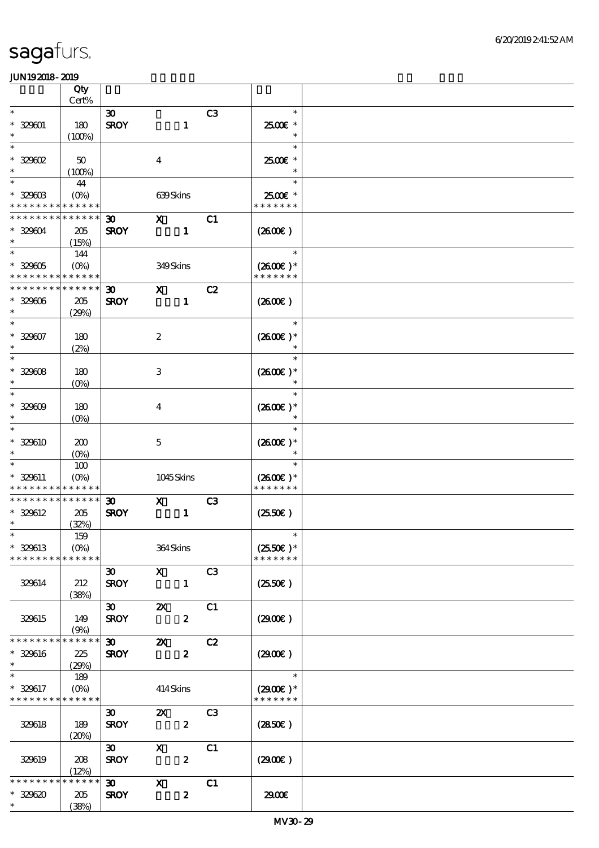|                             | Qty                |                             |                           |                  |                |                     |  |
|-----------------------------|--------------------|-----------------------------|---------------------------|------------------|----------------|---------------------|--|
| $\ast$                      | Cert%              |                             |                           |                  |                |                     |  |
|                             |                    | $\boldsymbol{\mathfrak{D}}$ |                           |                  | C <sub>3</sub> | $\ast$              |  |
| $* 329001$                  | 180                | <b>SROY</b>                 |                           | $\mathbf{1}$     |                | $2500$ $*$          |  |
| $\ast$                      | (100%)             |                             |                           |                  |                | $\ast$              |  |
| $\ast$                      |                    |                             |                           |                  |                | $\ast$              |  |
| $*329602$                   | 50                 |                             | $\boldsymbol{4}$          |                  |                | 2500€*              |  |
| $\ast$                      | (100%)             |                             |                           |                  |                | $\ast$              |  |
| $\ast$                      | 44                 |                             |                           |                  |                | $\ast$              |  |
| $* 32900B$                  | $(O\%)$            |                             | 639Skins                  |                  |                | 2500€ *             |  |
| * * * * * * * *             | * * * * * *        |                             |                           |                  |                | * * * * * * *       |  |
| * * * * * * * *             | * * * * * *        | 30 <sub>o</sub>             | $\mathbf x$               |                  | C1             |                     |  |
| * 329604                    | 205                | <b>SROY</b>                 |                           | $\mathbf{1}$     |                | (2600)              |  |
| $\ast$                      | (15%)              |                             |                           |                  |                |                     |  |
| $\ast$                      | 144                |                             |                           |                  |                | $\ast$              |  |
| $* 329005$                  | $(O\%)$            |                             | 349Skins                  |                  |                | $(2600E)*$          |  |
| * * * * * * * * * * * * * * |                    |                             |                           |                  |                | * * * * * * *       |  |
| * * * * * * * *             | * * * * * *        | $\boldsymbol{\mathfrak{D}}$ | $\mathbf{x}$              |                  | C2             |                     |  |
| $* 329006$                  | 205                | <b>SROY</b>                 |                           | $\mathbf{1}$     |                | (260E)              |  |
| $\ast$                      |                    |                             |                           |                  |                |                     |  |
| $\ast$                      | (29%)              |                             |                           |                  |                | $\ast$              |  |
|                             |                    |                             |                           |                  |                |                     |  |
| $* 329007$                  | 180                |                             | $\boldsymbol{2}$          |                  |                | $(2600)$ *          |  |
| $\ast$                      | (2%)               |                             |                           |                  |                | $\ast$              |  |
| $\ast$                      |                    |                             |                           |                  |                | $\ast$              |  |
| $* 32908$                   | 180                |                             | $\ensuremath{\mathbf{3}}$ |                  |                | $(2600E)*$          |  |
| $\ast$                      | $(O\!/\!o)$        |                             |                           |                  |                | $\ast$              |  |
| $\ast$                      |                    |                             |                           |                  |                | $\ast$              |  |
| $* 329009$                  | 180                |                             | $\boldsymbol{4}$          |                  |                | $(2600)$ *          |  |
| $\ast$                      | $(0\%)$            |                             |                           |                  |                | $\ast$              |  |
| $\ast$                      |                    |                             |                           |                  |                | $\ast$              |  |
| * 329610                    | 200                |                             | $\mathbf 5$               |                  |                | $(2600)$ *          |  |
| $\ast$                      | $(O\%)$            |                             |                           |                  |                |                     |  |
| $\ast$                      | 100                |                             |                           |                  |                | $\ast$              |  |
| * 329611                    | $(O\!/\!\!\delta)$ |                             | 1045Skins                 |                  |                | $(2600E)*$          |  |
| * * * * * * * * * * * * * * |                    |                             |                           |                  |                | * * * * * * *       |  |
| * * * * * * * *             | * * * * * *        | $\boldsymbol{\mathfrak{D}}$ | $\mathbf x$               |                  | C3             |                     |  |
| * 329612                    | 205                | <b>SROY</b>                 |                           | $\mathbf{1}$     |                | $(2550\varepsilon)$ |  |
| $\ast$                      | (32%)              |                             |                           |                  |                |                     |  |
|                             | 159                |                             |                           |                  |                | $*$                 |  |
| * 329613                    | $(O\%)$            |                             | 364Skins                  |                  |                | $(2550E)^*$         |  |
| * * * * * * * *             | * * * * * *        |                             |                           |                  |                | * * * * * * *       |  |
|                             |                    | $\boldsymbol{\mathfrak{D}}$ | $\mathbf{x}$              |                  | C <sub>3</sub> |                     |  |
| 329614                      | 212                | <b>SROY</b>                 |                           | $\mathbf{1}$     |                | $(2550\varepsilon)$ |  |
|                             | (38%)              |                             |                           |                  |                |                     |  |
|                             |                    | $\infty$                    | $\boldsymbol{\mathsf{Z}}$ |                  | C1             |                     |  |
| 329615                      | 149                | <b>SROY</b>                 |                           | $\boldsymbol{z}$ |                | (2900)              |  |
|                             | (9%)               |                             |                           |                  |                |                     |  |
| * * * * * * * *             | * * * * * *        | $\boldsymbol{\mathfrak{D}}$ | $\boldsymbol{\mathsf{z}}$ |                  | C2             |                     |  |
| * 329616                    | 225                | <b>SROY</b>                 |                           | $\boldsymbol{2}$ |                | (2900)              |  |
| $\ast$                      |                    |                             |                           |                  |                |                     |  |
| $\ast$                      | (29%)              |                             |                           |                  |                | $\ast$              |  |
|                             | 189                |                             |                           |                  |                |                     |  |
| * 329617                    | $(O\%)$            |                             | 414Skins                  |                  |                | $(2900)$ *          |  |
| * * * * * * * * * * * * * * |                    |                             |                           |                  |                | * * * * * * *       |  |
|                             |                    | $\boldsymbol{\mathfrak{D}}$ | $\mathbf{X}$              |                  | C <sub>3</sub> |                     |  |
| 329618                      | 189                | <b>SROY</b>                 |                           | $\boldsymbol{z}$ |                | (2850)              |  |
|                             | (20%)              |                             |                           |                  |                |                     |  |
|                             |                    | $\boldsymbol{\mathfrak{D}}$ | $\mathbf{x}$              |                  | C1             |                     |  |
| 329619                      | 208                | <b>SROY</b>                 |                           | $\boldsymbol{z}$ |                | (2900)              |  |
|                             | (12%)              |                             |                           |                  |                |                     |  |
| * * * * * *                 | * * * * * *        | $\boldsymbol{\mathfrak{D}}$ | $\boldsymbol{\mathrm{X}}$ |                  | C1             |                     |  |
| $* 329620$                  | $205\,$            | <b>SROY</b>                 |                           | $\pmb{2}$        |                | 2900€               |  |
| $\ast$                      | (38%)              |                             |                           |                  |                |                     |  |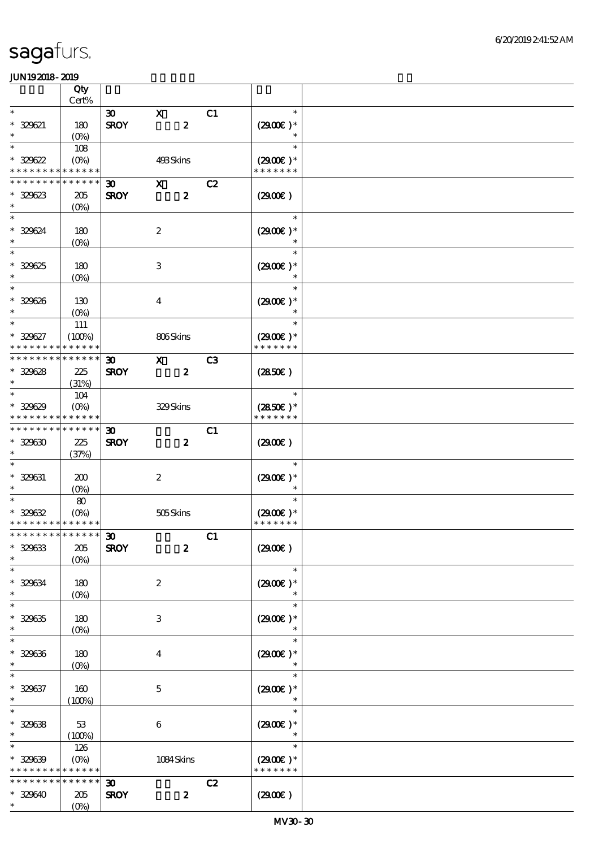|                                          | Qty                   |                             |                                 |                |                             |  |
|------------------------------------------|-----------------------|-----------------------------|---------------------------------|----------------|-----------------------------|--|
| $\ast$                                   | $Cert\%$              |                             |                                 |                | $\ast$                      |  |
| $* 329621$                               |                       | $\boldsymbol{\mathfrak{D}}$ | $\mathbf X$<br>$\boldsymbol{z}$ | C1             | $(2900)$ *                  |  |
| $\ast$                                   | 180<br>$(O\%)$        | <b>SROY</b>                 |                                 |                | $\ast$                      |  |
| $\ast$                                   | 108                   |                             |                                 |                | $\ast$                      |  |
| * 329622                                 | $(O\%)$               |                             | 493Skins                        |                | $(2900)$ *                  |  |
| * * * * * * * *                          | * * * * * *           |                             |                                 |                | * * * * * * *               |  |
| * * * * * * * *                          | * * * * * *           | $\boldsymbol{\mathfrak{D}}$ | $\mathbf{x}$                    | C2             |                             |  |
| $* 329623$                               | 205                   | <b>SROY</b>                 | $\boldsymbol{z}$                |                | (2900)                      |  |
| $\ast$                                   | $(O\%)$               |                             |                                 |                |                             |  |
| $\ast$                                   |                       |                             |                                 |                | $\ast$                      |  |
| $* 329624$<br>$\ast$                     | 180                   |                             | $\boldsymbol{2}$                |                | $(2900)$ *                  |  |
| $\ast$                                   | $(O\%)$               |                             |                                 |                | $\ast$                      |  |
| $* 329625$                               | 180                   |                             | $\,3\,$                         |                | $(2900)$ *                  |  |
| $\ast$                                   | $(0\%)$               |                             |                                 |                |                             |  |
| $\ast$                                   |                       |                             |                                 |                | $\ast$                      |  |
| $* 329626$                               | 130                   |                             | $\boldsymbol{4}$                |                | $(2900)$ *                  |  |
| $\ast$                                   | $(O\%)$               |                             |                                 |                | $\ast$                      |  |
| $\ast$                                   | 111                   |                             |                                 |                | $\ast$                      |  |
| * 329627<br>* * * * * * * *              | (100%)<br>* * * * * * |                             | 806Skins                        |                | $(2900)$ *<br>* * * * * * * |  |
| * * * * * * * *                          | * * * * * *           | $\boldsymbol{\mathfrak{D}}$ | $\mathbf{x}$                    | C <sub>3</sub> |                             |  |
| $* 329628$                               | 225                   | <b>SROY</b>                 | $\boldsymbol{z}$                |                | (2850)                      |  |
| $\ast$                                   | (31%)                 |                             |                                 |                |                             |  |
| $\ast$                                   | 104                   |                             |                                 |                | $\ast$                      |  |
| $* 329629$                               | $(O\%)$               |                             | 329Skins                        |                | $(2850)$ *                  |  |
| * * * * * * * *                          | * * * * * *           |                             |                                 |                | * * * * * * *               |  |
| * * * * * * * *                          | * * * * * *           | $\boldsymbol{\mathfrak{D}}$ |                                 | C1             |                             |  |
| $* 329630$                               | 225                   | <b>SROY</b>                 | $\boldsymbol{z}$                |                | (2900)                      |  |
| $\ast$<br>$\ast$                         | (37%)                 |                             |                                 |                |                             |  |
| $* 329631$                               |                       |                             |                                 |                | $\ast$                      |  |
| $\ast$                                   | 200<br>$(O\%)$        |                             | $\boldsymbol{2}$                |                | $(2900)$ *                  |  |
| $\ast$                                   | $\pmb{8}$             |                             |                                 |                | $\ast$                      |  |
| $* 329632$                               | $(0\%)$               |                             | 505Skins                        |                | $(2900)$ *                  |  |
| * * * * * * * * <mark>* * * * * *</mark> |                       |                             |                                 |                | * * * * * * *               |  |
| ************** 30                        |                       |                             |                                 | C1             |                             |  |
| $* 329633$                               | 205                   | <b>SROY</b>                 | $\boldsymbol{z}$                |                | (2900)                      |  |
| $\ast$<br>$\ast$                         | (O <sub>0</sub> )     |                             |                                 |                | $\ast$                      |  |
| $* 329634$                               |                       |                             |                                 |                | $(2900)$ *                  |  |
| $\ast$                                   | 180<br>$(O\%)$        |                             | $\boldsymbol{2}$                |                | $\ast$                      |  |
| $\ast$                                   |                       |                             |                                 |                | $\ast$                      |  |
| $* 329635$                               | 180                   |                             | 3                               |                | $(2900)$ *                  |  |
| $\ast$                                   | $(O\%)$               |                             |                                 |                | $\ast$                      |  |
| $\ast$                                   |                       |                             |                                 |                | $\ast$                      |  |
| $* 329636$                               | 180                   |                             | $\boldsymbol{4}$                |                | $(2900)$ *                  |  |
| $\ast$<br>$\ast$                         | $(0\%)$               |                             |                                 |                | $\ast$                      |  |
| $* 329637$                               | $160$                 |                             | $\mathbf 5$                     |                | $(2900)$ *                  |  |
| $\ast$                                   | (100%)                |                             |                                 |                |                             |  |
| $\ast$                                   |                       |                             |                                 |                | $\ast$                      |  |
| $* 329638$                               | 53                    |                             | $\,6\,$                         |                | $(2900)$ *                  |  |
| $\ast$                                   | (100%)                |                             |                                 |                | $\ast$                      |  |
| $\ast$                                   | 126                   |                             |                                 |                | $\ast$                      |  |
| $* 329639$                               | $(O\%)$               |                             | $1084$ Skins                    |                | $(2900)$ *                  |  |
| * * * *                                  | * * * * * *           |                             |                                 |                | * * * * * * *               |  |
| * * * * * *                              | * * * * * *           | 30 <sub>o</sub>             |                                 | C2             |                             |  |
| * 329640<br>$\ast$                       | 205<br>$(O\%)$        | <b>SROY</b>                 | $\pmb{2}$                       |                | (2900)                      |  |
|                                          |                       |                             |                                 |                |                             |  |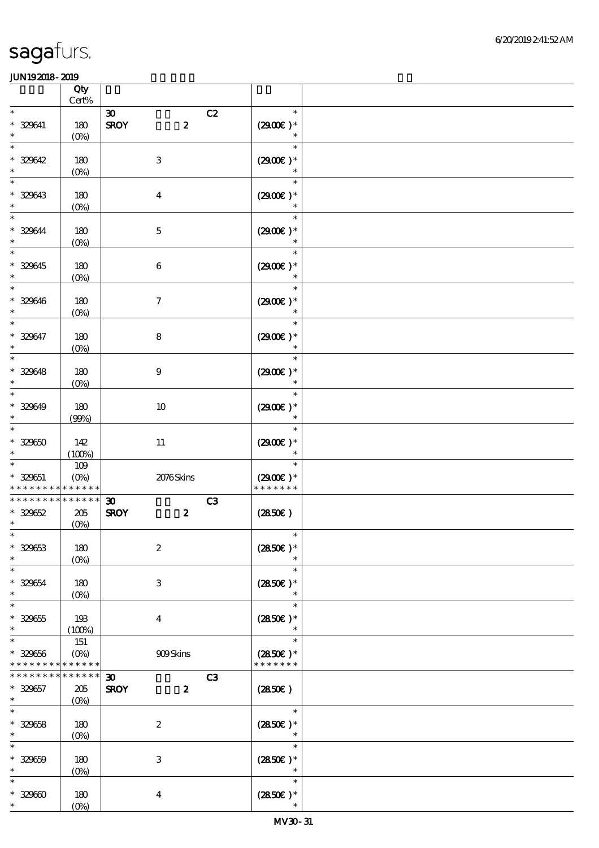|                                           | Qty<br>Cert%                      |                                                                      |                                       |  |
|-------------------------------------------|-----------------------------------|----------------------------------------------------------------------|---------------------------------------|--|
| $\ast$                                    |                                   | C2                                                                   | $\ast$                                |  |
| $* 329641$<br>$\ast$                      | 180<br>$(0\%)$                    | $\boldsymbol{\infty}$<br><b>SROY</b><br>$\boldsymbol{z}$             | $(2900)$ *<br>$\ast$                  |  |
| $\ast$<br>* 329642<br>$\ast$              | 180<br>$(0\%)$                    | $\,3$                                                                | $\ast$<br>$(2900)$ *<br>$\ast$        |  |
| $\ast$<br>* 329643<br>$\ast$              | 180<br>$(0\%)$                    | $\boldsymbol{4}$                                                     | $\ast$<br>$(2900)$ *<br>$\ast$        |  |
| $\ast$<br>* 329644<br>$\ast$              | 180<br>$(0\%)$                    | $\mathbf 5$                                                          | $\ast$<br>$(2900)$ *<br>$\ast$        |  |
| $\overline{\ast}$<br>$* 329645$<br>$\ast$ | 180<br>$(0\%)$                    | $\,6$                                                                | $\ast$<br>$(2900)$ *<br>$\ast$        |  |
| $\ast$<br>$* 329646$<br>$\ast$            | 180<br>$(0\%)$                    | $\boldsymbol{\tau}$                                                  | $\ast$<br>$(2900)$ *<br>$\ast$        |  |
| $\ast$<br>* 329647<br>$\ast$              | 180<br>$(0\%)$                    | $\bf 8$                                                              | $\ast$<br>$(2900)$ *<br>$\ast$        |  |
| $\overline{\ast}$<br>$* 329648$<br>$\ast$ | 180<br>$(0\%)$                    | $\boldsymbol{9}$                                                     | $\ast$<br>$(2900)$ *<br>$\ast$        |  |
| $\ast$<br>* 329649<br>$\ast$              | 180<br>(90%)                      | $10\,$                                                               | $\ast$<br>$(2900)$ *<br>$\ast$        |  |
| $\ast$<br>$* 32960$<br>$\ast$             | 142<br>(100%)                     | $11\,$                                                               | $\ast$<br>$(2900)$ *<br>$\ast$        |  |
| $\ast$<br>$* 329651$<br>* * * * *         | $109$<br>$(O\%)$<br>* * * * * *   | 2076Skins                                                            | $\ast$<br>$(2900)$ *<br>* * * * * * * |  |
| * * * * * * * *<br>$* 329652$<br>$\ast$   | * * * * * *<br>$205\,$<br>$(0\%)$ | $\boldsymbol{\mathfrak{D}}$<br>C3<br>$\boldsymbol{z}$<br><b>SROY</b> | (2850)                                |  |
| $\ast$<br>$* 329653$<br>$\ast$            | 180<br>(O <sub>0</sub> )          | $\boldsymbol{2}$                                                     | $\ast$<br>$(2850)$ *                  |  |
| $\ast$<br>$* 329654$<br>$\ast$            | 180<br>$(O\%)$                    | $\ensuremath{\mathbf{3}}$                                            | $\ast$<br>$(2850)$ *<br>$\ast$        |  |
| $\ast$<br>$* 329655$<br>$\ast$            | 193<br>(100%)                     | $\overline{\mathbf{4}}$                                              | $\ast$<br>$(2850)$ *<br>$\ast$        |  |
| $\ast$<br>$* 329656$<br>* * * * * * * *   | 151<br>$(O\%)$<br>* * * * * *     | 909Skins                                                             | $\ast$<br>$(2850)$ *<br>* * * * * * * |  |
| * * * * * * *<br>$* 329657$<br>$\ast$     | * * * * * *<br>205<br>$(O\%)$     | C3<br>$\boldsymbol{\mathfrak{D}}$<br><b>SROY</b><br>$\boldsymbol{z}$ | (2850)                                |  |
| $\ast$<br>$* 329658$<br>$\ast$            | 180<br>$(O\!/\!o)$                | $\boldsymbol{2}$                                                     | $\ast$<br>$(2850)$ *<br>$\ast$        |  |
| $\ast$<br>$* 32969$<br>$\ast$             | 180<br>$(0\%)$                    | $\,3$                                                                | $\ast$<br>$(2850)$ *<br>$\ast$        |  |
| $\ast$<br>$* 32960$<br>$\ast$             | 180<br>$(O\%)$                    | $\boldsymbol{4}$                                                     | $\ast$<br>$(2850\epsilon)*$<br>$\ast$ |  |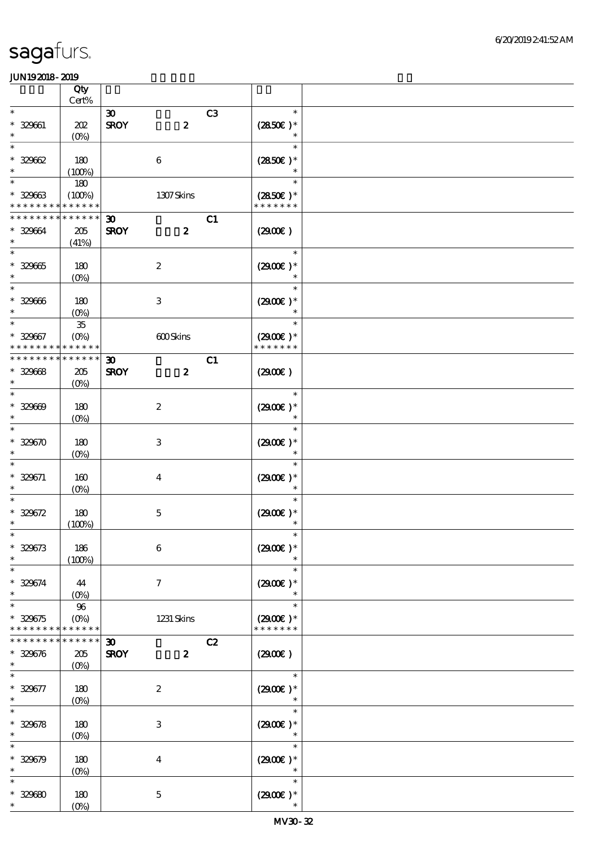|                                         | Qty<br>Cert%                         |                                            |                  |                |                                       |  |
|-----------------------------------------|--------------------------------------|--------------------------------------------|------------------|----------------|---------------------------------------|--|
| $\ast$                                  |                                      | $\boldsymbol{\mathfrak{D}}$                |                  | C <sub>3</sub> | $\ast$                                |  |
| $* 329661$<br>$\ast$                    | 202<br>$(O\%)$                       | <b>SROY</b>                                | $\boldsymbol{z}$ |                | $(2850)$ *<br>$\ast$                  |  |
| $\ast$<br>$* 32962$                     | 180                                  | $\,6\,$                                    |                  |                | $\ast$<br>$(2850)$ *                  |  |
| $\ast$<br>$\ast$<br>$* 32963$           | (100%)<br>180<br>(100%)              |                                            | 1307Skins        |                | $\ast$<br>$(2850)$ *                  |  |
| * * * * * * * *<br>* * * * * * * *      | * * * * * *<br>* * * * * *           | $\boldsymbol{\mathfrak{D}}$                |                  | C1             | * * * * * * *                         |  |
| $* 329664$<br>$\ast$<br>$\ast$          | $205\,$<br>(41%)                     | <b>SROY</b>                                | $\boldsymbol{z}$ |                | (2900)<br>$\ast$                      |  |
| $* 329665$<br>$\ast$                    | 180<br>$(O\%)$                       | $\boldsymbol{2}$                           |                  |                | $(2900)$ *                            |  |
| $\ast$<br>$* 329666$<br>$\ast$          | 180<br>$(O\%)$                       | $\,3$                                      |                  |                | $(2900)$ *<br>$\ast$                  |  |
| $\ast$<br>$* 329667$<br>* * * * * * * * | $35\,$<br>$(O\%)$<br>* * * * * *     |                                            | 600Skins         |                | $\ast$<br>$(2900)$ *<br>* * * * * * * |  |
| * * * * * * * *                         | * * * * * *                          | $\boldsymbol{\mathfrak{D}}$                |                  | C1             |                                       |  |
| $* 32968$<br>$\ast$<br>$\ast$           | $205\,$<br>$(O\%)$                   | <b>SROY</b>                                | $\boldsymbol{z}$ |                | (2900)<br>$\ast$                      |  |
| $* 329609$<br>$\ast$                    | 180<br>$(O\!/\!o)$                   | $\boldsymbol{2}$                           |                  |                | $(2900)$ *<br>$\ast$                  |  |
| $\ast$<br>$* 329670$<br>$\ast$          | 180<br>$(0\%)$                       | $\,3$                                      |                  |                | $\ast$<br>$(2900)$ *                  |  |
| $\ast$<br>$* 329671$<br>$\ast$          | 160<br>$(O\%)$                       | $\boldsymbol{4}$                           |                  |                | $\ast$<br>$(2900)$ *                  |  |
| $\ast$<br>$* 329672$<br>$\ast$          | 180<br>(100%)                        | $\mathbf 5$                                |                  |                | $(2900)$ *<br>$\ast$                  |  |
| $*$<br>$* 329673$<br>$\ast$             | 186<br>(100%)                        | $\,6\,$                                    |                  |                | $\ast$<br>$(2900)$ *                  |  |
| $\ast$<br>$* 329674$<br>$\ast$          | 44<br>$(0\%)$                        | $\boldsymbol{7}$                           |                  |                | $\ast$<br>$(2900)$ *<br>$\ast$        |  |
| $\ast$<br>$* 329675$<br>* * * * * * * * | $96\,$<br>$(O\!/\!o)$<br>* * * * * * |                                            | 1231 Skins       |                | $\ast$<br>$(2900)$ *<br>* * * * * * * |  |
| * * * * * * *<br>$* 329676$<br>$\ast$   | * * * * * *<br>205<br>$(0\%)$        | $\boldsymbol{\mathfrak{D}}$<br><b>SROY</b> | $\boldsymbol{z}$ | C2             | (2900)                                |  |
| $\ast$<br>* 329677<br>$\ast$            | 180<br>$(O\!/\!o)$                   | $\boldsymbol{2}$                           |                  |                | $\ast$<br>$(2900)$ *                  |  |
| $\ast$<br>$* 329678$<br>$\ast$          | 180<br>$(0\%)$                       | $\,3$                                      |                  |                | $\ast$<br>$(2900)$ *<br>$\ast$        |  |
| $\ast$<br>$* 329679$<br>$\ast$          | 180<br>$(0\%)$                       | $\boldsymbol{4}$                           |                  |                | $\ast$<br>$(2900)$ *<br>$\ast$        |  |
| $\ast$<br>$* 32960$<br>$\ast$           | 180<br>$(0\%)$                       | $\mathbf 5$                                |                  |                | $\ast$<br>$(2900)$ *<br>$\ast$        |  |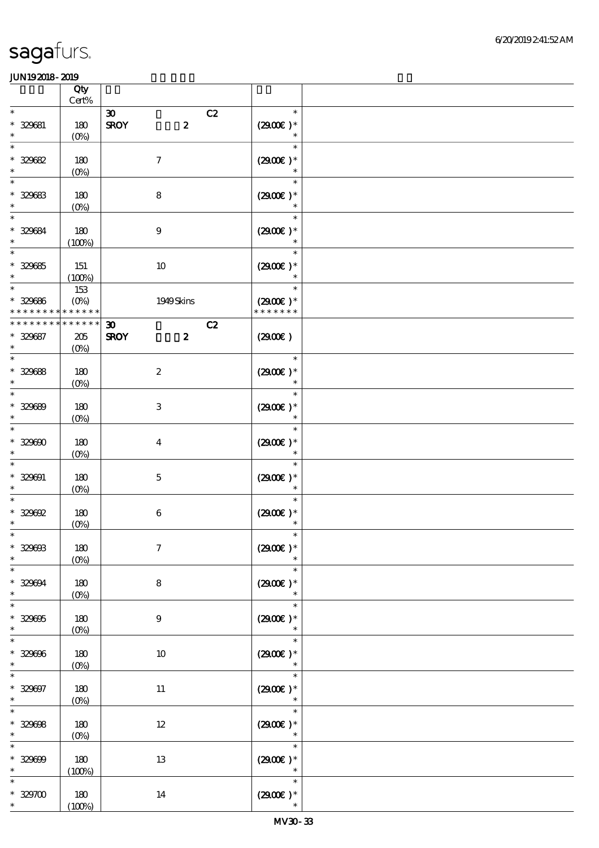|                             |                             | Qty<br>Cert%                            |                                                                |                  |                  |  |
|-----------------------------|-----------------------------|-----------------------------------------|----------------------------------------------------------------|------------------|------------------|--|
| $\ast$                      |                             |                                         |                                                                |                  | $\ast$           |  |
| $\ast$                      | $* 329681$                  | 180<br>$(0\%)$                          | $\boldsymbol{\infty}$<br><b>SROY</b><br>$\boldsymbol{z}$       | C2<br>$(2900)$ * | $\ast$           |  |
| $\ast$<br>$\ast$            | $* 329682$                  | 180<br>$(0\%)$                          | $\boldsymbol{7}$                                               | $(2900)$ *       | $\ast$<br>$\ast$ |  |
| $\ast$<br>$\ast$            | $* 329683$                  | 180                                     | $\bf 8$                                                        | $(2900)$ *       | $\ast$<br>$\ast$ |  |
| $\ast$<br>$\ast$            | * 329684                    | $(0\%)$<br>180                          | $\boldsymbol{9}$                                               | $(2900)$ *       | $\ast$           |  |
| $\overline{\ast}$           | $* 329685$                  | (100%)<br>151                           | $10\,$                                                         | $(2900)$ *       | $\ast$           |  |
| $\ast$<br>$\ast$            | $* 329686$                  | (100%)<br>153<br>$(O\%)$                | 1949Skins                                                      | $(2900)$ *       | $\ast$<br>$\ast$ |  |
|                             | * * * * * * *               | * * * * * *                             |                                                                | * * * * * * *    |                  |  |
| $\ast$                      | * * * * * * *<br>$* 329687$ | * * * * * *<br>205<br>(O <sub>0</sub> ) | $\boldsymbol{\mathfrak{D}}$<br><b>SROY</b><br>$\boldsymbol{z}$ | C2<br>(290E)     |                  |  |
| $\overline{\ast}$<br>$\ast$ | $* 329688$                  | 180<br>$(0\%)$                          | $\boldsymbol{2}$                                               | $(2900)$ *       | $\ast$<br>$\ast$ |  |
| $\ast$<br>$\ast$            | $* 329689$                  | 180<br>$(0\%)$                          | $\,3$                                                          | $(2900)$ *       | $\ast$<br>$\ast$ |  |
| $\ast$<br>$\ast$            | $* 329600$                  | 180<br>$(0\%)$                          | $\boldsymbol{4}$                                               | $(2900)$ *       | $\ast$<br>$\ast$ |  |
| $\ast$<br>$\ast$            | $* 329091$                  | 180<br>$(O\%)$                          | $\mathbf 5$                                                    | $(2900)$ *       | $\ast$<br>$\ast$ |  |
| $\ast$<br>$\ast$            | $*329692$                   | 180<br>$(0\%)$                          | $\,6\,$                                                        | $(2900)$ *       | $\ast$<br>$\ast$ |  |
| $\ast$<br>$\ast$            | $* 329003$                  | 180<br>$(0\%)$                          | $\boldsymbol{\tau}$                                            | $(2900)$ *       | $\ast$<br>$\ast$ |  |
| $\ast$<br>$\ast$            | $* 329094$                  | 180<br>$(0\%)$                          | 8                                                              | $(2900)$ *       | $\ast$<br>$\ast$ |  |
| $\ast$<br>$\ast$            | $* 329005$                  | 180<br>$(0\%)$                          | $\boldsymbol{9}$                                               | $(2900)$ *       | $\ast$<br>$\ast$ |  |
| $\ast$<br>$\ast$            | $* 329006$                  | 180<br>$(0\%)$                          | 10                                                             | $(2900)$ *       | $\ast$<br>$\ast$ |  |
| $\ast$<br>$\ast$            | $* 329097$                  | 180<br>$(0\%)$                          | 11                                                             | $(2900)$ *       | $\ast$<br>$\ast$ |  |
| $\ast$<br>$\ast$            | $* 329008$                  | 180<br>(0%)                             | $12\,$                                                         | $(2900)$ *       | $\ast$<br>$\ast$ |  |
| $\ast$<br>$\ast$            | $* 329009$                  | 180<br>(100%)                           | $13\,$                                                         | $(2900)$ *       | $\ast$<br>$\ast$ |  |
| $\ast$<br>$*$               | $* 329700$                  | 180<br>(100%)                           | 14                                                             | $(2900)$ *       | $\ast$<br>$\ast$ |  |
|                             |                             |                                         |                                                                |                  |                  |  |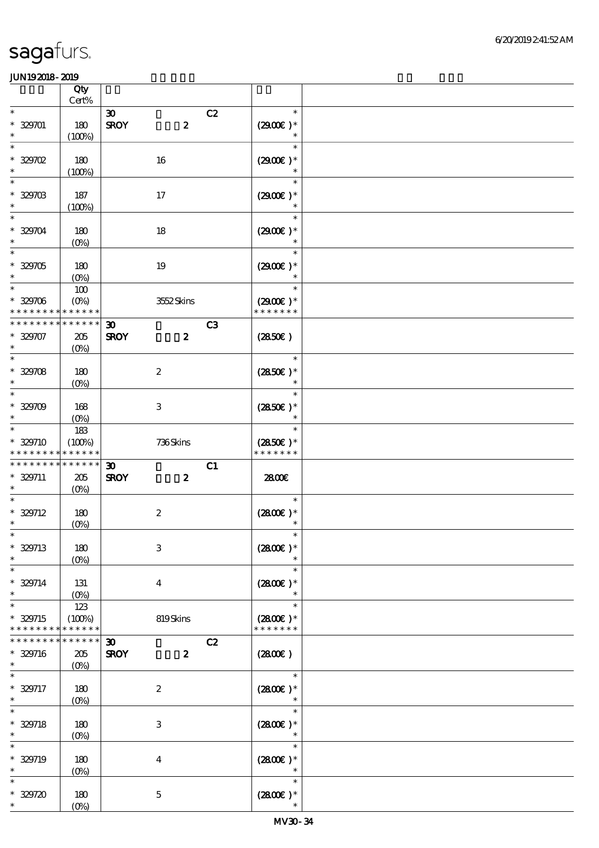|                          |                               | Qty                                                          |                                            |                                    |                                       |  |
|--------------------------|-------------------------------|--------------------------------------------------------------|--------------------------------------------|------------------------------------|---------------------------------------|--|
|                          |                               | $\mbox{Cert}\%$                                              |                                            |                                    |                                       |  |
| $\ast$<br>$\ast$         | $* 329701$                    | 180<br>(100%)                                                | $\boldsymbol{\mathfrak{D}}$<br><b>SROY</b> | C2<br>$\boldsymbol{z}$             | $\ast$<br>$(2900)$ *<br>$\ast$        |  |
| $\ast$<br>$\ast$         | $*$ 329702                    | 180<br>(100%)                                                | $16\,$                                     |                                    | $\ast$<br>$(2900)$ *<br>$\ast$        |  |
| $\ast$<br>$\ast$         | $* 329703$                    | 187<br>(100%)                                                | 17                                         |                                    | $\ast$<br>$(2900)$ *<br>$\ast$        |  |
| $\ast$<br>$\ast$         | * 329704                      | 180<br>$(O\%)$                                               | $18\,$                                     |                                    | $\ast$<br>$(2900)$ *                  |  |
| $\ast$<br>$\ast$         | $* 329705$                    | 180<br>$(0\%)$                                               | 19                                         |                                    | $\ast$<br>$(2900)$ *                  |  |
| $\overline{\phantom{0}}$ | $* 329706$                    | 100<br>$(O\%)$<br>* * * * * * * * <mark>* * * * * * *</mark> | 3552Skins                                  |                                    | $(2900)$ *<br>* * * * * * *           |  |
| $\ast$                   | $* 329707$                    | * * * * * * * * * * * * * *<br>205                           | $\boldsymbol{\mathfrak{D}}$<br><b>SROY</b> | C <sub>3</sub><br>$\boldsymbol{z}$ | (2850)                                |  |
| $\ast$                   | $* 329708$                    | $(O\%)$<br>180                                               | $\boldsymbol{2}$                           |                                    | $\ast$<br>$(2850)$ *                  |  |
| $\ast$<br>$\ast$         | $* 329709$                    | (O <sub>0</sub> )<br>168                                     | $\,3\,$                                    |                                    | $\ast$<br>$\ast$<br>$(2850\epsilon)*$ |  |
| $\ast$<br>$\ast$         | * 329710                      | $(O_0)$<br>183<br>(100%)                                     | 736Skins                                   |                                    | $\ast$<br>$\ast$<br>$(2850)$ *        |  |
|                          | * * * * * * * *               | * * * * * *                                                  |                                            |                                    | * * * * * * *                         |  |
| $\ast$                   | * * * * * * * *<br>$* 329711$ | * * * * * *<br>205<br>$(O\%)$                                | $\boldsymbol{\mathfrak{D}}$<br><b>SROY</b> | C1<br>$\boldsymbol{z}$             | 2800€                                 |  |
| $\ast$                   | $* 329712$                    | 180<br>(0%)                                                  | $\boldsymbol{2}$                           |                                    | $\ast$<br>$(2800)$ *<br>$\ast$        |  |
| $* 329713$               |                               |                                                              |                                            |                                    |                                       |  |
| $\ast$                   |                               | 180                                                          | $\,3$                                      |                                    | $(2800)$ *                            |  |
| $\ast$<br>$\ast$         | $* 329714$                    | $(0\%)$<br>131                                               | $\bf{4}$                                   |                                    | $\ast$<br>$(2800)$ *<br>$\ast$        |  |
| $\ast$                   | $* 329715$<br>* * * * * * * * | $(O\%)$<br>123<br>(100%)<br>* * * * * *                      | 819Skins                                   |                                    | $\ast$<br>$(2800)$ *<br>* * * * * * * |  |
| $\ast$                   | * * * * * * *<br>$* 329716$   | * * * * * *<br>205                                           | $\boldsymbol{\mathfrak{D}}$<br><b>SROY</b> | C2<br>$\boldsymbol{z}$             | (2800)                                |  |
| $\ast$<br>$\ast$         | $* 329717$                    | $(0\%)$<br>180                                               | $\boldsymbol{2}$                           |                                    | $\ast$<br>$(2800)$ *                  |  |
| $\ast$                   | $* 329718$                    | $(O\!/\!o)$<br>180                                           | $\,3\,$                                    |                                    | $(2800)$ *<br>$\ast$                  |  |
| $\ast$                   | $* 329719$                    | $(O\!/\!o)$<br>180                                           | $\boldsymbol{4}$                           |                                    | $\ast$<br>$(2800)$ *                  |  |
| $\ast$<br>$\ast$         | $* 329720$                    | $(0\%)$<br>180<br>$(0\%)$                                    | $\mathbf 5$                                |                                    | $\ast$<br>$(2800)$ *<br>$\ast$        |  |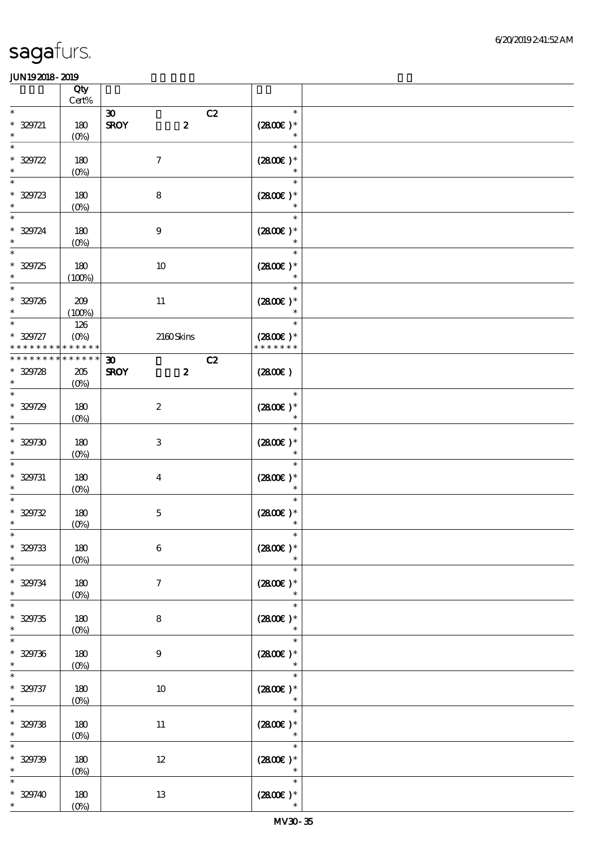|                                         | Qty<br>Cert%                  |                                 |    |                                       |  |
|-----------------------------------------|-------------------------------|---------------------------------|----|---------------------------------------|--|
| $\ast$                                  |                               | $\boldsymbol{\mathfrak{D}}$     | C2 | $\ast$                                |  |
| $* 329721$<br>$\ast$                    | 180<br>$(O\%)$                | <b>SROY</b><br>$\boldsymbol{z}$ |    | $(2800)$ *<br>$\ast$                  |  |
| $\ast$<br>$* 329722$<br>$\ast$          | 180<br>$(0\%)$                | $\boldsymbol{7}$                |    | $\ast$<br>$(2800)$ *<br>$\ast$        |  |
| $\ast$<br>$* 329723$<br>$\ast$          | 180<br>(0%)                   | $\bf 8$                         |    | $\ast$<br>$(2800)$ *                  |  |
| $\ast$<br>$* 329724$<br>$\ast$          | 180<br>(0%)                   | $\boldsymbol{9}$                |    | $\ast$<br>$(2800)$ *                  |  |
| $\ast$<br>$* 329725$<br>$\ast$          | 180<br>(100%)                 | $10\,$                          |    | $\ast$<br>$(2800)$ *<br>$\ast$        |  |
| $\ast$<br>$* 329726$<br>$\ast$          | 209<br>(100%)                 | $11\,$                          |    | $\ast$<br>$(2800)$ *<br>$\ast$        |  |
| $\ast$<br>$* 329727$<br>* * * * * * * * | 126<br>$(O\%)$<br>* * * * * * | 2160Skins                       |    | $\ast$<br>$(2800)$ *<br>* * * * * * * |  |
| * * * * * * *                           | * * * * * *                   | $\boldsymbol{\mathfrak{D}}$     | C2 |                                       |  |
| $* 329728$<br>$\ast$                    | 205<br>(O <sub>0</sub> )      | <b>SROY</b><br>$\boldsymbol{z}$ |    | (2800)                                |  |
| $\ast$<br>$* 329729$<br>$\ast$          | 180<br>$(0\%)$                | $\boldsymbol{2}$                |    | $\ast$<br>$(2800)$ *<br>$\ast$        |  |
| $\ast$<br>$* 329730$<br>$\ast$          | 180<br>$(0\%)$                | $\,3\,$                         |    | $\ast$<br>$(2800)$ *<br>$\ast$        |  |
| $\ast$<br>$* 329731$<br>$\ast$          | 180<br>$(0\%)$                | $\boldsymbol{4}$                |    | $\ast$<br>$(2800)$ *<br>$\ast$        |  |
| $\ast$<br>$* 329732$<br>$\ast$          | 180<br>$(0\%)$                | $\mathbf 5$                     |    | $\ast$<br>$(2800)$ *<br>$\ast$        |  |
| $\ast$<br>$* 329733$<br>$\ast$          | 180<br>$(0\%)$                | $\,6\,$                         |    | $\ast$<br>$(2800)$ *<br>$\ast$        |  |
| $\ast$<br>$* 329734$<br>$\ast$          | 180<br>$(0\%)$                | $\tau$                          |    | $\ast$<br>$(2800)$ *<br>$\ast$        |  |
| $\ast$<br>$* 329735$<br>$\ast$          | 180<br>$(0\%)$                | 8                               |    | $\ast$<br>$(2800)$ *<br>$\ast$        |  |
| $\ast$<br>$* 329736$<br>$\ast$          | 180<br>$(0\%)$                | $\boldsymbol{9}$                |    | $\ast$<br>$(2800)$ *<br>$\ast$        |  |
| $* 329737$<br>$\ast$                    | 180<br>$(0\%)$                | 10                              |    | $\ast$<br>$(2800)$ *<br>$\ast$        |  |
| $\ast$<br>$* 329738$<br>$\ast$          | 180<br>(0%)                   | $11\,$                          |    | $\ast$<br>$(2800)$ *<br>$\ast$        |  |
| $\ast$<br>$* 329739$<br>$\ast$          | 180<br>$(0\%)$                | $12\,$                          |    | $\ast$<br>$(2800)$ *<br>$\ast$        |  |
| $\ast$<br>$* 329740$<br>$\ast$          | 180<br>$(O\!/\!o)$            | 13                              |    | $\ast$<br>$(2800\epsilon)*$<br>$\ast$ |  |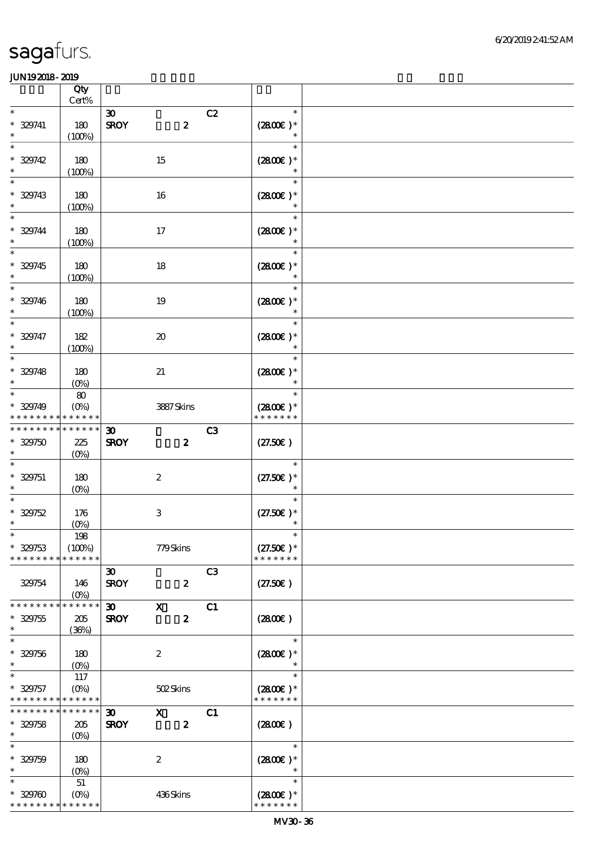|                                                     | Qty<br>$Cert\%$                     |                                                            |                  |                |                                       |  |
|-----------------------------------------------------|-------------------------------------|------------------------------------------------------------|------------------|----------------|---------------------------------------|--|
| $\ast$                                              |                                     | $\boldsymbol{\mathfrak{D}}$                                |                  | C2             | $\ast$                                |  |
| $* 329741$<br>$\ast$                                | 180<br>(100%)                       | <b>SROY</b>                                                | $\pmb{2}$        |                | $(2800)$ *<br>$\ast$                  |  |
| $\ast$<br>$* 329742$<br>$\ast$                      | 180<br>(100%)                       | 15                                                         |                  |                | $\ast$<br>$(2800)$ *<br>$\ast$        |  |
| $\ast$<br>$* 329743$<br>$\ast$                      | 180<br>(100%)                       | 16                                                         |                  |                | $\ast$<br>$(2800)$ *                  |  |
| $\ast$<br>$* 329744$<br>$\ast$                      | 180<br>(100%)                       | 17                                                         |                  |                | $\ast$<br>$(2800)$ *                  |  |
| $\ast$<br>$* 329745$<br>$\ast$                      | 180<br>(100%)                       | $18\,$                                                     |                  |                | $\ast$<br>$(2800)$ *                  |  |
| $* 329746$<br>$\ast$                                | 180<br>(100%)                       | $19\,$                                                     |                  |                | $(2800)$ *<br>$\ast$                  |  |
| $\ast$<br>$* 329747$<br>$\ast$                      | 182<br>(100%)                       | $\boldsymbol{\boldsymbol{\lambda}}$                        |                  |                | $\ast$<br>$(2800)$ *<br>$\ast$        |  |
| $\ast$<br>$* 329748$<br>$\ast$                      | 180<br>$(O\%)$                      | $2\!1$                                                     |                  |                | $\ast$<br>$(2800)$ *                  |  |
| $\ast$<br>$* 329749$<br>* * * * * * * *             | $\pmb{8}$<br>$(O\%)$<br>* * * * * * |                                                            | 3887Skins        |                | $\ast$<br>$(2800)$ *<br>* * * * * * * |  |
| * * * * * * * *<br>$* 329750$<br>$\ast$             | $******$<br>225<br>$(0\%)$          | $\boldsymbol{\mathfrak{D}}$<br><b>SROY</b>                 | $\boldsymbol{z}$ | C <sub>3</sub> | (27.50)                               |  |
| $\ast$<br>$* 329751$<br>$\ast$                      | 180<br>$(O\%)$                      | $\boldsymbol{2}$                                           |                  |                | $\ast$<br>$(27.50)$ *                 |  |
| $* 329752$<br>$\ast$                                | 176<br>$(0\%)$                      | $\,3$                                                      |                  |                | $(27.50)$ *<br>$\ast$                 |  |
| $* 329753$<br>* * * * * * * *                       | 198<br>(100%)<br>* * * * * *        |                                                            | 779Skins         |                | $(27.50)$ *<br>* * * * * * *          |  |
| 329754                                              | 146<br>$(O\%)$                      | $\boldsymbol{\mathfrak{D}}$<br><b>SROY</b>                 | $\boldsymbol{z}$ | C <sub>3</sub> | (27.50)                               |  |
| * * * * * * * *<br>$* 329755$<br>$\ast$             | * * * * * *<br>205<br>(36%)         | $\boldsymbol{\mathfrak{D}}$<br>$\mathbf x$<br><b>SROY</b>  | $\boldsymbol{z}$ | C1             | (2800)                                |  |
| $\ast$<br>$* 329756$<br>$\ast$                      | 180<br>$(O\%)$                      | $\boldsymbol{2}$                                           |                  |                | $\ast$<br>$(2800)$ *                  |  |
| $\ast$<br>$* 329757$<br>* * * * * * * * * * * * * * | 117<br>$(O\%)$                      |                                                            | 502Skins         |                | $\ast$<br>$(2800)$ *<br>* * * * * * * |  |
| * * * * * * *<br>$* 329758$<br>$\ast$               | ******<br>205<br>$(O\%)$            | $\boldsymbol{\mathfrak{D}}$<br>$\mathbf{x}$<br><b>SROY</b> | $\boldsymbol{z}$ | C1             | (280)                                 |  |
| $\ast$<br>$* 329759$<br>$\ast$                      | 180<br>$(O\%)$                      | $\boldsymbol{2}$                                           |                  |                | $\ast$<br>$(2800)$ *<br>$\ast$        |  |
| $\ast$<br>$* 329760$<br>* * * * * * * * * * * * * * | $5\!1$<br>$(O\%)$                   |                                                            | 436Skins         |                | $\ast$<br>$(2800)$ *<br>* * * * * * * |  |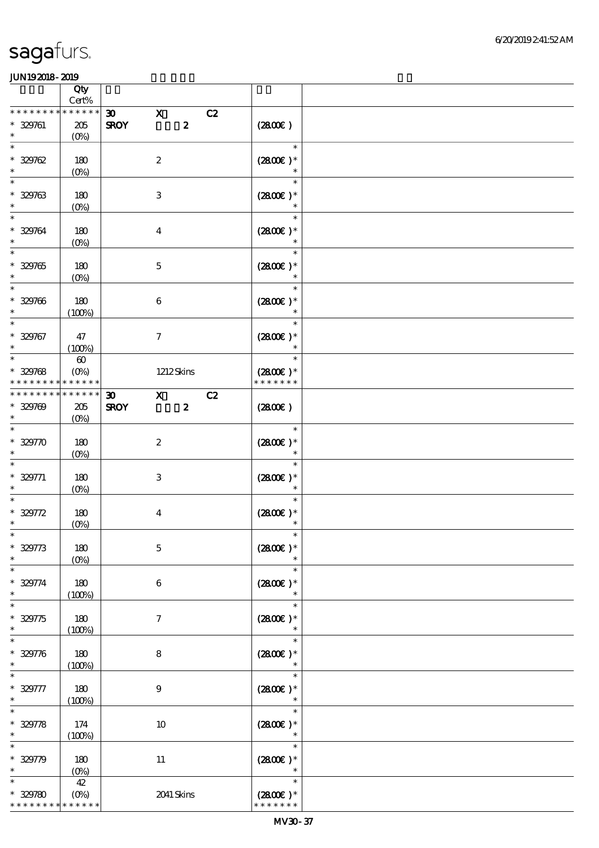|                                                     | Qty<br>Cert%                                    |                                                                                |                                       |  |
|-----------------------------------------------------|-------------------------------------------------|--------------------------------------------------------------------------------|---------------------------------------|--|
| * * * * * * * *                                     | * * * * * *                                     |                                                                                |                                       |  |
| $* 329761$<br>$\ast$                                | 205<br>$(0\%)$                                  | $\mathbf x$<br>$\boldsymbol{\mathfrak{D}}$<br>$\boldsymbol{2}$<br><b>SROY</b>  | C2<br>(280)                           |  |
| $\ast$<br>$* 329762$<br>$\ast$                      | 180<br>$(0\%)$                                  | $\boldsymbol{2}$                                                               | $\ast$<br>$(2800)$ *<br>$\ast$        |  |
| $\ast$<br>$* 329763$<br>$\ast$                      | 180<br>$(0\%)$                                  | $\,3$                                                                          | $\ast$<br>$(2800)$ *<br>$\ast$        |  |
| $\ast$<br>* 329764<br>$\ast$                        | 180<br>$(0\%)$                                  | $\boldsymbol{4}$                                                               | $\ast$<br>$(2800)$ *                  |  |
| $* 329765$                                          | 180<br>$(0\%)$                                  | $\mathbf 5$                                                                    | $\ast$<br>$(2800)$ *                  |  |
| $\ast$<br>$* 329766$<br>$\ast$                      | 180<br>(100%)                                   | $\,6\,$                                                                        | $\ast$<br>$(2800)$ *<br>$\ast$        |  |
| $\ast$<br>$* 329767$<br>$\ast$                      | 47<br>(100%)                                    | $\boldsymbol{\tau}$                                                            | $\ast$<br>$(2800)$ *<br>$\ast$        |  |
| $\ast$<br>$* 329768$<br>* * * * * * * *             | $\boldsymbol{\omega}$<br>$(O\%)$<br>* * * * * * | 1212Skins                                                                      | $\ast$<br>$(2800)$ *<br>* * * * * * * |  |
| * * * * * * * * * * * * * *<br>$* 329709$<br>$\ast$ | 205<br>$(O\%)$                                  | $\boldsymbol{\mathfrak{D}}$<br>$\mathbf{x}$<br><b>SROY</b><br>$\boldsymbol{z}$ | C2<br>(2800)                          |  |
| $\ast$<br>$* 32970$<br>$\ast$                       | 180<br>$(0\%)$                                  | $\boldsymbol{2}$                                                               | $\ast$<br>$(2800)$ *<br>$\ast$        |  |
| $\ast$<br>$* 329771$                                | 180<br>$(0\%)$                                  | $\ensuremath{\mathbf{3}}$                                                      | $\ast$<br>$(2800)$ *                  |  |
| $* 329772$<br>$\ast$                                | 180<br>$(0\%)$                                  | $\boldsymbol{4}$                                                               | $\ast$<br>$(2800)$ *                  |  |
| $\ast$<br>$* 329773$<br>$\ast$                      | 180<br>$(0\%)$                                  | $\mathbf 5$                                                                    | $\ast$<br>$(2800)$ *<br>$\ast$        |  |
| $\ast$<br>$* 329774$<br>$\ast$                      | 180<br>(100%)                                   | $\boldsymbol{6}$                                                               | $\ast$<br>$(2800)$ *<br>$\ast$        |  |
| $\ast$<br>$* 329775$<br>$\ast$                      | 180<br>(100%)                                   | $\boldsymbol{\tau}$                                                            | $\ast$<br>$(2800)$ *<br>$\ast$        |  |
| $\ast$<br>$* 329776$<br>$\ast$                      | 180<br>(100%)                                   | $\bf 8$                                                                        | $\ast$<br>$(2800)$ *<br>$\ast$        |  |
| $\ast$<br>$* 329777$<br>$\ast$                      | 180<br>(100%)                                   | $9$                                                                            | $\ast$<br>$(2800)$ *                  |  |
| $\ast$<br>$* 329778$<br>$\ast$                      | 174<br>(100%)                                   | $10\,$                                                                         | $\ast$<br>$(2800)$ *<br>$\ast$        |  |
| $\ast$<br>$* 329779$<br>$\ast$                      | 180<br>$(0\%)$                                  | $11\,$                                                                         | $\ast$<br>$(2800)$ *<br>$\ast$        |  |
| $\ast$<br>$* 329780$<br>* * * * * * * *             | $4\!$<br>$(0\%)$<br>* * * * * *                 | 2041 Skins                                                                     | $\ast$<br>$(2800)$ *<br>* * * * * * * |  |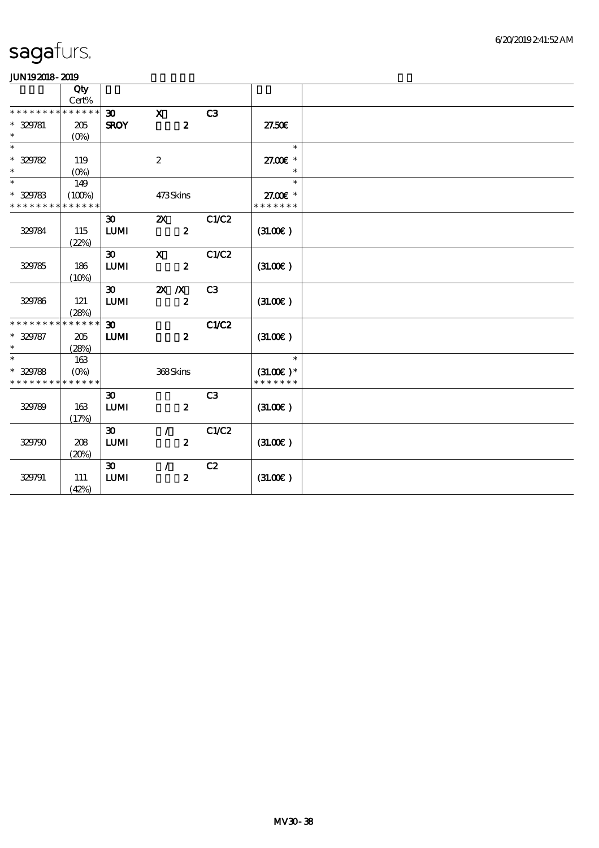|                   | Qty<br>Cert%         |                             |                           |                |               |  |
|-------------------|----------------------|-----------------------------|---------------------------|----------------|---------------|--|
| * * * * * * * *   | * * * * * *          | 30 <sub>o</sub>             | $\mathbf{x}$              | C <sub>3</sub> |               |  |
| * 329781          | 205                  | <b>SROY</b>                 | $\boldsymbol{z}$          |                | 27.50E        |  |
| $\ast$            | $(O\%)$              |                             |                           |                |               |  |
| $\overline{\ast}$ |                      |                             |                           |                | $\ast$        |  |
| $* 329782$        | 119                  |                             | $\boldsymbol{2}$          |                | 27.00€ *      |  |
| $\ast$            | $(O\%)$              |                             |                           |                | $\ast$        |  |
| $\overline{\ast}$ | 149                  |                             |                           |                | $\ast$        |  |
| $* 329783$        | (100%)               |                             | 473Skins                  |                | 27.00 £*      |  |
| * * * * * * * *   | * * * * * *          |                             |                           |                | * * * * * * * |  |
|                   |                      | $\boldsymbol{\mathfrak{D}}$ | $\boldsymbol{\mathsf{Z}}$ | C1/C2          |               |  |
| 329784            | 115                  | <b>LUMI</b>                 | $\boldsymbol{z}$          |                | (31.00)       |  |
|                   | (22%)                |                             |                           |                |               |  |
|                   |                      | $\boldsymbol{\mathfrak{D}}$ | $\mathbf x$               | C1/C2          |               |  |
| 329785            | 186                  | LUM                         | $\boldsymbol{2}$          |                | (3L0E)        |  |
|                   | (10%)                |                             |                           |                |               |  |
|                   |                      | $\infty$                    | $X$ $X$                   | C <sub>3</sub> |               |  |
| 329786            | 121                  | $LUM$                       | $\boldsymbol{2}$          |                | (3L00)        |  |
| * * * * * * * *   | (28%)<br>* * * * * * | $\boldsymbol{\mathfrak{D}}$ |                           | C1/C2          |               |  |
| $* 329787$        | 205                  | <b>LUMI</b>                 | $\boldsymbol{z}$          |                | (3L0E)        |  |
| $\ast$            | (28%)                |                             |                           |                |               |  |
| $\ast$            | 163                  |                             |                           |                | $\ast$        |  |
| $* 329788$        | $(O\%)$              |                             | 368Skins                  |                | $(31.00)$ *   |  |
| * * * * * * * *   | * * * * * *          |                             |                           |                | * * * * * * * |  |
|                   |                      | $\boldsymbol{\mathfrak{D}}$ |                           | C <sub>3</sub> |               |  |
| 329789            | 163                  | ${\bf LUM}$                 | $\boldsymbol{z}$          |                | (31.00)       |  |
|                   | (17%)                |                             |                           |                |               |  |
|                   |                      | $\boldsymbol{\mathfrak{D}}$ | $\mathcal{L}$             | C1/C2          |               |  |
| 329790            | 208                  | <b>LUMI</b>                 | $\boldsymbol{z}$          |                | (3L0E)        |  |
|                   | (20%)                |                             |                           |                |               |  |
|                   |                      | $\boldsymbol{\mathfrak{D}}$ | $\mathcal{L}$             | C2             |               |  |
| 329791            | 111                  | <b>LUMI</b>                 | $\pmb{2}$                 |                | (3L0E)        |  |
|                   | (42%)                |                             |                           |                |               |  |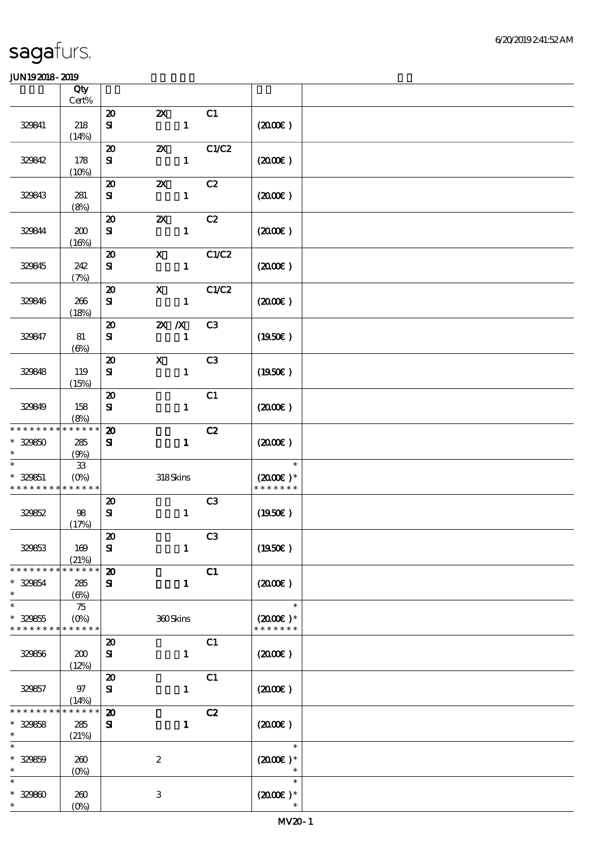|                                                                  | Qty<br>Cert%                     |                                           |                                           |                |                                                 |  |
|------------------------------------------------------------------|----------------------------------|-------------------------------------------|-------------------------------------------|----------------|-------------------------------------------------|--|
|                                                                  |                                  | $\boldsymbol{\mathfrak{D}}$               | $\boldsymbol{\mathsf{z}}$                 | C1             |                                                 |  |
| 329841                                                           | 218<br>(14%)                     | ${\bf s}$                                 | $\mathbf{1}$                              |                | (200E)                                          |  |
| 329842                                                           | 178                              | $\boldsymbol{\mathfrak{D}}$<br>${\bf s}$  | $\boldsymbol{\mathsf{Z}}$<br>$\mathbf{1}$ | C1/C2          | (200E)                                          |  |
|                                                                  | (10%)                            |                                           |                                           |                |                                                 |  |
| 329843                                                           | 281<br>(8%)                      | $\boldsymbol{\mathbf{z}}$<br>${\bf s}$    | $\boldsymbol{\mathsf{X}}$<br>$\mathbf{1}$ | C2             | (200E)                                          |  |
| 329844                                                           | 200<br>(16%)                     | $\boldsymbol{\mathsf{20}}$<br>${\bf s}$   | $\boldsymbol{\mathsf{Z}}$<br>$\mathbf{1}$ | C2             | (200E)                                          |  |
| 329845                                                           | 242<br>(7%)                      | $\boldsymbol{\mathfrak{D}}$<br>${\bf s}$  | $\mathbf{x}$<br>$\mathbf{1}$              | C1/C2          | (200)                                           |  |
| 329846                                                           | 266<br>(18%)                     | $\boldsymbol{\mathbf{z}}$<br>${\bf s}$    | $\boldsymbol{\mathrm{X}}$<br>$\mathbf{1}$ | C1/C2          | (200E)                                          |  |
| 329847                                                           | 81<br>$(\Theta)$                 | $\boldsymbol{\mathsf{20}}$<br>${\bf s}$   | $X$ $N$<br>$\mathbf{1}$                   | C3             | (1950)                                          |  |
| 329848                                                           | 119<br>(15%)                     | $\boldsymbol{\mathfrak{D}}$<br>${\bf S}$  | $\boldsymbol{\mathsf{X}}$<br>$\mathbf{1}$ | C <sub>3</sub> | (1950)                                          |  |
| 329849                                                           | 158<br>(8%)                      | $\boldsymbol{\mathbf{z}}$<br>${\bf s}$    | $\mathbf{1}$                              | C1             | $(2000\varepsilon)$                             |  |
| * * * * * * * * * * * * * *<br>$* 329850$<br>$\ast$              | 285                              | $\boldsymbol{\mathfrak{D}}$<br>${\bf s}$  | $\mathbf{1}$                              | C2             | $(2000\varepsilon)$                             |  |
| $\ast$<br>$* 329851$<br>* * * * * * * * <mark>* * * * * *</mark> | (9%)<br>${\bf 33}$<br>$(O\%)$    |                                           | 318Skins                                  |                | $\ast$<br>$(2000\varepsilon)*$<br>* * * * * * * |  |
| 329852                                                           | 98<br>(17%)                      | $\boldsymbol{\mathbf{z}}$<br>$\mathbf{S}$ | $\mathbf{1}$                              | C3             | (1950)                                          |  |
| 329853                                                           | 169<br>(21%)                     | $\pmb{\mathcal{Z}}$<br>${\bf s}$          | $\mathbf{1}$                              | C3             | (1950E)                                         |  |
| * * * * * * * *<br>* 329854<br>$\ast$                            | * * * * * *<br>285<br>$(\Theta)$ | $\boldsymbol{\mathsf{20}}$<br>${\bf s}$   | $\mathbf{1}$                              | C1             | (200E)                                          |  |
| $\ast$<br>$* 329855$<br>* * * * * * * * * * * * * *              | 75<br>$(O\%)$                    |                                           | 360Skins                                  |                | $\ast$<br>$(2000\varepsilon)*$<br>* * * * * * * |  |
| 329856                                                           | 200<br>(12%)                     | $\boldsymbol{\mathfrak{D}}$<br>${\bf s}$  | $\mathbf{1}$                              | C1             | (200)                                           |  |
| 329857                                                           | 97<br>(14%)                      | $\boldsymbol{\mathbf{z}}$<br>${\bf s}$    | $\mathbf{1}$                              | C1             | $(2000\varepsilon)$                             |  |
| * * * * * *<br>$* 329858$<br>$\ast$                              | * * * * * *<br>285<br>(21%)      | $\boldsymbol{\mathfrak{D}}$<br>${\bf S}$  | $\mathbf{1}$                              | C2             | $(2000\varepsilon)$                             |  |
| $\ast$<br>$* 329859$<br>$\ast$                                   | 260<br>$(0\%)$                   |                                           | $\boldsymbol{2}$                          |                | $\ast$<br>$(2000\varepsilon)*$<br>$\ast$        |  |
| $\ast$<br>$* 32980$<br>$\ast$                                    | 260<br>(0%)                      |                                           | $\,3$                                     |                | $\ast$<br>$(200E)*$<br>$\ast$                   |  |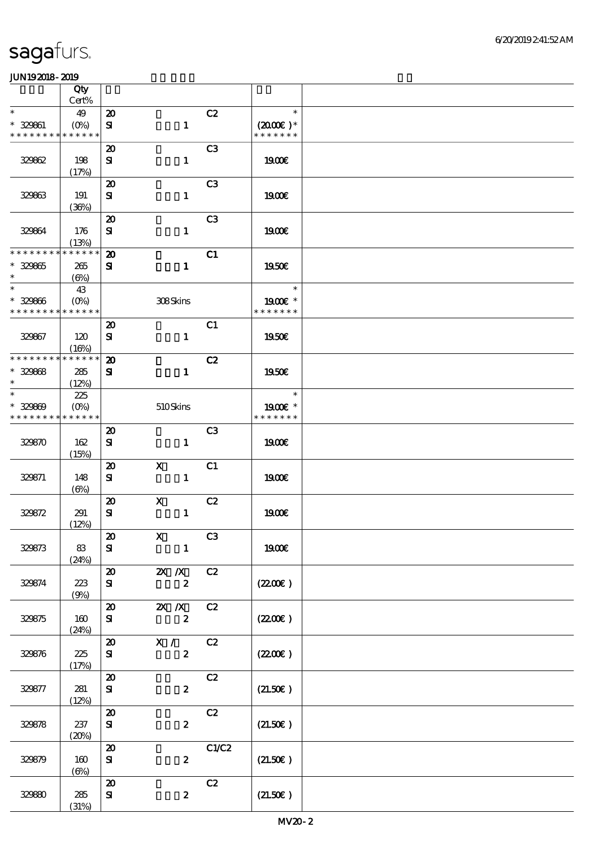|                                                        | Qty          |                                  |                              |                |                                       |  |
|--------------------------------------------------------|--------------|----------------------------------|------------------------------|----------------|---------------------------------------|--|
|                                                        | Cert%        |                                  |                              |                |                                       |  |
| $\ast$                                                 | 49           | $\boldsymbol{\mathbf{z}}$        |                              | C2             | $\ast$                                |  |
| $* 329861$<br>* * * * * * * * <mark>* * * * * *</mark> | $(0\%)$      | ${\bf s}$                        | $\mathbf{1}$                 |                | $(2000\varepsilon)*$<br>* * * * * * * |  |
|                                                        |              | $\boldsymbol{\mathfrak{D}}$      |                              | C3             |                                       |  |
| 32962                                                  | 198          | ${\bf s}$                        | $\mathbf{1}$                 |                | 1900E                                 |  |
|                                                        | (17%)        |                                  |                              |                |                                       |  |
|                                                        |              | $\boldsymbol{\mathbf{z}}$        |                              | C <sub>3</sub> |                                       |  |
| 32963                                                  | 191<br>(36%) | ${\bf s}$                        | $\mathbf{1}$                 |                | 1900E                                 |  |
|                                                        |              | $\boldsymbol{\mathbf{z}}$        |                              | C <sub>3</sub> |                                       |  |
| 329864                                                 | 176<br>(13%) | ${\bf s}$                        | $\mathbf{1}$                 |                | 1900E                                 |  |
| * * * * * * * *                                        | * * * * * *  | $\boldsymbol{\mathfrak{D}}$      |                              | C1             |                                       |  |
| $* 329865$                                             | 265          | ${\bf s}$                        | $\mathbf{1}$                 |                | 1950€                                 |  |
| $\ast$                                                 | $(\Theta)$   |                                  |                              |                |                                       |  |
| $\overline{\phantom{0}}$                               | 43           |                                  |                              |                | $\ast$                                |  |
| $* 329866$                                             | $(0\%)$      |                                  | 308Skins                     |                | 1900E *                               |  |
| * * * * * * * * * * * * * *                            |              |                                  |                              |                | * * * * * * *                         |  |
|                                                        |              | $\boldsymbol{\mathsf{20}}$       |                              | C1             |                                       |  |
| 329867                                                 | 120<br>(16%) | ${\bf s}$                        | $\mathbf{1}$                 |                | <b>1950€</b>                          |  |
| * * * * * * * *                                        | * * * * * *  | $\boldsymbol{\mathbf{z}}$        |                              | C2             |                                       |  |
| $* 32968$                                              | 285          | ${\bf s}$                        | $\mathbf{1}$                 |                | 1950€                                 |  |
| $\ast$                                                 | (12%)        |                                  |                              |                |                                       |  |
| $\ast$                                                 | 225          |                                  |                              |                | $\ast$                                |  |
| $* 329809$                                             | $(O\!/\!o)$  |                                  | 510Skins                     |                | 1900E *                               |  |
| * * * * * * * *                                        | * * * * * *  |                                  |                              |                | * * * * * * *                         |  |
|                                                        |              | $\boldsymbol{\mathfrak{D}}$      |                              | C <sub>3</sub> |                                       |  |
| 329870                                                 | 162<br>(15%) | ${\bf s}$                        | $\mathbf{1}$                 |                | <b>1900€</b>                          |  |
|                                                        |              | $\boldsymbol{\mathfrak{D}}$      | $\mathbf{X}$                 | C1             |                                       |  |
| 329871                                                 | 148          | ${\bf s}$                        | $\mathbf{1}$                 |                | 1900E                                 |  |
|                                                        | (6%)         |                                  |                              |                |                                       |  |
|                                                        |              | $\boldsymbol{\mathbf{z}}$        | $\mathbf x$                  | C2             |                                       |  |
| 329872                                                 | 291          | ${\bf s}$                        | $\mathbf{1}$                 |                | <b>1900€</b>                          |  |
|                                                        | (12%)        |                                  |                              |                |                                       |  |
| 329873                                                 | 83           | $\pmb{\mathcal{Z}}$<br>${\bf s}$ | $\mathbf{X}$<br>$\mathbf{1}$ | C3             | 1900E                                 |  |
|                                                        | (24%)        |                                  |                              |                |                                       |  |
|                                                        |              | $\boldsymbol{\mathfrak{D}}$      | $X$ $X$                      | C2             |                                       |  |
| 329874                                                 | 223          | ${\bf s}$                        | $\boldsymbol{z}$             |                | (220E)                                |  |
|                                                        | (9%)         |                                  |                              |                |                                       |  |
|                                                        |              | $\boldsymbol{\mathfrak{D}}$      | $2X$ /X                      | C2             |                                       |  |
| 329875                                                 | 160          | ${\bf s}$                        | $\boldsymbol{z}$             |                | (220E)                                |  |
|                                                        | (24%)        | $\boldsymbol{\mathfrak{D}}$      | $\mathbf{X}$ /               | C2             |                                       |  |
| 329876                                                 | 225          | ${\bf s}$                        | $\mathbf{2}$                 |                | $(2200\varepsilon)$                   |  |
|                                                        | (17%)        |                                  |                              |                |                                       |  |
|                                                        |              | $\boldsymbol{\mathfrak{D}}$      |                              | C2             |                                       |  |
| 329877                                                 | 281          | ${\bf s}$                        | $\boldsymbol{z}$             |                | (21.50)                               |  |
|                                                        | (12%)        |                                  |                              |                |                                       |  |
|                                                        |              | $\boldsymbol{\mathsf{20}}$       |                              | C2             |                                       |  |
| 329878                                                 | 237          | ${\bf s}$                        | $\boldsymbol{z}$             |                | (21.50)                               |  |
|                                                        | (20%)        | $\boldsymbol{\mathfrak{D}}$      |                              | CLC2           |                                       |  |
| 329879                                                 | 160          | ${\bf s}$                        | $\boldsymbol{z}$             |                | (21.50)                               |  |
|                                                        | $(\Theta)$   |                                  |                              |                |                                       |  |
|                                                        |              | $\boldsymbol{\mathbf{z}}$        |                              | C2             |                                       |  |
| 329890                                                 | 285          | ${\bf S\hspace{-.07cm}I}$        | $\boldsymbol{z}$             |                | (21.50)                               |  |
|                                                        | (31%)        |                                  |                              |                |                                       |  |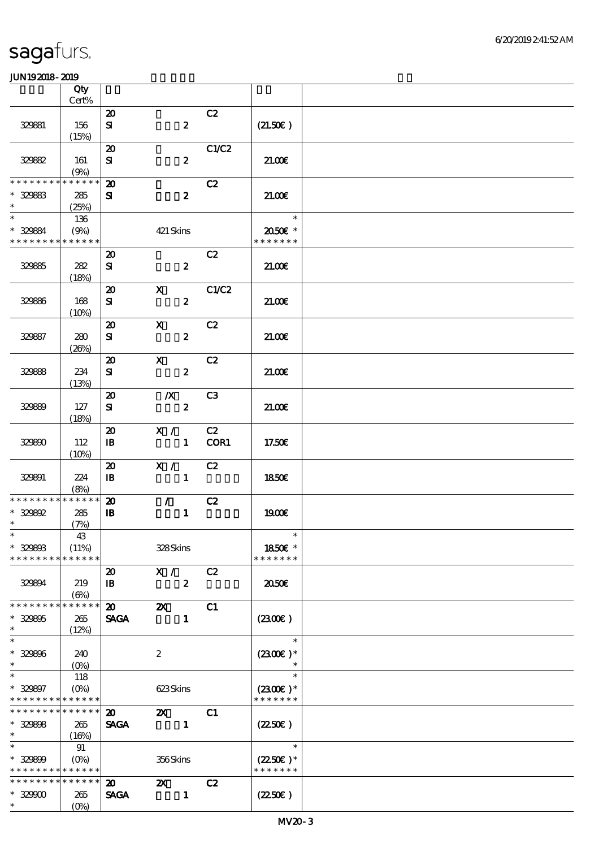|                                            | Qty<br>Cert%         |                             |                           |                  |        |                                    |  |
|--------------------------------------------|----------------------|-----------------------------|---------------------------|------------------|--------|------------------------------------|--|
|                                            |                      | $\boldsymbol{\mathbf{z}}$   |                           |                  | C2     |                                    |  |
| 329881                                     | 156<br>(15%)         | ${\bf s}$                   |                           | $\boldsymbol{z}$ |        | (21.50)                            |  |
|                                            |                      | $\boldsymbol{\mathfrak{D}}$ |                           |                  | C1/C2  |                                    |  |
| 32982                                      | 161<br>(9%)          | ${\bf s}$                   |                           | $\boldsymbol{z}$ |        | 21.00E                             |  |
| * * * * * * * *                            | * * * * * *          | $\boldsymbol{\mathbf{z}}$   |                           |                  | C2     |                                    |  |
| $* 329883$<br>$\ast$                       | 285<br>(25%)         | ${\bf s}$                   |                           | $\boldsymbol{z}$ |        | 21.00                              |  |
| $\ast$                                     | 136                  |                             |                           |                  |        | $\ast$                             |  |
| * 329884<br>* * * * * * * * * * * * * *    | (9%)                 |                             | 421 Skins                 |                  |        | 2050E *<br>* * * * * * *           |  |
|                                            |                      | $\boldsymbol{\mathfrak{D}}$ |                           |                  | C2     |                                    |  |
| 32985                                      | 282<br>(18%)         | ${\bf s}$                   |                           | $\boldsymbol{z}$ |        | 21.00E                             |  |
|                                            |                      | $\boldsymbol{\mathfrak{D}}$ | $\mathbf{X}$              |                  | C1/C2  |                                    |  |
| 329886                                     | 168<br>(10%)         | ${\bf s}$                   |                           | $\boldsymbol{z}$ |        | 21.006                             |  |
|                                            |                      | $\boldsymbol{\mathbf{z}}$   | $\mathbf X$               |                  | C2     |                                    |  |
| 329887                                     | 280<br>(20%)         | ${\bf s}$                   |                           | $\boldsymbol{z}$ |        | 21.00                              |  |
|                                            |                      | $\boldsymbol{\mathfrak{D}}$ | $\mathbf{X}$              |                  | C2     |                                    |  |
| 329888                                     | 234<br>(13%)         | ${\bf s}$                   |                           | $\boldsymbol{2}$ |        | 21.006                             |  |
|                                            |                      | $\boldsymbol{\mathfrak{D}}$ | $\mathbb{X}$              |                  | C3     |                                    |  |
| 329899                                     | 127                  | ${\bf s}$                   |                           | $\boldsymbol{z}$ |        | 21.00                              |  |
|                                            | (18%)                |                             |                           |                  |        |                                    |  |
|                                            |                      | $\boldsymbol{\mathsf{20}}$  | X / C2                    |                  |        |                                    |  |
| 329800                                     | 112<br>(10%)         | $\mathbf{B}$                |                           |                  | 1 COR1 | 17.50€                             |  |
|                                            |                      | $\boldsymbol{\mathfrak{D}}$ | X / C2                    |                  |        |                                    |  |
| 329891                                     | 224<br>(8%)          | $\mathbf{B}$                |                           | $\mathbf{1}$     |        | 1850E                              |  |
| * * * * * * * *                            | * * * * * *          | $\boldsymbol{\mathfrak{D}}$ | $\mathcal{L}$             |                  | C2     |                                    |  |
| $* 329892$                                 | 285                  | $\mathbf{B}$                |                           | $\mathbf{1}$     |        | 1900E                              |  |
| $\ast$                                     | (7%)                 |                             |                           |                  |        |                                    |  |
| $\ast$                                     | 43                   |                             |                           |                  |        | $\ast$                             |  |
| $* 329808$<br>* * * * * * * *              | (11%)<br>* * * * * * |                             | 328Skins                  |                  |        | 1850€ *<br>* * * * * * *           |  |
|                                            |                      | $\boldsymbol{\mathfrak{D}}$ | X / C2                    |                  |        |                                    |  |
| 329894                                     | 219<br>$(\Theta)$    | $\mathbf{B}$                |                           | $\boldsymbol{2}$ |        | 2050E                              |  |
| * * * * * * * *                            | * * * * * *          | $\boldsymbol{\mathfrak{D}}$ | $\boldsymbol{\mathsf{z}}$ |                  | C1     |                                    |  |
| $* 329805$                                 | 265                  | <b>SAGA</b>                 |                           | $\mathbf{I}$     |        | (2300)                             |  |
| $\ast$                                     | (12%)                |                             |                           |                  |        |                                    |  |
| $\ast$                                     |                      |                             |                           |                  |        | $\ast$                             |  |
| $* 329806$<br>$\ast$                       | 240                  |                             | $\boldsymbol{2}$          |                  |        | $(2300E)*$                         |  |
| $\ast$                                     | $(O\%)$<br>118       |                             |                           |                  |        | $\ast$                             |  |
| $* 329897$                                 | $(O\%)$              |                             | 623Skins                  |                  |        | $(2300)$ *                         |  |
| * * * * * * * * * * * * * *                |                      |                             |                           |                  |        | * * * * * * *                      |  |
| * * * * * * * *                            | * * * * * *          | $\boldsymbol{\mathfrak{D}}$ | $\mathbf{z}$              |                  | C1     |                                    |  |
| $* 329808$                                 | 265                  | <b>SAGA</b>                 | $\blacksquare$            |                  |        | $(2250\varepsilon)$                |  |
| $\ast$                                     | (16%)                |                             |                           |                  |        |                                    |  |
| $\ast$                                     | 91                   |                             |                           |                  |        | $\ast$                             |  |
| $* 329809$<br>* * * * * * * * * * * * * *  | $(O\%)$              |                             | 356Skins                  |                  |        | $(2250\epsilon)*$<br>* * * * * * * |  |
| * * * * * * * * <mark>* * * * * * *</mark> |                      | 20                          | $\mathbf{X}$              |                  | C2     |                                    |  |
| $*32900$                                   | 265                  | <b>SAGA</b>                 |                           | $\mathbf{1}$     |        | $(2250\varepsilon)$                |  |
| $*$ $*$                                    | $(O\%)$              |                             |                           |                  |        |                                    |  |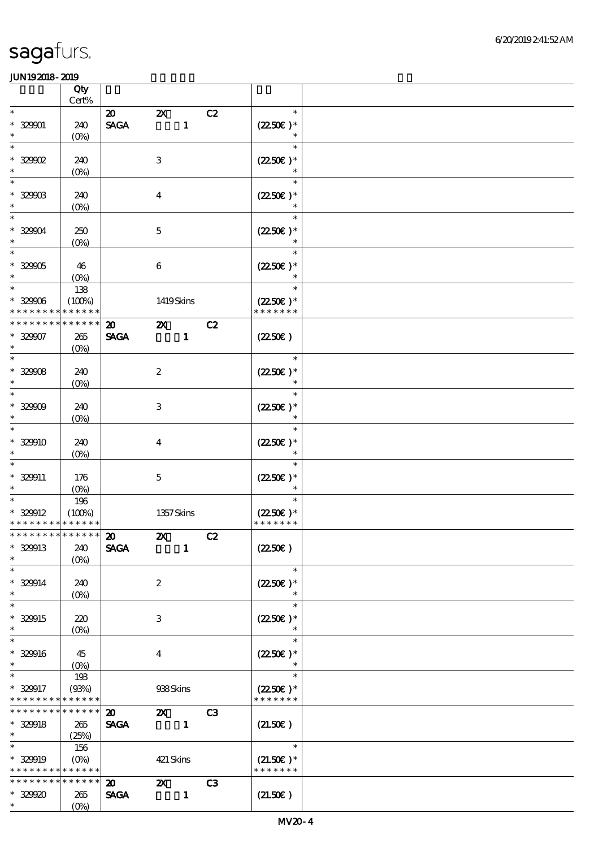|                             |                                         | Qty<br>Cert%                            |                                            |                                |              |    |                                              |  |
|-----------------------------|-----------------------------------------|-----------------------------------------|--------------------------------------------|--------------------------------|--------------|----|----------------------------------------------|--|
|                             |                                         |                                         |                                            |                                |              |    | $\ast$                                       |  |
| $\ast$<br>$\ast$            | $* 32901$                               | 240<br>$(O\!/\!\!\delta)$               | $\boldsymbol{\mathfrak{D}}$<br><b>SAGA</b> | $\boldsymbol{\mathsf{z}}$      | $\mathbf{1}$ | C2 | $(2250)$ *<br>$\ast$                         |  |
| $\ast$<br>$\ast$            | $*32902$                                | 240<br>$(0\%)$                          |                                            | $\,3$                          |              |    | $\ast$<br>$(2250\epsilon)^*$<br>$\ast$       |  |
| $\ast$<br>$\ast$            | $* 329003$                              | 240                                     |                                            | $\overline{4}$                 |              |    | $\ast$<br>$(2250\varepsilon)*$               |  |
| $\ast$<br>$\ast$            | $* 32904$                               | $(0\%)$<br>250                          |                                            | $\mathbf 5$                    |              |    | $\ast$<br>$(2250)$ *                         |  |
| $\overline{\phantom{1}}$    | $* 32905$                               | $(O\!/\!o)$<br>46                       |                                            | $\boldsymbol{6}$               |              |    | $\ast$<br>$(2250)$ *                         |  |
| $\ast$<br>$\ast$            | $* 329006$                              | $(O\%)$<br>138<br>(100%)                |                                            | 1419Skins                      |              |    | $\ast$<br>$\ast$<br>$(2250\varepsilon)*$     |  |
|                             | * * * * * * * *                         | * * * * * *                             |                                            |                                |              |    | * * * * * * *                                |  |
| $\ast$                      | * * * * * * *<br>$* 32907$              | * * * * * *<br>265<br>(O <sub>0</sub> ) | $\boldsymbol{\mathfrak{D}}$<br><b>SAGA</b> | $\boldsymbol{\mathsf{Z}}$      | $\mathbf{1}$ | C2 | (2250)                                       |  |
| $\overline{\ast}$<br>$\ast$ | $* 32908$                               | 240<br>$(0\%)$                          |                                            | $\boldsymbol{2}$               |              |    | $\ast$<br>$(2250)$ *<br>$\ast$               |  |
| $\ast$<br>$\ast$            | $* 32909$                               | 240<br>$(O\%)$                          |                                            | $\,3$                          |              |    | $\ast$<br>$(2250\varepsilon)*$<br>$\ast$     |  |
| $\ast$<br>$\ast$            | $* 329910$                              | 240<br>$(O\%)$                          |                                            | $\boldsymbol{4}$               |              |    | $\ast$<br>$(2250)$ *                         |  |
| $\ast$<br>$\ast$            | * 329911                                | 176<br>$(O\%)$                          |                                            | $\mathbf 5$                    |              |    | $\ast$<br>$(2250\varepsilon)*$<br>$\ast$     |  |
| $\ast$                      | * 329912<br>* * * * * * * * * * * * * * | 196<br>(100%)                           |                                            | 1357Skins                      |              |    | $\ast$<br>$(2250)$ *<br>* * * * * * *        |  |
| $\ast$                      | * 329913                                | *************** 20<br>240<br>$(O\%)$    | <b>SAGA</b>                                | $\mathbf{Z}$                   | $\mathbf{1}$ | C2 | (2250)                                       |  |
| $\ast$<br>$\ast$            | $* 329914$                              | 240<br>$(O\%)$                          |                                            | $\boldsymbol{2}$               |              |    | $\ast$<br>$(2250\text{E})*$<br>$\ast$        |  |
| $\ast$<br>$\ast$            | * 329915                                | 220<br>$(O\%)$                          |                                            | 3                              |              |    | $\ast$<br>$(2250\varepsilon)^*$<br>$\ast$    |  |
| $\ast$<br>$\ast$            | * 329916                                | 45<br>$(O\!\!\!\!\!\!\backslash\rho)$   |                                            | $\overline{\mathbf{4}}$        |              |    | $\ast$<br>$(2250\varepsilon)*$<br>$\ast$     |  |
| $\ast$                      | * 329917<br>* * * * * * * *             | 193<br>(93%)<br>* * * * * *             |                                            | 938Skins                       |              |    | $\ast$<br>$(2250\text{E})*$<br>* * * * * * * |  |
| $\ast$                      | * * * * * * * *<br>$* 329918$           | * * * * * *<br>265<br>(25%)             | $\boldsymbol{\mathfrak{D}}$<br><b>SAGA</b> | $\mathbf{X}$<br>$\blacksquare$ |              | C3 | (21.50)                                      |  |
| $\ast$                      | $* 329919$<br>* * * * * * * *           | 156<br>$(O\% )$<br>* * * * * *          |                                            | 421 Skins                      |              |    | $\ast$<br>$(21.50)$ *<br>* * * * * * *       |  |
| $\ast$                      | __<br>* * * * * * * *<br>$* 329900$     | * * * * * *<br>265<br>$(O\%)$           | $\boldsymbol{\mathsf{20}}$<br><b>SAGA</b>  | $\mathbf{X}$                   | $\mathbf{1}$ | C3 | (21.50)                                      |  |
|                             |                                         |                                         |                                            |                                |              |    |                                              |  |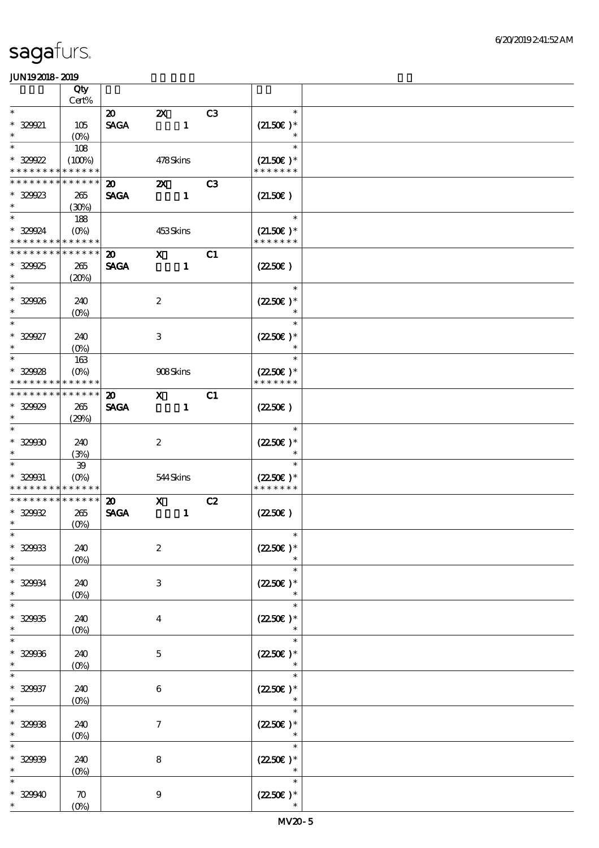|                                | Qty                                                 |                                            |                           |              |                |                                    |  |
|--------------------------------|-----------------------------------------------------|--------------------------------------------|---------------------------|--------------|----------------|------------------------------------|--|
|                                | Cert%                                               |                                            |                           |              |                |                                    |  |
| $\ast$<br>$* 329921$<br>$\ast$ | 105<br>$(O\%)$                                      | $\boldsymbol{\mathfrak{D}}$<br><b>SAGA</b> | $\boldsymbol{\mathsf{Z}}$ | $\mathbf{1}$ | C <sub>3</sub> | $\ast$<br>$(21.50)$ *<br>$\ast$    |  |
| $\ast$                         | 108                                                 |                                            |                           |              |                | $\ast$                             |  |
| $* 329922$<br>* * * * * * * *  | (100%)<br>* * * * * *                               |                                            | 478Skins                  |              |                | $(21.50)$ *<br>* * * * * * *       |  |
| * * * * * * * *                | * * * * * *                                         | $\boldsymbol{\mathfrak{D}}$                | $\boldsymbol{\mathsf{X}}$ |              | C <sub>3</sub> |                                    |  |
| $* 329923$<br>$\ast$           | 265<br>(30%)                                        | <b>SAGA</b>                                |                           | $\mathbf{1}$ |                | (21.50)                            |  |
| $\ast$                         | 188                                                 |                                            |                           |              |                | $\ast$                             |  |
| * 329924                       | $(O\%)$<br>* * * * * * * * <mark>* * * * * *</mark> |                                            | 453Skins                  |              |                | $(21.50)$ *<br>* * * * * * *       |  |
| * * * * * * * *                | * * * * * *                                         | $\boldsymbol{\mathbf{z}}$                  | $\mathbf{x}$              |              | C1             |                                    |  |
| $* 329925$<br>$\ast$           | 265<br>(20%)                                        | <b>SAGA</b>                                |                           | $\mathbf{1}$ |                | $(2250\varepsilon)$                |  |
| $\overline{\ast}$              |                                                     |                                            |                           |              |                | $\ast$                             |  |
| $* 329926$<br>$\ast$           | 240<br>$(0\%)$                                      |                                            | $\boldsymbol{2}$          |              |                | $(2250\varepsilon)*$<br>$\ast$     |  |
| $\overline{\ast}$              |                                                     |                                            |                           |              |                | $\ast$                             |  |
| $* 329927$<br>$\ast$           | 240<br>(O <sub>0</sub> )                            |                                            | $\,3\,$                   |              |                | $(2250)$ *<br>$\ast$               |  |
| $\ast$                         | 163                                                 |                                            |                           |              |                | $\ast$                             |  |
| $* 329928$<br>* * * * * * * *  | $(O\%)$<br>* * * * * *                              |                                            | 908Skins                  |              |                | $(2250\epsilon)*$<br>* * * * * * * |  |
|                                | * * * * * * * * <mark>* * * * * *</mark>            | $\boldsymbol{\mathfrak{D}}$                | $\mathbf{x}$              |              | C1             |                                    |  |
| $* 329929$<br>$\ast$           | 265<br>(29%)                                        | <b>SAGA</b>                                |                           | $\mathbf{1}$ |                | $(2250\varepsilon)$                |  |
| $\ast$                         |                                                     |                                            |                           |              |                | $\ast$                             |  |
| $* 32990$<br>$\ast$            | 240<br>(3%)                                         |                                            | $\boldsymbol{2}$          |              |                | $(2250\epsilon)^*$<br>$\ast$       |  |
| $\ast$                         | ${\bf 39}$                                          |                                            |                           |              |                | $\ast$                             |  |
| * 329931                       | $(O\%)$<br>* * * * * * * * <mark>* * * * * *</mark> |                                            | 544Skins                  |              |                | $(2250\epsilon)*$<br>* * * * * * * |  |
|                                | * * * * * * * * * * * * * *                         | $\boldsymbol{\mathfrak{D}}$                | $\mathbf{X}$              |              | C2             |                                    |  |
| $* 329932$                     | 265                                                 | <b>SAGA</b>                                |                           | $\mathbf{1}$ |                | (225C)                             |  |
| $\ast$                         | $(O\!/\!o)$                                         |                                            |                           |              |                |                                    |  |
| $*$                            |                                                     |                                            |                           |              |                | $\ast$                             |  |
| $* 329033$<br>$\ast$           | 240<br>$(0\%)$                                      |                                            | $\boldsymbol{2}$          |              |                | $(2250)$ *<br>$\ast$               |  |
| $\ast$                         |                                                     |                                            |                           |              |                | $\ast$                             |  |
| * 329034<br>$\ast$             | 240<br>(O <sub>0</sub> )                            |                                            | $\ensuremath{\mathbf{3}}$ |              |                | $(2250\varepsilon)*$<br>$\ast$     |  |
| $\ast$                         |                                                     |                                            |                           |              |                | $\ast$                             |  |
| $* 329035$<br>$\ast$           | 240<br>$(O\!/\!o)$                                  |                                            | $\boldsymbol{4}$          |              |                | $(2250\varepsilon)^*$<br>$\ast$    |  |
| $\ast$                         |                                                     |                                            |                           |              |                | $\ast$                             |  |
| $* 32906$<br>$\ast$            | 240<br>$(0\%)$                                      |                                            | $\mathbf{5}$              |              |                | $(2250\varepsilon)*$               |  |
| $\ast$                         |                                                     |                                            |                           |              |                | $\ast$                             |  |
| * 329937<br>$\ast$             | 240<br>$(O\!/\!o)$                                  |                                            | $\boldsymbol{6}$          |              |                | $(2250)$ *                         |  |
| $\ast$                         |                                                     |                                            |                           |              |                | $\ast$                             |  |
| $* 32903$<br>$\ast$            | 240<br>$(0\%)$                                      |                                            | $\boldsymbol{7}$          |              |                | $(225E)^*$<br>$\ast$               |  |
| $\ast$                         |                                                     |                                            |                           |              |                | $\ast$                             |  |
| $* 32999$<br>$\ast$            | 240<br>$(0\%)$                                      |                                            | 8                         |              |                | $(2250\varepsilon)*$<br>$\ast$     |  |
| $\ast$                         |                                                     |                                            |                           |              |                | $\ast$                             |  |
| $* 32940$<br>$\ast$            | $\boldsymbol{\pi}$<br>(O <sub>0</sub> )             |                                            | $\boldsymbol{9}$          |              |                | $(2250)$ *                         |  |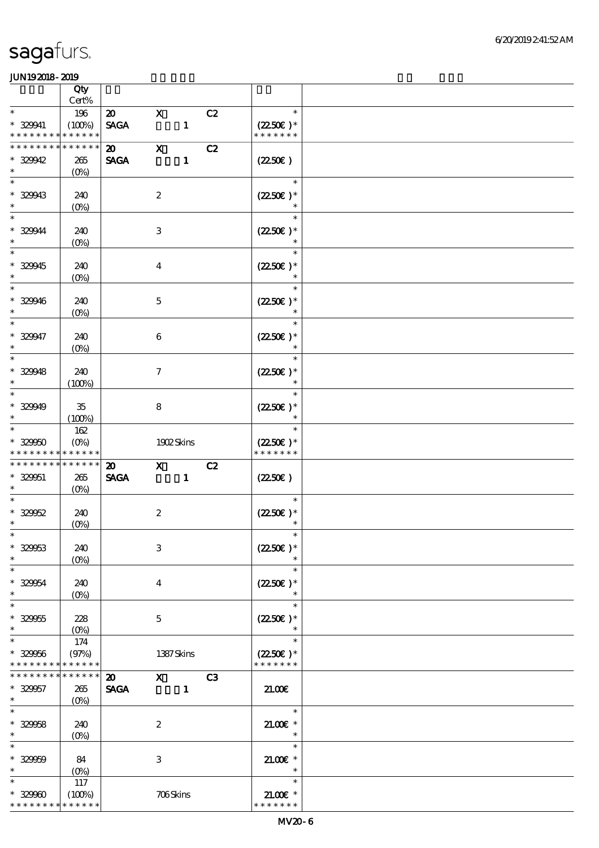|                                                                    | Qty                               |                                            |                     |              |    |                                                  |  |
|--------------------------------------------------------------------|-----------------------------------|--------------------------------------------|---------------------|--------------|----|--------------------------------------------------|--|
| $\ast$                                                             | Cert%<br>196                      | $\boldsymbol{\mathfrak{D}}$                | $\mathbf{x}$        |              | C2 | $\ast$                                           |  |
| $* 329941$<br>* * * * * * * *                                      | (100%)<br>* * * * * *             | <b>SAGA</b>                                |                     | $\mathbf{1}$ |    | $(2250\varepsilon)^*$<br>* * * * * * *           |  |
| * * * * * * * *<br>$* 329942$<br>$\ast$                            | * * * * * *<br>265<br>$(0\%)$     | $\boldsymbol{\mathfrak{D}}$<br><b>SAGA</b> | $\mathbf X$         | $\mathbf{1}$ | C2 | $(2250\varepsilon)$                              |  |
| $\ast$<br>$* 32943$<br>$\ast$                                      | 240<br>$(0\%)$                    |                                            | $\boldsymbol{2}$    |              |    | $\ast$<br>$(2250\epsilon)*$                      |  |
| $\ast$<br>* 329944<br>$\ast$                                       | 240<br>$(O\%)$                    |                                            | $\,3$               |              |    | $\ast$<br>$(2250\varepsilon)^*$                  |  |
| $\ast$<br>$* 329945$<br>$\ast$                                     | 240<br>$(0\%)$                    |                                            | $\boldsymbol{4}$    |              |    | $(2250\varepsilon)*$<br>$\ast$                   |  |
| $\ast$<br>$* 329946$<br>$\ast$                                     | 240<br>$(0\%)$                    |                                            | $\mathbf 5$         |              |    | $\ast$<br>$(2250\varepsilon)*$<br>$\ast$         |  |
| $\ast$<br>$* 329947$<br>$\ast$                                     | 240<br>$(O\!/\!\delta)$           |                                            | $\boldsymbol{6}$    |              |    | $\ast$<br>$(2250\varepsilon)^*$<br>$\ast$        |  |
| $\ast$<br>$* 329948$<br>$\ast$                                     | 240<br>(100%)                     |                                            | $\boldsymbol{\tau}$ |              |    | $\ast$<br>$(2250\varepsilon)*$<br>$\ast$         |  |
| $\ast$<br>$* 329949$<br>$\ast$                                     | $35\,$<br>(100%)                  |                                            | $\bf8$              |              |    | $\ast$<br>$(2250\varepsilon)^*$                  |  |
| $\ast$<br>$* 32900$<br>* * * * * * * * <mark>* * * * * *</mark>    | 162<br>$(O\%)$                    |                                            | 1902Skins           |              |    | $\ast$<br>$(2250\varepsilon)^*$<br>* * * * * * * |  |
| * * * * * * * *                                                    | * * * * * *                       |                                            |                     |              | C2 |                                                  |  |
| $* 329051$<br>$\ast$                                               | 265<br>$(O\!/\!o)$                | $\boldsymbol{\mathsf{20}}$<br><b>SAGA</b>  | $\mathbf{x}$        | $\mathbf{1}$ |    | (2250)                                           |  |
| $\ast$<br>$* 32962$<br>$\ast$                                      | 240<br>(0%)                       |                                            | $\boldsymbol{2}$    |              |    | $\ast$<br>$(2250\varepsilon)^*$                  |  |
| $*$<br>$* 32963$<br>$\ast$                                         | 240<br>$(0\%)$                    |                                            | $\,3$               |              |    | $\ast$<br>$(2250)$ *<br>$\ast$                   |  |
| $\ast$<br>$* 329054$<br>$\ast$                                     | 240<br>$(0\%)$                    |                                            | $\boldsymbol{4}$    |              |    | $\ast$<br>$(2250\varepsilon)*$<br>$\ast$         |  |
| $\ast$<br>$* 329055$<br>$\ast$                                     | 228<br>$(0\%)$                    |                                            | $\mathbf 5$         |              |    | $\ast$<br>$(2250)$ *                             |  |
| $\ast$<br>$* 329056$<br>* * * * * * * * <mark>* * * * * *</mark> * | 174<br>(97%)                      |                                            | 1387Skins           |              |    | $\ast$<br>$(2250\varepsilon)*$<br>* * * * * * *  |  |
| * * * * * * * *<br>$* 329057$<br>$\ast$                            | * * * * * *<br>265<br>$(O\!/\!o)$ | $\boldsymbol{\mathsf{20}}$<br><b>SAGA</b>  | $\mathbf{x}$        | $\mathbf{1}$ | C3 | 21.00                                            |  |
| $\overline{\ast}$<br>$* 32958$<br>$\ast$                           | 240<br>$(O\!/\!\delta)$           |                                            | $\boldsymbol{2}$    |              |    | $\ast$<br>$21.005*$<br>$\ast$                    |  |
| $\ast$<br>$* 32900$<br>$\ast$<br>$\ast$                            | 84<br>$(0\%)$<br>117              |                                            | $\,3$               |              |    | $\ast$<br>$21.00E$ *<br>$\ast$<br>$\ast$         |  |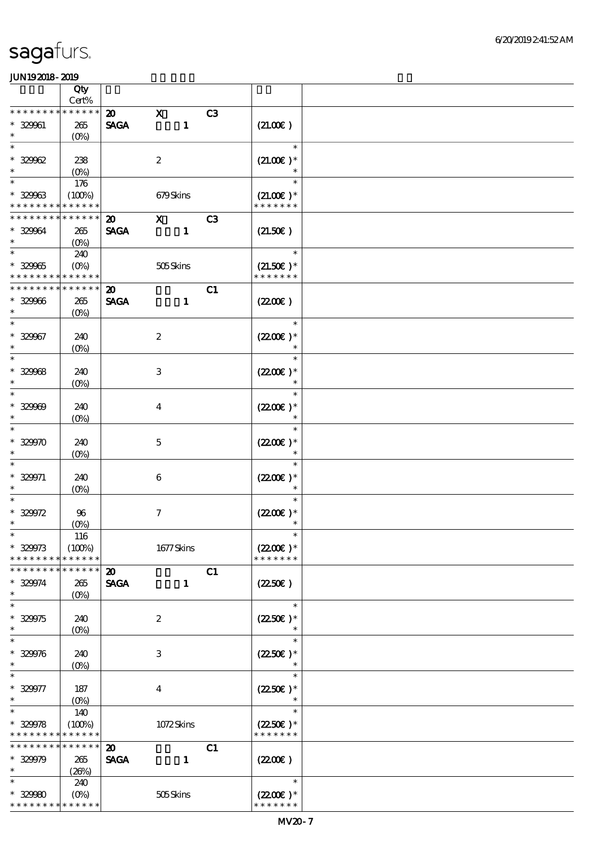|                                                     | Qty                                      |                                            |                  |              |    |                                               |  |
|-----------------------------------------------------|------------------------------------------|--------------------------------------------|------------------|--------------|----|-----------------------------------------------|--|
|                                                     | Cert%                                    |                                            |                  |              |    |                                               |  |
| * * * * * * *<br>$* 329961$<br>$\ast$               | * * * * * *<br>265<br>$(O\!/\!\!\delta)$ | $\boldsymbol{\mathfrak{D}}$<br><b>SAGA</b> | $\mathbf{x}$     | $\mathbf{1}$ | C3 | (21.00)                                       |  |
| $\ast$<br>$* 32962$                                 | 238                                      |                                            | $\boldsymbol{2}$ |              |    | $\ast$<br>$(21.00)$ *                         |  |
| $\ast$                                              | $(0\%)$                                  |                                            |                  |              |    | $\ast$                                        |  |
| $\ast$<br>$* 32963$                                 | 176<br>(100%)                            |                                            | 679Skins         |              |    | $\ast$<br>$(21.00)$ *                         |  |
| * * * * * * * * <mark>* * * * * *</mark> *          |                                          |                                            |                  |              |    | * * * * * * *                                 |  |
| * * * * * * * *<br>* 329064<br>$\ast$               | * * * * * *<br>265<br>(O <sub>0</sub> )  | $\boldsymbol{\mathfrak{D}}$<br><b>SAGA</b> | $\mathbf{x}$     | $\mathbf{1}$ | C3 | (21.50)                                       |  |
| $\ast$<br>$* 32905$<br>* * * * * * * *              | 240<br>$(O\%)$<br>* * * * * *            |                                            | 505Skins         |              |    | $\ast$<br>$(21.50)$ *<br>* * * * * * *        |  |
| * * * * * * * *                                     | * * * * * *                              | $\boldsymbol{\mathfrak{D}}$                |                  |              | C1 |                                               |  |
| $* 329066$<br>$\ast$                                | 265<br>$(O\%)$                           | <b>SAGA</b>                                |                  | $\mathbf{1}$ |    | (220E)                                        |  |
| $\ast$<br>$* 329967$<br>$\ast$                      | 240<br>$(O\!/\!o)$                       |                                            | $\boldsymbol{2}$ |              |    | $\ast$<br>$(2200\varepsilon)*$<br>$\ast$      |  |
| $\ast$<br>$* 32908$<br>$\ast$                       | 240<br>$(0\%)$                           |                                            | 3                |              |    | $\ast$<br>$(2200\varepsilon)*$<br>$\ast$      |  |
| $\ast$<br>$* 32900$<br>$\ast$                       | 240<br>$(O\!/\!o)$                       |                                            | $\overline{4}$   |              |    | $\ast$<br>$(2200\varepsilon)*$<br>$\ast$      |  |
| $\ast$<br>$* 32900$                                 | 240<br>$(O\%)$                           |                                            | $\mathbf{5}$     |              |    | $\ast$<br>$(2200)$ *                          |  |
| $* 329971$<br>$\ast$                                | 240<br>$(O\%)$                           |                                            | $\boldsymbol{6}$ |              |    | $\ast$<br>$(2200\varepsilon)*$<br>$\ast$      |  |
| $\ast$<br>$* 329972$<br>$\ast$                      | 96<br>$(O\!/\!\!\delta)$                 |                                            | $\boldsymbol{7}$ |              |    | $\ast$<br>$(2200\varepsilon)*$<br>$\ast$      |  |
| $\ast$<br>$* 329973$<br>* * * * * * * *             | 116<br>(100%)<br>* * * * * *             |                                            | $1677$ Skins     |              |    | $\ast$<br>$(2200)$ *<br>* * * * * * *         |  |
| * * * * * * *                                       | * * * * * *                              | $\boldsymbol{\mathfrak{D}}$                |                  |              | C1 |                                               |  |
| $* 329974$<br>$\ast$                                | 265<br>$(O\!/\!o)$                       | <b>SAGA</b>                                |                  | $\mathbf{1}$ |    | (2250)                                        |  |
| $\ast$<br>$* 329975$<br>$\ast$                      | 240<br>(0%)                              |                                            | $\boldsymbol{2}$ |              |    | $\ast$<br>$(2250\varepsilon)^*$               |  |
| $\ast$<br>$* 329976$<br>$\ast$                      | 240<br>$(0\%)$                           |                                            | 3                |              |    | $\ast$<br>$(2250\epsilon)*$                   |  |
| $\ast$<br>$* 329977$<br>$\ast$                      | 187<br>$(O\%)$                           |                                            | $\boldsymbol{4}$ |              |    | $\ast$<br>$(2250\varepsilon)*$<br>$\ast$      |  |
| $\ast$<br>$* 329978$<br>* * * * * * * * * * * * * * | 140<br>(100%)                            |                                            | 1072Skins        |              |    | $\ast$<br>$(2250\epsilon)^*$<br>* * * * * * * |  |
| * * * * * * * *<br>$* 329979$<br>$\ast$             | * * * * * *<br>265<br>(20%)              | $\boldsymbol{\mathfrak{D}}$<br><b>SAGA</b> |                  | $\mathbf{1}$ | C1 | (220E)                                        |  |
| $\ast$<br>$* 32980$<br>* * * * * * * *              | 240<br>$(O\%)$<br>* * * * * *            |                                            | 505Skins         |              |    | $\ast$<br>$(2200)$ *<br>* * * * * * *         |  |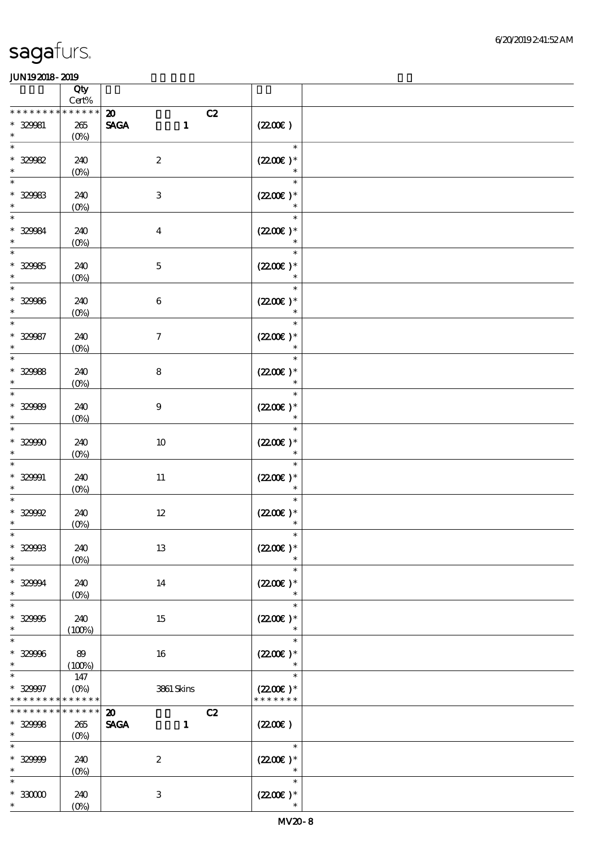|                                                                  | Qty<br>Cert%                           |                                                                  |                                                 |  |
|------------------------------------------------------------------|----------------------------------------|------------------------------------------------------------------|-------------------------------------------------|--|
| * * * * * * * *<br>$* 32981$<br>$\ast$                           | * * * * * *<br>265<br>$(0\%)$          | $\boldsymbol{\mathfrak{D}}$<br>C2<br><b>SAGA</b><br>$\mathbf{1}$ | (220E)                                          |  |
| $* 329982$<br>$\ast$                                             | 240<br>$(0\%)$                         | $\boldsymbol{2}$                                                 | $\ast$<br>$(2200\varepsilon)^*$<br>$\ast$       |  |
| $\ast$<br>$* 32983$<br>$\ast$                                    | 240<br>$(0\%)$                         | $\,3$                                                            | $\ast$<br>$(2200)$ *                            |  |
| $\ast$<br>$* 32984$<br>$\ast$                                    | 240<br>$(0\%)$                         | $\boldsymbol{4}$                                                 | $\ast$<br>$(220E)^*$                            |  |
| $* 329965$<br>$\ast$                                             | 240<br>$(0\%)$                         | $\mathbf 5$                                                      | $\ast$<br>$(220E)^*$<br>$\ast$                  |  |
| $\ast$<br>$* 329966$<br>$\ast$                                   | 240<br>(0%)                            | $\,6\,$                                                          | $\ast$<br>$(2200)$ *<br>$\ast$                  |  |
| $\ast$<br>$* 329987$<br>$\ast$                                   | 240<br>$(0\%)$                         | $\boldsymbol{7}$                                                 | $\ast$<br>$(2200)$ *<br>$\ast$                  |  |
| $\ast$<br>$* 329988$<br>$\ast$                                   | 240<br>$(0\%)$                         | $\bf 8$                                                          | $\ast$<br>$(2200)$ *<br>$\ast$                  |  |
| $\ast$<br>$* 329999$<br>$\ast$                                   | 240<br>$(O\!/\!o)$                     | $9$                                                              | $\ast$<br>$(220E)^*$<br>$\ast$                  |  |
| $\ast$<br>$* 32990$<br>$\ast$                                    | 240<br>$(0\%)$                         | $10\,$                                                           | $\ast$<br>$(220E)^*$<br>$\ast$                  |  |
| $* 329901$<br>$\ast$                                             | 240<br>$(0\%)$                         | $11\,$                                                           | $\ast$<br>$(220E)$ *<br>$\ast$                  |  |
| $\hspace{0.1cm}^*$ 329992<br>$\ast$                              | 240<br>(0%)                            | $12\,$                                                           | $\ast$<br>$(220E)^*$<br>$\ast$                  |  |
| $*$<br>$* 32998$<br>$\ast$                                       | 240<br>$(O\%)$                         | 13                                                               | $\ast$<br>$(220E)^*$<br>$\ast$                  |  |
| $\ast$<br>$* 329994$<br>$\ast$                                   | 240<br>$(O\!\!\!\!\!\!\backslash\rho)$ | 14                                                               | $\ast$<br>$(2200\varepsilon)*$<br>$\ast$        |  |
| $\ast$<br>$* 329905$<br>$\ast$                                   | 240<br>(100%)                          | 15                                                               | $\ast$<br>$(2200\varepsilon)*$                  |  |
| $\ast$<br>$* 329996$<br>$\ast$                                   | 89<br>(100%)                           | 16                                                               | $\ast$<br>$(2200\varepsilon)*$<br>$\ast$        |  |
| $\ast$<br>$* 329997$<br>* * * * * * * * <mark>* * * * * *</mark> | 147<br>$(O\%)$                         | 3861 Skins                                                       | $\ast$<br>$(2200\varepsilon)*$<br>* * * * * * * |  |
| * * * * * * * *<br>$* 329988$<br>$\ast$                          | * * * * * *<br>265<br>$(O\%)$          | $\boldsymbol{\mathfrak{D}}$<br>C2<br><b>SAGA</b><br>$\mathbf{1}$ | (220E)                                          |  |
| $\ast$<br>$* 329999$<br>$\ast$                                   | 240<br>$(O\!/\!o)$                     | $\boldsymbol{2}$                                                 | $\ast$<br>$(2200\varepsilon)*$<br>$\ast$        |  |
| $\ast$<br>$^\ast$ 33000<br>$\ast$                                | 240<br>$(O\%)$                         | $\mathbf{3}$                                                     | $\ast$<br>$(2200\varepsilon)*$<br>$\ast$        |  |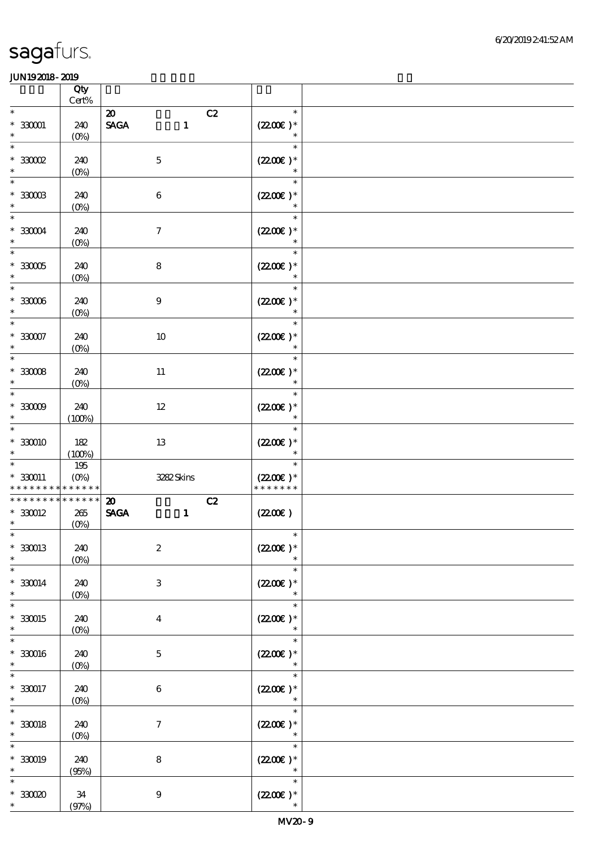|                                                     | Qty<br>$\mbox{Cert}\%$        |                                                                                     |                                       |  |
|-----------------------------------------------------|-------------------------------|-------------------------------------------------------------------------------------|---------------------------------------|--|
| $\ast$<br>$^*$ 330001 $\,$<br>$\ast$                | 240<br>$(0\%)$                | C2<br>$\boldsymbol{\mathbf{z}}$<br>$\operatorname{\mathsf{SAGA}}$<br>$\mathbf{1}$   | $\ast$<br>$(220E)^*$<br>$\ast$        |  |
| $\overline{\ast}$<br>$*30002$<br>$\ast$             | 240<br>$(0\%)$                | $\mathbf 5$                                                                         | $\ast$<br>$(2200)$ *<br>$\ast$        |  |
| $\ast$<br>$*30003$<br>$\ast$                        | 240<br>$(0\%)$                | $\,6\,$                                                                             | $\ast$<br>$(220E)^*$<br>$\ast$        |  |
| $\ast$<br>$*33004$<br>$\ast$                        | 240<br>$(0\%)$                | $\boldsymbol{\tau}$                                                                 | $\ast$<br>$(2200)$ *                  |  |
| $\overline{\phantom{0}}$<br>$*30005$<br>$\ast$      | 240<br>$(0\%)$                | $\bf 8$                                                                             | $\ast$<br>$(220E)$ *                  |  |
| $\overline{\phantom{0}}$<br>$^\ast$ 33006<br>$\ast$ | 240<br>$(0\%)$                | $\boldsymbol{9}$                                                                    | $\ast$<br>$(220E)^*$<br>$\ast$        |  |
| $\ast$<br>$^\ast$ 33007<br>$\ast$                   | 240<br>$(0\%)$                | $10\,$                                                                              | $\ast$<br>$(220E)^*$<br>$\ast$        |  |
| $\ast$<br>$^\ast$ 33008<br>$\ast$                   | 240<br>$(0\%)$                | $11\,$                                                                              | $\ast$<br>$(2200)$ *<br>$\ast$        |  |
| $\ast$<br>$*30009$<br>$\ast$                        | 240<br>(100%)                 | $12\,$                                                                              | $\ast$<br>$(220E)^*$<br>$\ast$        |  |
| $\ast$<br>$*330010$<br>$\ast$                       | 182<br>(100%)                 | 13                                                                                  | $\ast$<br>$(220E)^*$<br>$\ast$        |  |
| $\ast$<br>$*330011$<br>* * * * * * * *              | 195<br>$(O\%)$<br>* * * * * * | 3282Skins                                                                           | $\ast$<br>$(2200)$ *<br>* * * * * * * |  |
| * * * * * * * *<br>$*30012$<br>$*$                  | $******$<br>$265\,$<br>(0%)   | $\boldsymbol{\mathfrak{D}}$<br>C2<br>$\operatorname{\mathbf{SAGA}}$<br>$\mathbf{1}$ | (220E)                                |  |
| $*$<br>$*330013$<br>$\ast$                          | 240<br>$(0\%)$                | $\boldsymbol{2}$                                                                    | $\ast$<br>$(220E)^*$<br>$\ast$        |  |
| $\ast$<br>$* 330014$<br>$\ast$                      | 240<br>(0%)                   | 3                                                                                   | $\ast$<br>$(2200)$ *<br>$\ast$        |  |
| $\ast$<br>$*30015$<br>$\ast$                        | 240<br>(0%)                   | $\boldsymbol{4}$                                                                    | $\ast$<br>$(2200)$ *<br>$\ast$        |  |
| $\ast$<br>$*30016$<br>$\ast$                        | 240<br>$(O\%)$                | $\mathbf 5$                                                                         | $\ast$<br>$(2200)$ *<br>$\ast$        |  |
| $\ast$<br>$*30017$<br>$\ast$                        | 240<br>$(O\!/\!o)$            | 6                                                                                   | $\ast$<br>$(220)$ *<br>$\ast$         |  |
| $*$ 330018<br>$\ast$                                | 240<br>(0%)                   | $\boldsymbol{\tau}$                                                                 | $\ast$<br>$(220E)^*$<br>$\ast$        |  |
| $\ast$<br>$* 330019$<br>$\ast$                      | 240<br>(95%)                  | $\bf 8$                                                                             | $\ast$<br>$(220E)$ *<br>$\ast$        |  |
| $\ast$<br>$*30000$<br>$\ast$                        | 34<br>(97%)                   | $\boldsymbol{9}$                                                                    | $\ast$<br>$(220E)^*$<br>$\ast$        |  |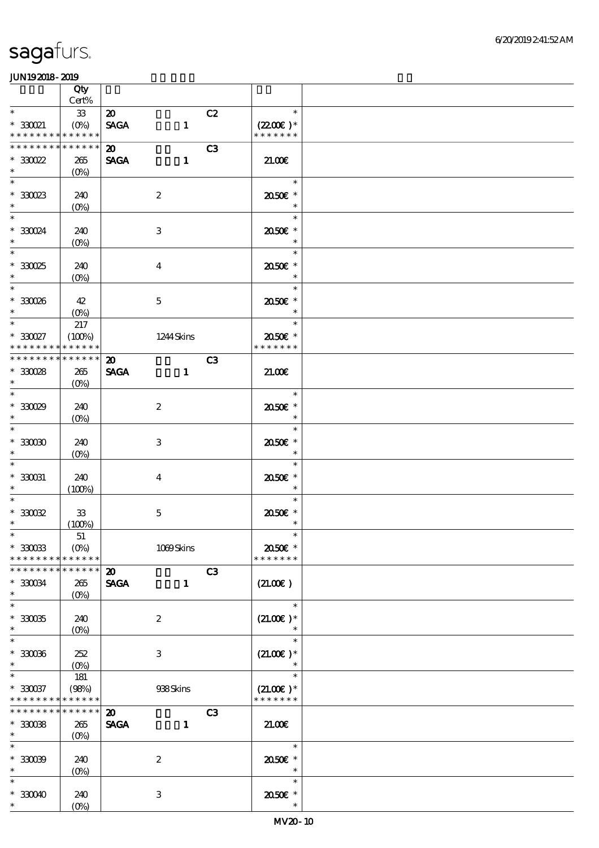|                                                                   | Qty                    |                                           |                  |                |                                        |  |
|-------------------------------------------------------------------|------------------------|-------------------------------------------|------------------|----------------|----------------------------------------|--|
| $\ast$                                                            | $Cert\%$<br>33         | $\boldsymbol{\mathfrak{D}}$               |                  | C2             | $\ast$                                 |  |
| $^\ast$ 330021<br>* * * * * * * * <mark>* * * * * * *</mark>      | $(0\%)$                | <b>SAGA</b>                               | $\mathbf{1}$     |                | $(2200)$ *<br>* * * * * * *            |  |
| * * * * * * * *<br>$^\ast$ 330022                                 | * * * * * *<br>265     | $\boldsymbol{\mathsf{20}}$<br><b>SAGA</b> | $\mathbf{1}$     | C3             | 21.00                                  |  |
| $\ast$                                                            | $(O\%)$                |                                           |                  |                |                                        |  |
| $\ast$<br>$^\ast$ 33023 $^\ast$                                   | 240<br>$(0\%)$         |                                           | $\boldsymbol{2}$ |                | $\ast$<br>2050E *<br>$\ast$            |  |
| $\overline{\phantom{0}}$<br>$*33024$<br>$\ast$                    | 240<br>(0%)            |                                           | $\,3$            |                | $\ast$<br>2050E *<br>$\ast$            |  |
| $\overline{\ast}$<br>$^\ast$ 330025<br>$\ast$                     | 240<br>$(0\%)$         |                                           | $\boldsymbol{4}$ |                | $\ast$<br>2050E *<br>$\ast$            |  |
| $\overline{\phantom{0}}$<br>$^\ast$ 330026<br>$\ast$              | 42<br>$(O\%)$          |                                           | $\mathbf 5$      |                | $\ast$<br>2050E *<br>$\ast$            |  |
| $*$<br>$^\ast$ 330027                                             | 217<br>(100%)          |                                           | 1244 Skins       |                | $\ast$<br>2050E *                      |  |
| * * * * * * * *                                                   | * * * * * *            |                                           |                  |                | * * * * * * *                          |  |
| * * * * * * * *                                                   | * * * * * *            | $\boldsymbol{\mathfrak{D}}$               |                  | C <sub>3</sub> |                                        |  |
| $^\ast$ 330028<br>$\ast$                                          | 265<br>$(O\%)$         | <b>SAGA</b>                               | $\mathbf{1}$     |                | 21.00E                                 |  |
| $\overline{\phantom{0}}$<br>$*30029$<br>$\ast$                    | 240<br>$(0\%)$         |                                           | $\boldsymbol{2}$ |                | $\ast$<br>2050E *<br>$\ast$            |  |
| $\overline{\ast}$<br>$^\ast$ 33000                                | 240                    |                                           | $\,3$            |                | $\ast$<br>2050E *                      |  |
| $\ast$<br>$\ast$                                                  | $(O\%)$                |                                           |                  |                | $\ast$<br>$\ast$                       |  |
| $^\ast$ 330031<br>$\ast$                                          | 240<br>(100%)          |                                           | $\overline{4}$   |                | 2050E *<br>$\ast$                      |  |
| $\ast$<br>$^\ast$ 330032<br>$\ast$                                | ${\bf 33}$<br>(100%)   |                                           | $\mathbf 5$      |                | $\ast$<br>2050E *<br>$\ast$            |  |
| $*$                                                               | 51                     |                                           |                  |                |                                        |  |
| $*30033$<br>* * * * * * * *                                       | $(0\%)$<br>* * * * * * |                                           | 1039Skins        |                | 2050E *<br>* * * * * * *               |  |
| * * * * * * * * * * * * * *                                       |                        | $\boldsymbol{\mathfrak{D}}$               |                  | C3             |                                        |  |
| $^\ast$ 330034<br>$\ast$<br>$\ast$                                | 265<br>$(O\%)$         | <b>SAGA</b>                               | $\mathbf{1}$     |                | (21.00)<br>$\ast$                      |  |
| $^\ast$ 330035<br>$\ast$                                          | 240<br>$(O\%)$         |                                           | $\boldsymbol{2}$ |                | $(21.00)$ *<br>$\ast$                  |  |
| $\ast$<br>$^\ast$ 330066<br>$\ast$                                | 252<br>$(0\%)$         |                                           | 3                |                | $\ast$<br>$(21.00)$ *                  |  |
| $\ast$<br>$*330037$<br>* * * * * * * * <mark>* * * * * *</mark> * | 181<br>(98%)           |                                           | 938Skins         |                | $\ast$<br>$(21.00)$ *<br>* * * * * * * |  |
| * * * * * * * *                                                   | * * * * * *            | $\boldsymbol{\mathfrak{D}}$               |                  | C3             |                                        |  |
| $^\ast$ 330038<br>$\ast$                                          | 265<br>$(O\%)$         | <b>SAGA</b>                               | $\mathbf{1}$     |                | 21.00                                  |  |
| $\overline{\phantom{0}}$<br>$*30009$<br>$\ast$                    | 240<br>$(0\%)$         |                                           | $\boldsymbol{2}$ |                | $\ast$<br>2050E *                      |  |
| $\ast$<br>$*30040$<br>$\ast$                                      | 240<br>(0%)            |                                           | $\,3$            |                | $\ast$<br>2050E *<br>$\ast$            |  |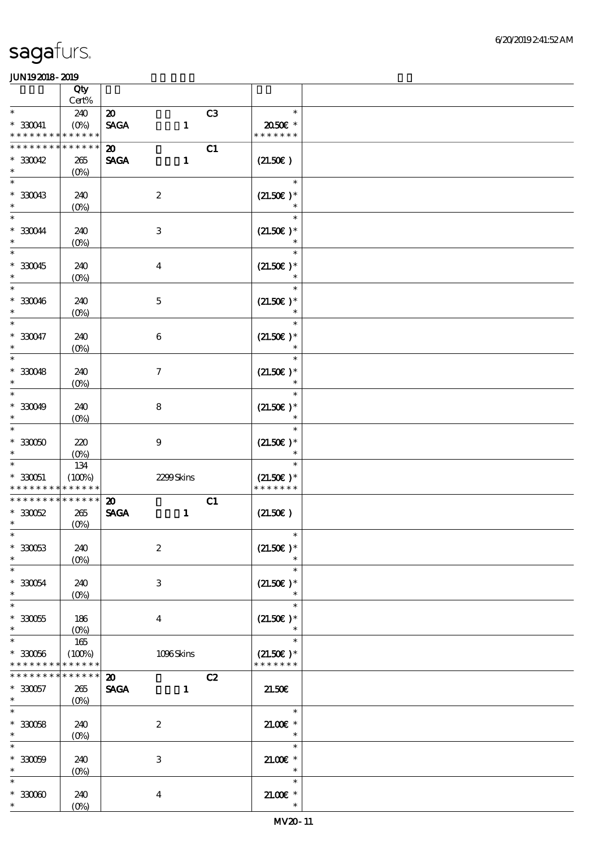|                                                                  | Qty                          |                                            |              |                |                                        |  |
|------------------------------------------------------------------|------------------------------|--------------------------------------------|--------------|----------------|----------------------------------------|--|
| $\ast$                                                           | Cert%<br>240                 | $\boldsymbol{\mathfrak{D}}$                |              | C <sub>3</sub> | $\ast$                                 |  |
| $^\ast$ 330041<br>* * * * * * * *                                | $(O\%)$<br>* * * * * *       | <b>SAGA</b>                                | $\mathbf{1}$ |                | 2050E *<br>* * * * * * *               |  |
| * * * * * * * *<br>$*30042$                                      | * * * * * *<br>265           | $\boldsymbol{\mathfrak{D}}$<br><b>SAGA</b> | $\mathbf{1}$ | C1             | (21.50)                                |  |
| $\ast$                                                           | $(0\%)$                      |                                            |              |                |                                        |  |
| $\ast$<br>$*30043$<br>$\ast$                                     | 240<br>$(0\%)$               | $\boldsymbol{2}$                           |              |                | $\ast$<br>$(21.50)$ *<br>$\ast$        |  |
| $\ast$<br>$*330044$<br>$\ast$                                    | 240<br>$(0\%)$               | $\,3$                                      |              |                | $\ast$<br>$(21.50)$ *                  |  |
| $\ast$<br>$*30045$<br>$\ast$                                     | 240<br>$(0\%)$               | $\boldsymbol{4}$                           |              |                | $\ast$<br>$(21.50)$ *                  |  |
| $\ast$<br>$*330046$<br>$\ast$                                    | 240<br>$(0\%)$               | $\mathbf 5$                                |              |                | $(21.50)$ *<br>$\ast$                  |  |
| $\overline{\ast}$<br>$^\ast$ 330047<br>$\ast$                    | 240<br>(0%)                  | $\,6\,$                                    |              |                | $\ast$<br>$(21.50)$ *<br>$\ast$        |  |
| $\overline{\ast}$<br>$*30048$<br>$\ast$                          | 240<br>$(0\%)$               | $\boldsymbol{7}$                           |              |                | $\ast$<br>$(21.50)$ *<br>$\ast$        |  |
| $\ast$<br>$*30049$<br>$\ast$                                     | 240<br>$(O\!/\!o)$           | $\bf 8$                                    |              |                | $\ast$<br>$(21.50)$ *<br>$\ast$        |  |
| $\ast$<br>$^\ast$ 330050<br>$\ast$                               | 220<br>$(O\%)$               | $\boldsymbol{9}$                           |              |                | $\ast$<br>$(21.50)$ *                  |  |
| $\ast$<br>$* 330051$<br>* * * * * * * * <mark>* * * * * *</mark> | 134<br>(100%)                | 2299Skins                                  |              |                | $\ast$<br>$(21.50)$ *<br>* * * * * * * |  |
| * * * * * * * *                                                  | * * * * * *                  | $\boldsymbol{\mathfrak{D}}$                |              | C1             |                                        |  |
| $*30052$<br>$\ast$                                               | 265<br>$(0\%)$               | <b>SAGA</b>                                | $\mathbf{1}$ |                | (21.50)                                |  |
| $\ast$<br>$^\ast$ 330053<br>$\ast$                               | 240<br>$(0\%)$               | $\boldsymbol{2}$                           |              |                | $\star$<br>$(21.50)$ *                 |  |
| $\ast$<br>$^\ast$ 330054<br>$\ast$                               | 240<br>$(0\%)$               | $\,3\,$                                    |              |                | $\ast$<br>$(21.50)$ *<br>$\ast$        |  |
| $\ast$<br>$^\ast$ 330055<br>$\ast$                               | 186<br>$(O\%)$               | $\boldsymbol{4}$                           |              |                | $\ast$<br>$(21.50)$ *<br>$\ast$        |  |
| $\ast$<br>$^\ast$ 330056<br>* * * * * * * *                      | 165<br>(100%)<br>* * * * * * | 1096Skins                                  |              |                | $\ast$<br>$(21.50)$ *<br>* * * * * * * |  |
| * * * * * * *                                                    | * * * * * *                  | $\boldsymbol{\mathbf{z}}$                  |              | C2             |                                        |  |
| $*330057$<br>$\ast$                                              | 265<br>$(O\!/\!o)$           | <b>SAGA</b>                                | $\mathbf{1}$ |                | 21.50E                                 |  |
| $\overline{\ast}$<br>$*30058$<br>$\ast$                          | 240<br>$(O\!/\!\delta)$      | $\boldsymbol{2}$                           |              |                | $\ast$<br>$21.005*$<br>$\ast$          |  |
| $\ast$<br>$* 330059$<br>$\ast$                                   | 240<br>$(0\%)$               | $\,3\,$                                    |              |                | $\ast$<br>$21.00E$ *<br>$\ast$         |  |
| $\ast$<br>$^\ast$ 33000<br>$\ast$                                | 240<br>$(O\!/\!\delta)$      | $\boldsymbol{4}$                           |              |                | $\ast$<br>$21.005*$<br>$\ast$          |  |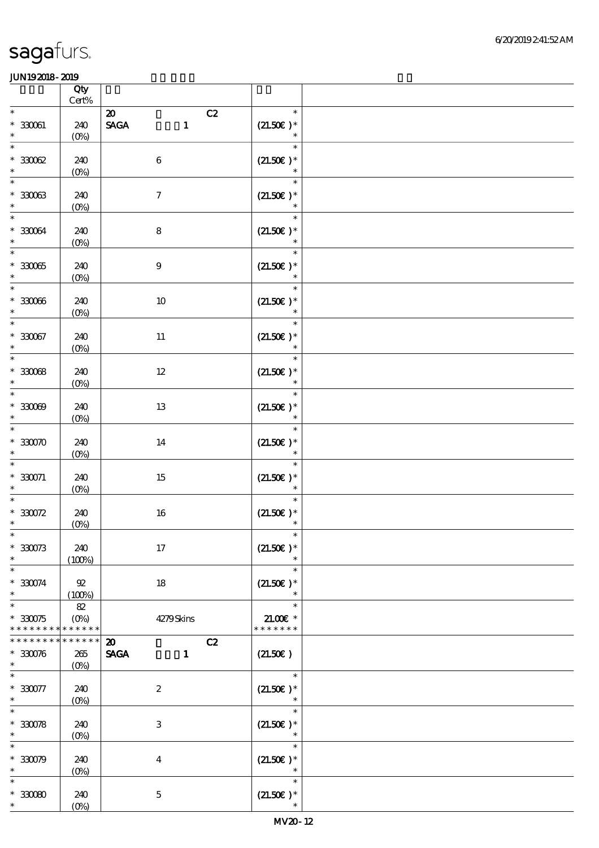|                                                      | Qty<br>$\mbox{Cert}\%$        |                                                                             |                                       |  |
|------------------------------------------------------|-------------------------------|-----------------------------------------------------------------------------|---------------------------------------|--|
| $\ast$<br>$^\ast$ 330061<br>$\ast$                   | 240<br>$(0\%)$                | $\boldsymbol{\omega}$<br>C2<br>$\ensuremath{\mathsf{SAGA}}$<br>$\mathbf{1}$ | $\ast$<br>$(21.50)$ *<br>$\ast$       |  |
| $\overline{\phantom{0}}$<br>$^\ast$ 330062<br>$\ast$ | 240<br>$(0\%)$                | $\,6\,$                                                                     | $\ast$<br>$(21.50)$ *<br>$\ast$       |  |
| $\ast$<br>$^\ast$ 330063<br>$\ast$                   | 240<br>$(0\%)$                | $\boldsymbol{7}$                                                            | $\ast$<br>$(21.50)$ *<br>$\ast$       |  |
| $\ast$<br>$^\ast$ 330064<br>$\ast$                   | 240<br>$(0\%)$                | 8                                                                           | $\ast$<br>$(21.50)$ *                 |  |
| $\overline{\phantom{0}}$<br>$^\ast$ 33005<br>$\ast$  | 240<br>$(0\%)$                | $\boldsymbol{9}$                                                            | $\ast$<br>$(21.50)$ *                 |  |
| $\overline{\ast}$<br>$^\ast$ 330066<br>$\ast$        | 240<br>$(0\%)$                | $10\,$                                                                      | $\ast$<br>$(21.50)$ *<br>$\ast$       |  |
| $\ast$<br>$^\ast$ 330067<br>$\ast$                   | 240<br>$(0\%)$                | $11\,$                                                                      | $\ast$<br>$(21.50)$ *<br>$\ast$       |  |
| $\overline{\ast}$<br>$*3008$<br>$\ast$               | 240<br>$(0\%)$                | $12\,$                                                                      | $\ast$<br>$(21.50)$ *<br>$\ast$       |  |
| $\overline{\ast}$<br>$*30009$<br>$\ast$              | 240<br>(0%)                   | 13                                                                          | $\ast$<br>$(21.50)$ *<br>$\ast$       |  |
| $\ast$<br>$*30000$<br>$\ast$                         | 240<br>$(0\%)$                | 14                                                                          | $\ast$<br>$(21.50)$ *<br>$\ast$       |  |
| $\ast$<br>$* 330071$<br>$\ast$                       | 240<br>$(O\%)$                | $15\,$                                                                      | $\ast$<br>$(21.50)$ *                 |  |
| $\ast$<br>$*30072$<br>$\ast$                         | 240<br>(0%)                   | $16\,$                                                                      | $\ast$<br>$(21.50)$ *<br>$\ast$       |  |
| $*$<br>$*30073$<br>$\ast$                            | 240<br>(100%)                 | 17                                                                          | $\ast$<br>$(21.50)$ *<br>$\ast$       |  |
| $\ast$<br>$* 330074$<br>$\ast$                       | 92<br>(100%)                  | 18                                                                          | $\ast$<br>$(21.50)$ *<br>$\ast$       |  |
| $\ast$<br>$*330075$<br>* * * * * * * *               | 82<br>$(0\%)$<br>* * * * * *  | 4279Skins                                                                   | $\ast$<br>$21.005$ *<br>* * * * * * * |  |
| * * * * * * *<br>$*30076$<br>$\ast$                  | * * * * * *<br>265<br>$(O\%)$ | $\boldsymbol{\mathfrak{D}}$<br>C2<br><b>SAGA</b><br>$\mathbf{1}$            | (21.50)                               |  |
| $\ast$<br>$*330077$<br>$\ast$                        | 240<br>$(O\%)$                | $\boldsymbol{2}$                                                            | $\ast$<br>$(21.50)$ *                 |  |
| $*30078$<br>$\ast$                                   | 240<br>$(O\%)$                | 3                                                                           | $\ast$<br>$(21.50)$ *<br>$\ast$       |  |
| $\ast$<br>$*30079$<br>$\ast$                         | 240<br>$(O\%)$                | $\bf{4}$                                                                    | $\ast$<br>$(21.50)$ *<br>$\ast$       |  |
| $\ast$<br>$*30080$<br>$\ast$                         | 240<br>$(O\!/\!\delta)$       | $\mathbf 5$                                                                 | $\ast$<br>$(21.50)$ *<br>$\ast$       |  |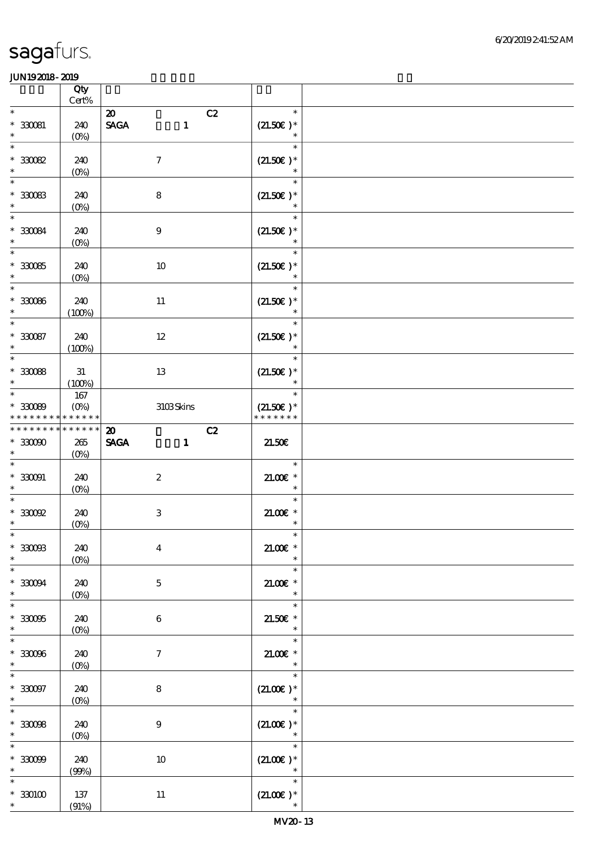|                                                      | Qty<br>Cert%                      |                                                                  |                                                             |  |
|------------------------------------------------------|-----------------------------------|------------------------------------------------------------------|-------------------------------------------------------------|--|
| $\ast$<br>$*30081$<br>$\ast$                         | 240<br>$(O\!/\!\delta)$           | C2<br>$\boldsymbol{\mathfrak{D}}$<br><b>SAGA</b><br>$\mathbf{1}$ | $\ast$<br>$(21.50)$ *<br>$\ast$                             |  |
| $\ast$<br>$*30082$<br>$\ast$                         | 240<br>$(0\%)$                    | $\boldsymbol{7}$                                                 | $\ast$<br>$(21.50)$ *<br>$\ast$                             |  |
| $\ast$<br>$*30083$<br>$\ast$                         | 240<br>$(O\%)$                    | 8                                                                | $\ast$<br>$(21.50)$ *<br>$\ast$                             |  |
| $\ast$<br>$*330084$<br>$\ast$                        | 240<br>(0%)                       | $\boldsymbol{9}$                                                 | $\ast$<br>$(21.50)$ *                                       |  |
| $\overline{\phantom{1}}$<br>$^\ast$ 330085<br>$\ast$ | 240<br>$(O\%)$                    | 10                                                               | $\ast$<br>$(21.50)$ *<br>$\ast$                             |  |
| $\ast$<br>$^\ast$ 330086<br>$\ast$                   | 240<br>(100%)                     | $11\,$                                                           | $\ast$<br>$(21.50)$ *<br>$\ast$                             |  |
| $\ast$<br>$^\ast$ 330087<br>$\ast$                   | 240<br>(100%)                     | 12                                                               | $\ast$<br>$(21.50)$ *<br>$\ast$                             |  |
| $\overline{\ast}$<br>$*30088$<br>$\ast$              | 31<br>(100%)                      | 13                                                               | $\ast$<br>$(21.50)$ *<br>$\ast$                             |  |
| $\ast$<br>$*30089$<br>* * * * * * * *                | $167\,$<br>$(O\%)$<br>* * * * * * | 3103Skins                                                        | $\ast$<br>$(21.50)$ *<br>* * * * * * *                      |  |
| * * * * * * * *<br>$*33000$<br>$\ast$                | * * * * * *<br>$265\,$<br>$(O\%)$ | C2<br>$\boldsymbol{\mathfrak{D}}$<br><b>SAGA</b><br>$\mathbf{1}$ | 21.50E                                                      |  |
|                                                      |                                   |                                                                  |                                                             |  |
| $\ast$<br>$^\ast$ 330091<br>$\ast$                   | 240<br>$(O\%)$                    | $\boldsymbol{2}$                                                 | $\ast$<br>$21.005*$<br>$\ast$                               |  |
| $\ast$<br>$^\ast$ 330092<br>$\ast$                   | 240<br>$(0\%)$                    | $\,3\,$                                                          | $\ast$<br>$21.005*$<br>$\ast$                               |  |
| $\ast$<br>$^\ast$ 330083<br>$\ast$                   | 240<br>$(0\%)$                    | $\boldsymbol{4}$                                                 | $\ast$<br>$21.00E$ *<br>$\ast$                              |  |
| $\overline{\ast}$<br>$^\ast$ 330094<br>$\ast$        | 240<br>$(0\%)$                    | $\mathbf{5}$                                                     | $\ast$<br>$21.005$ *<br>$\ast$                              |  |
| $\ast$<br>$*33005$<br>$\ast$                         | 240<br>$(O\%)$                    | 6                                                                | $\ast$<br>$21.50E$ $^{\ast}$<br>$\ast$                      |  |
| $\ast$<br>$*30006$<br>$\ast$                         | 240<br>$(0\%)$                    | $\tau$                                                           | $\ast$<br>$21.00E$ *<br>$\ast$                              |  |
| $^\ast$ 330097<br>$\ast$                             | 240<br>$(0\%)$                    | $\bf 8$                                                          | $\ast$<br>$(21.00\epsilon)*$<br>$\ast$                      |  |
| $\ast$<br>$*30098$<br>$\ast$                         | 240<br>(0%)                       | $\boldsymbol{9}$                                                 | $\ast$<br>$(21.00)$ *                                       |  |
| $\ast$<br>$*30099$<br>$\ast$                         | 240<br>(90%)                      | 10                                                               | $\ast$<br>$(21.00)$ *<br>$\overline{\phantom{a}}$<br>$\ast$ |  |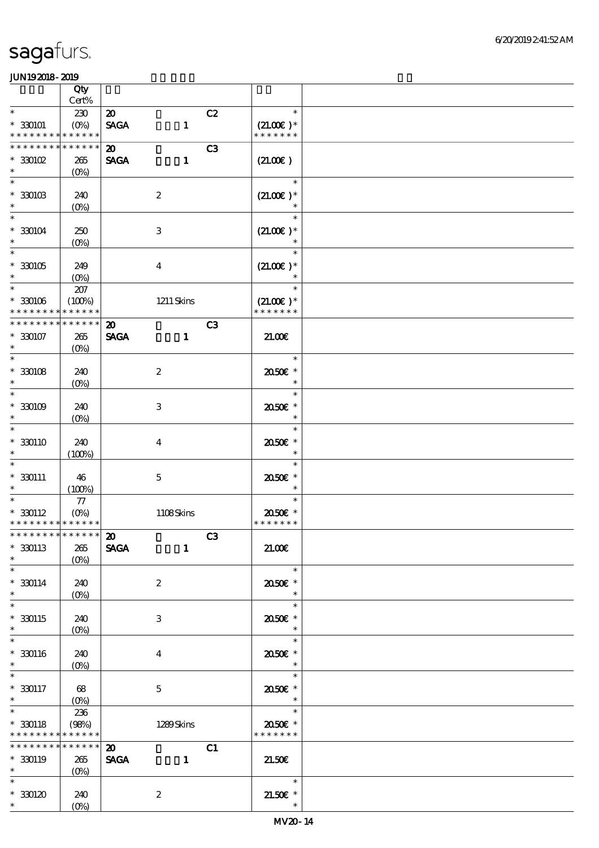|                                                          | Qty                |                                          |                  |                |                              |  |
|----------------------------------------------------------|--------------------|------------------------------------------|------------------|----------------|------------------------------|--|
| $\ast$                                                   | Cert%              |                                          |                  |                | $\ast$                       |  |
| $* 330101$<br>* * * * * * * * <mark>* * * * * *</mark> * | 230<br>$(O\%)$     | $\boldsymbol{\mathbf{z}}$<br><b>SAGA</b> | $\mathbf{1}$     | C2             | $(21.00)$ *<br>* * * * * * * |  |
| * * * * * * * *                                          | * * * * * *        | $\boldsymbol{\mathfrak{D}}$              |                  | C3             |                              |  |
| $*30002$                                                 | 265                | <b>SAGA</b>                              | $\mathbf{1}$     |                | (21.00)                      |  |
| $\ast$                                                   | $(0\%)$            |                                          |                  |                |                              |  |
| $\ast$                                                   |                    |                                          |                  |                | $\ast$                       |  |
| $^\ast$ 330103                                           | 240                |                                          | $\boldsymbol{2}$ |                | $(21.00)$ *                  |  |
| $\ast$                                                   | $(0\%)$            |                                          |                  |                |                              |  |
| $\ast$                                                   |                    |                                          |                  |                | $\ast$                       |  |
| $*330104$                                                | 250                |                                          | $\,3$            |                | $(21.00)$ *                  |  |
| $\ast$                                                   | $(0\%)$            |                                          |                  |                |                              |  |
| $\ast$                                                   |                    |                                          |                  |                | $\ast$                       |  |
| $^\ast$ 330105                                           | 249                |                                          | $\boldsymbol{4}$ |                | $(21.00)$ *                  |  |
| $\ast$                                                   | $(0\%)$            |                                          |                  |                |                              |  |
| $\overline{\ast}$                                        | $207\,$            |                                          |                  |                | $\ast$                       |  |
| $* 30006$                                                | (100%)             |                                          | $1211$ Skins     |                | $(21.00)$ *                  |  |
| * * * * * * * *                                          | * * * * * *        |                                          |                  |                | * * * * * * *                |  |
| $*********$                                              | ******             | $\boldsymbol{\mathfrak{D}}$              |                  | C <sub>3</sub> |                              |  |
| $* 330107$<br>$\ast$                                     | 265                | <b>SAGA</b>                              | $\mathbf{1}$     |                | 21.00                        |  |
| $\ast$                                                   | $(O\%)$            |                                          |                  |                | $\ast$                       |  |
| $*3008$                                                  | 240                |                                          | $\boldsymbol{2}$ |                | 2050E *                      |  |
| $\ast$                                                   | $(0\%)$            |                                          |                  |                | $\ast$                       |  |
| $\ast$                                                   |                    |                                          |                  |                | $\ast$                       |  |
| $*30009$                                                 | 240                |                                          | $\,3\,$          |                | 2050E *                      |  |
| $\ast$                                                   | $(0\%)$            |                                          |                  |                | $\ast$                       |  |
| $\ast$                                                   |                    |                                          |                  |                | $\ast$                       |  |
| $* 330110$                                               | 240                |                                          | $\boldsymbol{4}$ |                | 2050E *                      |  |
| $\ast$                                                   | (100%)             |                                          |                  |                | $\ast$                       |  |
| $\ast$                                                   |                    |                                          |                  |                | $\ast$                       |  |
| $* 330111$                                               | 46                 |                                          | $\mathbf 5$      |                | 2050E *                      |  |
| $\ast$<br>$\overline{\phantom{0}}$                       | (100%)             |                                          |                  |                | $\ast$                       |  |
|                                                          | $77\,$             |                                          |                  |                | $\ast$                       |  |
| $* 330112$<br>* * * * * * * * * * * * * *                | $(0\%)$            |                                          | 1108Skins        |                | 2050E *<br>* * * * * * *     |  |
| ************** 20                                        |                    |                                          |                  | C3             |                              |  |
| $* 330113$                                               | 265                | <b>SAGA</b>                              | $\mathbf{1}$     |                | 21.00E                       |  |
| $\ast$                                                   | $(0\%)$            |                                          |                  |                |                              |  |
| $\ast$                                                   |                    |                                          |                  |                | $\ast$                       |  |
| $* 330114$                                               | 240                |                                          | $\boldsymbol{z}$ |                | 2050E *                      |  |
| $\ast$                                                   | $(0\%)$            |                                          |                  |                | $\ast$                       |  |
| $\overline{\phantom{0}}$                                 |                    |                                          |                  |                | $\ast$                       |  |
| $* 330115$                                               | 240                |                                          | 3                |                | 2050E *                      |  |
| $\ast$                                                   | $(O\%)$            |                                          |                  |                | $\ast$                       |  |
| $\overline{\phantom{0}}$                                 |                    |                                          |                  |                | $\ast$                       |  |
| $*30116$<br>$\ast$                                       | 240                |                                          | $\bf{4}$         |                | 2050E *<br>$\ast$            |  |
| $\ast$                                                   | $(0\%)$            |                                          |                  |                | $\ast$                       |  |
| $* 330117$                                               | 68                 |                                          | $\mathbf{5}$     |                | 2050E *                      |  |
| $*$                                                      | $(O\!/\!\!\delta)$ |                                          |                  |                | $\ast$                       |  |
| $\overline{\ast}$                                        | 236                |                                          |                  |                | $\ast$                       |  |
| $* 330118$                                               | (98%)              |                                          | 1289Skins        |                | 2050E *                      |  |
| * * * * * * * * * * * * * *                              |                    |                                          |                  |                | * * * * * * *                |  |
| * * * * * * * * * * * * * *                              |                    | $\boldsymbol{\mathfrak{D}}$              |                  | C1             |                              |  |
| $* 330119$                                               | 265                | <b>SAGA</b>                              | $\mathbf{1}$     |                | 21.50E                       |  |
| $\ast$                                                   | $(0\%)$            |                                          |                  |                |                              |  |
| $\ast$                                                   |                    |                                          |                  |                | $\ast$                       |  |
| $^\ast$ 330120                                           | 240                |                                          | $\boldsymbol{2}$ |                | $21.50E$ *                   |  |
| $\ast$                                                   | $(0\%)$            |                                          |                  |                | $\ast$                       |  |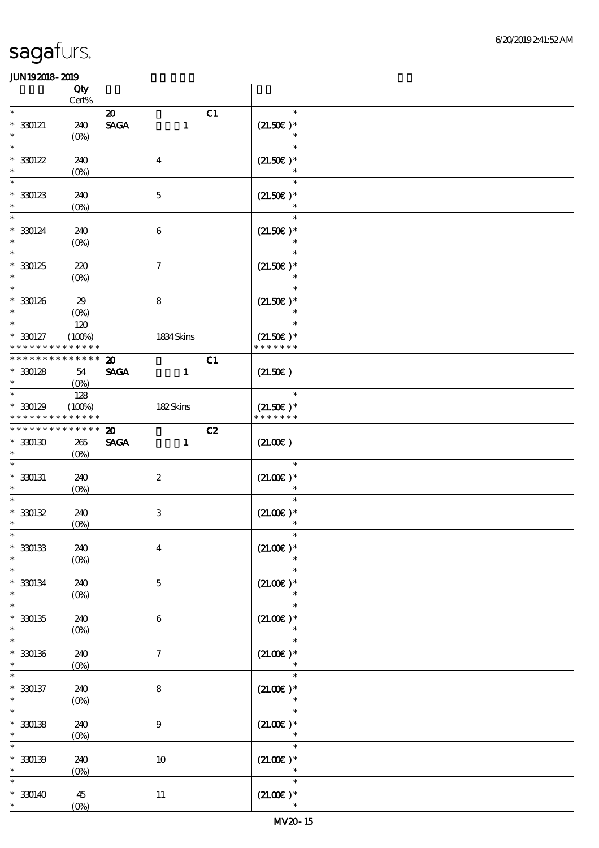|                      | Qty<br>Cert%                |                             |                           |    |                       |  |
|----------------------|-----------------------------|-----------------------------|---------------------------|----|-----------------------|--|
| $\ast$               |                             | $\boldsymbol{\mathfrak{D}}$ |                           | C1 | $\ast$                |  |
| $* 330121$<br>$\ast$ | 240<br>$(O\!/\!\!\delta)$   | <b>SAGA</b>                 | $\mathbf{1}$              |    | $(21.50)$ *<br>$\ast$ |  |
| $\ast$               |                             |                             |                           |    | $\ast$                |  |
| $* 30122$            | 240                         |                             | $\boldsymbol{4}$          |    | $(21.50)$ *           |  |
| $\ast$<br>$\ast$     | $(0\%)$                     |                             |                           |    | $\ast$<br>$\ast$      |  |
| $*30123$             | 240                         |                             |                           |    | $(21.50)$ *           |  |
| $\ast$               | $(0\%)$                     |                             | $\mathbf 5$               |    |                       |  |
| $\ast$               |                             |                             |                           |    | $\ast$                |  |
| $*30124$             | 240                         |                             | $\bf 6$                   |    | $(21.50)$ *           |  |
| $\ast$               | $(O\!/\!o)$                 |                             |                           |    |                       |  |
| $\overline{\ast}$    |                             |                             |                           |    | $\ast$                |  |
| $*30125$             | 220                         |                             | $\boldsymbol{7}$          |    | $(21.50)$ *           |  |
| $\ast$<br>$\ast$     | $(0\%)$                     |                             |                           |    | $\ast$<br>$\ast$      |  |
| $^\ast$ 330126       | 29                          |                             | $\bf8$                    |    | $(21.50)$ *           |  |
| $\ast$               | $(O\%)$                     |                             |                           |    | $\ast$                |  |
| $\ast$               | 120                         |                             |                           |    | $\ast$                |  |
| $* 330127$           | (100%)                      |                             | 1834 Skins                |    | $(21.50)$ *           |  |
| * * * * * * * *      | * * * * * *                 |                             |                           |    | * * * * * * *         |  |
|                      | * * * * * * * * * * * * * * | $\boldsymbol{\mathfrak{D}}$ |                           | C1 |                       |  |
| $*30128$<br>$\ast$   | 54<br>$(O\%)$               | <b>SAGA</b>                 | $\blacksquare$            |    | (21.50)               |  |
| $\ast$               | 128                         |                             |                           |    | $\ast$                |  |
| $*30129$             | (100%)                      |                             | 182Skins                  |    | $(21.50)$ *           |  |
|                      | * * * * * * * * * * * * * * |                             |                           |    | * * * * * * *         |  |
| * * * * * * * *      | $* * * * * * *$             | $\boldsymbol{\mathfrak{D}}$ |                           | C2 |                       |  |
| $*30030$             | 265                         | <b>SAGA</b>                 | $\mathbf{1}$              |    | (21.00)               |  |
| $\ast$<br>$\ast$     | $(O\%)$                     |                             |                           |    | $\ast$                |  |
| $*$ 330131           | 240                         |                             | $\boldsymbol{2}$          |    | $(21.00)$ *           |  |
| $\ast$               | $(O\%)$                     |                             |                           |    | $\ast$                |  |
| $\ast$               |                             |                             |                           |    | $\ast$                |  |
| $*30132$             | 240                         |                             | $\ensuremath{\mathbf{3}}$ |    | $(21.00)$ *           |  |
| $\ast$               | (0%)                        |                             |                           |    | $\ast$                |  |
| $\ast$               |                             |                             |                           |    | $\ast$                |  |
| $*30133$<br>$\ast$   | 240<br>$(0\%)$              |                             | $\boldsymbol{4}$          |    | $(21.00)$ *           |  |
| $\ast$               |                             |                             |                           |    | $\ast$                |  |
| $*30034$             | 240                         |                             | $\mathbf 5$               |    | $(21.00)$ *           |  |
| $\ast$               | $(0\%)$                     |                             |                           |    | $\ast$                |  |
| $\ast$               |                             |                             |                           |    | $\ast$                |  |
| $*30135$<br>$\ast$   | 240                         |                             | $\boldsymbol{6}$          |    | $(21.00)$ *<br>$\ast$ |  |
| $\ast$               | (0%)                        |                             |                           |    | $\ast$                |  |
| $*30136$             |                             |                             | $\boldsymbol{7}$          |    | $(21.00)$ *           |  |
| $\ast$               |                             |                             |                           |    |                       |  |
|                      | 240<br>$(0\%)$              |                             |                           |    |                       |  |
|                      |                             |                             |                           |    | $\ast$                |  |
| $* 330137$           | 240                         |                             | $\bf8$                    |    | $(21.00\epsilon)*$    |  |
| $\ast$               | $(0\%)$                     |                             |                           |    | $\ast$                |  |
| $\ast$               |                             |                             |                           |    | $\ast$                |  |
| $* 30138$<br>$\ast$  | 240                         |                             | $9$                       |    | $(21.00)$ *<br>$\ast$ |  |
| $\ast$               | $(0\%)$                     |                             |                           |    | $\ast$                |  |
| $*30139$             | 240                         |                             | $10\,$                    |    | $(21.00)$ *           |  |
| $\ast$               | $(0\%)$                     |                             |                           |    | $\ast$                |  |
|                      |                             |                             |                           |    | $\ast$                |  |
| $* 330140$<br>$\ast$ | 45<br>$(O\!/\!\!\delta)$    |                             | $11\,$                    |    | $(21.00)$ *           |  |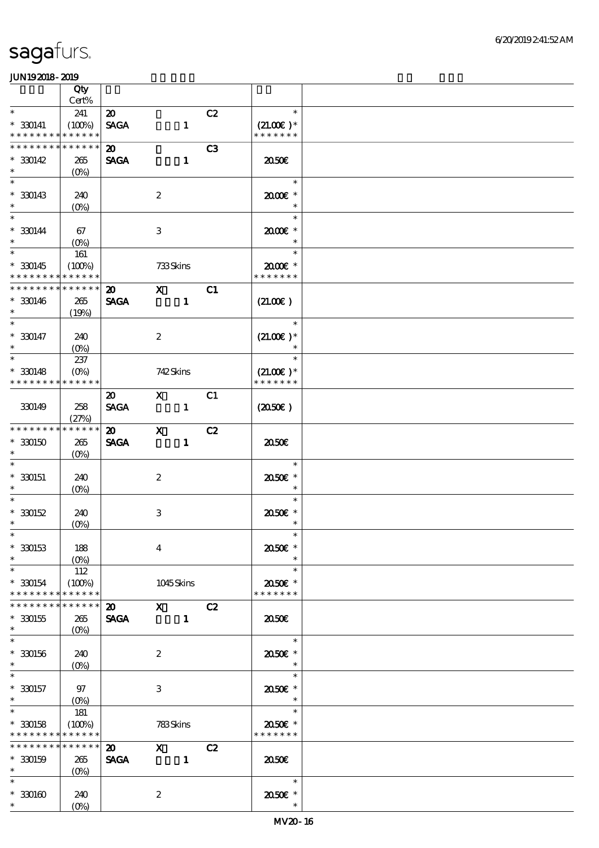|                                                      | Qty            |                                            |                  |                                                                                                                                                                                                                                                                                                                                 |                |                         |  |
|------------------------------------------------------|----------------|--------------------------------------------|------------------|---------------------------------------------------------------------------------------------------------------------------------------------------------------------------------------------------------------------------------------------------------------------------------------------------------------------------------|----------------|-------------------------|--|
| $\ast$                                               | Cert%          |                                            |                  |                                                                                                                                                                                                                                                                                                                                 |                | $\ast$                  |  |
| $* 330141$                                           | 241<br>(100%)  | $\boldsymbol{\mathfrak{D}}$<br><b>SAGA</b> |                  | $\mathbf{1}$                                                                                                                                                                                                                                                                                                                    | C2             | $(21.00)$ *             |  |
| * * * * * * * * <mark>* * * * * *</mark>             |                |                                            |                  |                                                                                                                                                                                                                                                                                                                                 |                | * * * * * * *           |  |
| _<br>* * * * * * * *                                 | * * * * * *    | $\boldsymbol{\mathfrak{D}}$                |                  |                                                                                                                                                                                                                                                                                                                                 | C <sub>3</sub> |                         |  |
| $* 30142$                                            | 265            | <b>SAGA</b>                                |                  | $\mathbf{1}$                                                                                                                                                                                                                                                                                                                    |                | 2050E                   |  |
| $\ast$                                               | $(O\%)$        |                                            |                  |                                                                                                                                                                                                                                                                                                                                 |                |                         |  |
| $\ast$                                               |                |                                            |                  |                                                                                                                                                                                                                                                                                                                                 |                | $\ast$                  |  |
| $* 330143$<br>$\ast$                                 | 240<br>$(0\%)$ |                                            | $\boldsymbol{2}$ |                                                                                                                                                                                                                                                                                                                                 |                | 2000E*<br>$\ast$        |  |
| $\overline{\ast}$                                    |                |                                            |                  |                                                                                                                                                                                                                                                                                                                                 |                | $\ast$                  |  |
| $* 330144$                                           | 67             |                                            | 3                |                                                                                                                                                                                                                                                                                                                                 |                | 2000E*                  |  |
| $\ast$                                               | $(O\%)$        |                                            |                  |                                                                                                                                                                                                                                                                                                                                 |                | $\ast$                  |  |
| $\ast$                                               | 161            |                                            |                  |                                                                                                                                                                                                                                                                                                                                 |                | $\ast$                  |  |
| $*30145$<br>* * * * * * * * <mark>* * * * * *</mark> | (100%)         |                                            | 733Skins         |                                                                                                                                                                                                                                                                                                                                 |                | 2000E*<br>* * * * * * * |  |
| * * * * * * * *                                      | * * * * * *    | $\boldsymbol{\mathfrak{D}}$                | $\mathbf X$      |                                                                                                                                                                                                                                                                                                                                 | C1             |                         |  |
| $* 30146$                                            | 265            | <b>SAGA</b>                                |                  | $\mathbf{1}$                                                                                                                                                                                                                                                                                                                    |                | (21.00)                 |  |
| $\ast$                                               | (19%)          |                                            |                  |                                                                                                                                                                                                                                                                                                                                 |                |                         |  |
| $\overline{\ast}$                                    |                |                                            |                  |                                                                                                                                                                                                                                                                                                                                 |                | $\ast$                  |  |
| $* 330147$<br>$\ast$                                 | 240            |                                            | $\boldsymbol{z}$ |                                                                                                                                                                                                                                                                                                                                 |                | $(21.00)$ *<br>$\ast$   |  |
| $\ast$                                               | $(O\%)$<br>237 |                                            |                  |                                                                                                                                                                                                                                                                                                                                 |                | $\ast$                  |  |
| $* 330148$                                           | $(O\%)$        |                                            | 742Skins         |                                                                                                                                                                                                                                                                                                                                 |                | $(21.00)$ *             |  |
| * * * * * * * *                                      | * * * * * *    |                                            |                  |                                                                                                                                                                                                                                                                                                                                 |                | * * * * * * *           |  |
|                                                      |                | $\boldsymbol{\mathfrak{D}}$                |                  | $\mathbf X$ and $\mathbf X$ and $\mathbf X$ and $\mathbf X$ and $\mathbf X$ and $\mathbf X$ and $\mathbf X$ and $\mathbf X$ and $\mathbf X$ and $\mathbf X$ and $\mathbf X$ and $\mathbf X$ and $\mathbf X$ and $\mathbf X$ and $\mathbf X$ and $\mathbf X$ and $\mathbf X$ and $\mathbf X$ and $\mathbf X$ and $\mathbf X$ and | C1             |                         |  |
| 330149                                               | 258            | <b>SAGA</b>                                |                  | $\mathbf{1}$                                                                                                                                                                                                                                                                                                                    |                | (2050)                  |  |
| * * * * * * * * * * * * * *                          | (27%)          | $\boldsymbol{\mathsf{20}}$                 | $\mathbf{X}$     |                                                                                                                                                                                                                                                                                                                                 | C2             |                         |  |
| $*30050$                                             | 265            | <b>SAGA</b>                                |                  | $\mathbf{1}$                                                                                                                                                                                                                                                                                                                    |                | ææ                      |  |
| $\ast$                                               | $(O\%)$        |                                            |                  |                                                                                                                                                                                                                                                                                                                                 |                |                         |  |
| $\ast$                                               |                |                                            |                  |                                                                                                                                                                                                                                                                                                                                 |                | $\ast$                  |  |
| $*30051$                                             | 240            |                                            | $\boldsymbol{2}$ |                                                                                                                                                                                                                                                                                                                                 |                | 2050E *                 |  |
|                                                      | $(O\%)$        |                                            |                  |                                                                                                                                                                                                                                                                                                                                 |                | $\ast$<br>$\ast$        |  |
| $* 30152$                                            | 240            |                                            | 3                |                                                                                                                                                                                                                                                                                                                                 |                | 2050E *                 |  |
| $\ast$                                               | $(O\%)$        |                                            |                  |                                                                                                                                                                                                                                                                                                                                 |                | $\ast$                  |  |
| $*$                                                  |                |                                            |                  |                                                                                                                                                                                                                                                                                                                                 |                | $\ast$                  |  |
| $* 330153$                                           | 188            |                                            | $\overline{4}$   |                                                                                                                                                                                                                                                                                                                                 |                | 2050E *<br>$\ast$       |  |
| $\ast$<br>$\ast$                                     | 112            |                                            |                  |                                                                                                                                                                                                                                                                                                                                 |                | $\ast$                  |  |
| $*30054$                                             | (100%)         |                                            |                  | 1045Skins                                                                                                                                                                                                                                                                                                                       |                | 2050E *                 |  |
| * * * * * * * *                                      | * * * * * *    |                                            |                  |                                                                                                                                                                                                                                                                                                                                 |                | * * * * * * *           |  |
| * * * * * * * *                                      | * * * * * *    | $\boldsymbol{\mathsf{20}}$                 |                  | $X$ $C2$                                                                                                                                                                                                                                                                                                                        |                |                         |  |
| $*30155$                                             | 265            | <b>SAGA</b>                                |                  | $\mathbf{1}$                                                                                                                                                                                                                                                                                                                    |                | ææ                      |  |
| $\ast$<br>$\ast$                                     | $(O\%)$        |                                            |                  |                                                                                                                                                                                                                                                                                                                                 |                | $\ast$                  |  |
| $*30156$                                             | 240            |                                            | $\boldsymbol{2}$ |                                                                                                                                                                                                                                                                                                                                 |                | 2050E *                 |  |
| $\ast$                                               | $(O\%)$        |                                            |                  |                                                                                                                                                                                                                                                                                                                                 |                |                         |  |
| $\ast$                                               |                |                                            |                  |                                                                                                                                                                                                                                                                                                                                 |                | $\ast$                  |  |
| $*330157$                                            | 97             |                                            | 3                |                                                                                                                                                                                                                                                                                                                                 |                | 2050E *                 |  |
| $\ast$<br>$\ast$                                     | $(O\%)$<br>181 |                                            |                  |                                                                                                                                                                                                                                                                                                                                 |                | $\ast$<br>$\ast$        |  |
| $*30158$                                             | (100%)         |                                            | 783Skins         |                                                                                                                                                                                                                                                                                                                                 |                | 2050E *                 |  |
| * * * * * * * * <mark>* * * * * *</mark>             |                |                                            |                  |                                                                                                                                                                                                                                                                                                                                 |                | * * * * * * *           |  |
| * * * * * * * *                                      | * * * * * *    | $\boldsymbol{\mathfrak{D}}$                |                  | $\boldsymbol{X}$                                                                                                                                                                                                                                                                                                                | C2             |                         |  |
| $*30159$                                             | 265            | <b>SAGA</b>                                |                  | $\blacksquare$                                                                                                                                                                                                                                                                                                                  |                | 2050                    |  |
| $\ast$<br>$\ast$                                     | $(O\%)$        |                                            |                  |                                                                                                                                                                                                                                                                                                                                 |                | $\ast$                  |  |
| $*3000$                                              | 240            |                                            | $\boldsymbol{2}$ |                                                                                                                                                                                                                                                                                                                                 |                | 2050E *                 |  |
| $\ast$                                               | $(O\%)$        |                                            |                  |                                                                                                                                                                                                                                                                                                                                 |                | $\ast$                  |  |
|                                                      |                |                                            |                  |                                                                                                                                                                                                                                                                                                                                 |                |                         |  |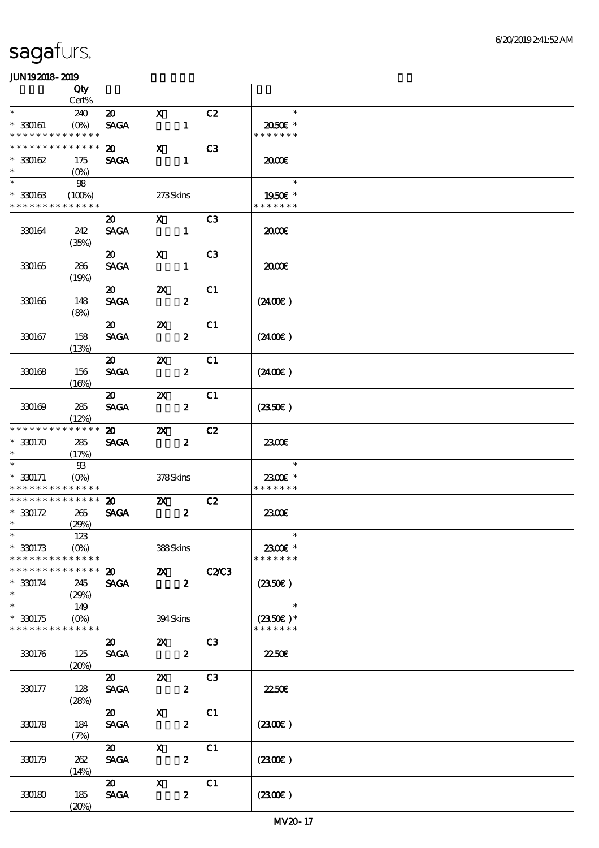|                             | Qty                    |                                            |                                                                                                                                                                                                                                                                                                                                 |                  |                |               |  |
|-----------------------------|------------------------|--------------------------------------------|---------------------------------------------------------------------------------------------------------------------------------------------------------------------------------------------------------------------------------------------------------------------------------------------------------------------------------|------------------|----------------|---------------|--|
| $\ast$                      | Cert%                  |                                            |                                                                                                                                                                                                                                                                                                                                 |                  |                | $\ast$        |  |
| $* 330161$                  | 240<br>$(O\% )$        | $\boldsymbol{\mathfrak{D}}$<br><b>SAGA</b> | $\mathbf{x}$                                                                                                                                                                                                                                                                                                                    | $\mathbf{1}$     | C2             | 2050€ *       |  |
| * * * * * * * *             | * * * * * *            |                                            |                                                                                                                                                                                                                                                                                                                                 |                  |                | * * * * * * * |  |
| * * * * * * * *             | * * * * * *            | $\boldsymbol{\mathfrak{D}}$                | $\mathbf x$                                                                                                                                                                                                                                                                                                                     |                  | C <sub>3</sub> |               |  |
| $*3002$                     | 175                    | <b>SAGA</b>                                |                                                                                                                                                                                                                                                                                                                                 | $\mathbf{1}$     |                | æœ            |  |
| $\ast$                      |                        |                                            |                                                                                                                                                                                                                                                                                                                                 |                  |                |               |  |
| $\ast$                      | 98                     |                                            |                                                                                                                                                                                                                                                                                                                                 |                  |                | $\ast$        |  |
| $*30063$                    | (100%)                 |                                            | 273Skins                                                                                                                                                                                                                                                                                                                        |                  |                | 1950E *       |  |
| * * * * * * * *             | * * * * * *            |                                            |                                                                                                                                                                                                                                                                                                                                 |                  |                | * * * * * * * |  |
|                             |                        | $\boldsymbol{\mathfrak{D}}$                | $\mathbf X$ and $\mathbf X$ and $\mathbf X$ and $\mathbf X$ and $\mathbf X$ and $\mathbf X$ and $\mathbf X$ and $\mathbf X$ and $\mathbf X$ and $\mathbf X$ and $\mathbf X$ and $\mathbf X$ and $\mathbf X$ and $\mathbf X$ and $\mathbf X$ and $\mathbf X$ and $\mathbf X$ and $\mathbf X$ and $\mathbf X$ and $\mathbf X$ and |                  | C3             |               |  |
| 330164                      | 242                    | <b>SACA</b>                                |                                                                                                                                                                                                                                                                                                                                 | $\mathbf{1}$     |                | æœ            |  |
|                             | (35%)                  |                                            |                                                                                                                                                                                                                                                                                                                                 |                  |                |               |  |
| 330165                      | 286                    | $\boldsymbol{\mathfrak{D}}$<br><b>SAGA</b> | $\boldsymbol{\mathrm{X}}$                                                                                                                                                                                                                                                                                                       | $\mathbf{1}$     | C <sub>3</sub> | 2000          |  |
|                             | (19%)                  |                                            |                                                                                                                                                                                                                                                                                                                                 |                  |                |               |  |
|                             |                        | $\boldsymbol{\mathfrak{D}}$                | $\boldsymbol{\mathsf{Z}}$                                                                                                                                                                                                                                                                                                       |                  | C1             |               |  |
| 330166                      | 148                    | <b>SAGA</b>                                |                                                                                                                                                                                                                                                                                                                                 | $\boldsymbol{z}$ |                | (2400)        |  |
|                             | (8%)                   |                                            |                                                                                                                                                                                                                                                                                                                                 |                  |                |               |  |
|                             |                        | $\boldsymbol{\mathsf{20}}$                 | $\boldsymbol{\mathsf{Z}}$                                                                                                                                                                                                                                                                                                       |                  | C1             |               |  |
| 330167                      | 158                    | <b>SACA</b>                                |                                                                                                                                                                                                                                                                                                                                 | $\boldsymbol{z}$ |                | (240E)        |  |
|                             | (13%)                  |                                            |                                                                                                                                                                                                                                                                                                                                 |                  |                |               |  |
|                             |                        | $\boldsymbol{\mathfrak{D}}$                | $\boldsymbol{\mathsf{Z}}$                                                                                                                                                                                                                                                                                                       |                  | C1             |               |  |
| 330168                      | 156                    | <b>SAGA</b>                                |                                                                                                                                                                                                                                                                                                                                 | $\boldsymbol{z}$ |                | (2400)        |  |
|                             | (16%)                  |                                            |                                                                                                                                                                                                                                                                                                                                 |                  |                |               |  |
|                             |                        | $\boldsymbol{\omega}$                      | $\boldsymbol{\alpha}$                                                                                                                                                                                                                                                                                                           |                  | C1             |               |  |
| 330169                      | 285<br>(12%)           | <b>SAGA</b>                                |                                                                                                                                                                                                                                                                                                                                 | $\boldsymbol{z}$ |                | (2350)        |  |
| * * * * * * * *             | * * * * * *            | $\boldsymbol{\mathfrak{D}}$                | $\boldsymbol{\mathsf{Z}}$                                                                                                                                                                                                                                                                                                       |                  | C2             |               |  |
| $*330170$                   | 285                    | <b>SAGA</b>                                |                                                                                                                                                                                                                                                                                                                                 | $\boldsymbol{z}$ |                | 2300€         |  |
| $\ast$                      | (17%)                  |                                            |                                                                                                                                                                                                                                                                                                                                 |                  |                |               |  |
|                             | $\mathfrak{B}$         |                                            |                                                                                                                                                                                                                                                                                                                                 |                  |                | $\ast$        |  |
| $* 30071$                   | $(O\!/\!\!\delta)$     |                                            | 378Skins                                                                                                                                                                                                                                                                                                                        |                  |                | 2300€ *       |  |
| * * * * * * * * * * * * * * |                        |                                            |                                                                                                                                                                                                                                                                                                                                 |                  |                | * * * * * * * |  |
| * * * * * * * *             | * * * * * *            | $\boldsymbol{\mathfrak{D}}$                | $\boldsymbol{\mathsf{Z}}$                                                                                                                                                                                                                                                                                                       |                  | C2             |               |  |
| $* 330172$                  | 265                    | <b>SAGA</b>                                |                                                                                                                                                                                                                                                                                                                                 | $\boldsymbol{z}$ |                | 2300E         |  |
| $*$<br>$*$                  | (29%)                  |                                            |                                                                                                                                                                                                                                                                                                                                 |                  |                | $\ast$        |  |
|                             | 123                    |                                            |                                                                                                                                                                                                                                                                                                                                 |                  |                | 2300E *       |  |
| $*30173$<br>* * * * * * * * | $(O\%)$<br>* * * * * * |                                            | 388Skins                                                                                                                                                                                                                                                                                                                        |                  |                | * * * * * * * |  |
| * * * * * * *               | * * * * * *            | $\boldsymbol{\mathfrak{D}}$                | $\boldsymbol{\alpha}$                                                                                                                                                                                                                                                                                                           |                  | C2C3           |               |  |
| $* 330174$                  | 245                    | <b>SAGA</b>                                |                                                                                                                                                                                                                                                                                                                                 | $\boldsymbol{z}$ |                | (2350)        |  |
| $\ast$                      | (29%)                  |                                            |                                                                                                                                                                                                                                                                                                                                 |                  |                |               |  |
| $\ast$                      | 149                    |                                            |                                                                                                                                                                                                                                                                                                                                 |                  |                | $\ast$        |  |
| $*30175$                    | $(O\%)$                |                                            | 394Skins                                                                                                                                                                                                                                                                                                                        |                  |                | $(2350)$ *    |  |
| * * * * * * * *             | * * * * * *            |                                            |                                                                                                                                                                                                                                                                                                                                 |                  |                | * * * * * * * |  |
|                             |                        | $\boldsymbol{\mathfrak{D}}$                | $\mathbf{X}$                                                                                                                                                                                                                                                                                                                    |                  | C3             |               |  |
| 330176                      | 125                    | <b>SAGA</b>                                |                                                                                                                                                                                                                                                                                                                                 | $\boldsymbol{z}$ |                | 2250E         |  |
|                             | (20%)                  |                                            |                                                                                                                                                                                                                                                                                                                                 |                  |                |               |  |
|                             |                        | $\boldsymbol{\mathfrak{D}}$                | $\boldsymbol{\mathsf{X}}$                                                                                                                                                                                                                                                                                                       |                  | C3             |               |  |
| 330177                      | 128                    | <b>SAGA</b>                                |                                                                                                                                                                                                                                                                                                                                 | $\boldsymbol{z}$ |                | 2250E         |  |
|                             | (28%)                  | $\boldsymbol{\mathfrak{D}}$                | $\mathbf x$                                                                                                                                                                                                                                                                                                                     |                  | C1             |               |  |
| 330178                      | 184                    | <b>SAGA</b>                                |                                                                                                                                                                                                                                                                                                                                 | $\boldsymbol{z}$ |                | (2300)        |  |
|                             | (7%)                   |                                            |                                                                                                                                                                                                                                                                                                                                 |                  |                |               |  |
|                             |                        | $\boldsymbol{\mathfrak{D}}$                | $\mathbf{X}$                                                                                                                                                                                                                                                                                                                    |                  | C1             |               |  |
| 330179                      | 262                    | <b>SAGA</b>                                |                                                                                                                                                                                                                                                                                                                                 | $\boldsymbol{z}$ |                | (230E)        |  |
|                             | (14%)                  |                                            |                                                                                                                                                                                                                                                                                                                                 |                  |                |               |  |
|                             |                        | $\boldsymbol{\mathfrak{D}}$                | $\boldsymbol{\mathrm{X}}$                                                                                                                                                                                                                                                                                                       |                  | C1             |               |  |
| 330180                      | 185                    | <b>SAGA</b>                                |                                                                                                                                                                                                                                                                                                                                 | $\boldsymbol{z}$ |                | (2300)        |  |
|                             | (20%)                  |                                            |                                                                                                                                                                                                                                                                                                                                 |                  |                |               |  |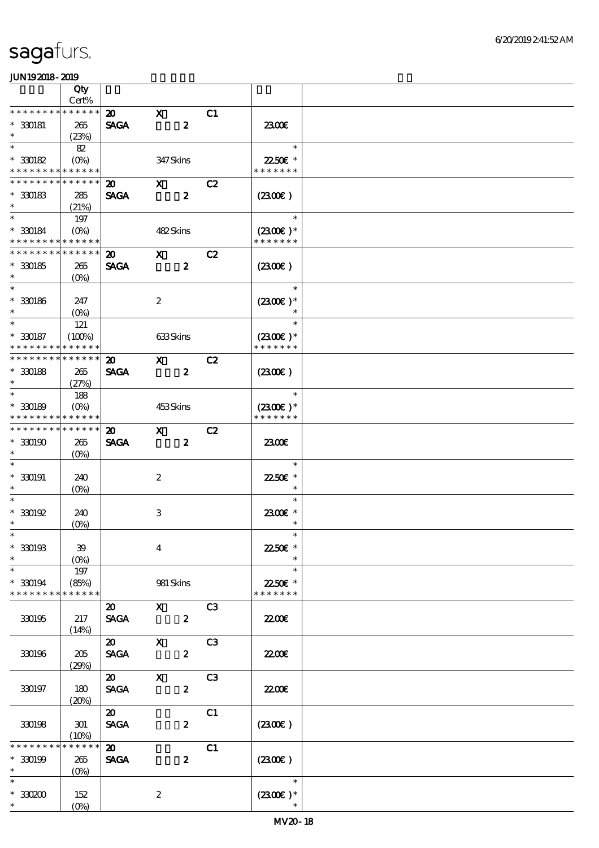|                                            | Qty<br>Cert%         |                             |                                                                                                                                                                                                                                                                                                                               |                  |                |                           |  |
|--------------------------------------------|----------------------|-----------------------------|-------------------------------------------------------------------------------------------------------------------------------------------------------------------------------------------------------------------------------------------------------------------------------------------------------------------------------|------------------|----------------|---------------------------|--|
| * * * * * * * * * * * * * *                |                      | $\boldsymbol{\mathfrak{D}}$ | $\mathbf{x}$                                                                                                                                                                                                                                                                                                                  |                  | C1             |                           |  |
| $* 30081$<br>$\ast$                        | 265<br>(23%)         | <b>SAGA</b>                 |                                                                                                                                                                                                                                                                                                                               | $\boldsymbol{z}$ |                | 2300E                     |  |
| $\ast$                                     | 82                   |                             |                                                                                                                                                                                                                                                                                                                               |                  |                | $\ast$                    |  |
| $*30082$                                   | $(O\% )$             |                             | 347Skins                                                                                                                                                                                                                                                                                                                      |                  |                | 22.50€ *                  |  |
| * * * * * * * * * * * * * *                |                      |                             |                                                                                                                                                                                                                                                                                                                               |                  |                | * * * * * * *             |  |
| * * * * * * * * <mark>* * * * * *</mark> * |                      | $\boldsymbol{\mathsf{20}}$  | $\mathbf{X}$                                                                                                                                                                                                                                                                                                                  |                  | C2             |                           |  |
| $*30083$                                   | 285                  | <b>SAGA</b>                 |                                                                                                                                                                                                                                                                                                                               | $\boldsymbol{z}$ |                | $(2300\varepsilon)$       |  |
| $\ast$                                     | (21%)                |                             |                                                                                                                                                                                                                                                                                                                               |                  |                |                           |  |
| $\ast$                                     | 197                  |                             |                                                                                                                                                                                                                                                                                                                               |                  |                | $\ast$                    |  |
| $*30084$                                   | $(O\%)$              |                             | 482Skins                                                                                                                                                                                                                                                                                                                      |                  |                | $(2300)$ *                |  |
| * * * * * * * * * * * * * *                |                      |                             |                                                                                                                                                                                                                                                                                                                               |                  |                | * * * * * * *             |  |
| * * * * * * * *                            | * * * * * *          | $\boldsymbol{\mathfrak{D}}$ | $\mathbf{x}$                                                                                                                                                                                                                                                                                                                  |                  | C2             |                           |  |
| $*30085$                                   | 265                  | <b>SAGA</b>                 |                                                                                                                                                                                                                                                                                                                               | $\boldsymbol{z}$ |                | (2300)                    |  |
| $\ast$<br>$\ast$                           | $(O\%)$              |                             |                                                                                                                                                                                                                                                                                                                               |                  |                | $\ast$                    |  |
|                                            |                      |                             |                                                                                                                                                                                                                                                                                                                               |                  |                |                           |  |
| $*$ 330186<br>$\ast$                       | 247                  |                             | $\boldsymbol{2}$                                                                                                                                                                                                                                                                                                              |                  |                | $(2300)$ *<br>$\ast$      |  |
| $\ast$                                     | $(O\%)$              |                             |                                                                                                                                                                                                                                                                                                                               |                  |                | $\ast$                    |  |
| $*30187$                                   | 121<br>(100%)        |                             | 633Skins                                                                                                                                                                                                                                                                                                                      |                  |                | $(2300)$ *                |  |
| * * * * * * * *                            | * * * * * *          |                             |                                                                                                                                                                                                                                                                                                                               |                  |                | * * * * * * *             |  |
| * * * * * * * *                            | * * * * * *          | $\boldsymbol{\mathfrak{D}}$ | $\mathbf{X}$                                                                                                                                                                                                                                                                                                                  |                  | C2             |                           |  |
| $*30088$                                   | 265                  | <b>SAGA</b>                 |                                                                                                                                                                                                                                                                                                                               | $\boldsymbol{z}$ |                | (230)                     |  |
| $\ast$                                     | (27%)                |                             |                                                                                                                                                                                                                                                                                                                               |                  |                |                           |  |
| $\ast$                                     | 188                  |                             |                                                                                                                                                                                                                                                                                                                               |                  |                | $\ast$                    |  |
| $*30189$                                   | $(O\%)$              |                             | 453Skins                                                                                                                                                                                                                                                                                                                      |                  |                | $(2300)$ *                |  |
| * * * * * * * * * * * * * *                |                      |                             |                                                                                                                                                                                                                                                                                                                               |                  |                | * * * * * * *             |  |
| * * * * * * * * * * * * * *                |                      | $\boldsymbol{\mathfrak{D}}$ | $\mathbf{X}$                                                                                                                                                                                                                                                                                                                  |                  | C2             |                           |  |
| $*3000$                                    | 265                  | <b>SAGA</b>                 |                                                                                                                                                                                                                                                                                                                               | $\boldsymbol{z}$ |                | 2300                      |  |
| $\ast$                                     | $(O\%)$              |                             |                                                                                                                                                                                                                                                                                                                               |                  |                |                           |  |
| $\ast$                                     |                      |                             |                                                                                                                                                                                                                                                                                                                               |                  |                | $\ast$                    |  |
| $* 330191$                                 | 240                  |                             | $\boldsymbol{2}$                                                                                                                                                                                                                                                                                                              |                  |                | 2250E *                   |  |
| $\ast$                                     | $(O\%)$              |                             |                                                                                                                                                                                                                                                                                                                               |                  |                | $\ast$                    |  |
| $\ast$                                     |                      |                             |                                                                                                                                                                                                                                                                                                                               |                  |                | $\ast$                    |  |
| $^*$ 330192 $\,$                           | 240                  |                             | $\,3$                                                                                                                                                                                                                                                                                                                         |                  |                | 2300E *                   |  |
| $\ast$                                     | (0%)                 |                             |                                                                                                                                                                                                                                                                                                                               |                  |                | $\ast$                    |  |
| $*$                                        |                      |                             |                                                                                                                                                                                                                                                                                                                               |                  |                | $\ast$                    |  |
| $*30093$                                   | 39                   |                             | $\boldsymbol{4}$                                                                                                                                                                                                                                                                                                              |                  |                | 22.50€ *                  |  |
| $\ast$<br>$\ast$                           | $(O\%)$              |                             |                                                                                                                                                                                                                                                                                                                               |                  |                | $\ast$<br>$\ast$          |  |
|                                            | 197                  |                             |                                                                                                                                                                                                                                                                                                                               |                  |                |                           |  |
| $*30094$<br>* * * * * * * *                | (85%)<br>* * * * * * |                             | 981 Skins                                                                                                                                                                                                                                                                                                                     |                  |                | 22.50€ *<br>* * * * * * * |  |
|                                            |                      | $\boldsymbol{\mathsf{20}}$  | $\mathbf{x}$ and $\mathbf{x}$ and $\mathbf{x}$ and $\mathbf{x}$ and $\mathbf{x}$ and $\mathbf{x}$ and $\mathbf{x}$ and $\mathbf{x}$ and $\mathbf{x}$ and $\mathbf{x}$ and $\mathbf{x}$ and $\mathbf{x}$ and $\mathbf{x}$ and $\mathbf{x}$ and $\mathbf{x}$ and $\mathbf{x}$ and $\mathbf{x}$ and $\mathbf{x}$ and $\mathbf{x$ |                  | C <sub>3</sub> |                           |  |
| 330195                                     | 217                  | <b>SAGA</b>                 |                                                                                                                                                                                                                                                                                                                               | $\boldsymbol{z}$ |                | 2200                      |  |
|                                            | (14%)                |                             |                                                                                                                                                                                                                                                                                                                               |                  |                |                           |  |
|                                            |                      | $\boldsymbol{\mathsf{20}}$  | $\mathbf{x}$                                                                                                                                                                                                                                                                                                                  |                  | C <sub>3</sub> |                           |  |
| 330196                                     | 205                  | <b>SAGA</b>                 |                                                                                                                                                                                                                                                                                                                               | $\boldsymbol{2}$ |                | <b>2200E</b>              |  |
|                                            | (29%)                |                             |                                                                                                                                                                                                                                                                                                                               |                  |                |                           |  |
|                                            |                      | $\boldsymbol{\omega}$       | $\mathbf{X}$                                                                                                                                                                                                                                                                                                                  |                  | C <sub>3</sub> |                           |  |
| 330197                                     | 180                  | <b>SAGA</b>                 |                                                                                                                                                                                                                                                                                                                               | $\boldsymbol{z}$ |                | 22.00 <del>€</del>        |  |
|                                            | (20%)                |                             |                                                                                                                                                                                                                                                                                                                               |                  |                |                           |  |
|                                            |                      | $\boldsymbol{\mathsf{20}}$  |                                                                                                                                                                                                                                                                                                                               |                  | C1             |                           |  |
| 330198                                     | 301                  | <b>SAGA</b>                 |                                                                                                                                                                                                                                                                                                                               | $\boldsymbol{z}$ |                | (230)                     |  |
|                                            | (10%)                |                             |                                                                                                                                                                                                                                                                                                                               |                  |                |                           |  |
| * * * * * * * *                            | * * * * * *          | $\boldsymbol{\mathfrak{D}}$ |                                                                                                                                                                                                                                                                                                                               |                  | C1             |                           |  |
| $* 330199$                                 | 265                  | <b>SAGA</b>                 |                                                                                                                                                                                                                                                                                                                               | $\boldsymbol{z}$ |                | (2300)                    |  |
| $\ast$                                     | $(O\%)$              |                             |                                                                                                                                                                                                                                                                                                                               |                  |                |                           |  |
| $\ast$                                     |                      |                             |                                                                                                                                                                                                                                                                                                                               |                  |                | $\ast$                    |  |
| $^\ast$ 330200<br>$\ast$                   | 152                  |                             | $\boldsymbol{2}$                                                                                                                                                                                                                                                                                                              |                  |                | $(2300)$ *                |  |
|                                            | $(O\!/\!\!\delta)$   |                             |                                                                                                                                                                                                                                                                                                                               |                  |                |                           |  |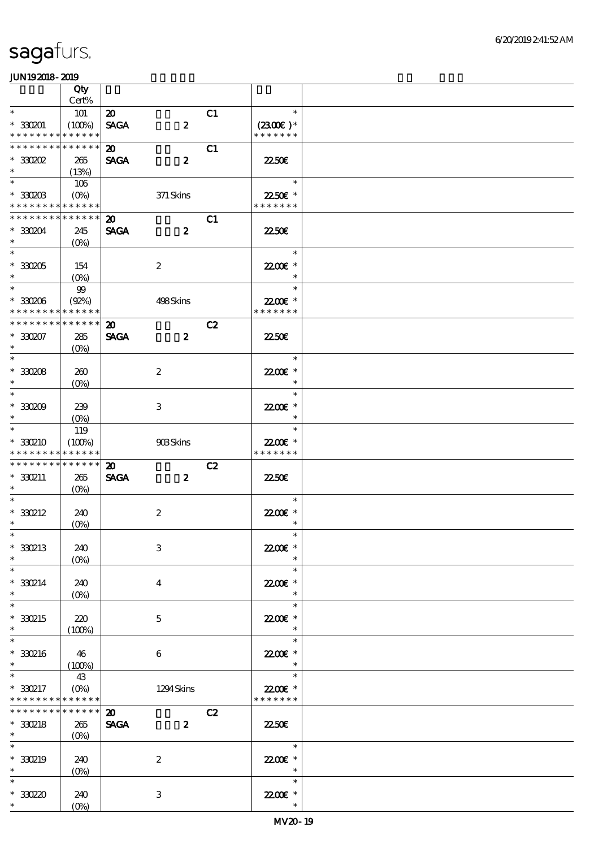|                                    | Qty                             |                             |                  |    |                          |  |
|------------------------------------|---------------------------------|-----------------------------|------------------|----|--------------------------|--|
|                                    | Cert%                           |                             |                  |    |                          |  |
| $\ast$                             | 101                             | $\boldsymbol{\mathfrak{D}}$ |                  | C1 | $\ast$                   |  |
| $*30001$                           | (100%)                          | <b>SAGA</b>                 | $\boldsymbol{z}$ |    | $(2300)$ *               |  |
| * * * * * * * *                    | * * * * * *                     |                             |                  |    | * * * * * * *            |  |
| * * * * * * * *                    | * * * * * *                     | $\boldsymbol{\mathfrak{D}}$ |                  | C1 |                          |  |
| $*30002$                           | 265                             | <b>SAGA</b>                 | $\boldsymbol{z}$ |    | 2250E                    |  |
| $\ast$                             | (13%)                           |                             |                  |    |                          |  |
| $\ast$                             | 106                             |                             |                  |    | $\ast$                   |  |
| $*33000B$                          |                                 |                             | 371 Skins        |    | 22.50€ *                 |  |
| * * * * * * * * * * * * * *        |                                 |                             |                  |    | * * * * * * *            |  |
| $*********$                        | * * * * * *                     | $\boldsymbol{\mathfrak{D}}$ |                  | C1 |                          |  |
| $*30004$                           | 245                             | <b>SAGA</b>                 | $\boldsymbol{z}$ |    | <b>22.50E</b>            |  |
| $\ast$<br>$\overline{\phantom{0}}$ | $(O\%)$                         |                             |                  |    |                          |  |
|                                    |                                 |                             |                  |    | $\ast$                   |  |
| $*330205$                          | 154                             |                             | $\boldsymbol{2}$ |    | 22.00 £*                 |  |
| $\ast$                             | $(O\% )$                        |                             |                  |    | $\ast$                   |  |
| $\overline{\ast}$                  | $99$                            |                             |                  |    | $\sim$<br>$\ast$         |  |
| $*30006$                           | (Q2%)                           |                             | 498Skins         |    | 22.00 £*                 |  |
| * * * * * * * *                    | * * * * * *                     |                             |                  |    | * * * * * * *            |  |
| * * * * * * * *                    | * * * * * *                     | $\boldsymbol{\mathfrak{D}}$ |                  | C2 |                          |  |
| $*30007$                           | 285                             | <b>SAGA</b>                 | $\boldsymbol{z}$ |    | 2250E                    |  |
| $\ast$<br>$\overline{\phantom{0}}$ | $(O\%)$                         |                             |                  |    |                          |  |
|                                    |                                 |                             |                  |    | $\ast$                   |  |
| $^\ast$ 330208                     | 260                             |                             | $\boldsymbol{2}$ |    | 22.00E *                 |  |
| $\ast$<br>$\overline{\ast}$        | $(O\!\!\!\!\!\!\backslash\rho)$ |                             |                  |    | $\ast$                   |  |
|                                    |                                 |                             |                  |    | $\ast$                   |  |
| $*30009$                           | 239                             |                             | 3                |    | 2200E *                  |  |
| $\ast$                             | $(O\!/\!\!\delta)$              |                             |                  |    | $\ast$                   |  |
| $\ast$                             | 119                             |                             |                  |    | $\ast$                   |  |
| * 330210                           | (100%)                          |                             | 908Skins         |    | 22.00€ *                 |  |
| * * * * * * * *                    | * * * * * *                     |                             |                  |    | * * * * * * *            |  |
| * * * * * * * *                    | * * * * * *                     | $\boldsymbol{\mathfrak{D}}$ |                  | C2 |                          |  |
| $*330211$                          | 265                             | <b>SAGA</b>                 | $\boldsymbol{z}$ |    | 2250E                    |  |
| $*$<br>$\ast$                      | $(O\%)$                         |                             |                  |    | $\ast$                   |  |
| $*330212$                          |                                 |                             |                  |    | 22.00E *                 |  |
| $\ast$                             | 240                             |                             | $\boldsymbol{2}$ |    | $\ast$                   |  |
| $*$                                | $(O\%)$                         |                             |                  |    | $\ast$                   |  |
| $*30213$                           | 240                             |                             | $\,3$            |    | 22.00€ *                 |  |
| $\ast$                             |                                 |                             |                  |    | $\ast$                   |  |
| $\ast$                             | $(O\%)$                         |                             |                  |    | $\ast$                   |  |
| $*330214$                          | 240                             |                             |                  |    | 22.00 *                  |  |
| $\ast$                             |                                 |                             | $\bf{4}$         |    | $\ast$                   |  |
| $\ast$                             | $(O\!\!\!\!\!\!\backslash\rho)$ |                             |                  |    | $\ast$                   |  |
| * 330215                           | 220                             |                             | $\mathbf{5}$     |    | 2200E *                  |  |
| $\ast$                             | (100%)                          |                             |                  |    | $\ast$                   |  |
| $\ast$                             |                                 |                             |                  |    | $\ast$                   |  |
| $*330216$                          | 46                              |                             | 6                |    | 22.00E *                 |  |
| $\ast$                             | (100%)                          |                             |                  |    | $\ast$                   |  |
| $\ast$                             | 43                              |                             |                  |    | $\ast$                   |  |
| $*330217$                          | $(O\!\!\!\!\!\!\backslash\rho)$ |                             | 1294 Skins       |    | 22.00€ *                 |  |
| * * * * * * * *                    | * * * * * *                     |                             |                  |    | * * * * * * *            |  |
| * * * * * * * *                    | * * * * * *                     | $\boldsymbol{\mathfrak{D}}$ |                  | C2 |                          |  |
| $*330218$                          | 265                             | <b>SAGA</b>                 | $\boldsymbol{z}$ |    | <b>2250E</b>             |  |
| $*$                                | $(O\!\!\!\!\!\!\backslash\rho)$ |                             |                  |    |                          |  |
| $\ast$                             |                                 |                             |                  |    | $\ast$                   |  |
| $*330219$                          | 240                             |                             | $\boldsymbol{2}$ |    | 22.00E *                 |  |
| $\ast$                             | $(O\%)$                         |                             |                  |    | $\overline{\phantom{a}}$ |  |
| $\ast$                             |                                 |                             |                  |    | $\ast$                   |  |
| $*3020$                            | 240                             |                             | 3                |    | 22.00 £*                 |  |
|                                    |                                 |                             |                  |    |                          |  |
| $*$ $*$                            | $(O\%)$                         |                             |                  |    | $\ast$                   |  |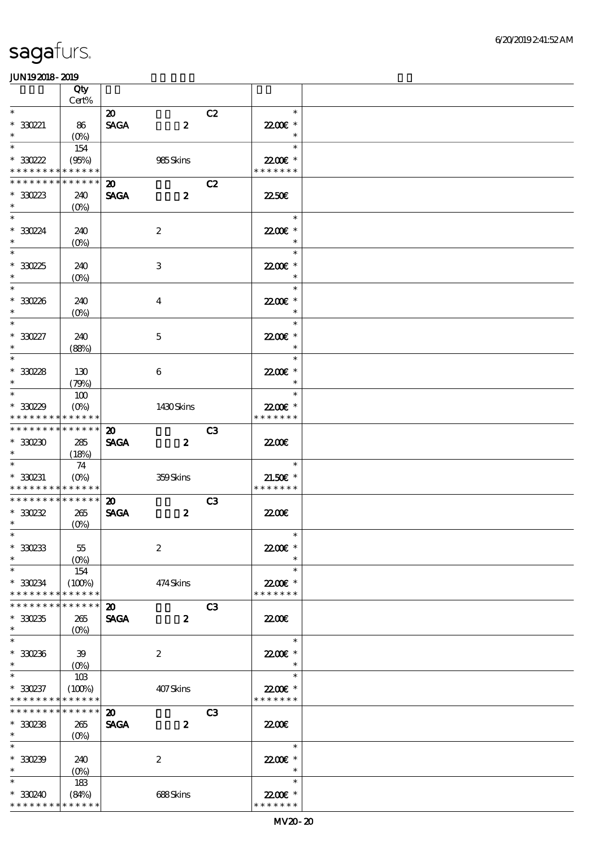|                                                                 | Qty                          |                                            |                  |                |                                       |  |
|-----------------------------------------------------------------|------------------------------|--------------------------------------------|------------------|----------------|---------------------------------------|--|
| $\ast$                                                          | Cert%                        |                                            |                  |                |                                       |  |
| $*330221$                                                       | 86                           | $\boldsymbol{\mathfrak{D}}$<br><b>SAGA</b> | $\boldsymbol{z}$ | C2             | $\ast$<br>22.00 *                     |  |
| $\ast$                                                          | $(0\%)$                      |                                            |                  |                | $\ast$                                |  |
| $\ast$<br>$*30222$<br>* * * * * * * * * * * * * *               | 154<br>(95%)                 |                                            | 985Skins         |                | $\ast$<br>22.00 £*<br>* * * * * * *   |  |
| * * * * * * * * * * * * * *                                     |                              |                                            |                  |                |                                       |  |
| $*30223$<br>$\ast$                                              | 240<br>$(O\%)$               | $\boldsymbol{\mathfrak{D}}$<br><b>SAGA</b> | $\boldsymbol{z}$ | C2             | 2250E                                 |  |
| $\overline{\ast}$<br>$*330224$<br>$\ast$                        | 240<br>$(0\%)$               |                                            | $\boldsymbol{2}$ |                | $\ast$<br>22.00 *<br>$\ast$           |  |
| $\overline{\phantom{0}}$<br>$*3025$<br>$\ast$                   | 240<br>$(O\%)$               |                                            | $\,3$            |                | $\ast$<br>22.00€ *<br>$\ast$          |  |
| $\overline{\ast}$<br>$*30236$<br>$\ast$                         | 240<br>$(O\%)$               |                                            | $\boldsymbol{4}$ |                | $\ast$<br>22.00 £*<br>$\ast$          |  |
| $\ast$                                                          |                              |                                            |                  |                | $\ast$                                |  |
| $^*$ 330227 $\,$<br>$\ast$                                      | 240<br>(88%)                 |                                            | $\mathbf 5$      |                | 22.00 £*<br>$\ast$                    |  |
| $\ast$                                                          |                              |                                            |                  |                | $\ast$                                |  |
| $*3028$<br>$\ast$                                               | 130<br>(79%)                 |                                            | $\boldsymbol{6}$ |                | 22.00€ *<br>$\ast$                    |  |
| $\ast$<br>$*3029$                                               | 100<br>$(O\!/\!o)$           |                                            | 1430Skins        |                | $\ast$<br>22.00 £*                    |  |
| * * * * * * * * <mark>* * * * * * *</mark>                      |                              |                                            |                  |                | * * * * * * *                         |  |
| * * * * * * * * * * * * * *<br>$*30230$<br>$\ast$               | 285<br>(18%)                 | $\boldsymbol{\mathfrak{D}}$<br><b>SAGA</b> | $\boldsymbol{z}$ | C <sub>3</sub> | 2200                                  |  |
| $\ast$<br>$*330231$<br>* * * * * * * * <mark>* * * * * *</mark> | 74<br>$(O\%)$                |                                            | 359Skins         |                | $\ast$<br>$21.50E$ *<br>* * * * * * * |  |
| ******** <mark>*******</mark>                                   |                              | $\boldsymbol{\mathfrak{D}}$                |                  | C3             |                                       |  |
| $*30232$<br>$*$                                                 | 265<br>$(O\%)$               | <b>SAGA</b>                                | $\boldsymbol{z}$ |                | 2200                                  |  |
| $*$<br>$*30233$<br>$\ast$                                       | 55<br>$(O\%)$                |                                            | $\boldsymbol{2}$ |                | $\ast$<br>22.00E *<br>$\ast$          |  |
| $\ast$<br>$*330234$<br>* * * * * * * *                          | 154<br>(100%)<br>* * * * * * |                                            | 474Skins         |                | $\ast$<br>22.00€ *<br>* * * * * * *   |  |
| * * * * * * * *                                                 | * * * * * *                  | $\boldsymbol{\mathfrak{D}}$                |                  | C <sub>3</sub> |                                       |  |
| $*30235$<br>$\ast$                                              | 265<br>$(O\!/\!\!\delta)$    | <b>SAGA</b>                                | $\boldsymbol{z}$ |                | 2200                                  |  |
| $\ast$<br>$*30236$<br>$\ast$                                    | 39                           |                                            | $\boldsymbol{2}$ |                | $\ast$<br>22.00E *<br>$\ast$          |  |
| $\ast$<br>$*330237$                                             | $(O\%)$<br>10B<br>(100%)     |                                            | 407Skins         |                | $\ast$<br>22.00€ *                    |  |
| * * * * * * * *                                                 | * * * * * *                  |                                            |                  |                | * * * * * * *                         |  |
| * * * * * * * * * * * * * *<br>$*30238$<br>$*$                  | 265<br>$(O\%)$               | $\boldsymbol{\mathfrak{D}}$<br><b>SAGA</b> | $\boldsymbol{z}$ | C <sub>3</sub> | 2200                                  |  |
| $\ast$                                                          |                              |                                            |                  |                | $\ast$                                |  |
| $*30239$<br>$\ast$                                              | 240<br>$(O\%)$               |                                            | $\boldsymbol{2}$ |                | 22.00E *<br>$\ast$                    |  |
| $\ast$                                                          | 183                          |                                            |                  |                | $\ast$                                |  |
| $*330240$                                                       | (84%)                        |                                            | 688Skins         |                | 22.00€ *                              |  |
| * * * * * * * *                                                 | * * * * * *                  |                                            |                  |                | * * * * * * *                         |  |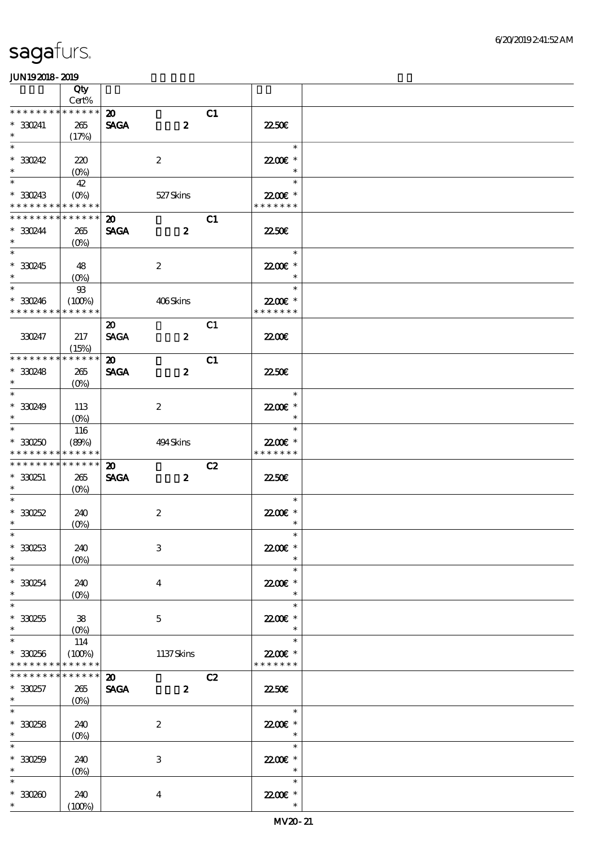|                                                               | Qty             |                             |                  |    |                           |  |
|---------------------------------------------------------------|-----------------|-----------------------------|------------------|----|---------------------------|--|
| * * * * * * * *                                               | $Cert\%$        |                             |                  |    |                           |  |
|                                                               | * * * * * *     | $\boldsymbol{\mathfrak{D}}$ |                  | C1 |                           |  |
| $*330241$<br>$\ast$                                           | 265             | <b>SAGA</b>                 | $\boldsymbol{z}$ |    | 2250E                     |  |
| $\overline{\ast}$                                             | (17%)           |                             |                  |    | $\ast$                    |  |
|                                                               |                 |                             |                  |    |                           |  |
| $*30242$<br>$\ast$                                            | 220             |                             | $\boldsymbol{2}$ |    | 22.00E *<br>$\ast$        |  |
| $\overline{\phantom{0}}$                                      | $(0\%)$         |                             |                  |    | $\ast$                    |  |
|                                                               | 42              |                             |                  |    |                           |  |
| $*330243$                                                     |                 |                             | 527Skins         |    | 22.00€ *<br>* * * * * * * |  |
| * * * * * * * * <mark>* * * * * * *</mark><br>* * * * * * * * | * * * * * *     |                             |                  |    |                           |  |
|                                                               |                 | $\boldsymbol{\mathfrak{D}}$ |                  | C1 |                           |  |
| * 330244<br>$\ast$                                            | 265             | <b>SAGA</b>                 | $\boldsymbol{z}$ |    | <b>2250E</b>              |  |
| $\overline{\ast}$                                             | $(O\%)$         |                             |                  |    | $\ast$                    |  |
| $*330245$                                                     |                 |                             | $\boldsymbol{2}$ |    | 22.00E *                  |  |
| $\ast$                                                        | 48<br>$(0\%)$   |                             |                  |    | $\ast$                    |  |
| $\overline{\phantom{0}}$                                      | $93$            |                             |                  |    | $\ast$                    |  |
| $*330246$                                                     | (100%)          |                             | 406Skins         |    | 22.00€ *                  |  |
| * * * * * * * *                                               | * * * * * *     |                             |                  |    | * * * * * * *             |  |
|                                                               |                 | $\boldsymbol{\mathfrak{D}}$ |                  | C1 |                           |  |
| 330247                                                        | 217             | <b>SAGA</b>                 | $\boldsymbol{z}$ |    | <b>22006</b>              |  |
|                                                               | (15%)           |                             |                  |    |                           |  |
| * * * * * * * *                                               | * * * * * *     | $\boldsymbol{\mathsf{20}}$  |                  | C1 |                           |  |
| $*30248$                                                      | 265             | <b>SAGA</b>                 | $\boldsymbol{z}$ |    | 2250E                     |  |
| $\ast$                                                        | $(O\%)$         |                             |                  |    |                           |  |
| $\ast$                                                        |                 |                             |                  |    | $\ast$                    |  |
| $*30249$                                                      | 113             |                             | $\boldsymbol{2}$ |    | 22.00 £*                  |  |
| $\ast$                                                        | $(0\%)$         |                             |                  |    | $\ast$                    |  |
| $\overline{\phantom{0}}$                                      | 116             |                             |                  |    | $\ast$                    |  |
| $*330250$                                                     | (80%)           |                             | 494Skins         |    | 22.00 £*                  |  |
| * * * * * * * *                                               | * * * * * *     |                             |                  |    | * * * * * * *             |  |
| * * * * * * * * * * * * * *                                   |                 | $\boldsymbol{\mathsf{20}}$  |                  | C2 |                           |  |
| $*330251$                                                     | 265             | <b>SAGA</b>                 | $\boldsymbol{2}$ |    | 2250E                     |  |
| $\ast$                                                        | $(O\%)$         |                             |                  |    |                           |  |
| $\ast$                                                        |                 |                             |                  |    | $\ast$                    |  |
| $*30252$                                                      | 240             |                             | $\boldsymbol{2}$ |    | 22.00 £*                  |  |
| $\ast$                                                        | $(0\%)$         |                             |                  |    | $\ast$                    |  |
| $*$                                                           |                 |                             |                  |    | $\ast$                    |  |
| $*30253$                                                      | 240             |                             | $\,3$            |    | 22.00€ *                  |  |
| $\ast$<br>$\ast$                                              | $(0\%)$         |                             |                  |    | $\ast$<br>$\ast$          |  |
|                                                               |                 |                             |                  |    |                           |  |
| $*330254$<br>$\ast$                                           | 240             |                             | $\boldsymbol{4}$ |    | 22.00 £*<br>$\ast$        |  |
| $\ast$                                                        | $(O\%)$         |                             |                  |    | $\ast$                    |  |
| $*30255$                                                      | ${\bf 38}$      |                             | $\mathbf{5}$     |    | 22.00E *                  |  |
| $\ast$                                                        |                 |                             |                  |    | $\ast$                    |  |
| $\ast$                                                        | 114             |                             |                  |    | $\ast$                    |  |
| $*330256$                                                     | (100%)          |                             | 1137Skins        |    | 22.00€ *                  |  |
| * * * * * * * *                                               | * * * * * *     |                             |                  |    | * * * * * * *             |  |
| * * * * * * * *                                               | $* * * * * * *$ | $\boldsymbol{\mathfrak{D}}$ |                  | C2 |                           |  |
| $*330257$                                                     | 265             | <b>SAGA</b>                 | $\boldsymbol{z}$ |    | <b>22.50€</b>             |  |
| $\ast$                                                        | $(0\%)$         |                             |                  |    |                           |  |
| $\ast$                                                        |                 |                             |                  |    | $\ast$                    |  |
| $*30258$                                                      | 240             |                             | $\boldsymbol{2}$ |    | 22.00 £*                  |  |
| $\ast$                                                        | $(0\%)$         |                             |                  |    | $\ast$                    |  |
| $\ast$                                                        |                 |                             |                  |    | $\ast$                    |  |
| $*330259$                                                     | 240             |                             | $\,3$            |    | 22.00€ *                  |  |
| $\ast$                                                        | $(0\%)$         |                             |                  |    | $\ast$                    |  |
| $\ast$                                                        |                 |                             |                  |    | $\ast$                    |  |
| $*30200$                                                      | 240             |                             | $\boldsymbol{4}$ |    | 22.00 £*                  |  |
| $*$                                                           | (100%)          |                             |                  |    | $\ast$                    |  |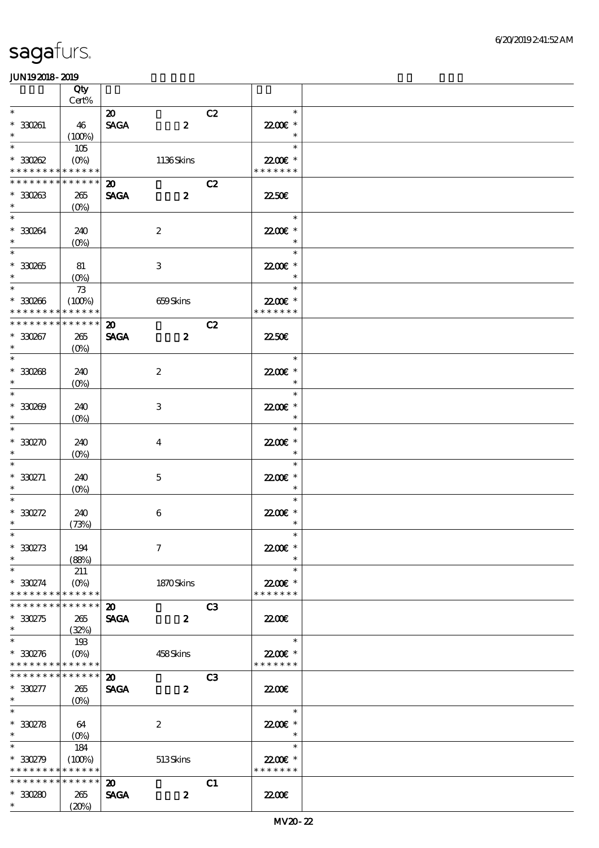|                                            | Qty                       |                             |                  |                |                    |  |
|--------------------------------------------|---------------------------|-----------------------------|------------------|----------------|--------------------|--|
| $\ast$                                     | $Cert\%$                  |                             |                  |                |                    |  |
|                                            |                           | $\boldsymbol{\mathfrak{D}}$ |                  | C2             | $\ast$             |  |
| $* 330261$<br>$\ast$                       | 46                        | <b>SAGA</b>                 | $\boldsymbol{z}$ |                | 22.00€ *<br>$\ast$ |  |
| $\ast$                                     | (100%)<br>105             |                             |                  |                | $\ast$             |  |
| $*30002$                                   |                           |                             | 1136Skins        |                | 22.00€ *           |  |
| * * * * * * * * <mark>* * * * * * *</mark> |                           |                             |                  |                | * * * * * * *      |  |
| * * * * * * * * <mark>* * * * * * *</mark> |                           | $\boldsymbol{\mathfrak{D}}$ |                  | C2             |                    |  |
| $*30263$                                   | 265                       | <b>SAGA</b>                 | $\boldsymbol{z}$ |                | 2250E              |  |
| $\ast$                                     | $(0\%)$                   |                             |                  |                |                    |  |
| $\ast$                                     |                           |                             |                  |                | $\ast$             |  |
| $*30064$                                   | 240                       |                             | $\boldsymbol{2}$ |                | 22.00€ *           |  |
| $\ast$                                     | $(O\%)$                   |                             |                  |                |                    |  |
| $\overline{\phantom{0}}$                   |                           |                             |                  |                | $\ast$             |  |
| $^\ast$ 330265                             | 81                        |                             | 3                |                | 22.00€ *           |  |
| $\ast$                                     | $(0\%)$                   |                             |                  |                | $\ast$             |  |
| $*$                                        | $7\!3$                    |                             |                  |                | $\ast$             |  |
| $*30266$                                   | (100%)                    |                             | 659Skins         |                | 22.00€ *           |  |
| * * * * * * * *                            | * * * * * *               |                             |                  |                | * * * * * * *      |  |
| * * * * * * * *                            | * * * * * *               | $\boldsymbol{\mathfrak{D}}$ |                  | C2             |                    |  |
| $*30267$                                   | 265                       | <b>SAGA</b>                 | $\boldsymbol{z}$ |                | <b>2250E</b>       |  |
| $\ast$                                     | $(O\%)$                   |                             |                  |                |                    |  |
| $\ast$                                     |                           |                             |                  |                | $\ast$             |  |
| $* 330088$                                 | 240                       |                             | $\boldsymbol{2}$ |                | 22.00€ *           |  |
| $\ast$                                     | $(O\%)$                   |                             |                  |                | $\ast$             |  |
| $\overline{\ast}$                          |                           |                             |                  |                | $\ast$             |  |
| $*30000$                                   | 240                       |                             | 3                |                | 22.00€ *           |  |
| $\ast$                                     | $(0\%)$                   |                             |                  |                | $\ast$             |  |
| $\ast$                                     |                           |                             |                  |                | $\ast$             |  |
| $*30270$                                   | 240                       |                             | $\bf{4}$         |                | 22.00€ *           |  |
| $\ast$<br>$\ast$                           | $(0\%)$                   |                             |                  |                | $\ast$<br>$\ast$   |  |
|                                            |                           |                             |                  |                |                    |  |
| $*330271$<br>$\ast$                        | 240                       |                             | $\mathbf 5$      |                | 22.00€ *<br>$\ast$ |  |
| $\ast$                                     | $(0\%)$                   |                             |                  |                | $\ast$             |  |
| $*330272$                                  | 240                       |                             | $\bf 6$          |                | 22.00 £*           |  |
| $\ast$                                     | (73%)                     |                             |                  |                | $\ast$             |  |
| $*$                                        |                           |                             |                  |                | $\ast$             |  |
| $^*$ 330273 $\,$                           | 194                       |                             | $\boldsymbol{7}$ |                | 22.00E *           |  |
| $\ast$                                     | (88%)                     |                             |                  |                | $\ast$             |  |
| $\ast$                                     | 211                       |                             |                  |                | $\ast$             |  |
| $*330274$                                  | $(O\%)$                   |                             | 1870Skins        |                | 22.00€ *           |  |
| * * * * * * * *                            | * * * * * *               |                             |                  |                | * * * * * * *      |  |
| * * * * * * * * <mark>* * * * * * *</mark> |                           | $\boldsymbol{\mathfrak{D}}$ |                  | C <sub>3</sub> |                    |  |
| $*330275$                                  | 265                       | <b>SAGA</b>                 | $\boldsymbol{z}$ |                | 2200               |  |
| $\ast$                                     | (32%)                     |                             |                  |                |                    |  |
| $\ast$                                     | 193                       |                             |                  |                | $\ast$             |  |
| $*30276$                                   | $(O\!\!\!\!\!\!\!/\,\!o)$ |                             | 458Skins         |                | 22.00€ *           |  |
| * * * * * * * * * * * * * *                |                           |                             |                  |                | * * * * * * *      |  |
| * * * * * * * *                            | * * * * * *               | $\boldsymbol{\mathsf{20}}$  |                  | C <sub>3</sub> |                    |  |
| $*330277$                                  | 265                       | <b>SAGA</b>                 | $\boldsymbol{z}$ |                | 2200               |  |
| $*$                                        | $(O\%)$                   |                             |                  |                |                    |  |
| $\overline{\ast}$                          |                           |                             |                  |                | $\ast$             |  |
| $*30278$                                   | 64                        |                             | $\boldsymbol{2}$ |                | 22.00 *            |  |
| $\ast$                                     | $(0\%)$                   |                             |                  |                | $\ast$             |  |
| $\ast$                                     | 184                       |                             |                  |                | $\ast$             |  |
| $*30279$                                   | (100%)                    |                             | 513Skins         |                | 22.00E *           |  |
| * * * * * * * * <mark>* * * * * *</mark> * |                           |                             |                  |                | * * * * * * *      |  |
| * * * * * * * *                            | * * * * * *               | $\boldsymbol{\mathfrak{D}}$ |                  | C1             |                    |  |
| $*30280$<br>$*$                            | 265                       | <b>SAGA</b>                 | $\boldsymbol{z}$ |                | 2200               |  |
|                                            | (20%)                     |                             |                  |                |                    |  |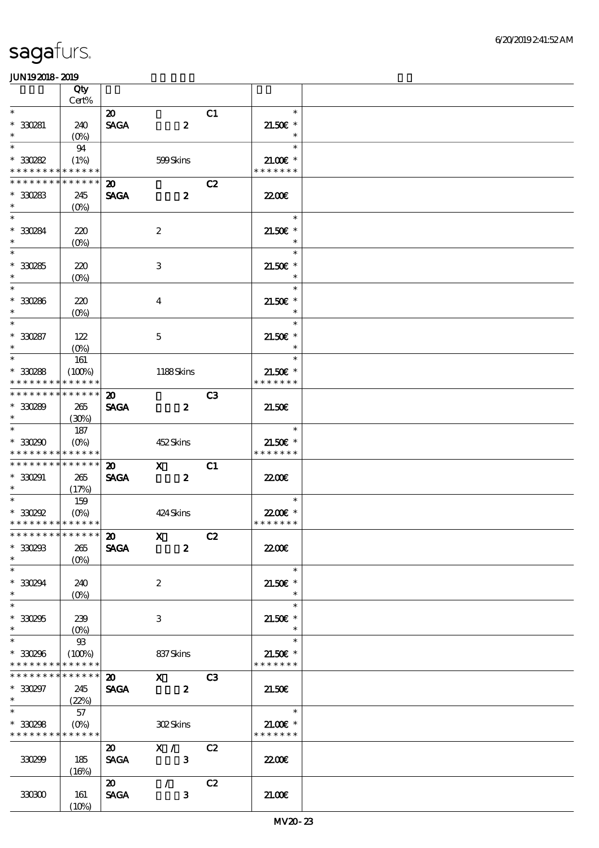|                                                     | Qty                           |                                                               |                                           |                |                                                 |  |
|-----------------------------------------------------|-------------------------------|---------------------------------------------------------------|-------------------------------------------|----------------|-------------------------------------------------|--|
| $\overline{\phantom{0}}$                            | Cert%                         |                                                               |                                           |                | $\ast$                                          |  |
| $* 330281$<br>$\ast$                                | 240<br>$(O\%)$                | $\boldsymbol{\mathfrak{D}}$<br>$\operatorname{\mathsf{SAGA}}$ | $\boldsymbol{z}$                          | C1             | $21.50E$ *                                      |  |
| $*$<br>$^\ast$ 330282                               | 94<br>(1%)                    |                                                               | 599Skins                                  |                | $\ast$<br>$21.00E$ *                            |  |
| * * * * * * * *                                     | * * * * * *                   |                                                               |                                           |                | * * * * * * *                                   |  |
| * * * * * * * *<br>$*30283$<br>$\ast$               | * * * * * *<br>245<br>$(O\%)$ | $\boldsymbol{\mathfrak{D}}$<br><b>SAGA</b>                    | $\boldsymbol{z}$                          | C2             | <b>2200</b> €                                   |  |
| $*$<br>* 330284<br>$\ast$                           | 220<br>$(O\!/\!\!\delta)$     |                                                               | $\boldsymbol{2}$                          |                | $\ast$<br>$21.50E$ *                            |  |
| $\overline{\ast}$<br>$*30285$<br>$\ast$             | 220<br>$(0\%)$                |                                                               | $\ensuremath{\mathbf{3}}$                 |                | $\ast$<br>$21.50E$ *<br>$\ast$                  |  |
| $\ast$<br>$*30286$<br>$\ast$                        | 220<br>$(O\%)$                |                                                               | $\overline{4}$                            |                | $\ast$<br>$21.50E$ *<br>$\ast$                  |  |
| $\overline{\ast}$                                   |                               |                                                               |                                           |                | $\ast$                                          |  |
| $* 330287$<br>$\ast$                                | 122<br>$(O\%)$                |                                                               | $\mathbf{5}$                              |                | $21.50E$ *<br>$\ast$                            |  |
| $*$<br>$*30288$<br>* * * * * * * *                  | 161<br>(100%)<br>* * * * * *  |                                                               | 1188Skins                                 |                | $\ast$<br>$21.50E$ *<br>* * * * * * *           |  |
| * * * * * * * *                                     | * * * * * *                   | $\boldsymbol{\mathfrak{D}}$                                   |                                           | C <sub>3</sub> |                                                 |  |
| $*30289$<br>$\ast$                                  | 265<br>(30%)                  | <b>SAGA</b>                                                   | $\boldsymbol{z}$                          |                | 21.50E                                          |  |
| $\ast$<br>$*30290$<br>* * * * * * * *               | 187<br>$(O\%)$<br>* * * * * * |                                                               | 452Skins                                  |                | $\ast$<br>$21.50E$ *<br>* * * * * * *           |  |
| * * * * * * * *<br>* 330291<br>$\ast$               | * * * * * *<br>265<br>(17%)   | $\boldsymbol{\mathfrak{D}}$<br><b>SAGA</b>                    | $\mathbf{x}$<br>$\boldsymbol{z}$          | C1             | 22.00 <del>€</del>                              |  |
| $\ast$<br>$*30292$<br>* * * * * * * * * * * * * * * | 159<br>$(O\%)$                |                                                               | 424 Skins                                 |                | $\ast$<br>22.00€ *<br>* * * * * * *             |  |
| ****************** 20                               |                               |                                                               | $X$ $C2$                                  |                |                                                 |  |
| $^\ast$ 330293<br>$\ast$                            | 265<br>$(O\%)$                | <b>SAGA</b>                                                   | $\boldsymbol{z}$                          |                | 2200                                            |  |
| $*330294$<br>$\ast$                                 | 240<br>$(O\!/\!\!\delta)$     |                                                               | $\boldsymbol{2}$                          |                | $\ast$<br>$21.50E$ *<br>$\ast$                  |  |
| $\ast$<br>$*30255$<br>$\ast$                        | 239<br>$(O\% )$               |                                                               | 3                                         |                | $\ast$<br>$21.50E$ *<br>$\ast$                  |  |
| $\ast$<br>$*30296$<br>* * * * * * * *               | $93$<br>(100%)<br>* * * * * * |                                                               | 837Skins                                  |                | $\ast$<br>$21.50E$ *<br>* * * * * * *           |  |
| * * * * * * * *<br>$*30297$<br>$\ast$               | * * * * * *<br>245<br>(22%)   | $\boldsymbol{\mathsf{20}}$<br><b>SAGA</b>                     | $\mathbf{x}$<br>$\overline{\mathbf{z}}$   | C3             | 21.50E                                          |  |
| $\overline{\ast}$<br>$*30298$<br>* * * * * * * *    | 57<br>$(O\%)$<br>* * * * * *  |                                                               | <b>302Skins</b>                           |                | $\ast$<br>$21.00$ $\epsilon$ *<br>* * * * * * * |  |
| 330299                                              | 185<br>(16%)                  | $\boldsymbol{\omega}$<br><b>SAGA</b>                          | $\mathbf{X}$ /<br>$\overline{\mathbf{3}}$ | C2             | 2200                                            |  |
| 330300                                              | 161<br>(10%)                  | $\boldsymbol{\mathfrak{D}}$<br><b>SAGA</b>                    | $\mathcal{T}$<br>$\mathbf{3}$             | C2             | 21.00E                                          |  |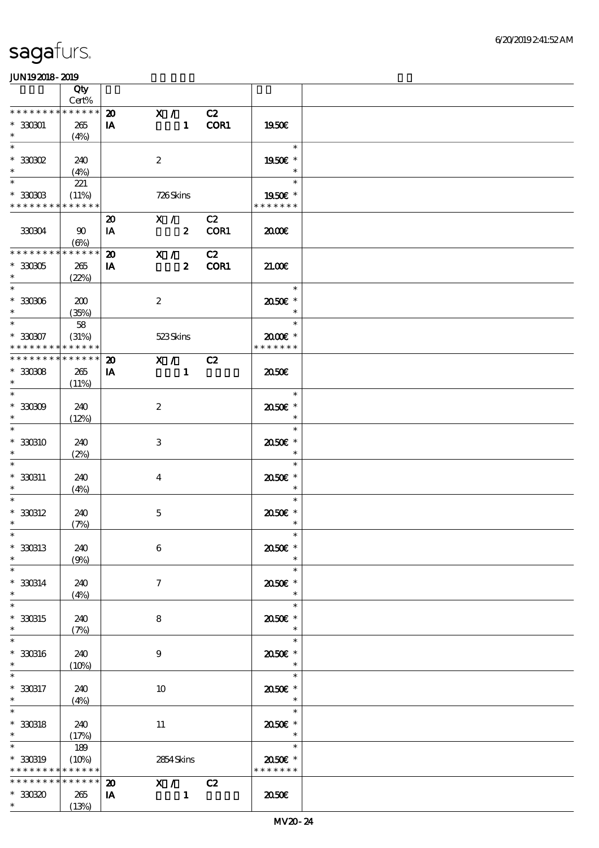|                   | Qty<br>Cert% |                             |                         |                |        |                          |  |
|-------------------|--------------|-----------------------------|-------------------------|----------------|--------|--------------------------|--|
|                   |              |                             |                         |                |        |                          |  |
| * * * * * * * *   | * * * * * *  | $\boldsymbol{\mathfrak{D}}$ | $\overline{X}$          |                | C2     |                          |  |
| $*330301$         | 265          | IA                          |                         |                | 1 COR1 | 1950E                    |  |
| $\ast$            |              |                             |                         |                |        |                          |  |
|                   | (4%)         |                             |                         |                |        |                          |  |
| $\ast$            |              |                             |                         |                |        | $\ast$                   |  |
| $*30002$          | 240          |                             | $\boldsymbol{2}$        |                |        | 1950€ *                  |  |
| $\ast$            |              |                             |                         |                |        | $\ast$                   |  |
|                   | (4%)         |                             |                         |                |        |                          |  |
| $\ast$            | 221          |                             |                         |                |        | $\ast$                   |  |
| $*330303$         | (11%)        |                             | 726Skins                |                |        | 1950E *                  |  |
|                   | * * * * * *  |                             |                         |                |        | * * * * * * *            |  |
| * * * * * * * *   |              |                             |                         |                |        |                          |  |
|                   |              | $\boldsymbol{\mathfrak{D}}$ | X / C2                  |                |        |                          |  |
| 330304            | 90           | IA                          | $\overline{\mathbf{z}}$ |                | COR1   | 2000                     |  |
|                   |              |                             |                         |                |        |                          |  |
|                   | (6%)         |                             |                         |                |        |                          |  |
| * * * * * * * *   | * * * * * *  | $\boldsymbol{\mathfrak{D}}$ | X /                     |                | C2     |                          |  |
| $*330305$         | 265          | IA                          |                         | $\mathbf{2}$   | COR1   | 21.00                    |  |
|                   |              |                             |                         |                |        |                          |  |
| $\ast$            | (22%)        |                             |                         |                |        |                          |  |
| $\overline{\ast}$ |              |                             |                         |                |        | $\ast$                   |  |
| $^\ast$ 330306    | 200          |                             | $\boldsymbol{2}$        |                |        | 2050E *                  |  |
|                   |              |                             |                         |                |        |                          |  |
| $\ast$            | (35%)        |                             |                         |                |        | $\ast$                   |  |
| $\overline{\ast}$ | 58           |                             |                         |                |        | $\ast$                   |  |
| $*30007$          | (31%)        |                             | 523Skins                |                |        | 2000E*                   |  |
|                   |              |                             |                         |                |        |                          |  |
| * * * * * * * *   | * * * * * *  |                             |                         |                |        | * * * * * * *            |  |
| * * * * * * * *   | * * * * * *  | $\boldsymbol{\mathbf{z}}$   | X / C2                  |                |        |                          |  |
|                   |              |                             |                         |                |        |                          |  |
| $*30008$          | 265          | IA                          |                         | $\blacksquare$ |        | 2050                     |  |
| $\ast$            | (11%)        |                             |                         |                |        |                          |  |
| $\ast$            |              |                             |                         |                |        | $\ast$                   |  |
|                   |              |                             |                         |                |        |                          |  |
| $*30009$          | 240          |                             | $\boldsymbol{2}$        |                |        | 2050E *                  |  |
| $\ast$            | (12%)        |                             |                         |                |        | $\ast$                   |  |
| $\ast$            |              |                             |                         |                |        | $\ast$                   |  |
|                   |              |                             |                         |                |        |                          |  |
| $*330310$         | 240          |                             | 3                       |                |        | 2050E *                  |  |
| $\ast$            | (2%)         |                             |                         |                |        | $\ast$                   |  |
|                   |              |                             |                         |                |        | $\ast$                   |  |
|                   |              |                             |                         |                |        |                          |  |
| * 330311          | 240          |                             | $\overline{\mathbf{4}}$ |                |        | 2050E *                  |  |
| $\ast$            | (4%)         |                             |                         |                |        | $\ast$                   |  |
| $\ast$            |              |                             |                         |                |        | $\ast$                   |  |
|                   |              |                             |                         |                |        |                          |  |
| $*330312$         | 240          |                             | $\mathbf 5$             |                |        | 2050E *                  |  |
| $\ast$            | (7%)         |                             |                         |                |        | $\ast$                   |  |
| $*$               |              |                             |                         |                |        | $\ast$                   |  |
|                   |              |                             |                         |                |        |                          |  |
| * 330313          | 240          |                             | $\boldsymbol{6}$        |                |        | 2050E *                  |  |
| $\ast$            | (9%)         |                             |                         |                |        | $\ast$                   |  |
| $\ast$            |              |                             |                         |                |        | $\ast$                   |  |
|                   |              |                             |                         |                |        |                          |  |
| $*330314$         | 240          |                             | $\tau$                  |                |        | 2050E *                  |  |
| $\ast$            | (4%)         |                             |                         |                |        | $\ast$                   |  |
| $\ast$            |              |                             |                         |                |        |                          |  |
|                   |              |                             |                         |                |        | $\ast$                   |  |
| * 330315          | 240          |                             | 8                       |                |        | 2050E *                  |  |
| $\ast$            | (7%)         |                             |                         |                |        | $\ast$                   |  |
|                   |              |                             |                         |                |        |                          |  |
| $\ast$            |              |                             |                         |                |        | $\ast$                   |  |
| $*30016$          | 240          |                             | 9                       |                |        | 2050E *                  |  |
| $\ast$            | $(10\%)$     |                             |                         |                |        | $\ast$                   |  |
|                   |              |                             |                         |                |        |                          |  |
|                   |              |                             |                         |                |        | $\ast$                   |  |
| $* 330317$        | 240          |                             | 10                      |                |        | 2050E *                  |  |
| $\ast$            | (4%)         |                             |                         |                |        | $\overline{\phantom{a}}$ |  |
|                   |              |                             |                         |                |        |                          |  |
| $\ast$            |              |                             |                         |                |        | $\ast$                   |  |
| $^\ast$ 330318    | 240          |                             | 11                      |                |        | 2050E *                  |  |
| $\ast$            | (17%)        |                             |                         |                |        | $\overline{\phantom{a}}$ |  |
|                   |              |                             |                         |                |        |                          |  |
| $\ast$            | 189          |                             |                         |                |        | $\ast$                   |  |
| * 330319          | (10%)        |                             | 2854 Skins              |                |        | 2050E *                  |  |
| * * * * * * * *   | * * * * * *  |                             |                         |                |        | * * * * * * *            |  |
|                   |              |                             |                         |                |        |                          |  |
| * * * * * * * *   | * * * * * *  | $\boldsymbol{\mathsf{20}}$  | X / C2                  |                |        |                          |  |
| $*3030$           | 265          | IA                          |                         | $\mathbf{1}$   |        | 2050                     |  |
| $*$ $*$           | (13%)        |                             |                         |                |        |                          |  |
|                   |              |                             |                         |                |        |                          |  |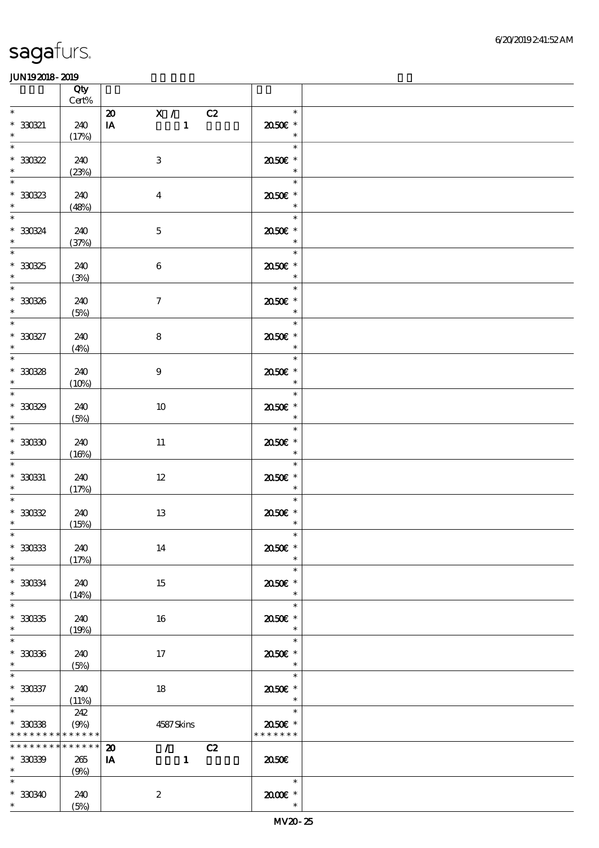|                                                                                            | Qty<br>$\mbox{Cert}\%$ |                                                                                        |                                               |  |
|--------------------------------------------------------------------------------------------|------------------------|----------------------------------------------------------------------------------------|-----------------------------------------------|--|
| $\ast$<br>$* 33021$<br>$\ast$                                                              | 240<br>(17%)           | 20 X / C2<br>$\mathbf{1}$<br>$\mathbf{I} \mathbf{A}$                                   | $\ast$<br>$2050$ $\epsilon$ *<br>$\ast$       |  |
| $\overline{\ast}$<br>$^\ast$ 330322<br>$\ast$                                              | 240<br>(23%)           | $\ensuremath{\mathbf{3}}$                                                              | $\ast$<br>2050E *<br>$\ast$                   |  |
| $\overline{\phantom{0}}$<br>$^\ast$ 330323                                                 | 240<br>(48%)           | $\boldsymbol{4}$                                                                       | $\ast$<br>2050E *<br>$\ast$                   |  |
| $\overline{\ast}$<br>$* 33034$<br>$\ast$                                                   | 240<br>(37%)           | $\mathbf 5$                                                                            | $\ast$<br>2050E *<br>$\ast$                   |  |
| $\overline{\phantom{0}}$<br>$^\ast$ 330325<br>$\ast$                                       | 240<br>(3%)            | $\,6\,$                                                                                | 71<br>$\ast$<br>2050E *<br>$\ast$             |  |
| $\overline{\phantom{0}}$<br>$* 33030$                                                      | 240<br>(5%)            | $\boldsymbol{7}$                                                                       | $\ast$<br>$2050$ $\epsilon$ *<br>$\ast$       |  |
| $\overline{\phantom{0}}$<br>$^\ast$ 330327<br>$\ast$                                       | 240<br>(4%)            | $\bf 8$                                                                                | $\ast$<br>2050E *<br>$\ast$                   |  |
| $\overline{\ast}$<br>$^\ast$ 330328<br>$\ddot{\phantom{0}}$                                | 240<br>(10%)           | $\boldsymbol{9}$                                                                       | $\ast$<br>2050E *<br>$\overline{\phantom{a}}$ |  |
| $\overline{\phantom{0}}$<br>$* 33039$<br>$\ast$                                            | 240<br>(5%)            | $10\,$                                                                                 | $\ast$<br>2050E *<br>$\ast$                   |  |
| $\overline{\ast}$<br>$^\ast$ 33030<br>$\ast$                                               | 240<br>(16%)           | $11\,$                                                                                 | $\ast$<br>2050E *<br>$\ast$                   |  |
| $\ast$<br>$^\ast$ 330331<br>$\ast$                                                         | 240<br>(17%)           | $12\,$                                                                                 | $\ast$<br>2050E *<br>$\ast$                   |  |
| $\ast$<br>$^\ast$ 330322<br>$\ast$                                                         | 240<br>(15%)           | 13                                                                                     | $\ast$<br>$2050$ $\epsilon$ *<br>$\ast$       |  |
| $*$<br>$^\ast$ 330333<br>$\ast$                                                            | 240<br>(17%)           | 14                                                                                     | 2050E *<br>$\ast$                             |  |
| $\ast$<br>$* 330334$<br>$\ast$                                                             | 240<br>(14%)           | 15                                                                                     | $\ast$<br>2050E *<br>$\ast$                   |  |
| $\ast$<br>$^\ast$ 33035<br>$\ast$                                                          | 240<br>(19%)           | 16                                                                                     | $\ast$<br>2050E *<br>$\ast$                   |  |
| $\ast$<br>$^\ast$ 330336<br>$\ast$                                                         | 240<br>(5%)            | 17                                                                                     | $\ast$<br>2050E *<br>$\ast$                   |  |
| $\ast$<br>$* 330337$<br>$\ast$                                                             | 240<br>(11%)           | 18                                                                                     | $\ast$<br>2050E *<br>$\ast$                   |  |
| $\overline{\phantom{a}^*}$<br>$^\ast$ 330338<br>* * * * * * * * <mark>* * * * * * *</mark> | 242<br>(9%)            | 4587Skins                                                                              | 2050€ *<br>* * * * * * *                      |  |
| ***************<br>$* 30039$<br>$\star$                                                    | 265<br>(9%)            | $\mathcal{F}^{\mathcal{F}}$<br>C2<br>$\boldsymbol{\mathfrak{D}}$<br>$\mathbf{1}$<br>IA | 2050                                          |  |
| $\ast$<br>$*30340$<br>$\ast$                                                               | 240<br>(5%)            | $\boldsymbol{2}$                                                                       | $\ast$<br>$2000$ $*$<br>$\ast$                |  |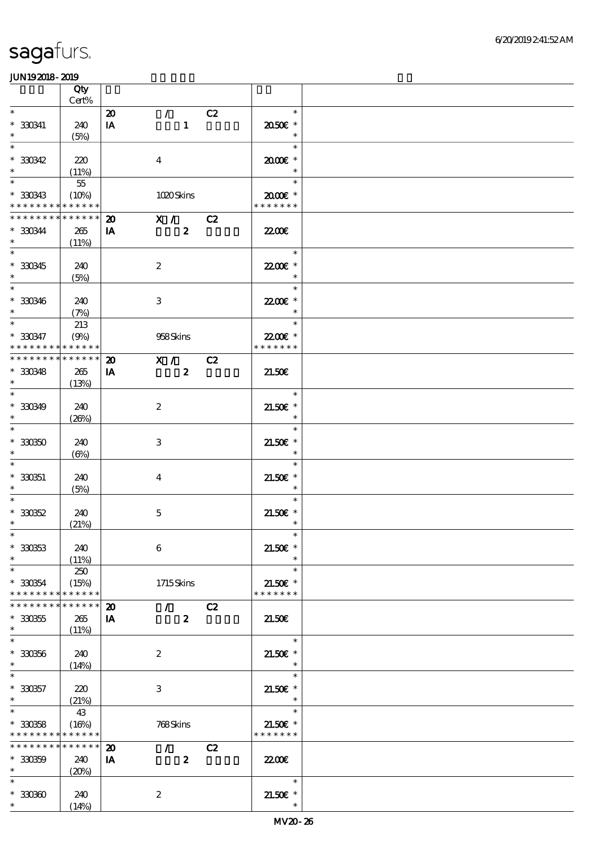|                                            | Qty<br>$Cert\%$ |                                 |                               |    |                             |  |
|--------------------------------------------|-----------------|---------------------------------|-------------------------------|----|-----------------------------|--|
| $\ast$                                     |                 |                                 |                               |    |                             |  |
| $^\ast$ 330341                             | 240             | $\boldsymbol{\mathbf{z}}$<br>IA | $\mathcal{T}$<br>$\mathbf{1}$ | C2 | $\ast$<br>2050E *           |  |
| $\ast$                                     | (5%)            |                                 |                               |    | $\ast$                      |  |
| $\overline{\ast}$                          |                 |                                 |                               |    | $\ast$                      |  |
| $*30342$                                   | 220             |                                 | $\boldsymbol{4}$              |    | $2000$ $\epsilon$ *         |  |
| $\ast$                                     | (11%)           |                                 |                               |    | $\ast$                      |  |
| $\ast$                                     | $5\!5$          |                                 |                               |    | $\ast$                      |  |
| $^\ast$ 330343                             | (10%)           |                                 | 1020Skins                     |    | $2000$ $*$                  |  |
| * * * * * * * * <mark>* * * * * * *</mark> |                 |                                 |                               |    | * * * * * * *               |  |
| * * * * * * * * * * * * * *                |                 | $\boldsymbol{\mathfrak{D}}$     | X / C2                        |    |                             |  |
| $*330344$                                  | 265             | IA                              | $\boldsymbol{z}$              |    | 2200                        |  |
| $\ast$                                     | (11%)           |                                 |                               |    |                             |  |
| $\overline{\ast}$                          |                 |                                 |                               |    | $\ast$                      |  |
| $* 330345$                                 | 240             |                                 | $\boldsymbol{2}$              |    | 22.00€ *                    |  |
| $\ast$                                     | (5%)            |                                 |                               |    | $\ast$                      |  |
| $\overline{\phantom{0}}$                   |                 |                                 |                               |    | $\ast$                      |  |
| $* 330346$                                 | 240             |                                 | $\,3$                         |    | 22.00€ *                    |  |
| $\ast$                                     | (7%)            |                                 |                               |    | $\ast$                      |  |
|                                            | 213             |                                 |                               |    | $\ast$                      |  |
| $* 330347$                                 | (9%)            |                                 | 958Skins                      |    | 22.00€ *                    |  |
| * * * * * * * *                            | * * * * * *     |                                 |                               |    | * * * * * * *               |  |
| * * * * * * * * * * * * * *                |                 | $\boldsymbol{\mathbf{z}}$       | $\overline{\mathbf{x}}$ /     | C2 |                             |  |
| $* 330348$                                 | 265             | IA                              | $\boldsymbol{z}$              |    | 21.50E                      |  |
| $\ast$                                     | (13%)           |                                 |                               |    |                             |  |
| $\ast$                                     |                 |                                 |                               |    | $\ast$                      |  |
| $* 330349$                                 | 240             |                                 | $\boldsymbol{2}$              |    | $21.50E$ *                  |  |
| $\ast$                                     | (20%)           |                                 |                               |    | $\ast$                      |  |
| $\ast$                                     |                 |                                 |                               |    | $\ast$                      |  |
| $^\ast$ 330350                             | 240             |                                 | $\,3$                         |    | $21.50E$ *                  |  |
| $\ast$                                     | $(\Theta_0)$    |                                 |                               |    | $\ast$                      |  |
| $\ast$                                     |                 |                                 |                               |    | $\ast$                      |  |
| $* 330351$                                 | 240             |                                 | $\bf{4}$                      |    | $21.50E$ *                  |  |
| $\ast$                                     | (5%)            |                                 |                               |    | $\ast$                      |  |
|                                            |                 |                                 |                               |    | $\ast$                      |  |
| $* 330352$                                 | 240             |                                 | $\mathbf 5$                   |    | $21.50E$ *                  |  |
| $\ast$                                     | (21%)           |                                 |                               |    | $\ast$                      |  |
| $\ast$                                     |                 |                                 |                               |    |                             |  |
| $* 330353$                                 | 240             |                                 | $\bf 6$                       |    | 21.50€ *                    |  |
| $\ast$                                     | (11%)           |                                 |                               |    |                             |  |
| $\ast$                                     | 250             |                                 |                               |    | $\ast$                      |  |
| $* 330354$                                 | (15%)           |                                 | $1715$ Skins                  |    | $21.50E$ *                  |  |
| * * * * * * * *                            | * * * * * *     |                                 |                               |    | * * * * * * *               |  |
| * * * * * * * *                            | * * * * * *     | $\boldsymbol{\mathfrak{D}}$     | $\mathcal{L}$                 | C2 |                             |  |
| $* 330355$                                 | 265             | IA                              | $\boldsymbol{z}$              |    | 21.50E                      |  |
| $\ast$                                     | (11%)           |                                 |                               |    |                             |  |
| $\overline{\ast}$                          |                 |                                 |                               |    | $\ast$                      |  |
| $^\ast$ 330356                             | 240             |                                 | $\boldsymbol{2}$              |    | $21.50E$ *                  |  |
| $\ast$                                     | (14%)           |                                 |                               |    | $\ast$                      |  |
| $\ast$                                     |                 |                                 |                               |    | $\ast$                      |  |
| $* 330357$                                 | 220             |                                 | 3                             |    | $21.50E$ *                  |  |
| $\ast$<br>$\ast$                           | (21%)           |                                 |                               |    | $\ast$                      |  |
|                                            | 43              |                                 |                               |    | $\ast$                      |  |
| $^\ast$ 330358                             | (16%)           |                                 | 768Skins                      |    | $21.50E$ *<br>* * * * * * * |  |
| * * * * * * * * <mark>* * * * * *</mark>   |                 |                                 |                               |    |                             |  |
| * * * * * * * * <mark>* * * * * * *</mark> |                 | $\boldsymbol{\mathbf{z}}$       | $\mathcal{L}$                 | C2 |                             |  |
| $* 330359$                                 | 240             | IA                              | $\boldsymbol{z}$              |    | 2200                        |  |
| $*$<br>$\ast$                              | (20%)           |                                 |                               |    |                             |  |
|                                            |                 |                                 |                               |    | $\ast$                      |  |
| $*30000$<br>$\ast$                         | 240             |                                 | $\boldsymbol{2}$              |    | $21.50E$ *<br>$\ast$        |  |
|                                            | (14%)           |                                 |                               |    |                             |  |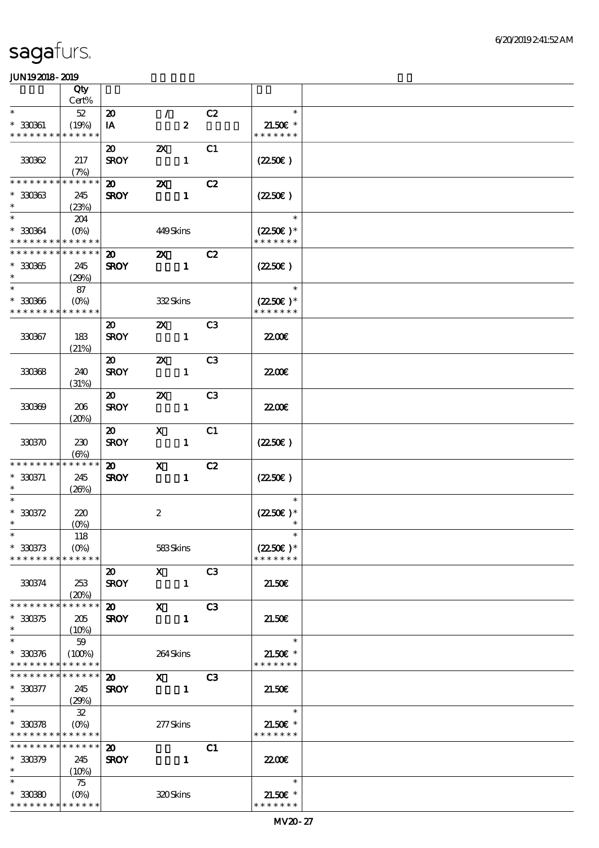|                                            | Qty                             |                             |                           |                  |                |                                     |  |
|--------------------------------------------|---------------------------------|-----------------------------|---------------------------|------------------|----------------|-------------------------------------|--|
|                                            | Cert%                           |                             |                           |                  |                |                                     |  |
| $\ast$                                     | $52\,$                          | $\boldsymbol{\mathfrak{D}}$ | $\mathcal{T}$             |                  | C2             | $\ast$                              |  |
| $* 33061$                                  | (19%)                           | IA                          |                           | $\boldsymbol{z}$ |                | $21.50E$ *                          |  |
| * * * * * * * * * * * * * *                |                                 |                             |                           |                  |                | * * * * * * *                       |  |
|                                            |                                 | $\boldsymbol{\mathfrak{D}}$ | $\boldsymbol{\mathsf{Z}}$ |                  | C1             |                                     |  |
| 330362                                     | 217                             | <b>SROY</b>                 |                           | $\mathbf{1}$     |                | $(2250\varepsilon)$                 |  |
| ********                                   | (7%)<br>* * * * * *             |                             |                           |                  |                |                                     |  |
| $*30063$                                   |                                 | $\boldsymbol{\mathsf{20}}$  | $\boldsymbol{\mathsf{Z}}$ |                  | C2             |                                     |  |
| $\ast$                                     | 245<br>(23%)                    | <b>SROY</b>                 |                           | $\mathbf{1}$     |                | $(2250\varepsilon)$                 |  |
| $\ast$                                     | 204                             |                             |                           |                  |                | $\overline{\phantom{a}}$            |  |
| $*30064$                                   | $(O\%)$                         |                             | 449Skins                  |                  |                | $(2250\varepsilon)^*$               |  |
| * * * * * * * * * * * * * *                |                                 |                             |                           |                  |                | * * * * * * *                       |  |
| * * * * * * * * * * * * * *                |                                 | $\boldsymbol{\mathfrak{D}}$ | $\mathbf{X}$              |                  | C2             |                                     |  |
| $* 330365$                                 | 245                             | <b>SROY</b>                 |                           | $\blacksquare$   |                | $(2250\varepsilon)$                 |  |
| $\ast$                                     | (29%)                           |                             |                           |                  |                |                                     |  |
| $\ast$                                     | 87                              |                             |                           |                  |                | $\ast$                              |  |
| $*30006$                                   | $(0\%)$                         |                             | 332Skins                  |                  |                | $(2250\epsilon)*$                   |  |
| * * * * * * * *                            | * * * * * *                     |                             |                           |                  |                | * * * * * * *                       |  |
|                                            |                                 | $\boldsymbol{\mathfrak{D}}$ | $\boldsymbol{\mathsf{Z}}$ |                  | C <sub>3</sub> |                                     |  |
| 330367                                     | 183                             | <b>SROY</b>                 |                           | $\mathbf{1}$     |                | <b>2200</b> €                       |  |
|                                            | (21%)                           |                             |                           |                  |                |                                     |  |
|                                            |                                 | $\boldsymbol{\mathfrak{D}}$ | $\boldsymbol{\mathsf{X}}$ |                  | C <sub>3</sub> |                                     |  |
| 330368                                     | 240                             | <b>SROY</b>                 |                           | $\mathbf{1}$     |                | <b>2200E</b>                        |  |
|                                            | (31%)                           | $\boldsymbol{\mathfrak{D}}$ | $\boldsymbol{\mathsf{Z}}$ |                  | C <sub>3</sub> |                                     |  |
| 330369                                     | 206                             | <b>SROY</b>                 |                           | $\mathbf{1}$     |                | 22.00 <del>€</del>                  |  |
|                                            | (20%)                           |                             |                           |                  |                |                                     |  |
|                                            |                                 | $\boldsymbol{\mathfrak{D}}$ | $\mathbf x$               |                  | C1             |                                     |  |
| 330370                                     | 230                             | <b>SROY</b>                 |                           | $\mathbf{1}$     |                | $(2250\varepsilon)$                 |  |
|                                            | $(\Theta)$                      |                             |                           |                  |                |                                     |  |
| * * * * * * * *                            | * * * * * *                     | $\boldsymbol{\omega}$       | $\mathbf{X}$              |                  | C2             |                                     |  |
| $* 330371$                                 | 245                             | <b>SROY</b>                 |                           | $\mathbf{1}$     |                | $(2250\varepsilon)$                 |  |
| $\ast$                                     | (20%)                           |                             |                           |                  |                |                                     |  |
| $\ast$                                     |                                 |                             |                           |                  |                | $\ast$                              |  |
| $*30372$                                   | 220                             |                             | $\boldsymbol{2}$          |                  |                | $(2250)$ *                          |  |
| $\ast$                                     | $(O\%)$                         |                             |                           |                  |                |                                     |  |
| $*$                                        | 118                             |                             |                           |                  |                | $\ast$                              |  |
| $* 330373$<br>* * * * * * * * * * * * * *  | $(O\%)$                         |                             | 583Skins                  |                  |                | $(2250\epsilon)^*$<br>* * * * * * * |  |
|                                            |                                 | $\boldsymbol{\mathfrak{D}}$ | $\mathbf{X}$              |                  | C <sub>3</sub> |                                     |  |
| 330374                                     | 253                             | <b>SROY</b>                 |                           | $\mathbf{1}$     |                | 21.50E                              |  |
|                                            | (20%)                           |                             |                           |                  |                |                                     |  |
| * * * * * * * *                            | * * * * * *                     | $\boldsymbol{\mathsf{20}}$  | $\mathbf{x}$              |                  | C <sub>3</sub> |                                     |  |
| $*30375$                                   | 205                             | <b>SROY</b>                 |                           | $\mathbf{1}$     |                | 21.50E                              |  |
| $\ast$                                     | $(10\%)$                        |                             |                           |                  |                |                                     |  |
| $\ast$                                     | 59                              |                             |                           |                  |                | $\ast$                              |  |
| $* 330376$                                 | (100%)                          |                             | 264Skins                  |                  |                | 21.50€ *                            |  |
| * * * * * * * * * * * * * *                |                                 |                             |                           |                  |                | * * * * * * *                       |  |
| * * * * * * * * <mark>* * * * * * *</mark> |                                 | $\boldsymbol{\mathfrak{D}}$ | $\mathbf{X}$              |                  | C3             |                                     |  |
| $* 330377$<br>$*$                          | 245                             | <b>SROY</b>                 |                           | $\blacksquare$   |                | 21.50E                              |  |
| $\ast$                                     | (29%)                           |                             |                           |                  |                | $\ast$                              |  |
| $*30378$                                   | 32                              |                             |                           |                  |                | $21.50E$ *                          |  |
| * * * * * * * * * * * * * *                |                                 |                             | 277Skins                  |                  |                | * * * * * * *                       |  |
| * * * * * * * * * * * * * *                |                                 | $\boldsymbol{\mathfrak{D}}$ |                           |                  | C1             |                                     |  |
| $* 330379$                                 | 245                             | <b>SROY</b>                 |                           | $\mathbf{1}$     |                | 2200                                |  |
| $\ast$                                     | (10%)                           |                             |                           |                  |                |                                     |  |
| $\ast$                                     | 75                              |                             |                           |                  |                | $\ast$                              |  |
| $*30080$                                   | $(O\!\!\!\!\!\!\backslash\rho)$ |                             | 320Skins                  |                  |                | $21.50E$ *                          |  |
| * * * * * * * * * * * * * *                |                                 |                             |                           |                  |                | * * * * * * *                       |  |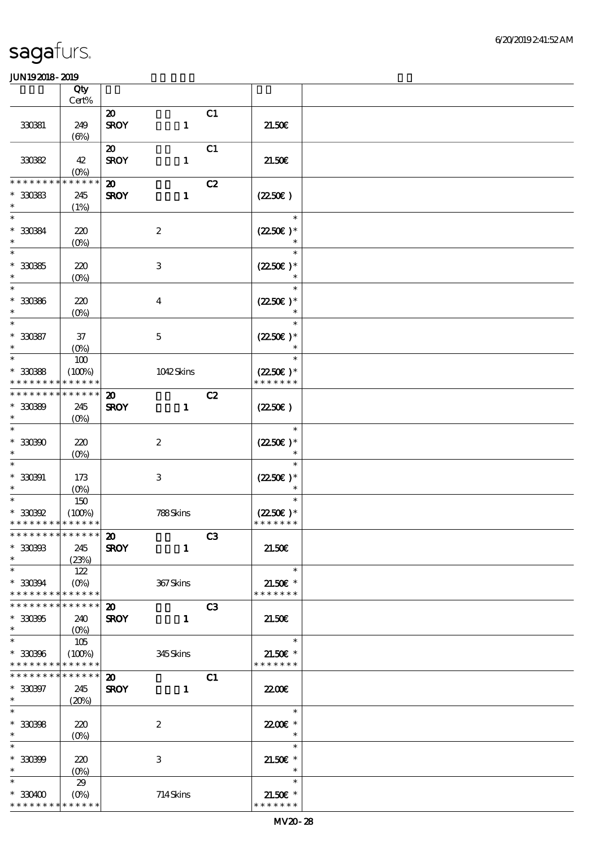|                             | Qty                        |                             |                           |    |                                    |  |
|-----------------------------|----------------------------|-----------------------------|---------------------------|----|------------------------------------|--|
|                             | Cert%                      |                             |                           |    |                                    |  |
|                             |                            | $\boldsymbol{\mathfrak{D}}$ |                           | C1 |                                    |  |
| 330381                      | 249                        | <b>SROY</b>                 | $\mathbf{1}$              |    | 21.50E                             |  |
|                             | $(\Theta)$                 | $\boldsymbol{\mathfrak{D}}$ |                           | C1 |                                    |  |
| 33082                       | 42                         | <b>SROY</b>                 | $\mathbf{1}$              |    | 21.50E                             |  |
|                             | $(0\%)$                    |                             |                           |    |                                    |  |
| * * * * * *                 | * * * * * *                | $\boldsymbol{\mathbf{z}}$   |                           | C2 |                                    |  |
| $* 30083$                   | 245                        | <b>SROY</b>                 | $\mathbf{1}$              |    | (2250)                             |  |
| $\ast$                      | (1%)                       |                             |                           |    |                                    |  |
| $\ast$                      |                            |                             |                           |    | $\ast$                             |  |
| * 330384                    | 220                        |                             | $\boldsymbol{2}$          |    | $(2250)$ *                         |  |
| $\ast$                      | $(O\!/\!o)$                |                             |                           |    |                                    |  |
| $\ast$                      |                            |                             |                           |    | $\ast$                             |  |
| $^\ast$ 330385              | 220                        |                             | $\,3$                     |    | $(2250\epsilon)*$                  |  |
| $\ast$                      | $(0\%)$                    |                             |                           |    | $\ast$                             |  |
| $\ast$                      |                            |                             |                           |    | $\ast$                             |  |
| $^\ast$ 330386              | 220                        |                             | $\boldsymbol{4}$          |    | $(2250\varepsilon)*$               |  |
| $\ast$                      | $(O\!/\!o)$                |                             |                           |    | $\ast$                             |  |
| $\ast$                      |                            |                             |                           |    | $\ast$                             |  |
| $* 30087$                   | $37\,$                     |                             | $\mathbf 5$               |    | $(2250\varepsilon)^*$              |  |
| $\ast$                      | $(O\%)$                    |                             |                           |    | $\ast$                             |  |
| $\ast$                      | $100$                      |                             |                           |    | $\ast$                             |  |
| $*3088$                     | (100%)                     |                             | 1042Skins                 |    | $(2250\epsilon)*$<br>* * * * * * * |  |
| * * * * * * * *             | * * * * * *<br>* * * * * * |                             |                           |    |                                    |  |
| * * * * * * * *             |                            | $\boldsymbol{\mathsf{20}}$  |                           | C2 |                                    |  |
| $*30080$<br>$\ast$          | 245                        | <b>SROY</b>                 | $\mathbf{1}$              |    | $(2250\varepsilon)$                |  |
| $\ast$                      | $(O\%)$                    |                             |                           |    | $\ast$                             |  |
| $*30000$                    | 220                        |                             | $\boldsymbol{2}$          |    | $(2250)$ *                         |  |
| $\ast$                      | $(O\%)$                    |                             |                           |    |                                    |  |
| $\ast$                      |                            |                             |                           |    | $\ast$                             |  |
| $* 33091$                   | 173                        |                             | $\,3$                     |    | $(2250\varepsilon)*$               |  |
| $\ast$                      | $(O\%)$                    |                             |                           |    | $\ast$                             |  |
| $\ast$                      | 150                        |                             |                           |    | $\ast$                             |  |
| $^\ast$ 330392              | (100%)                     |                             | 788Skins                  |    | $(2250\epsilon)*$                  |  |
| * * * * * * * * * * * * * * |                            |                             |                           |    | * * * * * * *                      |  |
| ************** 20           |                            |                             |                           | C3 |                                    |  |
| $* 300003$                  | 245                        | <b>SROY</b>                 | $\mathbf{1}$              |    | 21.50E                             |  |
| $\ast$                      | (23%)                      |                             |                           |    |                                    |  |
| $\ast$                      | 122                        |                             |                           |    | $\ast$                             |  |
| $* 330394$                  | $(0\%)$                    |                             | 367Skins                  |    | $21.50E$ *                         |  |
| * * * * * * * *             | * * * * * *                |                             |                           |    | * * * * * * *                      |  |
| * * * * * * *               | * * * * * *                | $\boldsymbol{\mathfrak{D}}$ |                           | C3 |                                    |  |
| $* 30005$<br>$\ast$         | 240                        | <b>SROY</b>                 | $\mathbf{1}$              |    | 21.50E                             |  |
| $\ast$                      |                            |                             |                           |    | $\ast$                             |  |
| $^\ast$ 330396              | 105<br>(100%)              |                             | 345Skins                  |    | 21.50€ *                           |  |
| * * * * * * * *             | * * * * * *                |                             |                           |    | * * * * * * *                      |  |
| * * * * * * * *             | * * * * * *                | $\boldsymbol{\mathfrak{D}}$ |                           | C1 |                                    |  |
| $* 330397$                  | 245                        | <b>SROY</b>                 | $\mathbf{1}$              |    | <b>2200</b> €                      |  |
| $*$                         | (20%)                      |                             |                           |    |                                    |  |
| $\overline{\ast}$           |                            |                             |                           |    | $\ast$                             |  |
| $* 30008$                   | 220                        |                             | $\boldsymbol{z}$          |    | 22.00 *                            |  |
| $\ast$                      | $(0\%)$                    |                             |                           |    | $\ast$                             |  |
| $\ast$                      |                            |                             |                           |    | $\ast$                             |  |
| $* 30000$                   | 220                        |                             | $\ensuremath{\mathbf{3}}$ |    | $21.50E$ *                         |  |
| $\ast$                      | $(O\%)$                    |                             |                           |    | $\ast$                             |  |
| $\ast$                      | 29                         |                             |                           |    | $\ast$                             |  |
| $*330400$                   |                            |                             | 714Skins                  |    | $21.50E$ *                         |  |
| * * * * * * * *             | * * * * * *                |                             |                           |    | * * * * * * *                      |  |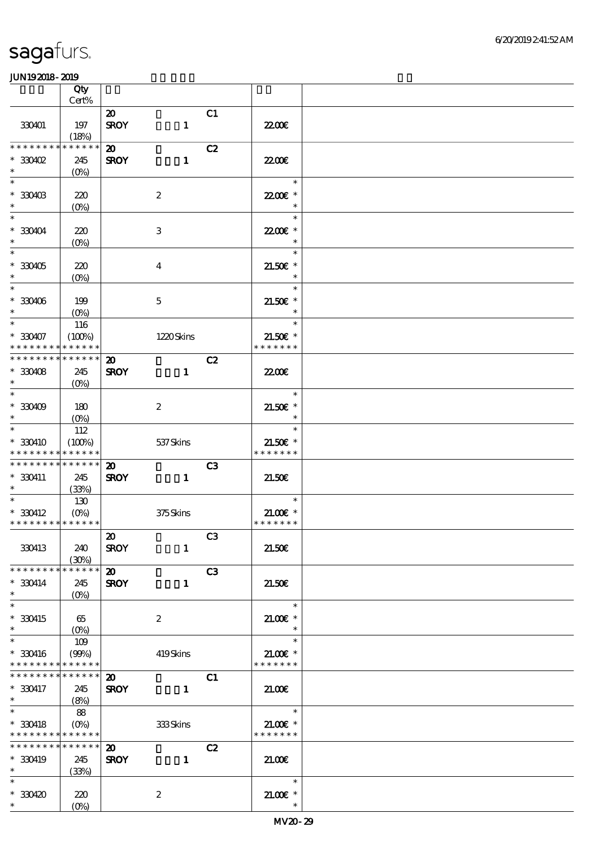|                                                  | Qty                       |                                            |                           |                |                      |  |
|--------------------------------------------------|---------------------------|--------------------------------------------|---------------------------|----------------|----------------------|--|
|                                                  | $Cert\%$                  |                                            |                           |                |                      |  |
| 330401                                           | 197<br>(18%)              | $\boldsymbol{\mathfrak{D}}$<br><b>SROY</b> | $\mathbf{1}$              | C1             | <b>22006</b>         |  |
| * * * * * * * *                                  | * * * * * *               | $\boldsymbol{\mathfrak{D}}$                |                           | C2             |                      |  |
| $*330402$                                        | 245                       | <b>SROY</b>                                | $\mathbf{1}$              |                | 22.00 <del>€</del>   |  |
| $\ast$                                           | $(0\%)$                   |                                            |                           |                |                      |  |
| $\ast$                                           |                           |                                            |                           |                | $\ast$               |  |
| $*$ 330403<br>$\ast$                             | 220                       |                                            | $\boldsymbol{2}$          |                | 22.00€ *<br>$\ast$   |  |
| $\ast$                                           | $(O\%)$                   |                                            |                           |                | $\ast$               |  |
| $*330404$                                        | 220                       |                                            | $\ensuremath{\mathbf{3}}$ |                | 22.00E *             |  |
| $\ast$                                           | (0%)                      |                                            |                           |                | $\ast$               |  |
| $\ast$                                           |                           |                                            |                           |                | $\ast$               |  |
| $*330405$                                        | 220                       |                                            | $\bf{4}$                  |                | 21.50€ *             |  |
| $\ast$<br>$\overline{\phantom{0}}$               | $(0\%)$                   |                                            |                           |                | $\ast$               |  |
| $*330406$                                        | 199                       |                                            | $\mathbf 5$               |                | $21.50E$ *           |  |
| $\ast$                                           | $(O\%)$                   |                                            |                           |                | $\ast$               |  |
| $\overline{\ast}$                                | 116                       |                                            |                           |                | $\ast$               |  |
| $* 330407$                                       | (100%)                    |                                            | 1220Skins                 |                | $21.50$ £ *          |  |
| * * * * * * * * * * * * * *                      |                           |                                            |                           |                | * * * * * * *        |  |
| * * * * * * * *                                  | * * * * * *               | $\boldsymbol{\mathbf{z}}$                  |                           | C2             |                      |  |
| $*30408$<br>$\ast$                               | 245<br>$(O\%)$            | <b>SROY</b>                                | $\mathbf{1}$              |                | <b>2200</b> €        |  |
| $\ast$                                           |                           |                                            |                           |                | $\ast$               |  |
| $*330409$                                        | 180                       |                                            | $\boldsymbol{z}$          |                | $21.50E$ *           |  |
| $\ast$                                           | $(O\%)$                   |                                            |                           |                | $\ast$               |  |
| $\overline{\ast}$                                | 112                       |                                            |                           |                | $\ast$               |  |
| * 330410                                         | (100%)                    |                                            | 537 Skins                 |                | $21.50E$ *           |  |
| * * * * * * * *<br>* * * * * * * * * * * * * * * | * * * * * *               | $\boldsymbol{\mathsf{20}}$                 |                           | C <sub>3</sub> | * * * * * * *        |  |
| * 330411                                         | 245                       | <b>SROY</b>                                | $\mathbf{1}$              |                | 21.50E               |  |
| $\ast$                                           | (33%)                     |                                            |                           |                |                      |  |
| $\ast$                                           | 130                       |                                            |                           |                | $\ast$               |  |
| $*330412$                                        | $(O\%)$                   |                                            | 375Skins                  |                | $21.00$ $\epsilon$ * |  |
| * * * * * * * * * * * * * *                      |                           |                                            |                           |                | * * * * * * *        |  |
| 330413                                           | 240                       | $\boldsymbol{\mathfrak{D}}$<br><b>SROY</b> | $\mathbf{1}$              | C3             | 21.50E               |  |
|                                                  | (30%)                     |                                            |                           |                |                      |  |
| * * * * * * * *                                  | * * * * * *               | $\boldsymbol{\omega}$                      |                           | C3             |                      |  |
| $* 330414$                                       | 245                       | <b>SROY</b>                                | $\mathbf{1}$              |                | 21.50E               |  |
| $\ast$                                           | $(O\%)$                   |                                            |                           |                |                      |  |
| $\ast$                                           |                           |                                            |                           |                | $\ast$               |  |
| $*330415$<br>$\ast$                              | 65                        |                                            | $\boldsymbol{z}$          |                | $21.005*$<br>$\ast$  |  |
| $\ast$                                           | 109                       |                                            |                           |                | $\ast$               |  |
| $*330416$                                        | (90%)                     |                                            | 419Skins                  |                | 21.00€ *             |  |
| * * * * * * * *                                  | * * * * * *               |                                            |                           |                | * * * * * * *        |  |
| * * * * * * * * * * * * * * *                    |                           | $\boldsymbol{\mathfrak{D}}$                |                           | C1             |                      |  |
| * 330417<br>$\ast$                               | 245                       | <b>SROY</b>                                | $\mathbf{1}$              |                | 21.00                |  |
| $\overline{\phantom{0}}$                         | (8%)<br>88                |                                            |                           |                | $\ast$               |  |
| $* 330418$                                       | $(O\!\!\!\!\!\!\!/\,\!o)$ |                                            | 333Skins                  |                | $21.005*$            |  |
| * * * * * * * * * * * * * *                      |                           |                                            |                           |                | * * * * * * *        |  |
| * * * * * * * * * * * * * *                      |                           | $\boldsymbol{\mathfrak{D}}$                |                           | C2             |                      |  |
| * 330419                                         | 245                       | <b>SROY</b>                                | $\mathbf{1}$              |                | 2100                 |  |
| $\ast$<br>$\ast$                                 | (33%)                     |                                            |                           |                |                      |  |
| $*330420$                                        |                           |                                            |                           |                | $\ast$               |  |
| $*$                                              | 220<br>$(O\!/\!o)$        |                                            | $\boldsymbol{2}$          |                | $21.005*$            |  |
|                                                  |                           |                                            |                           |                |                      |  |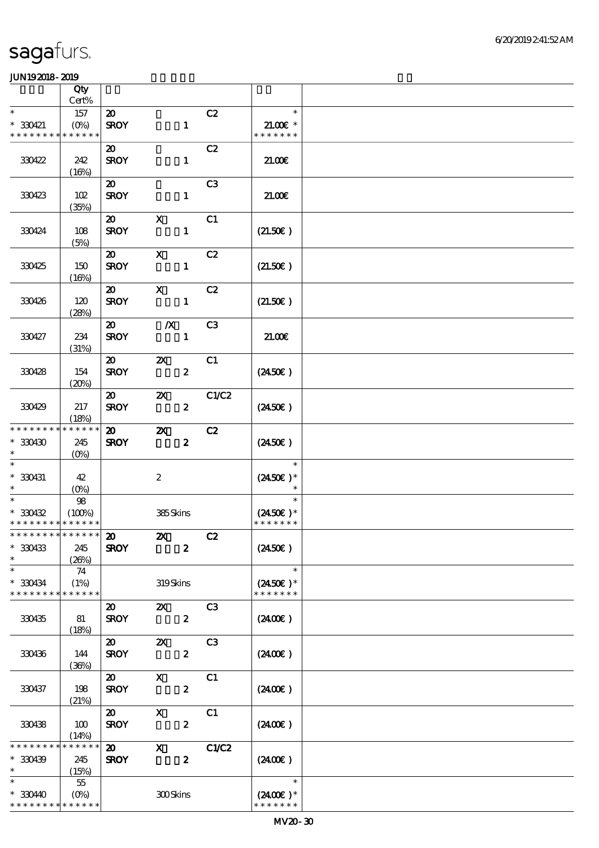|                             | Qty                  |                                            |                           |                  |                |                     |  |
|-----------------------------|----------------------|--------------------------------------------|---------------------------|------------------|----------------|---------------------|--|
| $\ast$                      | Cert%                |                                            |                           |                  |                | $\ast$              |  |
| $* 330421$                  | 157<br>$(0\%)$       | $\boldsymbol{\mathfrak{D}}$<br><b>SROY</b> |                           | $\mathbf{1}$     | C2             | $21.00E*$           |  |
| * * * * * * * *             | * * * * * *          |                                            |                           |                  |                | * * * * * * *       |  |
|                             |                      | $\boldsymbol{\mathfrak{D}}$                |                           |                  | C2             |                     |  |
| 330422                      | 242                  | <b>SROY</b>                                |                           | $\mathbf{1}$     |                | 21.00E              |  |
|                             | (16%)                |                                            |                           |                  |                |                     |  |
|                             |                      | $\boldsymbol{\mathfrak{D}}$                |                           |                  | C <sub>3</sub> |                     |  |
| 330423                      | 102<br>(35%)         | <b>SROY</b>                                |                           | $\mathbf{1}$     |                | 21.00               |  |
|                             |                      | $\boldsymbol{\mathfrak{D}}$                | $\mathbf x$               |                  | C1             |                     |  |
| 330424                      | 108                  | <b>SROY</b>                                |                           | $\mathbf{1}$     |                | (21.50)             |  |
|                             | (5%)                 |                                            |                           |                  |                |                     |  |
|                             |                      | $\boldsymbol{\mathfrak{D}}$                | $\mathbf x$               |                  | C2             |                     |  |
| 330425                      | 150<br>(16%)         | <b>SROY</b>                                |                           | $\mathbf{1}$     |                | (21.50)             |  |
|                             |                      | $\boldsymbol{\mathfrak{D}}$                | $\mathbf x$               |                  | C2             |                     |  |
| 330426                      | 120                  | <b>SROY</b>                                |                           | $\mathbf{1}$     |                | (21.50)             |  |
|                             | (28%)                |                                            |                           |                  |                |                     |  |
|                             |                      | $\boldsymbol{\mathfrak{D}}$                | $\boldsymbol{X}$          |                  | C <sub>3</sub> |                     |  |
| 330427                      | 234<br>(31%)         | <b>SROY</b>                                |                           | $\mathbf{1}$     |                | 21.00               |  |
|                             |                      | $\boldsymbol{\omega}$                      | $\boldsymbol{\mathsf{z}}$ |                  | C1             |                     |  |
| 330428                      | 154                  | <b>SROY</b>                                |                           | $\boldsymbol{z}$ |                | $(2450\epsilon)$    |  |
|                             | (20%)                |                                            |                           |                  |                |                     |  |
|                             |                      | $\boldsymbol{\mathfrak{D}}$                | $\boldsymbol{\alpha}$     |                  | C1/C2          |                     |  |
| 330429                      | 217                  | <b>SROY</b>                                |                           | $\boldsymbol{z}$ |                | $(2450\epsilon)$    |  |
| * * * * * * * *             | (18%)<br>* * * * * * | $\boldsymbol{\mathfrak{D}}$                | $\boldsymbol{\mathsf{z}}$ |                  | C2             |                     |  |
| $*30430$                    | 245                  | <b>SROY</b>                                |                           | $\boldsymbol{z}$ |                | $(2450\epsilon)$    |  |
| $\ast$                      | $(O\%)$              |                                            |                           |                  |                |                     |  |
| $\ast$                      |                      |                                            |                           |                  |                | $\ast$              |  |
| $* 330431$<br>$\ast$        | 42<br>$(O\% )$       |                                            | $\boldsymbol{2}$          |                  |                | $(2450\epsilon)^*$  |  |
| $\overline{\ast}$           | 98                   |                                            |                           |                  |                | $\ast$              |  |
| $*30432$                    | (100%)               |                                            | 385Skins                  |                  |                | $(2450\text{E})*$   |  |
| * * * * * * * * * * * * * * |                      |                                            |                           |                  |                | * * * * * * *       |  |
| *************** 20          |                      |                                            | $\boldsymbol{\mathsf{Z}}$ |                  | C2             |                     |  |
| $* 330433$<br>$\ast$        | 245<br>(20%)         | <b>SROY</b>                                |                           | $\boldsymbol{z}$ |                | $(2450\epsilon)$    |  |
| $\ast$                      | 74                   |                                            |                           |                  |                | $\ast$              |  |
| $*330434$                   | (1%)                 |                                            | 319Skins                  |                  |                | $(2450\text{E})*$   |  |
| * * * * * * * *             | * * * * * *          |                                            |                           |                  |                | * * * * * * *       |  |
|                             |                      | $\boldsymbol{\mathsf{20}}$                 | $\boldsymbol{\mathsf{Z}}$ |                  | C <sub>3</sub> |                     |  |
| 330435                      | 81                   | <b>SROY</b>                                |                           | $\boldsymbol{z}$ |                | $(2400\varepsilon)$ |  |
|                             | (18%)                | $\boldsymbol{\mathsf{20}}$                 | $\boldsymbol{\mathsf{Z}}$ |                  | C <sub>3</sub> |                     |  |
| 330436                      | 144                  | <b>SROY</b>                                |                           | $\boldsymbol{z}$ |                | $(2400\varepsilon)$ |  |
|                             | (36%)                |                                            |                           |                  |                |                     |  |
|                             |                      | $\boldsymbol{\mathsf{20}}$                 | $\mathbf{X}$              |                  | C1             |                     |  |
| 330437                      | 198                  | <b>SROY</b>                                |                           | $\boldsymbol{z}$ |                | (2400)              |  |
|                             | (21%)                | $\boldsymbol{\mathfrak{D}}$                | $\mathbf{x}$              |                  | C1             |                     |  |
| 330438                      | 100                  | <b>SROY</b>                                |                           | $\boldsymbol{z}$ |                | $(2400\varepsilon)$ |  |
|                             | (14%)                |                                            |                           |                  |                |                     |  |
| * * * * * * *               | * * * * * *          | $\boldsymbol{\mathfrak{D}}$                | $\mathbf{x}$              |                  | C1/C2          |                     |  |
| $*330439$<br>$\ast$         | 245                  | <b>SROY</b>                                |                           | $\boldsymbol{2}$ |                | (2400E)             |  |
| $\ast$                      | (15%)<br>$5\!5$      |                                            |                           |                  |                | $\ast$              |  |
| $*33040$                    | $(O\% )$             |                                            | 300Skins                  |                  |                | $(2400)$ *          |  |
| * * * * * * * *             | * * * * * *          |                                            |                           |                  |                | * * * * * * *       |  |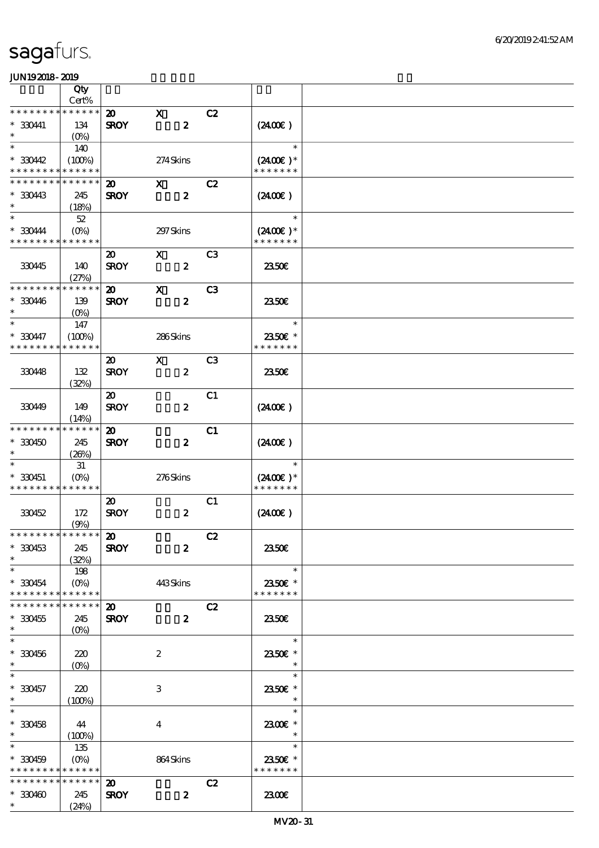|                                          | Qty                                                   |                                            |                                  |                |                                               |  |
|------------------------------------------|-------------------------------------------------------|--------------------------------------------|----------------------------------|----------------|-----------------------------------------------|--|
| * * * * * * * *                          | Cert%<br>* * * * * *                                  |                                            |                                  |                |                                               |  |
| * 330441<br>$\ast$                       | 134<br>$(O\%)$                                        | $\boldsymbol{\mathfrak{D}}$<br><b>SROY</b> | $\mathbf{x}$<br>$\boldsymbol{z}$ | C2             | (240E)                                        |  |
| $\ast$                                   | 140                                                   |                                            |                                  |                | $\ast$                                        |  |
| $*3042$<br>* * * * * * * *               | (100%)<br>* * * * * *                                 |                                            | 274Skins                         |                | $(2400)$ *<br>* * * * * * *                   |  |
| * * * * * * *                            | * * * * * *                                           | $\boldsymbol{\mathfrak{D}}$                | $\mathbf{x}$                     | C2             |                                               |  |
| * 330443<br>$\ast$                       | 245<br>(18%)                                          | <b>SROY</b>                                | $\boldsymbol{z}$                 |                | (240E)                                        |  |
| $\ast$<br>* 330444<br>* * * * * * * *    | $52\,$<br>$(O\%)$<br>* * * * * *                      |                                            | 297 Skins                        |                | $\ast$<br>$(2400)$ *<br>* * * * * * *         |  |
|                                          |                                                       | $\boldsymbol{\mathfrak{D}}$                | $\mathbf{X}$                     | C <sub>3</sub> |                                               |  |
| 330445                                   | 140<br>(27%)                                          | <b>SROY</b>                                | $\boldsymbol{z}$                 |                | 2350E                                         |  |
| * * * * * * * *                          | * * * * * *                                           | $\boldsymbol{\mathfrak{D}}$                | $\mathbf x$                      | C <sub>3</sub> |                                               |  |
| $*330446$<br>$\ast$                      | 139<br>$(O\%)$                                        | <b>SROY</b>                                | $\boldsymbol{z}$                 |                | 2350E                                         |  |
| $\ast$                                   | 147                                                   |                                            |                                  |                | $\ast$                                        |  |
| $*330447$<br>* * * * * * * *             | (100%)<br>* * * * * *                                 |                                            | 286Skins                         |                | 2350€ *<br>* * * * * * *                      |  |
|                                          |                                                       | $\boldsymbol{\mathfrak{D}}$                | $\mathbf{x}$                     | C <sub>3</sub> |                                               |  |
| 330448                                   | 132<br>(32%)                                          | <b>SROY</b>                                | $\boldsymbol{z}$                 |                | 2350E                                         |  |
| 330449                                   | 149                                                   | $\boldsymbol{\mathfrak{D}}$<br><b>SROY</b> | $\boldsymbol{z}$                 | C1             | (2400)                                        |  |
| * * * * * * * *                          | (14%)<br>* * * * * *                                  |                                            |                                  |                |                                               |  |
| $*330450$<br>$\ast$                      | 245<br>(26%)                                          | $\boldsymbol{\mathfrak{D}}$<br><b>SROY</b> | $\boldsymbol{z}$                 | C1             | $(2400\varepsilon)$                           |  |
|                                          | 31                                                    |                                            |                                  |                | $\ast$                                        |  |
| $*330451$<br>* * * * * * * * * * * * * * | $(0\%)$                                               |                                            | 276Skins                         |                | $(2400E)*$<br>* * * * * * *                   |  |
| 330452                                   | 172<br>(9%)                                           | $\boldsymbol{\mathsf{20}}$<br><b>SROY</b>  | $\boldsymbol{z}$                 | C1             | $(2400\varepsilon)$                           |  |
| ******** <mark>******</mark>             |                                                       | $\boldsymbol{\mathfrak{D}}$                |                                  | C2             |                                               |  |
| $*330453$<br>$\ast$                      | 245<br>(32%)                                          | <b>SROY</b>                                | $\boldsymbol{z}$                 |                | <b>2350€</b>                                  |  |
| $\ast$<br>$*330454$                      | 198<br>$(0\%)$                                        |                                            | 443Skins                         |                | $\ast$<br>2350€ *                             |  |
| * * * * * * * *                          | * * * * * *                                           |                                            |                                  |                | * * * * * * *                                 |  |
| * * * * * * *<br>$*330455$<br>$\ast$     | * * * * * *<br>245<br>$(O\!\!\!\!\!\!\backslash\rho)$ | $\boldsymbol{\mathfrak{D}}$<br><b>SROY</b> | $\boldsymbol{z}$                 | C2             | 2350E                                         |  |
| $\ast$<br>$*330456$<br>$\ast$            | 220                                                   |                                            | $\boldsymbol{z}$                 |                | $\ast$<br>2350€ *<br>$\ast$                   |  |
| $\ast$                                   | $(O\%)$                                               |                                            |                                  |                | $\ast$                                        |  |
| $* 330457$<br>$\ast$                     | 220<br>(100%)                                         |                                            | 3                                |                | 2350E *<br>$\ast$                             |  |
| $\ast$<br>$*330458$<br>$*$ $*$           | 44<br>(100%)                                          |                                            | $\boldsymbol{4}$                 |                | $\ast$<br>2300€ *<br>$\overline{\phantom{a}}$ |  |
| $\ast$<br>$*330459$<br>* * * * * * * *   | 135<br>$(O\%)$<br>* * * * * *                         |                                            | 864Skins                         |                | $\ast$<br>2350E *<br>* * * * * * *            |  |
| * * * * * * * *                          | * * * * * *                                           | $\boldsymbol{\mathfrak{D}}$                |                                  | C2             |                                               |  |
| $*330460$<br>$*$ and $*$                 | 245<br>(24%)                                          | <b>SROY</b>                                | $\boldsymbol{z}$                 |                | 2300€                                         |  |
|                                          |                                                       |                                            |                                  |                |                                               |  |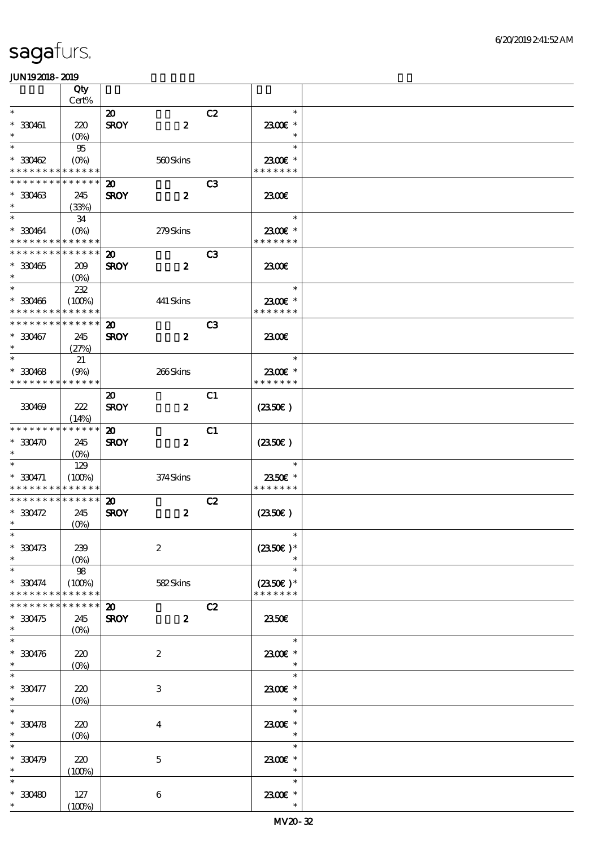|                                            | Qty                             |                             |                  |                |                          |  |
|--------------------------------------------|---------------------------------|-----------------------------|------------------|----------------|--------------------------|--|
|                                            | Cert%                           |                             |                  |                |                          |  |
| $\ast$                                     |                                 | $\boldsymbol{\mathsf{20}}$  |                  | C2             | $\ast$                   |  |
| $* 330461$<br>$\ast$                       | 220                             | <b>SROY</b>                 | $\boldsymbol{z}$ |                | 2300€ *<br>$\ast$        |  |
| $\ast$                                     | $(O\%)$<br>95                   |                             |                  |                | $\ast$                   |  |
| $*330462$                                  | $(0\%)$                         |                             | 560Skins         |                | 2300€ *                  |  |
| * * * * * * * * <mark>* * * * * *</mark> * |                                 |                             |                  |                | * * * * * * *            |  |
| * * * * * * * * <mark>* * * * * *</mark>   |                                 | $\boldsymbol{\mathfrak{D}}$ |                  | C <sub>3</sub> |                          |  |
| $*30463$                                   | 245                             | <b>SROY</b>                 | $\boldsymbol{z}$ |                | 2300€                    |  |
| $\ast$                                     | (33%)                           |                             |                  |                |                          |  |
| $\ast$                                     | 34                              |                             |                  |                | $\ast$                   |  |
| $*330464$                                  | $(O\%)$                         |                             | 279Skins         |                | 2300€ *                  |  |
| * * * * * * * * <mark>* * * * * *</mark>   |                                 |                             |                  |                | * * * * * * *            |  |
| * * * * * * * * * * * * * *                |                                 | $\boldsymbol{\mathfrak{D}}$ |                  | C <sub>3</sub> |                          |  |
| $*330465$                                  | 209                             | <b>SROY</b>                 | $\boldsymbol{z}$ |                | 2300                     |  |
| $\ast$                                     | (O <sub>0</sub> )               |                             |                  |                |                          |  |
| $\ast$                                     | 232                             |                             |                  |                | $\ast$                   |  |
| $*330466$                                  | (100%)                          |                             | 441 Skins        |                | 2300€ *                  |  |
| * * * * * * * *                            | * * * * * *                     |                             |                  |                | * * * * * * *            |  |
| * * * * * * * * * * * * * *                |                                 | $\boldsymbol{\mathfrak{D}}$ |                  | C3             |                          |  |
| $*30467$<br>$\ast$                         | 245                             | <b>SROY</b>                 | $\boldsymbol{z}$ |                | 2300E                    |  |
| $\ast$                                     | (27%)                           |                             |                  |                | $\ast$                   |  |
|                                            | 21                              |                             |                  |                |                          |  |
| $*330468$<br>* * * * * * * *               | (9%)<br>* * * * * *             |                             | 266Skins         |                | 2300€ *<br>* * * * * * * |  |
|                                            |                                 | $\boldsymbol{\mathfrak{D}}$ |                  | C1             |                          |  |
| 330469                                     | 222                             | <b>SROY</b>                 | $\boldsymbol{z}$ |                | $(2350\epsilon)$         |  |
|                                            | (14%)                           |                             |                  |                |                          |  |
| * * * * * * * * * * * * * *                |                                 | $\boldsymbol{\mathfrak{D}}$ |                  | C1             |                          |  |
| $*330470$                                  | 245                             | <b>SROY</b>                 | $\boldsymbol{z}$ |                | (2350)                   |  |
| $\ast$                                     | $(O\%)$                         |                             |                  |                |                          |  |
| $\ast$                                     | 129                             |                             |                  |                | $\ast$                   |  |
| $* 330471$                                 | (100%)                          |                             | 374Skins         |                | 2350€ *                  |  |
| * * * * * * * * * * * * * *                |                                 |                             |                  |                | * * * * * * *            |  |
| * * * * * * * * * * * * * *                |                                 | $\boldsymbol{\mathfrak{D}}$ |                  | C2             |                          |  |
| $*330472$                                  | 245                             | <b>SROY</b>                 | $\boldsymbol{z}$ |                | $(2350\epsilon)$         |  |
| $\ast$                                     | $(O\!/\!\!\delta)$              |                             |                  |                |                          |  |
| $*$                                        |                                 |                             |                  |                | $\ast$                   |  |
| $*330473$<br>$\ast$                        | 239                             |                             | $\boldsymbol{2}$ |                | $(2350\epsilon)^*$       |  |
| $\ast$                                     | $(O\%)$<br>98                   |                             |                  |                | $\ast$                   |  |
| $*330474$                                  | (100%)                          |                             | 582Skins         |                | $(2350\epsilon)*$        |  |
| * * * * * * * *                            | * * * * * *                     |                             |                  |                | * * * * * * *            |  |
| * * * * * * * *                            | * * * * * *                     | $\boldsymbol{\mathfrak{D}}$ |                  | C2             |                          |  |
| $*330475$                                  | 245                             | <b>SROY</b>                 | $\boldsymbol{z}$ |                | 2350E                    |  |
| $\ast$                                     | $(O\%)$                         |                             |                  |                |                          |  |
| $\ast$                                     |                                 |                             |                  |                | $\ast$                   |  |
| $*330476$                                  | 220                             |                             | $\boldsymbol{2}$ |                | 2300€ *                  |  |
| $\ast$                                     | $(O\!\!\!\!\!\!\backslash\rho)$ |                             |                  |                | $\ast$                   |  |
|                                            |                                 |                             |                  |                | $\ast$                   |  |
| $* 330477$                                 | 220                             |                             | 3                |                | 2300€ *                  |  |
| $\ast$                                     | $(O\%)$                         |                             |                  |                | $\ast$                   |  |
| $\ast$                                     |                                 |                             |                  |                | $\ast$                   |  |
| $*330478$<br>$\ast$                        | 220                             |                             | $\bf{4}$         |                | 2300€ *<br>$\ast$        |  |
| $\ast$                                     | $(O\%)$                         |                             |                  |                | $\ast$                   |  |
| $*330479$                                  |                                 |                             |                  |                |                          |  |
| $\ast$                                     | 220<br>(100%)                   |                             | $\mathbf 5$      |                | 2300€ *<br>$\ast$        |  |
| $\ast$                                     |                                 |                             |                  |                | $\ast$                   |  |
| $*30480$                                   | 127                             |                             | $\boldsymbol{6}$ |                | 2300E *                  |  |
| $\ast$                                     | (100%)                          |                             |                  |                | $\ast$                   |  |
|                                            |                                 |                             |                  |                |                          |  |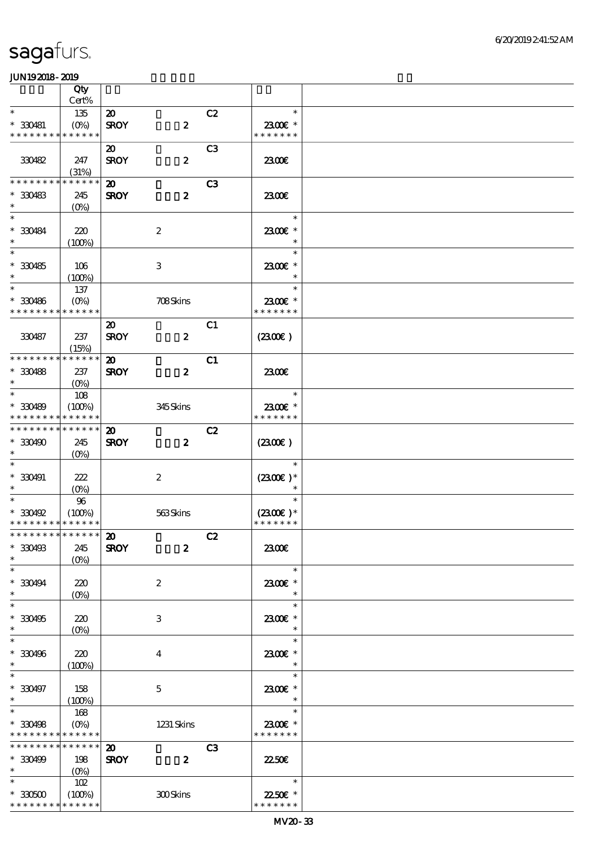|                                          | Qty                  |                             |                  |                |                          |  |
|------------------------------------------|----------------------|-----------------------------|------------------|----------------|--------------------------|--|
|                                          | Cert%                |                             |                  |                |                          |  |
| $\ast$                                   | 135                  | $\boldsymbol{\mathfrak{D}}$ |                  | C2             | $\ast$                   |  |
| $* 330481$                               | $(O\%)$              | <b>SROY</b>                 | $\boldsymbol{z}$ |                | 2300€ *                  |  |
| * * * * * * * *                          | * * * * * *          |                             |                  |                | * * * * * * *            |  |
|                                          |                      | $\boldsymbol{\mathfrak{D}}$ |                  | C <sub>3</sub> |                          |  |
| 330482                                   | 247                  | <b>SROY</b>                 | $\boldsymbol{z}$ |                | 2300€                    |  |
|                                          | (31%)                |                             |                  |                |                          |  |
| * * * * * * * *                          | * * * * * *          | $\boldsymbol{\mathsf{20}}$  |                  | C <sub>3</sub> |                          |  |
| $*30483$                                 | 245                  | <b>SROY</b>                 | $\boldsymbol{z}$ |                | 2300E                    |  |
| $\ast$                                   | $(O\%)$              |                             |                  |                |                          |  |
| $\ast$                                   |                      |                             |                  |                | $\ast$                   |  |
| $*30084$                                 | 220                  |                             | $\boldsymbol{2}$ |                | 2300€ *                  |  |
| $\ast$<br>$\overline{\ast}$              | (100%)               |                             |                  |                | $\ast$                   |  |
|                                          |                      |                             |                  |                | $\ast$                   |  |
| $* 330485$                               | 106                  |                             | 3                |                | 2300€ *                  |  |
| $\ast$                                   | (100%)               |                             |                  |                | $\ast$                   |  |
| $\ast$                                   | 137                  |                             |                  |                | $\ast$                   |  |
| $* 330486$                               | $(O\%)$              |                             | 708Skins         |                | 2300€ *                  |  |
| * * * * * * * *                          | * * * * * *          |                             |                  |                | * * * * * * *            |  |
|                                          |                      | $\boldsymbol{\mathfrak{D}}$ |                  | C1             |                          |  |
| 330487                                   | 237                  | <b>SROY</b>                 | $\boldsymbol{z}$ |                | (230E)                   |  |
| * * * * * * * *                          | (15%)<br>* * * * * * |                             |                  |                |                          |  |
|                                          |                      | $\boldsymbol{\mathfrak{D}}$ |                  | C1             |                          |  |
| $*30488$<br>$\ast$                       | 237                  | <b>SROY</b>                 | $\boldsymbol{z}$ |                | 2300E                    |  |
| $\ast$                                   | $(O\%)$              |                             |                  |                | $\ast$                   |  |
|                                          | 108                  |                             |                  |                |                          |  |
| $*30489$<br>* * * * * * * * * * * * * *  | (100%)               |                             | 345Skins         |                | 2300€ *<br>* * * * * * * |  |
| * * * * * * * * * * * * * *              |                      |                             |                  |                |                          |  |
|                                          |                      | $\boldsymbol{\mathfrak{D}}$ |                  | C2             |                          |  |
| $*330490$                                | 245                  | <b>SROY</b>                 | $\boldsymbol{z}$ |                | (2300)                   |  |
| $\ast$                                   | $(O\%)$              |                             |                  |                | $\ast$                   |  |
|                                          |                      |                             |                  |                |                          |  |
| $*30491$<br>$\ast$                       | 222                  |                             | $\boldsymbol{2}$ |                | $(2300E)*$<br>$\ast$     |  |
| $\ast$                                   | $(0\%)$<br>96        |                             |                  |                | $\ast$                   |  |
| $*30492$                                 | (100%)               |                             | $563$ Skins      |                | $(2300)$ *               |  |
| * * * * * * * * * * * * * *              |                      |                             |                  |                | * * * * * * *            |  |
| *************** 20                       |                      |                             |                  | C2             |                          |  |
| $*30493$                                 | 245                  | <b>SROY</b>                 | $\boldsymbol{z}$ |                | 2300E                    |  |
| $\ast$                                   | $(0\%)$              |                             |                  |                |                          |  |
| $\ast$                                   |                      |                             |                  |                | $\ast$                   |  |
| $* 330494$                               | 220                  |                             | $\boldsymbol{2}$ |                | 2300€ *                  |  |
| $\ast$                                   | (0%)                 |                             |                  |                | $\ast$                   |  |
| $\ast$                                   |                      |                             |                  |                | $\ast$                   |  |
| $*330495$                                | 220                  |                             | 3                |                | 2300€ *                  |  |
| $\ast$                                   | (0%)                 |                             |                  |                | $\ast$                   |  |
| $\ast$                                   |                      |                             |                  |                | $\ast$                   |  |
| $*30496$                                 | 220                  |                             | 4                |                | 2300€*                   |  |
| $\ast$                                   | (100%)               |                             |                  |                | $\ast$                   |  |
| $\ast$                                   |                      |                             |                  |                | $\ast$                   |  |
| $* 330497$                               | 158                  |                             | $\mathbf 5$      |                | 2300€ *                  |  |
| $\ast$                                   | (100%)               |                             |                  |                | $\ast$                   |  |
| $\ast$                                   | 168                  |                             |                  |                | $\ast$                   |  |
| $*30498$                                 | $(O\%)$              |                             | 1231 Skins       |                | 2300€ *                  |  |
| * * * * * * * * <mark>* * * * * *</mark> |                      |                             |                  |                | * * * * * * *            |  |
| * * * * * * * *                          | $* * * * * * *$      | $\boldsymbol{\mathbf{z}}$   |                  | C <sub>3</sub> |                          |  |
| $*330499$                                | 198                  | <b>SROY</b>                 | $\boldsymbol{z}$ |                | 2250E                    |  |
| $\ast$                                   | (O <sub>0</sub> )    |                             |                  |                |                          |  |
| $\ast$                                   | 102                  |                             |                  |                | $\ast$                   |  |
| $^\ast$ 330500                           | (100%)               |                             | 300Skins         |                | 22.50€ *                 |  |
| * * * * * * * *                          | * * * * * *          |                             |                  |                | * * * * * * *            |  |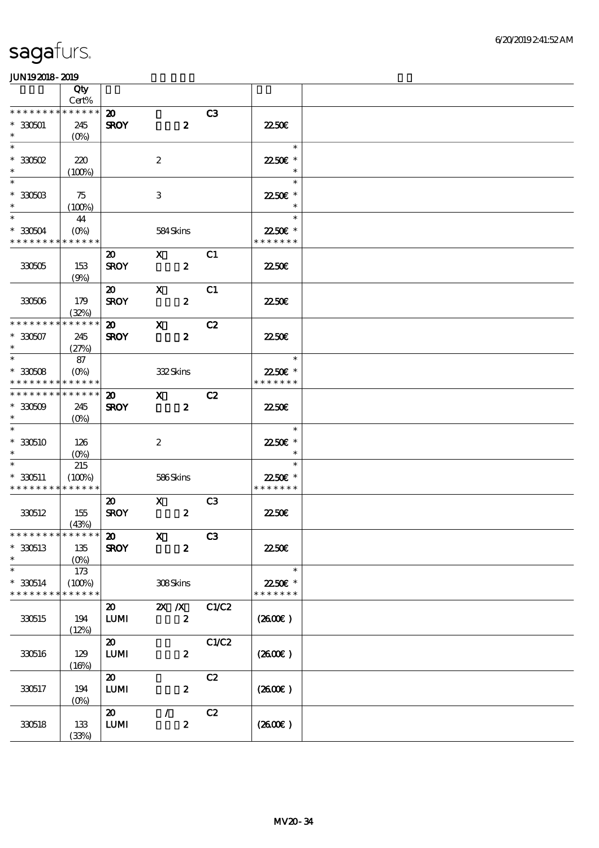|                              | Qty<br>Cert%      |                             |                           |                |                     |  |
|------------------------------|-------------------|-----------------------------|---------------------------|----------------|---------------------|--|
| * * * * * * * *              | * * * * * *       |                             |                           |                |                     |  |
|                              |                   | $\boldsymbol{\mathfrak{D}}$ |                           | C3             |                     |  |
| $*330501$                    | 245               | <b>SROY</b>                 | $\boldsymbol{z}$          |                | <b>2250€</b>        |  |
| $\ast$                       | $(O\%)$           |                             |                           |                |                     |  |
| $\ast$                       |                   |                             |                           |                | $\ast$              |  |
| $*30502$                     | 220               |                             | $\boldsymbol{z}$          |                | 22.50€ *            |  |
| $\ast$                       | (100%)            |                             |                           |                | $\ast$              |  |
| $\ast$                       |                   |                             |                           |                | $\ast$              |  |
|                              |                   |                             |                           |                |                     |  |
| $*30503$                     | 75                |                             | 3                         |                | 2250€ *             |  |
| $\ast$                       | $(100\%)$         |                             |                           |                | $\ast$              |  |
| $\ast$                       | 44                |                             |                           |                | $\ast$              |  |
| $*30504$                     | $(O\%)$           |                             | 584Skins                  |                | 22.50€ *            |  |
| * * * * * * * *              | * * * * * *       |                             |                           |                | * * * * * * *       |  |
|                              |                   | $\boldsymbol{\mathfrak{D}}$ | $\mathbf{x}$              | C1             |                     |  |
|                              |                   |                             |                           |                |                     |  |
| 330505                       | 153               | <b>SROY</b>                 | $\boldsymbol{z}$          |                | 2250E               |  |
|                              | (9%)              |                             |                           |                |                     |  |
|                              |                   | $\boldsymbol{\mathsf{20}}$  | $\mathbf{x}$              | C1             |                     |  |
| 330506                       | 179               | <b>SROY</b>                 | $\boldsymbol{z}$          |                | 2250E               |  |
|                              | (32%)             |                             |                           |                |                     |  |
| * * * * * * * *              | * * * * * *       | $\boldsymbol{\mathfrak{D}}$ | $\mathbf{x}$              | C2             |                     |  |
| $*30507$                     | 245               |                             | $\boldsymbol{z}$          |                | <b>2250E</b>        |  |
| $\ast$                       |                   | <b>SROY</b>                 |                           |                |                     |  |
|                              | (27%)             |                             |                           |                |                     |  |
| $\ast$                       | 87                |                             |                           |                | $\ast$              |  |
| $*30508$                     | $(O\%)$           |                             | 332Skins                  |                | 22.50€ *            |  |
| * * * * * * * *              | * * * * * *       |                             |                           |                | * * * * * * *       |  |
| * * * * * * * *              | * * * * * *       | $\boldsymbol{\mathfrak{D}}$ | $\mathbf{X}$              | C2             |                     |  |
| $*30509$                     | 245               | <b>SROY</b>                 | $\boldsymbol{z}$          |                | 2250E               |  |
| $\ast$                       |                   |                             |                           |                |                     |  |
|                              | $(O\% )$          |                             |                           |                |                     |  |
| $\ast$                       |                   |                             |                           |                | $\ast$              |  |
| $*330510$                    | 126               |                             | $\boldsymbol{2}$          |                | 22.50€ *            |  |
|                              | $(O\%)$           |                             |                           |                | $\ast$              |  |
| $\ast$                       | 215               |                             |                           |                | $\ast$              |  |
| $*330511$                    | (100%)            |                             | 586Skins                  |                | 22.50€ *            |  |
| * * * * * * * * * * * * * *  |                   |                             |                           |                | * * * * * * *       |  |
|                              |                   |                             |                           |                |                     |  |
|                              |                   | $\boldsymbol{\mathfrak{D}}$ | $\boldsymbol{X}$          | C <sub>3</sub> |                     |  |
| 330512                       | 155               | <b>SROY</b>                 | $\boldsymbol{z}$          |                | 2250E               |  |
|                              | (43%)             |                             |                           |                |                     |  |
| ******** <mark>******</mark> |                   | $\boldsymbol{\omega}$       | $\mathbf{X}$              | C3             |                     |  |
| $*330513$                    | $135\,$           | <b>SROY</b>                 | $\boldsymbol{z}$          |                | <b>2250€</b>        |  |
| $\ast$                       | (O <sub>0</sub> ) |                             |                           |                |                     |  |
| $\ast$                       | 173               |                             |                           |                | $\ast$              |  |
|                              |                   |                             |                           |                |                     |  |
| $*330514$                    | (100%)            |                             | 308Skins                  |                | 22.50€ *            |  |
| * * * * * * * *              | * * * * * *       |                             |                           |                | * * * * * * *       |  |
|                              |                   | $\boldsymbol{\mathsf{20}}$  | $\mathbf{X}$ $\mathbf{X}$ | C1/C2          |                     |  |
| 330515                       | 194               | <b>LUMI</b>                 | $\boldsymbol{z}$          |                | (2600)              |  |
|                              | (12%)             |                             |                           |                |                     |  |
|                              |                   | $\boldsymbol{\mathfrak{D}}$ |                           | C1/C2          |                     |  |
|                              | 129               | ${\bf LUM}$                 | $\boldsymbol{z}$          |                | (2600)              |  |
| 330516                       |                   |                             |                           |                |                     |  |
|                              | (16%)             |                             |                           |                |                     |  |
|                              |                   | $\boldsymbol{\mathfrak{D}}$ |                           | C2             |                     |  |
| 330517                       | 194               | ${\bf LUM}$                 | $\boldsymbol{z}$          |                | $(2600\varepsilon)$ |  |
|                              | $(O_0)$           |                             |                           |                |                     |  |
|                              |                   | $\boldsymbol{\mathfrak{D}}$ | $\mathcal{L}$             | C2             |                     |  |
| 330518                       | 133               | ${\bf LUM}$                 | $\boldsymbol{z}$          |                | $(2600\varepsilon)$ |  |
|                              | (33%)             |                             |                           |                |                     |  |
|                              |                   |                             |                           |                |                     |  |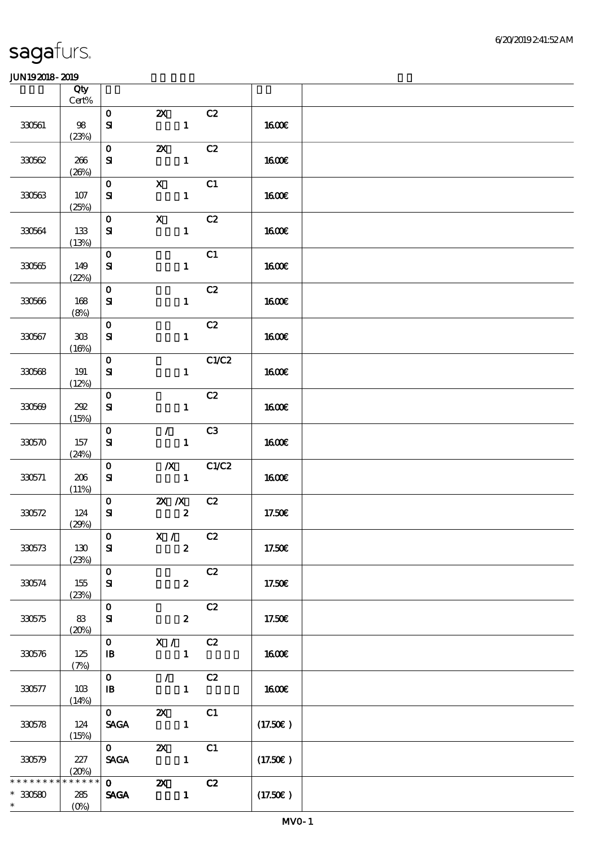|                                     | Qty<br>Cert%                              |                                              |                                               |       |              |  |
|-------------------------------------|-------------------------------------------|----------------------------------------------|-----------------------------------------------|-------|--------------|--|
|                                     |                                           | $\mathbf{O}$                                 | $\boldsymbol{\mathsf{Z}}$                     | C2    |              |  |
| 330561                              | 98<br>(23%)                               | $\mathbf{S}$                                 | $\mathbf{1}$                                  |       | <b>1600€</b> |  |
| 330562                              | 266<br>(20%)                              | $\mathbf{O}$<br>${\bf S}$                    | $\boldsymbol{\mathsf{z}}$<br>$\mathbf{1}$     | C2    | <b>160€</b>  |  |
| 330563                              | 107<br>(25%)                              | $\mathbf{O}$<br>${\bf s}$                    | $\mathbf{x}$<br>$\mathbf{1}$                  | C1    | 1600E        |  |
| 330564                              | 133<br>(13%)                              | $\mathbf{O}$<br>${\bf s}$                    | $\mathbf X$<br>$\mathbf{1}$                   | C2    | 1600€        |  |
| 330565                              | 149<br>(22%)                              | $\mathbf{o}$<br>${\bf S}$                    | $\mathbf{1}$                                  | C1    | <b>160€</b>  |  |
| 330566                              | 168<br>(8%)                               | $\mathbf{o}$<br>${\bf s}$                    | $\mathbf{1}$                                  | C2    | 1600E        |  |
| 330567                              | $\mathbf{3}\mathbf{0}\mathbf{3}$<br>(16%) | $\mathbf O$<br>$\mathbf{S}$                  | $\mathbf{1}$                                  | C2    | <b>1600€</b> |  |
| 330568                              | 191<br>(12%)                              | $\mathbf{o}$<br>${\bf S}$                    | $\mathbf{1}$                                  | C1/C2 | 1600E        |  |
| 330569                              | 202<br>(15%)                              | $\mathbf 0$<br>${\bf s}$                     | $\mathbf{1}$                                  | C2    | <b>1600€</b> |  |
| 330570                              | 157<br>(24%)                              | $\mathbf O$<br>${\bf s}$                     | $\mathcal{L}$<br>$\mathbf{1}$                 | C3    | <b>1600€</b> |  |
| 330571                              | 206<br>(11%)                              | $\mathbf{o}$<br>${\bf s}$                    | $\boldsymbol{X}$<br>$\mathbf{1}$              | C1/C2 | 1600E        |  |
| 330572                              | 124<br>(29%)                              | $\mathbf{O}$<br>${\bf s}$                    | $\mathbf{X}$ $\mathbf{X}$<br>$\boldsymbol{z}$ | C2    | 17.50€       |  |
| 330573                              | 130<br>(23%)                              | $\mathbf{O}$<br>${\bf s}$                    | $X / \sqrt{2}$<br>$\boldsymbol{z}$            | C2    | 17.50€       |  |
| 330574                              | 155<br>(23%)                              | $\mathbf{o}$<br>${\bf s}$                    | $\boldsymbol{z}$                              | C2    | 17.50€       |  |
| 330575                              | 83<br>(20%)                               | $\mathbf O$<br>${\bf s}$                     | $\boldsymbol{z}$                              | C2    | 17.50€       |  |
| 330576                              | 125<br>(7%)                               | $\mathbf{O}$<br>$\mathbf{B}$                 | X / C2<br>$\mathbf{1}$                        |       | <b>1600€</b> |  |
| 330577                              | 10B<br>(14%)                              | $\mathbf{O}$<br>$\mathbf{B}$                 | $\mathcal{T} = \mathcal{I}$<br>$\mathbf{1}$   | C2    | <b>1600€</b> |  |
| 330578                              | 124<br>(15%)                              | $\mathbf{O}$<br>$\ensuremath{\mathsf{SAGA}}$ | $\boldsymbol{\mathsf{Z}}$<br>$\mathbf{1}$     | C1    | (17.50)      |  |
| 330579                              | 227<br>(20%)                              | $\mathbf{O}$<br><b>SAGA</b>                  | $\boldsymbol{\mathsf{Z}}$<br>$\mathbf{1}$     | C1    | (17.50)      |  |
| * * * * * * *<br>$*30580$<br>$\ast$ | * * * * * *<br>285<br>$(0\%)$             | $\mathbf{0}$<br><b>SAGA</b>                  | $\boldsymbol{\mathsf{X}}$<br>$\mathbf{1}$     | C2    | (17.50)      |  |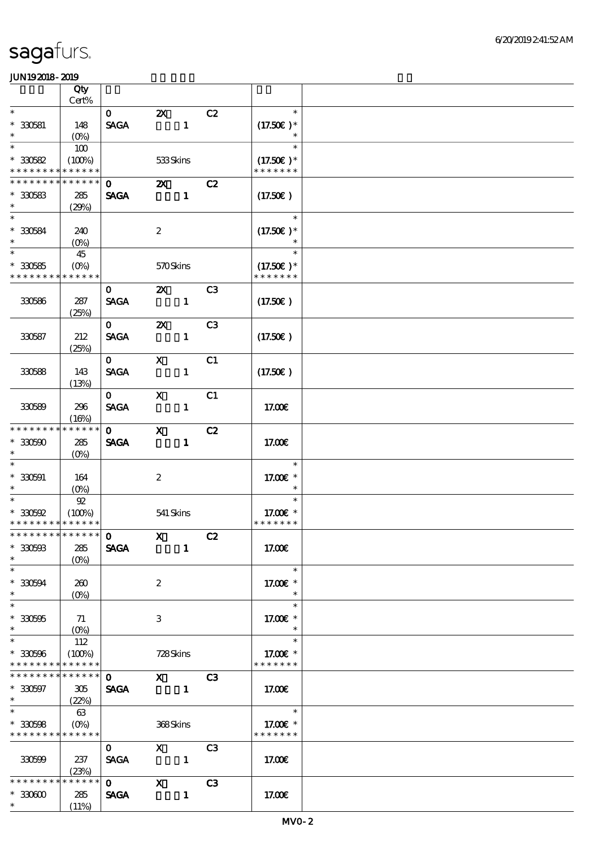|                                                              | Qty                                          |                                        |                                             |              |                |                                                  |  |
|--------------------------------------------------------------|----------------------------------------------|----------------------------------------|---------------------------------------------|--------------|----------------|--------------------------------------------------|--|
|                                                              | Cert%                                        |                                        |                                             |              |                |                                                  |  |
| $\ast$<br>$* 330581$<br>$\ast$                               | 148<br>$(O\%)$                               | $\mathbf{O}$<br><b>SAGA</b>            | $\boldsymbol{\mathsf{Z}}$<br>$\blacksquare$ |              | C2             | $\ast$<br>$(17.50)$ *                            |  |
| $\ast$<br>$*30582$<br>* * * * * * * *                        | 100<br>(100%)<br>* * * * * *                 |                                        | 533Skins                                    |              |                | $\ast$<br>$(17.50)$ *<br>* * * * * * *           |  |
| * * * * * * * *                                              | * * * * * *                                  | $\mathbf 0$                            | $\mathbf{X}$                                |              | C2             |                                                  |  |
| $*30583$<br>$\ast$                                           | 285<br>(29%)                                 | <b>SAGA</b>                            |                                             | $\mathbf{1}$ |                | (17.50)                                          |  |
| $\overline{\ast}$<br>$*30584$<br>$\ast$                      | 240<br>$(0\%)$                               |                                        | $\boldsymbol{2}$                            |              |                | $\ast$<br>$(17.50)$ *                            |  |
| $\overline{\ast}$<br>$*30585$<br>* * * * * * * *             | 45<br>$(O\%)$<br>* * * * * *                 |                                        | 570Skins                                    |              |                | $\ast$<br>$(17.50)$ *<br>* * * * * * *           |  |
| 330586                                                       | 287<br>(25%)                                 | $\mathbf{O}$<br><b>SAGA</b>            | $\mathbf{X}$<br>$\overline{\phantom{a}}$    |              | C3             | (17.50)                                          |  |
| 330587                                                       | 212<br>(25%)                                 | $\mathbf{O}$<br><b>SAGA</b>            | $\boldsymbol{\mathsf{Z}}$                   | $\mathbf{I}$ | C <sub>3</sub> | (17.50)                                          |  |
| 330588                                                       | 143<br>(13%)                                 | $\mathbf{O}$<br><b>SAGA</b>            | $\mathbf{x}$                                | $\mathbf{1}$ | C1             | $(17.50\epsilon)$                                |  |
| 330589                                                       | 296<br>(16%)                                 | $\mathbf{0}$<br><b>SAGA</b>            | $\mathbf{x}$                                | $\mathbf{1}$ | C1             | 17.00E                                           |  |
| * * * * * * * *<br>$*30500$<br>$\ast$                        | * * * * * *<br>285<br>$(O\%)$                | $\mathbf{O}$<br><b>SAGA</b>            | $\mathbf{x}$                                | $\mathbf{1}$ | C2             | 17.00€                                           |  |
| $\ast$<br>$* 330591$<br>$\ast$                               | 164<br>$(0\%)$                               |                                        | $\boldsymbol{2}$                            |              |                | $\ast$<br>17.00 £*<br>$\ast$                     |  |
| $\ast$<br>$*30592$<br>* * * * * * * * * * * * * *            | 92<br>(100%)                                 |                                        | 541 Skins                                   |              |                | $\ast$<br>17.00 £*<br>* * * * * * *              |  |
| *************** 0<br>$*30593$<br>$\ast$                      | 285<br>$(O\%)$                               | <b>SAGA</b>                            | $\overline{\mathbf{X}}$ $\mathbf{C2}$       | $\mathbf{1}$ |                | 17.00E                                           |  |
| $\ast$<br>$*330594$<br>$\ast$                                | 260<br>$(O\%)$                               |                                        | $\boldsymbol{z}$                            |              |                | $\ast$<br>17.00 £*<br>$\ast$                     |  |
| $\ast$<br>$*330595$<br>$\ast$                                | 71<br>$(O\!\!\!\!\!\!\backslash \textrm{\O}$ |                                        | 3                                           |              |                | $\ast$<br>17.00 $\varepsilon$ *                  |  |
| $\ast$<br>$* 330596$<br>* * * * * * * *                      | 112<br>(100%)<br>******                      |                                        | 728Skins                                    |              |                | $\ast$<br>17.00 £*<br>* * * * * * *              |  |
| * * * * * * * *<br>$*30597$<br>$*$ and $*$                   | ******<br>305<br>(22%)                       | $\mathbf{O}$<br><b>SAGA</b>            | $X$ C3                                      |              |                | 17.00E                                           |  |
| $\overline{\ast}$<br>$*30598$<br>* * * * * * * * * * * * * * | 63                                           |                                        | 368Skins                                    |              |                | $\ast$<br>17.00 $\varepsilon$ *<br>* * * * * * * |  |
| 330599                                                       | 237<br>(23%)                                 | $\mathbf{0}$<br><b>SAGA</b>            | $\overline{X}$                              |              | C3             | 17.00E                                           |  |
| * * * * * * * *<br>$*33000$<br>$*$ $*$                       | * * * * * *<br>285<br>(11%)                  | $\overline{\mathbf{o}}$<br><b>SAGA</b> | $\mathbf{X}$                                | $\mathbf{1}$ | C3             | 17.00E                                           |  |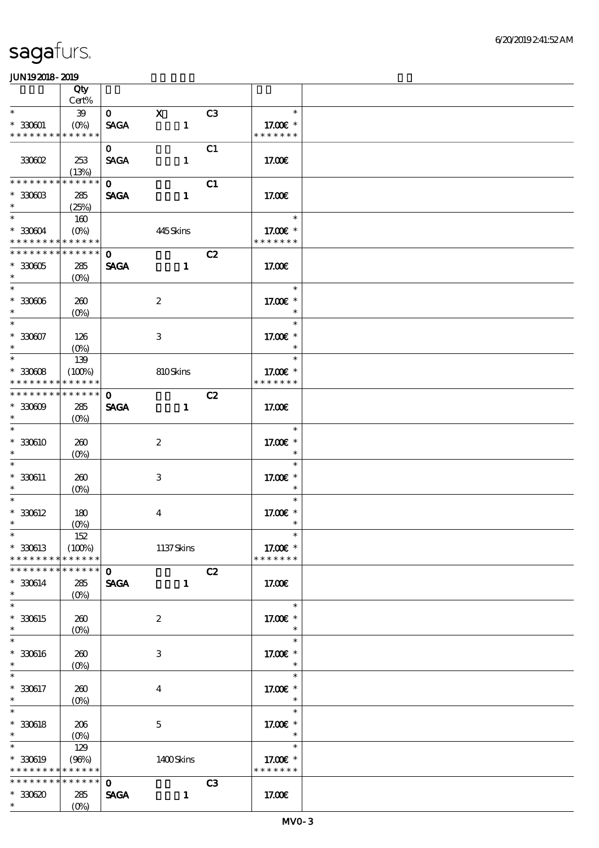|                                          | Qty                        |              |                           |              |                |                           |  |
|------------------------------------------|----------------------------|--------------|---------------------------|--------------|----------------|---------------------------|--|
|                                          | Cert%                      |              |                           |              |                |                           |  |
| $\ast$                                   | $39\,$                     | $\mathbf{O}$ | $\mathbf{x}$              |              | C <sub>3</sub> | $\ast$                    |  |
| $* 330001$<br>* * * * * * * *            | $(0\%)$<br>* * * * * *     | <b>SAGA</b>  | $\mathbf{1}$              |              |                | 17.00€ *<br>* * * * * * * |  |
|                                          |                            | $\mathbf{O}$ |                           |              | C1             |                           |  |
| 30002                                    | 253                        | <b>SAGA</b>  | $\mathbf{1}$              |              |                | 17.00E                    |  |
|                                          | (13%)                      |              |                           |              |                |                           |  |
| * * * * * * * *                          | * * * * * *                | $\mathbf{o}$ |                           |              | C1             |                           |  |
| $*3000B$                                 | 285                        | <b>SAGA</b>  |                           | $\mathbf{1}$ |                | 17.00E                    |  |
| $\ast$                                   | (25%)                      |              |                           |              |                |                           |  |
| $\overline{\ast}$                        | 160                        |              |                           |              |                | $\ast$                    |  |
| $*30004$                                 | $(O\%)$                    |              | 445Skins                  |              |                | 17.00 £*                  |  |
| * * * * * * * * * * * * * *              |                            |              |                           |              |                | * * * * * * *             |  |
| * * * * * * * *                          | * * * * * *                | $\mathbf 0$  |                           |              | C2             |                           |  |
| $*30005$<br>$\ast$                       | 285                        | <b>SAGA</b>  | $\mathbf{1}$              |              |                | 17.00E                    |  |
| $\ast$                                   | $(O\%)$                    |              |                           |              |                | $\ast$                    |  |
| $^\ast$ 330606                           | 260                        |              | $\boldsymbol{2}$          |              |                | 17.00 £*                  |  |
| $\ast$                                   | $(0\%)$                    |              |                           |              |                | $\ast$                    |  |
| $\ast$                                   |                            |              |                           |              |                | $\ast$                    |  |
| $* 330007$                               | 126                        |              | $\ensuremath{\mathbf{3}}$ |              |                | 17.00 £*                  |  |
| $\ast$                                   | $(O\%)$                    |              |                           |              |                | $\ast$                    |  |
| $\ast$                                   | 139                        |              |                           |              |                | $\ast$                    |  |
| $*30008$                                 | (100%)                     |              | 810Skins                  |              |                | 17.00 £*                  |  |
| * * * * * * * *                          | * * * * * *                |              |                           |              |                | * * * * * * *             |  |
| * * * * * * * *                          | $* * * * * * *$            | $\mathbf 0$  |                           |              | C2             |                           |  |
| $*30009$                                 | 285                        | <b>SAGA</b>  |                           | $\mathbf{1}$ |                | 17.00E                    |  |
| $\ast$<br>$\ast$                         | $(O\%)$                    |              |                           |              |                | $\ast$                    |  |
| * 330610                                 | 260                        |              | $\boldsymbol{2}$          |              |                | 17.00€ *                  |  |
| $\ast$                                   | $(O\%)$                    |              |                           |              |                | $\ast$                    |  |
| $\ast$                                   |                            |              |                           |              |                | $\ast$                    |  |
| $*330611$                                | 260                        |              | 3                         |              |                | 17.00 £*                  |  |
| $\ast$                                   | $(O\%)$                    |              |                           |              |                | $\ast$                    |  |
| $\ast$                                   |                            |              |                           |              |                | $\ast$                    |  |
| $* 330612$                               | 180                        |              | $\boldsymbol{4}$          |              |                | 17.00 £*                  |  |
| $\ast$                                   | $(O\!/\!o)$                |              |                           |              |                | $\ast$                    |  |
| $*$                                      | $152\,$                    |              |                           |              |                | $\ast$                    |  |
| $*330613$                                | (100%)                     |              | 1137Skins                 |              |                | 17.00€ *                  |  |
| * * * * * * * *<br>* * * * * * * *       | * * * * * *<br>* * * * * * | $\mathbf{o}$ |                           |              |                | * * * * * * *             |  |
| $* 330614$                               | 285                        | <b>SAGA</b>  |                           | $\mathbf{1}$ | C2             | 17.00E                    |  |
| $\ast$                                   | $(O\%)$                    |              |                           |              |                |                           |  |
| $\ast$                                   |                            |              |                           |              |                | $\ast$                    |  |
| $*330615$                                | 260                        |              | $\boldsymbol{2}$          |              |                | 17.00 £*                  |  |
| $\ast$                                   | $(0\%)$                    |              |                           |              |                |                           |  |
| $\ast$                                   |                            |              |                           |              |                | $\ast$                    |  |
| $* 330616$                               | 260                        |              | 3                         |              |                | 17.00€ *                  |  |
| $\ast$                                   | $(0\%)$                    |              |                           |              |                | $\ast$                    |  |
| $\ast$                                   |                            |              |                           |              |                | $\ast$                    |  |
| $* 330617$<br>$\ast$                     | 260                        |              | $\boldsymbol{4}$          |              |                | 17.00 £*                  |  |
| $\ast$                                   | $(0\%)$                    |              |                           |              |                | $\ast$<br>$\ast$          |  |
| $* 330618$                               | 206                        |              | $\mathbf 5$               |              |                | 17.00 £*                  |  |
| $\ast$                                   | $(O\!/\!\!\delta)$         |              |                           |              |                | $\ast$                    |  |
| $\ast$                                   | 129                        |              |                           |              |                | $\ast$                    |  |
| $* 330619$                               | (96%)                      |              | 1400Skins                 |              |                | 17.00€ *                  |  |
| * * * * * * * * <mark>* * * * * *</mark> |                            |              |                           |              |                | * * * * * * *             |  |
| * * * * * * * *                          | * * * * * *                | $\mathbf 0$  |                           |              | C3             |                           |  |
| $*30620$                                 | 285                        | <b>SAGA</b>  | $\mathbf{1}$              |              |                | 17.00E                    |  |
| $\ast$                                   | $(O\%)$                    |              |                           |              |                |                           |  |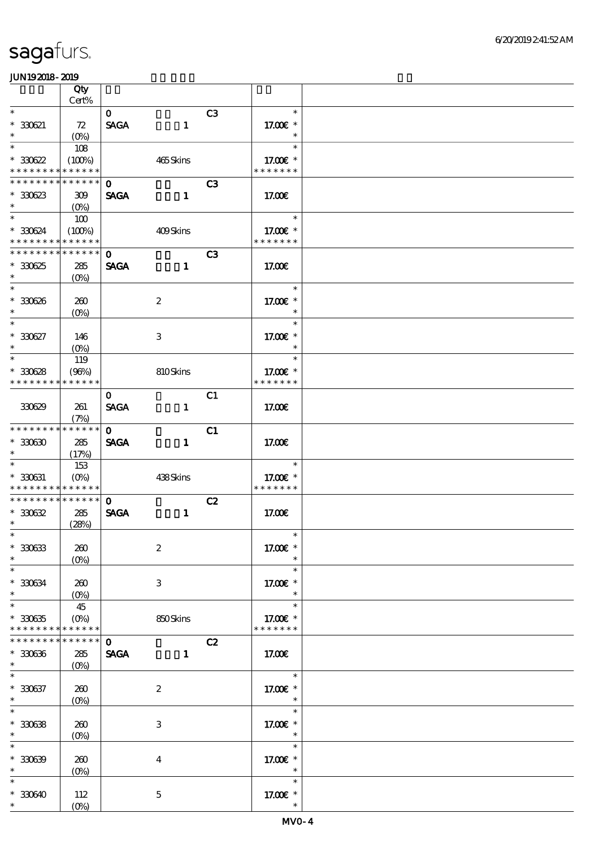|                                                           | Qty                           |                             |                           |                |                                                  |  |
|-----------------------------------------------------------|-------------------------------|-----------------------------|---------------------------|----------------|--------------------------------------------------|--|
| $\ast$                                                    | Cert%                         |                             |                           |                | $\ast$                                           |  |
| $*30021$<br>$\ast$                                        | 72<br>$(O_0)$                 | $\mathbf{O}$<br><b>SAGA</b> | $\mathbf{1}$              | C <sub>3</sub> | 17.00 £*<br>$\ast$                               |  |
| $\ast$<br>$*30622$<br>* * * * * * * *                     | 108<br>(100%)<br>* * * * * *  |                             | 465Skins                  |                | $\ast$<br>17.00€ *<br>* * * * * * *              |  |
| * * * * * * * * * * * * * * *<br>$*30623$<br>$\ast$       | 309                           | $\mathbf{o}$<br><b>SAGA</b> | $\mathbf{1}$              | C <sub>3</sub> | 17.00E                                           |  |
| $\ast$<br>$*30624$<br>* * * * * * * * * * * * * *         | $(O\%)$<br>100<br>(100%)      |                             | 409Skins                  |                | $\ast$<br>17.00 $\varepsilon$ *<br>* * * * * * * |  |
|                                                           |                               |                             |                           |                |                                                  |  |
| * * * * * * * * * * * * * *<br>$*30625$<br>$\ast$         | 285<br>$(O\%)$                | $\mathbf 0$<br><b>SAGA</b>  | $\mathbf{1}$              | C <sub>3</sub> | 17.00E                                           |  |
| $\ast$<br>$* 30626$<br>$\ast$                             | 260<br>$(O\%)$                |                             | $\boldsymbol{2}$          |                | $\ast$<br>17.00 £*<br>$\ast$                     |  |
| $\ast$<br>$* 30027$<br>$\ast$                             | 146<br>$(O\%)$                |                             | $\ensuremath{\mathbf{3}}$ |                | $\ast$<br>17.00 £*<br>$\ast$                     |  |
| $\ast$<br>$*30628$<br>* * * * * * * *                     | 119<br>(96%)<br>* * * * * *   |                             | 810Skins                  |                | $\ast$<br>17.00€ *<br>* * * * * * *              |  |
| 330629                                                    | 261<br>(7%)                   | $\mathbf{O}$<br><b>SAGA</b> | $\mathbf{1}$              | C1             | 17.00E                                           |  |
| ******** <mark>*******</mark><br>$^\ast$ 330630<br>$\ast$ | 285<br>(17%)                  | $\mathbf{O}$<br><b>SAGA</b> | $\mathbf{1}$              | C1             | 17.00E                                           |  |
| $\ast$<br>$* 330631$<br>* * * * * * * *                   | 153<br>$(O\%)$<br>* * * * * * |                             | 438Skins                  |                | $\ast$<br>17.00€ *<br>* * * * * * *              |  |
| * * * * * * * * * * * * * * *<br>$*30632$<br>$\ast$       | 285<br>(28%)                  | $\mathbf{o}$<br><b>SAGA</b> | $\mathbf{1}$              | C2             | 17.00E                                           |  |
| $*$<br>$^\ast$ 330633<br>$\ast$                           | 260<br>$(O\%)$                |                             | $\boldsymbol{2}$          |                | $*$<br>17.00€ *<br>$\ast$                        |  |
| $\ast$<br>$* 330634$<br>$\ast$                            | 260<br>$(O\% )$               |                             | 3                         |                | $\ast$<br>17.00 £*<br>$\ast$                     |  |
| $\ast$<br>$*30635$<br>* * * * * * * *                     | 45<br>$(O\%)$<br>* * * * * *  |                             | 850Skins                  |                | $\ast$<br>17.00 £*<br>* * * * * * *              |  |
| * * * * * * * *<br>$* 330336$<br>$\ast$                   | $******$<br>285<br>$(O\%)$    | $\mathbf 0$<br><b>SAGA</b>  | $\mathbf{1}$              | C2             | 17.00€                                           |  |
| $\ast$<br>$* 330637$<br>$\ast$                            | 260<br>$(O\%)$                |                             | $\boldsymbol{2}$          |                | $\ast$<br>17.00 £*<br>$\ast$                     |  |
| $\ast$<br>$*30638$<br>$\ast$                              | 260<br>$(O\%)$                |                             | 3                         |                | $\ast$<br>17.00€ *<br>$\ast$                     |  |
| $\ast$<br>$* 30639$<br>$\ast$                             | 260<br>$(0\%)$                |                             | $\overline{4}$            |                | $\ast$<br>17.00 £*<br>$\ast$                     |  |
| $\ast$<br>$*30640$<br>$\ast$                              | 112<br>$(O\!/\!o)$            |                             | $\mathbf 5$               |                | $\ast$<br>17.00 £*<br>$\ast$                     |  |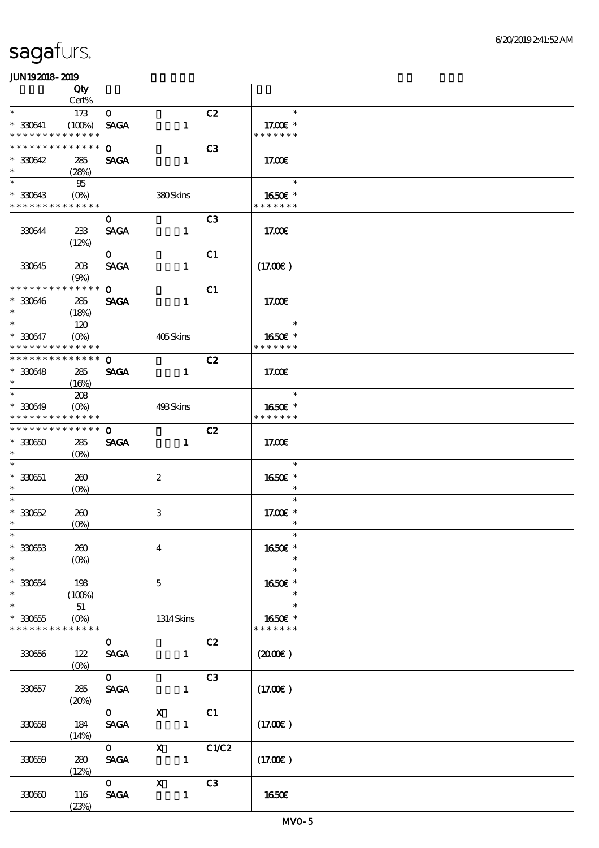|                                                            | Qty                 |                             |                           |                   |                          |  |
|------------------------------------------------------------|---------------------|-----------------------------|---------------------------|-------------------|--------------------------|--|
| $\ast$                                                     | Cert%               |                             |                           |                   | $\ast$                   |  |
| $* 330641$                                                 | 173<br>(100%)       | $\mathbf{O}$<br><b>SAGA</b> | $\mathbf{1}$              | C2                | 17.00 $\varepsilon$ *    |  |
| * * * * * * * * * * * * * *                                |                     |                             |                           |                   | * * * * * * *            |  |
| * * * * * * * *                                            | * * * * * *         | $\mathbf{O}$                |                           | C <sub>3</sub>    |                          |  |
| $*30642$                                                   | 285                 | <b>SAGA</b>                 | $\mathbf{1}$              |                   | 17.00E                   |  |
| $\ast$                                                     | (28%)               |                             |                           |                   |                          |  |
| $\ast$                                                     | 95                  |                             |                           |                   | $\ast$                   |  |
| $*330643$<br>* * * * * * * * * * * * * *                   |                     |                             | 380Skins                  |                   | 1650€ *<br>* * * * * * * |  |
|                                                            |                     | $\mathbf{O}$                |                           | C <sub>3</sub>    |                          |  |
| 330644                                                     | 233                 | <b>SAGA</b>                 | $\mathbf{1}$              |                   | 17.00€                   |  |
|                                                            | (12%)               |                             |                           |                   |                          |  |
|                                                            |                     | $\mathbf{O}$                |                           | C1                |                          |  |
| 330645                                                     | 20B                 | <b>SAGA</b>                 | $\mathbf{1}$              |                   | (17.00)                  |  |
| * * * * * * * *                                            | (9%)<br>* * * * * * | $\mathbf{O}$                |                           | C1                |                          |  |
| $* 330646$                                                 | 285                 | <b>SAGA</b>                 | $\mathbf{1}$              |                   | 17.00E                   |  |
| $\ast$                                                     | (18%)               |                             |                           |                   |                          |  |
| $\overline{\ast}$                                          | 120                 |                             |                           |                   | an an<br>$\ast$          |  |
| $* 330647$                                                 | $(O\%)$             |                             | 405Skins                  |                   | 1650E *                  |  |
| * * * * * * * * * * * * * *<br>* * * * * * * * * * * * * * |                     |                             |                           |                   | * * * * * * *            |  |
| $*30648$                                                   | 285                 | $\mathbf{O}$<br><b>SAGA</b> | $\mathbf{1}$              | C2                | 17.00E                   |  |
| $\ast$                                                     | (16%)               |                             |                           |                   |                          |  |
| $\ast$                                                     | 208                 |                             |                           |                   | $\ast$                   |  |
| $* 30649$                                                  | $(O\%)$             |                             | 493Skins                  |                   | 1650E *                  |  |
| * * * * * * * *                                            | * * * * * *         |                             |                           |                   | * * * * * * *            |  |
| * * * * * * * * * * * * * * *                              |                     | $\mathbf 0$                 |                           | C2                |                          |  |
| $*3060$<br>$\ast$                                          | 285<br>$(O\%)$      | <b>SAGA</b>                 | $\mathbf{1}$              |                   | 17.00E                   |  |
| $\ast$                                                     |                     |                             |                           |                   | $\ast$                   |  |
| $* 330651$                                                 | 260                 |                             | $\boldsymbol{2}$          |                   | 1650€ *                  |  |
| $\ast$                                                     | $(O\%)$             |                             |                           |                   | $\ast$                   |  |
| $\ast$                                                     |                     |                             |                           |                   | $\ast$                   |  |
| $* 30052$<br>$\ast$                                        | 260                 |                             | 3                         |                   | 17.00 £*<br>$\ast$       |  |
| $*$                                                        | $(O\!/\!o)$         |                             |                           |                   | $\ast$                   |  |
| $* 330633$                                                 | 260                 |                             | $\overline{4}$            |                   | 1650€ *                  |  |
| $\ast$                                                     | $(O\%)$             |                             |                           |                   | $\ast$                   |  |
| $\ast$                                                     |                     |                             |                           |                   | $\ast$                   |  |
| $^*$ 330654 $\,$<br>$\ast$                                 | 198                 |                             | $\mathbf{5}$              |                   | 1650E *<br>$\ast$        |  |
| $\ast$                                                     | (100%)<br>51        |                             |                           |                   | $\ast$                   |  |
| $* 330655$                                                 | $(O\!/\!\!\delta)$  |                             | 1314 Skins                |                   | 1650€ *                  |  |
| * * * * * * * *                                            | * * * * * *         |                             |                           |                   | * * * * * * *            |  |
|                                                            |                     | $\mathbf{O}$                |                           | C2                |                          |  |
| 330656                                                     | 122                 | <b>SAGA</b>                 | $\mathbf{1}$              |                   | (200E)                   |  |
|                                                            | $(O\%)$             |                             |                           |                   |                          |  |
| 330657                                                     | 285                 | $\mathbf{O}$<br><b>SAGA</b> | $\mathbf{1}$              | C3                | (17.00)                  |  |
|                                                            | (20%)               |                             |                           |                   |                          |  |
|                                                            |                     | $\mathbf{O}$                | $\mathbf{X}$              | C1                |                          |  |
| 330658                                                     | 184                 | <b>SAGA</b>                 | $\mathbf{1}$              |                   | (17.00)                  |  |
|                                                            | (14%)               |                             |                           |                   |                          |  |
|                                                            |                     | $\mathbf{O}$                | $\mathbf{X}$              | $C1\overline{C2}$ |                          |  |
| 330659                                                     | 280<br>(12%)        | <b>SAGA</b>                 | $\sim$ $\sim$ 1           |                   | (17.00)                  |  |
|                                                            |                     | $\mathbf{O}$                | $\boldsymbol{\mathrm{X}}$ | C3                |                          |  |
| 330600                                                     | 116                 | <b>SAGA</b>                 | $\mathbf{1}$              |                   | 1650€                    |  |
|                                                            | (23%)               |                             |                           |                   |                          |  |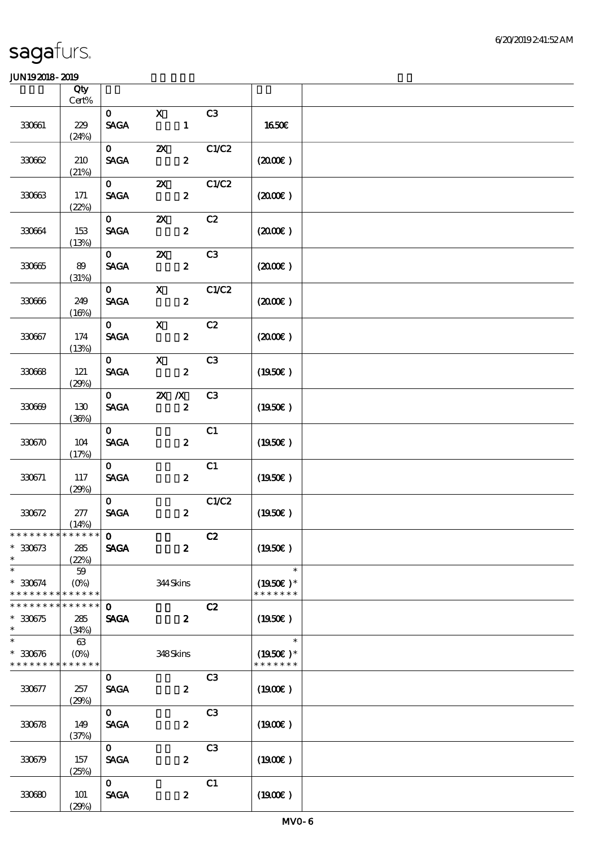|                               | Qty<br>$Cert\%$        |                                |                           |                  |                |                             |  |
|-------------------------------|------------------------|--------------------------------|---------------------------|------------------|----------------|-----------------------------|--|
|                               |                        | $\mathbf{O}$                   | $\mathbf X$               |                  | C3             |                             |  |
| 330661                        | 229<br>(24%)           | <b>SAGA</b>                    |                           | $\mathbf{1}$     |                | <b>1650€</b>                |  |
|                               |                        | $\mathbf{O}$                   | $\boldsymbol{\mathsf{z}}$ |                  | C1/C2          |                             |  |
| 330662                        | 210<br>(21%)           | <b>SAGA</b>                    |                           | $\boldsymbol{z}$ |                | (200E)                      |  |
|                               |                        | $\mathbf{O}$                   | $\boldsymbol{\alpha}$     |                  | C1/C2          |                             |  |
| 330663                        | $171$<br>(22%)         | <b>SAGA</b>                    |                           | $\boldsymbol{2}$ |                | (200E)                      |  |
|                               |                        | $\mathbf{O}$                   | $\boldsymbol{\mathsf{Z}}$ |                  | C2             |                             |  |
| 330664                        | 153<br>(13%)           | <b>SAGA</b>                    |                           | $\boldsymbol{z}$ |                | (200E)                      |  |
|                               |                        | $\mathbf{O}$                   | $\boldsymbol{\mathsf{X}}$ |                  | C3             |                             |  |
| 330665                        | 89<br>(31%)            | <b>SAGA</b>                    |                           | $\boldsymbol{z}$ |                | (200E)                      |  |
|                               |                        | $\mathbf{O}$                   | $\mathbf{X}$              |                  | C1/C2          |                             |  |
| 330666                        | 249<br>(16%)           | <b>SAGA</b>                    |                           | $\boldsymbol{z}$ |                | $(2000\varepsilon)$         |  |
|                               |                        | $\mathbf{O}$                   | $\mathbf x$               |                  | C2             |                             |  |
| 330667                        | 174<br>(13%)           | <b>SAGA</b>                    |                           | $\boldsymbol{z}$ |                | (200E)                      |  |
|                               |                        | $\mathbf{O}$                   | $\mathbf{X}$              |                  | C3             |                             |  |
| 330668                        | 121<br>(29%)           | <b>SAGA</b>                    |                           | $\boldsymbol{z}$ |                | (1950E)                     |  |
|                               |                        | $\mathbf{O}$                   | $X$ $X$                   |                  | C <sub>3</sub> |                             |  |
| 330669                        | 130<br>(36%)           | <b>SAGA</b>                    |                           | $\boldsymbol{z}$ |                | (1950)                      |  |
|                               |                        | $\mathbf{O}$                   |                           |                  | C1             |                             |  |
| 330670                        | $104$<br>(17%)         | <b>SAGA</b>                    |                           | $\boldsymbol{z}$ |                | (1950)                      |  |
|                               |                        | $\mathbf{O}$                   |                           |                  | C1             |                             |  |
| 330671                        | $117\,$<br>(29%)       | $\operatorname{\mathsf{SAGA}}$ |                           | $\boldsymbol{z}$ |                | (1950E)                     |  |
|                               |                        | $\mathbf{O}$                   |                           |                  | C1/C2          |                             |  |
| 330672                        | $277\,$                | $\operatorname{\mathsf{SAGA}}$ |                           | $\boldsymbol{z}$ |                | (1950)                      |  |
|                               | (14%)                  |                                |                           |                  |                |                             |  |
| * * * * * * * * * * * * * * * |                        | $\mathbf 0$                    |                           |                  | C2             |                             |  |
| $*30673$<br>$\ast$            | 285<br>(22%)           | <b>SAGA</b>                    |                           | $\boldsymbol{z}$ |                | (1950E)                     |  |
| $\ast$                        | 59                     |                                |                           |                  |                | $\ast$                      |  |
| $* 330674$<br>* * * * * * * * | $(O\%)$<br>* * * * * * |                                | 344Skins                  |                  |                | $(1950)$ *<br>* * * * * * * |  |
| * * * * * * * *               | * * * * * *            | $\mathbf 0$                    |                           |                  | C2             |                             |  |
| $*30675$<br>$\ast$            | 285<br>(34%)           | <b>SAGA</b>                    |                           | $\boldsymbol{z}$ |                | $(1950\epsilon)$            |  |
| $\ast$                        | 63                     |                                |                           |                  |                | $\ast$                      |  |
| $* 330676$                    | $(O\%)$                |                                | 348Skins                  |                  |                | $(1950E)*$                  |  |
| * * * * * * * *               | * * * * * *            |                                |                           |                  |                | * * * * * * *               |  |
|                               |                        | $\mathbf{o}$                   |                           |                  | C <sub>3</sub> |                             |  |
| 330677                        | 257<br>(29%)           | <b>SAGA</b>                    |                           | $\boldsymbol{z}$ |                | (1900E)                     |  |
|                               |                        | $\mathbf{O}$                   |                           |                  | C <sub>3</sub> |                             |  |
| 330678                        | 149<br>(37%)           | <b>SAGA</b>                    |                           | $\boldsymbol{z}$ |                | (1900)                      |  |
|                               |                        | $\mathbf{O}$                   |                           |                  | C <sub>3</sub> |                             |  |
| 330679                        | 157<br>(25%)           | <b>SAGA</b>                    |                           | $\boldsymbol{z}$ |                | (1900E)                     |  |
|                               |                        | $\mathbf{o}$                   |                           |                  | C1             |                             |  |
| 330680                        | 101                    | <b>SAGA</b>                    |                           | $\pmb{2}$        |                | (1900)                      |  |
|                               | (29%)                  |                                |                           |                  |                |                             |  |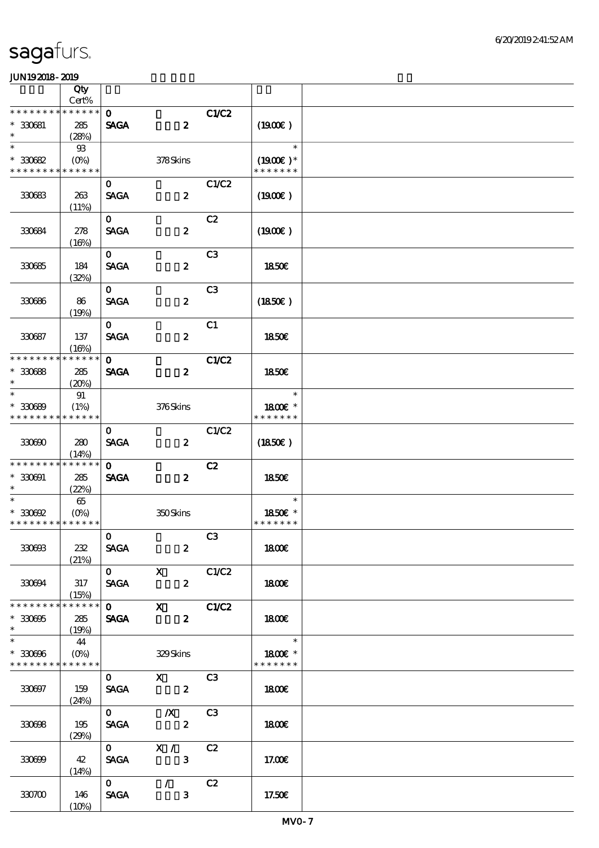|                                                                 | Qty<br>Cert%                                      |                                        |                                                      |                |                                                      |  |
|-----------------------------------------------------------------|---------------------------------------------------|----------------------------------------|------------------------------------------------------|----------------|------------------------------------------------------|--|
| * * * * * * * *                                                 | * * * * * *                                       | $\mathbf{o}$                           |                                                      | C1/C2          |                                                      |  |
| $* 330681$<br>$\ast$                                            | 285<br>(28%)                                      | <b>SAGA</b>                            | $\boldsymbol{z}$                                     |                | (1900)                                               |  |
| $\ast$<br>$*30082$<br>* * * * * * * * * * * * * *               | $\mathfrak{B}$<br>$(O\!\!\!\!\!\!\backslash\rho)$ |                                        | 378Skins                                             |                | $\ast$<br>$(1900E)^*$<br>* * * * * * *               |  |
| 330683                                                          | 263<br>(11%)                                      | $\mathbf{o}$<br><b>SAGA</b>            | $\boldsymbol{z}$                                     | C1/C2          | $(1900\epsilon)$                                     |  |
| 330684                                                          | 278<br>(16%)                                      | $\mathbf{O}$<br><b>SAGA</b>            | $\boldsymbol{z}$                                     | C2             | (1900E)                                              |  |
| 330685                                                          | 184<br>(32%)                                      | $\mathbf{O}$<br><b>SAGA</b>            | $\boldsymbol{z}$                                     | C <sub>3</sub> | 1850E                                                |  |
| 330686                                                          | 86<br>(19%)                                       | $\mathbf{O}$<br><b>SAGA</b>            | $\boldsymbol{z}$                                     | C <sub>3</sub> | $(1850\epsilon)$                                     |  |
| 330687                                                          | 137<br>(16%)                                      | $\mathbf{O}$<br><b>SAGA</b>            | $\boldsymbol{z}$                                     | C1             | <b>1850€</b>                                         |  |
| * * * * * * * *<br>$* 30688$<br>$\ast$                          | * * * * * *<br>285<br>(20%)                       | $\mathbf{o}$<br><b>SAGA</b>            | $\boldsymbol{z}$                                     | C1/C2          | 1850 <sub>E</sub>                                    |  |
| $\ast$<br>$* 30089$<br>* * * * * * * * * * * * * *              | 91<br>(1%)                                        |                                        | 376Skins                                             |                | $\ast$<br>1800E *<br>* * * * * * *                   |  |
| 330600                                                          | 280<br>(14%)                                      | $\mathbf{O}$<br><b>SAGA</b>            | $\boldsymbol{z}$                                     | C1/C2          | $(1850\epsilon)$                                     |  |
| * * * * * * * *<br>$* 330001$<br>$*$                            | * * * * * *<br>285<br>(22%)                       | $\mathbf{o}$<br><b>SAGA</b>            | $\boldsymbol{z}$                                     | C2             | 1850E                                                |  |
| $\ast$<br>$*30002$<br>* * * * * * * * <mark>* * * * * *</mark>  | 65                                                |                                        | 350Skins                                             |                | $\ast$<br>1850E *<br>* * * * * * *                   |  |
| 330603                                                          | 232<br>(21%)                                      | $\mathbf{O}$<br><b>SAGA</b>            | $\mathbf{2}$                                         | C3             | <b>1800€</b>                                         |  |
| 330694                                                          | 317<br>(15%)                                      | <b>SAGA</b>                            | $\overline{\textbf{0}}$ x<br>$\mathbf{2}$            | C1/C2          | 1800E                                                |  |
| * * * * * * * * * * * * * *<br>$* 330005$                       | 285<br>(19%)                                      |                                        | $\overline{0}$ X C1C2<br>$\mathbf{2}$<br><b>SAGA</b> |                | 1800                                                 |  |
| $*$<br>$* 330006$<br>* * * * * * * * <mark>* * * * * * *</mark> | 44<br>$(O\!\!\!\!\!\!\!/\,\!o)$                   |                                        | 329Skins                                             |                | $\overline{\phantom{a}}$<br>1800E *<br>* * * * * * * |  |
| 330697                                                          | 159<br>(24%)                                      | $\mathbf{O}$<br><b>SAGA</b>            | $X$ C3<br>$\overline{\mathbf{z}}$                    |                | 1800E                                                |  |
| 330698                                                          | 195<br>(29%)                                      | $\mathbf{0}$<br><b>SAGA</b>            | $\frac{1}{\sqrt{1-\frac{1}{2}}}$                     | C3             | 1800                                                 |  |
| 330699                                                          | 42<br>(14%)                                       | <b>SAGA</b>                            | $\overline{0}$ X /<br>$\overline{\mathbf{3}}$        | C2             | 17.00E                                               |  |
| 330700                                                          | 146<br>(10%)                                      | $\overline{\mathbf{0}}$<br><b>SAGA</b> | $\mathcal{L}(\mathcal{L})$<br>$\mathbf{3}$           | C2             | 17.50E                                               |  |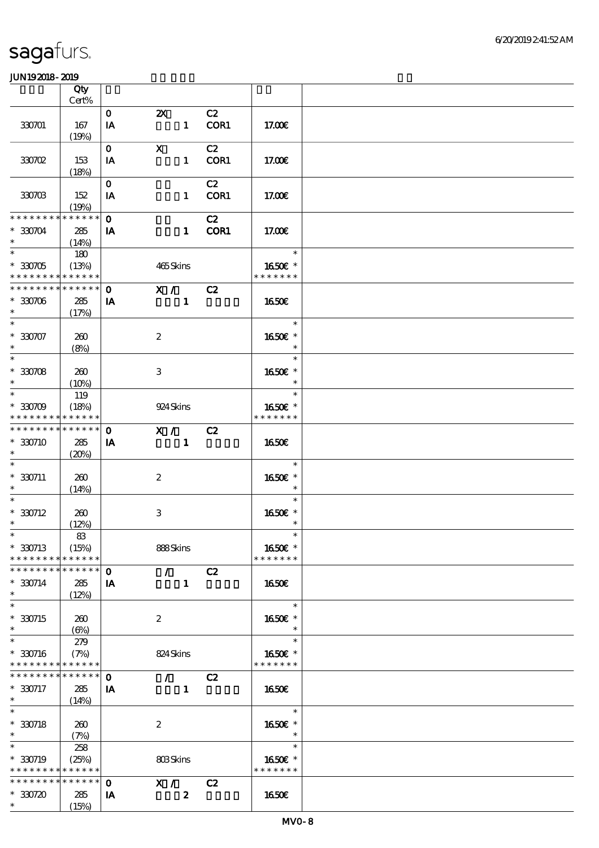|                                                                                  | Qty                                  |                          |                                                 |            |                                    |  |
|----------------------------------------------------------------------------------|--------------------------------------|--------------------------|-------------------------------------------------|------------|------------------------------------|--|
|                                                                                  | Cert%                                |                          |                                                 |            |                                    |  |
| 330701                                                                           | 167<br>(19%)                         | $\mathbf{O}$<br>IA       | $\boldsymbol{\mathsf{Z}}$<br>$\mathbf{1}$       | C2<br>COR1 | 17.00E                             |  |
| 330702                                                                           | 153                                  | $\mathbf{O}$<br>IA       | $\mathbf X$<br>$\mathbf{1}$                     | C2<br>COR1 | 17.00€                             |  |
| 330703                                                                           | (18%)<br>152                         | $\mathbf{O}$<br>IA       | $\mathbf{1}$                                    | C2<br>COR1 | 17.00E                             |  |
| * * * * * * * *<br>$*330704$<br>$\ast$                                           | (19%)<br>* * * * * *<br>285<br>(14%) | $\mathbf 0$<br>IA        | $\mathbf{1}$                                    | C2<br>COR1 | 17.00E                             |  |
| $\overline{\phantom{1}}$<br>$*30705$<br>* * * * * * * * <mark>* * * * * *</mark> | 180<br>(13%)                         |                          | 465Skins                                        |            | $\ast$<br>1650E *<br>* * * * * * * |  |
| * * * * * * * *<br>$*30706$<br>$\ast$                                            | * * * * * *<br>285<br>(17%)          | $\mathbf 0$<br>IA        | X / C2<br>$\mathbf{1}$                          |            | 1650E                              |  |
| $\ast$<br>$* 330707$<br>$\ast$                                                   | 260<br>(8%)                          |                          | $\boldsymbol{z}$                                |            | $\ast$<br>1650E *<br>$\ast$        |  |
| $\overline{\phantom{0}}$<br>$*330708$<br>$\ast$                                  | 260<br>(10%)                         |                          | 3                                               |            | $\ast$<br>1650E *<br>$\ast$        |  |
| $\ast$<br>$*30709$<br>* * * * * * * *                                            | 119<br>(18%)<br>* * * * * *          |                          | 924 Skins                                       |            | $\ast$<br>1650E *<br>* * * * * * * |  |
| * * * * * * * *<br>* 330710<br>$\ast$                                            | * * * * * *<br>285<br>(20%)          | $\mathbf 0$<br><b>IA</b> | X / C2<br>$\mathbf{1}$                          |            | 1650E                              |  |
| $*330711$<br>$\ast$                                                              | 260<br>(14%)                         |                          | $\boldsymbol{z}$                                |            | $\ast$<br>1650E *<br>$\ast$        |  |
| $\ast$<br>$* 330712$<br>$\ast$                                                   | 260<br>(12%)                         |                          | $\,3\,$                                         |            | $\ast$<br>1650E *<br>$\ast$        |  |
| $*$<br>$*330713$<br>* * * * * * * *                                              | $8\!3$<br>(15%)<br>* * * * * *       |                          | 888Skins                                        |            | $\ast$<br>1650€ *<br>* * * * * * * |  |
| * * * * * * *<br>$* 330714$<br>$\ast$                                            | * * * * * *<br>285<br>(12%)          | $\mathbf{o}$<br>IA       | $\mathcal{F}$ and $\mathcal{F}$<br>$\mathbf{1}$ | C2         | 1650E                              |  |
| $\ast$<br>$*30715$<br>$\ast$                                                     | 260<br>$(\Theta)$                    |                          | $\boldsymbol{2}$                                |            | $\ast$<br>1650E *<br>$\ast$        |  |
| $\ast$<br>$* 330716$<br>* * * * * * * *                                          | 279<br>(7%)<br>* * * * * *           |                          | 824 Skins                                       |            | $\ast$<br>1650E *<br>* * * * * * * |  |
| * * * * * * *<br>$*330717$<br>$*$<br>$\ast$                                      | * * * * * *<br>285<br>(14%)          | $\mathbf 0$<br>IA        | $\mathcal{F}$<br>$\mathbf{1}$                   | C2         | 1650E                              |  |
| $* 330718$<br>$\ast$                                                             | 260<br>(7%)                          |                          | $\boldsymbol{2}$                                |            | $\ast$<br>1650E *<br>$\ast$        |  |
| $\ast$<br>$*330719$<br>* * * * * * * *                                           | 258<br>(25%)<br>* * * * * *          |                          | 803Skins                                        |            | $\ast$<br>1650E *<br>* * * * * * * |  |
| * * * * * * * *<br>$*30720$<br>$\ast$                                            | * * * * * *<br>285<br>(15%)          | $\mathbf 0$<br>IA        | X /<br>$\boldsymbol{z}$                         | C2         | 1650€                              |  |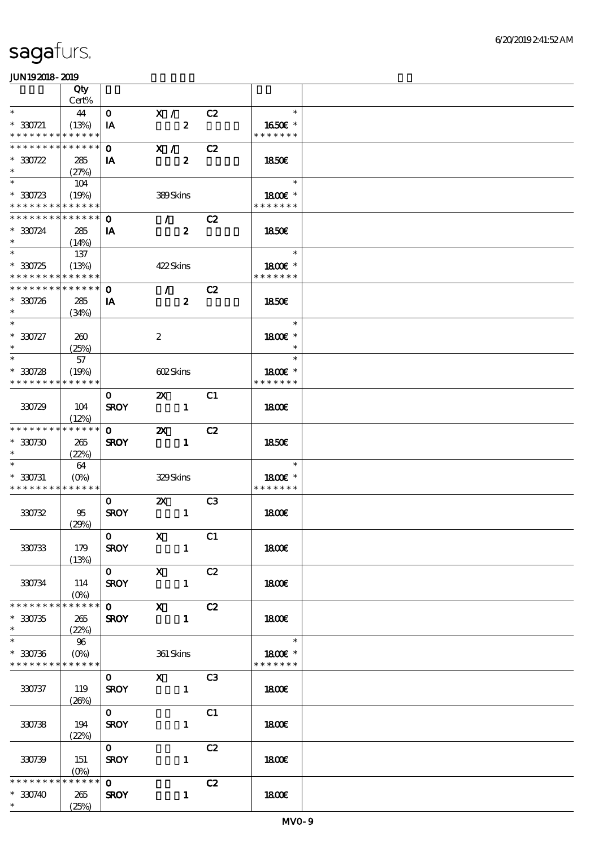|                                            | Qty                             |              |                                                                                                                                                                                                                                                                                                                                                                                                                                                                                 |                          |                 |  |
|--------------------------------------------|---------------------------------|--------------|---------------------------------------------------------------------------------------------------------------------------------------------------------------------------------------------------------------------------------------------------------------------------------------------------------------------------------------------------------------------------------------------------------------------------------------------------------------------------------|--------------------------|-----------------|--|
|                                            | Cert%                           |              |                                                                                                                                                                                                                                                                                                                                                                                                                                                                                 |                          |                 |  |
| $\ast$                                     | 44                              | $\mathbf{O}$ | X /                                                                                                                                                                                                                                                                                                                                                                                                                                                                             | C2                       | $\ast$          |  |
| $* 330721$                                 | (13%)                           | IA           | $\boldsymbol{z}$                                                                                                                                                                                                                                                                                                                                                                                                                                                                |                          | 1650E *         |  |
| * * * * * * * * * * * * * *                |                                 |              |                                                                                                                                                                                                                                                                                                                                                                                                                                                                                 |                          | * * * * * * *   |  |
| * * * * * * * * * * * * * * *              |                                 | $\mathbf{O}$ | X /                                                                                                                                                                                                                                                                                                                                                                                                                                                                             | C2                       |                 |  |
| $*30722$                                   | 285                             | IA           | $\boldsymbol{z}$                                                                                                                                                                                                                                                                                                                                                                                                                                                                |                          | 1850E           |  |
| $\ast$                                     | (27%)                           |              |                                                                                                                                                                                                                                                                                                                                                                                                                                                                                 |                          |                 |  |
| $\ast$                                     | 104                             |              |                                                                                                                                                                                                                                                                                                                                                                                                                                                                                 |                          | $\ast$          |  |
| $*30723$                                   | (19%)                           |              | 389Skins                                                                                                                                                                                                                                                                                                                                                                                                                                                                        |                          | $1800E$ *       |  |
| * * * * * * * * * * * * * *                |                                 |              |                                                                                                                                                                                                                                                                                                                                                                                                                                                                                 |                          | * * * * * * *   |  |
| ******** <mark>******</mark>               |                                 | $\mathbf{O}$ | $\mathcal{T}=\mathcal{F}$                                                                                                                                                                                                                                                                                                                                                                                                                                                       | C2                       |                 |  |
| $*30724$                                   | 285                             | IA           | $\boldsymbol{z}$                                                                                                                                                                                                                                                                                                                                                                                                                                                                |                          | 1850E           |  |
| $\ast$                                     | (14%)                           |              |                                                                                                                                                                                                                                                                                                                                                                                                                                                                                 |                          |                 |  |
| $*$                                        | 137                             |              |                                                                                                                                                                                                                                                                                                                                                                                                                                                                                 |                          | e e T<br>$\ast$ |  |
| $*30725$                                   | (13%)                           |              | 422Skins                                                                                                                                                                                                                                                                                                                                                                                                                                                                        |                          | 1800E *         |  |
| * * * * * * * * <mark>* * * * * *</mark> * |                                 |              |                                                                                                                                                                                                                                                                                                                                                                                                                                                                                 |                          | * * * * * * *   |  |
| ******** <mark>******</mark>               |                                 | $\mathbf 0$  | $\mathcal{T} \subset \mathcal{I}$                                                                                                                                                                                                                                                                                                                                                                                                                                               | C2                       |                 |  |
| $* 330726$                                 | 285                             | IA           | $\boldsymbol{z}$                                                                                                                                                                                                                                                                                                                                                                                                                                                                |                          | 1850E           |  |
| $\ast$                                     | (34%)                           |              |                                                                                                                                                                                                                                                                                                                                                                                                                                                                                 |                          |                 |  |
| $\ast$                                     |                                 |              |                                                                                                                                                                                                                                                                                                                                                                                                                                                                                 |                          | $\ast$          |  |
| $*30727$                                   | 260                             |              | $\boldsymbol{2}$                                                                                                                                                                                                                                                                                                                                                                                                                                                                |                          | 1800€ *         |  |
| $\ast$                                     | (25%)                           |              |                                                                                                                                                                                                                                                                                                                                                                                                                                                                                 |                          | $\ast$          |  |
| $\ast$                                     | 57                              |              |                                                                                                                                                                                                                                                                                                                                                                                                                                                                                 |                          | $\ast$          |  |
| $*30728$                                   | (19%)                           |              | 602Skins                                                                                                                                                                                                                                                                                                                                                                                                                                                                        |                          | 1800E *         |  |
| * * * * * * * *                            | * * * * * *                     |              |                                                                                                                                                                                                                                                                                                                                                                                                                                                                                 |                          | * * * * * * *   |  |
|                                            |                                 | $\mathbf{O}$ | $\mathbf{z}$                                                                                                                                                                                                                                                                                                                                                                                                                                                                    | C1                       |                 |  |
| 330729                                     | 104                             | <b>SROY</b>  | $\overline{\phantom{a}}$ $\overline{\phantom{a}}$ $\overline{\phantom{a}}$ $\overline{\phantom{a}}$ $\overline{\phantom{a}}$ $\overline{\phantom{a}}$ $\overline{\phantom{a}}$ $\overline{\phantom{a}}$ $\overline{\phantom{a}}$ $\overline{\phantom{a}}$ $\overline{\phantom{a}}$ $\overline{\phantom{a}}$ $\overline{\phantom{a}}$ $\overline{\phantom{a}}$ $\overline{\phantom{a}}$ $\overline{\phantom{a}}$ $\overline{\phantom{a}}$ $\overline{\phantom{a}}$ $\overline{\$ |                          | 1800            |  |
|                                            | (12%)                           |              |                                                                                                                                                                                                                                                                                                                                                                                                                                                                                 |                          |                 |  |
| * * * * * * * * <mark>* * * * * * *</mark> |                                 | $\mathbf{0}$ | $\mathbf{Z}$ and $\mathbf{Z}$                                                                                                                                                                                                                                                                                                                                                                                                                                                   | C2                       |                 |  |
| $*30730$                                   | 265                             | <b>SROY</b>  | $\mathbf{1}$                                                                                                                                                                                                                                                                                                                                                                                                                                                                    |                          | 1850E           |  |
|                                            | (22%)                           |              |                                                                                                                                                                                                                                                                                                                                                                                                                                                                                 |                          |                 |  |
|                                            | 64                              |              |                                                                                                                                                                                                                                                                                                                                                                                                                                                                                 |                          | $\ast$          |  |
| $* 330731$                                 | $(O\!\!\!\!\!\!\backslash\rho)$ |              | 329Skins                                                                                                                                                                                                                                                                                                                                                                                                                                                                        |                          | 1800E *         |  |
| * * * * * * * * * * * * * *                |                                 |              |                                                                                                                                                                                                                                                                                                                                                                                                                                                                                 |                          | * * * * * * *   |  |
|                                            |                                 | $\mathbf{O}$ | $\mathbf{X}$                                                                                                                                                                                                                                                                                                                                                                                                                                                                    | C <sub>3</sub>           |                 |  |
| 330732                                     | 95                              | <b>SROY</b>  | $\blacksquare$                                                                                                                                                                                                                                                                                                                                                                                                                                                                  |                          | <b>1800€</b>    |  |
|                                            | (29%)                           |              |                                                                                                                                                                                                                                                                                                                                                                                                                                                                                 |                          |                 |  |
|                                            |                                 | $\mathbf{O}$ | $\mathbf{X}$                                                                                                                                                                                                                                                                                                                                                                                                                                                                    | $\overline{\textbf{C1}}$ |                 |  |
| 330733                                     | 179                             | <b>SROY</b>  | $\mathbf{1}$                                                                                                                                                                                                                                                                                                                                                                                                                                                                    |                          | <b>1800€</b>    |  |
|                                            | (13%)                           |              |                                                                                                                                                                                                                                                                                                                                                                                                                                                                                 |                          |                 |  |
|                                            |                                 | $0$ X        |                                                                                                                                                                                                                                                                                                                                                                                                                                                                                 | C2                       |                 |  |
| 330734                                     | 114                             | <b>SROY</b>  | $\mathbf{1}$                                                                                                                                                                                                                                                                                                                                                                                                                                                                    |                          | 1800E           |  |
|                                            |                                 |              |                                                                                                                                                                                                                                                                                                                                                                                                                                                                                 |                          |                 |  |
| * * * * * * * * * * * * * * *              |                                 |              | $0$ X $C2$                                                                                                                                                                                                                                                                                                                                                                                                                                                                      |                          |                 |  |
| $*30735$                                   | 265                             | <b>SROY</b>  | $\blacksquare$                                                                                                                                                                                                                                                                                                                                                                                                                                                                  |                          | 1800E           |  |
| $\ast$                                     | (22%)                           |              |                                                                                                                                                                                                                                                                                                                                                                                                                                                                                 |                          |                 |  |
| $\ast$                                     | 96                              |              |                                                                                                                                                                                                                                                                                                                                                                                                                                                                                 |                          | $\ast$          |  |
| $*30736$                                   | $(O\%)$                         |              | 361 Skins                                                                                                                                                                                                                                                                                                                                                                                                                                                                       |                          | 1800€ *         |  |
| * * * * * * * * * * * * * *                |                                 |              |                                                                                                                                                                                                                                                                                                                                                                                                                                                                                 |                          | * * * * * * *   |  |
|                                            |                                 | $\mathbf{O}$ | $X$ C3                                                                                                                                                                                                                                                                                                                                                                                                                                                                          |                          |                 |  |
| 330737                                     | 119                             | <b>SROY</b>  | $\blacksquare$                                                                                                                                                                                                                                                                                                                                                                                                                                                                  |                          | 1800E           |  |
|                                            | (20%)                           |              |                                                                                                                                                                                                                                                                                                                                                                                                                                                                                 |                          |                 |  |
|                                            |                                 | $\mathbf{O}$ |                                                                                                                                                                                                                                                                                                                                                                                                                                                                                 | C1                       |                 |  |
| 330738                                     | 194                             | <b>SROY</b>  | $\mathbf{1}$                                                                                                                                                                                                                                                                                                                                                                                                                                                                    |                          | 1800            |  |
|                                            | (22%)                           |              |                                                                                                                                                                                                                                                                                                                                                                                                                                                                                 |                          |                 |  |
|                                            |                                 | $\mathbf{O}$ |                                                                                                                                                                                                                                                                                                                                                                                                                                                                                 | C2                       |                 |  |
| 330739                                     | 151                             | <b>SROY</b>  | $\mathbf{1}$                                                                                                                                                                                                                                                                                                                                                                                                                                                                    |                          | 1800            |  |
|                                            | $(0\%)$                         |              |                                                                                                                                                                                                                                                                                                                                                                                                                                                                                 |                          |                 |  |
| * * * * * * * *                            | * * * * * *                     | $\mathbf{o}$ |                                                                                                                                                                                                                                                                                                                                                                                                                                                                                 | C2                       |                 |  |
| $*30740$                                   | 265                             | <b>SROY</b>  | $\mathbf{1}$                                                                                                                                                                                                                                                                                                                                                                                                                                                                    |                          | 1800E           |  |
| $\ast$                                     | (25%)                           |              |                                                                                                                                                                                                                                                                                                                                                                                                                                                                                 |                          |                 |  |
|                                            |                                 |              |                                                                                                                                                                                                                                                                                                                                                                                                                                                                                 |                          |                 |  |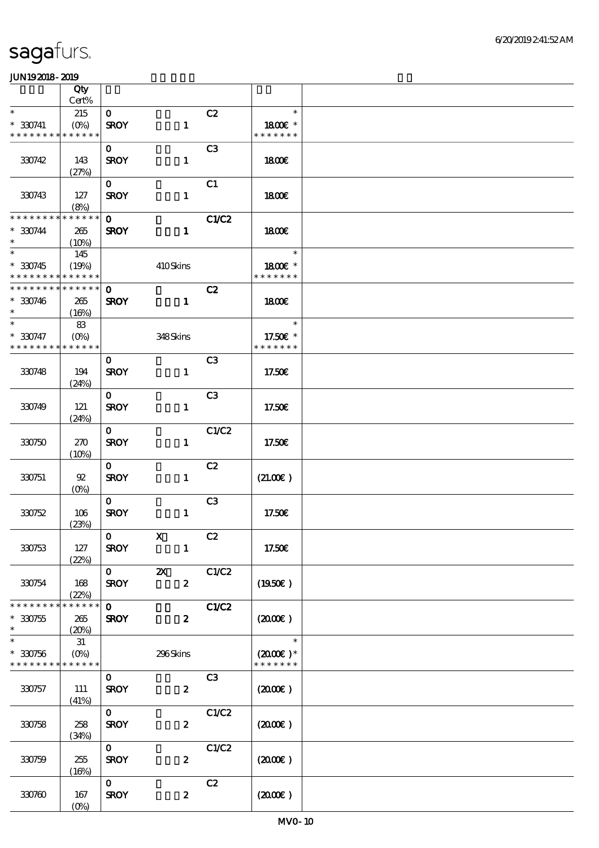|                                                                    | Qty                           |                             |                                           |                |                                               |  |
|--------------------------------------------------------------------|-------------------------------|-----------------------------|-------------------------------------------|----------------|-----------------------------------------------|--|
| $\ast$                                                             | $Cert\%$<br>215               | $\mathbf{O}$                |                                           | C2             | $\ast$                                        |  |
| $* 330741$<br>* * * * * * * *                                      | $(O\%)$<br>* * * * * *        | <b>SROY</b>                 | $\mathbf{1}$                              |                | 1800€ *<br>* * * * * * *                      |  |
| 330742                                                             | 143<br>(27%)                  | $\mathbf{O}$<br><b>SROY</b> | $\mathbf{1}$                              | C <sub>3</sub> | 1800E                                         |  |
| 330743                                                             | 127<br>(8%)                   | $\mathbf{o}$<br><b>SROY</b> | $\mathbf{1}$                              | C1             | 1800E                                         |  |
| * * * * * * * *<br>$* 330744$<br>$\ast$                            | * * * * * *<br>265<br>(10%)   | $\mathbf 0$<br><b>SROY</b>  | $\mathbf{1}$                              | <b>C1/C2</b>   | 1800E                                         |  |
| $\overline{\phantom{0}}$<br>$*330745$<br>* * * * * * * *           | 145<br>(19%)<br>* * * * * *   |                             | 410Skins                                  |                | $\ast$<br>1800€ *<br>* * * * * * *            |  |
| * * * * * * * * * * * * * * *<br>$* 330746$<br>$\ast$              | 265<br>(16%)                  | $\mathbf{o}$<br><b>SROY</b> | $\mathbf{1}$                              | C2             | 1800E                                         |  |
| $\ast$<br>$* 330747$<br>* * * * * * * *                            | 83<br>$(O\% )$<br>* * * * * * |                             | 348Skins                                  |                | $\ast$<br>17.50€ *<br>* * * * * * *           |  |
| 330748                                                             | 194<br>(24%)                  | $\mathbf{O}$<br><b>SROY</b> | $\mathbf{1}$                              | C <sub>3</sub> | 17.50€                                        |  |
| 330749                                                             | 121<br>(24%)                  | $\mathbf{O}$<br><b>SROY</b> | $\mathbf{1}$                              | C <sub>3</sub> | 17.50E                                        |  |
| 330750                                                             | 270<br>(10%)                  | $\mathbf{O}$<br><b>SROY</b> | $\mathbf{1}$                              | C1/C2          | 17.50E                                        |  |
| 330751                                                             | $92\,$<br>$(O\%)$             | $\mathbf{O}$<br><b>SROY</b> | $\mathbf{1}$                              | C2             | (21.00)                                       |  |
| 330752                                                             | 106<br>(23%)                  | $\mathbf{O}$<br><b>SROY</b> | $\mathbf{1}$                              | C <sub>3</sub> | 17.50E                                        |  |
| 330753                                                             | 127<br>(22%)                  | $ 0\rangle$<br><b>SROY</b>  | $\boldsymbol{\mathrm{X}}$<br>$\mathbf{1}$ | C2             | 17.50€                                        |  |
| 330754                                                             | 168<br>(22%)                  | $\mathbf{0}$<br><b>SROY</b> | $\boldsymbol{\mathsf{z}}$<br>$\mathbf{z}$ | C1/C2          | $(1950\epsilon)$                              |  |
| * * * * * * * *<br>$* 30755$<br>$\ast$                             | * * * * * *<br>265<br>(20%)   | $\mathbf{O}$<br><b>SROY</b> | $\boldsymbol{z}$                          | <b>C1/C2</b>   | $(2000\varepsilon)$                           |  |
| $\ast$<br>$* 330756$<br>* * * * * * * * <mark>* * * * * * *</mark> | 31<br>$(O\%)$                 |                             | 296Skins                                  |                | $\ast$<br>$(2000\text{E})$ *<br>* * * * * * * |  |
| 330757                                                             | 111<br>(41%)                  | $\mathbf{O}$<br><b>SROY</b> | $\boldsymbol{z}$                          | C3             | $(2000\varepsilon)$                           |  |
| 330758                                                             | 258<br>(34%)                  | $\mathbf{O}$<br><b>SROY</b> | $\boldsymbol{z}$                          | C1/C2          | $(2000\varepsilon)$                           |  |
| 330759                                                             | 255<br>(16%)                  | $\mathbf{O}$<br><b>SROY</b> | $\boldsymbol{2}$                          | C1/C2          | $(2000\varepsilon)$                           |  |
| 330760                                                             | 167<br>$(O\!/\!\!\delta)$     | $\mathbf{O}$<br><b>SROY</b> | $\boldsymbol{z}$                          | C2             | $(2000\varepsilon)$                           |  |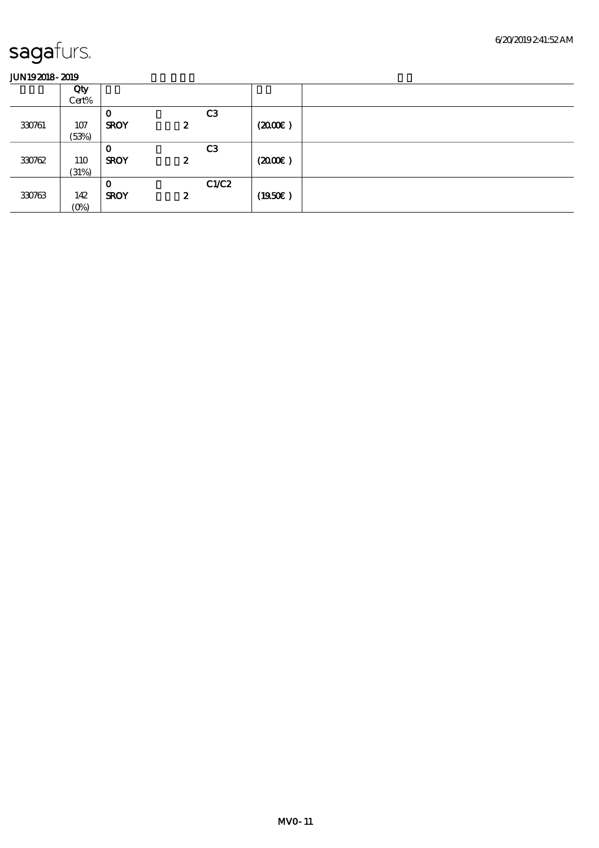|        | Qty     |              |                  |                |                     |  |
|--------|---------|--------------|------------------|----------------|---------------------|--|
|        | Cert%   |              |                  |                |                     |  |
|        |         | $\mathbf{o}$ |                  | C <sub>3</sub> |                     |  |
| 330761 | 107     | <b>SROY</b>  | $\boldsymbol{z}$ |                | $(2000\varepsilon)$ |  |
|        | (53%)   |              |                  |                |                     |  |
|        |         | $\mathbf{o}$ |                  | C <sub>3</sub> |                     |  |
| 330762 | 110     | <b>SROY</b>  | 2                |                | (200)               |  |
|        | (31%)   |              |                  |                |                     |  |
|        |         | $\mathbf 0$  |                  | C1/C2          |                     |  |
| 330763 | 142     | <b>SROY</b>  | $\boldsymbol{z}$ |                | (1950)              |  |
|        | $(0\%)$ |              |                  |                |                     |  |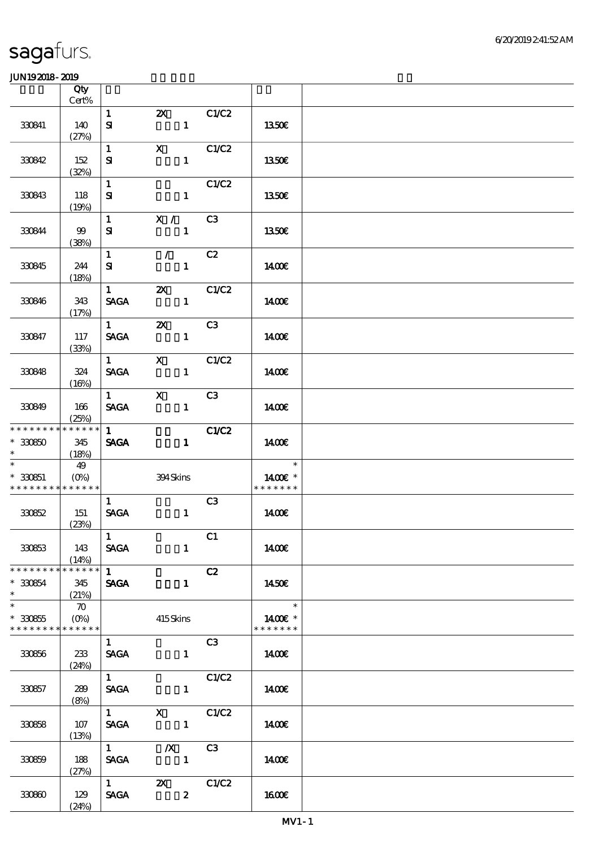|                                                                       | Qty<br>Cert%                  |                                              |                                                                                                                                                                                                                                                                                                                                                               |             |                                    |  |
|-----------------------------------------------------------------------|-------------------------------|----------------------------------------------|---------------------------------------------------------------------------------------------------------------------------------------------------------------------------------------------------------------------------------------------------------------------------------------------------------------------------------------------------------------|-------------|------------------------------------|--|
|                                                                       |                               | $\mathbf{1}$                                 | $\mathbf{Z}$                                                                                                                                                                                                                                                                                                                                                  | C1/C2       |                                    |  |
| 330841                                                                | 140<br>(27%)                  | ${\bf s}$                                    | $\mathbf{1}$                                                                                                                                                                                                                                                                                                                                                  |             | 1350€                              |  |
| 330842                                                                | 152                           | $\mathbf{1}$<br>${\bf s}$                    | $\mathbf{X}$<br>$\mathbf{1}$                                                                                                                                                                                                                                                                                                                                  | C1/C2       | 1350E                              |  |
| 330843                                                                | (32%)<br>118<br>(19%)         | $\mathbf{1}$<br>${\bf s}$                    | $\mathbf{1}$                                                                                                                                                                                                                                                                                                                                                  | C1/C2       | 1350E                              |  |
| 330844                                                                | 99<br>(38%)                   | $\mathbf{1}$<br>${\bf s}$                    | X / C3<br>$\mathbf{1}$                                                                                                                                                                                                                                                                                                                                        |             | 1350E                              |  |
| 330845                                                                | 244<br>(18%)                  | $\mathbf{1}$<br>${\bf s}$                    | $\sqrt{C^2}$                                                                                                                                                                                                                                                                                                                                                  | $1$ and $1$ | 1400€                              |  |
| 330846                                                                | 343<br>(17%)                  | $1 \qquad \qquad$<br><b>SAGA</b>             | $\mathbf{x}$<br>$\mathbf{1}$                                                                                                                                                                                                                                                                                                                                  | C1/C2       | 1400E                              |  |
| 330847                                                                | 117<br>(33%)                  | $\overline{1}$ $\overline{1}$<br><b>SACA</b> | $Z\!X$<br>$\mathbf{1}$                                                                                                                                                                                                                                                                                                                                        | C3          | <b>140€</b>                        |  |
| 330848                                                                | 324<br>(16%)                  | $\overline{1}$ $\overline{1}$<br><b>SAGA</b> | $X$ $C1/C2$<br>$1 -$                                                                                                                                                                                                                                                                                                                                          |             | 1400E                              |  |
| 330849                                                                | 166<br>(25%)                  | <b>SAGA</b>                                  | $1$ X C3<br>$\mathbf{1}$                                                                                                                                                                                                                                                                                                                                      |             | 1400€                              |  |
| * * * * * * * * * * * * * *<br>$^\ast$ 330850<br>$\ast$               | 345<br>(18%)                  | $1 \quad$<br><b>SAGA</b>                     | $\mathbf{1}$                                                                                                                                                                                                                                                                                                                                                  | C1/C2       | <b>140€</b>                        |  |
| $\overline{\phantom{0}}$<br>$* 330651$<br>* * * * * * * * * * * * * * | 49<br>$(0\%)$                 |                                              | 394Skins                                                                                                                                                                                                                                                                                                                                                      |             | $\ast$<br>1400€ *<br>* * * * * * * |  |
| 330852                                                                | 151<br>(23%)                  | $\mathbf{1}$<br><b>SAGA</b>                  | $\sim$ 1                                                                                                                                                                                                                                                                                                                                                      | C3          | 1400                               |  |
| 330853                                                                | 143<br>(14%)                  | $\vert$ 1<br><b>SAGA</b>                     | $\mathbf{1}$                                                                                                                                                                                                                                                                                                                                                  | C1          | <b>140€</b>                        |  |
| * * * * * * * *<br>$* 33064$<br>$\ast$                                | ******<br>345<br>(21%)        | $1 \quad \blacksquare$<br><b>SAGA</b>        | $\mathbf{1}$                                                                                                                                                                                                                                                                                                                                                  | C2          | 1450€                              |  |
| $*330855$<br>* * * * * * * * * * * * * *                              | $\boldsymbol{\pi}$<br>$(O\%)$ |                                              | 415Skins                                                                                                                                                                                                                                                                                                                                                      |             | $\ast$<br>1400€ *<br>* * * * * * * |  |
| 330856                                                                | 233<br>(24%)                  | 1                                            | <b>SAGA</b><br>$\mathbf{1}$                                                                                                                                                                                                                                                                                                                                   | C3          | 1400E                              |  |
| 330857                                                                | 289<br>(8%)                   | $1 \quad$<br><b>SAGA</b>                     | $\mathbf{1}$                                                                                                                                                                                                                                                                                                                                                  | C1/C2       | 1400E                              |  |
| 330858                                                                | 107<br>(13%)                  |                                              | $\begin{array}{ccccc}\n1 & & X & & C1/C2 \\ SAGA & & 1 & & \n\end{array}$                                                                                                                                                                                                                                                                                     |             | 1400                               |  |
| 330859                                                                | 188<br>(27%)                  | <b>SAGA</b>                                  | $\frac{1}{1}$ X                                                                                                                                                                                                                                                                                                                                               | C3          | 1400E                              |  |
| 330860                                                                | 129<br>(24%)                  | <b>SAGA</b>                                  | $\overline{1}$ $\overline{2}$ $\overline{1}$ $\overline{2}$ $\overline{1}$ $\overline{2}$ $\overline{1}$ $\overline{2}$ $\overline{2}$ $\overline{1}$ $\overline{2}$ $\overline{1}$ $\overline{2}$ $\overline{1}$ $\overline{2}$ $\overline{2}$ $\overline{1}$ $\overline{2}$ $\overline{1}$ $\overline{2}$ $\overline{2}$ $\overline{2}$<br>$\boldsymbol{z}$ | C1/C2       | 1600                               |  |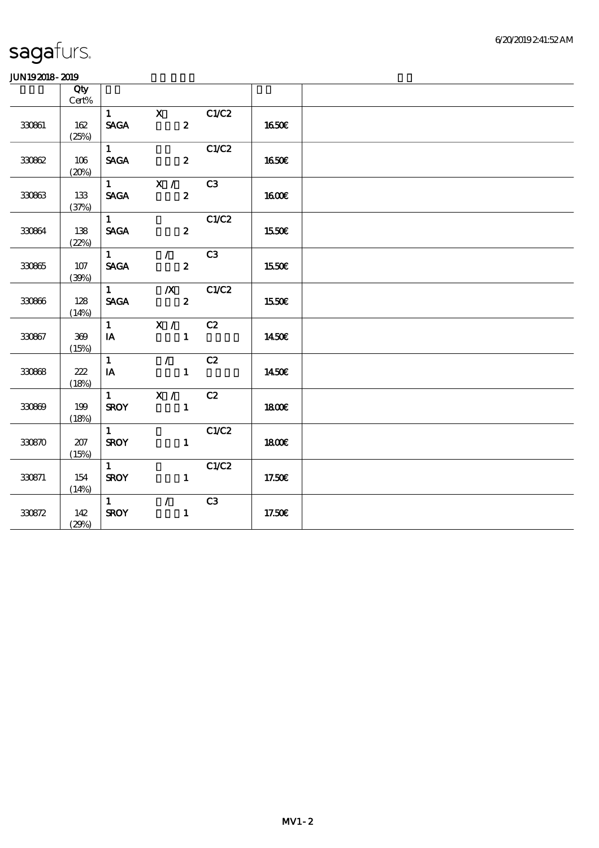|        | Qty             |                                |                          |       |              |  |
|--------|-----------------|--------------------------------|--------------------------|-------|--------------|--|
|        | $\mbox{Cert}\%$ |                                |                          |       |              |  |
|        |                 | $1 \quad \blacksquare$         | $\mathbf{X}$             | C1/C2 |              |  |
| 330861 | 162             | $\operatorname{\mathsf{SAGA}}$ | $\boldsymbol{z}$         |       | 1650€        |  |
|        | (25%)           |                                |                          |       |              |  |
|        |                 | 1                              |                          | C1/C2 |              |  |
| 330862 | 106             | <b>SAGA</b>                    | $\boldsymbol{z}$         |       | <b>1650€</b> |  |
|        | (20%)           |                                |                          |       |              |  |
|        |                 |                                | $\overline{1}$ X /       | C3    |              |  |
| 330863 | 133             | <b>SAGA</b>                    | $\mathbf{z}$             |       | <b>160€</b>  |  |
|        | (37%)           |                                |                          |       |              |  |
|        |                 | $1 \quad$                      |                          | C1/C2 |              |  |
| 330864 | 138             | <b>SACA</b>                    | $\overline{\mathbf{2}}$  |       | <b>1550€</b> |  |
|        | (22%)           |                                |                          |       |              |  |
|        |                 | $1 \quad \blacksquare$         | $\overline{\phantom{a}}$ | C3    |              |  |
| 330865 | $107$           | <b>SAGA</b>                    | $\boldsymbol{z}$         |       | 1550€        |  |
|        | (30%)           |                                |                          |       |              |  |
|        |                 | $1 \quad \blacksquare$         | $\mathbf{X}$             | C1/C2 |              |  |
| 330866 | 128             | <b>SAGA</b>                    | $\mathbf{z}$             |       | 1550€        |  |
|        | (14%)           |                                |                          |       |              |  |
|        |                 | $1 \qquad \qquad$              | $\mathbf{X}$ /           | C2    |              |  |
| 330867 | 369             | $I$ A                          | $\mathbf{1}$             |       | 1450E        |  |
|        | (15%)           |                                |                          |       |              |  |
|        |                 | $\mathbf{1}$                   | $\mathcal{L}$            | C2    |              |  |
| 330868 | 222             | IA                             | $\mathbf{1}$             |       | 1450€        |  |
|        | (18%)           |                                |                          |       |              |  |
|        |                 | $\mathbf{1}$                   | X /                      | C2    |              |  |
| 330869 | 199             | <b>SROY</b>                    | $\mathbf{1}$             |       | 1800E        |  |
|        | (18%)           |                                |                          |       |              |  |
|        |                 | $\mathbf{1}$                   |                          | C1/C2 |              |  |
| 330870 | 207             | <b>SROY</b>                    | $\mathbf{1}$             |       | 1800E        |  |
|        | (15%)           |                                |                          |       |              |  |
|        |                 | $1 \quad \blacksquare$         |                          | C1/C2 |              |  |
| 330871 | 154             | <b>SROY</b>                    | $\mathbf{1}$             |       | 17.50€       |  |
|        | (14%)           |                                |                          |       |              |  |
|        |                 | $1 \quad \blacksquare$         | $\mathcal{L}$            | C3    |              |  |
| 330872 | 142             | <b>SROY</b>                    | $\mathbf{1}$             |       | 17.50€       |  |
|        | (29%)           |                                |                          |       |              |  |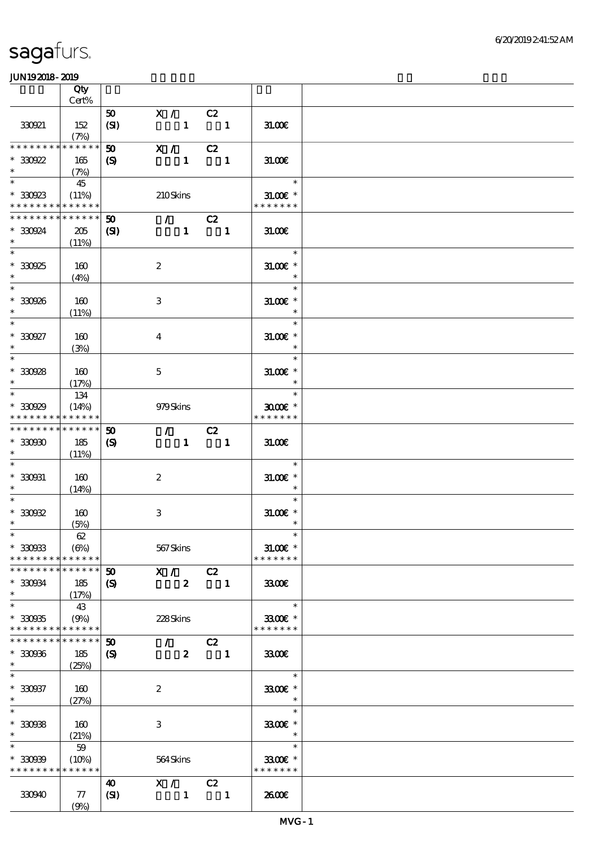|                             | Qty<br>Cert%        |                             |                         |                            |                |                          |  |
|-----------------------------|---------------------|-----------------------------|-------------------------|----------------------------|----------------|--------------------------|--|
|                             |                     |                             |                         |                            |                |                          |  |
| 330921                      | 152                 | 50<br>(SI)                  | X / C2<br>$\mathbf{1}$  | $\overline{\phantom{a}}$ 1 |                | 31.006                   |  |
| ********                    | (7%)<br>* * * * * * |                             |                         |                            |                |                          |  |
|                             |                     | 50                          | X / C2                  |                            |                |                          |  |
| $*30022$<br>$\ast$          | 165                 | $\boldsymbol{\mathrm{(S)}}$ |                         | $1 \quad 1$                |                | 31.00E                   |  |
|                             | (7%)                |                             |                         |                            |                |                          |  |
| $\ast$                      | 45                  |                             |                         |                            |                | $\ast$                   |  |
| $*30023$                    | (11%)               |                             | 210Skins                |                            |                | $31.00E$ *               |  |
| * * * * * * * * * * * * * * |                     |                             |                         |                            |                | * * * * * * *            |  |
| * * * * * * * *             | * * * * * *         | $50^{\circ}$                | $\sqrt{C^2}$            |                            |                |                          |  |
| * 330924                    | 205                 | (S)                         |                         | $1 \quad 1$                |                | 31.00E                   |  |
| $\ast$                      | (11%)               |                             |                         |                            |                |                          |  |
| $\overline{\phantom{0}}$    |                     |                             |                         |                            |                | $\ast$                   |  |
| $*30925$                    |                     |                             | $\boldsymbol{2}$        |                            |                | $31.00E$ *               |  |
| $\ast$                      | 160                 |                             |                         |                            |                | $\ast$                   |  |
| $\overline{\phantom{0}}$    | (4%)                |                             |                         |                            |                | $\ast$                   |  |
|                             |                     |                             |                         |                            |                |                          |  |
| $*30926$                    | 160                 |                             | 3                       |                            |                | $31.005*$                |  |
| $\ast$                      | (11%)               |                             |                         |                            |                | $\overline{\phantom{a}}$ |  |
| $\ast$                      |                     |                             |                         |                            |                | $\ast$                   |  |
| $^*$ 330927 $\,$            | 160                 |                             | $\overline{\mathbf{4}}$ |                            |                | $31.00E$ *               |  |
| $\ast$                      | (3%)                |                             |                         |                            |                | $\ast$                   |  |
| $\overline{\phantom{0}}$    |                     |                             |                         |                            |                | $\ast$                   |  |
| $*30928$                    | 160                 |                             | $\mathbf{5}$            |                            |                | $31.00E$ *               |  |
| $\ast$                      | (17%)               |                             |                         |                            |                | $\ast$                   |  |
| $\overline{\ast}$           | 134                 |                             |                         |                            |                | $\ast$                   |  |
| $*30029$                    | (14%)               |                             | 979Skins                |                            |                | $3000$ $*$               |  |
| * * * * * * * *             | * * * * * *         |                             |                         |                            |                | * * * * * * *            |  |
| * * * * * * * *             | * * * * * *         | 50                          | $\sqrt{C^2}$            |                            |                |                          |  |
|                             |                     |                             |                         |                            |                |                          |  |
| $*3000$                     | 185                 | $\boldsymbol{\mathrm{(S)}}$ |                         | $1 \quad 1$                |                | 31.00E                   |  |
| $\ast$<br>$\ast$            | (11%)               |                             |                         |                            |                |                          |  |
|                             |                     |                             |                         |                            |                | $\ast$                   |  |
| $* 330031$                  | 160                 |                             | $\boldsymbol{2}$        |                            |                | $31.00E$ *               |  |
| $\ast$                      | (14%)               |                             |                         |                            |                | $\ast$                   |  |
| $\ast$                      |                     |                             |                         |                            |                | $\ast$                   |  |
| $*30002$                    | 160                 |                             | $\,3\,$                 |                            |                | $31.005*$                |  |
| $\ast$                      | (5%)                |                             |                         |                            |                | $\ast$                   |  |
| $*$                         | $62\,$              |                             |                         |                            |                | $\ast$                   |  |
| $*30033$                    | (6%)                |                             | 567Skins                |                            |                | $31.005$ *               |  |
| * * * * * * * *             | * * * * * *         |                             |                         |                            |                | * * * * * * *            |  |
| * * * * * * * *             | * * * * * *         | $\boldsymbol{\mathfrak{D}}$ | X / C2                  |                            |                |                          |  |
| $*30034$                    | 185                 | $\boldsymbol{\mathrm{(S)}}$ | $\boldsymbol{z}$        |                            | $\blacksquare$ | 3300                     |  |
| $\ast$                      | (17%)               |                             |                         |                            |                |                          |  |
| $\ast$                      | 43                  |                             |                         |                            |                | $\ast$                   |  |
| $*30035$                    | (9%)                |                             | 228Skins                |                            |                | 3300€ *                  |  |
| * * * * * * * * * * * * * * |                     |                             |                         |                            |                | * * * * * * *            |  |
| * * * * * * * *             | * * * * * *         | $\boldsymbol{\mathfrak{D}}$ | $\mathcal{L}$           | C2                         |                |                          |  |
| $*30006$                    | 185                 | $\boldsymbol{\mathrm{(S)}}$ | $\mathbf{z}$            |                            | $\blacksquare$ | 3300€                    |  |
| $\ast$                      | (25%)               |                             |                         |                            |                |                          |  |
| $\ast$                      |                     |                             |                         |                            |                | $\ast$                   |  |
| $* 330937$                  |                     |                             |                         |                            |                | 3300€ *                  |  |
| $\ast$                      | 160                 |                             | $\boldsymbol{z}$        |                            |                | $\ast$                   |  |
| $\ast$                      | (27%)               |                             |                         |                            |                | $\ast$                   |  |
|                             |                     |                             |                         |                            |                |                          |  |
| $*30008$                    | 160                 |                             | 3                       |                            |                | 3300€ *                  |  |
| $\ast$                      | (21%)               |                             |                         |                            |                | $\ast$                   |  |
| $\ast$                      | 59                  |                             |                         |                            |                | $\ast$                   |  |
| $*30009$                    | (10%)               |                             | 564Skins                |                            |                | 3300€ *                  |  |
| * * * * * * * *             | * * * * * *         |                             |                         |                            |                | * * * * * * *            |  |
|                             |                     | 40                          | X / C2                  |                            |                |                          |  |
| 330940                      | ${\bf \pi}$         | (SI)                        | $\mathbf{1}$            |                            | $\blacksquare$ | 2600E                    |  |
|                             | (9%)                |                             |                         |                            |                |                          |  |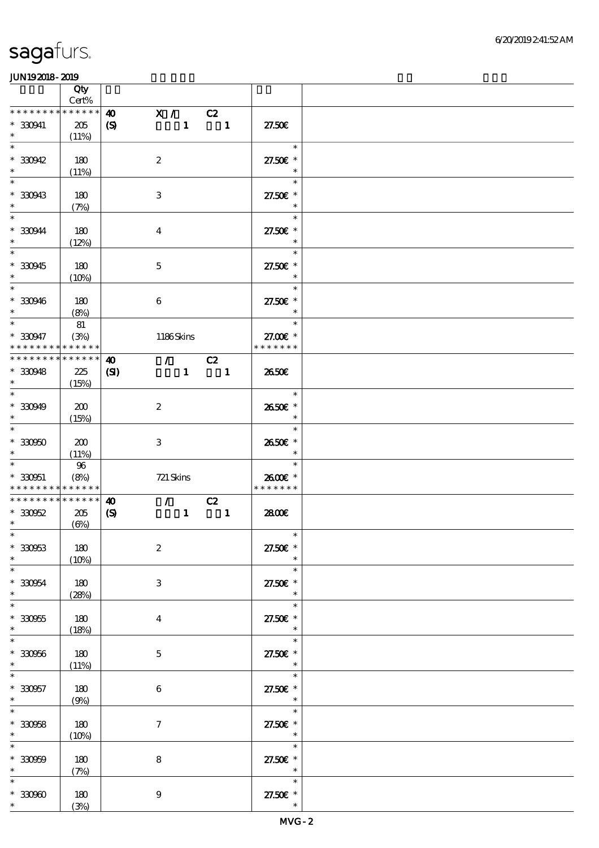|                                                  | Qty<br>$\mbox{Cert}\%$                                       |                                                      |                  |                                                 |                                                          |                                      |  |
|--------------------------------------------------|--------------------------------------------------------------|------------------------------------------------------|------------------|-------------------------------------------------|----------------------------------------------------------|--------------------------------------|--|
|                                                  | * * * * * * * * * * * * * *                                  |                                                      |                  |                                                 |                                                          |                                      |  |
| $* 330941$<br>$\ast$                             | 205<br>(11%)                                                 | $\boldsymbol{\omega}$<br>$\boldsymbol{\mathrm{(S)}}$ | X / C2           |                                                 | $\begin{array}{cccc} 1 & \hspace{1.6cm} & 1 \end{array}$ | 27.50E                               |  |
| $\overline{\ast}$<br>$*30042$<br>$\ast$          | 180<br>(11%)                                                 |                                                      | $\boldsymbol{2}$ |                                                 |                                                          | $\ast$<br>27.50€ *<br>$\ast$         |  |
| $\ast$<br>$* 30943$                              | 180                                                          |                                                      | $\,3$            |                                                 |                                                          | $\ast$<br>27.50€ *<br>$\ast$         |  |
| $\overline{\ast}$<br>$*330944$<br>$\ast$         | (7%)<br>180                                                  |                                                      | $\boldsymbol{4}$ |                                                 |                                                          | $\ast$<br>27.50€ *<br>$\ast$         |  |
| $\overline{\ast}$<br>$*330945$<br>$\ast$         | (12%)<br>180                                                 |                                                      | $\mathbf 5$      |                                                 |                                                          | $\ast$<br>27.50€ *<br>$\ast$         |  |
| $\overline{\phantom{0}}$<br>$* 330946$<br>$\ast$ | (10%)<br>180                                                 |                                                      | $\,6\,$          |                                                 |                                                          | $\ast$<br>27.50€ *                   |  |
| $\overline{\phantom{0}}$                         | (8%)                                                         |                                                      |                  |                                                 |                                                          | $\ast$                               |  |
| $* 330947$<br>* * * * * * * *                    | 81<br>(3%)<br>* * * * * *                                    |                                                      | 1186Skins        |                                                 |                                                          | $\ast$<br>27.00 £*<br>* * * * * * *  |  |
| * * * * * * * *                                  | * * * * * *                                                  | $\boldsymbol{\omega}$                                |                  | $\mathcal{T}$                                   | C2                                                       |                                      |  |
| $* 330948$<br>$\ast$                             | 225<br>(15%)                                                 | $\mathbf{C}$                                         |                  | $1 -$                                           | $\overline{\phantom{a}}$ 1                               | 2650E                                |  |
| $\ast$<br>$* 330949$<br>$\ast$                   | 200<br>(15%)                                                 |                                                      | $\boldsymbol{2}$ |                                                 |                                                          | $\ast$<br>2650€ *<br>$\ast$          |  |
| $\overline{\ast}$<br>$* 33000$<br>$\ast$         | 200<br>(11%)                                                 |                                                      | $\,3\,$          |                                                 |                                                          | $\ast$<br>2650€ *<br>$\ast$          |  |
| $\ast$<br>$* 330051$                             | $9\!6$<br>(8%)<br>* * * * * * * * <mark>* * * * * * *</mark> |                                                      | 721 Skins        |                                                 |                                                          | $\ast$<br>2600€ *<br>* * * * * * *   |  |
| $*30052$                                         | * * * * * * * * * * * * * *<br>205                           | $\boldsymbol{\omega}$<br>$\boldsymbol{\mathrm{(S)}}$ |                  | $\mathcal{T}$ and $\mathcal{T}$<br>$\mathbf{1}$ | C2<br>$\sim$ 1                                           | 2800E                                |  |
| $*$                                              | $(\Theta)$                                                   |                                                      |                  |                                                 |                                                          |                                      |  |
| $\ast$<br>$* 330953$<br>$\ast$                   | $180\,$<br>(10%)                                             |                                                      | $\boldsymbol{2}$ |                                                 |                                                          | $\overline{\phantom{a}}$<br>27.50€ * |  |
| $\ast$<br>$* 330954$<br>$\ast$                   | $180$<br>(28%)                                               |                                                      | $\,3$            |                                                 |                                                          | $\ast$<br>27.50€ *<br>$\ast$         |  |
| $\ast$<br>$^\ast$ 330955<br>$\ast$               | 180<br>(18%)                                                 |                                                      | $\boldsymbol{4}$ |                                                 |                                                          | $\ast$<br>27.50€ *<br>$\ast$         |  |
| $\overline{\ast}$<br>$* 330056$<br>$\ast$        | $180\,$<br>(11%)                                             |                                                      | $\bf 5$          |                                                 |                                                          | $\ast$<br>27.50€ *<br>$\ast$         |  |
| $\ast$<br>$* 330957$<br>$\ast$                   | 180<br>(9%)                                                  |                                                      | 6                |                                                 |                                                          | $\ast$<br>27.50€ *<br>$\ast$         |  |
| $\ast$<br>$* 330058$<br>$\ast$                   | 180<br>(10%)                                                 |                                                      | $\boldsymbol{7}$ |                                                 |                                                          | $\ast$<br>27.50€ *<br>$\ast$         |  |
| $\ast$<br>$* 330009$<br>$\ast$                   | $180\,$<br>(7%)                                              |                                                      | $\bf 8$          |                                                 |                                                          | $\ast$<br>27.50€ *<br>$\ast$         |  |
| $\ast$<br>$*3000$                                | 180<br>(3%)                                                  |                                                      | $\boldsymbol{9}$ |                                                 |                                                          | $\ast$<br>27.50€ *<br>$\ast$         |  |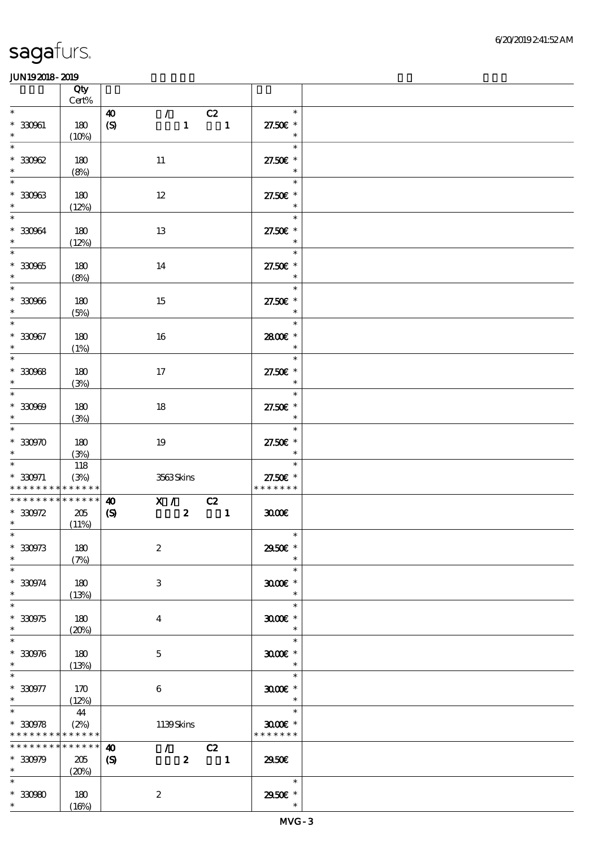|                                                                    | Qty<br>$\mbox{Cert}\%$   |                                                      |                                                                 |                           |                                               |  |
|--------------------------------------------------------------------|--------------------------|------------------------------------------------------|-----------------------------------------------------------------|---------------------------|-----------------------------------------------|--|
| $\ast$<br>$* 330961$<br>$\ast$                                     | 180<br>(10%)             | $\boldsymbol{\omega}$<br>$\boldsymbol{S}$            | $\mathcal{T} = \mathcal{I}$                                     | C2<br>$1 \qquad \qquad 1$ | $\ast$<br>27.50€ *<br>$\ast$                  |  |
| $\ast$<br>$*30002$<br>$\ast$                                       | 180<br>(8%)              | 11                                                   |                                                                 |                           | $\ast$<br>27.50€ *<br>$\ast$                  |  |
| $\ast$<br>$* 30063$<br>$\ast$                                      | 180<br>(12%)             | $12\,$                                               |                                                                 |                           | $\ast$<br>27.50€ *<br>$\ast$                  |  |
| $\ast$<br>$* 330964$<br>$\ast$                                     | 180<br>(12%)             | 13                                                   |                                                                 |                           | $\ast$<br>27.50€ *<br>$\ast$                  |  |
| $\ast$<br>$^\ast$ 330965<br>$\ast$                                 | 180<br>(8%)              | 14                                                   |                                                                 |                           | $\ast$<br>27.50€ *<br>$\ast$                  |  |
| $\overline{\phantom{0}}$<br>$* 330966$<br>$\ast$                   | 180<br>(5%)              | 15                                                   |                                                                 |                           | $\ast$<br>27.50€ *<br>$\ast$                  |  |
| $\overline{\phantom{0}}$<br>$* 330967$<br>$\ast$                   | 180<br>(1%)              | 16                                                   |                                                                 |                           | $\ast$<br>2800€ *<br>$\ast$                   |  |
| $\ast$<br>$*30068$<br>$\ast$                                       | 180<br>(3%)              | $17\,$                                               |                                                                 |                           | $\ast$<br>27.50€ *<br>$\ast$                  |  |
| $\overline{\phantom{a}^*}$<br>$* 30000$<br>$\ast$                  | 180<br>(3%)              | 18                                                   |                                                                 |                           | $\ast$<br>27.50€ *<br>$\ast$                  |  |
| $\overline{\phantom{0}}$<br>$*3000$<br>$\ast$                      | 180<br>(3%)              | 19                                                   |                                                                 |                           | $\ast$<br>27.50£ *<br>$\ast$                  |  |
| $\ast$<br>$* 330971$<br>* * * * * * * * <mark>* * * * * * *</mark> | 118<br>(3%)              |                                                      | 3563Skins                                                       |                           | $\ast$<br>27.50€ *<br>* * * * * * *           |  |
| * * * * * * * * * * * * * *<br>$*30972$<br>$\ast$                  | 205<br>(11%)             | $\boldsymbol{\omega}$<br>$\boldsymbol{\mathrm{(S)}}$ | $\begin{array}{c cc}\n\hline\nX & / & C2 \\ 2 & 1\n\end{array}$ |                           | 3000                                          |  |
| $*$<br>$* 330973$<br>$\ast$                                        | 180<br>(7%)              | $\boldsymbol{2}$                                     |                                                                 |                           | $\overline{\phantom{a}}$<br>2950E *<br>$\ast$ |  |
| $\ast$<br>$* 330974$<br>$\ast$                                     | 180<br>(13%)             | 3                                                    |                                                                 |                           | $\ast$<br>$3000$ $*$<br>$\ast$                |  |
| $\ast$<br>$*30975$<br>$\ast$                                       | 180<br>(20%)             | $\bf{4}$                                             |                                                                 |                           | $\ast$<br>$3000$ $*$<br>$\ast$                |  |
| $\ast$<br>$* 330976$<br>$\ast$                                     | 180<br>(13%)             | $\mathbf{5}$                                         |                                                                 |                           | $\ast$<br>$3000$ $*$<br>$\ast$                |  |
| $\ast$<br>$*330977$<br>$\ast$                                      | 170<br>(12%)             | 6                                                    |                                                                 |                           | $\ast$<br>$3000$ $*$<br>$\ast$                |  |
| $\ast$<br>$*30078$<br>* * * * * * * * <mark>* * * * * *</mark> *   | 44<br>(2%)               |                                                      | 1139Skins                                                       |                           | $\ast$<br>$3000$ $*$<br>* * * * * * *         |  |
| * * * * * * * *<br>$*30079$<br>$\ast$                              | $******$<br>205<br>(20%) | $\boldsymbol{\omega}$<br>$\boldsymbol{\mathrm{(S)}}$ | $\mathcal{L}$ and $\mathcal{L}$<br>$\mathbf{2}$                 | C2<br>$\blacksquare$      | 2950E                                         |  |
| $\ast$<br>$^\ast$ 330980<br>$*$                                    | 180<br>(16%)             | $\boldsymbol{2}$                                     |                                                                 |                           | $\ast$<br>2950€ *<br>$\ast$                   |  |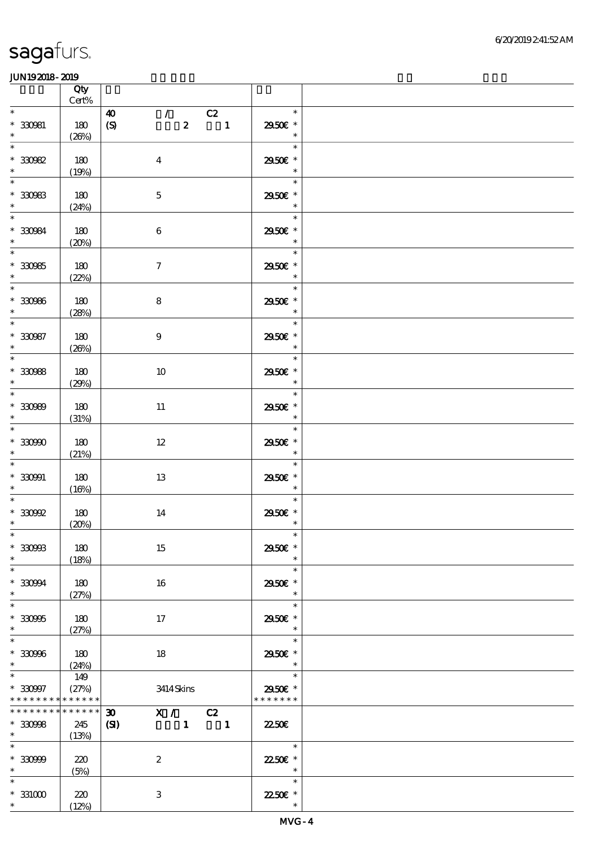|                                                               | Qty<br>$\mbox{Cert}\%$          |                                                                                                                                           |                                               |  |
|---------------------------------------------------------------|---------------------------------|-------------------------------------------------------------------------------------------------------------------------------------------|-----------------------------------------------|--|
| $\ast$<br>$* 330981$<br>$\ast$                                | 180<br>(20%)                    | $\mathcal{T}^{\mathcal{A}}$<br>C2<br>$\boldsymbol{\omega}$<br>$\overline{\phantom{a}}$<br>$\boldsymbol{z}$<br>$\boldsymbol{\mathrm{(S)}}$ | $\ast$<br>2950€ *<br>$\ast$                   |  |
| $\ast$<br>$*30082$<br>$\ast$                                  | 180<br>(19%)                    | $\boldsymbol{4}$                                                                                                                          | $\ast$<br>2950€ *<br>$\ast$                   |  |
| $\ast$<br>$^\ast$ 33083 $^\ast$                               | 180<br>(24%)                    | $\mathbf 5$                                                                                                                               | $\ast$<br>2950€ *<br>$\ast$                   |  |
| $\ast$<br>$* 330984$<br>$\ast$                                | 180<br>(20%)                    | $\bf 6$                                                                                                                                   | $\ast$<br>2950€ *<br>$\ast$                   |  |
| $\overline{\phantom{1}}$<br>$* 30085$<br>$\ddot{\phantom{0}}$ | 180<br>(22%)                    | $\boldsymbol{\tau}$                                                                                                                       | $\ast$<br>2950€ *<br>$\ast$                   |  |
| $\overline{\phantom{0}}$<br>$* 30006$<br>$\ddot{\phantom{0}}$ | 180<br>(28%)                    | $\bf 8$                                                                                                                                   | $\ast$<br>$2950\mathrm{E}$ *<br>$\ast$        |  |
| $\overline{\ast}$<br>$* 330987$<br>$\ast$                     | 180<br>(20%)                    | $\boldsymbol{9}$                                                                                                                          | $\ast$<br>2950€ *<br>$\ast$                   |  |
| $\overline{\phantom{0}}$<br>$* 30088$<br>$*$                  | 180<br>(29%)                    | $10\,$                                                                                                                                    | $\ast$<br>2950€ *<br>$\overline{\phantom{a}}$ |  |
| $\overline{\phantom{0}}$<br>$* 30000$<br>$\ddot{\phantom{0}}$ | 180<br>(31%)                    | 11                                                                                                                                        | $\ast$<br>2950 £*<br>$\ast$                   |  |
| $\overline{\ast}$<br>$* 33090$<br>$\ast$                      | 180<br>(21%)                    | $12\,$                                                                                                                                    | $\ast$<br>2950 $\varepsilon$ *<br>$\ast$      |  |
| $\ast$<br>$* 330901$<br>$\ast$                                | 180<br>(16%)                    | 13                                                                                                                                        | $\ast$<br>2950 £*<br>$\ast$                   |  |
| $\hspace{0.1cm}^*$ 330992<br>$\ast$                           | 180<br>(20%)                    | 14                                                                                                                                        | $\ast$<br>2950€ *<br>$\ast$                   |  |
| $*30003$<br>$\ast$                                            | 180<br>(18%)                    | 15                                                                                                                                        | 2950€ *                                       |  |
| $\ast$<br>$* 33094$<br>$\ast$                                 | 180<br>(27%)                    | 16                                                                                                                                        | $\ast$<br>2950E *<br>$\ast$                   |  |
| $\ast$<br>$*30005$<br>$\ast$                                  | 180<br>(27%)                    | 17                                                                                                                                        | $\ast$<br>2950E *<br>$\ast$                   |  |
| $\ast$<br>$*30006$<br>$\ast$                                  | 180<br>(24%)                    | 18                                                                                                                                        | $\ast$<br>2950E *<br>$\ast$                   |  |
| $\ast$<br>$*30007$<br>* * * * * * * *                         | 149<br>(27%)<br>******          | 3414 Skins                                                                                                                                | $\ast$<br>2950€ *<br>* * * * * * *            |  |
| * * * * * * * *<br>$*30008$<br>$*$                            | $* * * * * * *$<br>245<br>(13%) | X / C2<br>$\boldsymbol{\mathfrak{D}}$<br>$\mathbf{C}$<br>$1 \quad 1$                                                                      | <b>22.50E</b>                                 |  |
| $\ast$<br>$* 330999$<br>$\ast$                                | 220<br>(5%)                     | $\boldsymbol{2}$                                                                                                                          | $\ast$<br>2250E *<br>$\overline{\phantom{a}}$ |  |
| $\ast$<br>$*331000$<br>$\ast$                                 | 220<br>(12%)                    | $\,3\,$                                                                                                                                   | $\ast$<br>22.50€ *<br>$\ast$                  |  |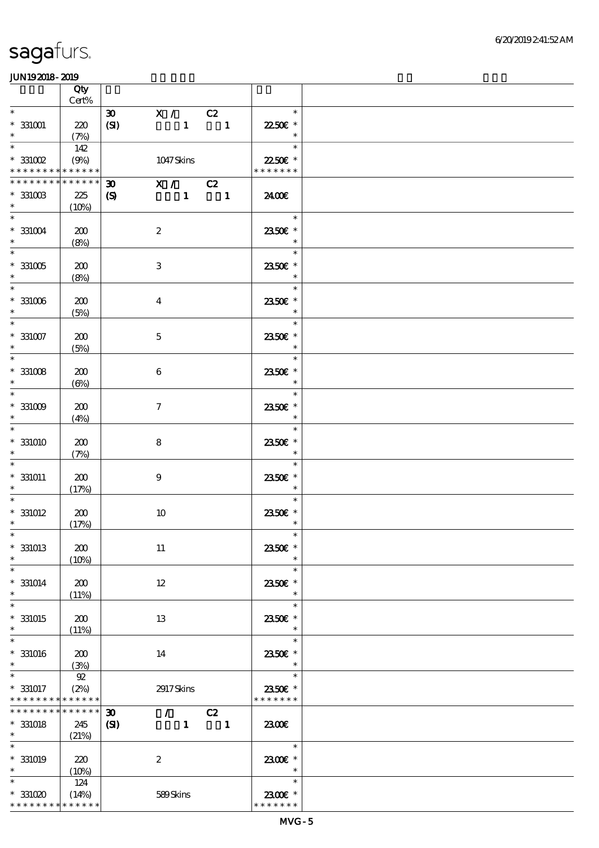|                                                                    | Qty<br>$Cert\%$             |                                                                                                                    |                                    |  |
|--------------------------------------------------------------------|-----------------------------|--------------------------------------------------------------------------------------------------------------------|------------------------------------|--|
| $\ast$                                                             |                             | X / C2<br>$\boldsymbol{\mathfrak{D}}$                                                                              | $\ast$                             |  |
| $^\ast$ 331001<br>$\ast$                                           | 220<br>(7%)                 | (SI)<br>$\mathbf{1}$<br>$\overline{\phantom{a}}$                                                                   | 22.50€ *<br>$\ast$                 |  |
| $\overline{\ast}$<br>$^\ast$ 331002                                | 142<br>(9%)                 | 1047Skins                                                                                                          | $\ast$<br>22.50€ *                 |  |
| * * * * * * * * <mark>* * * * * * *</mark>                         |                             |                                                                                                                    | * * * * * * *                      |  |
| * * * * * * * *<br>$^\ast$ 331003                                  | * * * * * *<br>225          | X / C2<br>$\boldsymbol{\mathfrak{D}}$<br>$1 \quad 1$<br>$\boldsymbol{\mathcal{S}}$                                 | 2400€                              |  |
| $\ast$<br>$\ast$                                                   | (10%)                       |                                                                                                                    | $\ast$                             |  |
| $^\ast$ 331004<br>$\ast$                                           | 200<br>(8%)                 | $\boldsymbol{2}$                                                                                                   | 2350€ *<br>$\ast$                  |  |
| $\overline{\phantom{0}}$<br>$^\ast$ 331005<br>$\ast$               | 200<br>(8%)                 | $\ensuremath{\mathbf{3}}$                                                                                          | $\ast$<br>2350€ *<br>$\ast$        |  |
| $\overline{\ast}$<br>$^\ast$ 331006<br>$\ast$                      | 200<br>(5%)                 | $\boldsymbol{4}$                                                                                                   | $\ast$<br>2350€ *<br>$\ast$        |  |
| $\ast$<br>$^\ast$ 331007<br>$\ast$                                 | 200<br>(5%)                 | $\mathbf 5$                                                                                                        | $\ast$<br>2350€ *<br>$\ast$        |  |
| $\overline{\ast}$<br>$^*$ 331008 $\,$<br>$\ast$                    | 200<br>$(\Theta)$           | $\boldsymbol{6}$                                                                                                   | $\ast$<br>2350€ *<br>$\ast$        |  |
| $\overline{\ast}$<br>$^\ast$ 331009<br>$\ast$                      | 200<br>(4%)                 | $\tau$                                                                                                             | $\ast$<br>2350E *<br>$\ast$        |  |
| $\ast$<br>$*331010$<br>$\ast$                                      | 200<br>(7%)                 | $\bf 8$                                                                                                            | $\ast$<br>2350€ *<br>$\ast$        |  |
| $\ast$<br>$* 331011$<br>$\ast$                                     | 200<br>(17%)                | $\boldsymbol{9}$                                                                                                   | $\ast$<br>2350€ *<br>$\ast$        |  |
| $\ast$<br>$*$ 331012<br>$\ast$                                     | 200<br>(17%)                | $10$                                                                                                               | $\ast$<br>2350€ *<br>$\ast$        |  |
| $*$<br>$*331013$<br>$\ast$                                         | 200<br>(10%)                | $11\,$                                                                                                             | $\ast$<br>2350€ *                  |  |
| $\ast$<br>$* 331014$<br>$\ast$                                     | 200<br>(11%)                | $12 \,$                                                                                                            | $\ast$<br>2350E *<br>$\ast$        |  |
| $\ast$<br>$*$ 331015<br>$\ast$                                     | 200<br>(11%)                | 13                                                                                                                 | $\ast$<br>2350E *<br>$\ast$        |  |
| $\ast$<br>$* 331016$<br>$\ast$                                     | 200<br>(3%)                 | 14                                                                                                                 | $\ast$<br>2350€ *<br>$\ast$        |  |
| $\ast$<br>$* 331017$<br>* * * * * * * * <mark>* * * * * *</mark> * | $92\,$<br>(2%)              | 2917Skins                                                                                                          | $\ast$<br>2350E *<br>* * * * * * * |  |
| * * * * * * * *<br>$*331018$<br>$\ast$                             | * * * * * *<br>245<br>(21%) | $\mathcal{L} = \mathcal{L}$<br>C2<br>$\boldsymbol{\mathfrak{D}}$<br>$\mathbf{1}$<br>$\overline{\mathbf{1}}$<br>(S) | 2300E                              |  |
| $\ast$<br>$*$ 331019<br>$\ast$                                     | 220<br>(10%)                | $\boldsymbol{2}$                                                                                                   | $\ast$<br>2300€ *<br>$\ast$        |  |
| $\ast$<br>$*331020$<br>* * * * * * * *                             | 124<br>(14%)<br>* * * * * * | 589Skins                                                                                                           | $\ast$<br>2300€ *<br>* * * * * * * |  |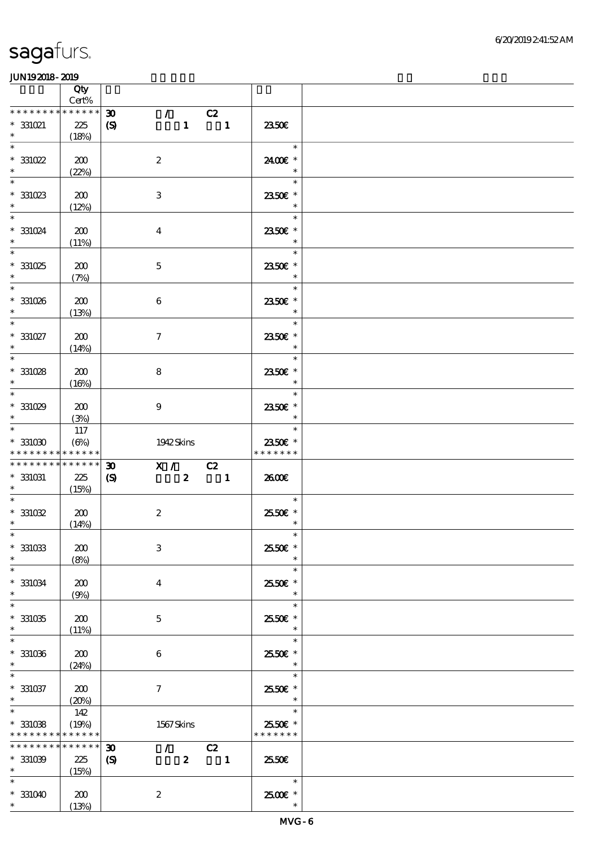|                                               | Qty<br>$Cert\%$           |                                                            |                                                          |                          |  |
|-----------------------------------------------|---------------------------|------------------------------------------------------------|----------------------------------------------------------|--------------------------|--|
| * * * * * * * *                               | * * * * * *               | $\boldsymbol{\mathfrak{D}}$<br>$\mathcal{T}^{\mathcal{A}}$ | C2                                                       |                          |  |
| $*331021$<br>$\ast$                           | 225<br>(18%)              | $\boldsymbol{\mathrm{(S)}}$                                | $\begin{array}{cccc} 1 & \hspace{1.6cm} & 1 \end{array}$ | 2350E                    |  |
| $\ast$                                        |                           |                                                            |                                                          | $\ast$                   |  |
| $^*$ 331022<br>$\ast$                         | 200<br>(22%)              | $\boldsymbol{2}$                                           |                                                          | 2400€ *<br>$\ast$        |  |
| $\ast$                                        |                           |                                                            |                                                          | $\ast$                   |  |
| $^*$ 331023<br>$\ast$                         | 200<br>(12%)              | $\,3$                                                      |                                                          | 2350E *<br>$\ast$        |  |
| $\overline{\ast}$                             |                           |                                                            |                                                          | $\ast$                   |  |
| $*331024$<br>$\ast$                           | 200<br>(11%)              | $\bf{4}$                                                   |                                                          | 2350E *<br>$\ast$        |  |
| $\ast$                                        |                           |                                                            |                                                          | $\ast$                   |  |
| $*331025$<br>$\ast$                           | 200<br>(7%)               | $\mathbf 5$                                                |                                                          | 2350€ *                  |  |
| $\overline{\phantom{0}}$                      |                           |                                                            |                                                          | $\ast$                   |  |
| $* 331026$<br>$\ast$                          | 200<br>(13%)              | $\boldsymbol{6}$                                           |                                                          | 2350€ *<br>$\ast$        |  |
| $\overline{\ast}$                             |                           |                                                            |                                                          | $\ast$                   |  |
| $^*$ 331027 $\,$<br>$\ast$                    | 200<br>(14%)              | $\boldsymbol{\tau}$                                        |                                                          | 2350€ *<br>$\ast$        |  |
| $\ast$                                        |                           |                                                            |                                                          | $\ast$                   |  |
| $*331028$                                     | 200                       | $\bf8$                                                     |                                                          | 2350€ *                  |  |
| $\ast$<br>$\ast$                              | (16%)                     |                                                            |                                                          | $\ast$<br>$\ast$         |  |
| $*331029$                                     | 200                       | $\boldsymbol{9}$                                           |                                                          | 2350E *                  |  |
| $\ast$                                        | (3%)                      |                                                            |                                                          | $\ast$                   |  |
| $\ast$                                        | 117                       |                                                            |                                                          | $\ast$                   |  |
| $*331030$<br>* * * * * * * *                  | $(\Theta)$<br>* * * * * * | 1942 Skins                                                 |                                                          | 2350€ *<br>* * * * * * * |  |
| * * * * * * * *                               | $* * * * * * *$           | $\boldsymbol{\mathfrak{D}}$                                | X / C2                                                   |                          |  |
| $^\ast$ 331031                                | 225                       | $\boldsymbol{\mathcal{S}}$                                 | $2 \qquad \qquad 1$                                      | 2600E                    |  |
| $\ast$                                        | (15%)                     |                                                            |                                                          |                          |  |
| $\ast$<br>$*331032$                           |                           |                                                            |                                                          | $\ast$                   |  |
| $*$                                           | 200<br>(14%)              | $\boldsymbol{2}$                                           |                                                          | 2550€ *<br>$\ast$        |  |
| $*$                                           |                           |                                                            |                                                          | $\ast$                   |  |
| $^\ast$ 331033                                | 200                       | $\,3$                                                      |                                                          | 25.50€ *                 |  |
| $\ast$<br>$\ast$                              | (8%)                      |                                                            |                                                          | $\ast$<br>$\ast$         |  |
| $^\ast$ 331034                                | 200                       |                                                            |                                                          |                          |  |
| $\ast$                                        |                           |                                                            |                                                          |                          |  |
| $\ast$                                        | (9%)                      | $\boldsymbol{4}$                                           |                                                          | 2550€ *<br>$\ast$        |  |
|                                               |                           |                                                            |                                                          | $\ast$                   |  |
| $^\ast$ 331035<br>$\ast$                      | 200                       | $\mathbf{5}$                                               |                                                          | 2550E *<br>$\ast$        |  |
| $\ast$                                        | (11%)                     |                                                            |                                                          | $\ast$                   |  |
| $^\ast$ 331036                                | 200                       | 6                                                          |                                                          | 25.50€ *                 |  |
| $\ast$<br>$\ast$                              | (24%)                     |                                                            |                                                          | $\ast$                   |  |
| $* 331037$                                    | 200                       | $\boldsymbol{\tau}$                                        |                                                          | $\ast$<br>2550€ *        |  |
| $\ast$                                        | (20%)                     |                                                            |                                                          | $\ast$                   |  |
| $\ast$                                        | 142                       |                                                            |                                                          | $\ast$                   |  |
| * * * * * * * * <mark>* * * * * * *</mark>    | (19%)                     | 1567Skins                                                  |                                                          | 2550€ *<br>* * * * * * * |  |
| $^\ast$ 331038<br>* * * * * * * * * * * * * * |                           | $\mathcal{T}=\mathcal{I}$<br>$\boldsymbol{\mathfrak{D}}$   | C2                                                       |                          |  |
| $*331039$                                     | 225                       | $\boldsymbol{\mathcal{S}}$<br>$\mathbf{z}$                 | $\overline{\phantom{a}}$                                 | 25.50€                   |  |
| $\ast$<br>$\ast$                              | (15%)                     |                                                            |                                                          | $\ast$                   |  |
| $* 331040$                                    | 200                       | $\boldsymbol{2}$                                           |                                                          | $2500$ $\epsilon$ *      |  |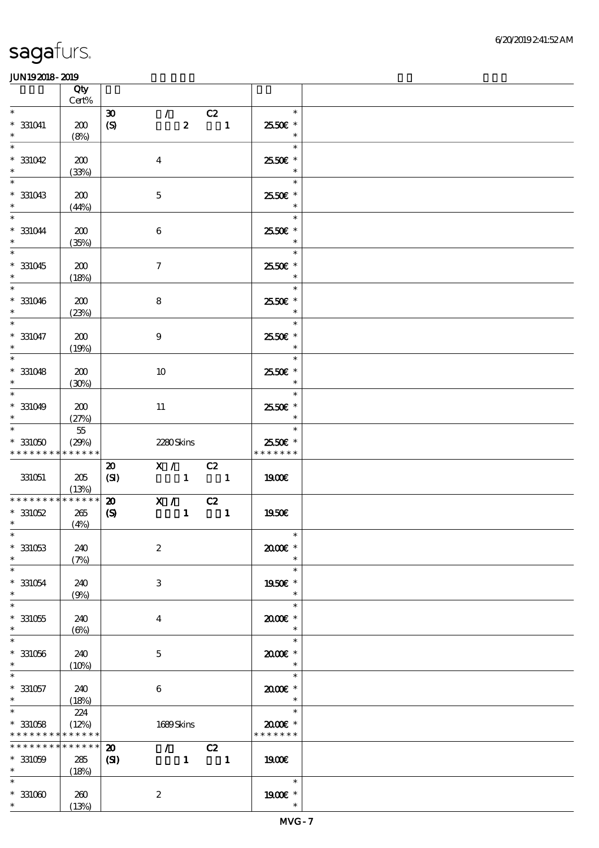|                                                                 | Qty<br>Cert%                |                                                 |                     |                                                     |                                                                      |                                             |  |
|-----------------------------------------------------------------|-----------------------------|-------------------------------------------------|---------------------|-----------------------------------------------------|----------------------------------------------------------------------|---------------------------------------------|--|
| $\ast$                                                          |                             |                                                 |                     |                                                     |                                                                      | $\ast$                                      |  |
| $* 331041$<br>$\ast$                                            | 200<br>(8%)                 | $\boldsymbol{\mathfrak{D}}$<br>$\boldsymbol{S}$ |                     | $\mathcal{L}$ and $\mathcal{L}$<br>$\boldsymbol{z}$ | C2<br>$\blacksquare$                                                 | 2550€ *<br>$\ast$                           |  |
| $\ast$<br>$*331042$<br>$\ast$                                   | 200<br>(33%)                |                                                 | $\boldsymbol{4}$    |                                                     |                                                                      | $\ast$<br>25.50€ *<br>$\ast$                |  |
| $\ast$<br>$*331043$<br>$\ast$                                   | 200<br>(44%)                |                                                 | $\mathbf 5$         |                                                     |                                                                      | $\ast$<br>2550€ *<br>$\ast$                 |  |
| $\ast$<br>$* 331044$<br>$\ast$                                  | 200<br>(35%)                |                                                 | 6                   |                                                     |                                                                      | $\ast$<br>2550€ *<br>$\ast$                 |  |
| $\overline{\phantom{0}}$<br>$* 331045$<br>$\ast$                | 200<br>(18%)                |                                                 | $\boldsymbol{\tau}$ |                                                     |                                                                      | $\ast$<br>2550 £*<br>$\ast$                 |  |
| $\ast$<br>$* 331046$<br>$\ast$                                  | 200<br>(23%)                |                                                 | 8                   |                                                     |                                                                      | $\ast$<br>2550 £*<br>$\ast$                 |  |
| $\ast$<br>$* 331047$<br>$\ast$                                  | 200<br>(19%)                |                                                 | $\boldsymbol{9}$    |                                                     |                                                                      | $\ast$<br>2550€ *<br>$\ast$                 |  |
| $\overline{\phantom{0}}$<br>$* 331048$<br>$\ast$                | 200<br>(30%)                |                                                 | 10                  |                                                     |                                                                      | $\ast$<br>2550€ *<br>$\ast$                 |  |
| $\overline{\ast}$<br>$* 331049$<br>$\ast$                       | 200<br>(27%)                |                                                 | 11                  |                                                     |                                                                      | $\ast$<br>2550€ *<br>$\ast$                 |  |
| $\ast$<br>$*331050$<br>* * * * * * * * * * * * * *              | $5\!5$<br>(29%)             |                                                 |                     | 2280Skins                                           |                                                                      | $\ast$<br>2550€ *<br>* * * * * * *          |  |
| 331051                                                          | 205<br>(13%)                | $\boldsymbol{\mathsf{20}}$<br>(SI)              |                     | X / C2                                              | $\begin{array}{ccccccccccccc}\n1 & & & 1\n\end{array}$               | 1900€                                       |  |
| * * * * * * * * * * * * * *                                     |                             | $\boldsymbol{\mathfrak{D}}$                     |                     |                                                     |                                                                      |                                             |  |
| $*331052$<br>$*$                                                | 265<br>(4%)                 | $\boldsymbol{\mathrm{(S)}}$                     |                     |                                                     | $\begin{array}{c c} \hline X & / & C2 \\ \hline & 1 & 1 \end{array}$ | 1950€                                       |  |
| $\ast$<br>$*331053$<br>$\ast$                                   | 240<br>(7%)                 |                                                 | $\boldsymbol{2}$    |                                                     |                                                                      | $\overline{\mathbf{r}}$<br>2000E*<br>$\ast$ |  |
| $\ast$<br>$* 331054$<br>$\ast$                                  | 240<br>(9%)                 |                                                 | 3                   |                                                     |                                                                      | $\ast$<br>1950E *<br>$\ast$                 |  |
| $\ast$<br>$*331055$<br>$\ast$                                   | 240<br>$(\Theta)$           |                                                 | 4                   |                                                     |                                                                      | $\ast$<br>2000E*<br>$\ast$                  |  |
| $\ast$<br>$*331056$<br>$\ast$                                   | 240<br>(10%)                |                                                 | 5                   |                                                     |                                                                      | $\ast$<br>2000E*<br>$\ast$                  |  |
| $* 331057$<br>$\ast$                                            | 240<br>(18%)                |                                                 | $\boldsymbol{6}$    |                                                     |                                                                      | $\ast$<br>2000E *<br>$\ast$                 |  |
| $\ast$<br>$*331058$<br>* * * * * * * * <mark>* * * * * *</mark> | 224<br>(12%)                |                                                 |                     | 1689Skins                                           |                                                                      | $\ast$<br>2000E*<br>* * * * * * *           |  |
| * * * * * * * *<br>$*331059$<br>$\ast$                          | * * * * * *<br>285<br>(18%) | $\boldsymbol{\mathbf{z}}$<br>(S)                |                     | $\mathcal{F}$ and $\mathcal{F}$<br>$\mathbf{1}$     | C2<br>$\overline{\phantom{a}}$                                       | 1900E                                       |  |
| $*331000$<br>$*$                                                | 260<br>(13%)                |                                                 | $\boldsymbol{2}$    |                                                     |                                                                      | $\ast$<br>1900 *<br>$\ast$                  |  |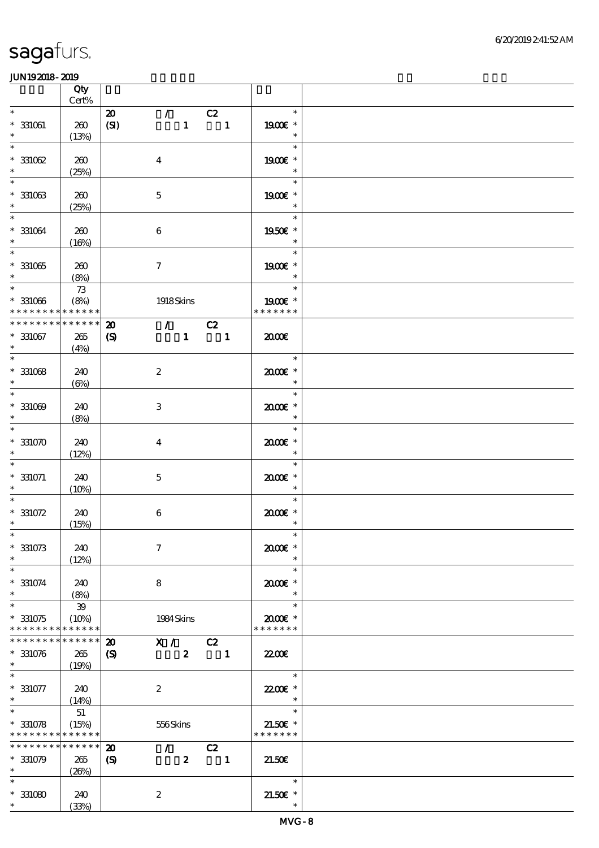|                                                                            | Qty<br>Cert%                          |                                                            |                                             |                                |                                       |  |
|----------------------------------------------------------------------------|---------------------------------------|------------------------------------------------------------|---------------------------------------------|--------------------------------|---------------------------------------|--|
| $\ast$                                                                     |                                       | $\boldsymbol{\mathbf{z}}$                                  | $\mathcal{L}$ and $\mathcal{L}$             | C2                             | $\ast$                                |  |
| $^\ast$ 331061<br>$\ast$                                                   | 260<br>(13%)                          | (SI)                                                       | $\mathbf{1}$                                | $\overline{\phantom{a}}$       | 1900E *<br>$\ast$                     |  |
| $\ast$<br>$*331062$<br>$\ast$                                              | 260<br>(25%)                          |                                                            | $\boldsymbol{4}$                            |                                | $\ast$<br>1900€ *<br>$\ast$           |  |
| $\ast$<br>$^\ast$ 331063<br>$\ast$                                         | 260<br>(25%)                          |                                                            | $\mathbf 5$                                 |                                | $\ast$<br>1900E *<br>$\ast$           |  |
| $\overline{\ast}$<br>$^\ast$ 331064<br>$\ast$                              | 260<br>(16%)                          |                                                            | $\,6\,$                                     |                                | $\ast$<br>1950E *<br>$\ast$           |  |
| $\overline{\phantom{0}}$<br>$^\ast$ 331065<br>$\ast$                       | 260                                   |                                                            | $\boldsymbol{7}$                            |                                | $\ast$<br>1900 *<br>$\ast$            |  |
| $\overline{\ast}$<br>$^\ast$ 331066<br>* * * * * * * *                     | (8%)<br>$7\!3$<br>(8%)<br>* * * * * * |                                                            | 1918Skins                                   |                                | $\ast$<br>1900E *<br>* * * * * * *    |  |
|                                                                            |                                       |                                                            |                                             |                                |                                       |  |
| * * * * * * * *<br>$* 331067$<br>$\ast$                                    | * * * * * *<br>265<br>(4%)            | $\boldsymbol{\mathfrak{D}}$<br>$\boldsymbol{\mathrm{(S)}}$ | $\mathcal{T} = \mathcal{I}$<br>$\mathbf{1}$ | C2<br>$\overline{\phantom{a}}$ | 2000                                  |  |
| $\overline{\phantom{0}}$<br>$*$ 331068<br>$\ast$                           | 240<br>$(\Theta)$                     |                                                            | $\boldsymbol{2}$                            |                                | $\ast$<br>2000E *<br>$\ast$           |  |
| $\overline{\ast}$<br>$* 331009$<br>$\ast$                                  | 240<br>(8%)                           |                                                            | $\,3\,$                                     |                                | $\ast$<br>$2000$ $*$<br>$\ast$        |  |
| $\ast$<br>$*331070$<br>$\ast$                                              | 240<br>(12%)                          |                                                            | $\boldsymbol{4}$                            |                                | $\ast$<br>2000€*<br>$\ast$            |  |
| $\ast$<br>$* 331071$<br>$\ast$                                             | 240<br>(10%)                          |                                                            | $\mathbf 5$                                 |                                | $\ast$<br>$2000$ $*$<br>$\ast$        |  |
| $\ast$<br>$* 331072$<br>$\ast$                                             | 240<br>(15%)                          |                                                            | $\,6\,$                                     |                                | $\ast$<br>$2000$ $*$<br>$\ast$        |  |
| $*$<br>$*331073$<br>$\ast$                                                 | 240<br>(12%)                          |                                                            | $\boldsymbol{7}$                            |                                | $\ast$<br>2000E*                      |  |
| $\ast$<br>$* 331074$<br>$\ast$                                             | 240<br>(8%)                           |                                                            | 8                                           |                                | $\ast$<br>$2000$ $*$<br>$\ast$        |  |
| $\ast$<br>$*331075$<br>* * * * * * * *                                     | $39\,$<br>(10%)<br>* * * * * *        |                                                            | 1984 Skins                                  |                                | $\ast$<br>2000E*<br>* * * * * * *     |  |
| * * * * * * * *                                                            | * * * * * *                           | $\boldsymbol{\mathfrak{D}}$                                | X / C2                                      |                                |                                       |  |
| $* 331076$<br>$\ast$                                                       | 265<br>(19%)                          | $\boldsymbol{\mathcal{S}}$                                 | $\boldsymbol{z}$                            | $\overline{\phantom{a}}$ 1     | <b>2200</b> €                         |  |
| $\ast$<br>$* 331077$<br>$*$                                                | 240<br>(14%)                          |                                                            | $\boldsymbol{2}$                            |                                | $\ast$<br>22.00€ *<br>$\ast$          |  |
| $\overline{\ast}$<br>$*331078$<br>* * * * * * * * <mark>* * * * * *</mark> | 51<br>(15%)                           |                                                            | 556Skins                                    |                                | $\ast$<br>$21.50E$ *<br>* * * * * * * |  |
| * * * * * * * *<br>$*331079$                                               | * * * * * *<br>265                    | $\boldsymbol{\mathbf{z}}$<br>$\boldsymbol{S}$              | $\mathcal{L}$<br>$\boldsymbol{z}$           | C2<br>$\blacksquare$           | 21.50E                                |  |
| $\ast$<br>$\ast$<br>$*331080$<br>$\ast$                                    | (20%)<br>240<br>(33%)                 |                                                            | $\boldsymbol{2}$                            |                                | $\ast$<br>$21.50E$ *                  |  |
|                                                                            |                                       |                                                            |                                             |                                |                                       |  |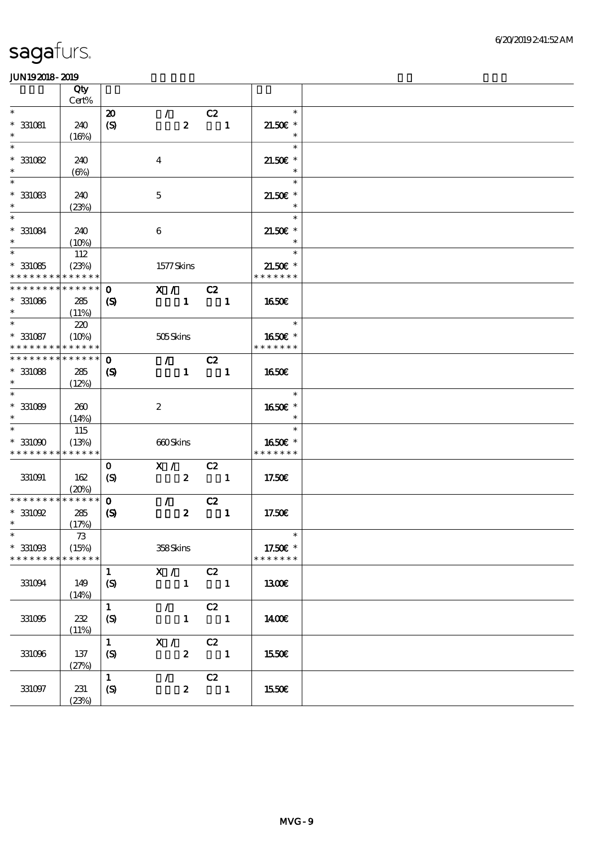|                                          | Qty             |                             |                  |                          |                |                                    |  |
|------------------------------------------|-----------------|-----------------------------|------------------|--------------------------|----------------|------------------------------------|--|
|                                          | Cert%           |                             |                  |                          |                |                                    |  |
| $\ast$                                   |                 | $\boldsymbol{\mathfrak{D}}$ | $\mathcal{T}$    | C2                       |                | $\ast$                             |  |
| $* 331081$                               | 240             | $\boldsymbol{S}$            | $\boldsymbol{z}$ |                          | $\blacksquare$ | $21.50E$ *                         |  |
| $\ast$                                   | (16%)           |                             |                  |                          |                | $\ast$                             |  |
| $\ast$                                   |                 |                             |                  |                          |                | $\ast$                             |  |
| $*331082$                                | 240             |                             | $\boldsymbol{4}$ |                          |                | $21.50E$ *                         |  |
| $\ast$                                   | $(\Theta)$      |                             |                  |                          |                | $\ast$                             |  |
| $\ast$                                   |                 |                             |                  |                          |                | $\ast$                             |  |
| $^\ast$ 331083                           | 240             |                             | $\mathbf 5$      |                          |                | $21.50E$ *                         |  |
| $\ast$                                   | (23%)           |                             |                  |                          |                | $\ast$                             |  |
| $\overline{\ast}$                        |                 |                             |                  |                          |                | $\ast$                             |  |
| $* 331084$                               | 240             |                             | $\boldsymbol{6}$ |                          |                | $21.50E$ *                         |  |
| $\ast$                                   |                 |                             |                  |                          |                | $\ast$                             |  |
| $\ast$                                   | $(10\%)$<br>112 |                             |                  |                          |                | $\ast$                             |  |
|                                          |                 |                             |                  |                          |                |                                    |  |
| $*331085$                                | (23%)           |                             | 1577Skins        |                          |                | $21.50E$ *<br>* * * * * * *        |  |
| * * * * * * * * <mark>* * * * * *</mark> |                 |                             |                  |                          |                |                                    |  |
| * * * * * * * * * * * * * *              |                 | $\mathbf 0$                 | X / C2           |                          |                |                                    |  |
| $* 331086$                               | 285             | (S)                         | $\mathbf{1}$     | $\blacksquare$           |                | <b>1650€</b>                       |  |
| $\ast$                                   | (11%)           |                             |                  |                          |                |                                    |  |
| $*$                                      | 220             |                             |                  |                          |                | $\overline{\phantom{a}}$<br>$\ast$ |  |
| $* 331087$                               | (10%)           |                             | 505Skins         |                          |                | 1650E *                            |  |
| * * * * * * * *                          | * * * * * *     |                             |                  |                          |                | * * * * * * *                      |  |
| * * * * * * * *                          | * * * * * *     | $\mathbf 0$                 | $\mathcal{L}$    | C2                       |                |                                    |  |
| $* 331088$                               | 285             | $\boldsymbol{\mathcal{S}}$  | $\mathbf{1}$     | $\blacksquare$           |                | <b>1650€</b>                       |  |
| $\ast$                                   | (12%)           |                             |                  |                          |                |                                    |  |
| $\ast$                                   |                 |                             |                  |                          |                | $\ast$                             |  |
| $* 331089$                               | 260             |                             | $\boldsymbol{2}$ |                          |                | 1650E *                            |  |
| $\ast$                                   | (14%)           |                             |                  |                          |                | $\ast$                             |  |
| $\ast$                                   | 115             |                             |                  |                          |                | $\ast$                             |  |
|                                          |                 |                             |                  |                          |                |                                    |  |
| $*331090$<br>* * * * * * * * * * * * * * | (13%)           |                             | 660Skins         |                          |                | 1650€ *<br>* * * * * * *           |  |
|                                          |                 |                             |                  |                          |                |                                    |  |
|                                          |                 | $\mathbf 0$                 | X /              | C2                       |                |                                    |  |
| 331091                                   | 162             | $\boldsymbol{S}$            |                  | $2 \qquad \qquad 1$      |                | 17.50€                             |  |
|                                          | (20%)           |                             |                  |                          |                |                                    |  |
| * * * * * * * *                          | * * * * * *     | $\mathbf 0$                 | $\mathcal{T}$    | C2                       |                |                                    |  |
| $*331092$                                | 285             | $\boldsymbol{\mathcal{S}}$  | $\boldsymbol{z}$ | $\blacksquare$           |                | 17.50€                             |  |
| $*$                                      | (17%)           |                             |                  |                          |                |                                    |  |
| $*$                                      | $73\,$          |                             |                  |                          |                | $\overline{\mathbf{r}}$            |  |
| $*331093$                                | (15%)           |                             | 358Skins         |                          |                | 17.50€ *                           |  |
| * * * * * * * *                          | * * * * * *     |                             |                  |                          |                | * * * * * * *                      |  |
|                                          |                 | $\mathbf{1}$                | X /              | C2                       |                |                                    |  |
| 331094                                   | 149             | (S)                         | $\mathbf{1}$     | $\overline{\phantom{a}}$ |                | 1300E                              |  |
|                                          | (14%)           |                             |                  |                          |                |                                    |  |
|                                          |                 | $\mathbf{1}$                | $\mathcal{F}$    | C2                       |                |                                    |  |
|                                          |                 |                             |                  |                          |                |                                    |  |
| 331095                                   | 232             | (S)                         | $\mathbf{1}$     |                          | $\blacksquare$ | 1400E                              |  |
|                                          | (11%)           |                             |                  |                          |                |                                    |  |
|                                          |                 | $\mathbf{1}$                | X /              | C2                       |                |                                    |  |
| 331096                                   | 137             | (S)                         | $\boldsymbol{z}$ | $\overline{\phantom{a}}$ |                | 1550€                              |  |
|                                          | (27%)           |                             |                  |                          |                |                                    |  |
|                                          |                 | $\mathbf{1}$                | $\mathcal{L}$    | C2                       |                |                                    |  |
| 331097                                   | 231             | $\boldsymbol{S}$            | $\boldsymbol{z}$ |                          | $\blacksquare$ | 1550€                              |  |
|                                          | (23%)           |                             |                  |                          |                |                                    |  |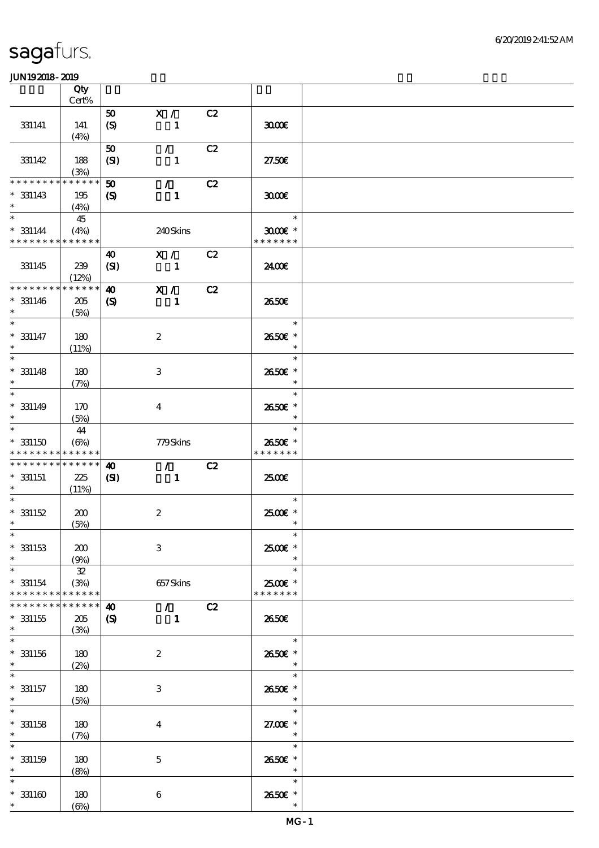|                                           | Qty<br>Cert%              |                             |                             |    |                                      |  |
|-------------------------------------------|---------------------------|-----------------------------|-----------------------------|----|--------------------------------------|--|
|                                           |                           |                             |                             | C2 |                                      |  |
| 331141                                    | 141<br>(4%)               | 50<br>(S)                   | X /<br>$\mathbf{1}$         |    | 3000                                 |  |
|                                           |                           | 50                          | $\mathcal{L}$               | C2 |                                      |  |
| 331142                                    | 188<br>(3%)               | (SI)                        | $\mathbf{1}$                |    | 27.50E                               |  |
| * * * * * * *                             | * * * * * *               | $\boldsymbol{\mathfrak{D}}$ | $\mathcal{L}$               | C2 |                                      |  |
| $*331143$<br>$\ast$                       | 195<br>(4%)               | $\mathbf{S}$                | $\mathbf{1}$                |    | 3000                                 |  |
| $\ast$<br>$* 331144$                      | 45<br>(4%)                |                             | 240Skins                    |    | $\ast$<br>$3000$ $*$                 |  |
| * * * * * * * * * * * * * *               |                           |                             |                             |    | * * * * * * *                        |  |
| 331145                                    | 239<br>(12%)              | 40<br>(SI)                  | X /<br>$\blacksquare$       | C2 | 2400€                                |  |
| * * * * * * * *                           | * * * * * *               | $\boldsymbol{\omega}$       | X /                         | C2 |                                      |  |
| $*331146$<br>$\ast$                       | 205<br>(5%)               | $\boldsymbol{\mathrm{(S)}}$ | $\mathbf{1}$                |    | 2650E                                |  |
| $\ast$                                    |                           |                             |                             |    | $\ast$                               |  |
| $* 331147$<br>$\ast$<br>$\overline{\ast}$ | 180<br>(11%)              |                             | $\boldsymbol{z}$            |    | 2650€ *<br>$\ast$                    |  |
|                                           |                           |                             |                             |    | $\ast$                               |  |
| $*$ 331148<br>$\ast$<br>$\ast$            | 180<br>(7%)               |                             | 3                           |    | 2650E *<br>$\ast$<br>$\ast$          |  |
|                                           |                           |                             |                             |    |                                      |  |
| $* 331149$<br>$\ast$<br>$\ast$            | 170<br>(5%)               |                             | $\bf{4}$                    |    | 2650€ *<br>$\ast$<br>$\ast$          |  |
|                                           | 44                        |                             |                             |    |                                      |  |
| $*331150$                                 | $(\Theta)$                |                             | 779Skins                    |    | 2650€ *                              |  |
| * * * * * * * *                           | * * * * * *               |                             |                             |    | * * * * * * *                        |  |
| * * * * * * * *                           | * * * * * *               | $\boldsymbol{\omega}$       | $\mathcal{L}$               | C2 |                                      |  |
| $*$ 331151<br>$*$                         | 225<br>(11%)              | $\mathbf{C}$                | $\mathbf{1}$                |    | 2500€                                |  |
| $\ast$                                    |                           |                             |                             |    | $\ast$                               |  |
| $* 331152$                                | 200                       |                             | $\boldsymbol{2}$            |    | 2500€ *                              |  |
| $\ast$                                    | (5%)                      |                             |                             |    | $\ast$                               |  |
| $*$<br>$*$ 331153                         | 200                       |                             | $\,3$                       |    | $\ast$<br>2500€*                     |  |
| $\ast$                                    | (9%)                      |                             |                             |    | $\ast$                               |  |
| $\ast$<br>$* 331154$<br>* * * * * * * *   | 32<br>(3%)<br>* * * * * * |                             | 657Skins                    |    | $\ast$<br>2500€ *<br>* * * * * * *   |  |
| * * * * * * *                             | * * * * * *               | $\boldsymbol{\omega}$       | $\mathcal{T} = \mathcal{I}$ | C2 |                                      |  |
| $*331155$<br>$\ast$                       | 205<br>(3%)               | $\boldsymbol{\mathrm{(S)}}$ | $\mathbf{1}$                |    | 2650E                                |  |
| $\ast$                                    |                           |                             |                             |    | $\ast$                               |  |
| $* 331156$<br>$\ast$                      | 180<br>(2%)               |                             | $\boldsymbol{z}$            |    | 2650€ *<br>$\ast$                    |  |
|                                           |                           |                             |                             |    | $\ast$                               |  |
| $* 331157$<br>$\ast$                      | 180<br>(5%)               |                             | 3                           |    | 2650E *<br>$\ast$                    |  |
| $\ast$                                    |                           |                             |                             |    | $\ast$                               |  |
| $*$ 331158<br>$\ast$                      | 180<br>(7%)               |                             | $\bf{4}$                    |    | 27.00 £*<br>$\overline{\phantom{a}}$ |  |
| $\ast$                                    |                           |                             |                             |    | $\ast$                               |  |
| $* 331159$<br>$\ast$                      | 180<br>(8%)               |                             | $\mathbf 5$                 |    | 2650€ *<br>$\ast$                    |  |
| $\ast$                                    |                           |                             |                             |    | $\ast$                               |  |
| $*331160$<br>$*$                          | 180<br>$(\Theta)$         |                             | 6                           |    | 2650E *<br>$\ast$                    |  |
|                                           |                           |                             |                             |    |                                      |  |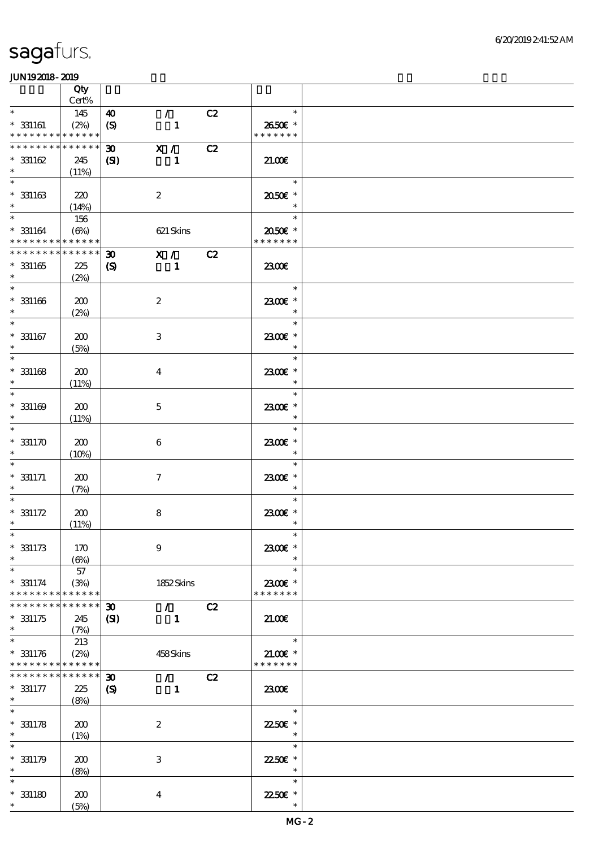|                                                        | Qty             |                                                    |        |                          |  |
|--------------------------------------------------------|-----------------|----------------------------------------------------|--------|--------------------------|--|
|                                                        | Cert%           |                                                    |        |                          |  |
| $\ast$                                                 | 145             | $\mathcal{T}$<br>40                                | C2     | $\ast$                   |  |
| $* 331161$<br>* * * * * * * * <mark>* * * * * *</mark> | (2%)            | $\boldsymbol{S}$<br>$\mathbf{1}$                   |        | 2650€ *<br>* * * * * * * |  |
| * * * * * * * *                                        | * * * * * *     | X /<br>$\boldsymbol{\mathfrak{D}}$                 | C2     |                          |  |
| $* 331162$                                             | 245             | (S)<br>1                                           |        | 21.00E                   |  |
| $\ast$                                                 | (11%)           |                                                    |        |                          |  |
| $\ast$                                                 |                 |                                                    |        | $\ast$                   |  |
| $* 331163$                                             | 220             | $\boldsymbol{2}$                                   |        | 2050€ *                  |  |
| $\ast$<br>$\overline{\ast}$                            | (14%)           |                                                    |        |                          |  |
|                                                        | 156             |                                                    |        | $\ast$                   |  |
| $* 331164$<br>* * * * * * * * * * * * * *              | $(\Theta\%)$    | 621 Skins                                          |        | 2050E *<br>* * * * * * * |  |
| * * * * * * * *                                        | * * * * * *     | $\boldsymbol{\mathfrak{D}}$                        | X / C2 |                          |  |
| $*331165$                                              | 225             | $\boldsymbol{S}$<br>$\mathbf{1}$                   |        | 2300€                    |  |
| $\ast$                                                 | (2%)            |                                                    |        |                          |  |
| $\ast$                                                 |                 |                                                    |        | $\ast$                   |  |
| $* 331166$                                             | 200             | $\boldsymbol{2}$                                   |        | 2300€ *                  |  |
| $\ast$                                                 | (2%)            |                                                    |        | $\ast$                   |  |
| $\ast$                                                 |                 |                                                    |        | $\ast$                   |  |
| $* 331167$<br>$\ast$                                   | 200<br>(5%)     | $\ensuremath{\mathbf{3}}$                          |        | 2300€ *<br>$\ast$        |  |
| $\ast$                                                 |                 |                                                    |        | $\ast$                   |  |
| $* 331168$                                             | 200             | $\overline{\mathbf{4}}$                            |        | 2300€ *                  |  |
| $\ast$                                                 | (11%)           |                                                    |        | $\ast$                   |  |
| $\ast$                                                 |                 |                                                    |        | $\ast$                   |  |
| $* 331169$                                             | 200             | $\mathbf 5$                                        |        | 2300€ *                  |  |
| $\ast$<br>$\ast$                                       | (11%)           |                                                    |        | $\ast$                   |  |
|                                                        |                 |                                                    |        | $\ast$                   |  |
| $*331170$<br>$\ast$                                    | 200<br>(10%)    | $\boldsymbol{6}$                                   |        | 2300€ *<br>$\ast$        |  |
|                                                        |                 |                                                    |        | $\ast$                   |  |
| $* 331171$                                             | 200             | $\tau$                                             |        | 2300E *                  |  |
| $\ast$                                                 | (7%)            |                                                    |        | $\ast$                   |  |
|                                                        |                 |                                                    |        | $\ast$                   |  |
| $* 331172$                                             | 200             | $\bf 8$                                            |        | 2300€ *                  |  |
| $\ast$<br>$*$                                          | (11%)           |                                                    |        | $\ast$<br>$\ast$         |  |
| $* 331173$                                             | 170             | $\boldsymbol{9}$                                   |        | 2300€ *                  |  |
| $\ast$                                                 | (6%)            |                                                    |        | $\ast$                   |  |
| $\ast$                                                 | 57              |                                                    |        | $\ast$                   |  |
| $* 331174$                                             | (3%)            | 1852Skins                                          |        | 2300€ *                  |  |
| * * * * * * * * <mark>* * * * * *</mark> *             |                 |                                                    |        | * * * * * * *            |  |
| * * * * * * * *                                        | $* * * * * * *$ | 30 <sub>o</sub><br>$\mathcal{F}$ and $\mathcal{F}$ | C2     |                          |  |
| $*331175$<br>$\ast$                                    | 245             | (S)<br>$\mathbf{1}$                                |        | 21.00                    |  |
| $\ast$                                                 | (7%)<br>213     |                                                    |        | $\ast$                   |  |
| $* 331176$                                             | (2%)            | 458Skins                                           |        | $21.00E$ *               |  |
| * * * * * * * * <mark>* * * * * *</mark> *             |                 |                                                    |        | * * * * * * *            |  |
| * * * * * * * * * * * * * *                            |                 | $\boldsymbol{\mathfrak{D}}$<br>$\mathcal{F}$       | C2     |                          |  |
| $* 331177$                                             | 225             | $\boldsymbol{\mathcal{S}}$<br>$\mathbf{1}$         |        | 2300                     |  |
| $*$                                                    | (8%)            |                                                    |        |                          |  |
| $\ast$                                                 |                 |                                                    |        | $\ast$                   |  |
| $* 331178$<br>$\ast$                                   | 200<br>(1%)     | $\boldsymbol{2}$                                   |        | 22.50€ *<br>$\ast$       |  |
| $\ast$                                                 |                 |                                                    |        | $\ast$                   |  |
| $* 331179$                                             | 200             | 3                                                  |        | 22.50E *                 |  |
| $\ast$                                                 | (8%)            |                                                    |        | $\ast$                   |  |
| $\ast$                                                 |                 |                                                    |        | $\ast$                   |  |
| $*331180$                                              | 200             | $\boldsymbol{4}$                                   |        | 22.50€ *                 |  |
| $*$                                                    | (5%)            |                                                    |        | $\ast$                   |  |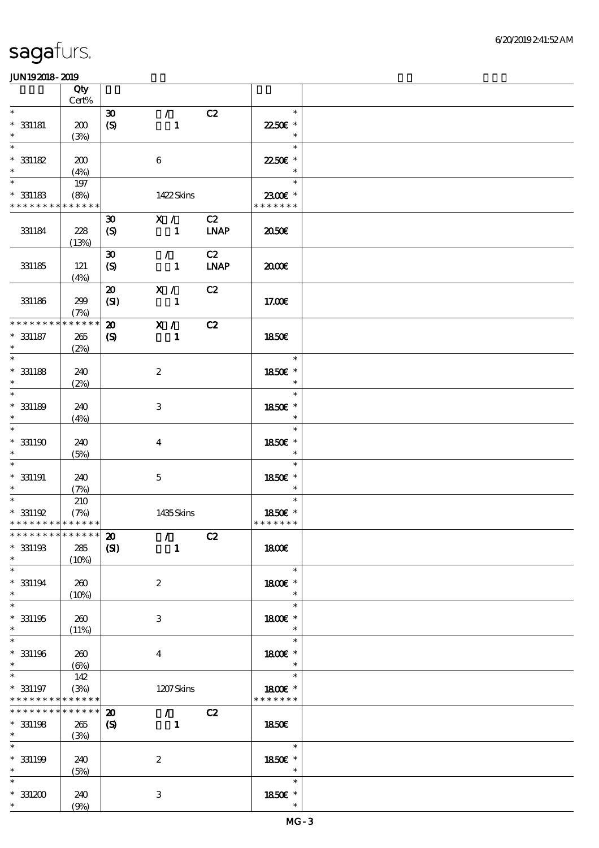|                             | Qty<br>$Cert\%$ |                             |                                 |             |               |  |
|-----------------------------|-----------------|-----------------------------|---------------------------------|-------------|---------------|--|
| $\ast$                      |                 |                             |                                 |             | $\ast$        |  |
|                             |                 | $\boldsymbol{\mathfrak{D}}$ | $\mathcal{L}$                   | C2          |               |  |
| $*$ 331181                  | 200             | $\boldsymbol{S}$            | $\mathbf{1}$                    |             | 22.50€ *      |  |
| $\ast$                      | (3%)            |                             |                                 |             | $\ast$        |  |
| $\ast$                      |                 |                             |                                 |             | $\ast$        |  |
| $* 331182$                  | 200             |                             | $\boldsymbol{6}$                |             | 22.50€ *      |  |
| $\ast$                      | (4%)            |                             |                                 |             | $\ast$        |  |
| $\ast$                      | 197             |                             |                                 |             | $\ast$        |  |
| $*331183$                   | (8%)            |                             | 1422Skins                       |             | 2300€ *       |  |
| * * * * * * * * * * * * * * |                 |                             |                                 |             | * * * * * * * |  |
|                             |                 |                             |                                 |             |               |  |
|                             |                 | $\boldsymbol{\mathfrak{D}}$ | X /                             | C2          |               |  |
| 331184                      | 228             | $\mathcal{S}$               | $\mathbf{1}$                    | <b>LNAP</b> | 2050€         |  |
|                             | (13%)           |                             |                                 |             |               |  |
|                             |                 | $\boldsymbol{\mathfrak{D}}$ | $\mathcal{L}$                   | C2          |               |  |
| 331185                      | 121             | $\boldsymbol{S}$            | $\mathbf{1}$                    | <b>LNAP</b> | 2000          |  |
|                             | (4%)            |                             |                                 |             |               |  |
|                             |                 | $\boldsymbol{\mathfrak{D}}$ | X / C                           | C2          |               |  |
| 331186                      | 299             | (SI)                        | $\mathbf{1}$                    |             | 17.00E        |  |
|                             | (7%)            |                             |                                 |             |               |  |
| * * * * * * * * * * * * * * |                 | $\boldsymbol{\mathfrak{D}}$ | $\overline{\mathbf{x}}$ /       | C2          |               |  |
|                             |                 |                             |                                 |             |               |  |
| $* 331187$                  | 265             | $\boldsymbol{\mathrm{(S)}}$ | $\blacksquare$                  |             | 1850E         |  |
| $\ast$                      | (2%)            |                             |                                 |             |               |  |
| $\ast$                      |                 |                             |                                 |             | $\ast$        |  |
| $*$ 331188                  | 240             |                             | $\boldsymbol{z}$                |             | 1850€ *       |  |
| $\ast$                      | (2%)            |                             |                                 |             | $\ast$        |  |
| $\ast$                      |                 |                             |                                 |             | $\ast$        |  |
| $* 331189$                  | 240             |                             | 3                               |             | 1850E *       |  |
| $\ast$                      | (4%)            |                             |                                 |             | $\ast$        |  |
| $\ast$                      |                 |                             |                                 |             | $\ast$        |  |
| $*331190$                   | 240             |                             | $\overline{\mathbf{4}}$         |             | 1850€ *       |  |
| $\ast$                      |                 |                             |                                 |             | $\ast$        |  |
| $\ast$                      | (5%)            |                             |                                 |             | $\ast$        |  |
|                             |                 |                             |                                 |             |               |  |
| $*$ 331191                  | 240             |                             | $\mathbf{5}$                    |             | 1850E *       |  |
| $\ast$                      | (7%)            |                             |                                 |             | $\ast$        |  |
| $\ast$                      | 210             |                             |                                 |             | $\ast$        |  |
| $*331192$                   | (7%)            |                             | 1435Skins                       |             | 1850E *       |  |
| * * * * * * * * * * * * * * |                 |                             |                                 |             | * * * * * * * |  |
| ***************** 20        |                 |                             | $\sqrt{C^2}$                    |             |               |  |
| $*331193$                   | 285             | (S)                         | $\sim$ 1                        |             | 1800E         |  |
| $\ast$                      | (10%)           |                             |                                 |             |               |  |
| $\ast$                      |                 |                             |                                 |             | $\ast$        |  |
| $* 331194$                  | 260             |                             | $\boldsymbol{z}$                |             | 1800€ *       |  |
| $\ast$                      | (10%)           |                             |                                 |             | $\ast$        |  |
| $\ast$                      |                 |                             |                                 |             | $\ast$        |  |
| $*331195$                   | 260             |                             | 3                               |             | 1800E *       |  |
| $\ast$                      | (11%)           |                             |                                 |             | $\ast$        |  |
| $\ast$                      |                 |                             |                                 |             | $\ast$        |  |
|                             |                 |                             |                                 |             |               |  |
| $*331196$                   | 260             |                             | $\overline{4}$                  |             | 1800€ *       |  |
| $\ast$                      | (6%)            |                             |                                 |             | $\ast$        |  |
| $\ast$                      | 142             |                             |                                 |             | $\ast$        |  |
| $*$ 331197                  | (3%)            |                             | 1207Skins                       |             | 1800€ *       |  |
| * * * * * * * * * * * * * * |                 |                             |                                 |             | * * * * * * * |  |
| * * * * * * * *             | $******$        | $\boldsymbol{\mathfrak{D}}$ | $\mathcal{F}$ and $\mathcal{F}$ | C2          |               |  |
| $*$ 331198                  | 265             | $\boldsymbol{\mathrm{(S)}}$ | $\blacksquare$                  |             | 1850E         |  |
| $\ast$                      | (3%)            |                             |                                 |             |               |  |
| $\overline{\ast}$           |                 |                             |                                 |             | $\ast$        |  |
| $* 331199$                  | 240             |                             | $\boldsymbol{2}$                |             | 1850E *       |  |
| $\ast$                      | (5%)            |                             |                                 |             | $\ast$        |  |
| $\ast$                      |                 |                             |                                 |             | $\ast$        |  |
| $*331200$                   | 240             |                             | $\ensuremath{\mathbf{3}}$       |             | 1850E *       |  |
| $*$ $*$                     |                 |                             |                                 |             | $\ast$        |  |
|                             | (9%)            |                             |                                 |             |               |  |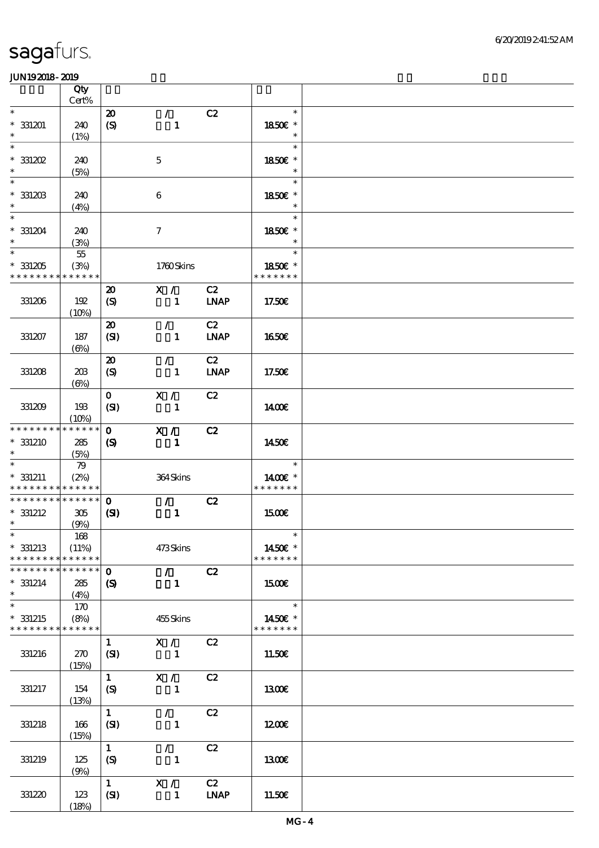|                                                                  | Qty<br>Cert%                |                                                            |                                           |                   |                                    |  |
|------------------------------------------------------------------|-----------------------------|------------------------------------------------------------|-------------------------------------------|-------------------|------------------------------------|--|
| $\ast$                                                           |                             | $\boldsymbol{\mathfrak{D}}$                                | $\mathcal{L}$                             | C2                | $\ast$                             |  |
| $*331201$<br>$\ast$                                              | 240<br>(1%)                 | $\boldsymbol{S}$                                           | $\mathbf{1}$                              |                   | 1850€ *<br>$\ast$                  |  |
| $\ast$<br>$*331202$<br>$\ast$                                    | 240                         |                                                            | $\mathbf{5}$                              |                   | $\ast$<br>1850€ *<br>$\ast$        |  |
| $\ast$<br>$*331203$                                              | (5%)<br>240                 |                                                            | 6                                         |                   | $\ast$<br>1850E *                  |  |
| $\ast$<br>$\ast$                                                 | (4%)                        |                                                            |                                           |                   | $\ast$<br>$\ast$                   |  |
| $*331204$<br>$\ast$<br>$\overline{\ast}$                         | 240<br>(3%)<br>$5\!5$       |                                                            | $\tau$                                    |                   | 1850E *<br>$\ast$<br>$\ast$        |  |
| $*331205$<br>* * * * * * * *                                     | (3%)<br>* * * * * *         |                                                            | 1760Skins                                 |                   | 1850€ *<br>* * * * * * *           |  |
| 331206                                                           | 192<br>(10%)                | $\boldsymbol{\mathfrak{D}}$<br>$\boldsymbol{\mathrm{(S)}}$ | X /<br>$\blacksquare$                     | C2<br><b>LNAP</b> | 17.50€                             |  |
| 331207                                                           | 187<br>$(\Theta\% )$        | $\boldsymbol{\mathfrak{D}}$<br>(SI)                        | $\mathcal{L}$<br>$\mathbf{1}$             | C2<br><b>LNAP</b> | 1650€                              |  |
| 331208                                                           | 20B<br>$(\Theta)$           | $\boldsymbol{\mathfrak{D}}$<br>(S)                         | $\mathcal{F}$<br>$\mathbf{1}$             | C2<br><b>LNAP</b> | 17.50€                             |  |
| 331209                                                           | 193<br>(10%)                | $\mathbf{O}$<br>(SI)                                       | X /<br>$\mathbf{1}$                       | C2                | 1400E                              |  |
| * * * * * * * *<br>* 331210                                      | * * * * * *<br>285<br>(5%)  | $\mathbf{o}$<br>$\boldsymbol{S}$                           | X /<br>$\mathbf{1}$                       | C2                | 1450€                              |  |
| $\ast$<br>$* 331211$<br>* * * * * * * * <mark>* * * * * *</mark> | 79<br>(2%)                  |                                                            | 364Skins                                  |                   | $\ast$<br>1400€ *<br>* * * * * * * |  |
| * * * * * * * * * * * * * * *<br>$*$ 331212<br>$\ast$            | 305<br>(9%)                 | $\mathbf{O}$<br>(S)                                        | $\mathcal{T}=\mathcal{I}$<br>$\mathbf{1}$ | C2                | <b>1500€</b>                       |  |
| $*$<br>$*$ 331213<br>* * * * * * * *                             | 168<br>(11%)<br>* * * * * * |                                                            | 473Skins                                  |                   | $\ast$<br>1450€ *<br>* * * * * * * |  |
| * * * * * * * *<br>$* 331214$<br>$\ast$                          | * * * * * *<br>285<br>(4%)  | $\mathbf{O}$<br>$\boldsymbol{\mathcal{S}}$                 | $\mathcal{F}^{\pm}$<br>$\mathbf{1}$       | C2                | <b>1500€</b>                       |  |
| $\ast$<br>$*$ 331215<br>* * * * * * * * * * * * * *              | 170<br>(8%)                 |                                                            | 455Skins                                  |                   | $\ast$<br>1450€ *<br>* * * * * * * |  |
| 331216                                                           | 270<br>(15%)                | $\mathbf{1}$<br>(SI)                                       | X /<br>$\mathbf{1}$                       | C2                | 11.50€                             |  |
| 331217                                                           | 154<br>(13%)                | $\mathbf{1}$<br>(S)                                        | X /<br>$\mathbf{1}$                       | C2                | 1300E                              |  |
| 331218                                                           | 166<br>(15%)                | $\mathbf{1}$<br>(SI)                                       | $\mathcal{L}$<br>$\mathbf{1}$             | C2                | 1200                               |  |
| 331219                                                           | 125<br>(9%)                 | $\mathbf{1}$<br>(S)                                        | $\mathcal{L}$<br>$\mathbf{1}$             | C2                | 1300E                              |  |
| 331220                                                           | 123<br>(18%)                | $\mathbf{1}$<br>(SI)                                       | X /<br>$\mathbf{1}$                       | C2<br><b>LNAP</b> | 11.50E                             |  |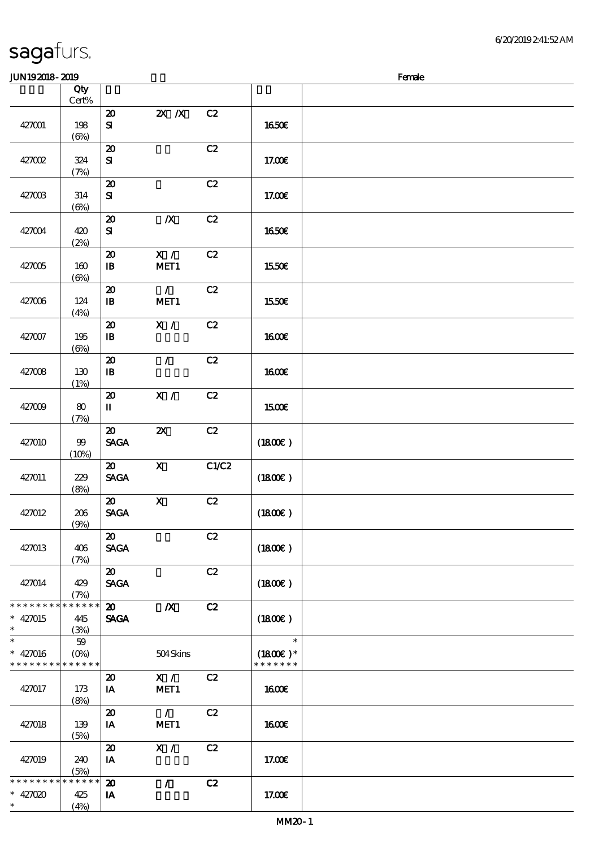| JUN192018-2019                                                     |                            |                                                          |                           |       |                                       | Female |
|--------------------------------------------------------------------|----------------------------|----------------------------------------------------------|---------------------------|-------|---------------------------------------|--------|
|                                                                    | Qty<br>$Cert\%$            |                                                          |                           |       |                                       |        |
| 427001                                                             | 198<br>$(\Theta)$          | $\boldsymbol{\mathbf{z}}$<br>${\bf s}$                   | $X$ $N$                   | C2    | 1650€                                 |        |
| 427002                                                             | 324<br>(7%)                | $\boldsymbol{\mathfrak{D}}$<br>$\mathbf{S}$              |                           | C2    | 17.00E                                |        |
| 427003                                                             | 314<br>$(\Theta)$          | $\boldsymbol{\mathsf{20}}$<br>${\bf S\!I}$               |                           | C2    | 17.00€                                |        |
| 427004                                                             | 420<br>(2%)                | $\boldsymbol{\mathbf{z}}$<br>$\mathbf{S}$                | $\boldsymbol{X}$          | C2    | 1650€                                 |        |
| 427005                                                             | 160<br>$(\Theta)$          | $\boldsymbol{\mathfrak{D}}$<br>$\mathbf{B}$              | X /<br>MET1               | C2    | 1550€                                 |        |
| 427006                                                             | 124<br>(4%)                | $\boldsymbol{\mathsf{20}}$<br>$\mathbf{B}$               | $\mathcal{L}$<br>MET1     | C2    | 1550€                                 |        |
| 427007                                                             | 195<br>(6%)                | $\boldsymbol{\mathsf{20}}$<br>$\, {\bf I} \! {\bf B} \,$ | $\mathbf{X}$ /            | C2    | <b>1600€</b>                          |        |
| 427008                                                             | 130<br>(1%)                | $\boldsymbol{\mathfrak{D}}$<br>$\mathbf{B}$              | $\mathcal{L}$             | C2    | 1600€                                 |        |
| 427009                                                             | 80<br>(7%)                 | $\boldsymbol{\mathbf{z}}$<br>$\mathbf u$                 | X /                       | C2    | 1500€                                 |        |
| 427010                                                             | 99<br>(10%)                | $\boldsymbol{\mathfrak{D}}$<br><b>SAGA</b>               | $\boldsymbol{\mathsf{z}}$ | C2    | (1800)                                |        |
| 427011                                                             | 229<br>(8%)                | $\boldsymbol{\mathfrak{D}}$<br><b>SAGA</b>               | $\boldsymbol{\mathsf{X}}$ | C1/C2 | (1800)                                |        |
| 427012                                                             | 206<br>(9%)                | $\boldsymbol{\mathfrak{D}}$<br><b>SAGA</b>               | $\mathbf X$               | C2    | (1800)                                |        |
| 427013                                                             | 406<br>(7%)                | $\boldsymbol{\mathfrak{D}}$<br><b>SAGA</b>               |                           | C2    | (1800)                                |        |
| 427014                                                             | 429<br>(7%)                | $\boldsymbol{\mathfrak{D}}$<br><b>SAGA</b>               |                           | C2    | (1800)                                |        |
| * * * * * * * *<br>$* 427015$<br>$\ast$                            | * * * * * *<br>445<br>(3%) | $\boldsymbol{\mathsf{20}}$<br><b>SAGA</b>                | $\boldsymbol{X}$          | C2    | (1800)                                |        |
| $\ast$<br>$* 427016$<br>* * * * * * * * <mark>* * * * * * *</mark> | $59\,$<br>$(O\% )$         |                                                          | 504Skins                  |       | $\ast$<br>$(1800)$ *<br>* * * * * * * |        |
| 427017                                                             | 173<br>(8%)                | $\boldsymbol{\mathfrak{D}}$<br>IA                        | X /<br>MET <sub>1</sub>   | C2    | 1600E                                 |        |
| 427018                                                             | 139<br>(5%)                | $\boldsymbol{\mathsf{20}}$<br>IA                         | $\mathcal{L}$<br>MET1     | C2    | <b>1600€</b>                          |        |
| 427019                                                             | 240<br>(5%)                | $\boldsymbol{\mathfrak{D}}$<br>IA                        | X /                       | C2    | 17.00E                                |        |
| * * * * * * *<br>$* 427020$<br>$\ast$                              | * * * * * *<br>425<br>(4%) | $\boldsymbol{\mathbf{z}}$<br>IA                          | $\mathcal{L}$             | C2    | 17.00E                                |        |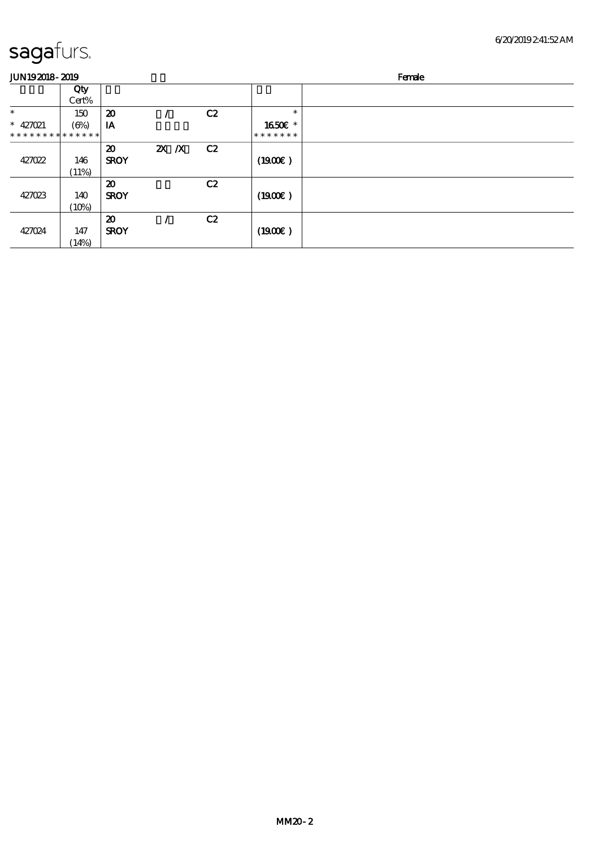| <b>JUN192018-2019</b>         |                      |                                            |         |    |                          | Female |  |  |
|-------------------------------|----------------------|--------------------------------------------|---------|----|--------------------------|--------|--|--|
|                               | Qty<br>Cert%         |                                            |         |    |                          |        |  |  |
| $\ast$                        | 150                  | $\boldsymbol{\mathfrak{D}}$                |         | C2 | $\ast$                   |        |  |  |
| * $427021$<br>* * * * * * * * | $(\Theta)$<br>****** | IA                                         |         |    | 1650E *<br>* * * * * * * |        |  |  |
| 427022                        | 146<br>(11%)         | $\boldsymbol{\mathfrak{D}}$<br><b>SROY</b> | $X$ $N$ | C2 | (1900)                   |        |  |  |
| 427023                        | 140<br>(10%)         | $\boldsymbol{\mathbf{z}}$<br><b>SROY</b>   |         | C2 | (1900E)                  |        |  |  |
| 427024                        | 147<br>(14%)         | $\boldsymbol{\mathbf{z}}$<br><b>SROY</b>   |         | C2 | (1900)                   |        |  |  |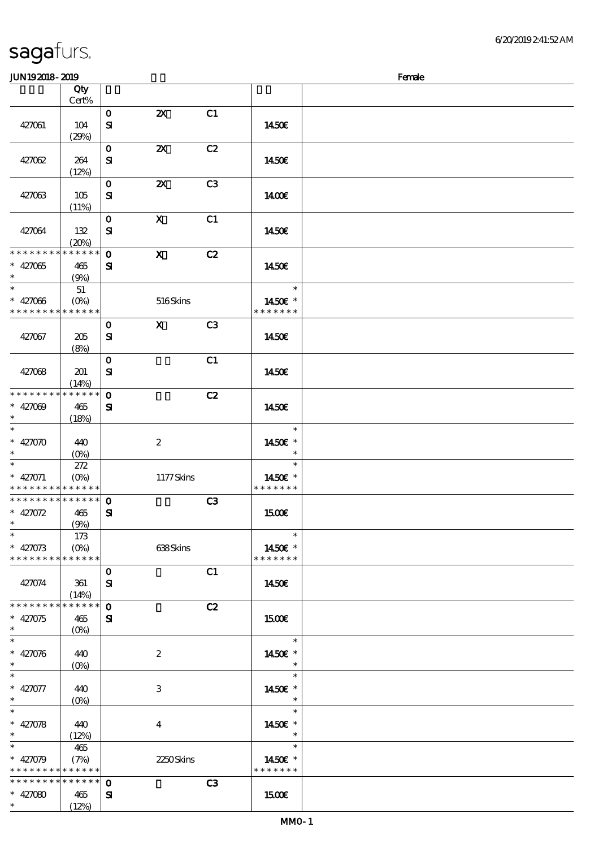| sagafurs. |  |
|-----------|--|
|           |  |

#### JUNI9 2018 - 2019 - 2019 - 2019 - 2019 - 2019 - 2019 - 2019 - 2019 - 2019 - 2019 - 2019 - 2019 - 2019 - 2019 -

| ~~ <u>~~~~~</u> ~~~                        |             |              |                           |                |                   | $\sim$ |
|--------------------------------------------|-------------|--------------|---------------------------|----------------|-------------------|--------|
|                                            | Qty         |              |                           |                |                   |        |
|                                            | Cert%       |              |                           |                |                   |        |
|                                            |             | $\mathbf{o}$ | $\boldsymbol{\mathsf{Z}}$ | C1             |                   |        |
| 427061                                     | 104         | ${\bf s}$    |                           |                | 1450€             |        |
|                                            | (29%)       |              |                           |                |                   |        |
|                                            |             | $\mathbf{O}$ | $\boldsymbol{\mathsf{Z}}$ | C2             |                   |        |
| 427062                                     | 264         | ${\bf s}$    |                           |                | 1450€             |        |
|                                            | (12%)       |              |                           |                |                   |        |
|                                            |             | $\mathbf{o}$ | $\boldsymbol{\mathsf{z}}$ | C <sub>3</sub> |                   |        |
| 427063                                     | 105         | ${\bf s}$    |                           |                | 1400E             |        |
|                                            | (11%)       |              |                           |                |                   |        |
|                                            |             | $\mathbf{o}$ | $\mathbf{x}$              | C1             |                   |        |
|                                            |             |              |                           |                |                   |        |
| 427064                                     | 132         | ${\bf s}$    |                           |                | 1450E             |        |
|                                            | (20%)       |              |                           |                |                   |        |
| * * * * * * * *                            | $******$    | $\mathbf 0$  | $\mathbf{x}$              | C2             |                   |        |
| $* 427065$                                 | 465         | ${\bf s}$    |                           |                | 1450€             |        |
| $*$                                        | (9%)        |              |                           |                |                   |        |
| $\overline{\phantom{0}}$                   | 51          |              |                           |                | $\ast$            |        |
| $* 427066$                                 |             |              | 516Skins                  |                | 1450€ *           |        |
| * * * * * * * * <mark>* * * * * *</mark> * |             |              |                           |                | * * * * * * *     |        |
|                                            |             | $\mathbf{O}$ | $\mathbf{x}$              | C <sub>3</sub> |                   |        |
| 427067                                     | 205         | ${\bf s}$    |                           |                | 1450E             |        |
|                                            | (8%)        |              |                           |                |                   |        |
|                                            |             | $\mathbf{O}$ |                           | C1             |                   |        |
| 427068                                     | 201         | ${\bf s}$    |                           |                | 1450€             |        |
|                                            | (14%)       |              |                           |                |                   |        |
| * * * * * * * *                            | * * * * * * | $\mathbf 0$  |                           | C2             |                   |        |
| $* 427009$                                 | 465         | ${\bf s}$    |                           |                | 1450E             |        |
| $\ast$                                     | (18%)       |              |                           |                |                   |        |
| $\overline{\ast}$                          |             |              |                           |                | $\ast$            |        |
| $* 42000$                                  |             |              |                           |                |                   |        |
| $\ast$                                     | 440         |              | $\boldsymbol{2}$          |                | 1450€ *<br>$\ast$ |        |
|                                            | $(0\%)$     |              |                           |                | $\ast$            |        |
|                                            | 272         |              |                           |                |                   |        |
| $* 427071$                                 | $(O\%)$     |              | 1177Skins                 |                | 1450€ *           |        |
| * * * * * * * *                            | * * * * * * |              |                           |                | * * * * * * *     |        |
| * * * * * * * * * * * * * * *              |             | $\mathbf{o}$ |                           | C3             |                   |        |
| $* 42072$                                  | 465         | ${\bf s}$    |                           |                | 1500€             |        |
| $\ast$                                     | (9%)        |              |                           |                |                   |        |
| $\ast$                                     | 173         |              |                           |                | $\ast$            |        |
| $* 427073$                                 |             |              | 638Skins                  |                | 1450€ *           |        |
| * * * * * * * *                            | * * * * * * |              |                           |                | * * * * * * *     |        |
|                                            |             | $\mathbf 0$  |                           | C1             |                   |        |
| 427074                                     | 361         | ${\bf S}$    |                           |                | 1450E             |        |
|                                            | (14%)       |              |                           |                |                   |        |
| * * * * * * * *                            | * * * * * * | $\mathbf{o}$ |                           | C2             |                   |        |
| $* 427075$                                 | 465         | ${\bf s}$    |                           |                | <b>1500€</b>      |        |
| $\ast$                                     | $(O\%)$     |              |                           |                |                   |        |
| $\ast$                                     |             |              |                           |                | $\ast$            |        |
| $* 42006$                                  | 440         |              | $\boldsymbol{2}$          |                | 1450€ *           |        |
| $\ast$                                     | $(O\%)$     |              |                           |                | $\ast$            |        |
| $\overline{\ast}$                          |             |              |                           |                | $\ast$            |        |
| $* 427077$                                 | 440         |              | 3                         |                | 1450€ *           |        |
| $\ast$                                     |             |              |                           |                | $\ast$            |        |
| $\ast$                                     | $(O\%)$     |              |                           |                | $\ast$            |        |
|                                            |             |              |                           |                |                   |        |
| $* 42008$                                  | 440         |              | $\boldsymbol{4}$          |                | 1450E *           |        |
| $\ast$                                     | (12%)       |              |                           |                | $\ast$            |        |
| $\ast$                                     | 465         |              |                           |                | $\ast$            |        |
| $* 42079$                                  | (7%)        |              | 2250Skins                 |                | 1450€ *           |        |
| * * * * * * * *                            | * * * * * * |              |                           |                | * * * * * * *     |        |
| * * * * * * * *                            | ******      | $\mathbf 0$  |                           | C <sub>3</sub> |                   |        |
| * $427080$                                 | 465         | ${\bf s}$    |                           |                | <b>1500€</b>      |        |
| $\ast$                                     | (12%)       |              |                           |                |                   |        |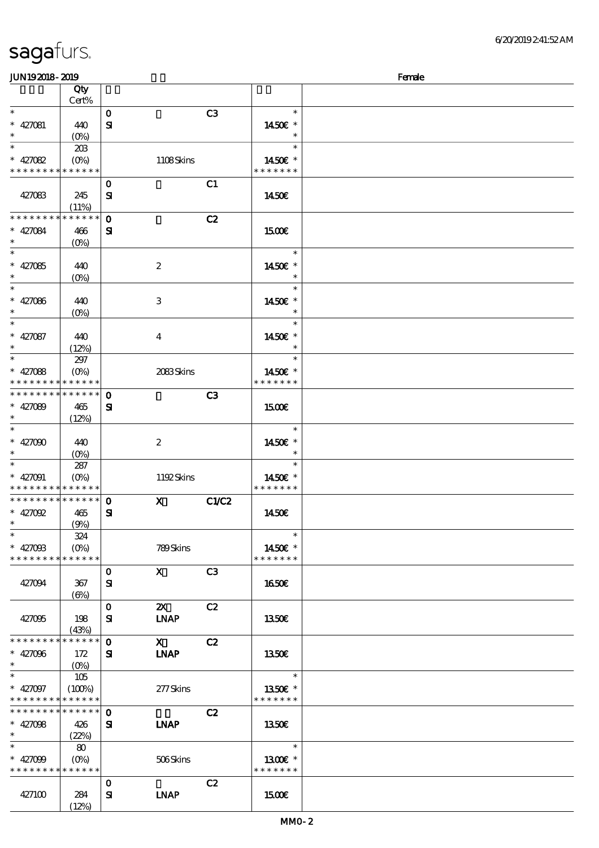$(12%)$ 

| <b>JUN192018-2019</b>       |                                 |              |                           |                |                          | Female |
|-----------------------------|---------------------------------|--------------|---------------------------|----------------|--------------------------|--------|
|                             | Qty                             |              |                           |                |                          |        |
| $\ast$                      | Cert%                           |              |                           |                |                          |        |
|                             |                                 | $\mathbf{o}$ |                           | C3             | $\ast$                   |        |
| $* 427081$<br>$\ast$        | 440                             | ${\bf s}$    |                           |                | 1450€ *<br>$\ast$        |        |
| $\ast$                      | $(O\%)$                         |              |                           |                | $\ast$                   |        |
| $* 427082$                  | 20B                             |              |                           |                |                          |        |
| * * * * * * * * * * * * * * | $(O\!\!\!\!\!\!\!/\,\!o)$       |              | 1108Skins                 |                | 1450€ *<br>* * * * * * * |        |
|                             |                                 | $\mathbf{o}$ |                           | C1             |                          |        |
| 427083                      | 245                             | ${\bf s}$    |                           |                | 1450E                    |        |
|                             | (11%)                           |              |                           |                |                          |        |
| * * * * * * * *             | * * * * * *                     | $\mathbf{o}$ |                           | C2             |                          |        |
| $* 427084$                  | 466                             | ${\bf s}$    |                           |                | 1500E                    |        |
| $\ast$                      | $(0\%)$                         |              |                           |                |                          |        |
| $\ast$                      |                                 |              |                           |                | $\ast$                   |        |
| $* 427085$                  | 440                             |              | $\boldsymbol{2}$          |                | 1450€ *                  |        |
| $\ast$                      | $(O\!\!\!\!\!\!\backslash\rho)$ |              |                           |                | $\ast$                   |        |
| $\ast$                      |                                 |              |                           |                | $\ast$                   |        |
| $* 427086$                  | 440                             |              | $\,3$                     |                | 1450€ *                  |        |
| $\ast$                      | $(0\%)$                         |              |                           |                | $\ast$                   |        |
| $\ast$                      |                                 |              |                           |                | $\ast$                   |        |
| $* 427087$                  | 440                             |              | $\bf{4}$                  |                | 1450€ *                  |        |
| $\ast$                      | (12%)                           |              |                           |                | $\ast$                   |        |
| $\overline{\ast}$           | 297                             |              |                           |                | $\ast$                   |        |
| $* 427088$                  | (O <sub>0</sub> )               |              | 2083Skins                 |                | 1450€ *                  |        |
| * * * *                     | * * * * * *                     |              |                           |                | * * * * * * *            |        |
| * * * * * * * *             | * * * * * *                     | $\mathbf{o}$ |                           | C3             |                          |        |
| $* 427089$                  | 465                             | ${\bf s}$    |                           |                | <b>1500€</b>             |        |
| $\ast$                      | (12%)                           |              |                           |                |                          |        |
| $\ast$                      |                                 |              |                           |                | $\ast$                   |        |
| * $427000$                  | 440                             |              | $\boldsymbol{2}$          |                | 1450€ *                  |        |
| $\ast$                      | $(O\%)$                         |              |                           |                | $\ast$                   |        |
| $\ast$                      | 287                             |              |                           |                | $\ast$                   |        |
| $* 427091$                  | $(O\%)$                         |              | 1192Skins                 |                | 1450 €*                  |        |
| * * * * * * * *             | * * * * * *                     |              |                           |                | * * * * * * *            |        |
| * * * * * * * *             | * * * * * *                     | $\mathbf 0$  | $\mathbf{x}$              | C1/C2          |                          |        |
| $* 427092$                  | 465                             | ${\bf s}$    |                           |                | 1450E                    |        |
| ∗                           | (9%)                            |              |                           |                |                          |        |
| $\ast$                      | 324                             |              |                           |                | $\ast$                   |        |
| $* 427008$                  | $(O\!\!\!\!\!\!\!/\,\!o)$       |              | 789Skins                  |                | 1450€ *                  |        |
| * * * * * * * * * * * * * * |                                 |              |                           |                | * * * * * * *            |        |
|                             |                                 | $\mathbf 0$  | $\mathbf{X}$              | C <sub>3</sub> |                          |        |
| 427094                      | 367                             | ${\bf s}$    |                           |                | 1650€                    |        |
|                             | (6%)                            |              |                           |                |                          |        |
|                             |                                 | $\mathbf{o}$ | $\boldsymbol{\mathsf{Z}}$ | C2             |                          |        |
| 427095                      | 198                             | ${\bf s}$    | <b>INAP</b>               |                | <b>1350€</b>             |        |
|                             | (43%)                           |              |                           |                |                          |        |
| * * * * * * * *             | * * * * * *                     | $\mathbf 0$  | $\mathbf{X}$              | C2             |                          |        |
| $* 427096$                  | 172                             | ${\bf s}$    | <b>INAP</b>               |                | 1350€                    |        |
| $\ast$                      | $(O\%)$                         |              |                           |                |                          |        |
| $\ast$                      | 105                             |              |                           |                | $\ast$                   |        |
| * $427097$                  | (100%)                          |              | 277Skins                  |                | 1350€ *                  |        |
| * * * * * * * *             | * * * * * *                     |              |                           |                | * * * * * * *            |        |
| * * * * * * * *             | * * * * * *                     | $\mathbf 0$  |                           | C2             |                          |        |
| $* 427098$                  | 426                             | ${\bf s}$    | <b>INAP</b>               |                | 1350€                    |        |
| $\ast$                      | (22%)                           |              |                           |                |                          |        |
| $\ast$                      | 80                              |              |                           |                | $\ast$                   |        |
| * $427099$                  | $(O\!\!\!\!\!\!\!/\,\!o)$       |              | 506Skins                  |                | 1300€ *                  |        |
| * * * * * * * * * * * * * * |                                 |              |                           |                | * * * * * * *            |        |
|                             |                                 | 0            |                           | C2             |                          |        |
| 427100                      | 284                             | ${\bf s}$    | <b>INAP</b>               |                | 1500€                    |        |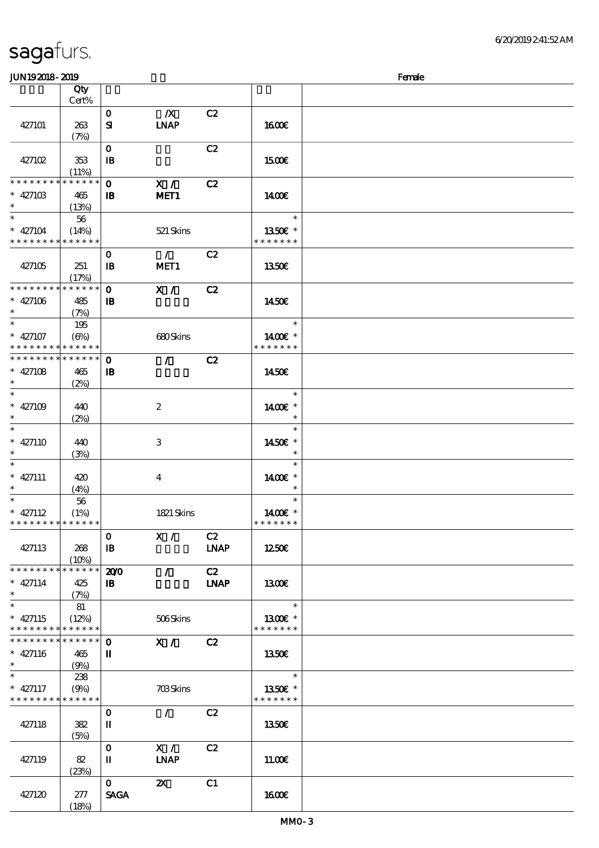| sagafurs. |  |
|-----------|--|
|           |  |

顺序号 Qty Cert%

(23%)

 $0 \t\t 2X \t\t C1$ 

 $SAGA$  1600 $\varepsilon$ 

(18%)

427120 277

#### 427101 263  $(7%)$ 0 浅/X浅 C2  $SI$  INAP 16.00€ 427102 353 (11%) 0 全部 C2  $\Box$  I5.00 $\epsilon$  $0$  X/ C2 IB MET1 **\* \* \* \* \* \* \* \* \* \* \* \* \*** \* \* 427103 465 (13%) 14.00€ \* \* 427104 \* \* \* \* \* \* \* \* \* \* \* \* 56 (14%) 521 Skins \* \* 13.50€ \* \* \* \* \* \* \* 427105 251 (17%) 0 / C2 IB MET1 13.50€ 0 X / C2  $\mathbf{B}$ **\* \* \* \* \* \* \* \* \* \* \* \* \* \*** \* \* 427106 485 (7%) 14.50€ \* \* 427107 \* \* \* \* \* \* \* \* \* \* \* \* \* 195  $(6\%)$  680 Skins \* 1400€ \* \* \* \* \* \* \* \* 0 / C2  $\mathbf{B}$ **\* \* \* \* \* \* \* \* \* \* \* \* \* \* \*** \* 427108 465 \* (2%) 14.50€ \* \* \* 427109 440 (2%) 2 \* 1400€ \* \* \* \* \* 427110 440 (3%) 3 \* \* 14.50€ \* \* \* \* 427111 420  $(4%)$ 4 \* 1400€ \* \* \* \* 427112 \* \* \* \* \* \* \* \* <mark>\* \* \* \* \*</mark> 56 (1%) 1821 Skins \* 1400€ \* \* \* \* \* \* \* \* 427113 268  $(10%)$  $0$  X / C2  $IB$  LNAP  $12.50\epsilon$ 200 / C2 IB 身体咬伤 LNAP \* \* \* \* \* \* \* \* \* \* \* \* \* \* \* \* 427114 425 (7%) 13<sub>00€</sub> \* \* 427115 \* \* \* \* \* \* \* \* \* \* \* \* \* 81  $(12%)$  506 Skins \* 1300€ \* \* \* \* \* \* \* \* 0 X / C2 II \* \* \* \* \* \* \* \* \* \* \* \* \* \* \* 427116 465 \*  $(9%)$  13.50€ \* \* 427117 \* \* \* \* \* \* \* \* \* \* \* \* \* \* 238  $(9%)$  703 Skins \* \* 13.50€ \* \* \* \* \* \* \* 427118 382  $(5%)$ 0 / C2  $II$  1350€ 427119 82  $0$  X / C2  $II$  INAP  $11.00\epsilon$

JUN192018-2019 Female

说明 价格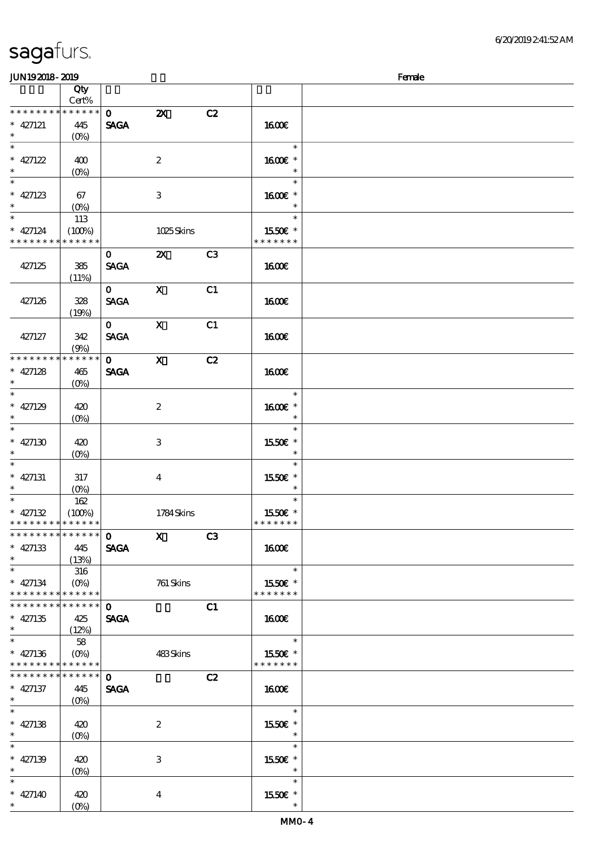| <b>saga</b> furs. |  |
|-------------------|--|
|                   |  |

\* \*

\*

\*

\* \*

\*

\*

\*

\*

\*

\*

\*

\*

\*

\*

\* 427140 420

(0%)

4

顺序号 Qty

#### Cert%  $0$   $2X$   $C2$ SAGA \* \* \* \* \* \* \* \* \* \* \* \* \* \* 427121 445  $(0%)$  16.00€ \* \* 427122 400 (0%) 2 \* 1600€ \* \* \* \* 427123 67 (0%) 3 \* 1600€ \* \* \* \* 427124 \* \* \* \* \* \* \* \* \* \* \* \* \* 113  $(100%)$  1025 Skins \* \* 15.50€ \* \* \* \* \* \* \* 427125 385  $(11%)$ 0 2X C3 SAGA 1600€ 427126 328 (19%) 0 X C1 SAGA 1600€ 427127 342  $(9%)$ 0 X C1  $SAGA$  16.00€  $\overline{0}$  x  $\overline{C}$ SAGA **\* \* \* \* \* \* \* \* \* \* \* \*** 427128 465 (0%) **160€** \* \* 427129 420 (0%) 2 \* 1600€ \* \* \* 427130 420 (0%) 3 \* \* \* 15.50€ \* \* 427131 317  $(Q_0)$ 4 \* \* 15.50€ \* \* \* 427132 \* \* \* \* \* \* \* \* \* \* \* \* \* \* 162  $(100%)$  1784 Skins \* \* 15.50€ \* \* \* \* \* \* \*  $\overline{\text{O}}$  X C3 SAGA \* \* \* \* \* \* \* \* \* \* \* \* \* \* \* 427133 445 (13%) 16.00€ \* \* 427134 \* \* \* \* \* \* \* \* \* \* \* \* \* 316 (0%) 761 Skins \* \* 15.50€ \* \* \* \* \* \* \*  $\mathbf{0}$  C1 SAGA \* \* \* \* \* \* \* \* \* \* \* \* \* \* \* 427135 425 (12%) 16.00€ \* \* 427136 \* \* \* \* \* \* \* \* <mark>\* \* \* \* \*</mark> 58  $(0%)$  483 Skins \* \* 15.50€ \* \* \* \* \* \* \*  $\overline{0}$  C<sub>2</sub> SAGA \* \* \* \* \* \* \* \* \* \* \* \* \* \* \* 427137 445 (0%) 16.00€ \* \* 427138 420 (0%) 2 \* \* 15.50€ \* \* \* 427139 420 (0%) 3 \* \* 15.50€ \* \*

JUN192018-2019 Female

说明 价格

\* \* 15.50€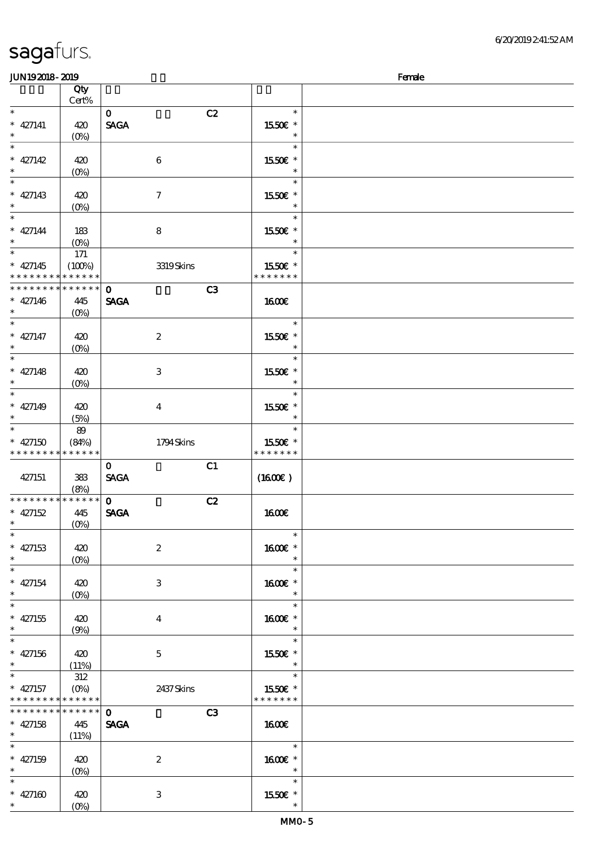| <b>JUN192018-2019</b>       |                                 |                         |                      | Female |
|-----------------------------|---------------------------------|-------------------------|----------------------|--------|
|                             | Qty                             |                         |                      |        |
|                             | Cert%                           |                         |                      |        |
| $\ast$                      |                                 | $\mathbf{o}$            | C2<br>$\ast$         |        |
| $* 427141$                  | 420                             | <b>SAGA</b>             | 1550E *              |        |
| $\ast$                      | (O <sub>0</sub> )               |                         | $\ast$               |        |
| $\overline{\ast}$           |                                 |                         | $\ast$               |        |
| $* 427142$                  | 420                             | $\bf 6$                 | 1550 £*              |        |
| $\ast$                      | $(0\%)$                         |                         | $\ast$               |        |
| $\ast$                      |                                 |                         | $\ast$               |        |
|                             |                                 |                         |                      |        |
| $* 427143$                  | 420                             | $\boldsymbol{\tau}$     | 1550E *              |        |
| $\ast$                      | $(O\%)$                         |                         | $\ast$               |        |
| $\ast$                      |                                 |                         | $\ast$               |        |
| $* 427144$                  | 183                             | $\bf8$                  | 1550€ *              |        |
| $\ast$                      | $(O\!/\!o)$                     |                         | $\ast$               |        |
| $\overline{\ast}$           | $171\,$                         |                         | $\ast$               |        |
| $* 427145$                  | (100%)                          | 3319Skins               | 1550E *              |        |
| * * * * * * * *             | * * * * * *                     |                         | * * * * * * *        |        |
| * * * * * * * *             | * * * * * *                     | $\mathbf{o}$            | C3                   |        |
| $* 427146$                  | 445                             | <b>SAGA</b>             | 1600E                |        |
| $\ast$                      | $(O\%)$                         |                         |                      |        |
| $\ast$                      |                                 |                         | $\ast$               |        |
| $* 427147$                  | 420                             | $\boldsymbol{z}$        | 1550€ *              |        |
| $\ast$                      | $(O\!/\!o)$                     |                         | $\ast$               |        |
| $\overline{\ast}$           |                                 |                         | $\ast$               |        |
|                             |                                 |                         |                      |        |
| $* 427148$                  | 420                             | 3                       | 1550E *              |        |
| $\ast$                      | $(O\%)$                         |                         | $\ast$               |        |
| $\ast$                      |                                 |                         | $\ast$               |        |
| $* 427149$                  | 420                             | $\overline{\mathbf{4}}$ | 1550E *              |        |
| $\ast$                      | (5%)                            |                         | $\ast$               |        |
| $\ast$                      | 89                              |                         | $\ast$               |        |
| $* 427150$                  | (84%)                           | 1794Skins               | 1550€ *              |        |
| * * * * * * * *             | * * * * * *                     |                         | * * * * * * *        |        |
|                             |                                 | $\mathbf 0$             | C1                   |        |
| 427151                      | 383                             | <b>SAGA</b>             | (1600E)              |        |
|                             | (8%)                            |                         |                      |        |
| * * * * * * * *             | $******$                        | $\mathbf{o}$            | C2                   |        |
| $* 427152$                  | 445                             | <b>SAGA</b>             | <b>1600€</b>         |        |
| $*$                         | (0%)                            |                         |                      |        |
| $\ast$                      |                                 |                         | $\ast$               |        |
| $* 427153$                  | 420                             | $\boldsymbol{2}$        | 1600€ *              |        |
| $\ast$                      | $(O\%)$                         |                         | $\ast$               |        |
| $\overline{\phantom{0}}$    |                                 |                         | $\ast$               |        |
|                             |                                 |                         |                      |        |
| $* 427154$                  | 420                             | 3                       | 1600 £*              |        |
| $\ast$<br>$\overline{\ast}$ | $(O\!\!\!\!\!\!\backslash\rho)$ |                         | $\ast$               |        |
|                             |                                 |                         | $\ast$               |        |
| $* 427155$                  | 420                             | $\bf{4}$                | 1600E *              |        |
| $\ast$                      | (9%)                            |                         | $\ast$               |        |
| $\ast$                      |                                 |                         | $\ast$               |        |
| $* 427156$                  | 420                             | $5\overline{)}$         | 1550E *              |        |
| $\ast$                      | (11%)                           |                         | $\ast$               |        |
| $\ast$                      | 312                             |                         | $\ast$               |        |
| $*$ 427157                  | $(O\!/\!\!\delta)$              | 2437Skins               | 1550€ *              |        |
| * * * * * * * * * * * * * * |                                 |                         | * * * * * * *        |        |
| * * * * * * * *             | * * * * * *                     | $\mathbf{o}$            | C3                   |        |
| $* 427158$                  | 445                             | <b>SAGA</b>             | $1600$ $\varepsilon$ |        |
| $\ast$                      | (11%)                           |                         |                      |        |
| $\ast$                      |                                 |                         | $\ast$               |        |
|                             |                                 |                         |                      |        |
| $* 427159$<br>$\ast$        | 420                             | $\boldsymbol{z}$        | 1600 £*<br>$\ast$    |        |
|                             | $(O\%)$                         |                         |                      |        |
| $\ast$                      |                                 |                         | $\ast$               |        |
| $* 427160$                  | 420                             | 3                       | 1550E *              |        |
| $*$                         | $(O\%)$                         |                         |                      |        |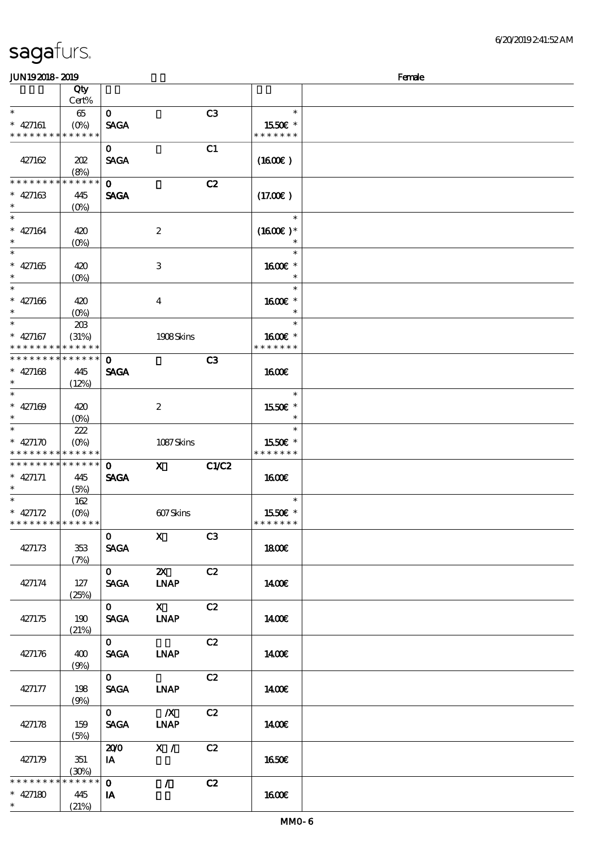| <b>JUN192018-2019</b>                                              |                               |                             |                             |                |                                      | Female |
|--------------------------------------------------------------------|-------------------------------|-----------------------------|-----------------------------|----------------|--------------------------------------|--------|
|                                                                    | Qty<br>Cert%                  |                             |                             |                |                                      |        |
| $\ast$<br>$* 427161$<br>* * * * * * * * <mark>* * * * * * *</mark> | $65\,$<br>$(O_0)$             | $\mathbf{O}$<br><b>SAGA</b> |                             | C <sub>3</sub> | $\ast$<br>1550E *<br>* * * * * * *   |        |
| 427162                                                             | 202<br>(8%)                   | $\mathbf{o}$<br><b>SAGA</b> |                             | C1             | (1600)                               |        |
| * * * * * * * *<br>$* 427163$<br>$\ast$                            | * * * * * *<br>445<br>$(O\%)$ | $\mathbf{o}$<br><b>SAGA</b> |                             | C2             | (17.00)                              |        |
| $\ast$<br>$* 427164$<br>$\ast$                                     | 420<br>$(O\!/\!o)$            |                             | $\boldsymbol{2}$            |                | $\ast$<br>$(1600E)*$<br>$\ast$       |        |
| $\ast$<br>$* 427165$<br>$\ast$<br>$\ast$                           | 420<br>$(0\%)$                |                             | $\ensuremath{\mathbf{3}}$   |                | $\ast$<br>1600 *<br>$\ast$<br>$\ast$ |        |
| $* 427166$<br>$\ast$<br>$\ast$                                     | 420<br>$(O\%)$                |                             | $\bf{4}$                    |                | 1600E *<br>$\ast$<br>$\ast$          |        |
| $* 427167$<br>* * * * * * * *                                      | 20B<br>(31%)<br>* * * * * *   |                             | 1908Skins                   |                | 1600€ *<br>* * * * * * *             |        |
| * * * * * * * *<br>$* 427168$<br>$\ast$<br>$\ast$                  | * * * * * *<br>445<br>(12%)   | $\mathbf{o}$<br><b>SAGA</b> |                             | C <sub>3</sub> | 1600E<br>$\ast$                      |        |
| $* 427169$<br>$\ast$<br>$\ast$                                     | 420<br>$(O\%)$                |                             | $\boldsymbol{2}$            |                | 1550E *<br>$\ast$<br>$\ast$          |        |
| $* 427170$<br>* * * * * * * * * * * * * *                          | 222<br>$(O\%)$                |                             | 1087Skins                   |                | 1550€ *<br>* * * * * * *             |        |
| * * * * * * * *<br>$* 427171$<br>$\ast$                            | * * * * * *<br>445<br>(5%)    | $\mathbf 0$<br><b>SAGA</b>  | $\mathbf{x}$                | C1/C2          | <b>1600€</b>                         |        |
| $\ast$<br>$* 427172$<br>* * * * * * * * <mark>* * * * * *</mark>   | 162<br>$(O\!/\!o)$            |                             | 607Skins                    |                | $\ast$<br>1550E *<br>* * * * * * *   |        |
| 427173                                                             | 353<br>(7%)                   | $\mathbf{O}$<br><b>SAGA</b> | $\mathbf X$                 | C3             | 1800E                                |        |
| 427174                                                             | 127<br>(25%)                  | $\mathbf{0}$<br><b>SAGA</b> | $\mathbf{x}$<br><b>INAP</b> | C2             | 1400E                                |        |
| 427175                                                             | 190<br>(21%)                  | $\mathbf{O}$<br><b>SAGA</b> | $\mathbf{X}$<br><b>LNAP</b> | C2             | 1400E                                |        |
| 427176                                                             | 400<br>(9%)                   | $\mathbf{0}$<br><b>SAGA</b> | <b>LNAP</b>                 | C2             | <b>140€</b>                          |        |
| 427177                                                             | 198<br>(9%)                   | $\mathbf{O}$<br><b>SAGA</b> | <b>LNAP</b>                 | C2             | 1400E                                |        |
| 427178                                                             | 159<br>(5%)                   | $\mathbf{O}$<br><b>SAGA</b> | $\mathbf{X}$<br><b>LNAP</b> | C2             | 1400E                                |        |
| 427179                                                             | 351<br>(30%)                  | 200<br>IA                   | X /                         | C2             | <b>1650€</b>                         |        |
| * * * * * * * *<br>$* 427180$<br>$\ast$                            | * * * * * *<br>445<br>(21%)   | $\mathbf{O}$<br>IA          | $\mathcal{L}$               | C2             | 1600E                                |        |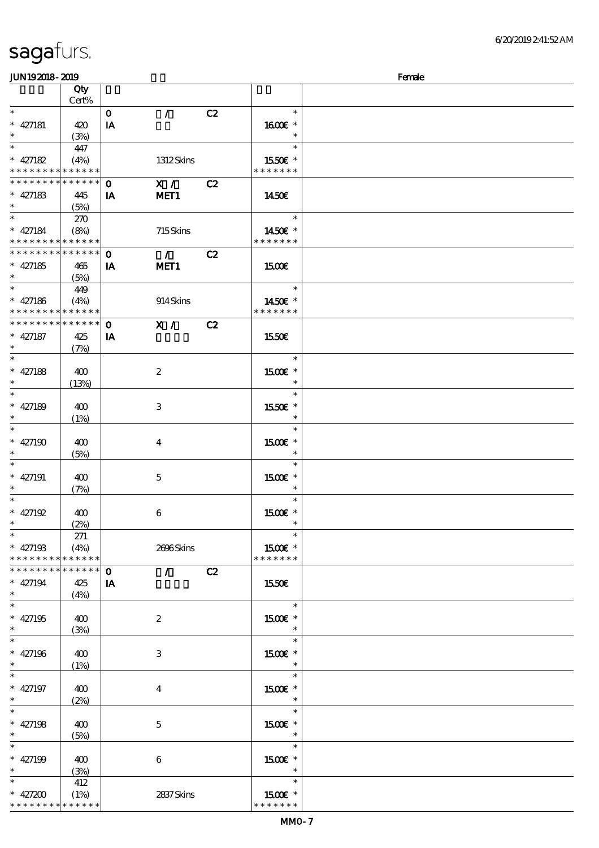\* \* \* \* \* \* \* \* <mark>\* \* \* \* \* \* \*</mark>

| JUN192018-2019                             |             |              |                                 |    |               | Female |
|--------------------------------------------|-------------|--------------|---------------------------------|----|---------------|--------|
|                                            | Qty         |              |                                 |    |               |        |
|                                            | Cert%       |              |                                 |    |               |        |
| $\ast$                                     |             | $\mathbf{o}$ | $\mathcal{L}$                   | C2 | $\ast$        |        |
| $* 427181$                                 | 420         | IA           |                                 |    | 1600 *        |        |
| $\ast$                                     | (3%)        |              |                                 |    | $\ast$        |        |
| $\ast$                                     | 447         |              |                                 |    | $\ast$        |        |
| $* 427182$                                 | (4%)        |              | 1312Skins                       |    | 1550E *       |        |
| * * * * * * * * <mark>* * * * * *</mark> * |             |              |                                 |    | * * * * * * * |        |
|                                            |             |              |                                 |    |               |        |
| * * * * * * * * * * * * * *                |             | $\mathbf 0$  | X /                             | C2 |               |        |
| $* 427183$                                 | 445         | IA           | MET <sub>1</sub>                |    | 1450€         |        |
| $\ast$                                     | (5%)        |              |                                 |    |               |        |
| $\ast$                                     | 270         |              |                                 |    | $\ast$        |        |
| $* 427184$                                 | (8%)        |              | 715Skins                        |    | 1450E *       |        |
| * * * * * * * * * * * * * *                |             |              |                                 |    | * * * * * * * |        |
| * * * * * * * * * * * * * *                |             | $\mathbf 0$  | $\mathcal{T}$                   | C2 |               |        |
| $* 427185$                                 | 465         | IA           | MET <sub>1</sub>                |    | <b>1500€</b>  |        |
| $\ast$                                     | (5%)        |              |                                 |    |               |        |
| $\ast$                                     |             |              |                                 |    | $\ast$        |        |
|                                            | 449         |              |                                 |    |               |        |
| $* 427186$                                 | (4%)        |              | 914Skins                        |    | 1450E *       |        |
| * * * * * * * * * * * * * *                |             |              |                                 |    | * * * * * * * |        |
| * * * * * * * * * * * * * *                |             | $\mathbf 0$  | $X / \sqrt{2}$                  | C2 |               |        |
| $* 427187$                                 | 425         | IA           |                                 |    | 1550€         |        |
| $\ast$                                     | (7%)        |              |                                 |    |               |        |
| $\ast$                                     |             |              |                                 |    | $\ast$        |        |
| $* 427188$                                 | 400         |              | $\boldsymbol{2}$                |    | 1500 £*       |        |
| $\ast$                                     | (13%)       |              |                                 |    | $\ast$        |        |
| $\ast$                                     |             |              |                                 |    | $\ast$        |        |
|                                            |             |              |                                 |    |               |        |
| $* 427189$                                 | 400         |              | 3                               |    | 1550E *       |        |
| $\ast$                                     | (1%)        |              |                                 |    | $\ast$        |        |
| $\ast$                                     |             |              |                                 |    | $\ast$        |        |
| $* 427190$                                 | 400         |              | $\bf{4}$                        |    | 1500€ *       |        |
| $\ast$                                     | (5%)        |              |                                 |    | $\ast$        |        |
| $\ast$                                     |             |              |                                 |    | $\ast$        |        |
| $* 427191$                                 | 400         |              | $\mathbf 5$                     |    | 1500 £*       |        |
| $\ast$                                     | (7%)        |              |                                 |    | $\ast$        |        |
| $\ast$                                     |             |              |                                 |    | $\ast$        |        |
| $* 427192$                                 | 400         |              | $\boldsymbol{6}$                |    | 1500€ *       |        |
| $*$                                        |             |              |                                 |    | $\ast$        |        |
| $\ast$                                     | (2%)        |              |                                 |    | $\ast$        |        |
|                                            | 271         |              |                                 |    |               |        |
| $* 427193$                                 | (4%)        |              | 2696Skins                       |    | 1500€ *       |        |
| * * * * * * * * * * * * * *                |             |              |                                 |    | * * * * * * * |        |
| * * * * * * * *                            | * * * * * * | $\mathbf 0$  | $\mathcal{L}$ and $\mathcal{L}$ | C2 |               |        |
| $* 427194$                                 | 425         | IA           |                                 |    | 1550€         |        |
| $\ast$                                     | (4%)        |              |                                 |    |               |        |
| $\overline{\ast}$                          |             |              |                                 |    | $\ast$        |        |
| $* 427195$                                 | 400         |              | $\boldsymbol{2}$                |    | 1500E *       |        |
| $\ast$                                     | (3%)        |              |                                 |    | $\ast$        |        |
| $\ast$                                     |             |              |                                 |    | $\ast$        |        |
|                                            |             |              |                                 |    |               |        |
| $* 427196$                                 | 400         |              | 3                               |    | $1500E$ *     |        |
| $\ast$                                     | (1%)        |              |                                 |    | $\ast$        |        |
| $\overline{\phantom{a}^*}$                 |             |              |                                 |    | $\ast$        |        |
| $* 427197$                                 | 400         |              | $\bf{4}$                        |    | 1500€ *       |        |
| $\ast$                                     | (2%)        |              |                                 |    | $\ast$        |        |
| $\overline{\ast}$                          |             |              |                                 |    | $\ast$        |        |
| $* 427198$                                 | 400         |              | $\mathbf{5}$                    |    | 1500€ *       |        |
| $\ast$                                     | (5%)        |              |                                 |    | $\ast$        |        |
| $\ast$                                     |             |              |                                 |    | $\ast$        |        |
|                                            |             |              |                                 |    |               |        |
| $* 427199$                                 | 400         |              | $6\phantom{.}6$                 |    | 1500 £*       |        |
| $\ast$                                     | (3%)        |              |                                 |    | $\ast$        |        |
| $\ast$                                     | 412         |              |                                 |    | $\ast$        |        |
| * $427200$                                 | (1%)        |              | 2837Skins                       |    | 1500E *       |        |

\* \* \* \* \* \* \*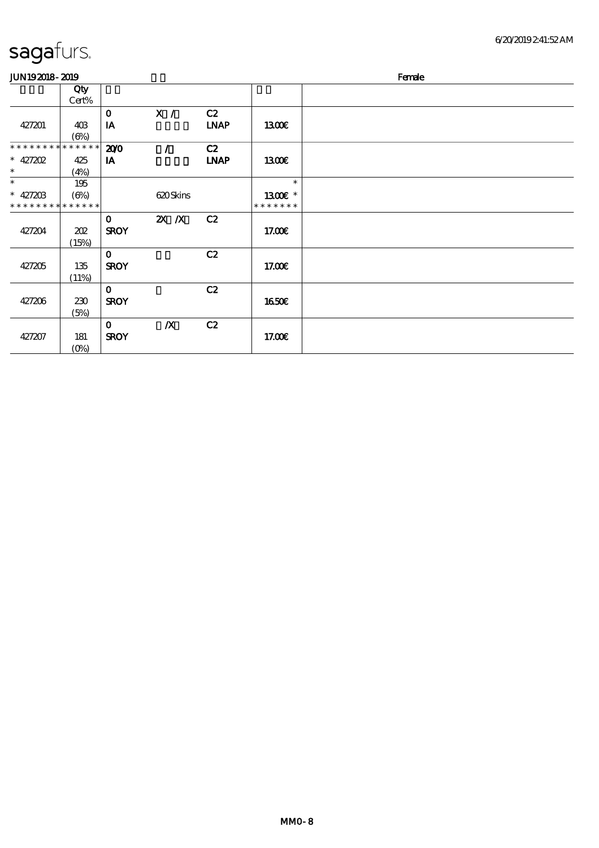| sagafurs. |  |
|-----------|--|
|           |  |

| <b>JUN192018-2019</b>       |              |              |                  |             |               | Female |
|-----------------------------|--------------|--------------|------------------|-------------|---------------|--------|
|                             | Qty<br>Cert% |              |                  |             |               |        |
|                             |              | $\mathbf 0$  | X /              | C2          |               |        |
| 427201                      | 40B<br>(6%)  | IA           |                  | <b>LNAP</b> | 1300          |        |
| * * * * * * * * * * * * * * |              | 200          |                  | C2          |               |        |
| $*$ 427202                  | 425          | IA           |                  | <b>LNAP</b> | 1300          |        |
| $\ast$                      | (4%)         |              |                  |             |               |        |
| $\ast$                      | 195          |              |                  |             | $\ast$        |        |
| $* 42720B$                  | (6%)         |              | 620Skins         |             | 1300E *       |        |
| * * * * * * * * * * * * * * |              |              |                  |             | * * * * * * * |        |
|                             |              | $\mathbf{o}$ | $X$ $N$          | C2          |               |        |
| 427204                      | 202          | <b>SROY</b>  |                  |             | 17.00E        |        |
|                             | (15%)        |              |                  |             |               |        |
|                             |              | $\mathbf 0$  |                  | C2          |               |        |
| 427205                      | 135          | <b>SROY</b>  |                  |             | 17.00E        |        |
|                             | (11%)        |              |                  |             |               |        |
|                             |              | $\mathbf 0$  |                  | C2          |               |        |
| 427206                      | 230          | <b>SROY</b>  |                  |             | <b>1650€</b>  |        |
|                             | (5%)         |              |                  |             |               |        |
|                             |              | $\mathbf{O}$ | $\boldsymbol{X}$ | C2          |               |        |
| 427207                      | 181          | <b>SROY</b>  |                  |             | 17.00E        |        |
|                             | $(O\%)$      |              |                  |             |               |        |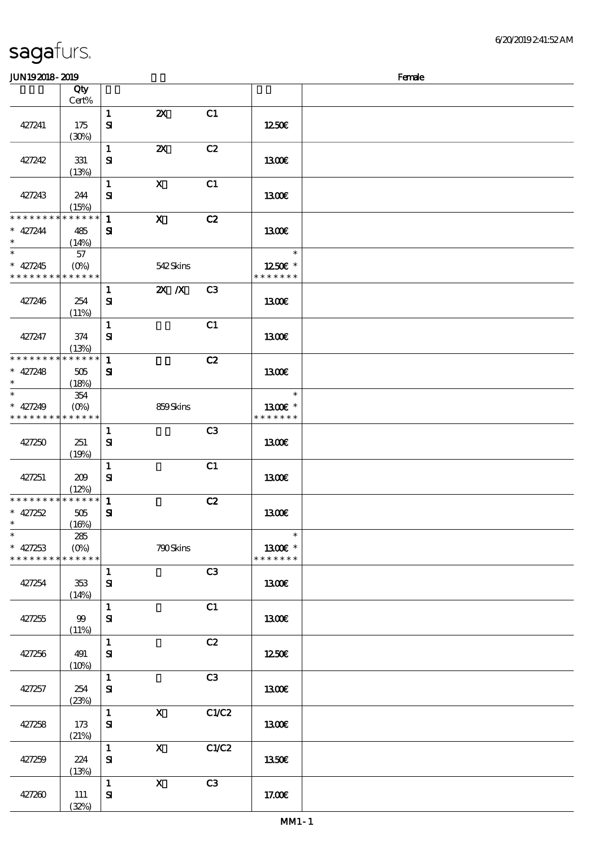#### **JUN192018-2019** Female

|                                            | Qty<br>$Cert\%$ |              |                           |                |               |  |
|--------------------------------------------|-----------------|--------------|---------------------------|----------------|---------------|--|
|                                            |                 |              |                           |                |               |  |
|                                            |                 | $\mathbf{1}$ | $\boldsymbol{\mathsf{Z}}$ | C1             |               |  |
| 427241                                     | 175             | ${\bf s}$    |                           |                | 1250E         |  |
|                                            | (30%)           |              |                           |                |               |  |
|                                            |                 |              |                           |                |               |  |
|                                            |                 | $\mathbf{1}$ | $\boldsymbol{\mathsf{z}}$ | C2             |               |  |
| 427242                                     | 331             | ${\bf s}$    |                           |                | <b>1300€</b>  |  |
|                                            | (13%)           |              |                           |                |               |  |
|                                            |                 |              |                           |                |               |  |
|                                            |                 | $\mathbf{1}$ | $\boldsymbol{\mathsf{X}}$ | C1             |               |  |
| 427243                                     | 244             | ${\bf s}$    |                           |                | 1300E         |  |
|                                            | (15%)           |              |                           |                |               |  |
| * * * * * * * *                            | $******$        | $\mathbf{1}$ | $\mathbf{X}$              | C2             |               |  |
| $* 427244$                                 |                 |              |                           |                |               |  |
|                                            | 485             | ${\bf s}$    |                           |                | 1300E         |  |
| $\ast$                                     | (14%)           |              |                           |                |               |  |
| $\ast$                                     | 57              |              |                           |                | $\ast$        |  |
| $* 427245$                                 | $(O\% )$        |              | 542Skins                  |                | 1250E *       |  |
| * * * * * * * * * * * * * *                |                 |              |                           |                | * * * * * * * |  |
|                                            |                 |              |                           |                |               |  |
|                                            |                 | 1            | $X$ $X$                   | C <sub>3</sub> |               |  |
| 427246                                     | 254             | $\mathbf{S}$ |                           |                | 1300E         |  |
|                                            | (11%)           |              |                           |                |               |  |
|                                            |                 | $\mathbf{1}$ |                           | C1             |               |  |
|                                            |                 |              |                           |                |               |  |
| 427247                                     | 374             | ${\bf s}$    |                           |                | <b>1300€</b>  |  |
|                                            | (13%)           |              |                           |                |               |  |
| * * * * * * * *                            | * * * * * *     | $\mathbf{1}$ |                           | C2             |               |  |
| $* 427248$                                 | 505             | ${\bf s}$    |                           |                | 1300E         |  |
| $\ast$                                     |                 |              |                           |                |               |  |
|                                            | (18%)           |              |                           |                |               |  |
| $\ast$                                     | 354             |              |                           |                | $\ast$        |  |
| $* 427249$                                 | $(0\%)$         |              | 859Skins                  |                | 1300E *       |  |
| * * * * * * * * * * * * * *                |                 |              |                           |                | * * * * * * * |  |
|                                            |                 |              |                           |                |               |  |
|                                            |                 | $\mathbf{1}$ |                           | C <sub>3</sub> |               |  |
| 427250                                     | 251             | ${\bf s}$    |                           |                | <b>1300€</b>  |  |
|                                            | (19%)           |              |                           |                |               |  |
|                                            |                 | $\mathbf{1}$ |                           | C1             |               |  |
|                                            |                 |              |                           |                |               |  |
| 427251                                     | 209             | ${\bf s}$    |                           |                | 1300E         |  |
|                                            | (12%)           |              |                           |                |               |  |
| ******** <mark>******</mark>               |                 | $\mathbf{1}$ |                           | C2             |               |  |
| $* 427252$                                 | 505             | $\mathbf{S}$ |                           |                | 1300E         |  |
| $\ast$                                     | (16%)           |              |                           |                |               |  |
| $*$                                        |                 |              |                           |                | $\ast$        |  |
|                                            | 285             |              |                           |                |               |  |
| $* 427253$                                 | $(O\%)$         |              | 790Skins                  |                | 1300€ *       |  |
| * * * * * * * * <mark>* * * * * * *</mark> |                 |              |                           |                | * * * * * * * |  |
|                                            |                 | $\mathbf{1}$ |                           | C3             |               |  |
| 427254                                     | 353             | ${\bf s}$    |                           |                | 1300E         |  |
|                                            |                 |              |                           |                |               |  |
|                                            | (14%)           |              |                           |                |               |  |
|                                            |                 | $\mathbf{1}$ |                           | C1             |               |  |
| 427255                                     | 99              | $\mathbf{S}$ |                           |                | 1300E         |  |
|                                            | (11%)           |              |                           |                |               |  |
|                                            |                 | $\mathbf{1}$ |                           | C2             |               |  |
|                                            |                 |              |                           |                |               |  |
| 427256                                     | 491             | ${\bf S}$    |                           |                | 1250€         |  |
|                                            | (10%)           |              |                           |                |               |  |
|                                            |                 | $\mathbf{1}$ |                           | C3             |               |  |
| 427257                                     | 254             | ${\bf s}$    |                           |                | 1300E         |  |
|                                            | (23%)           |              |                           |                |               |  |
|                                            |                 |              |                           |                |               |  |
|                                            |                 | $\mathbf{1}$ | $\mathbf x$               | C1/C2          |               |  |
| 427258                                     | 173             | $\mathbf{S}$ |                           |                | 1300€         |  |
|                                            | (21%)           |              |                           |                |               |  |
|                                            |                 | $\mathbf{1}$ | $\mathbf{X}$              | C1/C2          |               |  |
| 427259                                     | 224             | ${\bf s}$    |                           |                | <b>1350€</b>  |  |
|                                            |                 |              |                           |                |               |  |
|                                            | (13%)           |              |                           |                |               |  |
|                                            |                 | $\mathbf{1}$ | $\mathbf{X}$              | C3             |               |  |
| 427260                                     | 111             | ${\bf s}$    |                           |                | 17.00E        |  |
|                                            | (32%)           |              |                           |                |               |  |
|                                            |                 |              |                           |                |               |  |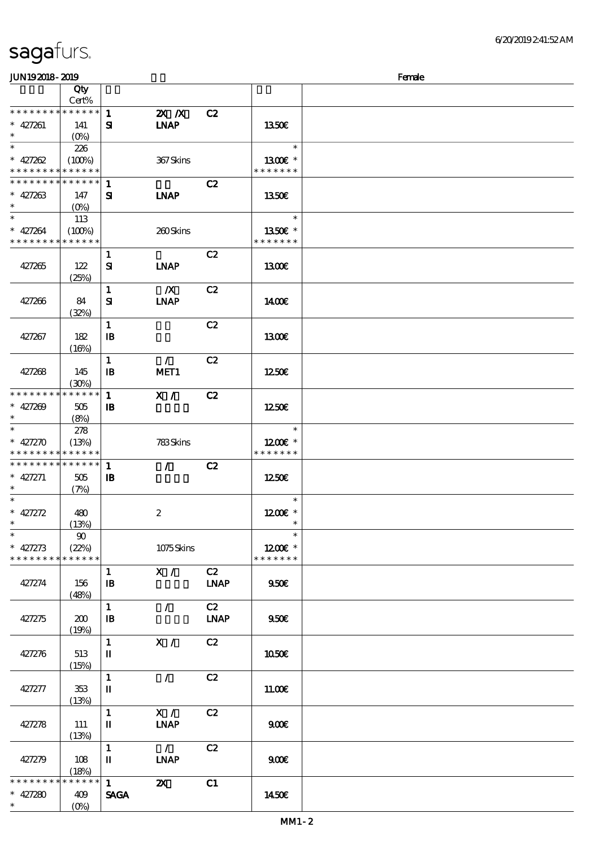(0%)

| JUN192018-2019                             |                 |              |                           |             |                          | Female |
|--------------------------------------------|-----------------|--------------|---------------------------|-------------|--------------------------|--------|
|                                            | Qty             |              |                           |             |                          |        |
|                                            | Cert%           |              |                           |             |                          |        |
|                                            |                 | $\mathbf{1}$ | $X$ $N$                   | C2          |                          |        |
| $* 427261$                                 | 141             | ${\bf s}$    | <b>INAP</b>               |             | 1350E                    |        |
| $\ast$                                     | $(0\%)$         |              |                           |             |                          |        |
|                                            | 226             |              |                           |             | $\ast$                   |        |
| $* 427262$                                 | (100%)          |              | 367Skins                  |             | 1300 $\varepsilon$ *     |        |
| * * * * * * * * <mark>* * * * * * *</mark> |                 |              |                           |             | * * * * * * *            |        |
| * * * * * * * * * * * * * * *              |                 | $\mathbf{1}$ |                           | C2          |                          |        |
| $* 427263$                                 | 147             | ${\bf s}$    | <b>INAP</b>               |             | 1350E                    |        |
| $\ast$                                     | $(O\%)$         |              |                           |             |                          |        |
| $\ast$                                     | 113             |              |                           |             | $\ast$                   |        |
| $* 427264$                                 | (100%)          |              | 260Skins                  |             | 1350€ *                  |        |
| * * * * * * * * <mark>* * * * * * *</mark> |                 |              |                           |             | * * * * * * *            |        |
|                                            |                 | $\mathbf{1}$ |                           | C2          |                          |        |
| 427265                                     | 122             | ${\bf s}$    | <b>LNAP</b>               |             | 1300                     |        |
|                                            | (25%)           |              |                           |             |                          |        |
|                                            |                 | $\mathbf{1}$ | $\boldsymbol{X}$          | C2          |                          |        |
| 427266                                     | 84              | ${\bf s}$    | <b>INAP</b>               |             | 1400E                    |        |
|                                            | (32%)           |              |                           |             |                          |        |
|                                            |                 | $\mathbf{1}$ |                           | C2          |                          |        |
| 427267                                     | 182             | $\mathbf{B}$ |                           |             | 1300€                    |        |
|                                            | (16%)           |              |                           |             |                          |        |
|                                            |                 | $\mathbf{1}$ | $\mathcal{L}$             | C2          |                          |        |
| 427268                                     | 145             | $\mathbf{B}$ | MET1                      |             | 1250E                    |        |
|                                            | (30%)           |              |                           |             |                          |        |
| * * * * * * * *                            | * * * * * *     | $\mathbf{1}$ | X /                       | C2          |                          |        |
| * $427209$                                 | 505             | $\mathbf{B}$ |                           |             | 1250E                    |        |
| $\ast$                                     | (8%)            |              |                           |             |                          |        |
| $\ast$                                     | 278             |              |                           |             | $\ast$                   |        |
| * $427270$                                 | (13%)           |              | 783Skins                  |             | $1200E$ *                |        |
| * * * * * * * * <mark>* * * * * * *</mark> |                 |              |                           |             | * * * * * * *            |        |
| * * * * * * * * <mark>* * * * * * *</mark> |                 | 1            | $\mathcal{L}$             | C2          |                          |        |
| $* 427271$                                 | 505             | $\mathbf{B}$ |                           |             | 1250                     |        |
| $\ast$                                     | (7%)            |              |                           |             |                          |        |
| $\ast$                                     |                 |              |                           |             | $\ast$                   |        |
| * 427272                                   | 480             |              | $\boldsymbol{2}$          |             | $1200E$ *                |        |
| $\ast$                                     | (13%)           |              |                           |             | $\overline{\phantom{a}}$ |        |
| $\ast$                                     | $90^{\circ}$    |              |                           |             | $\ast$                   |        |
| * $427273$                                 | (22%)           |              | 1075Skins                 |             | $1200E$ *                |        |
| * * * * * * * *                            | * * * * * *     |              |                           |             | * * * * * * *            |        |
|                                            |                 | $\mathbf{1}$ | X /                       | C2          |                          |        |
| 427274                                     | 156             | $\mathbf{B}$ |                           | <b>LNAP</b> | 950                      |        |
|                                            | (48%)           |              |                           |             |                          |        |
|                                            |                 | $\mathbf{1}$ | $\mathcal{L}$             | C2          |                          |        |
| 427275                                     | 200             | $\mathbf{B}$ |                           | <b>LNAP</b> | 9506                     |        |
|                                            | (19%)           |              |                           |             |                          |        |
|                                            |                 | $\mathbf{1}$ | X /                       | C2          |                          |        |
| 427276                                     | 513             | $\mathbf{I}$ |                           |             | 1050€                    |        |
|                                            | (15%)           |              | $\mathcal{L}$             |             |                          |        |
|                                            |                 | $\mathbf{1}$ |                           | C2          |                          |        |
| 427277                                     | 353             | П            |                           |             | 11.00E                   |        |
|                                            | (13%)           | $\mathbf{1}$ | X /                       | C2          |                          |        |
| 427278                                     | 111             |              | <b>INAP</b>               |             | 900E                     |        |
|                                            | (13%)           | $\mathbf I$  |                           |             |                          |        |
|                                            |                 | $\mathbf{1}$ | $\mathcal{L}$             | C2          |                          |        |
| 427279                                     | 108             | $\mathbf I$  | <b>LNAP</b>               |             | 900E                     |        |
|                                            | (18%)           |              |                           |             |                          |        |
| * * * * * * *                              | $* * * * * * *$ | $\mathbf{1}$ | $\boldsymbol{\mathsf{Z}}$ | C1          |                          |        |
| * $427280$                                 | 409             | <b>SAGA</b>  |                           |             | 1450E                    |        |
| $\ast$                                     | $(O\%)$         |              |                           |             |                          |        |
|                                            |                 |              |                           |             |                          |        |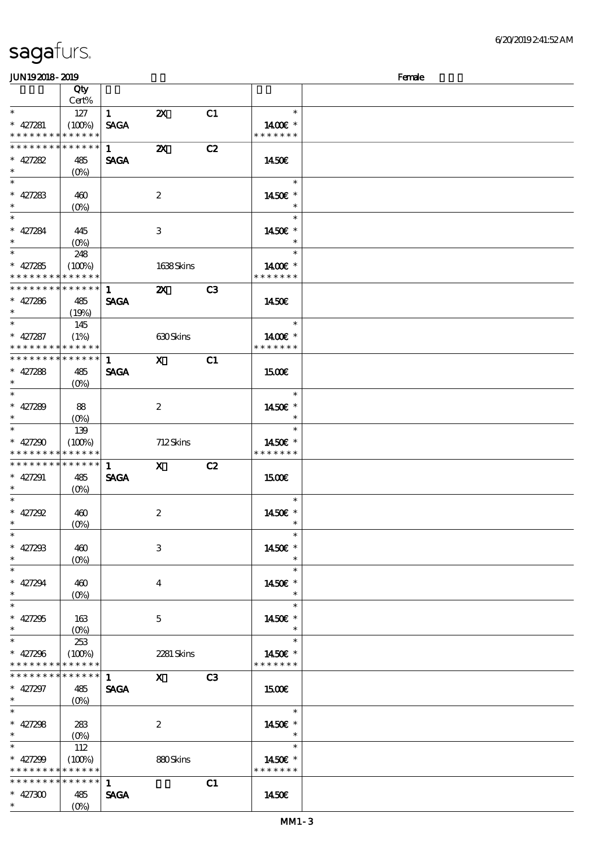| <b>JUN192018-2019</b>       |             |              |                           |    |               | Female |
|-----------------------------|-------------|--------------|---------------------------|----|---------------|--------|
|                             | Qty         |              |                           |    |               |        |
|                             | Cert%       |              |                           |    |               |        |
| $\ast$                      | 127         | 1            | $\boldsymbol{\mathsf{Z}}$ | C1 | $\ast$        |        |
| $* 427281$                  | (100%)      | <b>SAGA</b>  |                           |    | 1400€ *       |        |
| * * * * * * * *             | * * * * * * |              |                           |    | * * * * * * * |        |
| * * * * * * * *             | * * * * * * | $\mathbf{1}$ | $\boldsymbol{\mathsf{z}}$ | C2 |               |        |
| $* 427282$                  | 485         | <b>SAGA</b>  |                           |    | 1450€         |        |
| $\ast$                      | $(O\% )$    |              |                           |    |               |        |
| $\ast$                      |             |              |                           |    | $\ast$        |        |
| $* 427283$                  | 460         |              | $\boldsymbol{2}$          |    | 1450€ *       |        |
| $\ast$                      | $(O\%)$     |              |                           |    | $\ast$        |        |
| $\ast$                      |             |              |                           |    | $\ast$        |        |
| $* 427284$                  | 445         |              | 3                         |    | 1450€ *       |        |
| $\ast$                      | $(0\%)$     |              |                           |    | $\ast$        |        |
| $\overline{\phantom{1}}$    | 248         |              |                           |    | $\ast$        |        |
| $* 427285$                  | (100%)      |              | 1638Skins                 |    | 1400€ *       |        |
| * * * * * * * *             | * * * * * * |              |                           |    | * * * * * * * |        |
| * * * * * * * * * * * * * * |             | $\mathbf{1}$ | $\boldsymbol{\mathsf{X}}$ | C3 |               |        |
| $* 427286$                  | 485         | <b>SAGA</b>  |                           |    | 1450€         |        |
| $\ast$                      | (19%)       |              |                           |    |               |        |
| $\ast$                      | 145         |              |                           |    | $\ast$        |        |
| $* 427287$                  | (1%)        |              | 630Skins                  |    | 1400€ *       |        |
| * * * * * * * *             | * * * * * * |              |                           |    | * * * * * * * |        |
| * * * * * * * * * * * * * * |             | $\mathbf{1}$ | $\mathbf{x}$              | C1 |               |        |
| $* 427288$                  | 485         | <b>SAGA</b>  |                           |    | 1500€         |        |
| $\ast$                      | $(O\%)$     |              |                           |    |               |        |
| $\ast$                      |             |              |                           |    | $\ast$        |        |
| $* 427289$                  | 88          |              | $\boldsymbol{2}$          |    | 1450€ *       |        |
| $\ast$                      | $(O\%)$     |              |                           |    | $\ast$        |        |
| $\ast$                      | 139         |              |                           |    | $\ast$        |        |
| $* 427290$                  | (100%)      |              | 712Skins                  |    | 1450€ *       |        |
| * * * * * * * *             | * * * * * * |              |                           |    | * * * * * * * |        |
| * * * * * * * *             | * * * * * * | $\mathbf{1}$ | $\mathbf{X}$              | C2 |               |        |
| $* 427291$                  | 485         | <b>SAGA</b>  |                           |    | <b>1500€</b>  |        |
| $\ast$                      | $(O\%)$     |              |                           |    |               |        |
| $\ast$                      |             |              |                           |    | $\ast$        |        |
| $* 427292$                  | 460         |              | $\boldsymbol{2}$          |    | 1450€ *       |        |
| $*$                         | (0%)        |              |                           |    | $\ast$        |        |
| $\ast$                      |             |              |                           |    | $\ast$        |        |
| $* 427298$                  | 460         |              | 3                         |    | 1450€ *       |        |
| $\ast$                      | $(O\%)$     |              |                           |    | $\ast$        |        |
| $\ast$                      |             |              |                           |    | $\ast$        |        |
| $* 427294$                  | 460         |              | $\overline{4}$            |    | 1450E *       |        |
| $\ast$                      | $(O\%)$     |              |                           |    |               |        |
| $\ast$                      |             |              |                           |    | $\ast$        |        |
| $* 427295$                  | 163         |              | $\mathbf{5}$              |    | 1450€ *       |        |
| $\ast$                      | $(O\%)$     |              |                           |    |               |        |
| $\ast$                      | 253         |              |                           |    | $\ast$        |        |
| $* 427296$                  | (100%)      |              | 2281 Skins                |    | 1450€ *       |        |
| * * * * * * * * * * * * * * |             |              |                           |    | * * * * * * * |        |
| * * * * * * * *             | * * * * * * | $\mathbf{1}$ | $\mathbf X$               | C3 |               |        |
| $* 427297$                  | 485         | <b>SAGA</b>  |                           |    | 1500          |        |
| $*$                         | $(O\%)$     |              |                           |    |               |        |
| $\overline{\ast}$           |             |              |                           |    | $\ast$        |        |
| $* 427298$                  | 283         |              | $\boldsymbol{2}$          |    | 1450€ *       |        |
| $\ast$                      | $(O\%)$     |              |                           |    | $\ast$        |        |
| $\ast$                      | 112         |              |                           |    | $\ast$        |        |
| $* 427299$                  | (100%)      |              | 880Skins                  |    | 1450€ *       |        |
| * * * * * * * * * * * * * * |             |              |                           |    | * * * * * * * |        |
| * * * * * * * * * * * * * * |             | $\mathbf{1}$ |                           | C1 |               |        |
| $* 427300$                  | 485         | <b>SAGA</b>  |                           |    | 1450€         |        |
| $\ast$                      | $(O\%)$     |              |                           |    |               |        |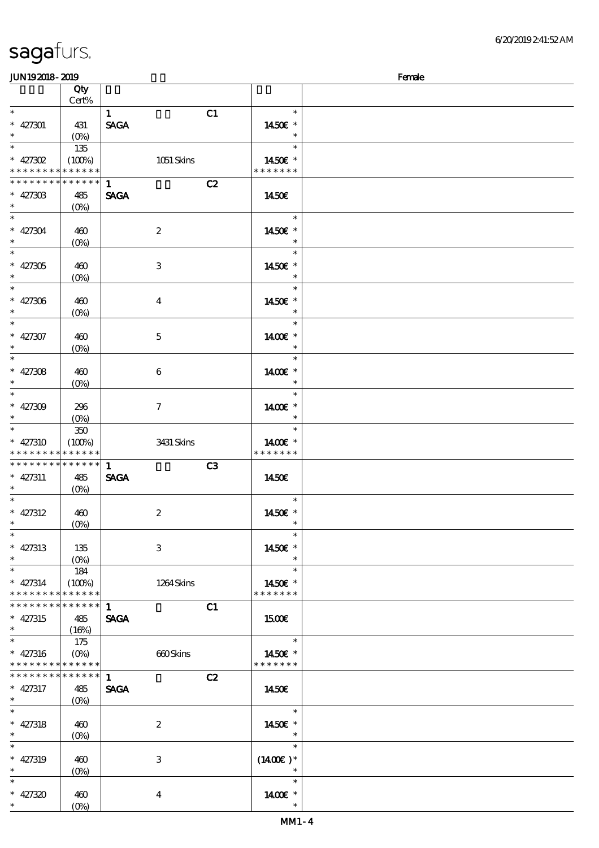| JUN192018-2019                |             |              |                           |                          | Female |
|-------------------------------|-------------|--------------|---------------------------|--------------------------|--------|
|                               | Qty         |              |                           |                          |        |
|                               | Cert%       |              |                           |                          |        |
| $\ast$                        |             | $\mathbf{1}$ | C1                        | $\ast$                   |        |
| $* 427301$                    | 431         | <b>SAGA</b>  |                           | 1450E *                  |        |
| $\ast$                        | $(O_0)$     |              |                           | $\ast$                   |        |
| $\ast$                        | 135         |              |                           | $\ast$                   |        |
| $* 427302$                    |             |              |                           |                          |        |
| * * * * * * * * * * * * * *   | (100%)      |              | 1051 Skins                | 1450€ *<br>* * * * * * * |        |
|                               |             |              |                           |                          |        |
| * * * * * * * * * * * * * * * |             | $\mathbf{1}$ | C2                        |                          |        |
| $* 42730B$                    | 485         | <b>SAGA</b>  |                           | 1450E                    |        |
| $\ast$                        | $(O\%)$     |              |                           |                          |        |
| $\ast$                        |             |              |                           | $\ast$                   |        |
| $* 427304$                    | 460         |              | $\boldsymbol{z}$          | 1450€ *                  |        |
| $\ast$                        | $(O\%)$     |              |                           | $\ast$                   |        |
| $\ast$                        |             |              |                           | $\ast$                   |        |
| $* 427305$                    | 460         |              | $\,3$                     | 1450€ *                  |        |
| $\ast$                        | $(0\%)$     |              |                           | $\ast$                   |        |
| $\ast$                        |             |              |                           | $\ast$                   |        |
|                               |             |              |                           |                          |        |
| $* 427306$                    | 460         |              | $\bf{4}$                  | 1450€ *                  |        |
| $\ast$                        | $(O\!/\!o)$ |              |                           | $\ast$                   |        |
| $\ast$                        |             |              |                           | $\ast$                   |        |
| $* 427307$                    | 460         |              | $\mathbf{5}$              | 1400€ *                  |        |
| $\ast$                        | $(O\!/\!o)$ |              |                           | $\ast$                   |        |
| $\ast$                        |             |              |                           | $\ast$                   |        |
| $* 427308$                    | 460         |              | 6                         | 1400€ *                  |        |
|                               | $(O\%)$     |              |                           | $\ast$                   |        |
| $\ast$                        |             |              |                           | $\ast$                   |        |
|                               |             |              |                           |                          |        |
| $* 427309$                    | 296         |              | $\tau$                    | 1400€ *<br>$\ast$        |        |
| $\ast$                        | $(O\%)$     |              |                           |                          |        |
| $\ast$                        | $350\,$     |              |                           | $\ast$                   |        |
| $* 427310$                    | (100%)      |              | 3431 Skins                | 1400€ *                  |        |
| * * * * * * * *               | * * * * * * |              |                           | * * * * * * *            |        |
| ******** <mark>*******</mark> |             | $\mathbf{1}$ | C3                        |                          |        |
| $* 427311$                    | 485         | <b>SAGA</b>  |                           | 1450€                    |        |
| $\ast$                        | $(O\%)$     |              |                           |                          |        |
| $\ast$                        |             |              |                           | $\ast$                   |        |
| $* 427312$                    | 460         |              | $\boldsymbol{2}$          | 1450E *                  |        |
|                               | $(0\%)$     |              |                           |                          |        |
| $\ast$                        |             |              |                           |                          |        |
|                               |             |              |                           |                          |        |
| $* 427313$                    | 135         |              | 3                         | 1450€ *                  |        |
| $\ast$                        | $(O\% )$    |              |                           | $\ast$                   |        |
| $\ast$                        | 184         |              |                           | $\ast$                   |        |
| $* 427314$                    | (100%)      |              | 1264 Skins                | 1450€ *                  |        |
| * * * * * * * *               | * * * * * * |              |                           | * * * * * * *            |        |
| ******** <mark>******</mark>  |             | $\mathbf{1}$ | C1                        |                          |        |
| $* 427315$                    | 485         | <b>SAGA</b>  |                           | <b>1500€</b>             |        |
| $\ast$                        | (16%)       |              |                           |                          |        |
| $\ast$                        | 175         |              |                           | $\ast$                   |        |
| $* 427316$                    | $(O\%)$     |              | 660Skins                  | 1450€ *                  |        |
| **************                |             |              |                           | * * * * * * *            |        |
| ******** <mark>*******</mark> |             | $\mathbf{1}$ |                           |                          |        |
|                               |             |              | C2                        |                          |        |
| $* 427317$                    | 485         | <b>SAGA</b>  |                           | 1450E                    |        |
| $\ast$                        | $(O\%)$     |              |                           |                          |        |
| $\ast$                        |             |              |                           | $\ast$                   |        |
| $* 427318$                    | 460         |              | $\boldsymbol{z}$          | 1450€ *                  |        |
| $\ast$                        | $(O\%)$     |              |                           | $\ast$                   |        |
| $\ast$                        |             |              |                           | $\ast$                   |        |
| $* 427319$                    | 460         |              | $\ensuremath{\mathbf{3}}$ | $(1400E)*$               |        |
|                               | $(O\%)$     |              |                           |                          |        |
| $\ast$                        |             |              |                           | $\ast$                   |        |
|                               |             |              |                           |                          |        |
| $* 427320$                    | 460         |              | $\boldsymbol{4}$          | 1400€ *                  |        |
| $\ast$                        | $(O\%)$     |              |                           |                          |        |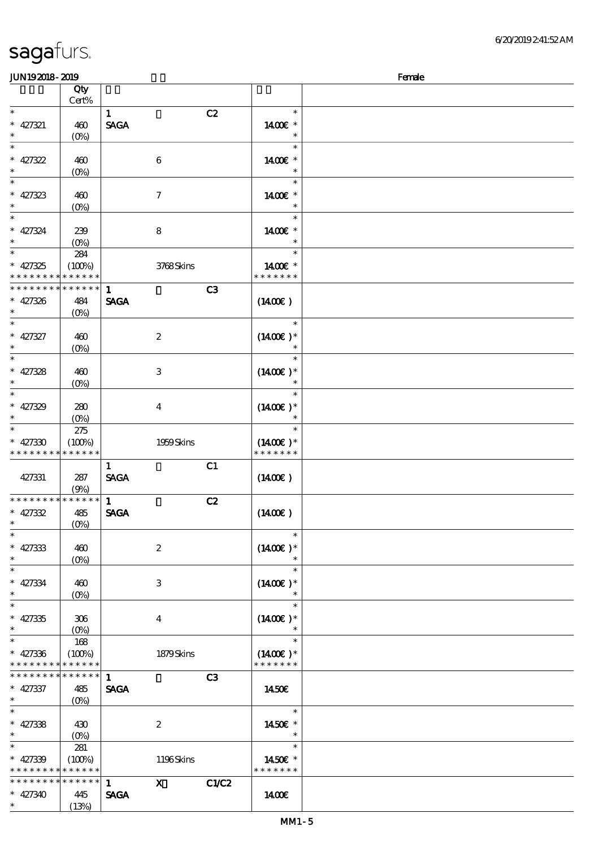| JUN192018-2019                           |              |                             |                          | Female |
|------------------------------------------|--------------|-----------------------------|--------------------------|--------|
|                                          | Qty<br>Cert% |                             |                          |        |
| $\ast$                                   |              | $\mathbf{1}$                | C2<br>$\ast$             |        |
| $* 427321$                               | 460          | <b>SAGA</b>                 | 1400€ *                  |        |
| $\ast$                                   | $(O\% )$     |                             | $\ast$                   |        |
|                                          |              |                             | $\ast$                   |        |
| $* 427322$                               | 460          | $\boldsymbol{6}$            | 14 $00E$ *               |        |
|                                          | $(O\%)$      |                             | $\ast$                   |        |
| $\ast$                                   |              |                             | $\ast$                   |        |
|                                          |              |                             |                          |        |
| $* 427323$<br>$\ast$                     | 460          | $\tau$                      | 1400€ *<br>$\ast$        |        |
| $\ast$                                   | $(O\%)$      |                             | $\ast$                   |        |
|                                          |              |                             |                          |        |
| $* 427324$                               | 239          | $\bf 8$                     | 14 $00E$ *               |        |
| $\ast$                                   | $(O\%)$      |                             | $\ast$                   |        |
| $\ast$                                   | 284          |                             | $\ast$                   |        |
| $* 427325$                               | (100%)       | 3768Skins                   | 1400€ *                  |        |
| * * * * * * * * <mark>* * * * * *</mark> |              |                             | * * * * * * *            |        |
| * * * * * * * *                          | * * * * * *  | $\mathbf{1}$                | C3                       |        |
| $* 427326$                               | 484          | <b>SAGA</b>                 | $(1400\varepsilon)$      |        |
| $\ast$                                   | $(O\%)$      |                             |                          |        |
| $\ast$                                   |              |                             | $\ast$                   |        |
| $* 427327$                               | 460          | $\boldsymbol{2}$            | $(1400)$ *               |        |
| $\ast$                                   | $(O\%)$      |                             | $\ast$                   |        |
| $\ast$                                   |              |                             | $\ast$                   |        |
| $* 427328$                               | 460          | $\ensuremath{\mathbf{3}}$   | $(1400E)*$               |        |
|                                          | $(0\%)$      |                             | $\ast$                   |        |
| $\ast$                                   |              |                             | $\ast$                   |        |
| $* 427329$                               | 280          | $\bf{4}$                    | $(1400E)*$               |        |
| $\ast$                                   | $(O\%)$      |                             | $\ast$                   |        |
| $\ast$                                   |              |                             | $\ast$                   |        |
|                                          | 275          |                             |                          |        |
| $* 427330$                               | (100%)       | 1959Skins                   | $(1400E)^*$              |        |
| * * * * * * * *                          | * * * * * *  |                             | * * * * * * *            |        |
|                                          |              | $\mathbf{1}$                | C1                       |        |
| 427331                                   | 287          | <b>SAGA</b>                 | $(1400\varepsilon)$      |        |
|                                          | (9%)         |                             |                          |        |
| * * * * * * * * * * * * * *              |              | $\mathbf{1}$                | C2                       |        |
| $* 427332$                               | 485          | <b>SAGA</b>                 | $(1400\varepsilon)$      |        |
| ∗                                        | $(0\%)$      |                             |                          |        |
| $\ast$                                   |              |                             | $\ast$                   |        |
| $* 427333$                               | 460          | $\boldsymbol{2}$            | $(1400E)^*$              |        |
| $\ast$                                   | $(O\%)$      |                             |                          |        |
| $\overline{\phantom{0}}$                 |              |                             | $\ast$                   |        |
| $* 427334$                               | 460          | 3                           | $(1400\varepsilon)*$     |        |
|                                          | $(O\%)$      |                             |                          |        |
| $\ast$                                   |              |                             | $\ast$                   |        |
| $* 427335$                               | 306          | $\overline{4}$              | $(1400E)*$               |        |
| $\ast$                                   | $(O\%)$      |                             | $\ast$                   |        |
| $\ast$                                   | 168          |                             | $\ast$                   |        |
| $* 427336$                               | (100%)       | 1879Skins                   | $(1400E)*$               |        |
| * * * * * * * * * * * * * *              |              |                             | * * * * * * *            |        |
| * * * * * * * * * * * * * *              |              | $\mathbf{1}$                | C3                       |        |
| $* 427337$                               | 485          | <b>SAGA</b>                 | 1450€                    |        |
| $\ast$                                   | $(O\% )$     |                             |                          |        |
| $\ast$                                   |              |                             | $\ast$                   |        |
| $* 427338$                               | 430          | $\boldsymbol{2}$            | 1450E *                  |        |
| $\ast$                                   | $(O\%)$      |                             | $\ast$                   |        |
| $\ast$                                   | 281          |                             | $\ast$                   |        |
| $* 427339$                               |              |                             |                          |        |
| * * * * * * * * * * * * * *              | (100%)       | 1196Skins                   | 1450€ *<br>* * * * * * * |        |
| * * * * * * * * * * * * * * *            |              |                             |                          |        |
|                                          |              | $\mathbf{1}$<br>$\mathbf X$ | <b>C1/C2</b>             |        |
| $* 427340$                               | 445          | <b>SAGA</b>                 | 1400E                    |        |
| $*$                                      | (13%)        |                             |                          |        |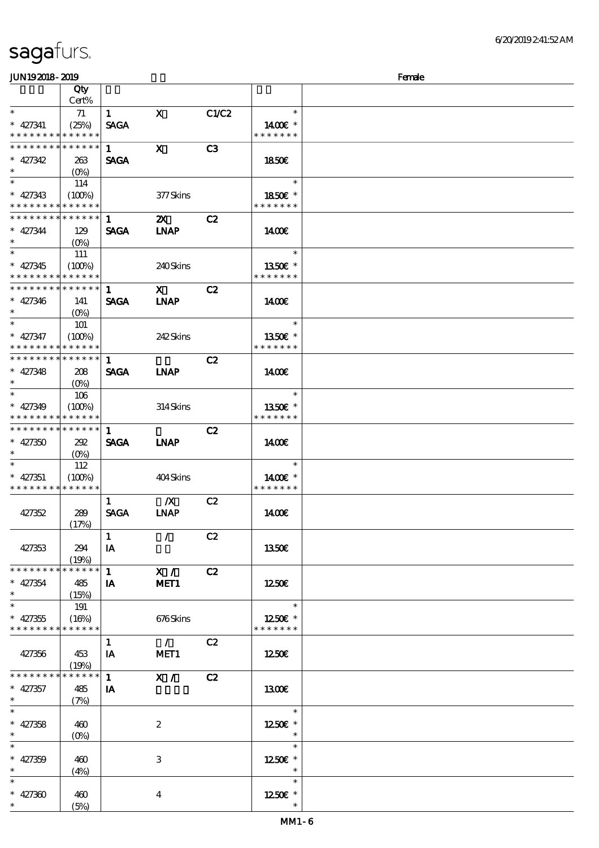|  | sagafurs. |
|--|-----------|
|  |           |

### $J<sub>W10</sub>$  2019 -  $2010$

| JUNIJAUO- AUJ                             |                 |              |                           |       |                          | rance |
|-------------------------------------------|-----------------|--------------|---------------------------|-------|--------------------------|-------|
|                                           | Qty             |              |                           |       |                          |       |
|                                           | Cert%           |              |                           |       |                          |       |
| $*$                                       | 71              | $\mathbf{1}$ | $\mathbf X$               | C1/C2 | $\ast$                   |       |
| $* 427341$                                | (25%)           | <b>SAGA</b>  |                           |       | 1400€ *                  |       |
| * * * * * * * *                           | * * * * * *     |              |                           |       | * * * * * * *            |       |
| * * * * * * * *                           | * * * * * *     | $\mathbf{1}$ | $\mathbf{x}$              | C3    |                          |       |
| $* 427342$                                | 263             | <b>SAGA</b>  |                           |       | <b>1850€</b>             |       |
| $\ast$                                    |                 |              |                           |       |                          |       |
| $\ast$                                    | $(O\% )$        |              |                           |       | $\ast$                   |       |
|                                           | 114             |              |                           |       |                          |       |
| $* 427343$                                | (100%)          |              | 377Skins                  |       | 1850€ *                  |       |
| * * * * * * * *                           | * * * * * *     |              |                           |       | * * * * * * *            |       |
| * * * * * * * *                           | ******          | 1            | $\mathbf{x}$              | C2    |                          |       |
| $* 427344$                                | 129             | <b>SAGA</b>  | <b>INAP</b>               |       | 1400E                    |       |
| $\ast$                                    |                 |              |                           |       |                          |       |
| $\overline{\phantom{0}}$                  | 111             |              |                           |       | $\ast$                   |       |
| $* 427345$                                | (100%)          |              | 240Skins                  |       | 1350E *                  |       |
| * * * * * * * *                           | * * * * * *     |              |                           |       | * * * * * * *            |       |
| * * * * * * * *                           | $***$ * * * * * |              |                           |       |                          |       |
|                                           |                 | $\mathbf{1}$ | $\mathbf{x}$              | C2    |                          |       |
| $* 427346$                                | 141             | <b>SAGA</b>  | <b>INAP</b>               |       | 1400E                    |       |
| $*$ and $*$                               | $(O\%)$         |              |                           |       |                          |       |
| $\ast$                                    | 101             |              |                           |       | $\ast$                   |       |
| $* 427347$                                | (100%)          |              | 242Skins                  |       | 1350€ *                  |       |
| * * * * * * * *                           | * * * * * *     |              |                           |       | * * * * * * *            |       |
| * * * * * * * *                           | * * * * * *     | $\mathbf{1}$ |                           | C2    |                          |       |
| $* 427348$                                | 208             | <b>SAGA</b>  | <b>INAP</b>               |       | $1400$ $E$               |       |
| $\ast$                                    |                 |              |                           |       |                          |       |
|                                           | $(O\%)$         |              |                           |       |                          |       |
| $*$                                       | 106             |              |                           |       | $\ast$                   |       |
| $* 427349$                                | (100%)          |              | $314$ Skins               |       | 1350E *                  |       |
| * * * * * * * *                           | * * * * * *     |              |                           |       | * * * * * * *            |       |
| * * * * * * * * * * * * * * *             |                 | 1            |                           | C2    |                          |       |
| $* 427350$                                | 292             | <b>SAGA</b>  | <b>INAP</b>               |       | 1400                     |       |
| $\ast$                                    | $(O\% )$        |              |                           |       |                          |       |
| $\ast$                                    | 112             |              |                           |       | $\ast$                   |       |
| $* 427351$                                | (100%)          |              | 404Skins                  |       | 1400€ *                  |       |
| * * * * * * * *                           | * * * * * *     |              |                           |       | * * * * * * *            |       |
|                                           |                 |              |                           |       |                          |       |
|                                           |                 | $\mathbf{1}$ | $\mathbf{X}$              | C2    |                          |       |
| 427352                                    | 289             | <b>SAGA</b>  | <b>INAP</b>               |       | 1400E                    |       |
|                                           | (17%)           |              |                           |       |                          |       |
|                                           |                 | $\mathbf{1}$ | $\mathcal{L}$             | C2    |                          |       |
| 427353                                    | 294             | $I\!\!A$     |                           |       | 1350€                    |       |
|                                           | (19%)           |              |                           |       |                          |       |
| * * * * * * * *                           | * * * * * *     | $\mathbf{1}$ | X /                       | C2    |                          |       |
| $* 427354$                                | 485             | IA           | MET1                      |       | 1250€                    |       |
| $\ast$                                    | (15%)           |              |                           |       |                          |       |
| $\ast$                                    | 191             |              |                           |       | $\ast$                   |       |
|                                           |                 |              |                           |       |                          |       |
| $* 427355$<br>* * * * * * * * * * * * * * | (16%)           |              | 676Skins                  |       | 1250E *<br>* * * * * * * |       |
|                                           |                 |              |                           |       |                          |       |
|                                           |                 | $\mathbf{1}$ | $\mathcal{L}$             | C2    |                          |       |
| 427356                                    | 453             | IA           | MET <sub>1</sub>          |       | 1250€                    |       |
|                                           | (19%)           |              |                           |       |                          |       |
| * * * * * * * *                           | ******          | $\mathbf{1}$ | X /                       | C2    |                          |       |
| $* 427357$                                | 485             | IA           |                           |       | 1300E                    |       |
| $\ast$                                    | (7%)            |              |                           |       |                          |       |
| $\overline{\ast}$                         |                 |              |                           |       | $\ast$                   |       |
| $* 427358$                                |                 |              |                           |       |                          |       |
| $\ast$                                    | 460             |              | $\boldsymbol{2}$          |       | 1250E *                  |       |
| $\ast$                                    | $(O\%)$         |              |                           |       | $\ast$                   |       |
|                                           |                 |              |                           |       |                          |       |
| $* 427359$                                | 460             |              | $\ensuremath{\mathbf{3}}$ |       | 1250€ *                  |       |
| $\ast$                                    | (4%)            |              |                           |       | $\ast$                   |       |
| $\ast$                                    |                 |              |                           |       | $\ast$                   |       |
| $* 427300$                                | 460             |              | $\overline{\mathbf{4}}$   |       | 1250E *                  |       |
| $\ast$                                    | (5%)            |              |                           |       |                          |       |
|                                           |                 |              |                           |       |                          |       |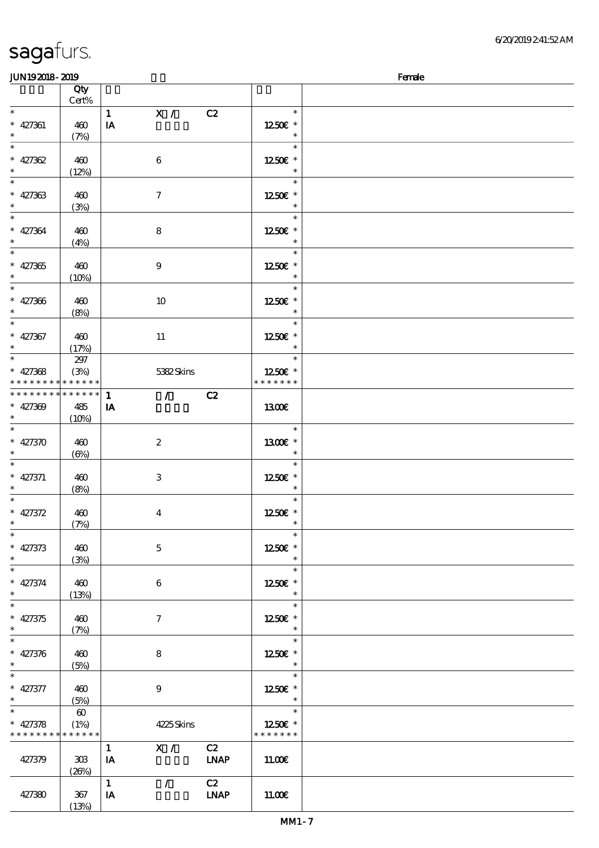#### JUN19 2018 - 2019 深啡 Female

| ----                        |                       |                                     |                   |  |
|-----------------------------|-----------------------|-------------------------------------|-------------------|--|
|                             | Qty<br>Cert%          |                                     |                   |  |
| $\ast$                      |                       | $\mathbf{X}$ /<br>$\mathbf{1}$      | $\ast$            |  |
|                             |                       | C2                                  |                   |  |
| $* 427361$                  | 460                   | IA                                  | 1250E *           |  |
| $\ast$                      | (7%)                  |                                     | $\ast$            |  |
| $\overline{\phantom{0}}$    |                       |                                     | $\ast$            |  |
|                             |                       |                                     |                   |  |
| $* 427362$                  | 460                   | $\boldsymbol{6}$                    | 1250 £*           |  |
| $\ast$                      | (12%)                 |                                     | $\ast$            |  |
|                             |                       |                                     | $\ast$            |  |
| $* 427363$                  |                       |                                     |                   |  |
|                             | 460                   | $\tau$                              | 1250E *           |  |
| $\ast$                      | (3%)                  |                                     | $\ast$            |  |
|                             |                       |                                     | $\ast$            |  |
| $* 427364$                  | 460                   | $\bf8$                              | 1250E *           |  |
| $\ast$                      |                       |                                     | $\ast$            |  |
|                             | (4%)                  |                                     |                   |  |
| $\overline{\phantom{0}}$    |                       |                                     | $\ast$            |  |
| $* 427365$                  | 460                   | $\boldsymbol{9}$                    | 1250E *           |  |
| $\ast$                      | (10%)                 |                                     | $\ast$            |  |
| $*$                         |                       |                                     | $\ast$            |  |
|                             |                       |                                     |                   |  |
|                             | 460                   | 10                                  | 1250E *           |  |
| * 427366                    | (8%)                  |                                     | $\ast$            |  |
| $\overline{\ast}$           |                       |                                     | $\ast$            |  |
|                             |                       |                                     |                   |  |
| $* 427367$                  | 460                   | $11\,$                              | 1250E *           |  |
| $\ast$                      | (17%)                 |                                     | $\ast$            |  |
|                             | $297$                 |                                     | $\ast$            |  |
| $* 427368$                  |                       |                                     |                   |  |
|                             | (3%)                  | 5382Skins                           | 1250E *           |  |
| * * * * * * * * * * * * * * |                       |                                     | * * * * * * *     |  |
| *************** 1           |                       | $\overline{1}$<br>C2                |                   |  |
| $* 427309$                  | 485                   | IA                                  | 1300              |  |
| $\star$                     | (10%)                 |                                     |                   |  |
|                             |                       |                                     |                   |  |
|                             |                       |                                     | $\ast$            |  |
| $* 427370$                  | 460                   | $\boldsymbol{2}$                    | 1300€ *           |  |
| $\ast$                      | $(\Theta)$            |                                     | $\ast$            |  |
|                             |                       |                                     | $\ast$            |  |
|                             |                       |                                     |                   |  |
| $* 427371$                  | 460                   | $\,3$                               | 1250E *           |  |
| $\ast$                      | (8%)                  |                                     | $\ast$            |  |
| $\overline{\ast}$           |                       |                                     | $\ast$            |  |
| $* 427372$                  | 460                   | $\boldsymbol{4}$                    | 1250E *           |  |
| $\ast$                      |                       |                                     | $\ast$            |  |
|                             | (7%)                  |                                     |                   |  |
| $\ast$                      |                       |                                     | $\ast$            |  |
| $* 427373$                  | 460                   | $\mathbf{5}$                        | 1250€ *           |  |
| $\ast$                      | (3%)                  |                                     | $\ast$            |  |
| $\ast$                      |                       |                                     | $\ast$            |  |
|                             |                       |                                     |                   |  |
| $* 427374$                  | 460                   | 6                                   | 1250E *           |  |
| $\ast$                      | (13%)                 |                                     | $\ast$            |  |
| $\overline{\ast}$           |                       |                                     | $\ast$            |  |
| $* 427375$                  | 460                   | $\boldsymbol{7}$                    | 1250E *           |  |
|                             |                       |                                     |                   |  |
| $\ast$                      | (7%)                  |                                     | $\ast$            |  |
| $\overline{\phantom{0}}$    |                       |                                     | $\ast$            |  |
| $* 427376$                  | 460                   | 8                                   | 1250E *           |  |
| $\ast$                      | (5%)                  |                                     | $\ast$            |  |
| $\overline{\phantom{0}}$    |                       |                                     | $\ast$            |  |
|                             |                       |                                     |                   |  |
| $* 427377$                  | 460                   | $\boldsymbol{9}$                    | $1250E$ $^{\ast}$ |  |
| $\ast$                      | (5%)                  |                                     | $\ast$            |  |
| $\ast$                      | $\boldsymbol{\omega}$ |                                     | $\ast$            |  |
|                             |                       |                                     |                   |  |
| $* 427378$                  | (1%)                  | 4225Skins                           | 1250E *           |  |
| * * * * * * * * * * * * * * |                       |                                     | * * * * * * *     |  |
|                             |                       | X /<br>C2<br>$\mathbf{1}$           |                   |  |
| 427379                      | 303                   | <b>LNAP</b><br>IA                   | 11.00E            |  |
|                             | (20%)                 |                                     |                   |  |
|                             |                       |                                     |                   |  |
|                             |                       | C2<br>$\mathbf{1}$<br>$\mathcal{L}$ |                   |  |
| 427380                      | 367                   | <b>LNAP</b><br>IA                   | 11.00E            |  |
|                             | (13%)                 |                                     |                   |  |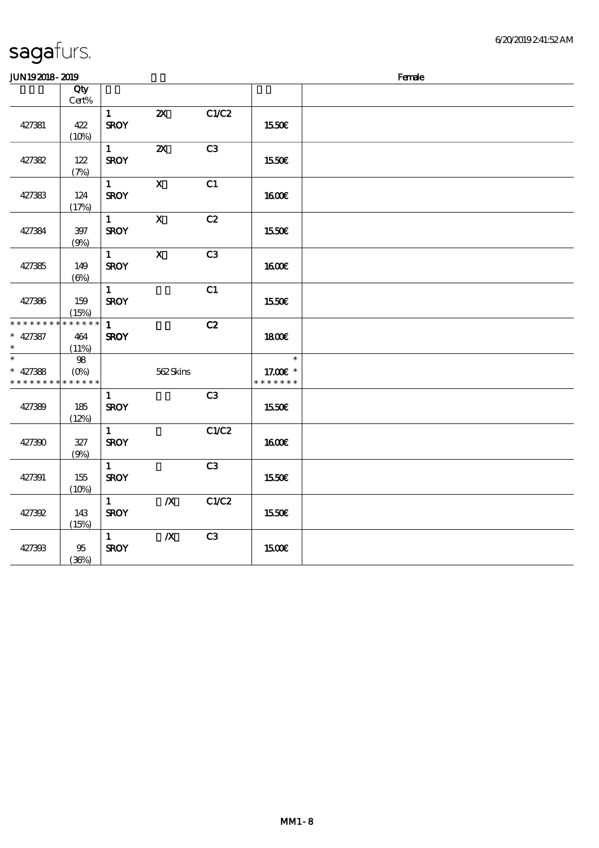| JUN192018-2019                          |                                  |                             |                           |                |                                     | Female |
|-----------------------------------------|----------------------------------|-----------------------------|---------------------------|----------------|-------------------------------------|--------|
|                                         | Qty<br>Cert%                     |                             |                           |                |                                     |        |
| 427381                                  | 422<br>(10%)                     | $\mathbf{1}$<br><b>SROY</b> | $\boldsymbol{\mathsf{z}}$ | C1/C2          | 1550E                               |        |
| 427382                                  | 122<br>(7%)                      | $\mathbf{1}$<br><b>SROY</b> | $\boldsymbol{\mathsf{z}}$ | C3             | 1550€                               |        |
| 427383                                  | $124\,$<br>(17%)                 | $1 -$<br><b>SROY</b>        | $\boldsymbol{\mathsf{X}}$ | C1             | <b>1600€</b>                        |        |
| 427384                                  | $397\,$<br>(9%)                  | $\mathbf{1}$<br><b>SROY</b> | $\mathbf X$               | C2             | 1550€                               |        |
| 427385                                  | 149<br>$(\Theta)$                | $\mathbf{1}$<br><b>SROY</b> | $\mathbf{x}$              | C <sub>3</sub> | <b>160€</b>                         |        |
| 427386                                  | 159<br>(15%)                     | $\mathbf{1}$<br><b>SROY</b> |                           | C1             | 1550€                               |        |
| * * * * * * * *<br>$* 427387$<br>$\ast$ | * * * * * *<br>464<br>(11%)      | $\mathbf{1}$<br><b>SROY</b> |                           | C2             | <b>1800€</b>                        |        |
| $\ast$<br>$* 427388$<br>* * * * * * * * | $98\,$<br>$(0\%)$<br>* * * * * * |                             | 562Skins                  |                | $\ast$<br>17.00€ *<br>* * * * * * * |        |
| 427389                                  | 185<br>(12%)                     | $\mathbf{1}$<br><b>SROY</b> |                           | C3             | 1550€                               |        |
| 427390                                  | $327\,$<br>(9%)                  | $\mathbf{1}$<br><b>SROY</b> |                           | C1/C2          | <b>1600€</b>                        |        |
| 427391                                  | 155<br>(10%)                     | $\mathbf{1}$<br><b>SROY</b> |                           | C3             | 1550€                               |        |
| 427392                                  | 143<br>(15%)                     | $\mathbf{1}$<br><b>SROY</b> | $\boldsymbol{X}$          | C1/C2          | 1550€                               |        |
| 427393                                  | 95<br>(36%)                      | $\mathbf{1}$<br><b>SROY</b> | $\boldsymbol{X}$          | C3             | 1500€                               |        |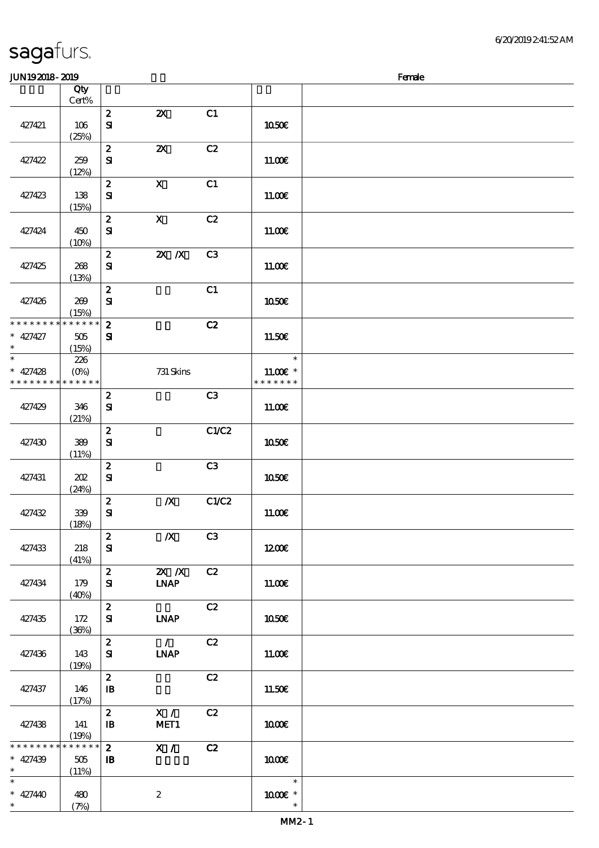| sagafurs. |
|-----------|
|-----------|

#### $JIN192018 - 2019$  Female

| .                 |                      |                            |                           |                |                          | ------ |
|-------------------|----------------------|----------------------------|---------------------------|----------------|--------------------------|--------|
|                   | Qty<br>Cert%         |                            |                           |                |                          |        |
|                   |                      | $\boldsymbol{z}$           | $\boldsymbol{\mathsf{z}}$ | C1             |                          |        |
| 427421            | 106                  | $\mathbf{S}$               |                           |                | 1050€                    |        |
|                   | (25%)                |                            |                           |                |                          |        |
|                   |                      | $\boldsymbol{z}$           | $\boldsymbol{\mathsf{z}}$ | C2             |                          |        |
| 427422            | 259                  | ${\bf s}$                  |                           |                | 11.00E                   |        |
|                   | (12%)                |                            |                           |                |                          |        |
|                   |                      | $\boldsymbol{2}$           | $\boldsymbol{\mathsf{X}}$ | C1             |                          |        |
| 427423            | 138                  | $\mathbf{S}$               |                           |                | 11.00E                   |        |
|                   | (15%)                | $\pmb{2}$                  | $\mathbf X$               | C2             |                          |        |
| 427424            | 450                  | $\mathbf{S}$               |                           |                | 1100E                    |        |
|                   | (10%)                |                            |                           |                |                          |        |
|                   |                      | $\boldsymbol{z}$           | $X$ $N$                   | C <sub>3</sub> |                          |        |
| 427425            | 268                  | ${\bf s}$                  |                           |                | 11.00E                   |        |
|                   | (13%)                |                            |                           |                |                          |        |
|                   |                      | $\boldsymbol{z}$           |                           | C1             |                          |        |
| 427426            | 269                  | ${\bf S}$                  |                           |                | 1050€                    |        |
| * * * * * * * *   | (15%)<br>* * * * * * | $\boldsymbol{2}$           |                           | C2             |                          |        |
| $* 427427$        | $505\,$              | $\mathbf{S}$               |                           |                | 11.50E                   |        |
| $\ast$            | (15%)                |                            |                           |                |                          |        |
| $\overline{\ast}$ | 226                  |                            |                           |                | $\overline{\phantom{a}}$ |        |
| $* 427428$        | $(0\%)$              |                            | 731 Skins                 |                | $11.00E$ *               |        |
| * * * * * * * *   | * * * * * *          |                            |                           |                | * * * * * * *            |        |
|                   |                      | $\boldsymbol{z}$           |                           | C3             |                          |        |
| 427429            | 346                  | $\mathbf{S}$               |                           |                | 11.00E                   |        |
|                   | (21%)                | $\pmb{2}$                  |                           | C1/C2          |                          |        |
| 427430            | 389                  | $\mathbf{S}$               |                           |                | <b>1050€</b>             |        |
|                   | (11%)                |                            |                           |                |                          |        |
|                   |                      | $\boldsymbol{2}$           |                           | C3             |                          |        |
| 427431            | 202                  | ${\bf S}$                  |                           |                | <b>1050€</b>             |        |
|                   | (24%)                |                            |                           |                |                          |        |
|                   |                      | $\boldsymbol{2}$           | $\boldsymbol{X}$          | C1/C2          |                          |        |
| 427432            | 339<br>(18%)         | $\mathbf{S}$               |                           |                | 1100E                    |        |
|                   |                      | $\boldsymbol{z}$           | $\boldsymbol{X}$          | C <sub>3</sub> |                          |        |
| 427433            | 218                  | ${\bf S}$                  |                           |                | 1200E                    |        |
|                   | (41%)                |                            |                           |                |                          |        |
|                   |                      | $\boldsymbol{z}$           | $X$ $N$                   | C2             |                          |        |
| 427434            | 179                  | ${\bf s}$                  | <b>INAP</b>               |                | 11.00E                   |        |
|                   | (40%)                | $\boldsymbol{z}$           |                           | C2             |                          |        |
| 427435            | 172                  | $\mathbf{S}$               | <b>LNAP</b>               |                | 1050€                    |        |
|                   | (36%)                |                            |                           |                |                          |        |
|                   |                      | $\boldsymbol{z}$           | $\mathcal{L}$             | C2             |                          |        |
| 427436            | 143                  | ${\bf s}$                  | <b>LNAP</b>               |                | 11.00E                   |        |
|                   | (19%)                |                            |                           |                |                          |        |
|                   |                      | $\boldsymbol{2}$           |                           | C2             |                          |        |
| 427437            | 146                  | ${\bf I\!B}$               |                           |                | 11.50€                   |        |
|                   | (17%)                | $\boldsymbol{z}$           | X /                       | C2             |                          |        |
| 427438            | 141                  | ${\bf I\!B}$               | MET1                      |                | 1000E                    |        |
|                   | (19%)                |                            |                           |                |                          |        |
| * * * * * * * *   | * * * * * *          | $\mathbf{z}$               | X /                       | C2             |                          |        |
| $* 427439$        | 505                  | $\, {\bf I} \! {\bf B} \,$ |                           |                | 1000E                    |        |
| $\ast$<br>$\ast$  | (11%)                |                            |                           |                | $\ast$                   |        |
| $* 427440$        | 480                  |                            | $\boldsymbol{2}$          |                | 1000 *                   |        |
| $\ast$            | (7%)                 |                            |                           |                | $\ast$                   |        |
|                   |                      |                            |                           |                |                          |        |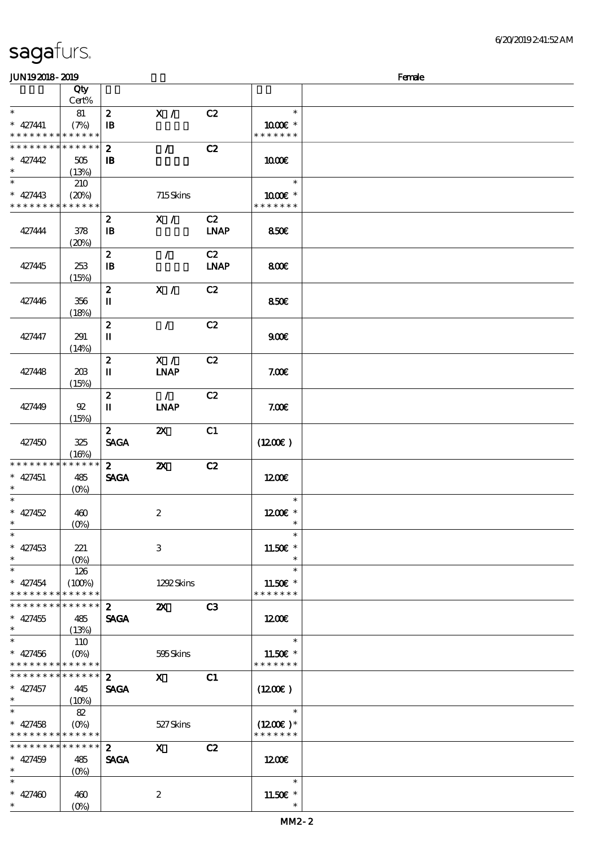### $J\sim 100$  Female

|                 |                                 |                  |                           |             |                       | ----- |
|-----------------|---------------------------------|------------------|---------------------------|-------------|-----------------------|-------|
|                 | Qty<br>Cert%                    |                  |                           |             |                       |       |
|                 |                                 |                  |                           |             |                       |       |
| $\ast$          | 81                              | $\boldsymbol{z}$ | X /                       | C2          | $\ast$                |       |
| $* 427441$      | (7%)                            | $\mathbf{B}$     |                           |             | 1000€ *               |       |
| * * * * * * * * | * * * * * *                     |                  |                           |             | * * * * * * *         |       |
| * * * * * * *   | * * * * * *                     | $\boldsymbol{z}$ | $\mathcal{L}$             | C2          |                       |       |
|                 |                                 |                  |                           |             |                       |       |
| $* 427442$      | 505                             | $\mathbf{B}$     |                           |             | 1000E                 |       |
| $\ast$          | (13%)                           |                  |                           |             |                       |       |
| $\ast$          | 210                             |                  |                           |             | $\ast$                |       |
| $* 427443$      | (20%)                           |                  | 715Skins                  |             | 1000 *                |       |
| * * * * * * * * | * * * * * *                     |                  |                           |             | * * * * * * *         |       |
|                 |                                 |                  |                           |             |                       |       |
|                 |                                 | $\boldsymbol{z}$ | X /                       | C2          |                       |       |
| 427444          | 378                             | $\mathbf{B}$     |                           | <b>LNAP</b> | 850E                  |       |
|                 | (20%)                           |                  |                           |             |                       |       |
|                 |                                 | $\boldsymbol{z}$ | $\mathcal{L}$             | C2          |                       |       |
|                 |                                 |                  |                           |             |                       |       |
| 427445          | 253                             | $\mathbf{B}$     |                           | <b>LNAP</b> | 800E                  |       |
|                 | (15%)                           |                  |                           |             |                       |       |
|                 |                                 | $\boldsymbol{z}$ | X /                       | C2          |                       |       |
| 427446          | 356                             | п                |                           |             | 850€                  |       |
|                 | (18%)                           |                  |                           |             |                       |       |
|                 |                                 |                  |                           |             |                       |       |
|                 |                                 | $\boldsymbol{z}$ | $\mathcal{L}$             | C2          |                       |       |
| 427447          | 291                             | $\mathbf I$      |                           |             | 900E                  |       |
|                 | (14%)                           |                  |                           |             |                       |       |
|                 |                                 | $\boldsymbol{z}$ | X /                       | C2          |                       |       |
| 427448          | 20B                             | П                | <b>INAP</b>               |             | 7.006                 |       |
|                 |                                 |                  |                           |             |                       |       |
|                 | (15%)                           |                  |                           |             |                       |       |
|                 |                                 | $\boldsymbol{z}$ | $\mathcal{L}$             | C2          |                       |       |
| 427449          | 92                              | П                | <b>LNAP</b>               |             | 7.00E                 |       |
|                 | (15%)                           |                  |                           |             |                       |       |
|                 |                                 | $\mathbf{z}$     | ZX                        |             |                       |       |
|                 |                                 |                  |                           | C1          |                       |       |
| 427450          | 325                             | <b>SAGA</b>      |                           |             | (1200)                |       |
|                 | (16%)                           |                  |                           |             |                       |       |
| * * * * * * * * | * * * * * *                     | 2 <sup>1</sup>   | $\boldsymbol{\mathsf{z}}$ | C2          |                       |       |
| $* 427451$      | 485                             | <b>SAGA</b>      |                           |             | 1200E                 |       |
| $\ast$          |                                 |                  |                           |             |                       |       |
|                 | $(0\%)$                         |                  |                           |             |                       |       |
| $\ast$          |                                 |                  |                           |             | $\ast$                |       |
| $* 427452$      | 460                             |                  | $\boldsymbol{2}$          |             | 1200E *               |       |
| $\ast$          | $(O\!/\!\delta)$                |                  |                           |             | $\ast$                |       |
| $\ast$          |                                 |                  |                           |             | $\ast$                |       |
|                 |                                 |                  |                           |             |                       |       |
| $* 427453$      | 221                             |                  | $\,3$                     |             | 11.50€ *              |       |
| $\ast$          | $(O\!\!\!\!\!\!\backslash\rho)$ |                  |                           |             | $\ast$                |       |
| $\ast$          | 126                             |                  |                           |             | $\ast$                |       |
| $* 427454$      | (100%)                          |                  | 1292Skins                 |             | 11.50€ *              |       |
| * * * * * * * * | * * * * * *                     |                  |                           |             | * * * * * * *         |       |
| * * * * * * * * | * * * * * *                     |                  |                           |             |                       |       |
|                 |                                 | $\boldsymbol{z}$ | $\boldsymbol{\mathsf{z}}$ | C3          |                       |       |
| $* 427455$      | 485                             | <b>SAGA</b>      |                           |             | 1200                  |       |
| $\ast$          | (13%)                           |                  |                           |             |                       |       |
| $\ast$          | 110                             |                  |                           |             | $\ast$                |       |
| $* 427456$      | $(O\%)$                         |                  | 595Skins                  |             | 11.50 $\varepsilon$ * |       |
| * * * * * * * * | * * * * * *                     |                  |                           |             | * * * * * * *         |       |
|                 |                                 |                  |                           |             |                       |       |
| * * * * * * * * | * * * * * *                     | $\mathbf{z}$     | $\mathbf{X}$              | C1          |                       |       |
| $* 427457$      | 445                             | <b>SAGA</b>      |                           |             | (1200E)               |       |
| $\ast$          | (10%)                           |                  |                           |             |                       |       |
| $\ast$          | 82                              |                  |                           |             | $\ast$                |       |
| $* 427458$      | $(O\%)$                         |                  | 527Skins                  |             | $(1200E)^*$           |       |
| * * * * * * * * | * * * * * *                     |                  |                           |             | * * * * * * *         |       |
|                 |                                 |                  |                           |             |                       |       |
| * * * * * * *   | * * * * * *                     | $\boldsymbol{z}$ | $\mathbf{x}$              | C2          |                       |       |
| $* 427459$      | 485                             | <b>SAGA</b>      |                           |             | 1200E                 |       |
| $\ast$          | $(0\%)$                         |                  |                           |             |                       |       |
| $\ast$          |                                 |                  |                           |             | $\ast$                |       |
|                 |                                 |                  |                           |             |                       |       |
| $* 427400$      | 460                             |                  | $\boldsymbol{2}$          |             | 11.50€ *              |       |
| $\ast$          | $(0\%)$                         |                  |                           |             | $\ast$                |       |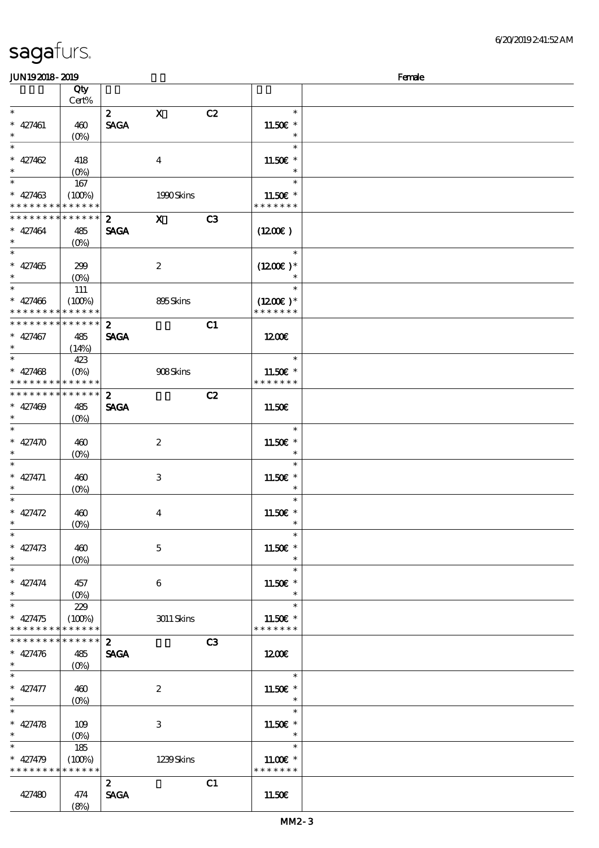| <b>saga</b> furs. |  |
|-------------------|--|
|                   |  |

### $J<sub>W10</sub>$  2019 -  $2010$

| JUNIJAJIO- AJIJ                            |                                 |                  |                  |                |                       | rance |
|--------------------------------------------|---------------------------------|------------------|------------------|----------------|-----------------------|-------|
|                                            | Qty                             |                  |                  |                |                       |       |
|                                            | Cert%                           |                  |                  |                |                       |       |
| $\ast$                                     |                                 | $\mathbf{z}$     | $\mathbf{x}$     | C2             | $\ast$                |       |
| $* 427461$                                 | 460                             | <b>SAGA</b>      |                  |                | 11.50€ *              |       |
| $*$                                        | $(O\%)$                         |                  |                  |                | $\ast$                |       |
| $\overline{\ast}$                          |                                 |                  |                  |                | $\ast$                |       |
|                                            |                                 |                  |                  |                |                       |       |
| * $427462$                                 | 418                             |                  | $\boldsymbol{4}$ |                | 11.50€ *              |       |
| $*$                                        | $(O\% )$                        |                  |                  |                | $\ast$                |       |
|                                            | 167                             |                  |                  |                | $\ast$                |       |
| $* 427463$                                 | (100%)                          |                  | 1990Skins        |                | 11.50€ *              |       |
|                                            |                                 |                  |                  |                | * * * * * * *         |       |
| * * * * * * * *                            | $\ast\ast\ast\ast\ast\ast$      |                  |                  |                |                       |       |
| * * * * * * * *                            | $*******$                       | $\boldsymbol{z}$ | $\mathbf{x}$     | C <sub>3</sub> |                       |       |
| $* 427464$                                 | 485                             | <b>SAGA</b>      |                  |                | $(1200\varepsilon)$   |       |
| $\ast$                                     | $(O\%)$                         |                  |                  |                |                       |       |
|                                            |                                 |                  |                  |                | $\ast$                |       |
|                                            |                                 |                  |                  |                |                       |       |
| $* 427465$                                 | 299                             |                  | $\boldsymbol{2}$ |                | $(1200E)*$            |       |
| $\ast$                                     | $(O\!\!\!\!\!\!\backslash\rho)$ |                  |                  |                |                       |       |
|                                            | 111                             |                  |                  |                | $\ast$                |       |
| $* 427406$                                 | (100%)                          |                  | 895Skins         |                | $(1200E)*$            |       |
|                                            |                                 |                  |                  |                | * * * * * * *         |       |
| * * * * * * * *                            | $\ast\ast\ast\ast\ast\ast$      |                  |                  |                |                       |       |
| * * * * * * * * *                          | $******$                        | $\mathbf{2}$     |                  | C1             |                       |       |
| $* 427467$                                 | 485                             | <b>SAGA</b>      |                  |                | 1200                  |       |
| $\ast$                                     | (14%)                           |                  |                  |                |                       |       |
| $\overline{\phantom{0}}$                   |                                 |                  |                  |                | $\ast$                |       |
|                                            | 423                             |                  |                  |                |                       |       |
| $* 427468$                                 | $(O\% )$                        |                  | 908Skins         |                | 11.50€ *              |       |
| * * * * * * * * <mark>* * * * * * *</mark> |                                 |                  |                  |                | * * * * * * *         |       |
| * * * * * * * * * * * * * * *              |                                 | $\mathbf{z}$     |                  | C2             |                       |       |
| $* 427469$                                 | 485                             | <b>SAGA</b>      |                  |                | 11.50E                |       |
| $\ast$                                     |                                 |                  |                  |                |                       |       |
|                                            | $(O\%)$                         |                  |                  |                |                       |       |
| $*$                                        |                                 |                  |                  |                | $\ast$                |       |
| $* 427470$                                 | 460                             |                  | $\boldsymbol{2}$ |                | 11.50€ *              |       |
| $\ast$                                     | $(0\%)$                         |                  |                  |                | $\ast$                |       |
|                                            |                                 |                  |                  |                | $\ast$                |       |
|                                            |                                 |                  |                  |                |                       |       |
| $* 427471$                                 | 460                             |                  | $\,3$            |                | 11.50€ *              |       |
| $\ast$                                     | $(0\%)$                         |                  |                  |                | $\ast$                |       |
| $\ast$                                     |                                 |                  |                  |                | $\ast$                |       |
| * $427472$                                 | 460                             |                  | $\boldsymbol{4}$ |                | 11.50 $\varepsilon$ * |       |
| $\ast$                                     |                                 |                  |                  |                | $\ast$                |       |
|                                            | $(O\%)$                         |                  |                  |                |                       |       |
| $\ast$                                     |                                 |                  |                  |                | $\ast$                |       |
| $* 427473$                                 | 460                             |                  | $\mathbf 5$      |                | 11.50€ *              |       |
| $\ast$                                     | $(0\%)$                         |                  |                  |                | $\ast$                |       |
| $\ast$                                     |                                 |                  |                  |                | $\ast$                |       |
|                                            |                                 |                  |                  |                |                       |       |
| $* 427474$                                 | 457                             |                  | 6                |                | 11.50 $\varepsilon$ * |       |
| $\ast$                                     | (O <sub>0</sub> )               |                  |                  |                | $\ast$                |       |
| $\ast$                                     | 229                             |                  |                  |                | $\ast$                |       |
| $* 427475$                                 | (100%)                          |                  | 3011 Skins       |                | 11.50€ *              |       |
| * * * * * * * *                            | * * * * * *                     |                  |                  |                | * * * * * * *         |       |
|                                            |                                 |                  |                  |                |                       |       |
| * * * * * * * *                            | * * * * * *                     | $\boldsymbol{2}$ |                  | C <sub>3</sub> |                       |       |
| $* 427476$                                 | 485                             | <b>SAGA</b>      |                  |                | 1200                  |       |
| $\ast$                                     | $(0\%)$                         |                  |                  |                |                       |       |
| $\ast$                                     |                                 |                  |                  |                | $\ast$                |       |
|                                            |                                 |                  |                  |                |                       |       |
| $* 427477$                                 | 460                             |                  | $\boldsymbol{2}$ |                | 11.50€ *              |       |
| $\ast$                                     | $(O\!/\!o)$                     |                  |                  |                | $\ast$                |       |
| $\ast$                                     |                                 |                  |                  |                | $\ast$                |       |
| * $427478$                                 | 109                             |                  | $\,3\,$          |                | 11.50€ *              |       |
| $\ast$                                     |                                 |                  |                  |                | $\ast$                |       |
|                                            | $(O\!/\!\delta)$                |                  |                  |                |                       |       |
| $\ast$                                     | 185                             |                  |                  |                | $\ast$                |       |
| * $427479$                                 | (100%)                          |                  | 1239Skins        |                | $11.00E$ *            |       |
| * * * * * * * *                            | * * * * * *                     |                  |                  |                | * * * * * * *         |       |
|                                            |                                 | $\boldsymbol{z}$ |                  | C1             |                       |       |
|                                            |                                 |                  |                  |                |                       |       |
| 427480                                     | 474                             | <b>SAGA</b>      |                  |                | 11.50€                |       |
|                                            | (8%)                            |                  |                  |                |                       |       |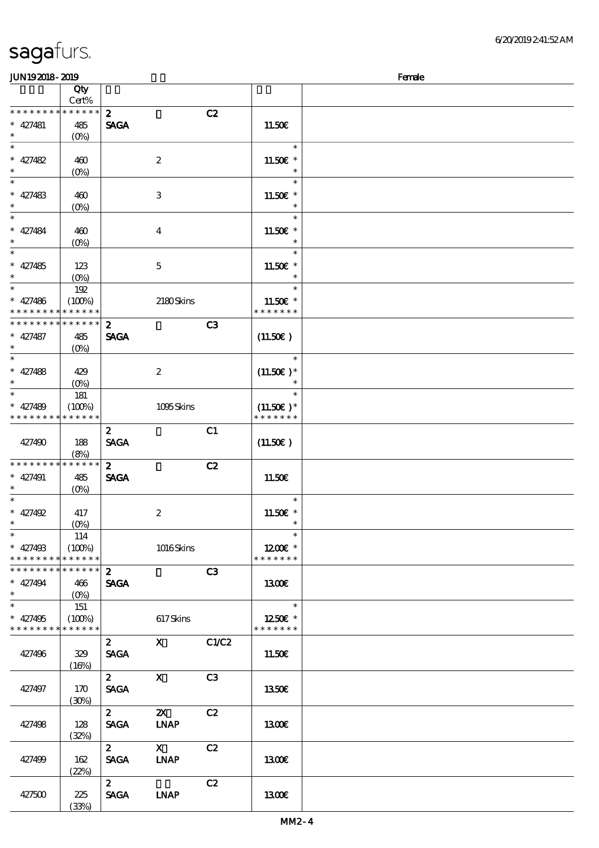(33%)

| <b>JUN192018-2019</b>       |                                 |                  |                                                                                                                                                                                                                                                                                                                                 |                |                       | Female |
|-----------------------------|---------------------------------|------------------|---------------------------------------------------------------------------------------------------------------------------------------------------------------------------------------------------------------------------------------------------------------------------------------------------------------------------------|----------------|-----------------------|--------|
|                             | Qty                             |                  |                                                                                                                                                                                                                                                                                                                                 |                |                       |        |
|                             | Cert%                           |                  |                                                                                                                                                                                                                                                                                                                                 |                |                       |        |
| * * * * * * * * * * * * * * |                                 | $\boldsymbol{z}$ |                                                                                                                                                                                                                                                                                                                                 | C2             |                       |        |
| $* 427481$                  | 485                             | <b>SAGA</b>      |                                                                                                                                                                                                                                                                                                                                 |                | 11.50E                |        |
| $\ast$                      | $(O\!/\!\!\delta)$              |                  |                                                                                                                                                                                                                                                                                                                                 |                |                       |        |
| $\ast$                      |                                 |                  |                                                                                                                                                                                                                                                                                                                                 |                | $\ast$                |        |
| $* 427482$                  | 460                             |                  | $\boldsymbol{2}$                                                                                                                                                                                                                                                                                                                |                | 11.50€ *              |        |
| $\ast$                      |                                 |                  |                                                                                                                                                                                                                                                                                                                                 |                | $\ast$                |        |
| $\ast$                      | $(O\!\!\!\!\!\!\backslash\rho)$ |                  |                                                                                                                                                                                                                                                                                                                                 |                | $\ast$                |        |
|                             |                                 |                  |                                                                                                                                                                                                                                                                                                                                 |                |                       |        |
| $* 427483$                  | 460                             |                  | $\ensuremath{\mathbf{3}}$                                                                                                                                                                                                                                                                                                       |                | 11.50€ *              |        |
| $\ast$                      | $(0\%)$                         |                  |                                                                                                                                                                                                                                                                                                                                 |                | $\ast$                |        |
| $\ast$                      |                                 |                  |                                                                                                                                                                                                                                                                                                                                 |                | $\ast$                |        |
| $* 427484$                  | 460                             |                  | $\boldsymbol{4}$                                                                                                                                                                                                                                                                                                                |                | 11.50€ *              |        |
| $\ast$                      | (0%)                            |                  |                                                                                                                                                                                                                                                                                                                                 |                | $\ast$                |        |
| $\overline{\ast}$           |                                 |                  |                                                                                                                                                                                                                                                                                                                                 |                | $\ast$                |        |
| $* 427485$                  | 123                             |                  | $\mathbf 5$                                                                                                                                                                                                                                                                                                                     |                | 11.50€ *              |        |
| $\ast$                      | $(0\%)$                         |                  |                                                                                                                                                                                                                                                                                                                                 |                | $\ast$                |        |
| $\ast$                      | 192                             |                  |                                                                                                                                                                                                                                                                                                                                 |                | $\ast$                |        |
| $* 427486$                  | (100%)                          |                  | 2180Skins                                                                                                                                                                                                                                                                                                                       |                | 11.50€ *              |        |
| * * * * * * * *             | * * * * * *                     |                  |                                                                                                                                                                                                                                                                                                                                 |                | * * * * * * *         |        |
| * * * * * * * *             | * * * * * *                     |                  |                                                                                                                                                                                                                                                                                                                                 |                |                       |        |
|                             |                                 | $\boldsymbol{2}$ |                                                                                                                                                                                                                                                                                                                                 | C <sub>3</sub> |                       |        |
| $* 427487$                  | 485                             | <b>SAGA</b>      |                                                                                                                                                                                                                                                                                                                                 |                | (11.50)               |        |
| $\ast$                      | $(O\%)$                         |                  |                                                                                                                                                                                                                                                                                                                                 |                |                       |        |
| $\ast$                      |                                 |                  |                                                                                                                                                                                                                                                                                                                                 |                | $\ast$                |        |
| $* 427488$                  | 429                             |                  | $\boldsymbol{2}$                                                                                                                                                                                                                                                                                                                |                | $(11.50)$ *           |        |
| $\ast$                      | $(0\%)$                         |                  |                                                                                                                                                                                                                                                                                                                                 |                | $\ast$                |        |
| $\ast$                      | 181                             |                  |                                                                                                                                                                                                                                                                                                                                 |                | $\ast$                |        |
| $* 427489$                  | (100%)                          |                  | 1095Skins                                                                                                                                                                                                                                                                                                                       |                | $(11.50)$ *           |        |
| * * * * * * * * * * * * * * |                                 |                  |                                                                                                                                                                                                                                                                                                                                 |                | * * * * * * *         |        |
|                             |                                 | $\boldsymbol{z}$ |                                                                                                                                                                                                                                                                                                                                 | C1             |                       |        |
| 427490                      | 188                             | <b>SAGA</b>      |                                                                                                                                                                                                                                                                                                                                 |                | (11.50)               |        |
|                             |                                 |                  |                                                                                                                                                                                                                                                                                                                                 |                |                       |        |
| * * * * * * * *             | (8%)<br>* * * * * *             |                  |                                                                                                                                                                                                                                                                                                                                 |                |                       |        |
|                             |                                 | $\mathbf{z}$     |                                                                                                                                                                                                                                                                                                                                 | C2             |                       |        |
| $* 427491$                  | 485                             | <b>SAGA</b>      |                                                                                                                                                                                                                                                                                                                                 |                | 11.50€                |        |
| $\ast$                      | $(O\%)$                         |                  |                                                                                                                                                                                                                                                                                                                                 |                |                       |        |
| $\ast$                      |                                 |                  |                                                                                                                                                                                                                                                                                                                                 |                | $\ast$                |        |
| $* 427492$                  | 417                             |                  | $\boldsymbol{2}$                                                                                                                                                                                                                                                                                                                |                | 11.50 $\varepsilon$ * |        |
| $*$                         | $(0\%)$                         |                  |                                                                                                                                                                                                                                                                                                                                 |                | $\ast$                |        |
| $\ast$                      | 114                             |                  |                                                                                                                                                                                                                                                                                                                                 |                | $\ast$                |        |
| $* 427498$                  | (100%)                          |                  | 1016Skins                                                                                                                                                                                                                                                                                                                       |                | $1200E$ *             |        |
| * * * * * * * *             | * * * * * *                     |                  |                                                                                                                                                                                                                                                                                                                                 |                | * * * * * * *         |        |
| * * * * * * * * * * * * * * |                                 | $\mathbf{2}$     |                                                                                                                                                                                                                                                                                                                                 | C3             |                       |        |
| $* 427494$                  | 466                             | <b>SAGA</b>      |                                                                                                                                                                                                                                                                                                                                 |                | 1300                  |        |
| $\ast$                      |                                 |                  |                                                                                                                                                                                                                                                                                                                                 |                |                       |        |
| $\overline{\ast}$           | 151                             |                  |                                                                                                                                                                                                                                                                                                                                 |                | $\ast$                |        |
| $* 427495$                  | (100%)                          |                  |                                                                                                                                                                                                                                                                                                                                 |                | 1250E *               |        |
| * * * * * * * * * * * * * * |                                 |                  | 617Skins                                                                                                                                                                                                                                                                                                                        |                | * * * * * * *         |        |
|                             |                                 |                  |                                                                                                                                                                                                                                                                                                                                 |                |                       |        |
|                             |                                 | $\mathbf{2}$     | $\mathbf X$ and $\mathbf X$ and $\mathbf X$ and $\mathbf X$ and $\mathbf X$ and $\mathbf X$ and $\mathbf X$ and $\mathbf X$ and $\mathbf X$ and $\mathbf X$ and $\mathbf X$ and $\mathbf X$ and $\mathbf X$ and $\mathbf X$ and $\mathbf X$ and $\mathbf X$ and $\mathbf X$ and $\mathbf X$ and $\mathbf X$ and $\mathbf X$ and | C1/C2          |                       |        |
| 427496                      | 329                             | <b>SAGA</b>      |                                                                                                                                                                                                                                                                                                                                 |                | 11.50E                |        |
|                             | (16%)                           |                  |                                                                                                                                                                                                                                                                                                                                 |                |                       |        |
|                             |                                 | $2^{\circ}$      | $\mathbf{X}$                                                                                                                                                                                                                                                                                                                    | C3             |                       |        |
| 427497                      | 170                             | <b>SAGA</b>      |                                                                                                                                                                                                                                                                                                                                 |                | 1350E                 |        |
|                             | (30%)                           |                  |                                                                                                                                                                                                                                                                                                                                 |                |                       |        |
|                             |                                 | $\mathbf{2}$     | $\boldsymbol{\mathsf{X}}$                                                                                                                                                                                                                                                                                                       | C2             |                       |        |
| 427498                      | 128                             | <b>SAGA</b>      | <b>INAP</b>                                                                                                                                                                                                                                                                                                                     |                | 1300                  |        |
|                             | (32%)                           |                  |                                                                                                                                                                                                                                                                                                                                 |                |                       |        |
|                             |                                 | $\mathbf{2}$     | $\mathbf{X}$                                                                                                                                                                                                                                                                                                                    | C2             |                       |        |
|                             |                                 |                  |                                                                                                                                                                                                                                                                                                                                 |                |                       |        |
| 427499                      | 162                             | <b>SAGA</b>      | <b>INAP</b>                                                                                                                                                                                                                                                                                                                     |                | 1300E                 |        |
|                             | (22%)                           |                  |                                                                                                                                                                                                                                                                                                                                 |                |                       |        |
|                             |                                 | $\mathbf{2}$     |                                                                                                                                                                                                                                                                                                                                 | C2             |                       |        |
| 427500                      | 225                             | <b>SAGA</b>      | <b>LNAP</b>                                                                                                                                                                                                                                                                                                                     |                | 1300E                 |        |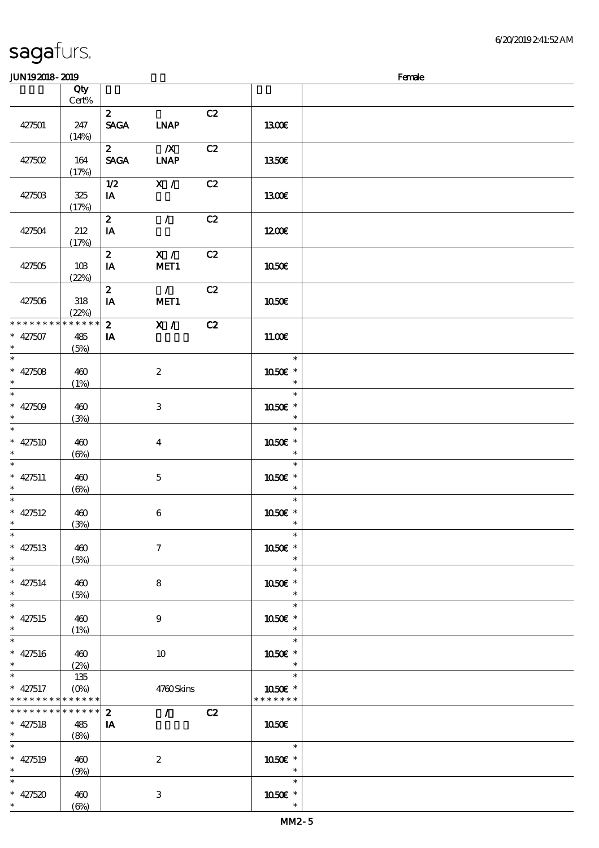### $J<sub>W102019</sub>$  2010

| JUNIORUO AUJO                                                           |                               |                             |                                        |    |                                    | rance |
|-------------------------------------------------------------------------|-------------------------------|-----------------------------|----------------------------------------|----|------------------------------------|-------|
|                                                                         | Qty<br>Cert%                  |                             |                                        |    |                                    |       |
| 427501                                                                  | 247<br>(14%)                  | $\mathbf{z}$<br><b>SAGA</b> | <b>LNAP</b>                            | C2 | 1300€                              |       |
| 427502                                                                  | 164<br>(17%)                  | $2^{-}$<br><b>SAGA</b>      | $\overline{\mathbf{X}}$<br><b>INAP</b> | C2 | 1350€                              |       |
| 427503                                                                  | 325<br>(17%)                  | 1/2<br>IA                   | X /                                    | C2 | 1300E                              |       |
| 427504                                                                  | 212<br>(17%)                  | $\mathbf{2}$<br>IA          | $\mathcal{F}$                          | C2 | 1200E                              |       |
| 427505                                                                  | 10B<br>(22%)                  | $\mathbf{z}$<br>IA          | X /<br>MET1                            | C2 | 1050€                              |       |
| 427506                                                                  | $318\,$<br>(22%)              | $\mathbf{2}$<br>$I$ A       | $\overline{1}$<br>MET1                 | C2 | 1050€                              |       |
| * * * * * * * *<br>$* 427507$<br>$\ast$                                 | * * * * * *<br>485<br>(5%)    | $\mathbf{2}$<br>IA          | $\overline{\mathbf{x}$ /               | C2 | 11.00E                             |       |
| $\ast$<br>$* 427508$                                                    | 460<br>(1%)                   |                             | $\boldsymbol{2}$                       |    | $\ast$<br>1050€ *<br>$\ast$        |       |
| $\overline{\ast}$<br>$* 427509$<br>$\ast$<br>$\overline{\phantom{a}^*}$ | 460<br>(3%)                   |                             | 3                                      |    | $\ast$<br>1050E *                  |       |
| $* 427510$<br>$\ast$<br>$\overline{\phantom{0}}$                        | 460<br>(6%)                   |                             | $\overline{\mathbf{4}}$                |    | $\ast$<br>1050€ *                  |       |
| * $427511$<br>$\ast$<br>$\overline{\ast}$                               | 460<br>$(\Theta)$             |                             | $\mathbf{5}$                           |    | $\ast$<br>1050E *<br>$\ast$        |       |
| * $427512$<br>$\ast$                                                    | 460<br>(3%)                   |                             | $\bf 6$                                |    | $\ast$<br>1050€ *<br>$\ast$        |       |
| $\ast$<br>* $427513$<br>$\ast$                                          | 460<br>(5%)                   |                             | $\boldsymbol{\tau}$                    |    | $\ast$<br>1050€ *<br>$\ast$        |       |
| $\ast$<br>$* 427514$<br>$\ast$                                          | 460<br>(5%)                   |                             | $\bf 8$                                |    | $\ast$<br>1050E *<br>$\ast$        |       |
| $\ast$<br>$* 427515$<br>$\ast$<br>$\overline{\phantom{a}}$              | 460<br>(1%)                   |                             | $\boldsymbol{9}$                       |    | $\ast$<br>1050E *                  |       |
| $* 427516$<br>$\ast$<br>$\overline{\phantom{0}}$                        | 460<br>(2%)                   |                             | 10                                     |    | $\ast$<br>1050€ *                  |       |
| $* 427517$<br>* * * * * * * *                                           | 135<br>$(O\%)$<br>* * * * * * |                             | 4760Skins                              |    | $\ast$<br>1050E *<br>* * * * * * * |       |
| * * * * * * * *<br>$* 427518$<br>$\ast$                                 | * * * * * *<br>485<br>(8%)    | $\boldsymbol{z}$<br>IA      | $\mathcal{L}^{\text{max}}$             | C2 | 1050E                              |       |
| $\overline{\ast}$<br>$* 427519$<br>$\ast$                               | 460<br>(9%)                   |                             | $\boldsymbol{2}$                       |    | $\ast$<br>1050€ *<br>$\ast$        |       |
| $\ast$<br>$* 427520$<br>$\ast$                                          | 460<br>$(\Theta)$             |                             | 3                                      |    | $\ast$<br>1050E *<br>$\ast$        |       |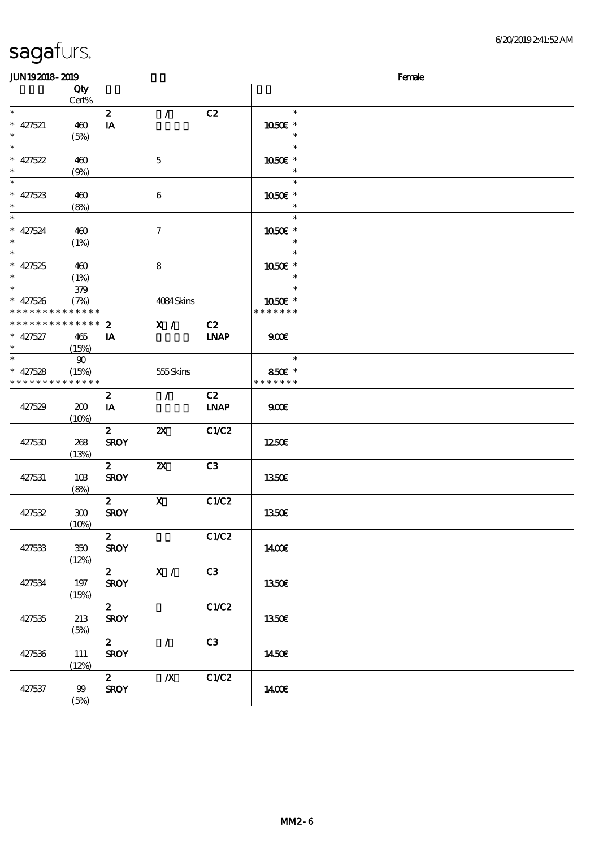| <b>JUN192018-2019</b>              |              |                  |                           |                |                  | Female |
|------------------------------------|--------------|------------------|---------------------------|----------------|------------------|--------|
|                                    | Qty<br>Cert% |                  |                           |                |                  |        |
| $\ast$                             |              | $\boldsymbol{z}$ | $\mathcal{L}$             | C2             | $\ast$           |        |
| $* 427521$                         | 460          | IA               |                           |                | 1050E *          |        |
| $\ast$                             | (5%)         |                  |                           |                | $\ast$           |        |
| $\ast$                             |              |                  |                           |                | $\ast$           |        |
|                                    | 460          |                  | $\mathbf{5}$              |                | 1050€ *          |        |
| * 427522                           | (9%)         |                  |                           |                | $\ast$           |        |
| $\overline{\phantom{0}}$           |              |                  |                           |                | $\ast$           |        |
| * 427523                           | 460          |                  | $\boldsymbol{6}$          |                | 1050E *          |        |
|                                    | (8%)         |                  |                           |                | $\ast$           |        |
| $\overline{\ast}$                  |              |                  |                           |                | $\ast$           |        |
| $* 427524$                         | 460          |                  | $\boldsymbol{7}$          |                | 1050E *          |        |
| $\ast$<br>$\overline{\phantom{0}}$ | (1%)         |                  |                           |                | $\ast$<br>$\ast$ |        |
| $* 427525$                         | 460          |                  | 8                         |                | 1050€ *          |        |
| $\ast$                             | (1%)         |                  |                           |                | $\ast$           |        |
| $\overline{\ast}$                  | 379          |                  |                           |                | $\ast$           |        |
| $* 427526$                         | (7%)         |                  | 4084Skins                 |                | 1050E *          |        |
| * * * * * * * * * * * * * *        |              |                  |                           |                | * * * * * * *    |        |
| * * * * * * * * * * * * * *        |              | $\boldsymbol{z}$ | X /                       | C2             |                  |        |
| $* 427527$                         | 465          | IA               |                           | <b>INAP</b>    | 900E             |        |
| $\ast$                             | (15%)        |                  |                           |                |                  |        |
| $\ast$                             | $90\,$       |                  |                           |                | $\ast$           |        |
| $* 427528$                         | (15%)        |                  | 555Skins                  |                | 850€ *           |        |
| * * * * * * * * * * * * * *        |              |                  |                           |                | * * * * * * *    |        |
|                                    |              | $\boldsymbol{z}$ | $\mathcal{F}$             | C2             |                  |        |
| 427529                             | 200<br>(10%) | IA               |                           | <b>LNAP</b>    | 900              |        |
|                                    |              | $\boldsymbol{z}$ | $\boldsymbol{\mathsf{z}}$ | C1/C2          |                  |        |
| 427530                             | 268          | <b>SROY</b>      |                           |                | 1250E            |        |
|                                    | (13%)        |                  |                           |                |                  |        |
|                                    |              | $\mathbf{z}$     | $\boldsymbol{\mathsf{X}}$ | C <sub>3</sub> |                  |        |
| 427531                             | 10B          | <b>SROY</b>      |                           |                | 1350€            |        |
|                                    | (8%)         |                  |                           |                |                  |        |
|                                    |              | $\mathbf{z}$     | $\mathbf X$               | C1/C2          |                  |        |
| 427532                             | 300          | <b>SROY</b>      |                           |                | 1350€            |        |
|                                    | (10%)        |                  |                           |                |                  |        |
|                                    |              | $\mathbf{z}$     |                           | C1/C2          |                  |        |
| 427533                             | $350\,$      | <b>SROY</b>      |                           |                | <b>140€</b>      |        |
|                                    | (12%)        |                  | $2 \times 1$              | C3             |                  |        |
| 427534                             | 197          | <b>SROY</b>      |                           |                | 1350€            |        |
|                                    | (15%)        |                  |                           |                |                  |        |
|                                    |              | $2^{\circ}$      |                           | C1/C2          |                  |        |
| 427535                             | 213          | <b>SROY</b>      |                           |                | 1350€            |        |
|                                    | (5%)         |                  |                           |                |                  |        |
|                                    |              | $\mathbf{2}$     | $\mathcal{L}$             | C3             |                  |        |
| 427536                             | 111          | <b>SROY</b>      |                           |                | 1450€            |        |
|                                    | (12%)        |                  |                           |                |                  |        |
|                                    |              | $\mathbf{2}$     | $\boldsymbol{X}$          | C1/C2          |                  |        |
| 427537                             | 99           | <b>SROY</b>      |                           |                | 1400E            |        |
|                                    | (5%)         |                  |                           |                |                  |        |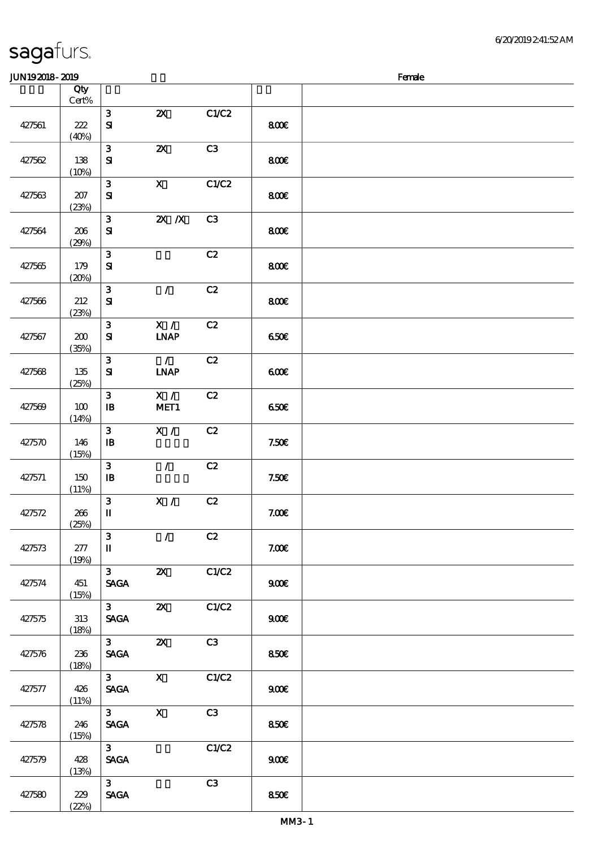#### JUN19 2018 - 2019 深啡 Female

| www.www |                  |                                                  |                              |       |       | ----- |
|---------|------------------|--------------------------------------------------|------------------------------|-------|-------|-------|
|         | Qty<br>$Cert\%$  |                                                  |                              |       |       |       |
| 427561  | 222<br>(40%)     | $\mathbf{3}$<br>${\bf S}$                        | $\boldsymbol{\mathsf{Z}}$    | C1/C2 | 800€  |       |
| 427562  | 138<br>(10%)     | $\mathbf{3}$<br>${\bf s}$                        | $\boldsymbol{\mathsf{z}}$    | C3    | 800   |       |
| 427563  | $207\,$<br>(23%) | $\mathbf{3}$<br>${\bf S\hspace{-.075ex}I}$       | $\mathbf{x}$                 | C1/C2 | 800   |       |
| 427564  | 206<br>(29%)     | $\mathbf{3}$<br>$\mathbf{S}$                     | $Z\!X$ $\,$ $X$              | C3    | 800€  |       |
| 427565  | 179<br>(20%)     | $\mathbf{3}$<br>${\bf S}$                        |                              | C2    | 800€  |       |
| 427566  | 212<br>(23%)     | $\mathbf{3}$<br>${\bf S\!I}$                     | $\mathcal{L}$                | C2    | 800   |       |
| 427567  | 200<br>(35%)     | $\mathbf{3}$<br>${\bf S}$                        | X /<br><b>LNAP</b>           | C2    | 650€  |       |
| 427568  | $135\,$<br>(25%) | $\mathbf{3}$<br>${\bf S}$                        | $\mathcal{L}$<br><b>INAP</b> | C2    | 600   |       |
| 427569  | 100<br>(14%)     | $\mathbf{3}$<br>$\mathbf{I}$                     | X /<br>MET1                  | C2    | 650€  |       |
| 427570  | 146<br>(15%)     | $\mathbf{3}$<br>$\mathbf{B}$                     | X /                          | C2    | 7.50E |       |
| 427571  | 150<br>(11%)     | $\mathbf{3}$<br>$\, {\bf I} \! {\bf B} \,$       | $\mathcal{L}$                | C2    | 7.50E |       |
| 427572  | 266<br>(25%)     | $\mathbf{3}$<br>$\mathbf I$                      | X /                          | C2    | 7.00E |       |
| 427573  | $277\,$<br>(19%) | 3<br>$\mathbf I$                                 | $\mathcal{T}$                | C2    | 7.00E |       |
| 427574  | 451<br>(15%)     | $\mathbf{3}$<br>$\operatorname{\mathsf{SAGA}}$   | $\boldsymbol{\mathsf{X}}$    | C1/C2 | 900E  |       |
| 427575  | 313<br>(18%)     | 3 <sup>1</sup><br><b>SAGA</b>                    | $\boldsymbol{\mathsf{z}}$    | C1/C2 | 900E  |       |
| 427576  | 236<br>(18%)     | 3 <sup>7</sup><br>$\ensuremath{\mathsf{SAGA}}$   | $\boldsymbol{\mathsf{Z}}$    | C3    | 850E  |       |
| 427577  | 426<br>(11%)     | 3 <sup>1</sup><br>$\operatorname{\mathsf{SAGA}}$ | $\mathbf{X}$                 | C1/C2 | 900E  |       |
| 427578  | 246<br>(15%)     | 3 <sup>1</sup><br><b>SAGA</b>                    | $\mathbf X$                  | C3    | 850€  |       |
| 427579  | 428<br>(13%)     | 3 <sup>1</sup><br>$\ensuremath{\mathsf{SAGA}}$   |                              | C1/C2 | 900E  |       |
| 427580  | 229<br>(22%)     | $\mathbf{3}$<br><b>SAGA</b>                      |                              | C3    | 850E  |       |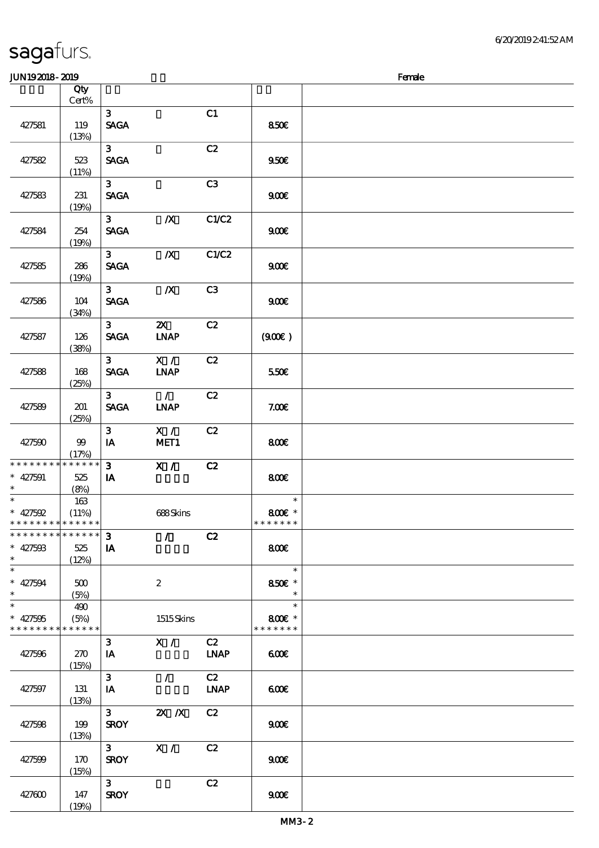|                                                       | Qty<br>Cert% |                               |                                                                                                                                                                                                                                                                                                                                                                                                                                                                                 |                   |                                   |  |
|-------------------------------------------------------|--------------|-------------------------------|---------------------------------------------------------------------------------------------------------------------------------------------------------------------------------------------------------------------------------------------------------------------------------------------------------------------------------------------------------------------------------------------------------------------------------------------------------------------------------|-------------------|-----------------------------------|--|
|                                                       |              |                               |                                                                                                                                                                                                                                                                                                                                                                                                                                                                                 |                   |                                   |  |
| 427581                                                | 119<br>(13%) | 3 <sup>7</sup><br><b>SAGA</b> |                                                                                                                                                                                                                                                                                                                                                                                                                                                                                 | C1                | 850E                              |  |
| 427582                                                | 523<br>(11%) | 3 <sup>7</sup><br><b>SAGA</b> |                                                                                                                                                                                                                                                                                                                                                                                                                                                                                 | C2                | 950E                              |  |
| 427583                                                | 231<br>(19%) | 3 <sup>7</sup><br><b>SAGA</b> |                                                                                                                                                                                                                                                                                                                                                                                                                                                                                 | C3                | 900E                              |  |
| 427584                                                | 254<br>(19%) | $3^{\circ}$<br><b>SAGA</b>    | $\boldsymbol{X}$                                                                                                                                                                                                                                                                                                                                                                                                                                                                | C1/C2             | 900                               |  |
| 427585                                                | 286<br>(19%) | $3^{\circ}$<br><b>SAGA</b>    | $\boldsymbol{X}$                                                                                                                                                                                                                                                                                                                                                                                                                                                                | C1/C2             | 900E                              |  |
| 427586                                                | 104<br>(34%) | 3 <sub>1</sub><br><b>SAGA</b> | $\boldsymbol{X}$                                                                                                                                                                                                                                                                                                                                                                                                                                                                | C3                | 900 <sub>E</sub>                  |  |
| 427587                                                | 126<br>(38%) | 3 <sub>1</sub><br><b>SAGA</b> | $\boldsymbol{\mathsf{Z}}$<br><b>INAP</b>                                                                                                                                                                                                                                                                                                                                                                                                                                        | C2                | (90E)                             |  |
| 427588                                                | 168<br>(25%) | $3^{\circ}$<br><b>SAGA</b>    | X /<br><b>INAP</b>                                                                                                                                                                                                                                                                                                                                                                                                                                                              | C2                | 550E                              |  |
| 427589                                                | 201<br>(25%) | 3 <sup>7</sup><br><b>SAGA</b> | $\mathcal{L}$<br><b>INAP</b>                                                                                                                                                                                                                                                                                                                                                                                                                                                    | C2                | 7.00E                             |  |
| 427590                                                | 99<br>(17%)  | 3 <sup>7</sup><br>IA          | X /<br>MET1                                                                                                                                                                                                                                                                                                                                                                                                                                                                     | C2                | 800                               |  |
| ******** <mark>*******</mark><br>$* 427591$<br>$\ast$ | 525<br>(8%)  | $\mathbf{3}$<br>IA            | X /                                                                                                                                                                                                                                                                                                                                                                                                                                                                             | C2                | 800                               |  |
| $\ast$<br>$* 427592$<br>* * * * * * * * * * * * * * * | 163<br>(11%) |                               | 688Skins                                                                                                                                                                                                                                                                                                                                                                                                                                                                        |                   | $\ast$<br>800€ *<br>* * * * * * * |  |
| *************** 3<br>$* 427503$<br>$\ast$             | 525<br>(12%) | IA                            | $\overline{\phantom{a}}$ $\overline{\phantom{a}}$ $\overline{\phantom{a}}$ $\overline{\phantom{a}}$ $\overline{\phantom{a}}$ $\overline{\phantom{a}}$ $\overline{\phantom{a}}$ $\overline{\phantom{a}}$ $\overline{\phantom{a}}$ $\overline{\phantom{a}}$ $\overline{\phantom{a}}$ $\overline{\phantom{a}}$ $\overline{\phantom{a}}$ $\overline{\phantom{a}}$ $\overline{\phantom{a}}$ $\overline{\phantom{a}}$ $\overline{\phantom{a}}$ $\overline{\phantom{a}}$ $\overline{\$ |                   | 800€                              |  |
| $\overline{\phantom{0}}$<br>$* 427594$<br>$\ast$      | 500<br>(5%)  |                               | $\boldsymbol{2}$                                                                                                                                                                                                                                                                                                                                                                                                                                                                |                   | $\ast$<br>850€ *<br>$\ast$        |  |
| $\ast$<br>$* 427505$<br>* * * * * * * * * * * * * *   | 490<br>(5%)  |                               | 1515Skins                                                                                                                                                                                                                                                                                                                                                                                                                                                                       |                   | $\ast$<br>800€ *<br>* * * * * * * |  |
| 427596                                                | 270<br>(15%) | 3 <sup>1</sup><br>IA          | X /                                                                                                                                                                                                                                                                                                                                                                                                                                                                             | C2<br><b>LNAP</b> | 600                               |  |
| 427597                                                | 131<br>(13%) | 3 <sup>1</sup><br>IA          | $\mathcal{T}$                                                                                                                                                                                                                                                                                                                                                                                                                                                                   | C2<br><b>LNAP</b> | 600                               |  |
| 427598                                                | 199<br>(13%) | $3^{\circ}$<br><b>SROY</b>    | $X$ $N$                                                                                                                                                                                                                                                                                                                                                                                                                                                                         | C2                | 900                               |  |
| 427599                                                | 170<br>(15%) | $3^{\circ}$<br><b>SROY</b>    | X /                                                                                                                                                                                                                                                                                                                                                                                                                                                                             | C2                | 900                               |  |
| 427600                                                | 147<br>(19%) | 3 <sup>1</sup><br><b>SROY</b> |                                                                                                                                                                                                                                                                                                                                                                                                                                                                                 | C2                | 900 <sub>E</sub>                  |  |

**JUN192018-2019** Female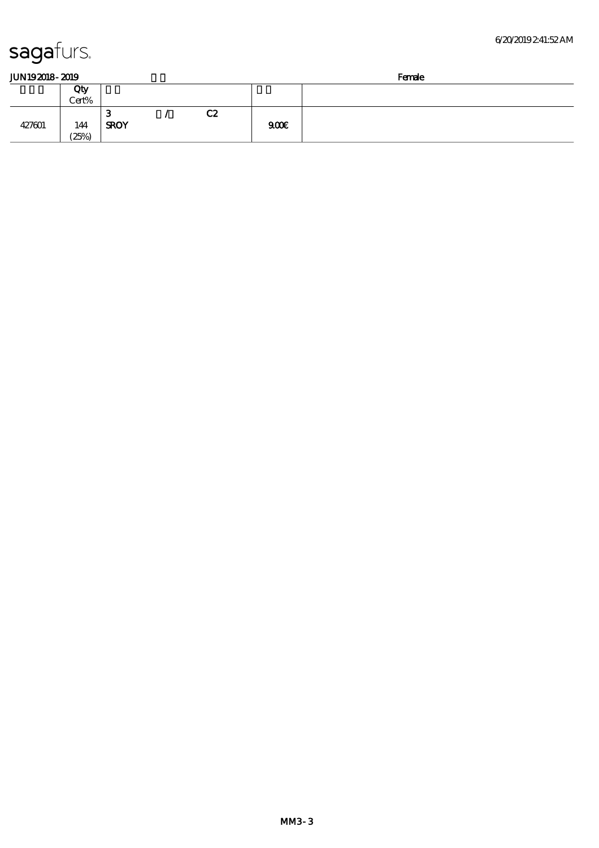427601 144

Cert%

 $\overline{3}$  / C2

SROY 900€

 $(25%)$ 

| JUN192018-2019 |  |
|----------------|--|
|                |  |

| I IN 19<br>ww<br>____ | _______ |
|-----------------------|---------|
| <u>.</u><br>ш<br>w.   |         |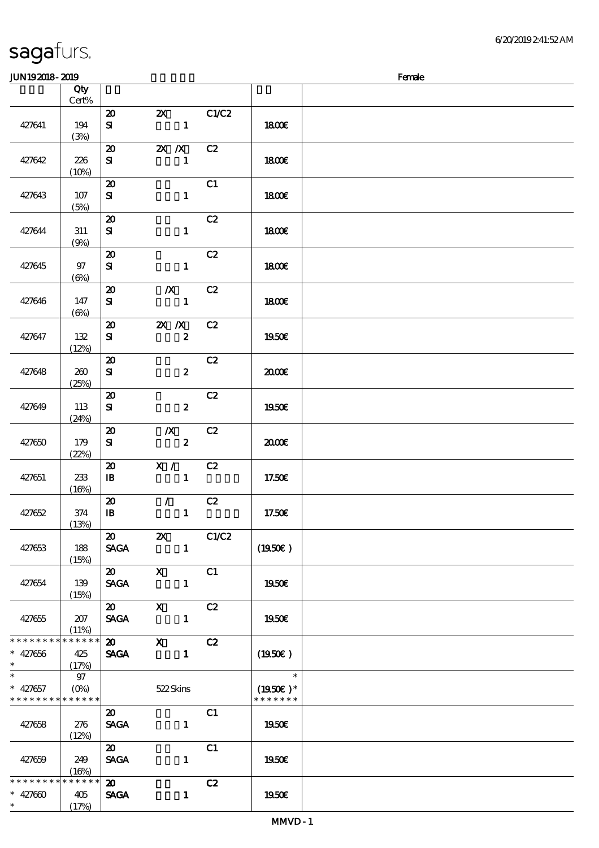| sagafurs. |  |
|-----------|--|
|           |  |

#### $J<sub>W10</sub>$  2019 - 2010  $J<sub>W10</sub>$   $J<sub>W10</sub>$   $J<sub>W10</sub>$   $J<sub>W10</sub>$   $J<sub>W10</sub>$

| JUNISATO-ATIS                           |                                                |                                                           |                                           |       |                                              | ranae |
|-----------------------------------------|------------------------------------------------|-----------------------------------------------------------|-------------------------------------------|-------|----------------------------------------------|-------|
|                                         | Qty<br>Cert%                                   |                                                           |                                           |       |                                              |       |
| 427641                                  | 194<br>(3%)                                    | $\boldsymbol{\mathfrak{D}}$<br>${\bf s}$                  | $\boldsymbol{\mathsf{Z}}$<br>$\mathbf{1}$ | C1/C2 | <b>1800€</b>                                 |       |
| 427642                                  | 226<br>(10%)                                   | $\boldsymbol{\mathfrak{D}}$<br>${\bf s}$                  | $X$ $X$<br>$\mathbf{1}$                   | C2    | 1800E                                        |       |
| 427643                                  | 107<br>(5%)                                    | $\boldsymbol{\mathfrak{D}}$<br>${\bf s}$                  | $\mathbf{1}$                              | C1    | 1800E                                        |       |
| 427644                                  | 311<br>(9%)                                    | $\boldsymbol{\mathfrak{D}}$<br>${\bf s}$                  | $\mathbf{1}$                              | C2    | <b>1800€</b>                                 |       |
| 427645                                  | $97$<br>$(\Theta)$                             | $\boldsymbol{\mathfrak{D}}$<br>${\bf s}$                  | $\mathbf{1}$                              | C2    | 1800E                                        |       |
| 427646                                  | 147<br>$(\Theta)$                              | $\boldsymbol{\mathfrak{D}}$<br>${\bf s}$                  | $\boldsymbol{X}$<br>$\mathbf{1}$          | C2    | 1800E                                        |       |
| 427647                                  | 132<br>(12%)                                   | $\boldsymbol{\mathfrak{D}}$<br>${\bf s}$                  | $X$ $N$<br>$\boldsymbol{z}$               | C2    | 1950€                                        |       |
| 427648                                  | 260<br>(25%)                                   | $\boldsymbol{\mathfrak{D}}$<br>${\bf s}$                  | $\boldsymbol{z}$                          | C2    | 2000E                                        |       |
| 427649                                  | 113<br>(24%)                                   | $\boldsymbol{\mathfrak{D}}$<br>${\bf s}$                  | $\boldsymbol{z}$                          | C2    | 1950E                                        |       |
| 427650                                  | 179<br>(22%)                                   | $\boldsymbol{\mathfrak{D}}$<br>${\bf s}$                  | $\boldsymbol{X}$<br>$\boldsymbol{2}$      | C2    | æœ                                           |       |
| 427651                                  | 233<br>(16%)                                   | $\boldsymbol{\mathfrak{D}}$<br>$\mathbf{B}$               | X / C2<br>$\mathbf{1}$                    |       | 17.50€                                       |       |
| 427652                                  | 374<br>(13%)                                   | $\boldsymbol{\mathfrak{D}}$<br>$\, {\bf I} \! {\bf B} \,$ | $\mathcal{L}$<br>$\mathbf{1}$             | C2    | 17.50€                                       |       |
| 427653                                  | 188<br>(15%)                                   | $\boldsymbol{\mathfrak{D}}$<br><b>SAGA</b>                | $\boldsymbol{\mathsf{z}}$<br>$\mathbf{1}$ | C1/C2 | (1950)                                       |       |
| 427654                                  | 139<br>(15%)                                   | $\boldsymbol{\mathfrak{D}}$<br><b>SAGA</b>                | $\mathbf{x}$<br>$\mathbf{1}$              | C1    | 1950E                                        |       |
| 427655                                  | 207<br>(11%)                                   | $\boldsymbol{\mathfrak{D}}$<br><b>SAGA</b>                | $\mathbf x$<br>$\mathbf{1}$               | C2    | 1950€                                        |       |
| * * * * * * * *<br>$* 427656$<br>$\ast$ | * * * * * *<br>425<br>(17%)                    | $\boldsymbol{\mathfrak{D}}$<br><b>SAGA</b>                | $\boldsymbol{\mathrm{X}}$<br>$\mathbf{1}$ | C2    | (1950)                                       |       |
| $\ast$<br>$* 427657$<br>* * * * * * * * | 97<br>$(O\!\!\!\!\!\!\!/\,\!o)$<br>* * * * * * |                                                           | 522Skins                                  |       | $\ast$<br>$(1950\text{E})*$<br>* * * * * * * |       |
| 427658                                  | 276<br>(12%)                                   | $\boldsymbol{\mathfrak{D}}$<br><b>SAGA</b>                | $\mathbf{1}$                              | C1    | 1950€                                        |       |
| 427659                                  | 249<br>(16%)                                   | $\boldsymbol{\mathfrak{D}}$<br><b>SAGA</b>                | $\mathbf{1}$                              | C1    | 1950€                                        |       |
| * * * * * * * *<br>$* 427600$<br>$\ast$ | * * * * * *<br>405<br>(17%)                    | $\boldsymbol{\mathfrak{D}}$<br><b>SAGA</b>                | $\mathbf{1}$                              | C2    | 1950E                                        |       |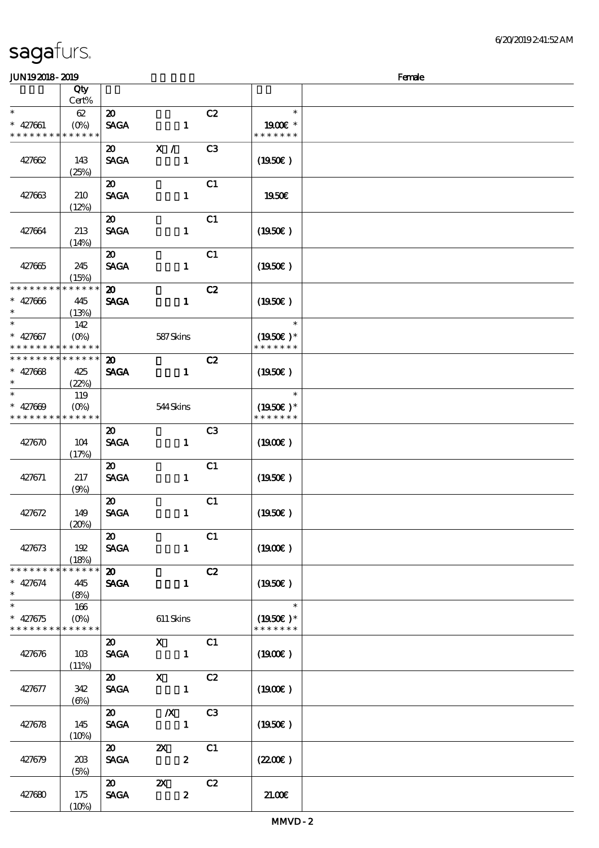| <b>JUN192018-2019</b>         |                        |                             |                                                                                                                                                                                                                                                                                                                                                                                                                                                               |                |                             | Female |
|-------------------------------|------------------------|-----------------------------|---------------------------------------------------------------------------------------------------------------------------------------------------------------------------------------------------------------------------------------------------------------------------------------------------------------------------------------------------------------------------------------------------------------------------------------------------------------|----------------|-----------------------------|--------|
|                               | Qty                    |                             |                                                                                                                                                                                                                                                                                                                                                                                                                                                               |                |                             |        |
|                               | Cert%                  |                             |                                                                                                                                                                                                                                                                                                                                                                                                                                                               |                |                             |        |
| $\ast$                        | 62                     | $\boldsymbol{\mathfrak{D}}$ |                                                                                                                                                                                                                                                                                                                                                                                                                                                               | C2             | $\ast$                      |        |
| $* 427661$                    | $(O\%)$                | <b>SAGA</b>                 | $\mathbf{1}$                                                                                                                                                                                                                                                                                                                                                                                                                                                  |                | 1900E *                     |        |
| * * * * * * * *               | * * * * * *            |                             |                                                                                                                                                                                                                                                                                                                                                                                                                                                               |                | * * * * * * *               |        |
|                               |                        | $\boldsymbol{\mathfrak{D}}$ | X /                                                                                                                                                                                                                                                                                                                                                                                                                                                           | C <sub>3</sub> |                             |        |
| 427662                        | 143                    | <b>SAGA</b>                 | $\mathbf{1}$                                                                                                                                                                                                                                                                                                                                                                                                                                                  |                | $(1950\epsilon)$            |        |
|                               | (25%)                  |                             |                                                                                                                                                                                                                                                                                                                                                                                                                                                               |                |                             |        |
|                               |                        | $\boldsymbol{\mathfrak{D}}$ |                                                                                                                                                                                                                                                                                                                                                                                                                                                               | C1             |                             |        |
| 427663                        | 210                    | <b>SAGA</b>                 | $\mathbf{1}$                                                                                                                                                                                                                                                                                                                                                                                                                                                  |                | 1950€                       |        |
|                               | (12%)                  |                             |                                                                                                                                                                                                                                                                                                                                                                                                                                                               |                |                             |        |
|                               |                        | $\boldsymbol{\mathfrak{D}}$ |                                                                                                                                                                                                                                                                                                                                                                                                                                                               | C1             |                             |        |
| 427664                        | 213                    | <b>SAGA</b>                 | $\mathbf{1}$                                                                                                                                                                                                                                                                                                                                                                                                                                                  |                | $(1950\epsilon)$            |        |
|                               | (14%)                  |                             |                                                                                                                                                                                                                                                                                                                                                                                                                                                               |                |                             |        |
|                               |                        | $\boldsymbol{\mathfrak{D}}$ |                                                                                                                                                                                                                                                                                                                                                                                                                                                               | C1             |                             |        |
| 427665                        | 245                    | <b>SAGA</b>                 | $\mathbf{1}$                                                                                                                                                                                                                                                                                                                                                                                                                                                  |                | (1950)                      |        |
|                               | (15%)                  |                             |                                                                                                                                                                                                                                                                                                                                                                                                                                                               |                |                             |        |
| * * * * * * * *               | * * * * * *            | $\boldsymbol{\mathfrak{D}}$ |                                                                                                                                                                                                                                                                                                                                                                                                                                                               | C2             |                             |        |
| $* 427006$                    | 445                    | <b>SAGA</b>                 | $\mathbf{1}$                                                                                                                                                                                                                                                                                                                                                                                                                                                  |                | (1950)                      |        |
| $\ast$                        | (13%)                  |                             |                                                                                                                                                                                                                                                                                                                                                                                                                                                               |                |                             |        |
| $\ast$                        | 142                    |                             |                                                                                                                                                                                                                                                                                                                                                                                                                                                               |                | $\ast$                      |        |
| $* 427667$                    | $(O\%)$                |                             | 587Skins                                                                                                                                                                                                                                                                                                                                                                                                                                                      |                | $(1950)$ *                  |        |
| * * * * * * * *               | * * * * * *            |                             |                                                                                                                                                                                                                                                                                                                                                                                                                                                               |                | * * * * * * *               |        |
| * * * * * * * *               | * * * * * *            | $\boldsymbol{\mathfrak{D}}$ |                                                                                                                                                                                                                                                                                                                                                                                                                                                               | C2             |                             |        |
| $* 427668$                    | 425                    | <b>SAGA</b>                 | $\mathbf{1}$                                                                                                                                                                                                                                                                                                                                                                                                                                                  |                | $(1950\epsilon)$            |        |
| $\ast$<br>$\ast$              | (22%)                  |                             |                                                                                                                                                                                                                                                                                                                                                                                                                                                               |                |                             |        |
|                               | 119                    |                             |                                                                                                                                                                                                                                                                                                                                                                                                                                                               |                | $\ast$                      |        |
| $* 427009$<br>* * * * * * * * | $(O\%)$<br>* * * * * * |                             | 544Skins                                                                                                                                                                                                                                                                                                                                                                                                                                                      |                | $(1950)$ *<br>* * * * * * * |        |
|                               |                        |                             |                                                                                                                                                                                                                                                                                                                                                                                                                                                               |                |                             |        |
|                               |                        | 20                          |                                                                                                                                                                                                                                                                                                                                                                                                                                                               | C <sub>3</sub> |                             |        |
| 427670                        | 104<br>(17%)           | <b>SAGA</b>                 | $\mathbf{1}$                                                                                                                                                                                                                                                                                                                                                                                                                                                  |                | $(1900\epsilon)$            |        |
|                               |                        | $\boldsymbol{\mathfrak{D}}$ |                                                                                                                                                                                                                                                                                                                                                                                                                                                               | C1             |                             |        |
| 427671                        | 217                    | <b>SAGA</b>                 | $\mathbf{1}$                                                                                                                                                                                                                                                                                                                                                                                                                                                  |                | $(1950\epsilon)$            |        |
|                               | (9%)                   |                             |                                                                                                                                                                                                                                                                                                                                                                                                                                                               |                |                             |        |
|                               |                        | $\boldsymbol{\mathfrak{D}}$ |                                                                                                                                                                                                                                                                                                                                                                                                                                                               | C1             |                             |        |
| 427672                        | 149                    | <b>SAGA</b>                 | $\mathbf{1}$                                                                                                                                                                                                                                                                                                                                                                                                                                                  |                | (1950)                      |        |
|                               | (20%)                  |                             |                                                                                                                                                                                                                                                                                                                                                                                                                                                               |                |                             |        |
|                               |                        | $\boldsymbol{\mathfrak{D}}$ |                                                                                                                                                                                                                                                                                                                                                                                                                                                               | C1             |                             |        |
| 427673                        | 192                    | <b>SAGA</b>                 | $\mathbf{1}$                                                                                                                                                                                                                                                                                                                                                                                                                                                  |                | (1900E)                     |        |
|                               | (18%)                  |                             |                                                                                                                                                                                                                                                                                                                                                                                                                                                               |                |                             |        |
| * * * * * * * *               | * * * * * *            | $\boldsymbol{\omega}$       |                                                                                                                                                                                                                                                                                                                                                                                                                                                               | C2             |                             |        |
| $* 427674$                    | 445                    | <b>SAGA</b>                 | $\mathbf{1}$                                                                                                                                                                                                                                                                                                                                                                                                                                                  |                | $(1950\epsilon)$            |        |
| $\ast$                        | (8%)                   |                             |                                                                                                                                                                                                                                                                                                                                                                                                                                                               |                |                             |        |
| $\overline{\ast}$             | 166                    |                             |                                                                                                                                                                                                                                                                                                                                                                                                                                                               |                | $\ast$                      |        |
| $* 427675$                    | $(O\% )$               |                             | 611 Skins                                                                                                                                                                                                                                                                                                                                                                                                                                                     |                | $(1950)$ <sup>*</sup>       |        |
| * * * * * * * * * * * * * *   |                        |                             |                                                                                                                                                                                                                                                                                                                                                                                                                                                               |                | * * * * * * *               |        |
|                               |                        | <b>20</b>                   | $\boldsymbol{\mathrm{X}}$ and $\boldsymbol{\mathrm{X}}$ and $\boldsymbol{\mathrm{X}}$ and $\boldsymbol{\mathrm{X}}$ and $\boldsymbol{\mathrm{X}}$ and $\boldsymbol{\mathrm{X}}$ and $\boldsymbol{\mathrm{X}}$ and $\boldsymbol{\mathrm{X}}$ and $\boldsymbol{\mathrm{X}}$ and $\boldsymbol{\mathrm{X}}$ and $\boldsymbol{\mathrm{X}}$ and $\boldsymbol{\mathrm{X}}$ and $\boldsymbol{\mathrm{X}}$ and $\boldsymbol{\mathrm{X}}$ and $\boldsymbol{\mathrm{X}}$ | C1             |                             |        |
| 427676                        | 10B                    | <b>SAGA</b>                 |                                                                                                                                                                                                                                                                                                                                                                                                                                                               |                | (1900E)                     |        |
|                               | (11%)                  |                             |                                                                                                                                                                                                                                                                                                                                                                                                                                                               |                |                             |        |
|                               |                        | $\boldsymbol{\mathsf{20}}$  | $X$ $C2$                                                                                                                                                                                                                                                                                                                                                                                                                                                      |                |                             |        |
| 427677                        | 342                    | <b>SAGA</b>                 | $\blacksquare$                                                                                                                                                                                                                                                                                                                                                                                                                                                |                | $(1900\epsilon)$            |        |
|                               | $(\Theta)$             |                             |                                                                                                                                                                                                                                                                                                                                                                                                                                                               |                |                             |        |
|                               |                        | $\boldsymbol{\mathfrak{D}}$ | $\boldsymbol{X}$                                                                                                                                                                                                                                                                                                                                                                                                                                              | C3             |                             |        |
| 427678                        | 145                    | <b>SAGA</b>                 | $\blacksquare$                                                                                                                                                                                                                                                                                                                                                                                                                                                |                | $(1950\epsilon)$            |        |
|                               | (10%)                  |                             |                                                                                                                                                                                                                                                                                                                                                                                                                                                               |                |                             |        |
|                               |                        | $\boldsymbol{\mathfrak{D}}$ | $\mathbf{x}$                                                                                                                                                                                                                                                                                                                                                                                                                                                  | C1             |                             |        |
| 427679                        | 203                    | <b>SAGA</b>                 | $\boldsymbol{2}$                                                                                                                                                                                                                                                                                                                                                                                                                                              |                | (220)                       |        |
|                               | (5%)                   |                             |                                                                                                                                                                                                                                                                                                                                                                                                                                                               |                |                             |        |
|                               |                        |                             | $\infty$ $\infty$                                                                                                                                                                                                                                                                                                                                                                                                                                             | C2             |                             |        |
| 427680                        | 175                    | <b>SAGA</b>                 | $\boldsymbol{z}$                                                                                                                                                                                                                                                                                                                                                                                                                                              |                | 21.00                       |        |
|                               | (10%)                  |                             |                                                                                                                                                                                                                                                                                                                                                                                                                                                               |                |                             |        |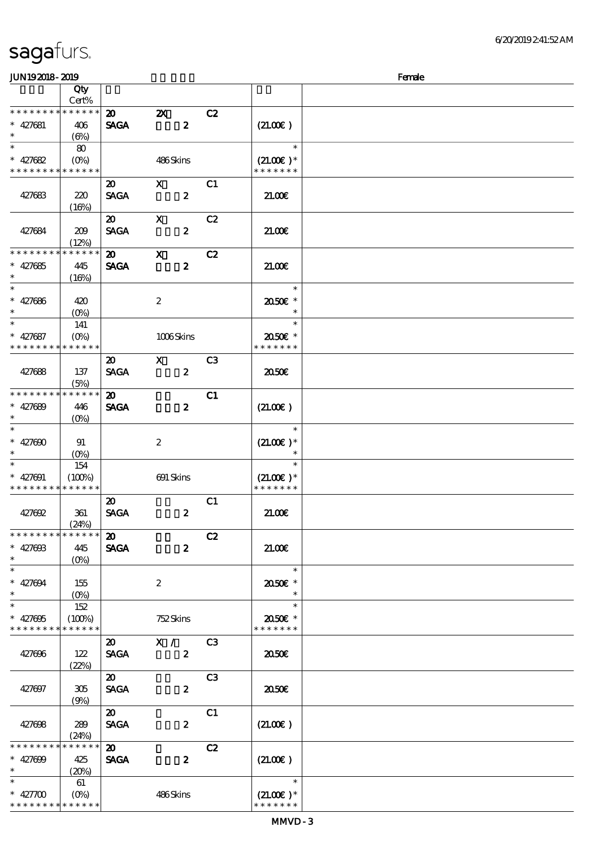| JUN192018-2019               |                                 |                             |                           |                |                              | Female |
|------------------------------|---------------------------------|-----------------------------|---------------------------|----------------|------------------------------|--------|
|                              | Qty                             |                             |                           |                |                              |        |
|                              | Cert%                           |                             |                           |                |                              |        |
| * * * * * * * *              | * * * * * *                     | $\boldsymbol{\mathsf{20}}$  | $\boldsymbol{\mathsf{Z}}$ | C2             |                              |        |
| $* 427681$                   | 406                             | <b>SAGA</b>                 | $\boldsymbol{z}$          |                | (21.00)                      |        |
| $\ast$                       | $(\Theta)$                      |                             |                           |                |                              |        |
| $\overline{\phantom{0}}$     | 80                              |                             |                           |                | $\ast$                       |        |
| $* 427682$                   | $(O\!\!\!\!\!\!\backslash\rho)$ |                             | 486Skins                  |                | $(21.00)$ *                  |        |
| * * * * * * * *              | * * * * * *                     |                             |                           |                | * * * * * * *                |        |
|                              |                                 | $\boldsymbol{\mathfrak{D}}$ | $\mathbf{x}$              | C1             |                              |        |
| 427683                       | 220                             | <b>SAGA</b>                 | $\boldsymbol{z}$          |                | 21.00                        |        |
|                              | (16%)                           |                             |                           |                |                              |        |
|                              |                                 | $\boldsymbol{\mathfrak{D}}$ | $\mathbf x$               | C2             |                              |        |
| 427684                       | 209                             | <b>SAGA</b>                 | $\boldsymbol{z}$          |                | 21.006                       |        |
|                              | (12%)                           |                             |                           |                |                              |        |
| * * * * * * * *              | * * * * * *                     | $\boldsymbol{\omega}$       | $\mathbf{x}$              | C2             |                              |        |
| $* 427685$                   | 445                             | <b>SAGA</b>                 | $\boldsymbol{z}$          |                | 21.00                        |        |
| $*$                          | (16%)                           |                             |                           |                |                              |        |
|                              |                                 |                             |                           |                | $\ast$                       |        |
| $* 427686$                   | 420                             |                             | $\boldsymbol{2}$          |                | 2050E *                      |        |
| $\ast$                       | $(O\%)$                         |                             |                           |                | $\ast$                       |        |
| $\ast$                       | 141                             |                             |                           |                | $\ast$                       |        |
| $* 427687$                   | $(O\%)$                         |                             | 1006Skins                 |                | 2050E *                      |        |
| * * * * * * * *              | * * * * * *                     |                             |                           |                | * * * * * * *                |        |
|                              |                                 | $\boldsymbol{\mathfrak{D}}$ | $\mathbf{X}$              | C <sub>3</sub> |                              |        |
| 427688                       | 137                             | <b>SAGA</b>                 | $\boldsymbol{z}$          |                | 2050                         |        |
|                              | (5%)                            |                             |                           |                |                              |        |
| * * * * * * * *              | * * * * * *                     | $\boldsymbol{\mathfrak{D}}$ |                           | C1             |                              |        |
| $* 427689$<br>$\ast$         | 446                             | <b>SAGA</b>                 | $\boldsymbol{z}$          |                | (21.00)                      |        |
|                              | $(O\%)$                         |                             |                           |                | $\ast$                       |        |
|                              |                                 |                             |                           |                |                              |        |
| $* 427000$<br>$\ast$         | 91                              |                             | $\boldsymbol{2}$          |                | $(21.00)$ *                  |        |
| $\ast$                       | $(O\%)$<br>154                  |                             |                           |                | $\ast$                       |        |
| $* 427001$                   | (100%)                          |                             | 691 Skins                 |                | $(21.00)$ *                  |        |
| * * * * * * * *              | * * * * * *                     |                             |                           |                | * * * * * * *                |        |
|                              |                                 | $\boldsymbol{\mathfrak{D}}$ |                           | C1             |                              |        |
| 427692                       | 361                             | <b>SAGA</b>                 | $\boldsymbol{z}$          |                | 21.006                       |        |
|                              | (24%)                           |                             |                           |                |                              |        |
| * * * * * * * *              | * * * * * *                     | $\boldsymbol{\mathfrak{D}}$ |                           | C2             |                              |        |
| $* 42760B$                   | 445                             | <b>SAGA</b>                 | $\boldsymbol{z}$          |                | 21.00                        |        |
| $*$                          | $(O\%)$                         |                             |                           |                |                              |        |
| $\ast$                       |                                 |                             |                           |                | $\ast$                       |        |
| $* 427004$                   | 155                             |                             | 2                         |                | 2050E *                      |        |
| $\ast$                       |                                 |                             |                           |                | $\ast$                       |        |
| $*$                          | 152                             |                             |                           |                | $\ast$                       |        |
| $* 427005$                   | (100%)                          |                             | 752Skins                  |                | 2050E *                      |        |
| * * * * * * * *              | * * * * * *                     |                             |                           |                | * * * * * * *                |        |
|                              |                                 | <b>20</b>                   | X /                       | C3             |                              |        |
| 427696                       | 122                             | <b>SAGA</b>                 | $\boldsymbol{z}$          |                | 2050E                        |        |
|                              | (22%)                           |                             |                           |                |                              |        |
|                              |                                 | $\boldsymbol{\mathfrak{D}}$ |                           | C <sub>3</sub> |                              |        |
| 427697                       | 305                             | <b>SAGA</b>                 | $\boldsymbol{z}$          |                | 2050                         |        |
|                              | (9%)                            |                             |                           |                |                              |        |
|                              |                                 | $\boldsymbol{\mathfrak{D}}$ |                           | C1             |                              |        |
| 427698                       | 289                             | <b>SACA</b>                 | $\boldsymbol{z}$          |                | (21.00)                      |        |
|                              | (24%)                           |                             |                           |                |                              |        |
| * * * * * * * *              | * * * * * *                     | $\boldsymbol{\mathsf{20}}$  |                           | C2             |                              |        |
| $* 427000$                   | 425                             | <b>SAGA</b>                 | $\boldsymbol{z}$          |                | (21.00)                      |        |
| $\ast$<br>$\ast$             | (20%)                           |                             |                           |                | $\ast$                       |        |
|                              | 61                              |                             |                           |                |                              |        |
| $* 42700$<br>* * * * * * * * | * * * * * *                     |                             | 486Skins                  |                | $(21.00)$ *<br>* * * * * * * |        |
|                              |                                 |                             |                           |                |                              |        |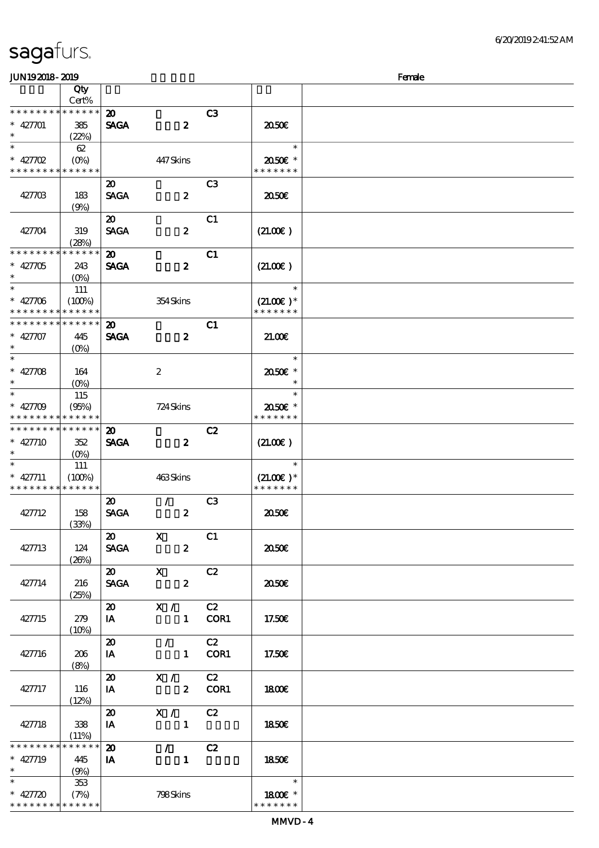\*\*

\*\*

\*\*

इ

 $\ast$ 

\*\*\*

\*\*

\*\*

\* \* \* \* \* \*

\* \* \* \* \* \* \*

(7%) 798 Skins

#### 顺序号 Qty Cert% \* \* \* \* \* \* \* \* \* \* \* \* \* 20 C3 SAGA 2 427701 385 20.50€  $(22%)$ \*  $*$  427702  $\overline{\phantom{0}}$ 62 \*\* (0%) 447 Skins 20.50€ \* \* \* \* \* \* \* \* \* \* \* \* \* \* \* \* \* \* \* 20 C3  $SAGA$  2  $2$  20.50€ 427703 183  $(9%)$  $20$  C1 427704 319  $SAGA$   $2$   $(21.00\epsilon)$ (28%) \* \* \* \* \* \* \* \* \* \* \* \* \* 20 C1 427705 243  $SAGA$  2  $(21.00\epsilon)$  $(Q_0)$ \*\* <sup>427706</sup> \*\* 111  $(100%)$  354 Skins  $(21.00\varepsilon)*$ \* \* \* \* \* \* \* \* \* \* \* \* \* \* \* \* \* \* \* \* \* \* \* \* \* \* \* \* \* \* 20 C1 427707 445  $SAGA$  2 21.00€ (0%)  $\mathbf{r}$ \*\*\* 427708 164 2 20.50€ \* (0%) \*\* <sup>427709</sup> 115  $\ast$ \*\* (95%) 724 Skins 20.50€ \* \* \* \* \* \* \* \* \* \* \* \* \* \* \* \* \* \* \*  $20$  C<sub>2</sub> \* \* \* \* \* \* \* \* \* \* \* \* \* SAGA 2 427710 352  $(21.00 $\epsilon$ )$ (0%) \*  $* 427711$ 111 \*\*  $(100\%)$  463 Skins  $(21.00)$  \* \* \* \* \* \* \* \* \* \* \* \* \* \* \* \* \* \* \*  $20$  / C3  $SAGA$  2 20.50€ 427712 158 (33%)  $20 \t X \t C1$ 427713 124  $SAGA$  2  $\qquad$  20.50 $\varepsilon$  $(26%)$ 20 X C2  $SAGA$  2 20.50 $\epsilon$ 427714 216 (25%)  $20 \times / \times C2$  $\mathbf{IA}$  1 COR1 17.50€ 427715 279  $(10%)$ 20 / C2  $427716$   $206$ IA 1 COR1 | 17.50€ (8%)  $\overline{20}$   $\overline{X}$  /  $\overline{C2}$ 427717 116 IA 2 COR1 | 1800€ (12%) 20 X / C2  $\mathbf{I}$  1850€ 427718 338  $(11%)$ \* \* \* \* \* \* \* \* \* \* \* \* \* 20 / C2 427719 445 18.50€ IA  $1$ (9%) \*  $*$  427720 353  $\ast$ \*\*

JUN192018-2019 Female

说明 价格

\* \* \* \* \* 18.00€ \*

\*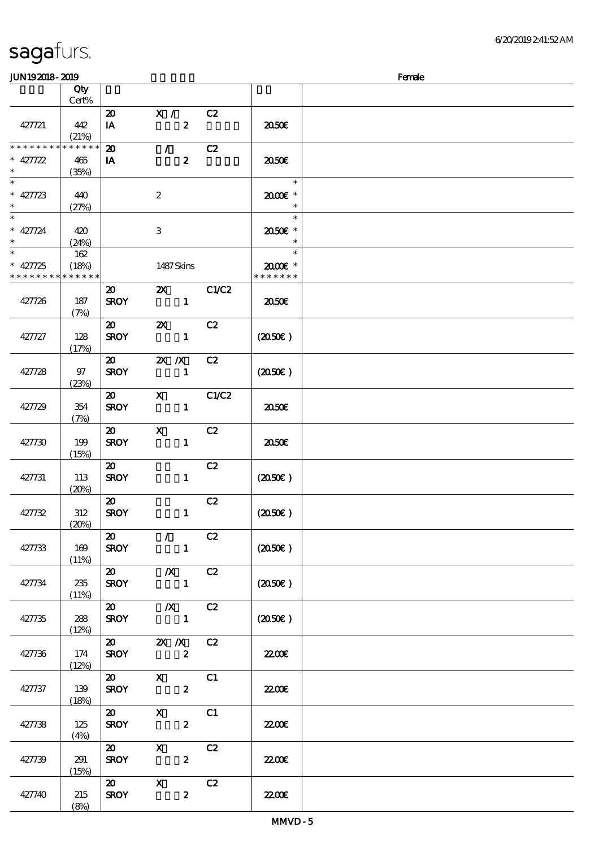|  | sagafurs. |  |
|--|-----------|--|
|  |           |  |

#### JUN192018-2019 - 2019 - 2019 - 2019 - 2019 - 2019 - 2019 - 2019 - 2019 - 2019 - 2019 - 2019 - 2019 - 2019 - 20

| ~~ <u>~~~~</u> ~~~       |              |                             |                           |       |                  | ----- |
|--------------------------|--------------|-----------------------------|---------------------------|-------|------------------|-------|
|                          | Qty<br>Cert% |                             |                           |       |                  |       |
|                          |              |                             |                           |       |                  |       |
|                          |              | $\boldsymbol{\mathfrak{D}}$ | X /                       | C2    |                  |       |
| 427721                   | 442          | IA                          | $\boldsymbol{z}$          |       | 2050€            |       |
|                          | (21%)        |                             |                           |       |                  |       |
| * * * * * * * *          | * * * * * *  | $\boldsymbol{\mathbf{z}}$   | $\mathcal{L}$             | C2    |                  |       |
| $* 427722$               | 465          | IA                          | $\boldsymbol{z}$          |       | 2050€            |       |
| $\ast$                   | (35%)        |                             |                           |       |                  |       |
| $\overline{\phantom{0}}$ |              |                             |                           |       | $\ast$           |       |
|                          |              |                             |                           |       |                  |       |
| $* 427723$               | 440          |                             | $\boldsymbol{2}$          |       | 2000E*           |       |
| $\ast$                   | (27%)        |                             |                           |       | $\ast$           |       |
| $\overline{\ast}$        |              |                             |                           |       | $\ast$           |       |
| $* 427724$               | 420          |                             | $\,3\,$                   |       | 2050E *          |       |
| $\ast$                   | (24%)        |                             |                           |       | $\ast$           |       |
| $\overline{\phantom{0}}$ | 162          |                             |                           |       | $\ast$           |       |
| $* 427725$               | (18%)        |                             | 1487Skins                 |       | 2000E *          |       |
| * * * * * * * *          | * * * * * *  |                             |                           |       | * * * * * * *    |       |
|                          |              |                             |                           |       |                  |       |
|                          |              | $\boldsymbol{\mathfrak{D}}$ | $\mathbf{X}$              | C1/C2 |                  |       |
| 427726                   | 187          | <b>SROY</b>                 | $\mathbf{1}$              |       | 2050             |       |
|                          | (7%)         |                             |                           |       |                  |       |
|                          |              | $\boldsymbol{\mathfrak{D}}$ | $\boldsymbol{\mathsf{Z}}$ | C2    |                  |       |
| 427727                   | 128          | <b>SROY</b>                 | $\mathbf{1}$              |       | (2050)           |       |
|                          | (17%)        |                             |                           |       |                  |       |
|                          |              | $\boldsymbol{\mathfrak{D}}$ | $X$ $X$                   | C2    |                  |       |
|                          |              |                             |                           |       |                  |       |
| 427728                   | $97\,$       | <b>SROY</b>                 | $\mathbf{1}$              |       | (2050)           |       |
|                          | (23%)        |                             |                           |       |                  |       |
|                          |              | $\boldsymbol{\mathfrak{D}}$ | $\mathbf{X}$              | C1/C2 |                  |       |
| 427729                   | 354          | <b>SROY</b>                 | $\mathbf{1}$              |       | ææ               |       |
|                          | (7%)         |                             |                           |       |                  |       |
|                          |              | $\boldsymbol{\mathfrak{D}}$ | $\mathbf X$               | C2    |                  |       |
| 427730                   | 199          | <b>SROY</b>                 | $\mathbf{1}$              |       | ææ               |       |
|                          |              |                             |                           |       |                  |       |
|                          | (15%)        |                             |                           |       |                  |       |
|                          |              | $\boldsymbol{\mathfrak{D}}$ |                           | C2    |                  |       |
| 427731                   | 113          | <b>SROY</b>                 | $\mathbf{1}$              |       | (2050)           |       |
|                          | (20%)        |                             |                           |       |                  |       |
|                          |              | $\boldsymbol{\mathfrak{D}}$ |                           | C2    |                  |       |
| 427732                   | $312\,$      | <b>SROY</b>                 | $\mathbf{1}$              |       | $(2050)$         |       |
|                          | (20%)        |                             |                           |       |                  |       |
|                          |              | $\boldsymbol{\mathfrak{D}}$ | $\mathcal{L}$             | C2    |                  |       |
| 427733                   | 169          | <b>SROY</b>                 | $\mathbf{1}$              |       | (2050)           |       |
|                          |              |                             |                           |       |                  |       |
|                          | (11%)        |                             |                           |       |                  |       |
|                          |              | $\boldsymbol{\mathfrak{D}}$ | $\boldsymbol{X}$          | C2    |                  |       |
| 427734                   | 235          | <b>SROY</b>                 | $\mathbf{1}$              |       | (2050)           |       |
|                          | (11%)        |                             |                           |       |                  |       |
|                          |              | $\boldsymbol{\mathfrak{D}}$ | $\boldsymbol{X}$          | C2    |                  |       |
| 427735                   | 288          | <b>SROY</b>                 | $\mathbf{1}$              |       | $(2050\epsilon)$ |       |
|                          | (12%)        |                             |                           |       |                  |       |
|                          |              | $\boldsymbol{\omega}$       | $X$ $X$                   | C2    |                  |       |
| 427736                   | 174          | <b>SROY</b>                 | $\boldsymbol{z}$          |       | <b>2200E</b>     |       |
|                          |              |                             |                           |       |                  |       |
|                          | (12%)        |                             |                           |       |                  |       |
|                          |              | $\boldsymbol{\mathsf{20}}$  | $\mathbf{x}$              | C1    |                  |       |
| 427737                   | 139          | <b>SROY</b>                 | $\boldsymbol{z}$          |       | <b>2200E</b>     |       |
|                          | (18%)        |                             |                           |       |                  |       |
|                          |              | $\boldsymbol{\mathfrak{D}}$ | $\mathbf X$               | C1    |                  |       |
| 427738                   | 125          | <b>SROY</b>                 | $\boldsymbol{z}$          |       | 2200             |       |
|                          | (4%)         |                             |                           |       |                  |       |
|                          |              | $\boldsymbol{\omega}$       | $\mathbf{x}$              | C2    |                  |       |
|                          |              |                             |                           |       |                  |       |
| 427739                   | 291          | <b>SROY</b>                 | $\boldsymbol{z}$          |       | 22.00E           |       |
|                          | (15%)        |                             |                           |       |                  |       |
|                          |              | $\boldsymbol{\mathsf{20}}$  | $\mathbf{x}$              | C2    |                  |       |
| 427740                   | 215          | <b>SROY</b>                 | $\boldsymbol{z}$          |       | <b>2200E</b>     |       |
|                          | (8%)         |                             |                           |       |                  |       |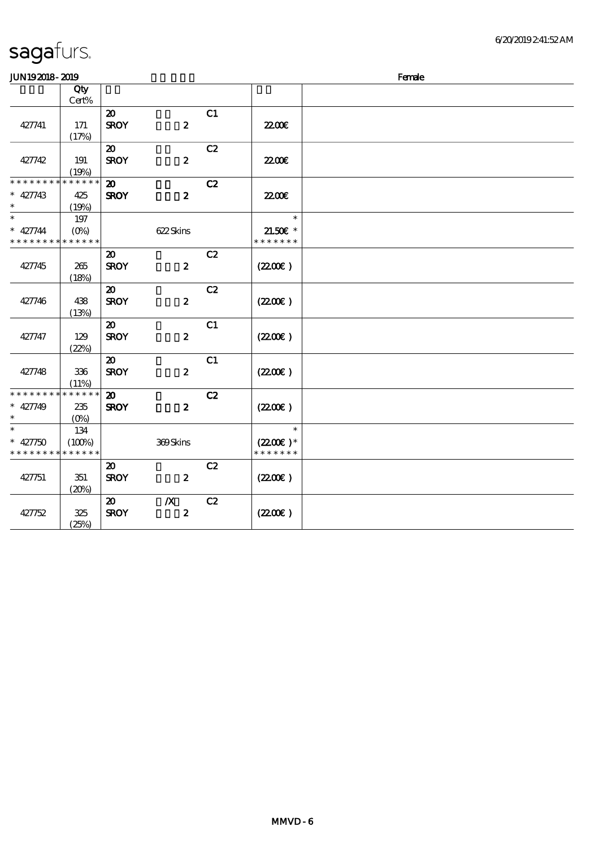| <b>JUN192018-2019</b>                    |             |                             |                  |    |                     | Female |  |  |  |  |
|------------------------------------------|-------------|-----------------------------|------------------|----|---------------------|--------|--|--|--|--|
|                                          | Qty         |                             |                  |    |                     |        |  |  |  |  |
|                                          | Cert%       |                             |                  |    |                     |        |  |  |  |  |
|                                          |             | $\boldsymbol{\mathsf{20}}$  |                  | C1 |                     |        |  |  |  |  |
| 427741                                   | 171         | <b>SROY</b>                 | $\boldsymbol{z}$ |    | <b>2200</b> €       |        |  |  |  |  |
|                                          | (17%)       |                             |                  |    |                     |        |  |  |  |  |
|                                          |             | $\boldsymbol{\mathfrak{D}}$ |                  | C2 |                     |        |  |  |  |  |
| 427742                                   | 191         | <b>SROY</b>                 | $\boldsymbol{z}$ |    | <b>22006</b>        |        |  |  |  |  |
|                                          | (19%)       |                             |                  |    |                     |        |  |  |  |  |
| * * * * * * * *                          | * * * * * * | $\boldsymbol{\mathbf{z}}$   |                  | C2 |                     |        |  |  |  |  |
| $* 427743$                               | 425         | <b>SROY</b>                 | $\boldsymbol{z}$ |    | <b>2200</b> €       |        |  |  |  |  |
| $\ast$                                   | (19%)       |                             |                  |    |                     |        |  |  |  |  |
| $\ast$                                   | 197         |                             |                  |    | $\ast$              |        |  |  |  |  |
| $* 427744$                               | $(O\% )$    |                             | 622Skins         |    | $21.50E$ *          |        |  |  |  |  |
| * * * * * * * * <mark>* * * * * *</mark> |             |                             |                  |    | * * * * * * *       |        |  |  |  |  |
|                                          |             | $\boldsymbol{\mathfrak{D}}$ |                  | C2 |                     |        |  |  |  |  |
| 427745                                   | 265         | <b>SROY</b>                 | $\boldsymbol{2}$ |    | (220E)              |        |  |  |  |  |
|                                          | (18%)       |                             |                  |    |                     |        |  |  |  |  |
|                                          |             | $\boldsymbol{\mathfrak{D}}$ |                  | C2 |                     |        |  |  |  |  |
| 427746                                   | 438         | <b>SROY</b>                 | $\boldsymbol{z}$ |    | (220E)              |        |  |  |  |  |
|                                          | (13%)       |                             |                  |    |                     |        |  |  |  |  |
|                                          |             | $\boldsymbol{\mathfrak{D}}$ |                  | C1 |                     |        |  |  |  |  |
| 427747                                   | 129         | <b>SROY</b>                 | $\boldsymbol{z}$ |    | (220E)              |        |  |  |  |  |
|                                          | (22%)       |                             |                  |    |                     |        |  |  |  |  |
|                                          |             | $\boldsymbol{\mathfrak{D}}$ |                  | C1 |                     |        |  |  |  |  |
| 427748                                   | 336         | <b>SROY</b>                 | $\boldsymbol{z}$ |    | $(2200\varepsilon)$ |        |  |  |  |  |
|                                          | (11%)       |                             |                  |    |                     |        |  |  |  |  |
| * * * * * * * * * * * * * *              |             | $\boldsymbol{\mathfrak{D}}$ |                  | C2 |                     |        |  |  |  |  |
| $* 427749$                               | 235         | <b>SROY</b>                 | $\boldsymbol{z}$ |    | $(2200\varepsilon)$ |        |  |  |  |  |
| $\ast$                                   | $(O\%)$     |                             |                  |    |                     |        |  |  |  |  |
| $\ast$                                   | 134         |                             |                  |    | $\ast$              |        |  |  |  |  |
| $* 427750$                               | (100%)      |                             | 369Skins         |    | $(2200)$ *          |        |  |  |  |  |
| * * * * * * * *                          | * * * * * * |                             |                  |    | * * * * * * *       |        |  |  |  |  |
|                                          |             | $\boldsymbol{\mathfrak{D}}$ |                  | C2 |                     |        |  |  |  |  |
| 427751                                   | 351         | <b>SROY</b>                 | $\boldsymbol{2}$ |    | (220)               |        |  |  |  |  |
|                                          | (20%)       |                             |                  |    |                     |        |  |  |  |  |
|                                          |             | $\boldsymbol{\mathfrak{D}}$ | $\boldsymbol{X}$ | C2 |                     |        |  |  |  |  |
| 427752                                   | 325         | <b>SROY</b>                 | $\boldsymbol{z}$ |    | (220E)              |        |  |  |  |  |
|                                          | (25%)       |                             |                  |    |                     |        |  |  |  |  |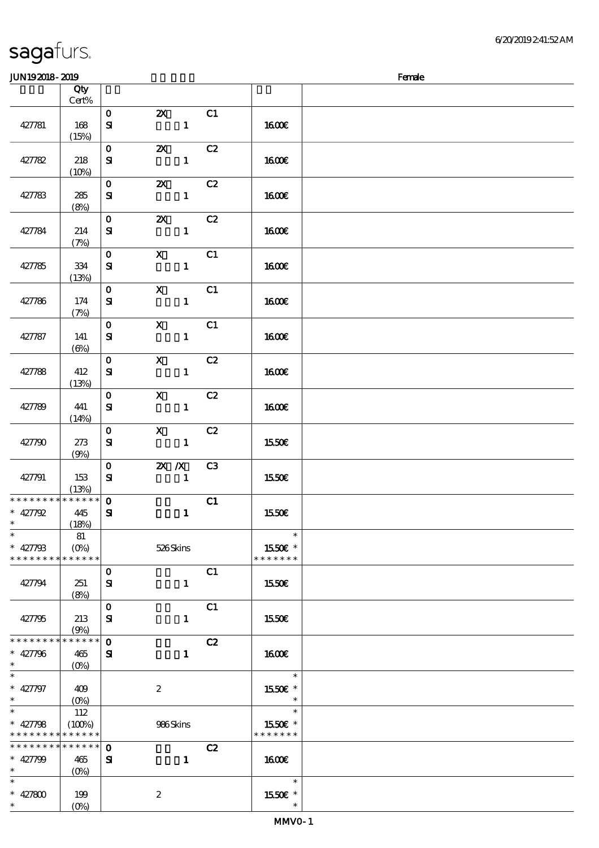6/20/2019 2:41:52 AM

#### $J/N192018$ - $2019$  Female 顺序号 Qty Cert% 说明 价格 427781 168 (15%)  $\overline{0}$  2X  $C1$ 427782 218 0 2X C2

| 427781                                                                        | 168<br>(15%)                                          | ${\bf s}$                   | $\mathbf{1}$                                    | <b>1600€</b>                       |  |
|-------------------------------------------------------------------------------|-------------------------------------------------------|-----------------------------|-------------------------------------------------|------------------------------------|--|
| 427782                                                                        | 218<br>(10%)                                          | $\mathbf{O}$<br>${\bf s}$   | $\boldsymbol{\mathsf{z}}$<br>C2<br>$\mathbf{1}$ | <b>160€</b>                        |  |
| 427783                                                                        | 285<br>(8%)                                           | $\mathbf 0$<br>${\bf s}$    | C2<br>$\boldsymbol{\mathsf{z}}$<br>$\mathbf{1}$ | 1600E                              |  |
| 427784                                                                        | 214<br>(7%)                                           | $\mathbf 0$<br>${\bf s}$    | $\boldsymbol{\mathsf{Z}}$<br>C2<br>$\mathbf{1}$ | <b>1600€</b>                       |  |
| 427785                                                                        | 334<br>(13%)                                          | $\mathbf 0$<br>${\bf s}$    | $\boldsymbol{\mathrm{X}}$<br>C1<br>$\mathbf{1}$ | <b>160€</b>                        |  |
| 427786                                                                        | 174<br>(7%)                                           | $\mathbf{o}$<br>${\bf s}$   | $\boldsymbol{\mathrm{X}}$<br>C1<br>$\mathbf{1}$ | 1600E                              |  |
| 427787                                                                        | 141<br>$(\Theta)$                                     | $\mathbf 0$<br>${\bf s}$    | $\mathbf{x}$<br>C1<br>$\mathbf{1}$              | <b>1600€</b>                       |  |
| 427788                                                                        | 412<br>(13%)                                          | $\mathbf 0$<br>${\bf s}$    | C2<br>$\mathbf{x}$<br>$\mathbf{1}$              | 1600E                              |  |
| 427789                                                                        | 441<br>(14%)                                          | $\mathbf{o}$<br>${\bf s}$   | C2<br>$\mathbf{x}$<br>$\mathbf{1}$              | <b>160€</b>                        |  |
| 427790                                                                        | 273<br>(9%)                                           | $\mathbf 0$<br>${\bf s}$    | $\mathbf{x}$<br>C2<br>$\mathbf{1}$              | 1550E                              |  |
| 427791                                                                        | 153<br>(13%)                                          | $\mathbf{O}$<br>${\bf s}$   | $X$ $N$<br>C <sub>3</sub><br>$\mathbf{1}$       | 1550€                              |  |
| * * * * * * * *<br>$* 427792$<br>$\ast$                                       | $******$<br>445<br>(18%)                              | $\mathbf 0$<br>$\mathbf{S}$ | C1<br>$\mathbf{1}$                              | 1550€                              |  |
| $\ast$<br>$* 427798$<br>* * * * * * * * <mark>* * * * * *</mark>              | 81<br>$(O\%)$                                         |                             | 526Skins                                        | $\ast$<br>1550€ *<br>* * * * * * * |  |
| 427794                                                                        | 251<br>(8%)                                           | $\mathbf{O}$<br>${\bf s}$   | C1<br>1                                         | 1550€                              |  |
| 427795                                                                        | 213<br>(9%)                                           | $\mathbf{o}$<br>${\bf s}$   | C1<br>$\mathbf{1}$                              | 1550€                              |  |
| * * * * * * * *<br>$* 427796$<br>$\ast$                                       | * * * * * *<br>465<br>$(O\!\!\!\!\!\!\backslash\rho)$ | $\mathbf 0$<br>${\bf s}$    | C2<br>$\mathbf{1}$                              | <b>160€</b>                        |  |
| $\overline{\ast}$<br>* 427797<br>$\ast$                                       | 409                                                   |                             | $\boldsymbol{2}$                                | $\ast$<br>1550E *<br>$\ast$        |  |
| $\overline{\ast}$<br>$* 427798$<br>* * * * * * * * <mark>* * * * * * *</mark> | 112<br>(100%)                                         |                             | 986Skins                                        | $\ast$<br>1550E *<br>* * * * * * * |  |
| * * * * * * * *<br>* $427799$<br>$\ast$                                       | $* * * * * *$<br>465<br>$(O\%)$                       | $\mathbf 0$<br>${\bf s}$    | C2<br>$\mathbf{1}$                              | <b>160€</b>                        |  |
| $\ast$<br>* $427800$<br>$\ast$                                                | 199<br>$(O\%)$                                        |                             | $\boldsymbol{z}$                                | $\ast$<br>1550E *<br>$\ast$        |  |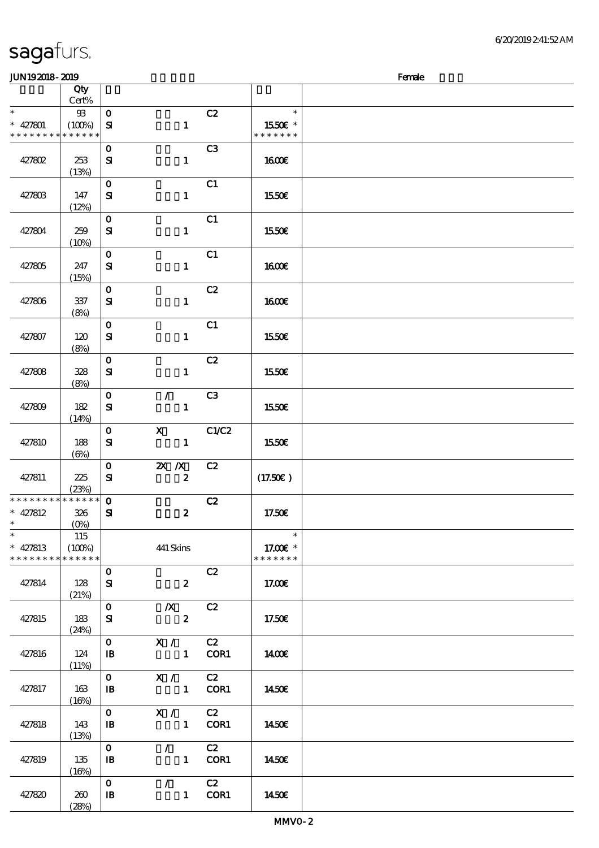| <b>saga</b> furs. |  |
|-------------------|--|
|                   |  |

#### $JUN192018 - 2019$  Female

| ---------       |              |                            |                  |                |               |  |
|-----------------|--------------|----------------------------|------------------|----------------|---------------|--|
|                 | Qty<br>Cert% |                            |                  |                |               |  |
|                 |              |                            |                  |                |               |  |
| $\ast$          | $9\!\!3$     | $\mathbf 0$                |                  | C2             | $\ast$        |  |
| $* 427801$      | (100%)       | ${\bf s}$                  | $\mathbf{1}$     |                | 1550E *       |  |
| * * * * * * * * | * * * * * *  |                            |                  |                | * * * * * * * |  |
|                 |              | $\mathbf 0$                |                  | C <sub>3</sub> |               |  |
|                 |              |                            |                  |                |               |  |
| 427802          | 253          | ${\bf s}$                  | $\mathbf{1}$     |                | <b>1600€</b>  |  |
|                 | (13%)        |                            |                  |                |               |  |
|                 |              | $\mathbf{o}$               |                  | C1             |               |  |
| 427803          | 147          | ${\bf s}$                  | $\mathbf{1}$     |                | 1550€         |  |
|                 | (12%)        |                            |                  |                |               |  |
|                 |              |                            |                  |                |               |  |
|                 |              | $\mathbf{o}$               |                  | C1             |               |  |
| 427804          | 259          | ${\bf s}$                  | $\mathbf{1}$     |                | 1550€         |  |
|                 | (10%)        |                            |                  |                |               |  |
|                 |              | $\mathbf{O}$               |                  | C1             |               |  |
| 427805          | 247          | ${\bf s}$                  | $\mathbf{1}$     |                | <b>160€</b>   |  |
|                 |              |                            |                  |                |               |  |
|                 | (15%)        |                            |                  |                |               |  |
|                 |              | $\mathbf 0$                |                  | C2             |               |  |
| 427806          | 337          | ${\bf s}$                  | $\mathbf{1}$     |                | 1600E         |  |
|                 | (8%)         |                            |                  |                |               |  |
|                 |              | $\mathbf 0$                |                  | C1             |               |  |
| 427807          | 120          | ${\bf s}$                  | $\mathbf{1}$     |                | 1550€         |  |
|                 | (8%)         |                            |                  |                |               |  |
|                 |              |                            |                  |                |               |  |
|                 |              | $\mathbf 0$                |                  | C2             |               |  |
| 427808          | 328          | ${\bf s}$                  | $\mathbf{1}$     |                | 1550€         |  |
|                 | (8%)         |                            |                  |                |               |  |
|                 |              | $\mathbf 0$                | $\mathcal{L}$    | C3             |               |  |
| 427809          | 182          | ${\bf s}$                  | $\mathbf{1}$     |                | 1550€         |  |
|                 | (14%)        |                            |                  |                |               |  |
|                 |              | $\mathbf 0$                | $\mathbf X$      | C1/C2          |               |  |
|                 |              |                            |                  |                |               |  |
| 427810          | 188          | ${\bf s}$                  | $\mathbf{1}$     |                | 1550€         |  |
|                 | $(\Theta)$   |                            |                  |                |               |  |
|                 |              | $\mathbf 0$                | $X$ $X$          | C2             |               |  |
| 427811          | 225          | ${\bf s}$                  | $\boldsymbol{z}$ |                | (17.50)       |  |
|                 | (23%)        |                            |                  |                |               |  |
| * * * * * * * * | * * * * * *  | $\mathbf{o}$               |                  | C2             |               |  |
| $* 427812$      | 326          | ${\bf s}$                  | $\boldsymbol{z}$ |                | 17.50€        |  |
| $\ast$          | $(0\%)$      |                            |                  |                |               |  |
| $\ast$          |              |                            |                  |                | $\ast$        |  |
|                 | 115          |                            |                  |                |               |  |
| $* 427813$      | (100%)       |                            | 441 Skins        |                | 17.00 £*      |  |
| * * * * * * * * | * * * * * *  |                            |                  |                | * * * * * * * |  |
|                 |              | $\mathbf 0$                |                  | C2             |               |  |
| 427814          | 128          | ${\bf S\hspace{-.075ex}I}$ | $\boldsymbol{z}$ |                | 17.00E        |  |
|                 | (21%)        |                            |                  |                |               |  |
|                 |              | $\mathbf 0$                | $\mathbf{X}$     | C2             |               |  |
| 427815          | 183          | ${\bf s}$                  | $\boldsymbol{z}$ |                | 17.50€        |  |
|                 |              |                            |                  |                |               |  |
|                 | (24%)        |                            |                  |                |               |  |
|                 |              | $\mathbf{O}$               | X /              | C2             |               |  |
| 427816          | 124          | $\mathbf{B}$               | $\mathbf{1}$     | COR1           | 1400E         |  |
|                 | (11%)        |                            |                  |                |               |  |
|                 |              | $\mathbf{O}$               | X /              | C2             |               |  |
| 427817          | 163          | $\, {\bf I} \! {\bf B} \,$ | $\mathbf{1}$     | COR1           | 1450€         |  |
|                 | (16%)        |                            |                  |                |               |  |
|                 |              | $\mathbf{O}$               | $\mathbf{X}$ /   | C2             |               |  |
|                 |              |                            |                  |                |               |  |
| 427818          | 143          | $\mathbf{B}$               | $\mathbf{1}$     | COR1           | 1450€         |  |
|                 | (13%)        |                            |                  |                |               |  |
|                 |              | $\mathbf{O}$               | $\mathcal{F}$    | C2             |               |  |
| 427819          | 135          | $\mathbf{B}$               | $1 -$            | COR1           | 1450E         |  |
|                 | (16%)        |                            |                  |                |               |  |
|                 |              | $\mathbf{o}$               | $\mathcal{L}$    | C2             |               |  |
| 427820          | 260          | $\, {\bf I} \! {\bf B} \,$ | 1                | COR1           | 1450€         |  |
|                 | (28%)        |                            |                  |                |               |  |
|                 |              |                            |                  |                |               |  |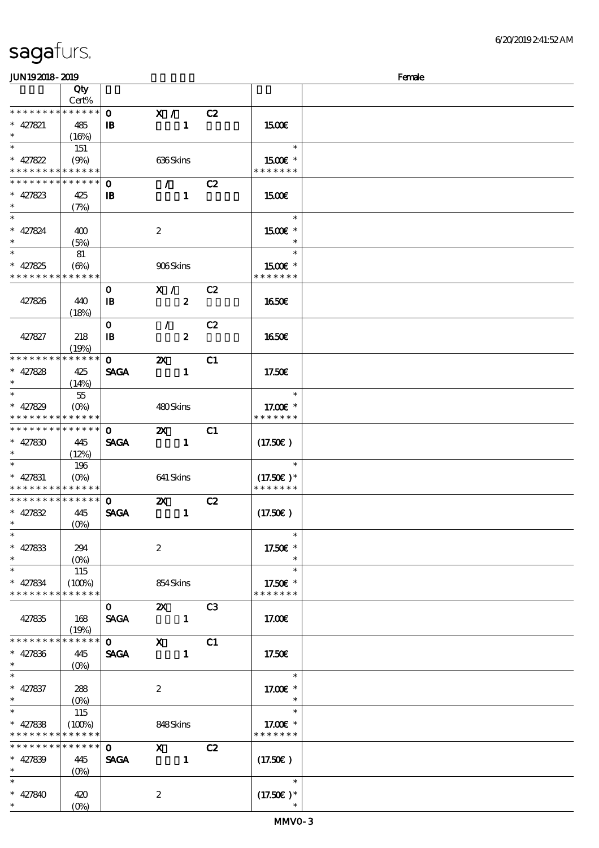$(0%)$ 

| JUN192018-2019                           |                    |              |                                                                                                                                                                                                                                                                                                                                 |                  |    |                       | Female |
|------------------------------------------|--------------------|--------------|---------------------------------------------------------------------------------------------------------------------------------------------------------------------------------------------------------------------------------------------------------------------------------------------------------------------------------|------------------|----|-----------------------|--------|
|                                          | Qty                |              |                                                                                                                                                                                                                                                                                                                                 |                  |    |                       |        |
|                                          | Cert%              |              |                                                                                                                                                                                                                                                                                                                                 |                  |    |                       |        |
| * * * * * * * *                          | $* * * * * * *$    | $\mathbf{o}$ | X /                                                                                                                                                                                                                                                                                                                             |                  | C2 |                       |        |
| $* 427821$                               | 485                | $\mathbf{B}$ |                                                                                                                                                                                                                                                                                                                                 | $\mathbf{1}$     |    | 1500E                 |        |
| $\ast$                                   | (16%)              |              |                                                                                                                                                                                                                                                                                                                                 |                  |    |                       |        |
|                                          | 151                |              |                                                                                                                                                                                                                                                                                                                                 |                  |    | $\ast$                |        |
| * $427822$                               | (9%)               |              | 636Skins                                                                                                                                                                                                                                                                                                                        |                  |    | 1500€ *               |        |
| * * * * * * * *                          | * * * * * *        |              |                                                                                                                                                                                                                                                                                                                                 |                  |    | * * * * * * *         |        |
| * * * * * * * *                          | * * * * * *        | $\mathbf 0$  | $\mathcal{T}=\mathcal{I}$                                                                                                                                                                                                                                                                                                       |                  | C2 |                       |        |
| $* 427823$                               | 425                | $\mathbf{B}$ |                                                                                                                                                                                                                                                                                                                                 | $\mathbf{1}$     |    | 1500E                 |        |
| $\ast$                                   | (7%)               |              |                                                                                                                                                                                                                                                                                                                                 |                  |    |                       |        |
| $\overline{\ast}$                        |                    |              |                                                                                                                                                                                                                                                                                                                                 |                  |    | $\ast$                |        |
| $* 427824$                               | 400                |              | $\boldsymbol{2}$                                                                                                                                                                                                                                                                                                                |                  |    | 1500€ *               |        |
| $\ast$                                   | (5%)               |              |                                                                                                                                                                                                                                                                                                                                 |                  |    | $\ast$                |        |
| $\overline{\ast}$                        | 81                 |              |                                                                                                                                                                                                                                                                                                                                 |                  |    | $\ast$                |        |
| * $427825$                               | $(\Theta)$         |              | 906Skins                                                                                                                                                                                                                                                                                                                        |                  |    | 1500€ *               |        |
| * * * * * * * *                          | * * * * * *        |              |                                                                                                                                                                                                                                                                                                                                 |                  |    | * * * * * * *         |        |
|                                          |                    | $\mathbf 0$  | X /                                                                                                                                                                                                                                                                                                                             |                  | C2 |                       |        |
| 427826                                   | 440                | $\mathbf{B}$ |                                                                                                                                                                                                                                                                                                                                 | $\boldsymbol{z}$ |    | 1650E                 |        |
|                                          | (18%)              |              |                                                                                                                                                                                                                                                                                                                                 |                  |    |                       |        |
|                                          |                    | $\mathbf{o}$ | $\mathcal{L}$                                                                                                                                                                                                                                                                                                                   |                  | C2 |                       |        |
| 427827                                   | 218                | $\mathbf{B}$ |                                                                                                                                                                                                                                                                                                                                 | $\boldsymbol{2}$ |    | 1650€                 |        |
|                                          | (19%)              |              |                                                                                                                                                                                                                                                                                                                                 |                  |    |                       |        |
| * * * * * * * *                          | * * * * * *        | $\mathbf{o}$ | $\boldsymbol{\mathsf{X}}$                                                                                                                                                                                                                                                                                                       |                  | C1 |                       |        |
| * $427828$                               | 425                | <b>SAGA</b>  |                                                                                                                                                                                                                                                                                                                                 | $\mathbf{1}$     |    | 17.50€                |        |
| $\ast$                                   | (14%)              |              |                                                                                                                                                                                                                                                                                                                                 |                  |    |                       |        |
| $\overline{\ast}$                        | $55\,$             |              |                                                                                                                                                                                                                                                                                                                                 |                  |    | $\ast$                |        |
| * $427829$                               | $(O\!/\!\!\delta)$ |              | 480Skins                                                                                                                                                                                                                                                                                                                        |                  |    | 17.00 £*              |        |
| * * * * * * * *                          | * * * * * *        |              |                                                                                                                                                                                                                                                                                                                                 |                  |    | * * * * * * *         |        |
| * * * * * * * *                          | * * * * * *        | $\mathbf{O}$ | $\boldsymbol{\mathsf{X}}$                                                                                                                                                                                                                                                                                                       |                  | C1 |                       |        |
| $* 427830$                               | 445                | <b>SAGA</b>  |                                                                                                                                                                                                                                                                                                                                 | $\mathbf{1}$     |    | (17.50)               |        |
| $\ast$                                   | (12%)              |              |                                                                                                                                                                                                                                                                                                                                 |                  |    |                       |        |
| $\ast$                                   | 196                |              |                                                                                                                                                                                                                                                                                                                                 |                  |    | $\ast$                |        |
| $* 427831$                               | $(O\!/\!o)$        |              | 641 Skins                                                                                                                                                                                                                                                                                                                       |                  |    | $(17.50)$ *           |        |
| * * * * * * * * <mark>* * * * * *</mark> |                    |              |                                                                                                                                                                                                                                                                                                                                 |                  |    | * * * * * * *         |        |
| * * * * * * * *                          | $* * * * * * *$    | $\mathbf{o}$ | $\boldsymbol{\mathsf{z}}$                                                                                                                                                                                                                                                                                                       |                  | C2 |                       |        |
| $* 427832$                               | 445                | <b>SAGA</b>  |                                                                                                                                                                                                                                                                                                                                 | $\mathbf{1}$     |    | (17.50)               |        |
| $\ast$                                   | $(O\%)$            |              |                                                                                                                                                                                                                                                                                                                                 |                  |    |                       |        |
| $\ast$                                   |                    |              |                                                                                                                                                                                                                                                                                                                                 |                  |    | $\ast$                |        |
| $* 427833$                               | 294                |              | $\boldsymbol{2}$                                                                                                                                                                                                                                                                                                                |                  |    | 17.50€ *              |        |
| $\ast$                                   |                    |              |                                                                                                                                                                                                                                                                                                                                 |                  |    |                       |        |
| $\ast$                                   | 115                |              |                                                                                                                                                                                                                                                                                                                                 |                  |    | $\ast$                |        |
| $* 427834$                               | (100%)             |              | 854 Skins                                                                                                                                                                                                                                                                                                                       |                  |    | 17.50€ *              |        |
| * * * * * * * *                          | * * * * * *        |              |                                                                                                                                                                                                                                                                                                                                 |                  |    | * * * * * * *         |        |
|                                          |                    | $\mathbf{O}$ | $\mathbf{z}$                                                                                                                                                                                                                                                                                                                    |                  | C3 |                       |        |
| 427835                                   | 168                | <b>SAGA</b>  |                                                                                                                                                                                                                                                                                                                                 | $\blacksquare$   |    | 17.00E                |        |
|                                          | (19%)              |              |                                                                                                                                                                                                                                                                                                                                 |                  |    |                       |        |
| * * * * * * *                            | ******             | $\mathbf{0}$ | $\mathbf x$ and $\mathbf x$ and $\mathbf x$ and $\mathbf x$ and $\mathbf x$ and $\mathbf x$ and $\mathbf x$ and $\mathbf x$ and $\mathbf x$ and $\mathbf x$ and $\mathbf x$ and $\mathbf x$ and $\mathbf x$ and $\mathbf x$ and $\mathbf x$ and $\mathbf x$ and $\mathbf x$ and $\mathbf x$ and $\mathbf x$ and $\mathbf x$ and |                  | C1 |                       |        |
| $* 427836$                               | 445                | <b>SAGA</b>  |                                                                                                                                                                                                                                                                                                                                 | $\mathbf{1}$     |    | 17.50€                |        |
| $\ast$                                   | $(O\%)$            |              |                                                                                                                                                                                                                                                                                                                                 |                  |    |                       |        |
| $*$                                      |                    |              |                                                                                                                                                                                                                                                                                                                                 |                  |    | $\ast$                |        |
| $* 427837$                               | 288                |              | $\boldsymbol{2}$                                                                                                                                                                                                                                                                                                                |                  |    | 17.00 £*              |        |
| $\ast$                                   |                    |              |                                                                                                                                                                                                                                                                                                                                 |                  |    | $\ast$                |        |
| $\ast$                                   | 115                |              |                                                                                                                                                                                                                                                                                                                                 |                  |    | $\ast$                |        |
| $* 427838$                               | (100%)             |              | 848Skins                                                                                                                                                                                                                                                                                                                        |                  |    | 17.00 $\varepsilon$ * |        |
| * * * * * * * *                          | * * * * * *        |              |                                                                                                                                                                                                                                                                                                                                 |                  |    | * * * * * * *         |        |
| * * * * * * * *                          | ******             | $\mathbf{O}$ | $\boldsymbol{\mathrm{X}}$ and $\boldsymbol{\mathrm{X}}$ and $\boldsymbol{\mathrm{X}}$                                                                                                                                                                                                                                           |                  | C2 |                       |        |
| * $427839$                               | 445                | <b>SAGA</b>  | $\sim$ $\sim$ 1                                                                                                                                                                                                                                                                                                                 |                  |    | $(17.50\epsilon)$     |        |
| $\ast$                                   | $(O\%)$            |              |                                                                                                                                                                                                                                                                                                                                 |                  |    |                       |        |
| $\ast$                                   |                    |              |                                                                                                                                                                                                                                                                                                                                 |                  |    | $\ast$                |        |
| $* 427840$                               | 420                |              | $\boldsymbol{2}$                                                                                                                                                                                                                                                                                                                |                  |    | $(17.50)$ *           |        |
|                                          | $(O\%)$            |              |                                                                                                                                                                                                                                                                                                                                 |                  |    |                       |        |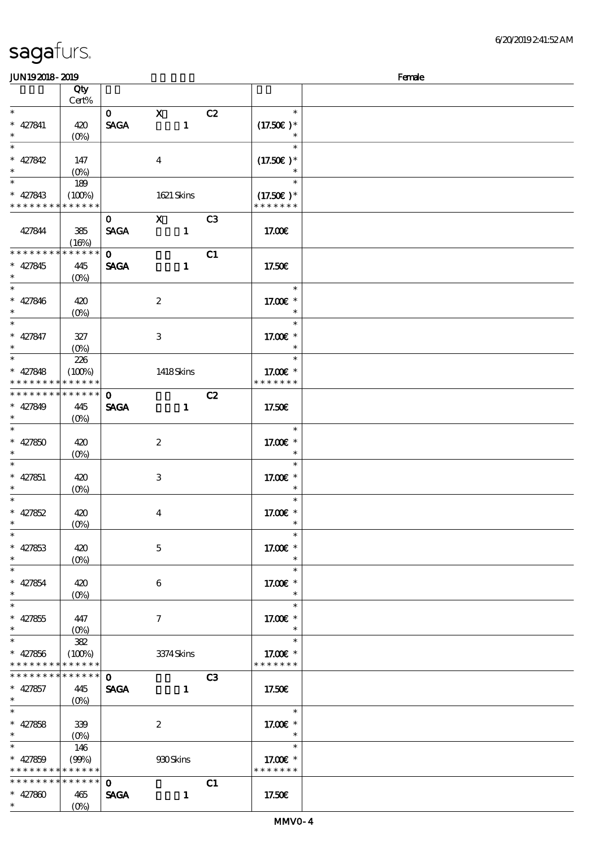顺序号 Qty

说明 价格

|                          | Cert%                           |              |                  |              |                |                       |  |
|--------------------------|---------------------------------|--------------|------------------|--------------|----------------|-----------------------|--|
| $\overline{\ast}$        |                                 | $\mathbf{0}$ | $\mathbf x$      |              | C2             | $\ast$                |  |
| $* 427841$               | 420                             | <b>SAGA</b>  |                  | $\mathbf{1}$ |                | $(17.50)$ *           |  |
|                          | $(0\%)$                         |              |                  |              |                |                       |  |
| $\overline{\ast}$        |                                 |              |                  |              |                | $\ast$                |  |
|                          |                                 |              |                  |              |                |                       |  |
| * $427842$               | 147                             |              | $\boldsymbol{4}$ |              |                | $(17.50)$ *           |  |
| $\ast$                   | $(O\!\!\!\!\!\!\backslash\rho)$ |              |                  |              |                |                       |  |
| $\overline{\ast}$        | 189                             |              |                  |              |                | $\ast$                |  |
| $* 427843$               | (100%)                          |              | 1621 Skins       |              |                | $(17.50)$ *           |  |
| * * * * * * * *          | * * * * * *                     |              |                  |              |                | * * * * * * *         |  |
|                          |                                 | $\mathbf{O}$ | $\mathbf x$      |              | C <sub>3</sub> |                       |  |
| 427844                   | 385                             | <b>SAGA</b>  |                  | $\mathbf{1}$ |                | 17.00€                |  |
|                          | (16%)                           |              |                  |              |                |                       |  |
| * * * * * * * *          | * * * * * *                     |              |                  |              |                |                       |  |
|                          |                                 | $\mathbf{O}$ |                  |              | C1             |                       |  |
| $* 427845$               | 445                             | <b>SAGA</b>  |                  | $\mathbf{1}$ |                | 17.50E                |  |
| $\ast$                   | $(0\%)$                         |              |                  |              |                |                       |  |
| $\overline{\phantom{0}}$ |                                 |              |                  |              |                | $\ast$                |  |
| $* 427846$               | 420                             |              | $\boldsymbol{2}$ |              |                | 17.00 £*              |  |
| $\ast$                   | $(0\%)$                         |              |                  |              |                | $\ast$                |  |
| $\ast$                   |                                 |              |                  |              |                | $\ast$                |  |
| $* 427847$               | 327                             |              | 3                |              |                | 17.00 £*              |  |
| $\ast$                   |                                 |              |                  |              |                | $\ast$                |  |
| $\overline{\ast}$        |                                 |              |                  |              |                | $\ast$                |  |
|                          | 226                             |              |                  |              |                |                       |  |
| $* 427848$               | (100%)                          |              | 1418Skins        |              |                | 17.00 £*              |  |
| * * * * * * * *          | * * * * * *                     |              |                  |              |                | * * * * * * *         |  |
| * * * * * * * *          | $* * * * * * *$                 | $\mathbf 0$  |                  |              | C2             |                       |  |
| $* 427849$               | 445                             | <b>SAGA</b>  |                  | $\mathbf{1}$ |                | 17.50€                |  |
| $\ast$                   | $(O\%)$                         |              |                  |              |                |                       |  |
| $\overline{\ast}$        |                                 |              |                  |              |                | $\ast$                |  |
| $* 427850$               | 420                             |              | $\boldsymbol{2}$ |              |                | 17.00€ *              |  |
| $\ast$                   |                                 |              |                  |              |                | $\ast$                |  |
|                          | $(0\%)$                         |              |                  |              |                |                       |  |
|                          |                                 |              |                  |              |                | $\ast$                |  |
| $* 427851$               | 420                             |              | 3                |              |                | 17.00 £*              |  |
| $\ast$                   | $(O\%)$                         |              |                  |              |                | $\ast$                |  |
| $\ast$                   |                                 |              |                  |              |                | $\ast$                |  |
| $* 427852$               | 420                             |              | $\boldsymbol{4}$ |              |                | 17.00 £*              |  |
| $\ast$                   | $(0\%)$                         |              |                  |              |                |                       |  |
| $\overline{\ast}$        |                                 |              |                  |              |                | $\ast$                |  |
| $* 427853$               | 420                             |              | $\mathbf{5}$     |              |                | 17.00€ *              |  |
| $\ast$                   |                                 |              |                  |              |                | $\ast$                |  |
| $\overline{\ast}$        | $(0\%)$                         |              |                  |              |                | $\ast$                |  |
|                          |                                 |              |                  |              |                |                       |  |
| $* 427854$               | 420                             |              | $\bf 6$          |              |                | 17.00 £*              |  |
| $\ast$                   | $(O\!\!\!\!\!\!\backslash\rho)$ |              |                  |              |                | $\ast$                |  |
| $\overline{\ast}$        |                                 |              |                  |              |                | $\ast$                |  |
| $* 427855$               | 447                             |              | $\tau$           |              |                | 17.00 $\varepsilon$ * |  |
| $\ast$                   | $(O\!\!\!\!\!\!\backslash\rho)$ |              |                  |              |                | $\ast$                |  |
| $\ast$                   | ${\bf 3\!}$                     |              |                  |              |                | $\ast$                |  |
| $* 427856$               | (100%)                          |              | 3374Skins        |              |                | 17.00 £*              |  |
| * * * * * * * *          | * * * * * *                     |              |                  |              |                | * * * * * * *         |  |
|                          |                                 |              |                  |              |                |                       |  |
| * * * * * * * *          | * * * * * *                     | $\mathbf{o}$ |                  |              | C <sub>3</sub> |                       |  |
| $* 427857$               | 445                             | <b>SAGA</b>  |                  | $\mathbf{1}$ |                | 17.50E                |  |
| $\ast$                   | $(O\%)$                         |              |                  |              |                |                       |  |
| $\overline{\ast}$        |                                 |              |                  |              |                | $\ast$                |  |
| $* 427858$               | 339                             |              | $\boldsymbol{2}$ |              |                | 17.00 £*              |  |
| $\ast$                   |                                 |              |                  |              |                |                       |  |
| $\overline{\ast}$        | 146                             |              |                  |              |                | $\ast$                |  |
| $* 427859$               | $(QO\%)$                        |              | 930Skins         |              |                | 17.00 £*              |  |
| * * * * * * * *          | * * * * * *                     |              |                  |              |                | * * * * * * *         |  |
|                          | $* * * * * * *$                 |              |                  |              |                |                       |  |
| * * * * * * * *          |                                 | $\mathbf 0$  |                  |              | C1             |                       |  |
| * $427800$               | 465                             | <b>SAGA</b>  |                  | $\mathbf{1}$ |                | 17.50€                |  |
| $\ast$                   | $(O\%)$                         |              |                  |              |                |                       |  |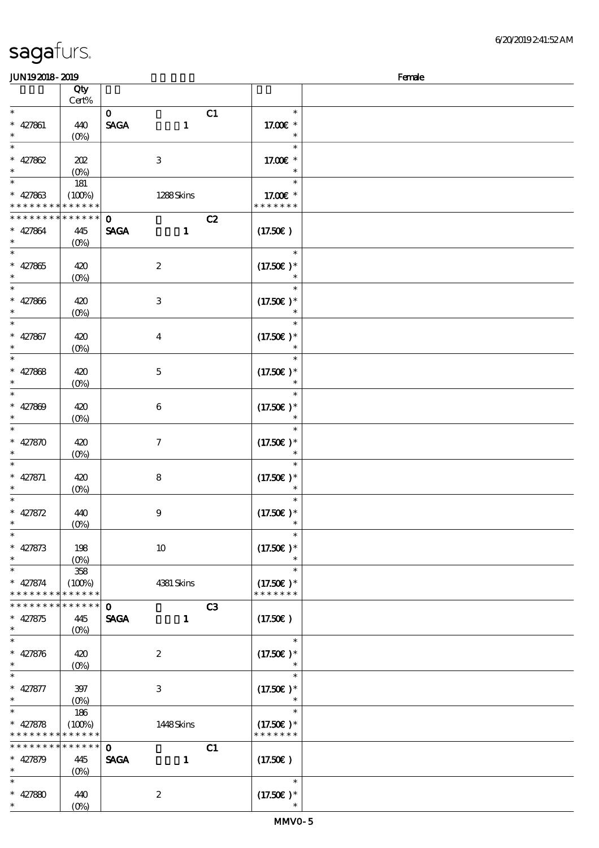| JUN192018-2019                                         |                   |                             |                              | Female |
|--------------------------------------------------------|-------------------|-----------------------------|------------------------------|--------|
|                                                        | Qty               |                             |                              |        |
|                                                        | Cert%             |                             |                              |        |
| $\ast$                                                 |                   | C1<br>$\mathbf{O}$          | $\ast$                       |        |
| $* 427861$                                             | 440               | <b>SAGA</b><br>$\mathbf{1}$ | 17.00 £*                     |        |
| $\ast$                                                 |                   |                             |                              |        |
|                                                        | $(O\%)$           |                             |                              |        |
| $\ast$                                                 |                   |                             | $\ast$                       |        |
| $* 427862$                                             | 202               | $\,3$                       | 17.00€ *                     |        |
|                                                        | (O <sub>0</sub> ) |                             | $\ast$                       |        |
| $\ast$                                                 | 181               |                             | $\ast$                       |        |
| $* 427863$                                             | (100%)            | 1288Skins                   | 17.00 £*                     |        |
| * * * *                                                | * * * * * *       |                             | * * * * * * *                |        |
| * * * * * * * *                                        | * * * * * *       | C2<br>$\mathbf 0$           |                              |        |
|                                                        |                   |                             |                              |        |
| $* 427864$                                             | 445               | <b>SAGA</b><br>$\mathbf{1}$ | (17.50)                      |        |
| $\ast$                                                 | $(O\%)$           |                             |                              |        |
| $\ast$                                                 |                   |                             | $\ast$                       |        |
| $\ast$<br>427865                                       | 420               | $\boldsymbol{2}$            | $(17.50)$ *                  |        |
| $\ast$                                                 | (O <sub>0</sub> ) |                             | $\ast$                       |        |
| $\ast$                                                 |                   |                             | $\ast$                       |        |
| $\ast$<br>427866                                       | 420               | $\,3$                       | $(17.50)$ *                  |        |
| $\ast$                                                 |                   |                             |                              |        |
| $\ast$                                                 | (O <sub>0</sub> ) |                             |                              |        |
|                                                        |                   |                             | $\ast$                       |        |
| $* 427867$                                             | 420               | $\boldsymbol{4}$            | $(17.50)$ *                  |        |
| $\ast$                                                 | (0%)              |                             |                              |        |
| $\ast$                                                 |                   |                             | $\ast$                       |        |
| $* 427868$                                             | 420               | $\mathbf 5$                 | $(17.50)$ *                  |        |
|                                                        | $(0\%)$           |                             |                              |        |
| $\ast$                                                 |                   |                             | $\ast$                       |        |
|                                                        |                   |                             |                              |        |
| $* 427809$                                             | 420               | $\boldsymbol{6}$            | $(17.50)$ *                  |        |
|                                                        | (O <sub>0</sub> ) |                             |                              |        |
| $\ast$                                                 |                   |                             | $\ast$                       |        |
| $* 427870$                                             | 420               | $\boldsymbol{7}$            | $(17.50)$ *                  |        |
| ∗                                                      | $(O\%)$           |                             | $\ast$                       |        |
| $\ast$                                                 |                   |                             | $\ast$                       |        |
| $* 427871$                                             | 420               | 8                           | $(17.50)$ *                  |        |
| $\ast$                                                 |                   |                             | $\ast$                       |        |
| $\ast$                                                 | $(0\%)$           |                             |                              |        |
|                                                        |                   |                             | $\ast$                       |        |
| $* 427872$                                             | 440               | $\boldsymbol{9}$            | $(17.50)$ *                  |        |
| $\ast$                                                 | $(0\%)$           |                             |                              |        |
| $\overline{\phantom{a}}$                               |                   |                             | $\ast$                       |        |
| $* 427873$                                             | 198               | $10\,$                      | $(17.50)$ *                  |        |
| $\ast$                                                 | (O <sub>0</sub> ) |                             |                              |        |
| $\ast$                                                 | $358\,$           |                             | $\ast$                       |        |
|                                                        |                   |                             |                              |        |
| $* 427874$<br>* * * * * * * * <mark>* * * * * *</mark> | (100%)            | 4381 Skins                  | $(17.50)$ *<br>* * * * * * * |        |
|                                                        |                   |                             |                              |        |
| * * * * * * * * * * * * * *                            |                   | C3<br>$\mathbf 0$           |                              |        |
| $* 427875$                                             | 445               | <b>SAGA</b><br>$\mathbf{1}$ | (17.50)                      |        |
| $\ast$                                                 | $(O\%)$           |                             |                              |        |
| $\ast$                                                 |                   |                             | $\ast$                       |        |
| $* 427876$                                             | 420               | $\boldsymbol{2}$            | $(17.50)$ *                  |        |
| $\ast$                                                 | $(O\%)$           |                             | $\ast$                       |        |
| $\ast$                                                 |                   |                             | $\ast$                       |        |
|                                                        |                   |                             |                              |        |
| $* 427877$                                             | $397$             | $\,3$                       | $(17.50)$ *                  |        |
| $\ast$                                                 | $(O\%)$           |                             | $\ast$                       |        |
| $\ast$                                                 | 186               |                             | $\ast$                       |        |
| $* 427878$                                             | (100%)            | 1448Skins                   | $(17.50)$ *                  |        |
| * * * * * * * *                                        | * * * * * *       |                             | * * * * * * *                |        |
| * * * * * * * *                                        | * * * * * *       | $\mathbf 0$<br>C1           |                              |        |
| $* 427879$                                             | 445               | <b>SAGA</b><br>$\mathbf{1}$ | (17.50)                      |        |
| $\ast$                                                 |                   |                             |                              |        |
|                                                        | $(O\%)$           |                             | $\ast$                       |        |
|                                                        |                   |                             |                              |        |
| $* 427880$                                             | 440               | $\boldsymbol{2}$            | $(17.50)$ *                  |        |
| $\ast$                                                 | (O <sub>0</sub> ) |                             |                              |        |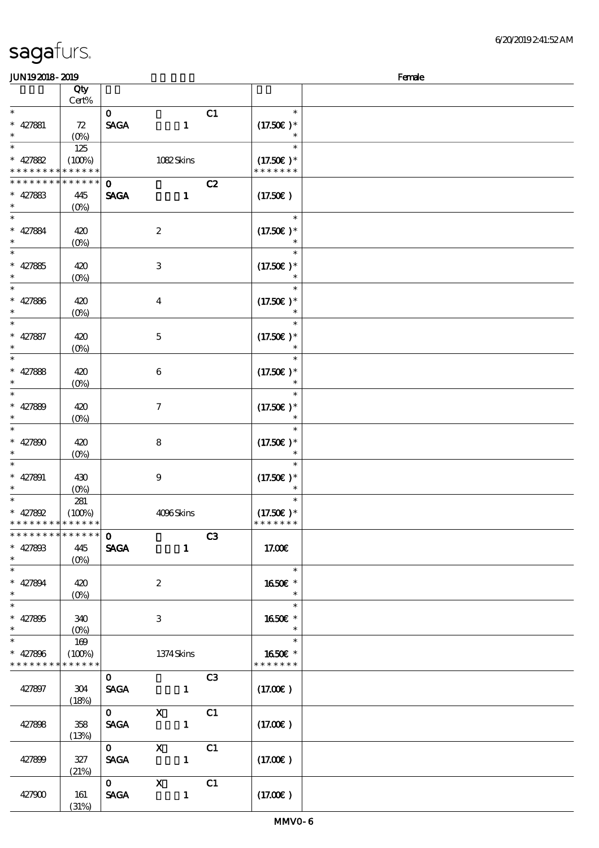| JUN192018-2019                           |                                 |              |                           |                |                      | Female |
|------------------------------------------|---------------------------------|--------------|---------------------------|----------------|----------------------|--------|
|                                          | Qty                             |              |                           |                |                      |        |
|                                          | Cert%                           |              |                           |                |                      |        |
| $\ast$                                   |                                 | $\mathbf{O}$ |                           | C1             | $\ast$               |        |
| $* 427881$                               | 72                              | <b>SAGA</b>  | $\mathbf{1}$              |                | $(17.50)$ *          |        |
| $\ast$                                   | $(O\%)$                         |              |                           |                |                      |        |
| $\ast$                                   | 125                             |              |                           |                | $\ast$               |        |
| $* 427882$                               | (100%)                          |              | 1082Skins                 |                | $(17.50)$ *          |        |
| * * * * * * * *                          | * * * * * *                     |              |                           |                | * * * * * * *        |        |
| * * * * * * *                            | * * * * * *                     | $\mathbf{o}$ |                           | C2             |                      |        |
| $* 427883$                               | 445                             | <b>SAGA</b>  | $\mathbf{1}$              |                | (17.50)              |        |
| $\ast$                                   | $(O\!/\!o)$                     |              |                           |                |                      |        |
| $\overline{\phantom{0}}$                 |                                 |              |                           |                | $\ast$               |        |
| $* 427884$                               | 420                             |              | $\boldsymbol{2}$          |                | $(17.50)$ *          |        |
| $\ast$                                   | $(O\!/\!o)$                     |              |                           |                |                      |        |
|                                          |                                 |              |                           |                | $\ast$               |        |
| * 427885                                 | 420                             |              | $\ensuremath{\mathsf{3}}$ |                | $(17.50)$ *          |        |
| $\ast$                                   | $(0\%)$                         |              |                           |                |                      |        |
| $\overline{\ast}$                        |                                 |              |                           |                | $\ast$               |        |
| * $427886$                               | 420                             |              | $\boldsymbol{4}$          |                | $(17.50)$ *          |        |
| $\ast$                                   | $(O\!/\!o)$                     |              |                           |                | $\ast$               |        |
| $\ast$                                   |                                 |              |                           |                | $\ast$               |        |
| $* 427887$                               | 420                             |              | $\mathbf 5$               |                | $(17.50)$ *          |        |
| $\ast$                                   | $(O\!/\!o)$                     |              |                           |                |                      |        |
| $\ast$                                   |                                 |              |                           |                | $\ast$               |        |
| * $427888$                               | 420                             |              | $\bf 6$                   |                | $(17.50)$ *          |        |
| $\ast$                                   | $(0\%)$                         |              |                           |                | $\ast$               |        |
| $\overline{\ast}$                        |                                 |              |                           |                | $\ast$               |        |
| * $427889$                               | 420                             |              | $\tau$                    |                | $(17.50)$ *          |        |
| $\ast$                                   | $(O\!/\!o)$                     |              |                           |                |                      |        |
| $\ast$                                   |                                 |              |                           |                |                      |        |
| * $427800$                               | 420                             |              | $\bf 8$                   |                | $(17.50)$ *          |        |
| $\ast$                                   | $(0\%)$                         |              |                           |                |                      |        |
| $\ast$                                   |                                 |              |                           |                |                      |        |
| * $427891$                               | 430                             |              | $\boldsymbol{9}$          |                | $(17.50)$ *          |        |
| $\ast$                                   | $(0\%)$                         |              |                           |                | $\ast$               |        |
|                                          | 281                             |              |                           |                |                      |        |
| * $427892$                               | (100%)                          |              | 4096Skins                 |                | $(17.50)$ *          |        |
| * * * * * * * * * * * * * *              |                                 |              |                           |                | * * * * * * *        |        |
| * * * * * * * * <mark>* * * * * *</mark> |                                 | $\mathbf{o}$ |                           | C3             |                      |        |
| $* 427808$                               | 445                             | <b>SAGA</b>  | $\mathbf{1}$              |                | 17.00E               |        |
| $\ast$                                   | $(O\%)$                         |              |                           |                |                      |        |
|                                          |                                 |              |                           |                | $\ast$               |        |
| $* 427894$                               | 420                             |              | $\boldsymbol{2}$          |                | 1650E *              |        |
| $*$                                      | $(O\!\!\!\!\!\!\backslash\rho)$ |              |                           |                | $\ast$<br>$\ast$     |        |
|                                          |                                 |              |                           |                |                      |        |
| $* 427805$<br>$\ast$                     | 340                             |              | 3                         |                | 1650E *<br>$\ast$    |        |
|                                          | $(O\%)$                         |              |                           |                | $\ast$               |        |
|                                          | 169                             |              |                           |                | 1650 $\varepsilon$ * |        |
| $* 427896$<br>* * * * * * * *            | (100%)<br>* * * * * *           |              | 1374Skins                 |                | * * * * * * *        |        |
|                                          |                                 | $\mathbf{O}$ |                           | C <sub>3</sub> |                      |        |
| 427897                                   | 304                             | <b>SAGA</b>  | $\mathbf{1}$              |                | (17.00)              |        |
|                                          | (18%)                           |              |                           |                |                      |        |
|                                          |                                 | $\mathbf{O}$ | $\mathbf{X}$              | C1             |                      |        |
| 427898                                   | 358                             | <b>SAGA</b>  |                           |                | (17.00)              |        |
|                                          | (13%)                           |              |                           |                |                      |        |
|                                          |                                 | $\mathbf{0}$ | $\mathbf{X}$              | C1             |                      |        |
| 427899                                   | 327                             | <b>SAGA</b>  |                           |                | (17.00)              |        |
|                                          | (21%)                           |              |                           |                |                      |        |
|                                          |                                 | $0$ X        |                           | C1             |                      |        |
| 427900                                   | 161                             | <b>SAGA</b>  | $\mathbf{1}$              |                | (17.00)              |        |
|                                          | (31%)                           |              |                           |                |                      |        |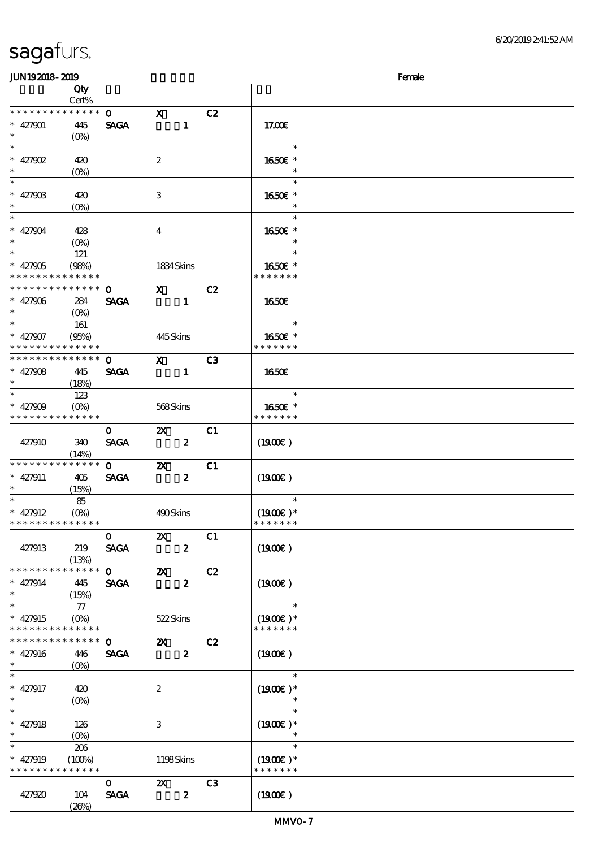### $J<sub>W102018</sub>$  2010  $J<sub>W102018</sub>$  2010

| JUNIJAJIO- AJIJ                          |                                 |                               |                           |                  |                |                  | rance |
|------------------------------------------|---------------------------------|-------------------------------|---------------------------|------------------|----------------|------------------|-------|
|                                          | Qty<br>Cert%                    |                               |                           |                  |                |                  |       |
|                                          |                                 |                               |                           |                  |                |                  |       |
| * * * * * * * *                          | * * * * * *                     | $\mathbf{O}$                  | $\mathbf{x}$              |                  | C2             |                  |       |
| $* 427901$                               | 445                             | <b>SAGA</b>                   |                           | $\mathbf{1}$     |                | 17.00E           |       |
| $\ast$                                   |                                 |                               |                           |                  |                |                  |       |
|                                          | $(O\% )$                        |                               |                           |                  |                |                  |       |
| $\overline{\ast}$                        |                                 |                               |                           |                  |                | $\ast$           |       |
| $* 427902$                               | 420                             |                               | $\boldsymbol{z}$          |                  |                | 1650€ *          |       |
| $\ast$                                   |                                 |                               |                           |                  |                | $\ast$           |       |
|                                          | $(O\%)$                         |                               |                           |                  |                |                  |       |
| $\overline{\phantom{0}}$                 |                                 |                               |                           |                  |                | $\ast$           |       |
| $* 42790B$                               | 420                             |                               | 3                         |                  |                | 1650€ *          |       |
| $\ast$                                   |                                 |                               |                           |                  |                | $\ast$           |       |
|                                          | $(O\!\!\!\!\!\!\backslash\rho)$ |                               |                           |                  |                |                  |       |
| $\overline{\ast}$                        |                                 |                               |                           |                  |                | $\ast$           |       |
| $* 427904$                               | 428                             |                               | $\overline{4}$            |                  |                | 1650E *          |       |
| $\ast$                                   |                                 |                               |                           |                  |                | $\ast$           |       |
| $\ast$                                   | $(O\%)$                         |                               |                           |                  |                |                  |       |
|                                          | 121                             |                               |                           |                  |                | $\ast$           |       |
| $* 427905$                               | (98%)                           |                               | 1834 Skins                |                  |                | 1650E *          |       |
| * * * * * * * *                          | * * * * * *                     |                               |                           |                  |                | * * * * * * *    |       |
|                                          |                                 |                               |                           |                  |                |                  |       |
| ******** <mark>******</mark>             |                                 | $\mathbf{O}$                  | $X$ C <sub>2</sub>        |                  |                |                  |       |
| $* 427906$                               | 284                             | <b>SAGA</b>                   |                           | $\blacksquare$   |                | 1650€            |       |
| $\ast$                                   |                                 |                               |                           |                  |                |                  |       |
|                                          |                                 |                               |                           |                  |                | $\ast$           |       |
|                                          | 161                             |                               |                           |                  |                |                  |       |
| $* 427907$                               | (95%)                           |                               | 445Skins                  |                  |                | 1650€ *          |       |
| * * * * * * * * <mark>* * * * * *</mark> |                                 |                               |                           |                  |                | * * * * * * *    |       |
| * * * * * * * * * * * * * *              |                                 |                               |                           |                  |                |                  |       |
|                                          |                                 | $\mathbf{O}$ and $\mathbf{O}$ | $\mathbf{x}$              |                  | C <sub>3</sub> |                  |       |
| $* 427908$                               | 445                             | <b>SAGA</b>                   | $\sim$ 1                  |                  |                | 1650€            |       |
| $\ast$                                   | (18%)                           |                               |                           |                  |                |                  |       |
|                                          |                                 |                               |                           |                  |                | $\ast$           |       |
|                                          | 123                             |                               |                           |                  |                |                  |       |
| $* 427909$                               |                                 |                               | 568Skins                  |                  |                | 1650E *          |       |
| * * * * * * * * * * * * * *              |                                 |                               |                           |                  |                | * * * * * * *    |       |
|                                          |                                 |                               | $\mathbf{x}$              |                  | C1             |                  |       |
|                                          |                                 | $\mathbf{O}$                  |                           |                  |                |                  |       |
| 427910                                   | 340                             | <b>SAGA</b>                   |                           | $\boldsymbol{z}$ |                | $(1900\epsilon)$ |       |
|                                          | (14%)                           |                               |                           |                  |                |                  |       |
| * * * * * * * *                          | * * * * * *                     | $\mathbf{O}$                  | $\mathbf{X}$              |                  | C1             |                  |       |
|                                          |                                 |                               |                           |                  |                |                  |       |
| $* 427911$                               | 405                             | <b>SAGA</b>                   |                           | $\boldsymbol{z}$ |                | $(1900\epsilon)$ |       |
| $\ast$                                   | (15%)                           |                               |                           |                  |                |                  |       |
| $*$                                      | - 85                            |                               |                           |                  |                | $\ast$           |       |
|                                          |                                 |                               |                           |                  |                |                  |       |
| $* 427912$                               |                                 |                               | 490Skins                  |                  |                | $(1900E)*$       |       |
| * * * * * * * * * * * * * *              |                                 |                               |                           |                  |                | * * * * * * *    |       |
|                                          |                                 | $\mathbf{o}$                  | $\boldsymbol{\mathsf{z}}$ |                  | C1             |                  |       |
| 427913                                   | 219                             | <b>SAGA</b>                   |                           | $\boldsymbol{2}$ |                | (1900E)          |       |
|                                          |                                 |                               |                           |                  |                |                  |       |
|                                          | (13%)                           |                               |                           |                  |                |                  |       |
| * * * * * *                              | * * * * * *                     | $\mathbf{O}$                  | $\boldsymbol{\mathsf{X}}$ |                  | C2             |                  |       |
| $* 427914$                               | 445                             | <b>SAGA</b>                   |                           | $\boldsymbol{z}$ |                | (1900E)          |       |
| $\ast$                                   |                                 |                               |                           |                  |                |                  |       |
|                                          | (15%)                           |                               |                           |                  |                |                  |       |
| $\ast$                                   | 77                              |                               |                           |                  |                | $\ast$           |       |
| $* 427915$                               | $(O\%)$                         |                               | 522Skins                  |                  |                | $(1900E)*$       |       |
| * * * * * * * *                          | * * * * * *                     |                               |                           |                  |                | * * * * * * *    |       |
|                                          |                                 |                               |                           |                  |                |                  |       |
| * * * * * * * *                          | * * * * * *                     | $\mathbf 0$                   | $\boldsymbol{\mathsf{Z}}$ |                  | C2             |                  |       |
| $* 427916$                               | 446                             | <b>SAGA</b>                   |                           | $\boldsymbol{z}$ |                | (1900E)          |       |
| $\ast$                                   |                                 |                               |                           |                  |                |                  |       |
|                                          | $(0\%)$                         |                               |                           |                  |                |                  |       |
| $\ast$                                   |                                 |                               |                           |                  |                | $\ast$           |       |
| $* 427917$                               | 420                             |                               | $\boldsymbol{2}$          |                  |                | $(1900E)*$       |       |
| $\ast$                                   | $(O\%)$                         |                               |                           |                  |                |                  |       |
| $\overline{\ast}$                        |                                 |                               |                           |                  |                | $\ast$           |       |
|                                          |                                 |                               |                           |                  |                |                  |       |
| $* 427918$                               | 126                             |                               | $\ensuremath{\mathbf{3}}$ |                  |                | $(1900E)*$       |       |
| $\ast$                                   | $(O\%)$                         |                               |                           |                  |                | $\ast$           |       |
| $\ast$                                   |                                 |                               |                           |                  |                | $\ast$           |       |
|                                          | 206                             |                               |                           |                  |                |                  |       |
| $* 427919$                               | (100%)                          |                               | 1198Skins                 |                  |                | $(1900E)*$       |       |
| * * * * * * * *                          | * * * * * *                     |                               |                           |                  |                | * * * * * * *    |       |
|                                          |                                 | $\mathbf{O}$                  | $\boldsymbol{\mathsf{X}}$ |                  | C <sub>3</sub> |                  |       |
|                                          |                                 |                               |                           |                  |                |                  |       |
| 427920                                   | 104                             | <b>SAGA</b>                   |                           | $\boldsymbol{z}$ |                | (1900)           |       |
|                                          | (20%)                           |                               |                           |                  |                |                  |       |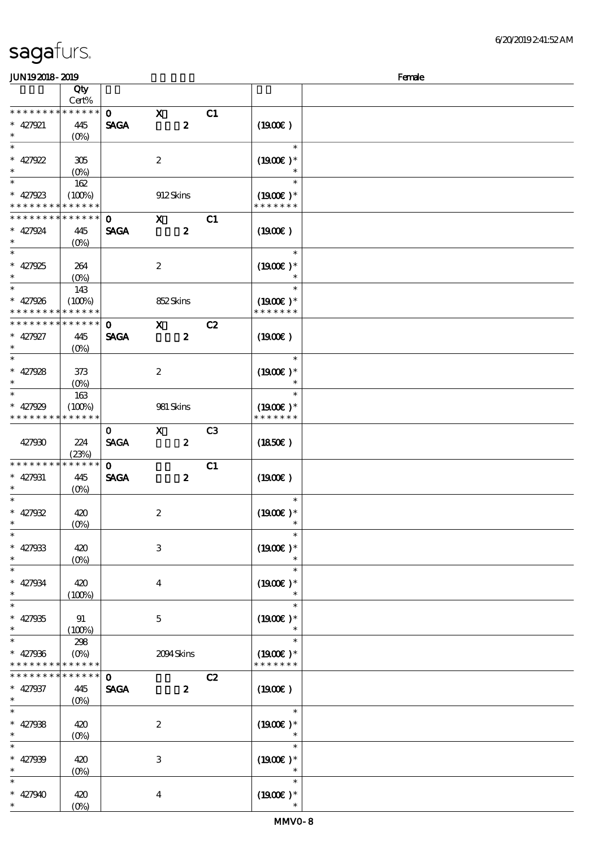(0%)

|                               | Qty                       |                             |                  |                  |                |                             |  |
|-------------------------------|---------------------------|-----------------------------|------------------|------------------|----------------|-----------------------------|--|
| * * * * * * * *               | Cert%<br>* * * * * *      |                             |                  |                  |                |                             |  |
|                               |                           | $\mathbf{O}$                | $\mathbf{x}$     | $\boldsymbol{z}$ | C1             |                             |  |
| $* 427921$<br>$\ast$          | 445<br>$(O\!/\!\!\delta)$ | <b>SAGA</b>                 |                  |                  |                | (1900)                      |  |
| $\overline{\ast}$             |                           |                             |                  |                  |                | $\ast$                      |  |
| $* 427922$                    | 305                       |                             | $\boldsymbol{2}$ |                  |                | $(1900E)*$                  |  |
| $\ast$                        | $(0\%)$                   |                             |                  |                  |                |                             |  |
| $\ast$                        | 162                       |                             |                  |                  |                | $\ast$                      |  |
| $* 427923$                    | (100%)                    |                             |                  | 912Skins         |                | $(1900E)*$                  |  |
| * * * * * * * *               | * * * * * *               |                             |                  |                  |                | * * * * * * *               |  |
| * * * * * * * *               | * * * * * *               | $\mathbf{o}$                | $\mathbf{x}$     |                  | C1             |                             |  |
| $* 427924$                    | 445                       | <b>SAGA</b>                 |                  | $\boldsymbol{z}$ |                | (1900)                      |  |
| $\ast$                        | $(O\!/\!\!\delta)$        |                             |                  |                  |                |                             |  |
| $\ast$                        |                           |                             |                  |                  |                | $\ast$                      |  |
| $* 427925$                    | 264                       |                             | $\boldsymbol{2}$ |                  |                | $(1900E)*$                  |  |
| $\ast$                        | $(0\%)$                   |                             |                  |                  |                |                             |  |
| $\overline{\ast}$             | 143                       |                             |                  |                  |                | $\ast$                      |  |
| $* 427926$                    | (100%)                    |                             |                  | 852Skins         |                | $(1900E)*$                  |  |
| * * * * * * * *               | * * * * * *               |                             |                  |                  |                | * * * * * * *               |  |
| * * * * * * * *               | * * * * * *               | $\mathbf 0$                 | $\mathbf{x}$     |                  | C2             |                             |  |
| $* 427927$                    | 445                       | <b>SAGA</b>                 |                  | $\boldsymbol{z}$ |                | (1900)                      |  |
| $\ast$                        | $(O\!/\!\!\delta)$        |                             |                  |                  |                |                             |  |
| $\overline{\ast}$             |                           |                             |                  |                  |                | $\ast$                      |  |
| $* 427928$                    | 373                       |                             | $\boldsymbol{z}$ |                  |                | $(1900E)*$                  |  |
| $\ast$                        | $(0\%)$                   |                             |                  |                  |                |                             |  |
| $\overline{\ast}$             | 163                       |                             |                  |                  |                | $\ast$                      |  |
| $* 427929$                    | (100%)                    |                             |                  | 981 Skins        |                | $(1900E)*$                  |  |
| * * * * * * * *               | * * * * * *               |                             |                  |                  |                | * * * * * * *               |  |
|                               |                           | $\mathbf{O}$                | $\mathbf X$      |                  | C <sub>3</sub> |                             |  |
| 427930                        | 224                       | <b>SAGA</b>                 |                  | $\boldsymbol{z}$ |                | (1850)                      |  |
|                               | (23%)                     |                             |                  |                  |                |                             |  |
| * * * * * * *                 | * * * * * *               | $\mathbf{o}$                |                  |                  | C1             |                             |  |
| $* 427931$                    | 445                       | <b>SAGA</b>                 |                  | $\boldsymbol{z}$ |                | (1900)                      |  |
| $\ast$                        | (O <sub>0</sub> )         |                             |                  |                  |                |                             |  |
| $\ast$                        |                           |                             |                  |                  |                | $\ast$                      |  |
| $* 427932$                    | 420                       |                             | $\boldsymbol{2}$ |                  |                | $(1900E)*$                  |  |
| $\ast$                        | (0%)                      |                             |                  |                  |                |                             |  |
| ∗                             |                           |                             |                  |                  |                |                             |  |
| $* 427933$                    | 420                       |                             | 3                |                  |                | $(1900)$ *                  |  |
| $\ast$                        | $(0\%)$                   |                             |                  |                  |                |                             |  |
| $\ast$                        |                           |                             |                  |                  |                |                             |  |
| $* 427934$                    | 420                       |                             | $\boldsymbol{4}$ |                  |                | $(1900)$ *                  |  |
| $\ast$<br>$\ast$              | (100%)                    |                             |                  |                  |                |                             |  |
|                               |                           |                             |                  |                  |                | $\ast$                      |  |
| $* 427935$<br>$\ast$          | 91                        |                             | $\bf 5$          |                  |                | $(1900)$ *                  |  |
| $\ast$                        | (100%)                    |                             |                  |                  |                | $\ast$                      |  |
|                               | 298                       |                             |                  |                  |                |                             |  |
| $* 427936$<br>* * * * * * * * | $(O\%)$<br>* * * * * *    |                             |                  | 2094Skins        |                | $(1900E)*$<br>* * * * * * * |  |
| * * * * * * *                 | * * * * * *               |                             |                  |                  |                |                             |  |
|                               | 445                       | $\mathbf{o}$<br><b>SAGA</b> |                  | $\boldsymbol{z}$ | C2             | (1900)                      |  |
| $* 427937$<br>$\ast$          |                           |                             |                  |                  |                |                             |  |
| $\ast$                        | $(O\!/\!o)$               |                             |                  |                  |                | $\ast$                      |  |
| $* 427938$                    | 420                       |                             | $\boldsymbol{2}$ |                  |                | $(1900)$ *                  |  |
| $\ast$                        | (0%)                      |                             |                  |                  |                |                             |  |
| $\ast$                        |                           |                             |                  |                  |                | $\ast$                      |  |
| $* 427939$                    | 420                       |                             | 3                |                  |                | $(1900E)*$                  |  |
| $\ast$                        | $(0\%)$                   |                             |                  |                  |                |                             |  |
|                               |                           |                             |                  |                  |                | $\ast$                      |  |
| $* 427940$                    | 420                       |                             | $\bf{4}$         |                  |                | $(1900E)*$                  |  |
| $\ast$                        | $(O\%)$                   |                             |                  |                  |                |                             |  |
|                               |                           |                             |                  |                  |                |                             |  |

 $JUN192018-2019$  Female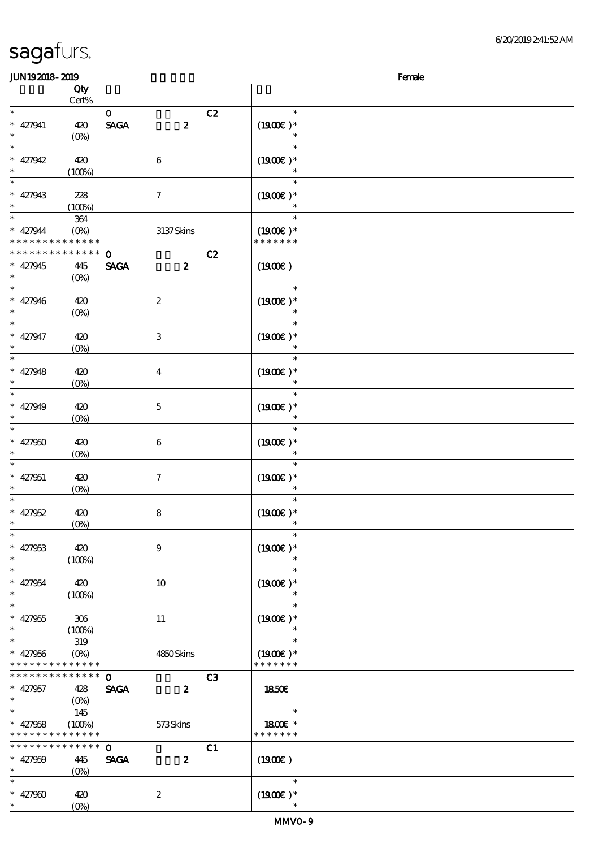| <b>JUN192018-2019</b>       |                       |                                 |                  | Female |
|-----------------------------|-----------------------|---------------------------------|------------------|--------|
|                             | Qty                   |                                 |                  |        |
|                             | Cert%                 |                                 |                  |        |
| $\ast$                      |                       | $\mathbf{O}$                    | C2<br>$\ast$     |        |
| $* 427941$                  | 420                   | <b>SAGA</b><br>$\boldsymbol{z}$ | $(1900E)*$       |        |
| $\ast$                      | $(0\%)$               |                                 |                  |        |
| $\ast$                      |                       |                                 | $\ast$           |        |
| $* 427942$                  | 420                   | $\,6\,$                         | $(1900E)*$       |        |
| $\ast$                      | (100%)                |                                 |                  |        |
| $\ast$                      |                       |                                 | $\ast$           |        |
| $* 427943$                  | 228                   | $\tau$                          | $(1900E)*$       |        |
| $\ast$                      | (100%)                |                                 | $\ast$           |        |
| $\ast$                      | 364                   |                                 | $\ast$           |        |
| $* 427944$                  | $(O\%)$               | 3137Skins                       | $(1900E)^*$      |        |
|                             | * * * * * * * * * * * |                                 | * * * * * * *    |        |
| * * * * * * * *             | * * * * * *           | $\mathbf 0$                     | C2               |        |
| $* 427945$                  | 445                   | <b>SAGA</b><br>$\boldsymbol{z}$ | (1900E)          |        |
| $\ast$                      | (O <sub>0</sub> )     |                                 |                  |        |
| $\ast$                      |                       |                                 | $\ast$           |        |
| $* 427946$                  | 420                   | $\boldsymbol{2}$                | $(1900E)*$       |        |
| $\ast$                      | $(0\%)$               |                                 | $\ast$           |        |
| $\ast$                      |                       |                                 | $\ast$           |        |
| $* 427947$                  | 420                   | $\,3$                           | $(1900E)*$       |        |
| $\ast$                      | $(0\%)$               |                                 |                  |        |
| $\ast$                      |                       |                                 | $\ast$           |        |
| $* 427948$                  | 420                   | $\boldsymbol{4}$                | $(1900E)*$       |        |
| $\ast$                      | $(O\%)$               |                                 |                  |        |
| $\overline{\phantom{0}}$    |                       |                                 | $\ast$           |        |
| $* 427949$                  | 420                   | $\mathbf 5$                     | $(1900E)*$       |        |
|                             | $(0\%)$               |                                 | $\ast$           |        |
| $\ast$                      |                       |                                 | $\ast$           |        |
| $* 427950$                  | 420                   | 6                               | $(1900)$ *       |        |
|                             | $(0\%)$               |                                 | $\ast$           |        |
| $\ast$                      |                       |                                 | $\ast$           |        |
| $* 427951$                  | 420                   | $\boldsymbol{\tau}$             | $(1900E)*$       |        |
| $\ast$                      | $(0\%)$               |                                 | $\ast$           |        |
| $\ast$                      |                       |                                 | $\ast$           |        |
| $* 427952$                  | 420                   | 8                               | $(1900E)*$       |        |
| $\ast$                      | $(0\%)$               |                                 |                  |        |
| $\overline{\phantom{a}}$    |                       |                                 | $\ast$           |        |
| $* 427953$                  | 420                   | $\boldsymbol{9}$                | $(1900)$ *       |        |
| $\ast$                      | (100%)                |                                 |                  |        |
| $\overline{\phantom{0}}$    |                       |                                 | $\ast$           |        |
| $* 427954$                  | 420                   | $10\,$                          | $(1900E)*$       |        |
| $\ast$                      | (100%)                |                                 |                  |        |
| $\overline{\phantom{a}^*}$  |                       |                                 | $\ast$           |        |
| $* 427955$                  | 306                   | $11\,$                          | $(1900)$ *       |        |
| $\ast$                      | (100%)                |                                 | $\ast$           |        |
| $\overline{\ast}$           | 319                   |                                 | $\ast$           |        |
| $* 427956$                  | $(O\%)$               | 4850Skins                       | $(1900E)*$       |        |
| * * * * * * * * * * * * * * |                       |                                 | * * * * * * *    |        |
| * * * * * * * * * * * * * * |                       | $\mathbf{o}$                    | C3               |        |
| $* 427957$                  | 428                   | <b>SAGA</b><br>$\boldsymbol{z}$ | 1850€            |        |
| $\ast$                      | $(O\%)$               |                                 |                  |        |
| $\ast$                      | 145                   |                                 | $\ast$           |        |
| $* 427958$                  | (100%)                | 573Skins                        | 1800€ *          |        |
| * * *<br>* * * * *          | * * * * * *           |                                 | * * * * * * *    |        |
| * * * * * * * *             | * * * * * *           | $\mathbf 0$                     | C1               |        |
| $* 427959$                  | 445                   | <b>SAGA</b><br>$\boldsymbol{z}$ | $(1900\epsilon)$ |        |
| $\ast$                      | $(O\%)$               |                                 |                  |        |
| $\ast$                      |                       |                                 | $\ast$           |        |
| $* 427900$                  | 420                   | $\boldsymbol{z}$                | $(1900)$ *       |        |
| $\ast$                      | $(O\%)$               |                                 |                  |        |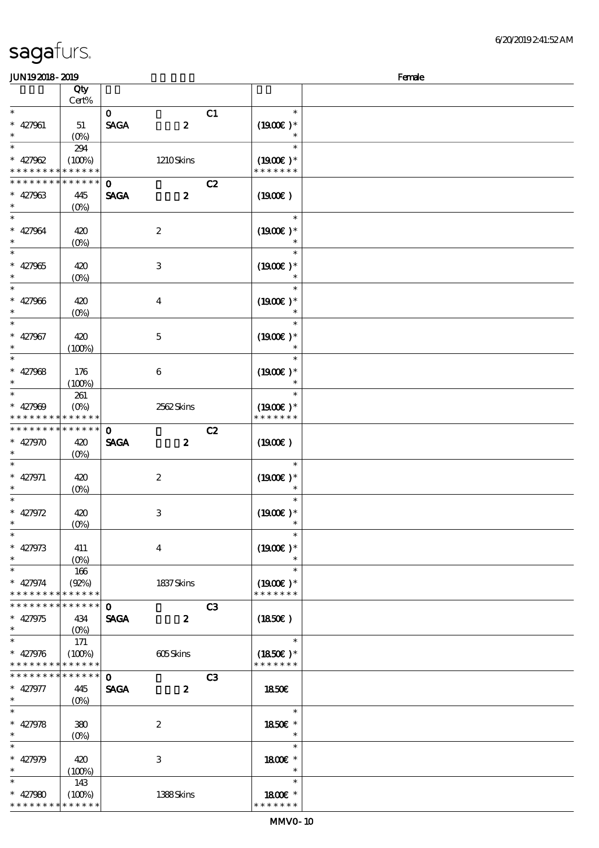| <b>JUN192018-2019</b>                                  |                   |              |                         |    |                             | Female |
|--------------------------------------------------------|-------------------|--------------|-------------------------|----|-----------------------------|--------|
|                                                        | Qty               |              |                         |    |                             |        |
|                                                        | $\mbox{Cert}\%$   |              |                         |    |                             |        |
| $\ast$                                                 |                   | $\mathbf{O}$ |                         | C1 | $\ast$                      |        |
| $* 427961$                                             | 51                | <b>SAGA</b>  | $\boldsymbol{z}$        |    | $(1900E)*$                  |        |
| $\ast$<br>$\ast$                                       | $(O_0)$           |              |                         |    | $\ast$                      |        |
|                                                        | 294               |              |                         |    |                             |        |
| $* 427962$<br>* * * * * * * * * * * * * *              | (100%)            |              | 1210Skins               |    | $(1900E)*$<br>* * * * * * * |        |
|                                                        | ***********       | $\mathbf 0$  |                         | C2 |                             |        |
| $* 427963$                                             | 445               | <b>SAGA</b>  | $\boldsymbol{z}$        |    | (1900E)                     |        |
| $\ast$                                                 | (O <sub>0</sub> ) |              |                         |    |                             |        |
| $\ast$                                                 |                   |              |                         |    | $\ast$                      |        |
| $* 427964$                                             | 420               |              | $\boldsymbol{2}$        |    | $(1900E)*$                  |        |
| $\ast$                                                 | $(O\!/\!\delta)$  |              |                         |    | $\ast$                      |        |
| $\ast$                                                 |                   |              |                         |    | $\ast$                      |        |
| $* 427965$                                             | 420               |              | $\,3$                   |    | $(1900E)*$                  |        |
| $\ast$                                                 | $(0\%)$           |              |                         |    | $\ast$                      |        |
| $\ast$                                                 |                   |              |                         |    | $\ast$                      |        |
| $* 427966$                                             | 420               |              | $\boldsymbol{4}$        |    | $(1900E)*$                  |        |
| $\ast$<br>$\overline{\phantom{0}}$                     | $(O\!/\!o)$       |              |                         |    | $\ast$                      |        |
| $* 427967$                                             |                   |              |                         |    |                             |        |
| $\ast$                                                 | 420<br>(100%)     |              | $\mathbf 5$             |    | $(1900E)*$                  |        |
| $\ast$                                                 |                   |              |                         |    | $\ast$                      |        |
| $* 427968$                                             | 176               |              | $\bf 6$                 |    | $(1900E)*$                  |        |
| $\ast$                                                 | (100%)            |              |                         |    | $\ast$                      |        |
| $\ast$                                                 | 261               |              |                         |    | $\ast$                      |        |
| $* 427909$                                             | $(O\%)$           |              | 2562Skins               |    | $(1900E)*$                  |        |
|                                                        | * * * * * * * * * |              |                         |    | * * * * * * *               |        |
| * * * * * * * * * * * * * *                            |                   | $\mathbf{o}$ |                         | C2 |                             |        |
| $* 427970$                                             | 420               | <b>SAGA</b>  | $\boldsymbol{z}$        |    | (1900)                      |        |
| $\ast$                                                 | $(0\%)$           |              |                         |    |                             |        |
| $\ast$                                                 |                   |              |                         |    | $\ast$                      |        |
| $* 427971$<br>$\ast$                                   | 420               |              | $\boldsymbol{2}$        |    | $(1900E)*$<br>$\ast$        |        |
| $\ast$                                                 | $(0\%)$           |              |                         |    | $\ast$                      |        |
| $* 427972$                                             | 420               |              | 3                       |    | $(1900E)*$                  |        |
| $\ast$                                                 | $(0\%)$           |              |                         |    |                             |        |
| $\overline{\phantom{a}}$                               |                   |              |                         |    | $\ast$                      |        |
| $* 427973$                                             | 411               |              | $\overline{\mathbf{4}}$ |    | $(1900E)*$                  |        |
| $\ast$                                                 | $(O\%)$           |              |                         |    |                             |        |
| $\overline{\phantom{0}}$                               | 166               |              |                         |    | $\ast$                      |        |
| $* 427974$                                             | (Q2%)             |              | 1837 Skins              |    | $(1900E)*$                  |        |
| * * * * * * * * * * * * * *                            |                   |              |                         |    | * * * * * * *               |        |
| * * * * * * * * * * * * * *                            |                   | $\mathbf{O}$ |                         | C3 |                             |        |
| $* 427975$                                             | 434               | <b>SAGA</b>  | $\boldsymbol{z}$        |    | (1850)                      |        |
| $\ast$<br>$\overline{\ast}$                            | $(O\%)$           |              |                         |    | $\ast$                      |        |
|                                                        | 171               |              |                         |    |                             |        |
| $* 427976$<br>* * * * * * * * <mark>* * * * * *</mark> | (100%)            |              | 605Skins                |    | $(1850)$ *<br>* * * * * * * |        |
| * * * * * * * * * * * * * *                            |                   | $\mathbf{o}$ |                         | C3 |                             |        |
| $* 427977$                                             | 445               | <b>SAGA</b>  | $\boldsymbol{z}$        |    | 1850E                       |        |
| $\ast$                                                 | $(O\% )$          |              |                         |    |                             |        |
| $\ast$                                                 |                   |              |                         |    | $\ast$                      |        |
| $* 427978$                                             | 380               |              | $\boldsymbol{2}$        |    | 1850E *                     |        |
| $\ast$                                                 | $(O\%)$           |              |                         |    | $\ast$                      |        |
| $\overline{\phantom{0}}$                               |                   |              |                         |    | $\ast$                      |        |
| $* 427979$                                             | 420               |              | 3                       |    | 1800 £*                     |        |
| $\ast$                                                 | (100%)            |              |                         |    | $\ast$                      |        |
| $\ast$                                                 | 143               |              |                         |    | $\ast$                      |        |
| $* 427980$<br>* * * * * * * * * * * * * *              | (100%)            |              | 1388Skins               |    | 1800 £*<br>* * * * * * *    |        |
|                                                        |                   |              |                         |    |                             |        |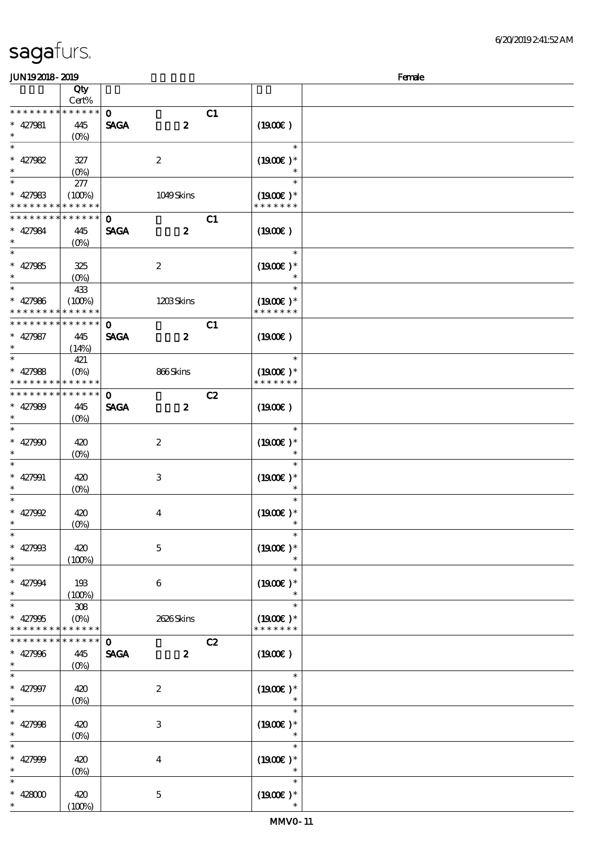$(100%)$ 

#### $J/N192018$ - 2019  $F$ emale 顺序号 Qty 说明 价格 Cert% \* \* \* \* \* \* \*  $\ddot{\phantom{0}}$ \* \* \* \* \*  $\mathbf{0}$  C1 SAGA 2 427981 445  $(1900E)$ \*\*  $(0%$  $\overline{\phantom{0}}$ \*\*\* \*\*\*  $\ast$  $(1900E)*$ 427982 327 2 (0%) \*  $*27983$ 277  $\ast$ \*\*  $(100\%)$  1049 Skins  $(1900E)*$ \* \* \* \* \* \* \* \* \* \* \* \* \* \* \* \* \* \* \*  $\overline{0}$   $\overline{c_1}$ \* \* \* \* \* \* \* \* \* \* \* \* 427984 445 SAGA 2  $(1900E)$ \*\* (0%)  $\overline{\ast}$ \*\*\* \*\*\*  $(1900E)*$ 427985 325  $\ast$ 2  $(O_0)$ \*\* <sup>427986</sup> \*\* 433  $(100%)$  1203 Skins  $(1900E)*$ \* \* \* \* \* \* \* \* \* \* \* \* \* \* \* \* \* \* \* \* \* \* \* \* \* \* \* \* \* \* \* 0 C1  $\ast$ 427987 445  $SAGA$  2  $(1900E)$ \*\*  $(14%)$ 421 \*\* \*\* <sup>427988</sup>  $(0%)$  866 Skins  $(1900E)*$ \* \* \* \* \* \* \* \* \* \* \* \* \* \* \* \* \* \* \* \* \* \* \* \* \* \* \* <mark>\* \* \* \* \*</mark> \*  $\mathbf{C2}$  $\ast$ 427989 445  $SAGA$  2  $(1900E)$ \*\* (0%) J. \*\*\* \*\*\*  $\ast$  $427990 + 420$ 2  $(1900E)^*$ (0%)  $^{-}_{*}$  $\ast$ \*\*\* \*\*\*  $\ast$ 427991 420 3  $(1900E)*$  $(O\%)$  $\overline{\phantom{a}}$  $\overline{\phantom{a}}$ \*\*\* \*\*\*  $(1900E)*$ 427992 420 4 (0%) \*\*\* \*\*\*  $\ast$ 427993 420 5  $(1900E)*$  $(100%)$ \*\*\* \*\*\* 427994 193 6  $(1900E)^*$  $(100%)$ \*\* 308 \*\* <sup>427995</sup> (0%) 2626 Skins  $(1900E)*$ \* \* \* \* \* \* \* \* \* \* \* \* \* \* \* \* \* \* \* \* \* \* \* \* \* \* \* \* \* \*  $\mathbf{C2}$  $\ast$ 427996 445 SAGA 2  $(1900E)$ \*\*  $(0%)$ इ \*\*\* \*\*\*  $\ast$ 427997 420 2  $(1900E)*$ (0%)  $\overline{\phantom{0}}$  $\ast$ \*\*\* \*\*\*  $\ast$  $(1900E)*$ 427998 420 3 (0%)  $\overline{\phantom{0}}$ \*\*\* \*\*\*  $\ast$ 427999 420  $(1900E)*$ 4 (0%) ¥ \*\*\*  $\star$ \*\*\*  $\ast$ 428000 420 5  $(1900E)*$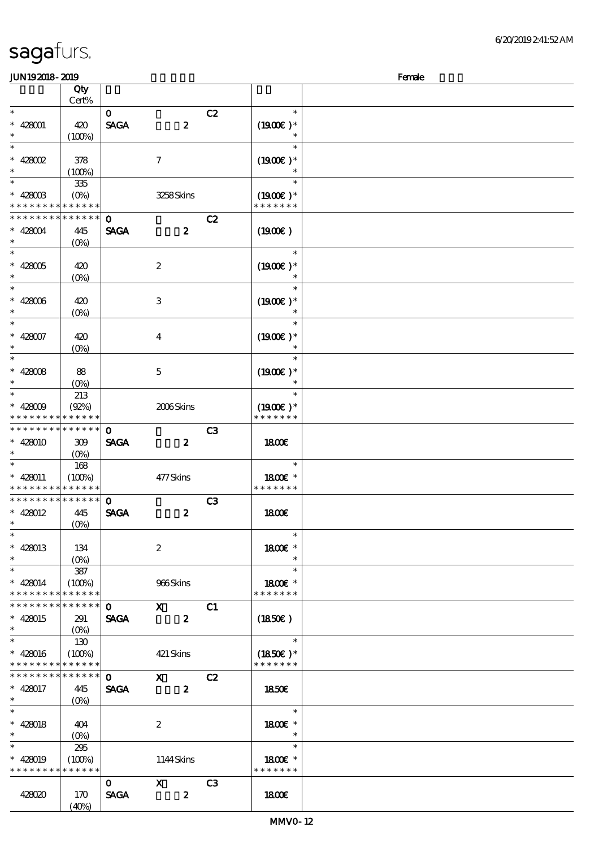| sagafurs. |
|-----------|
|-----------|

| <b>JUN192018-2019</b>                     |                           |              |                  |                |                             | Female |
|-------------------------------------------|---------------------------|--------------|------------------|----------------|-----------------------------|--------|
|                                           | Qty                       |              |                  |                |                             |        |
|                                           | Cert%                     |              |                  |                |                             |        |
| $\ast$                                    |                           | $\mathbf{o}$ |                  | C2             | $\ast$                      |        |
| $* 428001$                                | 420                       | <b>SAGA</b>  | $\boldsymbol{z}$ |                | $(1900E)*$                  |        |
| $\ast$                                    | (100%)                    |              |                  |                |                             |        |
| $\ast$                                    |                           |              |                  |                | $\ast$                      |        |
| $* 428002$                                | 378                       |              | $\boldsymbol{7}$ |                | $(1900E)*$                  |        |
|                                           | (100%)                    |              |                  |                | $\ast$                      |        |
| $\ast$                                    | 335                       |              |                  |                | $\ast$                      |        |
| $* 428003$                                | $(O\!\!\!\!\!\!\!/\,\!o)$ |              | 3258Skins        |                | $(1900E)*$                  |        |
| * * * * * * * * <mark>* * * * * *</mark>  |                           |              |                  |                | * * * * * * *               |        |
| * * * * * * * * * * * * * *               |                           | $\mathbf 0$  |                  | C2             |                             |        |
| $* 428004$                                | 445                       | <b>SAGA</b>  | $\boldsymbol{z}$ |                | (1900)                      |        |
| $\ast$                                    | $(O\%)$                   |              |                  |                |                             |        |
| $\ast$                                    |                           |              |                  |                | $\ast$                      |        |
| $* 428005$                                | 420                       |              | $\boldsymbol{2}$ |                | $(1900E)*$                  |        |
| $\ast$                                    | $(0\%)$                   |              |                  |                | $\ast$                      |        |
| $\ast$                                    |                           |              |                  |                | $\ast$                      |        |
| $* 428006$                                | 420                       |              | $\,3$            |                | $(1900E)*$                  |        |
| $\ast$                                    | $(O\!/\!\!\delta)$        |              |                  |                |                             |        |
| $\ast$                                    |                           |              |                  |                | $\ast$                      |        |
| $* 428007$                                | 420                       |              | $\bf{4}$         |                | $(1900E)^*$                 |        |
| $\ast$                                    | $(O\!/\!\!\delta)$        |              |                  |                |                             |        |
| $\ast$                                    |                           |              |                  |                | $\ast$                      |        |
| $* 428008$                                | 88                        |              | $\mathbf 5$      |                | $(1900E)*$                  |        |
| $\ast$                                    | $(O\!/\!o)$               |              |                  |                | $\ast$                      |        |
| $\ast$                                    | 213                       |              |                  |                | $\ast$                      |        |
| * $428009$                                | (Q2%)                     |              | 2006Skins        |                | $(1900E)*$                  |        |
| * * * *                                   | * * * * * *               |              |                  |                | * * * * * * *               |        |
| * * * * * * * * * * * * * *               |                           | $\mathbf{o}$ |                  | C <sub>3</sub> |                             |        |
| $* 428010$                                | 309                       | <b>SAGA</b>  | $\boldsymbol{z}$ |                | <b>1800€</b>                |        |
|                                           | $(O\%)$                   |              |                  |                |                             |        |
| $\ast$                                    | 168                       |              |                  |                | $\ast$                      |        |
| $* 428011$                                | (100%)                    |              | 477Skins         |                | 1800 £*                     |        |
| * * * * * * * * * * * * * *               |                           |              |                  |                | * * * * * * *               |        |
| * * * * * * * * * * * * * *               |                           | $\mathbf{O}$ |                  | C3             |                             |        |
| $* 428012$                                | 445                       | <b>SAGA</b>  | $\boldsymbol{z}$ |                | 1800E                       |        |
| $\ast$                                    | $(0\%)$                   |              |                  |                |                             |        |
| $\overline{\phantom{a}^*}$                |                           |              |                  |                | $\ast$                      |        |
| $* 428013$                                | 134                       |              | $\boldsymbol{2}$ |                | 1800 £*                     |        |
| $\ast$                                    |                           |              |                  |                | $\ast$                      |        |
| $\ast$                                    | ${\bf 387}$               |              |                  |                | $\ast$                      |        |
| $* 428014$                                | (100%)                    |              | 966Skins         |                | 1800 £*                     |        |
| * * * * * * * * * * * * * *               |                           |              |                  |                | * * * * * * *               |        |
| * * * * * * * * * * * * * *               |                           | $\mathbf{O}$ | $\mathbf{x}$     | C1             |                             |        |
|                                           |                           | <b>SAGA</b>  |                  |                |                             |        |
| $* 428015$<br>$\ast$                      | 291                       |              | $\boldsymbol{z}$ |                | (1850)                      |        |
| $\ast$                                    | $(O\%)$                   |              |                  |                | $\ast$                      |        |
|                                           | 130                       |              |                  |                |                             |        |
| $* 428016$<br>* * * * * * * * * * * * * * | (100%)                    |              | 421 Skins        |                | $(1850)$ *<br>* * * * * * * |        |
| * * * * * * * * * * * * * *               |                           |              |                  |                |                             |        |
|                                           |                           | $\mathbf{O}$ | $\mathbf X$      | C2             |                             |        |
| $* 428017$<br>$\ast$                      | 445                       | <b>SAGA</b>  | $\boldsymbol{z}$ |                | <b>1850€</b>                |        |
| $\ast$                                    |                           |              |                  |                | $\ast$                      |        |
|                                           |                           |              |                  |                |                             |        |
| $* 428018$                                | 404                       |              | $\boldsymbol{2}$ |                | 1800€ *                     |        |
| $\ast$<br>$\overline{\phantom{0}}$        | $(O\!/\!\!\delta)$        |              |                  |                | $\ast$<br>$\ast$            |        |
|                                           | 295                       |              |                  |                |                             |        |
| $* 428019$                                | (100%)                    |              | 1144Skins        |                | 1800 £*                     |        |
| * * * * * * * * * * * * * *               |                           |              |                  |                | * * * * * * *               |        |
|                                           |                           | $\mathbf{0}$ | $\mathbf X$      | C <sub>3</sub> |                             |        |
| 428020                                    | 170                       | <b>SAGA</b>  | $\boldsymbol{z}$ |                | 1800                        |        |
|                                           | (40%)                     |              |                  |                |                             |        |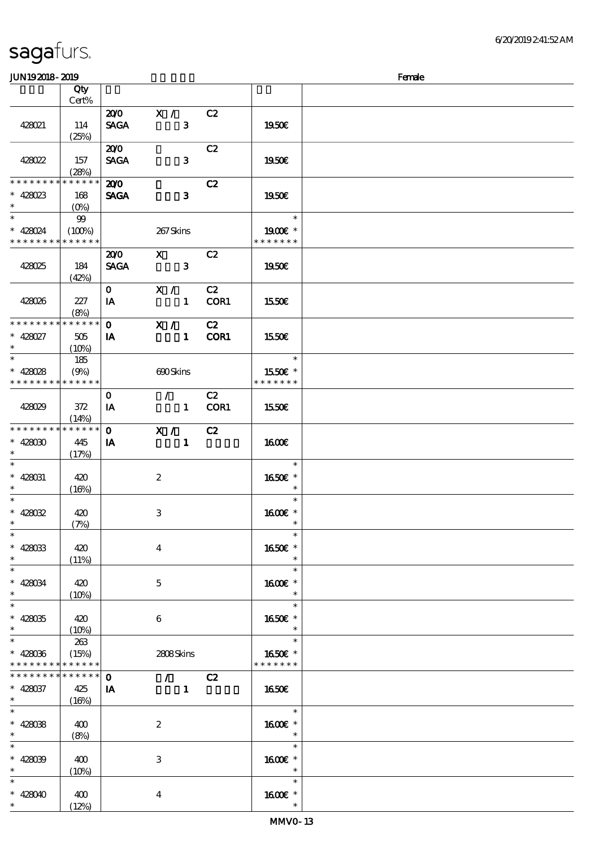| <b>JUN192018-2019</b>       |                      |              |                                 |               |                                     | Female |
|-----------------------------|----------------------|--------------|---------------------------------|---------------|-------------------------------------|--------|
|                             | Qty                  |              |                                 |               |                                     |        |
|                             | Cert%                |              |                                 |               |                                     |        |
|                             |                      |              | $200 \times 7$                  | C2            |                                     |        |
| 428021                      | 114                  | <b>SAGA</b>  | $\mathbf{3}$                    |               | 1950E                               |        |
|                             | (25%)                |              |                                 |               |                                     |        |
|                             |                      | 200          |                                 | C2            |                                     |        |
| 428022                      | 157                  | <b>SAGA</b>  | $\mathbf{3}$                    |               | 1950E                               |        |
|                             | (28%)                |              |                                 |               |                                     |        |
| * * * * * * * *             | * * * * * *          | 200          |                                 | C2            |                                     |        |
| $* 428023$                  | 168                  | <b>SAGA</b>  | $\mathbf{3}$                    |               | 1950E                               |        |
| $\ast$                      | $(O\!/\!\!\delta)$   |              |                                 |               |                                     |        |
| $\ast$                      | 99                   |              |                                 |               | $\ast$                              |        |
| $* 428024$                  | (100%)               |              | 267Skins                        |               | 1900E *                             |        |
| * * * * * * * * * * * * * * |                      |              |                                 |               | * * * * * * *                       |        |
|                             |                      | 200          | $\mathbf{X}$                    | C2            |                                     |        |
| 428025                      | 184                  | <b>SAGA</b>  | $\mathbf{3}$                    |               | 1950E                               |        |
|                             | (42%)                |              |                                 |               |                                     |        |
|                             |                      | $\mathbf{O}$ | X /                             | C2            |                                     |        |
| 428026                      | 227                  | IA           | $\sim$ 1                        | COR1          | 1550E                               |        |
|                             | (8%)                 |              |                                 |               |                                     |        |
| * * * * * * * *             | * * * * * *          | $\mathbf{O}$ | X /                             | C2            |                                     |        |
| $* 428027$                  | 505                  | IA           | $\blacksquare$                  | COR1          | <b>1550€</b>                        |        |
| $\ast$                      | $(10\%)$             |              |                                 |               |                                     |        |
| $\overline{\ast}$           | 185                  |              |                                 |               | $\ast$                              |        |
| * $428028$                  | (9%)                 |              | 690Skins                        |               | 1550E *                             |        |
| * * * * * * * * * * * * * * |                      |              |                                 |               | * * * * * * *                       |        |
|                             |                      | $\mathbf{O}$ | $\mathcal{L}$ and $\mathcal{L}$ | C2            |                                     |        |
| 428029                      | 372                  | IA           |                                 | 1 <b>COR1</b> | 1550€                               |        |
|                             | (14%)                |              |                                 |               |                                     |        |
| * * * * * * * *             | * * * * * *          | $\mathbf 0$  | X / C2                          |               |                                     |        |
| $* 428030$                  | 445                  | IA           | $\blacksquare$                  |               | <b>1600€</b>                        |        |
| $\ast$                      | (17%)                |              |                                 |               |                                     |        |
| $\ast$                      |                      |              |                                 |               | $\ast$                              |        |
| $* 428031$                  |                      |              |                                 |               | 1650E *                             |        |
| $\ast$                      | 420                  |              | $\boldsymbol{2}$                |               |                                     |        |
| $\ast$                      | (16%)                |              |                                 |               | $\ast$                              |        |
| * $428032$                  |                      |              |                                 |               |                                     |        |
| $*$ $-$                     | 420                  |              | 3                               |               | 1600E *<br>$\ast$                   |        |
| $\ast$                      | (7%)                 |              |                                 |               | $\ast$                              |        |
|                             |                      |              |                                 |               |                                     |        |
| $* 428033$<br>$\ast$        | 420                  |              | $\overline{4}$                  |               | 1650€ *<br>$\ast$                   |        |
| $\overline{\ast}$           | (11%)                |              |                                 |               | $\ast$                              |        |
|                             |                      |              |                                 |               |                                     |        |
| $* 428034$<br>$\ast$        | 420                  |              | $5\overline{)}$                 |               | 1600E *<br>$\ast$                   |        |
| $\overline{\ast}$           | $(10\%)$             |              |                                 |               | $\ast$                              |        |
|                             |                      |              |                                 |               |                                     |        |
| $* 428035$<br>$\ast$        | 420                  |              | 6                               |               | 1650E *<br>$\ast$                   |        |
| $\ast$                      | $(10\%)$             |              |                                 |               | $\ast$                              |        |
| $* 428036$                  | 263                  |              |                                 |               | 1650€ *                             |        |
| * * * * * * * *             | (15%)<br>* * * * * * |              | 2808Skins                       |               | * * * * * * *                       |        |
| * * * * * * * *             | * * * * * *          | $\mathbf{o}$ |                                 |               |                                     |        |
|                             |                      |              | $\sqrt{C^2}$                    |               |                                     |        |
| $* 428037$<br>$\ast$        | 425                  | IA           | $\blacksquare$                  |               | 1650E                               |        |
| $\ast$                      | (16%)                |              |                                 |               | $\ast$                              |        |
|                             |                      |              |                                 |               |                                     |        |
| $* 42808$<br>$\ast$         | 400                  |              | $\boldsymbol{2}$                |               | 1600E *<br>$\overline{\phantom{a}}$ |        |
| $\ast$                      | (8%)                 |              |                                 |               | $\ast$                              |        |
|                             |                      |              |                                 |               |                                     |        |
| $* 428039$                  | 400                  |              | 3                               |               | $1600E$ *                           |        |
| $\ast$                      | (10%)                |              |                                 |               | $\ast$                              |        |
| $\ast$                      |                      |              |                                 |               | $\ast$                              |        |
| $* 428040$                  | 400                  |              | 4                               |               | 1600E *                             |        |
| $\ast$                      | (12%)                |              |                                 |               |                                     |        |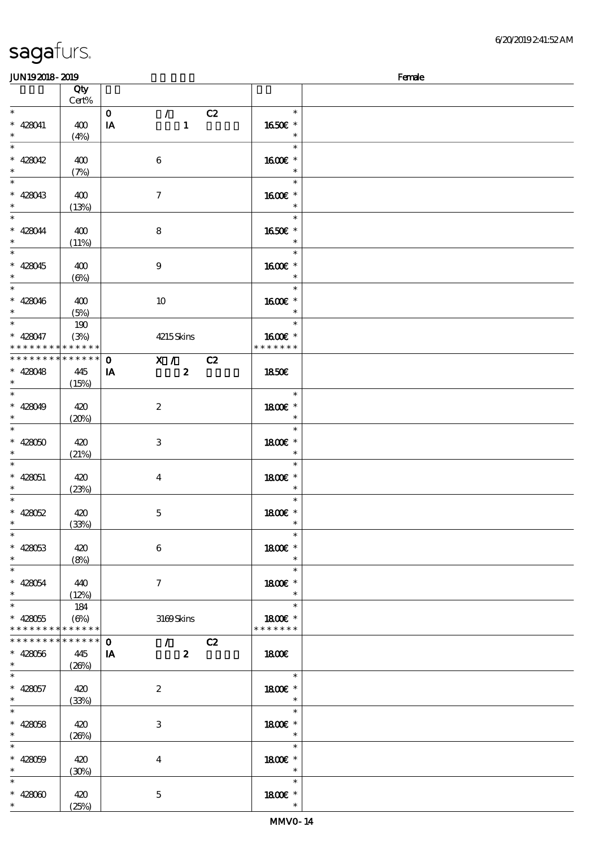| <b>JUN192018-2019</b>                      |              |                                     |               | Female |
|--------------------------------------------|--------------|-------------------------------------|---------------|--------|
|                                            | Qty          |                                     |               |        |
|                                            | Cert%        |                                     |               |        |
| $\ast$                                     |              | C2<br>$\mathbf{o}$<br>$\mathcal{L}$ | $\ast$        |        |
| $* 428041$                                 | 400          | $\mathbf{1}$<br>IA                  | 1650E *       |        |
| $\ast$                                     | (4%)         |                                     | $\ast$        |        |
| $\ast$                                     |              |                                     | $\ast$        |        |
| $* 428042$                                 | 400          | $\,6\,$                             | 1600€ *       |        |
| $\ast$                                     |              |                                     | $\ast$        |        |
| $\ast$                                     | (7%)         |                                     | $\ast$        |        |
|                                            |              |                                     |               |        |
| $* 428043$                                 | 400          | $\boldsymbol{7}$                    | 1600E *       |        |
| $\ast$                                     | (13%)        |                                     | $\ast$        |        |
| $\ast$                                     |              |                                     | $\ast$        |        |
| $* 428044$                                 | 400          | 8                                   | 1650E *       |        |
| $\ast$                                     | (11%)        |                                     | $\ast$        |        |
| $\ast$                                     |              |                                     | $\ast$        |        |
| $* 428045$                                 | 400          | $\boldsymbol{9}$                    | 1600€ *       |        |
| $\ast$                                     | $(\Theta)$   |                                     | $\ast$        |        |
| $\ast$                                     |              |                                     | $\ast$        |        |
| $* 428046$                                 | 400          | 10                                  | 1600 £*       |        |
| $\ast$                                     | (5%)         |                                     | $\ast$        |        |
| $\overline{\phantom{a}^*}$                 |              |                                     | $\ast$        |        |
|                                            | 190          |                                     |               |        |
| $* 428047$                                 | (3%)         | 4215Skins                           | 1600 *        |        |
| * * * * * * * * <mark>* * * * * *</mark>   |              |                                     | * * * * * * * |        |
| * * * * * * * * <mark>* * * * * * *</mark> |              | X / C2<br>$\mathbf 0$               |               |        |
| $* 428048$                                 | 445          | $\boldsymbol{z}$<br>IA              | 1850E         |        |
|                                            | (15%)        |                                     |               |        |
| $\ast$                                     |              |                                     | $\ast$        |        |
| $* 428049$                                 | 420          | $\boldsymbol{2}$                    | 1800 £*       |        |
| $\ast$                                     | $(20\%)$     |                                     | $\ast$        |        |
| $\ast$                                     |              |                                     | $\ast$        |        |
| $* 428050$                                 | 420          | $\,3$                               | 1800€ *       |        |
|                                            |              |                                     | $\ast$        |        |
| $\ast$                                     | (21%)        |                                     |               |        |
|                                            |              |                                     | $\ast$        |        |
| $* 428051$                                 | 420          | $\boldsymbol{4}$                    | 1800E *       |        |
| $\ast$                                     | (23%)        |                                     | $\ast$        |        |
| $\ast$                                     |              |                                     | $\ast$        |        |
| $* 428052$                                 | 420          | $\mathbf 5$                         | 1800 £*       |        |
|                                            | (33%)        |                                     |               |        |
| $\ast$                                     |              |                                     | $\ast$        |        |
| $* 428053$                                 | 420          | 6                                   | 1800€ *       |        |
| $\ast$                                     | (8%)         |                                     |               |        |
| $\overline{\phantom{a}}$                   |              |                                     | $\ast$        |        |
| $* 428054$                                 | 440          | $\tau$                              | 1800 £*       |        |
| $\ast$                                     | (12%)        |                                     | $\ast$        |        |
| $\overline{\ast}$                          |              |                                     | $\ast$        |        |
|                                            | 184          |                                     |               |        |
| $* 428055$                                 | $(\Theta_0)$ | 3169Skins                           | 1800€ *       |        |
| * * * * * * * * * * * * * *                |              |                                     | * * * * * * * |        |
| * * * * * * * * * * * * * *                |              | $\sim$ $\sim$<br>$\mathbf 0$<br>C2  |               |        |
| $* 428056$                                 | 445          | $\boldsymbol{z}$<br>IA              | 1800          |        |
| $\ast$                                     | (20%)        |                                     |               |        |
| $_{*}^{-}$                                 |              |                                     | $\ast$        |        |
| $* 428057$                                 | 420          | $\boldsymbol{2}$                    | 1800 £*       |        |
| $\ast$                                     | (33%)        |                                     | $\ast$        |        |
| $\ast$                                     |              |                                     | $\ast$        |        |
| $* 428058$                                 | 420          | 3                                   | 1800 £*       |        |
| $\ast$                                     | (20%)        |                                     | $\ast$        |        |
| $\ast$                                     |              |                                     | $\ast$        |        |
|                                            |              |                                     |               |        |
| $* 428059$                                 | 420          | $\boldsymbol{4}$                    | 1800 £*       |        |
| $\ast$                                     | (30%)        |                                     | $\ast$        |        |
| $\ast$                                     |              |                                     | $\ast$        |        |
| $* 42800$                                  | 420          | $\bf 5$                             | 1800 £*       |        |
| $\ast$                                     | (25%)        |                                     | $\ast$        |        |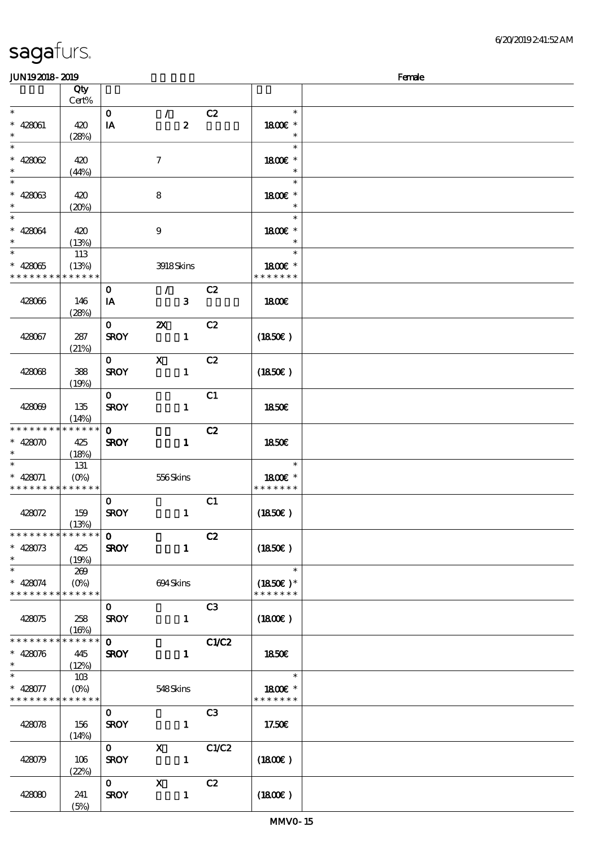| <b>JUN192018-2019</b>                      |                      |              |                           |       |                   | Female |
|--------------------------------------------|----------------------|--------------|---------------------------|-------|-------------------|--------|
|                                            | Qty                  |              |                           |       |                   |        |
|                                            | Cert%                |              |                           |       |                   |        |
| $\ast$                                     |                      | $\mathbf{o}$ | $\mathcal{L}$             | C2    | $\ast$            |        |
| $* 428061$                                 | 420                  | IA           | $\boldsymbol{z}$          |       | 1800 £*           |        |
| $\ast$                                     | (28%)                |              |                           |       | $\ast$            |        |
| $\ast$                                     |                      |              |                           |       | $\ast$            |        |
| $* 428062$                                 | 420                  |              | $\boldsymbol{7}$          |       | 1800€ *           |        |
| $\ast$<br>$\ast$                           | (44%)                |              |                           |       | $\ast$            |        |
|                                            |                      |              |                           |       | $\ast$            |        |
| $* 428033$<br>$\ast$                       | 420                  |              | $\bf 8$                   |       | 1800 £*<br>$\ast$ |        |
| $\ast$                                     | (20%)                |              |                           |       | $\ast$            |        |
| $* 428064$                                 | 420                  |              | $\boldsymbol{9}$          |       | 1800E *           |        |
| $\ast$                                     | (13%)                |              |                           |       | $\ast$            |        |
| $\ast$                                     | 113                  |              |                           |       | $\ast$            |        |
| $* 428065$                                 | (13%)                |              | 3918Skins                 |       | 1800E *           |        |
| * * * * * * * * <mark>* * * * * * *</mark> |                      |              |                           |       | * * * * * * *     |        |
|                                            |                      | $\mathbf 0$  | $\mathcal{T}$             | C2    |                   |        |
| 428066                                     | 146                  | IA           | $\mathbf{3}$              |       | 1800E             |        |
|                                            | (28%)                |              |                           |       |                   |        |
|                                            |                      | $\mathbf{O}$ | $\boldsymbol{\mathsf{z}}$ | C2    |                   |        |
| 428067                                     | 287                  | <b>SROY</b>  | $\mathbf{1}$              |       | (1850)            |        |
|                                            | (21%)                |              |                           |       |                   |        |
|                                            |                      | $\mathbf{O}$ | $\boldsymbol{\mathsf{X}}$ | C2    |                   |        |
| 428068                                     | 388                  | <b>SROY</b>  | $\mathbf{1}$              |       | (1850)            |        |
|                                            | (19%)                |              |                           |       |                   |        |
|                                            |                      | $\mathbf{O}$ |                           | C1    |                   |        |
| 428069                                     | 135                  | <b>SROY</b>  | $\mathbf{1}$              |       | 1850E             |        |
|                                            | (14%)                |              |                           |       |                   |        |
| * * * * * * * *                            | * * * * * *          | $\mathbf{o}$ |                           | C2    |                   |        |
| $* 428070$<br>$\ast$                       | 425                  | <b>SROY</b>  | $\mathbf{1}$              |       | 1850E             |        |
| $\ast$                                     | (18%)<br>131         |              |                           |       | $\ast$            |        |
| $* 428071$                                 | $(O\%)$              |              | 556Skins                  |       | 1800E *           |        |
| * * * * * * * * <mark>* * * * * *</mark>   |                      |              |                           |       | * * * * * * *     |        |
|                                            |                      | $\mathbf{o}$ |                           | C1    |                   |        |
| 428072                                     | 159                  | <b>SROY</b>  | $\mathbf{1}$              |       | (1850)            |        |
|                                            | (13%)                |              |                           |       |                   |        |
| * * * * * * * *                            | * * * * * *          | $\mathbf 0$  |                           | C2    |                   |        |
| $* 428073$                                 | 425                  | <b>SROY</b>  | $\mathbf{1}$              |       | (1850)            |        |
| $\ast$                                     | (19%)                |              |                           |       |                   |        |
| $\overline{\ast}$                          | 269                  |              |                           |       | $\ast$            |        |
| $* 428074$                                 | $(O\%)$              |              | 694Skins                  |       | $(1850)$ *        |        |
| * * * * * * * * <mark>* * * * * *</mark>   |                      |              |                           |       | * * * * * * *     |        |
|                                            |                      | $\mathbf{O}$ |                           | C3    |                   |        |
| 428075                                     | 258                  | <b>SROY</b>  | $\mathbf{1}$              |       | (1800)            |        |
| * * * * * * * *                            | (16%)<br>* * * * * * | $\mathbf{O}$ |                           | C1/C2 |                   |        |
| $* 428076$                                 | 445                  | <b>SROY</b>  | $\mathbf{1}$              |       | 1850E             |        |
| $\ast$                                     | (12%)                |              |                           |       |                   |        |
| $\ast$                                     | 10B                  |              |                           |       | $\ast$            |        |
| $* 428077$                                 | $(0\%)$              |              | 548Skins                  |       | 1800 £*           |        |
| * * * * * * * * <mark>* * * * * *</mark>   |                      |              |                           |       | * * * * * * *     |        |
|                                            |                      | $\mathbf{O}$ |                           | C3    |                   |        |
| 428078                                     | 156                  | <b>SROY</b>  | $\mathbf{1}$              |       | 17.50E            |        |
|                                            | (14%)                |              |                           |       |                   |        |
|                                            |                      | $\mathbf{O}$ | $\mathbf{x}$              | C1/C2 |                   |        |
| 428079                                     | 106                  | <b>SROY</b>  | $\mathbf{1}$              |       | (1800)            |        |
|                                            | (22%)                |              |                           |       |                   |        |
|                                            |                      | $\mathbf{O}$ | $\mathbf X$               | C2    |                   |        |
| 428080                                     | 241                  | <b>SROY</b>  | $\mathbf{1}$              |       | (1800)            |        |
|                                            | (5%)                 |              |                           |       |                   |        |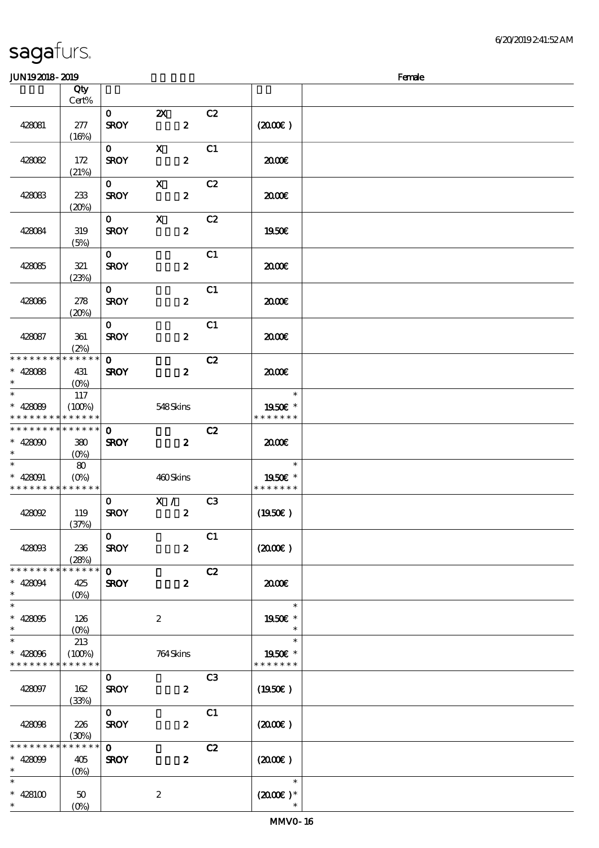### $J<sub>W102018</sub>$  2010  $J<sub>W102018</sub>$  2010

| JUIN IOAUIO- AUIO                                                     |                               |                             |                                               |                |                                          | rance |
|-----------------------------------------------------------------------|-------------------------------|-----------------------------|-----------------------------------------------|----------------|------------------------------------------|-------|
|                                                                       | Qty<br>Cert%                  |                             |                                               |                |                                          |       |
| 428081                                                                | 277<br>(16%)                  | $\mathbf{O}$<br><b>SROY</b> | $\boldsymbol{\mathsf{X}}$<br>$\boldsymbol{z}$ | C2             | $(2000\varepsilon)$                      |       |
| 428082                                                                | 172<br>(21%)                  | $\mathbf{O}$<br><b>SROY</b> | $\mathbf{x}$<br>$\boldsymbol{z}$              | C1             | 2000€                                    |       |
| 428083                                                                | 233<br>(20%)                  | $\mathbf{O}$<br><b>SROY</b> | $\mathbf{x}$<br>$\boldsymbol{2}$              | C2             | 2000E                                    |       |
| 428084                                                                | 319<br>(5%)                   | $\mathbf{O}$<br><b>SROY</b> | $\mathbf{x}$<br>$\boldsymbol{z}$              | C2             | <b>1950€</b>                             |       |
| 428085                                                                | 321<br>(23%)                  | $\mathbf{O}$<br><b>SROY</b> | $\boldsymbol{z}$                              | C1             | æœ                                       |       |
| 428086                                                                | 278<br>(20%)                  | $\mathbf{0}$<br><b>SROY</b> | $\boldsymbol{z}$                              | C1             | 2000€                                    |       |
| 428087                                                                | 361<br>(2%)                   | $\mathbf{O}$<br><b>SROY</b> | $\boldsymbol{z}$                              | C1             | æœ                                       |       |
| * * * * * * * * * * * * * *<br>$* 428088$<br>$\ast$                   | 431<br>$(0\%)$                | $\mathbf{o}$<br><b>SROY</b> | $\boldsymbol{z}$                              | C2             | 2000                                     |       |
| $\overline{\ast}$<br>$* 428089$<br>* * * * * * * * * * * * * *        | 117<br>(100%)                 |                             | 548Skins                                      |                | $\ast$<br>1950E *<br>* * * * * * *       |       |
| ******** <mark>*******</mark><br>$* 428000$<br>$\ast$                 | 380<br>(O <sub>0</sub> )      | $\mathbf 0$<br><b>SROY</b>  | $\boldsymbol{z}$                              | C2             | 2000                                     |       |
| $\overline{\phantom{0}}$<br>$* 428091$<br>* * * * * * * * * * * * * * | 80<br>$(O\%)$                 |                             | 460Skins                                      |                | $\ast$<br>1950E *<br>* * * * * * *       |       |
| 428092                                                                | 119<br>(37%)                  | $\mathbf{O}$<br><b>SROY</b> | $\overline{\mathbf{x}}$ /<br>$\boldsymbol{z}$ | C3             | (1950E)                                  |       |
| 428093                                                                | 236<br>(28%)                  | $\mathbf 0$<br><b>SROY</b>  | $\boldsymbol{2}$                              | C1             | (200E)                                   |       |
| * * * * * * * *<br>$* 428094$<br>$\ast$                               | * * * * * *<br>425<br>$(0\%)$ | $\mathbf 0$<br><b>SROY</b>  | $\boldsymbol{z}$                              | C2             | 2000€                                    |       |
| $\ast$<br>$* 428095$<br>$\ast$                                        | 126<br>$(O\%)$                |                             | $\boldsymbol{2}$                              |                | $\ast$<br>1950E *                        |       |
| $\ast$<br>$* 428096$<br>* * * * * * * *                               | 213<br>(100%)<br>* * * * * *  |                             | 764Skins                                      |                | $\ast$<br>1950E *<br>* * * * * * *       |       |
| 428097                                                                | 162<br>(33%)                  | $\mathbf{O}$<br><b>SROY</b> | $\boldsymbol{z}$                              | C <sub>3</sub> | (1950E)                                  |       |
| 428098                                                                | 226<br>(30%)                  | $\mathbf{o}$<br><b>SROY</b> | $\boldsymbol{z}$                              | C1             | $(2000\varepsilon)$                      |       |
| * * * * * * * *<br>$* 428099$<br>$\ast$                               | * * * * * *<br>405<br>$(O\%)$ | $\mathbf 0$<br><b>SROY</b>  | $\pmb{2}$                                     | C2             | (200E)                                   |       |
| $\ast$<br>$* 428100$<br>$\ast$                                        | $50\,$<br>(O <sub>0</sub> )   |                             | $\boldsymbol{2}$                              |                | $\ast$<br>$(2000\varepsilon)*$<br>$\ast$ |       |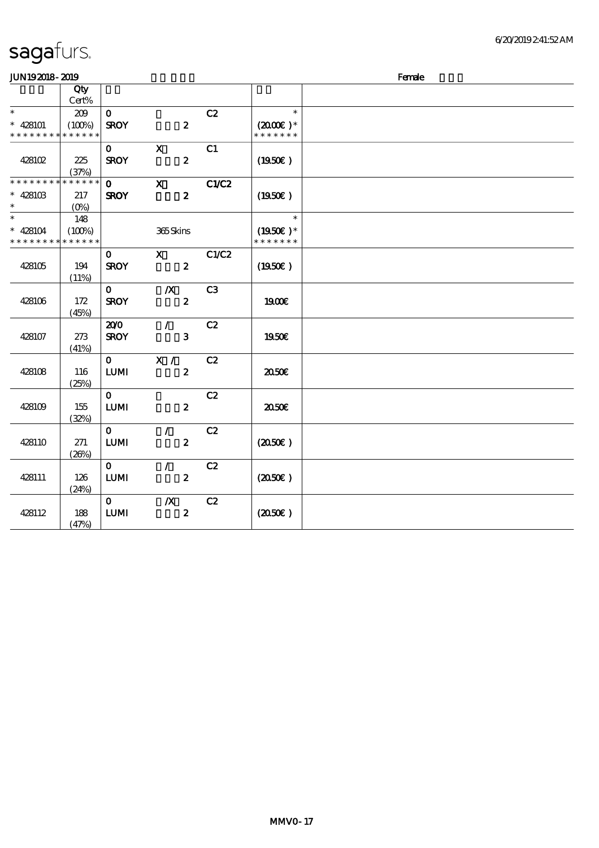| JUN192018-2019                           |                       |                             |                                   |       |                                       | Female |
|------------------------------------------|-----------------------|-----------------------------|-----------------------------------|-------|---------------------------------------|--------|
|                                          | Qty                   |                             |                                   |       |                                       |        |
|                                          | Cert%                 |                             |                                   |       |                                       |        |
| $\ast$                                   | 209                   | $\mathbf{O}$                |                                   | C2    | $\ast$                                |        |
| $* 428101$<br>* * * * * * * *            | (100%)<br>* * * * * * | <b>SROY</b>                 | $\boldsymbol{z}$                  |       | $(2000\varepsilon)*$<br>* * * * * * * |        |
|                                          |                       |                             |                                   |       |                                       |        |
|                                          |                       | $\mathbf{O}$                | $\mathbf X$                       | C1    |                                       |        |
| 428102                                   | 225                   | <b>SROY</b>                 | $\boldsymbol{2}$                  |       | $(1950\epsilon)$                      |        |
| * * * * * * * *                          | (37%)<br>* * * * * *  | $\mathbf{o}$                | $\boldsymbol{\mathsf{X}}$         | C1/C2 |                                       |        |
| $* 428103$                               | 217                   | <b>SROY</b>                 | $\boldsymbol{z}$                  |       | $(1950\epsilon)$                      |        |
| $\ast$                                   | $(O\%)$               |                             |                                   |       |                                       |        |
| $\overline{\ast}$                        | 148                   |                             |                                   |       | $\ast$                                |        |
| $* 428104$                               | (100%)                |                             | 365Skins                          |       | $(1950E)^*$                           |        |
| * * * * * * * * <mark>* * * * * *</mark> |                       |                             |                                   |       | * * * * * * *                         |        |
|                                          |                       | $\mathbf{o}$                | $\mathbf{x}$                      | C1/C2 |                                       |        |
| 428105                                   | 194                   | <b>SROY</b>                 | $\boldsymbol{z}$                  |       | (1950E)                               |        |
|                                          | (11%)                 |                             |                                   |       |                                       |        |
|                                          |                       | $\mathbf{O}$                | $\boldsymbol{X}$                  | C3    |                                       |        |
| 428106                                   | 172                   | <b>SROY</b>                 | $\boldsymbol{2}$                  |       | 1900E                                 |        |
|                                          | (45%)                 |                             |                                   |       |                                       |        |
|                                          |                       | 200                         | $\sqrt{2}$                        | C2    |                                       |        |
| 428107                                   | 273                   | <b>SROY</b>                 | 3                                 |       | 1950E                                 |        |
|                                          | (41%)                 |                             |                                   |       |                                       |        |
|                                          |                       | $\mathbf{O}$                | X /                               | C2    |                                       |        |
| 428108                                   | 116                   | <b>LUMI</b>                 | $\boldsymbol{z}$                  |       | 2050E                                 |        |
|                                          | (25%)                 |                             |                                   |       |                                       |        |
|                                          |                       | $\mathbf{o}$                |                                   | C2    |                                       |        |
| 428109                                   | 155                   | ${\bf LUM}$                 | $\boldsymbol{z}$                  |       | 2050€                                 |        |
|                                          | (32%)                 |                             |                                   |       |                                       |        |
| 428110                                   | 271                   | $\mathbf{O}$<br><b>LUMI</b> | $\mathcal{L}$<br>$\boldsymbol{2}$ | C2    | (2050)                                |        |
|                                          | (20%)                 |                             |                                   |       |                                       |        |
|                                          |                       | $\mathbf{o}$                | $\mathcal{L}$                     | C2    |                                       |        |
| 428111                                   | 126                   | ${\bf LUM}$                 | $\boldsymbol{2}$                  |       | (2050)                                |        |
|                                          | (24%)                 |                             |                                   |       |                                       |        |
|                                          |                       | $\mathbf{O}$                | $\boldsymbol{X}$                  | C2    |                                       |        |
| 428112                                   | 188                   | <b>LUMI</b>                 | $\boldsymbol{z}$                  |       | (2050)                                |        |
|                                          | (47%)                 |                             |                                   |       |                                       |        |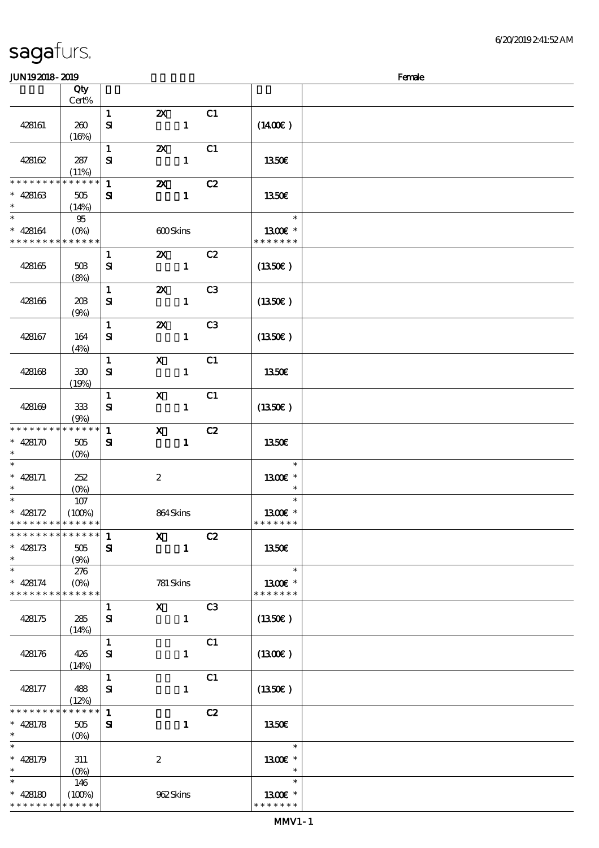| sagafurs. |  |  |  |
|-----------|--|--|--|
|-----------|--|--|--|

#### JUN192018-2019 - 2019 - 2019 - 2019 - 2019 - 2019 - 2019 - 2019 - 2019 - 2019 - 2019 - 2019 - 2019 - 2019 - 20

| www.com                     |                   |              |                           |              |                |                  | $\cdots$ |
|-----------------------------|-------------------|--------------|---------------------------|--------------|----------------|------------------|----------|
|                             | Qty<br>Cert%      |              |                           |              |                |                  |          |
|                             |                   |              |                           |              |                |                  |          |
|                             |                   | $\mathbf{1}$ | $\boldsymbol{\mathsf{Z}}$ |              | C1             |                  |          |
| 428161                      | 260               | $\mathbf{S}$ |                           | $\mathbf{1}$ |                | (1400E)          |          |
|                             | (16%)             |              |                           |              |                |                  |          |
|                             |                   | $\mathbf{1}$ | $\boldsymbol{\mathsf{X}}$ |              | C1             |                  |          |
|                             |                   |              |                           |              |                |                  |          |
| 428162                      | 287               | ${\bf s}$    |                           | $\mathbf{1}$ |                | 1350€            |          |
|                             | (11%)             |              |                           |              |                |                  |          |
| * * * * * * * *             | * * * * * *       | $\mathbf{1}$ | $\boldsymbol{\alpha}$     |              | C2             |                  |          |
| $* 428163$                  | 505               | ${\bf s}$    |                           | $\mathbf{1}$ |                | 1350E            |          |
| $\ast$                      |                   |              |                           |              |                |                  |          |
|                             | (14%)             |              |                           |              |                |                  |          |
| $\ast$                      | $95\,$            |              |                           |              |                | $\ast$           |          |
| $* 428164$                  | $(O\%)$           |              | 600Skins                  |              |                | 1300E *          |          |
| * * * * * * * * * * * * * * |                   |              |                           |              |                | * * * * * * *    |          |
|                             |                   | $\mathbf{1}$ | <b>2X</b> C <sub>2</sub>  |              |                |                  |          |
|                             |                   |              |                           |              |                |                  |          |
| 428165                      | 50B               | ${\bf s}$    |                           | $\mathbf{1}$ |                | $(1350\epsilon)$ |          |
|                             | (8%)              |              |                           |              |                |                  |          |
|                             |                   | $\mathbf{1}$ | $\boldsymbol{\mathsf{z}}$ |              | C3             |                  |          |
| 428166                      | 208               | $\mathbf{S}$ |                           | $\mathbf{1}$ |                | (1350E)          |          |
|                             | (9%)              |              |                           |              |                |                  |          |
|                             |                   |              |                           |              |                |                  |          |
|                             |                   | $\mathbf{1}$ | $\boldsymbol{\mathsf{z}}$ |              | C <sub>3</sub> |                  |          |
| 428167                      | 164               | ${\bf s}$    |                           | $\mathbf{1}$ |                | (1350)           |          |
|                             | (4%)              |              |                           |              |                |                  |          |
|                             |                   | $\mathbf{1}$ | $\boldsymbol{\mathsf{X}}$ |              | C1             |                  |          |
| 428168                      | 330               | ${\bf s}$    |                           | $\mathbf{1}$ |                | 1350€            |          |
|                             |                   |              |                           |              |                |                  |          |
|                             | (19%)             |              |                           |              |                |                  |          |
|                             |                   | $\mathbf{1}$ | $\boldsymbol{\mathrm{X}}$ |              | C1             |                  |          |
| 428169                      | 333               | ${\bf s}$    |                           | $\mathbf{1}$ |                | (1350E)          |          |
|                             | (9%)              |              |                           |              |                |                  |          |
| * * * * * * * *             | * * * * * *       | $\mathbf{1}$ | $\mathbf x$               |              |                |                  |          |
|                             |                   |              |                           |              | C2             |                  |          |
| $* 428170$                  | 505               | ${\bf s}$    |                           | $\mathbf{1}$ |                | 1350€            |          |
|                             | (O <sub>0</sub> ) |              |                           |              |                |                  |          |
| $\ast$                      |                   |              |                           |              |                | $\ast$           |          |
| $* 428171$                  | 252               |              | $\boldsymbol{2}$          |              |                | 1300E *          |          |
| $\ast$                      |                   |              |                           |              |                |                  |          |
|                             | $(O\!/\!o)$       |              |                           |              |                |                  |          |
|                             | $107$             |              |                           |              |                | $\ast$           |          |
| $* 428172$                  | (100%)            |              | 864Skins                  |              |                | 1300€ *          |          |
| * * * * * * * * * * * * * * |                   |              |                           |              |                | * * * * * * *    |          |
| * * * * * * * * * * * * * * |                   | $\mathbf{1}$ | $\boldsymbol{\mathrm{X}}$ |              | C2             |                  |          |
| $* 428173$                  |                   |              |                           |              |                |                  |          |
|                             | 505               | ${\bf s}$    |                           | $\mathbf{1}$ |                | 1350€            |          |
| $\ast$                      | (9%)              |              |                           |              |                |                  |          |
| $\ast$                      | 276               |              |                           |              |                | $\ast$           |          |
| $* 428174$                  | $(0\%)$           |              | 781 Skins                 |              |                | 1300E *          |          |
| * * * * * * * * * * * * * * |                   |              |                           |              |                | * * * * * * *    |          |
|                             |                   |              | $\mathbf x$               |              | C3             |                  |          |
|                             |                   | $\mathbf{1}$ |                           |              |                |                  |          |
| 428175                      | 285               | ${\bf s}$    |                           | $\mathbf{1}$ |                | (1350E)          |          |
|                             | (14%)             |              |                           |              |                |                  |          |
|                             |                   | $\mathbf{1}$ |                           |              | C1             |                  |          |
| 428176                      | 426               | ${\bf s}$    |                           | $\mathbf{1}$ |                | (1300E)          |          |
|                             | (14%)             |              |                           |              |                |                  |          |
|                             |                   |              |                           |              |                |                  |          |
|                             |                   | $\mathbf{1}$ |                           |              | C1             |                  |          |
| 428177                      | 488               | ${\bf s}$    |                           | $\mathbf{1}$ |                | (1350)           |          |
|                             | (12%)             |              |                           |              |                |                  |          |
| * * * * * * * *             | * * * * * *       | $\mathbf{1}$ |                           |              | C2             |                  |          |
| $* 428178$                  | 505               | ${\bf s}$    |                           | $\mathbf{1}$ |                | 1350€            |          |
| $\ast$                      |                   |              |                           |              |                |                  |          |
|                             | $(O\%)$           |              |                           |              |                |                  |          |
| $\ast$                      |                   |              |                           |              |                | $\ast$           |          |
| $* 428179$                  | 311               |              | $\boldsymbol{2}$          |              |                | 1300€ *          |          |
| $\ast$                      | $(O\%)$           |              |                           |              |                | $\ast$           |          |
| $\ast$                      | 146               |              |                           |              |                | $\ast$           |          |
|                             |                   |              |                           |              |                |                  |          |
| $* 428180$                  | (100%)            |              | 962Skins                  |              |                | 1300E *          |          |
| * * * * * * * *             | * * * * * *       |              |                           |              |                | * * * * * * *    |          |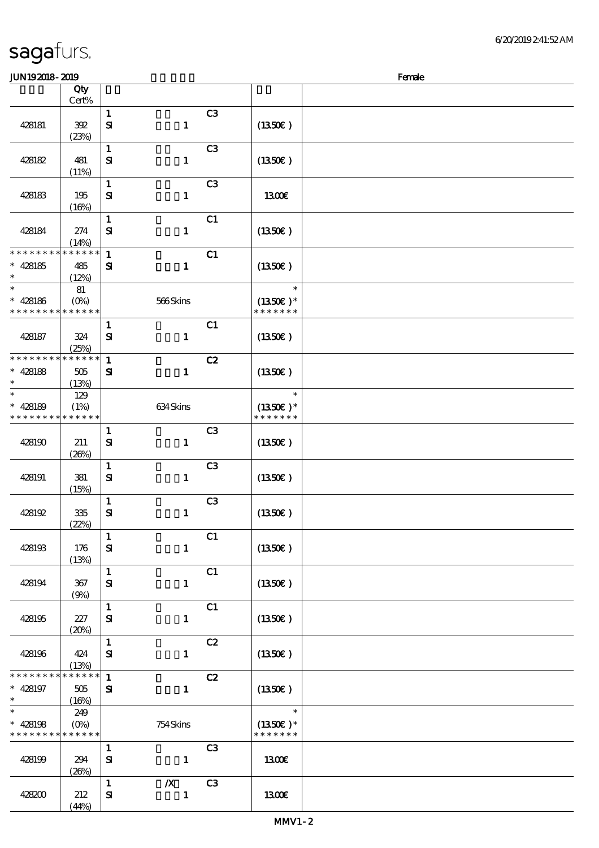| <b>JUN192018-2019</b>                   |                                         |                              |                                  |                |                                       | Female |
|-----------------------------------------|-----------------------------------------|------------------------------|----------------------------------|----------------|---------------------------------------|--------|
|                                         | Qty<br>Cert%                            |                              |                                  |                |                                       |        |
| 428181                                  | 392<br>(23%)                            | $\mathbf{1}$<br>${\bf s}$    | $\mathbf{1}$                     | C <sub>3</sub> | (1350)                                |        |
| 428182                                  | 481<br>(11%)                            | $\mathbf 1$<br>$\mathbf{S}$  | $\mathbf{1}$                     | C <sub>3</sub> | (1350)                                |        |
| 428183                                  | 195<br>(16%)                            | $\mathbf{1}$<br>$\mathbf{S}$ | $\mathbf{1}$                     | C <sub>3</sub> | 1300E                                 |        |
| 428184                                  | 274<br>(14%)                            | $\mathbf 1$<br>$\mathbf{S}$  | $\mathbf{1}$                     | C1             | (1350)                                |        |
| * * * * * * *<br>$* 428185$<br>$\ast$   | * * * * * *<br>485<br>(12%)             | $\mathbf{1}$<br>${\bf s}$    | $\mathbf{1}$                     | C1             | (1350E)                               |        |
| $\ast$<br>$* 428186$<br>* * * * * * * * | 81<br>$(O\!/\!\!\delta)$<br>* * * * * * |                              | 566Skins                         |                | $\ast$<br>$(1350E)*$<br>* * * * * * * |        |
| 428187                                  | 324<br>(25%)                            | $\mathbf{1}$<br>${\bf s}$    | $\mathbf{1}$                     | C1             | (1350)                                |        |
| * * * * * * * *<br>$* 428188$<br>$\ast$ | * * * * * *<br>505<br>(13%)             | $\mathbf 1$<br>${\bf s}$     | $\mathbf{1}$                     | C2             | (1350E)                               |        |
| $\ast$<br>$* 428189$<br>* * * * * * * * | 129<br>(1%)<br>* * * * * *              |                              | 634Skins                         |                | $\ast$<br>$(1350E)*$<br>* * * * * * * |        |
| 428190                                  | 211<br>(20%)                            | $\mathbf{1}$<br>${\bf s}$    | $\mathbf{1}$                     | C <sub>3</sub> | (1350)                                |        |
| 428191                                  | 381<br>(15%)                            | $\mathbf 1$<br>${\bf S}$     | $\mathbf{1}$                     | C <sub>3</sub> | (1350E)                               |        |
| 428192                                  | 335<br>(22%)                            | $\mathbf{1}$<br>$\mathbf{S}$ | $\mathbf{1}$                     | C3             | (1350)                                |        |
| 428193                                  | 176<br>(13%)                            | $\mathbf{1}$<br>${\bf s}$    | $\mathbf{1}$                     | C1             | (1350E)                               |        |
| 428194                                  | 367<br>(9%)                             | $\mathbf{1}$<br>$\mathbf{S}$ | $\mathbf{1}$                     | C1             | (1350)                                |        |
| 428195                                  | 227<br>(20%)                            | $\mathbf{1}$<br>${\bf s}$    | $\mathbf{1}$                     | C1             | (1350)                                |        |
| 428196                                  | 424<br>(13%)                            | $\mathbf{1}$<br>${\bf s}$    | $\mathbf{1}$                     | C2             | (1350E)                               |        |
| * * * * * * * *<br>$* 428197$<br>$\ast$ | * * * * * *<br>505<br>(16%)             | $\mathbf{1}$<br>$\mathbf{S}$ | $\mathbf{1}$                     | C2             | (1350E)                               |        |
| $\ast$<br>$* 428198$<br>* * * * * * * * | 249<br>$(0\%)$<br>* * * * * *           |                              | 754Skins                         |                | $\ast$<br>$(1350)$ *<br>* * * * * * * |        |
| 428199                                  | 294<br>(20%)                            | $\mathbf{1}$<br>${\bf s}$    | $\mathbf{1}$                     | C <sub>3</sub> | 1300E                                 |        |
| 428200                                  | 212<br>(44%)                            | $\mathbf{1}$<br>$\mathbf{S}$ | $\boldsymbol{X}$<br>$\mathbf{1}$ | C <sub>3</sub> | <b>1300€</b>                          |        |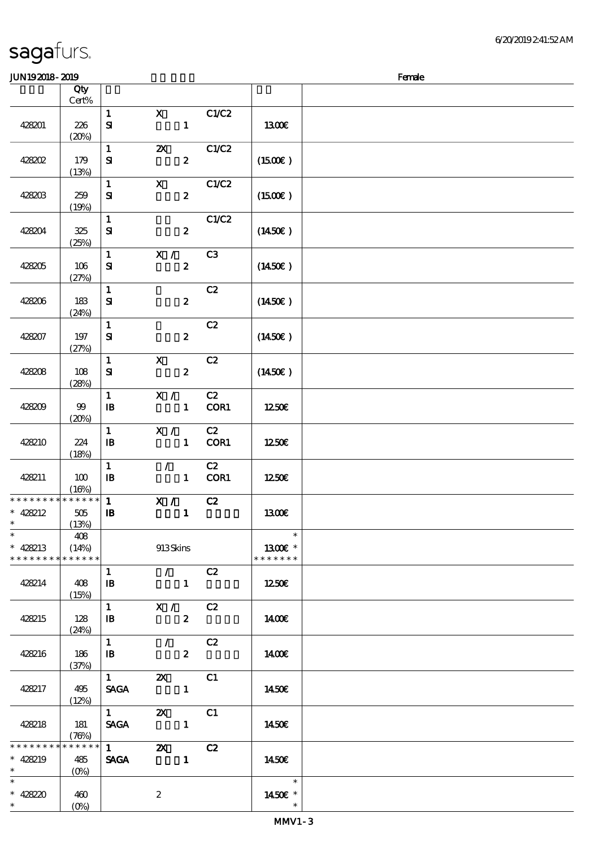### JUNI9 2018 - 2019 - 2019 - 2019 - 2019 - 2019 - 2019 - 2019 - 2019 - 2019 - 2019 - 2019 - 2019 - 2019 - 2019 -

| ມມາ ເວລມດ- ລມວ                          |                               |                                            |                           |                  |            |                                    | ranac |
|-----------------------------------------|-------------------------------|--------------------------------------------|---------------------------|------------------|------------|------------------------------------|-------|
|                                         | Qty<br>Cert%                  |                                            |                           |                  |            |                                    |       |
| 428201                                  | 226<br>(20%)                  | $\mathbf{1}$<br>$\mathbf{S}$               | $\mathbf X$               | $\mathbf{1}$     | C1/C2      | 1300€                              |       |
| 428202                                  | 179<br>(13%)                  | $\mathbf{1}$<br>${\bf S}$                  | $\boldsymbol{\mathsf{Z}}$ | $\boldsymbol{z}$ | C1/C2      | (1500E)                            |       |
| 428203                                  | 259<br>(19%)                  | $\mathbf{1}$<br>${\bf s}$                  | $\mathbf{x}$              | $\boldsymbol{2}$ | C1/C2      | $(1500\varepsilon)$                |       |
| 428204                                  | 325<br>(25%)                  | $\mathbf{1}$<br>$\mathbf{S}$               |                           | $\boldsymbol{z}$ | C1/C2      | (1450E)                            |       |
| 428205                                  | 106<br>(27%)                  | $\mathbf{1}$<br>${\bf s}$                  | $X / \sqrt{2}$            | $\boldsymbol{z}$ | C3         | $(1450\epsilon)$                   |       |
| 428206                                  | 183<br>(24%)                  | $\mathbf{1}$<br>${\bf S\!I}$               |                           | $\boldsymbol{z}$ | C2         | $(1450\varepsilon)$                |       |
| 428207                                  | 197<br>(27%)                  | $\mathbf{1}$<br>${\bf S}$                  |                           | $\boldsymbol{z}$ | C2         | (1450E)                            |       |
| 428208                                  | 108<br>(28%)                  | $\mathbf{1}$<br>${\bf S}$                  | $\mathbf{X}$              | $\boldsymbol{z}$ | C2         | $(1450\epsilon)$                   |       |
| 428209                                  | $99$<br>(20%)                 | $\mathbf{1}$<br>$\mathbf{I}$               | X /                       | $\mathbf{1}$     | C2<br>COR1 | 1250€                              |       |
| 428210                                  | 224<br>(18%)                  | $\mathbf{1}$<br>$\mathbf{B}$               | X /                       | $\mathbf{1}$     | C2<br>COR1 | 1250E                              |       |
| 428211                                  | 100<br>(16%)                  | $\mathbf{1}$<br>$\mathbf{B}$               | $\mathcal{T}$             | $\mathbf{1}$     | C2<br>COR1 | 1250€                              |       |
| * * * * * * * *<br>$* 428212$<br>$\ast$ | ******<br>$505\,$<br>(13%)    | $\mathbf{1}$<br>${\bf I\!B}$               | X /                       | $\mathbf{1}$     | C2         | <b>1300€</b>                       |       |
| $\ast$<br>$* 428213$<br>* * * * * * * * | 408<br>(14%)<br>* * * * * *   |                                            | 913Skins                  |                  |            | $\ast$<br>1300E *<br>* * * * * * * |       |
| 428214                                  | 408<br>(15%)                  | $\mathbf{1}$<br>${\bf I\!B}$               | $\mathcal{L}$             | $\mathbf{1}$     | C2         | 1250E                              |       |
| 428215                                  | 128<br>(24%)                  | $\mathbf{1}$<br>$\, {\bf I} \! {\bf B} \,$ | X /                       | $\boldsymbol{z}$ | C2         | 1400E                              |       |
| 428216                                  | 186<br>(37%)                  | $\mathbf{1}$<br>$\mathbf{B}$               | $\mathcal{T}^{\pm}$       | $\boldsymbol{z}$ | C2         | 1400E                              |       |
| 428217                                  | 495<br>(12%)                  | $1 -$<br><b>SAGA</b>                       | $\boldsymbol{\mathsf{Z}}$ | $\mathbf{1}$     | C1         | 1450E                              |       |
| 428218                                  | 181<br>(78%)                  | $1 \quad \blacksquare$<br><b>SAGA</b>      | $\boldsymbol{\mathsf{Z}}$ | $\mathbf{1}$     | C1         | 1450€                              |       |
| * * * * * * * *<br>$* 428219$<br>$\ast$ | * * * * * *<br>485<br>$(O\%)$ | $1 \quad \blacksquare$<br><b>SAGA</b>      | $\boldsymbol{\mathsf{X}}$ | $\mathbf{1}$     | C2         | 1450€                              |       |
| $\ast$<br>* 428220                      | 460<br>$(O\%)$                |                                            | $\boldsymbol{2}$          |                  |            | $\ast$<br>1450€ *<br>$\ast$        |       |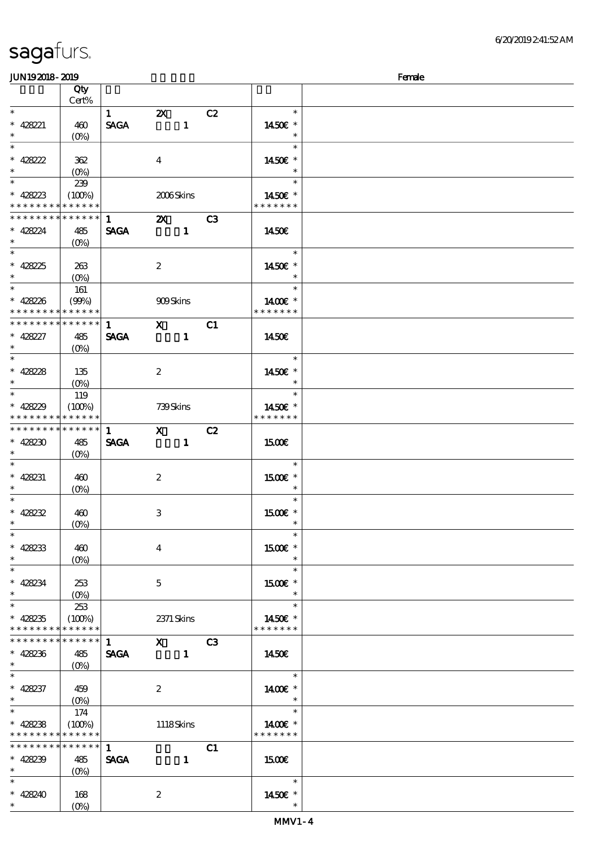| JUN192018-2019              |                                 |              |                                                                                                                                                                                                                                                                                                                                 |                |    |               | Female |
|-----------------------------|---------------------------------|--------------|---------------------------------------------------------------------------------------------------------------------------------------------------------------------------------------------------------------------------------------------------------------------------------------------------------------------------------|----------------|----|---------------|--------|
|                             | Qty                             |              |                                                                                                                                                                                                                                                                                                                                 |                |    |               |        |
|                             | Cert%                           |              |                                                                                                                                                                                                                                                                                                                                 |                |    |               |        |
| $*$                         |                                 | 1            | $\boldsymbol{\mathsf{Z}}$                                                                                                                                                                                                                                                                                                       |                | C2 | $\ast$        |        |
| * 428221                    | 460                             | <b>SAGA</b>  |                                                                                                                                                                                                                                                                                                                                 | $\mathbf{1}$   |    | 1450€ *       |        |
| $*$                         | $(O\%)$                         |              |                                                                                                                                                                                                                                                                                                                                 |                |    | $\ast$        |        |
|                             |                                 |              |                                                                                                                                                                                                                                                                                                                                 |                |    | $\ast$        |        |
|                             |                                 |              |                                                                                                                                                                                                                                                                                                                                 |                |    |               |        |
| * $42822$                   | 362                             |              | $\overline{\mathbf{4}}$                                                                                                                                                                                                                                                                                                         |                |    | 1450€ *       |        |
| $\ast$                      | $(O\!\!\!\!\!\!\backslash\rho)$ |              |                                                                                                                                                                                                                                                                                                                                 |                |    | $\ast$        |        |
|                             | 239                             |              |                                                                                                                                                                                                                                                                                                                                 |                |    | $\ast$        |        |
| $* 428223$                  | (100%)                          |              | 2006Skins                                                                                                                                                                                                                                                                                                                       |                |    | 1450E *       |        |
| * * * * * * * *             | * * * * * *                     |              |                                                                                                                                                                                                                                                                                                                                 |                |    | * * * * * * * |        |
| * * * * * * * *             | $\ast\ast\ast\ast\ast\ast$      | $\mathbf{1}$ | $\mathbf{z}$                                                                                                                                                                                                                                                                                                                    |                | C3 |               |        |
| $* 428224$                  | 485                             | <b>SAGA</b>  |                                                                                                                                                                                                                                                                                                                                 | $\mathbf{1}$   |    | 1450E         |        |
| $\ast$                      |                                 |              |                                                                                                                                                                                                                                                                                                                                 |                |    |               |        |
|                             | $(O\%)$                         |              |                                                                                                                                                                                                                                                                                                                                 |                |    |               |        |
|                             |                                 |              |                                                                                                                                                                                                                                                                                                                                 |                |    | $\ast$        |        |
| * $42825$                   | 263                             |              | $\boldsymbol{2}$                                                                                                                                                                                                                                                                                                                |                |    | 1450€ *       |        |
| $\ast$                      | $(O\%)$                         |              |                                                                                                                                                                                                                                                                                                                                 |                |    | $\ast$        |        |
|                             | 161                             |              |                                                                                                                                                                                                                                                                                                                                 |                |    | $\ast$        |        |
| * $428236$                  | (90%)                           |              | <b>909Skins</b>                                                                                                                                                                                                                                                                                                                 |                |    | 14 $00E$ *    |        |
| * * * * * * * *             | * * * * * *                     |              |                                                                                                                                                                                                                                                                                                                                 |                |    | * * * * * * * |        |
| * * * * * * * *             | $\ast\ast\ast\ast\ast\ast$      | $\mathbf{1}$ | $\mathbf x$                                                                                                                                                                                                                                                                                                                     |                | C1 |               |        |
| $* 428227$                  |                                 |              |                                                                                                                                                                                                                                                                                                                                 |                |    |               |        |
|                             | 485                             | <b>SAGA</b>  |                                                                                                                                                                                                                                                                                                                                 | $\mathbf{1}$   |    | <b>1450€</b>  |        |
| $\ast$                      | $(O\%)$                         |              |                                                                                                                                                                                                                                                                                                                                 |                |    |               |        |
|                             |                                 |              |                                                                                                                                                                                                                                                                                                                                 |                |    | $\ast$        |        |
| * 428228                    | 135                             |              | $\boldsymbol{2}$                                                                                                                                                                                                                                                                                                                |                |    | 1450€ *       |        |
| $*$ and $*$                 | $(O\!\!\!\!\!\!\backslash\rho)$ |              |                                                                                                                                                                                                                                                                                                                                 |                |    | $\ast$        |        |
|                             | 119                             |              |                                                                                                                                                                                                                                                                                                                                 |                |    | $\ast$        |        |
| * $428229$                  | (100%)                          |              | 739Skins                                                                                                                                                                                                                                                                                                                        |                |    | 1450€ *       |        |
| * * * * * * * *             | * * * * * *                     |              |                                                                                                                                                                                                                                                                                                                                 |                |    | * * * * * * * |        |
| * * * * * * * *             | $\ast\ast\ast\ast\ast\ast$      |              | $\mathbf{x}$ and $\mathbf{x}$                                                                                                                                                                                                                                                                                                   |                | C2 |               |        |
|                             |                                 | $\mathbf{1}$ |                                                                                                                                                                                                                                                                                                                                 |                |    |               |        |
| $* 428230$                  | 485                             | <b>SAGA</b>  |                                                                                                                                                                                                                                                                                                                                 | $\blacksquare$ |    | 1500E         |        |
| $\ast$                      | $(O\%)$                         |              |                                                                                                                                                                                                                                                                                                                                 |                |    |               |        |
|                             |                                 |              |                                                                                                                                                                                                                                                                                                                                 |                |    | $\ast$        |        |
| * 428231                    | 460                             |              | $\boldsymbol{2}$                                                                                                                                                                                                                                                                                                                |                |    | 1500 £*       |        |
| $\ast$                      | $(O\%)$                         |              |                                                                                                                                                                                                                                                                                                                                 |                |    | $\ast$        |        |
|                             |                                 |              |                                                                                                                                                                                                                                                                                                                                 |                |    | $\ast$        |        |
| * $42822$                   | 460                             |              | 3                                                                                                                                                                                                                                                                                                                               |                |    | 1500€ *       |        |
| $*$ $*$                     | (0%)                            |              |                                                                                                                                                                                                                                                                                                                                 |                |    | $\ast$        |        |
| $\ast$                      |                                 |              |                                                                                                                                                                                                                                                                                                                                 |                |    | $\ast$        |        |
|                             |                                 |              |                                                                                                                                                                                                                                                                                                                                 |                |    |               |        |
| $* 428233$                  | 460                             |              | $\bf{4}$                                                                                                                                                                                                                                                                                                                        |                |    | $1500E$ *     |        |
| $*$                         | $(O\%)$                         |              |                                                                                                                                                                                                                                                                                                                                 |                |    | $\ast$        |        |
| $\overline{\ast}$           |                                 |              |                                                                                                                                                                                                                                                                                                                                 |                |    | $\ast$        |        |
| $* 428234$                  | 253                             |              | $\overline{5}$                                                                                                                                                                                                                                                                                                                  |                |    | $1500E$ *     |        |
| $*$ $*$                     |                                 |              |                                                                                                                                                                                                                                                                                                                                 |                |    | $\ast$        |        |
|                             | 253                             |              |                                                                                                                                                                                                                                                                                                                                 |                |    | $\ast$        |        |
| $* 428235$                  | (100%)                          |              | 2371 Skins                                                                                                                                                                                                                                                                                                                      |                |    | 1450€ *       |        |
| * * * * * * * *             | * * * * * *                     |              |                                                                                                                                                                                                                                                                                                                                 |                |    | * * * * * * * |        |
| * * * * * * * *             | $* * * * * * *$                 |              |                                                                                                                                                                                                                                                                                                                                 |                |    |               |        |
|                             |                                 | $\mathbf{1}$ | $\mathbf x$ and $\mathbf x$ and $\mathbf x$ and $\mathbf x$ and $\mathbf x$ and $\mathbf x$ and $\mathbf x$ and $\mathbf x$ and $\mathbf x$ and $\mathbf x$ and $\mathbf x$ and $\mathbf x$ and $\mathbf x$ and $\mathbf x$ and $\mathbf x$ and $\mathbf x$ and $\mathbf x$ and $\mathbf x$ and $\mathbf x$ and $\mathbf x$ and |                | C3 |               |        |
| $* 428236$                  | 485                             | <b>SAGA</b>  |                                                                                                                                                                                                                                                                                                                                 | $\blacksquare$ |    | 1450€         |        |
| $\ddot{\mathbf{r}}$         |                                 |              |                                                                                                                                                                                                                                                                                                                                 |                |    |               |        |
| $\ast$                      |                                 |              |                                                                                                                                                                                                                                                                                                                                 |                |    | $\ast$        |        |
| $* 428237$                  | 459                             |              | $\boldsymbol{2}$                                                                                                                                                                                                                                                                                                                |                |    | 1400€ *       |        |
| $\ast$ . The set of $\ast$  |                                 |              |                                                                                                                                                                                                                                                                                                                                 |                |    | $\ast$        |        |
| $*$                         | 174                             |              |                                                                                                                                                                                                                                                                                                                                 |                |    | $\ast$        |        |
| $* 428238$                  | (100%)                          |              | 1118Skins                                                                                                                                                                                                                                                                                                                       |                |    | 1400€ *       |        |
| * * * * * * * * * * * * * * |                                 |              |                                                                                                                                                                                                                                                                                                                                 |                |    | * * * * * * * |        |
| * * * * * * * *             | $* * * * * * *$                 | $\mathbf{1}$ |                                                                                                                                                                                                                                                                                                                                 |                |    |               |        |
|                             |                                 |              |                                                                                                                                                                                                                                                                                                                                 |                | C1 |               |        |
| $* 428239$                  | 485                             | <b>SAGA</b>  |                                                                                                                                                                                                                                                                                                                                 | $\mathbf{1}$   |    | 1500          |        |
| $*$ and $*$                 | $(O\%)$                         |              |                                                                                                                                                                                                                                                                                                                                 |                |    |               |        |
| $\ast$                      |                                 |              |                                                                                                                                                                                                                                                                                                                                 |                |    | $\ast$        |        |
| $* 428240$                  | 168                             |              | 2                                                                                                                                                                                                                                                                                                                               |                |    | 1450€ *       |        |
| $*$                         | $(O\%)$                         |              |                                                                                                                                                                                                                                                                                                                                 |                |    |               |        |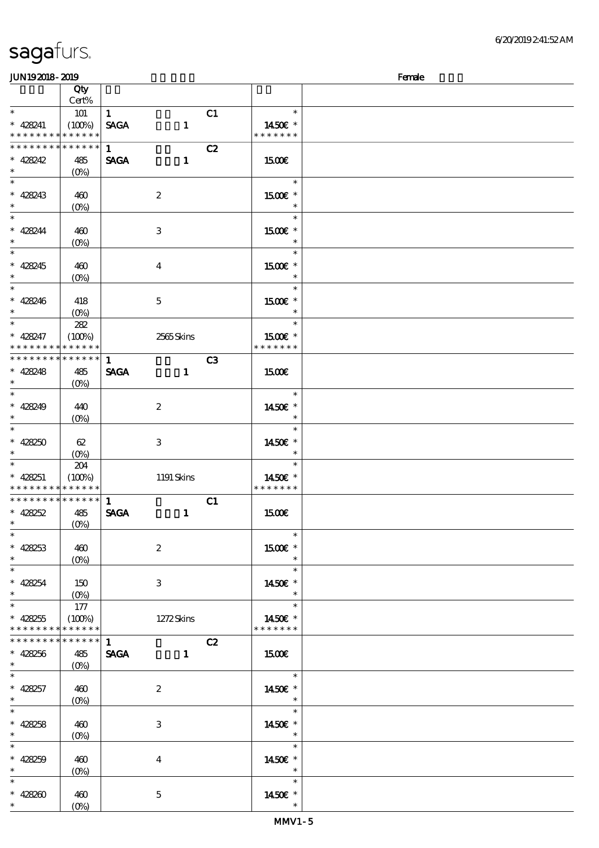| JUN192018-2019                |                                                   |              |                           |                |                          | Female |
|-------------------------------|---------------------------------------------------|--------------|---------------------------|----------------|--------------------------|--------|
|                               | Qty                                               |              |                           |                |                          |        |
|                               | Cert%                                             |              |                           |                |                          |        |
| $\ast$                        | 101                                               | $\mathbf{1}$ |                           | C1             | $\ast$                   |        |
| $* 428241$                    | (100%)                                            | <b>SAGA</b>  | $\mathbf{1}$              |                | 1450€ *                  |        |
| * * *                         | * * * * * * * * * * *                             |              |                           |                | * * * * * * *            |        |
| * * * * * * * *               | $******$                                          | $\mathbf{1}$ |                           | C2             |                          |        |
| $* 428242$                    | 485                                               | <b>SAGA</b>  | $\mathbf{1}$              |                | 1500€                    |        |
| $\ast$                        |                                                   |              |                           |                |                          |        |
| $\ast$                        |                                                   |              |                           |                | $\ast$                   |        |
| $* 428243$                    | 460                                               |              | $\boldsymbol{2}$          |                | 1500€ *                  |        |
| $\ast$                        | $(O\%)$                                           |              |                           |                | $\ast$                   |        |
| $\ast$                        |                                                   |              |                           |                | $\ast$                   |        |
| $* 428244$                    | 460                                               |              | $\ensuremath{\mathbf{3}}$ |                | 1500€ *                  |        |
| $\ast$                        | $(O\!\!\!\!\!\!\backslash\rho)$                   |              |                           |                | $\ast$                   |        |
| $\ast$                        |                                                   |              |                           |                | $\ast$                   |        |
|                               |                                                   |              |                           |                |                          |        |
| $* 428245$<br>$\ast$          | 460                                               |              | $\bf{4}$                  |                | 1500€ *<br>$\ast$        |        |
| $\ast$                        | $(0\%)$                                           |              |                           |                | $\ast$                   |        |
|                               |                                                   |              |                           |                |                          |        |
| $* 428246$                    | 418                                               |              | $\mathbf{5}$              |                | 1500€ *<br>$\ast$        |        |
| $\ast$                        | $(O\%)$                                           |              |                           |                |                          |        |
| $\ast$                        | 282                                               |              |                           |                | $\ast$                   |        |
| $* 428247$                    | (100%)                                            |              | 2565Skins                 |                | 1500€ *                  |        |
| * * * * *                     | * * * * * *                                       |              |                           |                | * * * * * * *            |        |
| * * * * * * * *               | * * * * * *                                       | $\mathbf{1}$ |                           | C <sub>3</sub> |                          |        |
| $* 428248$                    | 485                                               | <b>SAGA</b>  | $\mathbf{1}$              |                | 1500€                    |        |
| $\ast$                        | $(O\%)$                                           |              |                           |                |                          |        |
| $\ast$                        |                                                   |              |                           |                | $\ast$                   |        |
| $* 428249$                    | 440                                               |              | $\boldsymbol{2}$          |                | 1450€ *                  |        |
| $\ast$                        | $(O\%)$                                           |              |                           |                | $\ast$                   |        |
| $\ast$                        |                                                   |              |                           |                | $\ast$                   |        |
| $* 428250$                    | 62                                                |              | $\,3$                     |                | 1450€ *                  |        |
| $\ast$                        | $(O\!/\!\!\delta)$                                |              |                           |                | $\ast$                   |        |
| $\ast$                        | 204                                               |              |                           |                | $\ast$                   |        |
| $* 428251$                    | (100%)                                            |              | 1191 Skins                |                | 1450€ *                  |        |
| * * * * * * * * * * * * * *   |                                                   |              |                           |                | * * * * * * *            |        |
| * * * * * * * * * * * * * *   |                                                   | $\mathbf{1}$ |                           | C1             |                          |        |
| $* 428252$                    | 485                                               | <b>SAGA</b>  | $\mathbf{1}$              |                | <b>1500€</b>             |        |
|                               | $(0\%)$                                           |              |                           |                |                          |        |
| $\overline{\phantom{0}}$      |                                                   |              |                           |                | $\ast$                   |        |
| $* 428253$                    | 460                                               |              | $\boldsymbol{2}$          |                | 1500€ *                  |        |
| $\ast$                        | $(O\% )$                                          |              |                           |                | $\ast$                   |        |
| $\overline{\phantom{a}^*}$    |                                                   |              |                           |                | $\ast$<br>an T           |        |
| $* 428254$                    | 150                                               |              | 3                         |                | 1450E *                  |        |
| $\ast$                        |                                                   |              |                           |                | $\ast$                   |        |
| $\overline{\phantom{a}^*}$    | 177                                               |              |                           |                | $\ast$                   |        |
| $* 428255$                    | (100%)                                            |              | 1272Skins                 |                | 1450€ *                  |        |
| * * * * * * * *               | * * * * * *                                       |              |                           |                | * * * * * * *            |        |
| * * * * * * * * * * * * * * * |                                                   | 1            |                           | C2             |                          |        |
| $* 428256$                    |                                                   |              |                           |                |                          |        |
| $*$                           | 485                                               | <b>SAGA</b>  | $\mathbf{1}$              |                | 1500                     |        |
| $\overline{\phantom{0}}$      | $(O\!\!\!\!\!\!\!\backslash \!\!\!\!\!\backslash$ |              |                           |                | $\overline{\phantom{a}}$ |        |
|                               |                                                   |              |                           |                |                          |        |
| $* 428257$<br>$\ast$          | 460                                               |              | $\boldsymbol{2}$          |                | 1450€ *<br>$\ast$        |        |
| $\ast$                        | $(O\!/\!\!\delta)$                                |              |                           |                | $\ast$                   |        |
|                               |                                                   |              |                           |                |                          |        |
| $* 428258$<br>$\ast$          | 460                                               |              | 3                         |                | 1450€ *                  |        |
| $\overline{\phantom{0}}$      | $(O\% )$                                          |              |                           |                | $\ast$<br>$\ast$         |        |
|                               |                                                   |              |                           |                |                          |        |
| $* 428259$                    | 460                                               |              | $\bf{4}$                  |                | 1450€ *                  |        |
| $\ast$                        | $(O\% )$                                          |              |                           |                | $\ast$                   |        |
| $\ast$                        |                                                   |              |                           |                | $\ast$                   |        |
| $* 42820$                     | 460                                               |              | $\mathbf 5$               |                | 1450€ *                  |        |
| $\ast$                        | $(O\!/\!o)$                                       |              |                           |                | $\ast$                   |        |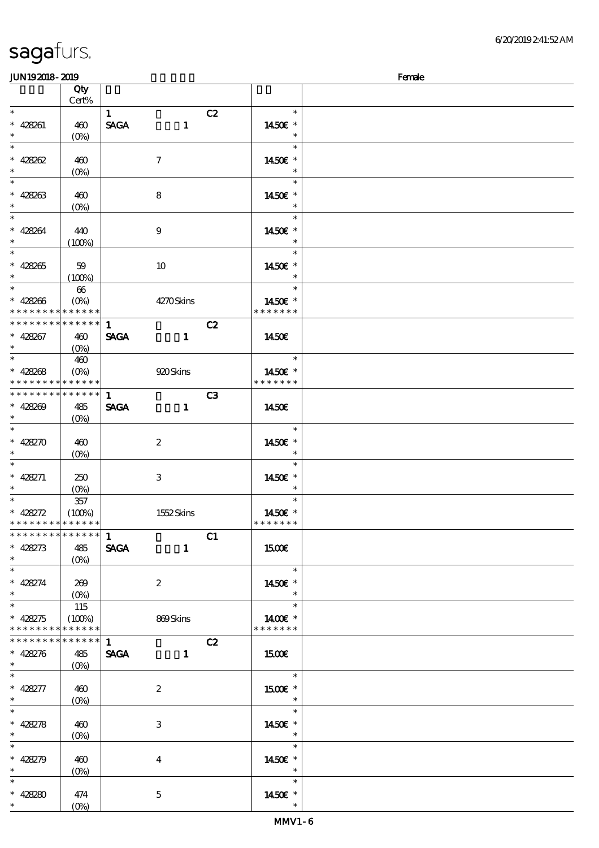| JUN192018-2019                             |                                                               |              |                  |                |                          | Female |
|--------------------------------------------|---------------------------------------------------------------|--------------|------------------|----------------|--------------------------|--------|
|                                            | Qty                                                           |              |                  |                |                          |        |
|                                            | Cert%                                                         |              |                  |                |                          |        |
| $\ast$                                     |                                                               | $\mathbf{1}$ |                  | C2             | $\ast$                   |        |
| $* 428261$                                 | 460                                                           | <b>SAGA</b>  | $\mathbf{1}$     |                | 1450€ *                  |        |
| $\ast$                                     |                                                               |              |                  |                | $\ast$                   |        |
| $\ast$                                     | $(O\%)$                                                       |              |                  |                | $\ast$                   |        |
|                                            |                                                               |              |                  |                |                          |        |
| $* 428262$                                 | 460                                                           |              | $\boldsymbol{7}$ |                | 1450€ *                  |        |
| $\ast$                                     | $(O\%)$                                                       |              |                  |                | $\ast$                   |        |
| $\overline{\phantom{a}^*}$                 |                                                               |              |                  |                | $\ast$                   |        |
| $* 428263$                                 | 460                                                           |              | 8                |                | 1450€ *                  |        |
| $\ast$                                     | $(O\%)$                                                       |              |                  |                | $\ast$                   |        |
| $_{*}$                                     |                                                               |              |                  |                | $\ast$                   |        |
| $* 428264$                                 | 440                                                           |              | $\boldsymbol{9}$ |                | 1450€ *                  |        |
| $\ast$                                     | (100%)                                                        |              |                  |                | $\ast$                   |        |
| $\overline{\phantom{0}}$                   |                                                               |              |                  |                | $\ast$                   |        |
| $* 428265$                                 |                                                               |              |                  |                |                          |        |
| $\ast$                                     | 59                                                            |              | $10\,$           |                | 1450€ *<br>$\ast$        |        |
| $\overline{\phantom{0}}$                   | (100%)                                                        |              |                  |                | $\ast$                   |        |
|                                            | $66\,$                                                        |              |                  |                |                          |        |
| $* 428266$                                 | $(O\%)$                                                       |              | 4270Skins        |                | 1450E *                  |        |
| * * * * * * * * * * * * * *                |                                                               |              |                  |                | * * * * * * *            |        |
| * * * * * * * * * * * * * *                |                                                               | $\mathbf{1}$ |                  | C2             |                          |        |
| $* 428267$                                 | 460                                                           | <b>SAGA</b>  | $\mathbf{1}$     |                | 1450€                    |        |
| $\ast$                                     | $(O\%)$                                                       |              |                  |                |                          |        |
| $\overline{\phantom{0}}$                   | 460                                                           |              |                  |                | $\ast$                   |        |
| $* 428268$                                 | $(O\%)$                                                       |              | 920 Skins        |                | 1450€ *                  |        |
| * * * * * * * * <mark>* * * * * * *</mark> |                                                               |              |                  |                | * * * * * * *            |        |
| * * * * * * * * * * * * * *                |                                                               |              |                  |                |                          |        |
|                                            |                                                               | $\mathbf{1}$ |                  | C <sub>3</sub> |                          |        |
| $* 428209$                                 | 485                                                           | <b>SAGA</b>  | $\mathbf{1}$     |                | 1450E                    |        |
| $\ast$                                     | $(O\% )$                                                      |              |                  |                |                          |        |
| $\ast$                                     |                                                               |              |                  |                | $\ast$                   |        |
| $* 428270$                                 | 460                                                           |              | $\boldsymbol{2}$ |                | 1450€ *                  |        |
| $\ast$                                     | $(O\%)$                                                       |              |                  |                | $\ast$                   |        |
| $\overline{\phantom{0}}$                   |                                                               |              |                  |                | $\ast$                   |        |
| $* 428271$                                 | 250                                                           |              | 3                |                | 1450€ *                  |        |
| $\ast$                                     | $(0\%)$                                                       |              |                  |                | $\ast$                   |        |
| $\overline{\phantom{1}}$                   | $357\,$                                                       |              |                  |                | $\ast$                   |        |
| $* 428272$                                 | (100%)                                                        |              | 1552Skins        |                | 1450E *                  |        |
| * * * * * * * * * * * * * *                |                                                               |              |                  |                | * * * * * * *            |        |
| ************** 1                           |                                                               |              |                  |                |                          |        |
|                                            |                                                               |              |                  | C1             |                          |        |
| $* 428273$                                 | 485                                                           | <b>SAGA</b>  | $\mathbf{1}$     |                | 1500E                    |        |
| $\ast$<br>$\overline{\phantom{0}}$         |                                                               |              |                  |                |                          |        |
|                                            |                                                               |              |                  |                | $\ast$                   |        |
| $* 428274$                                 | 269                                                           |              | $\boldsymbol{2}$ |                | 1450€ *                  |        |
| $\ast$                                     |                                                               |              |                  |                | $\ast$                   |        |
| $\overline{\ast}$                          | 115                                                           |              |                  |                | $\ast$                   |        |
| $* 428275$                                 | (100%)                                                        |              | 869Skins         |                | 1400€ *                  |        |
| * * * * * * * * * * * * * *                |                                                               |              |                  |                | * * * * * * *            |        |
| * * * * * * * * * * * * * * *              |                                                               | 1            |                  | C2             |                          |        |
| $* 428276$                                 | 485                                                           | SAGA 1       |                  |                | 1500€                    |        |
| $\ddot{\phantom{0}}$                       |                                                               |              |                  |                |                          |        |
| $\overline{\phantom{0}}$                   |                                                               |              |                  |                | $\overline{\phantom{a}}$ |        |
|                                            |                                                               |              |                  |                |                          |        |
| $* 428277$                                 | 460                                                           |              | $\boldsymbol{2}$ |                | 1500 £*                  |        |
| $*$                                        | $(O\!\!\!\!\!\!\!\backslash \textrm{O}\!\!\!\!\!\!\backslash$ |              |                  |                | $\overline{\phantom{a}}$ |        |
| $\overline{\ast}$                          |                                                               |              |                  |                | $\ast$                   |        |
| $* 428278$                                 | 460                                                           |              | 3                |                | 1450€ *                  |        |
| $\ast$                                     |                                                               |              |                  |                | $\overline{\phantom{a}}$ |        |
| $\ast$                                     |                                                               |              |                  |                | $\ast$                   |        |
| $* 428279$                                 | 460                                                           |              | 4                |                | 1450E *                  |        |
| $\ast$                                     |                                                               |              |                  |                | $\ast$                   |        |
| $\ast$                                     |                                                               |              |                  |                | $\ast$                   |        |
| $* 428280$                                 | 474                                                           |              | $\mathbf{5}$     |                | 1450€ *                  |        |
| $\ast$                                     | $(O\%)$                                                       |              |                  |                | $\ast$                   |        |
|                                            |                                                               |              |                  |                |                          |        |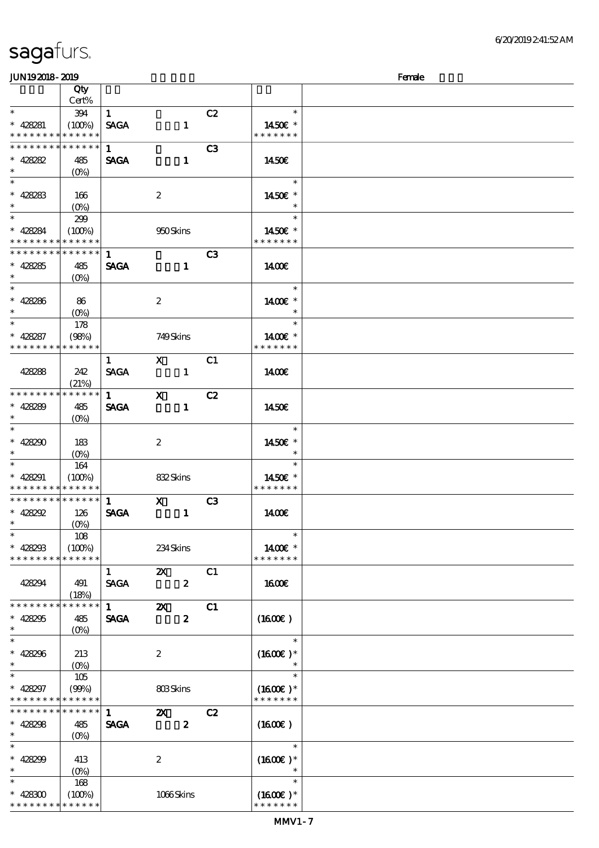| sagafurs. |  |
|-----------|--|
|           |  |

#### JUN192018-2019 - 2019 - 2019 - 2019 - 2019 - 2019 - 2019 - 2019 - 2019 - 2019 - 2019 - 2019 - 2019 - 2019 - 20

| ~~~~~~~                  |                    |                        |                           |                |               | ----- |
|--------------------------|--------------------|------------------------|---------------------------|----------------|---------------|-------|
|                          | Qty                |                        |                           |                |               |       |
|                          | Cert%              |                        |                           |                |               |       |
| $\overline{\ast}$        | 394                | $\mathbf{1}$           |                           | C2             | $\ast$        |       |
| $* 428281$               | (100%)             | <b>SAGA</b>            | $\mathbf{1}$              |                | 1450€ *       |       |
| * * * * * * * *          | * * * * * *        |                        |                           |                | * * * * * * * |       |
| * * * * * * *            | * * * * * *        | $\mathbf{1}$           |                           | C <sub>3</sub> |               |       |
| $* 428282$               | 485                | <b>SAGA</b>            | $\mathbf{1}$              |                | 1450€         |       |
| $\ast$                   |                    |                        |                           |                |               |       |
|                          | $(O\!/\!\!\delta)$ |                        |                           |                |               |       |
|                          |                    |                        |                           |                | $\ast$        |       |
| $* 428283$               | 166                |                        | $\boldsymbol{2}$          |                | 1450€ *       |       |
| $\ast$                   | $(0\%)$            |                        |                           |                |               |       |
| $*$                      | 299                |                        |                           |                | $\ast$        |       |
| $* 428284$               | (100%)             |                        | 950Skins                  |                | 1450€ *       |       |
| * * * * * * * *          | * * * * * *        |                        |                           |                | * * * * * * * |       |
| * * * * * * * *          | * * * * * *        |                        |                           |                |               |       |
|                          |                    | $\mathbf{1}$           |                           | C <sub>3</sub> |               |       |
| $* 428285$               | 485                | <b>SAGA</b>            | $\blacksquare$            |                | 1400€         |       |
| $\ast$                   | $(O\%)$            |                        |                           |                |               |       |
| $\ast$                   |                    |                        |                           |                | $\ast$        |       |
| $* 428286$               | 86                 |                        | $\boldsymbol{2}$          |                | 1400€ *       |       |
| $\ast$                   | $(0\%)$            |                        |                           |                | $\ast$        |       |
|                          |                    |                        |                           |                | $\ast$        |       |
|                          | 178                |                        |                           |                |               |       |
| $* 428287$               | (98%)              |                        | 749Skins                  |                | 1400€ *       |       |
| * * * * * * * *          | * * * * * *        |                        |                           |                | * * * * * * * |       |
|                          |                    | $\mathbf{1}$           | $\mathbf{x}$              | C1             |               |       |
| 428288                   | 242                | <b>SAGA</b>            | $\mathbf{1}$              |                | 1400€         |       |
|                          | (21%)              |                        |                           |                |               |       |
| * * * * * * * *          | * * * * * *        | $1 \quad \blacksquare$ | $\mathbf{x}$              | C2             |               |       |
|                          |                    |                        |                           |                |               |       |
| $* 428289$<br>$\ast$     | 485                | <b>SAGA</b>            | $\mathbf{1}$              |                | 1450€         |       |
| $\overline{\phantom{0}}$ | $(0\%)$            |                        |                           |                |               |       |
|                          |                    |                        |                           |                | $\ast$        |       |
| $* 428290$               | 183                |                        | $\boldsymbol{2}$          |                | 1450€ *       |       |
| $\ast$                   | $(0\%)$            |                        |                           |                | $\ast$        |       |
|                          | 164                |                        |                           |                | $\ast$        |       |
| $* 428291$               | (100%)             |                        | 832Skins                  |                | 1450E *       |       |
| * * * * *<br>* * *       | * * * * * *        |                        |                           |                | * * * * * * * |       |
| * * * * * * * *          | * * * * * *        | $\mathbf{1}$           |                           |                |               |       |
|                          |                    |                        | $\mathbf{x}$              | C3             |               |       |
| $* 428292$               | 126                | <b>SAGA</b>            | $\sim$ $-1$               |                | 1400E         |       |
| $\ast$                   | $(O\%)$            |                        |                           |                |               |       |
| $\ast$                   | 108                |                        |                           |                | $\ast$        |       |
| $* 428293$               | (100%)             |                        | 234Skins                  |                | 1400€ *       |       |
| * * * * * * * *          | * * * * * *        |                        |                           |                | * * * * * * * |       |
|                          |                    | $\mathbf{1}$           | $\boldsymbol{\mathsf{X}}$ | C1             |               |       |
| 428294                   | 491                | <b>SAGA</b>            | $\boldsymbol{z}$          |                | <b>160€</b>   |       |
|                          |                    |                        |                           |                |               |       |
|                          | (18%)              |                        |                           |                |               |       |
| * * * * * * *            | * * * * * *        | $\mathbf{1}$           | $\boldsymbol{\mathsf{z}}$ | C1             |               |       |
| $* 428295$               | 485                | <b>SAGA</b>            | $\boldsymbol{z}$          |                | (1600E)       |       |
| $\ast$                   | $(O\%)$            |                        |                           |                |               |       |
| $\ast$                   |                    |                        |                           |                | $\ast$        |       |
| $* 428296$               | 213                |                        | $\boldsymbol{2}$          |                | $(1600E)*$    |       |
| $\ast$                   | $(0\%)$            |                        |                           |                | $\ast$        |       |
| $\ast$                   | 105                |                        |                           |                | $\ast$        |       |
|                          |                    |                        |                           |                |               |       |
| $* 428297$               | (90%)              |                        | 803Skins                  |                | $(1600E)*$    |       |
| * * *                    | * * * * * *        |                        |                           |                | * * * * * * * |       |
| * * * * * * *            | * * * * * *        | $\mathbf{1}$           | $\boldsymbol{\mathsf{z}}$ | C2             |               |       |
| $* 428298$               | 485                | <b>SAGA</b>            | $\pmb{2}$                 |                | (1600)        |       |
| $\ast$                   | $(O\% )$           |                        |                           |                |               |       |
| $\ast$                   |                    |                        |                           |                | $\ast$        |       |
| $* 428299$               | 413                |                        | $\boldsymbol{2}$          |                | $(1600E)*$    |       |
| $\ast$                   |                    |                        |                           |                | $\ast$        |       |
|                          | $(O\%)$            |                        |                           |                |               |       |
| $\ast$                   | 168                |                        |                           |                | $\ast$        |       |
| $* 428300$               | (100%)             |                        | 1066Skins                 |                | $(1600E)*$    |       |
| * * * * * * * *          | * * * * * *        |                        |                           |                | * * * * * * * |       |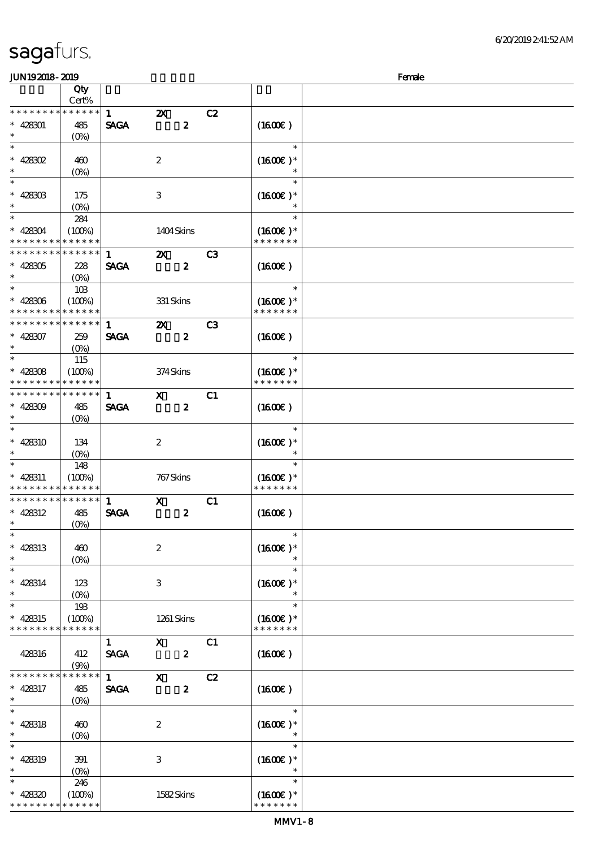| <b>JUN192018-2019</b> |                    |                        |                           |                  |                |                      | Female |
|-----------------------|--------------------|------------------------|---------------------------|------------------|----------------|----------------------|--------|
|                       | Qty                |                        |                           |                  |                |                      |        |
|                       | Cert%              |                        |                           |                  |                |                      |        |
| * * * * * * * *       | * * * * * *        | $\mathbf{1}$           | $\boldsymbol{\mathsf{z}}$ |                  | C2             |                      |        |
| $* 428301$            | 485                | <b>SAGA</b>            |                           | $\boldsymbol{z}$ |                | (1600)               |        |
| $\ast$                | $(O\!/\!\!\delta)$ |                        |                           |                  |                |                      |        |
| $\ast$                |                    |                        |                           |                  |                | $\ast$               |        |
| $*$ 428302            | 460                |                        | $\boldsymbol{2}$          |                  |                | $(1600E)*$           |        |
| $\ast$                |                    |                        |                           |                  |                | $\ast$               |        |
| $\overline{\ast}$     | $(O\%)$            |                        |                           |                  |                | $\ast$               |        |
|                       |                    |                        |                           |                  |                |                      |        |
| $* 42830B$<br>$\ast$  | 175                |                        | $\,3$                     |                  |                | $(1600E)*$           |        |
|                       | $(0\%)$            |                        |                           |                  |                |                      |        |
| $\overline{\ast}$     | 284                |                        |                           |                  |                | $\ast$               |        |
| $* 428304$            | (100%)             |                        | 1404Skins                 |                  |                | $(1600E)*$           |        |
| * * * * * * * *       | * * * * * *        |                        |                           |                  |                | * * * * * * *        |        |
| * * * * * * * *       | * * * * * *        | $\mathbf{1}$           | $\boldsymbol{\mathsf{z}}$ |                  | C <sub>3</sub> |                      |        |
| $* 428305$            | 228                | <b>SAGA</b>            |                           | $\boldsymbol{z}$ |                | (1600E)              |        |
| $\ast$                | $(O\!/\!o)$        |                        |                           |                  |                |                      |        |
| $\ast$                | 10B                |                        |                           |                  |                | $\ast$               |        |
| $* 428306$            | (100%)             |                        | 331 Skins                 |                  |                | $(1600E)*$           |        |
| * * * * * * * *       | * * * * * *        |                        |                           |                  |                | * * * * * * *        |        |
| * * * * * * * *       | * * * * * *        | $\mathbf{1}$           |                           |                  | C3             |                      |        |
|                       |                    |                        | $\boldsymbol{\mathsf{z}}$ |                  |                |                      |        |
| $* 428307$            | 259                | <b>SAGA</b>            |                           | $\boldsymbol{z}$ |                | (1600)               |        |
| $\ast$                | $(O_0)$            |                        |                           |                  |                |                      |        |
| $\ast$                | 115                |                        |                           |                  |                | $\ast$               |        |
| $* 428308$            | (100%)             |                        | 374Skins                  |                  |                | $(1600E)*$           |        |
| * * * * * * *         | * * * * * *        |                        |                           |                  |                | * * * * * * *        |        |
| * * * * * * * *       | * * * * * *        | $\mathbf{1}$           | $\mathbf{x}$              |                  | C1             |                      |        |
| $* 428309$            | 485                | <b>SAGA</b>            |                           | $\boldsymbol{z}$ |                | (1600)               |        |
| $\ast$                | $(0\%)$            |                        |                           |                  |                |                      |        |
| $\ast$                |                    |                        |                           |                  |                | $\ast$               |        |
| * 428310              | 134                |                        | $\boldsymbol{2}$          |                  |                | $(1600E)*$           |        |
| $\ast$                | $(O\%)$            |                        |                           |                  |                | $\ast$               |        |
| $\ast$                |                    |                        |                           |                  |                | $\ast$               |        |
|                       | 148                |                        |                           |                  |                |                      |        |
| $* 428311$            | (100%)             |                        | 767 Skins                 |                  |                | $(1600E)*$           |        |
| * * * * * * * *       | * * * * * *        |                        |                           |                  |                | * * * * * * *        |        |
| * * * * * * * *       | * * * * * *        | $\mathbf{1}$           | $\mathbf x$               |                  | C1             |                      |        |
| $* 428312$            | 485                | <b>SAGA</b>            |                           | $\boldsymbol{2}$ |                | $(1600\varepsilon)$  |        |
| $*$                   | (0%)               |                        |                           |                  |                |                      |        |
| $\ast$                |                    |                        |                           |                  |                | $\ast$               |        |
| $* 428313$            | 460                |                        | $\boldsymbol{2}$          |                  |                | $(1600E)*$           |        |
| $\ast$                | $(O\%)$            |                        |                           |                  |                |                      |        |
| $\ast$                |                    |                        |                           |                  |                | $\ast$               |        |
| $* 428314$            | 123                |                        | 3                         |                  |                | $(1600E)*$           |        |
| $\ast$                | $(O\!/\!\!\delta)$ |                        |                           |                  |                |                      |        |
| $\ast$                |                    |                        |                           |                  |                | $\ast$               |        |
|                       | 193                |                        |                           |                  |                |                      |        |
| $* 428315$            | (100%)             |                        | 1261 Skins                |                  |                | $(1600E)*$           |        |
| * * * * * * * *       | * * * * * *        |                        |                           |                  |                | * * * * * * *        |        |
|                       |                    | $\mathbf{1}$           | $\mathbf{x}$              |                  | C1             |                      |        |
| 428316                | 412                | <b>SAGA</b>            |                           | $\boldsymbol{z}$ |                | $(1600\varepsilon)$  |        |
|                       | (9%)               |                        |                           |                  |                |                      |        |
| * * * * * * *         | * * * * * *        | $1 \quad \blacksquare$ | $\mathbf{x}$              |                  | C2             |                      |        |
| * 428317              | 485                | <b>SAGA</b>            |                           | $\boldsymbol{z}$ |                | $(1600\varepsilon)$  |        |
| $\ast$                | $(O\%)$            |                        |                           |                  |                |                      |        |
| $\ast$                |                    |                        |                           |                  |                | $\ast$               |        |
| $* 428318$            | 460                |                        | $\boldsymbol{2}$          |                  |                | $(1600E)*$           |        |
| $\ast$                | $(O\%)$            |                        |                           |                  |                |                      |        |
| $\ast$                |                    |                        |                           |                  |                | $\ast$               |        |
|                       |                    |                        |                           |                  |                |                      |        |
| * 428319              | 391                |                        | $\,3$                     |                  |                | $(1600E)*$<br>$\ast$ |        |
| $\ast$                | $(O\%)$            |                        |                           |                  |                |                      |        |
| $\ast$                | 246                |                        |                           |                  |                | $\ast$               |        |
| $* 428320$            | (100%)             |                        | 1582Skins                 |                  |                | $(1600\text{E})$ *   |        |
| * * * * * * * *       | * * * * * *        |                        |                           |                  |                | * * * * * * *        |        |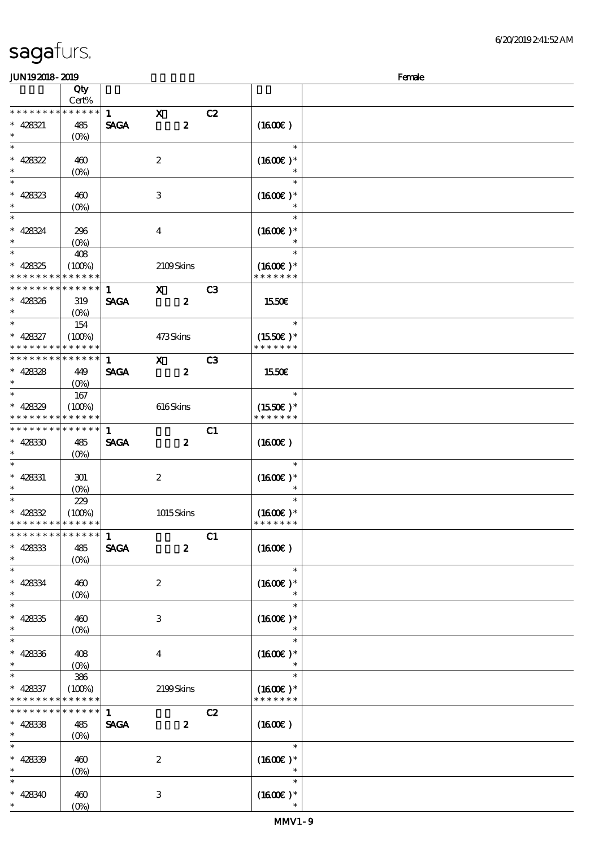### JUNI9 2018 - 2019 - 2019 - 2019 - 2019 - 2019 - 2019 - 2019 - 2019 - 2019 - 2019 - 2019 - 2019 - 2019 - 2019 -

| www.www                                    |                 |              |                  |                |               |  |
|--------------------------------------------|-----------------|--------------|------------------|----------------|---------------|--|
|                                            | Qty             |              |                  |                |               |  |
|                                            | Cert%           |              |                  |                |               |  |
| * * * * * * * *                            | * * * * * *     | $\mathbf{1}$ | $\mathbf{x}$     | C2             |               |  |
| $* 428321$                                 | 485             | <b>SAGA</b>  | $\boldsymbol{z}$ |                | (1600)        |  |
| $\ast$                                     | $(O_0)$         |              |                  |                |               |  |
| $\overline{\ast}$                          |                 |              |                  |                | $\ast$        |  |
| $* 428322$                                 | 460             |              | $\boldsymbol{2}$ |                | $(1600E)*$    |  |
| $\ast$                                     |                 |              |                  |                |               |  |
|                                            | $(O\%)$         |              |                  |                | $\ast$        |  |
| $\overline{\ast}$                          |                 |              |                  |                | $\ast$        |  |
| $* 428323$                                 | 460             |              | 3                |                | $(1600E)*$    |  |
| $\ast$                                     | $(O\%)$         |              |                  |                |               |  |
| $\ast$                                     |                 |              |                  |                | $\ast$        |  |
| $* 428324$                                 | 296             |              | $\bf{4}$         |                | $(1600E)*$    |  |
| $\ast$                                     |                 |              |                  |                |               |  |
| $\overline{\phantom{0}}$                   | $(0\%)$         |              |                  |                |               |  |
|                                            | 408             |              |                  |                | $\ast$        |  |
| $* 428325$                                 | (100%)          |              | 2109Skins        |                | $(1600E)*$    |  |
| * * * * * * * *                            | * * * * * *     |              |                  |                | * * * * * * * |  |
| * * * * * * * *                            | * * * * * *     | $\mathbf{1}$ | $\mathbf{x}$     | C3             |               |  |
| $* 428326$                                 | 319             | <b>SAGA</b>  | $\boldsymbol{z}$ |                | 1550€         |  |
| $\ast$                                     |                 |              |                  |                |               |  |
| $\overline{\ast}$                          | $(0\%)$         |              |                  |                |               |  |
|                                            | 154             |              |                  |                | $\ast$        |  |
| $* 428327$                                 | (100%)          |              | 473Skins         |                | $(1550E)*$    |  |
| * * * * * * * *                            | * * * * * *     |              |                  |                | * * * * * * * |  |
| * * * * * * * * * * * * * *                |                 | $\mathbf{1}$ | $\mathbf{x}$     | C <sub>3</sub> |               |  |
| $* 428328$                                 | 449             | <b>SAGA</b>  | $\boldsymbol{z}$ |                | 1550€         |  |
| $\ast$                                     |                 |              |                  |                |               |  |
|                                            | (0%)            |              |                  |                | $\ast$        |  |
|                                            | 167             |              |                  |                |               |  |
| $* 428329$                                 | (100%)          |              | 616Skins         |                | $(1550E)*$    |  |
| * * * * * * * *                            | * * * * * *     |              |                  |                | * * * * * * * |  |
| * * * * * * * *                            | $* * * * * * *$ | $\mathbf{1}$ |                  | C1             |               |  |
| $* 42830$                                  | 485             | <b>SAGA</b>  | $\boldsymbol{z}$ |                | (1600)        |  |
| $\ast$                                     |                 |              |                  |                |               |  |
| $\overline{\phantom{0}}$                   | $(0\%)$         |              |                  |                | $\ast$        |  |
|                                            |                 |              |                  |                |               |  |
| $* 428331$                                 | 301             |              | $\boldsymbol{z}$ |                | $(1600E)*$    |  |
| $\ast$                                     | $(O\%)$         |              |                  |                | $\ast$        |  |
| $\ast$                                     | 229             |              |                  |                | $\ast$        |  |
| $* 42832$                                  | (100%)          |              | 1015Skins        |                | $(1600E)*$    |  |
| * * * * * * * *                            | * * * * * *     |              |                  |                | * * * * * * * |  |
| * * * * * * * * <mark>* * * * * * *</mark> |                 | $\mathbf{1}$ |                  | C1             |               |  |
|                                            |                 |              |                  |                |               |  |
| 428333<br>$\ast$                           | 485             | <b>SAGA</b>  | $\boldsymbol{z}$ |                | (1600E)       |  |
| $\ast$                                     | $(O\%)$         |              |                  |                |               |  |
| $\ast$                                     |                 |              |                  |                | $\ast$        |  |
| $* 428334$                                 | 460             |              | $\boldsymbol{2}$ |                | $(1600E)*$    |  |
| $\ast$                                     | $(O\%)$         |              |                  |                | $\ast$        |  |
| $\ast$                                     |                 |              |                  |                | $\ast$        |  |
|                                            |                 |              |                  |                |               |  |
| $* 428335$                                 | 460             |              | $\,3$            |                | $(1600E)*$    |  |
| $\ast$                                     | $(O\%)$         |              |                  |                | $\ast$        |  |
| $\ast$                                     |                 |              |                  |                | $\ast$        |  |
| $* 428336$                                 | 408             |              | $\boldsymbol{4}$ |                | $(1600E)*$    |  |
| $\ast$                                     | $(0\%)$         |              |                  |                |               |  |
| $\ast$                                     | 386             |              |                  |                | $\ast$        |  |
|                                            |                 |              |                  |                |               |  |
| $* 428337$                                 | (100%)          |              | 2199Skins        |                | $(1600E)*$    |  |
| * * *<br>* * *                             | * * * * * *     |              |                  |                | * * * * * * * |  |
| * * * * * * * *                            | * * * * * *     | $\mathbf{1}$ |                  | C2             |               |  |
| $* 42838$                                  | 485             | <b>SAGA</b>  | $\boldsymbol{z}$ |                | (1600)        |  |
| $\ast$                                     | $(O\%)$         |              |                  |                |               |  |
| $\ast$                                     |                 |              |                  |                | $\ast$        |  |
|                                            |                 |              |                  |                |               |  |
| $* 42839$                                  | 460             |              | $\boldsymbol{2}$ |                | $(1600E)*$    |  |
| $\ast$                                     | $(0\%)$         |              |                  |                | $\ast$        |  |
| $\ast$                                     |                 |              |                  |                | $\ast$        |  |
| $* 428340$                                 | 460             |              | $\,3$            |                | $(1600E)*$    |  |
| $\ast$                                     | $(0\%)$         |              |                  |                | $\ast$        |  |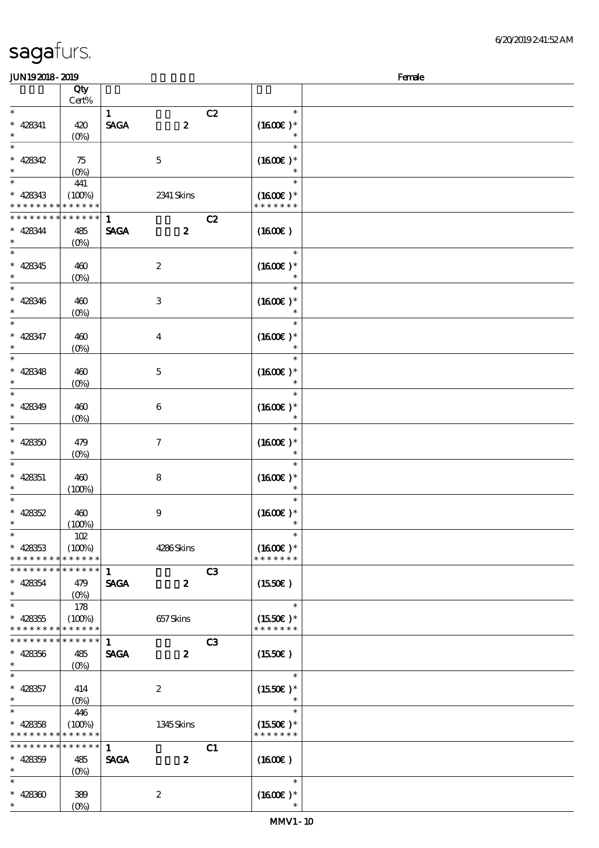| JUN192018-2019              |                   |                                 |                |                     | Female |
|-----------------------------|-------------------|---------------------------------|----------------|---------------------|--------|
|                             | Qty               |                                 |                |                     |        |
|                             | Cert%             |                                 |                |                     |        |
| $\ast$                      |                   | $\mathbf{1}$                    | C2             | $\ast$              |        |
| $* 428341$                  |                   | <b>SAGA</b><br>$\boldsymbol{z}$ |                | $(1600E)*$          |        |
| $\ast$                      | 420               |                                 |                |                     |        |
|                             | (O <sub>0</sub> ) |                                 |                |                     |        |
| $\ast$                      |                   |                                 |                | $\ast$              |        |
| $* 428342$                  | 75                | $\mathbf 5$                     |                | $(1600E)*$          |        |
|                             | (O <sub>0</sub> ) |                                 |                |                     |        |
| $\ast$                      | 441               |                                 |                | $\ast$              |        |
| $* 428343$                  | (100%)            | 2341 Skins                      |                | $(1600E)*$          |        |
| * * * *                     | * * * * * *       |                                 |                | * * * * * * *       |        |
|                             | * * * * * *       |                                 |                |                     |        |
| * * * * *                   |                   | $\mathbf{1}$                    | C2             |                     |        |
| $* 428344$                  | 485               | <b>SAGA</b><br>$\boldsymbol{2}$ |                | (1600)              |        |
| $\ast$                      | (O <sub>0</sub> ) |                                 |                |                     |        |
| $\ast$                      |                   |                                 |                | $\ast$              |        |
| $\ast$<br>428345            | 460               | $\boldsymbol{2}$                |                | $(1600E)*$          |        |
| $\ast$                      | $(0\%)$           |                                 |                | $\ast$              |        |
| $\ast$                      |                   |                                 |                | $\ast$              |        |
|                             |                   |                                 |                |                     |        |
| $\ast$<br>428346            | 460               | $\,3\,$                         |                | $(1600E)*$          |        |
| $\ast$                      | (O <sub>0</sub> ) |                                 |                |                     |        |
| $\ast$                      |                   |                                 |                | $\ast$              |        |
| $\ast$<br>428347            | 460               | $\boldsymbol{4}$                |                | $(1600E)*$          |        |
| $\ast$                      | (O <sub>0</sub> ) |                                 |                |                     |        |
| $\ast$                      |                   |                                 |                | $\ast$              |        |
|                             |                   |                                 |                |                     |        |
| $\ast$<br>428348            | 460               | $\mathbf 5$                     |                | $(1600E)*$          |        |
|                             | (O <sub>0</sub> ) |                                 |                |                     |        |
| $\ast$                      |                   |                                 |                | $\ast$              |        |
| $* 428349$                  | 460               | $\boldsymbol{6}$                |                | $(1600E)*$          |        |
|                             | (O <sub>0</sub> ) |                                 |                | $\ast$              |        |
| $\ast$                      |                   |                                 |                | $\ast$              |        |
| $* 42830$                   |                   | $\boldsymbol{\tau}$             |                |                     |        |
|                             | 479               |                                 |                | $(1600E)*$          |        |
| ∗                           | $(O\%)$           |                                 |                | $\ast$              |        |
| $\ast$                      |                   |                                 |                | *                   |        |
| $\ast$<br>428351            | 460               | 8                               |                | $(1600E)*$          |        |
| $\ast$                      | (100%)            |                                 |                | $\ast$              |        |
| $\ast$                      |                   |                                 |                | $\ast$              |        |
| $* 428352$                  | 460               | $\boldsymbol{9}$                |                | $(1600E)*$          |        |
| $\ast$                      | (100%)            |                                 |                |                     |        |
| $\overline{\phantom{0}}$    | 102               |                                 |                | $\ast$              |        |
|                             |                   |                                 |                |                     |        |
| $* 428353$                  | (100%)            | 4286Skins                       |                | $(1600E)*$          |        |
| * * * * * * * * * * * * * * |                   |                                 |                | * * * * * * *       |        |
| * * * * * * * *             | * * * * * *       | $\mathbf{1}$                    | C3             |                     |        |
| $* 428354$                  | 479               | <b>SAGA</b><br>$\boldsymbol{z}$ |                | $(1550\varepsilon)$ |        |
| $\ast$                      | $(O\%)$           |                                 |                |                     |        |
| $\ast$                      | 178               |                                 |                | $\ast$              |        |
|                             |                   |                                 |                |                     |        |
| $* 428355$                  | (100%)            | 657Skins                        |                | $(1550E)*$          |        |
| * * * * * * * *             | * * * * * *       |                                 |                | * * * * * * *       |        |
| * * * * * * * *             | * * * * * *       | $\mathbf{1}$                    | C <sub>3</sub> |                     |        |
| $* 428356$                  | 485               | <b>SAGA</b><br>$\boldsymbol{z}$ |                | (1550E)             |        |
| $\ast$                      | $(O\%)$           |                                 |                |                     |        |
| $\ast$                      |                   |                                 |                | $\ast$              |        |
| $* 428357$                  | 414               | $\boldsymbol{z}$                |                | $(1550E)*$          |        |
| $\ast$                      |                   |                                 |                | $\ast$              |        |
|                             | $(O\%)$           |                                 |                |                     |        |
| $\ast$                      | 446               |                                 |                | $\ast$              |        |
| $* 428358$                  | (100%)            | 1345Skins                       |                | $(1550E)^*$         |        |
| * * * * * * * *             | * * * * * *       |                                 |                | * * * * * * *       |        |
| * * * * * * * *             | * * * * * *       | $\mathbf{1}$                    | C1             |                     |        |
| $* 428359$                  | 485               | <b>SAGA</b><br>$\boldsymbol{z}$ |                | (1600E)             |        |
| $\ast$                      | $(O\%)$           |                                 |                |                     |        |
| $\ast$                      |                   |                                 |                | $\ast$              |        |
|                             |                   |                                 |                |                     |        |
| $* 42830$                   | 389               | $\boldsymbol{2}$                |                | $(1600E)*$          |        |
| $\ast$                      | (O <sub>0</sub> ) |                                 |                |                     |        |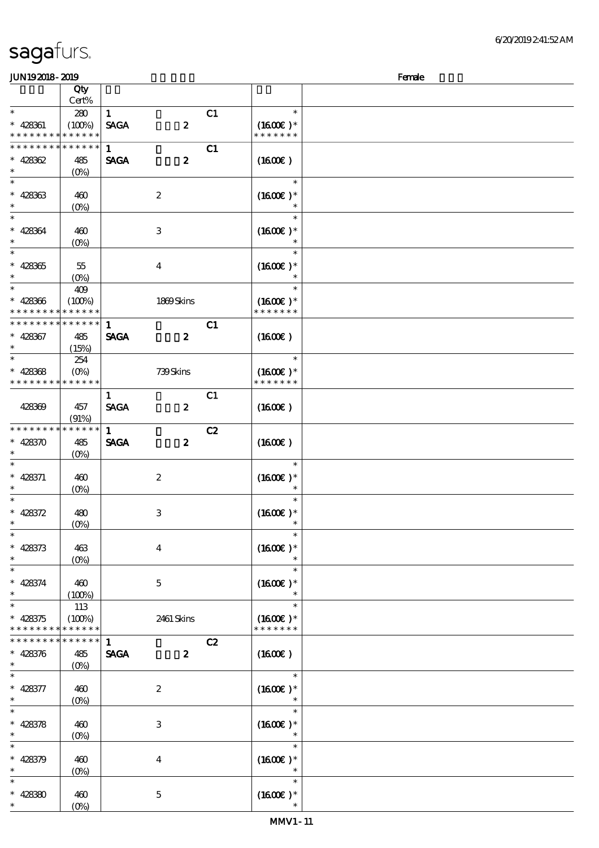| JUN192018-2019                           |                                                   |              |                  |    | Female                      |  |  |  |
|------------------------------------------|---------------------------------------------------|--------------|------------------|----|-----------------------------|--|--|--|
|                                          | Qty<br>Cert%                                      |              |                  |    |                             |  |  |  |
| $\ast$                                   |                                                   |              |                  |    | $\ast$                      |  |  |  |
|                                          | 280                                               | $\mathbf{1}$ |                  | C1 |                             |  |  |  |
| $* 428361$<br>* * *                      | (100%)<br>* * * * * * * * * * *                   | <b>SAGA</b>  | $\pmb{2}$        |    | $(1600E)*$<br>* * * * * * * |  |  |  |
|                                          |                                                   |              |                  |    |                             |  |  |  |
| * * * * * * * *                          | $* * * * * * *$                                   | $\mathbf{1}$ |                  | C1 |                             |  |  |  |
| $* 428362$                               | 485                                               | <b>SAGA</b>  | $\pmb{2}$        |    | $(1600\varepsilon)$         |  |  |  |
| $\ast$                                   | $(0\%)$                                           |              |                  |    |                             |  |  |  |
| $\ast$                                   |                                                   |              |                  |    | $\ast$                      |  |  |  |
| $* 428363$                               | 460                                               |              | $\boldsymbol{2}$ |    | $(1600E)*$                  |  |  |  |
| $\ast$                                   | $(O\%)$                                           |              |                  |    | $\ast$                      |  |  |  |
| $\ast$                                   |                                                   |              |                  |    | $\ast$                      |  |  |  |
| $* 428364$                               | 460                                               |              | $\,3\,$          |    | $(1600E)*$                  |  |  |  |
| $\ast$                                   | $(O\!\!\!\!\!\!\backslash\rho)$                   |              |                  |    |                             |  |  |  |
| $\ast$                                   |                                                   |              |                  |    | $\ast$                      |  |  |  |
| $* 428365$                               | 55                                                |              | $\boldsymbol{4}$ |    | $(1600E)*$                  |  |  |  |
| $\ast$                                   | $(O\%)$                                           |              |                  |    |                             |  |  |  |
| $\ast$                                   | 409                                               |              |                  |    | $\ast$                      |  |  |  |
| $* 428366$                               | (100%)                                            |              | 1869Skins        |    | $(1600E)*$                  |  |  |  |
| * * * * * * * * <mark>* * * * * *</mark> |                                                   |              |                  |    | * * * * * * *               |  |  |  |
| * * * * * * * * * * * * * * *            |                                                   | $\mathbf{1}$ |                  | C1 |                             |  |  |  |
| $* 428367$                               | 485                                               | <b>SAGA</b>  | $\boldsymbol{z}$ |    | (1600)                      |  |  |  |
|                                          | (15%)                                             |              |                  |    |                             |  |  |  |
| $\ast$                                   | 254                                               |              |                  |    | $\ast$                      |  |  |  |
| $* 428368$                               | $(O\%)$                                           |              | 739Skins         |    | $(1600E)*$                  |  |  |  |
| * * * * * * * * <mark>* * * * * *</mark> |                                                   |              |                  |    | * * * * * * *               |  |  |  |
|                                          |                                                   | $\mathbf{1}$ |                  | C1 |                             |  |  |  |
| 428369                                   | 457                                               | <b>SAGA</b>  | $\boldsymbol{z}$ |    | $(1600\varepsilon)$         |  |  |  |
|                                          | (91%)                                             |              |                  |    |                             |  |  |  |
| * * * * * * * * * * * * * *              |                                                   | $\mathbf{1}$ |                  | C2 |                             |  |  |  |
| $* 428370$                               | 485                                               | <b>SAGA</b>  | $\boldsymbol{z}$ |    | $(1600\varepsilon)$         |  |  |  |
| $\ast$                                   | $(O\%)$                                           |              |                  |    |                             |  |  |  |
| $\ast$                                   |                                                   |              |                  |    | $\ast$                      |  |  |  |
| $* 428371$                               | 460                                               |              | $\boldsymbol{2}$ |    | $(1600E)*$                  |  |  |  |
| $\ast$                                   | $(O\%)$                                           |              |                  |    |                             |  |  |  |
| $\ast$                                   |                                                   |              |                  |    | $\ast$                      |  |  |  |
| $* 428372$                               | 480                                               |              | $\,3$            |    | $(1600E)*$                  |  |  |  |
|                                          | $(0\%)$                                           |              |                  |    |                             |  |  |  |
| $\ast$                                   |                                                   |              |                  |    |                             |  |  |  |
| $* 428373$                               | 463                                               |              | $\bf{4}$         |    | $(1600E)*$                  |  |  |  |
| $\ast$                                   |                                                   |              |                  |    | $\ast$                      |  |  |  |
| $\ast$                                   | $(O\% )$                                          |              |                  |    | $\ast$                      |  |  |  |
|                                          |                                                   |              |                  |    |                             |  |  |  |
| $* 428374$<br>$\ast$                     | 460                                               |              | $\mathbf{5}$     |    | $(1600E)*$<br>$\ast$        |  |  |  |
| $\ast$                                   | (100%)                                            |              |                  |    | $\ast$                      |  |  |  |
|                                          | 113                                               |              |                  |    |                             |  |  |  |
| $* 428375$<br>* * * * * * * *            | (100%)<br>* * * * * *                             |              | 2461 Skins       |    | $(1600E)*$<br>* * * * * * * |  |  |  |
| * * * * * * * *                          | $* * * * * * *$                                   | $\mathbf{1}$ |                  |    |                             |  |  |  |
|                                          |                                                   |              |                  | C2 |                             |  |  |  |
| $* 428376$                               | 485                                               | <b>SAGA</b>  | $\boldsymbol{z}$ |    | (1600E)                     |  |  |  |
| $\ast$<br>$\ast$                         | $(O\% )$                                          |              |                  |    |                             |  |  |  |
|                                          |                                                   |              |                  |    | $\ast$                      |  |  |  |
| $* 428377$                               | 460                                               |              | $\boldsymbol{2}$ |    | $(1600E)*$                  |  |  |  |
| $\ast$                                   | $(O\!\!\!\!\!\!\!\backslash \!\!\!\!\!\backslash$ |              |                  |    |                             |  |  |  |
| $\ast$                                   |                                                   |              |                  |    | $\ast$                      |  |  |  |
| $* 428378$                               | 460                                               |              | 3                |    | $(1600E)*$                  |  |  |  |
| $\ast$                                   | $(O\!/\!o)$                                       |              |                  |    |                             |  |  |  |
| $\ast$                                   |                                                   |              |                  |    | $\ast$                      |  |  |  |
| $* 428379$                               | 460                                               |              | $\bf{4}$         |    | $(1600E)*$                  |  |  |  |
| $\ast$                                   | $(0\%)$                                           |              |                  |    | $\ast$                      |  |  |  |
| $\ast$                                   |                                                   |              |                  |    | $\ast$                      |  |  |  |
| $* 428380$                               | 460                                               |              | $\mathbf 5$      |    | $(1600E)*$                  |  |  |  |
| $\ast$                                   | $(0\%)$                                           |              |                  |    | $\ast$                      |  |  |  |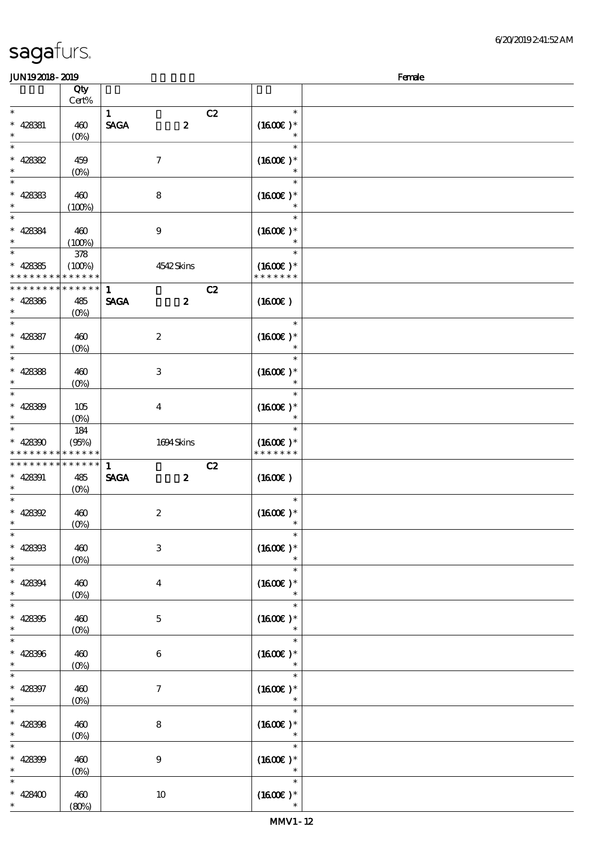| <b>JUN192018-2019</b> |             |                                       |                      | Female |
|-----------------------|-------------|---------------------------------------|----------------------|--------|
|                       | Qty         |                                       |                      |        |
| $\ast$                | Cert%       | $\mathbf{1}$                          | $\ast$               |        |
| $* 428381$            | 460         | C2<br><b>SAGA</b><br>$\boldsymbol{z}$ | $(1600E)*$           |        |
| $\ast$                |             |                                       | $\ast$               |        |
| $\ast$                | $(0\%)$     |                                       | $\ast$               |        |
|                       |             |                                       |                      |        |
| $* 42882$             | 459         | $\boldsymbol{7}$                      | $(1600E)*$<br>$\ast$ |        |
| $\ast$                | $(0\%)$     |                                       | $\ast$               |        |
|                       |             |                                       |                      |        |
| $* 42833$<br>$\ast$   | 460         | ${\bf 8}$                             | $(1600E)*$<br>$\ast$ |        |
| $\ast$                | (100%)      |                                       | $\ast$               |        |
|                       |             |                                       |                      |        |
| $* 428384$            | 460         | $\boldsymbol{9}$                      | $(1600E)*$           |        |
| $\ast$                | (100%)      |                                       | $\ast$               |        |
| $\ast$                | 378         |                                       | $\ast$               |        |
| $* 42835$             | (100%)      | 4542Skins                             | $(1600E)*$           |        |
| * * * * *             | * * * * * * |                                       | * * * * * * *        |        |
| * * * *<br>* * *      | * * * * * * | C2<br>$\mathbf{1}$                    |                      |        |
| $* 428386$            | 485         | <b>SAGA</b><br>$\boldsymbol{z}$       | (1600E)              |        |
| $\ast$                | $(O_0)$     |                                       |                      |        |
| $\ast$                |             |                                       | $\ast$               |        |
| $* 428387$            | 460         | $\boldsymbol{2}$                      | $(1600E)*$           |        |
| $\ast$                | $(O_0)$     |                                       | $\ast$               |        |
| $\ast$                |             |                                       | $\ast$               |        |
| $* 428388$            | 460         | $\,3$                                 | $(1600E)*$           |        |
|                       | $(0\%)$     |                                       | $\ast$               |        |
| $\ast$                |             |                                       | $\ast$               |        |
| $* 42830$             | 105         | $\boldsymbol{4}$                      | $(1600E)*$           |        |
| $\ast$                | $(O\%)$     |                                       | $\ast$               |        |
| $\ast$                | 184         |                                       | $\ast$               |        |
| $* 428300$            | (95%)       | 1694Skins                             | $(1600E)*$           |        |
| * * * * *             | * * * * * * |                                       | * * * * * * *        |        |
| * * * * * * * *       | * * * * * * | $\mathbf{1}$<br>C2                    |                      |        |
| $* 428391$            | 485         | <b>SAGA</b><br>$\boldsymbol{z}$       | (1600)               |        |
| $\ast$                | $(O\%)$     |                                       |                      |        |
| $\ast$                |             |                                       | $\ast$               |        |
| $* 428392$            | 460         | $\boldsymbol{2}$                      | $(1600E)*$           |        |
|                       | $(O_0)$     |                                       |                      |        |
| $\ast$                |             |                                       | $\ast$               |        |
| $* 428303$            | 460         | $\ensuremath{\mathbf{3}}$             | $(1600)$ *           |        |
| $\ast$                | (0%         |                                       |                      |        |
| $\overline{\ast}$     |             |                                       | $\ast$               |        |
| $* 428394$            | 460         | $\bf{4}$                              | $(1600E)*$           |        |
|                       | $(0\%)$     |                                       | $\ast$               |        |
| $\ast$                |             |                                       | $\ast$               |        |
| $* 428305$            | 460         | $\mathbf 5$                           | $(1600E)*$           |        |
| $\ast$                | (0%         |                                       | $\ast$               |        |
| $\ast$                |             |                                       | $\ast$               |        |
| $* 428306$            | 460         | $\bf 6$                               | $(1600E)*$           |        |
| $\ast$                | $(0\%)$     |                                       | $\ast$               |        |
| $\overline{\ast}$     |             |                                       | $\ast$               |        |
| $* 428397$            | 460         | $\tau$                                | $(1600E)*$           |        |
| $\ast$                | $(0\%)$     |                                       | $\ast$               |        |
| $\ast$                |             |                                       | $\ast$               |        |
| * $428308$            | 460         | 8                                     | $(1600)$ *           |        |
| $\ast$                | $(0\%)$     |                                       | $\ast$               |        |
| $\ast$                |             |                                       | $\ast$               |        |
| * $428309$            | 460         | $\boldsymbol{9}$                      | $(1600E)*$           |        |
| $\ast$                | (0%         |                                       | $\ast$               |        |
| $\ast$                |             |                                       | $\ast$               |        |
| $* 428400$            | 460         | $10\,$                                | $(1600\varepsilon)*$ |        |
| $*$                   | (80%)       |                                       |                      |        |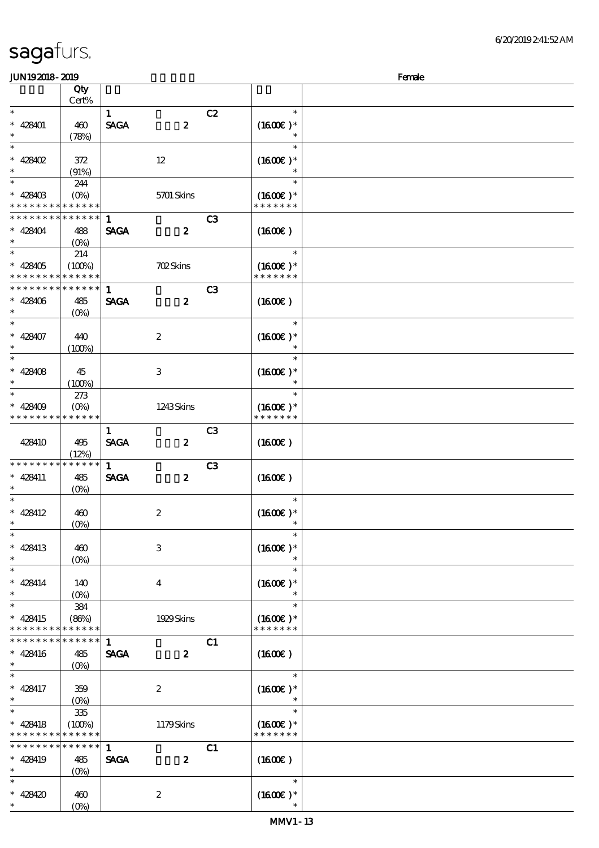| <b>JUN192018-2019</b>          |                   |              |                   |    |                   | Female |
|--------------------------------|-------------------|--------------|-------------------|----|-------------------|--------|
|                                | Qty               |              |                   |    |                   |        |
|                                | Cert%             |              |                   |    |                   |        |
| $\ast$                         |                   | $\mathbf{1}$ |                   | C2 | $\ast$            |        |
| $* 428401$                     | 460               | <b>SAGA</b>  | $\boldsymbol{z}$  |    | $(1600E)*$        |        |
| $\ast$                         | (78%)             |              |                   |    |                   |        |
| $\ast$                         |                   |              |                   |    | $\ast$            |        |
| $* 428402$                     |                   |              | $12\,$            |    | $(1600E)*$        |        |
|                                | 372               |              |                   |    |                   |        |
| $\ast$                         | (91%)             |              |                   |    | $\ast$            |        |
|                                | 244               |              |                   |    |                   |        |
| $* 42840B$                     | $(O\%)$           |              | <b>5701 Skins</b> |    | $(1600E)*$        |        |
| * * * * *                      | * * * * * *       |              |                   |    | * * * * * * *     |        |
| * * * * * * * *                | * * * * * *       | $\mathbf{1}$ |                   | C3 |                   |        |
| $* 428404$                     | 488               | <b>SAGA</b>  | $\boldsymbol{z}$  |    | (1600)            |        |
| $\ast$                         | $(O\%)$           |              |                   |    |                   |        |
| $\ast$                         | 214               |              |                   |    | $\ast$            |        |
| $* 428405$                     | (100%)            |              | <b>702Skins</b>   |    | $(1600\text{E})*$ |        |
| * * * * * * * * <mark>*</mark> | * * * * * *       |              |                   |    | * * * * * * *     |        |
| * * * * * * * *                | * * * * * *       | $\mathbf{1}$ |                   | C3 |                   |        |
| $* 428406$                     | 485               | <b>SAGA</b>  | $\boldsymbol{z}$  |    | (1600E)           |        |
| $\ast$                         | $(O\%)$           |              |                   |    |                   |        |
| $\ast$                         |                   |              |                   |    | $\ast$            |        |
| $* 428407$                     |                   |              |                   |    |                   |        |
| $\ast$                         | 440               |              | $\boldsymbol{2}$  |    | $(1600E)*$        |        |
|                                | (100%)            |              |                   |    |                   |        |
| $\ast$                         |                   |              |                   |    | $\ast$            |        |
| $* 428408$                     | 45                |              | 3                 |    | $(1600E)*$        |        |
| $\ast$                         | (100%)            |              |                   |    |                   |        |
| $\ast$                         | 273               |              |                   |    | $\ast$            |        |
| $* 428409$                     | $(O\%)$           |              | 1243Skins         |    | $(1600E)*$        |        |
|                                | * * * * * *       |              |                   |    | * * * * * * *     |        |
|                                |                   | $\mathbf{1}$ |                   | C3 |                   |        |
| 428410                         | 495               | <b>SAGA</b>  | $\boldsymbol{z}$  |    | (1600)            |        |
|                                | (12%)             |              |                   |    |                   |        |
| * * * * * * *                  | * * * * *         | $\mathbf{1}$ |                   | C3 |                   |        |
| $* 428411$                     | 485               | <b>SAGA</b>  | $\boldsymbol{z}$  |    | (1600E)           |        |
| $\ast$                         | $(O\%)$           |              |                   |    |                   |        |
| $\ast$                         |                   |              |                   |    | $\ast$            |        |
| $* 428412$                     |                   |              |                   |    |                   |        |
|                                | 460               |              | $\boldsymbol{2}$  |    | $(1600E)*$        |        |
| $\ast$<br>$\overline{\ast}$    | $(0\%)$           |              |                   |    | $\ast$            |        |
|                                |                   |              |                   |    |                   |        |
| $* 428413$                     | 460               |              | $\,3$             |    | $(1600E)*$        |        |
| $\ast$                         | (O <sub>0</sub> ) |              |                   |    |                   |        |
| $\ast$                         |                   |              |                   |    |                   |        |
| $* 428414$                     | 140               |              | $\boldsymbol{4}$  |    | $(1600E)*$        |        |
| $\ast$                         | (O <sub>0</sub> ) |              |                   |    |                   |        |
| $\ast$                         | 384               |              |                   |    | $\ast$            |        |
| $* 428415$                     | (86%)             |              | 1929 Skins        |    | $(1600E)*$        |        |
| * * *<br>* * * *               | * * * * * *       |              |                   |    | * * * * * * *     |        |
| * * * * * * * *                | * * * * * *       | $\mathbf{1}$ |                   | C1 |                   |        |
| $* 428416$                     |                   | <b>SAGA</b>  | $\boldsymbol{z}$  |    | (1600E)           |        |
| $\ast$                         | 485               |              |                   |    |                   |        |
| $\ast$                         | $(O\%)$           |              |                   |    | $\ast$            |        |
|                                |                   |              |                   |    |                   |        |
| $* 428417$                     | 359               |              | $\boldsymbol{z}$  |    | $(1600E)*$        |        |
| $\ast$                         | $(O\%)$           |              |                   |    | $\ast$            |        |
| $\ast$                         | 335               |              |                   |    | $\ast$            |        |
| $* 428418$                     | (100%)            |              | 1179Skins         |    | $(1600E)*$        |        |
| * * * * *                      | * * * * * *       |              |                   |    | * * * * * * *     |        |
| * * * * * * * *                | * * * * * *       | $\mathbf{1}$ |                   | C1 |                   |        |
| $* 428419$                     | 485               | <b>SAGA</b>  | $\boldsymbol{z}$  |    | (1600E)           |        |
| $\ast$                         | $(O\%)$           |              |                   |    |                   |        |
|                                |                   |              |                   |    | $\ast$            |        |
| $* 428420$                     | 460               |              | $\boldsymbol{2}$  |    | $(1600E)*$        |        |
| $\ast$                         | (O <sub>0</sub> ) |              |                   |    |                   |        |
|                                |                   |              |                   |    |                   |        |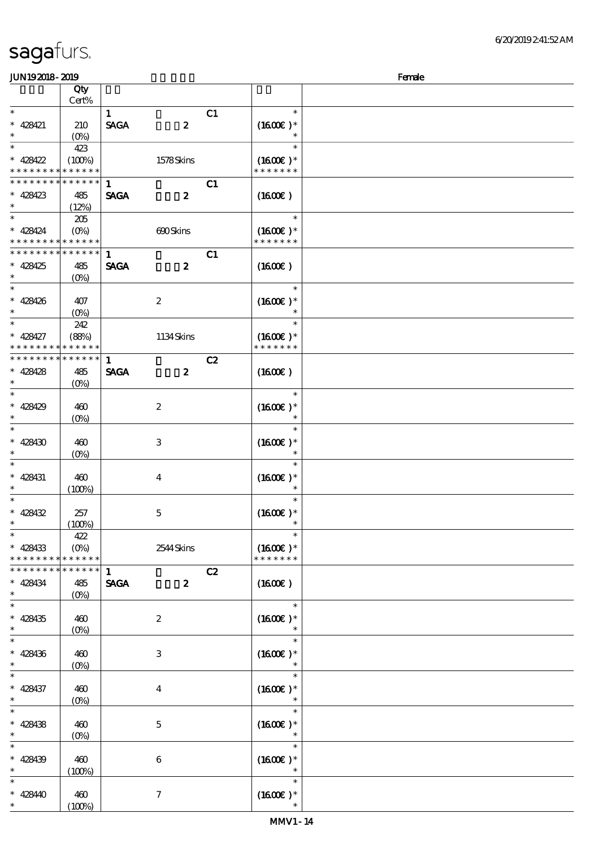| JUN192018-2019                           |                        |                     |                     |    |                             | Female |
|------------------------------------------|------------------------|---------------------|---------------------|----|-----------------------------|--------|
|                                          | Qty                    |                     |                     |    |                             |        |
|                                          | Cert%                  |                     |                     |    |                             |        |
| $\ast$                                   |                        | $\mathbf{1}$        |                     | C1 | $\ast$                      |        |
| $* 428421$                               | 210                    | <b>SAGA</b>         | $\pmb{2}$           |    | $(1600E)*$                  |        |
| $\ast$                                   | $(O\%)$                |                     |                     |    | $\ast$                      |        |
| $\ast$                                   | 423                    |                     |                     |    | $\ast$                      |        |
| * $428422$                               | (100%)                 |                     | 1578Skins           |    | $(1600E)*$                  |        |
| * * * * * * * *                          | * * * * * *            |                     |                     |    | * * * * * * *               |        |
| * * * * * * * *                          | * * * * * *            | 1                   |                     | C1 |                             |        |
| $* 428423$                               | 485                    | <b>SAGA</b>         | $\boldsymbol{z}$    |    | $(1600\varepsilon)$         |        |
| $\ast$                                   | (12%)                  |                     |                     |    |                             |        |
| $\ast$                                   | 205                    |                     |                     |    | $\ast$                      |        |
| $* 428424$                               | $(O\%)$                |                     | 690Skins            |    | $(1600E)*$                  |        |
| * * * * * * * * <mark>* * * * * *</mark> |                        |                     |                     |    | * * * * * * *               |        |
| * * * * * * * *                          | ******                 | $\mathbf{1}$        |                     | C1 |                             |        |
| * 428425                                 | 485                    | <b>SAGA</b>         | $\boldsymbol{z}$    |    | $(1600\varepsilon)$         |        |
| $\ast$                                   | $(O\%)$                |                     |                     |    |                             |        |
| $\overline{\ast}$                        |                        |                     |                     |    | $\ast$                      |        |
| $* 428426$                               | 407                    |                     | $\boldsymbol{2}$    |    | $(1600E)*$                  |        |
| $\ast$                                   | $(O\!/\!o)$            |                     |                     |    | $\ast$                      |        |
| $\ast$                                   | 242                    |                     |                     |    | $\ast$                      |        |
| $* 428427$                               | (88%)                  |                     | 1134Skins           |    | $(1600E)*$                  |        |
| * * * * * * * *                          | * * * * * *            |                     |                     |    | * * * * * * *               |        |
| * * * * * * * *                          | $* * * * * * *$        | $\mathbf{1}$        |                     | C2 |                             |        |
| $* 428428$                               | 485                    | <b>SAGA</b>         | $\boldsymbol{z}$    |    | $(1600\varepsilon)$         |        |
| $\ast$                                   | $(0\%)$                |                     |                     |    |                             |        |
| $\overline{\ast}$                        |                        |                     |                     |    | $\ast$                      |        |
| * 428429                                 | 460                    |                     | $\boldsymbol{2}$    |    | $(1600E)*$                  |        |
| $\ast$                                   | $(O\!/\!\!\delta)$     |                     |                     |    |                             |        |
| $\ast$                                   |                        |                     |                     |    | $\ast$                      |        |
| * 428430                                 | 460                    |                     | $\,3$               |    | $(1600E)*$                  |        |
| $\ast$                                   | $(0\%)$                |                     |                     |    |                             |        |
| $\ast$                                   |                        |                     |                     |    | $\ast$                      |        |
| $* 428431$                               | 460                    |                     | $\boldsymbol{4}$    |    | $(1600E)*$                  |        |
| $\ast$<br>$\ast$                         | (100%)                 |                     |                     |    | $\ast$                      |        |
|                                          |                        |                     |                     |    | $\ast$                      |        |
| $* 428432$<br>$\ast$                     | 257                    |                     | $\mathbf 5$         |    | $(1600E)*$<br>$\ast$        |        |
| $\ast$                                   | (100%)                 |                     |                     |    | $\ast$                      |        |
|                                          | 422                    |                     |                     |    |                             |        |
| $* 428433$<br>* * * * * * * *            | $(O\%)$<br>* * * * * * |                     | 2544 Skins          |    | $(1600E)*$<br>* * * * * * * |        |
| * * * * * * * *                          | * * * * * *            | $\mathbf{1}$        |                     | C2 |                             |        |
|                                          |                        |                     | $\boldsymbol{z}$    |    |                             |        |
| * 428434<br>$\ast$                       | 485                    | $\pmb{\text{SAGA}}$ |                     |    | $(1600\varepsilon)$         |        |
| $\ast$                                   | $(0\%)$                |                     |                     |    | $\ast$                      |        |
| $* 428435$                               | 460                    |                     | $\boldsymbol{2}$    |    | $(1600E)*$                  |        |
| $\ast$                                   | $(0\%)$                |                     |                     |    |                             |        |
| $\ast$                                   |                        |                     |                     |    | $\ast$                      |        |
| $* 428436$                               | 460                    |                     | 3                   |    | $(1600E)*$                  |        |
| $\ast$                                   | $(0\%)$                |                     |                     |    |                             |        |
| $\ast$                                   |                        |                     |                     |    | $\ast$                      |        |
| $* 428437$                               | 460                    |                     | $\boldsymbol{4}$    |    | $(1600E)*$                  |        |
| $\ast$                                   | $(0\%)$                |                     |                     |    | $\ast$                      |        |
| $\ast$                                   |                        |                     |                     |    | $\ast$                      |        |
| $* 428438$                               | 460                    |                     | $\mathbf 5$         |    | $(1600E)*$                  |        |
| $\ast$                                   | $(0\%)$                |                     |                     |    | $\ast$                      |        |
| $\ast$                                   |                        |                     |                     |    | $\ast$                      |        |
| $* 428439$                               | 460                    |                     | $\bf 6$             |    | $(1600E)*$                  |        |
| $\ast$                                   | (100%)                 |                     |                     |    | $\ast$                      |        |
| $\ast$                                   |                        |                     |                     |    | $\ast$                      |        |
| $* 42840$                                | 460                    |                     | $\boldsymbol{\tau}$ |    | $(1600E)*$                  |        |
| $\ast$                                   | (100%)                 |                     |                     |    |                             |        |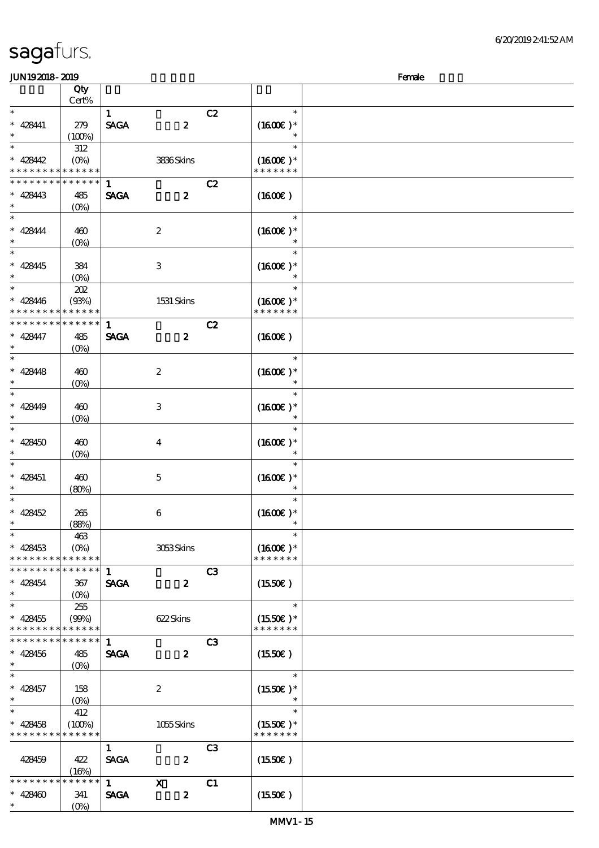| Female<br><b>JUN192018-2019</b> |                                               |              |                           |                |                     |  |  |  |
|---------------------------------|-----------------------------------------------|--------------|---------------------------|----------------|---------------------|--|--|--|
|                                 | Qty                                           |              |                           |                |                     |  |  |  |
|                                 | Cert%                                         |              |                           |                |                     |  |  |  |
| $\ast$                          |                                               | $\mathbf{1}$ |                           | C2             | $\ast$              |  |  |  |
| $* 428441$                      | 279                                           | <b>SAGA</b>  | $\boldsymbol{z}$          |                | $(1600)$ *          |  |  |  |
| $\ast$                          | (100%)                                        |              |                           |                | $\ast$              |  |  |  |
| $\ast$                          | 312                                           |              |                           |                | $\ast$              |  |  |  |
| $* 428442$                      | $(O\!/\!o)$                                   |              | 3836Skins                 |                | $(1600E)*$          |  |  |  |
|                                 | * * * * * * * * * * *                         |              |                           |                | * * * * * * *       |  |  |  |
| * * * * *                       | * * * * * *                                   |              |                           |                |                     |  |  |  |
|                                 |                                               | 1            |                           | C2             |                     |  |  |  |
| $* 428443$<br>$\ast$            | 485                                           | <b>SAGA</b>  | $\boldsymbol{z}$          |                | $(1600\varepsilon)$ |  |  |  |
|                                 | $(0\%)$                                       |              |                           |                |                     |  |  |  |
| $\ast$                          |                                               |              |                           |                | $\ast$              |  |  |  |
| $* 428444$                      | 460                                           |              | $\boldsymbol{2}$          |                | $(1600E)*$          |  |  |  |
| $\ast$                          | $(O\%)$                                       |              |                           |                |                     |  |  |  |
| $\overline{\phantom{0}}$        |                                               |              |                           |                | $\ast$              |  |  |  |
| $* 428445$                      | 384                                           |              | $\,3$                     |                | $(1600E)*$          |  |  |  |
| $\ast$                          | $(O\%)$                                       |              |                           |                | $\ast$              |  |  |  |
| $\ast$                          | 202                                           |              |                           |                | $\ast$              |  |  |  |
| $* 428446$                      | (93%)                                         |              | 1531 Skins                |                | $(1600E)*$          |  |  |  |
| * * *<br>* * * * *              | * * * * * *                                   |              |                           |                | * * * * * * *       |  |  |  |
| * * * * * * * *                 | * * * * * *                                   | $\mathbf{1}$ |                           | C2             |                     |  |  |  |
| $* 428447$                      | 485                                           | <b>SAGA</b>  | $\boldsymbol{z}$          |                | $(1600\varepsilon)$ |  |  |  |
| $\ast$                          | $(O\%)$                                       |              |                           |                |                     |  |  |  |
| $\ast$                          |                                               |              |                           |                | $\ast$              |  |  |  |
|                                 |                                               |              |                           |                |                     |  |  |  |
| $* 428448$                      | 460                                           |              | $\boldsymbol{2}$          |                | $(1600E)*$          |  |  |  |
| $\ast$                          | $(0\%)$                                       |              |                           |                | $\ast$              |  |  |  |
| $\ast$                          |                                               |              |                           |                | $\ast$              |  |  |  |
| $* 428449$                      | 460                                           |              | 3                         |                | $(1600E)*$          |  |  |  |
| $\ast$                          | (0%)                                          |              |                           |                | $\ast$              |  |  |  |
| $\ast$                          |                                               |              |                           |                | $\ast$              |  |  |  |
| $* 428450$                      | 460                                           |              | $\bf{4}$                  |                | $(1600E)*$          |  |  |  |
| $\ast$                          | $(0\%)$                                       |              |                           |                | $\ast$              |  |  |  |
| $\ast$                          |                                               |              |                           |                | $\ast$              |  |  |  |
| $* 428451$                      | 460                                           |              | $\mathbf 5$               |                | $(1600E)*$          |  |  |  |
| $\ast$                          | (80%)                                         |              |                           |                | $\ast$              |  |  |  |
| $\ast$                          |                                               |              |                           |                | $\ast$              |  |  |  |
| $* 428452$                      | 265                                           |              | 6                         |                | $(1600E)*$          |  |  |  |
| $\ast$                          | (88%)                                         |              |                           |                | $\ast$              |  |  |  |
| $\ast$                          | 463                                           |              |                           |                | $\ast$              |  |  |  |
| $* 428453$                      | $(O\%)$                                       |              | 3053Skins                 |                | $(1600E)*$          |  |  |  |
| * * * * * * * * * * * * * *     |                                               |              |                           |                | * * * * * * *       |  |  |  |
| * * * * * * * * * * * * * *     |                                               |              |                           |                |                     |  |  |  |
|                                 |                                               | $\mathbf{1}$ |                           | C3             |                     |  |  |  |
| $* 428454$                      | 367                                           | <b>SAGA</b>  | $\boldsymbol{z}$          |                | (1550E)             |  |  |  |
| $\ast$                          | $(O\%)$                                       |              |                           |                |                     |  |  |  |
| $\ast$                          | 255                                           |              |                           |                | $\ast$              |  |  |  |
| $* 428455$                      | (90%)                                         |              | 622Skins                  |                | $(1550E)*$          |  |  |  |
| * * * * * * * * * * * * * *     |                                               |              |                           |                | * * * * * * *       |  |  |  |
| * * * * * * * * * * * * * *     |                                               | 1            |                           | C3             |                     |  |  |  |
| $* 428456$                      | 485                                           | <b>SAGA</b>  | $\boldsymbol{2}$          |                | (1550E)             |  |  |  |
| $\ast$                          | $(O\% )$                                      |              |                           |                |                     |  |  |  |
| $\overline{\phantom{0}}$        |                                               |              |                           |                | $\ast$              |  |  |  |
| $* 428457$                      | 158                                           |              | $\boldsymbol{2}$          |                | $(1550E)*$          |  |  |  |
| $\ast$                          | $(O\!\!\!\!\!\!\backslash \!\!\!\!\backslash$ |              |                           |                | $\ast$              |  |  |  |
| $\ast$                          | 412                                           |              |                           |                | $\ast$              |  |  |  |
| $* 428458$                      | (100%)                                        |              | 1055Skins                 |                | $(1550E)*$          |  |  |  |
| * * * * * * * * * * * * * *     |                                               |              |                           |                | * * * * * * *       |  |  |  |
|                                 |                                               |              |                           |                |                     |  |  |  |
|                                 |                                               | $\mathbf{1}$ |                           | C <sub>3</sub> |                     |  |  |  |
| 428459                          | 422                                           | <b>SAGA</b>  | $\boldsymbol{2}$          |                | (1550E)             |  |  |  |
|                                 | (16%)                                         |              |                           |                |                     |  |  |  |
| * * * * * * * *                 | * * * * * *                                   | $\mathbf 1$  | $\boldsymbol{\mathsf{X}}$ | C1             |                     |  |  |  |
| $* 428460$                      | 341                                           | <b>SAGA</b>  | $\boldsymbol{z}$          |                | $(1550\varepsilon)$ |  |  |  |
| $\ast$                          | $(O\%)$                                       |              |                           |                |                     |  |  |  |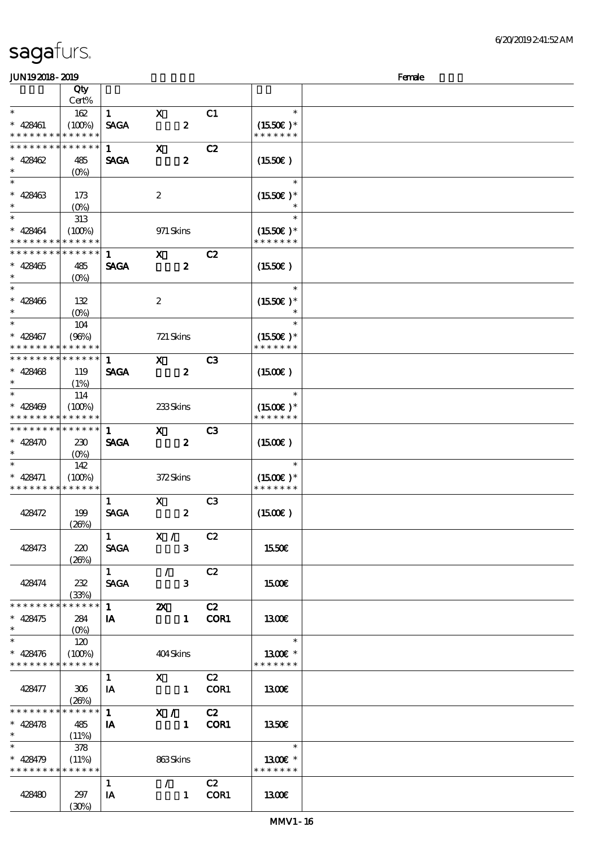| <b>JUN192018-2019</b>                    |                       |                        |                                                               |                  |                |                             | Female |
|------------------------------------------|-----------------------|------------------------|---------------------------------------------------------------|------------------|----------------|-----------------------------|--------|
|                                          | Qty                   |                        |                                                               |                  |                |                             |        |
|                                          | Cert%                 |                        |                                                               |                  |                |                             |        |
| $\ast$                                   | 162                   | $\mathbf{1}$           | $\mathbf X$                                                   |                  | C1             | $\ast$                      |        |
| $* 428461$                               | (100%)                | <b>SAGA</b>            |                                                               | $\boldsymbol{z}$ |                | $(1550E)*$                  |        |
| * * * * * * * *                          | * * * * * *           |                        |                                                               |                  |                | * * * * * * *               |        |
| * * * * * * *                            | * * * * * *           | $\mathbf{1}$           | $\mathbf X$                                                   |                  | C2             |                             |        |
| $* 428462$                               | 485                   | <b>SAGA</b>            |                                                               | $\boldsymbol{z}$ |                | $(1550\varepsilon)$         |        |
| $\ast$                                   | $(O\%)$               |                        |                                                               |                  |                |                             |        |
| $\ast$                                   |                       |                        |                                                               |                  |                | $\ast$                      |        |
|                                          |                       |                        |                                                               |                  |                |                             |        |
| $* 428463$<br>$\ast$                     | 173                   |                        | $\boldsymbol{z}$                                              |                  |                | $(1550E)*$                  |        |
| $\ast$                                   | $(0\%)$               |                        |                                                               |                  |                |                             |        |
|                                          | 313                   |                        |                                                               |                  |                | $\ast$                      |        |
| $* 428464$                               | (100%)                |                        | 971 Skins                                                     |                  |                | $(1550E)*$                  |        |
| * * * * * * * *                          | * * * * * *           |                        |                                                               |                  |                | * * * * * * *               |        |
| * * * * * * * *                          | * * * * * *           | 1                      | $\mathbf{x}$                                                  |                  | C2             |                             |        |
| $* 428465$                               | 485                   | <b>SAGA</b>            |                                                               | $\boldsymbol{z}$ |                | (1550E)                     |        |
| $\ast$                                   | $(O\%)$               |                        |                                                               |                  |                |                             |        |
| $\ast$                                   |                       |                        |                                                               |                  |                | $\ast$                      |        |
| $* 428406$                               | 132                   |                        | $\boldsymbol{2}$                                              |                  |                | $(1550E)*$                  |        |
| $\ast$                                   | $(O\%)$               |                        |                                                               |                  |                | $\ast$                      |        |
| $\ast$                                   | 104                   |                        |                                                               |                  |                | $\ast$                      |        |
| $* 428467$                               | (96%)                 |                        | $721$ Skins                                                   |                  |                | $(1550E)*$                  |        |
| * * * * * * *                            | * * * * * *           |                        |                                                               |                  |                | * * * * * * *               |        |
| * * * * * * * *                          | * * * * * *           | $\mathbf{1}$           | $\mathbf{x}$                                                  |                  | C <sub>3</sub> |                             |        |
| $* 428468$                               | 119                   | <b>SAGA</b>            |                                                               | $\boldsymbol{z}$ |                | $(1500\varepsilon)$         |        |
| $\ast$                                   |                       |                        |                                                               |                  |                |                             |        |
| $\ast$                                   | (1%)                  |                        |                                                               |                  |                | $\ast$                      |        |
|                                          | 114                   |                        |                                                               |                  |                |                             |        |
| $* 428409$<br>* * * * * * * *            | (100%)<br>* * * * * * |                        | 233Skins                                                      |                  |                | $(1500E)*$<br>* * * * * * * |        |
|                                          |                       |                        |                                                               |                  |                |                             |        |
| * * * * * * * *                          | * * * * * *           | $\mathbf{1}$           | $\mathbf{x}$                                                  |                  | C <sub>3</sub> |                             |        |
| $* 428470$                               | 230                   | <b>SAGA</b>            |                                                               | $\boldsymbol{z}$ |                | $(1500\varepsilon)$         |        |
| $\ast$                                   | $(O\%)$               |                        |                                                               |                  |                |                             |        |
| $\ast$                                   | 142                   |                        |                                                               |                  |                | $\ast$                      |        |
| $* 428471$                               | (100%)                |                        | 372Skins                                                      |                  |                | $(1500E)*$                  |        |
| * * * * * * * *                          | * * * * * *           |                        |                                                               |                  |                | * * * * * * *               |        |
|                                          |                       | $\mathbf{1}$           | $\mathbf x$                                                   |                  | C <sub>3</sub> |                             |        |
| 428472                                   | 199                   | <b>SAGA</b>            |                                                               | $\boldsymbol{z}$ |                | (1500E)                     |        |
|                                          | (20%)                 |                        |                                                               |                  |                |                             |        |
|                                          |                       |                        | $\overline{1}$ $\overline{X}$ / $\overline{C}$ $\overline{C}$ |                  |                |                             |        |
| 428473                                   | 220                   | <b>SAGA</b>            |                                                               | $\mathbf{3}$     |                | 1550€                       |        |
|                                          | (20%)                 |                        |                                                               |                  |                |                             |        |
|                                          |                       | $1 \quad \blacksquare$ | $\mathcal{L}$                                                 |                  | C2             |                             |        |
| 428474                                   | 232                   | SAGA                   |                                                               | $\mathbf{3}$     |                | <b>1500€</b>                |        |
|                                          | (33%)                 |                        |                                                               |                  |                |                             |        |
| * * * * * * * *                          | * * * * * *           |                        | $\overline{1}$ 2X C2                                          |                  |                |                             |        |
| $* 428475$                               | 284                   | <b>IA</b>              |                                                               | 1 COR1           |                | 1300E                       |        |
| $\ast$                                   |                       |                        |                                                               |                  |                |                             |        |
| $\ast$                                   | 120                   |                        |                                                               |                  |                | $\overline{\phantom{a}}$    |        |
| $* 428476$                               | (100%)                |                        | 404Skins                                                      |                  |                | 1300E *                     |        |
| * * * * * * * * * * * * * *              |                       |                        |                                                               |                  |                | * * * * * * *               |        |
|                                          |                       |                        |                                                               |                  |                |                             |        |
|                                          |                       | $\mathbf{1}$           | $X$ C <sub>2</sub>                                            |                  |                |                             |        |
| 428477                                   | 306                   | IA                     | 1 COR1                                                        |                  |                | 1300                        |        |
|                                          | (20%)                 |                        |                                                               |                  |                |                             |        |
| * * * * * * * * * * * * * * *            |                       | $1 \quad \blacksquare$ | X / C2                                                        |                  |                |                             |        |
| $* 428478$                               | 485                   | $\mathbf{A}$           | 1 COR1                                                        |                  |                | 1350                        |        |
| $\star$                                  | (11%)                 |                        |                                                               |                  |                |                             |        |
|                                          | - 378                 |                        |                                                               |                  |                | $\ast$                      |        |
| $* 428479$                               | (11%)                 |                        | 863Skins                                                      |                  |                | 1300E *                     |        |
| * * * * * * * * <mark>* * * * * *</mark> |                       |                        |                                                               |                  |                | * * * * * * *               |        |
|                                          |                       | $\mathbf{1}$           | $\mathcal{L}$ and $\mathcal{L}$                               |                  | C2             |                             |        |
| 428480                                   | 297                   | IA                     |                                                               | 1 COR1           |                | 1300E                       |        |
|                                          | (30%)                 |                        |                                                               |                  |                |                             |        |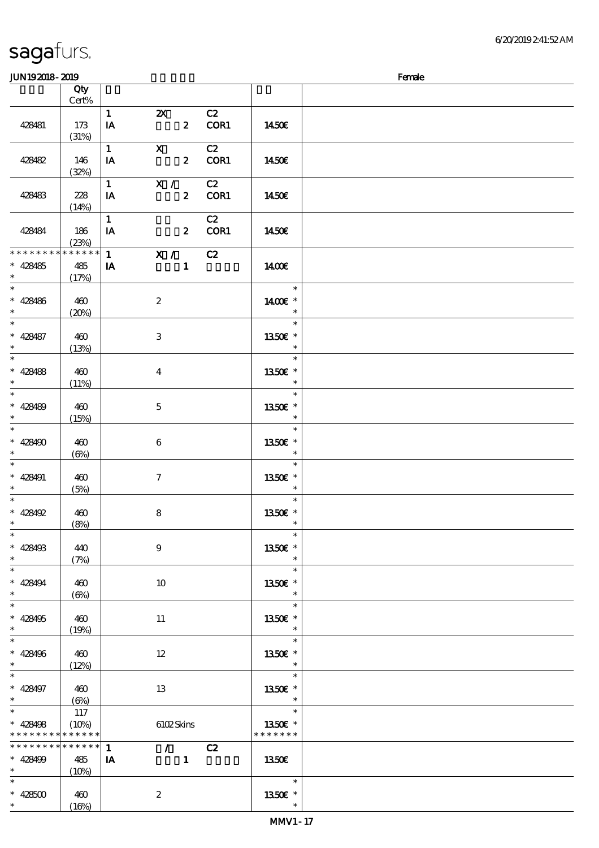### $J/N192018 - 2019$  Female

| ມມາດຕາດ- ຕາດ                                                          |                                 |                                         |                                         |                  |            |                                       | rance |
|-----------------------------------------------------------------------|---------------------------------|-----------------------------------------|-----------------------------------------|------------------|------------|---------------------------------------|-------|
|                                                                       | Qty<br>Cert%                    |                                         |                                         |                  |            |                                       |       |
| 428481                                                                | 173<br>(31%)                    | $\mathbf{1}$<br>IA                      | $\boldsymbol{\alpha}$                   | $\mathbf{z}$     | C2<br>COR1 | 1450E                                 |       |
| 428482                                                                | 146<br>(32%)                    | $\mathbf{1}$<br>IA                      | $\mathbf{X}$                            | $\boldsymbol{z}$ | C2<br>COR1 | 1450€                                 |       |
| 428483                                                                | 228<br>(14%)                    | $\mathbf{1}$<br>IA                      | X /                                     | $\mathbf{2}$     | C2<br>COR1 | 1450E                                 |       |
| 428484                                                                | 186<br>(23%)                    | $\mathbf{1}$<br>IA                      |                                         | $\mathbf{2}$     | C2<br>COR1 | 1450E                                 |       |
| * * * * * * * *<br>$* 428485$<br>$\ast$                               | $******$<br>485<br>(17%)        | $1 \quad \blacksquare$<br>IA            | $\overline{\mathbf{X}}$ / $\mathbf{C2}$ | $\mathbf{1}$     |            | 1400€                                 |       |
| $\overline{\phantom{0}}$<br>$* 428486$<br>$\ast$                      | 460<br>(20%)                    |                                         | $\boldsymbol{2}$                        |                  |            | $\ast$<br>1400€ *<br>$\ast$           |       |
| $\overline{\ast}$<br>$* 428487$<br>$\ast$                             | 460<br>(13%)                    |                                         | 3                                       |                  |            | $\ast$<br>1350E *<br>$\ast$           |       |
| $\ast$<br>* 428488                                                    | 460<br>(11%)                    |                                         | $\boldsymbol{4}$                        |                  |            | $\ast$<br>1350E *<br>$\ast$           |       |
| $\overline{\ast}$<br>$* 428489$<br>$\ast$                             | 460<br>(15%)                    |                                         | $\mathbf 5$                             |                  |            | $\ast$<br>1350E *                     |       |
| $\overline{\ast}$<br>$* 428490$<br>$\ast$<br>$\overline{\phantom{0}}$ | 460<br>$(\Theta)$               |                                         | $\bf 6$                                 |                  |            | $\ast$<br>1350E *                     |       |
| $* 428491$<br>$\ast$<br>$\overline{\ast}$                             | 460<br>(5%)                     |                                         | $\boldsymbol{\tau}$                     |                  |            | $\ast$<br>1350E *<br>$\ast$           |       |
| $* 428492$<br>$\ast$                                                  | 460<br>(8%)                     |                                         | $\bf 8$                                 |                  |            | $\ast$<br>1350E *<br>$\ast$           |       |
| $\ast$<br>$* 428493$<br>$\ast$                                        | 440<br>(7%)                     |                                         | $\boldsymbol{9}$                        |                  |            | $\ast$<br>1350€ *<br>$\ast$           |       |
| $\ast$<br>$* 428494$<br>$\ast$                                        | 460<br>$(\Theta)$               |                                         | 10                                      |                  |            | $\ast$<br>1350E *<br>$\ast$           |       |
| $\ast$<br>$* 428495$<br>$\ast$<br>$\overline{\ast}$                   | 460<br>(19%)                    |                                         | $11\,$                                  |                  |            | $\ast$<br>1350€ *<br>$\ast$           |       |
| $* 428496$<br>$\ast$<br>$\ast$                                        | 460<br>(12%)                    |                                         | $12\,$                                  |                  |            | $\ast$<br>1350€ *<br>$\ast$           |       |
| $* 428497$<br>$\ast$<br>$\overline{\ast}$                             | 460<br>$(\Theta)$               |                                         | 13                                      |                  |            | $\ast$<br>1350E *<br>$\ast$<br>$\ast$ |       |
| $* 428498$<br>$***$                                                   | $117\,$<br>(10%)<br>* * * * * * |                                         | 6102Skins                               |                  |            | 1350€ *<br>* * * * * * *              |       |
| * * * * * * * *<br>$* 428499$<br>$\ast$                               | * * * * * *<br>485<br>(10%)     | $\mathbf{1}$<br>$\mathbf{I} \mathbf{A}$ | $\mathcal{L}^{\mathcal{L}}$             | $\mathbf{1}$     | C2         | 1350E                                 |       |
| $\ast$<br>$\,^*$ 428500<br>$\ast$                                     | 460<br>(16%)                    |                                         | $\boldsymbol{2}$                        |                  |            | $\ast$<br>1350E *<br>$\ast$           |       |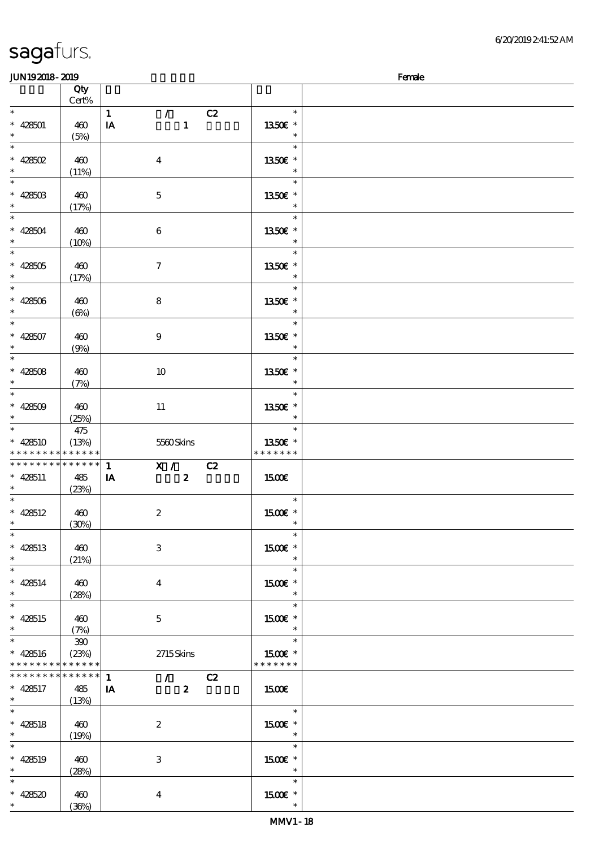|                             | <b>JUN192018-2019</b>              |                      |                               |                                    | Female |
|-----------------------------|------------------------------------|----------------------|-------------------------------|------------------------------------|--------|
|                             |                                    | Qty<br>Cert%         |                               |                                    |        |
| $\ast$                      |                                    |                      | $\mathcal{T}$<br>$\mathbf{1}$ | $\ast$<br>C2                       |        |
|                             | $* 428501$                         | 460                  | $\mathbf{1}$<br>IA            | 1350E *                            |        |
| $\ast$                      |                                    | (5%)                 |                               | $\ast$                             |        |
| $\ast$                      |                                    |                      |                               | $\ast$                             |        |
| $\ast$                      | * $428502$                         | 460                  | $\boldsymbol{4}$              | 1350€ *<br>$\ast$                  |        |
| $\ast$                      |                                    | (11%)                |                               | $\ast$                             |        |
|                             | $* 42850B$                         | 460                  | $\mathbf 5$                   | 1350€ *                            |        |
| $\ast$                      |                                    | (17%)                |                               | $\ast$                             |        |
| $\ast$                      |                                    |                      |                               | $\ast$                             |        |
| $\ast$                      | $* 428504$                         | 460                  | $\boldsymbol{6}$              | 1350E *<br>$\ast$                  |        |
| $\ast$                      |                                    | (10%)                |                               | $\ast$                             |        |
|                             | $* 428505$                         | 460                  | $\boldsymbol{\tau}$           | 1350E *                            |        |
| $\ast$                      |                                    | (17%)                |                               | $\ast$                             |        |
| $\overline{\phantom{a}^*}$  |                                    |                      |                               | $\ast$                             |        |
| $\ast$                      | $* 428506$                         | 460                  | 8                             | 1350E *<br>$\ast$                  |        |
| $\overline{\ast}$           |                                    | $(\Theta)$           |                               | $\ast$                             |        |
|                             | $* 428507$                         | 460                  | $\boldsymbol{9}$              | 1350E *                            |        |
|                             |                                    | (9%)                 |                               | $\ast$                             |        |
| $\ast$                      |                                    |                      |                               | $\ast$                             |        |
| $\ast$                      | $* 428508$                         | 460                  | 10                            | 1350E *<br>$\ast$                  |        |
| $\ast$                      |                                    | (7%)                 |                               | $\ast$                             |        |
|                             | $* 428509$                         | 460                  | $11\,$                        | 1350E *                            |        |
| $\ast$                      |                                    | (25%)                |                               | $\ast$                             |        |
| $\ast$                      |                                    | 475                  |                               | $\ast$                             |        |
|                             | $* 428510$                         | (13%)<br>* * * * * * | 5560Skins                     | 1350E *<br>* * * * * * *           |        |
|                             | * * * * * * * *<br>* * * * * * * * | * * * * * *          | X / C2<br>$\mathbf{1}$        |                                    |        |
|                             | $* 428511$                         | 485                  | $\boldsymbol{z}$<br>IA        | 1500E                              |        |
| $\ast$                      |                                    | (23%)                |                               |                                    |        |
| $\ast$                      |                                    |                      |                               | $\ast$                             |        |
|                             | $* 428512$                         | 460<br>(30%)         | $\boldsymbol{2}$              | 1500 £*                            |        |
| $\ast$                      |                                    |                      |                               | $\ast$                             |        |
|                             | $* 428513$                         | 460                  | 3                             | 1500€ *                            |        |
| $\ast$                      |                                    | (21%)                |                               |                                    |        |
| $\overline{\ast}$           |                                    |                      |                               | $\ast$                             |        |
| $\ast$                      | $* 428514$                         | 460<br>(28%)         | $\overline{\mathbf{4}}$       | 1500 £*<br>$\ast$                  |        |
| $\ast$                      |                                    |                      |                               | $\ast$                             |        |
|                             | $* 428515$                         | 460                  | $\mathbf{5}$                  | 1500E *                            |        |
| $\ast$<br>$\overline{\ast}$ |                                    | (7%)                 |                               | $\ast$                             |        |
|                             |                                    | 390                  |                               | $\ast$<br>1500€ *                  |        |
|                             | $* 428516$<br>* * * * * * * *      | (23%)<br>* * * * * * | $2715$ Skins                  | * * * * * * *                      |        |
|                             | * * * * * * * * * * * * * * *      |                      | $\mathbf{1}$<br>$\sqrt{C^2}$  |                                    |        |
|                             | $* 428517$                         | 485                  | $\overline{\mathbf{2}}$<br>IA | 1500€                              |        |
| $\ast$                      |                                    | (13%)                |                               |                                    |        |
| $\ast$                      | $* 428518$                         | 460                  | $\boldsymbol{2}$              | $\ast$<br>1500€ *                  |        |
| $\ast$                      |                                    | (19%)                |                               | $\ast$                             |        |
| $\overline{\phantom{0}}$    |                                    |                      |                               | $\ast$                             |        |
|                             | $* 428519$                         | 460                  | 3                             | 1500€ *                            |        |
| $\ast$<br>$\ast$            |                                    | (28%)                |                               | $\overline{\phantom{a}}$<br>$\ast$ |        |
|                             | $* 428520$                         | 460                  | $\boldsymbol{4}$              | $1500E$ *                          |        |
|                             | $\ast$                             | (36%)                |                               | $\ast$                             |        |
|                             |                                    |                      |                               |                                    |        |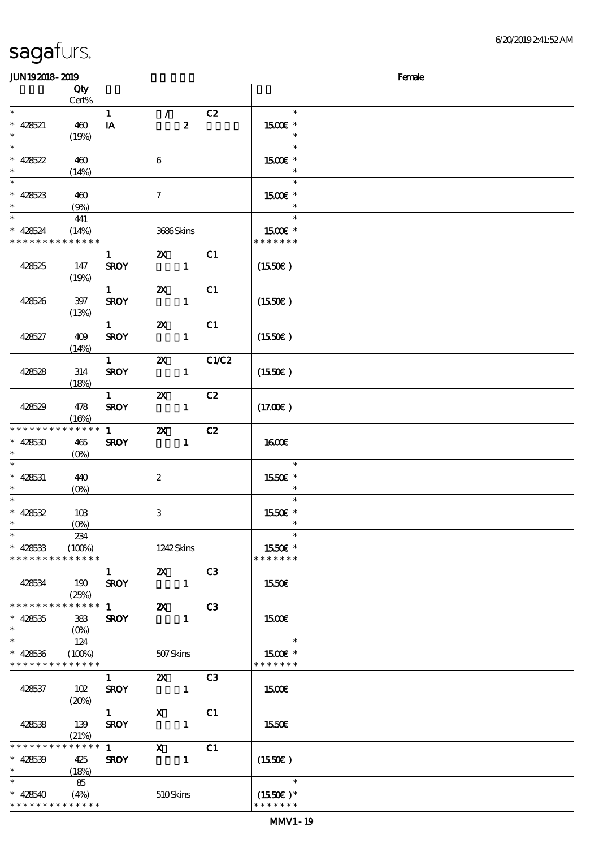| <b>JUN192018-2019</b>                     |                      |                        |                           |                |                             | Female |
|-------------------------------------------|----------------------|------------------------|---------------------------|----------------|-----------------------------|--------|
|                                           | Qty                  |                        |                           |                |                             |        |
|                                           | Cert%                |                        |                           |                |                             |        |
| $\ast$                                    |                      | $\mathbf{1}$           | $\mathcal{L}$             | C2             | $\ast$                      |        |
| $* 428521$                                | 460                  | IA                     | $\boldsymbol{z}$          |                | 1500 £*                     |        |
|                                           | (19%)                |                        |                           |                | $\ast$                      |        |
| $\ast$                                    |                      |                        |                           |                | $\ast$                      |        |
| $* 428522$                                | 460                  |                        | $\boldsymbol{6}$          |                | $1500E$ *                   |        |
| $\ast$                                    | (14%)                |                        |                           |                | $\ast$                      |        |
| $\ast$                                    |                      |                        |                           |                | $\ast$                      |        |
|                                           |                      |                        |                           |                |                             |        |
| $* 428523$<br>$\ast$                      | 460                  |                        | $\boldsymbol{\tau}$       |                | 1500 £*<br>$\ast$           |        |
|                                           | (9%)                 |                        |                           |                |                             |        |
| $\ast$                                    | 441                  |                        |                           |                | $\ast$                      |        |
| $* 428524$                                | (14%)                |                        | 3686Skins                 |                | 1500E *                     |        |
| * * * * * * * * * * * * *                 |                      |                        |                           |                | * * * * * * *               |        |
|                                           |                      | $\mathbf{1}$           | $\boldsymbol{\mathsf{X}}$ | C1             |                             |        |
| 428525                                    | 147                  | <b>SROY</b>            | $\mathbf{1}$              |                | (1550E)                     |        |
|                                           | (19%)                |                        |                           |                |                             |        |
|                                           |                      | $1 -$                  | $\boldsymbol{\mathsf{z}}$ | C <sub>1</sub> |                             |        |
| 428526                                    | 397                  | <b>SROY</b>            | $\mathbf{1}$              |                | (1550E)                     |        |
|                                           | (13%)                |                        |                           |                |                             |        |
|                                           |                      | $1 \quad$              | $\boldsymbol{\mathsf{z}}$ | C1             |                             |        |
| 428527                                    | 409                  | <b>SROY</b>            | $\mathbf{1}$              |                | (1550E)                     |        |
|                                           | (14%)                |                        |                           |                |                             |        |
|                                           |                      | $1 -$                  | $\boldsymbol{\mathsf{z}}$ | C1/C2          |                             |        |
|                                           |                      |                        |                           |                |                             |        |
| 428528                                    | 314                  | <b>SROY</b>            | $\mathbf{1}$              |                | (1550E)                     |        |
|                                           | (18%)                |                        |                           |                |                             |        |
|                                           |                      | $1 -$                  | $\boldsymbol{\mathsf{z}}$ | C2             |                             |        |
| 428529                                    | 478                  | <b>SROY</b>            | $\mathbf{1}$              |                | (17.00)                     |        |
|                                           | (16%)                |                        |                           |                |                             |        |
| * * * * * * * *                           | * * * * * *          | 1                      | $\boldsymbol{\mathsf{z}}$ | C2             |                             |        |
| $* 428530$                                | 465                  | <b>SROY</b>            | $\mathbf{1}$              |                | <b>1600€</b>                |        |
| $\ast$                                    | $(O\% )$             |                        |                           |                |                             |        |
| $\ast$                                    |                      |                        |                           |                | $\ast$                      |        |
| $* 428531$                                | 440                  |                        | $\boldsymbol{2}$          |                | 1550€ *                     |        |
| $\ast$                                    | $(O\%)$              |                        |                           |                | $\ast$                      |        |
| $\ast$                                    |                      |                        |                           |                | $\ast$                      |        |
| $* 428532$                                | 10B                  |                        | 3                         |                | 1550E *                     |        |
|                                           | $(0\%)$              |                        |                           |                |                             |        |
| $\ast$                                    | 234                  |                        |                           |                | $\ast$                      |        |
| $* 428533$                                | (100%)               |                        | 1242Skins                 |                | 1550€ *                     |        |
| * * * * * * * * * * * * * *               |                      |                        |                           |                | * * * * * * *               |        |
|                                           |                      |                        | <b>2X</b> C3              |                |                             |        |
|                                           |                      | $1 \quad$              |                           |                |                             |        |
| 428534                                    | 190                  | <b>SROY</b>            | $\blacksquare$            |                | 1550€                       |        |
| * * * * * * * *                           | (25%)<br>* * * * * * |                        |                           |                |                             |        |
|                                           |                      | $\overline{1}$         | $\boldsymbol{\mathsf{Z}}$ | C3             |                             |        |
| $* 428535$                                | 383                  | <b>SROY</b>            | $\mathbf{1}$              |                | <b>1500€</b>                |        |
| $\ast$                                    | $(O\%)$              |                        |                           |                |                             |        |
| $\ast$                                    | 124                  |                        |                           |                | $\ast$                      |        |
| $* 428536$                                | (100%)               |                        | 507Skins                  |                | 1500€ *                     |        |
| * * * * * * * * * * * * * *               |                      |                        |                           |                | * * * * * * *               |        |
|                                           |                      | $1 \quad \blacksquare$ | $\mathbf{Z}$ C3           |                |                             |        |
| 428537                                    | 102                  | <b>SROY</b>            | $\blacksquare$            |                | 1500E                       |        |
|                                           | (20%)                |                        |                           |                |                             |        |
|                                           |                      | $1 \quad \blacksquare$ | $\mathbf X$               | C1             |                             |        |
| 428538                                    | 139                  | <b>SROY</b>            | $\blacksquare$            |                | 1550E                       |        |
|                                           | (21%)                |                        |                           |                |                             |        |
| * * * * * * * * * * * * * *               |                      | $1 \quad \blacksquare$ | $\mathbf{X}$              | C1             |                             |        |
| $* 428539$                                | 425                  | <b>SROY</b>            | $\sim$ 1                  |                | $(1550\epsilon)$            |        |
|                                           | (18%)                |                        |                           |                |                             |        |
| $\ast$                                    | 85                   |                        |                           |                | $\ast$                      |        |
|                                           |                      |                        |                           |                |                             |        |
| $* 428540$<br>* * * * * * * * * * * * * * | (4%)                 |                        | 510Skins                  |                | $(1550E)*$<br>* * * * * * * |        |
|                                           |                      |                        |                           |                |                             |        |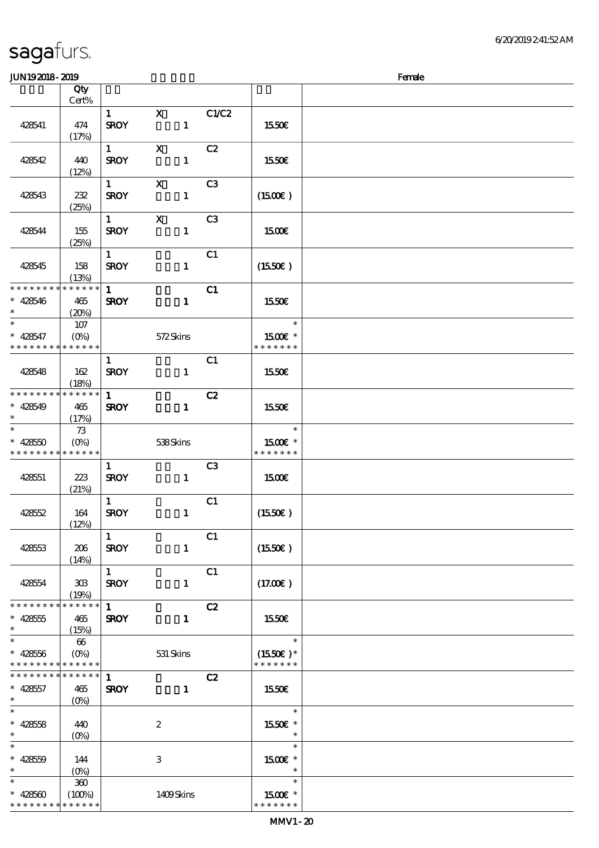6/20/2019 2:41:52 AM

### JUNI9 2018 - 2019 - 2019 - 2019 - 2019 - 2019 - 2019 - 2019 - 2019 - 2019 - 2019 - 2019 - 2019 - 2019 - 2019 -

| www.ww                                                 |                       |                        |                  |                |                             |  |
|--------------------------------------------------------|-----------------------|------------------------|------------------|----------------|-----------------------------|--|
|                                                        | Qty<br>Cert%          |                        |                  |                |                             |  |
|                                                        |                       | 1                      | $\mathbf{x}$     | C1/C2          |                             |  |
| 428541                                                 | 474                   | <b>SROY</b>            | $\mathbf{1}$     |                | 1550€                       |  |
|                                                        | (17%)                 |                        |                  |                |                             |  |
|                                                        |                       | $1 \quad \blacksquare$ | $\mathbf X$      | C2             |                             |  |
|                                                        | 440                   |                        |                  |                |                             |  |
| 428542                                                 |                       | <b>SROY</b>            | $\mathbf{1}$     |                | 1550€                       |  |
|                                                        | (12%)                 |                        |                  |                |                             |  |
|                                                        |                       | $1 \quad \blacksquare$ | $\mathbf{X}$     | C <sub>3</sub> |                             |  |
| 428543                                                 | 232                   | <b>SROY</b>            | $\mathbf{1}$     |                | (1500E)                     |  |
|                                                        | (25%)                 |                        |                  |                |                             |  |
|                                                        |                       | $1 \quad \blacksquare$ | $\mathbf{x}$     | C3             |                             |  |
| 428544                                                 | 155                   | <b>SROY</b>            | $\mathbf{1}$     |                | 1500€                       |  |
|                                                        | (25%)                 |                        |                  |                |                             |  |
|                                                        |                       | $1 \quad \blacksquare$ |                  | C1             |                             |  |
| 428545                                                 | 158                   | <b>SROY</b>            | $\mathbf{1}$     |                | (1550E)                     |  |
|                                                        | (13%)                 |                        |                  |                |                             |  |
| * * * * * * * * <mark>* * * * * * *</mark>             |                       | 1                      |                  | C1             |                             |  |
| $* 428546$                                             | 465                   | <b>SROY</b>            | $\mathbf{1}$     |                | 1550€                       |  |
| $\ast$                                                 | (20%)                 |                        |                  |                |                             |  |
| $\ast$                                                 | 107                   |                        |                  |                | $\ast$                      |  |
| $* 428547$                                             | $(0\%)$               |                        | 572Skins         |                | 1500€ *                     |  |
| * * * * * * * * * * * * * *                            |                       |                        |                  |                | * * * * * * *               |  |
|                                                        |                       | $\mathbf{1}$           |                  | C1             |                             |  |
| 428548                                                 | 162                   | <b>SROY</b>            | $\mathbf{1}$     |                | 1550€                       |  |
|                                                        | (18%)                 |                        |                  |                |                             |  |
| * * * * * * * * * * * * * *                            |                       | $\mathbf{1}$           |                  | C2             |                             |  |
| $* 428549$                                             | 465                   | <b>SROY</b>            | $\mathbf{1}$     |                | 1550€                       |  |
| $\ast$                                                 | (17%)                 |                        |                  |                |                             |  |
| $\ast$                                                 | 73                    |                        |                  |                | $\ast$                      |  |
| $* 428550$                                             | $(O\%)$               |                        | 538Skins         |                | 1500€ *                     |  |
| * * * * * * * * * * * * * *                            |                       |                        |                  |                | * * * * * * *               |  |
|                                                        |                       | $\mathbf{1}$           |                  | C3             |                             |  |
| 428551                                                 | 223                   | <b>SROY</b>            | $\mathbf{1}$     |                | 1500E                       |  |
|                                                        | (21%)                 |                        |                  |                |                             |  |
|                                                        |                       | 1                      |                  | C1             |                             |  |
| 428552                                                 | 164                   | <b>SROY</b>            | $\mathbf{1}$     |                | (1550E)                     |  |
|                                                        | (12%)                 |                        |                  |                |                             |  |
|                                                        |                       | $\mathbf{1}$           |                  | C1             |                             |  |
| 428553                                                 | 206                   | <b>SROY</b>            | $\mathbf{1}$     |                | (1550E)                     |  |
|                                                        | (14%)                 |                        |                  |                |                             |  |
|                                                        |                       | $\mathbf{1}$           |                  | C1             |                             |  |
| 428554                                                 | 308                   | <b>SROY</b>            | $\mathbf{1}$     |                | (17.00)                     |  |
|                                                        | (19%)<br>* * * * * *  |                        |                  |                |                             |  |
| * * * * * * * *                                        |                       | $\mathbf{1}$           |                  | C2             |                             |  |
| $* 428555$<br>$\ast$                                   | 465                   | <b>SROY</b>            | $\mathbf{1}$     |                | 1550€                       |  |
| $\ast$                                                 | (15%)                 |                        |                  |                | $\ast$                      |  |
|                                                        | 66                    |                        |                  |                |                             |  |
| $* 428556$<br>* * * * * * * * <mark>* * * * * *</mark> | $(O\%)$               |                        | $531$ Skins      |                | $(1550E)*$<br>* * * * * * * |  |
| * * * * * * * * * * * * * *                            |                       | $\mathbf{1}$           |                  | C2             |                             |  |
|                                                        |                       |                        |                  |                |                             |  |
| $* 428557$<br>$\ast$                                   | 465                   | <b>SROY</b>            | $\mathbf{1}$     |                | 1550€                       |  |
| $\ast$                                                 | $(O\%)$               |                        |                  |                | $\ast$                      |  |
|                                                        |                       |                        |                  |                |                             |  |
| $* 42858$<br>$\ast$                                    | 440                   |                        | $\boldsymbol{2}$ |                | 1550€ *<br>$\ast$           |  |
| $\ast$                                                 | $(O\%)$               |                        |                  |                | $\ast$                      |  |
|                                                        |                       |                        |                  |                |                             |  |
| $* 42850$<br>$\ast$                                    | 144                   |                        | $\,3$            |                | 1500€ *<br>$\ast$           |  |
| $\ast$                                                 | $(O\%)$               |                        |                  |                | $\ast$                      |  |
|                                                        | $300\,$               |                        |                  |                |                             |  |
| $* 428500$<br>* * * * * * * *                          | (100%)<br>* * * * * * |                        | 1409Skins        |                | 1500€ *<br>* * * * * * *    |  |
|                                                        |                       |                        |                  |                |                             |  |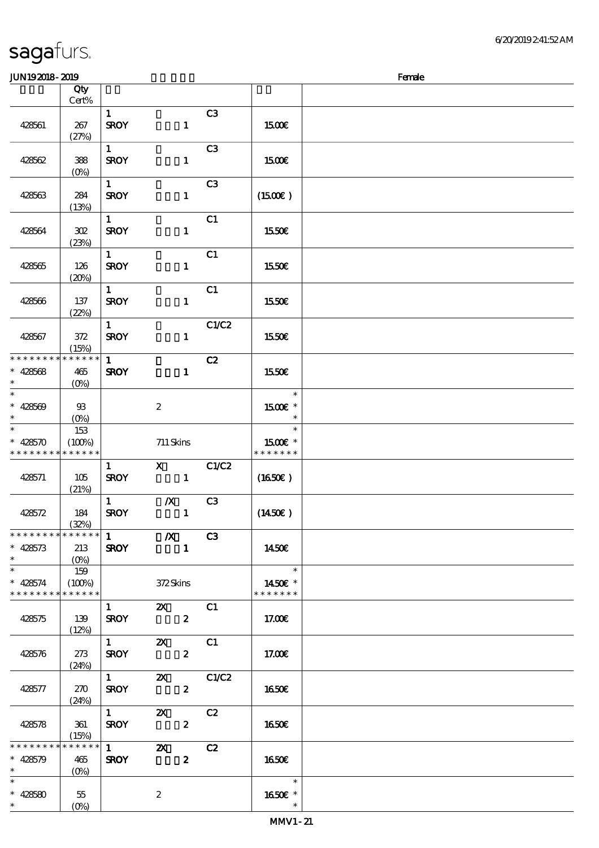| sagafurs. |  |
|-----------|--|
|-----------|--|

| <b>JUN192018-2019</b>       |                |                   |                                       |                |                          | Female |
|-----------------------------|----------------|-------------------|---------------------------------------|----------------|--------------------------|--------|
|                             | Qty            |                   |                                       |                |                          |        |
|                             | Cert%          |                   |                                       |                |                          |        |
|                             |                |                   |                                       |                |                          |        |
|                             |                | $\mathbf{1}$      |                                       | C3             |                          |        |
| 428561                      | 267            | <b>SROY</b>       | $\mathbf{1}$                          |                | 1500E                    |        |
|                             | (27%)          |                   |                                       |                |                          |        |
|                             |                | $\mathbf{1}$      |                                       | C <sub>3</sub> |                          |        |
| 428562                      | 388            | <b>SROY</b>       | $\mathbf{1}$                          |                | 1500€                    |        |
|                             |                |                   |                                       |                |                          |        |
|                             | $(0\%)$        |                   |                                       |                |                          |        |
|                             |                | $\mathbf{1}$      |                                       | C <sub>3</sub> |                          |        |
| 428563                      | 284            | <b>SROY</b>       | $\mathbf{1}$                          |                | $(1500\varepsilon)$      |        |
|                             | (13%)          |                   |                                       |                |                          |        |
|                             |                | $\mathbf{1}$      |                                       | C1             |                          |        |
|                             |                |                   |                                       |                |                          |        |
| 428564                      | 302            | <b>SROY</b>       | $\mathbf{1}$                          |                | 1550€                    |        |
|                             | (23%)          |                   |                                       |                |                          |        |
|                             |                | $\mathbf{1}$      |                                       | C1             |                          |        |
| 428565                      | 126            | <b>SROY</b>       | $\mathbf{1}$                          |                | 1550€                    |        |
|                             | (20%)          |                   |                                       |                |                          |        |
|                             |                | $\mathbf{1}$      |                                       | C1             |                          |        |
| 428566                      | 137            | <b>SROY</b>       | $\mathbf{1}$                          |                | 1550E                    |        |
|                             |                |                   |                                       |                |                          |        |
|                             | (22%)          |                   |                                       |                |                          |        |
|                             |                | $\mathbf{1}$      |                                       | C1/C2          |                          |        |
| 428567                      | 372            | <b>SROY</b>       | $\mathbf{1}$                          |                | 1550€                    |        |
|                             | (15%)          |                   |                                       |                |                          |        |
| * * * * * * * *             | * * * * * *    | $\mathbf{1}$      |                                       | C2             |                          |        |
| $* 428568$                  | 465            | <b>SROY</b>       | $\mathbf{1}$                          |                | 1550€                    |        |
| $\ast$                      |                |                   |                                       |                |                          |        |
|                             | $(0\%)$        |                   |                                       |                |                          |        |
| $\ast$                      |                |                   |                                       |                | $\ast$                   |        |
| $* 428569$                  | $\mathfrak{B}$ |                   | $\boldsymbol{2}$                      |                | 1500€ *                  |        |
| $\ast$                      | $(O\%)$        |                   |                                       |                | $\ast$                   |        |
| $\ast$                      | 153            |                   |                                       |                | $\ast$                   |        |
| $* 428570$                  | (100%)         |                   | 711 Skins                             |                | 1500€ *                  |        |
| * * * * * * * *             | * * * * * *    |                   |                                       |                | * * * * * * *            |        |
|                             |                |                   |                                       |                |                          |        |
|                             |                | $\mathbf{1}$      | $\mathbf{X}$                          | C1/C2          |                          |        |
| 428571                      | 105            | <b>SROY</b>       | $\mathbf{1}$                          |                | $(1650\epsilon)$         |        |
|                             | (21%)          |                   |                                       |                |                          |        |
|                             |                | $\mathbf{1}$      | $\boldsymbol{X}$                      | C <sub>3</sub> |                          |        |
| 428572                      | 184            | <b>SROY</b>       | $\mathbf{1}$                          |                | $(1450\varepsilon)$      |        |
|                             | (32%)          |                   |                                       |                |                          |        |
| * * * * * * * * * * * * * * |                |                   | $\overline{1}$ $\overline{X}$ $C3$    |                |                          |        |
|                             |                | <b>SROY</b>       |                                       |                |                          |        |
| $* 428573$                  | 213            |                   | $\sim$ $\sim$ 1                       |                | 1450E                    |        |
| $\ast$                      | $(O\% )$       |                   |                                       |                |                          |        |
| $\overline{\phantom{a}^*}$  | 159            |                   |                                       |                | $\overline{\phantom{a}}$ |        |
| $* 428574$                  | (100%)         |                   | 372Skins                              |                | 1450E *                  |        |
| * * * * * * * *             | * * * * * *    |                   |                                       |                | * * * * * * *            |        |
|                             |                | $1 \qquad \qquad$ | <b>2X</b> C1                          |                |                          |        |
| 428575                      | 139            |                   | $SROY$ 2                              |                | 17.00€                   |        |
|                             |                |                   |                                       |                |                          |        |
|                             | (12%)          |                   |                                       |                |                          |        |
|                             |                |                   |                                       |                |                          |        |
| 428576                      | 273            | <b>SROY</b>       | $\mathbf{2}$                          |                | 17.00E                   |        |
|                             | (24%)          |                   |                                       |                |                          |        |
|                             |                |                   | 1 $\alpha$ $\alpha$ $\alpha$ $\alpha$ |                |                          |        |
| 428577                      | 270            | <b>SROY</b>       | $2^{\circ}$                           |                | 1650E                    |        |
|                             |                |                   |                                       |                |                          |        |
|                             | (24%)          | $\overline{1}$    |                                       |                |                          |        |
|                             |                |                   | $\boldsymbol{\mathsf{Z}}$             | C2             |                          |        |
| 428578                      | 361            | <b>SROY</b>       | $\mathbf{2}$                          |                | 1650                     |        |
|                             | (15%)          |                   |                                       |                |                          |        |
| * * * * * * * *             | * * * * * *    | $\overline{1}$    | $\boldsymbol{\mathsf{Z}}$             | C2             |                          |        |
| $* 428579$                  | 465            | <b>SROY</b>       | $\boldsymbol{2}$                      |                | 1650€                    |        |
| $\ast$                      | $(O\%)$        |                   |                                       |                |                          |        |
| $\ast$                      |                |                   |                                       |                | $\overline{\mathbf{r}}$  |        |
|                             |                |                   |                                       |                |                          |        |
| $* 428580$<br>$\ast$        | 55             |                   | $\boldsymbol{2}$                      |                | 1650E *                  |        |
|                             | $(O\%)$        |                   |                                       |                |                          |        |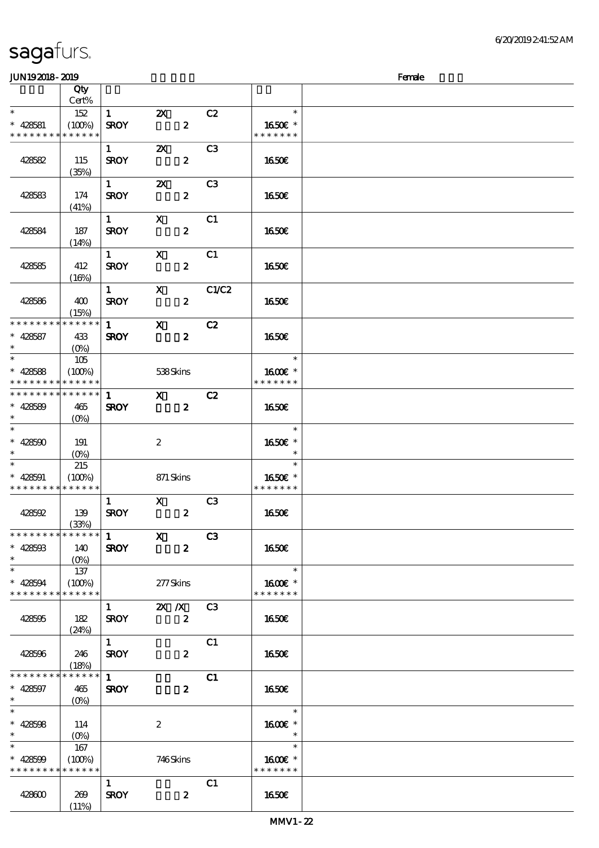### JUN192018-2019 - 2019 - 2019 - 2019 - 2019 - 2019 - 2019 - 2019 - 2019 - 2019 - 2019 - 2019 - 2019 - 2019 - 20 顺序号 Qty 说明 价格 Cert% \*\* <sup>428581</sup> 152 1 2X C2  $\ast$ \*\*  $(100%)$ SROY 2 1650€ \* \* \* \* \* \* \* \* \* \* \* \* \* \* \* \* \* \* \* 1 **2X** C3  $SROY$  2 1650€ 428582 115 (35%)  $1$   $2X$   $C3$  $SROY$  2 1650€ 428583 174 (41%) 1 X C1 428584 187  $SROY$  2 1650 $\epsilon$ (14%) 1 X C1 428585 412  $SROY$  2 1650€  $(16%)$  $1$  X  $C1/C2$ 428586 400  $SROY$  2 1650€ (15%) 1 X C2 \* \* \* \* \* \* \* \* \* \* \* \*  $\ast$ 428587 433 SROY 2 16.50€ \*\* (0%) j. \*\* 105 \*\* <sup>428588</sup> 1600€ \*  $(100%)$  538 Skins \* \* \* \* \* \* \* \* \* \* \* \* \* \* \* \* \* \* \* \* \* \* \* \* \* \* \* \* \* \* 1 X C2  $\ast$ 428589 465 SROY 2 16.50€ \*\* (0%)  $\overline{\phantom{a}}$ \*\*\* \*\*\*  $\ast$ 428590 191 2 1650€ \*  $\ast$ (0%)  $\ast$ 215 \*\* \*\* <sup>428591</sup>  $(100\%)$  871 Skins 1650€ \* \* \* \* \* \* \* \* \* \* \* \* \* \* \* \* \* \* \* 1 X C3  $SROY$  2 1650€ 428592 139 (33%) 1 X C3 \* \* \* \* \* \* \* \* \* \* \* \* \* 428593 140 SROY 2 16.50€ \*\* (0%) \*  $*$  428594 137  $\ast$ \*\*  $(100\%)$   $277$ Skins 1600€ \* \* \* \* \* \* \* \* \* \* \* \* \* \* \* \* \* \* \* 1 2X X C3 428595 182  $SROY$  2 1650 $\epsilon$ (24%)  $1$  C1 428596 246  $SROY$  2 1650 $\epsilon$  $(18%)$ \*  $\overline{1}$  C1 \* \* \* \* \* \* \* \* \* \* \* \*  $\ast$ 428597 465 SROY 2 16.50€ \*\* (0%)  $\overline{\phantom{0}}$  $\ast$ \*\*\* \*\*\*  $\ast$ 16.00€ 428598 114 2  $\ast$ (0%) \*<br>\* 428599 \*\* 167  $(100\%)$  746 Skins 1600€ \* \* \* \* \* \* \* \* \* \* \* \* \* \* \* \* \* \* \*  $1$  C1  $428600$   $269$  $SROY$  2 1650 $\epsilon$  $(11%)$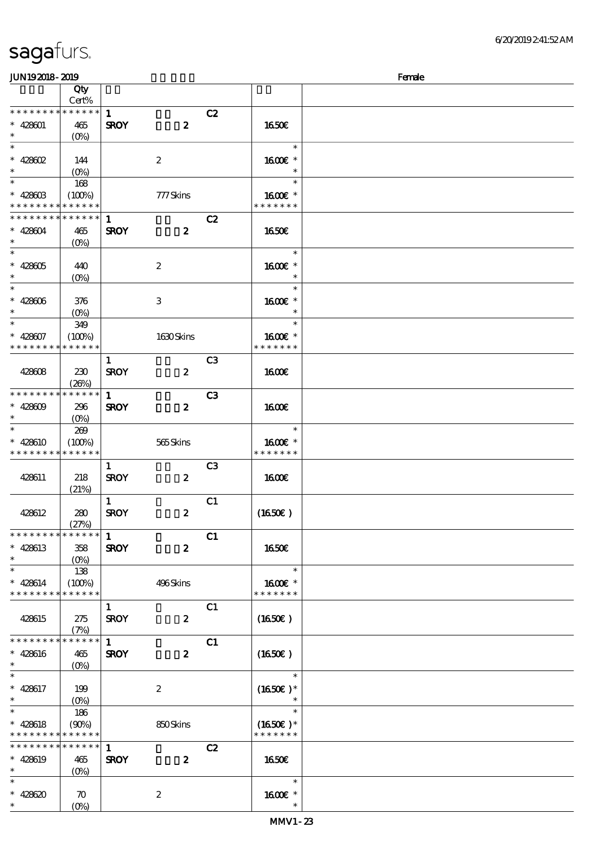| <b>JUN192018-2019</b>       |                       |              |                  |                |                  | Female |
|-----------------------------|-----------------------|--------------|------------------|----------------|------------------|--------|
|                             | Qty                   |              |                  |                |                  |        |
|                             | Cert%                 |              |                  |                |                  |        |
| * * * * * * * *             | $******$              | $\mathbf{1}$ |                  | C2             |                  |        |
| $* 428001$                  | 465                   | <b>SROY</b>  | $\boldsymbol{z}$ |                | 1650E            |        |
| $\ast$                      | $(O\%)$               |              |                  |                |                  |        |
| $\overline{\ast}$           |                       |              |                  |                | $\ast$           |        |
|                             |                       |              |                  |                |                  |        |
| $* 428002$                  | 144                   |              | $\boldsymbol{2}$ |                | 1600€ *          |        |
| $\ast$                      | $(0\%)$               |              |                  |                | $\ast$           |        |
| $\overline{\ast}$           | 168                   |              |                  |                | $\ast$           |        |
| $* 42800$                   | (100%)                |              | 777Skins         |                | $1600E$ *        |        |
| * * * * * * * *             | * * * * * *           |              |                  |                | * * * * * * *    |        |
| * * * * * * * *             | $* * * * * * *$       | 1            |                  | C2             |                  |        |
| $* 428004$                  | 465                   | <b>SROY</b>  | $\boldsymbol{z}$ |                | 1650€            |        |
| $\ast$                      |                       |              |                  |                |                  |        |
|                             | $(O\%)$               |              |                  |                |                  |        |
|                             |                       |              |                  |                | $\ast$           |        |
| $* 428005$                  | 440                   |              | $\boldsymbol{z}$ |                | 1600 *           |        |
| $\ast$                      | $(O\%)$               |              |                  |                | $\ast$           |        |
| $\overline{\ast}$           |                       |              |                  |                | $\ast$           |        |
| $* 428006$                  | 376                   |              | $\,3$            |                | 1600E *          |        |
| $\ast$                      | $(O\!/\!o)$           |              |                  |                | $\ast$           |        |
| $\ast$                      | 349                   |              |                  |                | $\ast$           |        |
|                             |                       |              |                  |                |                  |        |
| $* 428007$                  | (100%)                |              | 1630Skins        |                | 1600€ *          |        |
| * * * * * * * *             | * * * * * *           |              |                  |                | * * * * * * *    |        |
|                             |                       | $\mathbf{1}$ |                  | C <sub>3</sub> |                  |        |
| 428608                      | 230                   | <b>SROY</b>  | $\boldsymbol{z}$ |                | 1600E            |        |
|                             | (20%)                 |              |                  |                |                  |        |
| * * * * * * * *             | * * * * * *           | $\mathbf{1}$ |                  | C <sub>3</sub> |                  |        |
| $* 42800$                   | 296                   | <b>SROY</b>  | $\boldsymbol{z}$ |                | 1600             |        |
| $\ast$                      | $(O\!/\!\!\delta)$    |              |                  |                |                  |        |
| $\ast$                      |                       |              |                  |                | $\ast$           |        |
|                             | 269                   |              |                  |                |                  |        |
| $* 428610$                  | (100%)                |              | 565Skins         |                | $1600E$ *        |        |
| * * * * * * * *             | * * * * * *           |              |                  |                | * * * * * * *    |        |
|                             |                       | $\mathbf{1}$ |                  | C <sub>3</sub> |                  |        |
| 428611                      | 218                   | <b>SROY</b>  | $\boldsymbol{z}$ |                | 1600E            |        |
|                             | (21%)                 |              |                  |                |                  |        |
|                             |                       | $\mathbf{1}$ |                  | C1             |                  |        |
| 428612                      | 280                   | <b>SROY</b>  | $\boldsymbol{2}$ |                | (1650)           |        |
|                             | (27%)                 |              |                  |                |                  |        |
| * * * * * * * *             | $* * * * * * *$       | $\mathbf{1}$ |                  |                |                  |        |
|                             |                       |              |                  | C1             |                  |        |
| $* 428613$                  | 358                   | <b>SROY</b>  | $\boldsymbol{z}$ |                | <b>1650€</b>     |        |
| $\ast$                      |                       |              |                  |                |                  |        |
| $\ast$                      | 138                   |              |                  |                | $\ast$           |        |
| $* 428614$                  | (100%)                |              | 496Skins         |                | 1600€ *          |        |
| * * * * * * * *             | * * * * * *           |              |                  |                | * * * * * * *    |        |
|                             |                       | $\mathbf{1}$ |                  | C1             |                  |        |
| 428615                      | 275                   | <b>SROY</b>  | $\boldsymbol{z}$ |                | $(1650\epsilon)$ |        |
|                             |                       |              |                  |                |                  |        |
| * * * * * * * *             | (7%)<br>* * * * * * * |              |                  |                |                  |        |
|                             |                       | $\mathbf{1}$ |                  | C1             |                  |        |
| $* 428616$                  | 465                   | <b>SROY</b>  | $\boldsymbol{z}$ |                | (1650)           |        |
| $\ast$                      | $(O\%)$               |              |                  |                |                  |        |
| $\ast$                      |                       |              |                  |                | $\ast$           |        |
| $* 428617$                  | 199                   |              | $\boldsymbol{2}$ |                | $(1650E)*$       |        |
| $*$ and $*$                 |                       |              |                  |                |                  |        |
| $*$                         | 186                   |              |                  |                | $\ast$           |        |
| $* 428618$                  | (90%)                 |              | 850Skins         |                | $(1650)$ *       |        |
| * * * * * * * * * * * * * * |                       |              |                  |                | * * * * * * *    |        |
| * * * * * * * *             | $******$              |              |                  |                |                  |        |
|                             |                       | $\mathbf{1}$ |                  | C2             |                  |        |
| * 428619                    | 465                   | <b>SROY</b>  | $\boldsymbol{z}$ |                | 1650E            |        |
| $\ast$                      | $(O\%)$               |              |                  |                |                  |        |
| $\ast$                      |                       |              |                  |                | $\ast$           |        |
| * $428620$                  | $\boldsymbol{\pi}$    |              | $\boldsymbol{z}$ |                | 1600E *          |        |
| $\ast$                      | $(O\% )$              |              |                  |                |                  |        |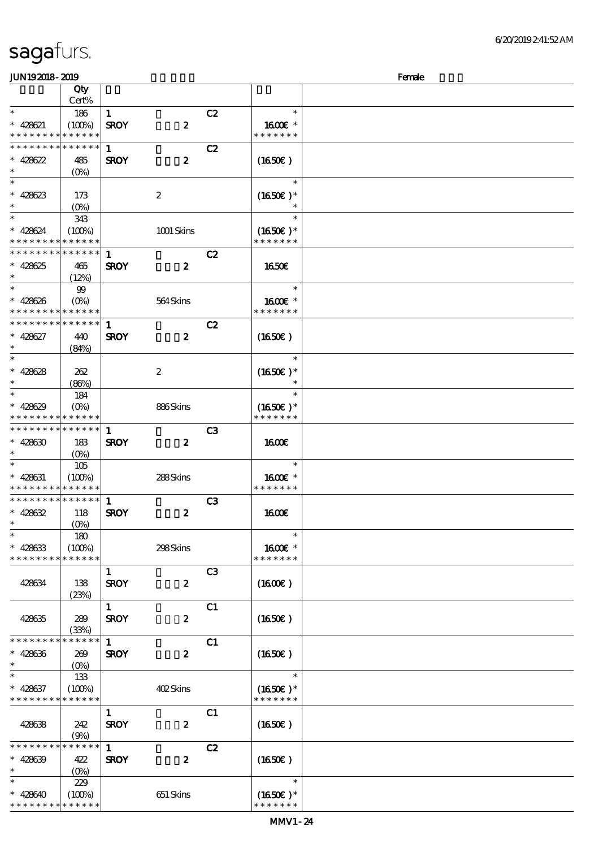|  | sagafurs. |
|--|-----------|
|  |           |

### $J/N192018 - 2019$   $Femle$

| without with             |                    |              |                  |                |                  | <u>. a.c.</u> |
|--------------------------|--------------------|--------------|------------------|----------------|------------------|---------------|
|                          | Qty                |              |                  |                |                  |               |
|                          | Cert%              |              |                  |                |                  |               |
| $\ast$                   | 186                | $\mathbf{1}$ |                  | C2             | $\ast$           |               |
| $* 428621$               | (100%)             | <b>SROY</b>  | $\boldsymbol{z}$ |                | 1600€ *          |               |
| * * * * * * * *          | * * * * * *        |              |                  |                | * * * * * * *    |               |
| * * * * * * * *          | * * * * * *        | $\mathbf{1}$ |                  | C2             |                  |               |
| $* 428622$               | 485                | <b>SROY</b>  | $\boldsymbol{z}$ |                | (1650E)          |               |
| $\ast$                   | $(0\%)$            |              |                  |                |                  |               |
| $\ast$                   |                    |              |                  |                | $\ast$           |               |
| $* 428623$               | 173                |              | $\boldsymbol{2}$ |                | $(1650)$ *       |               |
| $\ast$                   | $(O\%)$            |              |                  |                |                  |               |
| $\ast$                   | 343                |              |                  |                | $\ast$           |               |
| $* 428624$               | (100%)             |              | 1001 Skins       |                | $(1650)$ *       |               |
| * * * * * * * *          | * * * * * *        |              |                  |                | * * * * * * *    |               |
| * * * * * * * *          | * * * * * *        | $\mathbf{1}$ |                  | C2             |                  |               |
|                          |                    |              |                  |                |                  |               |
| $* 428625$<br>$\ast$     | 465                | <b>SROY</b>  | $\boldsymbol{z}$ |                | <b>1650€</b>     |               |
| $\ast$                   | (12%)              |              |                  |                | $\ast$           |               |
|                          | 99                 |              |                  |                |                  |               |
| $* 428626$               | $(O\%)$            |              | 564Skins         |                | 1600€ *          |               |
| * * * * * * * *          | * * * * * *        |              |                  |                | * * * * * * *    |               |
| * * * * * * * *          | * * * * * *        | $\mathbf{1}$ |                  | C2             |                  |               |
| $* 428627$               | 440                | <b>SROY</b>  | $\boldsymbol{z}$ |                | (1650)           |               |
| $\ast$                   | (84%)              |              |                  |                |                  |               |
| $\ast$                   |                    |              |                  |                | $\ast$           |               |
| $* 428628$               | 262                |              | $\boldsymbol{2}$ |                | $(1650)$ *       |               |
| $\ast$                   | (80%)              |              |                  |                |                  |               |
| $\ast$                   | 184                |              |                  |                | $\ast$           |               |
| $* 428629$               | $(O\%)$            |              | 886Skins         |                | $(1650)$ *       |               |
| * * * * * * * *          | * * * * * *        |              |                  |                | * * * * * * *    |               |
| * * * * * * * *          | ******             | 1            |                  | C <sub>3</sub> |                  |               |
| $* 428630$               | 183                | <b>SROY</b>  | $\boldsymbol{z}$ |                | <b>1600€</b>     |               |
| $\ast$                   | (O <sub>0</sub> )  |              |                  |                |                  |               |
| $\overline{\phantom{0}}$ | 105                |              |                  |                | $\ast$           |               |
| $* 428631$               | (100%)             |              | 288Skins         |                | 1600E *          |               |
| * * * * * * * *          | * * * * * *        |              |                  |                | * * * * * * *    |               |
| * * * * * * * *          | ******             | $\mathbf{1}$ |                  | C3             |                  |               |
| $* 428632$               | 118                | <b>SROY</b>  | $\boldsymbol{z}$ |                | <b>1600€</b>     |               |
| $\ast$                   | $(O\!/\!\!\delta)$ |              |                  |                |                  |               |
| $\ast$                   | 180                |              |                  |                | $\ast$           |               |
| $* 428633$               | (100%)             |              | 298Skins         |                | 1600€ *          |               |
| * * * * * * * *          | * * * * * *        |              |                  |                | * * * * * * *    |               |
|                          |                    |              |                  |                |                  |               |
|                          |                    | $\mathbf{1}$ |                  | C <sub>3</sub> |                  |               |
| 428634                   | 138                | <b>SROY</b>  | $\pmb{2}$        |                | (1600)           |               |
|                          | (23%)              |              |                  |                |                  |               |
|                          |                    | $\mathbf{1}$ |                  | C1             |                  |               |
| 428635                   | 289                | <b>SROY</b>  | $\boldsymbol{z}$ |                | $(1650\epsilon)$ |               |
|                          | (33%)              |              |                  |                |                  |               |
| * * * * * * *            | * * * * * *        | $\mathbf{1}$ |                  | C1             |                  |               |
| $* 428636$               | 269                | <b>SROY</b>  | $\boldsymbol{2}$ |                | (1650)           |               |
| $\ast$                   | $(0\%)$            |              |                  |                |                  |               |
| $\ast$                   | 133                |              |                  |                | $\ast$           |               |
| $* 428637$               | (100%)             |              | 402Skins         |                | $(1650)$ *       |               |
| * * * * * * * *          | * * * * * *        |              |                  |                | * * * * * * *    |               |
|                          |                    | $\mathbf{1}$ |                  | C1             |                  |               |
| 428638                   | 242                | <b>SROY</b>  | $\boldsymbol{z}$ |                | (1650E)          |               |
|                          | (9%)               |              |                  |                |                  |               |
| * * * * * * *            | * * * * * *        | $\mathbf{1}$ |                  | C2             |                  |               |
| $* 428639$               | 422                | <b>SROY</b>  | $\boldsymbol{z}$ |                | (1650)           |               |
| $\ast$                   | (O <sub>0</sub> )  |              |                  |                |                  |               |
| $\ast$                   | 229                |              |                  |                | $\ast$           |               |
| $* 428640$               | (100%)             |              | 651 Skins        |                | $(1650)$ *       |               |
| * * * * * * * *          | * * * * * *        |              |                  |                | * * * * * * *    |               |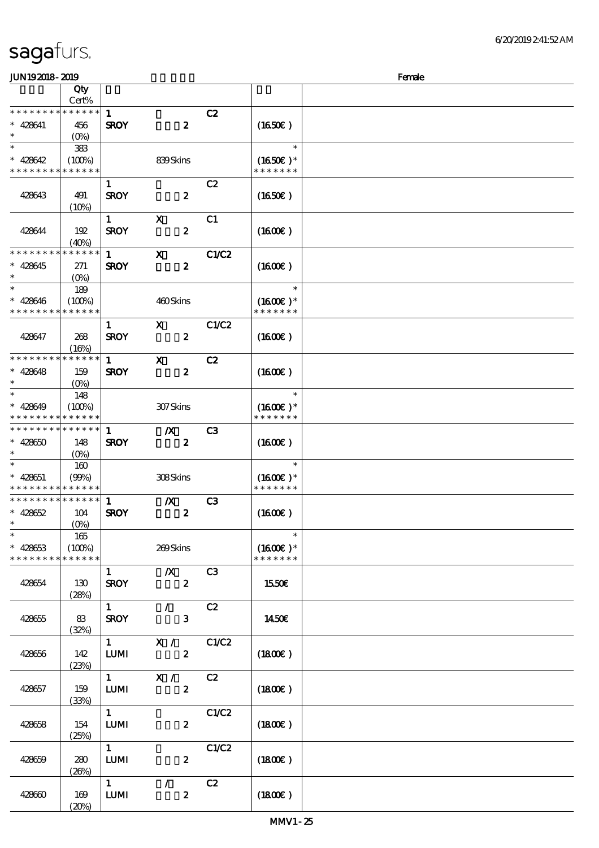| JUN192018-2019                |                       |                               |                           |                |                             | Female |
|-------------------------------|-----------------------|-------------------------------|---------------------------|----------------|-----------------------------|--------|
|                               | Qty                   |                               |                           |                |                             |        |
|                               | Cert%                 |                               |                           |                |                             |        |
| * * * * * * * *               | $******$              | $\mathbf{1}$                  |                           | C2             |                             |        |
| $* 428641$                    | 456                   | <b>SROY</b>                   | $\boldsymbol{z}$          |                | (1650)                      |        |
| $\ast$                        | $(O\%)$               |                               |                           |                |                             |        |
| $\ast$                        | 383                   |                               |                           |                | $\ast$                      |        |
| $* 428642$                    | (100%)                |                               | 839Skins                  |                | $(1650)$ *                  |        |
| * * * * * * * *               | * * * * * *           |                               |                           |                | * * * * * * *               |        |
|                               |                       | $\mathbf{1}$                  |                           | C2             |                             |        |
| 428643                        | 491                   | <b>SROY</b>                   | $\boldsymbol{z}$          |                | $(1650\epsilon)$            |        |
|                               | (10%)                 |                               |                           |                |                             |        |
|                               |                       | $\mathbf{1}$                  | X                         | C <sub>1</sub> |                             |        |
| 428644                        | 192                   | <b>SROY</b>                   | $\boldsymbol{z}$          |                | $(1600\varepsilon)$         |        |
|                               | (40%)                 |                               |                           |                |                             |        |
| * * * * * * * *               | * * * * * *           | $\mathbf{1}$                  | $\boldsymbol{\mathrm{X}}$ | C1/C2          |                             |        |
| $* 428645$                    | 271                   | <b>SROY</b>                   | $\boldsymbol{z}$          |                | $(1600\varepsilon)$         |        |
| $\ast$                        | $(O\%)$               |                               |                           |                |                             |        |
| $\ast$                        | 189                   |                               |                           |                | $\ast$                      |        |
| $* 428646$                    | (100%)                |                               | 460Skins                  |                | $(1600E)*$                  |        |
| * * * * * * * *               | * * * * * *           |                               |                           |                | * * * * * * *               |        |
|                               |                       | $\mathbf{1}$                  | $\mathbf{x}$              | C1/C2          |                             |        |
| 428647                        | 268                   | <b>SROY</b>                   | $\boldsymbol{z}$          |                | $(1600\varepsilon)$         |        |
| * * * * * * * *               | (16%)                 |                               |                           |                |                             |        |
|                               | * * * * * *           | $\mathbf{1}$                  | $\mathbf{x}$              | C2             |                             |        |
| $* 428648$                    | 159                   | <b>SROY</b>                   | $\boldsymbol{z}$          |                | $(1600\varepsilon)$         |        |
| $\ast$<br>$\ast$              | $(O\% )$              |                               |                           |                | $\ast$                      |        |
|                               | 148                   |                               |                           |                |                             |        |
| $* 428649$<br>* * * * * * * * | (100%)<br>* * * * * * |                               | 307Skins                  |                | $(1600E)*$<br>* * * * * * * |        |
| * * * * * * * *               | $* * * * * * *$       |                               |                           |                |                             |        |
| $* 42860$                     |                       | 1                             | $\boldsymbol{X}$          | C <sub>3</sub> |                             |        |
| $\ast$                        | 148                   | <b>SROY</b>                   | $\boldsymbol{z}$          |                | $(1600\varepsilon)$         |        |
| $\ast$                        | $(O\%)$<br>160        |                               |                           |                | $\ast$                      |        |
| $* 428651$                    |                       |                               | 308Skins                  |                | $(1600E)*$                  |        |
| * * * * * * * * * * * * * *   | (90%)                 |                               |                           |                | * * * * * * *               |        |
| * * * * * * * *               | ******                | $\mathbf{1}$                  | $\boldsymbol{X}$          | C3             |                             |        |
| $* 428652$                    | 104                   | <b>SROY</b>                   | $\boldsymbol{2}$          |                | $(1600\varepsilon)$         |        |
| $\ast$                        | (O <sub>0</sub> )     |                               |                           |                |                             |        |
| $\ast$                        | 165                   |                               |                           |                | $\ast$                      |        |
| $* 428653$                    | (100%)                |                               | 269Skins                  |                | $(1600E)*$                  |        |
| * * * * * * * *               | * * * * * *           |                               |                           |                | * * * * * * *               |        |
|                               |                       | $\mathbf{1}$                  | $\mathbf{X}$              | C3             |                             |        |
| 428654                        | 130                   | <b>SROY</b>                   | $\boldsymbol{z}$          |                | 1550E                       |        |
|                               | (28%)                 |                               |                           |                |                             |        |
|                               |                       | $1 \quad \blacksquare$        | $\mathcal{L}$             | C2             |                             |        |
| 428655                        | 83                    | <b>SROY</b>                   | 3 <sup>1</sup>            |                | 1450E                       |        |
|                               | (32%)                 |                               |                           |                |                             |        |
|                               |                       | $\mathbf{1}$ and $\mathbf{1}$ | X / C1/C2                 |                |                             |        |
| 428656                        | 142                   | <b>LUMI</b>                   | $\mathbf{2}$              |                | $(1800\epsilon)$            |        |
|                               | (23%)                 |                               |                           |                |                             |        |
|                               |                       | $1 \qquad \qquad$             | $\mathbf{X}$ /            | C2             |                             |        |
| 428657                        | 159                   | $\textbf{LUM}$                | $\boldsymbol{2}$          |                | (1800)                      |        |
|                               | (33%)                 |                               |                           |                |                             |        |
|                               |                       | 1                             |                           | C1/C2          |                             |        |
| 428658                        | 154                   | <b>LUMI</b>                   | $\boldsymbol{z}$          |                | $(1800\varepsilon)$         |        |
|                               | (25%)                 |                               |                           |                |                             |        |
|                               |                       | $1 \quad$                     |                           | C1/C2          |                             |        |
| 428659                        | 280                   | <b>LUMI</b>                   | $\boldsymbol{z}$          |                | $(1800\epsilon)$            |        |
|                               | (20%)                 |                               |                           |                |                             |        |
|                               |                       | $1 \quad \blacksquare$        | $\mathcal{F}$             | C2             |                             |        |
| 428660                        | 169                   | <b>LUMI</b>                   | $\boldsymbol{z}$          |                | (1800E)                     |        |
|                               | (20%)                 |                               |                           |                |                             |        |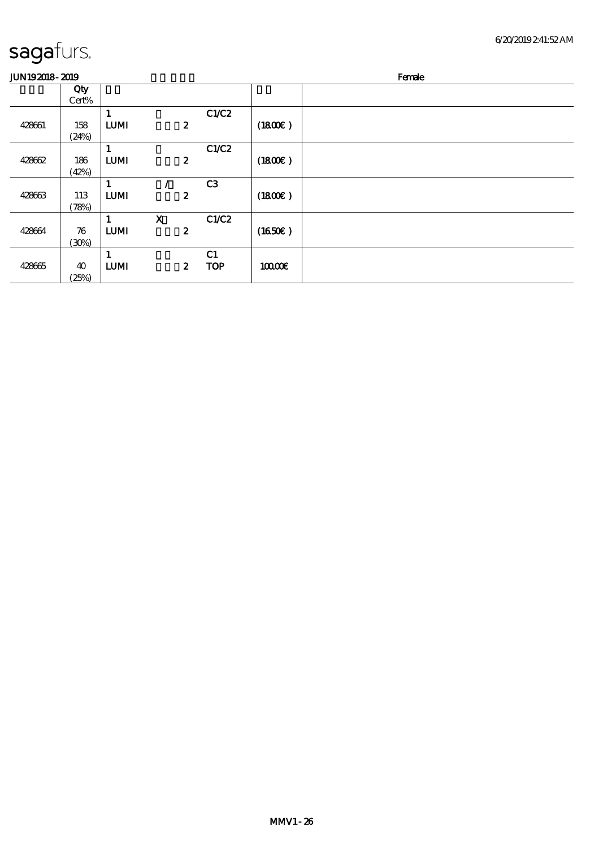$\overline{\phantom{0}}$ 

| <b>JUN192018-2019</b> |              |                  |                                 |                  |         | Female |
|-----------------------|--------------|------------------|---------------------------------|------------------|---------|--------|
|                       | Qty<br>Cert% |                  |                                 |                  |         |        |
| 428661                | 158<br>(24%) | 1<br><b>LUMI</b> | $\boldsymbol{z}$                | C1/C2            | (1800)  |        |
| 428662                | 186<br>(42%) | 1<br><b>LUMI</b> | $\boldsymbol{2}$                | C1/C2            | (1800)  |        |
| 428663                | 113<br>(78%) | 1<br><b>LUMI</b> | $\boldsymbol{z}$                | C <sub>3</sub>   | (1800E) |        |
| 428664                | 76<br>(30%)  | 1<br><b>LUMI</b> | $\mathbf X$<br>$\boldsymbol{2}$ | C1/C2            | (1650)  |        |
| 428665                | 40<br>(25%)  | 1<br><b>LUMI</b> | $\boldsymbol{z}$                | C1<br><b>TOP</b> | 10000E  |        |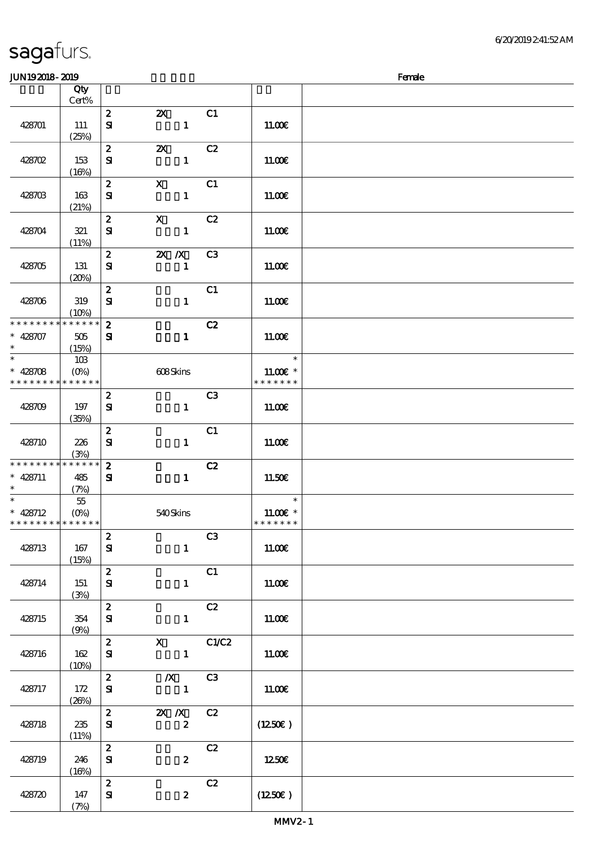### 顺序号 Qty 说明 价格 Cert% 2 2X C1 428701 111  $\mathbf{S}$  1 11.00€  $(25%)$ 2 2X C2  $S$ **I** 11.00€ 428702 153  $(16%)$ 2 X C1 428703 163  $S1$  11.00 $\varepsilon$ (21%) 2 X C2  $S$ **I** 11.00€ 428704 321 (11%) 2 2X /X C3 428705 131  $\mathbf{S}$  1 11.00€  $(20%)$  $2$  C1 428706 319  $S$ **I** 11.00€  $(10%)$ \* \* \* \* \* \* \* \* \* \* \* \*  $2$  C2  $\ast$ 428707 505  $S1$  1 11.00€ \*\* (15%) j. 103 \*\* \*\* <sup>428708</sup>  $(0%)$  608 Skins 11.00€ \* \* \* \* \* \* \* \* \* \* \* \* \* \* \* \* \* \* \* \*  $2 \hspace{1.5cm} C3$ 428709 197  $\mathbf{S}$  1 11.00€ (35%)  $2$  C1 428710 226  $S1$  11.00 $\varepsilon$ (3%) \* \* \* \* \* \* \* \* \* \* \* \* \* 2 C2  $\ast$ 428711 485  $S1$  1 11.50€ \*\* (7%) \*  $* 428712$ 55  $\overline{\phantom{a}}$ \*\* 11.00€ \* (0%) 540 Skins \* \* \* \* \* \* \* \* \* \* \* \* \* \* \* \* \* \*  $\overline{2}$  C3 428713 167  $\mathbf{S}$  1 11.00€ (15%)  $2$  C1  $S$ **I** 11.00€ 428714 151 (3%) 2 C2  $S1$  11.00 $\varepsilon$ 428715 354 (9%) 2  $X$  C1/C2 428716 162  $\mathbf{S}$  1 11.00€  $(10%)$  $\overline{\text{2}}$   $\overline{\text{X}}$   $\overline{\text{C3}}$ 428717 172  $\mathbf{S}$  1 11.00€  $(26%)$ 2 2X /X C2  $\mathbf{S}$  2 (12.50€) 428718 235  $(11%)$  $2$  C<sub>2</sub>  $S$  2  $12.50$ 428719 246  $(16%)$ 2  $C2$ 428720 147  $S$ **I**  $2$  (12.50€) (7%)

JUN192018-2019 Female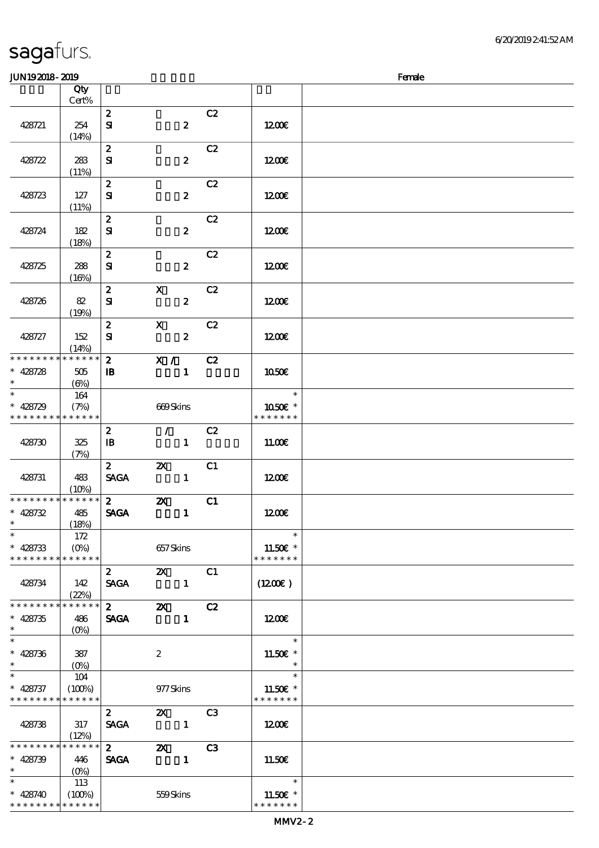\* \* \* \* \* \*

| sagafurs. |
|-----------|
|-----------|

\* \* \* \* \* \* \* \* \* \* \* \*

| <b>JUN192018-2019</b>                                              |                               |                                        |                                               |    |                                                  | Female |
|--------------------------------------------------------------------|-------------------------------|----------------------------------------|-----------------------------------------------|----|--------------------------------------------------|--------|
|                                                                    | Qty                           |                                        |                                               |    |                                                  |        |
|                                                                    | $Cert\%$                      |                                        |                                               |    |                                                  |        |
| 428721                                                             | 254<br>(14%)                  | $\boldsymbol{z}$<br>$\mathbf{S}$       | $\boldsymbol{z}$                              | C2 | 1200                                             |        |
| 428722                                                             | 283<br>(11%)                  | $\boldsymbol{z}$<br>$\mathbf{S}$       | $\pmb{2}$                                     | C2 | 1200E                                            |        |
| 428723                                                             | 127<br>(11%)                  | $\boldsymbol{z}$<br>$\mathbf{S}$       | $\boldsymbol{z}$                              | C2 | 1200E                                            |        |
| 428724                                                             | 182<br>(18%)                  | $\boldsymbol{z}$<br>${\bf s}$          | $\boldsymbol{z}$                              | C2 | 1200E                                            |        |
| 428725                                                             | 288<br>(16%)                  | $\boldsymbol{z}$<br>${\bf s}$          | $\boldsymbol{z}$                              | C2 | 1200                                             |        |
| 428726                                                             | 82<br>(19%)                   | $\boldsymbol{z}$<br>${\bf s}$          | $\boldsymbol{\mathrm{X}}$<br>$\boldsymbol{z}$ | C2 | 1200                                             |        |
| 428727                                                             | 152<br>(14%)                  | $\boldsymbol{z}$<br>${\bf s}$          | $\mathbf X$<br>$\boldsymbol{z}$               | C2 | 1200                                             |        |
| * * * * * * * * <mark>* * * * * * *</mark><br>$* 428728$<br>$\ast$ | $505\,$<br>$(\Theta)$         | $\boldsymbol{2}$<br>$\mathbf{B}$       | X /<br>$\mathbf{1}$                           | C2 | 1050E                                            |        |
| $\ast$<br>$* 428729$<br>* * * * * * * * * * * * *                  | 164<br>(7%)                   |                                        | 669Skins                                      |    | $\ast$<br>1050E *<br>* * * * * * *               |        |
| 428730                                                             | 325<br>(7%)                   | $\boldsymbol{z}$<br>$\mathbf{B}$       | $\mathcal{L}$<br>$\mathbf{1}$                 | C2 | 11.00E                                           |        |
| 428731                                                             | 483<br>(10%)                  | $2^{\circ}$<br><b>SAGA</b>             | $\boldsymbol{\mathsf{X}}$<br>$\mathbf{1}$     | C1 | 1200E                                            |        |
| * * * * * * * * * * * * * *<br>$* 428732$                          | 485<br>(18%)                  | $2^{\circ}$<br><b>SAGA</b>             | $\boldsymbol{\mathsf{z}}$<br>$\mathbf{1}$     | C1 | 1200E                                            |        |
| $\ast$<br>$* 428733$<br>* * * * * * * * * * * * * *                | 172<br>$(O\%)$                |                                        | 657Skins                                      |    | $\ast$<br>11.50 $\varepsilon$ *<br>* * * * * * * |        |
| 428734                                                             | 142<br>(22%)                  | $\mathbf{2}$<br><b>SAGA</b>            | $\mathbf{X}$                                  | C1 | $(1200\varepsilon)$                              |        |
| * * * * * * * *<br>$* 428735$<br>$\ast$                            | * * * * * *<br>486<br>$(O\%)$ | $\overline{\mathbf{z}}$<br><b>SAGA</b> | $\mathbf{X}$<br>$\mathbf{1}$                  | C2 | 1200                                             |        |
| $\overline{\phantom{a}^*}$<br>$* 428736$<br>$\ast$                 | 387                           |                                        | $\boldsymbol{z}$                              |    | $\ast$<br>11.50 $\varepsilon$ *<br>$\ast$        |        |
| $\ast$<br>$* 428737$<br>* * * * * * * * * * * * * *                | 104<br>(100%)                 |                                        | 977 Skins                                     |    | $\ast$<br>11.50€ *<br>* * * * * * *              |        |
| 428738                                                             | 317<br>(12%)                  | $\mathbf{2}$<br><b>SAGA</b>            | $\mathbf{Z} \mathbf{X}$ C3                    |    | 1200                                             |        |
| * * * * * * * * * * * * * *<br>$* 428739$<br>$\ast$                | 446<br>$(0\%)$                | $\mathbf{2}$<br><b>SAGA</b>            | $\boldsymbol{\mathsf{Z}}$<br>$\sim$ 1         | C3 | 11.50E                                           |        |
| * $428740$                                                         | 113<br>(100%)                 |                                        | 559Skins                                      |    | $\ast$<br>$11.50E$ *                             |        |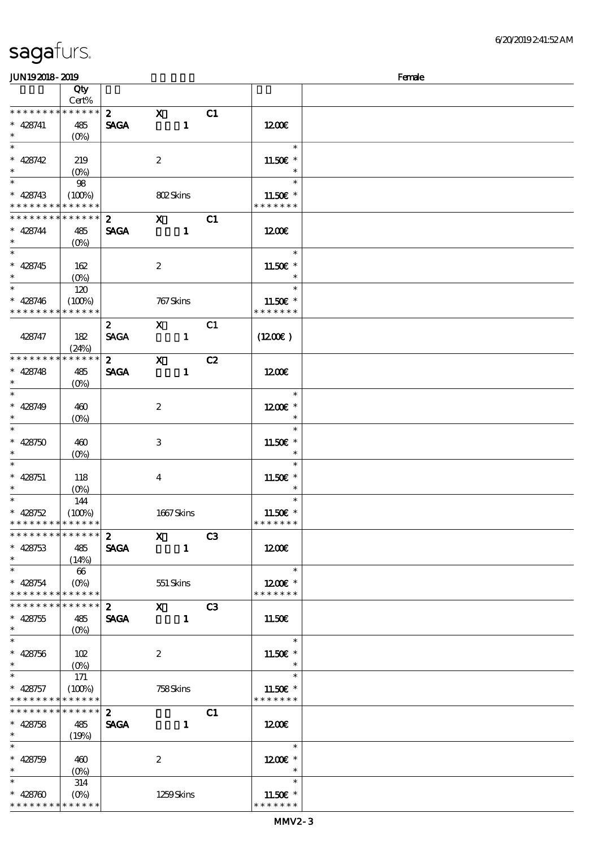\* \* \* \* \* \* \* \* <mark>\* \* \* \* \* \* \*</mark>

| JUN192018-2019                           |                                 |                  |                                                                    |    |                          | Female |
|------------------------------------------|---------------------------------|------------------|--------------------------------------------------------------------|----|--------------------------|--------|
|                                          | Qty                             |                  |                                                                    |    |                          |        |
|                                          | Cert%                           |                  |                                                                    |    |                          |        |
| * * * * * * * *                          | ******                          | $\mathbf{z}$     | $\mathbf{x}$                                                       | C1 |                          |        |
| $* 428741$                               | 485                             | <b>SAGA</b>      | $\mathbf{1}$                                                       |    | 1200E                    |        |
| $\ast$                                   | $(O\%)$                         |                  |                                                                    |    |                          |        |
| $\overline{\phantom{0}}$                 |                                 |                  |                                                                    |    | $\ast$                   |        |
| * $428742$                               | 219                             |                  | $\boldsymbol{2}$                                                   |    | $11.50E$ *               |        |
| $\ast$                                   | $(O\%)$                         |                  |                                                                    |    | $\ast$                   |        |
|                                          | 98                              |                  |                                                                    |    | $\ast$                   |        |
|                                          |                                 |                  |                                                                    |    |                          |        |
| $* 428743$<br>* * * * * * * *            | (100%)                          |                  | 802Skins                                                           |    | $11.50E$ *               |        |
|                                          | * * * * * *                     |                  |                                                                    |    | * * * * * * *            |        |
| * * * * * * * *                          | $* * * * * * *$                 | $\boldsymbol{2}$ | $\mathbf{X}$                                                       | C1 |                          |        |
| $* 428744$                               | 485                             | <b>SAGA</b>      | $\mathbf{1}$                                                       |    | 1200E                    |        |
| $\ast$                                   | $(O\%)$                         |                  |                                                                    |    |                          |        |
|                                          |                                 |                  |                                                                    |    | $\ast$                   |        |
| $* 428745$                               | 162                             |                  | $\boldsymbol{2}$                                                   |    | 11.50€ *                 |        |
| $\ast$                                   | $(O\%)$                         |                  |                                                                    |    | $\ast$                   |        |
| $\overline{\phantom{0}}$                 | 120                             |                  |                                                                    |    | $\ast$                   |        |
| $* 428746$                               | (100%)                          |                  | 767 Skins                                                          |    | $11.50E$ *               |        |
| * * * * * * * *                          | * * * * * *                     |                  |                                                                    |    | * * * * * * *            |        |
|                                          |                                 | $\boldsymbol{2}$ | $\mathbf{X}$                                                       | C1 |                          |        |
| 428747                                   | 182                             | <b>SACA</b>      | $\mathbf{1}$                                                       |    | $(1200\varepsilon)$      |        |
|                                          | (24%)                           |                  |                                                                    |    |                          |        |
| * * * * * * * *                          | * * * * * *                     | $\mathbf{2}$     | $\mathbf{x}$                                                       | C2 |                          |        |
|                                          |                                 |                  |                                                                    |    |                          |        |
| $* 428748$                               | 485                             | <b>SAGA</b>      | $\mathbf{1}$                                                       |    | 1200                     |        |
| $\ast$<br>$\overline{\ast}$              | $(O\%)$                         |                  |                                                                    |    |                          |        |
|                                          |                                 |                  |                                                                    |    | $\ast$                   |        |
| * $428749$                               | 460                             |                  | $\boldsymbol{2}$                                                   |    | $1200E$ *                |        |
| $\ast$                                   | $(O\% )$                        |                  |                                                                    |    | $\ast$                   |        |
| $\overline{\ast}$                        |                                 |                  |                                                                    |    | $\ast$                   |        |
| * $428750$                               | 460                             |                  | 3                                                                  |    | $11.50E$ *               |        |
| $\ast$                                   | $(O\%)$                         |                  |                                                                    |    | $\ast$                   |        |
| $\ast$                                   |                                 |                  |                                                                    |    | $\ast$                   |        |
| $* 428751$                               | 118                             |                  | $\bf{4}$                                                           |    | 11.50€ *                 |        |
| $\ast$                                   | $(O\!/\!o)$                     |                  |                                                                    |    | $\ast$                   |        |
| $\overline{\phantom{0}}$                 | 144                             |                  |                                                                    |    | $\ast$                   |        |
| * $428752$                               | (100%)                          |                  | 1667Skins                                                          |    | 11.50 $\varepsilon$ *    |        |
| * * * * * * * * * * * * * *              |                                 |                  |                                                                    |    | * * * * * * *            |        |
| * * * * * * * * * * * * * *              |                                 |                  | $\overline{\text{2}}$ $\overline{\text{X}}$ $\overline{\text{C3}}$ |    |                          |        |
| $* 428753$                               | 485                             | <b>SAGA</b>      | $\sim$ 1                                                           |    | 1200                     |        |
| $\ast$                                   |                                 |                  |                                                                    |    |                          |        |
| $\ast$                                   | (14%)                           |                  |                                                                    |    | $\overline{\phantom{a}}$ |        |
|                                          | 66                              |                  |                                                                    |    |                          |        |
| $* 428754$                               |                                 |                  | 551 Skins                                                          |    | 1200E *                  |        |
| * * * * * * * *<br>* * * * * * * *       | $* * * * * * *$                 |                  |                                                                    |    | * * * * * * *            |        |
|                                          | $* * * * * * *$                 |                  | $2$ X C3                                                           |    |                          |        |
| $* 428755$                               | 485                             |                  | SAGA 1                                                             |    | 11.50E                   |        |
| $\star$                                  |                                 |                  |                                                                    |    |                          |        |
| $\overline{\mathbf{r}}$                  |                                 |                  |                                                                    |    | $\overline{\phantom{a}}$ |        |
| $* 428756$                               | 102                             |                  | $\mathbf{2}$                                                       |    | 11.50 $\varepsilon$ *    |        |
| $\ast$                                   | $(O\!/\!\!\!\!\!\!\!O)$         |                  |                                                                    |    | $\overline{\phantom{a}}$ |        |
| $\star$                                  | 171                             |                  |                                                                    |    | $\ast$                   |        |
| $* 428757$                               | (100%)                          |                  | 758Skins                                                           |    | 11.50 $\varepsilon$ *    |        |
| * * * * * * * * <mark>* * * * * *</mark> |                                 |                  |                                                                    |    | * * * * * * *            |        |
| * * * * * * * *                          | $******$                        | $2^{\circ}$      |                                                                    | C1 |                          |        |
| $* 428758$                               | 485                             | <b>SAGA</b>      | $\blacksquare$                                                     |    | 1200€                    |        |
| $\ast$                                   | (19%)                           |                  |                                                                    |    |                          |        |
| $\ast$                                   |                                 |                  |                                                                    |    | $\ast$                   |        |
|                                          |                                 |                  |                                                                    |    |                          |        |
| $* 428759$                               | 460                             |                  | $\boldsymbol{2}$                                                   |    | $1200E$ *                |        |
| $\ast$                                   | $(O\%)$                         |                  |                                                                    |    | $\ast$                   |        |
| $\ast$                                   | 314                             |                  |                                                                    |    | $\ast$                   |        |
| $* 428700$                               | $(O\!\!\!\!\!\!\backslash\rho)$ |                  | 1259Skins                                                          |    | $11.50E$ *               |        |

\* \* \* \* \* \* \*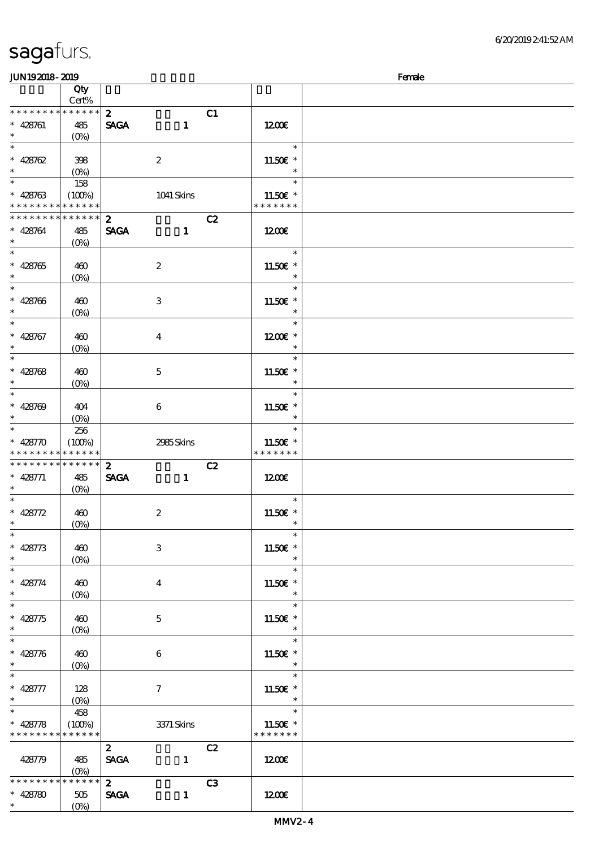\*

(0%)

| JUN192018-2019              |                                 |                  |                  |                |                       | Female |
|-----------------------------|---------------------------------|------------------|------------------|----------------|-----------------------|--------|
|                             | Qty                             |                  |                  |                |                       |        |
|                             | Cert%                           |                  |                  |                |                       |        |
| * * * * * * * *             | ******                          | $\mathbf{z}$     |                  | C1             |                       |        |
| $* 428761$                  | 485                             | <b>SAGA</b>      | $\mathbf{1}$     |                | 1200                  |        |
| $\ast$                      | (O <sub>0</sub> )               |                  |                  |                |                       |        |
|                             |                                 |                  |                  |                | $\ast$                |        |
|                             |                                 |                  |                  |                |                       |        |
| * 428762                    | 398                             |                  | $\boldsymbol{2}$ |                | 11.50 $\varepsilon$ * |        |
|                             | $(0\%)$                         |                  |                  |                | $\ast$                |        |
|                             | 158                             |                  |                  |                | $\ast$                |        |
| $* 428763$                  | (100%)                          |                  | 1041 Skins       |                | 11.50 £*              |        |
| * * * * * * * *             | $\ast\ast\ast\ast\ast\ast$      |                  |                  |                | * * * * * * *         |        |
| * * * * * * * *             | $\ast\ast\ast\ast\ast\ast$      | $\boldsymbol{z}$ |                  | C2             |                       |        |
| $* 428764$                  | 485                             | <b>SAGA</b>      | $\mathbf{1}$     |                | 1200E                 |        |
| $\ast$                      | $(O\%)$                         |                  |                  |                |                       |        |
|                             |                                 |                  |                  |                | $\ast$                |        |
| $* 428765$                  | 460                             |                  | $\boldsymbol{2}$ |                | 11.50€ *              |        |
| $\ast$                      | $(0\%)$                         |                  |                  |                | $\ast$                |        |
|                             |                                 |                  |                  |                | $\ast$                |        |
|                             |                                 |                  |                  |                |                       |        |
| $* 428706$                  | 460                             |                  | 3                |                | 11.50 $\varepsilon$ * |        |
| $\ast$                      | $(O\!/\!o)$                     |                  |                  |                | $\ast$                |        |
| $\overline{\ast}$           |                                 |                  |                  |                | $\ast$                |        |
| $* 428767$                  | 460                             |                  | $\bf{4}$         |                | $1200E$ *             |        |
| $\ast$                      | $(0\%)$                         |                  |                  |                | $\ast$                |        |
| $\overline{\ast}$           |                                 |                  |                  |                | $\ast$                |        |
| $* 428768$                  | 460                             |                  | $\mathbf{5}$     |                | 11.50€ *              |        |
| $\ast$                      | $(O\!\!\!\!\!\!\backslash\rho)$ |                  |                  |                | $\ast$                |        |
| $\overline{\ast}$           |                                 |                  |                  |                | $\ast$                |        |
| $* 428709$                  | 404                             |                  | $\boldsymbol{6}$ |                | 11.50 $\varepsilon$ * |        |
| $\ast$                      |                                 |                  |                  |                | $\ast$                |        |
|                             | $(O\!/\!\!\delta)$              |                  |                  |                | $\ast$                |        |
|                             | 256                             |                  |                  |                |                       |        |
| * $428770$                  | (100%)                          |                  | 2985Skins        |                | 11.50€ *              |        |
| * * * * * * * *             | * * * * * *                     |                  |                  |                | * * * * * * *         |        |
| * * * * * * * *             | $* * * * * * *$                 | $\mathbf{z}$     |                  | C2             |                       |        |
| $* 428771$                  | 485                             | <b>SAGA</b>      | $\mathbf{1}$     |                | 1200                  |        |
| $\ast$                      | $(O\%)$                         |                  |                  |                |                       |        |
|                             |                                 |                  |                  |                | $\ast$                |        |
| * 428772                    | 460                             |                  | $\boldsymbol{2}$ |                | 11.50 $\varepsilon$ * |        |
| $*$ $*$                     | (0%)                            |                  |                  |                | $\ast$                |        |
| $\ast$                      |                                 |                  |                  |                | $\ast$                |        |
| $* 428773$                  | 460                             |                  | 3                |                | 11.50€ *              |        |
| $\ast$                      |                                 |                  |                  |                | $\ast$                |        |
| $\ast$                      | $(0\%)$                         |                  |                  |                | $\ast$                |        |
|                             |                                 |                  |                  |                |                       |        |
| $* 428774$                  | 460                             |                  | $\bf{4}$         |                | 11.50€ *              |        |
| $\ast$<br>$\overline{\ast}$ | $(O\!\!\!\!\!\!\backslash\rho)$ |                  |                  |                | $\ast$                |        |
|                             |                                 |                  |                  |                | $\ast$                |        |
| $* 428775$                  | 460                             |                  | $\mathbf{5}$     |                | 11.50 $\varepsilon$ * |        |
| $\ast$                      | $(O\!\!\!\!\!\!\backslash\rho)$ |                  |                  |                | $\ast$                |        |
| $\overline{\ast}$           |                                 |                  |                  |                | $\ast$                |        |
| $* 428776$                  | 460                             |                  | 6                |                | 11.50€ *              |        |
| $*$                         | $(O\%)$                         |                  |                  |                | $\ast$                |        |
| $\ast$                      |                                 |                  |                  |                | $\ast$                |        |
| $* 428777$                  | 128                             |                  | $\tau$           |                | 11.50€ *              |        |
| $*$                         | $(0\%)$                         |                  |                  |                | $\ast$                |        |
| $\overline{\ast}$           | 458                             |                  |                  |                | $\ast$                |        |
| $* 428778$                  | (100%)                          |                  | 3371 Skins       |                | 11.50 $\varepsilon$ * |        |
| * * * * * * * *             | * * * * * *                     |                  |                  |                | * * * * * * *         |        |
|                             |                                 |                  |                  |                |                       |        |
|                             |                                 | $\mathbf{z}$     |                  | C2             |                       |        |
| 428779                      | 485                             | <b>SAGA</b>      | $\mathbf{1}$     |                | 1200E                 |        |
|                             | $(O\%)$                         |                  |                  |                |                       |        |
| * * * * * *                 | $* * * * * * *$                 | $\mathbf{2}$     |                  | C <sub>3</sub> |                       |        |
| $* 428780$                  | 505                             | <b>SAGA</b>      | 1                |                | 1200€                 |        |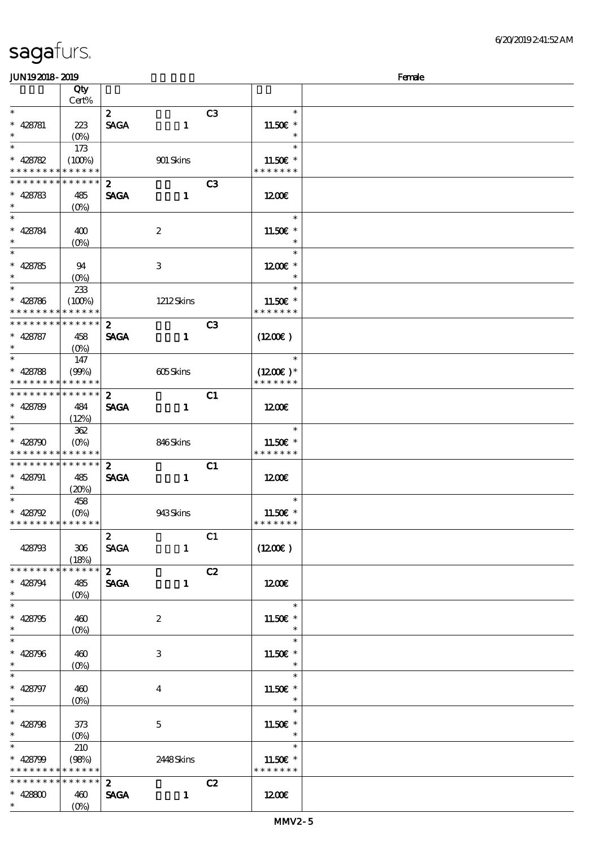| <b>saga</b> furs. |  |
|-------------------|--|
|                   |  |

| <b>JUN192018-2019</b>                     |                                 |                  |                  |                |                                        | Female |
|-------------------------------------------|---------------------------------|------------------|------------------|----------------|----------------------------------------|--------|
|                                           | Qty                             |                  |                  |                |                                        |        |
| $\ast$                                    | Cert%                           |                  |                  |                |                                        |        |
|                                           |                                 | $\boldsymbol{z}$ |                  | C3             | $\ast$                                 |        |
| $* 428781$<br>$\ast$                      | 223                             | <b>SAGA</b>      | $\mathbf{1}$     |                | 11.50 $\varepsilon$ *<br>$\ast$        |        |
| $\overline{\ast}$                         | (O <sub>0</sub> )<br>173        |                  |                  |                | $\ast$                                 |        |
| $* 428782$                                | (100%)                          |                  | 901 Skins        |                | 11.50€ *                               |        |
| * * * * * * * *                           | * * * * * *                     |                  |                  |                | * * * * * * *                          |        |
| * * * * * * * *                           | * * * * * *                     | $\mathbf{z}$     |                  | C3             |                                        |        |
| $* 428783$                                | 485                             | <b>SAGA</b>      | $\mathbf{1}$     |                | 1200                                   |        |
| $\ast$                                    | $(O\%)$                         |                  |                  |                |                                        |        |
| $\ast$                                    |                                 |                  |                  |                | $\ast$                                 |        |
| * 428784                                  | 400                             |                  | $\boldsymbol{2}$ |                | 11.50 $\varepsilon$ *                  |        |
|                                           | $(O\%)$                         |                  |                  |                | $\ast$                                 |        |
| $\overline{\ast}$                         |                                 |                  |                  |                | $\ast$                                 |        |
| $* 428785$<br>$\ast$                      | 94                              |                  | $\,3$            |                | $1200E$ *                              |        |
| $\overline{\phantom{0}}$                  | $(O\%)$                         |                  |                  |                | $\ast$<br>$\ast$                       |        |
| $* 428786$                                | 233<br>(100%)                   |                  | $1212$ Skins     |                | 11.50 $\varepsilon$ *                  |        |
| * * * * * * * *                           | * * * * * *                     |                  |                  |                | * * * * * * *                          |        |
| * * * * * * * *                           | * * * * * *                     | $\boldsymbol{z}$ |                  | C <sub>3</sub> |                                        |        |
| $* 428787$                                | 458                             | <b>SAGA</b>      | $\mathbf{1}$     |                | $(1200\varepsilon)$                    |        |
| $\ast$                                    | $(O\%)$                         |                  |                  |                |                                        |        |
| $\overline{\ast}$                         | 147                             |                  |                  |                | $\ast$                                 |        |
| $* 428788$                                | (90%)                           |                  | 605Skins         |                | $(1200E)*$                             |        |
| * * * * * * * *                           | * * * * * *                     |                  |                  |                | * * * * * * *                          |        |
| * * * * * * * *                           | * * * * * *                     | $\mathbf{z}$     |                  | C1             |                                        |        |
| $* 428789$                                | 484                             | <b>SAGA</b>      | $\mathbf{1}$     |                | 1200E                                  |        |
| $\ast$                                    | (12%)                           |                  |                  |                |                                        |        |
| $\ast$                                    | 362                             |                  |                  |                | $\ast$                                 |        |
| $* 428790$<br>* * * * * * * * * * * * * * | $(O\%)$                         |                  | 846Skins         |                | 11.50 $\varepsilon$ *<br>* * * * * * * |        |
| * * * * * * * * * * * * * *               |                                 | $\boldsymbol{z}$ |                  | C1             |                                        |        |
| $* 428791$                                | 485                             | <b>SAGA</b>      | $\mathbf{1}$     |                | 1200                                   |        |
| $\ast$                                    | (20%)                           |                  |                  |                |                                        |        |
|                                           | 458                             |                  |                  |                | $\ast$                                 |        |
| $* 428792$                                | $(O\%)$                         |                  | 943Skins         |                | 11.50 $\varepsilon$ *                  |        |
| * * * * * * * * * * * * * *               |                                 |                  |                  |                | * * * * * * *                          |        |
|                                           |                                 | $\boldsymbol{z}$ |                  | C1             |                                        |        |
| 428793                                    | 306                             | <b>SAGA</b>      | $\mathbf{1}$     |                | (1200E)                                |        |
|                                           | (18%)                           |                  |                  |                |                                        |        |
| * * * * * * * *                           | $* * * * * * *$                 | $\mathbf{2}$     |                  | C2             |                                        |        |
| $* 428794$<br>$\ast$                      | 485                             | <b>SAGA</b>      | $\mathbf{1}$     |                | 1200                                   |        |
| $\overline{\ast}$                         |                                 |                  |                  |                | $\ast$                                 |        |
| $* 428795$                                | 460                             |                  | $\boldsymbol{z}$ |                | 11.50 $\varepsilon$ *                  |        |
| $\ast$                                    | $(O\%)$                         |                  |                  |                | $\ast$                                 |        |
| $\overline{\ast}$                         |                                 |                  |                  |                | $\ast$                                 |        |
| $* 428796$                                | 460                             |                  | 3                |                | 11.50 $\varepsilon$ *                  |        |
| $\ast$                                    | $(O\%)$                         |                  |                  |                | $\ast$                                 |        |
| $\overline{\ast}$                         |                                 |                  |                  |                | $\ast$                                 |        |
| $* 428797$                                | 460                             |                  | $\overline{4}$   |                | 11.50 $\varepsilon$ *                  |        |
| $\ast$                                    | $(O\!\!\!\!\!\!\backslash\rho)$ |                  |                  |                | $\ast$                                 |        |
| $\overline{\ast}$                         |                                 |                  |                  |                | $\ast$                                 |        |
| $* 428798$<br>$\ast$                      | 373                             |                  | $\mathbf{5}$     |                | 11.50 $\varepsilon$ *<br>$\ast$        |        |
| $\overline{\ast}$                         | $(O\!/\!\!\delta)$<br>210       |                  |                  |                | $\ast$                                 |        |
| $* 428799$                                | (98%)                           |                  | 2448Skins        |                | 11.50 $\varepsilon$ *                  |        |
| * * * * * * * * * * * * * *               |                                 |                  |                  |                | * * * * * * *                          |        |
| * * * * * * * *                           | ******                          | 2 <sup>1</sup>   |                  | C2             |                                        |        |
| $* 428800$                                | 460                             | <b>SAGA</b>      | $\mathbf{1}$     |                | 1200                                   |        |
| $\ast$                                    | $(O\!/\!\!\delta)$              |                  |                  |                |                                        |        |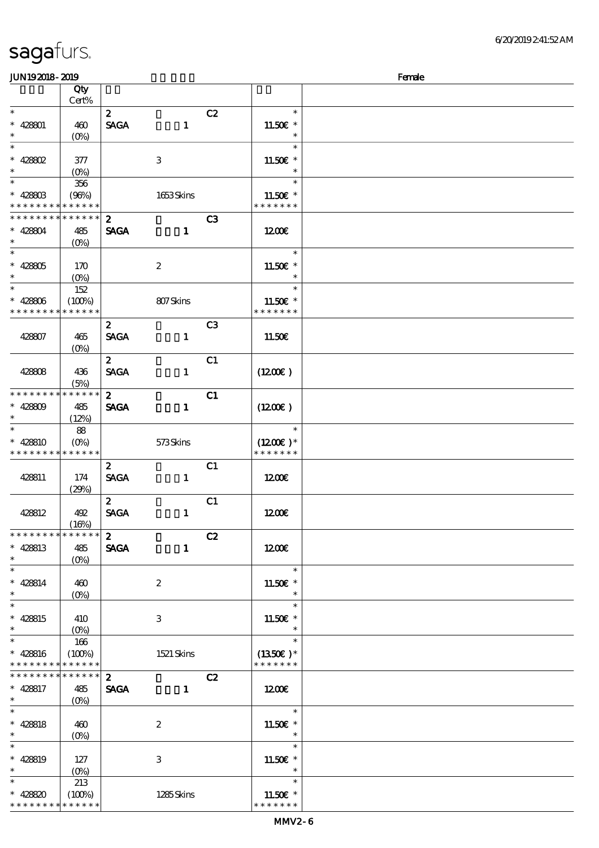\* \* \* \* \* \* \* \* <mark>\* \* \* \* \* \* \*</mark>

| <b>JUN192018-2019</b>                              |                               |                                 |                  |                |                                        | Female |
|----------------------------------------------------|-------------------------------|---------------------------------|------------------|----------------|----------------------------------------|--------|
|                                                    | Qty<br>Cert%                  |                                 |                  |                |                                        |        |
| $\ast$<br>$* 428001$<br>$\ast$                     | 460<br>$(O\!/\!\!\delta)$     | $\boldsymbol{z}$<br><b>SAGA</b> | $\mathbf{1}$     | C2             | $\ast$<br>11.50€ *<br>$\ast$           |        |
| $\ast$<br>$* 428802$<br>$\ast$                     | 377<br>$(0\%)$                |                                 | $\,3$            |                | $\ast$<br>11.50€ *<br>$\ast$           |        |
| $\ast$<br>$* 42880B$<br>* * * * * * * *            | 356<br>(96%)<br>* * * * * *   |                                 | 1653Skins        |                | $\ast$<br>11.50€ *<br>* * * * * * *    |        |
| * * * * * * * *<br>$* 428804$<br>$\ast$            | * * * * * *<br>485<br>$(O\%)$ | $\mathbf{z}$<br><b>SAGA</b>     | $\mathbf{1}$     | C3             | 1200                                   |        |
| $\ast$<br>$* 42805$<br>$\ast$                      | 170<br>$(0\%)$                |                                 | $\boldsymbol{2}$ |                | $\ast$<br>11.50€ *<br>$\ast$           |        |
| $\ast$<br>$* 428806$<br>* * * * * * * *            | 152<br>(100%)<br>* * * * * *  |                                 | 807Skins         |                | $\ast$<br>11.50€ *<br>* * * * * * *    |        |
| 428807                                             | 465<br>$(0\%)$                | $\boldsymbol{z}$<br><b>SACA</b> | $\mathbf{1}$     | C <sub>3</sub> | 11.50E                                 |        |
| 428808                                             | 436<br>(5%)                   | $\boldsymbol{z}$<br><b>SAGA</b> | $\mathbf{1}$     | C1             | (1200E)                                |        |
| * * * * * * * *<br>$* 428809$<br>$\ast$            | * * * * * *<br>485<br>(12%)   | $\mathbf{z}$<br><b>SAGA</b>     | $\mathbf{1}$     | C1             | (1200E)                                |        |
| $\ast$<br>* 428810<br>* * * * * * * *              | 88<br>$(O\%)$<br>* * * * * *  |                                 | 573Skins         |                | $\ast$<br>$(1200E)^*$<br>* * * * * * * |        |
| 428811                                             | 174<br>(29%)                  | $\boldsymbol{2}$<br><b>SAGA</b> | $\mathbf{1}$     | C1             | 1200                                   |        |
| 428812                                             | 492<br>(16%)                  | $\mathbf{z}$<br><b>SAGA</b>     | $\mathbf{1}$     | C1             | 1200E                                  |        |
| * * * * * * * *<br>$* 428813$<br>$\ast$            | * * * * * *<br>485<br>$(0\%)$ | $\boldsymbol{z}$<br><b>SAGA</b> | $\mathbf{1}$     | C2             | 1200                                   |        |
| $\overline{\phantom{0}}$<br>$* 428814$<br>$\ast$   | 460<br>$(0\%)$                |                                 | $\boldsymbol{2}$ |                | $\ast$<br>11.50€ *<br>$\ast$           |        |
| $\overline{\phantom{a}^*}$<br>$* 428815$<br>$\ast$ | 410<br>$(O\%)$                |                                 | 3                |                | $\ast$<br>11.50€ *<br>$\ast$           |        |
| $\overline{\ast}$<br>$* 428816$<br>* * * * * * * * | 166<br>(100%)<br>* * * * * *  |                                 | 1521 Skins       |                | $\ast$<br>$(1350E)*$<br>* * * * * * *  |        |
| * * * * * * * *<br>$* 428817$<br>$\ast$            | $******$<br>485<br>$(O\%)$    | $\mathbf{z}$<br><b>SAGA</b>     | $\mathbf{1}$     | C2             | 1200                                   |        |
| $\ast$<br>$* 428818$<br>$\ast$                     | 460<br>$(O\!/\!\!\delta)$     |                                 | $\boldsymbol{2}$ |                | $\ast$<br>11.50€ *<br>$\ast$           |        |
| $\overline{\ast}$<br>$* 428819$<br>$\ast$          | 127<br>$(O\%)$                |                                 | $\,3$            |                | $\ast$<br>11.50€ *<br>$\ast$           |        |
| $\ast$<br>$* 428820$<br>* * * * * * * *            | 213<br>(100%)<br>* * * * * *  |                                 | 1285Skins        |                | $\ast$<br>11.50€ *<br>* * * * * * *    |        |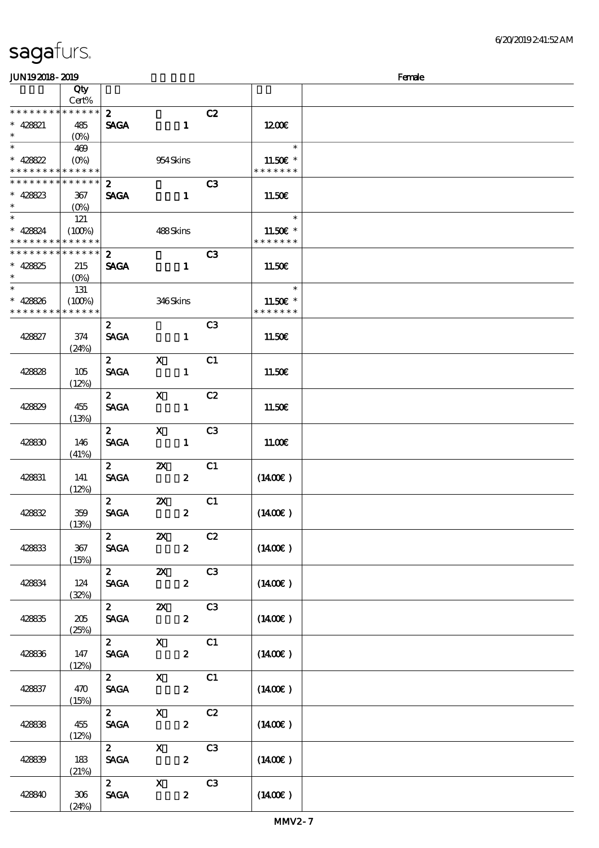(24%)

| JUN192018-2019                             |                 |                              |                           |                         |                       | Female |
|--------------------------------------------|-----------------|------------------------------|---------------------------|-------------------------|-----------------------|--------|
|                                            | Qty             |                              |                           |                         |                       |        |
|                                            | Cert%           |                              |                           |                         |                       |        |
| * * * * * * * * * * * * * * *              |                 | 2 <sup>1</sup>               |                           | C2                      |                       |        |
| $* 428821$                                 | 485             | <b>SAGA</b>                  | $\mathbf{1}$              |                         | 1200                  |        |
| $\ast$                                     | $(O\%)$         |                              |                           |                         |                       |        |
| $\overline{\ast}$                          | 469             |                              |                           |                         | $\ast$                |        |
| * 428822                                   |                 |                              | 954 Skins                 |                         | 11.50€ *              |        |
| * * * * * * * *                            | * * * * * *     |                              |                           |                         | * * * * * * *         |        |
| * * * * * * * *                            | * * * * * *     | $\boldsymbol{z}$             |                           | C3                      |                       |        |
| $* 428823$                                 | 367             | <b>SAGA</b>                  | $\mathbf{1}$              |                         | 11.50E                |        |
| $\ast$                                     | $(O\% )$        |                              |                           |                         |                       |        |
| $*$                                        | 121             |                              |                           |                         | $\ast$                |        |
| $* 428824$                                 | (100%)          |                              | 488Skins                  |                         | 11.50 $\varepsilon$ * |        |
| * * * * * * * *                            | $* * * * * * *$ |                              |                           |                         | * * * * * * *         |        |
| * * * * * * * * <mark>* * * * * * *</mark> |                 | $\mathbf{z}$                 |                           | C <sub>3</sub>          |                       |        |
| $* 428825$                                 | 215             | <b>SAGA</b>                  | $\mathbf{1}$              |                         | 11.50E                |        |
| $\ast$                                     | $(O\%)$         |                              |                           |                         |                       |        |
| $\overline{\ast}$                          | 131             |                              |                           |                         | $\ast$                |        |
| $* 428826$                                 | (100%)          |                              | 346Skins                  |                         | 11.50 $\varepsilon$ * |        |
| * * * * * * * *                            | * * * * * *     |                              |                           |                         | * * * * * * *         |        |
|                                            |                 | $\boldsymbol{2}$             |                           | C <sub>3</sub>          |                       |        |
| 428827                                     | 374             | <b>SAGA</b>                  | $\mathbf{1}$              |                         | 11.50E                |        |
|                                            | (24%)           |                              |                           |                         |                       |        |
|                                            |                 | $\mathbf{2}$                 | $\mathbf{x}$              | C1                      |                       |        |
| 428828                                     | 105             | <b>SAGA</b>                  | $\mathbf{1}$              |                         | 11.50E                |        |
|                                            | (12%)           |                              |                           |                         |                       |        |
|                                            |                 | $2^{\circ}$                  | $\mathbf{x}$              | C2                      |                       |        |
| 428829                                     | 455             | <b>SAGA</b>                  | $\mathbf{1}$              |                         | 11.50E                |        |
|                                            | (13%)           |                              |                           |                         |                       |        |
|                                            |                 | $\boldsymbol{2}$             | $\mathbf{x}$              | C3                      |                       |        |
| 428830                                     | 146             | <b>SACA</b>                  | $\mathbf{1}$              |                         | 11.00E                |        |
|                                            | (41%)           |                              |                           |                         |                       |        |
|                                            |                 | $\mathbf{2}$                 | $\boldsymbol{\mathsf{z}}$ | C1                      |                       |        |
| 428831                                     | 141             | <b>SAGA</b>                  | $\boldsymbol{z}$          |                         | $(1400\varepsilon)$   |        |
|                                            | (12%)           |                              |                           |                         |                       |        |
|                                            |                 | $\mathbf{2}$                 | $\boldsymbol{\mathsf{X}}$ | C1                      |                       |        |
| 428832                                     | 359             | $\ensuremath{\mathsf{SAGA}}$ | $\boldsymbol{2}$          |                         | $(1400\varepsilon)$   |        |
|                                            | (13%)           |                              |                           |                         |                       |        |
|                                            |                 | $\mathbf{z}$                 | $\boldsymbol{\mathsf{Z}}$ | C2                      |                       |        |
| 428833                                     | 367             | <b>SAGA</b>                  | $\mathbf{z}$              |                         | $(1400\varepsilon)$   |        |
|                                            | (15%)           | $\mathbf{2}$                 |                           |                         |                       |        |
|                                            |                 |                              | $\mathbf{X}$              | C3                      |                       |        |
| 428834                                     | 124             | <b>SAGA</b>                  | $\mathbf{2}$              |                         | $(1400\varepsilon)$   |        |
|                                            | (32%)           |                              | 2 $\mathbb{Z}$            | C3                      |                       |        |
| 428835                                     | 205             | <b>SAGA</b>                  | $\mathbf{z}$              |                         | $(1400\varepsilon)$   |        |
|                                            | (25%)           |                              |                           |                         |                       |        |
|                                            |                 | $\mathbf{2}$                 | $\mathbf{X}$              | $\overline{\text{c}}$ 1 |                       |        |
| 428836                                     | 147             | <b>SAGA</b>                  | $\mathbf{z}$              |                         | $(1400\varepsilon)$   |        |
|                                            | (12%)           |                              |                           |                         |                       |        |
|                                            |                 | $2^{\sim}$                   | $\mathbf{X}$              | C1                      |                       |        |
| 428837                                     | 470             | <b>SAGA</b>                  | $\boldsymbol{z}$          |                         | $(1400\varepsilon)$   |        |
|                                            | (15%)           |                              |                           |                         |                       |        |
|                                            |                 | $\mathbf{2}$                 | $\mathbf{X}$              | C2                      |                       |        |
| 428838                                     | 455             | <b>SAGA</b>                  | $\boldsymbol{z}$          |                         | $(1400\varepsilon)$   |        |
|                                            | (12%)           |                              |                           |                         |                       |        |
|                                            |                 | $\mathbf{2}$                 | $\mathbf{X}$              | C3                      |                       |        |
| 428839                                     | 183             | <b>SAGA</b>                  | $\mathbf{z}$              |                         | $(1400\varepsilon)$   |        |
|                                            | (21%)           |                              |                           |                         |                       |        |
|                                            |                 | $\mathbf{2}$                 | $\mathbf{X}$              | C3                      |                       |        |
| 428840                                     | 306             | <b>SAGA</b>                  | $\mathbf{z}$              |                         | $(1400\varepsilon)$   |        |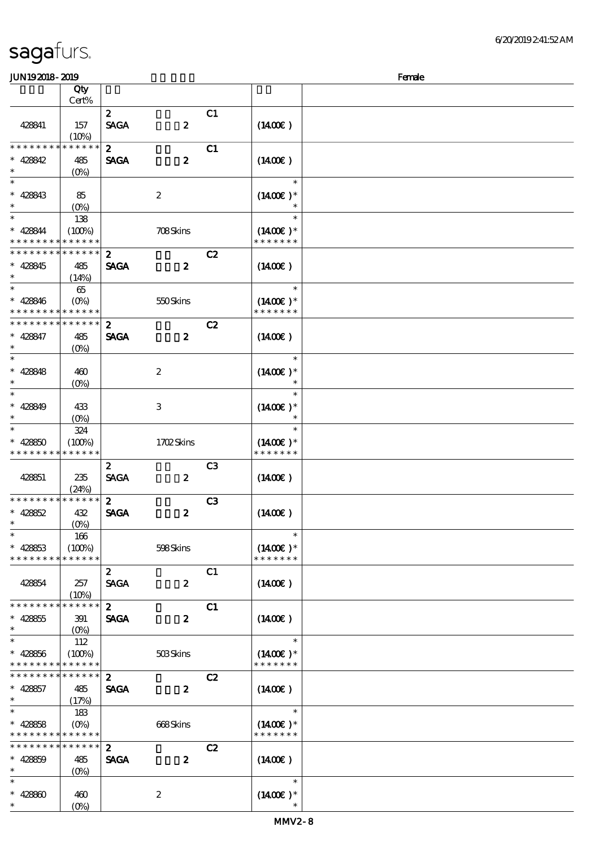| <b>JUN192018-2019</b>                                 |                 |                  |                  |                |                             | Female |
|-------------------------------------------------------|-----------------|------------------|------------------|----------------|-----------------------------|--------|
|                                                       | Qty             |                  |                  |                |                             |        |
|                                                       | Cert%           |                  |                  |                |                             |        |
|                                                       |                 | $\boldsymbol{z}$ |                  | C1             |                             |        |
| 428841                                                | 157             | <b>SAGA</b>      | $\boldsymbol{z}$ |                | $(1400\varepsilon)$         |        |
|                                                       | (10%)           |                  |                  |                |                             |        |
| * * * * * * * *                                       | * * * * * *     | $\boldsymbol{2}$ |                  | C1             |                             |        |
|                                                       |                 |                  |                  |                |                             |        |
| $* 428842$                                            | 485             | <b>SAGA</b>      | $\boldsymbol{z}$ |                | $(1400\varepsilon)$         |        |
| $\ast$                                                | $(O\%)$         |                  |                  |                |                             |        |
| $\ast$                                                |                 |                  |                  |                | $\ast$                      |        |
| $* 428843$                                            | 85              |                  | $\boldsymbol{2}$ |                | $(1400E)*$                  |        |
| $\ast$                                                | $(O\%)$         |                  |                  |                |                             |        |
| $\ast$                                                | 138             |                  |                  |                | $\ast$                      |        |
| $* 428844$                                            | (100%)          |                  | 708Skins         |                | $(1400E)^*$                 |        |
| * * * * * * * * <mark>* * * * * *</mark>              |                 |                  |                  |                | * * * * * * *               |        |
| * * * * * * * * * * * * * *                           |                 | $\boldsymbol{2}$ |                  | C2             |                             |        |
| $* 428845$                                            | 485             | <b>SAGA</b>      | $\boldsymbol{z}$ |                | $(1400\varepsilon)$         |        |
| $\ast$                                                | (14%)           |                  |                  |                |                             |        |
| $\ast$                                                |                 |                  |                  |                | $\ast$                      |        |
|                                                       | 65              |                  |                  |                |                             |        |
| $* 428846$                                            | $(O\%)$         |                  | 550Skins         |                | $(1400E)*$<br>* * * * * * * |        |
| * * * * * * * * <mark>* * * * * *</mark>              |                 |                  |                  |                |                             |        |
| * * * * * * * *                                       | * * * * * *     | $\boldsymbol{z}$ |                  | C2             |                             |        |
| $* 428847$                                            | 485             | <b>SAGA</b>      | $\boldsymbol{z}$ |                | $(1400\varepsilon)$         |        |
| $\ast$                                                | $(O\%)$         |                  |                  |                |                             |        |
| $\ast$                                                |                 |                  |                  |                | $\ast$                      |        |
| $* 428848$                                            | 460             |                  | $\boldsymbol{2}$ |                | $(1400E)*$                  |        |
| $\ast$                                                | $(0\%)$         |                  |                  |                | $\ast$                      |        |
| $\ast$                                                |                 |                  |                  |                | $\ast$                      |        |
| $* 428849$                                            | 433             |                  | 3                |                | $(1400E)*$                  |        |
| $\ast$                                                | $(O\% )$        |                  |                  |                | $\ast$                      |        |
| $\ast$                                                | 324             |                  |                  |                | $\ast$                      |        |
|                                                       |                 |                  |                  |                |                             |        |
| $* 42850$<br>* * * * * * * * <mark>* * * * * *</mark> | (100%)          |                  | 1702Skins        |                | $(1400E)*$<br>* * * * * * * |        |
|                                                       |                 |                  |                  |                |                             |        |
|                                                       |                 | $\boldsymbol{2}$ |                  | C <sub>3</sub> |                             |        |
| 428851                                                | 235             | <b>SAGA</b>      | $\boldsymbol{z}$ |                | $(1400\varepsilon)$         |        |
|                                                       | (24%)           |                  |                  |                |                             |        |
| * * * * * * * *                                       | * * * * * *     | $\mathbf{z}$     |                  | C <sub>3</sub> |                             |        |
| $* 428852$                                            | 432             | <b>SAGA</b>      | $\boldsymbol{z}$ |                | $(1400\varepsilon)$         |        |
| $\ast$                                                | $(0\%)$         |                  |                  |                |                             |        |
| $\ast$                                                | 166             |                  |                  |                | $\ast$                      |        |
| $* 428853$                                            | (100%)          |                  | 598Skins         |                | $(1400E)^*$                 |        |
| * * * * * * * *                                       | * * * * * *     |                  |                  |                | * * * * * * *               |        |
|                                                       |                 | $\boldsymbol{z}$ |                  | C1             |                             |        |
| 428854                                                | 257             | <b>SAGA</b>      | $\boldsymbol{z}$ |                | $(1400\varepsilon)$         |        |
|                                                       | (10%)           |                  |                  |                |                             |        |
| * * * * * * * *                                       | * * * * * *     | $\boldsymbol{z}$ |                  | C1             |                             |        |
| $* 428855$                                            | 391             | <b>SAGA</b>      | $\boldsymbol{z}$ |                | $(1400\varepsilon)$         |        |
| $\ast$                                                | $(O\% )$        |                  |                  |                |                             |        |
| $\ast$                                                | 112             |                  |                  |                | $\ast$                      |        |
|                                                       |                 |                  |                  |                |                             |        |
| $* 428856$<br>* * * * * * * * * * * * * *             | (100%)          |                  | 503Skins         |                | $(1400)$ *<br>* * * * * * * |        |
|                                                       | * * * * * *     |                  |                  |                |                             |        |
| * * * * * * * *                                       |                 | $\mathbf{z}$     |                  | C2             |                             |        |
| $* 428857$                                            | 485             | <b>SAGA</b>      | $\boldsymbol{z}$ |                | $(1400\varepsilon)$         |        |
| $\ast$                                                | (17%)           |                  |                  |                |                             |        |
| $\ast$                                                | 183             |                  |                  |                | $\ast$                      |        |
| $* 428858$                                            | $(O\%)$         |                  | 668Skins         |                | $(1400E)*$                  |        |
| * * * * * * * * <mark>* * * * * *</mark>              |                 |                  |                  |                | * * * * * * *               |        |
| * * * * * * * *                                       | $* * * * * * *$ | $\mathbf{z}$     |                  | C2             |                             |        |
| $* 428859$                                            | 485             | <b>SAGA</b>      | $\boldsymbol{z}$ |                | $(1400\varepsilon)$         |        |
| $\ast$                                                | $(O\%)$         |                  |                  |                |                             |        |
| $\ast$                                                |                 |                  |                  |                | $\ast$                      |        |
| $* 42880$                                             | 460             |                  | $\boldsymbol{2}$ |                | $(1400E)*$                  |        |
| $\ast$                                                | $(O\%)$         |                  |                  |                |                             |        |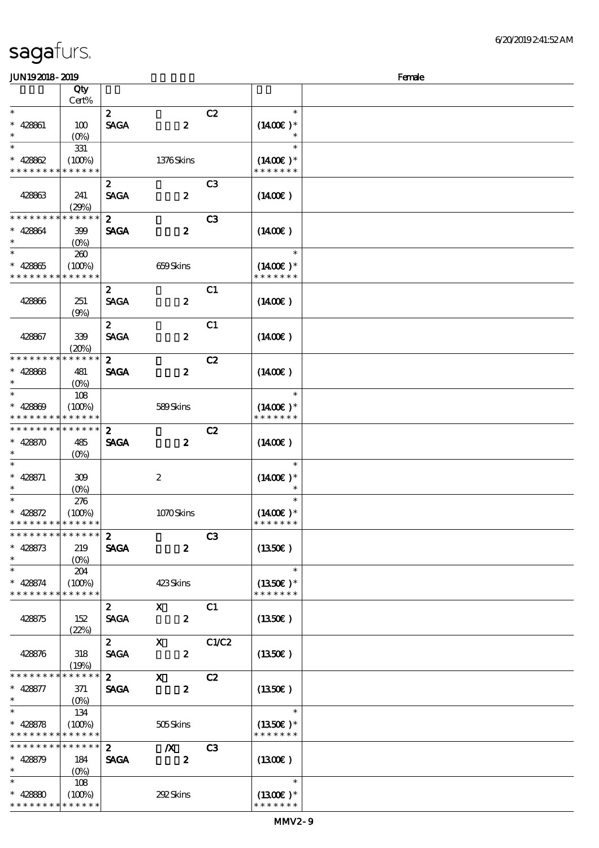| <b>JUN192018-2019</b>                                  |                                 |                  |                           |                | Female                      |  |
|--------------------------------------------------------|---------------------------------|------------------|---------------------------|----------------|-----------------------------|--|
|                                                        | Qty                             |                  |                           |                |                             |  |
|                                                        | Cert%                           |                  |                           |                |                             |  |
| $\ast$                                                 |                                 | $\boldsymbol{z}$ |                           | C2             | $\ast$                      |  |
| $* 428861$                                             | 100                             | <b>SAGA</b>      | $\boldsymbol{z}$          |                | $(1400E)*$                  |  |
| $\ast$                                                 | $(O\%)$                         |                  |                           |                |                             |  |
| $\ast$                                                 | 331                             |                  |                           |                | $\ast$                      |  |
| $* 42862$                                              | (100%)                          |                  | 1376Skins                 |                | $(1400E)*$                  |  |
| * * * * * * * *                                        | * * * * * *                     |                  |                           |                | * * * * * * *               |  |
|                                                        |                                 | $\boldsymbol{z}$ |                           | C <sub>3</sub> |                             |  |
| 428863                                                 | 241                             | <b>SAGA</b>      | $\pmb{2}$                 |                | $(1400\varepsilon)$         |  |
|                                                        | (29%)                           |                  |                           |                |                             |  |
| * * * * * * * *                                        | * * * * * *                     | $\boldsymbol{z}$ |                           | C <sub>3</sub> |                             |  |
| $* 428864$                                             | 399                             | <b>SAGA</b>      | $\boldsymbol{2}$          |                | $(1400\varepsilon)$         |  |
| $\ast$                                                 | $(O\%)$                         |                  |                           |                |                             |  |
| $\ast$                                                 | 260                             |                  |                           |                | $\ast$                      |  |
| $* 428865$                                             | (100%)                          |                  | 659Skins                  |                | $(1400E)*$                  |  |
| * * * * * * * *                                        | * * * * * *                     |                  |                           |                | * * * * * * *               |  |
|                                                        |                                 | $\boldsymbol{z}$ |                           | C1             |                             |  |
| 428866                                                 | 251                             | <b>SAGA</b>      | $\pmb{2}$                 |                | $(1400\varepsilon)$         |  |
|                                                        | (9%)                            |                  |                           |                |                             |  |
|                                                        |                                 | $\boldsymbol{z}$ |                           | C1             |                             |  |
| 428867                                                 | 339                             | <b>SAGA</b>      | $\pmb{2}$                 |                | $(1400\varepsilon)$         |  |
|                                                        | (20%)                           |                  |                           |                |                             |  |
| * * * * * * *                                          | * * * * * *                     | $\boldsymbol{z}$ |                           | C2             |                             |  |
| $* 42868$                                              | 481                             | <b>SAGA</b>      | $\boldsymbol{z}$          |                | $(1400\varepsilon)$         |  |
| $\ast$                                                 |                                 |                  |                           |                |                             |  |
| $\ast$                                                 | (O <sub>0</sub> )               |                  |                           |                | $\ast$                      |  |
| $* 428809$                                             | 108<br>(100%)                   |                  | 589Skins                  |                | $(1400E)*$                  |  |
|                                                        | * * * * * *                     |                  |                           |                | * * * * * * *               |  |
| * * * * * * * *                                        | * * * * * *                     | $\boldsymbol{2}$ |                           | C2             |                             |  |
| $* 428870$                                             | 485                             | <b>SAGA</b>      | $\boldsymbol{z}$          |                | $(1400\varepsilon)$         |  |
| $\ast$                                                 |                                 |                  |                           |                |                             |  |
| $\ast$                                                 | $(O\%)$                         |                  |                           |                | $\ast$                      |  |
| $* 428871$                                             | 309                             |                  |                           |                | $(1400E)*$                  |  |
| $\ast$                                                 |                                 |                  | $\boldsymbol{2}$          |                | $\ast$                      |  |
| $\ast$                                                 | $(O\%)$                         |                  |                           |                | $\ast$                      |  |
|                                                        | 276                             |                  |                           |                |                             |  |
| $* 428572$<br>* * * * * * * * <mark>* * * * * *</mark> | (100%)                          |                  | 1070Skins                 |                | $(1400E)*$<br>* * * * * * * |  |
| * * * * * * * * * * * * * * *                          |                                 |                  |                           | C <sub>3</sub> |                             |  |
|                                                        |                                 | $\boldsymbol{z}$ |                           |                |                             |  |
| $* 428873$<br>$\ast$                                   | 219                             | <b>SAGA</b>      | $\boldsymbol{z}$          |                | (1350E)                     |  |
| $\ast$                                                 | $(O\%)$                         |                  |                           |                | $\ast$                      |  |
|                                                        | 204                             |                  |                           |                |                             |  |
| $* 428874$<br>* * * * * * * *                          | (100%)<br>* * * * * *           |                  | 423Skins                  |                | $(1350E)*$<br>* * * * * * * |  |
|                                                        |                                 |                  |                           |                |                             |  |
|                                                        |                                 | $\mathbf{z}$     | $\mathbf{x}$              | C1             |                             |  |
| 428875                                                 | 152                             | <b>SAGA</b>      | $\pmb{2}$                 |                | (1350)                      |  |
|                                                        | (22%)                           |                  |                           |                |                             |  |
|                                                        |                                 | $\boldsymbol{z}$ | $\boldsymbol{\mathsf{X}}$ | C1/C2          |                             |  |
| 428876                                                 | 318                             | <b>SAGA</b>      | $\pmb{2}$                 |                | (1350E)                     |  |
|                                                        | (19%)                           |                  |                           |                |                             |  |
| * * * * * * * *                                        | * * * * * *                     | $\mathbf{z}$     | $\mathbf{x}$              | C2             |                             |  |
| $* 428877$                                             | 371                             | <b>SAGA</b>      | $\boldsymbol{z}$          |                | $(1350\epsilon)$            |  |
| $\ast$                                                 | $(O\!/\!\!\delta)$              |                  |                           |                |                             |  |
| $\ast$                                                 | 134                             |                  |                           |                | $\ast$                      |  |
| $* 428878$                                             | (100%)                          |                  | 505Skins                  |                | $(1350E)^*$                 |  |
| * * * * * * * *                                        | * * * * * *                     |                  |                           |                | * * * * * * *               |  |
| * * * * * * * *                                        | ******                          | $\boldsymbol{z}$ | $\boldsymbol{X}$          | C3             |                             |  |
| $* 428879$                                             | 184                             | <b>SAGA</b>      | $\boldsymbol{z}$          |                | $(1300\varepsilon)$         |  |
| $\ast$                                                 | $(O\!\!\!\!\!\!\backslash\rho)$ |                  |                           |                |                             |  |
| $\ast$                                                 | 108                             |                  |                           |                | $\ast$                      |  |
| $* 42880$                                              | (100%)                          |                  | 292Skins                  |                | $(1300E)*$                  |  |
| * * * * * * * *                                        | * * * * * *                     |                  |                           |                | * * * * * * *               |  |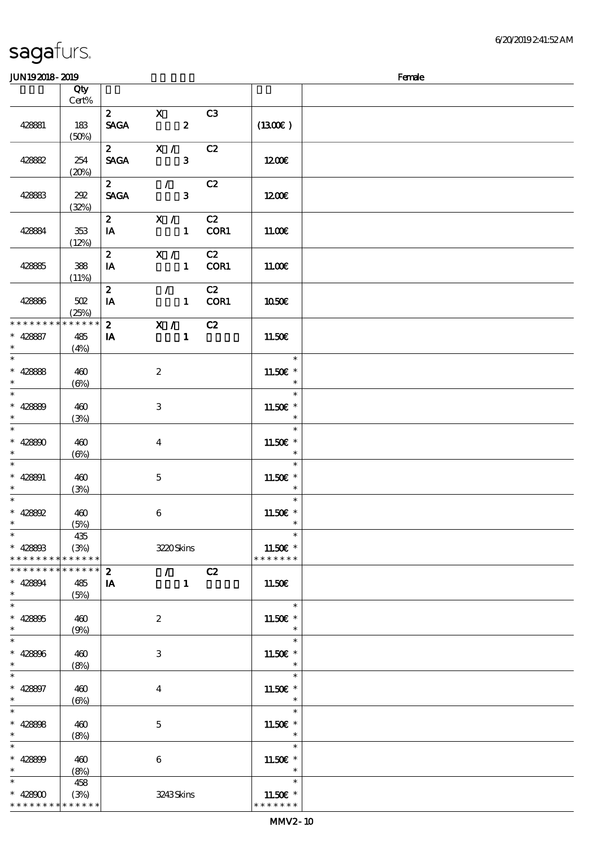|                                                                    | Qty               |                               |                                         |                                 |            |                                                  |  |
|--------------------------------------------------------------------|-------------------|-------------------------------|-----------------------------------------|---------------------------------|------------|--------------------------------------------------|--|
|                                                                    | $Cert\%$          |                               |                                         |                                 |            |                                                  |  |
| 428881                                                             | 183<br>(50%)      | $\mathbf{2}$<br><b>SAGA</b>   | $\mathbf{X}$<br>$\overline{\mathbf{z}}$ |                                 | C3         | (1300)                                           |  |
| 428882                                                             | 254<br>(20%)      | $\mathbf{2}$<br><b>SAGA</b>   | X /                                     | $\mathbf{3}$                    | C2         | 1200E                                            |  |
| 428883                                                             | 202               | $\overline{2}$<br><b>SAGA</b> | $\overline{\phantom{a}}$                | $\mathbf{3}$                    | C2         | 1200E                                            |  |
| 428884                                                             | (32%)<br>353      | 2 X / C2<br>IA                |                                         |                                 | 1 COR1     | 11.00E                                           |  |
| 428885                                                             | (12%)<br>388      | 2 $X / C2$<br>IA              |                                         |                                 | 1 COR1     | 11.00E                                           |  |
| 428886                                                             | (11%)<br>502      | $2^{\circ}$<br>IA             | $\mathcal{L}$                           |                                 | C2<br>COR1 | 1050€                                            |  |
| * * * * * * * * <mark>* * * * * * *</mark>                         | (25%)             | $\mathbf{2}$                  | $\overline{X}$ / C2                     |                                 |            |                                                  |  |
| $* 428887$<br>$\ast$                                               | 485<br>(4%)       | <b>IA</b>                     |                                         | $\mathbf{1}$                    |            | 11.50E                                           |  |
| $* 428888$<br>$\ast$                                               | 460<br>$(\Theta)$ |                               | $\boldsymbol{2}$                        |                                 |            | $\ast$<br>11.50 £*<br>$\overline{\phantom{a}}$   |  |
| $\overline{\phantom{0}}$<br>$* 42889$                              | 460               |                               | 3                                       |                                 |            | $\ast$<br>$11.50E$ *                             |  |
| $\ast$<br>$\overline{\phantom{0}}$<br>$* 428800$                   | (3%)<br>460       |                               | $\overline{\mathbf{4}}$                 |                                 |            | $\ast$<br>$\ast$<br>11.50€ *                     |  |
| $\ast$                                                             | $(\Theta)$        |                               |                                         |                                 |            | $\ast$<br>$\ast$                                 |  |
| $* 428801$<br>$\ast$                                               | 460<br>(3%)       |                               | $\mathbf 5$                             |                                 |            | 11.50 £*<br>$\ast$                               |  |
| $\ast$<br>$* 428892$<br>$\ast$                                     | 460<br>(5%)       |                               | 6                                       |                                 |            | $\ast$<br>11.50 $\varepsilon$ *<br>$\ast$        |  |
| $\ast$<br>$* 42880B$<br>* * * * * * * * <mark>* * * * * * *</mark> | 435<br>(3%)       |                               |                                         | 3220Skins                       |            | $\star$<br>11.50€ *<br>* * * * * * *             |  |
| * * * * * * * * * * * * * * *                                      |                   | $\boldsymbol{z}$              |                                         | $\mathcal{L}$ and $\mathcal{L}$ | C2         |                                                  |  |
| $* 428894$<br>$\ast$                                               | 485<br>(5%)       | IA                            |                                         | $\mathbf{1}$                    |            | 11.50€                                           |  |
| $\ast$<br>$* 428805$<br>$\ast$                                     | 460<br>(9%)       |                               | $\boldsymbol{z}$                        |                                 |            | $\ast$<br>11.50 $\varepsilon$ *<br>$\ast$        |  |
| $\overline{\ast}$<br>$* 428806$<br>$\ast$                          | 460               |                               | 3                                       |                                 |            | $\ast$<br>11.50€ *                               |  |
| $\ast$<br>$* 428897$                                               | (8%)<br>460       |                               | $\bf{4}$                                |                                 |            | $\ast$<br>$\ast$<br>$11.50E$ *                   |  |
| $\ast$<br>$\ast$<br>$* 428808$                                     | $(\Theta)$<br>460 |                               | 5                                       |                                 |            | $\ast$<br>$\ast$<br>11.50 $\varepsilon$ *        |  |
| $\ast$<br>$\ast$                                                   | (8%)              |                               |                                         |                                 |            | $\ast$<br>$\ast$                                 |  |
| $* 428809$<br>$\ast$                                               | 460<br>(8%)       |                               | $\boldsymbol{6}$                        |                                 |            | 11.50€ *<br>$\ast$                               |  |
| $\ast$<br>$* 42800$<br>* * * * * * * * * * * * * *                 | 458<br>(3%)       |                               |                                         | 3243Skins                       |            | $\ast$<br>11.50 $\varepsilon$ *<br>* * * * * * * |  |
|                                                                    |                   |                               |                                         |                                 |            |                                                  |  |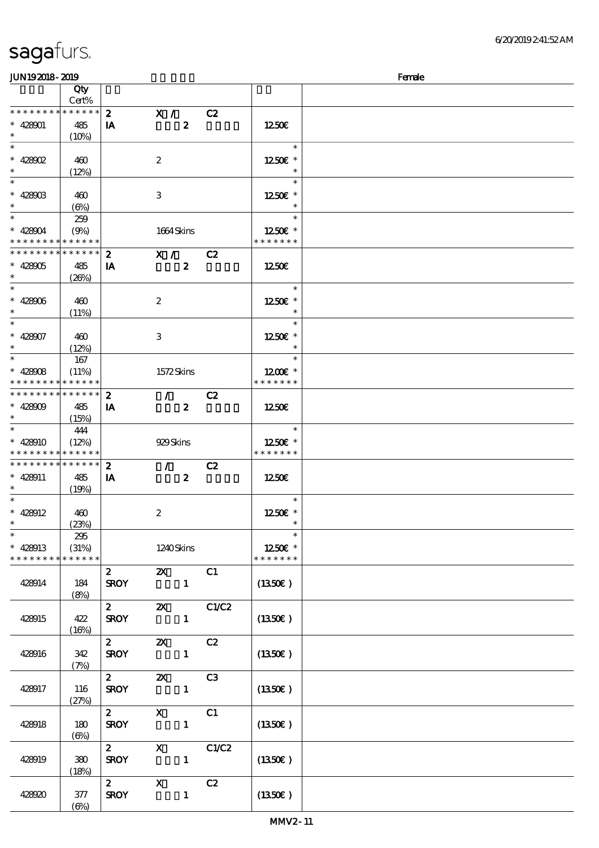### $J<sub>W102018</sub>$  2010  $J<sub>W102018</sub>$  2010

| ມມາ ເວລມດ- ລມວ                           |                 |                  |                             |                |               | ranae |
|------------------------------------------|-----------------|------------------|-----------------------------|----------------|---------------|-------|
|                                          | Qty<br>Cert%    |                  |                             |                |               |       |
| * * * * * * * *                          | * * * * * *     |                  |                             |                |               |       |
|                                          |                 | $\boldsymbol{2}$ | $\mathbf{X}$ /              | C2             |               |       |
| $* 428001$                               | 485             | IA               | $\boldsymbol{z}$            |                | 1250E         |       |
| $\ast$                                   | (10%)           |                  |                             |                |               |       |
| $\ast$                                   |                 |                  |                             |                | $\ast$        |       |
|                                          |                 |                  |                             |                |               |       |
| $* 428002$                               | 460             |                  | $\boldsymbol{z}$            |                | 1250E *       |       |
| $\ast$                                   | (12%)           |                  |                             |                | $\ast$        |       |
| $\overline{\phantom{0}}$                 |                 |                  |                             |                |               |       |
|                                          |                 |                  |                             |                | $\ast$        |       |
| $* 428003$                               | 460             |                  | 3                           |                | 1250E *       |       |
| $\ast$                                   | $(\Theta)$      |                  |                             |                | $\ast$        |       |
| $\overline{\ast}$                        |                 |                  |                             |                | $\ast$        |       |
|                                          | 259             |                  |                             |                |               |       |
| $* 428004$                               | (9%)            |                  | 1664 Skins                  |                | 1250E *       |       |
| * * * * * * * * * * * * * *              |                 |                  |                             |                | * * * * * * * |       |
| * * * * * * * *                          | * * * * * *     | $\boldsymbol{z}$ | X /                         | C2             |               |       |
|                                          |                 |                  |                             |                |               |       |
| $* 428005$                               | 485             | IA               | $\boldsymbol{z}$            |                | 1250          |       |
| $\ast$                                   | (20%)           |                  |                             |                |               |       |
| $\overline{\phantom{0}}$                 |                 |                  |                             |                | $\ast$        |       |
| $* 428006$                               | 460             |                  | $\boldsymbol{2}$            |                | 1250E *       |       |
| $\ast$                                   |                 |                  |                             |                | $\ast$        |       |
|                                          | (11%)           |                  |                             |                |               |       |
| $\overline{\ast}$                        |                 |                  |                             |                | $\ast$        |       |
| $* 428007$                               | 460             |                  | $\,3$                       |                | 1250E *       |       |
| $\ast$                                   | (12%)           |                  |                             |                | $\ast$        |       |
| $\ast$                                   |                 |                  |                             |                | $\ast$        |       |
|                                          | 167             |                  |                             |                |               |       |
| $* 428008$                               | (11%)           |                  | 1572Skins                   |                | 1200E *       |       |
| * * * * * * * * <mark>* * * * * *</mark> |                 |                  |                             |                | * * * * * * * |       |
| * * * * * * * * * * * * * * *            |                 | $\boldsymbol{2}$ | $\mathcal{T} = \mathcal{I}$ | C2             |               |       |
|                                          |                 |                  |                             |                |               |       |
| $* 428009$                               | 485             | IA               | $\boldsymbol{z}$            |                | 1250E         |       |
| $\ast$                                   | (15%)           |                  |                             |                |               |       |
| $*$                                      | 444             |                  |                             |                | $\ast$        |       |
| $* 428910$                               | (12%)           |                  | 929Skins                    |                | 1250E *       |       |
| * * * * * * * * <mark>* * * * * *</mark> |                 |                  |                             |                | * * * * * * * |       |
| * * * * * * * *                          |                 |                  |                             |                |               |       |
|                                          | $* * * * * * *$ | $\boldsymbol{z}$ | $\mathcal{T} = \mathcal{I}$ | C2             |               |       |
| $* 428911$                               | 485             | IA               | $\boldsymbol{z}$            |                | 1250E         |       |
| $\ast$                                   | (19%)           |                  |                             |                |               |       |
| $\ast$                                   |                 |                  |                             |                | $\ast$        |       |
| $* 428012$                               | 460             |                  | $\boldsymbol{2}$            |                | 1250E *       |       |
| $\ast$                                   |                 |                  |                             |                | $\ast$        |       |
|                                          | (23%)           |                  |                             |                |               |       |
| $\ast$                                   | 295             |                  |                             |                | $\ast$        |       |
| $* 428013$                               | (31%)           |                  | 1240Skins                   |                | 1250E *       |       |
| * * * * * * * *                          | * * * * * *     |                  |                             |                | * * * * * * * |       |
|                                          |                 | $\mathbf{z}$     | $\boldsymbol{\alpha}$       | C1             |               |       |
|                                          |                 |                  |                             |                |               |       |
| 428914                                   | 184             | <b>SROY</b>      | $\mathbf{1}$                |                | (1350E)       |       |
|                                          | (8%)            |                  |                             |                |               |       |
|                                          |                 | $\boldsymbol{2}$ | $\boldsymbol{\mathsf{Z}}$   | C1/C2          |               |       |
|                                          |                 |                  |                             |                |               |       |
| 428915                                   | 422             | <b>SROY</b>      | $\mathbf{1}$                |                | (1350E)       |       |
|                                          | (16%)           |                  |                             |                |               |       |
|                                          |                 | $\boldsymbol{z}$ | $\boldsymbol{\mathsf{z}}$   | C2             |               |       |
| 428916                                   | 342             | <b>SROY</b>      | $\mathbf{1}$                |                | (1350E)       |       |
|                                          | (7%)            |                  |                             |                |               |       |
|                                          |                 |                  |                             |                |               |       |
|                                          |                 | $\mathbf{2}$     | $\boldsymbol{\mathsf{X}}$   | C <sub>3</sub> |               |       |
| 428917                                   | 116             | <b>SROY</b>      | $\mathbf{1}$                |                | (1350E)       |       |
|                                          | (27%)           |                  |                             |                |               |       |
|                                          |                 | $\mathbf{z}$     | $\mathbf X$                 | C1             |               |       |
|                                          |                 |                  |                             |                |               |       |
| 428918                                   | 180             | <b>SROY</b>      | $\mathbf{1}$                |                | (1350)        |       |
|                                          | $(\Theta)$      |                  |                             |                |               |       |
|                                          |                 | $\boldsymbol{2}$ | $\mathbf X$                 | C1/C2          |               |       |
| 428919                                   | 380             | <b>SROY</b>      | $\mathbf{1}$                |                | (1350E)       |       |
|                                          | (18%)           |                  |                             |                |               |       |
|                                          |                 |                  |                             |                |               |       |
|                                          |                 | $\mathbf{2}$     | $\mathbf x$                 | C2             |               |       |
| 428920                                   | 377             | <b>SROY</b>      | $\mathbf{1}$                |                | (1350)        |       |
|                                          | $(\Theta)$      |                  |                             |                |               |       |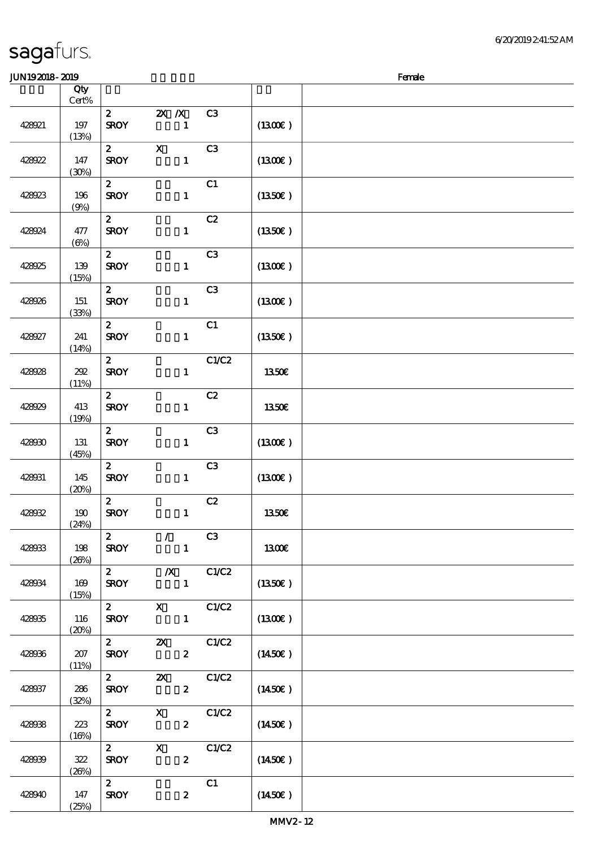| <b>JUN192018-2019</b> |            |                         |                              |                  |                |                     | Female |
|-----------------------|------------|-------------------------|------------------------------|------------------|----------------|---------------------|--------|
|                       | Qty        |                         |                              |                  |                |                     |        |
|                       | Cert%      |                         |                              |                  |                |                     |        |
|                       |            | $\mathbf{z}$            | $X$ $N$                      |                  | C3             |                     |        |
| 428921                | 197        | <b>SROY</b>             |                              | $\mathbf{1}$     |                | (1300)              |        |
|                       | (13%)      |                         |                              |                  |                |                     |        |
|                       |            | $\boldsymbol{z}$        | $\mathbf x$                  |                  | C <sub>3</sub> |                     |        |
| 428922                | 147        | <b>SROY</b>             |                              | $\mathbf{1}$     |                | (1300)              |        |
|                       | (30%)      |                         |                              |                  |                |                     |        |
|                       |            | $\boldsymbol{z}$        |                              |                  | C1             |                     |        |
| 428923                | 196        | <b>SROY</b>             |                              | $\mathbf{1}$     |                | $(1350\epsilon)$    |        |
|                       | (9%)       |                         |                              |                  |                |                     |        |
|                       |            | $\mathbf{z}$            |                              |                  | C2             |                     |        |
| 428924                | 477        | <b>SROY</b>             |                              | $\mathbf{1}$     |                | (1350E)             |        |
|                       | $(\Theta)$ |                         |                              |                  |                |                     |        |
|                       |            | $\boldsymbol{z}$        |                              |                  | C <sub>3</sub> |                     |        |
| 428925                | 139        | <b>SROY</b>             |                              | $\mathbf{1}$     |                | (1300)              |        |
|                       | (15%)      |                         |                              |                  |                |                     |        |
|                       |            | $\mathbf{z}$            |                              |                  | C <sub>3</sub> |                     |        |
| 428926                | 151        | <b>SROY</b>             |                              | $\mathbf{1}$     |                | (1300)              |        |
|                       | (33%)      |                         |                              |                  |                |                     |        |
|                       |            | $\mathbf{z}$            |                              |                  | C1             |                     |        |
| 428927                | 241        | <b>SROY</b>             |                              | $\mathbf{1}$     |                | (1350)              |        |
|                       | (14%)      |                         |                              |                  |                |                     |        |
|                       |            | $\boldsymbol{z}$        |                              |                  | C1/C2          |                     |        |
| 428928                | 292        | <b>SROY</b>             |                              | $\mathbf{1}$     |                | <b>1350€</b>        |        |
|                       | (11%)      |                         |                              |                  |                |                     |        |
|                       |            | $\boldsymbol{z}$        |                              |                  | C2             |                     |        |
| 428929                | 413        | <b>SROY</b>             |                              | $\mathbf{1}$     |                | 1350€               |        |
|                       | (19%)      |                         |                              |                  | C <sub>3</sub> |                     |        |
|                       |            | $\boldsymbol{z}$        |                              |                  |                |                     |        |
| 428930                | 131        | <b>SROY</b>             |                              | $\mathbf{1}$     |                | (1300)              |        |
|                       | (45%)      | $\boldsymbol{z}$        |                              |                  | C3             |                     |        |
| 428931                | 145        | <b>SROY</b>             |                              | $\mathbf{1}$     |                | (1300)              |        |
|                       | (20%)      |                         |                              |                  |                |                     |        |
|                       |            | $\mathbf{z}$            |                              |                  | C2             |                     |        |
| 428032                | 190        | <b>SROY</b>             |                              | $\mathbf{1}$     |                | 1350€               |        |
|                       | (24%)      |                         |                              |                  |                |                     |        |
|                       |            | $\mathbf{2}$            | $\mathcal{L}$                |                  | C3             |                     |        |
| 428033                | 198        | <b>SROY</b>             |                              | $\mathbf{1}$     |                | 1300€               |        |
|                       | (20%)      |                         |                              |                  |                |                     |        |
|                       |            | $\mathbf{2}$            | $\chi$ C1/C2                 |                  |                |                     |        |
| 428034                | 169        | <b>SROY</b>             |                              | $\mathbf{1}$     |                | $(1350\epsilon)$    |        |
|                       | (15%)      |                         |                              |                  |                |                     |        |
|                       |            |                         | 2 X C1/C2                    |                  |                |                     |        |
| 428935                | 116        | <b>SROY</b>             |                              | $\mathbf{1}$     |                | $(1300\varepsilon)$ |        |
|                       | (20%)      |                         |                              |                  |                |                     |        |
|                       |            |                         | 2 $\alpha$ $\alpha$ $\alpha$ |                  |                |                     |        |
| 428936                | 207        | <b>SROY</b>             |                              | $\boldsymbol{z}$ |                | (1450E)             |        |
|                       | (11%)      |                         |                              |                  |                |                     |        |
|                       |            | $\mathbf{2}$            | $\mathbf{Z}$                 |                  | C1/C2          |                     |        |
| 428037                | 286        | <b>SROY</b>             |                              | $\mathbf{2}$     |                | $(1450\epsilon)$    |        |
|                       | (32%)      |                         |                              |                  |                |                     |        |
|                       |            | $\mathbf{2}$            | $\mathbf{X}$                 |                  | C1/C2          |                     |        |
| 428038                | 223        | <b>SROY</b>             |                              | $\boldsymbol{z}$ |                | (1450E)             |        |
|                       | (16%)      | $\overline{\mathbf{z}}$ | $\mathbf{X}$                 |                  |                |                     |        |
|                       | 322        | <b>SROY</b>             |                              | $\boldsymbol{2}$ | C1/C2          |                     |        |
| 428039                |            |                         |                              |                  |                | (1450E)             |        |
|                       | (20%)      | $2^{\circ}$             |                              |                  | C1             |                     |        |
| 428940                | 147        | <b>SROY</b>             |                              | $\boldsymbol{z}$ |                | $(1450\epsilon)$    |        |
|                       | (25%)      |                         |                              |                  |                |                     |        |
|                       |            |                         |                              |                  |                |                     |        |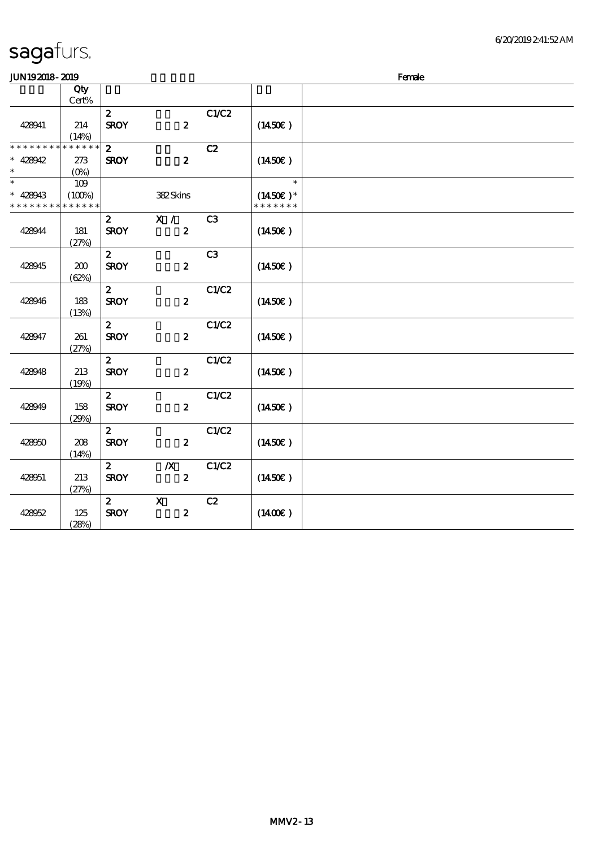$JUN192018-2019$  Female

|                             | Qty<br>Cert%  |                                 |                  |                |                     |  |
|-----------------------------|---------------|---------------------------------|------------------|----------------|---------------------|--|
|                             |               | $\boldsymbol{z}$                |                  | C1/C2          |                     |  |
| 428941                      | 214           | <b>SROY</b>                     | $\boldsymbol{z}$ |                | (1450E)             |  |
|                             | (14%)         |                                 |                  |                |                     |  |
| * * * * * * * *             | * * * * * *   | $\boldsymbol{2}$                |                  | C2             |                     |  |
| $* 428942$                  | 273           | <b>SROY</b>                     | $\boldsymbol{z}$ |                | (1450E)             |  |
| $\ast$<br>$\ast$            | $(O\%)$       |                                 |                  |                | $\ast$              |  |
| $* 428943$                  | 109<br>(100%) |                                 | 382Skins         |                | $(1450E)*$          |  |
| * * * * * * * * * * * * * * |               |                                 |                  |                | * * * * * * *       |  |
|                             |               | $\mathbf{z}$                    | X /              | C <sub>3</sub> |                     |  |
| 428944                      | 181           | <b>SROY</b>                     | $\boldsymbol{z}$ |                | (1450E)             |  |
|                             | (27%)         |                                 |                  |                |                     |  |
|                             |               | $\boldsymbol{z}$                |                  | C <sub>3</sub> |                     |  |
| 428945                      | 200           | <b>SROY</b>                     | $\boldsymbol{z}$ |                | (1450E)             |  |
|                             | (62%)         | $\boldsymbol{2}$                |                  | C1/C2          |                     |  |
| 428946                      | 183           | <b>SROY</b>                     | $\boldsymbol{z}$ |                | (1450E)             |  |
|                             | (13%)         |                                 |                  |                |                     |  |
|                             |               | $\boldsymbol{z}$                |                  | C1/C2          |                     |  |
| 428947                      | 261           | <b>SROY</b>                     | $\boldsymbol{z}$ |                | (1450E)             |  |
|                             | (27%)         |                                 |                  |                |                     |  |
| 428948                      | 213           | $\boldsymbol{z}$<br><b>SROY</b> | $\boldsymbol{z}$ | C1/C2          | $(1450\epsilon)$    |  |
|                             | (19%)         |                                 |                  |                |                     |  |
|                             |               | $\boldsymbol{z}$                |                  | C1/C2          |                     |  |
| 428949                      | 158           | <b>SROY</b>                     | $\boldsymbol{z}$ |                | (1450E)             |  |
|                             | (29%)         |                                 |                  |                |                     |  |
|                             |               | $\boldsymbol{z}$                |                  | C1/C2          |                     |  |
| 428950                      | 208           | <b>SROY</b>                     | $\boldsymbol{z}$ |                | $(1450\epsilon)$    |  |
|                             | (14%)         | $\boldsymbol{2}$                | $\boldsymbol{X}$ | C1/C2          |                     |  |
| 428951                      | 213           | <b>SROY</b>                     | $\boldsymbol{z}$ |                | (1450E)             |  |
|                             | (27%)         |                                 |                  |                |                     |  |
|                             |               | $\boldsymbol{z}$                | $\mathbf X$      | C2             |                     |  |
| 428052                      | 125           | <b>SROY</b>                     | $\boldsymbol{z}$ |                | $(1400\varepsilon)$ |  |
|                             | (28%)         |                                 |                  |                |                     |  |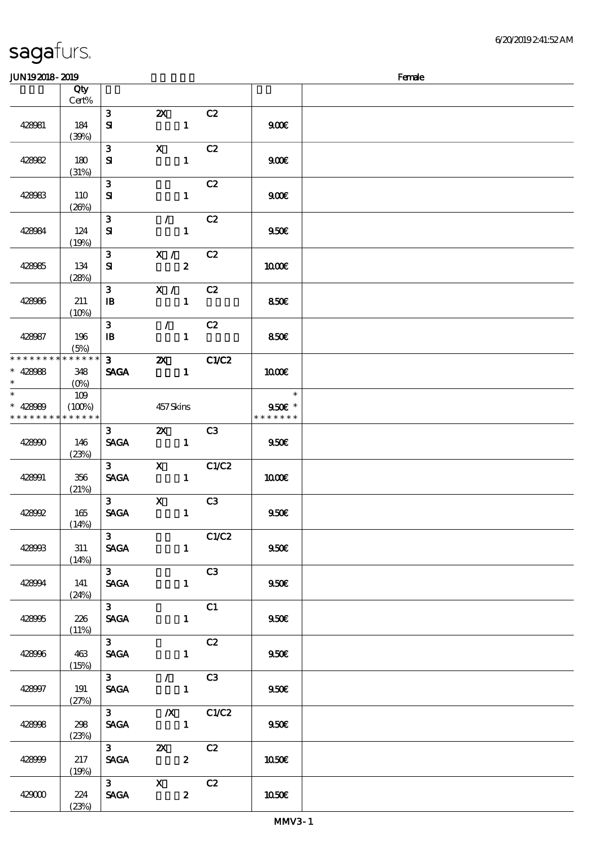6/20/2019 2:41:52 AM

| <b>JUN192018-2019</b>                                          |                 |                                  |                                                    |                                |                                                     | Female |
|----------------------------------------------------------------|-----------------|----------------------------------|----------------------------------------------------|--------------------------------|-----------------------------------------------------|--------|
|                                                                | Qty<br>Cert%    |                                  |                                                    |                                |                                                     |        |
| 428081                                                         | 184<br>(30%)    | $\mathbf{3}$<br>${\bf s}$        | $\boldsymbol{\mathsf{Z}}$                          | C2<br>$\mathbf{1}$             | 900E                                                |        |
| 428082                                                         | 180<br>(31%)    | $\mathbf{3}$<br>${\bf s}$        | $\mathbf X$                                        | C2<br>$\mathbf{1}$             | 900E                                                |        |
| 428983                                                         | 110<br>(20%)    | $\mathbf{3}$<br>${\bf s}$        |                                                    | C2<br>$\mathbf{1}$             | 900E                                                |        |
| 428084                                                         | 124<br>(19%)    | $\mathbf{3}$<br>${\bf s}$        | $\mathcal{L} = \mathcal{L}$                        | C2<br>$\mathbf{1}$             | 950E                                                |        |
| 428985                                                         | 134<br>(28%)    | 3 <sup>1</sup><br>${\bf s}$      | X /                                                | C2<br>$\boldsymbol{z}$         | 1000E                                               |        |
| 428986                                                         | 211<br>(10%)    | $\mathbf{3}$<br>$\mathbf{B}$     | $\mathbf{X}$ /                                     | C <sub>2</sub><br>$\mathbf{1}$ | 850E                                                |        |
| 428987                                                         | 196<br>(5%)     | $\mathbf{3}$<br>$\mathbf{B}$     | $\mathcal{L}$                                      | C2<br>$\mathbf{1}$             | 850€                                                |        |
| * * * * * * * * * * * * * *<br>$* 428088$<br>$\ast$            | 348<br>$(O\% )$ | $3 \qquad \qquad$<br><b>SAGA</b> | $\boldsymbol{\alpha}$                              | C1/C2<br>$\mathbf{1}$          | 1000E                                               |        |
| $\overline{\ast}$<br>$* 428080$<br>* * * * * * * * * * * * * * | 109<br>(100%)   |                                  | 457 Skins                                          |                                | $\overline{\phantom{a}}$<br>950€ *<br>* * * * * * * |        |
| 428990                                                         | 146<br>(23%)    | 3 <sub>1</sub><br><b>SAGA</b>    | $\mathbf{Z}$<br>$\sim$ $\sim$ 1                    | C3                             | 9506                                                |        |
| 428991                                                         | 356<br>(21%)    | 3 <sub>1</sub><br><b>SAGA</b>    |                                                    | X C1/C2<br>$\mathbf{1}$        | 1000E                                               |        |
| 428992                                                         | 165<br>(14%)    | 3 <sub>1</sub><br><b>SAGA</b>    | $\mathbf{x}$                                       | C <sub>3</sub><br>$\mathbf{1}$ | 950E                                                |        |
| 428993                                                         | 311<br>(14%)    | 3 <sub>1</sub><br><b>SAGA</b>    |                                                    | C1/C2<br>1                     | 950E                                                |        |
| 428994                                                         | 141<br>(24%)    | $3^{\circ}$<br>SAGA              |                                                    | C3<br>$1 -$                    | 950E                                                |        |
| 428995                                                         | 226<br>(11%)    | $3-$<br><b>SAGA</b>              |                                                    | C1<br>$\mathbf{1}$             | 950E                                                |        |
| 428996                                                         | 463<br>(15%)    | $3^{\circ}$<br><b>SAGA</b>       |                                                    | C2<br>$\mathbf{1}$             | 950E                                                |        |
| 428997                                                         | 191<br>(27%)    | $3^{\circ}$                      | SAGA 1                                             | $\sqrt{C3}$                    | 950E                                                |        |
| 428998                                                         | 298<br>(23%)    | $3^{\circ}$<br><b>SAGA</b>       | $\sim$ $\sim$ $\sim$ $\sim$ $\sim$ $\sim$          | $\overline{X}$ C1/C2           | 950E                                                |        |
| 428999                                                         | 217<br>(19%)    | <b>SAGA</b>                      | $\overline{\mathbf{z}}$<br>$\overline{\mathbf{c}}$ | C2                             | 1050E                                               |        |
| 429000                                                         | 224<br>(23%)    | <b>SAGA</b>                      | $3 \times X$                                       | C2<br>$\boldsymbol{z}$         | 1050E                                               |        |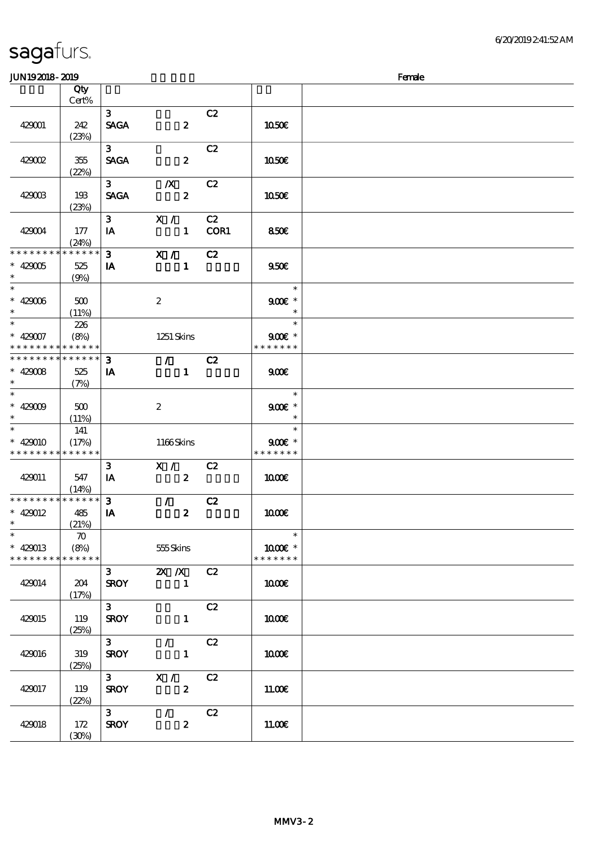| <b>JUN192018-2019</b>                                            |                            |                                       |                                                 |            |                                     | Female |
|------------------------------------------------------------------|----------------------------|---------------------------------------|-------------------------------------------------|------------|-------------------------------------|--------|
|                                                                  | Qty<br>Cert%               |                                       |                                                 |            |                                     |        |
|                                                                  |                            |                                       |                                                 |            |                                     |        |
| 429001                                                           | 242<br>(23%)               | 3 <sup>1</sup><br><b>SAGA</b>         | $\boldsymbol{z}$                                | C2         | 1050E                               |        |
| 429002                                                           | 355<br>(22%)               | 3 <sup>1</sup><br><b>SAGA</b>         | $\boldsymbol{z}$                                | C2         | 1050€                               |        |
| 429003                                                           | 193<br>(23%)               | $3^{\circ}$<br><b>SAGA</b>            | $\boldsymbol{X}$<br>$\boldsymbol{z}$            | C2         | 1050E                               |        |
| 429004                                                           | 177<br>(24%)               | $\mathbf{3}$<br>IA                    | X /<br>$\mathbf{1}$                             | C2<br>COR1 | 850€                                |        |
| * * * * * * * * * * * * * * *<br>$* 429005$<br>$\ast$            | 525<br>(9%)                | 3 <sup>1</sup><br>IA                  | X /<br>$\mathbf{1}$                             | C2         | 950E                                |        |
| $* 429006$<br>$\ast$                                             | $500$<br>(11%)             |                                       | $\boldsymbol{2}$                                |            | $\ast$<br>$900E$ *<br>$\ast$        |        |
| $\ast$<br>$* 429007$<br>* * * * * * * * * * * * * *              | 226<br>(8%)                |                                       | 1251 Skins                                      |            | $\ast$<br>$900E$ *<br>* * * * * * * |        |
| * * * * * * * * * * * * * * *<br>$* 42008$<br>$\ast$             | 525<br>(7%)                | $\mathbf{3}$<br>IA                    | $\mathcal{T}$<br>$\mathbf{1}$                   | C2         | 900                                 |        |
| $\overline{\phantom{0}}$<br>$* 429009$<br>$\ast$                 | 500<br>(11%)               |                                       | $\boldsymbol{2}$                                |            | $\ast$<br>$900E$ *<br>$\ast$        |        |
| $\ast$<br>$* 429010$<br>* * * * * * * * * * * * * *              | 141<br>(17%)               |                                       | 1166Skins                                       |            | $\ast$<br>$900E$ *<br>* * * * * * * |        |
| 429011                                                           | 547<br>(14%)               | $\mathbf{3}$<br>IA                    | X /<br>$\boldsymbol{z}$                         | C2         | 1000E                               |        |
| **************<br>$* 420012$<br>$*$ and $*$                      | 485<br>(21%)               | $\mathbf{3}$<br>IA                    | $\mathcal{T}$<br>$\boldsymbol{z}$               | C2         | 1000E                               |        |
| $\ast$<br>$* 429013$<br>* * * * * * * * <mark>* * * * * *</mark> | $\boldsymbol{\pi}$<br>(8%) |                                       | 555 Skins                                       |            | $\ast$<br>1000€ *<br>* * * * * * *  |        |
| 429014                                                           | 204<br>(17%)               | $3 \quad \blacksquare$<br><b>SROY</b> | 2X / X C2<br>$\blacksquare$                     |            | 1000E                               |        |
| 429015                                                           | 119<br>(25%)               | $3^{\sim}$<br><b>SROY</b>             | $\mathbf{1}$                                    | C2         | 1000E                               |        |
| 429016                                                           | 319<br>(25%)               | $3^{\circ}$<br><b>SROY</b>            | $\mathcal{L}$ and $\mathcal{L}$<br>$\mathbf{1}$ | C2         | 1000E                               |        |
| 429017                                                           | 119<br>(22%)               | <b>SROY</b>                           | 3 X / C2<br>$\overline{\mathbf{2}}$             |            | 11.00E                              |        |
| 429018                                                           | 172<br>(30%)               | $3^{\sim}$<br><b>SROY</b>             | $\mathcal{L}$<br>$\boldsymbol{z}$               | C2         | 11.00E                              |        |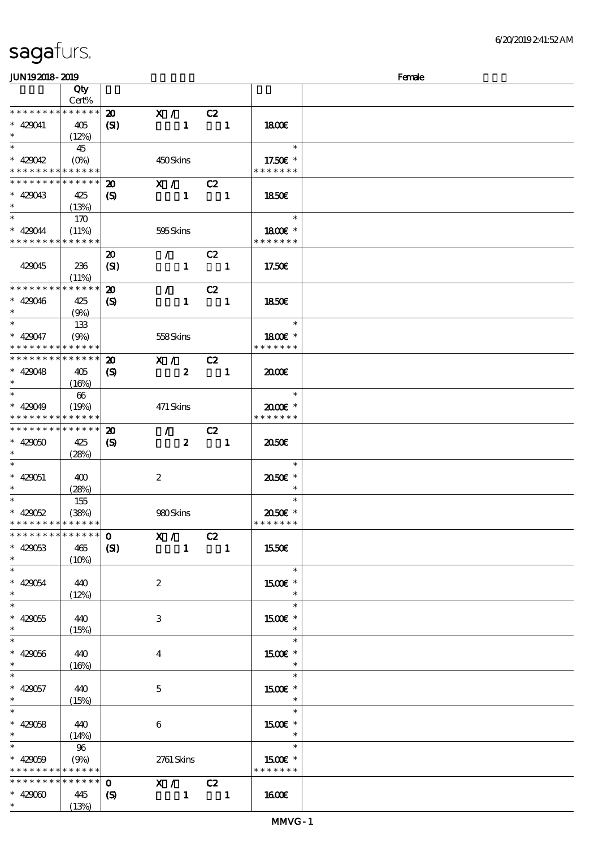\*\*

\*\*

\*\*

\*\*

\*\*

 $\overline{\phantom{0}}$ 

\*\*\*

 $\ast$ 

\*\*

इ

 $\ast$ 

\*\*\*

\*\*\*

\*\*\*

 $\ast$ 

\*\*\*

इ

\*\*\*

 $\overline{\phantom{0}}$ 

\*\*

 $\ast$ 

429060 445

(13%)

顺序号 Qty

### Cert% \* \* \* \* \* \* \* \* \* \* \* \* 20 X / C2 429041 405  $(SI)$  1 1 18.00€  $(12%)$ \*  $*$  429042 45 \*\* (0%) 450 Skins 17.50€ \* \* \* \* \* \* \* \* \* \* \* \* \* \* \* \* \* \* \* \* \* \* \* \* \* \* \* \* \* \* 20 X / C2  $\ast$ 429043 425 18.50€  $(S)$  1 1 (13%) \*  $*$  429044 170 \*\* (11%) 595 Skins 1800€ \* \* \* \* \* \* \* \* \* \* \* \* \* \* \* \* \* \* \* \* 20 / C2 429045 236 (SI)  $1 \t 1 \t 17.50 \t \t 6$  $(11%)$ \* \* \* \* \* \* \* \* \* \* \* \* 20 / C2 429046 425 18.50€  $(S)$  1 1 (9%) \*\* <sup>429047</sup> 133  $\ast$ \*\* (9%) 558 Skins 1800€ \* \* \* \* \* \* \* \* \* \* \* \* \* \* \* \* \* \* \*  $20$  X / C2 \* \* \* \* \* \* \* \* \* \* \* \*  $\ast$  $1 \quad \alpha$  2000 $\epsilon$ 429048 405  $(S)$  2 1  $(16%)$ \*\* <sup>429049</sup> 66  $\ast$ \*\* (19%) 471 Skins 20.00€ \* \* \* \* \* \* \* \* \* \* \* \* \* \* \* \* \* \* \* 20 / C2 \* \* \* \* \* \* \* \* \* \* \* \* 429050 425  $1 \quad 20.506$  $(S)$  2 1 (28%)  $\ast$ \*\*\* 429051 400 2 20.50€ \* (28%)  $\star$ \*  $*$  429052 155  $\overline{\phantom{a}}$ \*\* (38%) 980 Skins 20.50€ \* \* \* \* \* \* \* \* \* \* \* \* \* \* \* \* \* \* \* \*  $0$  X / C2 \* \* \* \* \* \* \* \* \* \* \* \* 429053 465  $(SI)$  1 1 15.50€  $(10%)$  $\ast$ \*\*\* 429054 440 2 15 $00\varepsilon$  \* (12%)  $\overline{\phantom{0}}$ \*\*\*  $\ast$ 429055 440 3 1500€ \* (15%)  $\ast$  $\ast$  $\ast$ \*\*\* 1500€ \* 429056 440 4  $(16%)$ इ \*\*\*  $\ast$ 429057 440 5 1500€ \* (15%)  $\ast$ \*\*\*  $\ast$ 15.00€ 429058 440 6  $\ast$  $(14%)$  $*$  429059 \*\* 96 (9%) 2761 Skins 1500€ \* \* \* \* \* \* \* \* \* \* \* \* \* \* \* \* \* \* \* \* \* \* \* \* \* \* \* \* \* \* \* \* 0 X / C2

 $JUN192018-2019$  Female

说明 价格

 $1$  1600 $\epsilon$ 

 $(S)$  1 1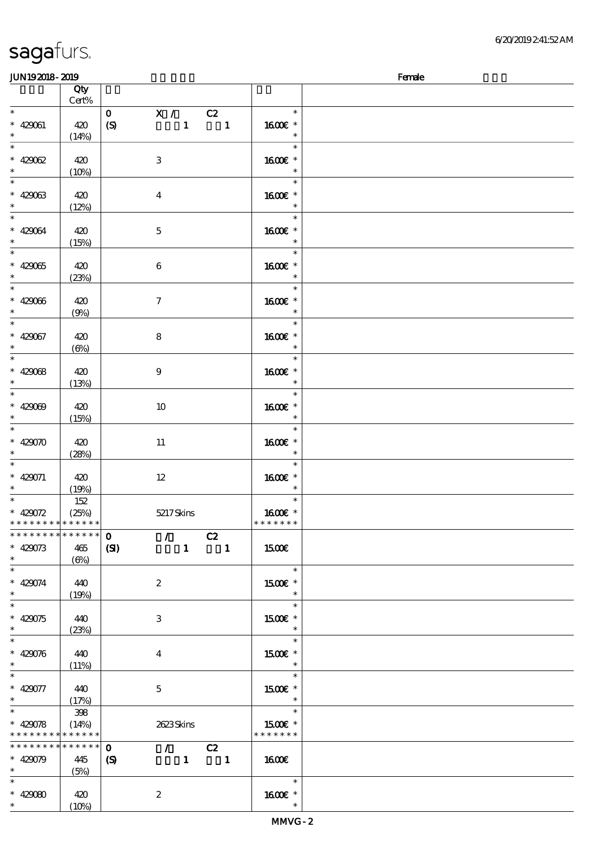| <b>JUN192018-2019</b>                    |            |                            |                                 |              |                |                                    | Female |
|------------------------------------------|------------|----------------------------|---------------------------------|--------------|----------------|------------------------------------|--------|
|                                          | Qty        |                            |                                 |              |                |                                    |        |
|                                          | Cert%      |                            |                                 |              |                |                                    |        |
| $\ast$                                   |            | $\mathbf{O}$               | X /                             |              | C2             | $\ast$                             |        |
| $* 420061$                               | 420        | (S)                        |                                 | $\mathbf{1}$ | $\blacksquare$ | 1600E *                            |        |
| $\ast$                                   | (14%)      |                            |                                 |              |                | $\ast$                             |        |
| $\overline{\ast}$                        |            |                            |                                 |              |                | $\ast$                             |        |
|                                          | 420        |                            | $\,3$                           |              |                | 1600€ *                            |        |
| * 429062                                 | (10%)      |                            |                                 |              |                | $\ast$                             |        |
| $\overline{\phantom{0}}$                 |            |                            |                                 |              |                | $\ast$                             |        |
| $* 429063$                               |            |                            |                                 |              |                | 1600€ *                            |        |
| $\ast$                                   | 420        |                            | $\boldsymbol{4}$                |              |                | $\ast$                             |        |
| $\overline{\ast}$                        | (12%)      |                            |                                 |              |                |                                    |        |
|                                          |            |                            |                                 |              |                | $\ast$                             |        |
| $* 420034$                               | 420        |                            | $\mathbf 5$                     |              |                | 1600 £*                            |        |
| $\ast$<br>$\overline{\phantom{0}}$       | (15%)      |                            |                                 |              |                | $\ast$                             |        |
|                                          |            |                            |                                 |              |                | $\ast$                             |        |
| $* 42005$                                | 420        |                            | $\,6\,$                         |              |                | 1600€ *                            |        |
| $*$                                      | (23%)      |                            |                                 |              |                | $\ast$                             |        |
| $\overline{\ast}$                        |            |                            |                                 |              |                | $\ast$                             |        |
| $* 429066$                               | 420        |                            | $\boldsymbol{7}$                |              |                | 1600 *                             |        |
| $\ast$                                   | (9%)       |                            |                                 |              |                | $\ast$                             |        |
| $\ast$                                   |            |                            |                                 |              |                | $\ast$                             |        |
| $* 429067$                               | 420        |                            | $\bf 8$                         |              |                | 1600€ *                            |        |
| $\ast$                                   | $(\Theta)$ |                            |                                 |              |                | $\ast$                             |        |
| $\overline{\phantom{0}}$                 |            |                            |                                 |              |                | $\ast$                             |        |
| $* 42008$                                | 420        |                            | $\boldsymbol{9}$                |              |                | 1600€ *                            |        |
| $\ast$                                   | (13%)      |                            |                                 |              |                | $\ast$                             |        |
| $\overline{\ast}$                        |            |                            |                                 |              |                | $\ast$                             |        |
| $* 42000$                                | 420        |                            | 10                              |              |                | 1600E *                            |        |
| $\ast$                                   |            |                            |                                 |              |                | $\ast$                             |        |
| $\ast$                                   | (15%)      |                            |                                 |              |                | $\ast$                             |        |
|                                          |            |                            |                                 |              |                |                                    |        |
| $* 429070$<br>$\ast$                     | 420        |                            | 11                              |              |                | 1600€ *<br>$\ast$                  |        |
| $\ast$                                   | (28%)      |                            |                                 |              |                | $\ast$                             |        |
|                                          |            |                            |                                 |              |                |                                    |        |
| * 429071                                 | 420        |                            | $12\,$                          |              |                | 1600E *                            |        |
| $*$ and $*$                              | (19%)      |                            |                                 |              |                | $\ast$<br>$\ast$                   |        |
|                                          | 152        |                            |                                 |              |                |                                    |        |
| * $429072$                               | (25%)      |                            | 5217Skins                       |              |                | 1600 £*                            |        |
| * * * * * * * * * * * * * *              |            |                            |                                 |              |                | * * * * * * *                      |        |
| * * * * * * * * * * * * * * *            |            | $\mathbf{0}$               | $\mathcal{F}$                   |              | C2             |                                    |        |
| $* 429073$                               | 465        | (S)                        |                                 |              | $1 \quad 1$    | 1500E                              |        |
| $*$ and $*$                              | (6%)       |                            |                                 |              |                |                                    |        |
| $\ast$                                   |            |                            |                                 |              |                | $\ast$                             |        |
| $* 429074$                               | 440        |                            | $\boldsymbol{2}$                |              |                | 1500 £*                            |        |
| $*$                                      | (19%)      |                            |                                 |              |                | $\ast$                             |        |
|                                          |            |                            |                                 |              |                | $\ast$                             |        |
| $* 429075$                               | 440        |                            | 3                               |              |                | 1500E *                            |        |
| $\ast$                                   | (23%)      |                            |                                 |              |                | $\ast$                             |        |
| $\ast$                                   |            |                            |                                 |              |                | $\ast$                             |        |
| $* 429076$                               | 440        |                            | 4                               |              |                | $1500E$ *                          |        |
| $\ast$                                   | (11%)      |                            |                                 |              |                | $\ast$                             |        |
| $\ast$                                   |            |                            |                                 |              |                | $\ast$                             |        |
| $* 429077$                               | 440        |                            | $\mathbf{5}$                    |              |                | 1500 £*                            |        |
| $*$ and $*$                              | (17%)      |                            |                                 |              |                | $\overline{\phantom{a}}$           |        |
|                                          | 398        |                            |                                 |              |                | $\overline{\phantom{0}}$<br>$\ast$ |        |
| $* 429078$                               | (14%)      |                            | 2623Skins                       |              |                | 1500E *                            |        |
| * * * * * * * * <mark>* * * * * *</mark> |            |                            |                                 |              |                | * * * * * * *                      |        |
| * * * * * * * * * * * * * * *            |            |                            |                                 |              |                |                                    |        |
|                                          |            | $\mathbf{o}$               | $\mathcal{L}$ and $\mathcal{L}$ |              | C2             |                                    |        |
| $* 429079$                               | 445        | $\boldsymbol{\mathcal{S}}$ |                                 |              | $1 \quad 1$    | 1600                               |        |
| $\ast$                                   | (5%)       |                            |                                 |              |                |                                    |        |
| $\ast$                                   |            |                            |                                 |              |                | $\ast$                             |        |
| $* 42000$                                | 420        |                            | $\boldsymbol{z}$                |              |                | 1600E *                            |        |
| $\ast$                                   | (10%)      |                            |                                 |              |                | $\ast$                             |        |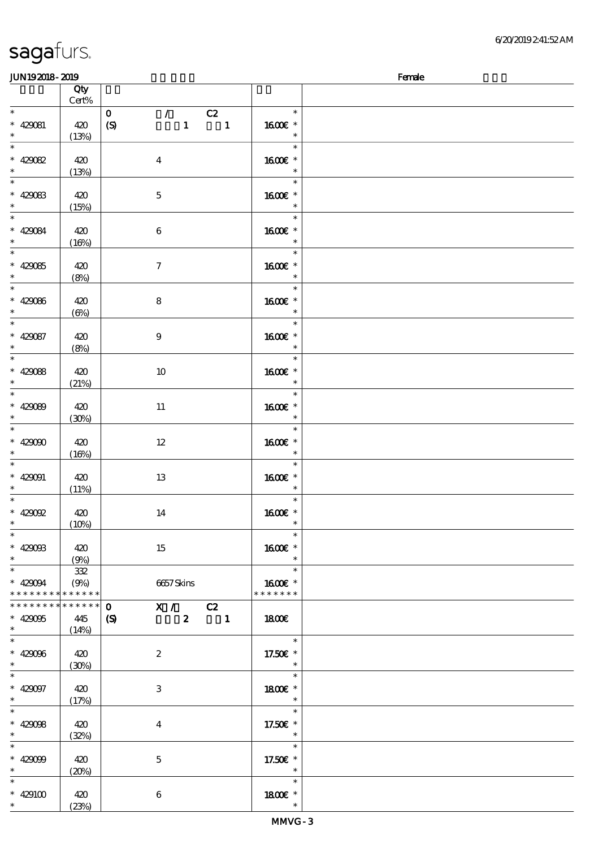| <b>JUN192018-2019</b>                                                     |       |                                                   |                          | Female |
|---------------------------------------------------------------------------|-------|---------------------------------------------------|--------------------------|--------|
|                                                                           | Qty   |                                                   |                          |        |
|                                                                           | Cert% |                                                   |                          |        |
| $\ast$                                                                    |       | $\mathcal{T} = \mathcal{I}$<br>C2<br>$\mathbf{o}$ | $\ast$                   |        |
| $* 429081$                                                                | 420   | (S)<br>$\mathbf{1}$<br>$\blacksquare$             | 1600E *                  |        |
| $\ast$                                                                    |       |                                                   | $\ast$                   |        |
| $\overline{\phantom{0}}$                                                  | (13%) |                                                   | $\ast$                   |        |
|                                                                           |       |                                                   |                          |        |
| $* 420082$                                                                | 420   | $\boldsymbol{4}$                                  | 1600 *                   |        |
| $\ast$                                                                    | (13%) |                                                   | $\ast$                   |        |
| $\overline{\phantom{a}^*}$                                                |       |                                                   | $\ast$                   |        |
| $* 429083$                                                                | 420   | $\mathbf 5$                                       | 1600 *                   |        |
| $\ast$                                                                    | (15%) |                                                   | $\ast$                   |        |
| $\overline{\phantom{a}^*}$                                                |       |                                                   | e e<br>$\ast$            |        |
|                                                                           |       |                                                   |                          |        |
| $* 429084$                                                                | 420   | $\bf 6$                                           | 1600€ *                  |        |
| $\ast$                                                                    | (16%) |                                                   | $\ast$                   |        |
| $\overline{\phantom{0}}$                                                  |       |                                                   | $\ast$                   |        |
| * 429085                                                                  | 420   | $\tau$                                            | 1600 *                   |        |
| $\ast$                                                                    | (8%)  |                                                   | $\ast$                   |        |
| $\overline{\phantom{a}^*}$                                                |       |                                                   | $\ast$                   |        |
|                                                                           |       |                                                   |                          |        |
| $* 429066$                                                                | 420   | 8                                                 | 1600E *                  |        |
| $\ast$                                                                    | (6%)  |                                                   | $\ast$                   |        |
| $\overline{\phantom{a}^*}$                                                |       |                                                   | $\ast$                   |        |
| $* 429087$                                                                | 420   | 9                                                 | 1600€ *                  |        |
| $\ast$                                                                    | (8%)  |                                                   | $\ast$                   |        |
| $\overline{\phantom{0}}$                                                  |       |                                                   | $\ast$                   |        |
| $* 42008$                                                                 | 420   |                                                   | 1600 *                   |        |
| $\ast$                                                                    |       | 10                                                |                          |        |
| $\overline{\phantom{a}^*}$                                                | (21%) |                                                   | $\ast$                   |        |
|                                                                           |       |                                                   | $\ast$                   |        |
| $* 429089$                                                                | 420   | $11\,$                                            | 1600E *                  |        |
| $\ast$                                                                    | (30%) |                                                   | $\ast$                   |        |
| $\frac{1}{\ast}$                                                          |       |                                                   | $\ast$                   |        |
| $* 429000$                                                                | 420   | $12\,$                                            | 1600 *                   |        |
| $\ast$                                                                    |       |                                                   |                          |        |
| $\overline{\phantom{a}}$                                                  | (16%) |                                                   | $\ast$                   |        |
|                                                                           |       |                                                   | $\ast$                   |        |
| $* 429091$                                                                | 420   | $13\,$                                            | 1600€ *                  |        |
| $\ast$                                                                    | (11%) |                                                   | $\ast$                   |        |
| $\ast$                                                                    |       |                                                   | $\ast$                   |        |
| $* 42002$                                                                 | 420   | 14                                                | 1600E *                  |        |
| $*$                                                                       | (10%) |                                                   | $\ast$                   |        |
| $\ast$                                                                    |       |                                                   | $\ast$                   |        |
|                                                                           |       |                                                   |                          |        |
| $* 429008$                                                                | 420   | 15                                                | 1600€ *                  |        |
| $\ast$                                                                    | (9%)  |                                                   | $\ast$                   |        |
| $\overline{\phantom{a}^*}$                                                | 332   |                                                   | $\ast$                   |        |
| $* 429094$                                                                | (9%)  | 6657Skins                                         | 1600 £*                  |        |
| * * * * * * * * <mark>* * * * * * *</mark>                                |       |                                                   | * * * * * * *            |        |
| * * * * * * * * <mark>* * * * * * *</mark>                                |       | $0$ X / C2                                        |                          |        |
|                                                                           |       |                                                   |                          |        |
| $* 429095$                                                                | 445   | $2 \t 1$<br>(S)                                   | <b>1800€</b>             |        |
| $\begin{array}{c} \ast \\ \hline \end{array}$<br>$\overline{\phantom{0}}$ | (14%) |                                                   |                          |        |
|                                                                           |       |                                                   | $\overline{\phantom{a}}$ |        |
| $* 42906$                                                                 | 420   | $\boldsymbol{2}$                                  | 17.50€ *                 |        |
| $\ast$                                                                    | (30%) |                                                   | $\ast$                   |        |
| $\overline{\phantom{0}}$                                                  |       |                                                   | $\ast$                   |        |
| $* 429097$                                                                |       |                                                   | 1800 £*                  |        |
| $\ast$                                                                    | 420   | 3                                                 | $\overline{\phantom{a}}$ |        |
|                                                                           | (17%) |                                                   |                          |        |
| $\ast$                                                                    |       |                                                   | $\ast$                   |        |
| * $42908$                                                                 | 420   | $\bf{4}$                                          | 17.50 $\varepsilon$ *    |        |
| $\ast$                                                                    | (32%) |                                                   | $\ast$                   |        |
| $\ast$                                                                    |       |                                                   | $\ast$                   |        |
| $* 429099$                                                                | 420   | $\mathbf{5}$                                      | 17.50€ *                 |        |
| $\ast$                                                                    |       |                                                   | $\ast$                   |        |
|                                                                           | (20%) |                                                   |                          |        |
| $\ast$                                                                    |       |                                                   | $\ast$                   |        |
| $* 429100$                                                                | 420   | 6                                                 | 1800E *                  |        |
| $\ast$                                                                    | (23%) |                                                   | $\ast$                   |        |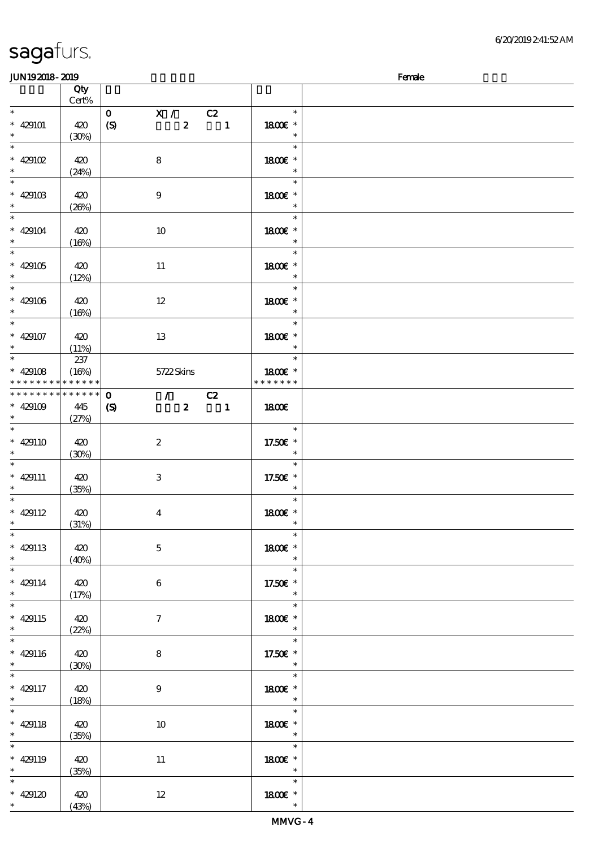| JUN192018-2019    |                            |                            |                                   |                  |                          |               | Female |
|-------------------|----------------------------|----------------------------|-----------------------------------|------------------|--------------------------|---------------|--------|
|                   | Qty                        |                            |                                   |                  |                          |               |        |
|                   | Cert%                      |                            |                                   |                  |                          |               |        |
| $\ast$            |                            | $\mathbf{O}$               | $\mathbf{X}$ /                    |                  | C2                       | $\ast$        |        |
| $* 429101$        | 420                        | $\boldsymbol{S}$           |                                   | $\boldsymbol{z}$ | $\blacksquare$           | 1800 £*       |        |
| $\ast$            | (30%)                      |                            |                                   |                  |                          | $\ast$        |        |
|                   |                            |                            |                                   |                  |                          | $\ast$        |        |
|                   |                            |                            |                                   |                  |                          |               |        |
| $*$ 429102        | 420                        |                            | 8                                 |                  |                          | 1800€ *       |        |
| $\ast$            | (24%)                      |                            |                                   |                  |                          | $\ast$        |        |
|                   |                            |                            |                                   |                  |                          | $\ast$        |        |
| $* 42910B$        | 420                        |                            | $\boldsymbol{9}$                  |                  |                          | 1800 £*       |        |
| $\ast$            | (20%)                      |                            |                                   |                  |                          | $\ast$        |        |
| $*$               |                            |                            |                                   |                  |                          | $\ast$        |        |
|                   |                            |                            |                                   |                  |                          |               |        |
| $* 429104$        | 420                        |                            | 10                                |                  |                          | 1800E *       |        |
| $\ast$            | (16%)                      |                            |                                   |                  |                          | $\ast$        |        |
|                   |                            |                            |                                   |                  |                          | $\ast$        |        |
| $* 429105$        | 420                        |                            | $11\,$                            |                  |                          | 1800 £*       |        |
| $*$               | (12%)                      |                            |                                   |                  |                          | $\ast$        |        |
|                   |                            |                            |                                   |                  |                          | $\ast$        |        |
| $* 429106$        | 420                        |                            | 12                                |                  |                          | 1800 £*       |        |
| $*$               |                            |                            |                                   |                  |                          | $\ast$        |        |
| $\overline{\ast}$ | (16%)                      |                            |                                   |                  |                          |               |        |
|                   |                            |                            |                                   |                  |                          | $\ast$        |        |
| $* 429107$        | 420                        |                            | 13                                |                  |                          | 1800€ *       |        |
| $\ast$            | (11%)                      |                            |                                   |                  |                          | $\ast$        |        |
|                   | 237                        |                            |                                   |                  |                          | $\ast$        |        |
| $* 429108$        | (16%)                      |                            | 5722Skins                         |                  |                          | 1800 £*       |        |
| * * * * * * * *   | $\ast\ast\ast\ast\ast\ast$ |                            |                                   |                  |                          | * * * * * * * |        |
| * * * * * * * *   | $* * * * * * *$            | $\mathbf{o}$               | $\mathcal{L} \subset \mathcal{L}$ |                  | C2                       |               |        |
|                   |                            |                            |                                   |                  |                          |               |        |
| $* 429109$        | 445                        | $\boldsymbol{\mathcal{S}}$ |                                   | $\boldsymbol{z}$ | $\overline{\phantom{a}}$ | 1800E         |        |
| $\ast$            | (27%)                      |                            |                                   |                  |                          |               |        |
|                   |                            |                            |                                   |                  |                          | $\ast$        |        |
| $* 429110$        | 420                        |                            | $\boldsymbol{2}$                  |                  |                          | 17.50€ *      |        |
| $\ast$            | (30%)                      |                            |                                   |                  |                          | $\ast$        |        |
| $\ast$            |                            |                            |                                   |                  |                          | $\ast$        |        |
| $* 429111$        | 420                        |                            | $\,3\,$                           |                  |                          | 17.50€ *      |        |
| $*$               | (35%)                      |                            |                                   |                  |                          | $\ast$        |        |
| $\ast$            |                            |                            |                                   |                  |                          | $\ast$        |        |
|                   |                            |                            |                                   |                  |                          |               |        |
| $* 429112$        | 420                        |                            | $\boldsymbol{4}$                  |                  |                          | 1800E *       |        |
| $*$ $*$           | (31%)                      |                            |                                   |                  |                          | $\ast$        |        |
| $\ast$            |                            |                            |                                   |                  |                          | $\ast$        |        |
| $* 429113$        | 420                        |                            | $\mathbf 5$                       |                  |                          | 1800€ *       |        |
| $*$               | (40%)                      |                            |                                   |                  |                          | $\ast$        |        |
| $\ast$            |                            |                            |                                   |                  |                          | $\ast$        |        |
| $* 429114$        | 420                        |                            | 6                                 |                  |                          | 17.50€ *      |        |
| $\ast$            | (17%)                      |                            |                                   |                  |                          | $\ast$        |        |
| $*$               |                            |                            |                                   |                  |                          | $\ast$        |        |
|                   |                            |                            |                                   |                  |                          |               |        |
| $* 429115$        | 420                        |                            | $\tau$                            |                  |                          | 1800E *       |        |
| $\ast$            | (22%)                      |                            |                                   |                  |                          | $\ast$        |        |
| $\ast$            |                            |                            |                                   |                  |                          | $\ast$        |        |
| $* 429116$        | 420                        |                            | 8                                 |                  |                          | 17.50€ *      |        |
| $*$               | (30%)                      |                            |                                   |                  |                          | $\ast$        |        |
| $\ast$            |                            |                            |                                   |                  |                          | $\ast$        |        |
| $* 429117$        | 420                        |                            | $\boldsymbol{9}$                  |                  |                          | 1800 £*       |        |
| $*$               |                            |                            |                                   |                  |                          | $\ast$        |        |
| $\overline{\ast}$ | (18%)                      |                            |                                   |                  |                          | $\ast$        |        |
|                   |                            |                            |                                   |                  |                          |               |        |
| $* 429118$        | 420                        |                            | 10                                |                  |                          | 1800 £*       |        |
| $\ast$            | (35%)                      |                            |                                   |                  |                          | $\ast$        |        |
| $\ast$            |                            |                            |                                   |                  |                          | $\ast$        |        |
| $* 429119$        | 420                        |                            | 11                                |                  |                          | 1800 £*       |        |
| $*$ and $*$       | (35%)                      |                            |                                   |                  |                          | $\ast$        |        |
| $\ast$            |                            |                            |                                   |                  |                          | $\ast$        |        |
| $* 429120$        | 420                        |                            | $12 \,$                           |                  |                          | 1800E *       |        |
| $\ast$            |                            |                            |                                   |                  |                          | $\ast$        |        |
|                   | (43%)                      |                            |                                   |                  |                          |               |        |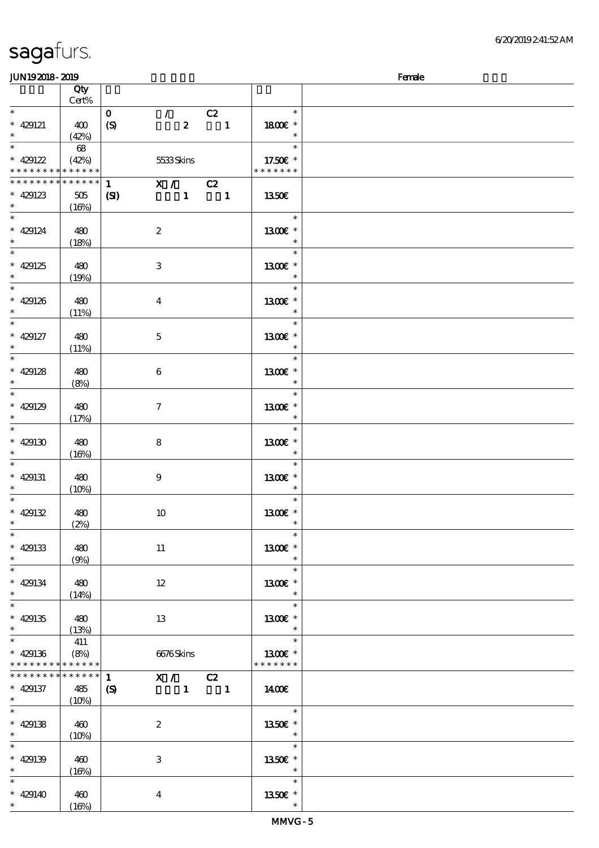| <b>JUN192018-2019</b>                                              |                             |                                            |                                                     |                                                          |                                                  | Female |
|--------------------------------------------------------------------|-----------------------------|--------------------------------------------|-----------------------------------------------------|----------------------------------------------------------|--------------------------------------------------|--------|
|                                                                    | Qty<br>Cert%                |                                            |                                                     |                                                          |                                                  |        |
| $\ast$<br>$* 429121$<br>$\ast$                                     | 400<br>(42%)                | $\mathbf{O}$<br>$\boldsymbol{S}$           | $\mathcal{F}$ and $\mathcal{F}$<br>$\boldsymbol{z}$ | C2<br>$\overline{\phantom{a}}$                           | $\ast$<br>1800E *<br>$\ast$                      |        |
| $\ast$<br>$* 429122$<br>* * * * * * * * * * * * * *                | 68<br>(42%)                 |                                            | 5533Skins                                           |                                                          | $\ast$<br>17.50 $\varepsilon$ *<br>* * * * * * * |        |
| * * * * * * * * * * * * * * *<br>$* 429123$<br>$*$ and $*$         | $505\,$<br>(16%)            | $1 \quad \blacksquare$<br>$\mathbf{C}$     | $X / \overline{C2}$                                 | $\begin{array}{cccc} 1 & \hspace{1.5cm} & 1 \end{array}$ | 1350E                                            |        |
| $\ast$<br>$* 429124$<br>$\ast$                                     | 480<br>(18%)                | $\boldsymbol{2}$                           |                                                     |                                                          | $\ast$<br>1300E *<br>$\ast$                      |        |
| $\ast$<br>$* 429125$<br>$\ast$                                     | 480<br>(19%)                | $\bf{3}$                                   |                                                     |                                                          | $\ast$<br>1300 £*<br>$\ast$                      |        |
| $\ast$<br>$* 429126$<br>$\ast$                                     | 480<br>(11%)                | $\boldsymbol{4}$                           |                                                     |                                                          | $\ast$<br>1300E *<br>$\ast$                      |        |
| $\overline{\ast}$<br>$* 429127$<br>$\ast$                          | 480<br>(11%)                | $\mathbf{5}$                               |                                                     |                                                          | $\ast$<br>1300E *<br>$\ast$                      |        |
| $\ast$<br>$* 429128$<br>$\ast$                                     | 480<br>(8%)                 | $\boldsymbol{6}$                           |                                                     |                                                          | $\ast$<br>1300E *<br>$\ast$                      |        |
| $\overline{\ast}$<br>$* 429129$<br>$\ast$                          | 480<br>(17%)                | $\tau$                                     |                                                     |                                                          | $\ast$<br>1300E *<br>$\ast$                      |        |
| $\ast$<br>$* 429130$<br>$\ast$                                     | 480<br>(16%)                | 8                                          |                                                     |                                                          | $\ast$<br>1300E *<br>$\ast$                      |        |
| $\ast$<br>$* 429131$<br>$\ast$                                     | 480<br>(10%)                | $\boldsymbol{9}$                           |                                                     |                                                          | $\ast$<br>1300E *<br>$\ast$                      |        |
| $\ast$<br>$* 429132$<br>$\ast$<br>$\overline{\ast}$                | 480<br>(2%)                 | 10                                         |                                                     |                                                          | $\ast$<br>1300€ *                                |        |
| $* 429133$<br>$\ast$<br>$\overline{\phantom{0}}$                   | 480<br>(9%)                 | 11                                         |                                                     |                                                          | $\ast$<br>1300€ *<br>$\ast$                      |        |
| $* 429134$<br>$\ast$<br>$\overline{\ast}$                          | 480<br>(14%)                | $12 \,$                                    |                                                     |                                                          | $\ast$<br>1300E *<br>$\ast$                      |        |
| $* 429135$<br>$\ast$<br>$\overline{\ast}$                          | 480<br>(13%)                | 13                                         |                                                     |                                                          | $\ast$<br>1300E *<br>$\ast$<br>$\ast$            |        |
| $* 429136$<br>* * * * * * * *                                      | 411<br>(8%)<br>******       |                                            | 6676Skins                                           |                                                          | 1300E *<br>* * * * * * *                         |        |
| __<br>* * * * * * * *<br>$* 429137$<br>$\ast$<br>$\overline{\ast}$ | * * * * * *<br>485<br>(10%) | $\mathbf{1}$<br>$\boldsymbol{\mathcal{S}}$ | X / C2                                              | $1 \quad 1$                                              | 1400E                                            |        |
| $* 429138$<br>$\ast$                                               | 460<br>(10%)                | $\boldsymbol{2}$                           |                                                     |                                                          | $\ast$<br>1350€ *<br>$\ast$                      |        |
| $\ast$<br>$* 429139$<br>$\ast$                                     | 460<br>(16%)                | 3                                          |                                                     |                                                          | $\ast$<br>1350E *<br>$\ast$                      |        |
| $* 429140$<br>$\ast$                                               | 460<br>(16%)                | $\boldsymbol{4}$                           |                                                     |                                                          | $\ast$<br>1350E *<br>$\ast$                      |        |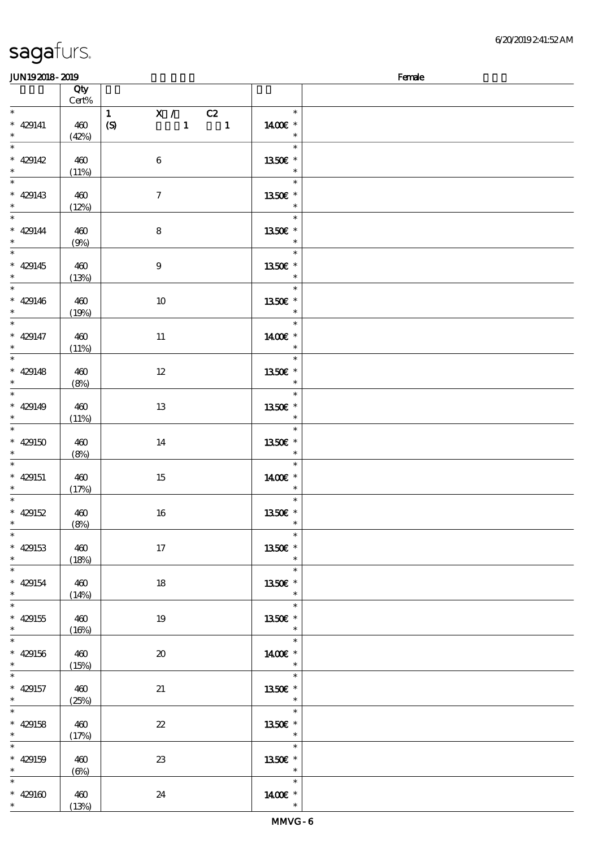| <b>JUN192018-2019</b>                            |                   |                                                                             |                                               | Female |
|--------------------------------------------------|-------------------|-----------------------------------------------------------------------------|-----------------------------------------------|--------|
|                                                  | Qty               |                                                                             |                                               |        |
|                                                  | $Cert\%$          |                                                                             |                                               |        |
| $* 429141$<br>$\ast$                             | 460<br>(42%)      | X / C2<br>$\mathbf{1}$<br>$\mathbf{1}$<br>(S)<br>$\overline{\phantom{a}}$ 1 | $\ast$<br>1400€ *<br>$\ast$                   |        |
| $\overline{\ast}$<br>* 429142                    | 460<br>(11%)      | $\boldsymbol{6}$                                                            | $\ast$<br>1350€ *<br>$\ast$                   |        |
| * 429143                                         | 460<br>(12%)      | $\boldsymbol{7}$                                                            | $\ast$<br>1350E *<br>$\ast$                   |        |
| $\overline{\ast}$<br>$* 429144$<br>$\ast$        | 460<br>(9%)       | $\bf 8$                                                                     | $\ast$<br>1350E *<br>$\ast$                   |        |
| $\overline{\phantom{0}}$<br>$* 429145$<br>$\ast$ | 460<br>(13%)      | $\boldsymbol{9}$                                                            | $\overline{\ast}$<br>1350E *<br>$\ast$        |        |
| $\overline{\ast}$<br>$* 429146$<br>$\ast$        | 460<br>(19%)      | 10                                                                          | $\ast$<br>1350E *<br>$\ast$                   |        |
| $\overline{\ast}$<br>$* 429147$<br>$\ast$        | 460<br>(11%)      | 11                                                                          | $\ast$<br>1400€ *<br>$\ast$                   |        |
| $\overline{\ast}$<br>$* 429148$<br>$\ast$        | 460<br>(8%)       | 12                                                                          | $\ast$<br>1350E *<br>$\ast$                   |        |
| $* 429149$<br>$\ast$                             | 460<br>(11%)      | 13                                                                          | $\ast$<br>1350E *<br>$\ast$                   |        |
| $\overline{\ast}$<br>$* 429150$<br>$\ast$        | 460<br>(8%)       | 14                                                                          | $\ast$<br>1350E *<br>$\ast$                   |        |
| $\ast$<br>$* 429151$<br>$\ast$                   | 460<br>(17%)      | 15                                                                          | $\ast$<br>1400€ *<br>$\ast$                   |        |
| $* 429152$<br>$*$ $*$                            | 460<br>(8%)       | $16\,$                                                                      | $\ast$<br>1350E *<br>$\overline{\phantom{a}}$ |        |
| $\ast$<br>$* 429153$<br>$\ast$                   | 460<br>(18%)      | $17$                                                                        | $\ast$<br>1350E *<br>$\ast$                   |        |
| $\ast$<br>$* 429154$<br>$\ast$                   | 460<br>(14%)      | 18                                                                          | $\ast$<br>1350E *<br>$\ast$                   |        |
| $\overline{\ast}$<br>$* 429155$<br>$\ast$        | 460<br>(16%)      | 19                                                                          | $\ast$<br>1350E *<br>$\ast$                   |        |
| $\overline{\ast}$<br>$* 429156$<br>$\ast$        | 460<br>(15%)      | $\boldsymbol{\boldsymbol{\lambda}}$                                         | $\ast$<br>1400€ *<br>$\ast$                   |        |
| $\ast$<br>$* 429157$<br>$\ast$                   | 460<br>(25%)      | 21                                                                          | $\ast$<br>1350E *<br>$\overline{\phantom{a}}$ |        |
| $\overline{\ast}$<br>$* 429158$<br>$*$           | 460<br>(17%)      | $\boldsymbol{\mathcal{Z}}$                                                  | $\ast$<br>1350E *<br>$\overline{\phantom{a}}$ |        |
| $\ast$<br>$* 429159$<br>$\ast$                   | 460<br>$(\Theta)$ | 23                                                                          | $\ast$<br>1350E *<br>$\ast$                   |        |
| $\ast$<br>* 429160 $*$                           | 460<br>(13%)      | 24                                                                          | $\ast$<br>1400€ *<br>$\ast$                   |        |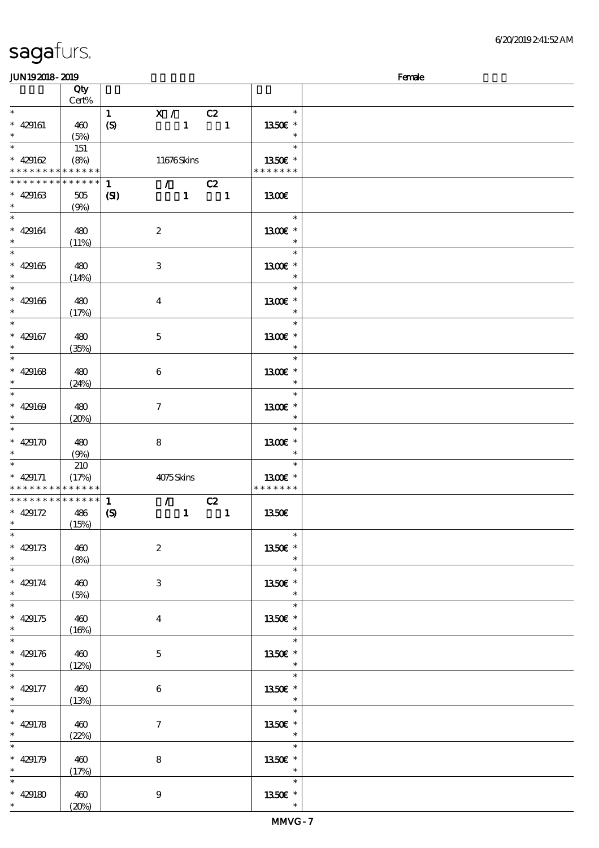| JUN192018-2019                                                     |                                |                                  |                             |              | Female                         |                                       |  |
|--------------------------------------------------------------------|--------------------------------|----------------------------------|-----------------------------|--------------|--------------------------------|---------------------------------------|--|
|                                                                    | Qty<br>Cert%                   |                                  |                             |              |                                |                                       |  |
| $\ast$<br>$* 429161$<br>$*$                                        | 460<br>(5%)                    | $\mathbf{1}$<br>$\boldsymbol{S}$ | X / C2                      | $\mathbf{1}$ | $\blacksquare$                 | $\ast$<br>1350E *<br>$\ast$           |  |
| $\ast$<br>$* 429162$<br>* * * * * * * * <mark>* * * * * * *</mark> | 151<br>(8%)                    |                                  | 11676Skins                  |              |                                | $\ast$<br>1350€ *<br>* * * * * * *    |  |
| * * * * * * * *<br>$* 429163$<br>$*$                               | * * * * * *<br>$505\,$<br>(9%) | $\mathbf{1}$<br>$\mathbf{C}$     | $\mathcal{L} = \mathcal{L}$ | $1 -$        | C2<br>$\overline{\phantom{a}}$ | 1300E                                 |  |
| $*$<br>$* 429164$<br>$\ast$                                        | 480<br>(11%)                   |                                  | $\boldsymbol{2}$            |              |                                | $\ast$<br>$1300E$ *<br>$\ast$         |  |
| $\overline{\ast}$<br>$* 429165$<br>$\ast$                          | 480<br>(14%)                   |                                  | 3                           |              |                                | $\ast$<br>1300E *<br>$\ast$           |  |
| $\overline{\phantom{0}}$<br>$* 429166$<br>$\ast$                   | 480<br>(17%)                   |                                  | $\overline{\mathbf{4}}$     |              |                                | $\ast$<br>1300E *<br>$\ast$           |  |
| $*$<br>$* 429167$<br>$\ast$                                        | 480<br>(35%)                   |                                  | $\mathbf 5$                 |              |                                | $\ast$<br>1300€ *<br>$\ast$           |  |
| $* 429168$<br>$*$                                                  | 480<br>(24%)                   |                                  | $\boldsymbol{6}$            |              |                                | $\ast$<br>1300E *<br>$\ast$           |  |
| $* 429169$<br>$\ast$                                               | 480<br>(20%)                   |                                  | $\boldsymbol{\tau}$         |              |                                | $\ast$<br>1300E *<br>$\ast$           |  |
| * 429170<br>$\ast$                                                 | 480<br>(9%)                    |                                  | 8                           |              |                                | $\ast$<br>$1300E$ *<br>$\ast$         |  |
| $*$<br>$* 429171$<br>* * * * * * * *                               | 210<br>(17%)<br>* * * * * *    |                                  | 4075Skins                   |              |                                | $\ast$<br>1300E *<br>* * * * * * *    |  |
| * * * * * * * * * * * * * *<br>$* 429172$<br>$\ast$                | 486<br>(15%)                   | 1<br>$\boldsymbol{\mathrm{(S)}}$ | $\mathcal{T} = \mathcal{I}$ | $\mathbf{1}$ | C2<br>$\blacksquare$           | 1350E                                 |  |
| $* 429173$<br>$\ast$                                               | 460<br>(8%)                    |                                  | $\boldsymbol{2}$            |              |                                | $\ast$<br>1350€ *<br>$\ast$           |  |
| $* 429174$<br>$*$<br>$\overline{\ast}$                             | 460<br>(5%)                    |                                  | 3                           |              |                                | $\ast$<br>1350E *<br>$\ast$<br>$\ast$ |  |
| $* 429175$<br>$*$<br>$\overline{\phantom{0}}$                      | 460<br>(16%)                   |                                  | $\boldsymbol{4}$            |              |                                | 1350E *<br>$\ast$                     |  |
| $* 429176$<br>$*$<br>$\overline{\phantom{0}}$                      | 460<br>(12%)                   |                                  | $\mathbf{5}$                |              |                                | $\ast$<br>1350E *<br>$\ast$           |  |
| $* 429177$<br>$\ast$                                               | 460<br>(13%)                   |                                  | $\boldsymbol{6}$            |              |                                | $\ast$<br>1350E *<br>$\ast$           |  |
| $\overline{\ast}$<br>$* 429178$<br>$\ast$                          | 460<br>(22%)                   |                                  | $\tau$                      |              |                                | $\ast$<br>1350E *<br>$\ast$           |  |
| $\overline{\ast}$<br>$* 429179$<br>$*$                             | 460<br>(17%)                   |                                  | 8                           |              |                                | $\ast$<br>1350E *<br>$\ast$           |  |
| $\ast$<br>$* 429180$<br>$\ast$                                     | 460<br>(20%)                   |                                  | $\boldsymbol{9}$            |              |                                | $\ast$<br>1350E *<br>$\ast$           |  |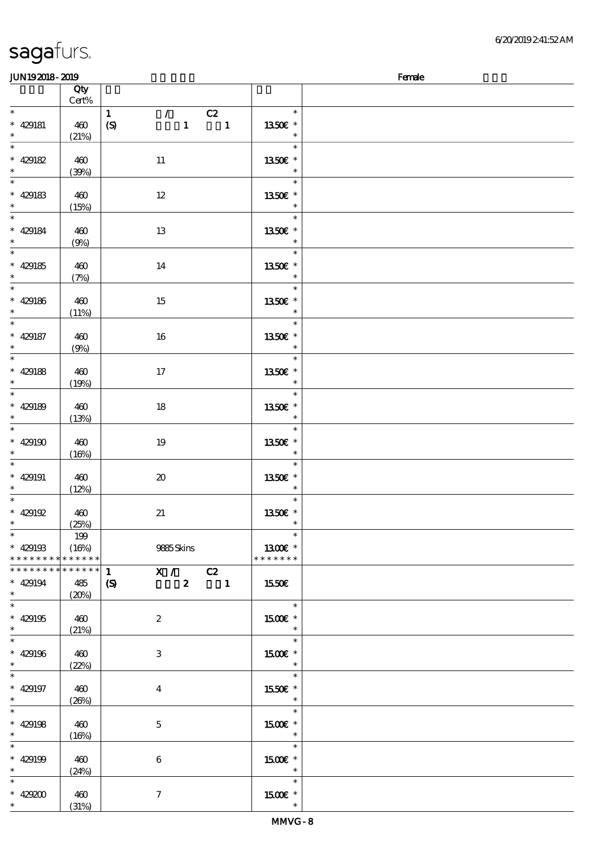\*

(31%)

### $JUN192018-2019$  Female 顺序号 Qty Cert% 说明 价格 \* \* \* 429181 460  $(21%)$ 1 / C2  $(S)$  1 1 \* \* 13.50€ \* \* \* \* 429182 460 (39%) 11 \* \* 13.50€ \* \* \* \* 429183 460 (15%) 12 \* \* 13.50€ \* \* \* \* 429184 460 (9%) 13 \* \* 13.50€ \* \* \* \* 429185 460 (7%) 14 \* \* 13.50€ \* \* \* \* 429186 460  $(11%)$ 15 \* \* \* 13.50€ \* \* \* 429187 460 (9%) 16 \* \* \* 13.50€ \* \* \* 429188 460 (19%) 17 \* \* 13.50€ \* \* \* \* 429189 460 (13%) 18 \* \* 13.50€ \* \* \* \*  $429190 \pm 400$  $(16%)$ 19 \* \* \* 13.50€ \* \* \* 429191 460  $(12%)$ 20 \* \* 13.50€ \* \* \* \* 429192 460 (25%) 21 \* \* 13.50€ \* \* \* 429193 \* \* \* \* \* \* \* \* \* \* \* \* \* 199 (16%) 9885 Skins \* 1300€ \* \* \* \* \* \* \* \*  $1$  X / C2  $(S)$  2 1 \* \* \* \* \* \* \* \* \* \* \* \* \* \* \* \* \* 429194 485 (20%)  $1$  1550€ \* \* \* 429195 460 (21%) 2 \* 1500€ \* \* \* \* \* 429196 460  $(22%)$ 3 \* 1500€ \* \* \* \* \* 429197 460  $(26%)$ 4 \* \* 15.50€ \* \* \* \* 429198 460  $(16%)$ 5 \* \* \* 15.00€ \* \* \* 429199 460 (24%) 6 \* 1500€ \* \* \* \* 429200 460 7 \* 1500€ \*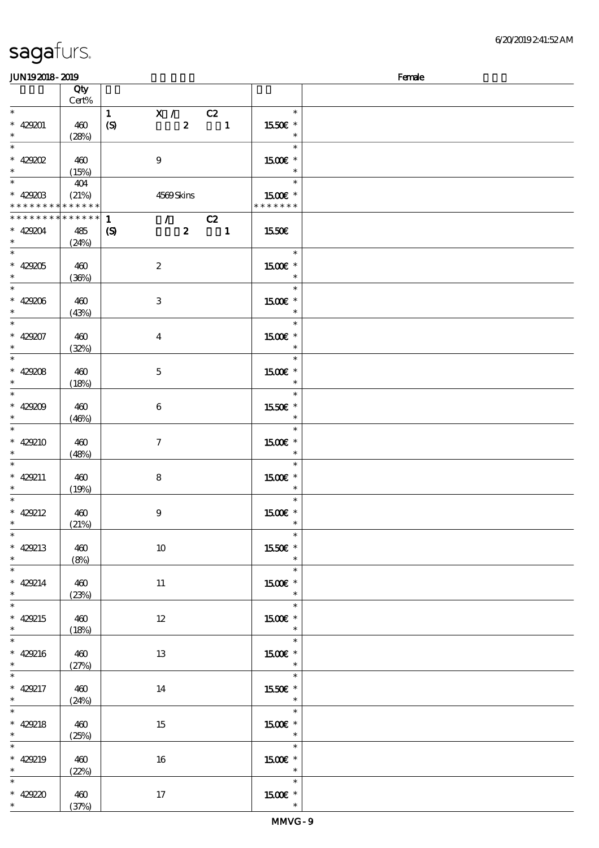| <b>saga</b> furs. |  |
|-------------------|--|
|                   |  |

### JUN192018-2019 - 2019 - 2019 - 2019 - 2019 - 2019 - 2019 - 2019 - 2019 - 2019 - 2019 - 2019 - 2019 - 2019 - 20

| www.www                     |              |                                                                 |                   | $\sim$ |
|-----------------------------|--------------|-----------------------------------------------------------------|-------------------|--------|
|                             | Qty<br>Cert% |                                                                 |                   |        |
|                             |              |                                                                 |                   |        |
| $*$                         |              | X / C2<br>$\mathbf{1}$                                          | $\ast$            |        |
| $* 429201$                  | 460          | $\boldsymbol{S}$<br>$\boldsymbol{z}$<br>$\overline{\mathbf{1}}$ | 1550E *           |        |
| $\ast$                      |              |                                                                 |                   |        |
|                             | (28%)        |                                                                 | $\ast$            |        |
| $\overline{\ast}$           |              |                                                                 | $\ast$            |        |
|                             |              |                                                                 |                   |        |
| $*$ 429202                  | 460          | $\boldsymbol{9}$                                                | $1500E$ *         |        |
| $\ast$                      | (15%)        |                                                                 | $\ast$            |        |
| $\overline{\ast}$           |              |                                                                 | $\ast$            |        |
|                             | 404          |                                                                 |                   |        |
| $* 429203$                  | (21%)        | 4569Skins                                                       | 1500 £*           |        |
| * * * * * * * * * * * * * * |              |                                                                 | * * * * * * *     |        |
|                             |              |                                                                 |                   |        |
| * * * * * * * *             | * * * * * *  | $\mathbf{1}$<br>$\sqrt{C^2}$                                    |                   |        |
|                             |              |                                                                 |                   |        |
| $* 429204$                  | 485          | $2 \t 1$<br>$\boldsymbol{\mathrm{(S)}}$                         | 1550€             |        |
| $\ast$                      | (24%)        |                                                                 |                   |        |
|                             |              |                                                                 | $\ast$            |        |
|                             |              |                                                                 |                   |        |
| $* 429205$                  | 460          | $\boldsymbol{z}$                                                | 1500 £*           |        |
| $\ast$                      | (36%)        |                                                                 | $\ast$            |        |
|                             |              |                                                                 |                   |        |
| $\ast$                      |              |                                                                 | $\ast$            |        |
| $* 429206$                  | 460          | $\mathbf{3}$                                                    | 1500 £*           |        |
|                             |              |                                                                 |                   |        |
| $\ast$                      | (43%)        |                                                                 | $\ast$            |        |
| $\overline{\ast}$           |              |                                                                 | $\ast$            |        |
|                             |              |                                                                 |                   |        |
|                             | 460          | $\bf{4}$                                                        | 1500€ *           |        |
| * 429207 *                  |              |                                                                 | $\ast$            |        |
|                             | (32%)        |                                                                 |                   |        |
| $\ast$                      |              |                                                                 | $\ast$            |        |
|                             |              |                                                                 |                   |        |
| $* 429208$                  | 460          | $\mathbf 5$                                                     | 1500 £*           |        |
| $\ast$                      | (18%)        |                                                                 |                   |        |
| $\ast$                      |              |                                                                 | $\ast$            |        |
|                             |              |                                                                 |                   |        |
| $* 429209$                  | 460          | $\boldsymbol{6}$                                                | 1550E *           |        |
| $\ast$                      |              |                                                                 |                   |        |
|                             | (46%)        |                                                                 |                   |        |
| $\overline{\phantom{0}}$    |              |                                                                 | $\ast$            |        |
| $* 429210$                  |              |                                                                 |                   |        |
|                             | 460          | $\boldsymbol{\tau}$                                             | 1500€ *           |        |
| $\ast$                      | (48%)        |                                                                 |                   |        |
| $\overline{\phantom{0}}$    |              |                                                                 | $\ast$            |        |
|                             |              |                                                                 |                   |        |
| $* 429211$                  | 460          | $\bf 8$                                                         | 1500 £*           |        |
| $\ast$                      |              |                                                                 | $\ast$            |        |
|                             | (19%)        |                                                                 |                   |        |
| $*$                         |              |                                                                 | $\ast$            |        |
| $* 429212$                  |              |                                                                 | $1500E$ $^{\ast}$ |        |
|                             | 460          | $9$                                                             |                   |        |
| $\ast$                      | (21%)        |                                                                 | $\ast$            |        |
| $\ast$                      |              |                                                                 | $\ast$            |        |
|                             |              |                                                                 |                   |        |
| $* 429213$                  | 460          | 10                                                              | 1550€ *           |        |
| $\ast$                      |              |                                                                 | $\ast$            |        |
|                             | (8%)         |                                                                 |                   |        |
| $\overline{\phantom{0}}$    |              |                                                                 | $\ast$            |        |
| $* 429214$                  | 460          |                                                                 | 1500 £*           |        |
|                             |              | $11\,$                                                          |                   |        |
| $\ast$                      | (23%)        |                                                                 | $\ast$            |        |
| $\overline{\ast}$           |              |                                                                 | $\ast$            |        |
|                             |              |                                                                 |                   |        |
| $* 429215$                  | 460          | $12\,$                                                          | 1500€ *           |        |
| $\ast$                      | (18%)        |                                                                 | $\ast$            |        |
| $\overline{\phantom{0}}$    |              |                                                                 |                   |        |
|                             |              |                                                                 | $\ast$            |        |
| $* 429216$                  | 460          | 13                                                              | 1500€ *           |        |
|                             |              |                                                                 |                   |        |
| $\ast$                      | (27%)        |                                                                 | $\ast$            |        |
| $\overline{\phantom{0}}$    |              |                                                                 | $\ast$            |        |
|                             |              |                                                                 |                   |        |
| $* 429217$                  | 460          | 14                                                              | 1550E *           |        |
| $\ast$                      | (24%)        |                                                                 | $\ast$            |        |
| $\overline{\ast}$           |              |                                                                 | $\ast$            |        |
|                             |              |                                                                 |                   |        |
| $* 429218$                  | 460          | 15                                                              | 1500€ *           |        |
|                             |              |                                                                 |                   |        |
| $\ast$                      | (25%)        |                                                                 | $\ast$            |        |
| $\overline{\ast}$           |              |                                                                 | $\ast$            |        |
|                             |              |                                                                 |                   |        |
| $* 429219$                  | 460          | 16                                                              | $1500E$ *         |        |
| $\ast$                      | (22%)        |                                                                 | $\ast$            |        |
| $\overline{\phantom{0}}$    |              |                                                                 | $\ast$            |        |
|                             |              |                                                                 |                   |        |
| $* 42920$                   | 460          | 17                                                              | 1500 £*           |        |
| $\ast$                      |              |                                                                 | $\ast$            |        |
|                             | (37%)        |                                                                 |                   |        |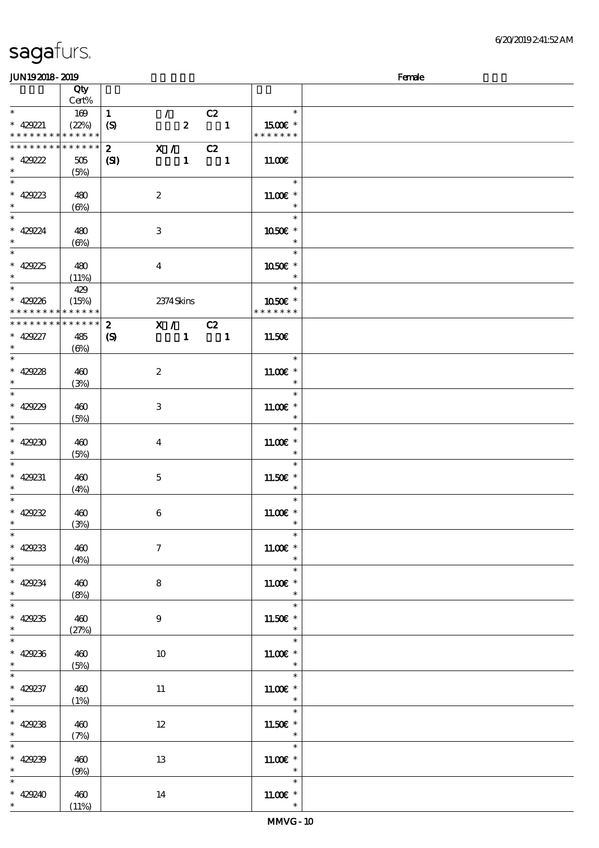| sagafurs. |  |
|-----------|--|
|           |  |

### $JUN192018 - 2019$  Female

|                          | Qty<br>Cert% |                  |                     |            |                           |                       |  |
|--------------------------|--------------|------------------|---------------------|------------|---------------------------|-----------------------|--|
| $\ast$                   |              |                  |                     |            |                           |                       |  |
|                          | 169          | $\mathbf{1}$     | $\mathcal{L}$       |            | C2                        | $\ast$                |  |
| $* 429221$               | (22%)        | $\boldsymbol{S}$ |                     |            | $\overline{\mathbf{2}}$ 1 | 1500 $\varepsilon$ *  |  |
| * * * * * * * *          | * * * * * *  |                  |                     |            |                           | * * * * * * *         |  |
| * * * * * * * *          | * * * * * *  |                  |                     |            |                           |                       |  |
|                          |              | $\boldsymbol{2}$ | X / C2              |            |                           |                       |  |
| $* 429222$               | 505          | (S)              |                     |            | $1 \quad 1$               | 11.00E                |  |
| $\ast$                   | (5%)         |                  |                     |            |                           |                       |  |
|                          |              |                  |                     |            |                           | $\ast$                |  |
|                          |              |                  |                     |            |                           |                       |  |
| $* 429223$               | 480          |                  | $\boldsymbol{2}$    |            |                           | $11.00E*$             |  |
| $\ast$                   | $(\Theta)$   |                  |                     |            |                           | $\ast$                |  |
| $*$                      |              |                  |                     |            |                           | $\ast$                |  |
|                          |              |                  |                     |            |                           |                       |  |
| $* 429224$               | 480          |                  | $\,3$               |            |                           | 1050€ *               |  |
| $\ast$                   | $(\Theta)$   |                  |                     |            |                           | $\ast$                |  |
| $\overline{\ast}$        |              |                  |                     |            |                           | $\ast$                |  |
|                          |              |                  |                     |            |                           |                       |  |
| $* 42925$                | 480          |                  | $\boldsymbol{4}$    |            |                           | 1050E *               |  |
| $\ast$                   | (11%)        |                  |                     |            |                           | $\ast$                |  |
| $\ast$                   | 429          |                  |                     |            |                           | $\ast$                |  |
| $* 429236$               | (15%)        |                  |                     | 2374 Skins |                           | 1050E *               |  |
|                          | * * * * * *  |                  |                     |            |                           | * * * * * * *         |  |
| * * * * * * * *          |              |                  |                     |            |                           |                       |  |
| * * * * * * * *          | * * * * * *  | $\boldsymbol{z}$ | X / C2              |            |                           |                       |  |
| $* 429227$               | 485          | $\boldsymbol{S}$ |                     |            | $1 \quad 1$               | 11.50E                |  |
| $\ast$                   |              |                  |                     |            |                           |                       |  |
| $\overline{\ast}$        | $(\Theta)$   |                  |                     |            |                           |                       |  |
|                          |              |                  |                     |            |                           | $\ast$                |  |
| $* 42928$                | 460          |                  | $\boldsymbol{2}$    |            |                           | $11.00E$ *            |  |
| $\ast$                   | (3%)         |                  |                     |            |                           | $\ast$                |  |
| $\ast$                   |              |                  |                     |            |                           | $\ast$                |  |
|                          |              |                  |                     |            |                           |                       |  |
| $* 429229$               | 460          |                  | $\,3$               |            |                           | $11.00E$ *            |  |
| $\ast$                   | (5%)         |                  |                     |            |                           | $\ast$                |  |
| $\overline{\ast}$        |              |                  |                     |            |                           | $\ast$                |  |
|                          |              |                  |                     |            |                           |                       |  |
| $* 429230$               | 460          |                  | $\boldsymbol{4}$    |            |                           | $11.00E$ *            |  |
| $\ast$                   | (5%)         |                  |                     |            |                           | $\ast$                |  |
| $\ast$                   |              |                  |                     |            |                           | $\ast$                |  |
| $* 429231$               | 460          |                  | $\mathbf 5$         |            |                           | 11.50€ *              |  |
|                          |              |                  |                     |            |                           |                       |  |
| $\ast$                   | (4%)         |                  |                     |            |                           | $\ast$                |  |
| $\ast$                   |              |                  |                     |            |                           | $\ast$                |  |
| $* 429232$               | 460          |                  | $\,6$               |            |                           | $11.00E$ *            |  |
| $\ast$                   | (3%)         |                  |                     |            |                           | $\ast$                |  |
| $\ast$                   |              |                  |                     |            |                           |                       |  |
|                          |              |                  |                     |            |                           | $\ast$                |  |
| $* 429233$               | 460          |                  | $\boldsymbol{\tau}$ |            |                           | $1100E$ *             |  |
| $\ast$                   | (4%)         |                  |                     |            |                           |                       |  |
| $\overline{\ast}$        |              |                  |                     |            |                           | $\ast$                |  |
|                          |              |                  |                     |            |                           |                       |  |
| * 429234                 | 460          |                  | $\bf 8$             |            |                           | $1100E$ $^{\ast}$     |  |
|                          | (8%)         |                  |                     |            |                           | $\ast$                |  |
| $\overline{\phantom{0}}$ |              |                  |                     |            |                           | $\ast$                |  |
|                          |              |                  |                     |            |                           |                       |  |
| * 429235                 | 460          |                  | $\boldsymbol{9}$    |            |                           | $11.50E$ $^{\ast}$    |  |
|                          | (27%)        |                  |                     |            |                           | $\ast$                |  |
| $\overline{\ast}$        |              |                  |                     |            |                           | $\overline{\ast}$     |  |
| $* 429236$               | 460          |                  | $10\,$              |            |                           | $11.00E$ *            |  |
| $\ast$                   |              |                  |                     |            |                           | $\ast$                |  |
| $\overline{\ast}$        | (5%)         |                  |                     |            |                           |                       |  |
|                          |              |                  |                     |            |                           | $\ast$                |  |
| $* 429237$               | 460          |                  | $11\,$              |            |                           | 11.00 $\varepsilon$ * |  |
| $\ast$                   | (1%)         |                  |                     |            |                           | $\ast$                |  |
| $\overline{\ast}$        |              |                  |                     |            |                           | $\ast$                |  |
|                          |              |                  |                     |            |                           |                       |  |
| $* 429238$               | 460          |                  | $12\,$              |            |                           | 11.50 $\varepsilon$ * |  |
| $\ast$                   | (7%)         |                  |                     |            |                           | $\ast$                |  |
| $\overline{\ast}$        |              |                  |                     |            |                           | $\ast$                |  |
|                          |              |                  |                     |            |                           |                       |  |
| $* 429239$               | 460          |                  | 13                  |            |                           | 11.00 $\varepsilon$ * |  |
| $\ast$                   | (9%)         |                  |                     |            |                           | $\ast$                |  |
| $\ast$                   |              |                  |                     |            |                           | $\ast$                |  |
| $* 429240$               | 460          |                  | 14                  |            |                           | $1100E$ $^{\ast}$     |  |
| $\ast$                   |              |                  |                     |            |                           | $\ast$                |  |
|                          | (11%)        |                  |                     |            |                           |                       |  |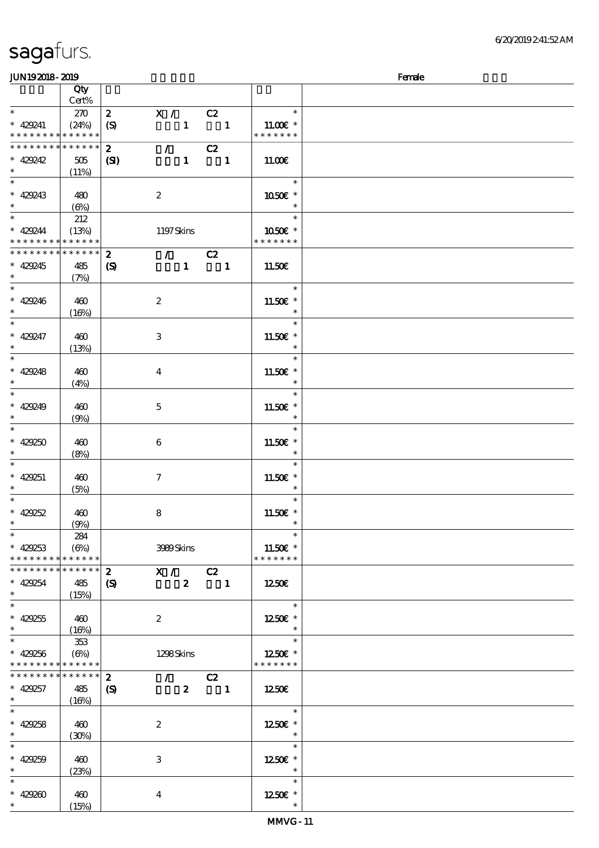| <b>JUN192018-2019</b>                      |              |                            |                                   |                                 |                          |              |                       | Female |
|--------------------------------------------|--------------|----------------------------|-----------------------------------|---------------------------------|--------------------------|--------------|-----------------------|--------|
|                                            | Qty          |                            |                                   |                                 |                          |              |                       |        |
|                                            | Cert%        |                            |                                   |                                 |                          |              |                       |        |
| $\ast$                                     | 270          | $\boldsymbol{z}$           | X /                               |                                 | C2                       |              | $\ast$                |        |
| $* 429241$                                 | (24%)        | (S)                        |                                   | $\mathbf{1}$                    | $\overline{\phantom{a}}$ |              | $11.00E$ *            |        |
| * * * * * * * * <mark>* * * * * *</mark> * |              |                            |                                   |                                 |                          |              | * * * * * * *         |        |
| * * * * * * * *                            | * * * * * *  | $\boldsymbol{z}$           |                                   | $\mathcal{L}$ and $\mathcal{L}$ | C2                       |              |                       |        |
| $* 429242$                                 | 505          | (S)                        |                                   | $\mathbf{1}$                    | $\blacksquare$           |              | 11.00E                |        |
| $\ast$                                     | (11%)        |                            |                                   |                                 |                          |              |                       |        |
| $\overline{\ }$                            |              |                            |                                   |                                 |                          |              | $\ast$                |        |
| $* 429243$                                 |              |                            |                                   |                                 |                          |              | 1050E *               |        |
| $\ast$                                     | 480          |                            | $\boldsymbol{2}$                  |                                 |                          |              | $\ast$                |        |
| $\overline{\ast}$                          | $(\Theta)$   |                            |                                   |                                 |                          |              | $\ast$                |        |
|                                            | 212          |                            |                                   |                                 |                          |              |                       |        |
| $* 429244$                                 | (13%)        |                            | 1197Skins                         |                                 |                          |              | 1050€ *               |        |
| * * * * * * * * * * * * * *                |              |                            |                                   |                                 |                          |              | * * * * * * *         |        |
| * * * * * * * * * * * * * * *              |              | $\boldsymbol{z}$           |                                   | $\mathcal{T} = \mathcal{I}$     | C2                       |              |                       |        |
| $* 429245$                                 | 485          | $\boldsymbol{\mathcal{S}}$ |                                   | $\mathbf{1}$                    |                          | $\mathbf{1}$ | 11.50€                |        |
| $\ast$                                     | (7%)         |                            |                                   |                                 |                          |              |                       |        |
| $\overline{\ast}$                          |              |                            |                                   |                                 |                          |              | $\ast$                |        |
| $* 429246$                                 | 460          |                            | $\boldsymbol{2}$                  |                                 |                          |              | 11.50 £*              |        |
| $\ast$                                     | (16%)        |                            |                                   |                                 |                          |              | $\ast$                |        |
| $\ast$                                     |              |                            |                                   |                                 |                          |              | $\ast$                |        |
| $* 429247$                                 | 460          |                            | $\ensuremath{\mathbf{3}}$         |                                 |                          |              | 11.50€ *              |        |
| $\ast$                                     | (13%)        |                            |                                   |                                 |                          |              | $\ast$                |        |
| $\overline{\ast}$                          |              |                            |                                   |                                 |                          |              | $\ast$                |        |
| $* 429248$                                 | 460          |                            | $\boldsymbol{4}$                  |                                 |                          |              | 11.50 £*              |        |
| $\ast$                                     |              |                            |                                   |                                 |                          |              | $\ast$                |        |
| $\overline{\phantom{0}}$                   | (4%)         |                            |                                   |                                 |                          |              | $\ast$                |        |
|                                            |              |                            |                                   |                                 |                          |              |                       |        |
| $* 429249$<br>$\ast$                       | 460          |                            | $\mathbf 5$                       |                                 |                          |              | 11.50 $\varepsilon$ * |        |
|                                            | (9%)         |                            |                                   |                                 |                          |              | $\ast$                |        |
| $\ast$                                     |              |                            |                                   |                                 |                          |              | $\ast$                |        |
| $* 429250$                                 | 460          |                            | $\boldsymbol{6}$                  |                                 |                          |              | 11.50€ *              |        |
| $\ast$                                     | (8%)         |                            |                                   |                                 |                          |              | $\ast$                |        |
| $\ast$                                     |              |                            |                                   |                                 |                          |              | $\ast$                |        |
| * $429251$                                 | 460          |                            | $\boldsymbol{\tau}$               |                                 |                          |              | 11.50 £*              |        |
| $\ast$                                     | (5%)         |                            |                                   |                                 |                          |              | $\ast$                |        |
| $\ast$                                     |              |                            |                                   |                                 |                          |              | $\ast$                |        |
| $* 429252$                                 | 460          |                            | $\bf 8$                           |                                 |                          |              | 11.50 $\varepsilon$ * |        |
| $*$                                        | (9%)         |                            |                                   |                                 |                          |              | $\ast$                |        |
| $\ast$                                     | 284          |                            |                                   |                                 |                          |              | $\ast$                |        |
| $* 429253$                                 | (6%)         |                            | 3989Skins                         |                                 |                          |              | 11.50€ *              |        |
| * * * * * * * *                            | * * * * * *  |                            |                                   |                                 |                          |              | * * * * * * *         |        |
| * * * * * * *                              | * * * * * *  | $\boldsymbol{z}$           | X / C2                            |                                 |                          |              |                       |        |
| $* 429254$                                 | 485          | $\boldsymbol{\mathcal{S}}$ |                                   | $\boldsymbol{z}$                | $\blacksquare$           |              | 1250E                 |        |
| $\ast$                                     | (15%)        |                            |                                   |                                 |                          |              |                       |        |
| $\overline{\ast}$                          |              |                            |                                   |                                 |                          |              | $\ast$                |        |
|                                            |              |                            |                                   |                                 |                          |              |                       |        |
| $* 429255$<br>$\ast$                       | 460          |                            | $\boldsymbol{2}$                  |                                 |                          |              | 1250E *<br>$\ast$     |        |
| $\ast$                                     | (16%)        |                            |                                   |                                 |                          |              | $\ast$                |        |
|                                            | 353          |                            |                                   |                                 |                          |              |                       |        |
| $* 429256$                                 | $(\Theta\%)$ |                            | 1298Skins                         |                                 |                          |              | 1250€ *               |        |
| * * * * * * * * <mark>* * * * * *</mark> * |              |                            |                                   |                                 |                          |              | * * * * * * *         |        |
| * * * * * * *                              | * * * * * *  | $\boldsymbol{z}$           | $\mathcal{T} \subset \mathcal{I}$ |                                 | C2                       |              |                       |        |
| $* 429257$                                 | 485          | $\boldsymbol{\mathcal{S}}$ |                                   | $\boldsymbol{z}$                | $\blacksquare$           |              | 1250                  |        |
| $*$ and $*$                                | (16%)        |                            |                                   |                                 |                          |              |                       |        |
| $\overline{\ast}$                          |              |                            |                                   |                                 |                          |              | $\ast$                |        |
| $* 429258$                                 | 460          |                            | $\boldsymbol{2}$                  |                                 |                          |              | 1250E *               |        |
| $*$ $*$                                    | (30%)        |                            |                                   |                                 |                          |              | $\ast$                |        |
| $\ast$                                     |              |                            |                                   |                                 |                          |              | $\ast$                |        |
| $* 429259$                                 | 460          |                            | $\,3$                             |                                 |                          |              | 1250€ *               |        |
| $\ast$                                     | (23%)        |                            |                                   |                                 |                          |              | $\ast$                |        |
| $\ast$                                     |              |                            |                                   |                                 |                          |              | $\ast$                |        |
| $* 429200$                                 | 460          |                            | $\boldsymbol{4}$                  |                                 |                          |              | 1250E *               |        |
| $\ast$                                     | (15%)        |                            |                                   |                                 |                          |              | $\ast$                |        |
|                                            |              |                            |                                   |                                 |                          |              |                       |        |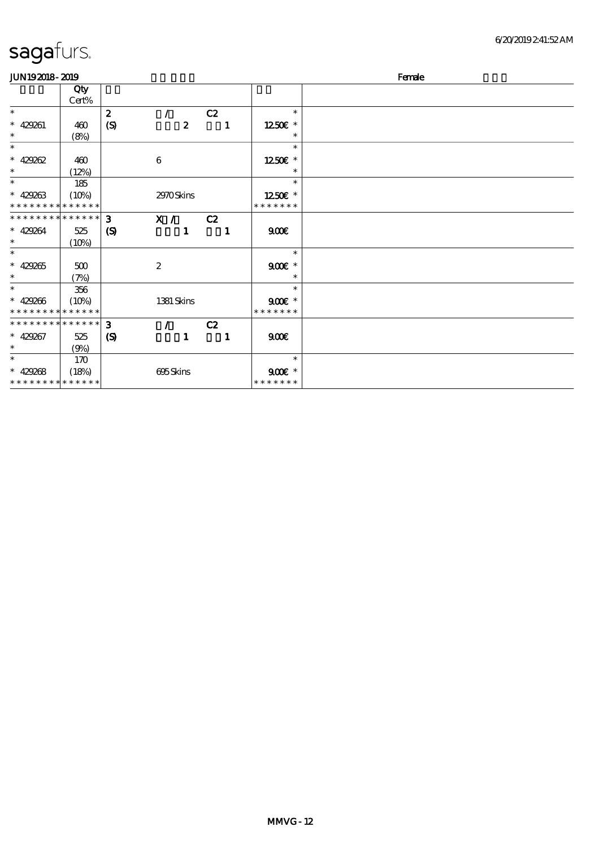| <b>JUN192018-2019</b>       |       |                             |                  |              |                         | Female |  |  |  |  |
|-----------------------------|-------|-----------------------------|------------------|--------------|-------------------------|--------|--|--|--|--|
|                             | Qty   |                             |                  |              |                         |        |  |  |  |  |
|                             | Cert% |                             |                  |              |                         |        |  |  |  |  |
| $\ast$                      |       | $\boldsymbol{z}$            | $\prime$         | C2           | $\ast$                  |        |  |  |  |  |
| $* 429261$                  | 460   | (S)                         | $\boldsymbol{z}$ |              | 1250E *<br>$\mathbf{1}$ |        |  |  |  |  |
| $\ast$                      | (8%)  |                             |                  |              | $\ast$                  |        |  |  |  |  |
| $\ast$                      |       |                             |                  |              | $\ast$                  |        |  |  |  |  |
| $* 429262$                  | 460   |                             | $\bf 6$          |              | 1250 £*                 |        |  |  |  |  |
| $\ast$                      | (12%) |                             |                  |              | $\ast$                  |        |  |  |  |  |
| $\ast$                      | 185   |                             |                  |              | $\ast$                  |        |  |  |  |  |
| $* 429263$                  | (10%) |                             | 2970Skins        |              | 1250E *                 |        |  |  |  |  |
| * * * * * * * * * * * * * * |       |                             |                  |              | * * * * * * *           |        |  |  |  |  |
| * * * * * * * * * * * * * * |       | 3                           | X /              | C2           |                         |        |  |  |  |  |
| $* 429264$                  | 525   | $\boldsymbol{\mathrm{(S)}}$ | $\mathbf{1}$     | $\mathbf{1}$ | 900                     |        |  |  |  |  |
| $\ast$                      | (10%) |                             |                  |              |                         |        |  |  |  |  |
| $\ast$                      |       |                             |                  |              | $\ast$                  |        |  |  |  |  |
| $* 429265$                  | 500   |                             | $\boldsymbol{2}$ |              | $900E$ *                |        |  |  |  |  |
| $\ast$                      | (7%)  |                             |                  |              | $\ast$                  |        |  |  |  |  |
| $\ast$                      | 356   |                             |                  |              | $\ast$                  |        |  |  |  |  |
| $* 429266$                  | (10%) |                             | 1381 Skins       |              | $900$ $*$               |        |  |  |  |  |
| * * * * * * * * * * * * * * |       |                             |                  |              | * * * * * * *           |        |  |  |  |  |
| * * * * * * * * * * * * * * |       | 3                           | $\mathcal{L}$    | C2           |                         |        |  |  |  |  |
| $* 429267$                  | 525   | $\boldsymbol{\mathrm{(S)}}$ | $\mathbf{1}$     | $\mathbf{1}$ | 900E                    |        |  |  |  |  |
| $\ast$                      | (9%)  |                             |                  |              |                         |        |  |  |  |  |
| $\ast$                      | 170   |                             |                  |              | $\ast$                  |        |  |  |  |  |
| $* 429268$                  | (18%) |                             | 695Skins         |              | $900f$ *                |        |  |  |  |  |
| * * * * * * * * * * * * * * |       |                             |                  |              | * * * * * * *           |        |  |  |  |  |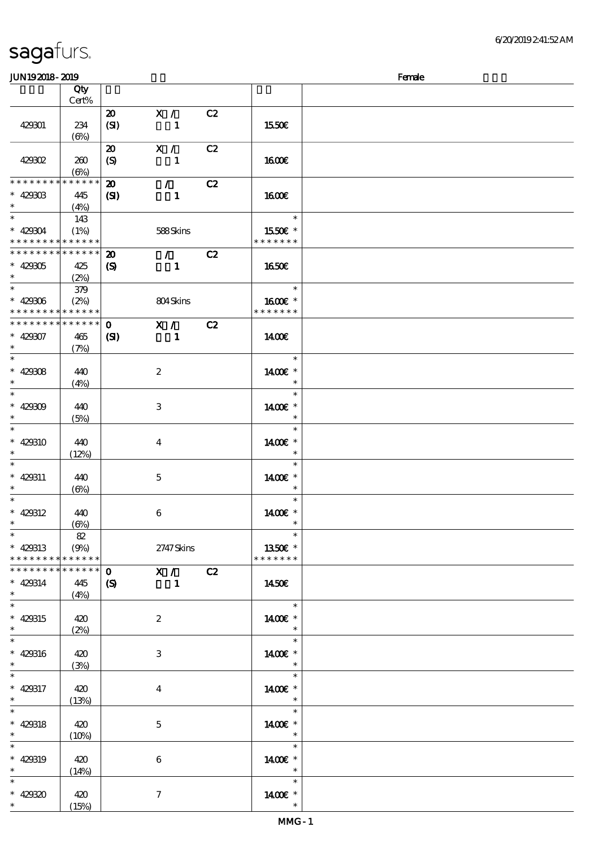### $J/N192018 - 2019$  Female

| JUIN IOAUIO- AUIO                                                                  |                   |                                                 |                                 |    |                          | rance                      |
|------------------------------------------------------------------------------------|-------------------|-------------------------------------------------|---------------------------------|----|--------------------------|----------------------------|
|                                                                                    | Qty<br>Cert%      |                                                 |                                 |    |                          |                            |
| 429301                                                                             | 234<br>$(\Theta)$ | $\boldsymbol{\mathfrak{D}}$<br>(SI)             | X /<br>$\mathbf{1}$             | C2 | 1550€                    |                            |
| 429302                                                                             | 260<br>$(\Theta)$ | $\boldsymbol{\mathfrak{D}}$<br>(S)              | X /<br>$\mathbf{1}$             | C2 | <b>1600€</b>             |                            |
| * * * * * * * * * * * * * *<br>$* 42930B$<br>$\ast$                                | 445<br>(4%)       | $\boldsymbol{\mathbf{z}}$<br>$\mathbf{Z}$       | $\mathcal{F}$<br>$\mathbf{1}$   | C2 | 1600E                    |                            |
| $\overline{\phantom{0}}$<br>$* 429004$<br>* * * * * * * * <mark>* * * * * *</mark> | 143<br>(1%)       |                                                 | 588Skins                        |    | 1550€ *<br>* * * * * * * | $\ast$                     |
| * * * * * * * * * * * * * *<br>$* 429305$<br>$*$                                   | 425<br>(2%)       | $\boldsymbol{\mathfrak{D}}$<br>$\boldsymbol{S}$ | $\mathcal{L}$<br>$\blacksquare$ | C2 | 1650E                    |                            |
| $* 429306$<br>* * * * * * * * <mark>* * * * * *</mark>                             | 379<br>(2%)       |                                                 | 804Skins                        |    | 1600E *<br>* * * * * * * | $\ast$                     |
| * * * * * * * * * * * * * *<br>$* 429307$<br>$\ast$                                | 465<br>(7%)       | $\mathbf{o}$<br>(S)                             | X /<br>$\mathbf{1}$             | C2 | 1400E                    |                            |
| $\ast$<br>* 42908<br>$\ast$                                                        | 440<br>(4%)       |                                                 | $\boldsymbol{z}$                |    | 1400€ *                  | $\ast$<br>$\ast$           |
| $\ast$<br>$* 429009$<br>$\ast$                                                     | 440<br>(5%)       |                                                 | $\,3$                           |    | 1400€ *                  | $\ast$                     |
| $\ast$<br>* 429310<br>$\ast$                                                       | 440<br>(12%)      |                                                 | $\overline{4}$                  |    | 1400€ *                  | $\ast$                     |
| $\ast$<br>$* 429311$<br>$\ast$<br>$\ast$                                           | 440<br>$(\Theta)$ |                                                 | $\mathbf 5$                     |    | 1400€ *                  | $\ast$<br>$\ast$<br>$\ast$ |
| $* 429312$<br>$\ast$<br>$\ast$                                                     | 440<br>$(\Theta)$ |                                                 | 6                               |    | 1400€ *                  | $\ast$<br>$\ast$           |
| $* 429313$<br>* * * * * * * * * * * * * *<br>* * * * * * * * * * * * * *           | 82<br>(9%)        |                                                 | 2747Skins                       |    | 1350€ *<br>* * * * * * * |                            |
| $* 429314$<br>$\ast$<br>$\ast$                                                     | 445<br>(4%)       | $\mathbf 0$<br>$\boldsymbol{\mathcal{S}}$       | $\mathbf{X}$ /<br>1             | C2 | 1450E                    |                            |
| $* 429315$<br>$\ast$<br>$\overline{\ast}$                                          | 420<br>(2%)       |                                                 | $\boldsymbol{2}$                |    | 1400€ *                  | $\ast$<br>$\ast$           |
| * 429316<br>$\ast$<br>$\ast$                                                       | 420<br>(3%)       |                                                 | $\,3$                           |    | 1400€ *                  | $\ast$<br>$\ast$           |
| $* 429317$<br>$\ast$<br>$\ast$                                                     | 420<br>(13%)      |                                                 | $\boldsymbol{4}$                |    | 1400€ *                  | $\ast$<br>$\ast$           |
| $* 429318$<br>$\ast$<br>$\ast$                                                     | 420<br>(10%)      |                                                 | $\mathbf 5$                     |    | 1400€ *                  | $\ast$<br>$\ast$           |
| $* 429319$<br>$\ast$<br>$\ast$                                                     | 420<br>(14%)      |                                                 | $\boldsymbol{6}$                |    | 1400€ *                  | $\ast$<br>$\ast$           |
| $* 429320$<br>$\ast$                                                               | 420<br>(15%)      |                                                 | $\tau$                          |    | 1400 £*                  | $\ast$                     |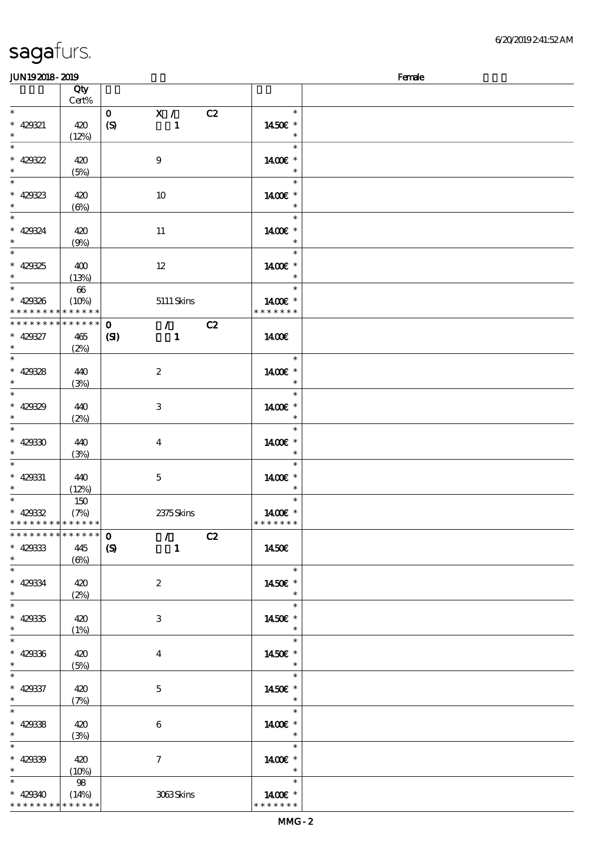| <b>saga</b> furs. |  |
|-------------------|--|
|                   |  |

### $J/N192018$ - 2019  $R$ emale  $R$ emale  $R$ emale  $R$ emale  $R$ emale  $R$ emale  $R$ emale  $R$ emale  $R$ emale  $R$ emale  $R$ emale  $R$ emale  $R$ emale  $R$ emale  $R$ emale  $R$ emale  $R$ emale  $R$ emale  $R$ emale  $R$ emale  $R$ emale  $R$ emale  $R$ ema

| www.craw                                   |                      |                                                |                          | <b>TOTAL</b> |
|--------------------------------------------|----------------------|------------------------------------------------|--------------------------|--------------|
|                                            | Qty<br>Cert%         |                                                |                          |              |
| $\overline{\ast}$                          |                      | $\mathbf{o}$<br>$\mathbf{X}$ /                 | C2<br>$\ast$             |              |
| $* 429321$                                 | 420                  | $\boldsymbol{S}$<br>$\mathbf{1}$               | 1450€ *                  |              |
| $\ast$                                     | (12%)                |                                                | $\ast$                   |              |
| $\overline{\ast}$                          |                      |                                                | $\ast$                   |              |
| $* 429322$                                 | 420                  | 9                                              | 1400€ *                  |              |
| $\ast$                                     | (5%)                 |                                                | $\ast$                   |              |
| $\overline{\phantom{0}}$                   |                      |                                                | $\ast$                   |              |
| $* 429323$                                 | 420                  | 10                                             | 1400€ *                  |              |
| $\ast$                                     | $(\Theta)$           |                                                | $\ast$                   |              |
| $\ast$                                     |                      |                                                | $\ast$                   |              |
| $* 429324$                                 | 420                  | 11                                             | 1400€ *                  |              |
| $\ast$                                     | (9%)                 |                                                | $\ast$                   |              |
| $\overline{\ast}$                          |                      |                                                | $\ast$                   |              |
| $* 429325$                                 | 400                  | $12\,$                                         | 1400€ *                  |              |
| $\ast$                                     | (13%)                |                                                |                          |              |
|                                            | $\pmb{\mathfrak{G}}$ |                                                | $\ast$                   |              |
| $* 429326$                                 | (10%)                | $5111$ Skins                                   | 1400€ *                  |              |
| * * * * * * * * * * * * * *<br>$*********$ |                      |                                                | * * * * * * *            |              |
|                                            | $******$             | $\mathcal{L}$ and $\mathcal{L}$<br>$\mathbf 0$ | C2                       |              |
| $* 429327$<br>$\ast$                       | 465                  | (SI)<br>$\mathbf{1}$                           | 1400€                    |              |
| $\overline{\ast}$                          | (2%)                 |                                                | $\ast$                   |              |
| $* 429328$                                 | 440                  | $\boldsymbol{2}$                               | 1400€ *                  |              |
| $\ast$                                     | (3%)                 |                                                | $\ast$                   |              |
| $\overline{\ast}$                          |                      |                                                | $\ast$                   |              |
| $* 429329$                                 | 440                  | $\,3$                                          | 1400€ *                  |              |
| $\ast$                                     | (2%)                 |                                                |                          |              |
| $\ast$                                     |                      |                                                | $\ast$                   |              |
| $* 429330$                                 | 440                  | $\boldsymbol{4}$                               | 1400€ *                  |              |
| $\ast$                                     | (3%)                 |                                                |                          |              |
| $\overline{\phantom{0}}$                   |                      |                                                | $\ast$                   |              |
| $* 429331$                                 | 440                  | $\mathbf 5$                                    | 1400€ *                  |              |
| $\ast$                                     | (12%)                |                                                | $\ast$                   |              |
|                                            | 150                  |                                                | $\ast$                   |              |
| $* 42932$                                  | (7%)                 | 2375Skins                                      | 1400€ *                  |              |
| * * * * * * * * * * * * * *                |                      |                                                | * * * * * * *            |              |
| **************                             |                      | $\mathcal{F}^{\pm}$<br>$\mathbf 0$             | C2                       |              |
| $* 429333$                                 | 445                  | $\boldsymbol{S}$<br>$\mathbf{1}$               | 1450€                    |              |
| $\ast$                                     | $(\Theta)$           |                                                |                          |              |
| $\ast$                                     |                      |                                                | $\ast$                   |              |
| $* 429334$                                 | 420                  | $\boldsymbol{2}$                               | 1450€ *                  |              |
| $\ast$<br>$\overline{\ast}$                | (2%)                 |                                                | $\ast$<br>$\ast$         |              |
| $* 429335$                                 |                      |                                                |                          |              |
| $\ast$                                     | 420<br>(1%)          | $\,3\,$                                        | 1450€ *<br>$\ast$        |              |
| $\ast$                                     |                      |                                                | $\ast$                   |              |
| $* 429336$                                 | 420                  | $\boldsymbol{4}$                               | 1450€ *                  |              |
| $\ast$                                     | (5%)                 |                                                | $\ast$                   |              |
| $\overline{\phantom{0}}$                   |                      |                                                | $\ast$                   |              |
| $* 429337$                                 | 420                  | $\mathbf 5$                                    | 1450€ *                  |              |
| $\ast$                                     | (7%)                 |                                                | $\ast$                   |              |
| $\ast$                                     |                      |                                                | $\ast$                   |              |
| $* 429338$                                 | 420                  | $\boldsymbol{6}$                               | 1400€ *                  |              |
| $\ast$                                     | (3%)                 |                                                | $\ast$                   |              |
| $\ast$                                     |                      |                                                | $\ast$                   |              |
| $* 42939$                                  | 420                  | $\tau$                                         | 1400€ *                  |              |
| $\ast$<br>$\ast$                           | (10%)                |                                                | $\ast$<br>$\ast$         |              |
|                                            | 98                   |                                                |                          |              |
| $* 429340$<br>* * * * * * * * * * * * * *  | (14%)                | 3063Skins                                      | 1400€ *<br>* * * * * * * |              |
|                                            |                      |                                                |                          |              |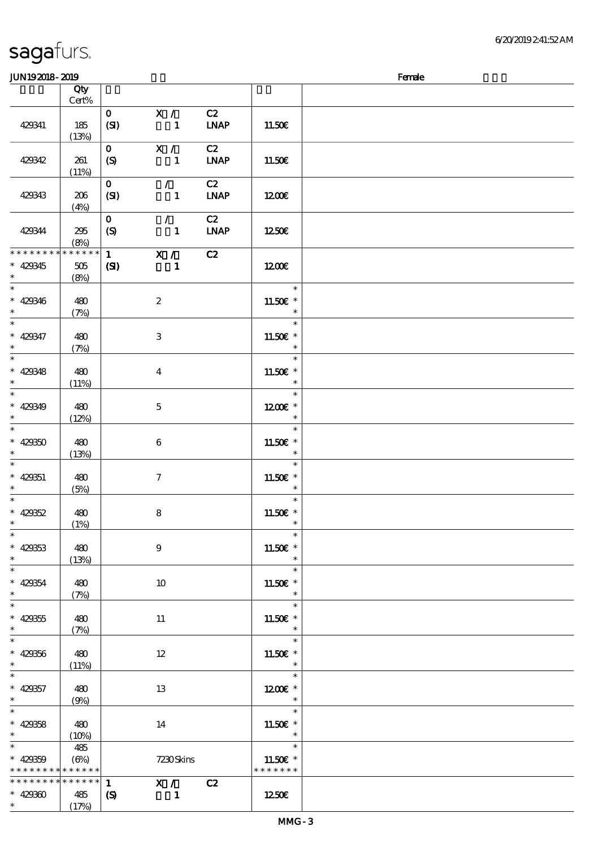## sagafurs.

| <b>JUN192018-2019</b>                                            |                            |                      |                                            |                                    |                                                  | Female |
|------------------------------------------------------------------|----------------------------|----------------------|--------------------------------------------|------------------------------------|--------------------------------------------------|--------|
|                                                                  | Qty                        |                      |                                            |                                    |                                                  |        |
|                                                                  | Cert%                      |                      |                                            |                                    |                                                  |        |
| 429341                                                           | 185<br>(13%)               | $\mathbf{O}$<br>(SI) | X /<br>$\blacksquare$                      | C2<br><b>LNAP</b>                  | 11.50E                                           |        |
| 429342                                                           | 261<br>(11%)               | $\mathbf{O}$<br>(S)  | X /<br>$\mathbf{1}$                        | C2<br><b>LNAP</b>                  | 11.50€                                           |        |
| 429343                                                           | 206<br>(4%)                | $\mathbf{O}$<br>(SI) | $\mathcal{F}^{\mathbb{R}}$<br>$\mathbf{1}$ | C2<br>$\ensuremath{\mathbf{INAP}}$ | 1200                                             |        |
| 429344                                                           | 295<br>(8%)                | $\mathbf 0$<br>(S)   | $\mathcal{L}$<br>$\mathbf{1}$              | C2<br><b>LNAP</b>                  | 1250€                                            |        |
| * * * * * * * *<br>$* 429345$<br>$\ast$                          | * * * * * *<br>505<br>(8%) | 1<br>$\mathbf{C}$    | X /<br>$\mathbf{1}$                        | C2                                 | 1200€                                            |        |
| $\overline{\ast}$<br>$* 429346$<br>$\ast$                        | 480<br>(7%)                |                      | $\boldsymbol{2}$                           |                                    | $\ast$<br>11.50€ *<br>$\ast$                     |        |
| $\overline{\ast}$<br>$* 429347$<br>$\ast$                        | 480<br>(7%)                |                      | $\ensuremath{\mathsf{3}}$                  |                                    | $\ast$<br>11.50€ *<br>$\ast$                     |        |
| $\overline{\phantom{a}^*}$<br>$* 429348$<br>$\ast$               | 480<br>(11%)               |                      | $\boldsymbol{4}$                           |                                    | $\ast$<br>11.50€ *<br>$\ast$                     |        |
| $\overline{\ast}$<br>$* 429349$<br>$\ast$                        | 480<br>(12%)               |                      | $\mathbf 5$                                |                                    | $\ast$<br>$1200E$ *<br>$\ast$                    |        |
| $\ast$<br>$* 429350$<br>$\ast$                                   | 480<br>(13%)               |                      | $\boldsymbol{6}$                           |                                    | $\ast$<br>$11.50E$ *<br>$\ast$                   |        |
| $\ast$<br>$* 429351$<br>$\ast$                                   | 480<br>(5%)                |                      | $\tau$                                     |                                    | $\ast$<br>11.50€ *<br>$\ast$                     |        |
| $\ast$<br>$* 42952$<br>$*$                                       | 480<br>(1%)                |                      | $\bf8$                                     |                                    | $\ast$<br>11.50 $\varepsilon$ *<br>$\ast$        |        |
| $\ast$<br>$* 429353$<br>$\ast$                                   | 480<br>(13%)               |                      | $9\phantom{.0}$                            |                                    | $\ast$<br>11.50€ *<br>$\ast$                     |        |
| $\overline{\phantom{0}}$<br>$* 429354$<br>$\ast$                 | 480<br>(7%)                |                      | 10                                         |                                    | $\ast$<br>11.50 £*<br>$\ast$                     |        |
| $\overline{\ast}$<br>$* 429355$<br>$\ast$                        | 480<br>(7%)                |                      | 11                                         |                                    | $\ast$<br>11.50 $\varepsilon$ *<br>$\ast$        |        |
| $\ast$<br>$* 429356$<br>$\ast$                                   | 480<br>(11%)               |                      | $12 \,$                                    |                                    | $\ast$<br>11.50€ *                               |        |
| $\ast$<br>$* 429357$<br>$\ast$                                   | 480<br>(9%)                |                      | 13                                         |                                    | $\ast$<br>1200E *<br>$\overline{\phantom{a}}$    |        |
| $\overline{\ast}$<br>$* 429358$<br>$*$ $*$                       | 480<br>(10%)               |                      | 14                                         |                                    | $\ast$<br>11.50€ *<br>$\ast$                     |        |
| $\ast$<br>$* 429359$<br>* * * * * * * * <mark>* * * * * *</mark> | 485<br>$(\Theta\% )$       |                      | 7230Skins                                  |                                    | $\ast$<br>11.50 $\varepsilon$ *<br>* * * * * * * |        |
| * * * * * * * * * * * * * *                                      |                            | $\mathbf{1}$         | X / C2                                     |                                    |                                                  |        |
| $* 42930$<br>$\ast$                                              | 485<br>(17%)               | $\boldsymbol{S}$     | 1                                          |                                    | 1250E                                            |        |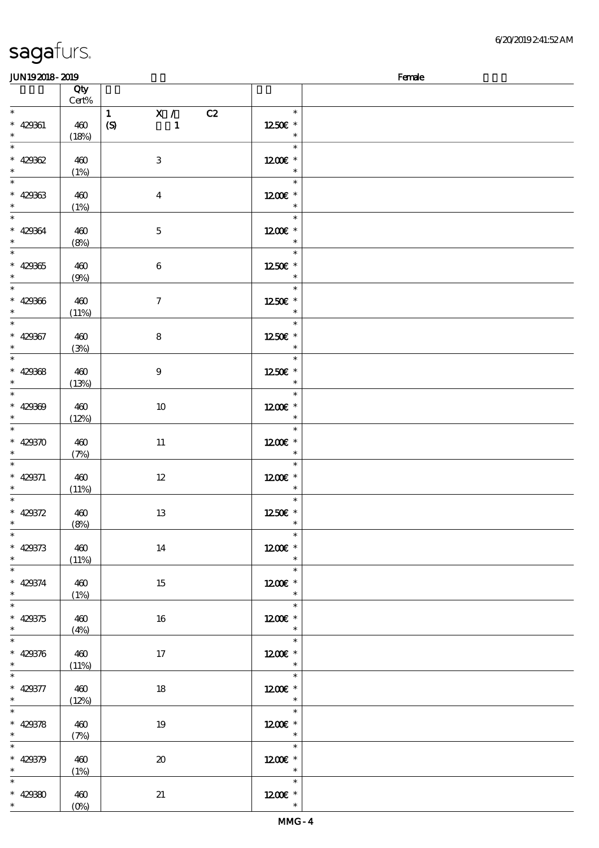| <b>saga</b> furs. |  |
|-------------------|--|
|                   |  |

 $\overline{\phantom{a}}$ 

| JUN192018-2019              |           |                                     |                          | Female |
|-----------------------------|-----------|-------------------------------------|--------------------------|--------|
|                             | Qty       |                                     |                          |        |
|                             | $Cert\%$  |                                     |                          |        |
| $*$                         |           | $\mathbf{1}$<br>X /<br>C2           | $\ast$                   |        |
| $* 42961$                   | 460       | $\boldsymbol{S}$<br>$\mathbf{1}$    | 1250€ *                  |        |
| $\ast$                      | (18%)     |                                     | $\ast$                   |        |
| $\overline{\ast}$           |           |                                     | $\ast$                   |        |
|                             |           |                                     |                          |        |
| * 42962                     | 460       | $\ensuremath{\mathsf{3}}$           | $1200E$ *                |        |
| $\ast$                      | (1%)      |                                     | $\ast$                   |        |
|                             |           |                                     | $\ast$                   |        |
| $* 429333$                  | 460       | $\bf{4}$                            | 1200E *                  |        |
| $\ddot{x}$                  |           |                                     | $\ast$                   |        |
| $\ddot{x}$                  | (1%)      |                                     | $\ast$                   |        |
|                             |           |                                     |                          |        |
| $* 42964$                   | 460       | $\mathbf{5}$                        | $1200E$ *                |        |
| $\ast$                      | (8%)      |                                     | $\ast$                   |        |
|                             |           |                                     | $\ast$                   |        |
| $* 42935$                   | 460       | $\bf 6$                             | 1250E *                  |        |
| $\ast$                      | (9%)      |                                     | $\ast$                   |        |
|                             |           |                                     | $\ast$                   |        |
| $* 429366$                  |           |                                     |                          |        |
|                             | 460       | $\boldsymbol{7}$                    | 1250E *                  |        |
| $\ast$                      | (11%)     |                                     | $\ast$                   |        |
| $\ast$                      |           |                                     | $\ast$                   |        |
| $* 429367$                  | 460       | $\bf 8$                             | 1250E *                  |        |
| $\ast$                      | (3%)      |                                     | $\ast$                   |        |
| $\overline{\ast}$           |           |                                     | $\ast$                   |        |
| $* 429368$                  | 460       | $\boldsymbol{9}$                    | 1250E *                  |        |
| $\ast$                      |           |                                     | $\ast$                   |        |
| $\overline{\phantom{0}}$    | (13%)     |                                     | $\ast$                   |        |
|                             |           |                                     |                          |        |
| $* 429300$                  | 460       | 10                                  | $1200E$ *                |        |
| $\ast$                      | (12%)     |                                     | $\ast$                   |        |
| $*$                         |           |                                     | $\ast$                   |        |
| * 429370                    | 460       | 11                                  | $1200E$ *                |        |
| $\ast$                      | (7%)      |                                     | $\ast$                   |        |
|                             |           |                                     | $\ast$                   |        |
|                             |           |                                     |                          |        |
| * 429371                    | 460       | $12\,$                              | $1200E$ *                |        |
| $\ast$<br>$\overline{\ast}$ | (11%)     |                                     | $\ast$                   |        |
|                             |           |                                     | $\ast$                   |        |
| * $429372$                  | 460       | $13\,$                              | 1250E *                  |        |
| $\ast$                      | (8%)      |                                     | $\ast$                   |        |
| $\ast$                      |           |                                     | $\ast$                   |        |
| $* 429373$                  | 460       | 14                                  | $1200E$ *                |        |
| $\ast$                      | (11%)     |                                     | $\ast$                   |        |
| $\overline{\ast}$           |           |                                     | $\ast$                   |        |
|                             |           |                                     |                          |        |
| $* 429374$                  | 460       | 15                                  | $1200E$ *                |        |
| $\ast$                      | (1%)      |                                     | $\ast$                   |        |
| $\overline{\ast}$           |           |                                     |                          |        |
| $* 429375$                  | 460       | 16                                  | $1200E$ *                |        |
| $\ast$                      | (4%)      |                                     | $\ast$                   |        |
| $\overline{\ast}$           |           |                                     | $\overline{\phantom{a}}$ |        |
| $* 429376$                  | 460       | 17                                  | $1200E$ *                |        |
| $\ast$                      |           |                                     | $\overline{\phantom{a}}$ |        |
| $\ast$                      | (11%)     |                                     | $\ast$                   |        |
|                             |           |                                     |                          |        |
| $* 429377$                  | 460       | 18                                  | 1200E *                  |        |
| $\ast$                      | (12%)     |                                     | $\overline{\phantom{a}}$ |        |
| $\overline{\ast}$           |           |                                     | $\ast$                   |        |
| $* 429378$                  | 460       | 19                                  | $1200E$ *                |        |
| $\ast$                      | (7%)      |                                     | $\overline{\phantom{a}}$ |        |
| $\overline{\ast}$           | Tarihin I |                                     | $\ast$                   |        |
|                             |           |                                     |                          |        |
| $* 429379$                  | 460       | $\boldsymbol{\boldsymbol{\lambda}}$ | $1200E$ *                |        |
| $*$ and $*$                 | (1%)      |                                     | $\overline{\phantom{a}}$ |        |
| $\ast$                      |           |                                     | $\ast$                   |        |
| * 429380                    | 460       | 21                                  | $1200E$ *                |        |
| $\ast$                      | $(0\%)$   |                                     | $\ast$                   |        |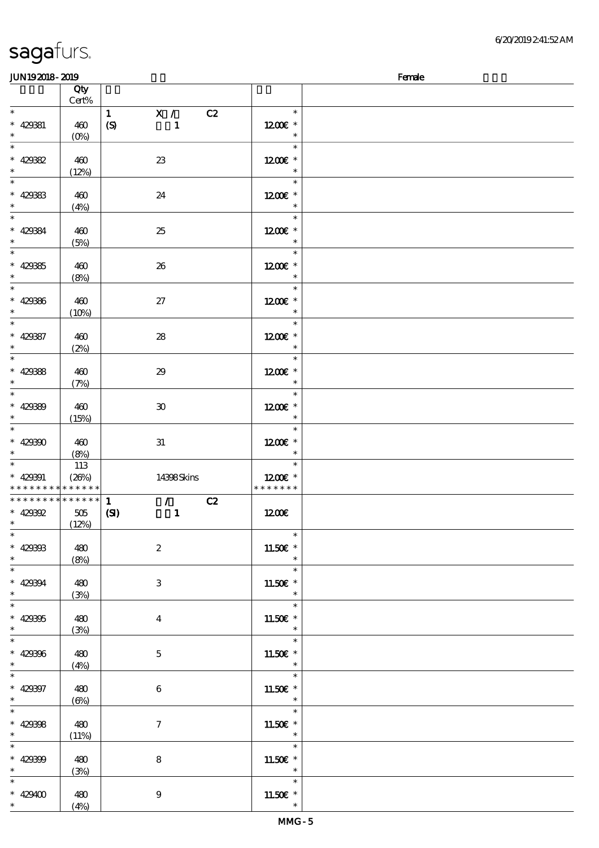### $J/N192018 - 2019$  Female

|                                                 | www.cam      |                                       |                                 | <b>TAIRS</b> |
|-------------------------------------------------|--------------|---------------------------------------|---------------------------------|--------------|
|                                                 | Qty<br>Cert% |                                       |                                 |              |
| $*$                                             |              |                                       | $\ast$                          |              |
|                                                 |              | X /<br>C2<br>$\mathbf{1}$             |                                 |              |
| $* 42981$                                       | 460          | $\boldsymbol{S}$<br>$\mathbf{1}$      | $1200E$ *                       |              |
| $\ast$                                          | $(0\%)$      |                                       | $\ast$                          |              |
| $\overline{\ast}$                               |              |                                       | $\ast$                          |              |
|                                                 |              |                                       |                                 |              |
| * $42982$                                       | 460          | $2\!3$                                | $1200E$ *                       |              |
| $\ast$                                          | (12%)        |                                       | $\ast$                          |              |
|                                                 |              |                                       | $\ast$                          |              |
| * 429883                                        | 460          | 24                                    | 1200E *                         |              |
| $\ast$                                          |              |                                       |                                 |              |
|                                                 | (4%)         |                                       | $\ast$                          |              |
| $*$                                             |              |                                       | $\ast$                          |              |
| $* 429384$                                      | 460          | 25                                    | $1200E$ *                       |              |
| $\ast$                                          | (5%)         |                                       | $\ast$                          |              |
| $\overline{\phantom{0}}$                        |              |                                       | $\ast$                          |              |
|                                                 |              |                                       |                                 |              |
| $* 42985$                                       | 460          | 26                                    | $1200E$ *                       |              |
| $*$                                             | (8%)         |                                       | $\ast$                          |              |
| $\overline{\ast}$                               |              |                                       | $\ast$                          |              |
| $* 429366$                                      |              |                                       | 1200E *                         |              |
|                                                 | 460          | $27\,$                                |                                 |              |
| $\ast$                                          | (10%)        |                                       | $\ast$                          |              |
| $\overline{\ast}$                               |              |                                       | $\ast$                          |              |
| $* 42987$                                       | 460          | ${\bf 28}$                            | $1200E$ *                       |              |
| $\ast$                                          |              |                                       | $\ast$                          |              |
| $\overline{\ast}$                               | (2%)         |                                       | $\ast$                          |              |
|                                                 |              |                                       |                                 |              |
|                                                 | 460          | 29                                    | 1200E *                         |              |
| * 429388                                        | (7%)         |                                       | $\ast$                          |              |
|                                                 |              |                                       | $\ast$                          |              |
|                                                 |              |                                       |                                 |              |
| * 42089                                         | 460          | $\pmb{\mathfrak{D}}$                  | 1200E *                         |              |
|                                                 | (15%)        |                                       | $\ast$                          |              |
|                                                 |              |                                       | $\ast$                          |              |
| $* 429300$                                      | 460          | $3\!1$                                | $1200E$ *                       |              |
| $\ast$                                          | (8%)         |                                       | $\ast$                          |              |
|                                                 |              |                                       | $\ast$                          |              |
|                                                 | 113          |                                       |                                 |              |
| $* 429901$                                      | (20%)        | 14398Skins                            | 1200E *                         |              |
| * * * * * * * * <mark>* * * * * * *</mark>      |              |                                       | * * * * * * *                   |              |
| * * * * * * * * *                               |              |                                       |                                 |              |
|                                                 | $******$     | $\mathbf{1}$                          |                                 |              |
|                                                 |              | $\mathcal{T}$ and $\mathcal{T}$<br>C2 |                                 |              |
| $* 429392$                                      | $505\,$      | (S)<br>$\blacksquare$                 | 1200E                           |              |
| $\ast$                                          | (12%)        |                                       |                                 |              |
| $\ast$                                          |              |                                       | $\ast$                          |              |
| $* 429303$                                      | 480          | $\boldsymbol{2}$                      | 11.50€ *                        |              |
| $\ast$                                          | (8%)         |                                       | $\ast$                          |              |
| $\ast$                                          |              |                                       | $\ast$                          |              |
|                                                 |              |                                       |                                 |              |
| * 429394                                        | 480          | $\,3\,$                               | 11.50€ *                        |              |
| $\ast$                                          | (3%)         |                                       | $\ast$                          |              |
|                                                 |              |                                       | $\ast$                          |              |
|                                                 | 480          | $\boldsymbol{4}$                      | 11.50€ *                        |              |
| * 429395                                        |              |                                       | $\ast$                          |              |
|                                                 | (3%)         |                                       |                                 |              |
|                                                 |              |                                       | $\ast$                          |              |
| $* 42996$                                       | 480          | $\mathbf 5$                           | 11.50 $\varepsilon$ *           |              |
| $\ast$                                          | (4%)         |                                       | $\ast$                          |              |
| $\overline{\phantom{0}}$                        |              |                                       | $\ast$                          |              |
|                                                 |              |                                       |                                 |              |
|                                                 | 480          | $\bf 6$                               | 11.50 $\varepsilon$ *           |              |
| $* 42997$<br>$*$                                | $(\Theta\%)$ |                                       | $\ast$                          |              |
|                                                 |              |                                       | $\ast$                          |              |
|                                                 | 480          | $\boldsymbol{\tau}$                   | $11.50E$ *                      |              |
| $\overline{\phantom{0}}$<br>* $42998$<br>$\ast$ |              |                                       | $\ast$                          |              |
| $\overline{\phantom{0}}$                        | (11%)        |                                       | $\ast$                          |              |
|                                                 |              |                                       |                                 |              |
| $* 429399$                                      | 480          | $\bf 8$                               | 11.50€ *                        |              |
| $\ast$                                          | (3%)         |                                       | $\ast$                          |              |
| $*$                                             |              |                                       | $\ast$                          |              |
|                                                 |              |                                       |                                 |              |
| $* 429400$<br>$\ast$                            | 480<br>(4%)  | $\boldsymbol{9}$                      | 11.50 $\varepsilon$ *<br>$\ast$ |              |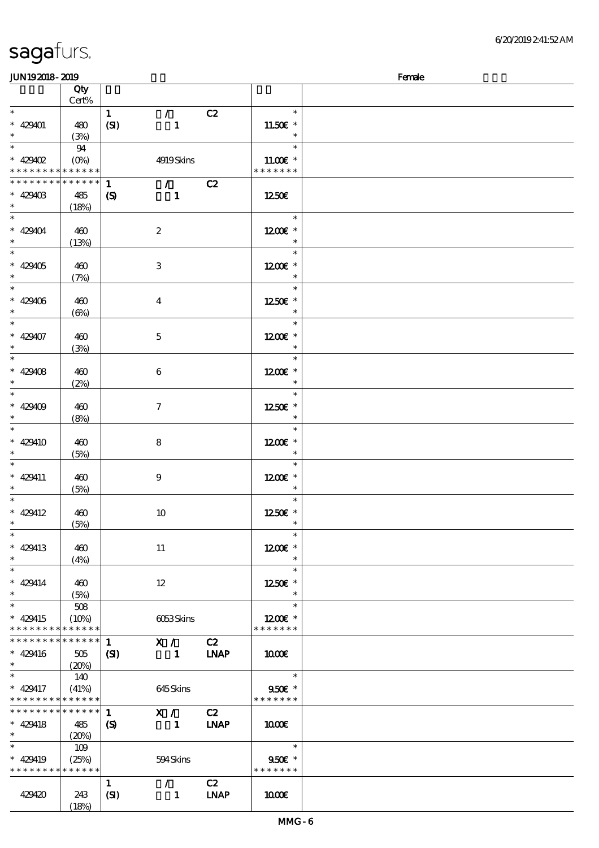| <b>saga</b> furs. |  |
|-------------------|--|
|                   |  |

| <b>JUN192018-2019</b>                    |             |                            |                                 |             |                   | Female |
|------------------------------------------|-------------|----------------------------|---------------------------------|-------------|-------------------|--------|
|                                          | Qty         |                            |                                 |             |                   |        |
|                                          | Cert%       |                            |                                 |             |                   |        |
| $\ast$                                   |             | $\mathbf{1}$               | $\mathcal{L}$                   | C2          | $\ast$            |        |
| $* 429401$                               | 480         | (SI)                       | $\mathbf{1}$                    |             | 11.50€ *          |        |
| $\ast$                                   | (3%)        |                            |                                 |             | $\ast$            |        |
|                                          | 94          |                            |                                 |             | $\ast$            |        |
| $* 429402$                               | $(0\%)$     |                            | 4919Skins                       |             | $11.00E*$         |        |
| * * * * * * * *                          | * * * * * * |                            |                                 |             | * * * * * * *     |        |
| * * * * * * * *                          | * * * * * * | $\mathbf{1}$               | $\mathcal{T}=\mathcal{F}$       |             |                   |        |
|                                          |             |                            |                                 | C2          |                   |        |
| $* 42940B$<br>$\ast$                     | 485         | $\boldsymbol{\mathcal{S}}$ | $\mathbf{1}$                    |             | 1250E             |        |
| $\overline{\ast}$                        | (18%)       |                            |                                 |             |                   |        |
|                                          |             |                            |                                 |             | $\ast$            |        |
| $* 429404$                               | 460         |                            | $\boldsymbol{2}$                |             | 1200E *           |        |
| $\ast$                                   | (13%)       |                            |                                 |             | $\ast$            |        |
| $\overline{\ast}$                        |             |                            |                                 |             | $\ast$            |        |
| $* 429405$                               | 460         |                            | 3                               |             | 1200 £*           |        |
| $\ast$                                   | (7%)        |                            |                                 |             | $\ast$            |        |
| $\overline{\ast}$                        |             |                            |                                 |             | $\ast$            |        |
| $* 429406$                               | 460         |                            | $\boldsymbol{4}$                |             | 1250E *           |        |
| $\ast$                                   | $(\Theta)$  |                            |                                 |             | $\ast$            |        |
| $\ast$                                   |             |                            |                                 |             | $\ast$            |        |
| $* 429407$                               | 460         |                            | $\mathbf 5$                     |             | 1200E *           |        |
| $\ast$                                   |             |                            |                                 |             | $\ast$            |        |
| $\overline{\ast}$                        | (3%)        |                            |                                 |             | $\ast$            |        |
|                                          |             |                            |                                 |             |                   |        |
| $* 429408$                               | 460         |                            | $\boldsymbol{6}$                |             | 1200E *           |        |
| $\ast$                                   | (2%)        |                            |                                 |             | $\ast$            |        |
| $*$                                      |             |                            |                                 |             | $\ast$            |        |
| $* 429409$                               | 460         |                            | $\boldsymbol{\tau}$             |             | 1250E *           |        |
| $\ast$                                   | (8%)        |                            |                                 |             | $\ast$            |        |
| $\ast$                                   |             |                            |                                 |             | $\ast$            |        |
| $* 429410$                               | 460         |                            | 8                               |             | 1200€ *           |        |
| $\ast$                                   | (5%)        |                            |                                 |             | $\ast$            |        |
| $\ast$                                   |             |                            |                                 |             | $\ast$            |        |
| $* 429411$                               | 460         |                            | $\boldsymbol{9}$                |             | 1200E *           |        |
| $\ast$                                   | (5%)        |                            |                                 |             | $\ast$            |        |
| $\ast$                                   |             |                            |                                 |             | $\ast$            |        |
|                                          |             |                            |                                 |             |                   |        |
| $* 429412$<br>$*$ $*$                    | 460         |                            | 10                              |             | 1250E *<br>$\ast$ |        |
|                                          | (5%)        |                            |                                 |             |                   |        |
| $\ast$                                   |             |                            |                                 |             | $\ast$            |        |
| $* 429413$                               | 460         |                            | 11                              |             | $1200E$ *         |        |
| $\ast$                                   | (4%)        |                            |                                 |             | $\ast$            |        |
| $\ast$                                   |             |                            |                                 |             | $\ast$            |        |
| $* 429414$                               | 460         |                            | 12                              |             | 1250E *           |        |
| $\ast$                                   | (5%)        |                            |                                 |             | $\ast$            |        |
| $\overline{\ast}$                        | 508         |                            |                                 |             | $\ast$            |        |
| * 429415                                 | (10%)       |                            | 6053Skins                       |             | $1200E$ *         |        |
| * * * * * * * *                          | * * * * * * |                            |                                 |             | * * * * * * *     |        |
| * * * * * * * *                          | * * * * * * | $\mathbf{1}$               | X / C2                          |             |                   |        |
| $* 429416$                               | 505         | (S)                        | 1 <b>INAP</b>                   |             | 1000              |        |
| $\ast$                                   | (20%)       |                            |                                 |             |                   |        |
| $\ast$                                   | 140         |                            |                                 |             | $\ast$            |        |
|                                          |             |                            |                                 |             |                   |        |
| $* 429417$                               | (41%)       |                            | 645Skins                        |             | 950€ *            |        |
| * * * * * * * * <mark>* * * * * *</mark> |             |                            |                                 |             | * * * * * * *     |        |
| * * * * * * * *                          | $******$    | $\mathbf{1}$               | $\mathbf{X}$ /                  | C2          |                   |        |
| $* 429418$                               | 485         | $\boldsymbol{S}$           | $\blacksquare$                  | <b>INAP</b> | 1000E             |        |
| $*$                                      | (20%)       |                            |                                 |             |                   |        |
| $\ast$                                   | 109         |                            |                                 |             | $\ast$            |        |
| * 429419                                 | (25%)       |                            | 594Skins                        |             | $950$ £ *         |        |
| * * * * * * * * * * * * * *              |             |                            |                                 |             | * * * * * * *     |        |
|                                          |             | $\mathbf{1}$               | $\mathcal{F}$ and $\mathcal{F}$ | C2          |                   |        |
| 429420                                   | 243         | (SI)                       | $\mathbf{1}$                    | <b>LNAP</b> | 1000E             |        |
|                                          | (18%)       |                            |                                 |             |                   |        |
|                                          |             |                            |                                 |             |                   |        |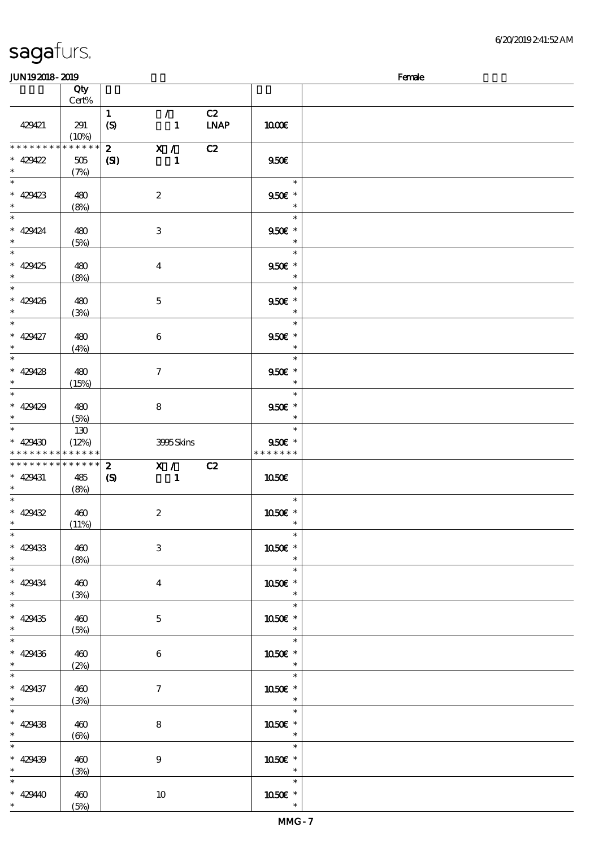| sagafurs. |
|-----------|
|-----------|

| JUN192018-2019                             |             |                            |                  |             |                                                                                                                                                                                                                                                                                                                                               | Female |
|--------------------------------------------|-------------|----------------------------|------------------|-------------|-----------------------------------------------------------------------------------------------------------------------------------------------------------------------------------------------------------------------------------------------------------------------------------------------------------------------------------------------|--------|
|                                            | Qty         |                            |                  |             |                                                                                                                                                                                                                                                                                                                                               |        |
|                                            | $Cert\%$    |                            |                  |             |                                                                                                                                                                                                                                                                                                                                               |        |
|                                            |             | $\mathbf{1}$               | $\mathcal{F}$    | C2          |                                                                                                                                                                                                                                                                                                                                               |        |
|                                            |             |                            |                  |             |                                                                                                                                                                                                                                                                                                                                               |        |
| 429421                                     | 291         | $\boldsymbol{S}$           | $\mathbf{1}$     | <b>LNAP</b> | 1000E                                                                                                                                                                                                                                                                                                                                         |        |
|                                            | (10%)       |                            |                  |             |                                                                                                                                                                                                                                                                                                                                               |        |
| * * * * * * * *                            | * * * * * * | $\mathbf{2}$               | X /              | C2          |                                                                                                                                                                                                                                                                                                                                               |        |
| $* 429422$                                 | 505         | (S)                        | $\mathbf{1}$     |             | 950E                                                                                                                                                                                                                                                                                                                                          |        |
| $\ast$                                     | (7%)        |                            |                  |             |                                                                                                                                                                                                                                                                                                                                               |        |
| $\ast$                                     |             |                            |                  |             | $\overline{\phantom{a}}$                                                                                                                                                                                                                                                                                                                      |        |
| $* 429423$                                 |             |                            |                  |             | 950€ *                                                                                                                                                                                                                                                                                                                                        |        |
|                                            | 480         |                            | $\boldsymbol{2}$ |             |                                                                                                                                                                                                                                                                                                                                               |        |
| $\ast$                                     | (8%)        |                            |                  |             | $\ast$                                                                                                                                                                                                                                                                                                                                        |        |
| $\ast$                                     |             |                            |                  |             | $\ast$                                                                                                                                                                                                                                                                                                                                        |        |
| $* 429424$                                 | 480         |                            | $\,3$            |             | $950E$ *                                                                                                                                                                                                                                                                                                                                      |        |
| $\ast$                                     | (5%)        |                            |                  |             | $\ast$                                                                                                                                                                                                                                                                                                                                        |        |
| $\ast$                                     |             |                            |                  |             | $\ast$                                                                                                                                                                                                                                                                                                                                        |        |
| $* 429425$                                 | 480         |                            |                  |             | 950€ *                                                                                                                                                                                                                                                                                                                                        |        |
| $\ast$                                     |             |                            | $\bf{4}$         |             | $\ast$                                                                                                                                                                                                                                                                                                                                        |        |
|                                            | (8%)        |                            |                  |             |                                                                                                                                                                                                                                                                                                                                               |        |
| $\ast$                                     |             |                            |                  |             | $\ast$                                                                                                                                                                                                                                                                                                                                        |        |
| $* 429426$                                 | 480         |                            | $\mathbf 5$      |             | $950$ £ *                                                                                                                                                                                                                                                                                                                                     |        |
| $\ast$                                     | (3%)        |                            |                  |             | $\ast$                                                                                                                                                                                                                                                                                                                                        |        |
| $\ast$                                     |             |                            |                  |             | $\ast$                                                                                                                                                                                                                                                                                                                                        |        |
| $* 429427$                                 | 480         |                            | 6                |             | $950$ £ *                                                                                                                                                                                                                                                                                                                                     |        |
|                                            |             |                            |                  |             | $\ast$                                                                                                                                                                                                                                                                                                                                        |        |
|                                            | (4%)        |                            |                  |             |                                                                                                                                                                                                                                                                                                                                               |        |
| $\ast$                                     |             |                            |                  |             | $\ast$                                                                                                                                                                                                                                                                                                                                        |        |
| $* 429428$                                 | 480         |                            | $\boldsymbol{7}$ |             | $950$ £ *                                                                                                                                                                                                                                                                                                                                     |        |
| $\ast$                                     | (15%)       |                            |                  |             | $\ast$                                                                                                                                                                                                                                                                                                                                        |        |
| $\ast$                                     |             |                            |                  |             | $\ast$                                                                                                                                                                                                                                                                                                                                        |        |
| $* 429429$                                 | 480         |                            | 8                |             | $950$ $*$                                                                                                                                                                                                                                                                                                                                     |        |
| $\ast$                                     |             |                            |                  |             | $\ast$                                                                                                                                                                                                                                                                                                                                        |        |
|                                            | (5%)        |                            |                  |             |                                                                                                                                                                                                                                                                                                                                               |        |
| $\ast$                                     | 130         |                            |                  |             | $\ast$                                                                                                                                                                                                                                                                                                                                        |        |
| $* 429430$                                 | (12%)       |                            | 3995Skins        |             | $950f$ *                                                                                                                                                                                                                                                                                                                                      |        |
| * * * * * * * * <mark>* * * * * * *</mark> |             |                            |                  |             | * * * * * * *                                                                                                                                                                                                                                                                                                                                 |        |
| * * * * * * * *                            | * * * * * * | $\boldsymbol{z}$           | X /              | C2          |                                                                                                                                                                                                                                                                                                                                               |        |
| $* 429431$                                 | 485         | $\boldsymbol{\mathcal{S}}$ | 1                |             | <b>1050€</b>                                                                                                                                                                                                                                                                                                                                  |        |
| $\ast$                                     | (8%)        |                            |                  |             |                                                                                                                                                                                                                                                                                                                                               |        |
| $\ast$                                     |             |                            |                  |             | $\ast$                                                                                                                                                                                                                                                                                                                                        |        |
| $* 429432$                                 | 460         |                            | $\boldsymbol{2}$ |             |                                                                                                                                                                                                                                                                                                                                               |        |
|                                            |             |                            |                  |             | 1050E *                                                                                                                                                                                                                                                                                                                                       |        |
| $\overline{\phantom{0}}$                   | (11%)       |                            |                  |             |                                                                                                                                                                                                                                                                                                                                               |        |
|                                            |             |                            |                  |             | $\ast$                                                                                                                                                                                                                                                                                                                                        |        |
| $* 429433$                                 | 460         |                            | 3                |             | 1050€ *                                                                                                                                                                                                                                                                                                                                       |        |
| $\ast$                                     | (8%)        |                            |                  |             |                                                                                                                                                                                                                                                                                                                                               |        |
| $\overline{\phantom{0}}$                   |             |                            |                  |             | $\begin{picture}(20,20) \put(0,0){\line(1,0){150}} \put(15,0){\line(1,0){150}} \put(15,0){\line(1,0){150}} \put(15,0){\line(1,0){150}} \put(15,0){\line(1,0){150}} \put(15,0){\line(1,0){150}} \put(15,0){\line(1,0){150}} \put(15,0){\line(1,0){150}} \put(15,0){\line(1,0){150}} \put(15,0){\line(1,0){150}} \put(15,0){\line(1,0){150}} \$ |        |
| $* 429434$                                 | 460         |                            |                  |             |                                                                                                                                                                                                                                                                                                                                               |        |
| $\ast$                                     |             |                            | $\boldsymbol{4}$ |             | 1050E *<br>$\ast$                                                                                                                                                                                                                                                                                                                             |        |
|                                            | (3%)        |                            |                  |             | $\overline{\phantom{a}}^*$                                                                                                                                                                                                                                                                                                                    |        |
| $\overline{\phantom{0}}$                   |             |                            |                  |             |                                                                                                                                                                                                                                                                                                                                               |        |
| $* 429435$                                 | 460         |                            | $\mathbf{5}$     |             | 1050€ *                                                                                                                                                                                                                                                                                                                                       |        |
| $\ast$                                     | (5%)        |                            |                  |             | $\overline{\mathbf{r}}$                                                                                                                                                                                                                                                                                                                       |        |
| $\overline{\phantom{a}}$                   |             |                            |                  |             | $\overline{\phantom{a}}$                                                                                                                                                                                                                                                                                                                      |        |
| $* 429436$                                 | 460         |                            | $\boldsymbol{6}$ |             | 1050E *                                                                                                                                                                                                                                                                                                                                       |        |
| $\ast$                                     |             |                            |                  |             |                                                                                                                                                                                                                                                                                                                                               |        |
|                                            | (2%)        |                            |                  |             | $\overline{\mathbf{r}}$                                                                                                                                                                                                                                                                                                                       |        |
|                                            |             |                            |                  |             |                                                                                                                                                                                                                                                                                                                                               |        |
| $* 429437$                                 | 460         |                            | $\mathcal I$     |             | 1050 £*                                                                                                                                                                                                                                                                                                                                       |        |
| $\ast$                                     | (3%)        |                            |                  |             | $\ast$                                                                                                                                                                                                                                                                                                                                        |        |
| $\overline{\ast}$                          |             |                            |                  |             |                                                                                                                                                                                                                                                                                                                                               |        |
| $* 429438$                                 | 460         |                            | 8                |             | 1050E *                                                                                                                                                                                                                                                                                                                                       |        |
| $\ast$                                     |             |                            |                  |             | $\overline{\phantom{a}}$                                                                                                                                                                                                                                                                                                                      |        |
| $\overline{\phantom{0}}$                   | (6%)        |                            |                  |             | $\overline{\phantom{0}}$                                                                                                                                                                                                                                                                                                                      |        |
|                                            |             |                            |                  |             |                                                                                                                                                                                                                                                                                                                                               |        |
| $* 429439$                                 | 460         |                            | $\boldsymbol{9}$ |             | 1050E *                                                                                                                                                                                                                                                                                                                                       |        |
| $\ast$                                     | (3%)        |                            |                  |             | $\overline{\phantom{a}}$                                                                                                                                                                                                                                                                                                                      |        |
| $\ast$                                     |             |                            |                  |             | $\begin{array}{c c}\n\hline\n\end{array}$                                                                                                                                                                                                                                                                                                     |        |
| $* 42940$                                  | 460         |                            | 10               |             | 1050E *                                                                                                                                                                                                                                                                                                                                       |        |
|                                            | (5%)        |                            |                  |             | $\ast$                                                                                                                                                                                                                                                                                                                                        |        |
| $*$                                        |             |                            |                  |             |                                                                                                                                                                                                                                                                                                                                               |        |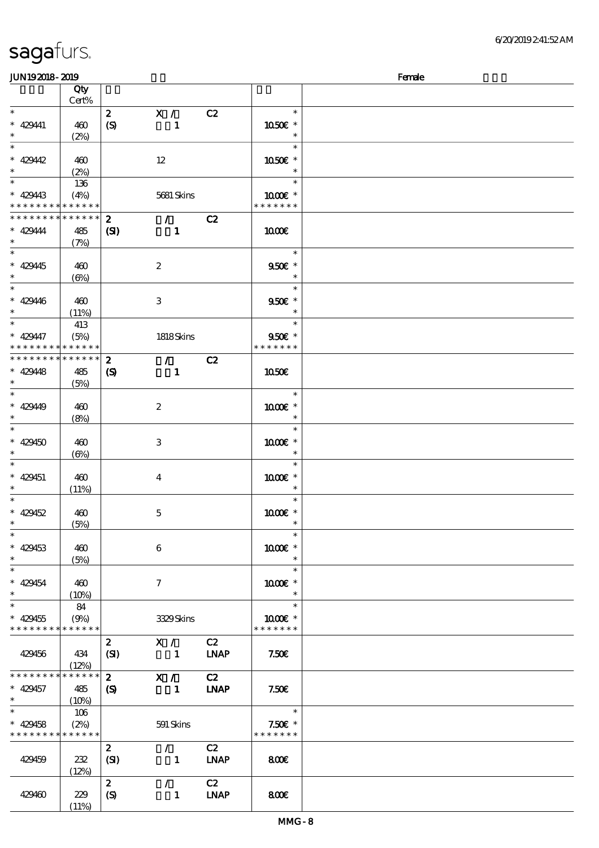# sagafurs.

(11%)

| JUN192018-2019                           |                 |                             |                  |             |               | Female |
|------------------------------------------|-----------------|-----------------------------|------------------|-------------|---------------|--------|
|                                          | Qty             |                             |                  |             |               |        |
|                                          | Cert%           |                             |                  |             |               |        |
| $\ast$                                   |                 | $\mathbf{z}$                | X /              | C2          | $\ast$        |        |
| $* 42941$                                | 460             | (S)                         | $\mathbf{1}$     |             | 1050E *       |        |
| $\ast$                                   | (2%)            |                             |                  |             | $\ast$        |        |
| $\overline{\ast}$                        |                 |                             |                  |             | $\ast$        |        |
| $* 42942$                                |                 |                             |                  |             |               |        |
| $\ast$                                   | 460             |                             | 12               |             | 1050€ *       |        |
|                                          | (2%)            |                             |                  |             | $\ast$        |        |
| $\overline{\ast}$                        | 136             |                             |                  |             | $\ast$        |        |
| $* 429443$                               | (4%)            |                             | 5681 Skins       |             | 1000 *        |        |
| * * * * * * * *                          | * * * * * *     |                             |                  |             | * * * * * * * |        |
| * * * * * * * *                          | $* * * * * * *$ | $\boldsymbol{z}$            | $\mathcal{T}$    | C2          |               |        |
| $* 429444$                               | 485             | (S)                         | $\mathbf{1}$     |             | <b>100€</b>   |        |
| $\ast$                                   | (7%)            |                             |                  |             |               |        |
|                                          |                 |                             |                  |             | $\ast$        |        |
| $* 429445$                               |                 |                             |                  |             | 950€ *        |        |
|                                          | 460             |                             | $\boldsymbol{2}$ |             | $\ast$        |        |
| $\ast$<br>$\overline{\ast}$              | $(\Theta)$      |                             |                  |             |               |        |
|                                          |                 |                             |                  |             | $\ast$        |        |
| $* 429446$                               | 460             |                             | 3                |             | $950E$ *      |        |
| $\ast$                                   | (11%)           |                             |                  |             | $\ast$        |        |
| $\ast$                                   | 413             |                             |                  |             | $\ast$        |        |
| $* 429447$                               | (5%)            |                             | 1818Skins        |             | 950€ *        |        |
| * * * * * * * *                          | * * * * * *     |                             |                  |             | * * * * * * * |        |
| * * * * * * * * <mark>* * * * * *</mark> |                 | $\mathbf{z}$                | $\mathcal{T}$    | C2          |               |        |
|                                          |                 |                             |                  |             |               |        |
| $* 42948$                                | 485             | $\boldsymbol{\mathrm{(S)}}$ | $\mathbf{1}$     |             | <b>1050€</b>  |        |
| $\ast$                                   | (5%)            |                             |                  |             |               |        |
| $\overline{\ast}$                        |                 |                             |                  |             | $\ast$        |        |
| $* 429449$                               | 460             |                             | $\boldsymbol{2}$ |             | $1000E$ *     |        |
| $\ast$                                   | (8%)            |                             |                  |             | $\ast$        |        |
| $\overline{\ast}$                        |                 |                             |                  |             | $\ast$        |        |
| $* 429450$                               | 460             |                             | 3                |             | $1000E$ *     |        |
| $\ast$                                   | $(\Theta)$      |                             |                  |             | $\ast$        |        |
| $\ast$                                   |                 |                             |                  |             | $\ast$        |        |
|                                          |                 |                             |                  |             |               |        |
| $* 429451$                               | 460             |                             | $\overline{4}$   |             | 1000 *        |        |
| $^{\ast}$                                | (11%)           |                             |                  |             | $\ast$        |        |
| $\ast$                                   |                 |                             |                  |             | $\ast$        |        |
| $* 429452$                               | 460             |                             | $\mathbf 5$      |             | 1000 *        |        |
| $\ast$                                   | (5%)            |                             |                  |             | $\ast$        |        |
| $\ast$                                   |                 |                             |                  |             | $\ast$        |        |
| $* 429453$                               | 460             |                             | $\boldsymbol{6}$ |             | 1000€ *       |        |
| $\ast$                                   | (5%)            |                             |                  |             | $\ast$        |        |
| $\ast$                                   |                 |                             |                  |             | $\ast$        |        |
|                                          |                 |                             |                  |             |               |        |
| $* 429454$                               | 460             |                             | 7                |             | 1000 *        |        |
| $\ast$                                   | (10%)           |                             |                  |             | $\ast$        |        |
| $\ast$                                   | 84              |                             |                  |             | $\ast$        |        |
| $* 429455$                               | (9%)            |                             | 3329Skins        |             | $1000E$ *     |        |
| * * * * * * * *                          | $* * * * * * *$ |                             |                  |             | * * * * * * * |        |
|                                          |                 | $\boldsymbol{z}$            | X /              | C2          |               |        |
| 429456                                   | 434             | (SI)                        | $\blacksquare$   | <b>LNAP</b> | 7.50E         |        |
|                                          | (12%)           |                             |                  |             |               |        |
| * * * * * * * *                          | * * * * * *     | $\mathbf{2}$                | X /              | C2          |               |        |
| $* 429457$                               |                 |                             | $\blacksquare$   | <b>LNAP</b> | 7.50E         |        |
| $\ast$                                   | 485             | $\boldsymbol{\mathcal{S}}$  |                  |             |               |        |
| $\overline{\ast}$                        | (10%)           |                             |                  |             |               |        |
|                                          | 106             |                             |                  |             | $\ast$        |        |
| $* 429458$                               | (2%)            |                             | 591 Skins        |             | $7.50E$ *     |        |
| * * * * * * * *                          | ******          |                             |                  |             | * * * * * * * |        |
|                                          |                 | $\boldsymbol{2}$            | $\mathcal{F}$    | C2          |               |        |
| 429459                                   | $232\,$         | (SI)                        | $\mathbf{1}$     | <b>LNAP</b> | 800           |        |
|                                          | (12%)           |                             |                  |             |               |        |
|                                          |                 | $\mathbf{2}$                | $\mathcal{L}$    | C2          |               |        |
| 429460                                   | 229             | (S)                         |                  | <b>LNAP</b> | 800           |        |
|                                          |                 |                             | $\mathbf{1}$     |             |               |        |